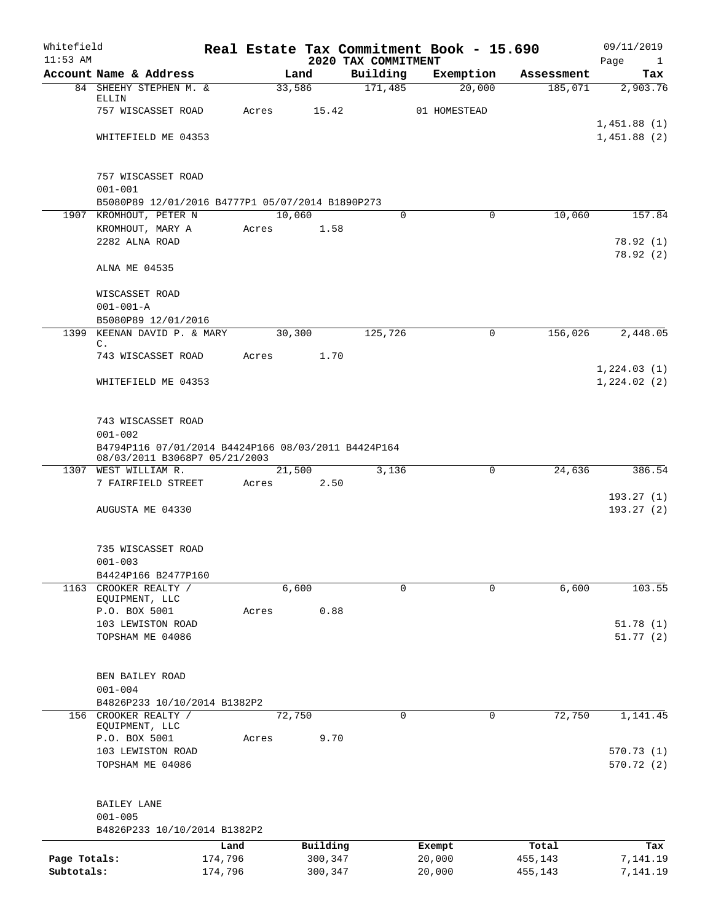| Whitefield<br>$11:53$ AM |                                                                                      |         |          | 2020 TAX COMMITMENT | Real Estate Tax Commitment Book - 15.690 |            | 09/11/2019<br>Page<br>$\mathbf{1}$ |
|--------------------------|--------------------------------------------------------------------------------------|---------|----------|---------------------|------------------------------------------|------------|------------------------------------|
|                          | Account Name & Address                                                               |         | Land     | Building            | Exemption                                | Assessment | Tax                                |
|                          | 84 SHEEHY STEPHEN M. &                                                               |         | 33,586   | 171,485             | 20,000                                   | 185,071    | 2,903.76                           |
|                          | ELLIN<br>757 WISCASSET ROAD                                                          | Acres   | 15.42    |                     | 01 HOMESTEAD                             |            |                                    |
|                          |                                                                                      |         |          |                     |                                          |            | 1,451.88(1)                        |
|                          | WHITEFIELD ME 04353                                                                  |         |          |                     |                                          |            | 1,451.88(2)                        |
|                          |                                                                                      |         |          |                     |                                          |            |                                    |
|                          |                                                                                      |         |          |                     |                                          |            |                                    |
|                          | 757 WISCASSET ROAD<br>$001 - 001$                                                    |         |          |                     |                                          |            |                                    |
|                          | B5080P89 12/01/2016 B4777P1 05/07/2014 B1890P273                                     |         |          |                     |                                          |            |                                    |
|                          | 1907 KROMHOUT, PETER N                                                               |         | 10,060   | $\Omega$            | 0                                        | 10,060     | 157.84                             |
|                          | KROMHOUT, MARY A                                                                     | Acres   | 1.58     |                     |                                          |            |                                    |
|                          | 2282 ALNA ROAD                                                                       |         |          |                     |                                          |            | 78.92(1)                           |
|                          |                                                                                      |         |          |                     |                                          |            | 78.92(2)                           |
|                          | ALNA ME 04535                                                                        |         |          |                     |                                          |            |                                    |
|                          | WISCASSET ROAD                                                                       |         |          |                     |                                          |            |                                    |
|                          | $001 - 001 - A$                                                                      |         |          |                     |                                          |            |                                    |
|                          | B5080P89 12/01/2016                                                                  |         |          |                     |                                          |            |                                    |
|                          | 1399 KEENAN DAVID P. & MARY                                                          |         | 30,300   | 125,726             | 0                                        | 156,026    | 2,448.05                           |
|                          | C.                                                                                   | Acres   | 1.70     |                     |                                          |            |                                    |
|                          | 743 WISCASSET ROAD                                                                   |         |          |                     |                                          |            | 1,224.03(1)                        |
|                          | WHITEFIELD ME 04353                                                                  |         |          |                     |                                          |            | 1,224.02(2)                        |
|                          |                                                                                      |         |          |                     |                                          |            |                                    |
|                          |                                                                                      |         |          |                     |                                          |            |                                    |
|                          | 743 WISCASSET ROAD                                                                   |         |          |                     |                                          |            |                                    |
|                          | $001 - 002$                                                                          |         |          |                     |                                          |            |                                    |
|                          | B4794P116 07/01/2014 B4424P166 08/03/2011 B4424P164<br>08/03/2011 B3068P7 05/21/2003 |         |          |                     |                                          |            |                                    |
| 1307                     | WEST WILLIAM R.                                                                      |         | 21,500   | 3,136               | 0                                        | 24,636     | 386.54                             |
|                          | 7 FAIRFIELD STREET                                                                   | Acres   | 2.50     |                     |                                          |            |                                    |
|                          |                                                                                      |         |          |                     |                                          |            | 193.27(1)                          |
|                          | AUGUSTA ME 04330                                                                     |         |          |                     |                                          |            | 193.27 (2)                         |
|                          |                                                                                      |         |          |                     |                                          |            |                                    |
|                          | 735 WISCASSET ROAD                                                                   |         |          |                     |                                          |            |                                    |
|                          | $001 - 003$                                                                          |         |          |                     |                                          |            |                                    |
|                          | B4424P166 B2477P160                                                                  |         |          |                     |                                          |            |                                    |
|                          | 1163 CROOKER REALTY /                                                                |         | 6,600    | $\Omega$            | $\Omega$                                 | 6,600      | 103.55                             |
|                          | EQUIPMENT, LLC<br>P.O. BOX 5001                                                      | Acres   | 0.88     |                     |                                          |            |                                    |
|                          | 103 LEWISTON ROAD                                                                    |         |          |                     |                                          |            | 51.78(1)                           |
|                          | TOPSHAM ME 04086                                                                     |         |          |                     |                                          |            | 51.77(2)                           |
|                          |                                                                                      |         |          |                     |                                          |            |                                    |
|                          |                                                                                      |         |          |                     |                                          |            |                                    |
|                          | BEN BAILEY ROAD<br>$001 - 004$                                                       |         |          |                     |                                          |            |                                    |
|                          | B4826P233 10/10/2014 B1382P2                                                         |         |          |                     |                                          |            |                                    |
| 156                      | CROOKER REALTY /                                                                     |         | 72,750   | $\mathbf 0$         | 0                                        | 72,750     | 1,141.45                           |
|                          | EQUIPMENT, LLC                                                                       |         |          |                     |                                          |            |                                    |
|                          | P.O. BOX 5001                                                                        | Acres   | 9.70     |                     |                                          |            |                                    |
|                          | 103 LEWISTON ROAD<br>TOPSHAM ME 04086                                                |         |          |                     |                                          |            | 570.73(1)<br>570.72(2)             |
|                          |                                                                                      |         |          |                     |                                          |            |                                    |
|                          |                                                                                      |         |          |                     |                                          |            |                                    |
|                          | BAILEY LANE                                                                          |         |          |                     |                                          |            |                                    |
|                          | $001 - 005$                                                                          |         |          |                     |                                          |            |                                    |
|                          | B4826P233 10/10/2014 B1382P2                                                         |         |          |                     |                                          |            |                                    |
|                          |                                                                                      | Land    | Building |                     | Exempt                                   | Total      | Tax                                |
| Page Totals:             |                                                                                      | 174,796 | 300,347  |                     | 20,000                                   | 455,143    | 7,141.19                           |
| Subtotals:               |                                                                                      | 174,796 | 300,347  |                     | 20,000                                   | 455,143    | 7,141.19                           |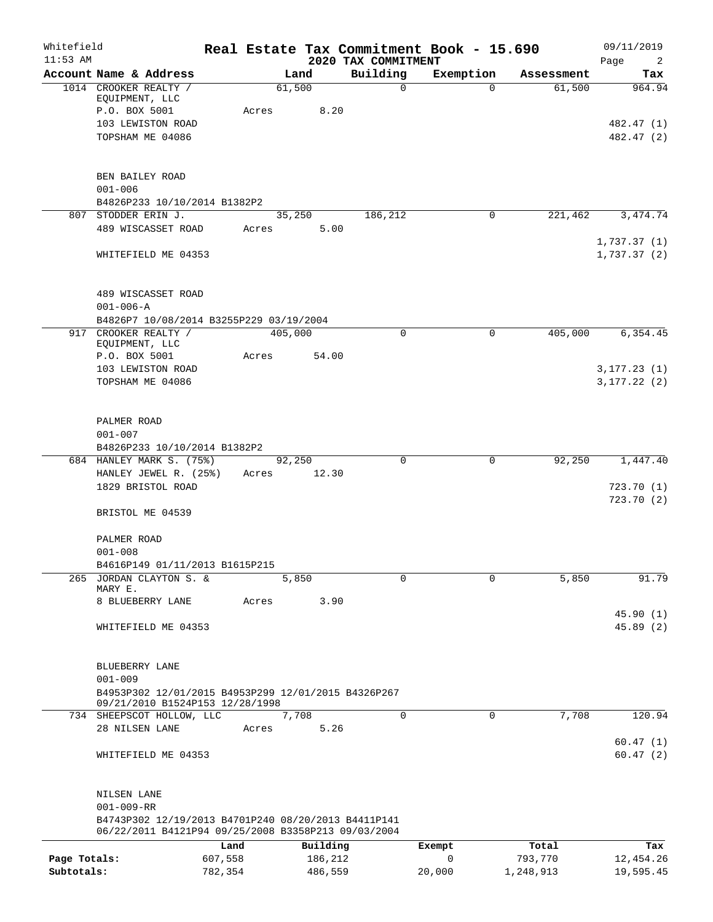| Whitefield<br>$11:53$ AM |                                                                                                            |                 |                     | 2020 TAX COMMITMENT | Real Estate Tax Commitment Book - 15.690 |                  | 09/11/2019<br>Page<br>2 |
|--------------------------|------------------------------------------------------------------------------------------------------------|-----------------|---------------------|---------------------|------------------------------------------|------------------|-------------------------|
|                          | Account Name & Address                                                                                     |                 | Land                | Building            | Exemption                                | Assessment       | Tax                     |
|                          | 1014 CROOKER REALTY /<br>EQUIPMENT, LLC                                                                    |                 | 61,500              | $\mathbf 0$         | $\Omega$                                 | 61,500           | 964.94                  |
|                          | P.O. BOX 5001<br>103 LEWISTON ROAD                                                                         | Acres           | 8.20                |                     |                                          |                  | 482.47 (1)              |
|                          | TOPSHAM ME 04086                                                                                           |                 |                     |                     |                                          |                  | 482.47 (2)              |
|                          |                                                                                                            |                 |                     |                     |                                          |                  |                         |
|                          | BEN BAILEY ROAD                                                                                            |                 |                     |                     |                                          |                  |                         |
|                          | $001 - 006$                                                                                                |                 |                     |                     |                                          |                  |                         |
|                          | B4826P233 10/10/2014 B1382P2                                                                               |                 |                     |                     |                                          |                  |                         |
|                          | 807 STODDER ERIN J.<br>489 WISCASSET ROAD                                                                  | Acres           | 35,250<br>5.00      | 186,212             | 0                                        | 221,462          | 3, 474.74               |
|                          |                                                                                                            |                 |                     |                     |                                          |                  | 1,737.37(1)             |
|                          | WHITEFIELD ME 04353                                                                                        |                 |                     |                     |                                          |                  | 1,737.37(2)             |
|                          | 489 WISCASSET ROAD                                                                                         |                 |                     |                     |                                          |                  |                         |
|                          | $001 - 006 - A$                                                                                            |                 |                     |                     |                                          |                  |                         |
|                          | B4826P7 10/08/2014 B3255P229 03/19/2004<br>917 CROOKER REALTY /                                            |                 | 405,000             | 0                   | $\mathbf 0$                              | 405,000          | 6, 354.45               |
|                          | EQUIPMENT, LLC                                                                                             |                 |                     |                     |                                          |                  |                         |
|                          | P.O. BOX 5001<br>103 LEWISTON ROAD                                                                         | Acres           | 54.00               |                     |                                          |                  | 3, 177.23(1)            |
|                          | TOPSHAM ME 04086                                                                                           |                 |                     |                     |                                          |                  | 3, 177.22(2)            |
|                          | PALMER ROAD                                                                                                |                 |                     |                     |                                          |                  |                         |
|                          | $001 - 007$                                                                                                |                 |                     |                     |                                          |                  |                         |
|                          | B4826P233 10/10/2014 B1382P2                                                                               |                 |                     |                     |                                          |                  |                         |
|                          | 684 HANLEY MARK S. (75%)<br>HANLEY JEWEL R. (25%)                                                          | Acres           | 92,250<br>12.30     | $\Omega$            | $\mathbf 0$                              | 92,250           | 1,447.40                |
|                          | 1829 BRISTOL ROAD                                                                                          |                 |                     |                     |                                          |                  | 723.70(1)               |
|                          | BRISTOL ME 04539                                                                                           |                 |                     |                     |                                          |                  | 723.70(2)               |
|                          | PALMER ROAD                                                                                                |                 |                     |                     |                                          |                  |                         |
|                          | $001 - 008$                                                                                                |                 |                     |                     |                                          |                  |                         |
|                          | B4616P149 01/11/2013 B1615P215<br>265 JORDAN CLAYTON S. &                                                  |                 | 5,850               | $\Omega$            | $\Omega$                                 | 5,850            | 91.79                   |
|                          | MARY E.                                                                                                    |                 |                     |                     |                                          |                  |                         |
|                          | 8 BLUEBERRY LANE                                                                                           | Acres           | 3.90                |                     |                                          |                  | 45.90(1)                |
|                          | WHITEFIELD ME 04353                                                                                        |                 |                     |                     |                                          |                  | 45.89(2)                |
|                          | BLUEBERRY LANE                                                                                             |                 |                     |                     |                                          |                  |                         |
|                          | $001 - 009$                                                                                                |                 |                     |                     |                                          |                  |                         |
|                          | B4953P302 12/01/2015 B4953P299 12/01/2015 B4326P267<br>09/21/2010 B1524P153 12/28/1998                     |                 |                     |                     |                                          |                  |                         |
|                          | 734 SHEEPSCOT HOLLOW, LLC                                                                                  |                 | 7,708               | $\Omega$            | $\mathbf 0$                              | 7,708            | 120.94                  |
|                          | 28 NILSEN LANE                                                                                             | Acres           | 5.26                |                     |                                          |                  | 60.47(1)                |
|                          | WHITEFIELD ME 04353                                                                                        |                 |                     |                     |                                          |                  | 60.47(2)                |
|                          | NILSEN LANE                                                                                                |                 |                     |                     |                                          |                  |                         |
|                          | $001 - 009 - RR$                                                                                           |                 |                     |                     |                                          |                  |                         |
|                          | B4743P302 12/19/2013 B4701P240 08/20/2013 B4411P141<br>06/22/2011 B4121P94 09/25/2008 B3358P213 09/03/2004 |                 |                     |                     |                                          |                  |                         |
| Page Totals:             |                                                                                                            | Land<br>607,558 | Building<br>186,212 |                     | Exempt<br>0                              | Total<br>793,770 | Tax<br>12,454.26        |
| Subtotals:               |                                                                                                            | 782,354         | 486,559             |                     | 20,000                                   | 1,248,913        | 19,595.45               |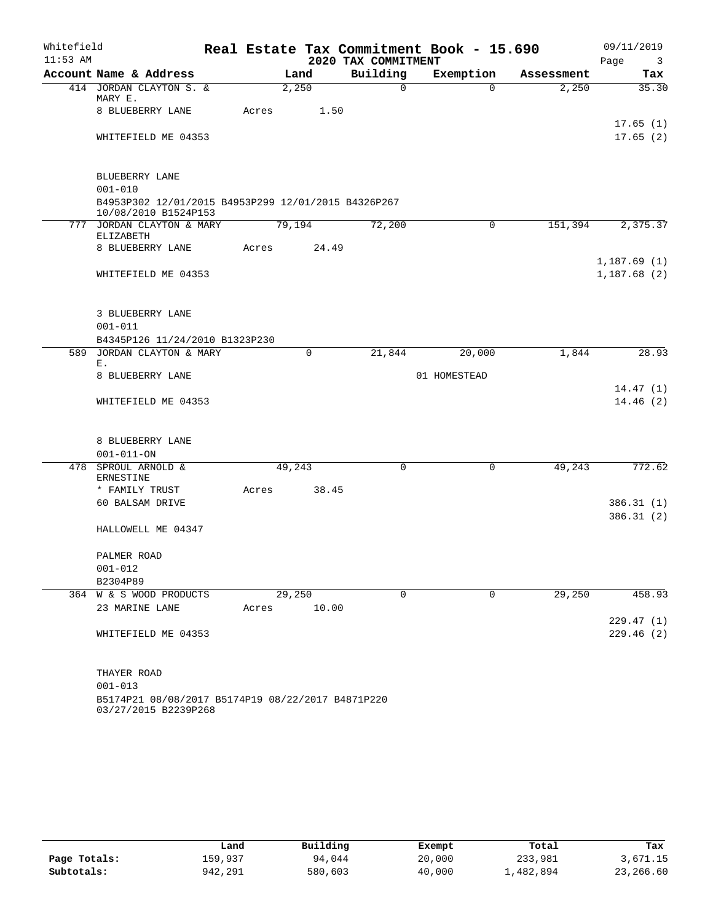| Whitefield |                                                                             |       |        |       | Real Estate Tax Commitment Book - 15.690 |              |            | 09/11/2019                      |
|------------|-----------------------------------------------------------------------------|-------|--------|-------|------------------------------------------|--------------|------------|---------------------------------|
| $11:53$ AM |                                                                             |       |        |       | 2020 TAX COMMITMENT                      |              |            | Page<br>$\overline{\mathbf{3}}$ |
|            | Account Name & Address                                                      |       | Land   |       | Building                                 | Exemption    | Assessment | Tax                             |
|            | 414 JORDAN CLAYTON S. &<br>MARY E.                                          |       | 2,250  |       | $\Omega$                                 | $\Omega$     | 2,250      | 35.30                           |
|            | 8 BLUEBERRY LANE                                                            | Acres |        | 1.50  |                                          |              |            |                                 |
|            | WHITEFIELD ME 04353                                                         |       |        |       |                                          |              |            | 17.65(1)<br>17.65(2)            |
|            |                                                                             |       |        |       |                                          |              |            |                                 |
|            | BLUEBERRY LANE                                                              |       |        |       |                                          |              |            |                                 |
|            | $001 - 010$                                                                 |       |        |       |                                          |              |            |                                 |
|            | B4953P302 12/01/2015 B4953P299 12/01/2015 B4326P267<br>10/08/2010 B1524P153 |       |        |       |                                          |              |            |                                 |
|            | 777 JORDAN CLAYTON & MARY<br>ELIZABETH                                      |       | 79,194 |       | 72,200                                   | $\mathbf 0$  | 151,394    | 2,375.37                        |
|            | 8 BLUEBERRY LANE                                                            | Acres |        | 24.49 |                                          |              |            |                                 |
|            |                                                                             |       |        |       |                                          |              |            | 1,187.69(1)                     |
|            | WHITEFIELD ME 04353                                                         |       |        |       |                                          |              |            | 1,187.68(2)                     |
|            | 3 BLUEBERRY LANE                                                            |       |        |       |                                          |              |            |                                 |
|            | $001 - 011$                                                                 |       |        |       |                                          |              |            |                                 |
|            | B4345P126 11/24/2010 B1323P230                                              |       |        |       |                                          |              |            |                                 |
| 589        | JORDAN CLAYTON & MARY                                                       |       | 0      |       | 21,844                                   | 20,000       | 1,844      | 28.93                           |
|            | Ε.<br>8 BLUEBERRY LANE                                                      |       |        |       |                                          | 01 HOMESTEAD |            |                                 |
|            |                                                                             |       |        |       |                                          |              |            | 14.47(1)                        |
|            | WHITEFIELD ME 04353                                                         |       |        |       |                                          |              |            | 14.46(2)                        |
|            |                                                                             |       |        |       |                                          |              |            |                                 |
|            | 8 BLUEBERRY LANE                                                            |       |        |       |                                          |              |            |                                 |
|            | $001 - 011 - ON$                                                            |       |        |       |                                          |              |            |                                 |
|            | 478 SPROUL ARNOLD &<br>ERNESTINE                                            |       | 49,243 |       | 0                                        | $\mathbf 0$  | 49,243     | 772.62                          |
|            | * FAMILY TRUST                                                              | Acres |        | 38.45 |                                          |              |            |                                 |
|            | 60 BALSAM DRIVE                                                             |       |        |       |                                          |              |            | 386.31(1)                       |
|            | HALLOWELL ME 04347                                                          |       |        |       |                                          |              |            | 386.31(2)                       |
|            | PALMER ROAD                                                                 |       |        |       |                                          |              |            |                                 |
|            | $001 - 012$                                                                 |       |        |       |                                          |              |            |                                 |
|            | B2304P89                                                                    |       |        |       |                                          |              |            |                                 |
|            | 364 W & S WOOD PRODUCTS                                                     |       | 29,250 |       | 0                                        | 0            | 29,250     | 458.93                          |
|            | 23 MARINE LANE                                                              | Acres |        | 10.00 |                                          |              |            |                                 |
|            |                                                                             |       |        |       |                                          |              |            | 229.47(1)                       |
|            | WHITEFIELD ME 04353                                                         |       |        |       |                                          |              |            | 229.46(2)                       |
|            | THAYER ROAD                                                                 |       |        |       |                                          |              |            |                                 |
|            | $001 - 013$                                                                 |       |        |       |                                          |              |            |                                 |
|            | B5174P21 08/08/2017 B5174P19 08/22/2017 B4871P220                           |       |        |       |                                          |              |            |                                 |

03/27/2015 B2239P268

|              | Land    | Building | Exempt | Total     | Tax       |
|--------------|---------|----------|--------|-----------|-----------|
| Page Totals: | 159,937 | 94,044   | 20,000 | 233,981   | 3,671.15  |
| Subtotals:   | 942,291 | 580,603  | 40,000 | 1,482,894 | 23,266.60 |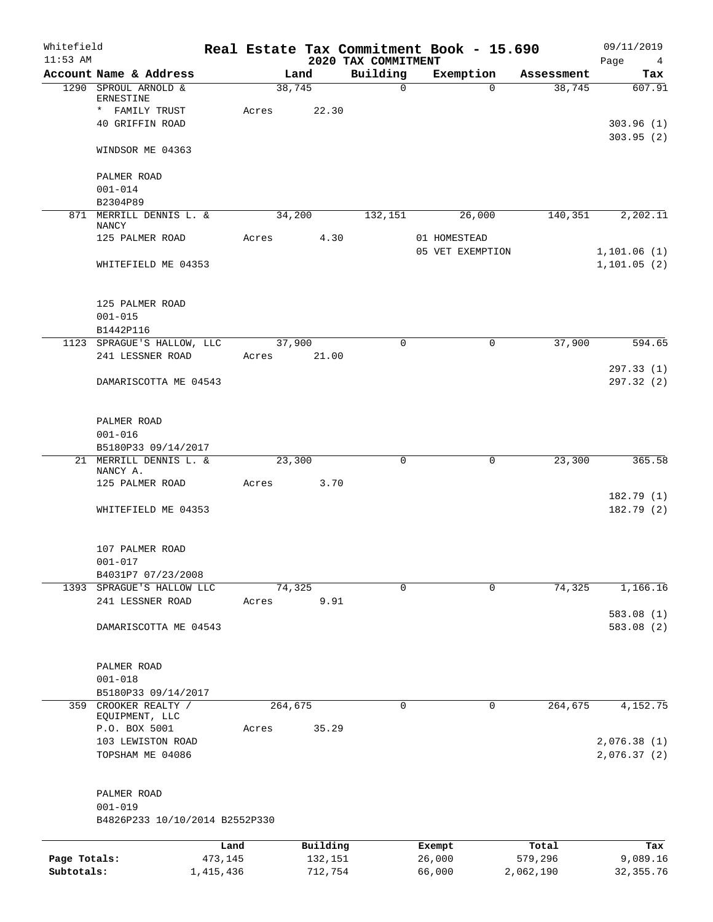| Whitefield<br>$11:53$ AM |                                                |           |                 | 2020 TAX COMMITMENT | Real Estate Tax Commitment Book - 15.690 |            | 09/11/2019<br>Page<br>$\frac{4}{3}$ |
|--------------------------|------------------------------------------------|-----------|-----------------|---------------------|------------------------------------------|------------|-------------------------------------|
|                          | Account Name & Address                         |           | Land            | Building            | Exemption                                | Assessment | Tax                                 |
|                          | 1290 SPROUL ARNOLD &                           |           | 38,745          | $\mathbf 0$         | $\Omega$                                 | 38,745     | 607.91                              |
|                          | ERNESTINE                                      |           |                 |                     |                                          |            |                                     |
|                          | * FAMILY TRUST<br>40 GRIFFIN ROAD              | Acres     | 22.30           |                     |                                          |            | 303.96(1)                           |
|                          |                                                |           |                 |                     |                                          |            | 303.95(2)                           |
|                          | WINDSOR ME 04363                               |           |                 |                     |                                          |            |                                     |
|                          | PALMER ROAD                                    |           |                 |                     |                                          |            |                                     |
|                          | $001 - 014$                                    |           |                 |                     |                                          |            |                                     |
|                          | B2304P89                                       |           |                 |                     |                                          |            |                                     |
|                          | 871 MERRILL DENNIS L. &<br>NANCY               |           | 34,200          | 132,151             | 26,000                                   | 140,351    | 2,202.11                            |
|                          | 125 PALMER ROAD                                | Acres     | 4.30            |                     | 01 HOMESTEAD                             |            |                                     |
|                          | WHITEFIELD ME 04353                            |           |                 |                     | 05 VET EXEMPTION                         |            | 1,101.06(1)<br>1, 101.05(2)         |
|                          |                                                |           |                 |                     |                                          |            |                                     |
|                          | 125 PALMER ROAD                                |           |                 |                     |                                          |            |                                     |
|                          | $001 - 015$                                    |           |                 |                     |                                          |            |                                     |
|                          | B1442P116                                      |           |                 |                     |                                          |            |                                     |
|                          | 1123 SPRAGUE'S HALLOW, LLC<br>241 LESSNER ROAD | Acres     | 37,900<br>21.00 | $\Omega$            | 0                                        | 37,900     | 594.65                              |
|                          |                                                |           |                 |                     |                                          |            | 297.33(1)                           |
|                          | DAMARISCOTTA ME 04543                          |           |                 |                     |                                          |            | 297.32(2)                           |
|                          |                                                |           |                 |                     |                                          |            |                                     |
|                          | PALMER ROAD<br>$001 - 016$                     |           |                 |                     |                                          |            |                                     |
|                          | B5180P33 09/14/2017                            |           |                 |                     |                                          |            |                                     |
|                          | 21 MERRILL DENNIS L. &                         |           | 23,300          | $\mathbf 0$         | 0                                        | 23,300     | 365.58                              |
|                          | NANCY A.                                       |           |                 |                     |                                          |            |                                     |
|                          | 125 PALMER ROAD                                | Acres     | 3.70            |                     |                                          |            |                                     |
|                          | WHITEFIELD ME 04353                            |           |                 |                     |                                          |            | 182.79(1)<br>182.79(2)              |
|                          |                                                |           |                 |                     |                                          |            |                                     |
|                          | 107 PALMER ROAD                                |           |                 |                     |                                          |            |                                     |
|                          | $001 - 017$<br>B4031P7 07/23/2008              |           |                 |                     |                                          |            |                                     |
|                          | 1393 SPRAGUE'S HALLOW LLC                      |           | 74,325          | $\mathbf 0$         | 0                                        | 74,325     | 1,166.16                            |
|                          | 241 LESSNER ROAD                               | Acres     | 9.91            |                     |                                          |            |                                     |
|                          |                                                |           |                 |                     |                                          |            | 583.08(1)                           |
|                          | DAMARISCOTTA ME 04543                          |           |                 |                     |                                          |            | 583.08 (2)                          |
|                          | PALMER ROAD                                    |           |                 |                     |                                          |            |                                     |
|                          | $001 - 018$                                    |           |                 |                     |                                          |            |                                     |
|                          | B5180P33 09/14/2017                            |           |                 |                     |                                          |            |                                     |
|                          | 359 CROOKER REALTY /<br>EQUIPMENT, LLC         |           | 264,675         | 0                   | 0                                        | 264, 675   | 4,152.75                            |
|                          | P.O. BOX 5001                                  | Acres     | 35.29           |                     |                                          |            |                                     |
|                          | 103 LEWISTON ROAD                              |           |                 |                     |                                          |            | 2,076.38 (1)                        |
|                          | TOPSHAM ME 04086                               |           |                 |                     |                                          |            | 2,076.37(2)                         |
|                          | PALMER ROAD                                    |           |                 |                     |                                          |            |                                     |
|                          | $001 - 019$                                    |           |                 |                     |                                          |            |                                     |
|                          | B4826P233 10/10/2014 B2552P330                 |           |                 |                     |                                          |            |                                     |
|                          |                                                | Land      | Building        |                     | Exempt                                   | Total      | Tax                                 |
| Page Totals:             |                                                | 473,145   | 132,151         |                     | 26,000                                   | 579,296    | 9,089.16                            |
| Subtotals:               |                                                | 1,415,436 | 712,754         |                     | 66,000                                   | 2,062,190  | 32, 355.76                          |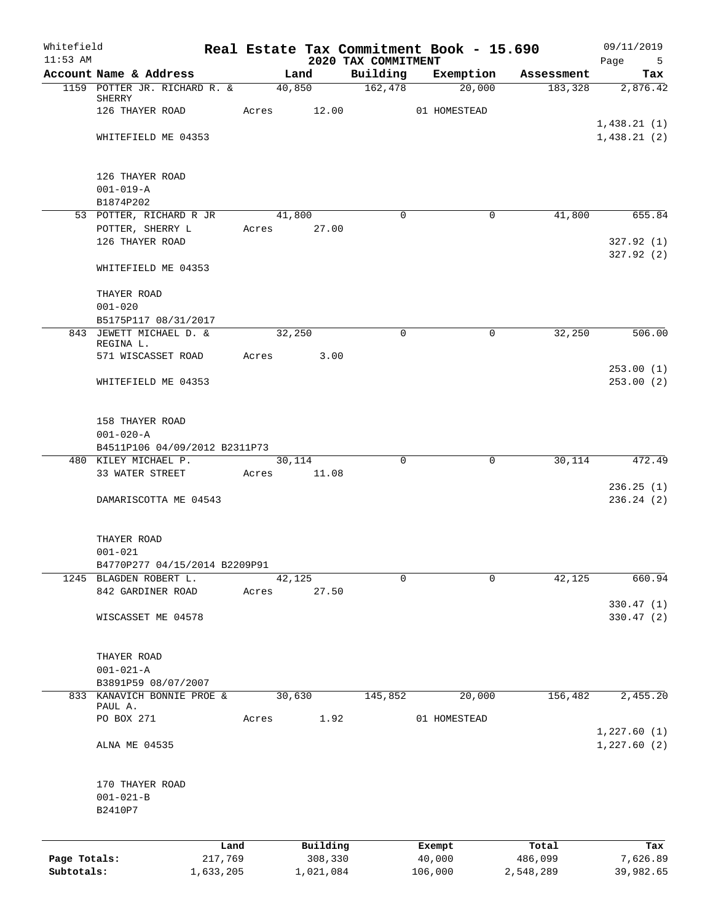| Whitefield<br>$11:53$ AM |                                              |                 |             |                     | 2020 TAX COMMITMENT | Real Estate Tax Commitment Book - 15.690 |                  | 09/11/2019<br>Page<br>$5^{\circ}$ |
|--------------------------|----------------------------------------------|-----------------|-------------|---------------------|---------------------|------------------------------------------|------------------|-----------------------------------|
|                          | Account Name & Address                       |                 | Land        |                     | Building            | Exemption                                | Assessment       | Tax                               |
|                          | 1159 POTTER JR. RICHARD R. &                 |                 | 40,850      |                     | 162,478             | 20,000                                   | 183,328          | 2,876.42                          |
|                          | SHERRY                                       |                 |             |                     |                     |                                          |                  |                                   |
|                          | 126 THAYER ROAD                              |                 | Acres 12.00 |                     |                     | 01 HOMESTEAD                             |                  |                                   |
|                          | WHITEFIELD ME 04353                          |                 |             |                     |                     |                                          |                  | 1,438.21(1)<br>1,438.21(2)        |
|                          |                                              |                 |             |                     |                     |                                          |                  |                                   |
|                          | 126 THAYER ROAD                              |                 |             |                     |                     |                                          |                  |                                   |
|                          | $001 - 019 - A$                              |                 |             |                     |                     |                                          |                  |                                   |
|                          | B1874P202                                    |                 |             |                     |                     |                                          |                  |                                   |
|                          | 53 POTTER, RICHARD R JR                      |                 | 41,800      |                     | $\Omega$            | $\Omega$                                 | 41,800           | 655.84                            |
|                          | POTTER, SHERRY L                             |                 | Acres       | 27.00               |                     |                                          |                  |                                   |
|                          | 126 THAYER ROAD                              |                 |             |                     |                     |                                          |                  | 327.92(1)<br>327.92(2)            |
|                          | WHITEFIELD ME 04353                          |                 |             |                     |                     |                                          |                  |                                   |
|                          | THAYER ROAD                                  |                 |             |                     |                     |                                          |                  |                                   |
|                          | $001 - 020$                                  |                 |             |                     |                     |                                          |                  |                                   |
|                          | B5175P117 08/31/2017                         |                 |             |                     |                     |                                          |                  |                                   |
|                          | 843 JEWETT MICHAEL D. &<br>REGINA L.         |                 | 32,250      |                     | $\mathbf 0$         | $\mathbf 0$                              | 32,250           | 506.00                            |
|                          | 571 WISCASSET ROAD                           |                 | Acres       | 3.00                |                     |                                          |                  |                                   |
|                          | WHITEFIELD ME 04353                          |                 |             |                     |                     |                                          |                  | 253.00(1)<br>253.00(2)            |
|                          |                                              |                 |             |                     |                     |                                          |                  |                                   |
|                          | 158 THAYER ROAD                              |                 |             |                     |                     |                                          |                  |                                   |
|                          | $001 - 020 - A$                              |                 |             |                     |                     |                                          |                  |                                   |
|                          | B4511P106 04/09/2012 B2311P73                |                 |             |                     |                     |                                          |                  |                                   |
|                          | 480 KILEY MICHAEL P.                         |                 | 30,114      |                     | $\mathbf 0$         | 0                                        | 30,114           | 472.49                            |
|                          | 33 WATER STREET                              |                 | Acres       | 11.08               |                     |                                          |                  |                                   |
|                          | DAMARISCOTTA ME 04543                        |                 |             |                     |                     |                                          |                  | 236.25(1)<br>236.24(2)            |
|                          |                                              |                 |             |                     |                     |                                          |                  |                                   |
|                          | THAYER ROAD                                  |                 |             |                     |                     |                                          |                  |                                   |
|                          | $001 - 021$<br>B4770P277 04/15/2014 B2209P91 |                 |             |                     |                     |                                          |                  |                                   |
| 1245                     | BLAGDEN ROBERT L.                            |                 | 42,125      |                     | 0                   | $\Omega$                                 | 42,125           | 660.94                            |
|                          | 842 GARDINER ROAD                            |                 | Acres       | 27.50               |                     |                                          |                  |                                   |
|                          |                                              |                 |             |                     |                     |                                          |                  | 330.47 (1)                        |
|                          | WISCASSET ME 04578                           |                 |             |                     |                     |                                          |                  | 330.47(2)                         |
|                          |                                              |                 |             |                     |                     |                                          |                  |                                   |
|                          | THAYER ROAD                                  |                 |             |                     |                     |                                          |                  |                                   |
|                          | $001 - 021 - A$                              |                 |             |                     |                     |                                          |                  |                                   |
|                          | B3891P59 08/07/2007                          |                 |             |                     |                     |                                          |                  |                                   |
| 833                      | KANAVICH BONNIE PROE &<br>PAUL A.            |                 | 30,630      |                     | 145,852             | 20,000                                   | 156,482          | 2,455.20                          |
|                          | PO BOX 271                                   |                 | Acres       | 1.92                |                     | 01 HOMESTEAD                             |                  |                                   |
|                          |                                              |                 |             |                     |                     |                                          |                  | 1,227.60(1)                       |
|                          | ALNA ME 04535                                |                 |             |                     |                     |                                          |                  | 1,227.60(2)                       |
|                          | 170 THAYER ROAD                              |                 |             |                     |                     |                                          |                  |                                   |
|                          | $001 - 021 - B$                              |                 |             |                     |                     |                                          |                  |                                   |
|                          | B2410P7                                      |                 |             |                     |                     |                                          |                  |                                   |
|                          |                                              |                 |             |                     |                     |                                          |                  |                                   |
| Page Totals:             |                                              | Land<br>217,769 |             | Building<br>308,330 |                     | Exempt<br>40,000                         | Total<br>486,099 | Tax<br>7,626.89                   |
| Subtotals:               |                                              | 1,633,205       |             | 1,021,084           |                     | 106,000                                  | 2,548,289        | 39,982.65                         |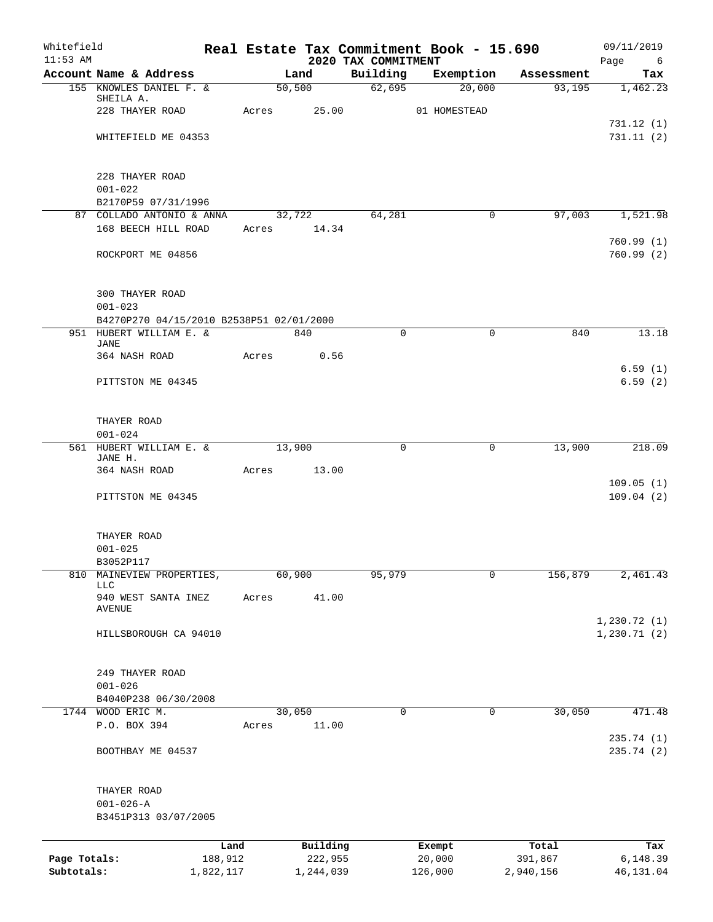| Whitefield<br>$11:53$ AM |                                          |       |             | 2020 TAX COMMITMENT | Real Estate Tax Commitment Book - 15.690 |            | 09/11/2019<br>Page<br>6     |
|--------------------------|------------------------------------------|-------|-------------|---------------------|------------------------------------------|------------|-----------------------------|
|                          | Account Name & Address                   |       | Land        | Building            | Exemption                                | Assessment | Tax                         |
|                          | 155 KNOWLES DANIEL F. &                  |       | 50,500      | 62,695              | 20,000                                   | 93,195     | 1,462.23                    |
|                          | SHEILA A.<br>228 THAYER ROAD             | Acres | 25.00       |                     | 01 HOMESTEAD                             |            |                             |
|                          |                                          |       |             |                     |                                          |            | 731.12(1)                   |
|                          | WHITEFIELD ME 04353                      |       |             |                     |                                          |            | 731.11(2)                   |
|                          | 228 THAYER ROAD                          |       |             |                     |                                          |            |                             |
|                          | $001 - 022$                              |       |             |                     |                                          |            |                             |
|                          | B2170P59 07/31/1996                      |       |             |                     |                                          |            |                             |
|                          | 87 COLLADO ANTONIO & ANNA                |       | 32,722      | 64,281              | $\mathbf 0$                              | 97,003     | 1,521.98                    |
|                          | 168 BEECH HILL ROAD                      |       | Acres 14.34 |                     |                                          |            | 760.99(1)                   |
|                          | ROCKPORT ME 04856                        |       |             |                     |                                          |            | 760.99(2)                   |
|                          | <b>300 THAYER ROAD</b>                   |       |             |                     |                                          |            |                             |
|                          | $001 - 023$                              |       |             |                     |                                          |            |                             |
|                          | B4270P270 04/15/2010 B2538P51 02/01/2000 |       |             |                     |                                          |            |                             |
|                          | 951 HUBERT WILLIAM E. &<br><b>JANE</b>   |       | 840         | $\mathbf 0$         | $\mathbf 0$                              | 840        | 13.18                       |
|                          | 364 NASH ROAD                            | Acres | 0.56        |                     |                                          |            |                             |
|                          | PITTSTON ME 04345                        |       |             |                     |                                          |            | 6.59(1)<br>6.59(2)          |
|                          | THAYER ROAD                              |       |             |                     |                                          |            |                             |
|                          | $001 - 024$                              |       |             |                     |                                          |            |                             |
|                          | 561 HUBERT WILLIAM E. &<br>JANE H.       |       | 13,900      | $\mathbf 0$         | 0                                        | 13,900     | 218.09                      |
|                          | 364 NASH ROAD                            | Acres | 13.00       |                     |                                          |            |                             |
|                          |                                          |       |             |                     |                                          |            | 109.05(1)                   |
|                          | PITTSTON ME 04345                        |       |             |                     |                                          |            | 109.04(2)                   |
|                          | THAYER ROAD                              |       |             |                     |                                          |            |                             |
|                          | $001 - 025$<br>B3052P117                 |       |             |                     |                                          |            |                             |
| 810                      | MAINEVIEW PROPERTIES,                    |       | 60,900      | 95,979              | 0                                        | 156,879    | 2,461.43                    |
|                          | <b>LLC</b>                               |       |             |                     |                                          |            |                             |
|                          | 940 WEST SANTA INEZ<br>AVENUE            | Acres | 41.00       |                     |                                          |            |                             |
|                          | HILLSBOROUGH CA 94010                    |       |             |                     |                                          |            | 1,230.72(1)<br>1, 230.71(2) |
|                          | 249 THAYER ROAD                          |       |             |                     |                                          |            |                             |
|                          | $001 - 026$                              |       |             |                     |                                          |            |                             |
|                          | B4040P238 06/30/2008                     |       |             |                     |                                          |            |                             |
|                          | 1744 WOOD ERIC M.                        |       | 30,050      | $\mathbf 0$         | 0                                        | 30,050     | 471.48                      |
|                          | P.O. BOX 394                             | Acres | 11.00       |                     |                                          |            | 235.74 (1)                  |
|                          | BOOTHBAY ME 04537                        |       |             |                     |                                          |            | 235.74 (2)                  |
|                          | THAYER ROAD                              |       |             |                     |                                          |            |                             |
|                          | $001 - 026 - A$                          |       |             |                     |                                          |            |                             |
|                          | B3451P313 03/07/2005                     |       |             |                     |                                          |            |                             |
|                          |                                          | Land  | Building    |                     | Exempt                                   | Total      | Tax                         |
| Page Totals:             | 188,912                                  |       | 222,955     |                     | 20,000                                   | 391,867    | 6,148.39                    |
| Subtotals:               | 1,822,117                                |       | 1,244,039   |                     | 126,000                                  | 2,940,156  | 46,131.04                   |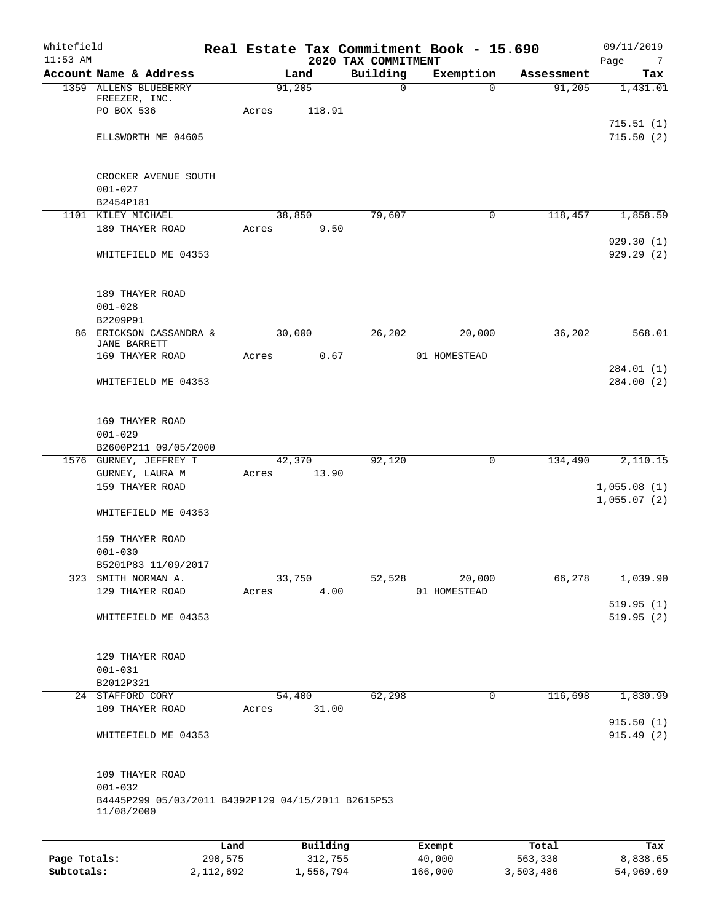| Whitefield<br>$11:53$ AM |                                                                                 |         |             |          | 2020 TAX COMMITMENT | Real Estate Tax Commitment Book - 15.690 |            | 09/11/2019<br>Page<br>$\overline{7}$ |
|--------------------------|---------------------------------------------------------------------------------|---------|-------------|----------|---------------------|------------------------------------------|------------|--------------------------------------|
|                          | Account Name & Address                                                          |         |             | Land     | Building            | Exemption                                | Assessment | Tax                                  |
|                          | 1359 ALLENS BLUEBERRY<br>FREEZER, INC.                                          |         |             | 91,205   | $\Omega$            | $\Omega$                                 | 91,205     | 1,431.01                             |
|                          | PO BOX 536<br>ELLSWORTH ME 04605                                                |         | Acres       | 118.91   |                     |                                          |            | 715.51(1)<br>715.50(2)               |
|                          |                                                                                 |         |             |          |                     |                                          |            |                                      |
|                          | CROCKER AVENUE SOUTH                                                            |         |             |          |                     |                                          |            |                                      |
|                          | $001 - 027$<br>B2454P181                                                        |         |             |          |                     |                                          |            |                                      |
|                          | 1101 KILEY MICHAEL                                                              |         |             | 38,850   | 79,607              | 0                                        | 118,457    | 1,858.59                             |
|                          | 189 THAYER ROAD                                                                 |         | Acres       | 9.50     |                     |                                          |            | 929.30(1)                            |
|                          | WHITEFIELD ME 04353                                                             |         |             |          |                     |                                          |            | 929.29(2)                            |
|                          | 189 THAYER ROAD                                                                 |         |             |          |                     |                                          |            |                                      |
|                          | $001 - 028$                                                                     |         |             |          |                     |                                          |            |                                      |
|                          | B2209P91<br>86 ERICKSON CASSANDRA &                                             |         | 30,000      |          | 26,202              | 20,000                                   | 36,202     | 568.01                               |
|                          | <b>JANE BARRETT</b><br>169 THAYER ROAD                                          |         | Acres       | 0.67     |                     | 01 HOMESTEAD                             |            |                                      |
|                          |                                                                                 |         |             |          |                     |                                          |            | 284.01 (1)                           |
|                          | WHITEFIELD ME 04353                                                             |         |             |          |                     |                                          |            | 284.00(2)                            |
|                          | 169 THAYER ROAD<br>$001 - 029$                                                  |         |             |          |                     |                                          |            |                                      |
|                          | B2600P211 09/05/2000                                                            |         |             |          |                     |                                          |            |                                      |
|                          | 1576 GURNEY, JEFFREY T                                                          |         |             | 42,370   | 92,120              | 0                                        | 134,490    | 2,110.15                             |
|                          | GURNEY, LAURA M<br>159 THAYER ROAD                                              |         | Acres 13.90 |          |                     |                                          |            | 1,055.08(1)                          |
|                          |                                                                                 |         |             |          |                     |                                          |            | 1,055.07(2)                          |
|                          | WHITEFIELD ME 04353                                                             |         |             |          |                     |                                          |            |                                      |
|                          | 159 THAYER ROAD                                                                 |         |             |          |                     |                                          |            |                                      |
|                          | $001 - 030$<br>B5201P83 11/09/2017                                              |         |             |          |                     |                                          |            |                                      |
|                          | 323 SMITH NORMAN A.                                                             |         |             | 33,750   | 52,528              | 20,000                                   | 66,278     | 1,039.90                             |
|                          | 129 THAYER ROAD                                                                 |         | Acres       | 4.00     |                     | 01 HOMESTEAD                             |            |                                      |
|                          | WHITEFIELD ME 04353                                                             |         |             |          |                     |                                          |            | 519.95(1)<br>519.95(2)               |
|                          | 129 THAYER ROAD                                                                 |         |             |          |                     |                                          |            |                                      |
|                          | $001 - 031$                                                                     |         |             |          |                     |                                          |            |                                      |
|                          | B2012P321                                                                       |         |             |          |                     |                                          |            |                                      |
|                          | 24 STAFFORD CORY                                                                |         |             | 54,400   | 62,298              | 0                                        | 116,698    | 1,830.99                             |
|                          | 109 THAYER ROAD                                                                 |         | Acres       | 31.00    |                     |                                          |            | 915.50(1)                            |
|                          | WHITEFIELD ME 04353                                                             |         |             |          |                     |                                          |            | 915.49(2)                            |
|                          | 109 THAYER ROAD                                                                 |         |             |          |                     |                                          |            |                                      |
|                          | $001 - 032$<br>B4445P299 05/03/2011 B4392P129 04/15/2011 B2615P53<br>11/08/2000 |         |             |          |                     |                                          |            |                                      |
|                          |                                                                                 |         |             |          |                     |                                          |            |                                      |
|                          |                                                                                 | Land    |             | Building |                     | Exempt                                   | Total      | Tax                                  |
| Page Totals:             |                                                                                 | 290,575 |             | 312,755  |                     | 40,000                                   | 563,330    | 8,838.65                             |

**Subtotals:** 2,112,692 1,556,794 166,000 3,503,486 54,969.69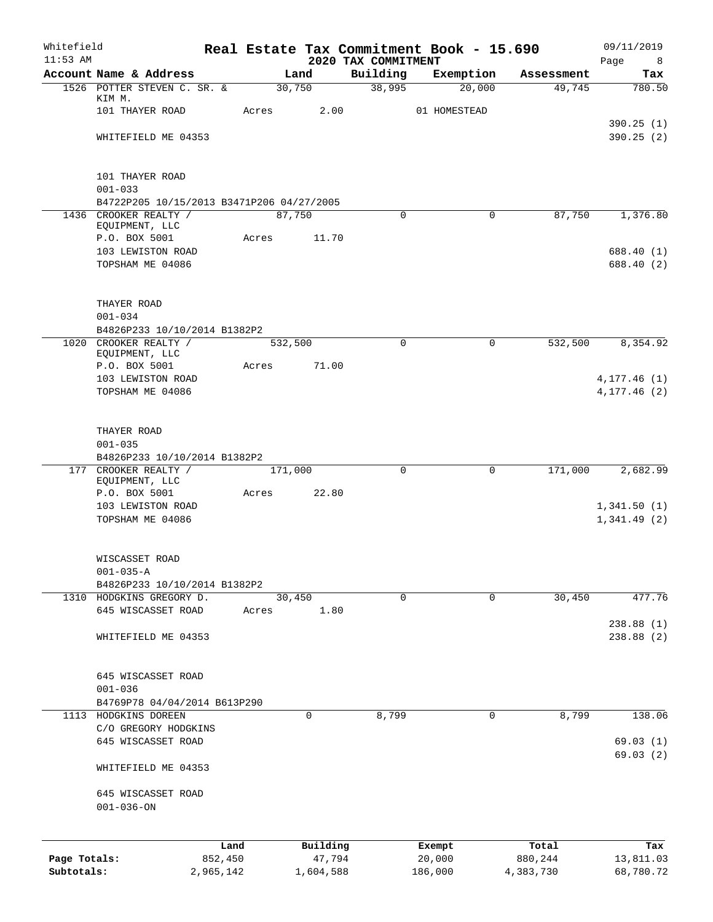| Whitefield<br>$11:53$ AM |                                                          |           |       |           | 2020 TAX COMMITMENT | Real Estate Tax Commitment Book - 15.690 |            | 09/11/2019       |
|--------------------------|----------------------------------------------------------|-----------|-------|-----------|---------------------|------------------------------------------|------------|------------------|
|                          | Account Name & Address                                   |           |       | Land      | Building            | Exemption                                | Assessment | Page<br>8<br>Tax |
|                          | 1526 POTTER STEVEN C. SR. &                              |           |       | 30,750    | 38,995              | 20,000                                   | 49,745     | 780.50           |
|                          | KIM M.<br>101 THAYER ROAD                                |           | Acres | 2.00      |                     | 01 HOMESTEAD                             |            |                  |
|                          |                                                          |           |       |           |                     |                                          |            | 390.25(1)        |
|                          | WHITEFIELD ME 04353                                      |           |       |           |                     |                                          |            | 390.25(2)        |
|                          | 101 THAYER ROAD                                          |           |       |           |                     |                                          |            |                  |
|                          | $001 - 033$                                              |           |       |           |                     |                                          |            |                  |
|                          | B4722P205 10/15/2013 B3471P206 04/27/2005                |           |       |           |                     |                                          |            |                  |
|                          | 1436 CROOKER REALTY /<br>EQUIPMENT, LLC                  |           |       | 87,750    | 0                   | $\Omega$                                 | 87,750     | 1,376.80         |
|                          | P.O. BOX 5001                                            |           | Acres | 11.70     |                     |                                          |            |                  |
|                          | 103 LEWISTON ROAD                                        |           |       |           |                     |                                          |            | 688.40 (1)       |
|                          | TOPSHAM ME 04086                                         |           |       |           |                     |                                          |            | 688.40 (2)       |
|                          | THAYER ROAD                                              |           |       |           |                     |                                          |            |                  |
|                          | $001 - 034$                                              |           |       |           |                     |                                          |            |                  |
|                          | B4826P233 10/10/2014 B1382P2                             |           |       |           |                     |                                          |            |                  |
|                          | 1020 CROOKER REALTY /<br>EQUIPMENT, LLC                  |           |       | 532,500   | $\Omega$            | 0                                        | 532,500    | 8,354.92         |
|                          | P.O. BOX 5001                                            |           | Acres | 71.00     |                     |                                          |            |                  |
|                          | 103 LEWISTON ROAD                                        |           |       |           |                     |                                          |            | 4, 177.46 (1)    |
|                          | TOPSHAM ME 04086                                         |           |       |           |                     |                                          |            | 4, 177.46 (2)    |
|                          | THAYER ROAD                                              |           |       |           |                     |                                          |            |                  |
|                          | $001 - 035$                                              |           |       |           |                     |                                          |            |                  |
|                          | B4826P233 10/10/2014 B1382P2                             |           |       |           |                     |                                          |            |                  |
|                          | 177 CROOKER REALTY /<br>EQUIPMENT, LLC                   |           |       | 171,000   | $\Omega$            | 0                                        | 171,000    | 2,682.99         |
|                          | P.O. BOX 5001                                            |           | Acres | 22.80     |                     |                                          |            |                  |
|                          | 103 LEWISTON ROAD                                        |           |       |           |                     |                                          |            | 1,341.50(1)      |
|                          | TOPSHAM ME 04086                                         |           |       |           |                     |                                          |            | 1,341.49(2)      |
|                          | WISCASSET ROAD                                           |           |       |           |                     |                                          |            |                  |
|                          | $001 - 035 - A$                                          |           |       |           |                     |                                          |            |                  |
|                          | B4826P233 10/10/2014 B1382P2<br>1310 HODGKINS GREGORY D. |           |       | 30,450    | $\mathbf 0$         | $\mathbf 0$                              | 30,450     | 477.76           |
|                          | 645 WISCASSET ROAD                                       |           | Acres | 1.80      |                     |                                          |            |                  |
|                          |                                                          |           |       |           |                     |                                          |            | 238.88(1)        |
|                          | WHITEFIELD ME 04353                                      |           |       |           |                     |                                          |            | 238.88(2)        |
|                          | 645 WISCASSET ROAD                                       |           |       |           |                     |                                          |            |                  |
|                          | $001 - 036$                                              |           |       |           |                     |                                          |            |                  |
|                          | B4769P78 04/04/2014 B613P290                             |           |       |           |                     |                                          |            |                  |
| 1113                     | HODGKINS DOREEN<br>C/O GREGORY HODGKINS                  |           |       | 0         | 8,799               | 0                                        | 8,799      | 138.06           |
|                          | 645 WISCASSET ROAD                                       |           |       |           |                     |                                          |            | 69.03(1)         |
|                          | WHITEFIELD ME 04353                                      |           |       |           |                     |                                          |            | 69.03(2)         |
|                          |                                                          |           |       |           |                     |                                          |            |                  |
|                          | 645 WISCASSET ROAD<br>$001 - 036 - ON$                   |           |       |           |                     |                                          |            |                  |
|                          |                                                          | Land      |       | Building  |                     | Exempt                                   | Total      | Tax              |
| Page Totals:             |                                                          | 852,450   |       | 47,794    |                     | 20,000                                   | 880,244    | 13,811.03        |
| Subtotals:               |                                                          | 2,965,142 |       | 1,604,588 |                     | 186,000                                  | 4,383,730  | 68,780.72        |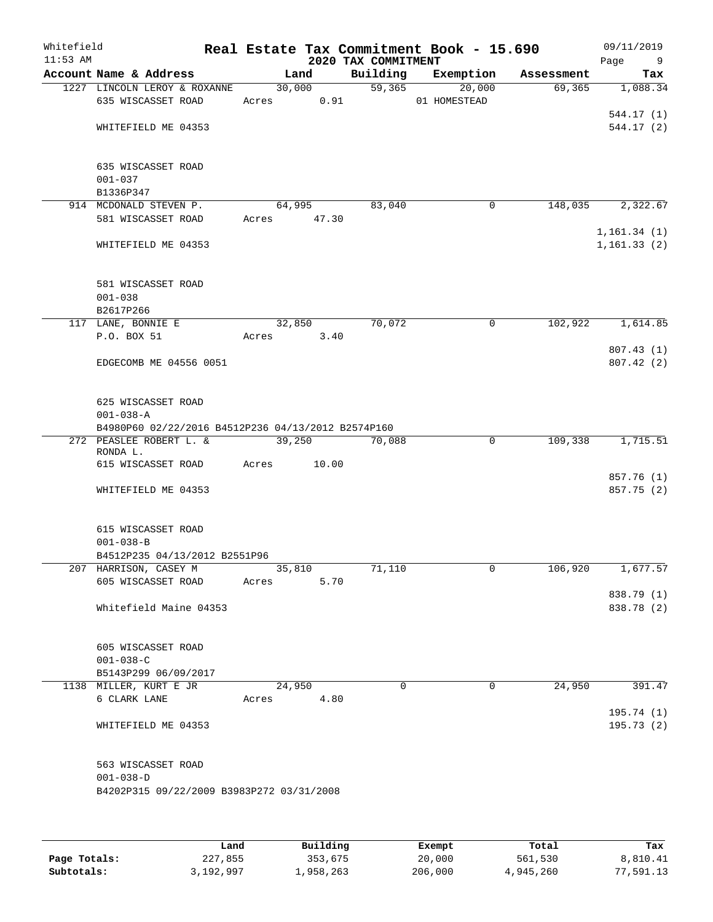| Whitefield<br>$11:53$ AM |                                                               |                       |                | 2020 TAX COMMITMENT | Real Estate Tax Commitment Book - 15.690 |            | 09/11/2019<br>Page<br>9  |
|--------------------------|---------------------------------------------------------------|-----------------------|----------------|---------------------|------------------------------------------|------------|--------------------------|
|                          | Account Name & Address                                        |                       | Land           | Building            | Exemption                                | Assessment | Tax                      |
|                          | 1227 LINCOLN LEROY & ROXANNE<br>635 WISCASSET ROAD            | Acres                 | 30,000<br>0.91 | $\overline{59,365}$ | $\overline{20,000}$<br>01 HOMESTEAD      | 69,365     | 1,088.34                 |
|                          | WHITEFIELD ME 04353                                           |                       |                |                     |                                          |            | 544.17(1)<br>544.17(2)   |
|                          | 635 WISCASSET ROAD<br>$001 - 037$<br>B1336P347                |                       |                |                     |                                          |            |                          |
|                          | 914 MCDONALD STEVEN P.<br>581 WISCASSET ROAD                  | 64,995<br>Acres 47.30 |                | 83,040              | $\mathbf 0$                              | 148,035    | 2,322.67                 |
|                          |                                                               |                       |                |                     |                                          |            | 1, 161.34(1)             |
|                          | WHITEFIELD ME 04353                                           |                       |                |                     |                                          |            | 1, 161.33(2)             |
|                          | 581 WISCASSET ROAD<br>$001 - 038$<br>B2617P266                |                       |                |                     |                                          |            |                          |
|                          | 117 LANE, BONNIE E                                            |                       | 32,850         | 70,072              | 0                                        | 102,922    | 1,614.85                 |
|                          | P.O. BOX 51                                                   | Acres                 | 3.40           |                     |                                          |            | 807.43(1)                |
|                          | EDGECOMB ME 04556 0051                                        |                       |                |                     |                                          |            | 807.42(2)                |
|                          | 625 WISCASSET ROAD<br>$001 - 038 - A$                         |                       |                |                     |                                          |            |                          |
|                          | B4980P60 02/22/2016 B4512P236 04/13/2012 B2574P160            |                       |                |                     |                                          |            |                          |
|                          | 272 PEASLEE ROBERT L. &<br>RONDA L.                           | 39,250                |                | 70,088              | 0                                        | 109,338    | 1,715.51                 |
|                          | 615 WISCASSET ROAD                                            | Acres                 | 10.00          |                     |                                          |            | 857.76 (1)               |
|                          | WHITEFIELD ME 04353                                           |                       |                |                     |                                          |            | 857.75 (2)               |
|                          | 615 WISCASSET ROAD<br>$001 - 038 - B$                         |                       |                |                     |                                          |            |                          |
|                          | B4512P235 04/13/2012 B2551P96<br>207 HARRISON, CASEY M        | 35,810                |                | 71,110              | 0                                        | 106,920    | 1,677.57                 |
|                          | 605 WISCASSET ROAD                                            | Acres                 | 5.70           |                     |                                          |            |                          |
|                          | Whitefield Maine 04353                                        |                       |                |                     |                                          |            | 838.79 (1)<br>838.78 (2) |
|                          | 605 WISCASSET ROAD<br>$001 - 038 - C$<br>B5143P299 06/09/2017 |                       |                |                     |                                          |            |                          |
|                          | 1138 MILLER, KURT E JR                                        | 24,950                |                | $\Omega$            | $\Omega$                                 | 24,950     | 391.47                   |
|                          | 6 CLARK LANE                                                  | Acres                 | 4.80           |                     |                                          |            | 195.74(1)                |
|                          | WHITEFIELD ME 04353                                           |                       |                |                     |                                          |            | 195.73(2)                |
|                          | 563 WISCASSET ROAD<br>$001 - 038 - D$                         |                       |                |                     |                                          |            |                          |
|                          | B4202P315 09/22/2009 B3983P272 03/31/2008                     |                       |                |                     |                                          |            |                          |
|                          |                                                               |                       |                |                     |                                          |            |                          |
|                          |                                                               |                       |                |                     |                                          |            |                          |

|              | Land      | Building  | Exempt  | Total     | Tax       |
|--------------|-----------|-----------|---------|-----------|-----------|
| Page Totals: | 227,855   | 353,675   | 20,000  | 561,530   | 8,810.41  |
| Subtotals:   | 3,192,997 | 1,958,263 | 206,000 | 4,945,260 | 77,591.13 |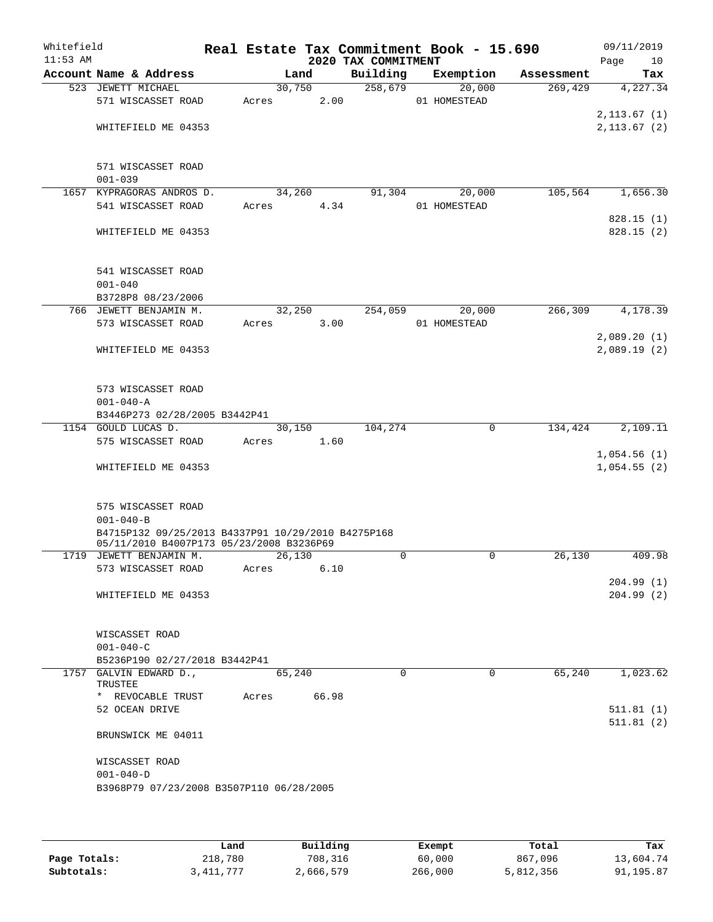| Whitefield<br>$11:53$ AM |                                                    |       |             |      | 2020 TAX COMMITMENT | Real Estate Tax Commitment Book - 15.690 |            | 09/11/2019<br>Page | 10  |
|--------------------------|----------------------------------------------------|-------|-------------|------|---------------------|------------------------------------------|------------|--------------------|-----|
|                          | Account Name & Address                             |       | Land        |      | Building            | Exemption                                | Assessment |                    | Tax |
|                          | 523 JEWETT MICHAEL                                 |       | 30,750      |      | 258,679             | 20,000                                   | 269,429    | 4,227.34           |     |
|                          | 571 WISCASSET ROAD                                 | Acres |             | 2.00 |                     | 01 HOMESTEAD                             |            |                    |     |
|                          |                                                    |       |             |      |                     |                                          |            | 2,113.67(1)        |     |
|                          | WHITEFIELD ME 04353                                |       |             |      |                     |                                          |            | 2, 113.67 (2)      |     |
|                          |                                                    |       |             |      |                     |                                          |            |                    |     |
|                          |                                                    |       |             |      |                     |                                          |            |                    |     |
|                          | 571 WISCASSET ROAD                                 |       |             |      |                     |                                          |            |                    |     |
|                          | $001 - 039$                                        |       |             |      |                     |                                          |            |                    |     |
| 1657                     | KYPRAGORAS ANDROS D.                               |       | 34,260      |      | 91,304              | 20,000                                   | 105,564    | 1,656.30           |     |
|                          | 541 WISCASSET ROAD                                 | Acres |             | 4.34 |                     | 01 HOMESTEAD                             |            |                    |     |
|                          |                                                    |       |             |      |                     |                                          |            | 828.15(1)          |     |
|                          | WHITEFIELD ME 04353                                |       |             |      |                     |                                          |            | 828.15(2)          |     |
|                          |                                                    |       |             |      |                     |                                          |            |                    |     |
|                          |                                                    |       |             |      |                     |                                          |            |                    |     |
|                          | 541 WISCASSET ROAD                                 |       |             |      |                     |                                          |            |                    |     |
|                          | $001 - 040$                                        |       |             |      |                     |                                          |            |                    |     |
|                          | B3728P8 08/23/2006                                 |       |             |      |                     |                                          |            |                    |     |
|                          | 766 JEWETT BENJAMIN M.                             |       | 32,250      |      | 254,059             | 20,000                                   | 266,309    | 4,178.39           |     |
|                          | 573 WISCASSET ROAD                                 | Acres |             | 3.00 |                     | 01 HOMESTEAD                             |            |                    |     |
|                          |                                                    |       |             |      |                     |                                          |            | 2,089.20(1)        |     |
|                          | WHITEFIELD ME 04353                                |       |             |      |                     |                                          |            | 2,089.19(2)        |     |
|                          |                                                    |       |             |      |                     |                                          |            |                    |     |
|                          |                                                    |       |             |      |                     |                                          |            |                    |     |
|                          | 573 WISCASSET ROAD                                 |       |             |      |                     |                                          |            |                    |     |
|                          | $001 - 040 - A$                                    |       |             |      |                     |                                          |            |                    |     |
|                          | B3446P273 02/28/2005 B3442P41                      |       |             |      |                     |                                          |            |                    |     |
|                          | 1154 GOULD LUCAS D.                                |       | 30,150      |      | 104,274             | 0                                        | 134,424    | 2,109.11           |     |
|                          | 575 WISCASSET ROAD                                 | Acres |             | 1.60 |                     |                                          |            |                    |     |
|                          |                                                    |       |             |      |                     |                                          |            | 1,054.56(1)        |     |
|                          | WHITEFIELD ME 04353                                |       |             |      |                     |                                          |            | 1,054.55(2)        |     |
|                          |                                                    |       |             |      |                     |                                          |            |                    |     |
|                          | 575 WISCASSET ROAD                                 |       |             |      |                     |                                          |            |                    |     |
|                          | $001 - 040 - B$                                    |       |             |      |                     |                                          |            |                    |     |
|                          | B4715P132 09/25/2013 B4337P91 10/29/2010 B4275P168 |       |             |      |                     |                                          |            |                    |     |
|                          | 05/11/2010 B4007P173 05/23/2008 B3236P69           |       |             |      |                     |                                          |            |                    |     |
|                          | 1719 JEWETT BENJAMIN M.                            |       | 26,130      |      | $\mathbf 0$         | 0                                        | 26,130     | 409.98             |     |
|                          | 573 WISCASSET ROAD                                 | Acres |             | 6.10 |                     |                                          |            |                    |     |
|                          |                                                    |       |             |      |                     |                                          |            | 204.99(1)          |     |
|                          | WHITEFIELD ME 04353                                |       |             |      |                     |                                          |            | 204.99(2)          |     |
|                          |                                                    |       |             |      |                     |                                          |            |                    |     |
|                          |                                                    |       |             |      |                     |                                          |            |                    |     |
|                          | WISCASSET ROAD                                     |       |             |      |                     |                                          |            |                    |     |
|                          | $001 - 040 - C$                                    |       |             |      |                     |                                          |            |                    |     |
|                          | B5236P190 02/27/2018 B3442P41                      |       |             |      |                     |                                          |            |                    |     |
|                          | 1757 GALVIN EDWARD D.,                             |       | 65,240      |      | $\Omega$            | $\Omega$                                 | 65,240     | 1,023.62           |     |
|                          | TRUSTEE                                            |       |             |      |                     |                                          |            |                    |     |
|                          | * REVOCABLE TRUST                                  |       | Acres 66.98 |      |                     |                                          |            |                    |     |
|                          | 52 OCEAN DRIVE                                     |       |             |      |                     |                                          |            | 511.81(1)          |     |
|                          |                                                    |       |             |      |                     |                                          |            | 511.81(2)          |     |
|                          | BRUNSWICK ME 04011                                 |       |             |      |                     |                                          |            |                    |     |
|                          |                                                    |       |             |      |                     |                                          |            |                    |     |
|                          | WISCASSET ROAD                                     |       |             |      |                     |                                          |            |                    |     |
|                          | $001 - 040 - D$                                    |       |             |      |                     |                                          |            |                    |     |
|                          | B3968P79 07/23/2008 B3507P110 06/28/2005           |       |             |      |                     |                                          |            |                    |     |
|                          |                                                    |       |             |      |                     |                                          |            |                    |     |

|              | Land      | Building  | Exempt  | Total     | Tax       |
|--------------|-----------|-----------|---------|-----------|-----------|
| Page Totals: | 218,780   | 708,316   | 60,000  | 867,096   | 13,604.74 |
| Subtotals:   | 3,411,777 | 2,666,579 | 266,000 | 5,812,356 | 91,195.87 |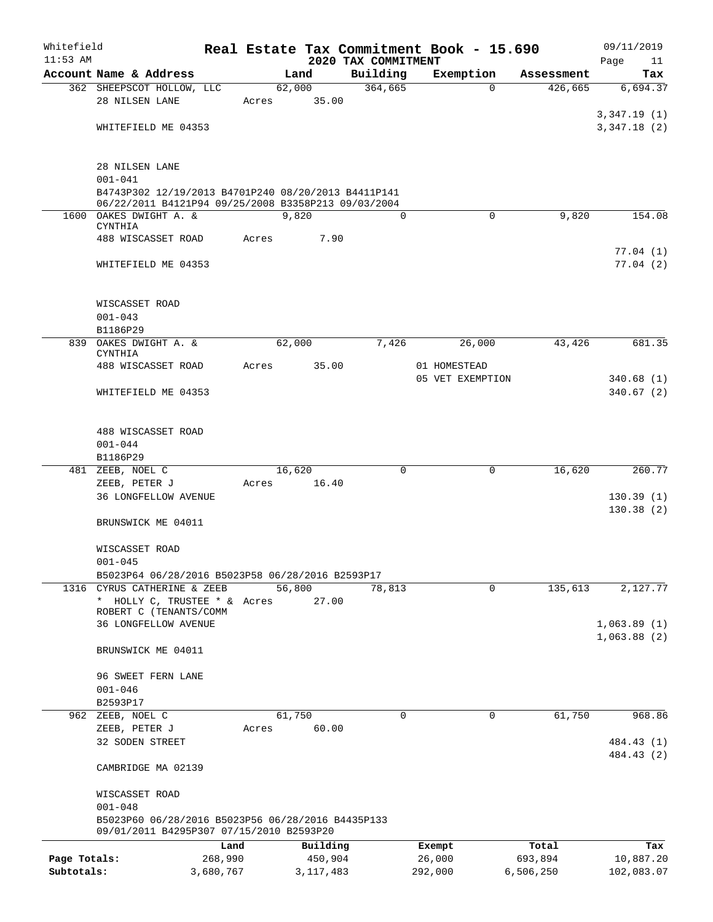| Whitefield   |                                                                                               |           |       |                |             |                     | Real Estate Tax Commitment Book - 15.690 |                     | 09/11/2019      |
|--------------|-----------------------------------------------------------------------------------------------|-----------|-------|----------------|-------------|---------------------|------------------------------------------|---------------------|-----------------|
| $11:53$ AM   | Account Name & Address                                                                        |           |       |                |             | 2020 TAX COMMITMENT |                                          | Assessment          | Page<br>11      |
|              | 362 SHEEPSCOT HOLLOW, LLC                                                                     |           |       | Land<br>62,000 |             | Building<br>364,665 | Exemption                                | 426,665<br>$\Omega$ | Tax<br>6,694.37 |
|              | 28 NILSEN LANE                                                                                |           | Acres |                | 35.00       |                     |                                          |                     |                 |
|              |                                                                                               |           |       |                |             |                     |                                          |                     | 3,347.19(1)     |
|              | WHITEFIELD ME 04353                                                                           |           |       |                |             |                     |                                          |                     | 3,347.18(2)     |
|              |                                                                                               |           |       |                |             |                     |                                          |                     |                 |
|              |                                                                                               |           |       |                |             |                     |                                          |                     |                 |
|              | 28 NILSEN LANE                                                                                |           |       |                |             |                     |                                          |                     |                 |
|              | $001 - 041$<br>B4743P302 12/19/2013 B4701P240 08/20/2013 B4411P141                            |           |       |                |             |                     |                                          |                     |                 |
|              | 06/22/2011 B4121P94 09/25/2008 B3358P213 09/03/2004                                           |           |       |                |             |                     |                                          |                     |                 |
|              | 1600 OAKES DWIGHT A. &                                                                        |           |       | 9,820          |             | $\Omega$            |                                          | $\Omega$<br>9,820   | 154.08          |
|              | CYNTHIA                                                                                       |           |       |                |             |                     |                                          |                     |                 |
|              | 488 WISCASSET ROAD                                                                            |           | Acres |                | 7.90        |                     |                                          |                     | 77.04(1)        |
|              | WHITEFIELD ME 04353                                                                           |           |       |                |             |                     |                                          |                     | 77.04(2)        |
|              |                                                                                               |           |       |                |             |                     |                                          |                     |                 |
|              |                                                                                               |           |       |                |             |                     |                                          |                     |                 |
|              | WISCASSET ROAD                                                                                |           |       |                |             |                     |                                          |                     |                 |
|              | $001 - 043$                                                                                   |           |       |                |             |                     |                                          |                     |                 |
|              | B1186P29                                                                                      |           |       |                |             |                     |                                          |                     |                 |
|              | 839 OAKES DWIGHT A. &<br>CYNTHIA                                                              |           |       | 62,000         |             | 7,426               | 26,000                                   | 43,426              | 681.35          |
|              | 488 WISCASSET ROAD                                                                            |           | Acres |                | 35.00       |                     | 01 HOMESTEAD                             |                     |                 |
|              |                                                                                               |           |       |                |             |                     | 05 VET EXEMPTION                         |                     | 340.68(1)       |
|              | WHITEFIELD ME 04353                                                                           |           |       |                |             |                     |                                          |                     | 340.67(2)       |
|              |                                                                                               |           |       |                |             |                     |                                          |                     |                 |
|              |                                                                                               |           |       |                |             |                     |                                          |                     |                 |
|              | 488 WISCASSET ROAD                                                                            |           |       |                |             |                     |                                          |                     |                 |
|              | $001 - 044$                                                                                   |           |       |                |             |                     |                                          |                     |                 |
|              | B1186P29                                                                                      |           |       |                |             |                     |                                          |                     |                 |
|              | 481 ZEEB, NOEL C                                                                              |           | Acres | 16,620         | 16.40       | $\Omega$            |                                          | 16,620<br>0         | 260.77          |
|              | ZEEB, PETER J<br><b>36 LONGFELLOW AVENUE</b>                                                  |           |       |                |             |                     |                                          |                     | 130.39(1)       |
|              |                                                                                               |           |       |                |             |                     |                                          |                     | 130.38(2)       |
|              | BRUNSWICK ME 04011                                                                            |           |       |                |             |                     |                                          |                     |                 |
|              |                                                                                               |           |       |                |             |                     |                                          |                     |                 |
|              | WISCASSET ROAD                                                                                |           |       |                |             |                     |                                          |                     |                 |
|              | $001 - 045$                                                                                   |           |       |                |             |                     |                                          |                     |                 |
|              | B5023P64 06/28/2016 B5023P58 06/28/2016 B2593P17                                              |           |       |                |             |                     |                                          |                     |                 |
|              | 1316 CYRUS CATHERINE & ZEEB                                                                   |           |       | 56,800         |             | 78,813              |                                          | 135,613<br>0        | 2,127.77        |
|              | * HOLLY C, TRUSTEE * & Acres<br>ROBERT C (TENANTS/COMM                                        |           |       |                | 27.00       |                     |                                          |                     |                 |
|              | <b>36 LONGFELLOW AVENUE</b>                                                                   |           |       |                |             |                     |                                          |                     | 1,063.89(1)     |
|              |                                                                                               |           |       |                |             |                     |                                          |                     | 1,063.88(2)     |
|              | BRUNSWICK ME 04011                                                                            |           |       |                |             |                     |                                          |                     |                 |
|              |                                                                                               |           |       |                |             |                     |                                          |                     |                 |
|              | 96 SWEET FERN LANE                                                                            |           |       |                |             |                     |                                          |                     |                 |
|              | $001 - 046$                                                                                   |           |       |                |             |                     |                                          |                     |                 |
|              | B2593P17                                                                                      |           |       |                |             |                     |                                          |                     |                 |
|              | 962 ZEEB, NOEL C                                                                              |           |       | 61,750         | 60.00       | 0                   |                                          | 61,750<br>0         | 968.86          |
|              | ZEEB, PETER J<br>32 SODEN STREET                                                              |           | Acres |                |             |                     |                                          |                     | 484.43 (1)      |
|              |                                                                                               |           |       |                |             |                     |                                          |                     | 484.43 (2)      |
|              | CAMBRIDGE MA 02139                                                                            |           |       |                |             |                     |                                          |                     |                 |
|              |                                                                                               |           |       |                |             |                     |                                          |                     |                 |
|              | WISCASSET ROAD                                                                                |           |       |                |             |                     |                                          |                     |                 |
|              | $001 - 048$                                                                                   |           |       |                |             |                     |                                          |                     |                 |
|              | B5023P60 06/28/2016 B5023P56 06/28/2016 B4435P133<br>09/01/2011 B4295P307 07/15/2010 B2593P20 |           |       |                |             |                     |                                          |                     |                 |
|              |                                                                                               | Land      |       |                | Building    |                     | Exempt                                   | Total               | Tax             |
| Page Totals: |                                                                                               | 268,990   |       |                | 450,904     |                     | 26,000                                   | 693,894             | 10,887.20       |
| Subtotals:   |                                                                                               | 3,680,767 |       |                | 3, 117, 483 |                     | 292,000                                  | 6,506,250           | 102,083.07      |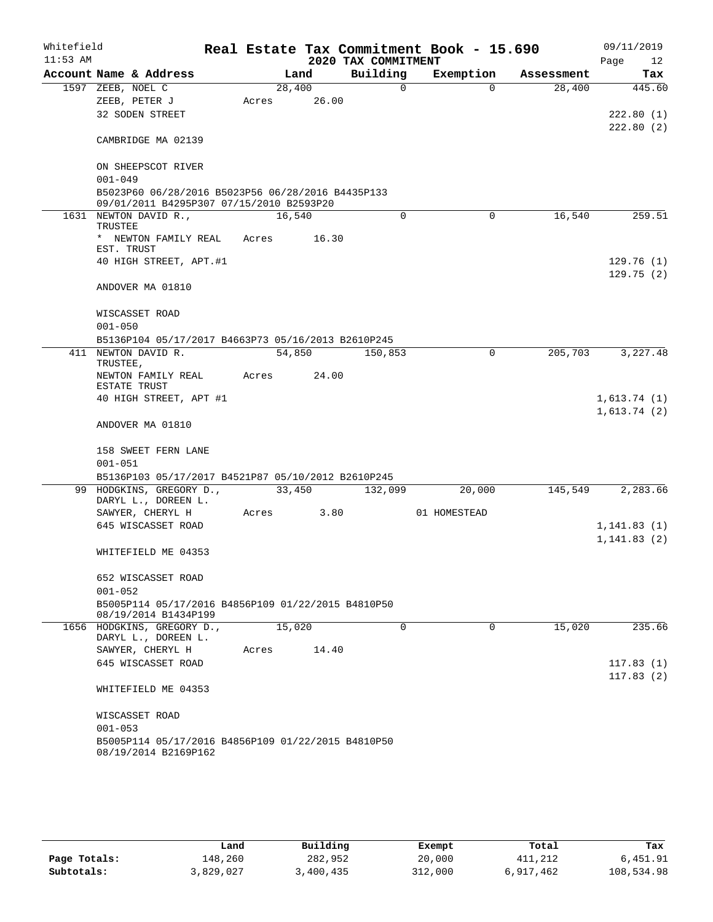| Whitefield |                                                                            |       |        |       |                     | Real Estate Tax Commitment Book - 15.690 |            |      | 09/11/2019   |
|------------|----------------------------------------------------------------------------|-------|--------|-------|---------------------|------------------------------------------|------------|------|--------------|
| $11:53$ AM |                                                                            |       |        |       | 2020 TAX COMMITMENT |                                          |            | Page | 12           |
|            | Account Name & Address                                                     |       | Land   |       | Building            | Exemption                                | Assessment |      | Tax          |
|            | 1597 ZEEB, NOEL C                                                          |       | 28,400 |       | $\Omega$            | $\Omega$                                 | 28,400     |      | 445.60       |
|            | ZEEB, PETER J                                                              | Acres |        | 26.00 |                     |                                          |            |      |              |
|            | 32 SODEN STREET                                                            |       |        |       |                     |                                          |            |      | 222.80 (1)   |
|            |                                                                            |       |        |       |                     |                                          |            |      | 222.80(2)    |
|            | CAMBRIDGE MA 02139                                                         |       |        |       |                     |                                          |            |      |              |
|            |                                                                            |       |        |       |                     |                                          |            |      |              |
|            | ON SHEEPSCOT RIVER                                                         |       |        |       |                     |                                          |            |      |              |
|            | $001 - 049$                                                                |       |        |       |                     |                                          |            |      |              |
|            | B5023P60 06/28/2016 B5023P56 06/28/2016 B4435P133                          |       |        |       |                     |                                          |            |      |              |
|            | 09/01/2011 B4295P307 07/15/2010 B2593P20                                   |       |        |       |                     |                                          |            |      |              |
|            | 1631 NEWTON DAVID R.,                                                      |       | 16,540 |       | $\Omega$            | $\Omega$                                 | 16,540     |      | 259.51       |
|            | TRUSTEE                                                                    |       |        |       |                     |                                          |            |      |              |
|            | * NEWTON FAMILY REAL<br>EST. TRUST                                         | Acres |        | 16.30 |                     |                                          |            |      |              |
|            | 40 HIGH STREET, APT.#1                                                     |       |        |       |                     |                                          |            |      | 129.76(1)    |
|            |                                                                            |       |        |       |                     |                                          |            |      | 129.75(2)    |
|            | ANDOVER MA 01810                                                           |       |        |       |                     |                                          |            |      |              |
|            |                                                                            |       |        |       |                     |                                          |            |      |              |
|            | WISCASSET ROAD                                                             |       |        |       |                     |                                          |            |      |              |
|            | $001 - 050$                                                                |       |        |       |                     |                                          |            |      |              |
|            | B5136P104 05/17/2017 B4663P73 05/16/2013 B2610P245                         |       |        |       |                     |                                          |            |      |              |
| 411        | NEWTON DAVID R.                                                            |       | 54,850 |       | 150,853             | 0                                        | 205,703    |      | 3,227.48     |
|            | TRUSTEE,                                                                   |       |        |       |                     |                                          |            |      |              |
|            | NEWTON FAMILY REAL<br>ESTATE TRUST                                         | Acres |        | 24.00 |                     |                                          |            |      |              |
|            | 40 HIGH STREET, APT #1                                                     |       |        |       |                     |                                          |            |      | 1,613.74(1)  |
|            |                                                                            |       |        |       |                     |                                          |            |      | 1,613.74(2)  |
|            | ANDOVER MA 01810                                                           |       |        |       |                     |                                          |            |      |              |
|            |                                                                            |       |        |       |                     |                                          |            |      |              |
|            | 158 SWEET FERN LANE                                                        |       |        |       |                     |                                          |            |      |              |
|            | $001 - 051$                                                                |       |        |       |                     |                                          |            |      |              |
|            | B5136P103 05/17/2017 B4521P87 05/10/2012 B2610P245                         |       |        |       |                     |                                          |            |      |              |
|            | 99 HODGKINS, GREGORY D.,                                                   |       | 33,450 |       | 132,099             | 20,000                                   | 145,549    |      | 2,283.66     |
|            | DARYL L., DOREEN L.                                                        |       |        |       |                     |                                          |            |      |              |
|            | SAWYER, CHERYL H                                                           | Acres |        | 3.80  |                     | 01 HOMESTEAD                             |            |      |              |
|            | 645 WISCASSET ROAD                                                         |       |        |       |                     |                                          |            |      | 1,141.83(1)  |
|            |                                                                            |       |        |       |                     |                                          |            |      | 1, 141.83(2) |
|            | WHITEFIELD ME 04353                                                        |       |        |       |                     |                                          |            |      |              |
|            |                                                                            |       |        |       |                     |                                          |            |      |              |
|            | 652 WISCASSET ROAD                                                         |       |        |       |                     |                                          |            |      |              |
|            | $001 - 052$                                                                |       |        |       |                     |                                          |            |      |              |
|            | B5005P114 05/17/2016 B4856P109 01/22/2015 B4810P50                         |       |        |       |                     |                                          |            |      |              |
|            | 08/19/2014 B1434P199                                                       |       |        |       |                     |                                          |            |      |              |
|            | 1656 HODGKINS, GREGORY D.,                                                 |       | 15,020 |       | $\Omega$            | $\Omega$                                 | 15,020     |      | 235.66       |
|            | DARYL L., DOREEN L.                                                        |       |        |       |                     |                                          |            |      |              |
|            | SAWYER, CHERYL H                                                           | Acres |        | 14.40 |                     |                                          |            |      |              |
|            | 645 WISCASSET ROAD                                                         |       |        |       |                     |                                          |            |      | 117.83(1)    |
|            |                                                                            |       |        |       |                     |                                          |            |      | 117.83(2)    |
|            | WHITEFIELD ME 04353                                                        |       |        |       |                     |                                          |            |      |              |
|            |                                                                            |       |        |       |                     |                                          |            |      |              |
|            | WISCASSET ROAD                                                             |       |        |       |                     |                                          |            |      |              |
|            | $001 - 053$                                                                |       |        |       |                     |                                          |            |      |              |
|            | B5005P114 05/17/2016 B4856P109 01/22/2015 B4810P50<br>08/19/2014 B2169P162 |       |        |       |                     |                                          |            |      |              |
|            |                                                                            |       |        |       |                     |                                          |            |      |              |

|              | Land      | Building  | Exempt  | Total     | Tax        |
|--------------|-----------|-----------|---------|-----------|------------|
| Page Totals: | 148,260   | 282,952   | 20,000  | 411,212   | 6,451.91   |
| Subtotals:   | 3,829,027 | 3,400,435 | 312,000 | 6,917,462 | 108,534.98 |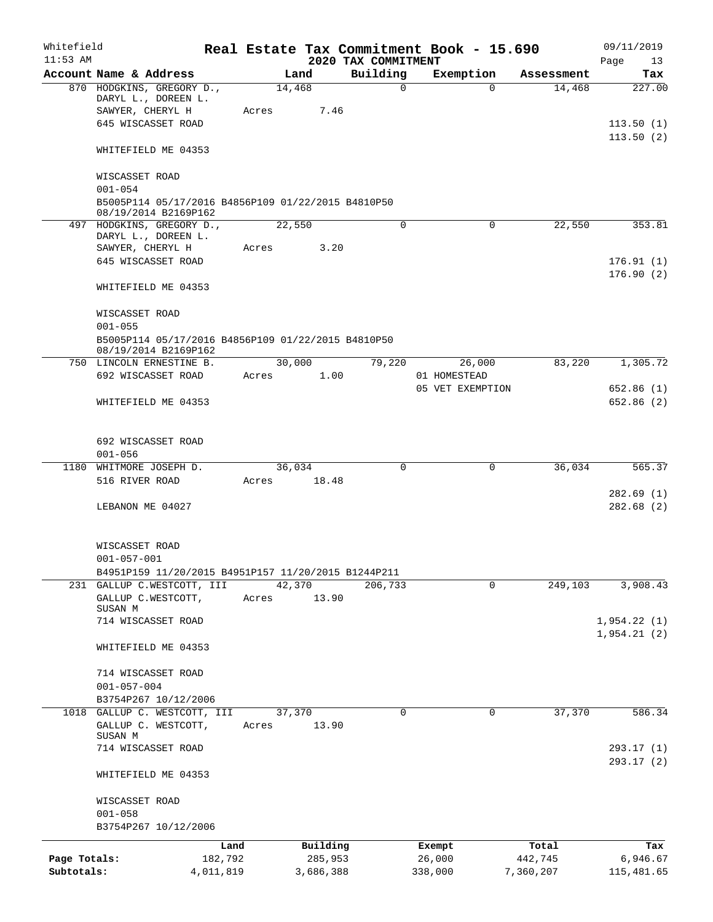| Whitefield<br>$11:53$ AM   |                                                                            |                      |        |                      | 2020 TAX COMMITMENT | Real Estate Tax Commitment Book - 15.690 |                      | 09/11/2019                 |
|----------------------------|----------------------------------------------------------------------------|----------------------|--------|----------------------|---------------------|------------------------------------------|----------------------|----------------------------|
|                            | Account Name & Address                                                     |                      | Land   |                      | Building            | Exemption                                | Assessment           | Page<br>13<br>Tax          |
|                            | 870 HODGKINS, GREGORY D.,<br>DARYL L., DOREEN L.                           |                      | 14,468 |                      | $\mathbf 0$         |                                          | $\Omega$<br>14,468   | 227.00                     |
|                            | SAWYER, CHERYL H<br>645 WISCASSET ROAD                                     | Acres                |        | 7.46                 |                     |                                          |                      | 113.50(1)                  |
|                            | WHITEFIELD ME 04353                                                        |                      |        |                      |                     |                                          |                      | 113.50(2)                  |
|                            | WISCASSET ROAD<br>$001 - 054$                                              |                      |        |                      |                     |                                          |                      |                            |
|                            | B5005P114 05/17/2016 B4856P109 01/22/2015 B4810P50<br>08/19/2014 B2169P162 |                      |        |                      |                     |                                          |                      |                            |
|                            | 497 HODGKINS, GREGORY D.,<br>DARYL L., DOREEN L.                           |                      | 22,550 |                      | 0                   |                                          | 22,550<br>0          | 353.81                     |
|                            | SAWYER, CHERYL H<br>645 WISCASSET ROAD                                     | Acres                |        | 3.20                 |                     |                                          |                      | 176.91(1)<br>176.90(2)     |
|                            | WHITEFIELD ME 04353                                                        |                      |        |                      |                     |                                          |                      |                            |
|                            | WISCASSET ROAD<br>$001 - 055$                                              |                      |        |                      |                     |                                          |                      |                            |
|                            | B5005P114 05/17/2016 B4856P109 01/22/2015 B4810P50<br>08/19/2014 B2169P162 |                      |        |                      |                     |                                          |                      |                            |
|                            | 750 LINCOLN ERNESTINE B.                                                   |                      | 30,000 |                      | 79,220              | 26,000                                   | 83,220               | 1,305.72                   |
|                            | 692 WISCASSET ROAD                                                         | Acres                |        | 1.00                 |                     | 01 HOMESTEAD<br>05 VET EXEMPTION         |                      | 652.86(1)                  |
|                            | WHITEFIELD ME 04353                                                        |                      |        |                      |                     |                                          |                      | 652.86 (2)                 |
|                            | 692 WISCASSET ROAD<br>$001 - 056$                                          |                      |        |                      |                     |                                          |                      |                            |
|                            | 1180 WHITMORE JOSEPH D.                                                    |                      | 36,034 |                      | 0                   |                                          | $\Omega$<br>36,034   | 565.37                     |
|                            | 516 RIVER ROAD                                                             | Acres                |        | 18.48                |                     |                                          |                      | 282.69(1)                  |
|                            | LEBANON ME 04027                                                           |                      |        |                      |                     |                                          |                      | 282.68(2)                  |
|                            | WISCASSET ROAD<br>$001 - 057 - 001$                                        |                      |        |                      |                     |                                          |                      |                            |
|                            | B4951P159 11/20/2015 B4951P157 11/20/2015 B1244P211                        |                      |        |                      |                     |                                          |                      |                            |
|                            | 231 GALLUP C.WESTCOTT, III                                                 |                      | 42,370 |                      | 206,733             |                                          | 249,103<br>0         | 3,908.43                   |
|                            | GALLUP C.WESTCOTT,<br>SUSAN M                                              | Acres                |        | 13.90                |                     |                                          |                      |                            |
|                            | 714 WISCASSET ROAD                                                         |                      |        |                      |                     |                                          |                      | 1,954.22(1)<br>1,954.21(2) |
|                            | WHITEFIELD ME 04353                                                        |                      |        |                      |                     |                                          |                      |                            |
|                            | 714 WISCASSET ROAD<br>$001 - 057 - 004$                                    |                      |        |                      |                     |                                          |                      |                            |
|                            | B3754P267 10/12/2006                                                       |                      |        |                      |                     |                                          |                      |                            |
|                            | 1018 GALLUP C. WESTCOTT, III<br>GALLUP C. WESTCOTT,<br>SUSAN M             | Acres                | 37,370 | 13.90                | 0                   |                                          | 37,370<br>0          | 586.34                     |
|                            | 714 WISCASSET ROAD                                                         |                      |        |                      |                     |                                          |                      | 293.17(1)<br>293.17(2)     |
|                            | WHITEFIELD ME 04353                                                        |                      |        |                      |                     |                                          |                      |                            |
|                            | WISCASSET ROAD<br>$001 - 058$                                              |                      |        |                      |                     |                                          |                      |                            |
|                            | B3754P267 10/12/2006                                                       |                      |        |                      |                     |                                          |                      |                            |
|                            |                                                                            | Land                 |        | Building             |                     | Exempt                                   | Total                | Tax                        |
| Page Totals:<br>Subtotals: |                                                                            | 182,792<br>4,011,819 |        | 285,953<br>3,686,388 |                     | 26,000<br>338,000                        | 442,745<br>7,360,207 | 6,946.67<br>115,481.65     |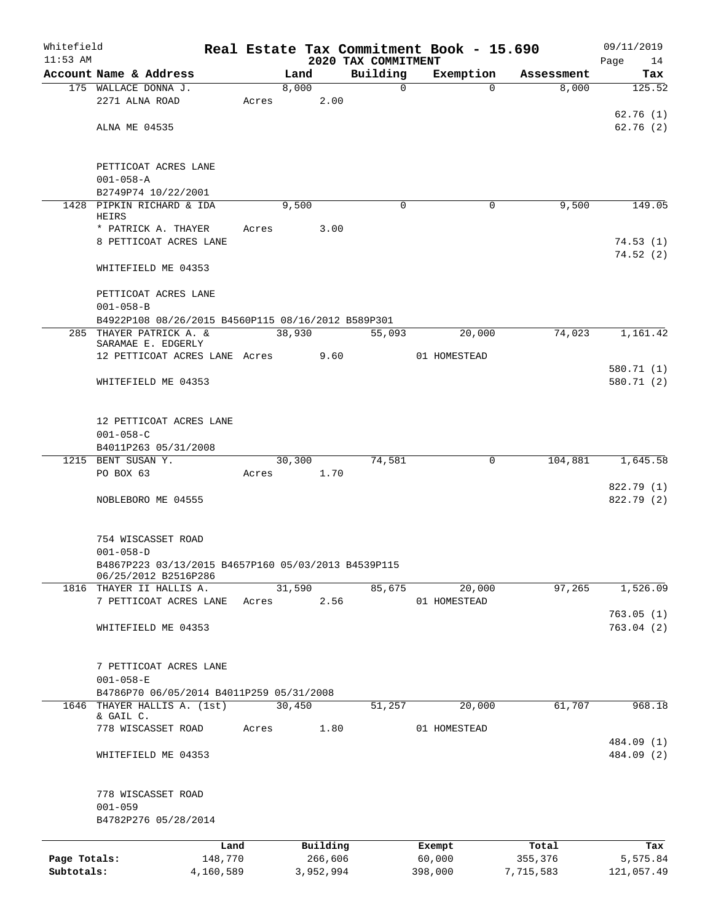| Whitefield<br>$11:53$ AM |                                                     |           |            |           | 2020 TAX COMMITMENT | Real Estate Tax Commitment Book - 15.690 |            | 09/11/2019<br>Page<br>14 |
|--------------------------|-----------------------------------------------------|-----------|------------|-----------|---------------------|------------------------------------------|------------|--------------------------|
|                          | Account Name & Address                              |           | Land       |           | Building            | Exemption                                | Assessment | Tax                      |
|                          | 175 WALLACE DONNA J.                                |           | 8,000      |           | $\mathbf 0$         | $\Omega$                                 | 8,000      | 125.52                   |
|                          | 2271 ALNA ROAD                                      |           | Acres      | 2.00      |                     |                                          |            |                          |
|                          |                                                     |           |            |           |                     |                                          |            | 62.76(1)                 |
|                          | ALNA ME 04535                                       |           |            |           |                     |                                          |            | 62.76(2)                 |
|                          |                                                     |           |            |           |                     |                                          |            |                          |
|                          |                                                     |           |            |           |                     |                                          |            |                          |
|                          | PETTICOAT ACRES LANE                                |           |            |           |                     |                                          |            |                          |
|                          | $001 - 058 - A$                                     |           |            |           |                     |                                          |            |                          |
|                          | B2749P74 10/22/2001                                 |           |            |           |                     |                                          |            |                          |
|                          | 1428 PIPKIN RICHARD & IDA<br>HEIRS                  |           | 9,500      |           | 0                   | 0                                        | 9,500      | 149.05                   |
|                          | * PATRICK A. THAYER                                 |           | Acres 3.00 |           |                     |                                          |            |                          |
|                          | 8 PETTICOAT ACRES LANE                              |           |            |           |                     |                                          |            | 74.53(1)                 |
|                          |                                                     |           |            |           |                     |                                          |            | 74.52(2)                 |
|                          | WHITEFIELD ME 04353                                 |           |            |           |                     |                                          |            |                          |
|                          |                                                     |           |            |           |                     |                                          |            |                          |
|                          | PETTICOAT ACRES LANE                                |           |            |           |                     |                                          |            |                          |
|                          | $001 - 058 - B$                                     |           |            |           |                     |                                          |            |                          |
|                          | B4922P108 08/26/2015 B4560P115 08/16/2012 B589P301  |           |            |           |                     |                                          |            |                          |
|                          | 285 THAYER PATRICK A. &                             |           | 38,930     |           | 55,093              | 20,000                                   | 74,023     | 1,161.42                 |
|                          | SARAMAE E. EDGERLY                                  |           |            |           |                     |                                          |            |                          |
|                          | 12 PETTICOAT ACRES LANE Acres 9.60                  |           |            |           |                     | 01 HOMESTEAD                             |            |                          |
|                          |                                                     |           |            |           |                     |                                          |            | 580.71 (1)               |
|                          | WHITEFIELD ME 04353                                 |           |            |           |                     |                                          |            | 580.71 (2)               |
|                          |                                                     |           |            |           |                     |                                          |            |                          |
|                          |                                                     |           |            |           |                     |                                          |            |                          |
|                          | 12 PETTICOAT ACRES LANE                             |           |            |           |                     |                                          |            |                          |
|                          | $001 - 058 - C$                                     |           |            |           |                     |                                          |            |                          |
|                          | B4011P263 05/31/2008                                |           |            |           |                     |                                          |            |                          |
|                          | 1215 BENT SUSAN Y.                                  |           | 30,300     |           | 74,581              | 0                                        |            | 104,881 1,645.58         |
|                          | PO BOX 63                                           |           | Acres 1.70 |           |                     |                                          |            |                          |
|                          | NOBLEBORO ME 04555                                  |           |            |           |                     |                                          |            | 822.79 (1)<br>822.79 (2) |
|                          |                                                     |           |            |           |                     |                                          |            |                          |
|                          |                                                     |           |            |           |                     |                                          |            |                          |
|                          | 754 WISCASSET ROAD                                  |           |            |           |                     |                                          |            |                          |
|                          | $001 - 058 - D$                                     |           |            |           |                     |                                          |            |                          |
|                          | B4867P223 03/13/2015 B4657P160 05/03/2013 B4539P115 |           |            |           |                     |                                          |            |                          |
|                          | 06/25/2012 B2516P286                                |           |            |           |                     |                                          |            |                          |
|                          | 1816 THAYER II HALLIS A.                            |           | 31,590     |           | 85,675              | 20,000                                   | 97,265     | 1,526.09                 |
|                          | 7 PETTICOAT ACRES LANE                              | Acres     |            | 2.56      |                     | 01 HOMESTEAD                             |            |                          |
|                          |                                                     |           |            |           |                     |                                          |            | 763.05(1)                |
|                          | WHITEFIELD ME 04353                                 |           |            |           |                     |                                          |            | 763.04(2)                |
|                          |                                                     |           |            |           |                     |                                          |            |                          |
|                          |                                                     |           |            |           |                     |                                          |            |                          |
|                          | 7 PETTICOAT ACRES LANE                              |           |            |           |                     |                                          |            |                          |
|                          | $001 - 058 - E$                                     |           |            |           |                     |                                          |            |                          |
|                          | B4786P70 06/05/2014 B4011P259 05/31/2008            |           |            |           |                     |                                          |            |                          |
|                          | 1646 THAYER HALLIS A. (1st)<br>& GAIL C.            |           | 30,450     |           | 51,257              | 20,000                                   | 61,707     | 968.18                   |
|                          | 778 WISCASSET ROAD                                  | Acres     |            | 1.80      |                     | 01 HOMESTEAD                             |            |                          |
|                          |                                                     |           |            |           |                     |                                          |            | 484.09 (1)               |
|                          | WHITEFIELD ME 04353                                 |           |            |           |                     |                                          |            | 484.09 (2)               |
|                          |                                                     |           |            |           |                     |                                          |            |                          |
|                          |                                                     |           |            |           |                     |                                          |            |                          |
|                          | 778 WISCASSET ROAD                                  |           |            |           |                     |                                          |            |                          |
|                          | $001 - 059$                                         |           |            |           |                     |                                          |            |                          |
|                          | B4782P276 05/28/2014                                |           |            |           |                     |                                          |            |                          |
|                          |                                                     |           |            |           |                     |                                          |            |                          |
|                          |                                                     | Land      |            | Building  |                     | Exempt                                   | Total      | Tax                      |
| Page Totals:             |                                                     | 148,770   |            | 266,606   |                     | 60,000                                   | 355,376    | 5,575.84                 |
| Subtotals:               |                                                     | 4,160,589 |            | 3,952,994 |                     | 398,000                                  | 7,715,583  | 121,057.49               |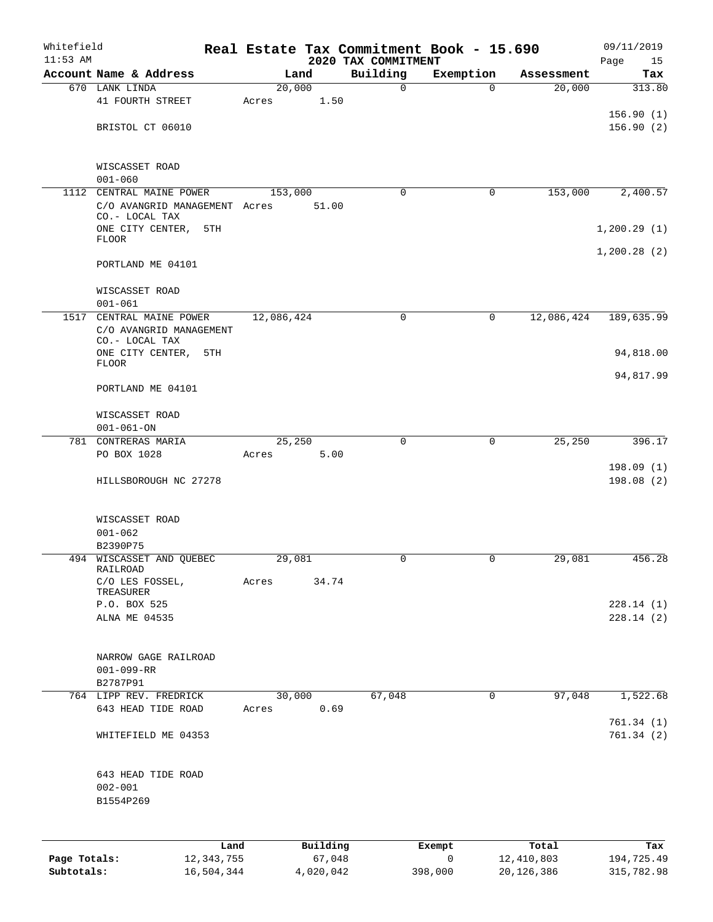| Whitefield<br>$11:53$ AM |                                                                  |                      |            |                    | 2020 TAX COMMITMENT | Real Estate Tax Commitment Book - 15.690 |                     | 09/11/2019<br>Page<br>15 |
|--------------------------|------------------------------------------------------------------|----------------------|------------|--------------------|---------------------|------------------------------------------|---------------------|--------------------------|
|                          | Account Name & Address                                           |                      | Land       |                    | Building            | Exemption                                | Assessment          | Tax                      |
|                          | 670 LANK LINDA                                                   |                      | 20,000     |                    | $\mathbf 0$         | $\Omega$                                 | 20,000              | 313.80                   |
|                          | 41 FOURTH STREET                                                 |                      | Acres      | 1.50               |                     |                                          |                     |                          |
|                          |                                                                  |                      |            |                    |                     |                                          |                     | 156.90(1)                |
|                          | BRISTOL CT 06010                                                 |                      |            |                    |                     |                                          |                     | 156.90(2)                |
|                          | WISCASSET ROAD<br>$001 - 060$                                    |                      |            |                    |                     |                                          |                     |                          |
| 1112                     | CENTRAL MAINE POWER                                              |                      | 153,000    |                    | $\mathbf 0$         | 0                                        | 153,000             | 2,400.57                 |
|                          | C/O AVANGRID MANAGEMENT Acres<br>CO.- LOCAL TAX                  |                      |            | 51.00              |                     |                                          |                     |                          |
|                          | ONE CITY CENTER,<br>FLOOR                                        | 5TH                  |            |                    |                     |                                          |                     | 1,200.29(1)              |
|                          | PORTLAND ME 04101                                                |                      |            |                    |                     |                                          |                     | 1,200.28(2)              |
|                          | WISCASSET ROAD                                                   |                      |            |                    |                     |                                          |                     |                          |
|                          | $001 - 061$                                                      |                      |            |                    |                     |                                          |                     |                          |
| 1517                     | CENTRAL MAINE POWER<br>C/O AVANGRID MANAGEMENT<br>CO.- LOCAL TAX |                      | 12,086,424 |                    | 0                   | 0                                        | 12,086,424          | 189,635.99               |
|                          | ONE CITY CENTER, 5TH<br><b>FLOOR</b>                             |                      |            |                    |                     |                                          |                     | 94,818.00                |
|                          | PORTLAND ME 04101                                                |                      |            |                    |                     |                                          |                     | 94,817.99                |
|                          | WISCASSET ROAD                                                   |                      |            |                    |                     |                                          |                     |                          |
|                          | $001 - 061 - ON$                                                 |                      |            |                    |                     |                                          |                     |                          |
|                          | 781 CONTRERAS MARIA                                              |                      | 25,250     |                    | $\mathbf 0$         | 0                                        | 25,250              | 396.17                   |
|                          | PO BOX 1028                                                      |                      | Acres      | 5.00               |                     |                                          |                     | 198.09(1)                |
|                          | HILLSBOROUGH NC 27278                                            |                      |            |                    |                     |                                          |                     | 198.08(2)                |
|                          | WISCASSET ROAD                                                   |                      |            |                    |                     |                                          |                     |                          |
|                          | $001 - 062$                                                      |                      |            |                    |                     |                                          |                     |                          |
|                          | B2390P75                                                         |                      |            |                    |                     |                                          |                     |                          |
|                          | 494 WISCASSET AND QUEBEC<br>RAILROAD                             |                      | 29,081     |                    | $\mathbf 0$         | 0                                        | 29,081              | 456.28                   |
|                          | C/O LES FOSSEL,<br>TREASURER                                     |                      | Acres      | 34.74              |                     |                                          |                     |                          |
|                          | P.O. BOX 525                                                     |                      |            |                    |                     |                                          |                     | 228.14(1)                |
|                          | ALNA ME 04535                                                    |                      |            |                    |                     |                                          |                     | 228.14(2)                |
|                          | NARROW GAGE RAILROAD                                             |                      |            |                    |                     |                                          |                     |                          |
|                          | $001 - 099 - RR$                                                 |                      |            |                    |                     |                                          |                     |                          |
|                          | B2787P91<br>764 LIPP REV. FREDRICK                               |                      | 30,000     |                    | 67,048              | 0                                        | 97,048              | 1,522.68                 |
|                          | 643 HEAD TIDE ROAD                                               |                      | Acres      | 0.69               |                     |                                          |                     |                          |
|                          | WHITEFIELD ME 04353                                              |                      |            |                    |                     |                                          |                     | 761.34(1)<br>761.34(2)   |
|                          | 643 HEAD TIDE ROAD<br>$002 - 001$                                |                      |            |                    |                     |                                          |                     |                          |
|                          | B1554P269                                                        |                      |            |                    |                     |                                          |                     |                          |
|                          |                                                                  |                      |            |                    |                     |                                          |                     |                          |
| Page Totals:             |                                                                  | Land<br>12, 343, 755 |            | Building<br>67,048 |                     | Exempt<br>0                              | Total<br>12,410,803 | Tax<br>194,725.49        |
|                          |                                                                  |                      |            |                    |                     |                                          |                     |                          |

**Subtotals:** 16,504,344 4,020,042 398,000 20,126,386 315,782.98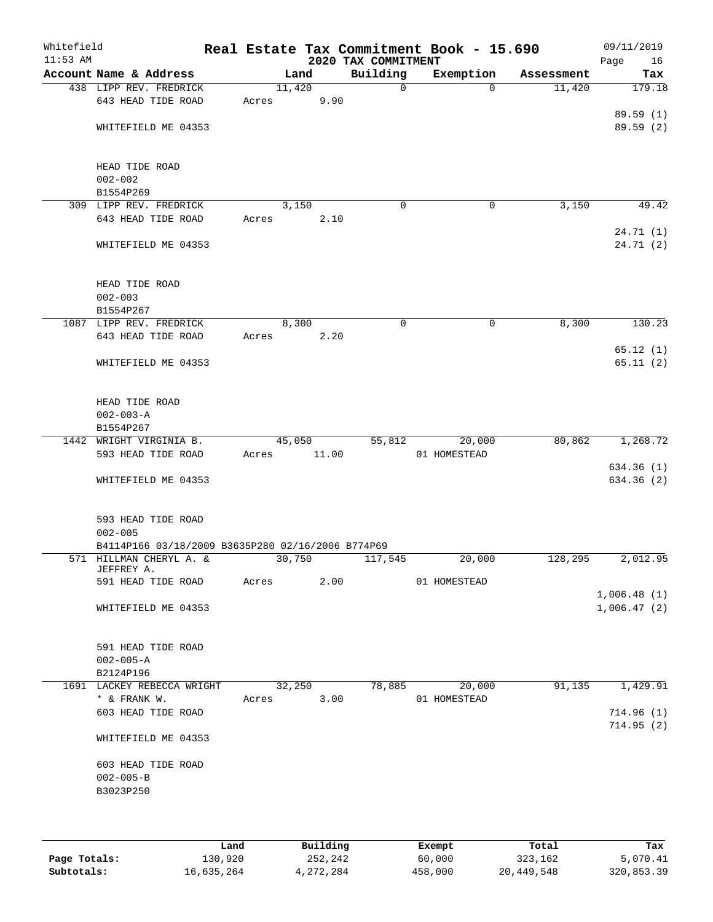| Whitefield<br>$11:53$ AM |                                                   |       |        | 2020 TAX COMMITMENT | Real Estate Tax Commitment Book - 15.690 |            | 09/11/2019<br>Page<br>16 |
|--------------------------|---------------------------------------------------|-------|--------|---------------------|------------------------------------------|------------|--------------------------|
|                          | Account Name & Address                            |       | Land   | Building            | Exemption                                | Assessment | Tax                      |
|                          | 438 LIPP REV. FREDRICK                            |       | 11,420 | $\mathbf 0$         | $\Omega$                                 | 11,420     | 179.18                   |
|                          | 643 HEAD TIDE ROAD                                | Acres | 9.90   |                     |                                          |            |                          |
|                          |                                                   |       |        |                     |                                          |            | 89.59(1)                 |
|                          | WHITEFIELD ME 04353                               |       |        |                     |                                          |            | 89.59(2)                 |
|                          |                                                   |       |        |                     |                                          |            |                          |
|                          |                                                   |       |        |                     |                                          |            |                          |
|                          | HEAD TIDE ROAD                                    |       |        |                     |                                          |            |                          |
|                          | $002 - 002$<br>B1554P269                          |       |        |                     |                                          |            |                          |
|                          | 309 LIPP REV. FREDRICK                            |       | 3,150  | $\mathbf 0$         | 0                                        | 3,150      | 49.42                    |
|                          | 643 HEAD TIDE ROAD                                | Acres | 2.10   |                     |                                          |            |                          |
|                          |                                                   |       |        |                     |                                          |            | 24.71 (1)                |
|                          | WHITEFIELD ME 04353                               |       |        |                     |                                          |            | 24.71 (2)                |
|                          |                                                   |       |        |                     |                                          |            |                          |
|                          |                                                   |       |        |                     |                                          |            |                          |
|                          | HEAD TIDE ROAD                                    |       |        |                     |                                          |            |                          |
|                          | $002 - 003$                                       |       |        |                     |                                          |            |                          |
|                          | B1554P267                                         |       |        |                     |                                          |            |                          |
|                          | 1087 LIPP REV. FREDRICK                           |       | 8,300  | 0                   | 0                                        | 8,300      | 130.23                   |
|                          | 643 HEAD TIDE ROAD                                | Acres | 2.20   |                     |                                          |            |                          |
|                          | WHITEFIELD ME 04353                               |       |        |                     |                                          |            | 65.12(1)<br>65.11(2)     |
|                          |                                                   |       |        |                     |                                          |            |                          |
|                          |                                                   |       |        |                     |                                          |            |                          |
|                          | HEAD TIDE ROAD                                    |       |        |                     |                                          |            |                          |
|                          | $002 - 003 - A$                                   |       |        |                     |                                          |            |                          |
|                          | B1554P267                                         |       |        |                     |                                          |            |                          |
|                          | 1442 WRIGHT VIRGINIA B.                           |       | 45,050 | 55,812              | 20,000                                   | 80,862     | 1,268.72                 |
|                          | 593 HEAD TIDE ROAD                                | Acres | 11.00  |                     | 01 HOMESTEAD                             |            |                          |
|                          |                                                   |       |        |                     |                                          |            | 634.36(1)                |
|                          | WHITEFIELD ME 04353                               |       |        |                     |                                          |            | 634.36(2)                |
|                          |                                                   |       |        |                     |                                          |            |                          |
|                          | 593 HEAD TIDE ROAD                                |       |        |                     |                                          |            |                          |
|                          | $002 - 005$                                       |       |        |                     |                                          |            |                          |
|                          | B4114P166 03/18/2009 B3635P280 02/16/2006 B774P69 |       |        |                     |                                          |            |                          |
|                          | 571 HILLMAN CHERYL A. &                           |       | 30,750 | 117,545             | 20,000                                   | 128,295    | 2,012.95                 |
|                          | JEFFREY A.                                        |       |        |                     |                                          |            |                          |
|                          | 591 HEAD TIDE ROAD                                | Acres | 2.00   |                     | 01 HOMESTEAD                             |            |                          |
|                          |                                                   |       |        |                     |                                          |            | 1,006.48(1)              |
|                          | WHITEFIELD ME 04353                               |       |        |                     |                                          |            | 1,006.47(2)              |
|                          |                                                   |       |        |                     |                                          |            |                          |
|                          | 591 HEAD TIDE ROAD                                |       |        |                     |                                          |            |                          |
|                          | $002 - 005 - A$                                   |       |        |                     |                                          |            |                          |
|                          | B2124P196                                         |       |        |                     |                                          |            |                          |
|                          | 1691 LACKEY REBECCA WRIGHT                        |       | 32,250 | 78,885              | 20,000                                   | 91,135     | 1,429.91                 |
|                          | * & FRANK W.                                      | Acres | 3.00   |                     | 01 HOMESTEAD                             |            |                          |
|                          | 603 HEAD TIDE ROAD                                |       |        |                     |                                          |            | 714.96(1)                |
|                          |                                                   |       |        |                     |                                          |            | 714.95(2)                |
|                          | WHITEFIELD ME 04353                               |       |        |                     |                                          |            |                          |
|                          |                                                   |       |        |                     |                                          |            |                          |
|                          | 603 HEAD TIDE ROAD                                |       |        |                     |                                          |            |                          |
|                          | $002 - 005 - B$                                   |       |        |                     |                                          |            |                          |
|                          | B3023P250                                         |       |        |                     |                                          |            |                          |
|                          |                                                   |       |        |                     |                                          |            |                          |
|                          |                                                   |       |        |                     |                                          |            |                          |
|                          |                                                   |       |        |                     |                                          |            |                          |

|              | Land       | Building  | Exempt  | Total      | Tax        |
|--------------|------------|-----------|---------|------------|------------|
| Page Totals: | 130,920    | 252,242   | 60,000  | 323,162    | 5,070.41   |
| Subtotals:   | 16,635,264 | 4,272,284 | 458,000 | 20,449,548 | 320,853.39 |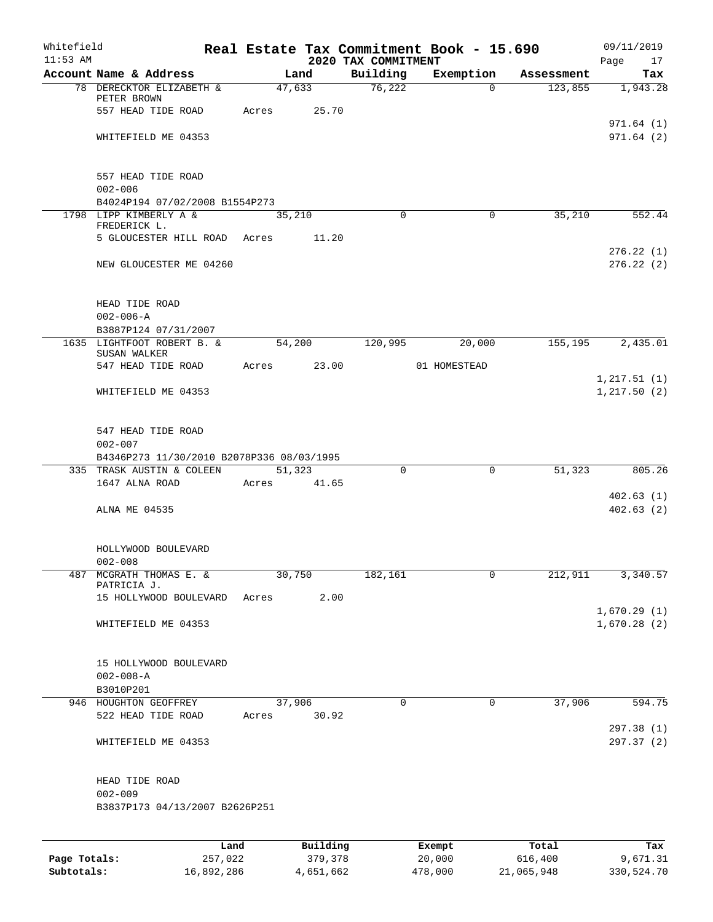| Whitefield<br>$11:53$ AM |                                                          |       |          | 2020 TAX COMMITMENT | Real Estate Tax Commitment Book - 15.690 |            | 09/11/2019                 |
|--------------------------|----------------------------------------------------------|-------|----------|---------------------|------------------------------------------|------------|----------------------------|
|                          | Account Name & Address                                   |       | Land     | Building            | Exemption                                | Assessment | Page<br>17<br>Tax          |
|                          | 78 DERECKTOR ELIZABETH &                                 |       | 47,633   | 76,222              | $\mathbf{0}$                             | 123,855    | 1,943.28                   |
|                          | PETER BROWN                                              |       |          |                     |                                          |            |                            |
|                          | 557 HEAD TIDE ROAD                                       | Acres | 25.70    |                     |                                          |            |                            |
|                          | WHITEFIELD ME 04353                                      |       |          |                     |                                          |            | 971.64(1)<br>971.64(2)     |
|                          |                                                          |       |          |                     |                                          |            |                            |
|                          |                                                          |       |          |                     |                                          |            |                            |
|                          | 557 HEAD TIDE ROAD                                       |       |          |                     |                                          |            |                            |
|                          | $002 - 006$                                              |       |          |                     |                                          |            |                            |
|                          | B4024P194 07/02/2008 B1554P273<br>1798 LIPP KIMBERLY A & |       | 35,210   | $\Omega$            | 0                                        | 35,210     | 552.44                     |
|                          | FREDERICK L.                                             |       |          |                     |                                          |            |                            |
|                          | 5 GLOUCESTER HILL ROAD Acres                             |       | 11.20    |                     |                                          |            |                            |
|                          |                                                          |       |          |                     |                                          |            | 276.22(1)                  |
|                          | NEW GLOUCESTER ME 04260                                  |       |          |                     |                                          |            | 276.22(2)                  |
|                          |                                                          |       |          |                     |                                          |            |                            |
|                          | HEAD TIDE ROAD<br>$002 - 006 - A$                        |       |          |                     |                                          |            |                            |
|                          | B3887P124 07/31/2007                                     |       |          |                     |                                          |            |                            |
|                          | 1635 LIGHTFOOT ROBERT B. &                               |       | 54,200   | 120,995             | 20,000                                   | 155,195    | 2,435.01                   |
|                          | SUSAN WALKER                                             |       |          |                     |                                          |            |                            |
|                          | 547 HEAD TIDE ROAD                                       | Acres | 23.00    |                     | 01 HOMESTEAD                             |            | 1, 217.51(1)               |
|                          | WHITEFIELD ME 04353                                      |       |          |                     |                                          |            | 1, 217.50(2)               |
|                          |                                                          |       |          |                     |                                          |            |                            |
|                          | 547 HEAD TIDE ROAD                                       |       |          |                     |                                          |            |                            |
|                          | $002 - 007$                                              |       |          |                     |                                          |            |                            |
|                          | B4346P273 11/30/2010 B2078P336 08/03/1995                |       |          |                     |                                          |            |                            |
|                          | 335 TRASK AUSTIN & COLEEN                                |       | 51,323   | $\Omega$            | 0                                        | 51,323     | 805.26                     |
|                          | 1647 ALNA ROAD                                           | Acres | 41.65    |                     |                                          |            | 402.63(1)                  |
|                          | ALNA ME 04535                                            |       |          |                     |                                          |            | 402.63(2)                  |
|                          |                                                          |       |          |                     |                                          |            |                            |
|                          |                                                          |       |          |                     |                                          |            |                            |
|                          | HOLLYWOOD BOULEVARD<br>$002 - 008$                       |       |          |                     |                                          |            |                            |
| 487                      | MCGRATH THOMAS E. &                                      |       | 30,750   | 182,161             | 0                                        | 212,911    | 3,340.57                   |
|                          | PATRICIA J.                                              |       |          |                     |                                          |            |                            |
|                          | 15 HOLLYWOOD BOULEVARD                                   | Acres | 2.00     |                     |                                          |            |                            |
|                          | WHITEFIELD ME 04353                                      |       |          |                     |                                          |            | 1,670.29(1)<br>1,670.28(2) |
|                          |                                                          |       |          |                     |                                          |            |                            |
|                          |                                                          |       |          |                     |                                          |            |                            |
|                          | 15 HOLLYWOOD BOULEVARD                                   |       |          |                     |                                          |            |                            |
|                          | $002 - 008 - A$<br>B3010P201                             |       |          |                     |                                          |            |                            |
|                          | 946 HOUGHTON GEOFFREY                                    |       | 37,906   | $\mathbf 0$         | 0                                        | 37,906     | 594.75                     |
|                          | 522 HEAD TIDE ROAD                                       | Acres | 30.92    |                     |                                          |            |                            |
|                          |                                                          |       |          |                     |                                          |            | 297.38 (1)                 |
|                          | WHITEFIELD ME 04353                                      |       |          |                     |                                          |            | 297.37 (2)                 |
|                          |                                                          |       |          |                     |                                          |            |                            |
|                          | HEAD TIDE ROAD<br>$002 - 009$                            |       |          |                     |                                          |            |                            |
|                          | B3837P173 04/13/2007 B2626P251                           |       |          |                     |                                          |            |                            |
|                          |                                                          |       |          |                     |                                          |            |                            |
|                          |                                                          | Land  | Building |                     | Exempt                                   | Total      | Tax                        |
| Page Totals:             | 257,022                                                  |       | 379,378  |                     | 20,000                                   | 616,400    | 9,671.31                   |

**Subtotals:** 16,892,286 4,651,662 478,000 21,065,948 330,524.70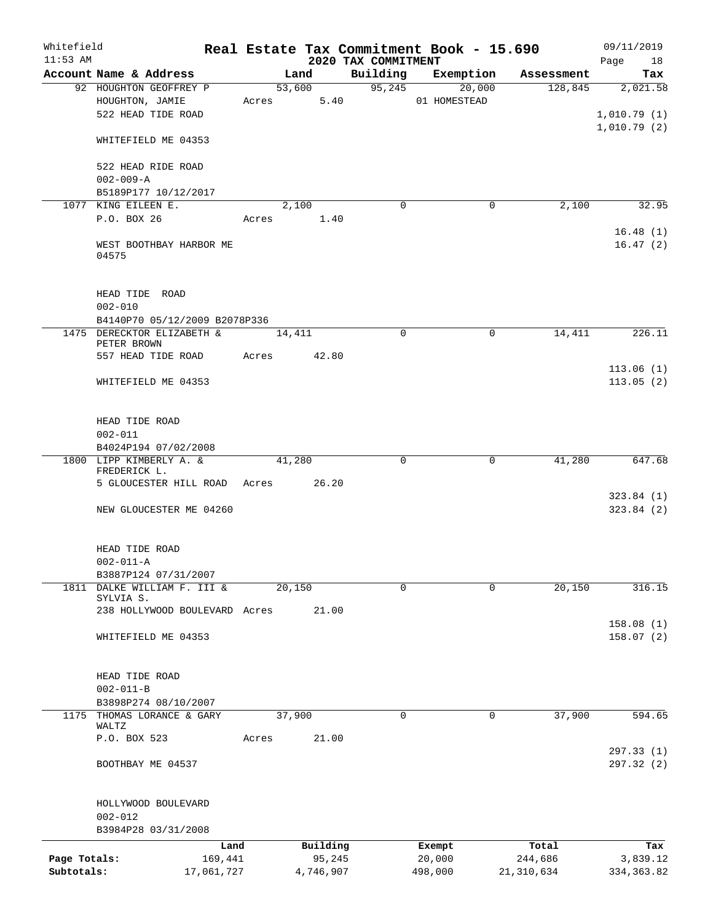| Whitefield<br>$11:53$ AM |                                                 |        |           | 2020 TAX COMMITMENT | Real Estate Tax Commitment Book - 15.690 |              | 09/11/2019<br>18<br>Page |
|--------------------------|-------------------------------------------------|--------|-----------|---------------------|------------------------------------------|--------------|--------------------------|
|                          | Account Name & Address                          |        | Land      | Building            | Exemption                                | Assessment   | Tax                      |
|                          | 92 HOUGHTON GEOFFREY P                          |        | 53,600    | 95, 245             | 20,000                                   | 128,845      | 2,021.58                 |
|                          | HOUGHTON, JAMIE                                 | Acres  | 5.40      |                     | 01 HOMESTEAD                             |              |                          |
|                          | 522 HEAD TIDE ROAD                              |        |           |                     |                                          |              | 1,010.79(1)              |
|                          |                                                 |        |           |                     |                                          |              | 1,010.79(2)              |
|                          | WHITEFIELD ME 04353                             |        |           |                     |                                          |              |                          |
|                          |                                                 |        |           |                     |                                          |              |                          |
|                          | 522 HEAD RIDE ROAD                              |        |           |                     |                                          |              |                          |
|                          | $002 - 009 - A$                                 |        |           |                     |                                          |              |                          |
|                          | B5189P177 10/12/2017                            |        |           |                     |                                          |              |                          |
|                          | 1077 KING EILEEN E.                             |        | 2,100     | $\mathbf 0$         | 0                                        | 2,100        | 32.95                    |
|                          | P.O. BOX 26                                     | Acres  | 1.40      |                     |                                          |              |                          |
|                          |                                                 |        |           |                     |                                          |              | 16.48(1)                 |
|                          | WEST BOOTHBAY HARBOR ME<br>04575                |        |           |                     |                                          |              | 16.47(2)                 |
|                          |                                                 |        |           |                     |                                          |              |                          |
|                          |                                                 |        |           |                     |                                          |              |                          |
|                          | HEAD TIDE ROAD                                  |        |           |                     |                                          |              |                          |
|                          | $002 - 010$                                     |        |           |                     |                                          |              |                          |
|                          | B4140P70 05/12/2009 B2078P336                   |        |           |                     |                                          |              |                          |
|                          | 1475 DERECKTOR ELIZABETH &                      | 14,411 |           | $\Omega$            | 0                                        | 14,411       | 226.11                   |
|                          | PETER BROWN                                     |        |           |                     |                                          |              |                          |
|                          | 557 HEAD TIDE ROAD                              | Acres  | 42.80     |                     |                                          |              |                          |
|                          |                                                 |        |           |                     |                                          |              | 113.06(1)                |
|                          | WHITEFIELD ME 04353                             |        |           |                     |                                          |              | 113.05(2)                |
|                          |                                                 |        |           |                     |                                          |              |                          |
|                          |                                                 |        |           |                     |                                          |              |                          |
|                          | HEAD TIDE ROAD                                  |        |           |                     |                                          |              |                          |
|                          | $002 - 011$                                     |        |           |                     |                                          |              |                          |
|                          | B4024P194 07/02/2008<br>1800 LIPP KIMBERLY A. & |        | 41,280    | $\mathbf 0$         | 0                                        | 41,280       | 647.68                   |
|                          | FREDERICK L.                                    |        |           |                     |                                          |              |                          |
|                          | 5 GLOUCESTER HILL ROAD Acres 26.20              |        |           |                     |                                          |              |                          |
|                          |                                                 |        |           |                     |                                          |              | 323.84(1)                |
|                          | NEW GLOUCESTER ME 04260                         |        |           |                     |                                          |              | 323.84(2)                |
|                          |                                                 |        |           |                     |                                          |              |                          |
|                          |                                                 |        |           |                     |                                          |              |                          |
|                          | HEAD TIDE ROAD                                  |        |           |                     |                                          |              |                          |
|                          | $002 - 011 - A$                                 |        |           |                     |                                          |              |                          |
|                          | B3887P124 07/31/2007                            |        |           |                     |                                          |              |                          |
|                          | 1811 DALKE WILLIAM F. III &                     |        | 20,150    | $\Omega$            | $\Omega$                                 | 20,150       | 316.15                   |
|                          | SYLVIA S.<br>238 HOLLYWOOD BOULEVARD Acres      |        | 21.00     |                     |                                          |              |                          |
|                          |                                                 |        |           |                     |                                          |              | 158.08(1)                |
|                          | WHITEFIELD ME 04353                             |        |           |                     |                                          |              | 158.07(2)                |
|                          |                                                 |        |           |                     |                                          |              |                          |
|                          |                                                 |        |           |                     |                                          |              |                          |
|                          | HEAD TIDE ROAD                                  |        |           |                     |                                          |              |                          |
|                          | $002 - 011 - B$                                 |        |           |                     |                                          |              |                          |
|                          | B3898P274 08/10/2007                            |        |           |                     |                                          |              |                          |
|                          | 1175 THOMAS LORANCE & GARY                      |        | 37,900    | $\mathbf 0$         | 0                                        | 37,900       | 594.65                   |
|                          | WALTZ                                           |        |           |                     |                                          |              |                          |
|                          | P.O. BOX 523                                    | Acres  | 21.00     |                     |                                          |              |                          |
|                          |                                                 |        |           |                     |                                          |              | 297.33 (1)               |
|                          | BOOTHBAY ME 04537                               |        |           |                     |                                          |              | 297.32 (2)               |
|                          |                                                 |        |           |                     |                                          |              |                          |
|                          |                                                 |        |           |                     |                                          |              |                          |
|                          | HOLLYWOOD BOULEVARD                             |        |           |                     |                                          |              |                          |
|                          | $002 - 012$                                     |        |           |                     |                                          |              |                          |
|                          | B3984P28 03/31/2008                             |        |           |                     |                                          |              |                          |
|                          | Land                                            |        | Building  |                     | Exempt                                   | Total        | Tax                      |
| Page Totals:             | 169,441                                         |        | 95,245    |                     | 20,000                                   | 244,686      | 3,839.12                 |
| Subtotals:               | 17,061,727                                      |        | 4,746,907 |                     | 498,000                                  | 21, 310, 634 | 334, 363.82              |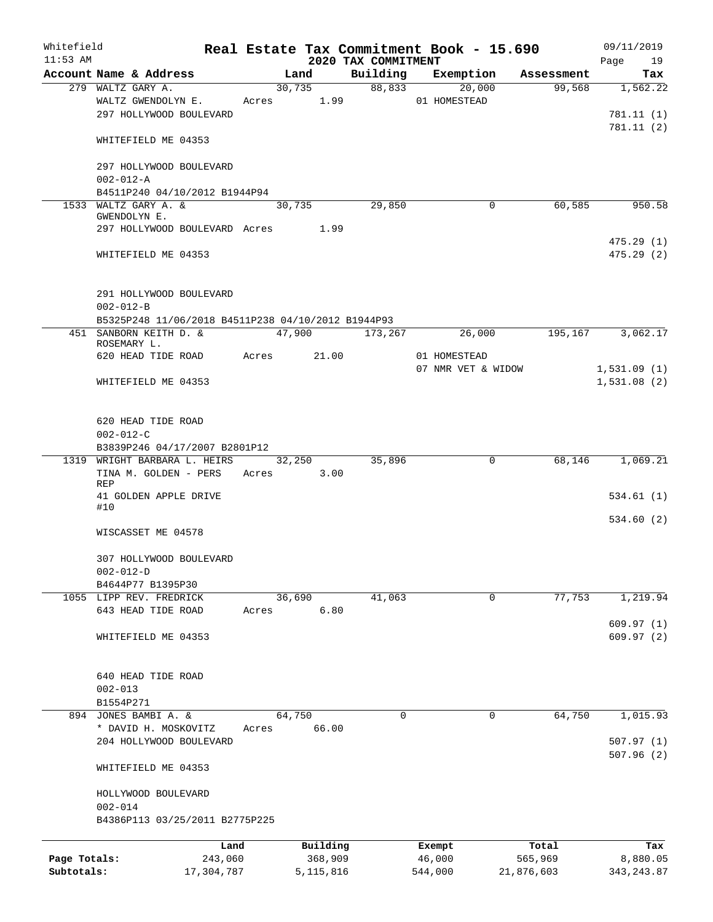| Whitefield   |                                                    |       |             |                                 | Real Estate Tax Commitment Book - 15.690 |                        | 09/11/2019             |
|--------------|----------------------------------------------------|-------|-------------|---------------------------------|------------------------------------------|------------------------|------------------------|
| $11:53$ AM   | Account Name & Address                             |       | Land        | 2020 TAX COMMITMENT<br>Building | Exemption                                | Assessment             | Page<br>19             |
|              | 279 WALTZ GARY A.                                  |       | 30,735      |                                 | 88,833<br>20,000                         | 99,568                 | Tax<br>1,562.22        |
|              | WALTZ GWENDOLYN E.                                 |       | Acres 1.99  |                                 | 01 HOMESTEAD                             |                        |                        |
|              | 297 HOLLYWOOD BOULEVARD                            |       |             |                                 |                                          |                        | 781.11 (1)             |
|              |                                                    |       |             |                                 |                                          |                        | 781.11(2)              |
|              | WHITEFIELD ME 04353                                |       |             |                                 |                                          |                        |                        |
|              | 297 HOLLYWOOD BOULEVARD                            |       |             |                                 |                                          |                        |                        |
|              | $002 - 012 - A$                                    |       |             |                                 |                                          |                        |                        |
|              | B4511P240 04/10/2012 B1944P94                      |       |             |                                 |                                          |                        |                        |
|              | 1533 WALTZ GARY A. &                               |       | 30,735      | 29,850                          |                                          | 60,585<br>$\mathbf 0$  | 950.58                 |
|              | GWENDOLYN E.                                       |       |             |                                 |                                          |                        |                        |
|              | 297 HOLLYWOOD BOULEVARD Acres 1.99                 |       |             |                                 |                                          |                        |                        |
|              | WHITEFIELD ME 04353                                |       |             |                                 |                                          |                        | 475.29(1)<br>475.29(2) |
|              |                                                    |       |             |                                 |                                          |                        |                        |
|              | 291 HOLLYWOOD BOULEVARD<br>$002 - 012 - B$         |       |             |                                 |                                          |                        |                        |
|              | B5325P248 11/06/2018 B4511P238 04/10/2012 B1944P93 |       |             |                                 |                                          |                        |                        |
|              | 451 SANBORN KEITH D. &                             |       |             | 47,900 173,267                  |                                          | 26,000<br>195,167      | 3,062.17               |
|              | ROSEMARY L.                                        |       |             |                                 |                                          |                        |                        |
|              | 620 HEAD TIDE ROAD                                 |       | Acres 21.00 |                                 | 01 HOMESTEAD                             |                        |                        |
|              |                                                    |       |             |                                 | 07 NMR VET & WIDOW                       |                        | 1,531.09(1)            |
|              | WHITEFIELD ME 04353                                |       |             |                                 |                                          |                        | 1,531.08(2)            |
|              | 620 HEAD TIDE ROAD                                 |       |             |                                 |                                          |                        |                        |
|              | $002 - 012 - C$                                    |       |             |                                 |                                          |                        |                        |
|              | B3839P246 04/17/2007 B2801P12                      |       |             |                                 |                                          |                        |                        |
|              | 1319 WRIGHT BARBARA L. HEIRS                       |       | 32,250      | 35,896                          |                                          | $\mathsf{O}$<br>68,146 | 1,069.21               |
|              | TINA M. GOLDEN - PERS<br><b>REP</b>                |       | Acres 3.00  |                                 |                                          |                        |                        |
|              | 41 GOLDEN APPLE DRIVE                              |       |             |                                 |                                          |                        | 534.61(1)              |
|              | #10                                                |       |             |                                 |                                          |                        | 534.60(2)              |
|              | WISCASSET ME 04578                                 |       |             |                                 |                                          |                        |                        |
|              | 307 HOLLYWOOD BOULEVARD                            |       |             |                                 |                                          |                        |                        |
|              | $002 - 012 - D$                                    |       |             |                                 |                                          |                        |                        |
|              | B4644P77 B1395P30                                  |       |             |                                 |                                          |                        |                        |
|              | 1055 LIPP REV. FREDRICK                            |       | 36,690      | 41,063                          |                                          | 77,753<br>0            | 1,219.94               |
|              | 643 HEAD TIDE ROAD                                 | Acres | 6.80        |                                 |                                          |                        |                        |
|              |                                                    |       |             |                                 |                                          |                        | 609.97(1)              |
|              | WHITEFIELD ME 04353                                |       |             |                                 |                                          |                        | 609.97(2)              |
|              | 640 HEAD TIDE ROAD                                 |       |             |                                 |                                          |                        |                        |
|              | $002 - 013$                                        |       |             |                                 |                                          |                        |                        |
|              | B1554P271                                          |       |             |                                 |                                          |                        |                        |
|              | 894 JONES BAMBI A. &                               |       | 64,750      | $\Omega$                        |                                          | 64,750<br>0            | 1,015.93               |
|              | * DAVID H. MOSKOVITZ                               | Acres | 66.00       |                                 |                                          |                        |                        |
|              | 204 HOLLYWOOD BOULEVARD                            |       |             |                                 |                                          |                        | 507.97(1)              |
|              | WHITEFIELD ME 04353                                |       |             |                                 |                                          |                        | 507.96(2)              |
|              | HOLLYWOOD BOULEVARD                                |       |             |                                 |                                          |                        |                        |
|              | $002 - 014$                                        |       |             |                                 |                                          |                        |                        |
|              | B4386P113 03/25/2011 B2775P225                     |       |             |                                 |                                          |                        |                        |
|              | Land                                               |       | Building    |                                 | Exempt                                   | Total                  | Tax                    |
| Page Totals: | 243,060                                            |       | 368,909     |                                 | 46,000                                   | 565,969                | 8,880.05               |
| Subtotals:   | 17,304,787                                         |       | 5, 115, 816 |                                 | 544,000                                  | 21,876,603             | 343, 243.87            |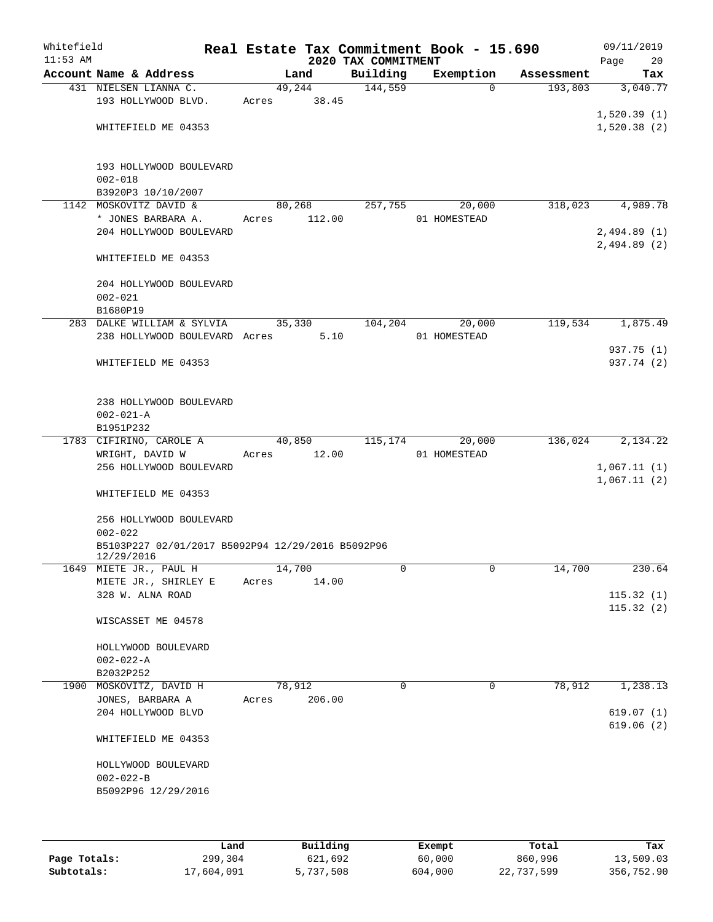| Whitefield<br>$11:53$ AM |                                                                 |       |                              | 2020 TAX COMMITMENT | Real Estate Tax Commitment Book - 15.690 |            | 09/11/2019<br>20<br>Page   |
|--------------------------|-----------------------------------------------------------------|-------|------------------------------|---------------------|------------------------------------------|------------|----------------------------|
|                          | Account Name & Address                                          |       | Land                         | Building            | Exemption                                | Assessment | Tax                        |
|                          | 431 NIELSEN LIANNA C.<br>193 HOLLYWOOD BLVD.                    | Acres | 49,244<br>38.45              | 144,559             | $\Omega$                                 | 193,803    | 3,040.77                   |
|                          | WHITEFIELD ME 04353                                             |       |                              |                     |                                          |            | 1,520.39(1)<br>1,520.38(2) |
|                          | 193 HOLLYWOOD BOULEVARD<br>$002 - 018$                          |       |                              |                     |                                          |            |                            |
|                          | B3920P3 10/10/2007                                              |       |                              |                     |                                          |            |                            |
|                          | 1142 MOSKOVITZ DAVID &                                          |       | 80,268                       | 257,755             | 20,000                                   | 318,023    | 4,989.78                   |
|                          | * JONES BARBARA A.                                              | Acres | 112.00                       |                     | 01 HOMESTEAD                             |            |                            |
|                          | 204 HOLLYWOOD BOULEVARD                                         |       |                              |                     |                                          |            | 2,494.89(1)<br>2,494.89(2) |
|                          | WHITEFIELD ME 04353                                             |       |                              |                     |                                          |            |                            |
|                          | 204 HOLLYWOOD BOULEVARD<br>$002 - 021$                          |       |                              |                     |                                          |            |                            |
|                          | B1680P19                                                        |       |                              |                     |                                          |            |                            |
|                          | 283 DALKE WILLIAM & SYLVIA                                      |       | 35,330                       | 104,204             | 20,000                                   | 119,534    | 1,875.49                   |
|                          | 238 HOLLYWOOD BOULEVARD Acres                                   |       | 5.10                         |                     | 01 HOMESTEAD                             |            | 937.75 (1)                 |
|                          | WHITEFIELD ME 04353                                             |       |                              |                     |                                          |            | 937.74 (2)                 |
|                          | 238 HOLLYWOOD BOULEVARD<br>$002 - 021 - A$                      |       |                              |                     |                                          |            |                            |
|                          | B1951P232                                                       |       |                              |                     |                                          |            |                            |
|                          | 1783 CIFIRINO, CAROLE A<br>WRIGHT, DAVID W                      | Acres | $\overline{40,850}$<br>12.00 | 115,174             | 20,000<br>01 HOMESTEAD                   | 136,024    | 2,134.22                   |
|                          | 256 HOLLYWOOD BOULEVARD                                         |       |                              |                     |                                          |            | 1,067.11(1)<br>1,067.11(2) |
|                          | WHITEFIELD ME 04353                                             |       |                              |                     |                                          |            |                            |
|                          | 256 HOLLYWOOD BOULEVARD<br>$002 - 022$                          |       |                              |                     |                                          |            |                            |
|                          | B5103P227 02/01/2017 B5092P94 12/29/2016 B5092P96<br>12/29/2016 |       |                              |                     |                                          |            |                            |
|                          | 1649 MIETE JR., PAUL H<br>MIETE JR., SHIRLEY E                  |       | 14,700                       | 0                   | $\mathsf{O}$                             | 14,700     | 230.64                     |
|                          | 328 W. ALNA ROAD                                                | Acres | 14.00                        |                     |                                          |            | 115.32(1)<br>115.32(2)     |
|                          | WISCASSET ME 04578                                              |       |                              |                     |                                          |            |                            |
|                          | HOLLYWOOD BOULEVARD                                             |       |                              |                     |                                          |            |                            |
|                          | $002 - 022 - A$                                                 |       |                              |                     |                                          |            |                            |
|                          | B2032P252                                                       |       |                              |                     |                                          |            |                            |
| 1900                     | MOSKOVITZ, DAVID H<br>JONES, BARBARA A                          |       | 78,912<br>206.00             | $\Omega$            | 0                                        | 78,912     | 1,238.13                   |
|                          | 204 HOLLYWOOD BLVD                                              | Acres |                              |                     |                                          |            | 619.07(1)<br>619.06(2)     |
|                          | WHITEFIELD ME 04353                                             |       |                              |                     |                                          |            |                            |
|                          | HOLLYWOOD BOULEVARD                                             |       |                              |                     |                                          |            |                            |
|                          | $002 - 022 - B$                                                 |       |                              |                     |                                          |            |                            |
|                          | B5092P96 12/29/2016                                             |       |                              |                     |                                          |            |                            |
|                          | Land                                                            |       | Building                     |                     | Exempt                                   | Total      | Tax                        |

|              | -------    |           | _______ | ------     | -------    |
|--------------|------------|-----------|---------|------------|------------|
| Page Totals: | 299,304    | 621,692   | 60,000  | 860,996    | 13,509.03  |
| Subtotals:   | 17,604,091 | 5,737,508 | 604,000 | 22,737,599 | 356,752.90 |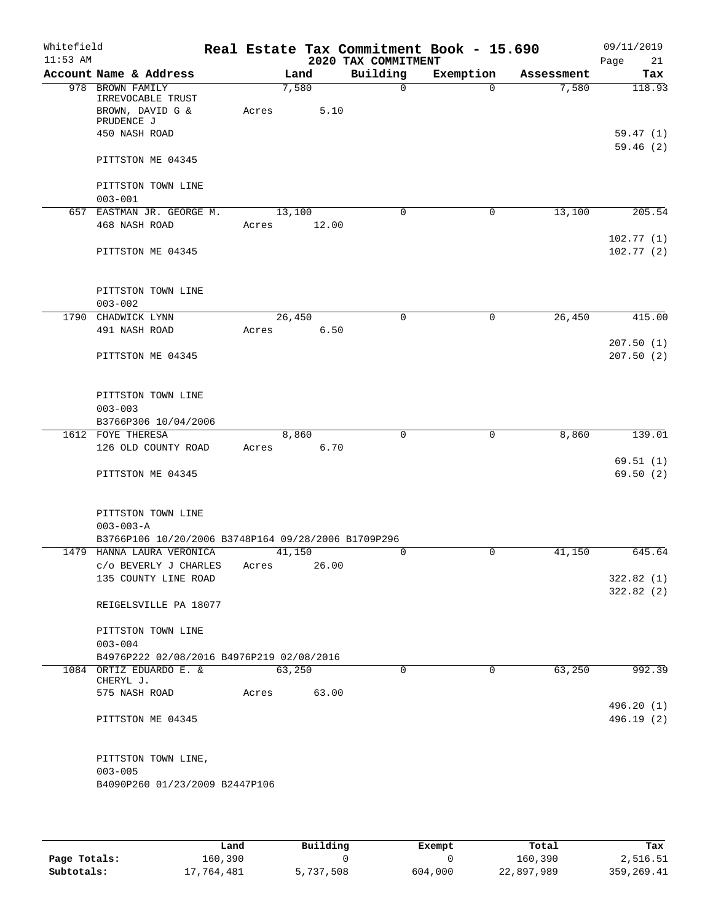| Whitefield<br>$11:53$ AM |                                                          |       |        | 2020 TAX COMMITMENT | Real Estate Tax Commitment Book - 15.690 |            | 09/11/2019<br>Page<br>21 |
|--------------------------|----------------------------------------------------------|-------|--------|---------------------|------------------------------------------|------------|--------------------------|
|                          | Account Name & Address                                   |       | Land   | Building            | Exemption                                | Assessment | Tax                      |
|                          | 978 BROWN FAMILY<br>IRREVOCABLE TRUST                    |       | 7,580  | $\mathbf 0$         | $\Omega$                                 | 7,580      | 118.93                   |
|                          | BROWN, DAVID G &<br>PRUDENCE J                           | Acres | 5.10   |                     |                                          |            |                          |
|                          | 450 NASH ROAD                                            |       |        |                     |                                          |            | 59.47(1)                 |
|                          | PITTSTON ME 04345                                        |       |        |                     |                                          |            | 59.46(2)                 |
|                          | PITTSTON TOWN LINE<br>$003 - 001$                        |       |        |                     |                                          |            |                          |
|                          | 657 EASTMAN JR. GEORGE M.                                |       | 13,100 | $\mathbf 0$         | $\mathbf 0$                              | 13,100     | 205.54                   |
|                          | 468 NASH ROAD                                            | Acres | 12.00  |                     |                                          |            |                          |
|                          | PITTSTON ME 04345                                        |       |        |                     |                                          |            | 102.77(1)<br>102.77(2)   |
|                          | PITTSTON TOWN LINE                                       |       |        |                     |                                          |            |                          |
|                          | $003 - 002$                                              |       |        |                     |                                          |            |                          |
| 1790                     | CHADWICK LYNN<br>491 NASH ROAD                           | Acres | 26,450 | $\mathbf 0$<br>6.50 | $\mathbf 0$                              | 26,450     | 415.00                   |
|                          |                                                          |       |        |                     |                                          |            | 207.50(1)                |
|                          | PITTSTON ME 04345                                        |       |        |                     |                                          |            | 207.50(2)                |
|                          | PITTSTON TOWN LINE<br>$003 - 003$                        |       |        |                     |                                          |            |                          |
|                          | B3766P306 10/04/2006                                     |       |        |                     |                                          |            |                          |
|                          | 1612 FOYE THERESA                                        |       | 8,860  | 0                   | 0                                        | 8,860      | 139.01                   |
|                          | 126 OLD COUNTY ROAD                                      | Acres | 6.70   |                     |                                          |            |                          |
|                          |                                                          |       |        |                     |                                          |            | 69.51(1)                 |
|                          | PITTSTON ME 04345                                        |       |        |                     |                                          |            | 69.50(2)                 |
|                          | PITTSTON TOWN LINE<br>$003 - 003 - A$                    |       |        |                     |                                          |            |                          |
|                          | B3766P106 10/20/2006 B3748P164 09/28/2006 B1709P296      |       |        |                     |                                          |            |                          |
|                          | 1479 HANNA LAURA VERONICA                                |       | 41,150 | 0                   | 0                                        | 41,150     | 645.64                   |
|                          | C/O BEVERLY J CHARLES<br>135 COUNTY LINE ROAD            | Acres | 26.00  |                     |                                          |            | 322.82(1)                |
|                          |                                                          |       |        |                     |                                          |            | 322.82(2)                |
|                          | REIGELSVILLE PA 18077                                    |       |        |                     |                                          |            |                          |
|                          | PITTSTON TOWN LINE                                       |       |        |                     |                                          |            |                          |
|                          | $003 - 004$<br>B4976P222 02/08/2016 B4976P219 02/08/2016 |       |        |                     |                                          |            |                          |
|                          | 1084 ORTIZ EDUARDO E. &                                  |       | 63,250 | $\Omega$            | $\Omega$                                 | 63,250     | 992.39                   |
|                          | CHERYL J.                                                |       |        |                     |                                          |            |                          |
|                          | 575 NASH ROAD                                            | Acres | 63.00  |                     |                                          |            |                          |
|                          |                                                          |       |        |                     |                                          |            | 496.20 (1)               |
|                          | PITTSTON ME 04345                                        |       |        |                     |                                          |            | 496.19 (2)               |
|                          | PITTSTON TOWN LINE,<br>$003 - 005$                       |       |        |                     |                                          |            |                          |
|                          | B4090P260 01/23/2009 B2447P106                           |       |        |                     |                                          |            |                          |
|                          |                                                          |       |        |                     |                                          |            |                          |

|              | Land       | Building  | Exempt  | Total      | Tax          |
|--------------|------------|-----------|---------|------------|--------------|
| Page Totals: | 160,390    |           |         | 160,390    | 2,516.51     |
| Subtotals:   | 17,764,481 | 5,737,508 | 604,000 | 22,897,989 | 359, 269. 41 |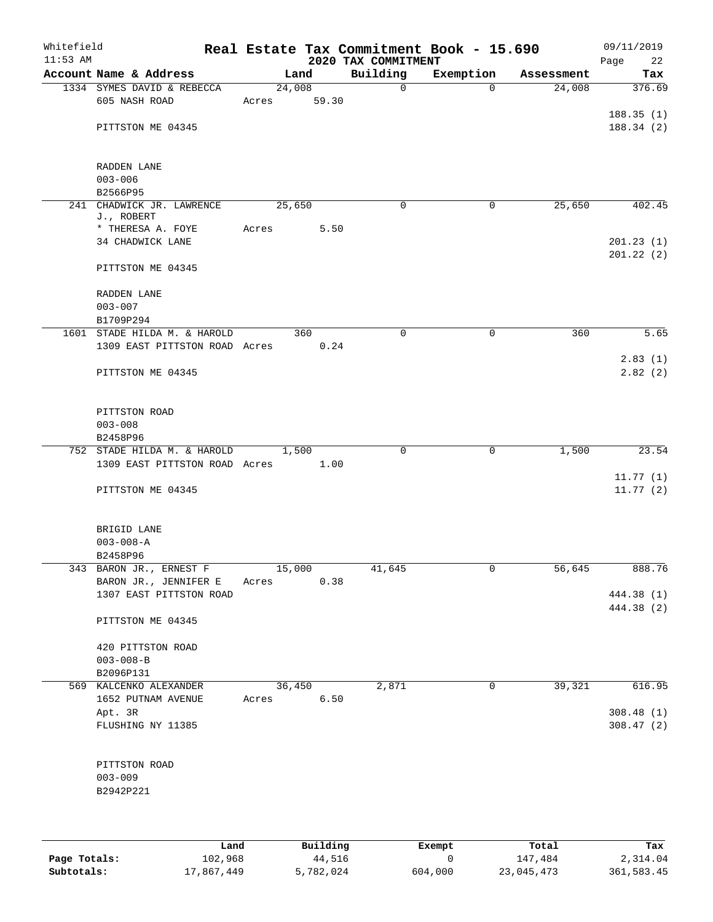| Whitefield<br>$11:53$ AM |                                                              |                 |       | 2020 TAX COMMITMENT | Real Estate Tax Commitment Book - 15.690 |            | 09/11/2019<br>Page<br>22 |
|--------------------------|--------------------------------------------------------------|-----------------|-------|---------------------|------------------------------------------|------------|--------------------------|
|                          | Account Name & Address                                       | Land            |       | Building            | Exemption                                | Assessment | Tax                      |
|                          | 1334 SYMES DAVID & REBECCA<br>605 NASH ROAD                  | 24,008<br>Acres | 59.30 | $\mathbf 0$         | $\Omega$                                 | 24,008     | 376.69                   |
|                          | PITTSTON ME 04345                                            |                 |       |                     |                                          |            | 188.35(1)<br>188.34(2)   |
|                          | RADDEN LANE<br>$003 - 006$                                   |                 |       |                     |                                          |            |                          |
|                          | B2566P95<br>241 CHADWICK JR. LAWRENCE                        | 25,650          |       | $\mathbf 0$         | 0                                        | 25,650     | 402.45                   |
|                          | J., ROBERT                                                   |                 |       |                     |                                          |            |                          |
|                          | * THERESA A. FOYE<br>34 CHADWICK LANE                        | Acres           | 5.50  |                     |                                          |            | 201.23(1)<br>201.22(2)   |
|                          | PITTSTON ME 04345                                            |                 |       |                     |                                          |            |                          |
|                          | RADDEN LANE<br>$003 - 007$                                   |                 |       |                     |                                          |            |                          |
|                          | B1709P294<br>1601 STADE HILDA M. & HAROLD                    |                 | 360   | $\mathbf 0$         | $\mathbf 0$                              | 360        | 5.65                     |
|                          | 1309 EAST PITTSTON ROAD Acres                                |                 | 0.24  |                     |                                          |            |                          |
|                          | PITTSTON ME 04345                                            |                 |       |                     |                                          |            | 2.83(1)<br>2.82(2)       |
|                          | PITTSTON ROAD<br>$003 - 008$                                 |                 |       |                     |                                          |            |                          |
|                          | B2458P96                                                     |                 |       |                     |                                          |            |                          |
|                          | 752 STADE HILDA M. & HAROLD<br>1309 EAST PITTSTON ROAD Acres | 1,500           | 1.00  | 0                   | 0                                        | 1,500      | 23.54                    |
|                          | PITTSTON ME 04345                                            |                 |       |                     |                                          |            | 11.77(1)<br>11.77(2)     |
|                          | BRIGID LANE<br>$003 - 008 - A$<br>B2458P96                   |                 |       |                     |                                          |            |                          |
|                          | 343 BARON JR., ERNEST F                                      | 15,000          |       | 41,645              | 0                                        | 56,645     | 888.76                   |
|                          | BARON JR., JENNIFER E                                        | Acres           | 0.38  |                     |                                          |            |                          |
|                          | 1307 EAST PITTSTON ROAD                                      |                 |       |                     |                                          |            | 444.38 (1)<br>444.38 (2) |
|                          | PITTSTON ME 04345                                            |                 |       |                     |                                          |            |                          |
|                          | 420 PITTSTON ROAD<br>$003 - 008 - B$                         |                 |       |                     |                                          |            |                          |
|                          | B2096P131                                                    |                 |       |                     |                                          |            |                          |
|                          | 569 KALCENKO ALEXANDER                                       | 36,450          |       | 2,871               | 0                                        | 39,321     | 616.95                   |
|                          | 1652 PUTNAM AVENUE                                           | Acres           | 6.50  |                     |                                          |            |                          |
|                          | Apt. 3R<br>FLUSHING NY 11385                                 |                 |       |                     |                                          |            | 308.48(1)<br>308.47(2)   |
|                          | PITTSTON ROAD<br>$003 - 009$<br>B2942P221                    |                 |       |                     |                                          |            |                          |
|                          |                                                              |                 |       |                     |                                          |            |                          |

|              | Land       | Building  | Exempt  | Total      | Tax        |
|--------------|------------|-----------|---------|------------|------------|
| Page Totals: | 102,968    | 44,516    |         | 147,484    | 2,314.04   |
| Subtotals:   | 17,867,449 | 5,782,024 | 604,000 | 23,045,473 | 361,583.45 |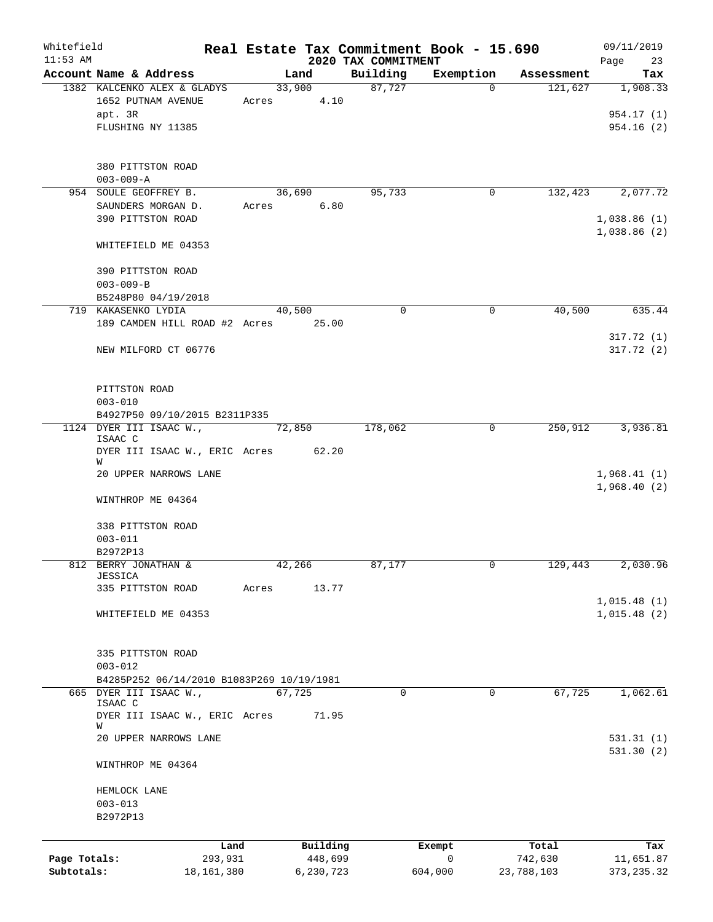| Whitefield   |                                                                     |       |        |           |                                 | Real Estate Tax Commitment Book - 15.690 |            | 09/11/2019                 |
|--------------|---------------------------------------------------------------------|-------|--------|-----------|---------------------------------|------------------------------------------|------------|----------------------------|
| $11:53$ AM   | Account Name & Address                                              |       | Land   |           | 2020 TAX COMMITMENT<br>Building | Exemption                                | Assessment | Page<br>23<br>Tax          |
|              | 1382 KALCENKO ALEX & GLADYS                                         |       | 33,900 |           | 87,727                          | $\Omega$                                 | 121,627    | 1,908.33                   |
|              | 1652 PUTNAM AVENUE                                                  |       | Acres  | 4.10      |                                 |                                          |            |                            |
|              | apt. 3R                                                             |       |        |           |                                 |                                          |            | 954.17 (1)                 |
|              | FLUSHING NY 11385                                                   |       |        |           |                                 |                                          |            | 954.16(2)                  |
|              |                                                                     |       |        |           |                                 |                                          |            |                            |
|              | 380 PITTSTON ROAD                                                   |       |        |           |                                 |                                          |            |                            |
|              | $003 - 009 - A$                                                     |       |        |           |                                 |                                          |            |                            |
|              | 954 SOULE GEOFFREY B.                                               |       | 36,690 |           | 95,733                          | 0                                        | 132,423    | 2,077.72                   |
|              | SAUNDERS MORGAN D.                                                  |       | Acres  | 6.80      |                                 |                                          |            |                            |
|              | 390 PITTSTON ROAD                                                   |       |        |           |                                 |                                          |            | 1,038.86(1)<br>1,038.86(2) |
|              | WHITEFIELD ME 04353                                                 |       |        |           |                                 |                                          |            |                            |
|              |                                                                     |       |        |           |                                 |                                          |            |                            |
|              | 390 PITTSTON ROAD                                                   |       |        |           |                                 |                                          |            |                            |
|              | $003 - 009 - B$                                                     |       |        |           |                                 |                                          |            |                            |
|              | B5248P80 04/19/2018<br>719 KAKASENKO LYDIA                          |       | 40,500 |           | $\Omega$                        | 0                                        | 40,500     | 635.44                     |
|              | 189 CAMDEN HILL ROAD #2 Acres 25.00                                 |       |        |           |                                 |                                          |            |                            |
|              |                                                                     |       |        |           |                                 |                                          |            | 317.72(1)                  |
|              | NEW MILFORD CT 06776                                                |       |        |           |                                 |                                          |            | 317.72 (2)                 |
|              |                                                                     |       |        |           |                                 |                                          |            |                            |
|              | PITTSTON ROAD                                                       |       |        |           |                                 |                                          |            |                            |
|              | $003 - 010$                                                         |       |        |           |                                 |                                          |            |                            |
|              | B4927P50 09/10/2015 B2311P335                                       |       |        |           |                                 |                                          |            |                            |
|              | 1124 DYER III ISAAC W.,<br>ISAAC C                                  |       | 72,850 |           | 178,062                         | $\mathbf 0$                              | 250,912    | 3,936.81                   |
|              | DYER III ISAAC W., ERIC Acres 62.20                                 |       |        |           |                                 |                                          |            |                            |
|              | W                                                                   |       |        |           |                                 |                                          |            |                            |
|              | 20 UPPER NARROWS LANE                                               |       |        |           |                                 |                                          |            | 1,968.41(1)                |
|              | WINTHROP ME 04364                                                   |       |        |           |                                 |                                          |            | 1,968.40(2)                |
|              |                                                                     |       |        |           |                                 |                                          |            |                            |
|              | 338 PITTSTON ROAD                                                   |       |        |           |                                 |                                          |            |                            |
|              | $003 - 011$                                                         |       |        |           |                                 |                                          |            |                            |
|              | B2972P13<br>812 BERRY JONATHAN &                                    |       | 42,266 |           | 87,177                          |                                          | 129,443    | 2,030.96                   |
|              | JESSICA                                                             |       |        |           |                                 |                                          |            |                            |
|              | 335 PITTSTON ROAD                                                   | Acres |        | 13.77     |                                 |                                          |            |                            |
|              |                                                                     |       |        |           |                                 |                                          |            | 1,015.48(1)<br>1,015.48(2) |
|              | WHITEFIELD ME 04353                                                 |       |        |           |                                 |                                          |            |                            |
|              |                                                                     |       |        |           |                                 |                                          |            |                            |
|              | 335 PITTSTON ROAD                                                   |       |        |           |                                 |                                          |            |                            |
|              | $003 - 012$                                                         |       |        |           |                                 |                                          |            |                            |
|              | B4285P252 06/14/2010 B1083P269 10/19/1981<br>665 DYER III ISAAC W., |       | 67,725 |           | 0                               | $\mathbf 0$                              | 67,725     | 1,062.61                   |
|              | ISAAC C                                                             |       |        |           |                                 |                                          |            |                            |
|              | DYER III ISAAC W., ERIC Acres<br>W                                  |       |        | 71.95     |                                 |                                          |            |                            |
|              | 20 UPPER NARROWS LANE                                               |       |        |           |                                 |                                          |            | 531.31(1)                  |
|              |                                                                     |       |        |           |                                 |                                          |            | 531.30(2)                  |
|              | WINTHROP ME 04364                                                   |       |        |           |                                 |                                          |            |                            |
|              |                                                                     |       |        |           |                                 |                                          |            |                            |
|              | HEMLOCK LANE<br>$003 - 013$                                         |       |        |           |                                 |                                          |            |                            |
|              | B2972P13                                                            |       |        |           |                                 |                                          |            |                            |
|              |                                                                     |       |        |           |                                 |                                          |            |                            |
|              | Land                                                                |       |        | Building  |                                 | Exempt                                   | Total      | Tax                        |
| Page Totals: | 293,931                                                             |       |        | 448,699   |                                 | 0                                        | 742,630    | 11,651.87                  |
| Subtotals:   | 18, 161, 380                                                        |       |        | 6,230,723 |                                 | 604,000                                  | 23,788,103 | 373, 235.32                |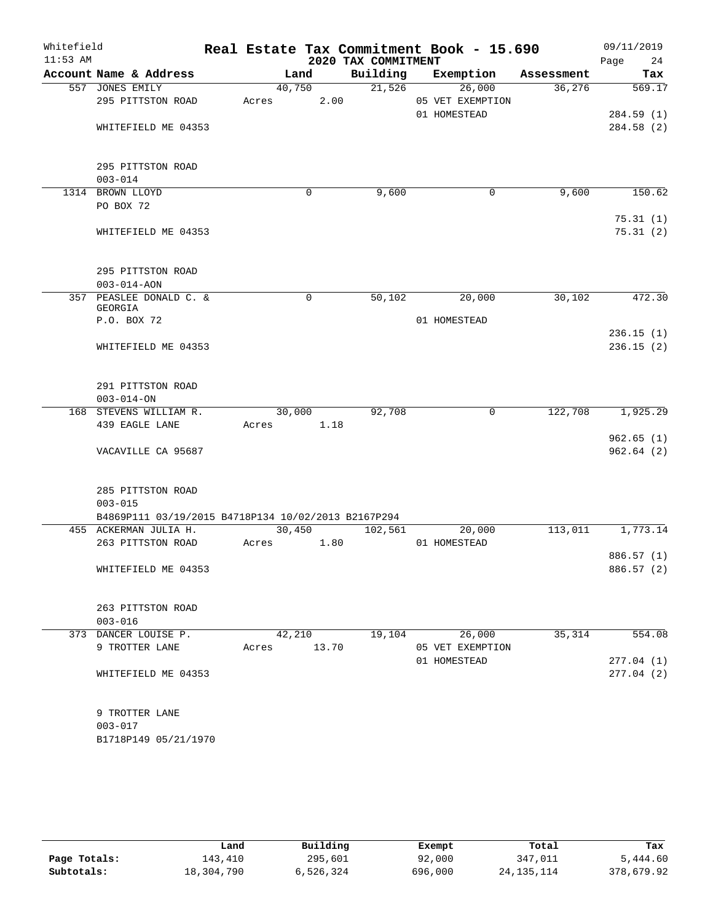| Whitefield<br>$11:53$ AM |                                                                                         |                 |             | 2020 TAX COMMITMENT | Real Estate Tax Commitment Book - 15.690   |            | 09/11/2019<br>Page<br>24 |
|--------------------------|-----------------------------------------------------------------------------------------|-----------------|-------------|---------------------|--------------------------------------------|------------|--------------------------|
|                          | Account Name & Address                                                                  |                 | Land        | Building            | Exemption                                  | Assessment | Tax                      |
|                          | 557 JONES EMILY<br>295 PITTSTON ROAD                                                    | 40,750<br>Acres | 2.00        | 21,526              | 26,000<br>05 VET EXEMPTION<br>01 HOMESTEAD | 36,276     | 569.17<br>284.59(1)      |
|                          | WHITEFIELD ME 04353                                                                     |                 |             |                     |                                            |            | 284.58(2)                |
|                          | 295 PITTSTON ROAD<br>$003 - 014$                                                        |                 |             |                     |                                            |            |                          |
|                          | 1314 BROWN LLOYD<br>PO BOX 72                                                           |                 | 0           | 9,600               | $\mathbf 0$                                | 9,600      | 150.62                   |
|                          | WHITEFIELD ME 04353                                                                     |                 |             |                     |                                            |            | 75.31(1)<br>75.31(2)     |
|                          | 295 PITTSTON ROAD<br>$003 - 014 - AON$                                                  |                 |             |                     |                                            |            |                          |
|                          | 357 PEASLEE DONALD C. &<br>GEORGIA                                                      |                 | $\mathbf 0$ | 50,102              | 20,000                                     | 30,102     | 472.30                   |
|                          | P.O. BOX 72                                                                             |                 |             |                     | 01 HOMESTEAD                               |            | 236.15(1)                |
|                          | WHITEFIELD ME 04353                                                                     |                 |             |                     |                                            |            | 236.15(2)                |
|                          | 291 PITTSTON ROAD<br>$003 - 014 - ON$                                                   |                 |             |                     |                                            |            |                          |
|                          | 168 STEVENS WILLIAM R.                                                                  | 30,000          |             | 92,708              | $\mathbf 0$                                | 122,708    | 1,925.29                 |
|                          | 439 EAGLE LANE                                                                          | Acres           | 1.18        |                     |                                            |            | 962.65(1)                |
|                          | VACAVILLE CA 95687                                                                      |                 |             |                     |                                            |            | 962.64(2)                |
|                          | 285 PITTSTON ROAD<br>$003 - 015$<br>B4869P111 03/19/2015 B4718P134 10/02/2013 B2167P294 |                 |             |                     |                                            |            |                          |
|                          | 455 ACKERMAN JULIA H.                                                                   | 30,450          |             | 102,561             | 20,000                                     | 113,011    | 1,773.14                 |
|                          | 263 PITTSTON ROAD                                                                       | Acres           | 1.80        |                     | 01 HOMESTEAD                               |            | 886.57 (1)               |
|                          | WHITEFIELD ME 04353                                                                     |                 |             |                     |                                            |            | 886.57 (2)               |
|                          | 263 PITTSTON ROAD<br>$003 - 016$                                                        |                 |             |                     |                                            |            |                          |
|                          | 373 DANCER LOUISE P.<br>9 TROTTER LANE                                                  | 42,210<br>Acres | 13.70       | 19,104              | 26,000<br>05 VET EXEMPTION                 | 35,314     | 554.08                   |
|                          | WHITEFIELD ME 04353                                                                     |                 |             |                     | 01 HOMESTEAD                               |            | 277.04(1)<br>277.04(2)   |
|                          | 9 TROTTER LANE<br>$003 - 017$<br>B1718P149 05/21/1970                                   |                 |             |                     |                                            |            |                          |
|                          |                                                                                         |                 |             |                     |                                            |            |                          |

|              | Land       | Building  | Exempt  | Total        | Tax        |
|--------------|------------|-----------|---------|--------------|------------|
| Page Totals: | 143,410    | 295,601   | 92,000  | 347,011      | 5,444.60   |
| Subtotals:   | 18,304,790 | 6,526,324 | 696,000 | 24, 135, 114 | 378,679.92 |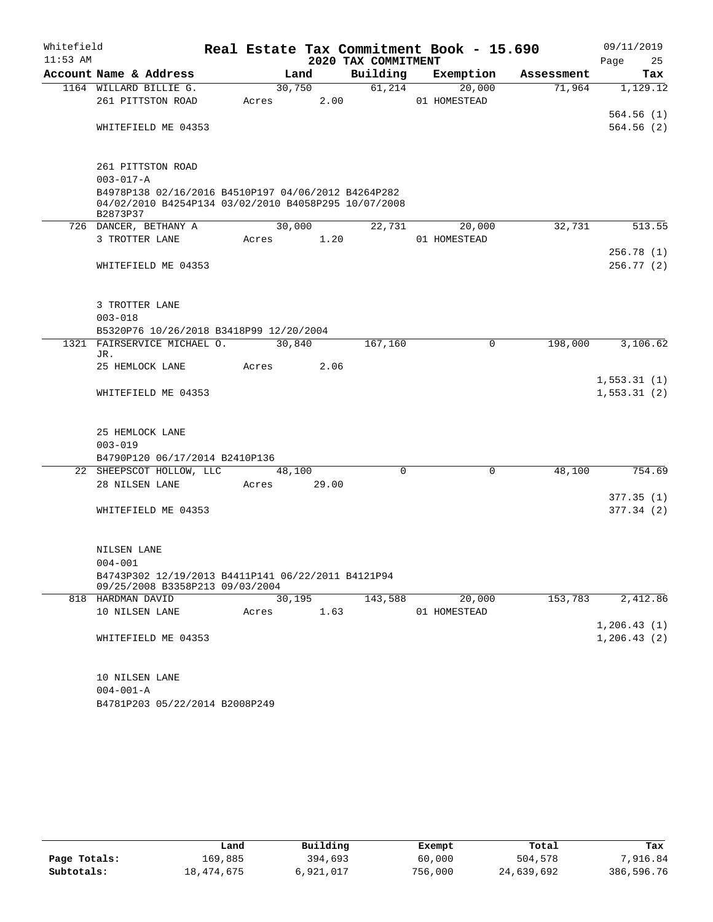| Whitefield |                   |                                         |       |                     |                                                      |          | Real Estate Tax Commitment Book - 15.690 |            | 09/11/2019             |          |
|------------|-------------------|-----------------------------------------|-------|---------------------|------------------------------------------------------|----------|------------------------------------------|------------|------------------------|----------|
| $11:53$ AM |                   |                                         |       |                     | 2020 TAX COMMITMENT                                  |          |                                          |            | Page                   | 25       |
|            |                   | Account Name & Address                  |       | Land                | Building                                             |          | Exemption                                | Assessment |                        | Tax      |
|            |                   | 1164 WILLARD BILLIE G.                  |       | 30,750              | 61,214                                               |          | 20,000                                   | 71,964     |                        | 1,129.12 |
|            |                   | 261 PITTSTON ROAD                       | Acres | 2.00                |                                                      |          | 01 HOMESTEAD                             |            |                        |          |
|            |                   |                                         |       |                     |                                                      |          |                                          |            | 564.56(1)              |          |
|            |                   | WHITEFIELD ME 04353                     |       |                     |                                                      |          |                                          |            | 564.56(2)              |          |
|            |                   |                                         |       |                     |                                                      |          |                                          |            |                        |          |
|            |                   | 261 PITTSTON ROAD                       |       |                     |                                                      |          |                                          |            |                        |          |
|            | $003 - 017 - A$   |                                         |       |                     |                                                      |          |                                          |            |                        |          |
|            |                   |                                         |       |                     | B4978P138 02/16/2016 B4510P197 04/06/2012 B4264P282  |          |                                          |            |                        |          |
|            | B2873P37          |                                         |       |                     | 04/02/2010 B4254P134 03/02/2010 B4058P295 10/07/2008 |          |                                          |            |                        |          |
|            |                   | 726 DANCER, BETHANY A                   |       | 30,000              | 22,731                                               |          | 20,000                                   | 32,731     |                        | 513.55   |
|            |                   | 3 TROTTER LANE                          | Acres | 1.20                |                                                      |          | 01 HOMESTEAD                             |            |                        |          |
|            |                   |                                         |       |                     |                                                      |          |                                          |            | 256.78(1)              |          |
|            |                   | WHITEFIELD ME 04353                     |       |                     |                                                      |          |                                          |            | 256.77(2)              |          |
|            |                   |                                         |       |                     |                                                      |          |                                          |            |                        |          |
|            | 3 TROTTER LANE    |                                         |       |                     |                                                      |          |                                          |            |                        |          |
|            | $003 - 018$       |                                         |       |                     |                                                      |          |                                          |            |                        |          |
|            |                   | B5320P76 10/26/2018 B3418P99 12/20/2004 |       |                     |                                                      |          |                                          |            |                        |          |
|            |                   | 1321 FAIRSERVICE MICHAEL O.             |       | 30,840              | 167,160                                              |          | 0                                        | 198,000    |                        | 3,106.62 |
|            | JR.               |                                         |       |                     |                                                      |          |                                          |            |                        |          |
|            |                   | 25 HEMLOCK LANE                         | Acres | 2.06                |                                                      |          |                                          |            | 1,553.31(1)            |          |
|            |                   | WHITEFIELD ME 04353                     |       |                     |                                                      |          |                                          |            | 1,553.31(2)            |          |
|            |                   |                                         |       |                     |                                                      |          |                                          |            |                        |          |
|            |                   |                                         |       |                     |                                                      |          |                                          |            |                        |          |
|            |                   | 25 HEMLOCK LANE                         |       |                     |                                                      |          |                                          |            |                        |          |
|            | $003 - 019$       |                                         |       |                     |                                                      |          |                                          |            |                        |          |
|            |                   | B4790P120 06/17/2014 B2410P136          |       |                     |                                                      |          |                                          |            |                        |          |
|            |                   | 22 SHEEPSCOT HOLLOW, LLC                |       | $\overline{48,10}0$ |                                                      | $\Omega$ | $\mathbf 0$                              | 48,100     |                        | 754.69   |
|            |                   | 28 NILSEN LANE                          | Acres | 29.00               |                                                      |          |                                          |            |                        |          |
|            |                   | WHITEFIELD ME 04353                     |       |                     |                                                      |          |                                          |            | 377.35(1)<br>377.34(2) |          |
|            |                   |                                         |       |                     |                                                      |          |                                          |            |                        |          |
|            |                   |                                         |       |                     |                                                      |          |                                          |            |                        |          |
|            | NILSEN LANE       |                                         |       |                     |                                                      |          |                                          |            |                        |          |
|            | $004 - 001$       |                                         |       |                     |                                                      |          |                                          |            |                        |          |
|            |                   |                                         |       |                     | B4743P302 12/19/2013 B4411P141 06/22/2011 B4121P94   |          |                                          |            |                        |          |
|            | 818 HARDMAN DAVID | 09/25/2008 B3358P213 09/03/2004         |       | 30,195              | 143,588                                              |          | 20,000                                   | 153,783    |                        | 2,412.86 |
|            |                   | 10 NILSEN LANE                          | Acres | 1.63                |                                                      |          | 01 HOMESTEAD                             |            |                        |          |
|            |                   |                                         |       |                     |                                                      |          |                                          |            | 1,206.43(1)            |          |
|            |                   | WHITEFIELD ME 04353                     |       |                     |                                                      |          |                                          |            | 1, 206.43(2)           |          |
|            |                   |                                         |       |                     |                                                      |          |                                          |            |                        |          |
|            |                   |                                         |       |                     |                                                      |          |                                          |            |                        |          |
|            | 10 NILSEN LANE    |                                         |       |                     |                                                      |          |                                          |            |                        |          |
|            | $004 - 001 - A$   |                                         |       |                     |                                                      |          |                                          |            |                        |          |
|            |                   | B4781P203 05/22/2014 B2008P249          |       |                     |                                                      |          |                                          |            |                        |          |

|              | Land       | Building  | Exempt  | Total      | Tax        |
|--------------|------------|-----------|---------|------------|------------|
| Page Totals: | 169.885    | 394,693   | 60,000  | 504,578    | 7,916.84   |
| Subtotals:   | 18,474,675 | 6,921,017 | 756,000 | 24,639,692 | 386,596.76 |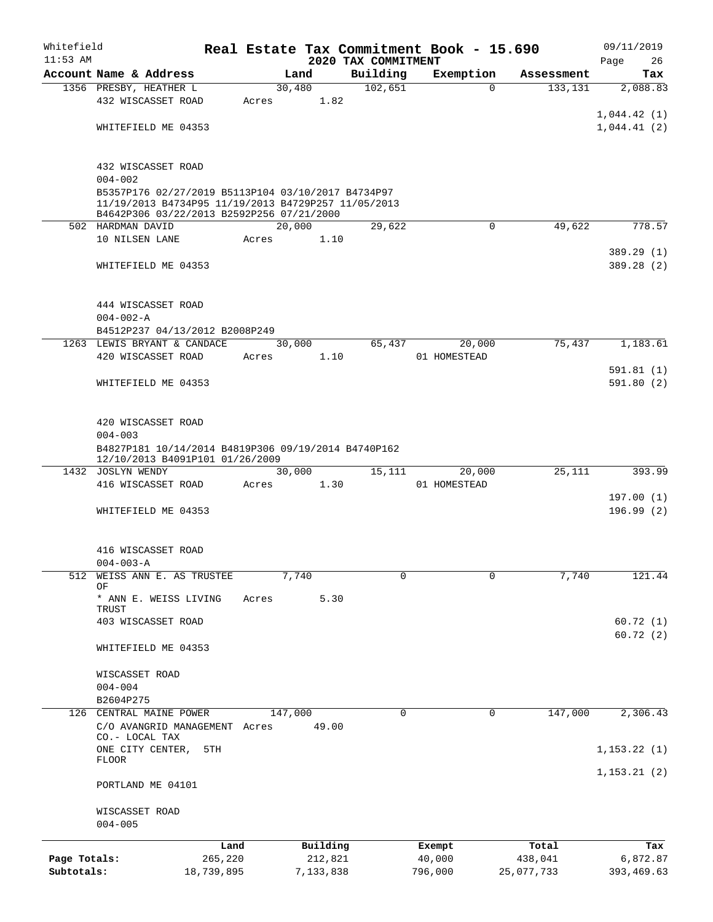| Whitefield   |                                                                |            |       |           |          | Real Estate Tax Commitment Book - 15.690 |              |           |            | 09/11/2019        |
|--------------|----------------------------------------------------------------|------------|-------|-----------|----------|------------------------------------------|--------------|-----------|------------|-------------------|
| $11:53$ AM   | Account Name & Address                                         |            |       | Land      |          | 2020 TAX COMMITMENT<br>Building          |              | Exemption | Assessment | 26<br>Page<br>Tax |
|              | 1356 PRESBY, HEATHER L                                         |            |       | 30,480    |          | 102,651                                  |              | $\Omega$  | 133, 131   | 2,088.83          |
|              | 432 WISCASSET ROAD                                             |            | Acres |           | 1.82     |                                          |              |           |            |                   |
|              |                                                                |            |       |           |          |                                          |              |           |            | 1,044.42(1)       |
|              | WHITEFIELD ME 04353                                            |            |       |           |          |                                          |              |           |            | 1,044.41(2)       |
|              |                                                                |            |       |           |          |                                          |              |           |            |                   |
|              |                                                                |            |       |           |          |                                          |              |           |            |                   |
|              | 432 WISCASSET ROAD<br>$004 - 002$                              |            |       |           |          |                                          |              |           |            |                   |
|              | B5357P176 02/27/2019 B5113P104 03/10/2017 B4734P97             |            |       |           |          |                                          |              |           |            |                   |
|              | 11/19/2013 B4734P95 11/19/2013 B4729P257 11/05/2013            |            |       |           |          |                                          |              |           |            |                   |
|              | B4642P306 03/22/2013 B2592P256 07/21/2000<br>502 HARDMAN DAVID |            |       | 20,000    |          | 29,622                                   |              | 0         | 49,622     | 778.57            |
|              | 10 NILSEN LANE                                                 |            | Acres |           | 1.10     |                                          |              |           |            |                   |
|              |                                                                |            |       |           |          |                                          |              |           |            | 389.29 (1)        |
|              | WHITEFIELD ME 04353                                            |            |       |           |          |                                          |              |           |            | 389.28 (2)        |
|              |                                                                |            |       |           |          |                                          |              |           |            |                   |
|              |                                                                |            |       |           |          |                                          |              |           |            |                   |
|              | 444 WISCASSET ROAD                                             |            |       |           |          |                                          |              |           |            |                   |
|              | $004 - 002 - A$<br>B4512P237 04/13/2012 B2008P249              |            |       |           |          |                                          |              |           |            |                   |
|              | 1263 LEWIS BRYANT & CANDACE                                    |            |       | 30,000    |          | 65,437                                   |              | 20,000    | 75,437     | 1,183.61          |
|              | 420 WISCASSET ROAD                                             |            | Acres |           | 1.10     |                                          | 01 HOMESTEAD |           |            |                   |
|              |                                                                |            |       |           |          |                                          |              |           |            | 591.81(1)         |
|              | WHITEFIELD ME 04353                                            |            |       |           |          |                                          |              |           |            | 591.80 (2)        |
|              |                                                                |            |       |           |          |                                          |              |           |            |                   |
|              |                                                                |            |       |           |          |                                          |              |           |            |                   |
|              | 420 WISCASSET ROAD<br>$004 - 003$                              |            |       |           |          |                                          |              |           |            |                   |
|              | B4827P181 10/14/2014 B4819P306 09/19/2014 B4740P162            |            |       |           |          |                                          |              |           |            |                   |
|              | 12/10/2013 B4091P101 01/26/2009                                |            |       |           |          |                                          |              |           |            |                   |
|              | 1432 JOSLYN WENDY                                              |            |       | 30,000    |          | 15,111                                   |              | 20,000    | 25,111     | 393.99            |
|              | 416 WISCASSET ROAD                                             |            | Acres |           | 1.30     |                                          | 01 HOMESTEAD |           |            |                   |
|              | WHITEFIELD ME 04353                                            |            |       |           |          |                                          |              |           |            | 197.00(1)         |
|              |                                                                |            |       |           |          |                                          |              |           |            | 196.99(2)         |
|              |                                                                |            |       |           |          |                                          |              |           |            |                   |
|              | 416 WISCASSET ROAD                                             |            |       |           |          |                                          |              |           |            |                   |
|              | $004 - 003 - A$                                                |            |       |           |          |                                          |              |           |            |                   |
| 512          | WEISS ANN E. AS TRUSTEE                                        |            |       | 7,740     |          | $\mathbf 0$                              |              | 0         | 7,740      | 121.44            |
|              | ΟF<br>* ANN E. WEISS LIVING                                    |            | Acres |           | 5.30     |                                          |              |           |            |                   |
|              | TRUST                                                          |            |       |           |          |                                          |              |           |            |                   |
|              | 403 WISCASSET ROAD                                             |            |       |           |          |                                          |              |           |            | 60.72(1)          |
|              |                                                                |            |       |           |          |                                          |              |           |            | 60.72(2)          |
|              | WHITEFIELD ME 04353                                            |            |       |           |          |                                          |              |           |            |                   |
|              | WISCASSET ROAD                                                 |            |       |           |          |                                          |              |           |            |                   |
|              | $004 - 004$                                                    |            |       |           |          |                                          |              |           |            |                   |
|              | B2604P275                                                      |            |       |           |          |                                          |              |           |            |                   |
|              | 126 CENTRAL MAINE POWER                                        |            |       | 147,000   |          | 0                                        |              | 0         | 147,000    | 2,306.43          |
|              | C/O AVANGRID MANAGEMENT Acres                                  |            |       |           | 49.00    |                                          |              |           |            |                   |
|              | CO.- LOCAL TAX                                                 |            |       |           |          |                                          |              |           |            |                   |
|              | ONE CITY CENTER,<br>FLOOR                                      | 5TH        |       |           |          |                                          |              |           |            | 1, 153.22(1)      |
|              |                                                                |            |       |           |          |                                          |              |           |            | 1, 153.21(2)      |
|              | PORTLAND ME 04101                                              |            |       |           |          |                                          |              |           |            |                   |
|              |                                                                |            |       |           |          |                                          |              |           |            |                   |
|              | WISCASSET ROAD                                                 |            |       |           |          |                                          |              |           |            |                   |
|              | $004 - 005$                                                    |            |       |           |          |                                          |              |           |            |                   |
|              |                                                                | Land       |       |           | Building |                                          | Exempt       |           | Total      | Tax               |
| Page Totals: |                                                                | 265,220    |       |           | 212,821  |                                          | 40,000       |           | 438,041    | 6,872.87          |
| Subtotals:   |                                                                | 18,739,895 |       | 7,133,838 |          |                                          | 796,000      |           | 25,077,733 | 393,469.63        |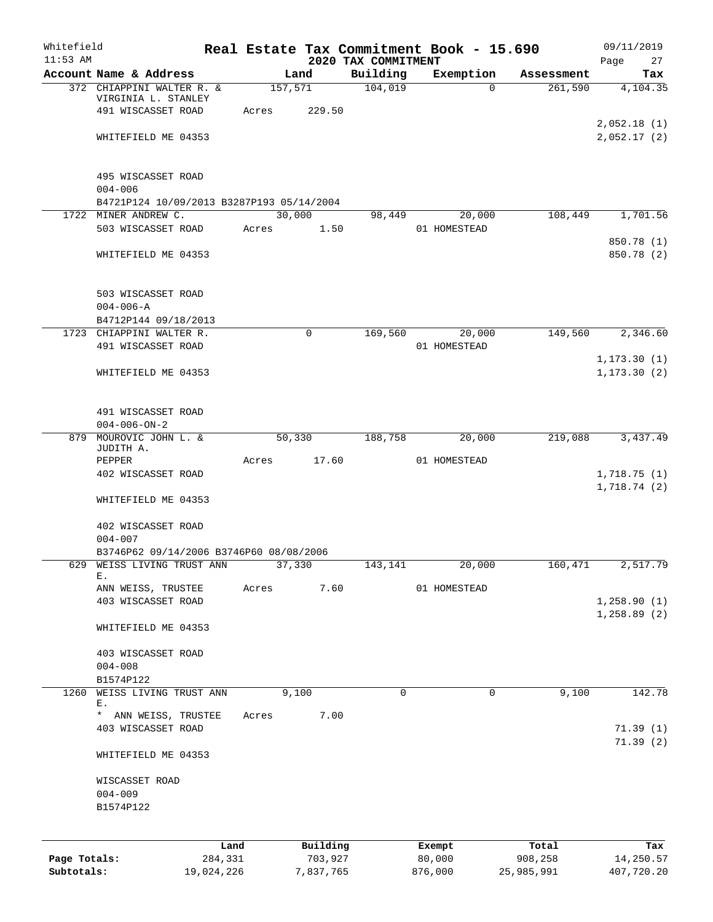| Whitefield<br>$11:53$ AM |                                                                   |            |         |             | 2020 TAX COMMITMENT | Real Estate Tax Commitment Book - 15.690 |            | 09/11/2019<br>Page<br>27 |
|--------------------------|-------------------------------------------------------------------|------------|---------|-------------|---------------------|------------------------------------------|------------|--------------------------|
|                          | Account Name & Address                                            |            |         | Land        | Building            | Exemption                                | Assessment | Tax                      |
|                          | 372 CHIAPPINI WALTER R. &                                         |            | 157,571 |             | 104,019             | $\Omega$                                 | 261,590    | 4,104.35                 |
|                          | VIRGINIA L. STANLEY                                               |            |         |             |                     |                                          |            |                          |
|                          | 491 WISCASSET ROAD                                                |            | Acres   | 229.50      |                     |                                          |            | 2,052.18(1)              |
|                          | WHITEFIELD ME 04353                                               |            |         |             |                     |                                          |            | 2,052.17(2)              |
|                          |                                                                   |            |         |             |                     |                                          |            |                          |
|                          |                                                                   |            |         |             |                     |                                          |            |                          |
|                          | 495 WISCASSET ROAD                                                |            |         |             |                     |                                          |            |                          |
|                          | $004 - 006$                                                       |            |         |             |                     |                                          |            |                          |
|                          | B4721P124 10/09/2013 B3287P193 05/14/2004<br>1722 MINER ANDREW C. |            | 30,000  |             |                     |                                          | 108,449    | 1,701.56                 |
|                          | 503 WISCASSET ROAD                                                |            | Acres   | 1.50        | 98,449              | 20,000<br>01 HOMESTEAD                   |            |                          |
|                          |                                                                   |            |         |             |                     |                                          |            | 850.78 (1)               |
|                          | WHITEFIELD ME 04353                                               |            |         |             |                     |                                          |            | 850.78 (2)               |
|                          |                                                                   |            |         |             |                     |                                          |            |                          |
|                          |                                                                   |            |         |             |                     |                                          |            |                          |
|                          | 503 WISCASSET ROAD                                                |            |         |             |                     |                                          |            |                          |
|                          | $004 - 006 - A$                                                   |            |         |             |                     |                                          |            |                          |
|                          | B4712P144 09/18/2013                                              |            |         |             |                     |                                          |            |                          |
|                          | 1723 CHIAPPINI WALTER R.<br>491 WISCASSET ROAD                    |            |         | $\mathbf 0$ | 169,560             | 20,000<br>01 HOMESTEAD                   | 149,560    | 2,346.60                 |
|                          |                                                                   |            |         |             |                     |                                          |            | 1, 173.30(1)             |
|                          | WHITEFIELD ME 04353                                               |            |         |             |                     |                                          |            | 1, 173.30(2)             |
|                          |                                                                   |            |         |             |                     |                                          |            |                          |
|                          |                                                                   |            |         |             |                     |                                          |            |                          |
|                          | 491 WISCASSET ROAD                                                |            |         |             |                     |                                          |            |                          |
|                          | $004 - 006 - ON - 2$                                              |            |         |             |                     |                                          |            |                          |
|                          | 879 MOUROVIC JOHN L. &<br>JUDITH A.                               |            | 50,330  |             | 188,758             | 20,000                                   | 219,088    | 3,437.49                 |
|                          | PEPPER                                                            |            | Acres   | 17.60       |                     | 01 HOMESTEAD                             |            |                          |
|                          | 402 WISCASSET ROAD                                                |            |         |             |                     |                                          |            | 1,718.75(1)              |
|                          |                                                                   |            |         |             |                     |                                          |            | 1,718.74(2)              |
|                          | WHITEFIELD ME 04353                                               |            |         |             |                     |                                          |            |                          |
|                          |                                                                   |            |         |             |                     |                                          |            |                          |
|                          | 402 WISCASSET ROAD                                                |            |         |             |                     |                                          |            |                          |
|                          | $004 - 007$<br>B3746P62 09/14/2006 B3746P60 08/08/2006            |            |         |             |                     |                                          |            |                          |
| 629                      | WEISS LIVING TRUST ANN                                            |            | 37,330  |             | 143,141             | 20,000                                   | 160,471    | 2,517.79                 |
|                          | Е.                                                                |            |         |             |                     |                                          |            |                          |
|                          | ANN WEISS, TRUSTEE                                                |            | Acres   | 7.60        |                     | 01 HOMESTEAD                             |            |                          |
|                          | 403 WISCASSET ROAD                                                |            |         |             |                     |                                          |            | 1, 258.90(1)             |
|                          |                                                                   |            |         |             |                     |                                          |            | 1,258.89(2)              |
|                          | WHITEFIELD ME 04353                                               |            |         |             |                     |                                          |            |                          |
|                          | 403 WISCASSET ROAD                                                |            |         |             |                     |                                          |            |                          |
|                          | $004 - 008$                                                       |            |         |             |                     |                                          |            |                          |
|                          | B1574P122                                                         |            |         |             |                     |                                          |            |                          |
| 1260                     | WEISS LIVING TRUST ANN                                            |            | 9,100   |             | 0                   | 0                                        | 9,100      | 142.78                   |
|                          | Ε.                                                                |            |         |             |                     |                                          |            |                          |
|                          | * ANN WEISS, TRUSTEE<br>403 WISCASSET ROAD                        |            | Acres   | 7.00        |                     |                                          |            | 71.39(1)                 |
|                          |                                                                   |            |         |             |                     |                                          |            | 71.39(2)                 |
|                          | WHITEFIELD ME 04353                                               |            |         |             |                     |                                          |            |                          |
|                          |                                                                   |            |         |             |                     |                                          |            |                          |
|                          | WISCASSET ROAD                                                    |            |         |             |                     |                                          |            |                          |
|                          | $004 - 009$                                                       |            |         |             |                     |                                          |            |                          |
|                          | B1574P122                                                         |            |         |             |                     |                                          |            |                          |
|                          |                                                                   |            |         |             |                     |                                          |            |                          |
|                          |                                                                   | Land       |         | Building    |                     | Exempt                                   | Total      | Tax                      |
| Page Totals:             |                                                                   | 284,331    |         | 703,927     |                     | 80,000                                   | 908,258    | 14,250.57                |
| Subtotals:               |                                                                   | 19,024,226 |         | 7,837,765   |                     | 876,000                                  | 25,985,991 | 407,720.20               |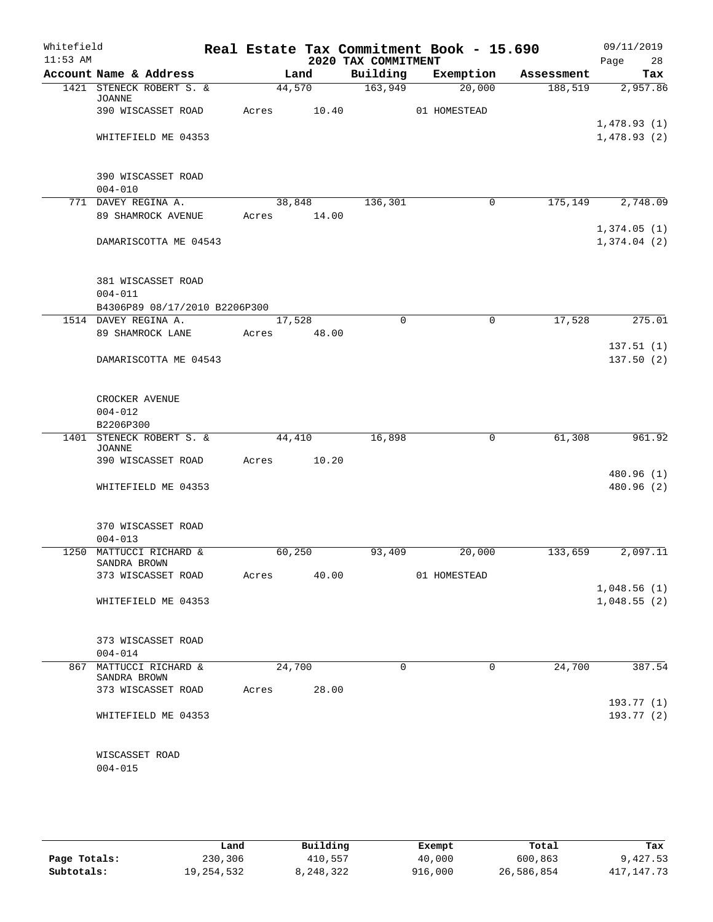| Whitefield<br>$11:53$ AM |                      |                               |       |                 | 2020 TAX COMMITMENT | Real Estate Tax Commitment Book - 15.690 |            | 09/11/2019<br>Page<br>28 |
|--------------------------|----------------------|-------------------------------|-------|-----------------|---------------------|------------------------------------------|------------|--------------------------|
|                          |                      | Account Name & Address        |       | Land            | Building            | Exemption                                | Assessment | Tax                      |
|                          | <b>JOANNE</b>        | 1421 STENECK ROBERT S. &      |       | 44,570          | 163,949             | 20,000                                   | 188,519    | 2,957.86                 |
|                          |                      | 390 WISCASSET ROAD            | Acres | 10.40           |                     | 01 HOMESTEAD                             |            |                          |
|                          |                      |                               |       |                 |                     |                                          |            | 1,478.93(1)              |
|                          |                      | WHITEFIELD ME 04353           |       |                 |                     |                                          |            | 1,478.93(2)              |
|                          |                      | 390 WISCASSET ROAD            |       |                 |                     |                                          |            |                          |
|                          | $004 - 010$          |                               |       |                 |                     |                                          |            |                          |
|                          | 771 DAVEY REGINA A.  | 89 SHAMROCK AVENUE            | Acres | 38,848<br>14.00 | 136,301             | $\mathbf 0$                              | 175,149    | 2,748.09                 |
|                          |                      |                               |       |                 |                     |                                          |            | 1,374.05(1)              |
|                          |                      | DAMARISCOTTA ME 04543         |       |                 |                     |                                          |            | 1,374.04(2)              |
|                          |                      | 381 WISCASSET ROAD            |       |                 |                     |                                          |            |                          |
|                          | $004 - 011$          |                               |       |                 |                     |                                          |            |                          |
|                          |                      | B4306P89 08/17/2010 B2206P300 |       |                 |                     |                                          |            |                          |
|                          | 1514 DAVEY REGINA A. |                               |       | 17,528          | $\mathbf 0$         | $\mathbf 0$                              | 17,528     | 275.01                   |
|                          |                      | 89 SHAMROCK LANE              | Acres | 48.00           |                     |                                          |            |                          |
|                          |                      | DAMARISCOTTA ME 04543         |       |                 |                     |                                          |            | 137.51(1)<br>137.50(2)   |
|                          |                      |                               |       |                 |                     |                                          |            |                          |
|                          | CROCKER AVENUE       |                               |       |                 |                     |                                          |            |                          |
|                          | $004 - 012$          |                               |       |                 |                     |                                          |            |                          |
|                          | B2206P300            |                               |       |                 |                     |                                          |            |                          |
|                          |                      | 1401 STENECK ROBERT S. &      |       | 44,410          | 16,898              | 0                                        | 61,308     | 961.92                   |
|                          | <b>JOANNE</b>        | 390 WISCASSET ROAD            | Acres | 10.20           |                     |                                          |            |                          |
|                          |                      |                               |       |                 |                     |                                          |            | 480.96 (1)               |
|                          |                      | WHITEFIELD ME 04353           |       |                 |                     |                                          |            | 480.96 (2)               |
|                          |                      |                               |       |                 |                     |                                          |            |                          |
|                          |                      | 370 WISCASSET ROAD            |       |                 |                     |                                          |            |                          |
|                          | $004 - 013$          |                               |       |                 |                     |                                          |            | 2,097.11                 |
|                          | SANDRA BROWN         | 1250 MATTUCCI RICHARD &       |       | 60,250          | 93,409              | 20,000                                   | 133,659    |                          |
|                          |                      | 373 WISCASSET ROAD            | Acres | 40.00           |                     | 01 HOMESTEAD                             |            |                          |
|                          |                      |                               |       |                 |                     |                                          |            | 1,048.56(1)              |
|                          |                      | WHITEFIELD ME 04353           |       |                 |                     |                                          |            | 1,048.55(2)              |
|                          |                      | 373 WISCASSET ROAD            |       |                 |                     |                                          |            |                          |
|                          | $004 - 014$          |                               |       |                 |                     |                                          |            |                          |
| 867                      | SANDRA BROWN         | MATTUCCI RICHARD &            |       | 24,700          | $\mathbf 0$         | $\mathbf 0$                              | 24,700     | 387.54                   |
|                          |                      | 373 WISCASSET ROAD            | Acres | 28.00           |                     |                                          |            |                          |
|                          |                      |                               |       |                 |                     |                                          |            | 193.77(1)                |
|                          |                      | WHITEFIELD ME 04353           |       |                 |                     |                                          |            | 193.77 (2)               |
|                          | WISCASSET ROAD       |                               |       |                 |                     |                                          |            |                          |
|                          | $004 - 015$          |                               |       |                 |                     |                                          |            |                          |
|                          |                      |                               |       |                 |                     |                                          |            |                          |

|              | Land         | Building  | Exempt  | Total      | Tax          |
|--------------|--------------|-----------|---------|------------|--------------|
| Page Totals: | 230,306      | 410,557   | 40,000  | 600,863    | 9,427.53     |
| Subtotals:   | 19, 254, 532 | 3,248,322 | 916,000 | 26,586,854 | 417, 147, 73 |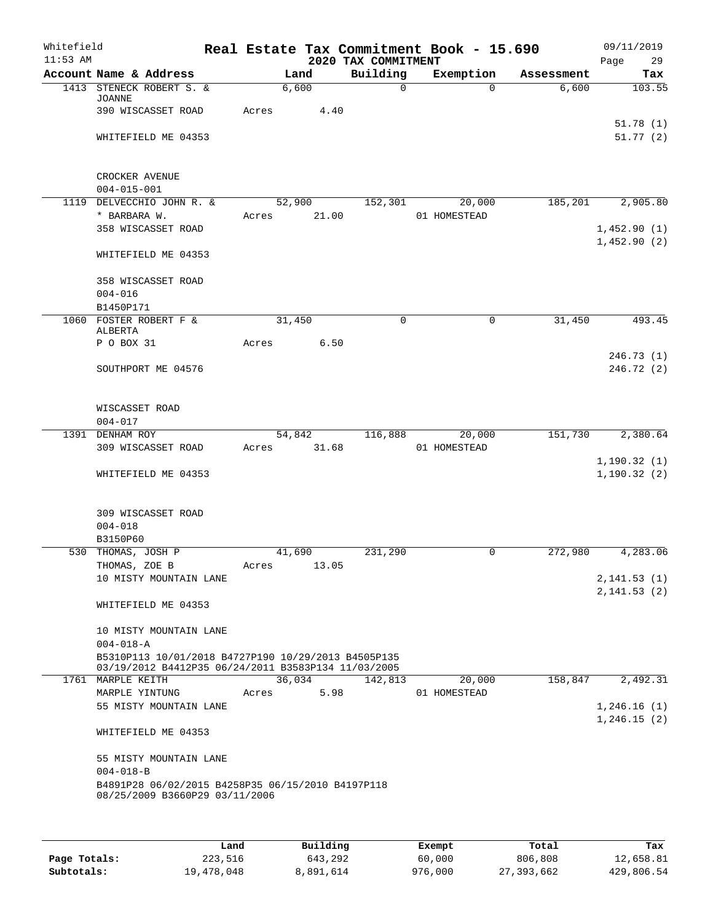| Whitefield<br>$11:53$ AM |                                                                                                            |        |        | 2020 TAX COMMITMENT | Real Estate Tax Commitment Book - 15.690 |            | 09/11/2019<br>29<br>Page     |
|--------------------------|------------------------------------------------------------------------------------------------------------|--------|--------|---------------------|------------------------------------------|------------|------------------------------|
|                          | Account Name & Address                                                                                     |        | Land   | Building            | Exemption                                | Assessment | Tax                          |
|                          | 1413 STENECK ROBERT S. &                                                                                   | 6,600  |        | $\Omega$            | $\Omega$                                 | 6,600      | 103.55                       |
|                          | <b>JOANNE</b>                                                                                              |        |        |                     |                                          |            |                              |
|                          | 390 WISCASSET ROAD                                                                                         | Acres  | 4.40   |                     |                                          |            | 51.78(1)                     |
|                          | WHITEFIELD ME 04353                                                                                        |        |        |                     |                                          |            | 51.77(2)                     |
|                          |                                                                                                            |        |        |                     |                                          |            |                              |
|                          |                                                                                                            |        |        |                     |                                          |            |                              |
|                          | CROCKER AVENUE                                                                                             |        |        |                     |                                          |            |                              |
|                          | $004 - 015 - 001$                                                                                          |        |        |                     |                                          |            |                              |
|                          | 1119 DELVECCHIO JOHN R. &                                                                                  | 52,900 |        | 152,301             | 20,000                                   | 185,201    | 2,905.80                     |
|                          | * BARBARA W.<br>358 WISCASSET ROAD                                                                         | Acres  | 21.00  |                     | 01 HOMESTEAD                             |            | 1,452.90(1)                  |
|                          |                                                                                                            |        |        |                     |                                          |            | 1,452.90(2)                  |
|                          | WHITEFIELD ME 04353                                                                                        |        |        |                     |                                          |            |                              |
|                          |                                                                                                            |        |        |                     |                                          |            |                              |
|                          | 358 WISCASSET ROAD                                                                                         |        |        |                     |                                          |            |                              |
|                          | $004 - 016$                                                                                                |        |        |                     |                                          |            |                              |
|                          | B1450P171                                                                                                  |        |        |                     |                                          |            |                              |
|                          | 1060 FOSTER ROBERT F &<br>ALBERTA                                                                          | 31,450 |        | $\mathbf 0$         | 0                                        | 31,450     | 493.45                       |
|                          | P O BOX 31                                                                                                 | Acres  | 6.50   |                     |                                          |            |                              |
|                          |                                                                                                            |        |        |                     |                                          |            | 246.73(1)                    |
|                          | SOUTHPORT ME 04576                                                                                         |        |        |                     |                                          |            | 246.72(2)                    |
|                          |                                                                                                            |        |        |                     |                                          |            |                              |
|                          | WISCASSET ROAD                                                                                             |        |        |                     |                                          |            |                              |
|                          | $004 - 017$                                                                                                |        |        |                     |                                          |            |                              |
|                          | 1391 DENHAM ROY                                                                                            | 54,842 |        | 116,888             | 20,000                                   | 151,730    | 2,380.64                     |
|                          | 309 WISCASSET ROAD                                                                                         | Acres  | 31.68  |                     | 01 HOMESTEAD                             |            |                              |
|                          |                                                                                                            |        |        |                     |                                          |            | 1, 190.32(1)                 |
|                          | WHITEFIELD ME 04353                                                                                        |        |        |                     |                                          |            | 1, 190.32(2)                 |
|                          |                                                                                                            |        |        |                     |                                          |            |                              |
|                          | 309 WISCASSET ROAD                                                                                         |        |        |                     |                                          |            |                              |
|                          | $004 - 018$                                                                                                |        |        |                     |                                          |            |                              |
|                          | B3150P60                                                                                                   |        |        |                     |                                          |            |                              |
|                          | 530 THOMAS, JOSH P                                                                                         | 41,690 |        | 231,290             | 0                                        | 272,980    | 4,283.06                     |
|                          | THOMAS, ZOE B                                                                                              | Acres  | 13.05  |                     |                                          |            |                              |
|                          | 10 MISTY MOUNTAIN LANE                                                                                     |        |        |                     |                                          |            | 2, 141.53(1)<br>2, 141.53(2) |
|                          | WHITEFIELD ME 04353                                                                                        |        |        |                     |                                          |            |                              |
|                          |                                                                                                            |        |        |                     |                                          |            |                              |
|                          | 10 MISTY MOUNTAIN LANE                                                                                     |        |        |                     |                                          |            |                              |
|                          | $004 - 018 - A$                                                                                            |        |        |                     |                                          |            |                              |
|                          | B5310P113 10/01/2018 B4727P190 10/29/2013 B4505P135<br>03/19/2012 B4412P35 06/24/2011 B3583P134 11/03/2005 |        |        |                     |                                          |            |                              |
|                          | 1761 MARPLE KEITH                                                                                          |        | 36,034 | 142,813             | 20,000                                   | 158,847    | 2,492.31                     |
|                          | MARPLE YINTUNG                                                                                             | Acres  | 5.98   |                     | 01 HOMESTEAD                             |            |                              |
|                          | 55 MISTY MOUNTAIN LANE                                                                                     |        |        |                     |                                          |            | 1,246.16(1)                  |
|                          |                                                                                                            |        |        |                     |                                          |            | 1,246.15(2)                  |
|                          | WHITEFIELD ME 04353                                                                                        |        |        |                     |                                          |            |                              |
|                          | 55 MISTY MOUNTAIN LANE                                                                                     |        |        |                     |                                          |            |                              |
|                          | $004 - 018 - B$                                                                                            |        |        |                     |                                          |            |                              |
|                          | B4891P28 06/02/2015 B4258P35 06/15/2010 B4197P118                                                          |        |        |                     |                                          |            |                              |
|                          | 08/25/2009 B3660P29 03/11/2006                                                                             |        |        |                     |                                          |            |                              |
|                          |                                                                                                            |        |        |                     |                                          |            |                              |
|                          |                                                                                                            |        |        |                     |                                          |            |                              |

|              | Land       | Building  | Exempt  | Total      | Tax        |
|--------------|------------|-----------|---------|------------|------------|
| Page Totals: | 223,516    | 643,292   | 60,000  | 806,808    | 12,658.81  |
| Subtotals:   | 19,478,048 | 8,891,614 | 976,000 | 27,393,662 | 429,806.54 |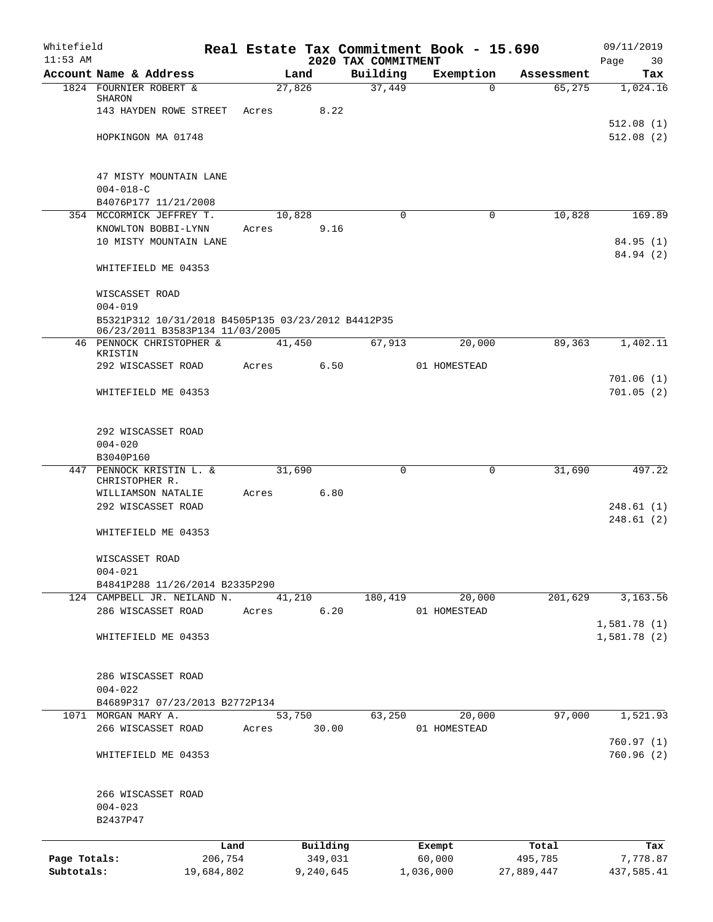| Whitefield   |                                                                                                      |            |       |           |                                 | Real Estate Tax Commitment Book - 15.690 |            | 09/11/2019             |
|--------------|------------------------------------------------------------------------------------------------------|------------|-------|-----------|---------------------------------|------------------------------------------|------------|------------------------|
| $11:53$ AM   | Account Name & Address                                                                               |            |       | Land      | 2020 TAX COMMITMENT<br>Building | Exemption                                | Assessment | Page<br>30<br>Tax      |
|              | 1824 FOURNIER ROBERT &                                                                               |            |       | 27,826    | 37,449                          | $\Omega$                                 | 65,275     | 1,024.16               |
|              | SHARON                                                                                               |            |       |           |                                 |                                          |            |                        |
|              | 143 HAYDEN ROWE STREET                                                                               |            | Acres | 8.22      |                                 |                                          |            |                        |
|              | HOPKINGON MA 01748                                                                                   |            |       |           |                                 |                                          |            | 512.08(1)<br>512.08(2) |
|              |                                                                                                      |            |       |           |                                 |                                          |            |                        |
|              | 47 MISTY MOUNTAIN LANE                                                                               |            |       |           |                                 |                                          |            |                        |
|              | $004 - 018 - C$                                                                                      |            |       |           |                                 |                                          |            |                        |
|              | B4076P177 11/21/2008                                                                                 |            |       |           |                                 |                                          |            |                        |
|              | 354 MCCORMICK JEFFREY T.<br>KNOWLTON BOBBI-LYNN                                                      |            |       | 10,828    | $\Omega$                        | $\mathbf 0$                              | 10,828     | 169.89                 |
|              | 10 MISTY MOUNTAIN LANE                                                                               |            | Acres | 9.16      |                                 |                                          |            | 84.95(1)               |
|              |                                                                                                      |            |       |           |                                 |                                          |            | 84.94 (2)              |
|              | WHITEFIELD ME 04353                                                                                  |            |       |           |                                 |                                          |            |                        |
|              | WISCASSET ROAD                                                                                       |            |       |           |                                 |                                          |            |                        |
|              | $004 - 019$<br>B5321P312 10/31/2018 B4505P135 03/23/2012 B4412P35<br>06/23/2011 B3583P134 11/03/2005 |            |       |           |                                 |                                          |            |                        |
|              | 46 PENNOCK CHRISTOPHER &<br>KRISTIN                                                                  |            |       | 41,450    | 67,913                          | 20,000                                   | 89,363     | 1,402.11               |
|              | 292 WISCASSET ROAD                                                                                   |            | Acres | 6.50      |                                 | 01 HOMESTEAD                             |            |                        |
|              |                                                                                                      |            |       |           |                                 |                                          |            | 701.06(1)              |
|              | WHITEFIELD ME 04353                                                                                  |            |       |           |                                 |                                          |            | 701.05(2)              |
|              | 292 WISCASSET ROAD                                                                                   |            |       |           |                                 |                                          |            |                        |
|              | $004 - 020$                                                                                          |            |       |           |                                 |                                          |            |                        |
|              | B3040P160                                                                                            |            |       |           |                                 |                                          |            |                        |
|              | 447 PENNOCK KRISTIN L. &                                                                             |            |       | 31,690    | $\Omega$                        | $\mathbf 0$                              | 31,690     | 497.22                 |
|              | CHRISTOPHER R.<br>WILLIAMSON NATALIE                                                                 |            | Acres | 6.80      |                                 |                                          |            |                        |
|              | 292 WISCASSET ROAD                                                                                   |            |       |           |                                 |                                          |            | 248.61(1)              |
|              |                                                                                                      |            |       |           |                                 |                                          |            | 248.61(2)              |
|              | WHITEFIELD ME 04353                                                                                  |            |       |           |                                 |                                          |            |                        |
|              | WISCASSET ROAD                                                                                       |            |       |           |                                 |                                          |            |                        |
|              | $004 - 021$                                                                                          |            |       |           |                                 |                                          |            |                        |
|              | B4841P288 11/26/2014 B2335P290                                                                       |            |       |           |                                 |                                          |            |                        |
|              | 124 CAMPBELL JR. NEILAND N.                                                                          |            |       | 41,210    | 180,419                         | 20,000                                   | 201,629    | 3,163.56               |
|              | 286 WISCASSET ROAD                                                                                   |            | Acres | 6.20      |                                 | 01 HOMESTEAD                             |            | 1,581.78(1)            |
|              | WHITEFIELD ME 04353                                                                                  |            |       |           |                                 |                                          |            | 1,581.78(2)            |
|              |                                                                                                      |            |       |           |                                 |                                          |            |                        |
|              | 286 WISCASSET ROAD                                                                                   |            |       |           |                                 |                                          |            |                        |
|              | $004 - 022$                                                                                          |            |       |           |                                 |                                          |            |                        |
|              | B4689P317 07/23/2013 B2772P134                                                                       |            |       |           |                                 |                                          |            |                        |
| 1071         | MORGAN MARY A.                                                                                       |            |       | 53,750    | 63,250                          | 20,000                                   | 97,000     | 1,521.93               |
|              | 266 WISCASSET ROAD                                                                                   |            | Acres | 30.00     |                                 | 01 HOMESTEAD                             |            |                        |
|              | WHITEFIELD ME 04353                                                                                  |            |       |           |                                 |                                          |            | 760.97(1)<br>760.96(2) |
|              |                                                                                                      |            |       |           |                                 |                                          |            |                        |
|              | 266 WISCASSET ROAD                                                                                   |            |       |           |                                 |                                          |            |                        |
|              | $004 - 023$<br>B2437P47                                                                              |            |       |           |                                 |                                          |            |                        |
|              |                                                                                                      | Land       |       | Building  |                                 | Exempt                                   | Total      | Tax                    |
| Page Totals: |                                                                                                      | 206,754    |       | 349,031   |                                 | 60,000                                   | 495,785    | 7,778.87               |
| Subtotals:   |                                                                                                      | 19,684,802 |       | 9,240,645 |                                 | 1,036,000                                | 27,889,447 | 437,585.41             |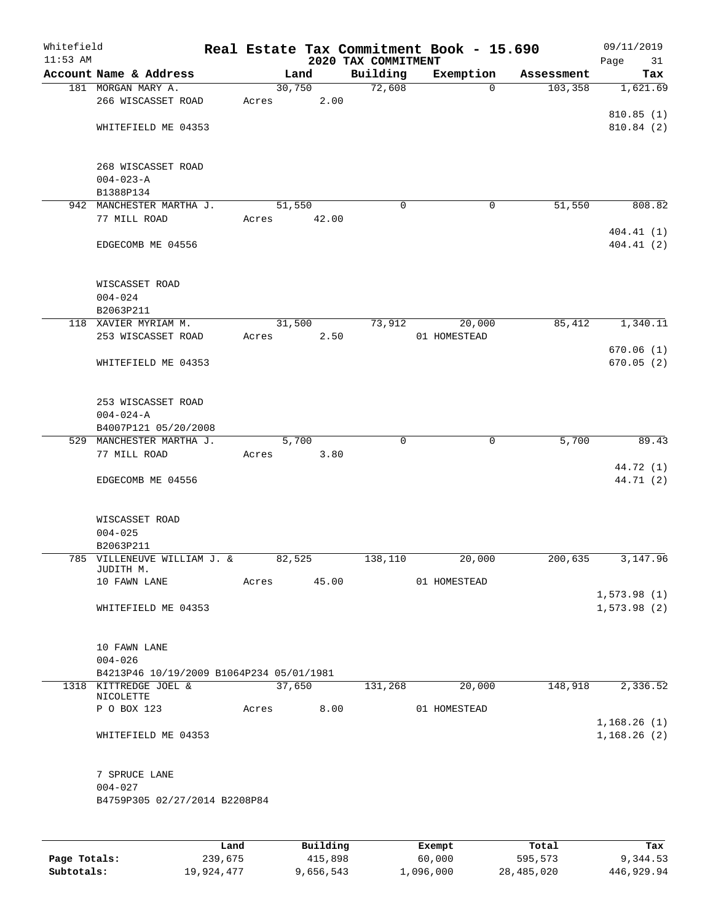| Whitefield<br>$11:53$ AM |                                                          |       |                 | 2020 TAX COMMITMENT | Real Estate Tax Commitment Book - 15.690   |            | 09/11/2019<br>Page<br>31 |
|--------------------------|----------------------------------------------------------|-------|-----------------|---------------------|--------------------------------------------|------------|--------------------------|
|                          | Account Name & Address                                   |       | Land            | Building            | Exemption                                  | Assessment | Tax                      |
|                          | 181 MORGAN MARY A.                                       |       | 30,750          | 72,608              | $\Omega$                                   | 103,358    | 1,621.69                 |
|                          | 266 WISCASSET ROAD                                       | Acres | 2.00            |                     |                                            |            |                          |
|                          |                                                          |       |                 |                     |                                            |            | 810.85(1)                |
|                          | WHITEFIELD ME 04353                                      |       |                 |                     |                                            |            | 810.84 (2)               |
|                          | 268 WISCASSET ROAD                                       |       |                 |                     |                                            |            |                          |
|                          | $004 - 023 - A$                                          |       |                 |                     |                                            |            |                          |
|                          | B1388P134                                                |       |                 |                     |                                            |            |                          |
|                          | 942 MANCHESTER MARTHA J.                                 |       | 51,550          | 0                   | 0                                          | 51,550     | 808.82                   |
|                          | 77 MILL ROAD                                             | Acres | 42.00           |                     |                                            |            |                          |
|                          | EDGECOMB ME 04556                                        |       |                 |                     |                                            |            | 404.41(1)<br>404.41(2)   |
|                          |                                                          |       |                 |                     |                                            |            |                          |
|                          | WISCASSET ROAD                                           |       |                 |                     |                                            |            |                          |
|                          | $004 - 024$                                              |       |                 |                     |                                            |            |                          |
|                          | B2063P211<br>118 XAVIER MYRIAM M.                        |       | 31,500          | 73,912              | 20,000                                     | 85,412     | 1,340.11                 |
|                          | 253 WISCASSET ROAD                                       | Acres | 2.50            |                     | 01 HOMESTEAD                               |            |                          |
|                          |                                                          |       |                 |                     |                                            |            | 670.06(1)                |
|                          | WHITEFIELD ME 04353                                      |       |                 |                     |                                            |            | 670.05(2)                |
|                          | 253 WISCASSET ROAD                                       |       |                 |                     |                                            |            |                          |
|                          | $004 - 024 - A$                                          |       |                 |                     |                                            |            |                          |
|                          | B4007P121 05/20/2008                                     |       |                 |                     |                                            |            |                          |
|                          | 529 MANCHESTER MARTHA J.                                 |       | 5,700           | $\Omega$            | $\mathbf 0$                                | 5,700      | 89.43                    |
|                          | 77 MILL ROAD                                             | Acres | 3.80            |                     |                                            |            |                          |
|                          |                                                          |       |                 |                     |                                            |            | 44.72 (1)                |
|                          | EDGECOMB ME 04556                                        |       |                 |                     |                                            |            | 44.71 (2)                |
|                          | WISCASSET ROAD                                           |       |                 |                     |                                            |            |                          |
|                          | $004 - 025$                                              |       |                 |                     |                                            |            |                          |
|                          | B2063P211                                                |       |                 |                     |                                            |            |                          |
|                          | 785 VILLENEUVE WILLIAM J. &<br>JUDITH M.<br>10 FAWN LANE | Acres | 82,525<br>45.00 | 138,110             | 20,000<br>01 HOMESTEAD                     | 200,635    | 3,147.96                 |
|                          |                                                          |       |                 |                     |                                            |            | 1,573.98(1)              |
|                          | WHITEFIELD ME 04353                                      |       |                 |                     |                                            |            | 1,573.98(2)              |
|                          | 10 FAWN LANE                                             |       |                 |                     |                                            |            |                          |
|                          | $004 - 026$                                              |       |                 |                     |                                            |            |                          |
|                          | B4213P46 10/19/2009 B1064P234 05/01/1981                 |       |                 |                     |                                            |            |                          |
|                          | 1318 KITTREDGE JOEL &                                    |       | 37,650          | 131,268             | 20,000                                     | 148,918    | 2,336.52                 |
|                          | NICOLETTE                                                |       |                 |                     |                                            |            |                          |
|                          | P O BOX 123                                              | Acres | 8.00            |                     | 01 HOMESTEAD                               |            | 1,168.26(1)              |
|                          | WHITEFIELD ME 04353                                      |       |                 |                     |                                            |            | 1,168.26(2)              |
|                          | 7 SPRUCE LANE                                            |       |                 |                     |                                            |            |                          |
|                          | $004 - 027$                                              |       |                 |                     |                                            |            |                          |
|                          | B4759P305 02/27/2014 B2208P84                            |       |                 |                     |                                            |            |                          |
|                          |                                                          |       |                 |                     |                                            |            |                          |
|                          |                                                          |       | <b>Duilding</b> |                     | $P$ <sub>rea</sub> $m$ $\sim$ <sup>4</sup> |            |                          |

|              | Land       | Building  | Exempt    | Total      | Tax        |
|--------------|------------|-----------|-----------|------------|------------|
| Page Totals: | 239,675    | 415,898   | 60,000    | 595,573    | 9,344.53   |
| Subtotals:   | 19,924,477 | 9,656,543 | 1,096,000 | 28,485,020 | 446,929.94 |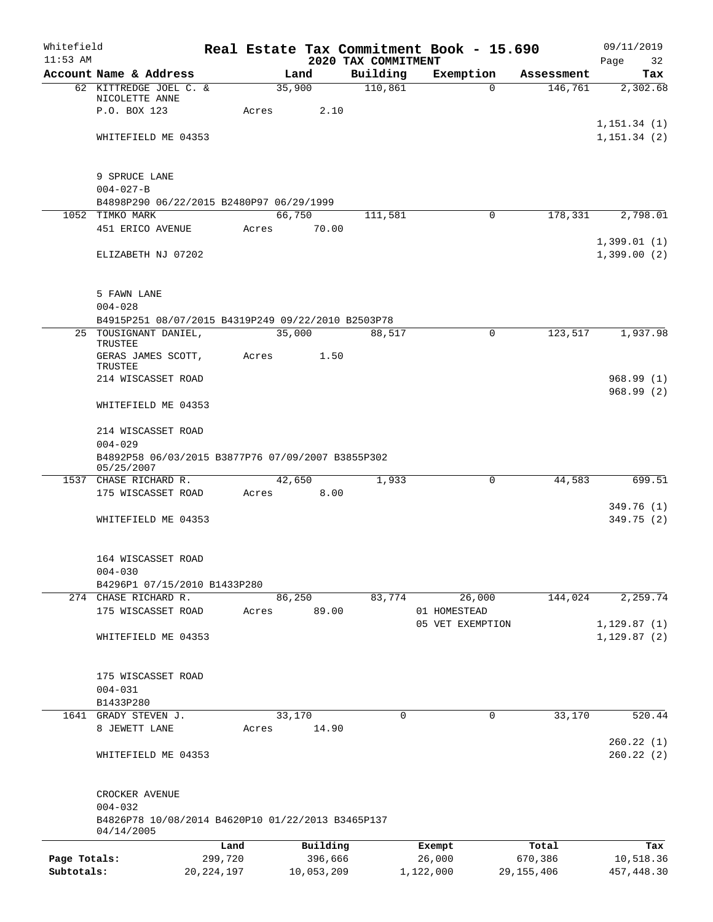| Whitefield<br>$11:53$ AM |                                                                             |              |       |                 | 2020 TAX COMMITMENT | Real Estate Tax Commitment Book - 15.690 |              | 09/11/2019<br>Page<br>32     |
|--------------------------|-----------------------------------------------------------------------------|--------------|-------|-----------------|---------------------|------------------------------------------|--------------|------------------------------|
|                          | Account Name & Address                                                      |              |       | Land            | Building            | Exemption                                | Assessment   | Tax                          |
|                          | 62 KITTREDGE JOEL C. &                                                      |              |       | 35,900          | 110,861             | $\Omega$                                 | 146,761      | 2,302.68                     |
|                          | NICOLETTE ANNE                                                              |              |       |                 |                     |                                          |              |                              |
|                          | P.O. BOX 123                                                                |              | Acres | 2.10            |                     |                                          |              |                              |
|                          | WHITEFIELD ME 04353                                                         |              |       |                 |                     |                                          |              | 1, 151.34(1)<br>1, 151.34(2) |
|                          |                                                                             |              |       |                 |                     |                                          |              |                              |
|                          |                                                                             |              |       |                 |                     |                                          |              |                              |
|                          | 9 SPRUCE LANE                                                               |              |       |                 |                     |                                          |              |                              |
|                          | $004 - 027 - B$                                                             |              |       |                 |                     |                                          |              |                              |
|                          | B4898P290 06/22/2015 B2480P97 06/29/1999                                    |              |       |                 |                     |                                          |              |                              |
|                          | 1052 TIMKO MARK<br>451 ERICO AVENUE                                         |              | Acres | 66,750<br>70.00 | 111,581             | $\Omega$                                 | 178,331      | 2,798.01                     |
|                          |                                                                             |              |       |                 |                     |                                          |              | 1,399.01(1)                  |
|                          | ELIZABETH NJ 07202                                                          |              |       |                 |                     |                                          |              | 1,399.00(2)                  |
|                          |                                                                             |              |       |                 |                     |                                          |              |                              |
|                          |                                                                             |              |       |                 |                     |                                          |              |                              |
|                          | 5 FAWN LANE                                                                 |              |       |                 |                     |                                          |              |                              |
|                          | $004 - 028$                                                                 |              |       |                 |                     |                                          |              |                              |
|                          | B4915P251 08/07/2015 B4319P249 09/22/2010 B2503P78<br>25 TOUSIGNANT DANIEL, |              |       | 35,000          | 88,517              | 0                                        | 123,517      | 1,937.98                     |
|                          | TRUSTEE                                                                     |              |       |                 |                     |                                          |              |                              |
|                          | GERAS JAMES SCOTT,                                                          |              | Acres | 1.50            |                     |                                          |              |                              |
|                          | <b>TRUSTEE</b><br>214 WISCASSET ROAD                                        |              |       |                 |                     |                                          |              | 968.99(1)                    |
|                          |                                                                             |              |       |                 |                     |                                          |              | 968.99(2)                    |
|                          | WHITEFIELD ME 04353                                                         |              |       |                 |                     |                                          |              |                              |
|                          |                                                                             |              |       |                 |                     |                                          |              |                              |
|                          | 214 WISCASSET ROAD                                                          |              |       |                 |                     |                                          |              |                              |
|                          | $004 - 029$                                                                 |              |       |                 |                     |                                          |              |                              |
|                          | B4892P58 06/03/2015 B3877P76 07/09/2007 B3855P302<br>05/25/2007             |              |       |                 |                     |                                          |              |                              |
|                          | 1537 CHASE RICHARD R.                                                       |              |       | 42,650          | 1,933               | $\Omega$                                 | 44,583       | 699.51                       |
|                          | 175 WISCASSET ROAD                                                          |              | Acres | 8.00            |                     |                                          |              |                              |
|                          |                                                                             |              |       |                 |                     |                                          |              | 349.76 (1)                   |
|                          | WHITEFIELD ME 04353                                                         |              |       |                 |                     |                                          |              | 349.75 (2)                   |
|                          |                                                                             |              |       |                 |                     |                                          |              |                              |
|                          | 164 WISCASSET ROAD                                                          |              |       |                 |                     |                                          |              |                              |
|                          | $004 - 030$                                                                 |              |       |                 |                     |                                          |              |                              |
|                          | B4296P1 07/15/2010 B1433P280                                                |              |       |                 |                     |                                          |              |                              |
|                          | 274 CHASE RICHARD R.                                                        |              |       | 86,250          | 83,774              | 26,000                                   | 144,024      | 2,259.74                     |
|                          | 175 WISCASSET ROAD                                                          |              | Acres | 89.00           |                     | 01 HOMESTEAD                             |              |                              |
|                          | WHITEFIELD ME 04353                                                         |              |       |                 |                     | 05 VET EXEMPTION                         |              | 1,129.87(1)<br>1, 129.87(2)  |
|                          |                                                                             |              |       |                 |                     |                                          |              |                              |
|                          |                                                                             |              |       |                 |                     |                                          |              |                              |
|                          | 175 WISCASSET ROAD                                                          |              |       |                 |                     |                                          |              |                              |
|                          | $004 - 031$                                                                 |              |       |                 |                     |                                          |              |                              |
|                          | B1433P280                                                                   |              |       |                 |                     |                                          |              |                              |
| 1641                     | GRADY STEVEN J.<br>8 JEWETT LANE                                            |              |       | 33,170          | 0                   | 0                                        | 33,170       | 520.44                       |
|                          |                                                                             |              | Acres | 14.90           |                     |                                          |              | 260.22(1)                    |
|                          | WHITEFIELD ME 04353                                                         |              |       |                 |                     |                                          |              | 260.22(2)                    |
|                          |                                                                             |              |       |                 |                     |                                          |              |                              |
|                          |                                                                             |              |       |                 |                     |                                          |              |                              |
|                          | CROCKER AVENUE                                                              |              |       |                 |                     |                                          |              |                              |
|                          | $004 - 032$                                                                 |              |       |                 |                     |                                          |              |                              |
|                          | B4826P78 10/08/2014 B4620P10 01/22/2013 B3465P137<br>04/14/2005             |              |       |                 |                     |                                          |              |                              |
|                          |                                                                             | Land         |       | Building        |                     | Exempt                                   | Total        | Tax                          |
| Page Totals:             |                                                                             | 299,720      |       | 396,666         |                     | 26,000                                   | 670,386      | 10,518.36                    |
| Subtotals:               |                                                                             | 20, 224, 197 |       | 10,053,209      |                     | 1,122,000                                | 29, 155, 406 | 457, 448.30                  |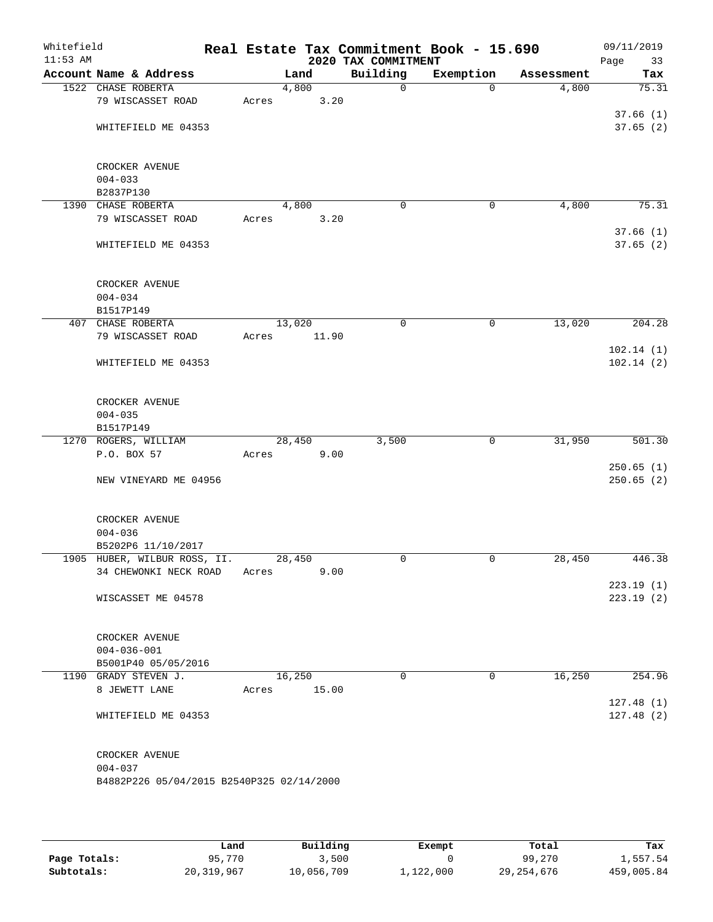| Whitefield<br>$11:53$ AM |                                           |       |        |       | 2020 TAX COMMITMENT | Real Estate Tax Commitment Book - 15.690 |            | 09/11/2019<br>Page<br>33 |
|--------------------------|-------------------------------------------|-------|--------|-------|---------------------|------------------------------------------|------------|--------------------------|
|                          | Account Name & Address                    |       | Land   |       | Building            | Exemption                                | Assessment | Tax                      |
|                          | 1522 CHASE ROBERTA                        |       | 4,800  |       | $\mathbf 0$         | $\Omega$                                 | 4,800      | 75.31                    |
|                          | 79 WISCASSET ROAD                         | Acres |        | 3.20  |                     |                                          |            |                          |
|                          |                                           |       |        |       |                     |                                          |            | 37.66(1)                 |
|                          | WHITEFIELD ME 04353                       |       |        |       |                     |                                          |            | 37.65(2)                 |
|                          | CROCKER AVENUE                            |       |        |       |                     |                                          |            |                          |
|                          | $004 - 033$                               |       |        |       |                     |                                          |            |                          |
|                          | B2837P130                                 |       |        |       |                     |                                          |            |                          |
|                          | 1390 CHASE ROBERTA                        |       | 4,800  |       | $\mathbf 0$         | 0                                        | 4,800      | 75.31                    |
|                          | 79 WISCASSET ROAD                         | Acres |        | 3.20  |                     |                                          |            | 37.66(1)                 |
|                          | WHITEFIELD ME 04353                       |       |        |       |                     |                                          |            | 37.65(2)                 |
|                          | CROCKER AVENUE                            |       |        |       |                     |                                          |            |                          |
|                          | $004 - 034$                               |       |        |       |                     |                                          |            |                          |
|                          | B1517P149                                 |       |        |       |                     |                                          |            |                          |
|                          | 407 CHASE ROBERTA                         |       | 13,020 |       | 0                   | 0                                        | 13,020     | 204.28                   |
|                          | 79 WISCASSET ROAD                         | Acres |        | 11.90 |                     |                                          |            |                          |
|                          |                                           |       |        |       |                     |                                          |            | 102.14(1)                |
|                          | WHITEFIELD ME 04353                       |       |        |       |                     |                                          |            | 102.14(2)                |
|                          | CROCKER AVENUE                            |       |        |       |                     |                                          |            |                          |
|                          | $004 - 035$                               |       |        |       |                     |                                          |            |                          |
|                          | B1517P149                                 |       |        |       |                     |                                          |            |                          |
|                          | 1270 ROGERS, WILLIAM                      |       | 28,450 |       | 3,500               | 0                                        | 31,950     | 501.30                   |
|                          | P.O. BOX 57                               | Acres |        | 9.00  |                     |                                          |            |                          |
|                          | NEW VINEYARD ME 04956                     |       |        |       |                     |                                          |            | 250.65(1)<br>250.65(2)   |
|                          |                                           |       |        |       |                     |                                          |            |                          |
|                          | CROCKER AVENUE                            |       |        |       |                     |                                          |            |                          |
|                          | $004 - 036$<br>B5202P6 11/10/2017         |       |        |       |                     |                                          |            |                          |
|                          | 1905 HUBER, WILBUR ROSS, II.              |       | 28,450 |       | 0                   | 0                                        | 28,450     | 446.38                   |
|                          | 34 CHEWONKI NECK ROAD                     | Acres |        | 9.00  |                     |                                          |            |                          |
|                          |                                           |       |        |       |                     |                                          |            | 223.19(1)                |
|                          | WISCASSET ME 04578                        |       |        |       |                     |                                          |            | 223.19(2)                |
|                          | CROCKER AVENUE                            |       |        |       |                     |                                          |            |                          |
|                          | $004 - 036 - 001$                         |       |        |       |                     |                                          |            |                          |
|                          | B5001P40 05/05/2016                       |       |        |       |                     |                                          |            |                          |
|                          | 1190 GRADY STEVEN J.                      |       | 16,250 |       | $\Omega$            | 0                                        | 16,250     | 254.96                   |
|                          | 8 JEWETT LANE                             | Acres |        | 15.00 |                     |                                          |            |                          |
|                          |                                           |       |        |       |                     |                                          |            | 127.48(1)                |
|                          | WHITEFIELD ME 04353                       |       |        |       |                     |                                          |            | 127.48(2)                |
|                          | CROCKER AVENUE                            |       |        |       |                     |                                          |            |                          |
|                          | $004 - 037$                               |       |        |       |                     |                                          |            |                          |
|                          | B4882P226 05/04/2015 B2540P325 02/14/2000 |       |        |       |                     |                                          |            |                          |
|                          |                                           |       |        |       |                     |                                          |            |                          |
|                          |                                           |       |        |       |                     |                                          |            |                          |

|              | Land         | Building   | Exempt    | Total        | Tax        |
|--------------|--------------|------------|-----------|--------------|------------|
| Page Totals: | 95,770       | 3,500      |           | 99,270       | 1,557.54   |
| Subtotals:   | 20, 319, 967 | 10,056,709 | 1,122,000 | 29, 254, 676 | 459,005.84 |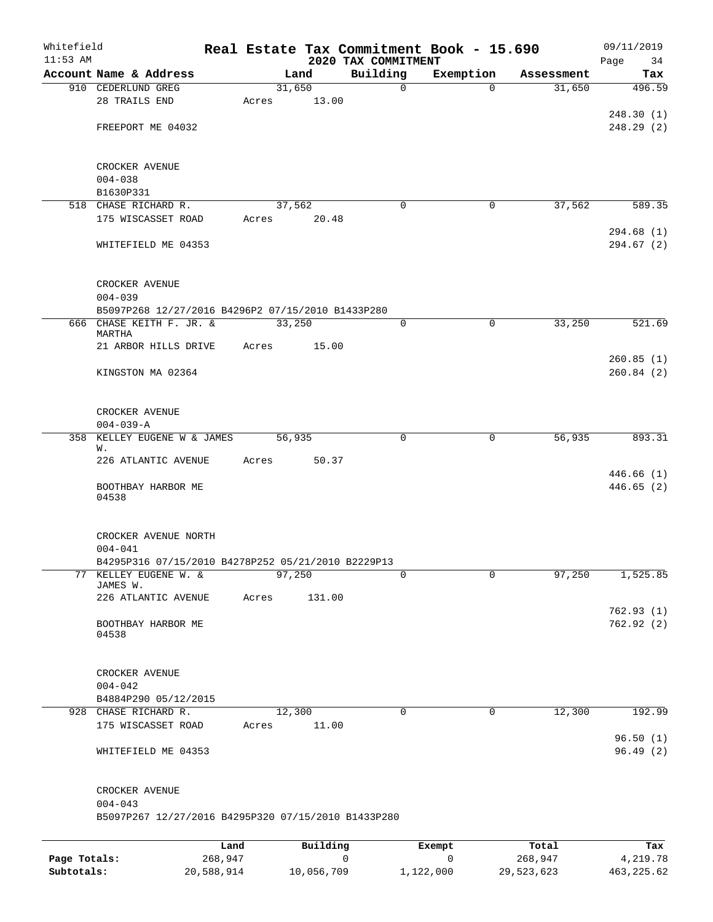| Whitefield<br>$11:53$ AM |                                                     |        |          |                                 | Real Estate Tax Commitment Book - 15.690 |            | 09/11/2019        |
|--------------------------|-----------------------------------------------------|--------|----------|---------------------------------|------------------------------------------|------------|-------------------|
|                          | Account Name & Address                              |        | Land     | 2020 TAX COMMITMENT<br>Building | Exemption                                | Assessment | 34<br>Page<br>Tax |
|                          | 910 CEDERLUND GREG                                  | 31,650 |          | 0                               | $\Omega$                                 | 31,650     | 496.59            |
|                          | 28 TRAILS END                                       | Acres  | 13.00    |                                 |                                          |            |                   |
|                          |                                                     |        |          |                                 |                                          |            | 248.30(1)         |
|                          | FREEPORT ME 04032                                   |        |          |                                 |                                          |            | 248.29(2)         |
|                          |                                                     |        |          |                                 |                                          |            |                   |
|                          | CROCKER AVENUE                                      |        |          |                                 |                                          |            |                   |
|                          | $004 - 038$                                         |        |          |                                 |                                          |            |                   |
|                          | B1630P331                                           |        |          |                                 |                                          |            |                   |
|                          | 518 CHASE RICHARD R.                                |        | 37,562   | $\Omega$                        | 0                                        | 37,562     | 589.35            |
|                          | 175 WISCASSET ROAD                                  | Acres  | 20.48    |                                 |                                          |            |                   |
|                          |                                                     |        |          |                                 |                                          |            | 294.68(1)         |
|                          | WHITEFIELD ME 04353                                 |        |          |                                 |                                          |            | 294.67 (2)        |
|                          | CROCKER AVENUE                                      |        |          |                                 |                                          |            |                   |
|                          | $004 - 039$                                         |        |          |                                 |                                          |            |                   |
|                          | B5097P268 12/27/2016 B4296P2 07/15/2010 B1433P280   |        |          |                                 |                                          |            |                   |
|                          | 666 CHASE KEITH F. JR. &                            | 33,250 |          | 0                               | $\mathbf 0$                              | 33,250     | 521.69            |
|                          | MARTHA                                              |        |          |                                 |                                          |            |                   |
|                          | 21 ARBOR HILLS DRIVE                                | Acres  | 15.00    |                                 |                                          |            |                   |
|                          |                                                     |        |          |                                 |                                          |            | 260.85(1)         |
|                          | KINGSTON MA 02364                                   |        |          |                                 |                                          |            | 260.84(2)         |
|                          | CROCKER AVENUE                                      |        |          |                                 |                                          |            |                   |
|                          | $004 - 039 - A$                                     |        |          |                                 |                                          |            |                   |
| 358                      | KELLEY EUGENE W & JAMES                             | 56,935 |          | 0                               | 0                                        | 56,935     | 893.31            |
|                          | W.                                                  |        |          |                                 |                                          |            |                   |
|                          | 226 ATLANTIC AVENUE                                 | Acres  | 50.37    |                                 |                                          |            |                   |
|                          |                                                     |        |          |                                 |                                          |            | 446.66(1)         |
|                          | BOOTHBAY HARBOR ME<br>04538                         |        |          |                                 |                                          |            | 446.65(2)         |
|                          | CROCKER AVENUE NORTH                                |        |          |                                 |                                          |            |                   |
|                          | $004 - 041$                                         |        |          |                                 |                                          |            |                   |
|                          | B4295P316 07/15/2010 B4278P252 05/21/2010 B2229P13  |        |          |                                 |                                          |            |                   |
|                          | 77 KELLEY EUGENE W. &                               | 97,250 |          | 0                               | $\mathbf 0$                              | 97,250     | 1,525.85          |
|                          | JAMES W.                                            |        |          |                                 |                                          |            |                   |
|                          | 226 ATLANTIC AVENUE                                 | Acres  | 131.00   |                                 |                                          |            |                   |
|                          |                                                     |        |          |                                 |                                          |            | 762.93(1)         |
|                          | BOOTHBAY HARBOR ME                                  |        |          |                                 |                                          |            | 762.92(2)         |
|                          | 04538                                               |        |          |                                 |                                          |            |                   |
|                          | CROCKER AVENUE                                      |        |          |                                 |                                          |            |                   |
|                          | $004 - 042$                                         |        |          |                                 |                                          |            |                   |
|                          | B4884P290 05/12/2015                                |        |          |                                 |                                          |            |                   |
|                          | 928 CHASE RICHARD R.                                | 12,300 |          | $\Omega$                        | 0                                        | 12,300     | 192.99            |
|                          | 175 WISCASSET ROAD                                  | Acres  | 11.00    |                                 |                                          |            |                   |
|                          |                                                     |        |          |                                 |                                          |            | 96.50(1)          |
|                          | WHITEFIELD ME 04353                                 |        |          |                                 |                                          |            | 96.49(2)          |
|                          | CROCKER AVENUE                                      |        |          |                                 |                                          |            |                   |
|                          | $004 - 043$                                         |        |          |                                 |                                          |            |                   |
|                          | B5097P267 12/27/2016 B4295P320 07/15/2010 B1433P280 |        |          |                                 |                                          |            |                   |
|                          |                                                     |        |          |                                 |                                          |            |                   |
|                          | Land                                                |        | Building |                                 | Exempt                                   | Total      | Tax               |
| Page Totals:             | 268,947                                             |        |          | 0                               | 0                                        | 268,947    | 4,219.78          |

**Subtotals:** 20,588,914 10,056,709 1,122,000 29,523,623 463,225.62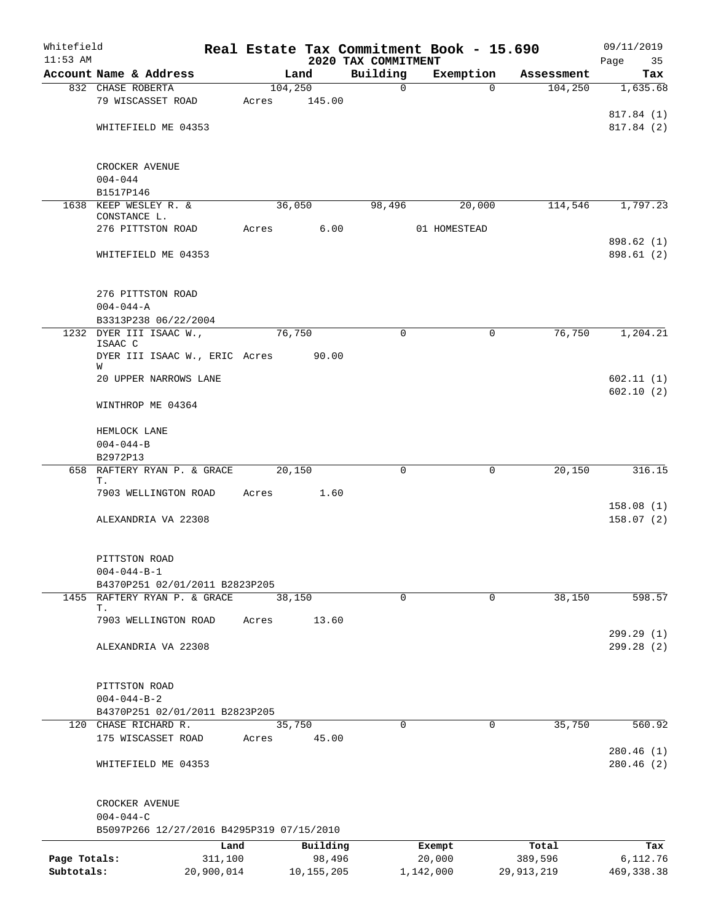| Whitefield   |                                           |            |                  |                         | Real Estate Tax Commitment Book - 15.690 |              | 09/11/2019             |
|--------------|-------------------------------------------|------------|------------------|-------------------------|------------------------------------------|--------------|------------------------|
| $11:53$ AM   |                                           |            |                  | 2020 TAX COMMITMENT     |                                          |              | Page<br>35             |
|              | Account Name & Address                    |            | Land<br>104, 250 | Building<br>$\mathbf 0$ | Exemption<br>$\Omega$                    | Assessment   | Tax                    |
|              | 832 CHASE ROBERTA<br>79 WISCASSET ROAD    | Acres      | 145.00           |                         |                                          | 104,250      | 1,635.68               |
|              |                                           |            |                  |                         |                                          |              | 817.84 (1)             |
|              | WHITEFIELD ME 04353                       |            |                  |                         |                                          |              | 817.84 (2)             |
|              |                                           |            |                  |                         |                                          |              |                        |
|              | CROCKER AVENUE                            |            |                  |                         |                                          |              |                        |
|              | $004 - 044$                               |            |                  |                         |                                          |              |                        |
|              | B1517P146                                 |            |                  |                         |                                          |              |                        |
|              | 1638 KEEP WESLEY R. &                     |            | 36,050           | 98,496                  | 20,000                                   | 114,546      | 1,797.23               |
|              | CONSTANCE L.                              |            |                  |                         |                                          |              |                        |
|              | 276 PITTSTON ROAD                         | Acres      | 6.00             |                         | 01 HOMESTEAD                             |              | 898.62 (1)             |
|              | WHITEFIELD ME 04353                       |            |                  |                         |                                          |              | 898.61 (2)             |
|              |                                           |            |                  |                         |                                          |              |                        |
|              | 276 PITTSTON ROAD                         |            |                  |                         |                                          |              |                        |
|              | $004 - 044 - A$                           |            |                  |                         |                                          |              |                        |
|              | B3313P238 06/22/2004                      |            |                  |                         |                                          |              |                        |
|              | 1232 DYER III ISAAC W.,<br>ISAAC C        |            | 76,750           | 0                       | $\mathbf 0$                              | 76,750       | 1,204.21               |
|              | DYER III ISAAC W., ERIC Acres<br>W        |            | 90.00            |                         |                                          |              |                        |
|              | 20 UPPER NARROWS LANE                     |            |                  |                         |                                          |              | 602.11(1)<br>602.10(2) |
|              | WINTHROP ME 04364                         |            |                  |                         |                                          |              |                        |
|              | HEMLOCK LANE                              |            |                  |                         |                                          |              |                        |
|              | $004 - 044 - B$                           |            |                  |                         |                                          |              |                        |
|              | B2972P13                                  |            |                  |                         |                                          |              |                        |
|              | 658 RAFTERY RYAN P. & GRACE               |            | 20,150           | 0                       | 0                                        | 20,150       | 316.15                 |
|              | Т.<br>7903 WELLINGTON ROAD                | Acres      | 1.60             |                         |                                          |              |                        |
|              |                                           |            |                  |                         |                                          |              | 158.08(1)              |
|              | ALEXANDRIA VA 22308                       |            |                  |                         |                                          |              | 158.07(2)              |
|              | PITTSTON ROAD                             |            |                  |                         |                                          |              |                        |
|              | $004 - 044 - B - 1$                       |            |                  |                         |                                          |              |                        |
|              | B4370P251 02/01/2011 B2823P205            |            |                  |                         |                                          |              |                        |
|              | 1455 RAFTERY RYAN P. & GRACE              |            | 38,150           | $\mathbf 0$             | $\mathbf 0$                              | 38,150       | 598.57                 |
|              | Т.                                        |            |                  |                         |                                          |              |                        |
|              | 7903 WELLINGTON ROAD                      | Acres      | 13.60            |                         |                                          |              |                        |
|              |                                           |            |                  |                         |                                          |              | 299.29(1)              |
|              | ALEXANDRIA VA 22308                       |            |                  |                         |                                          |              | 299.28(2)              |
|              | PITTSTON ROAD                             |            |                  |                         |                                          |              |                        |
|              | $004 - 044 - B - 2$                       |            |                  |                         |                                          |              |                        |
|              | B4370P251 02/01/2011 B2823P205            |            |                  |                         |                                          |              |                        |
|              | 120 CHASE RICHARD R.                      |            | 35,750           | $\Omega$                | $\Omega$                                 | 35,750       | 560.92                 |
|              | 175 WISCASSET ROAD                        | Acres      | 45.00            |                         |                                          |              |                        |
|              |                                           |            |                  |                         |                                          |              | 280.46(1)              |
|              | WHITEFIELD ME 04353                       |            |                  |                         |                                          |              | 280.46(2)              |
|              | CROCKER AVENUE                            |            |                  |                         |                                          |              |                        |
|              | $004 - 044 - C$                           |            |                  |                         |                                          |              |                        |
|              | B5097P266 12/27/2016 B4295P319 07/15/2010 |            |                  |                         |                                          |              |                        |
|              |                                           | Land       | Building         |                         | Exempt                                   | Total        | Tax                    |
| Page Totals: |                                           | 311,100    | 98,496           |                         | 20,000                                   | 389,596      | 6,112.76               |
| Subtotals:   |                                           | 20,900,014 | 10, 155, 205     |                         | 1,142,000                                | 29, 913, 219 | 469, 338.38            |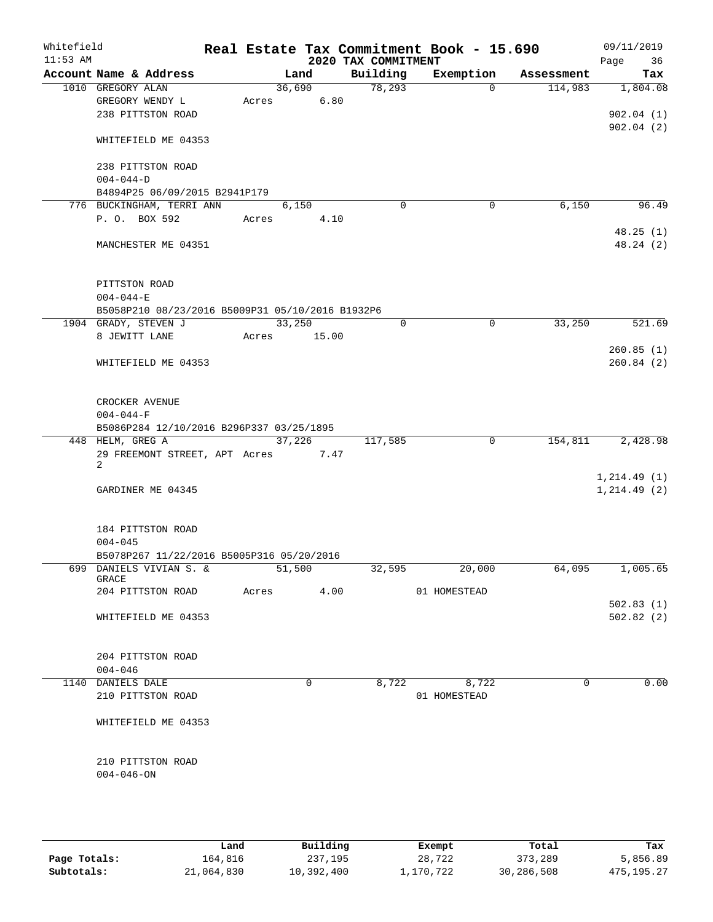| Whitefield<br>$11:53$ AM |                                                  |       |        |             | 2020 TAX COMMITMENT | Real Estate Tax Commitment Book - 15.690 |            | 09/11/2019<br>Page<br>36 |
|--------------------------|--------------------------------------------------|-------|--------|-------------|---------------------|------------------------------------------|------------|--------------------------|
|                          | Account Name & Address                           |       | Land   |             | Building            | Exemption                                | Assessment | Tax                      |
|                          | 1010 GREGORY ALAN                                |       | 36,690 |             | 78,293              | $\Omega$                                 | 114,983    | 1,804.08                 |
|                          | GREGORY WENDY L                                  |       | Acres  | 6.80        |                     |                                          |            |                          |
|                          | 238 PITTSTON ROAD                                |       |        |             |                     |                                          |            | 902.04(1)                |
|                          |                                                  |       |        |             |                     |                                          |            | 902.04(2)                |
|                          | WHITEFIELD ME 04353                              |       |        |             |                     |                                          |            |                          |
|                          |                                                  |       |        |             |                     |                                          |            |                          |
|                          | 238 PITTSTON ROAD                                |       |        |             |                     |                                          |            |                          |
|                          | $004 - 044 - D$<br>B4894P25 06/09/2015 B2941P179 |       |        |             |                     |                                          |            |                          |
|                          | 776 BUCKINGHAM, TERRI ANN                        |       | 6,150  |             | $\mathbf 0$         | $\mathbf 0$                              | 6,150      | 96.49                    |
|                          | P. O. BOX 592                                    | Acres |        | 4.10        |                     |                                          |            |                          |
|                          |                                                  |       |        |             |                     |                                          |            | 48.25(1)                 |
|                          | MANCHESTER ME 04351                              |       |        |             |                     |                                          |            | 48.24 (2)                |
|                          |                                                  |       |        |             |                     |                                          |            |                          |
|                          |                                                  |       |        |             |                     |                                          |            |                          |
|                          | PITTSTON ROAD                                    |       |        |             |                     |                                          |            |                          |
|                          | $004 - 044 - E$                                  |       |        |             |                     |                                          |            |                          |
|                          | B5058P210 08/23/2016 B5009P31 05/10/2016 B1932P6 |       |        |             |                     |                                          |            |                          |
|                          | 1904 GRADY, STEVEN J                             |       | 33,250 |             | 0                   | $\mathbf 0$                              | 33,250     | 521.69                   |
|                          | 8 JEWITT LANE                                    |       |        | Acres 15.00 |                     |                                          |            |                          |
|                          |                                                  |       |        |             |                     |                                          |            | 260.85(1)                |
|                          | WHITEFIELD ME 04353                              |       |        |             |                     |                                          |            | 260.84(2)                |
|                          |                                                  |       |        |             |                     |                                          |            |                          |
|                          | CROCKER AVENUE                                   |       |        |             |                     |                                          |            |                          |
|                          | $004 - 044 - F$                                  |       |        |             |                     |                                          |            |                          |
|                          | B5086P284 12/10/2016 B296P337 03/25/1895         |       |        |             |                     |                                          |            |                          |
|                          | 448 HELM, GREG A                                 |       | 37,226 |             | 117,585             | $\overline{0}$                           | 154,811    | 2,428.98                 |
|                          | 29 FREEMONT STREET, APT Acres                    |       |        | 7.47        |                     |                                          |            |                          |
|                          | 2                                                |       |        |             |                     |                                          |            |                          |
|                          |                                                  |       |        |             |                     |                                          |            | 1, 214.49(1)             |
|                          | GARDINER ME 04345                                |       |        |             |                     |                                          |            | 1, 214.49(2)             |
|                          |                                                  |       |        |             |                     |                                          |            |                          |
|                          | 184 PITTSTON ROAD                                |       |        |             |                     |                                          |            |                          |
|                          | $004 - 045$                                      |       |        |             |                     |                                          |            |                          |
|                          | B5078P267 11/22/2016 B5005P316 05/20/2016        |       |        |             |                     |                                          |            |                          |
|                          | 699 DANIELS VIVIAN S. &                          |       | 51,500 |             | 32,595              | 20,000                                   | 64,095     | 1,005.65                 |
|                          | GRACE                                            |       |        |             |                     |                                          |            |                          |
|                          | 204 PITTSTON ROAD                                |       | Acres  | 4.00        |                     | 01 HOMESTEAD                             |            |                          |
|                          |                                                  |       |        |             |                     |                                          |            | 502.83(1)                |
|                          | WHITEFIELD ME 04353                              |       |        |             |                     |                                          |            | 502.82(2)                |
|                          |                                                  |       |        |             |                     |                                          |            |                          |
|                          | 204 PITTSTON ROAD                                |       |        |             |                     |                                          |            |                          |
|                          | $004 - 046$                                      |       |        |             |                     |                                          |            |                          |
|                          | 1140 DANIELS DALE                                |       |        | $\Omega$    | 8,722               | 8,722                                    | $\Omega$   | 0.00                     |
|                          | 210 PITTSTON ROAD                                |       |        |             |                     | 01 HOMESTEAD                             |            |                          |
|                          |                                                  |       |        |             |                     |                                          |            |                          |
|                          | WHITEFIELD ME 04353                              |       |        |             |                     |                                          |            |                          |
|                          |                                                  |       |        |             |                     |                                          |            |                          |
|                          |                                                  |       |        |             |                     |                                          |            |                          |
|                          | 210 PITTSTON ROAD                                |       |        |             |                     |                                          |            |                          |
|                          | $004 - 046 - ON$                                 |       |        |             |                     |                                          |            |                          |
|                          |                                                  |       |        |             |                     |                                          |            |                          |
|                          |                                                  |       |        |             |                     |                                          |            |                          |
|                          |                                                  |       |        |             |                     |                                          |            |                          |

|              | Land       | Building   | Exempt    | Total      | Tax        |
|--------------|------------|------------|-----------|------------|------------|
| Page Totals: | 164,816    | 237,195    | 28,722    | 373,289    | 5,856.89   |
| Subtotals:   | 21,064,830 | 10,392,400 | 1,170,722 | 30,286,508 | 475,195.27 |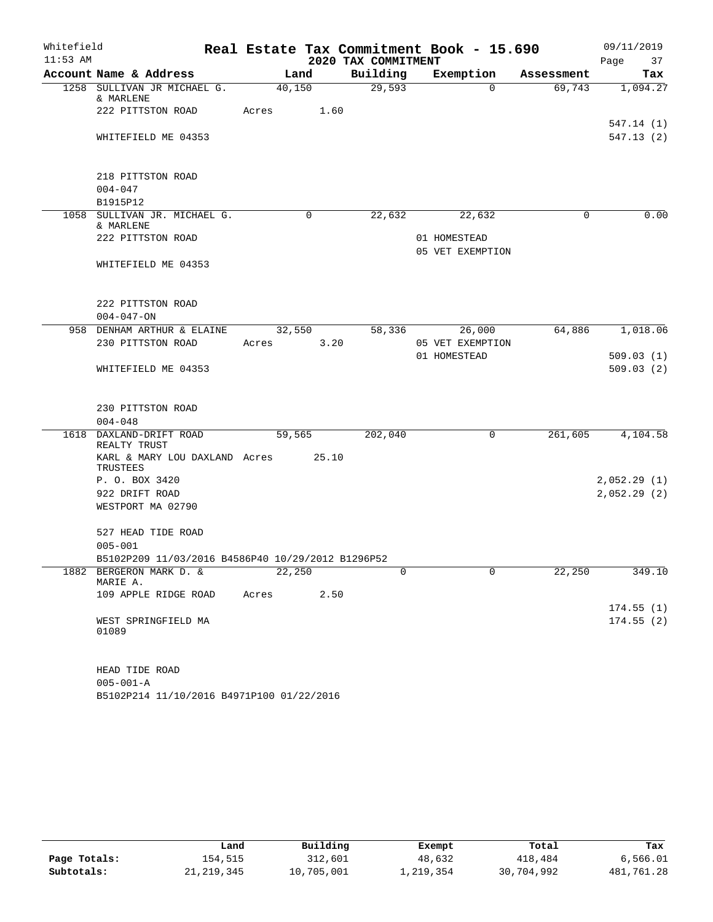| Whitefield |                                                   |        |        |                     | Real Estate Tax Commitment Book - 15.690 |            | 09/11/2019  |
|------------|---------------------------------------------------|--------|--------|---------------------|------------------------------------------|------------|-------------|
| $11:53$ AM |                                                   |        |        | 2020 TAX COMMITMENT |                                          |            | 37<br>Page  |
|            | Account Name & Address                            | Land   |        | Building            | Exemption                                | Assessment | Tax         |
|            | 1258 SULLIVAN JR MICHAEL G.<br>& MARLENE          | 40,150 |        | 29,593              | $\Omega$                                 | 69,743     | 1,094.27    |
|            | 222 PITTSTON ROAD                                 | Acres  | 1.60   |                     |                                          |            | 547.14(1)   |
|            | WHITEFIELD ME 04353                               |        |        |                     |                                          |            | 547.13(2)   |
|            | 218 PITTSTON ROAD<br>$004 - 047$                  |        |        |                     |                                          |            |             |
|            | B1915P12                                          |        |        |                     |                                          |            |             |
|            | 1058 SULLIVAN JR. MICHAEL G.<br>& MARLENE         |        | 0      | 22,632              | 22,632                                   | $\Omega$   | 0.00        |
|            | 222 PITTSTON ROAD                                 |        |        |                     | 01 HOMESTEAD<br>05 VET EXEMPTION         |            |             |
|            | WHITEFIELD ME 04353                               |        |        |                     |                                          |            |             |
|            |                                                   |        |        |                     |                                          |            |             |
|            | 222 PITTSTON ROAD<br>$004 - 047 - ON$             |        |        |                     |                                          |            |             |
|            | 958 DENHAM ARTHUR & ELAINE                        |        | 32,550 | 58,336              | 26,000                                   | 64,886     | 1,018.06    |
|            | 230 PITTSTON ROAD                                 | Acres  | 3.20   |                     | 05 VET EXEMPTION<br>01 HOMESTEAD         |            | 509.03(1)   |
|            | WHITEFIELD ME 04353                               |        |        |                     |                                          |            | 509.03(2)   |
|            | 230 PITTSTON ROAD                                 |        |        |                     |                                          |            |             |
|            | $004 - 048$                                       |        |        |                     |                                          |            |             |
| 1618       | DAXLAND-DRIFT ROAD<br>REALTY TRUST                | 59,565 |        | 202,040             | 0                                        | 261,605    | 4,104.58    |
|            | KARL & MARY LOU DAXLAND Acres<br>TRUSTEES         |        | 25.10  |                     |                                          |            |             |
|            | P. O. BOX 3420                                    |        |        |                     |                                          |            | 2,052.29(1) |
|            | 922 DRIFT ROAD                                    |        |        |                     |                                          |            | 2,052.29(2) |
|            | WESTPORT MA 02790                                 |        |        |                     |                                          |            |             |
|            | 527 HEAD TIDE ROAD                                |        |        |                     |                                          |            |             |
|            | $005 - 001$                                       |        |        |                     |                                          |            |             |
|            | B5102P209 11/03/2016 B4586P40 10/29/2012 B1296P52 |        |        |                     | $\Omega$                                 |            |             |
|            | 1882 BERGERON MARK D. &<br>MARIE A.               | 22,250 |        | 0                   |                                          | 22,250     | 349.10      |
|            | 109 APPLE RIDGE ROAD                              | Acres  | 2.50   |                     |                                          |            | 174.55(1)   |
|            | WEST SPRINGFIELD MA                               |        |        |                     |                                          |            | 174.55(2)   |
|            | 01089                                             |        |        |                     |                                          |            |             |
|            | HEAD TIDE ROAD                                    |        |        |                     |                                          |            |             |
|            | $005 - 001 - A$                                   |        |        |                     |                                          |            |             |
|            | B5102P214 11/10/2016 B4971P100 01/22/2016         |        |        |                     |                                          |            |             |

|              | Land       | Building   | Exempt    | Total      | Tax        |
|--------------|------------|------------|-----------|------------|------------|
| Page Totals: | 154.515    | 312,601    | 48,632    | 418,484    | 6,566.01   |
| Subtotals:   | 21,219,345 | 10,705,001 | 1,219,354 | 30,704,992 | 481,761.28 |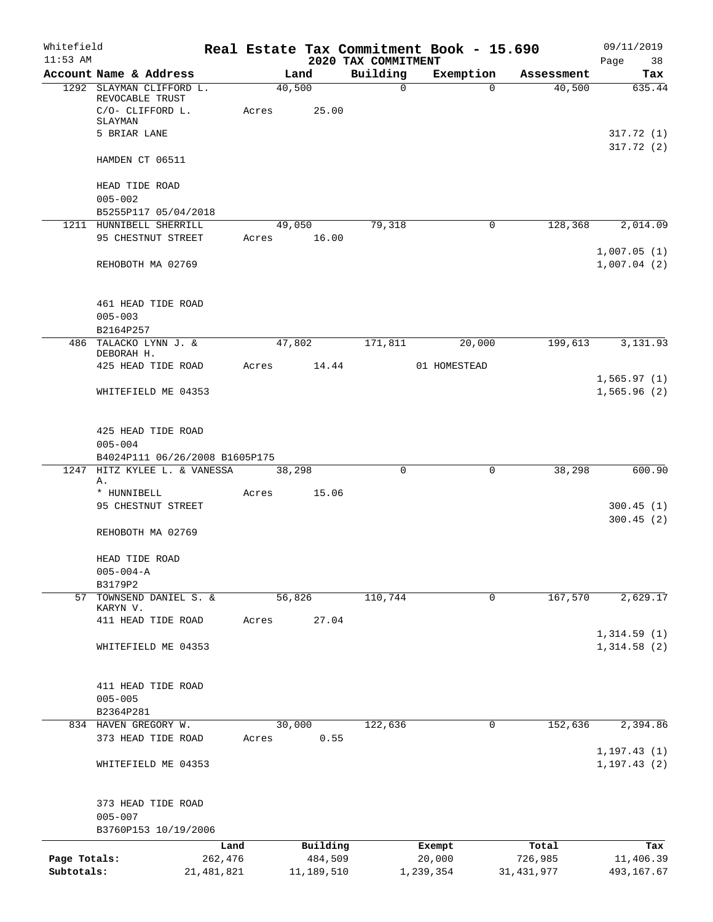| Whitefield<br>$11:53$ AM |                                                                                            |              |             |                 | 2020 TAX COMMITMENT | Real Estate Tax Commitment Book - 15.690 |              | 09/11/2019<br>Page<br>38     |
|--------------------------|--------------------------------------------------------------------------------------------|--------------|-------------|-----------------|---------------------|------------------------------------------|--------------|------------------------------|
|                          | Account Name & Address                                                                     |              |             | Land            | Building            | Exemption                                | Assessment   | Tax                          |
|                          | 1292 SLAYMAN CLIFFORD L.<br>REVOCABLE TRUST<br>C/O- CLIFFORD L.<br>SLAYMAN<br>5 BRIAR LANE |              | Acres       | 40,500<br>25.00 | $\mathsf{O}$        | $\Omega$                                 | 40,500       | 635.44<br>317.72(1)          |
|                          | HAMDEN CT 06511                                                                            |              |             |                 |                     |                                          |              | 317.72 (2)                   |
|                          | HEAD TIDE ROAD<br>$005 - 002$<br>B5255P117 05/04/2018                                      |              |             |                 |                     |                                          |              |                              |
|                          | 1211 HUNNIBELL SHERRILL                                                                    |              |             | 49,050          | 79,318              | 0                                        | 128,368      | 2,014.09                     |
|                          | 95 CHESTNUT STREET                                                                         |              | Acres 16.00 |                 |                     |                                          |              | 1,007.05(1)                  |
|                          | REHOBOTH MA 02769                                                                          |              |             |                 |                     |                                          |              | 1,007.04(2)                  |
|                          | 461 HEAD TIDE ROAD<br>$005 - 003$                                                          |              |             |                 |                     |                                          |              |                              |
|                          | B2164P257<br>486 TALACKO LYNN J. &                                                         |              |             | 47,802          | 171,811             | 20,000                                   | 199,613      | 3,131.93                     |
|                          | DEBORAH H.                                                                                 |              |             |                 |                     |                                          |              |                              |
|                          | 425 HEAD TIDE ROAD                                                                         |              | Acres       | 14.44           |                     | 01 HOMESTEAD                             |              |                              |
|                          | WHITEFIELD ME 04353                                                                        |              |             |                 |                     |                                          |              | 1,565.97(1)<br>1,565.96(2)   |
|                          | 425 HEAD TIDE ROAD<br>$005 - 004$<br>B4024P111 06/26/2008 B1605P175                        |              |             |                 |                     |                                          |              |                              |
| 1247                     | HITZ KYLEE L. & VANESSA                                                                    |              |             | 38,298          | $\Omega$            | $\mathbf 0$                              | 38,298       | 600.90                       |
|                          | Α.                                                                                         |              |             |                 |                     |                                          |              |                              |
|                          | * HUNNIBELL                                                                                |              | Acres       | 15.06           |                     |                                          |              |                              |
|                          | 95 CHESTNUT STREET<br>REHOBOTH MA 02769                                                    |              |             |                 |                     |                                          |              | 300.45(1)<br>300.45(2)       |
|                          | HEAD TIDE ROAD<br>$005 - 004 - A$                                                          |              |             |                 |                     |                                          |              |                              |
|                          | B3179P2                                                                                    |              |             |                 |                     |                                          |              |                              |
| 57                       | TOWNSEND DANIEL S. &<br>KARYN V.                                                           |              |             | 56,826<br>27.04 | 110,744             | $\mathbf 0$                              | 167,570      | 2,629.17                     |
|                          | 411 HEAD TIDE ROAD                                                                         |              | Acres       |                 |                     |                                          |              | 1,314.59(1)                  |
|                          | WHITEFIELD ME 04353                                                                        |              |             |                 |                     |                                          |              | 1,314.58(2)                  |
|                          | 411 HEAD TIDE ROAD<br>$005 - 005$<br>B2364P281                                             |              |             |                 |                     |                                          |              |                              |
|                          | 834 HAVEN GREGORY W.                                                                       |              |             | 30,000          | 122,636             | 0                                        | 152,636      | 2,394.86                     |
|                          | 373 HEAD TIDE ROAD                                                                         |              | Acres       | 0.55            |                     |                                          |              |                              |
|                          | WHITEFIELD ME 04353                                                                        |              |             |                 |                     |                                          |              | 1, 197.43(1)<br>1, 197.43(2) |
|                          | 373 HEAD TIDE ROAD<br>$005 - 007$                                                          |              |             |                 |                     |                                          |              |                              |
|                          | B3760P153 10/19/2006                                                                       |              |             |                 |                     |                                          |              |                              |
|                          |                                                                                            | Land         |             | Building        |                     | Exempt                                   | Total        | Tax                          |
| Page Totals:             |                                                                                            | 262,476      |             | 484,509         |                     | 20,000                                   | 726,985      | 11,406.39                    |
| Subtotals:               |                                                                                            | 21, 481, 821 |             | 11,189,510      |                     | 1,239,354                                | 31, 431, 977 | 493,167.67                   |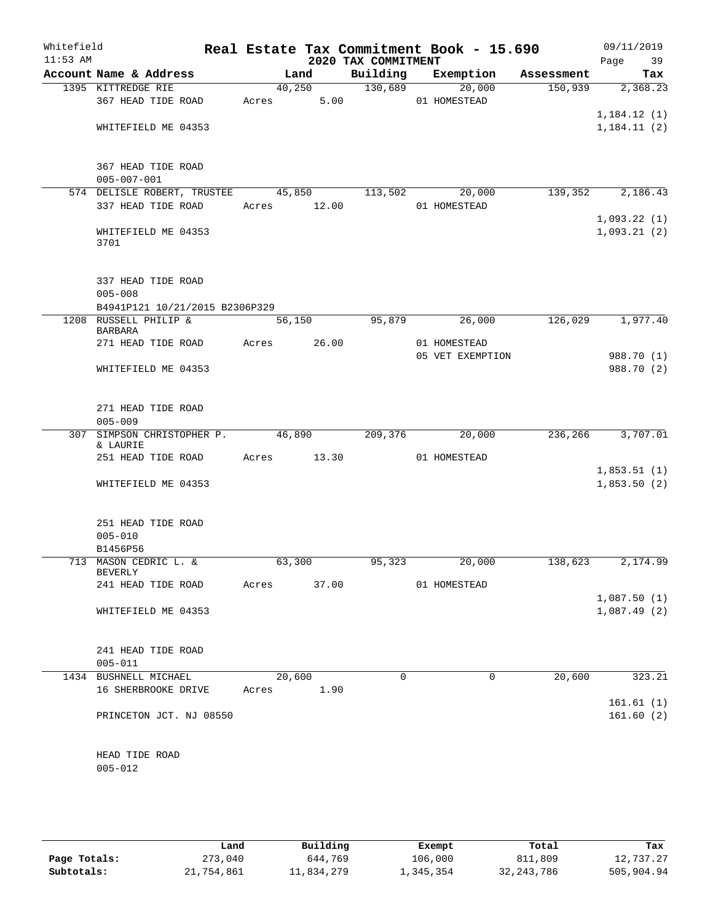| Whitefield<br>$11:53$ AM |                                                         |             |        |                                 | Real Estate Tax Commitment Book - 15.690 |            | 09/11/2019                 |
|--------------------------|---------------------------------------------------------|-------------|--------|---------------------------------|------------------------------------------|------------|----------------------------|
|                          | Account Name & Address                                  |             | Land   | 2020 TAX COMMITMENT<br>Building | Exemption                                | Assessment | Page<br>39<br>Tax          |
|                          | 1395 KITTREDGE RIE                                      |             | 40,250 | 130,689                         | $\overline{20,000}$                      | 150,939    | 2,368.23                   |
|                          | 367 HEAD TIDE ROAD                                      | Acres       | 5.00   |                                 | 01 HOMESTEAD                             |            |                            |
|                          |                                                         |             |        |                                 |                                          |            | 1,184.12(1)                |
|                          | WHITEFIELD ME 04353                                     |             |        |                                 |                                          |            | 1,184.11(2)                |
|                          |                                                         |             |        |                                 |                                          |            |                            |
|                          |                                                         |             |        |                                 |                                          |            |                            |
|                          | 367 HEAD TIDE ROAD                                      |             |        |                                 |                                          |            |                            |
|                          | $005 - 007 - 001$                                       |             |        | 113,502                         | 20,000                                   |            |                            |
|                          | 574 DELISLE ROBERT, TRUSTEE<br>337 HEAD TIDE ROAD       | Acres 12.00 | 45,850 |                                 | 01 HOMESTEAD                             | 139,352    | 2,186.43                   |
|                          |                                                         |             |        |                                 |                                          |            | 1,093.22(1)                |
|                          | WHITEFIELD ME 04353                                     |             |        |                                 |                                          |            | 1,093.21(2)                |
|                          | 3701                                                    |             |        |                                 |                                          |            |                            |
|                          |                                                         |             |        |                                 |                                          |            |                            |
|                          |                                                         |             |        |                                 |                                          |            |                            |
|                          | 337 HEAD TIDE ROAD<br>$005 - 008$                       |             |        |                                 |                                          |            |                            |
|                          | B4941P121 10/21/2015 B2306P329                          |             |        |                                 |                                          |            |                            |
|                          | 1208 RUSSELL PHILIP &                                   |             | 56,150 | 95,879                          | 26,000                                   | 126,029    | 1,977.40                   |
|                          | BARBARA                                                 |             |        |                                 |                                          |            |                            |
|                          | 271 HEAD TIDE ROAD                                      | Acres 26.00 |        |                                 | 01 HOMESTEAD                             |            |                            |
|                          |                                                         |             |        |                                 | 05 VET EXEMPTION                         |            | 988.70 (1)                 |
|                          | WHITEFIELD ME 04353                                     |             |        |                                 |                                          |            | 988.70 (2)                 |
|                          |                                                         |             |        |                                 |                                          |            |                            |
|                          | 271 HEAD TIDE ROAD                                      |             |        |                                 |                                          |            |                            |
|                          | $005 - 009$                                             |             |        |                                 |                                          |            |                            |
|                          | 307 SIMPSON CHRISTOPHER P.                              | 46,890      |        | 209,376                         | 20,000                                   | 236,266    | 3,707.01                   |
|                          | & LAURIE                                                |             |        |                                 |                                          |            |                            |
|                          | 251 HEAD TIDE ROAD                                      | Acres       | 13.30  |                                 | 01 HOMESTEAD                             |            |                            |
|                          | WHITEFIELD ME 04353                                     |             |        |                                 |                                          |            | 1,853.51(1)<br>1,853.50(2) |
|                          |                                                         |             |        |                                 |                                          |            |                            |
|                          |                                                         |             |        |                                 |                                          |            |                            |
|                          | 251 HEAD TIDE ROAD                                      |             |        |                                 |                                          |            |                            |
|                          | $005 - 010$                                             |             |        |                                 |                                          |            |                            |
|                          | B1456P56                                                |             |        |                                 |                                          |            |                            |
|                          | 713 MASON CEDRIC L. &<br>BEVERLY                        | 63,300      |        | 95,323                          | 20,000                                   | 138,623    | 2,174.99                   |
|                          | 241 HEAD TIDE ROAD Acres 37.00 01 HOMESTEAD             |             |        |                                 |                                          |            |                            |
|                          |                                                         |             |        |                                 |                                          |            | 1,087.50(1)                |
|                          | WHITEFIELD ME 04353                                     |             |        |                                 |                                          |            | 1,087.49(2)                |
|                          |                                                         |             |        |                                 |                                          |            |                            |
|                          |                                                         |             |        |                                 |                                          |            |                            |
|                          | 241 HEAD TIDE ROAD                                      |             |        |                                 |                                          |            |                            |
|                          | $005 - 011$                                             |             | 20,600 | $\Omega$                        | $\overline{0}$                           |            | 20,600 323.21              |
|                          | 1434 BUSHNELL MICHAEL<br>16 SHERBROOKE DRIVE Acres 1.90 |             |        |                                 |                                          |            |                            |
|                          |                                                         |             |        |                                 |                                          |            | 161.61(1)                  |
|                          | PRINCETON JCT. NJ 08550                                 |             |        |                                 |                                          |            | 161.60(2)                  |
|                          |                                                         |             |        |                                 |                                          |            |                            |
|                          |                                                         |             |        |                                 |                                          |            |                            |
|                          | HEAD TIDE ROAD                                          |             |        |                                 |                                          |            |                            |
|                          | $005 - 012$                                             |             |        |                                 |                                          |            |                            |
|                          |                                                         |             |        |                                 |                                          |            |                            |

|              | Land       | Building   | Exempt    | Total        | Tax        |
|--------------|------------|------------|-----------|--------------|------------|
| Page Totals: | 273,040    | 644,769    | 106,000   | 811,809      | 12,737.27  |
| Subtotals:   | 21,754,861 | 11,834,279 | 1,345,354 | 32, 243, 786 | 505,904.94 |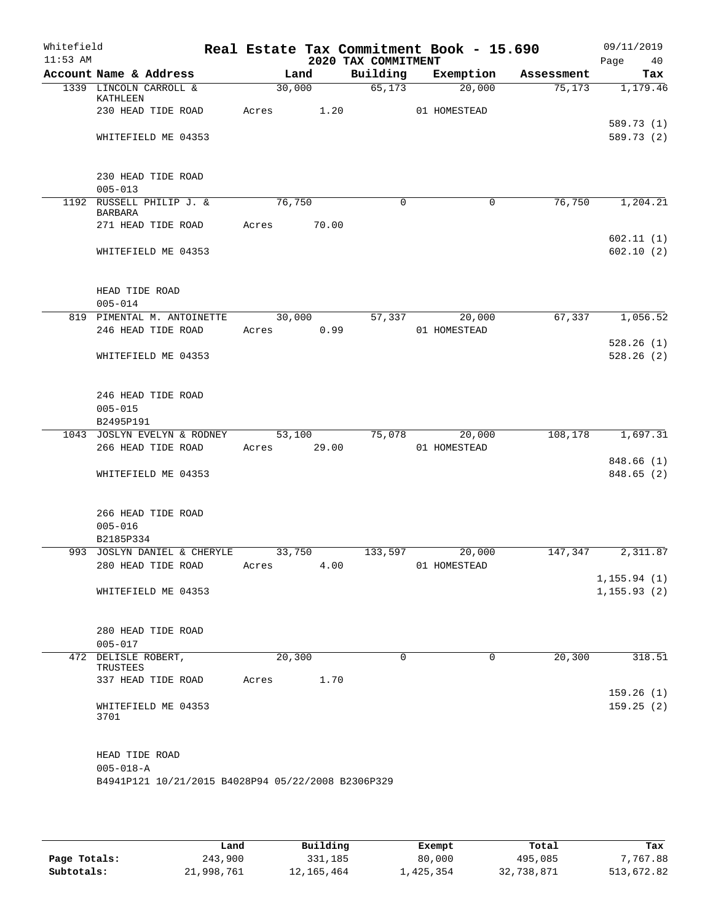| Whitefield<br>$11:53$ AM |                                                                                         |        |        | 2020 TAX COMMITMENT | Real Estate Tax Commitment Book - 15.690 |            | 09/11/2019<br>Page<br>40    |
|--------------------------|-----------------------------------------------------------------------------------------|--------|--------|---------------------|------------------------------------------|------------|-----------------------------|
|                          | Account Name & Address                                                                  |        | Land   | Building            | Exemption                                | Assessment | Tax                         |
|                          | 1339 LINCOLN CARROLL &<br>KATHLEEN                                                      | 30,000 |        | 65,173              | 20,000                                   | 75, 173    | 1,179.46                    |
|                          | 230 HEAD TIDE ROAD                                                                      | Acres  | 1.20   |                     | 01 HOMESTEAD                             |            | 589.73 (1)                  |
|                          | WHITEFIELD ME 04353                                                                     |        |        |                     |                                          |            | 589.73 (2)                  |
|                          | 230 HEAD TIDE ROAD<br>$005 - 013$                                                       |        |        |                     |                                          |            |                             |
|                          | 1192 RUSSELL PHILIP J. &<br><b>BARBARA</b>                                              | 76,750 |        | 0                   | $\mathbf 0$                              | 76,750     | 1,204.21                    |
|                          | 271 HEAD TIDE ROAD                                                                      | Acres  | 70.00  |                     |                                          |            |                             |
|                          | WHITEFIELD ME 04353                                                                     |        |        |                     |                                          |            | 602.11(1)<br>602.10(2)      |
|                          | HEAD TIDE ROAD<br>$005 - 014$                                                           |        |        |                     |                                          |            |                             |
|                          | 819 PIMENTAL M. ANTOINETTE                                                              |        | 30,000 |                     | 57,337<br>20,000                         | 67,337     | 1,056.52                    |
|                          | 246 HEAD TIDE ROAD                                                                      | Acres  | 0.99   |                     | 01 HOMESTEAD                             |            | 528.26(1)                   |
|                          | WHITEFIELD ME 04353                                                                     |        |        |                     |                                          |            | 528.26(2)                   |
|                          | 246 HEAD TIDE ROAD<br>$005 - 015$                                                       |        |        |                     |                                          |            |                             |
|                          | B2495P191                                                                               |        |        |                     |                                          |            |                             |
|                          | 1043 JOSLYN EVELYN & RODNEY                                                             |        | 53,100 |                     | 75,078<br>20,000                         | 108,178    | 1,697.31                    |
|                          | 266 HEAD TIDE ROAD                                                                      | Acres  | 29.00  |                     | 01 HOMESTEAD                             |            | 848.66 (1)                  |
|                          | WHITEFIELD ME 04353                                                                     |        |        |                     |                                          |            | 848.65 (2)                  |
|                          | 266 HEAD TIDE ROAD<br>$005 - 016$<br>B2185P334                                          |        |        |                     |                                          |            |                             |
|                          | 993 JOSLYN DANIEL & CHERYLE                                                             | 33,750 |        | 133,597             | 20,000                                   | 147,347    | 2,311.87                    |
|                          | 280 HEAD TIDE ROAD                                                                      | Acres  | 4.00   |                     | 01 HOMESTEAD                             |            |                             |
|                          | WHITEFIELD ME 04353                                                                     |        |        |                     |                                          |            | 1,155.94(1)<br>1, 155.93(2) |
|                          | 280 HEAD TIDE ROAD<br>$005 - 017$                                                       |        |        |                     |                                          |            |                             |
|                          | 472 DELISLE ROBERT,                                                                     | 20,300 |        | $\Omega$            | $\Omega$                                 | 20,300     | 318.51                      |
|                          | TRUSTEES<br>337 HEAD TIDE ROAD                                                          | Acres  | 1.70   |                     |                                          |            | 159.26(1)                   |
|                          | WHITEFIELD ME 04353<br>3701                                                             |        |        |                     |                                          |            | 159.25(2)                   |
|                          | HEAD TIDE ROAD<br>$005 - 018 - A$<br>B4941P121 10/21/2015 B4028P94 05/22/2008 B2306P329 |        |        |                     |                                          |            |                             |

|              | Land       | Building   | Exempt    | Total      | Tax        |
|--------------|------------|------------|-----------|------------|------------|
| Page Totals: | 243,900    | 331,185    | 80,000    | 495,085    | 7,767.88   |
| Subtotals:   | 21,998,761 | 12,165,464 | 1,425,354 | 32,738,871 | 513,672.82 |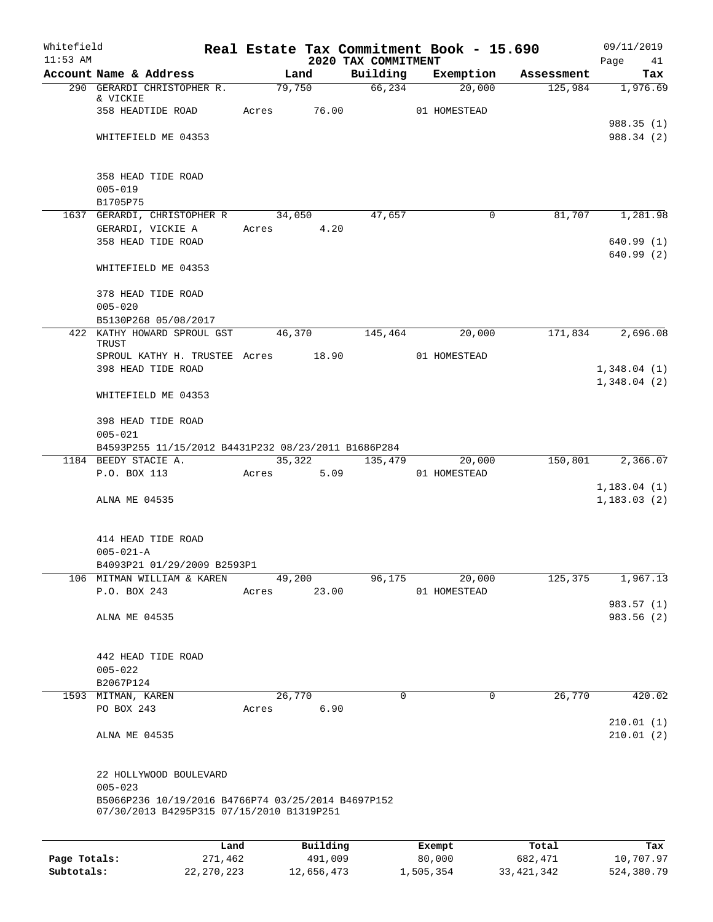| Whitefield<br>$11:53$ AM |                                                                                                 |       |                         | 2020 TAX COMMITMENT | Real Estate Tax Commitment Book - 15.690 |            | 09/11/2019<br>Page 41      |
|--------------------------|-------------------------------------------------------------------------------------------------|-------|-------------------------|---------------------|------------------------------------------|------------|----------------------------|
|                          | Account Name & Address                                                                          |       | Land                    | Building            | Exemption                                | Assessment | Tax                        |
|                          | 290 GERARDI CHRISTOPHER R.<br>& VICKIE                                                          |       | 79,750                  |                     | 66,234<br>20,000                         | 125,984    | 1,976.69                   |
|                          | 358 HEADTIDE ROAD                                                                               | Acres | 76.00                   |                     | 01 HOMESTEAD                             |            | 988.35(1)                  |
|                          | WHITEFIELD ME 04353                                                                             |       |                         |                     |                                          |            | 988.34 (2)                 |
|                          | 358 HEAD TIDE ROAD<br>$005 - 019$                                                               |       |                         |                     |                                          |            |                            |
|                          | B1705P75<br>1637 GERARDI, CHRISTOPHER R                                                         |       | 34,050                  | 47,657              | 0                                        | 81,707     | 1,281.98                   |
|                          | GERARDI, VICKIE A                                                                               |       | 4.20<br>Acres           |                     |                                          |            |                            |
|                          | 358 HEAD TIDE ROAD                                                                              |       |                         |                     |                                          |            | 640.99(1)<br>640.99(2)     |
|                          | WHITEFIELD ME 04353                                                                             |       |                         |                     |                                          |            |                            |
|                          | 378 HEAD TIDE ROAD<br>$005 - 020$                                                               |       |                         |                     |                                          |            |                            |
|                          | B5130P268 05/08/2017                                                                            |       |                         |                     |                                          |            |                            |
|                          | 422 KATHY HOWARD SPROUL GST<br>TRUST                                                            |       | 46,370                  | 145, 464            | 20,000                                   | 171,834    | 2,696.08                   |
|                          | SPROUL KATHY H. TRUSTEE Acres 18.90                                                             |       |                         |                     | 01 HOMESTEAD                             |            |                            |
|                          | 398 HEAD TIDE ROAD                                                                              |       |                         |                     |                                          |            | 1,348.04(1)<br>1,348.04(2) |
|                          | WHITEFIELD ME 04353                                                                             |       |                         |                     |                                          |            |                            |
|                          | 398 HEAD TIDE ROAD<br>$005 - 021$                                                               |       |                         |                     |                                          |            |                            |
|                          | B4593P255 11/15/2012 B4431P232 08/23/2011 B1686P284                                             |       |                         |                     |                                          |            |                            |
|                          | 1184 BEEDY STACIE A.<br>P.O. BOX 113                                                            |       | 35,322<br>5.09<br>Acres | 135,479             | 20,000<br>01 HOMESTEAD                   | 150,801    | 2,366.07                   |
|                          |                                                                                                 |       |                         |                     |                                          |            | 1, 183.04(1)               |
|                          | ALNA ME 04535                                                                                   |       |                         |                     |                                          |            | 1, 183.03(2)               |
|                          | 414 HEAD TIDE ROAD                                                                              |       |                         |                     |                                          |            |                            |
|                          | $005 - 021 - A$<br>B4093P21 01/29/2009 B2593P1                                                  |       |                         |                     |                                          |            |                            |
|                          | 106 MITMAN WILLIAM & KAREN                                                                      |       | 49,200                  | 96,175              | 20,000                                   | 125,375    | 1,967.13                   |
|                          | P.O. BOX 243                                                                                    | Acres | 23.00                   |                     | 01 HOMESTEAD                             |            |                            |
|                          |                                                                                                 |       |                         |                     |                                          |            | 983.57 (1)                 |
|                          | ALNA ME 04535                                                                                   |       |                         |                     |                                          |            | 983.56 (2)                 |
|                          | 442 HEAD TIDE ROAD                                                                              |       |                         |                     |                                          |            |                            |
|                          | $005 - 022$                                                                                     |       |                         |                     |                                          |            |                            |
|                          | B2067P124                                                                                       |       |                         |                     |                                          |            |                            |
|                          | 1593 MITMAN, KAREN                                                                              |       | 26,770                  | $\mathbf 0$         | $\mathbf 0$                              | 26,770     | 420.02                     |
|                          | PO BOX 243                                                                                      |       | 6.90<br>Acres           |                     |                                          |            |                            |
|                          | ALNA ME 04535                                                                                   |       |                         |                     |                                          |            | 210.01(1)<br>210.01(2)     |
|                          | 22 HOLLYWOOD BOULEVARD<br>$005 - 023$                                                           |       |                         |                     |                                          |            |                            |
|                          | B5066P236 10/19/2016 B4766P74 03/25/2014 B4697P152<br>07/30/2013 B4295P315 07/15/2010 B1319P251 |       |                         |                     |                                          |            |                            |
|                          |                                                                                                 | Land  | Building                |                     | Exempt                                   | Total      | Tax                        |

|              | Land       | Building   | Exempt    | Total      | Tax        |
|--------------|------------|------------|-----------|------------|------------|
| Page Totals: | 271,462    | 491,009    | 80,000    | 682,471    | 10,707.97  |
| Subtotals:   | 22,270,223 | 12,656,473 | 1,505,354 | 33,421,342 | 524,380.79 |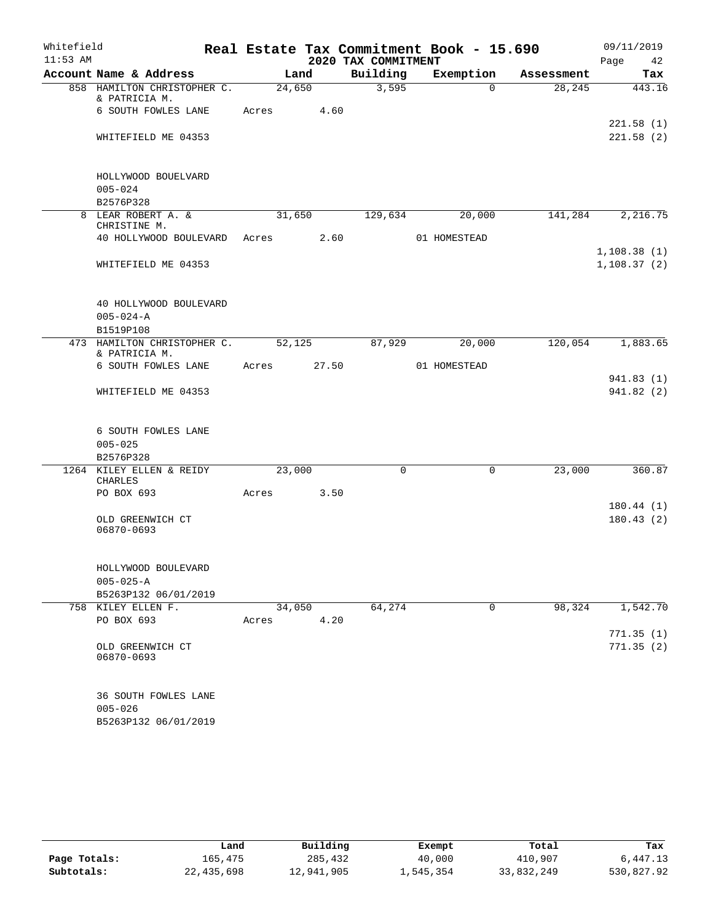| Whitefield |                                              | Real Estate Tax Commitment Book - 15.690 |       |                     |              |            | 09/11/2019                 |  |
|------------|----------------------------------------------|------------------------------------------|-------|---------------------|--------------|------------|----------------------------|--|
| $11:53$ AM |                                              |                                          |       | 2020 TAX COMMITMENT |              |            | Page 42                    |  |
|            | Account Name & Address                       |                                          | Land  | Building            | Exemption    | Assessment | Tax                        |  |
|            | 858 HAMILTON CHRISTOPHER C.<br>& PATRICIA M. | 24,650                                   |       | 3,595               | $\Omega$     | 28, 245    | 443.16                     |  |
|            | 6 SOUTH FOWLES LANE                          | Acres                                    | 4.60  |                     |              |            | 221.58(1)                  |  |
|            | WHITEFIELD ME 04353                          |                                          |       |                     |              |            | 221.58(2)                  |  |
|            | HOLLYWOOD BOUELVARD                          |                                          |       |                     |              |            |                            |  |
|            | $005 - 024$                                  |                                          |       |                     |              |            |                            |  |
|            | B2576P328                                    |                                          |       |                     |              |            |                            |  |
|            | 8 LEAR ROBERT A. &<br>CHRISTINE M.           | 31,650                                   |       | 129,634             | 20,000       | 141,284    | 2,216.75                   |  |
|            | 40 HOLLYWOOD BOULEVARD                       | Acres 2.60                               |       |                     | 01 HOMESTEAD |            |                            |  |
|            | WHITEFIELD ME 04353                          |                                          |       |                     |              |            | 1,108.38(1)<br>1,108.37(2) |  |
|            | 40 HOLLYWOOD BOULEVARD                       |                                          |       |                     |              |            |                            |  |
|            | $005 - 024 - A$                              |                                          |       |                     |              |            |                            |  |
|            | B1519P108                                    |                                          |       |                     |              |            |                            |  |
|            | 473 HAMILTON CHRISTOPHER C.<br>& PATRICIA M. | 52,125                                   |       | 87,929              | 20,000       | 120,054    | 1,883.65                   |  |
|            | 6 SOUTH FOWLES LANE                          | Acres                                    | 27.50 |                     | 01 HOMESTEAD |            | 941.83(1)                  |  |
|            | WHITEFIELD ME 04353                          |                                          |       |                     |              |            | 941.82(2)                  |  |
|            | 6 SOUTH FOWLES LANE                          |                                          |       |                     |              |            |                            |  |
|            | $005 - 025$<br>B2576P328                     |                                          |       |                     |              |            |                            |  |
|            | 1264 KILEY ELLEN & REIDY<br><b>CHARLES</b>   | 23,000                                   |       | $\Omega$            | $\mathbf 0$  | 23,000     | 360.87                     |  |
|            | PO BOX 693                                   | Acres                                    | 3.50  |                     |              |            |                            |  |
|            |                                              |                                          |       |                     |              |            | 180.44(1)                  |  |
|            | OLD GREENWICH CT<br>06870-0693               |                                          |       |                     |              |            | 180.43(2)                  |  |
|            | HOLLYWOOD BOULEVARD<br>$005 - 025 - A$       |                                          |       |                     |              |            |                            |  |
|            | B5263P132 06/01/2019                         |                                          |       |                     |              |            |                            |  |
|            | 758 KILEY ELLEN F.                           | 34,050                                   |       | 64,274              | 0            | 98,324     | 1,542.70                   |  |
|            | PO BOX 693                                   | Acres                                    | 4.20  |                     |              |            |                            |  |
|            |                                              |                                          |       |                     |              |            | 771.35(1)                  |  |
|            | OLD GREENWICH CT<br>06870-0693               |                                          |       |                     |              |            | 771.35(2)                  |  |
|            | 36 SOUTH FOWLES LANE<br>$005 - 026$          |                                          |       |                     |              |            |                            |  |
|            | B5263P132 06/01/2019                         |                                          |       |                     |              |            |                            |  |

|              | Land       | Building   | Exempt    | Total      | Tax        |
|--------------|------------|------------|-----------|------------|------------|
| Page Totals: | 165.475    | 285,432    | 40,000    | 410,907    | 6,447.13   |
| Subtotals:   | 22,435,698 | 12,941,905 | 1,545,354 | 33,832,249 | 530,827.92 |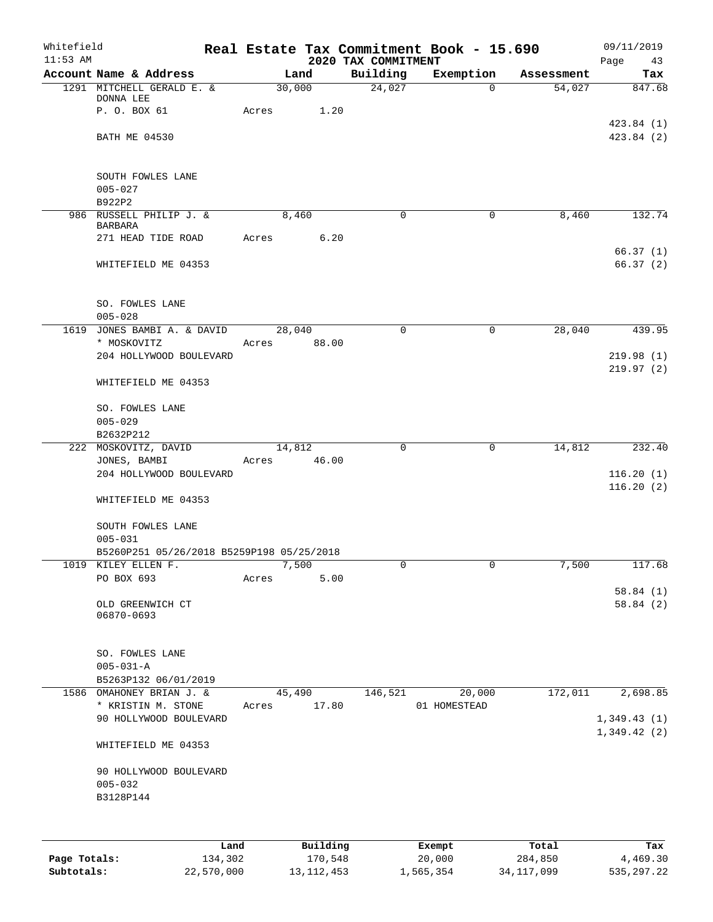| Whitefield<br>$11:53$ AM |                                           |       |        | 2020 TAX COMMITMENT | Real Estate Tax Commitment Book - 15.690 |            | 09/11/2019<br>Page<br>43 |
|--------------------------|-------------------------------------------|-------|--------|---------------------|------------------------------------------|------------|--------------------------|
|                          | Account Name & Address                    |       | Land   | Building            | Exemption                                | Assessment | Tax                      |
|                          | 1291 MITCHELL GERALD E. &                 |       | 30,000 | 24,027              | $\mathbf 0$                              | 54,027     | 847.68                   |
|                          | DONNA LEE                                 |       |        |                     |                                          |            |                          |
|                          | P. O. BOX 61                              | Acres | 1.20   |                     |                                          |            |                          |
|                          | <b>BATH ME 04530</b>                      |       |        |                     |                                          |            | 423.84(1)<br>423.84(2)   |
|                          |                                           |       |        |                     |                                          |            |                          |
|                          |                                           |       |        |                     |                                          |            |                          |
|                          | SOUTH FOWLES LANE                         |       |        |                     |                                          |            |                          |
|                          | $005 - 027$                               |       |        |                     |                                          |            |                          |
|                          | B922P2                                    |       |        |                     |                                          |            |                          |
|                          | 986 RUSSELL PHILIP J. &<br><b>BARBARA</b> |       | 8,460  | 0                   | 0                                        | 8,460      | 132.74                   |
|                          | 271 HEAD TIDE ROAD                        | Acres | 6.20   |                     |                                          |            |                          |
|                          |                                           |       |        |                     |                                          |            | 66.37(1)                 |
|                          | WHITEFIELD ME 04353                       |       |        |                     |                                          |            | 66.37(2)                 |
|                          | SO. FOWLES LANE                           |       |        |                     |                                          |            |                          |
|                          | $005 - 028$                               |       |        |                     |                                          |            |                          |
|                          | 1619 JONES BAMBI A. & DAVID               |       | 28,040 | $\Omega$            | $\mathbf 0$                              | 28,040     | 439.95                   |
|                          | * MOSKOVITZ                               | Acres | 88.00  |                     |                                          |            |                          |
|                          | 204 HOLLYWOOD BOULEVARD                   |       |        |                     |                                          |            | 219.98(1)                |
|                          | WHITEFIELD ME 04353                       |       |        |                     |                                          |            | 219.97(2)                |
|                          |                                           |       |        |                     |                                          |            |                          |
|                          | SO. FOWLES LANE                           |       |        |                     |                                          |            |                          |
|                          | $005 - 029$<br>B2632P212                  |       |        |                     |                                          |            |                          |
|                          | 222 MOSKOVITZ, DAVID                      |       | 14,812 | $\mathbf 0$         | 0                                        | 14,812     | 232.40                   |
|                          | JONES, BAMBI                              | Acres | 46.00  |                     |                                          |            |                          |
|                          | 204 HOLLYWOOD BOULEVARD                   |       |        |                     |                                          |            | 116.20(1)                |
|                          |                                           |       |        |                     |                                          |            | 116.20(2)                |
|                          | WHITEFIELD ME 04353                       |       |        |                     |                                          |            |                          |
|                          | SOUTH FOWLES LANE                         |       |        |                     |                                          |            |                          |
|                          | $005 - 031$                               |       |        |                     |                                          |            |                          |
|                          | B5260P251 05/26/2018 B5259P198 05/25/2018 |       |        |                     |                                          |            |                          |
|                          | 1019 KILEY ELLEN F.                       |       | 7,500  | 0                   | 0                                        | 7,500      | 117.68                   |
|                          | PO BOX 693                                | Acres | 5.00   |                     |                                          |            |                          |
|                          |                                           |       |        |                     |                                          |            | 58.84(1)                 |
|                          | OLD GREENWICH CT<br>06870-0693            |       |        |                     |                                          |            | 58.84(2)                 |
|                          |                                           |       |        |                     |                                          |            |                          |
|                          |                                           |       |        |                     |                                          |            |                          |
|                          | SO. FOWLES LANE                           |       |        |                     |                                          |            |                          |
|                          | $005 - 031 - A$<br>B5263P132 06/01/2019   |       |        |                     |                                          |            |                          |
|                          | 1586 OMAHONEY BRIAN J. &                  |       | 45,490 | 146,521             | 20,000                                   | 172,011    | 2,698.85                 |
|                          | * KRISTIN M. STONE                        | Acres | 17.80  |                     | 01 HOMESTEAD                             |            |                          |
|                          | 90 HOLLYWOOD BOULEVARD                    |       |        |                     |                                          |            | 1,349.43(1)              |
|                          | WHITEFIELD ME 04353                       |       |        |                     |                                          |            | 1,349.42(2)              |
|                          |                                           |       |        |                     |                                          |            |                          |
|                          | 90 HOLLYWOOD BOULEVARD                    |       |        |                     |                                          |            |                          |
|                          | $005 - 032$                               |       |        |                     |                                          |            |                          |
|                          | B3128P144                                 |       |        |                     |                                          |            |                          |
|                          |                                           |       |        |                     |                                          |            |                          |
|                          |                                           |       |        |                     |                                          |            |                          |
|                          |                                           |       |        |                     |                                          |            |                          |

|              | Land       | Building     | Exempt    | Total      | Tax        |
|--------------|------------|--------------|-----------|------------|------------|
| Page Totals: | 134,302    | 170,548      | 20,000    | 284,850    | 4,469.30   |
| Subtotals:   | 22,570,000 | 13, 112, 453 | 1,565,354 | 34,117,099 | 535,297.22 |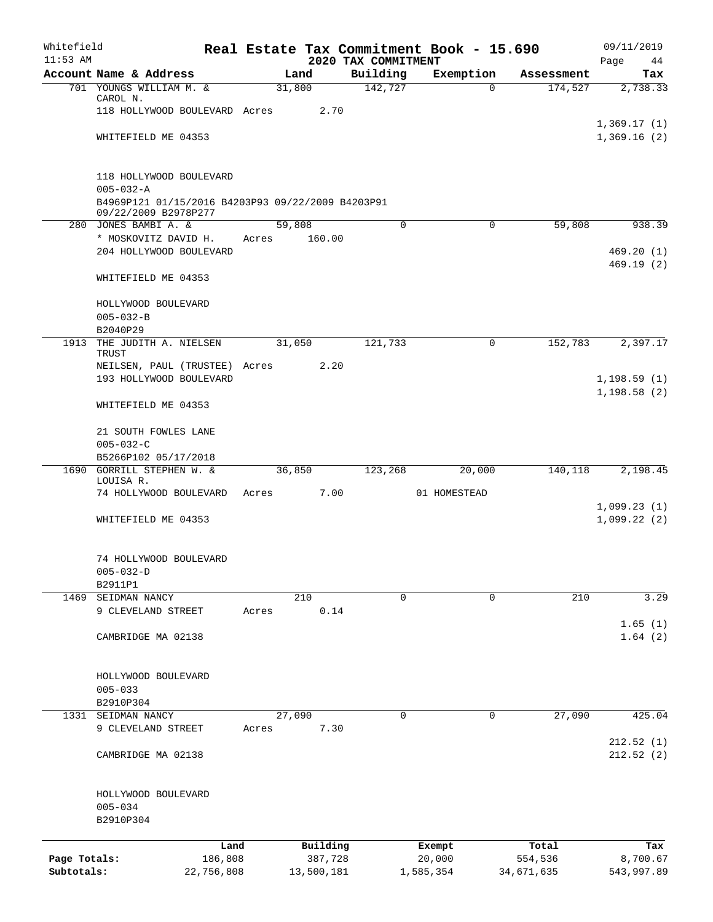| Whitefield<br>$11:53$ AM |                                                                           |       |        |            | 2020 TAX COMMITMENT | Real Estate Tax Commitment Book - 15.690 |            | 09/11/2019             |
|--------------------------|---------------------------------------------------------------------------|-------|--------|------------|---------------------|------------------------------------------|------------|------------------------|
|                          | Account Name & Address                                                    |       | Land   |            | Building            | Exemption                                | Assessment | Page<br>44<br>Tax      |
|                          | 701 YOUNGS WILLIAM M. &                                                   |       | 31,800 |            | 142,727             | $\Omega$                                 | 174,527    | 2,738.33               |
|                          | CAROL N.                                                                  |       |        |            |                     |                                          |            |                        |
|                          | 118 HOLLYWOOD BOULEVARD Acres                                             |       |        | 2.70       |                     |                                          |            |                        |
|                          |                                                                           |       |        |            |                     |                                          |            | 1,369.17(1)            |
|                          | WHITEFIELD ME 04353                                                       |       |        |            |                     |                                          |            | 1,369.16(2)            |
|                          | 118 HOLLYWOOD BOULEVARD                                                   |       |        |            |                     |                                          |            |                        |
|                          | $005 - 032 - A$                                                           |       |        |            |                     |                                          |            |                        |
|                          | B4969P121 01/15/2016 B4203P93 09/22/2009 B4203P91<br>09/22/2009 B2978P277 |       |        |            |                     |                                          |            |                        |
|                          | 280 JONES BAMBI A. &                                                      |       | 59,808 |            | $\mathbf 0$         | $\mathbf 0$                              | 59,808     | 938.39                 |
|                          | * MOSKOVITZ DAVID H.                                                      | Acres |        | 160.00     |                     |                                          |            |                        |
|                          | 204 HOLLYWOOD BOULEVARD                                                   |       |        |            |                     |                                          |            | 469.20(1)<br>469.19(2) |
|                          | WHITEFIELD ME 04353                                                       |       |        |            |                     |                                          |            |                        |
|                          | HOLLYWOOD BOULEVARD                                                       |       |        |            |                     |                                          |            |                        |
|                          | $005 - 032 - B$<br>B2040P29                                               |       |        |            |                     |                                          |            |                        |
|                          | 1913 THE JUDITH A. NIELSEN                                                |       | 31,050 |            | 121,733             | 0                                        | 152,783    | 2,397.17               |
|                          | TRUST                                                                     |       |        | 2.20       |                     |                                          |            |                        |
|                          | NEILSEN, PAUL (TRUSTEE) Acres<br>193 HOLLYWOOD BOULEVARD                  |       |        |            |                     |                                          |            | 1, 198.59(1)           |
|                          |                                                                           |       |        |            |                     |                                          |            | 1, 198.58(2)           |
|                          | WHITEFIELD ME 04353                                                       |       |        |            |                     |                                          |            |                        |
|                          | 21 SOUTH FOWLES LANE                                                      |       |        |            |                     |                                          |            |                        |
|                          | $005 - 032 - C$                                                           |       |        |            |                     |                                          |            |                        |
|                          | B5266P102 05/17/2018                                                      |       |        |            |                     |                                          |            |                        |
|                          | 1690 GORRILL STEPHEN W. &                                                 |       | 36,850 |            | 123,268             | 20,000                                   | 140,118    | 2,198.45               |
|                          | LOUISA R.<br>74 HOLLYWOOD BOULEVARD                                       | Acres |        | 7.00       |                     | 01 HOMESTEAD                             |            |                        |
|                          |                                                                           |       |        |            |                     |                                          |            | 1,099.23(1)            |
|                          | WHITEFIELD ME 04353                                                       |       |        |            |                     |                                          |            | 1,099.22(2)            |
|                          | 74 HOLLYWOOD BOULEVARD                                                    |       |        |            |                     |                                          |            |                        |
|                          | $005 - 032 - D$                                                           |       |        |            |                     |                                          |            |                        |
|                          | B2911P1                                                                   |       |        |            |                     |                                          |            |                        |
| 1469                     | SEIDMAN NANCY                                                             |       | 210    |            | 0                   | 0                                        | 210        | 3.29                   |
|                          | 9 CLEVELAND STREET                                                        | Acres |        | 0.14       |                     |                                          |            |                        |
|                          |                                                                           |       |        |            |                     |                                          |            | 1.65(1)                |
|                          | CAMBRIDGE MA 02138                                                        |       |        |            |                     |                                          |            | 1.64(2)                |
|                          | HOLLYWOOD BOULEVARD                                                       |       |        |            |                     |                                          |            |                        |
|                          | $005 - 033$                                                               |       |        |            |                     |                                          |            |                        |
|                          | B2910P304                                                                 |       |        |            |                     |                                          |            |                        |
| 1331                     | SEIDMAN NANCY                                                             |       | 27,090 |            | 0                   | 0                                        | 27,090     | 425.04                 |
|                          | 9 CLEVELAND STREET                                                        | Acres |        | 7.30       |                     |                                          |            |                        |
|                          |                                                                           |       |        |            |                     |                                          |            | 212.52(1)              |
|                          | CAMBRIDGE MA 02138                                                        |       |        |            |                     |                                          |            | 212.52(2)              |
|                          | HOLLYWOOD BOULEVARD                                                       |       |        |            |                     |                                          |            |                        |
|                          | $005 - 034$                                                               |       |        |            |                     |                                          |            |                        |
|                          | B2910P304                                                                 |       |        |            |                     |                                          |            |                        |
|                          | Land                                                                      |       |        | Building   |                     | Exempt                                   | Total      | Tax                    |
| Page Totals:             | 186,808                                                                   |       |        | 387,728    |                     | 20,000                                   | 554,536    | 8,700.67               |
| Subtotals:               | 22,756,808                                                                |       |        | 13,500,181 |                     | 1,585,354                                | 34,671,635 | 543,997.89             |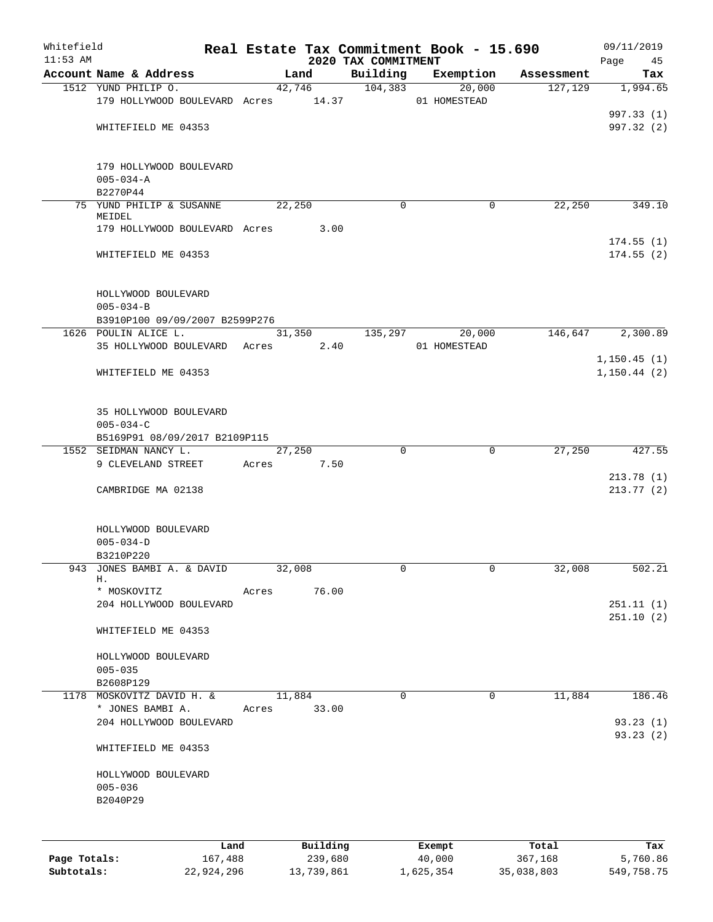| Whitefield   |                                                     |       |            |                                 | Real Estate Tax Commitment Book - 15.690 |            | 09/11/2019             |
|--------------|-----------------------------------------------------|-------|------------|---------------------------------|------------------------------------------|------------|------------------------|
| $11:53$ AM   | Account Name & Address                              |       | Land       | 2020 TAX COMMITMENT<br>Building | Exemption                                | Assessment | Page<br>45<br>Tax      |
|              | 1512 YUND PHILIP O.                                 |       | 42,746     | 104,383                         | 20,000                                   | 127,129    | 1,994.65               |
|              | 179 HOLLYWOOD BOULEVARD Acres 14.37                 |       |            |                                 | 01 HOMESTEAD                             |            |                        |
|              |                                                     |       |            |                                 |                                          |            | 997.33 (1)             |
|              | WHITEFIELD ME 04353                                 |       |            |                                 |                                          |            | 997.32 (2)             |
|              |                                                     |       |            |                                 |                                          |            |                        |
|              | 179 HOLLYWOOD BOULEVARD                             |       |            |                                 |                                          |            |                        |
|              | $005 - 034 - A$                                     |       |            |                                 |                                          |            |                        |
|              | B2270P44                                            |       |            |                                 |                                          |            |                        |
|              | 75 YUND PHILIP & SUSANNE                            |       | 22,250     | $\Omega$                        | 0                                        | 22,250     | 349.10                 |
|              | MEIDEL                                              |       |            |                                 |                                          |            |                        |
|              | 179 HOLLYWOOD BOULEVARD Acres                       |       | 3.00       |                                 |                                          |            |                        |
|              |                                                     |       |            |                                 |                                          |            | 174.55(1)              |
|              | WHITEFIELD ME 04353                                 |       |            |                                 |                                          |            | 174.55(2)              |
|              | HOLLYWOOD BOULEVARD<br>$005 - 034 - B$              |       |            |                                 |                                          |            |                        |
|              | B3910P100 09/09/2007 B2599P276                      |       |            |                                 |                                          |            |                        |
|              | 1626 POULIN ALICE L.                                |       | 31,350     | 135,297                         | 20,000                                   | 146,647    | 2,300.89               |
|              | 35 HOLLYWOOD BOULEVARD Acres                        |       | 2.40       |                                 | 01 HOMESTEAD                             |            |                        |
|              |                                                     |       |            |                                 |                                          |            | 1, 150.45(1)           |
|              | WHITEFIELD ME 04353                                 |       |            |                                 |                                          |            | 1, 150.44(2)           |
|              | 35 HOLLYWOOD BOULEVARD                              |       |            |                                 |                                          |            |                        |
|              | $005 - 034 - C$                                     |       |            |                                 |                                          |            |                        |
|              | B5169P91 08/09/2017 B2109P115                       |       |            |                                 |                                          |            |                        |
|              | 1552 SEIDMAN NANCY L.                               |       | 27,250     | $\Omega$                        | $\mathbf 0$                              | 27,250     | 427.55                 |
|              | 9 CLEVELAND STREET                                  | Acres | 7.50       |                                 |                                          |            |                        |
|              | CAMBRIDGE MA 02138                                  |       |            |                                 |                                          |            | 213.78(1)<br>213.77(2) |
|              | HOLLYWOOD BOULEVARD<br>$005 - 034 - D$<br>B3210P220 |       |            |                                 |                                          |            |                        |
| 943          | JONES BAMBI A. & DAVID                              |       | 32,008     | 0                               | 0                                        | 32,008     | 502.21                 |
|              | Н.                                                  |       |            |                                 |                                          |            |                        |
|              | * MOSKOVITZ                                         | Acres | 76.00      |                                 |                                          |            |                        |
|              | 204 HOLLYWOOD BOULEVARD                             |       |            |                                 |                                          |            | 251.11(1)<br>251.10(2) |
|              | WHITEFIELD ME 04353                                 |       |            |                                 |                                          |            |                        |
|              | HOLLYWOOD BOULEVARD                                 |       |            |                                 |                                          |            |                        |
|              | $005 - 035$                                         |       |            |                                 |                                          |            |                        |
|              | B2608P129                                           |       |            |                                 |                                          |            |                        |
|              | 1178 MOSKOVITZ DAVID H. &                           |       | 11,884     | $\mathbf 0$                     | $\mathbf 0$                              | 11,884     | 186.46                 |
|              | * JONES BAMBI A.                                    | Acres | 33.00      |                                 |                                          |            |                        |
|              | 204 HOLLYWOOD BOULEVARD                             |       |            |                                 |                                          |            | 93.23(1)               |
|              | WHITEFIELD ME 04353                                 |       |            |                                 |                                          |            | 93.23(2)               |
|              | HOLLYWOOD BOULEVARD                                 |       |            |                                 |                                          |            |                        |
|              | $005 - 036$                                         |       |            |                                 |                                          |            |                        |
|              | B2040P29                                            |       |            |                                 |                                          |            |                        |
|              |                                                     |       |            |                                 |                                          |            |                        |
|              | Land                                                |       | Building   |                                 | Exempt                                   | Total      | Tax                    |
| Page Totals: | 167,488                                             |       | 239,680    |                                 | 40,000                                   | 367,168    | 5,760.86               |
| Subtotals:   | 22,924,296                                          |       | 13,739,861 |                                 | 1,625,354                                | 35,038,803 | 549,758.75             |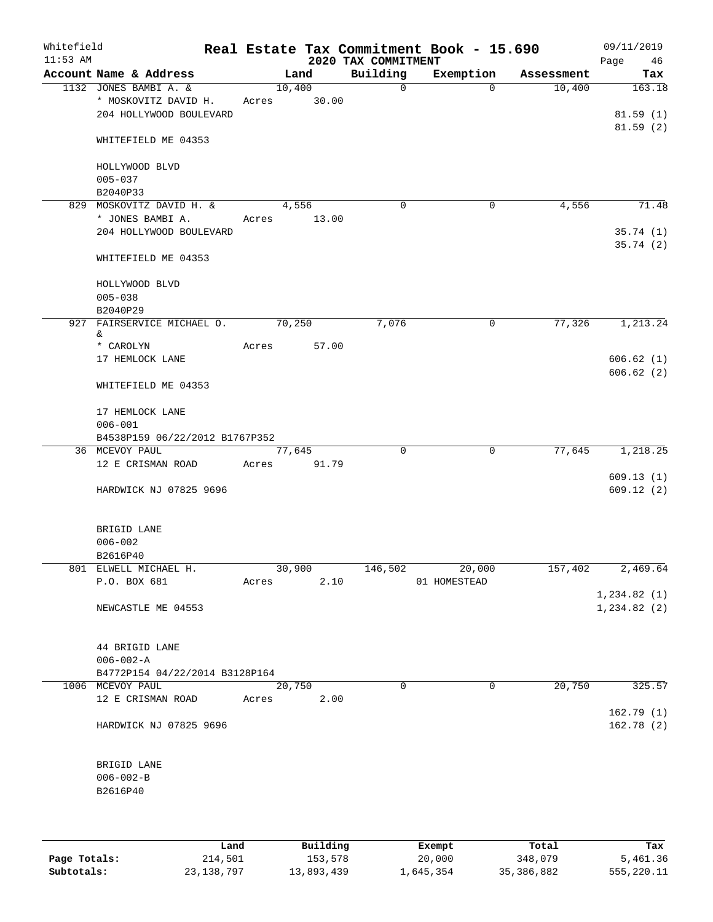| Whitefield<br>$11:53$ AM |                                                 |       |        |       | 2020 TAX COMMITMENT | Real Estate Tax Commitment Book - 15.690 |            | 09/11/2019<br>Page<br>46 |
|--------------------------|-------------------------------------------------|-------|--------|-------|---------------------|------------------------------------------|------------|--------------------------|
|                          | Account Name & Address                          |       | Land   |       | Building            | Exemption                                | Assessment | Tax                      |
|                          | 1132 JONES BAMBI A. &                           |       | 10,400 |       | $\mathsf{O}$        | $\Omega$                                 | 10,400     | 163.18                   |
|                          | * MOSKOVITZ DAVID H.<br>204 HOLLYWOOD BOULEVARD | Acres |        | 30.00 |                     |                                          |            | 81.59(1)                 |
|                          |                                                 |       |        |       |                     |                                          |            | 81.59(2)                 |
|                          | WHITEFIELD ME 04353                             |       |        |       |                     |                                          |            |                          |
|                          | HOLLYWOOD BLVD                                  |       |        |       |                     |                                          |            |                          |
|                          | $005 - 037$                                     |       |        |       |                     |                                          |            |                          |
|                          | B2040P33                                        |       |        |       |                     |                                          |            |                          |
|                          | 829 MOSKOVITZ DAVID H. &                        |       | 4,556  |       | $\mathbf 0$         | 0                                        | 4,556      | 71.48                    |
|                          | * JONES BAMBI A.                                | Acres |        | 13.00 |                     |                                          |            |                          |
|                          | 204 HOLLYWOOD BOULEVARD                         |       |        |       |                     |                                          |            | 35.74(1)<br>35.74(2)     |
|                          | WHITEFIELD ME 04353                             |       |        |       |                     |                                          |            |                          |
|                          | HOLLYWOOD BLVD                                  |       |        |       |                     |                                          |            |                          |
|                          | $005 - 038$                                     |       |        |       |                     |                                          |            |                          |
|                          | B2040P29                                        |       |        |       |                     |                                          |            |                          |
|                          | 927 FAIRSERVICE MICHAEL O.                      |       | 70,250 |       | 7,076               | 0                                        | 77,326     | 1,213.24                 |
|                          | &.                                              |       |        |       |                     |                                          |            |                          |
|                          | * CAROLYN                                       | Acres |        | 57.00 |                     |                                          |            |                          |
|                          | 17 HEMLOCK LANE                                 |       |        |       |                     |                                          |            | 606.62(1)                |
|                          | WHITEFIELD ME 04353                             |       |        |       |                     |                                          |            | 606.62(2)                |
|                          | 17 HEMLOCK LANE                                 |       |        |       |                     |                                          |            |                          |
|                          | $006 - 001$                                     |       |        |       |                     |                                          |            |                          |
|                          | B4538P159 06/22/2012 B1767P352                  |       |        |       |                     |                                          |            |                          |
|                          | 36 MCEVOY PAUL                                  |       | 77,645 |       | $\mathbf 0$         | $\mathbf 0$                              | 77,645     | 1,218.25                 |
|                          | 12 E CRISMAN ROAD                               | Acres |        | 91.79 |                     |                                          |            |                          |
|                          |                                                 |       |        |       |                     |                                          |            | 609.13(1)                |
|                          | HARDWICK NJ 07825 9696                          |       |        |       |                     |                                          |            | 609.12(2)                |
|                          | BRIGID LANE                                     |       |        |       |                     |                                          |            |                          |
|                          | $006 - 002$                                     |       |        |       |                     |                                          |            |                          |
|                          | B2616P40                                        |       |        |       |                     |                                          |            |                          |
|                          | 801 ELWELL MICHAEL H.                           |       | 30,900 |       | 146,502             | 20,000                                   | 157,402    | 2,469.64                 |
|                          | P.O. BOX 681                                    | Acres |        | 2.10  |                     | 01 HOMESTEAD                             |            |                          |
|                          |                                                 |       |        |       |                     |                                          |            | 1,234.82(1)              |
|                          | NEWCASTLE ME 04553                              |       |        |       |                     |                                          |            | 1, 234.82(2)             |
|                          | 44 BRIGID LANE                                  |       |        |       |                     |                                          |            |                          |
|                          | $006 - 002 - A$                                 |       |        |       |                     |                                          |            |                          |
|                          | B4772P154 04/22/2014 B3128P164                  |       |        |       |                     |                                          |            |                          |
|                          | 1006 MCEVOY PAUL                                |       | 20,750 |       | $\Omega$            | 0                                        | 20,750     | 325.57                   |
|                          | 12 E CRISMAN ROAD                               | Acres |        | 2.00  |                     |                                          |            |                          |
|                          | HARDWICK NJ 07825 9696                          |       |        |       |                     |                                          |            | 162.79(1)<br>162.78(2)   |
|                          | BRIGID LANE                                     |       |        |       |                     |                                          |            |                          |
|                          | $006 - 002 - B$                                 |       |        |       |                     |                                          |            |                          |
|                          | B2616P40                                        |       |        |       |                     |                                          |            |                          |
|                          |                                                 |       |        |       |                     |                                          |            |                          |
|                          |                                                 |       |        |       |                     |                                          |            |                          |
|                          |                                                 |       |        |       |                     |                                          |            |                          |

|              | Land         | Building   | Exempt    | Total      | Tax        |
|--------------|--------------|------------|-----------|------------|------------|
| Page Totals: | 214,501      | 153,578    | 20,000    | 348,079    | 5,461.36   |
| Subtotals:   | 23, 138, 797 | 13,893,439 | 1,645,354 | 35,386,882 | 555,220.11 |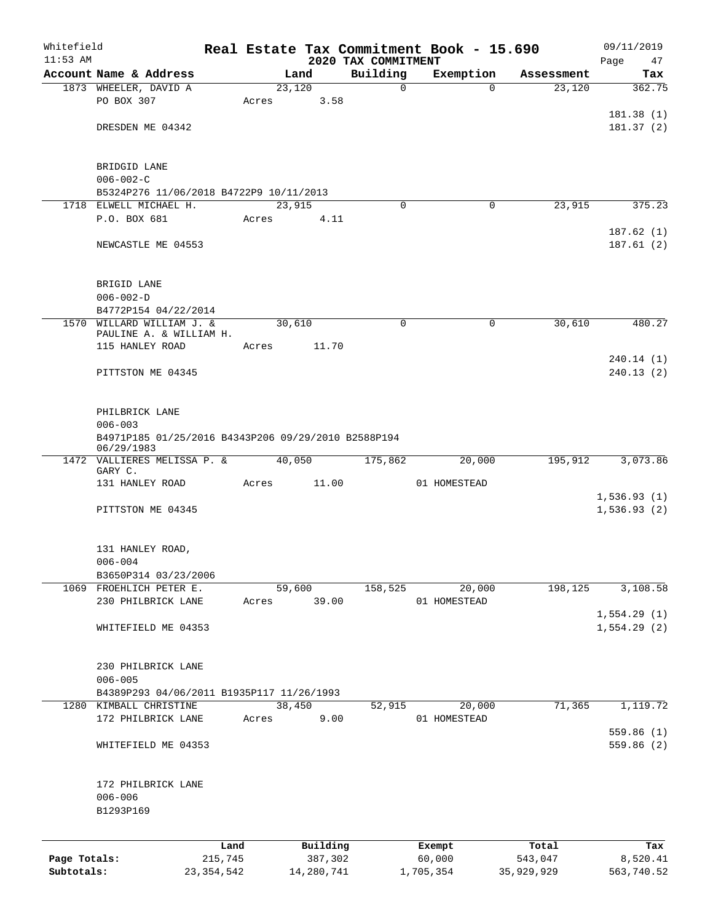| Whitefield   |                                                                   |                 |       |        |                     |                                 | Real Estate Tax Commitment Book - 15.690 |                       | 09/11/2019                 |
|--------------|-------------------------------------------------------------------|-----------------|-------|--------|---------------------|---------------------------------|------------------------------------------|-----------------------|----------------------------|
| $11:53$ AM   | Account Name & Address                                            |                 |       | Land   |                     | 2020 TAX COMMITMENT<br>Building | Exemption                                | Assessment            | Page<br>47<br>Tax          |
|              | 1873 WHEELER, DAVID A                                             |                 |       | 23,120 |                     | 0                               |                                          | 23,120<br>$\Omega$    | 362.75                     |
|              | PO BOX 307                                                        |                 | Acres |        | 3.58                |                                 |                                          |                       |                            |
|              |                                                                   |                 |       |        |                     |                                 |                                          |                       | 181.38(1)                  |
|              | DRESDEN ME 04342                                                  |                 |       |        |                     |                                 |                                          |                       | 181.37(2)                  |
|              |                                                                   |                 |       |        |                     |                                 |                                          |                       |                            |
|              | BRIDGID LANE                                                      |                 |       |        |                     |                                 |                                          |                       |                            |
|              | $006 - 002 - C$                                                   |                 |       |        |                     |                                 |                                          |                       |                            |
|              | B5324P276 11/06/2018 B4722P9 10/11/2013                           |                 |       |        |                     |                                 |                                          |                       |                            |
|              | 1718 ELWELL MICHAEL H.                                            |                 |       | 23,915 |                     | $\Omega$                        |                                          | 23,915<br>0           | 375.23                     |
|              | P.O. BOX 681                                                      |                 | Acres |        | 4.11                |                                 |                                          |                       |                            |
|              |                                                                   |                 |       |        |                     |                                 |                                          |                       | 187.62(1)                  |
|              | NEWCASTLE ME 04553                                                |                 |       |        |                     |                                 |                                          |                       | 187.61(2)                  |
|              | BRIGID LANE                                                       |                 |       |        |                     |                                 |                                          |                       |                            |
|              | $006 - 002 - D$                                                   |                 |       |        |                     |                                 |                                          |                       |                            |
|              | B4772P154 04/22/2014                                              |                 |       |        |                     |                                 |                                          |                       |                            |
| 1570         | WILLARD WILLIAM J. &                                              |                 |       | 30,610 |                     | $\mathbf 0$                     |                                          | $\mathbf 0$<br>30,610 | 480.27                     |
|              | PAULINE A. & WILLIAM H.                                           |                 |       |        |                     |                                 |                                          |                       |                            |
|              | 115 HANLEY ROAD                                                   |                 | Acres |        | 11.70               |                                 |                                          |                       |                            |
|              |                                                                   |                 |       |        |                     |                                 |                                          |                       | 240.14(1)                  |
|              | PITTSTON ME 04345                                                 |                 |       |        |                     |                                 |                                          |                       | 240.13(2)                  |
|              | PHILBRICK LANE                                                    |                 |       |        |                     |                                 |                                          |                       |                            |
|              | $006 - 003$                                                       |                 |       |        |                     |                                 |                                          |                       |                            |
|              | B4971P185 01/25/2016 B4343P206 09/29/2010 B2588P194<br>06/29/1983 |                 |       |        |                     |                                 |                                          |                       |                            |
|              | 1472 VALLIERES MELISSA P. &<br>GARY C.                            |                 |       | 40,050 |                     | 175,862                         | 20,000                                   | 195,912               | 3,073.86                   |
|              | 131 HANLEY ROAD                                                   |                 | Acres |        | 11.00               |                                 | 01 HOMESTEAD                             |                       |                            |
|              |                                                                   |                 |       |        |                     |                                 |                                          |                       | 1,536.93(1)                |
|              | PITTSTON ME 04345                                                 |                 |       |        |                     |                                 |                                          |                       | 1,536.93(2)                |
|              |                                                                   |                 |       |        |                     |                                 |                                          |                       |                            |
|              | 131 HANLEY ROAD,                                                  |                 |       |        |                     |                                 |                                          |                       |                            |
|              | $006 - 004$                                                       |                 |       |        |                     |                                 |                                          |                       |                            |
|              | B3650P314 03/23/2006                                              |                 |       |        |                     |                                 |                                          |                       |                            |
|              | 1069 FROEHLICH PETER E.                                           |                 |       | 59,600 |                     | 158,525                         | 20,000                                   | 198,125               | 3,108.58                   |
|              | 230 PHILBRICK LANE                                                |                 | Acres |        | 39.00               |                                 | 01 HOMESTEAD                             |                       |                            |
|              | WHITEFIELD ME 04353                                               |                 |       |        |                     |                                 |                                          |                       | 1,554.29(1)<br>1,554.29(2) |
|              |                                                                   |                 |       |        |                     |                                 |                                          |                       |                            |
|              | 230 PHILBRICK LANE                                                |                 |       |        |                     |                                 |                                          |                       |                            |
|              | $006 - 005$                                                       |                 |       |        |                     |                                 |                                          |                       |                            |
|              | B4389P293 04/06/2011 B1935P117 11/26/1993                         |                 |       |        |                     |                                 |                                          |                       |                            |
|              | 1280 KIMBALL CHRISTINE                                            |                 |       | 38,450 |                     | 52,915                          | 20,000                                   | 71,365                | 1,119.72                   |
|              | 172 PHILBRICK LANE                                                |                 | Acres |        | 9.00                |                                 | 01 HOMESTEAD                             |                       |                            |
|              | WHITEFIELD ME 04353                                               |                 |       |        |                     |                                 |                                          |                       | 559.86 (1)<br>559.86(2)    |
|              |                                                                   |                 |       |        |                     |                                 |                                          |                       |                            |
|              | 172 PHILBRICK LANE                                                |                 |       |        |                     |                                 |                                          |                       |                            |
|              | $006 - 006$                                                       |                 |       |        |                     |                                 |                                          |                       |                            |
|              | B1293P169                                                         |                 |       |        |                     |                                 |                                          |                       |                            |
|              |                                                                   |                 |       |        |                     |                                 |                                          |                       |                            |
| Page Totals: |                                                                   | Land<br>215,745 |       |        | Building<br>387,302 |                                 | Exempt<br>60,000                         | Total<br>543,047      | Tax<br>8,520.41            |
| Subtotals:   |                                                                   | 23, 354, 542    |       |        | 14,280,741          |                                 | 1,705,354                                | 35,929,929            | 563,740.52                 |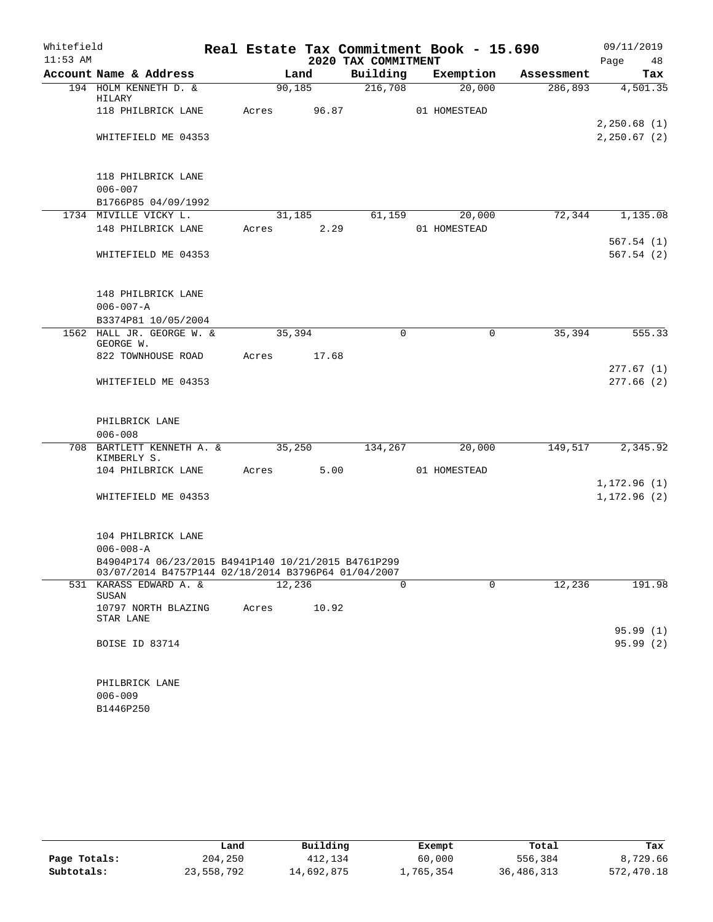| Whitefield |                                                                                                            |         |        |                     | Real Estate Tax Commitment Book - 15.690 |            | 09/11/2019                 |
|------------|------------------------------------------------------------------------------------------------------------|---------|--------|---------------------|------------------------------------------|------------|----------------------------|
| $11:53$ AM |                                                                                                            |         |        | 2020 TAX COMMITMENT |                                          |            | 48<br>Page                 |
|            | Account Name & Address                                                                                     |         | Land   | Building            | Exemption                                | Assessment | Tax                        |
|            | 194 HOLM KENNETH D. &<br>HILARY                                                                            | 90,185  |        | 216,708             | 20,000                                   | 286,893    | 4,501.35                   |
|            | 118 PHILBRICK LANE                                                                                         | Acres   | 96.87  |                     | 01 HOMESTEAD                             |            |                            |
|            | WHITEFIELD ME 04353                                                                                        |         |        |                     |                                          |            | 2,250.68(1)<br>2,250.67(2) |
|            | 118 PHILBRICK LANE<br>$006 - 007$                                                                          |         |        |                     |                                          |            |                            |
|            | B1766P85 04/09/1992                                                                                        |         |        |                     |                                          |            |                            |
|            | 1734 MIVILLE VICKY L.                                                                                      |         | 31,185 | 61,159              | 20,000                                   | 72,344     | 1,135.08                   |
|            | 148 PHILBRICK LANE                                                                                         | Acres   | 2.29   |                     | 01 HOMESTEAD                             |            |                            |
|            |                                                                                                            |         |        |                     |                                          |            | 567.54(1)                  |
|            | WHITEFIELD ME 04353                                                                                        |         |        |                     |                                          |            | 567.54(2)                  |
|            | 148 PHILBRICK LANE                                                                                         |         |        |                     |                                          |            |                            |
|            | $006 - 007 - A$                                                                                            |         |        |                     |                                          |            |                            |
|            | B3374P81 10/05/2004                                                                                        |         |        |                     |                                          |            |                            |
|            | 1562 HALL JR. GEORGE W. &<br>GEORGE W.                                                                     | 35,394  |        | 0                   | 0                                        | 35,394     | 555.33                     |
|            | 822 TOWNHOUSE ROAD                                                                                         | Acres   | 17.68  |                     |                                          |            |                            |
|            | WHITEFIELD ME 04353                                                                                        |         |        |                     |                                          |            | 277.67(1)<br>277.66(2)     |
|            | PHILBRICK LANE                                                                                             |         |        |                     |                                          |            |                            |
|            | $006 - 008$                                                                                                |         |        |                     |                                          |            |                            |
|            | 708 BARTLETT KENNETH A. &<br>KIMBERLY S.                                                                   | 35,250  |        | 134,267             | 20,000                                   | 149,517    | 2,345.92                   |
|            | 104 PHILBRICK LANE                                                                                         | Acres   | 5.00   |                     | 01 HOMESTEAD                             |            |                            |
|            |                                                                                                            |         |        |                     |                                          |            | 1,172.96(1)                |
|            | WHITEFIELD ME 04353                                                                                        |         |        |                     |                                          |            | 1, 172.96(2)               |
|            | 104 PHILBRICK LANE                                                                                         |         |        |                     |                                          |            |                            |
|            | $006 - 008 - A$                                                                                            |         |        |                     |                                          |            |                            |
|            | B4904P174 06/23/2015 B4941P140 10/21/2015 B4761P299<br>03/07/2014 B4757P144 02/18/2014 B3796P64 01/04/2007 |         |        |                     |                                          |            |                            |
|            | 531 KARASS EDWARD A. &<br>SUSAN                                                                            | 12, 236 |        | $\Omega$            | $\Omega$                                 | 12,236     | 191.98                     |
|            | 10797 NORTH BLAZING<br>STAR LANE                                                                           | Acres   | 10.92  |                     |                                          |            |                            |
|            |                                                                                                            |         |        |                     |                                          |            | 95.99(1)                   |
|            | BOISE ID 83714                                                                                             |         |        |                     |                                          |            | 95.99(2)                   |
|            | PHILBRICK LANE                                                                                             |         |        |                     |                                          |            |                            |
|            | $006 - 009$                                                                                                |         |        |                     |                                          |            |                            |
|            | B1446P250                                                                                                  |         |        |                     |                                          |            |                            |

|              | Land       | Building   | Exempt    | Total      | Tax        |
|--------------|------------|------------|-----------|------------|------------|
| Page Totals: | 204,250    | 412,134    | 60,000    | 556,384    | 8,729.66   |
| Subtotals:   | 23,558,792 | 14,692,875 | 1,765,354 | 36,486,313 | 572,470.18 |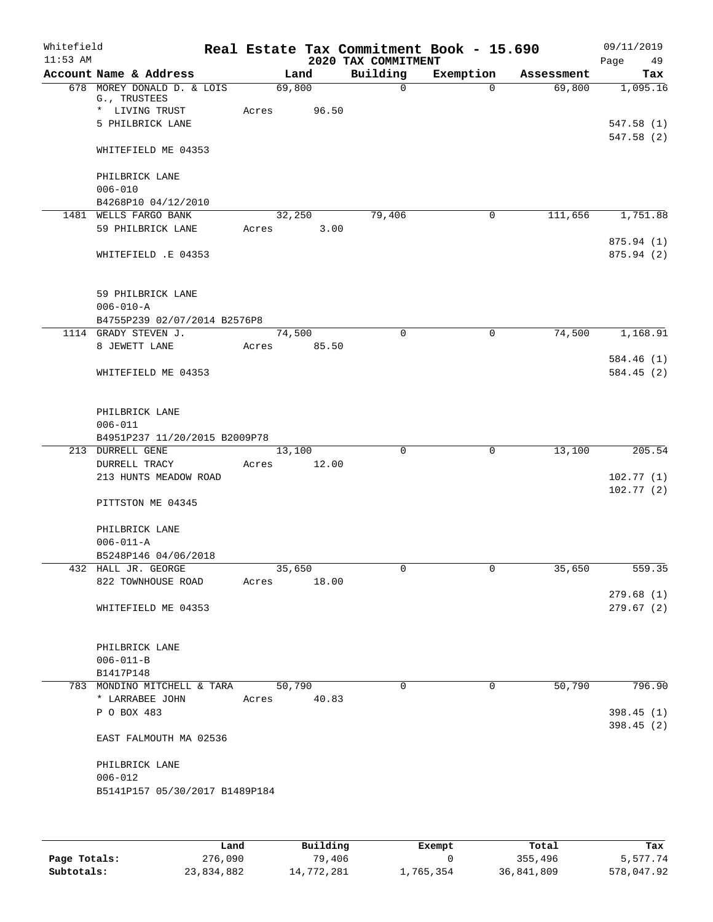| Whitefield<br>$11:53$ AM |                                                                                  |       |        |             | 2020 TAX COMMITMENT | Real Estate Tax Commitment Book - 15.690 |            | 09/11/2019<br>49<br>Page |
|--------------------------|----------------------------------------------------------------------------------|-------|--------|-------------|---------------------|------------------------------------------|------------|--------------------------|
|                          | Account Name & Address                                                           |       | Land   |             | Building            | Exemption                                | Assessment | Tax                      |
|                          | 678 MOREY DONALD D. & LOIS<br>G., TRUSTEES<br>* LIVING TRUST<br>5 PHILBRICK LANE | Acres | 69,800 | 96.50       | $\Omega$            | $\Omega$                                 | 69,800     | 1,095.16<br>547.58(1)    |
|                          | WHITEFIELD ME 04353                                                              |       |        |             |                     |                                          |            | 547.58 (2)               |
|                          | PHILBRICK LANE<br>$006 - 010$<br>B4268P10 04/12/2010                             |       |        |             |                     |                                          |            |                          |
|                          | 1481 WELLS FARGO BANK                                                            |       | 32,250 |             | 79,406              | 0                                        | 111,656    | 1,751.88                 |
|                          | 59 PHILBRICK LANE                                                                | Acres |        | 3.00        |                     |                                          |            |                          |
|                          | WHITEFIELD .E 04353                                                              |       |        |             |                     |                                          |            | 875.94 (1)<br>875.94 (2) |
|                          | 59 PHILBRICK LANE<br>$006 - 010 - A$                                             |       |        |             |                     |                                          |            |                          |
|                          | B4755P239 02/07/2014 B2576P8<br>1114 GRADY STEVEN J.                             |       | 74,500 |             | $\mathbf 0$         | $\mathbf 0$                              | 74,500     | 1,168.91                 |
|                          | 8 JEWETT LANE                                                                    | Acres |        | 85.50       |                     |                                          |            |                          |
|                          |                                                                                  |       |        |             |                     |                                          |            | 584.46(1)                |
|                          | WHITEFIELD ME 04353                                                              |       |        |             |                     |                                          |            | 584.45(2)                |
|                          | PHILBRICK LANE<br>$006 - 011$<br>B4951P237 11/20/2015 B2009P78                   |       |        |             |                     |                                          |            |                          |
|                          | 213 DURRELL GENE                                                                 |       | 13,100 |             | $\Omega$            | $\mathbf 0$                              | 13,100     | 205.54                   |
|                          | DURRELL TRACY                                                                    | Acres |        | 12.00       |                     |                                          |            |                          |
|                          | 213 HUNTS MEADOW ROAD                                                            |       |        |             |                     |                                          |            | 102.77(1)                |
|                          | PITTSTON ME 04345                                                                |       |        |             |                     |                                          |            | 102.77(2)                |
|                          | PHILBRICK LANE<br>$006 - 011 - A$                                                |       |        |             |                     |                                          |            |                          |
|                          | B5248P146 04/06/2018                                                             |       |        |             |                     |                                          |            |                          |
|                          | 432 HALL JR. GEORGE                                                              |       | 35,650 |             | 0                   | 0                                        | 35,650     | 559.35                   |
|                          | 822 TOWNHOUSE ROAD                                                               |       |        | Acres 18.00 |                     |                                          |            |                          |
|                          | WHITEFIELD ME 04353                                                              |       |        |             |                     |                                          |            | 279.68(1)<br>279.67(2)   |
|                          | PHILBRICK LANE<br>$006 - 011 - B$                                                |       |        |             |                     |                                          |            |                          |
|                          | B1417P148                                                                        |       |        |             |                     |                                          |            |                          |
|                          | 783 MONDINO MITCHELL & TARA                                                      |       | 50,790 |             | $\Omega$            | $\Omega$                                 | 50,790     | 796.90                   |
|                          | * LARRABEE JOHN                                                                  | Acres |        | 40.83       |                     |                                          |            |                          |
|                          | P O BOX 483                                                                      |       |        |             |                     |                                          |            | 398.45(1)                |
|                          | EAST FALMOUTH MA 02536                                                           |       |        |             |                     |                                          |            | 398.45(2)                |
|                          | PHILBRICK LANE<br>$006 - 012$                                                    |       |        |             |                     |                                          |            |                          |
|                          | B5141P157 05/30/2017 B1489P184                                                   |       |        |             |                     |                                          |            |                          |
|                          |                                                                                  |       |        |             |                     |                                          |            |                          |

|              | Land       | Building   | Exempt    | Total      | Tax        |
|--------------|------------|------------|-----------|------------|------------|
| Page Totals: | 276,090    | 79,406     |           | 355,496    | 5,577.74   |
| Subtotals:   | 23,834,882 | 14,772,281 | 1,765,354 | 36,841,809 | 578,047.92 |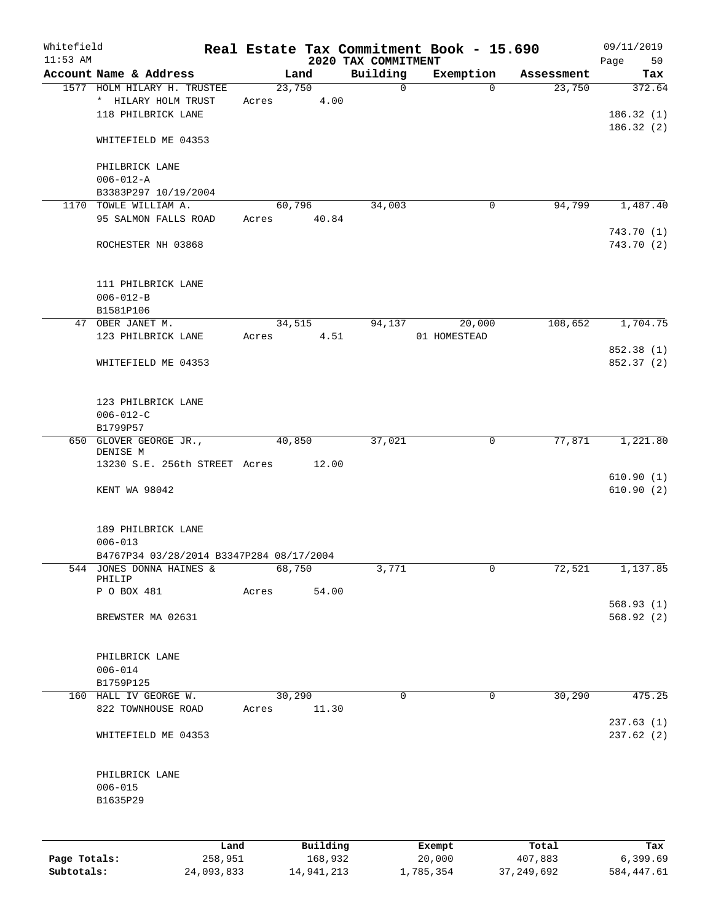| Whitefield<br>$11:53$ AM |                                                                      |       |          | 2020 TAX COMMITMENT | Real Estate Tax Commitment Book - 15.690 |            | 09/11/2019<br>Page<br>50 |
|--------------------------|----------------------------------------------------------------------|-------|----------|---------------------|------------------------------------------|------------|--------------------------|
|                          | Account Name & Address                                               |       | Land     | Building            | Exemption                                | Assessment | Tax                      |
|                          | 1577 HOLM HILARY H. TRUSTEE                                          |       | 23,750   | $\mathbf 0$         | $\Omega$                                 | 23,750     | 372.64                   |
|                          | * HILARY HOLM TRUST                                                  | Acres | 4.00     |                     |                                          |            |                          |
|                          | 118 PHILBRICK LANE                                                   |       |          |                     |                                          |            | 186.32(1)                |
|                          |                                                                      |       |          |                     |                                          |            | 186.32(2)                |
|                          | WHITEFIELD ME 04353                                                  |       |          |                     |                                          |            |                          |
|                          | PHILBRICK LANE                                                       |       |          |                     |                                          |            |                          |
|                          | $006 - 012 - A$                                                      |       |          |                     |                                          |            |                          |
|                          | B3383P297 10/19/2004                                                 |       |          |                     |                                          |            |                          |
|                          | 1170 TOWLE WILLIAM A.                                                |       | 60,796   | 34,003              | 0                                        | 94,799     | 1,487.40                 |
|                          | 95 SALMON FALLS ROAD                                                 | Acres | 40.84    |                     |                                          |            |                          |
|                          |                                                                      |       |          |                     |                                          |            | 743.70 (1)               |
|                          | ROCHESTER NH 03868                                                   |       |          |                     |                                          |            | 743.70 (2)               |
|                          |                                                                      |       |          |                     |                                          |            |                          |
|                          | 111 PHILBRICK LANE                                                   |       |          |                     |                                          |            |                          |
|                          | $006 - 012 - B$                                                      |       |          |                     |                                          |            |                          |
|                          | B1581P106                                                            |       |          |                     |                                          |            |                          |
|                          | 47 OBER JANET M.                                                     |       | 34,515   | 94,137              | 20,000                                   | 108,652    | 1,704.75                 |
|                          | 123 PHILBRICK LANE                                                   | Acres | 4.51     |                     | 01 HOMESTEAD                             |            |                          |
|                          |                                                                      |       |          |                     |                                          |            | 852.38 (1)               |
|                          | WHITEFIELD ME 04353                                                  |       |          |                     |                                          |            | 852.37 (2)               |
|                          | 123 PHILBRICK LANE                                                   |       |          |                     |                                          |            |                          |
|                          | $006 - 012 - C$                                                      |       |          |                     |                                          |            |                          |
|                          | B1799P57                                                             |       |          |                     |                                          |            |                          |
|                          | 650 GLOVER GEORGE JR.,                                               |       | 40,850   | 37,021              | $\mathbf 0$                              | 77,871     | 1,221.80                 |
|                          | DENISE M                                                             |       |          |                     |                                          |            |                          |
|                          | 13230 S.E. 256th STREET Acres                                        |       | 12.00    |                     |                                          |            |                          |
|                          |                                                                      |       |          |                     |                                          |            | 610.90(1)                |
|                          | KENT WA 98042                                                        |       |          |                     |                                          |            | 610.90(2)                |
|                          |                                                                      |       |          |                     |                                          |            |                          |
|                          | 189 PHILBRICK LANE<br>$006 - 013$                                    |       |          |                     |                                          |            |                          |
|                          |                                                                      |       |          |                     |                                          |            |                          |
|                          | B4767P34 03/28/2014 B3347P284 08/17/2004<br>544 JONES DONNA HAINES & |       | 68,750   | 3,771               | 0                                        | 72,521     | 1,137.85                 |
|                          | PHILIP                                                               |       |          |                     |                                          |            |                          |
|                          | P O BOX 481                                                          | Acres | 54.00    |                     |                                          |            |                          |
|                          |                                                                      |       |          |                     |                                          |            | 568.93(1)                |
|                          | BREWSTER MA 02631                                                    |       |          |                     |                                          |            | 568.92(2)                |
|                          |                                                                      |       |          |                     |                                          |            |                          |
|                          | PHILBRICK LANE<br>$006 - 014$                                        |       |          |                     |                                          |            |                          |
|                          | B1759P125                                                            |       |          |                     |                                          |            |                          |
|                          | 160 HALL IV GEORGE W.                                                |       | 30,290   | 0                   | $\mathbf 0$                              | 30,290     | 475.25                   |
|                          | 822 TOWNHOUSE ROAD                                                   | Acres | 11.30    |                     |                                          |            |                          |
|                          |                                                                      |       |          |                     |                                          |            | 237.63(1)                |
|                          | WHITEFIELD ME 04353                                                  |       |          |                     |                                          |            | 237.62(2)                |
|                          |                                                                      |       |          |                     |                                          |            |                          |
|                          | PHILBRICK LANE                                                       |       |          |                     |                                          |            |                          |
|                          | $006 - 015$                                                          |       |          |                     |                                          |            |                          |
|                          | B1635P29                                                             |       |          |                     |                                          |            |                          |
|                          |                                                                      |       |          |                     |                                          |            |                          |
|                          | Land                                                                 |       | Building |                     | Exempt                                   | Total      | Tax                      |
| Page Totals:             | 258,951                                                              |       | 168,932  |                     | 20,000                                   | 407,883    | 6,399.69                 |

**Subtotals:** 24,093,833 14,941,213 1,785,354 37,249,692 584,447.61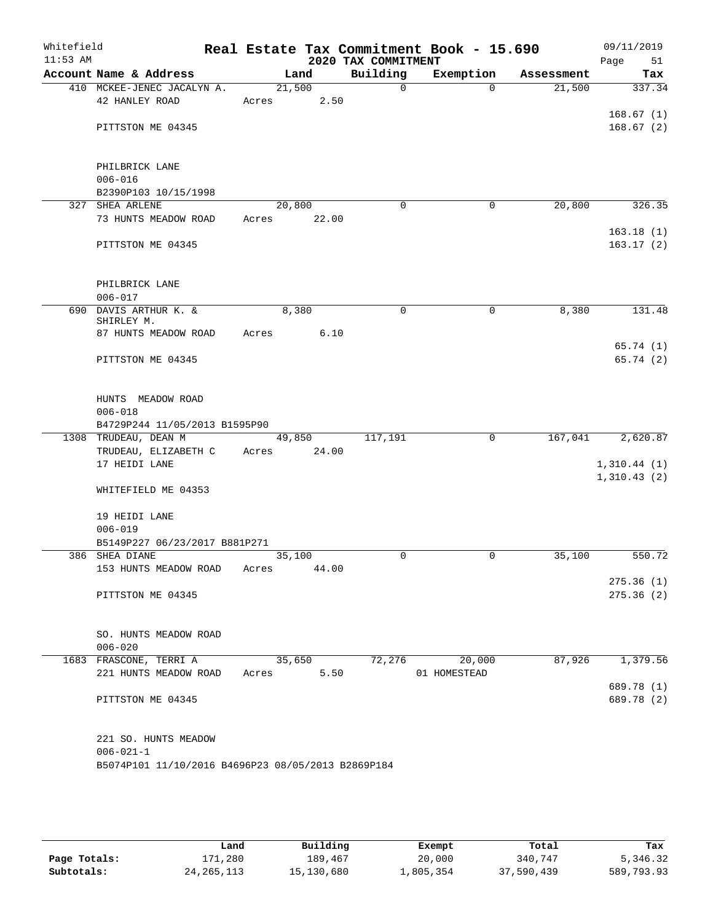| Whitefield<br>$11:53$ AM |                                                    |        |                | 2020 TAX COMMITMENT | Real Estate Tax Commitment Book - 15.690 |            | 09/11/2019<br>Page<br>51 |
|--------------------------|----------------------------------------------------|--------|----------------|---------------------|------------------------------------------|------------|--------------------------|
|                          | Account Name & Address                             |        | Land           | Building            | Exemption                                | Assessment | Tax                      |
|                          | 410 MCKEE-JENEC JACALYN A.                         | 21,500 |                | $\mathbf 0$         | $\Omega$                                 | 21,500     | 337.34                   |
|                          | 42 HANLEY ROAD                                     | Acres  | 2.50           |                     |                                          |            |                          |
|                          |                                                    |        |                |                     |                                          |            | 168.67(1)                |
|                          | PITTSTON ME 04345                                  |        |                |                     |                                          |            | 168.67(2)                |
|                          |                                                    |        |                |                     |                                          |            |                          |
|                          |                                                    |        |                |                     |                                          |            |                          |
|                          | PHILBRICK LANE                                     |        |                |                     |                                          |            |                          |
|                          | $006 - 016$                                        |        |                |                     |                                          |            |                          |
|                          | B2390P103 10/15/1998<br>327 SHEA ARLENE            | 20,800 |                | $\Omega$            | 0                                        | 20,800     | 326.35                   |
|                          | 73 HUNTS MEADOW ROAD                               | Acres  | 22.00          |                     |                                          |            |                          |
|                          |                                                    |        |                |                     |                                          |            | 163.18(1)                |
|                          | PITTSTON ME 04345                                  |        |                |                     |                                          |            | 163.17(2)                |
|                          |                                                    |        |                |                     |                                          |            |                          |
|                          |                                                    |        |                |                     |                                          |            |                          |
|                          | PHILBRICK LANE                                     |        |                |                     |                                          |            |                          |
|                          | $006 - 017$                                        |        |                |                     |                                          |            |                          |
|                          | 690 DAVIS ARTHUR K. &                              |        | 8,380          | $\mathbf 0$         | 0                                        | 8,380      | 131.48                   |
|                          | SHIRLEY M.                                         |        |                |                     |                                          |            |                          |
|                          | 87 HUNTS MEADOW ROAD                               | Acres  | 6.10           |                     |                                          |            |                          |
|                          |                                                    |        |                |                     |                                          |            | 65.74(1)                 |
|                          | PITTSTON ME 04345                                  |        |                |                     |                                          |            | 65.74 (2)                |
|                          |                                                    |        |                |                     |                                          |            |                          |
|                          |                                                    |        |                |                     |                                          |            |                          |
|                          | HUNTS MEADOW ROAD                                  |        |                |                     |                                          |            |                          |
|                          | $006 - 018$<br>B4729P244 11/05/2013 B1595P90       |        |                |                     |                                          |            |                          |
|                          | 1308 TRUDEAU, DEAN M                               |        | 49,850         | 117,191             | $\Omega$                                 | 167,041    | 2,620.87                 |
|                          | TRUDEAU, ELIZABETH C                               | Acres  | 24.00          |                     |                                          |            |                          |
|                          | 17 HEIDI LANE                                      |        |                |                     |                                          |            | 1,310.44(1)              |
|                          |                                                    |        |                |                     |                                          |            | 1,310.43(2)              |
|                          | WHITEFIELD ME 04353                                |        |                |                     |                                          |            |                          |
|                          |                                                    |        |                |                     |                                          |            |                          |
|                          | 19 HEIDI LANE                                      |        |                |                     |                                          |            |                          |
|                          | $006 - 019$                                        |        |                |                     |                                          |            |                          |
|                          | B5149P227 06/23/2017 B881P271                      |        |                |                     |                                          |            |                          |
|                          | 386 SHEA DIANE                                     | 35,100 |                | $\mathbf 0$         | 0                                        | 35,100     | 550.72                   |
|                          | 153 HUNTS MEADOW ROAD                              | Acres  | 44.00          |                     |                                          |            |                          |
|                          |                                                    |        |                |                     |                                          |            | 275.36(1)                |
|                          | PITTSTON ME 04345                                  |        |                |                     |                                          |            | 275.36(2)                |
|                          |                                                    |        |                |                     |                                          |            |                          |
|                          |                                                    |        |                |                     |                                          |            |                          |
|                          | SO. HUNTS MEADOW ROAD                              |        |                |                     |                                          |            |                          |
|                          | $006 - 020$                                        |        |                | 72,276              | 20,000                                   |            |                          |
|                          | 1683 FRASCONE, TERRI A<br>221 HUNTS MEADOW ROAD    | Acres  | 35,650<br>5.50 |                     | 01 HOMESTEAD                             | 87,926     | 1,379.56                 |
|                          |                                                    |        |                |                     |                                          |            | 689.78 (1)               |
|                          | PITTSTON ME 04345                                  |        |                |                     |                                          |            | 689.78 (2)               |
|                          |                                                    |        |                |                     |                                          |            |                          |
|                          |                                                    |        |                |                     |                                          |            |                          |
|                          | 221 SO. HUNTS MEADOW                               |        |                |                     |                                          |            |                          |
|                          | $006 - 021 - 1$                                    |        |                |                     |                                          |            |                          |
|                          | B5074P101 11/10/2016 B4696P23 08/05/2013 B2869P184 |        |                |                     |                                          |            |                          |
|                          |                                                    |        |                |                     |                                          |            |                          |
|                          |                                                    |        |                |                     |                                          |            |                          |
|                          |                                                    |        |                |                     |                                          |            |                          |

|              | Land         | Building   | Exempt    | Total      | Tax        |
|--------------|--------------|------------|-----------|------------|------------|
| Page Totals: | 171,280      | 189,467    | 20,000    | 340,747    | 5,346.32   |
| Subtotals:   | 24, 265, 113 | 15,130,680 | 1,805,354 | 37,590,439 | 589,793.93 |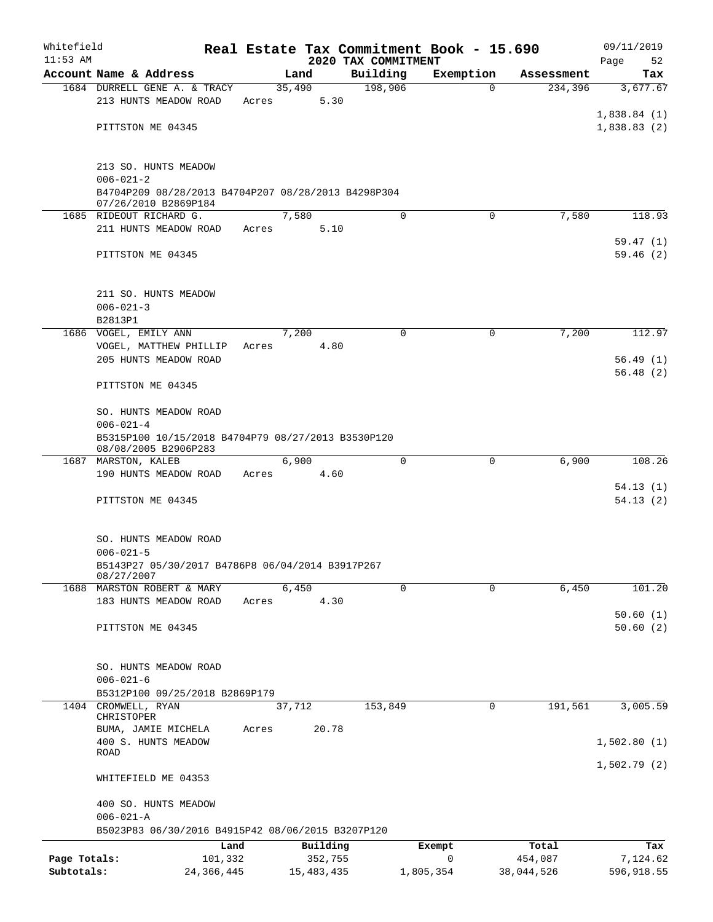| Whitefield<br>$11:53$ AM |                                                                             |         |              | 2020 TAX COMMITMENT |             | Real Estate Tax Commitment Book - 15.690 |            | 09/11/2019<br>Page<br>52 |
|--------------------------|-----------------------------------------------------------------------------|---------|--------------|---------------------|-------------|------------------------------------------|------------|--------------------------|
|                          | Account Name & Address                                                      |         | Land         | Building            |             | Exemption                                | Assessment | Tax                      |
|                          | 1684 DURRELL GENE A. & TRACY                                                |         | 35,490       |                     | 198,906     | $\Omega$                                 | 234,396    | 3,677.67                 |
|                          | 213 HUNTS MEADOW ROAD                                                       | Acres   |              | 5.30                |             |                                          |            |                          |
|                          |                                                                             |         |              |                     |             |                                          |            | 1,838.84(1)              |
|                          | PITTSTON ME 04345                                                           |         |              |                     |             |                                          |            | 1,838.83(2)              |
|                          |                                                                             |         |              |                     |             |                                          |            |                          |
|                          |                                                                             |         |              |                     |             |                                          |            |                          |
|                          | 213 SO. HUNTS MEADOW                                                        |         |              |                     |             |                                          |            |                          |
|                          | $006 - 021 - 2$                                                             |         |              |                     |             |                                          |            |                          |
|                          | B4704P209 08/28/2013 B4704P207 08/28/2013 B4298P304<br>07/26/2010 B2869P184 |         |              |                     |             |                                          |            |                          |
|                          | 1685 RIDEOUT RICHARD G.                                                     |         | 7,580        |                     | 0           | $\Omega$                                 | 7,580      | 118.93                   |
|                          | 211 HUNTS MEADOW ROAD                                                       | Acres   |              | 5.10                |             |                                          |            |                          |
|                          |                                                                             |         |              |                     |             |                                          |            | 59.47(1)                 |
|                          | PITTSTON ME 04345                                                           |         |              |                     |             |                                          |            | 59.46(2)                 |
|                          |                                                                             |         |              |                     |             |                                          |            |                          |
|                          |                                                                             |         |              |                     |             |                                          |            |                          |
|                          | 211 SO. HUNTS MEADOW                                                        |         |              |                     |             |                                          |            |                          |
|                          | $006 - 021 - 3$                                                             |         |              |                     |             |                                          |            |                          |
|                          | B2813P1<br>1686 VOGEL, EMILY ANN                                            |         | 7,200        |                     | $\mathbf 0$ | 0                                        | 7,200      | 112.97                   |
|                          | VOGEL, MATTHEW PHILLIP                                                      | Acres   |              | 4.80                |             |                                          |            |                          |
|                          | 205 HUNTS MEADOW ROAD                                                       |         |              |                     |             |                                          |            | 56.49(1)                 |
|                          |                                                                             |         |              |                     |             |                                          |            | 56.48(2)                 |
|                          | PITTSTON ME 04345                                                           |         |              |                     |             |                                          |            |                          |
|                          |                                                                             |         |              |                     |             |                                          |            |                          |
|                          | SO. HUNTS MEADOW ROAD                                                       |         |              |                     |             |                                          |            |                          |
|                          | $006 - 021 - 4$                                                             |         |              |                     |             |                                          |            |                          |
|                          | B5315P100 10/15/2018 B4704P79 08/27/2013 B3530P120                          |         |              |                     |             |                                          |            |                          |
|                          | 08/08/2005 B2906P283<br>1687 MARSTON, KALEB                                 |         | 6,900        |                     | $\mathbf 0$ | $\mathbf 0$                              | 6,900      | 108.26                   |
|                          | 190 HUNTS MEADOW ROAD                                                       | Acres   |              | 4.60                |             |                                          |            |                          |
|                          |                                                                             |         |              |                     |             |                                          |            | 54.13(1)                 |
|                          | PITTSTON ME 04345                                                           |         |              |                     |             |                                          |            | 54.13(2)                 |
|                          |                                                                             |         |              |                     |             |                                          |            |                          |
|                          |                                                                             |         |              |                     |             |                                          |            |                          |
|                          | SO. HUNTS MEADOW ROAD                                                       |         |              |                     |             |                                          |            |                          |
|                          | $006 - 021 - 5$                                                             |         |              |                     |             |                                          |            |                          |
|                          | B5143P27 05/30/2017 B4786P8 06/04/2014 B3917P267<br>08/27/2007              |         |              |                     |             |                                          |            |                          |
|                          | 1688 MARSTON ROBERT & MARY                                                  |         | 6,450        |                     | $\Omega$    | $\Omega$                                 | 6,450      | 101.20                   |
|                          | 183 HUNTS MEADOW ROAD                                                       | Acres   |              | 4.30                |             |                                          |            |                          |
|                          |                                                                             |         |              |                     |             |                                          |            | 50.60(1)                 |
|                          | PITTSTON ME 04345                                                           |         |              |                     |             |                                          |            | 50.60(2)                 |
|                          |                                                                             |         |              |                     |             |                                          |            |                          |
|                          |                                                                             |         |              |                     |             |                                          |            |                          |
|                          | SO. HUNTS MEADOW ROAD                                                       |         |              |                     |             |                                          |            |                          |
|                          | $006 - 021 - 6$                                                             |         |              |                     |             |                                          |            |                          |
|                          | B5312P100 09/25/2018 B2869P179                                              |         |              |                     |             |                                          |            |                          |
|                          | 1404 CROMWELL, RYAN<br>CHRISTOPER                                           |         | 37,712       |                     | 153,849     | 0                                        | 191,561    | 3,005.59                 |
|                          | BUMA, JAMIE MICHELA                                                         | Acres   | 20.78        |                     |             |                                          |            |                          |
|                          | 400 S. HUNTS MEADOW                                                         |         |              |                     |             |                                          |            | 1,502.80(1)              |
|                          | <b>ROAD</b>                                                                 |         |              |                     |             |                                          |            |                          |
|                          |                                                                             |         |              |                     |             |                                          |            | 1,502.79(2)              |
|                          | WHITEFIELD ME 04353                                                         |         |              |                     |             |                                          |            |                          |
|                          |                                                                             |         |              |                     |             |                                          |            |                          |
|                          | 400 SO. HUNTS MEADOW<br>$006 - 021 - A$                                     |         |              |                     |             |                                          |            |                          |
|                          | B5023P83 06/30/2016 B4915P42 08/06/2015 B3207P120                           |         |              |                     |             |                                          |            |                          |
|                          |                                                                             | Land    | Building     |                     |             | Exempt                                   | Total      | Tax                      |
| Page Totals:             |                                                                             | 101,332 | 352,755      |                     |             | $\mathbf 0$                              | 454,087    | 7,124.62                 |
| Subtotals:               | 24, 366, 445                                                                |         | 15, 483, 435 |                     |             | 1,805,354                                | 38,044,526 | 596,918.55               |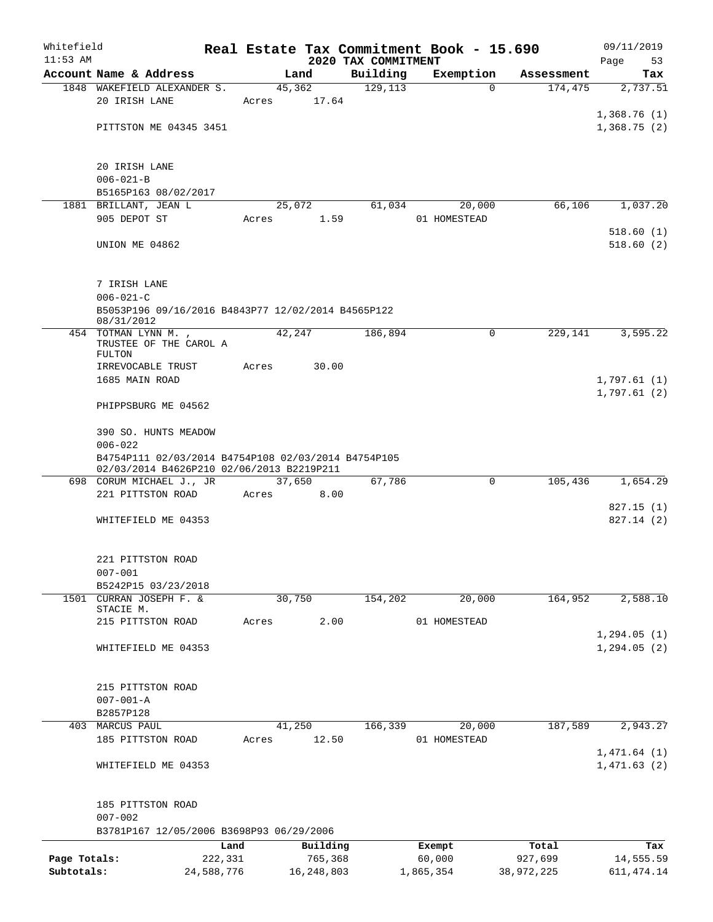| Whitefield   |                                                     |            |       |              |                                 | Real Estate Tax Commitment Book - 15.690 |            | 09/11/2019        |
|--------------|-----------------------------------------------------|------------|-------|--------------|---------------------------------|------------------------------------------|------------|-------------------|
| $11:53$ AM   | Account Name & Address                              |            |       | Land         | 2020 TAX COMMITMENT<br>Building | Exemption                                | Assessment | Page<br>53<br>Tax |
|              | 1848 WAKEFIELD ALEXANDER S.                         |            |       | 45,362       | 129,113                         | $\Omega$                                 | 174,475    | 2,737.51          |
|              | 20 IRISH LANE                                       |            | Acres | 17.64        |                                 |                                          |            |                   |
|              |                                                     |            |       |              |                                 |                                          |            | 1,368.76(1)       |
|              | PITTSTON ME 04345 3451                              |            |       |              |                                 |                                          |            | 1,368.75(2)       |
|              |                                                     |            |       |              |                                 |                                          |            |                   |
|              |                                                     |            |       |              |                                 |                                          |            |                   |
|              | 20 IRISH LANE                                       |            |       |              |                                 |                                          |            |                   |
|              | $006 - 021 - B$                                     |            |       |              |                                 |                                          |            |                   |
|              | B5165P163 08/02/2017<br>1881 BRILLANT, JEAN L       |            |       | 25,072       | 61,034                          | 20,000                                   | 66,106     | 1,037.20          |
|              | 905 DEPOT ST                                        |            | Acres | 1.59         |                                 | 01 HOMESTEAD                             |            |                   |
|              |                                                     |            |       |              |                                 |                                          |            | 518.60(1)         |
|              | UNION ME 04862                                      |            |       |              |                                 |                                          |            | 518.60(2)         |
|              |                                                     |            |       |              |                                 |                                          |            |                   |
|              |                                                     |            |       |              |                                 |                                          |            |                   |
|              | 7 IRISH LANE                                        |            |       |              |                                 |                                          |            |                   |
|              | $006 - 021 - C$                                     |            |       |              |                                 |                                          |            |                   |
|              | B5053P196 09/16/2016 B4843P77 12/02/2014 B4565P122  |            |       |              |                                 |                                          |            |                   |
|              | 08/31/2012<br>454 TOTMAN LYNN M.,                   |            |       | 42,247       | 186,894                         | 0                                        | 229,141    | 3,595.22          |
|              | TRUSTEE OF THE CAROL A                              |            |       |              |                                 |                                          |            |                   |
|              | FULTON                                              |            |       |              |                                 |                                          |            |                   |
|              | IRREVOCABLE TRUST                                   |            | Acres | 30.00        |                                 |                                          |            |                   |
|              | 1685 MAIN ROAD                                      |            |       |              |                                 |                                          |            | 1,797.61(1)       |
|              |                                                     |            |       |              |                                 |                                          |            | 1,797.61(2)       |
|              | PHIPPSBURG ME 04562                                 |            |       |              |                                 |                                          |            |                   |
|              | 390 SO. HUNTS MEADOW                                |            |       |              |                                 |                                          |            |                   |
|              | $006 - 022$                                         |            |       |              |                                 |                                          |            |                   |
|              | B4754P111 02/03/2014 B4754P108 02/03/2014 B4754P105 |            |       |              |                                 |                                          |            |                   |
|              | 02/03/2014 B4626P210 02/06/2013 B2219P211           |            |       |              |                                 |                                          |            |                   |
|              | 698 CORUM MICHAEL J., JR                            |            |       | 37,650       | 67,786                          | $\Omega$                                 | 105,436    | 1,654.29          |
|              | 221 PITTSTON ROAD                                   |            | Acres | 8.00         |                                 |                                          |            |                   |
|              |                                                     |            |       |              |                                 |                                          |            | 827.15(1)         |
|              | WHITEFIELD ME 04353                                 |            |       |              |                                 |                                          |            | 827.14(2)         |
|              |                                                     |            |       |              |                                 |                                          |            |                   |
|              | 221 PITTSTON ROAD                                   |            |       |              |                                 |                                          |            |                   |
|              | $007 - 001$                                         |            |       |              |                                 |                                          |            |                   |
|              | B5242P15 03/23/2018                                 |            |       |              |                                 |                                          |            |                   |
| 1501         | CURRAN JOSEPH F. &                                  |            |       | 30,750       | 154,202                         | 20,000                                   | 164,952    | 2,588.10          |
|              | STACIE M.                                           |            |       |              |                                 |                                          |            |                   |
|              | 215 PITTSTON ROAD                                   |            | Acres | 2.00         |                                 | 01 HOMESTEAD                             |            | 1, 294.05(1)      |
|              | WHITEFIELD ME 04353                                 |            |       |              |                                 |                                          |            | 1, 294.05(2)      |
|              |                                                     |            |       |              |                                 |                                          |            |                   |
|              |                                                     |            |       |              |                                 |                                          |            |                   |
|              | 215 PITTSTON ROAD                                   |            |       |              |                                 |                                          |            |                   |
|              | $007 - 001 - A$                                     |            |       |              |                                 |                                          |            |                   |
|              | B2857P128                                           |            |       |              |                                 |                                          |            |                   |
|              | 403 MARCUS PAUL                                     |            |       | 41,250       | 166,339                         | 20,000                                   | 187,589    | 2,943.27          |
|              | 185 PITTSTON ROAD                                   |            | Acres | 12.50        |                                 | 01 HOMESTEAD                             |            |                   |
|              |                                                     |            |       |              |                                 |                                          |            | 1,471.64(1)       |
|              | WHITEFIELD ME 04353                                 |            |       |              |                                 |                                          |            | 1,471.63(2)       |
|              |                                                     |            |       |              |                                 |                                          |            |                   |
|              | 185 PITTSTON ROAD                                   |            |       |              |                                 |                                          |            |                   |
|              | $007 - 002$                                         |            |       |              |                                 |                                          |            |                   |
|              | B3781P167 12/05/2006 B3698P93 06/29/2006            |            |       |              |                                 |                                          |            |                   |
|              |                                                     | Land       |       | Building     |                                 | Exempt                                   | Total      | Tax               |
| Page Totals: |                                                     | 222,331    |       | 765,368      |                                 | 60,000                                   | 927,699    | 14,555.59         |
| Subtotals:   |                                                     | 24,588,776 |       | 16, 248, 803 |                                 | 1,865,354                                | 38,972,225 | 611, 474.14       |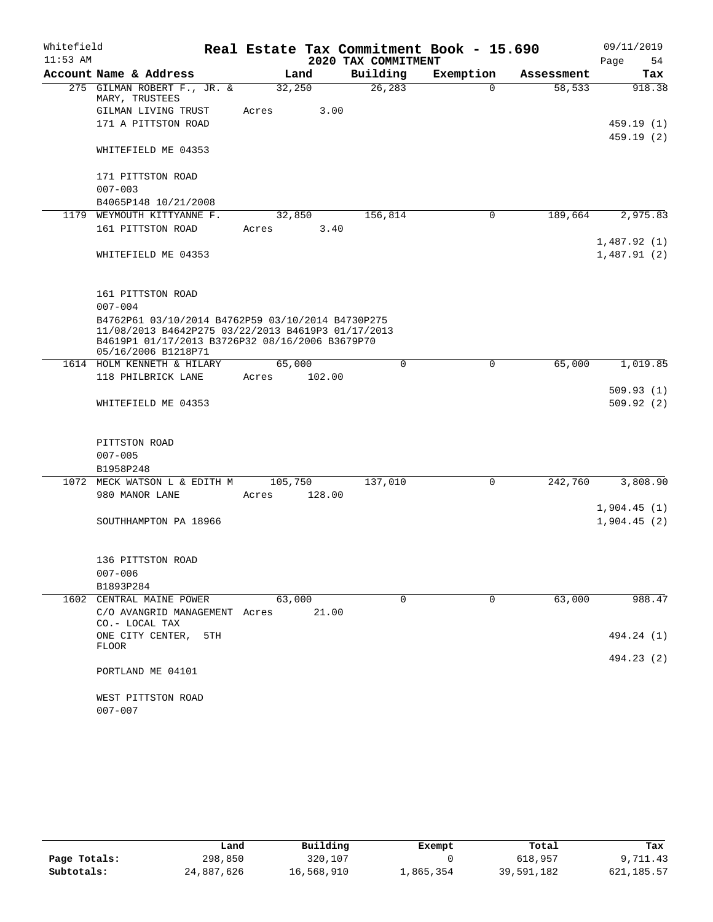| $11:53$ AM | Account Name & Address<br>275 GILMAN ROBERT F., JR. &<br>MARY, TRUSTEES<br>GILMAN LIVING TRUST<br>171 A PITTSTON ROAD                                                             | Land<br>32,250 |        | 2020 TAX COMMITMENT<br>Building<br>26, 283 | Real Estate Tax Commitment Book - 15.690<br>Exemption | Assessment | 54<br>Page<br>Tax          |
|------------|-----------------------------------------------------------------------------------------------------------------------------------------------------------------------------------|----------------|--------|--------------------------------------------|-------------------------------------------------------|------------|----------------------------|
|            |                                                                                                                                                                                   |                |        |                                            |                                                       |            |                            |
|            |                                                                                                                                                                                   |                |        |                                            |                                                       |            |                            |
|            |                                                                                                                                                                                   |                |        |                                            | $\Omega$                                              | 58,533     | 918.38                     |
|            |                                                                                                                                                                                   | Acres          | 3.00   |                                            |                                                       |            |                            |
|            |                                                                                                                                                                                   |                |        |                                            |                                                       |            | 459.19(1)                  |
|            | WHITEFIELD ME 04353                                                                                                                                                               |                |        |                                            |                                                       |            | 459.19(2)                  |
|            | 171 PITTSTON ROAD                                                                                                                                                                 |                |        |                                            |                                                       |            |                            |
|            | $007 - 003$                                                                                                                                                                       |                |        |                                            |                                                       |            |                            |
|            | B4065P148 10/21/2008                                                                                                                                                              |                |        |                                            |                                                       |            |                            |
|            | 1179 WEYMOUTH KITTYANNE F.                                                                                                                                                        | 32,850         |        | 156,814                                    | $\mathbf 0$                                           | 189,664    | 2,975.83                   |
|            | 161 PITTSTON ROAD                                                                                                                                                                 | Acres          | 3.40   |                                            |                                                       |            |                            |
|            |                                                                                                                                                                                   |                |        |                                            |                                                       |            | 1,487.92(1)                |
|            | WHITEFIELD ME 04353                                                                                                                                                               |                |        |                                            |                                                       |            | 1,487.91(2)                |
|            | 161 PITTSTON ROAD                                                                                                                                                                 |                |        |                                            |                                                       |            |                            |
|            | $007 - 004$                                                                                                                                                                       |                |        |                                            |                                                       |            |                            |
|            | B4762P61 03/10/2014 B4762P59 03/10/2014 B4730P275<br>11/08/2013 B4642P275 03/22/2013 B4619P3 01/17/2013<br>B4619P1 01/17/2013 B3726P32 08/16/2006 B3679P70<br>05/16/2006 B1218P71 |                |        |                                            |                                                       |            |                            |
|            | 1614 HOLM KENNETH & HILARY                                                                                                                                                        | 65,000         |        | $\mathbf 0$                                | $\mathbf 0$                                           | 65,000     | 1,019.85                   |
|            | 118 PHILBRICK LANE                                                                                                                                                                | Acres          | 102.00 |                                            |                                                       |            |                            |
|            | WHITEFIELD ME 04353                                                                                                                                                               |                |        |                                            |                                                       |            | 509.93(1)<br>509.92(2)     |
|            | PITTSTON ROAD                                                                                                                                                                     |                |        |                                            |                                                       |            |                            |
|            | $007 - 005$                                                                                                                                                                       |                |        |                                            |                                                       |            |                            |
|            | B1958P248                                                                                                                                                                         |                |        |                                            |                                                       |            |                            |
|            | 1072 MECK WATSON L & EDITH M                                                                                                                                                      | 105,750        |        | 137,010                                    | $\mathbf 0$                                           | 242,760    | 3,808.90                   |
|            | 980 MANOR LANE                                                                                                                                                                    | Acres          | 128.00 |                                            |                                                       |            |                            |
|            | SOUTHHAMPTON PA 18966                                                                                                                                                             |                |        |                                            |                                                       |            | 1,904.45(1)<br>1,904.45(2) |
|            | 136 PITTSTON ROAD                                                                                                                                                                 |                |        |                                            |                                                       |            |                            |
|            | $007 - 006$                                                                                                                                                                       |                |        |                                            |                                                       |            |                            |
|            | B1893P284                                                                                                                                                                         |                |        |                                            |                                                       |            |                            |
|            | 1602 CENTRAL MAINE POWER<br>C/O AVANGRID MANAGEMENT Acres                                                                                                                         | 63,000         | 21.00  | $\Omega$                                   | $\Omega$                                              | 63,000     | 988.47                     |
|            | CO.- LOCAL TAX<br>ONE CITY CENTER,<br>5TH                                                                                                                                         |                |        |                                            |                                                       |            | 494.24 (1)                 |
|            | <b>FLOOR</b>                                                                                                                                                                      |                |        |                                            |                                                       |            | 494.23 (2)                 |
|            | PORTLAND ME 04101                                                                                                                                                                 |                |        |                                            |                                                       |            |                            |
|            | WEST PITTSTON ROAD<br>$007 - 007$                                                                                                                                                 |                |        |                                            |                                                       |            |                            |

|              | Land       | Building   | Exempt    | Total      | Tax        |
|--------------|------------|------------|-----------|------------|------------|
| Page Totals: | 298,850    | 320,107    |           | 618,957    | 9,711.43   |
| Subtotals:   | 24,887,626 | 16,568,910 | ⊥,865,354 | 39,591,182 | 621,185.57 |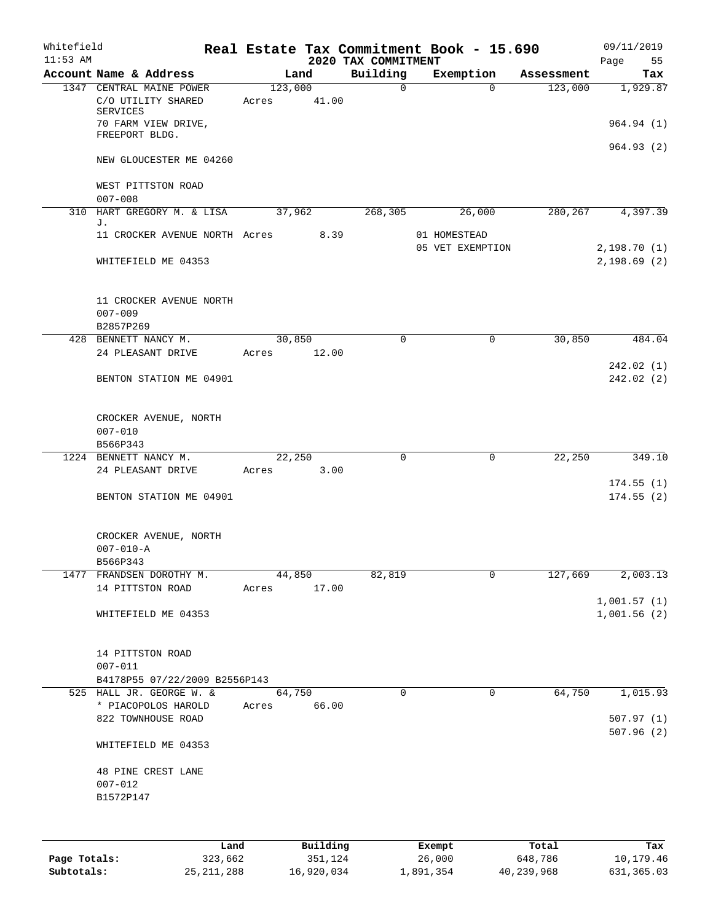| Whitefield<br>$11:53$ AM |                                                            |                  |       | 2020 TAX COMMITMENT | Real Estate Tax Commitment Book - 15.690 |            | 09/11/2019<br>55<br>Page   |
|--------------------------|------------------------------------------------------------|------------------|-------|---------------------|------------------------------------------|------------|----------------------------|
|                          | Account Name & Address                                     | Land             |       | Building            | Exemption                                | Assessment | Tax                        |
|                          | 1347 CENTRAL MAINE POWER<br>C/O UTILITY SHARED<br>SERVICES | 123,000<br>Acres | 41.00 | $\mathbf 0$         | $\Omega$                                 | 123,000    | 1,929.87                   |
|                          | 70 FARM VIEW DRIVE,<br>FREEPORT BLDG.                      |                  |       |                     |                                          |            | 964.94 (1)<br>964.93(2)    |
|                          | NEW GLOUCESTER ME 04260                                    |                  |       |                     |                                          |            |                            |
|                          | WEST PITTSTON ROAD<br>$007 - 008$                          |                  |       |                     |                                          |            |                            |
| 310                      | HART GREGORY M. & LISA                                     | 37,962           |       | 268, 305            | 26,000                                   | 280,267    | 4,397.39                   |
|                          | J.<br>11 CROCKER AVENUE NORTH Acres                        |                  | 8.39  |                     | 01 HOMESTEAD                             |            |                            |
|                          | WHITEFIELD ME 04353                                        |                  |       |                     | 05 VET EXEMPTION                         |            | 2,198.70(1)<br>2,198.69(2) |
|                          | 11 CROCKER AVENUE NORTH<br>$007 - 009$<br>B2857P269        |                  |       |                     |                                          |            |                            |
|                          | 428 BENNETT NANCY M.                                       | 30,850           |       | $\mathbf 0$         | 0                                        | 30,850     | 484.04                     |
|                          | 24 PLEASANT DRIVE                                          | Acres            | 12.00 |                     |                                          |            |                            |
|                          | BENTON STATION ME 04901                                    |                  |       |                     |                                          |            | 242.02(1)<br>242.02(2)     |
|                          | CROCKER AVENUE, NORTH<br>$007 - 010$<br>B566P343           |                  |       |                     |                                          |            |                            |
|                          | 1224 BENNETT NANCY M.                                      | 22,250           |       | $\mathbf 0$         | 0                                        | 22,250     | 349.10                     |
|                          | 24 PLEASANT DRIVE                                          | Acres            | 3.00  |                     |                                          |            |                            |
|                          | BENTON STATION ME 04901                                    |                  |       |                     |                                          |            | 174.55(1)<br>174.55(2)     |
|                          | CROCKER AVENUE, NORTH<br>$007 - 010 - A$<br>B566P343       |                  |       |                     |                                          |            |                            |
|                          | 1477 FRANDSEN DOROTHY M.                                   | 44,850           |       | 82,819              | 0                                        | 127,669    | 2,003.13                   |
|                          | 14 PITTSTON ROAD                                           | Acres            | 17.00 |                     |                                          |            |                            |
|                          | WHITEFIELD ME 04353                                        |                  |       |                     |                                          |            | 1,001.57(1)<br>1,001.56(2) |
|                          | 14 PITTSTON ROAD<br>$007 - 011$                            |                  |       |                     |                                          |            |                            |
|                          | B4178P55 07/22/2009 B2556P143                              |                  |       |                     |                                          |            |                            |
|                          | 525 HALL JR. GEORGE W. &<br>* PIACOPOLOS HAROLD            | 64,750<br>Acres  | 66.00 | $\mathbf 0$         | $\mathbf 0$                              | 64,750     | 1,015.93                   |
|                          | 822 TOWNHOUSE ROAD                                         |                  |       |                     |                                          |            | 507.97(1)<br>507.96(2)     |
|                          | WHITEFIELD ME 04353                                        |                  |       |                     |                                          |            |                            |
|                          | 48 PINE CREST LANE<br>$007 - 012$<br>B1572P147             |                  |       |                     |                                          |            |                            |
|                          |                                                            |                  |       |                     |                                          |            |                            |

|              | Land         | Building   | Exempt    | Total      | Tax        |
|--------------|--------------|------------|-----------|------------|------------|
| Page Totals: | 323,662      | 351,124    | 26,000    | 648,786    | 10,179.46  |
| Subtotals:   | 25, 211, 288 | 16,920,034 | 1,891,354 | 40,239,968 | 631,365.03 |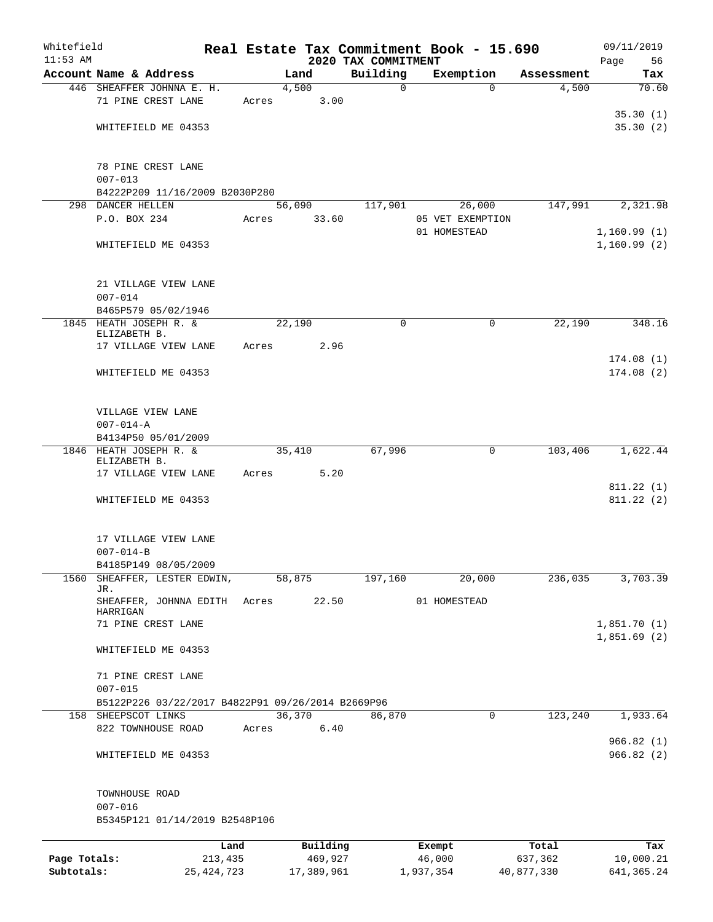| Whitefield   |                                                   |                 |                     | Real Estate Tax Commitment Book - 15.690 |                  |                  |                  | 09/11/2019        |
|--------------|---------------------------------------------------|-----------------|---------------------|------------------------------------------|------------------|------------------|------------------|-------------------|
| $11:53$ AM   | Account Name & Address                            |                 | Land                | 2020 TAX COMMITMENT<br>Building          |                  | Exemption        | Assessment       | Page<br>56<br>Tax |
|              | 446 SHEAFFER JOHNNA E. H.                         |                 | 4,500               | 0                                        |                  | $\Omega$         | 4,500            | 70.60             |
|              | 71 PINE CREST LANE                                | Acres           | 3.00                |                                          |                  |                  |                  |                   |
|              |                                                   |                 |                     |                                          |                  |                  |                  | 35.30(1)          |
|              | WHITEFIELD ME 04353                               |                 |                     |                                          |                  |                  |                  | 35.30(2)          |
|              |                                                   |                 |                     |                                          |                  |                  |                  |                   |
|              | 78 PINE CREST LANE                                |                 |                     |                                          |                  |                  |                  |                   |
|              | $007 - 013$                                       |                 |                     |                                          |                  |                  |                  |                   |
|              | B4222P209 11/16/2009 B2030P280                    |                 |                     |                                          |                  |                  |                  |                   |
|              | 298 DANCER HELLEN                                 |                 | 56,090              | 117,901                                  |                  | 26,000           | 147,991          | 2,321.98          |
|              | P.O. BOX 234                                      | Acres           | 33.60               |                                          |                  | 05 VET EXEMPTION |                  |                   |
|              |                                                   |                 |                     |                                          |                  | 01 HOMESTEAD     |                  | 1,160.99(1)       |
|              | WHITEFIELD ME 04353                               |                 |                     |                                          |                  |                  |                  | 1,160.99(2)       |
|              |                                                   |                 |                     |                                          |                  |                  |                  |                   |
|              | 21 VILLAGE VIEW LANE                              |                 |                     |                                          |                  |                  |                  |                   |
|              | $007 - 014$                                       |                 |                     |                                          |                  |                  |                  |                   |
|              | B465P579 05/02/1946                               |                 |                     | $\mathbf 0$                              |                  | $\mathbf 0$      |                  | 348.16            |
|              | 1845 HEATH JOSEPH R. &<br>ELIZABETH B.            |                 | 22,190              |                                          |                  |                  | 22,190           |                   |
|              | 17 VILLAGE VIEW LANE                              | Acres           | 2.96                |                                          |                  |                  |                  |                   |
|              |                                                   |                 |                     |                                          |                  |                  |                  | 174.08(1)         |
|              | WHITEFIELD ME 04353                               |                 |                     |                                          |                  |                  |                  | 174.08(2)         |
|              |                                                   |                 |                     |                                          |                  |                  |                  |                   |
|              | VILLAGE VIEW LANE                                 |                 |                     |                                          |                  |                  |                  |                   |
|              | $007 - 014 - A$                                   |                 |                     |                                          |                  |                  |                  |                   |
|              | B4134P50 05/01/2009                               |                 |                     |                                          |                  |                  |                  |                   |
| 1846         | HEATH JOSEPH R. &                                 |                 | 35,410              | 67,996                                   |                  | 0                | 103,406          | 1,622.44          |
|              | ELIZABETH B.<br>17 VILLAGE VIEW LANE              | Acres           | 5.20                |                                          |                  |                  |                  |                   |
|              |                                                   |                 |                     |                                          |                  |                  |                  | 811.22(1)         |
|              | WHITEFIELD ME 04353                               |                 |                     |                                          |                  |                  |                  | 811.22(2)         |
|              |                                                   |                 |                     |                                          |                  |                  |                  |                   |
|              | 17 VILLAGE VIEW LANE                              |                 |                     |                                          |                  |                  |                  |                   |
|              | $007 - 014 - B$                                   |                 |                     |                                          |                  |                  |                  |                   |
|              | B4185P149 08/05/2009                              |                 |                     |                                          |                  |                  |                  |                   |
| 1560         | SHEAFFER, LESTER EDWIN,                           |                 | 58,875              | 197,160                                  |                  | 20,000           | 236,035          | 3,703.39          |
|              | JR.<br>SHEAFFER, JOHNNA EDITH                     | Acres           | 22.50               |                                          |                  | 01 HOMESTEAD     |                  |                   |
|              | HARRIGAN                                          |                 |                     |                                          |                  |                  |                  |                   |
|              | 71 PINE CREST LANE                                |                 |                     |                                          |                  |                  |                  | 1,851.70(1)       |
|              | WHITEFIELD ME 04353                               |                 |                     |                                          |                  |                  |                  | 1,851.69(2)       |
|              |                                                   |                 |                     |                                          |                  |                  |                  |                   |
|              | 71 PINE CREST LANE                                |                 |                     |                                          |                  |                  |                  |                   |
|              | $007 - 015$                                       |                 |                     |                                          |                  |                  |                  |                   |
|              | B5122P226 03/22/2017 B4822P91 09/26/2014 B2669P96 |                 |                     |                                          |                  |                  |                  |                   |
|              | 158 SHEEPSCOT LINKS                               |                 | 36,370              | 86,870                                   |                  | 0                | 123,240          | 1,933.64          |
|              | 822 TOWNHOUSE ROAD                                | Acres           | 6.40                |                                          |                  |                  |                  | 966.82(1)         |
|              | WHITEFIELD ME 04353                               |                 |                     |                                          |                  |                  |                  | 966.82(2)         |
|              |                                                   |                 |                     |                                          |                  |                  |                  |                   |
|              |                                                   |                 |                     |                                          |                  |                  |                  |                   |
|              | TOWNHOUSE ROAD<br>$007 - 016$                     |                 |                     |                                          |                  |                  |                  |                   |
|              | B5345P121 01/14/2019 B2548P106                    |                 |                     |                                          |                  |                  |                  |                   |
|              |                                                   |                 |                     |                                          |                  |                  |                  |                   |
| Page Totals: |                                                   | Land<br>213,435 | Building<br>469,927 |                                          | Exempt<br>46,000 |                  | Total<br>637,362 | Tax<br>10,000.21  |
| Subtotals:   |                                                   | 25, 424, 723    | 17,389,961          |                                          | 1,937,354        |                  | 40,877,330       | 641, 365.24       |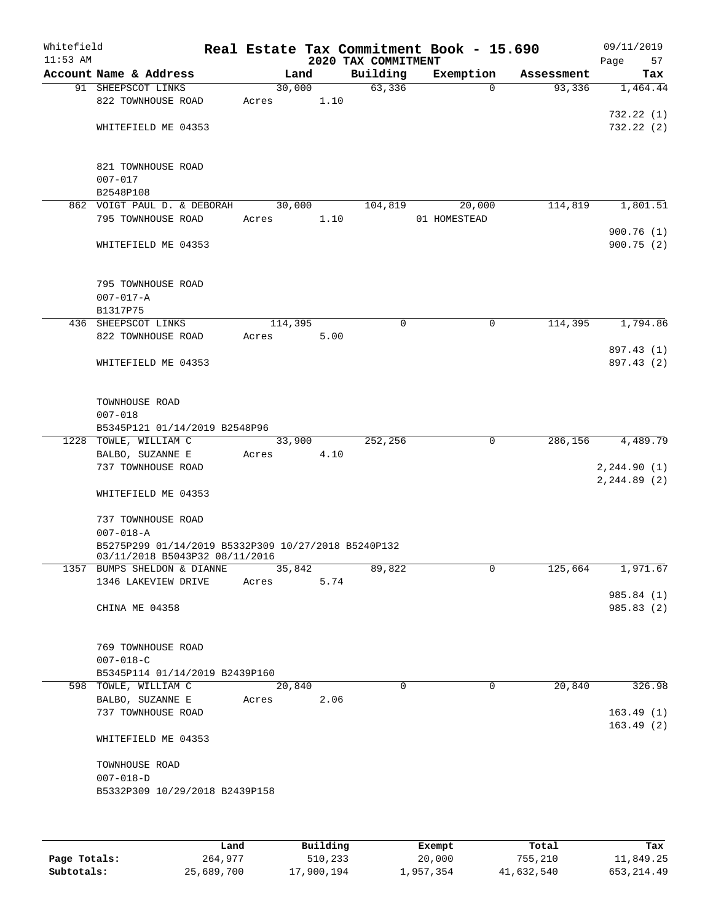| Whitefield<br>$11:53$ AM |                                                        |         |      | 2020 TAX COMMITMENT | Real Estate Tax Commitment Book - 15.690 |            | 09/11/2019<br>Page<br>57 |
|--------------------------|--------------------------------------------------------|---------|------|---------------------|------------------------------------------|------------|--------------------------|
|                          | Account Name & Address                                 | Land    |      | Building            | Exemption                                | Assessment | Tax                      |
|                          | 91 SHEEPSCOT LINKS                                     | 30,000  |      | 63,336              | $\Omega$                                 | 93,336     | 1,464.44                 |
|                          | 822 TOWNHOUSE ROAD                                     | Acres   | 1.10 |                     |                                          |            |                          |
|                          |                                                        |         |      |                     |                                          |            | 732.22(1)                |
|                          | WHITEFIELD ME 04353                                    |         |      |                     |                                          |            | 732.22(2)                |
|                          |                                                        |         |      |                     |                                          |            |                          |
|                          |                                                        |         |      |                     |                                          |            |                          |
|                          | 821 TOWNHOUSE ROAD                                     |         |      |                     |                                          |            |                          |
|                          | $007 - 017$                                            |         |      |                     |                                          |            |                          |
|                          | B2548P108<br>862 VOIGT PAUL D. & DEBORAH               | 30,000  |      |                     | 20,000                                   | 114,819    |                          |
|                          | 795 TOWNHOUSE ROAD                                     | Acres   | 1.10 | 104,819             | 01 HOMESTEAD                             |            | 1,801.51                 |
|                          |                                                        |         |      |                     |                                          |            | 900.76(1)                |
|                          | WHITEFIELD ME 04353                                    |         |      |                     |                                          |            | 900.75(2)                |
|                          |                                                        |         |      |                     |                                          |            |                          |
|                          |                                                        |         |      |                     |                                          |            |                          |
|                          | 795 TOWNHOUSE ROAD                                     |         |      |                     |                                          |            |                          |
|                          | $007 - 017 - A$                                        |         |      |                     |                                          |            |                          |
|                          | B1317P75                                               |         |      |                     |                                          |            |                          |
|                          | 436 SHEEPSCOT LINKS                                    | 114,395 |      | 0                   | 0                                        | 114,395    | 1,794.86                 |
|                          | 822 TOWNHOUSE ROAD                                     | Acres   | 5.00 |                     |                                          |            |                          |
|                          |                                                        |         |      |                     |                                          |            | 897.43 (1)               |
|                          | WHITEFIELD ME 04353                                    |         |      |                     |                                          |            | 897.43 (2)               |
|                          |                                                        |         |      |                     |                                          |            |                          |
|                          |                                                        |         |      |                     |                                          |            |                          |
|                          | TOWNHOUSE ROAD                                         |         |      |                     |                                          |            |                          |
|                          | $007 - 018$                                            |         |      |                     |                                          |            |                          |
|                          | B5345P121 01/14/2019 B2548P96                          |         |      |                     |                                          |            |                          |
|                          | 1228 TOWLE, WILLIAM C                                  | 33,900  |      | 252,256             | $\mathbf 0$                              | 286,156    | 4,489.79                 |
|                          | BALBO, SUZANNE E                                       | Acres   | 4.10 |                     |                                          |            |                          |
|                          | 737 TOWNHOUSE ROAD                                     |         |      |                     |                                          |            | 2, 244.90(1)             |
|                          |                                                        |         |      |                     |                                          |            | 2, 244.89(2)             |
|                          | WHITEFIELD ME 04353                                    |         |      |                     |                                          |            |                          |
|                          | 737 TOWNHOUSE ROAD                                     |         |      |                     |                                          |            |                          |
|                          | $007 - 018 - A$                                        |         |      |                     |                                          |            |                          |
|                          | B5275P299 01/14/2019 B5332P309 10/27/2018 B5240P132    |         |      |                     |                                          |            |                          |
|                          | 03/11/2018 B5043P32 08/11/2016                         |         |      |                     |                                          |            |                          |
|                          | 1357 BUMPS SHELDON & DIANNE                            | 35,842  |      | 89,822              | 0                                        | 125,664    | 1,971.67                 |
|                          | 1346 LAKEVIEW DRIVE                                    | Acres   | 5.74 |                     |                                          |            |                          |
|                          |                                                        |         |      |                     |                                          |            | 985.84 (1)               |
|                          | CHINA ME 04358                                         |         |      |                     |                                          |            | 985.83 (2)               |
|                          |                                                        |         |      |                     |                                          |            |                          |
|                          |                                                        |         |      |                     |                                          |            |                          |
|                          | 769 TOWNHOUSE ROAD                                     |         |      |                     |                                          |            |                          |
|                          | $007 - 018 - C$                                        |         |      |                     |                                          |            |                          |
|                          | B5345P114 01/14/2019 B2439P160<br>598 TOWLE, WILLIAM C | 20,840  |      | $\Omega$            | 0                                        | 20,840     | 326.98                   |
|                          | BALBO, SUZANNE E                                       | Acres   | 2.06 |                     |                                          |            |                          |
|                          | 737 TOWNHOUSE ROAD                                     |         |      |                     |                                          |            | 163.49(1)                |
|                          |                                                        |         |      |                     |                                          |            | 163.49(2)                |
|                          | WHITEFIELD ME 04353                                    |         |      |                     |                                          |            |                          |
|                          |                                                        |         |      |                     |                                          |            |                          |
|                          | TOWNHOUSE ROAD                                         |         |      |                     |                                          |            |                          |
|                          | $007 - 018 - D$                                        |         |      |                     |                                          |            |                          |
|                          | B5332P309 10/29/2018 B2439P158                         |         |      |                     |                                          |            |                          |
|                          |                                                        |         |      |                     |                                          |            |                          |
|                          |                                                        |         |      |                     |                                          |            |                          |
|                          |                                                        |         |      |                     |                                          |            |                          |

|              | Land       | Building   | Exempt    | Total      | Tax          |
|--------------|------------|------------|-----------|------------|--------------|
| Page Totals: | 264,977    | 510,233    | 20,000    | 755,210    | 11,849.25    |
| Subtotals:   | 25,689,700 | 17,900,194 | 1,957,354 | 41,632,540 | 653, 214, 49 |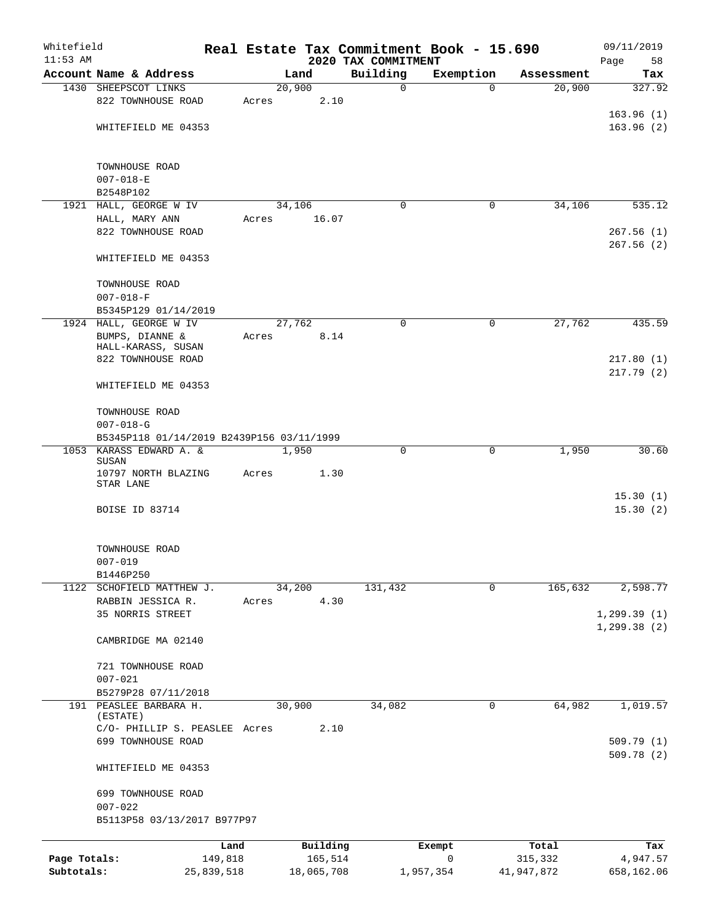| Whitefield   |                                           |            |       |        |            |                                 | Real Estate Tax Commitment Book - 15.690 |            | 09/11/2019              |
|--------------|-------------------------------------------|------------|-------|--------|------------|---------------------------------|------------------------------------------|------------|-------------------------|
| $11:53$ AM   | Account Name & Address                    |            |       | Land   |            | 2020 TAX COMMITMENT<br>Building | Exemption                                | Assessment | Page<br>58<br>Tax       |
|              | 1430 SHEEPSCOT LINKS                      |            |       | 20,900 |            | 0                               | $\Omega$                                 | 20,900     | 327.92                  |
|              | 822 TOWNHOUSE ROAD                        |            | Acres |        | 2.10       |                                 |                                          |            |                         |
|              |                                           |            |       |        |            |                                 |                                          |            | 163.96(1)               |
|              | WHITEFIELD ME 04353                       |            |       |        |            |                                 |                                          |            | 163.96(2)               |
|              | TOWNHOUSE ROAD                            |            |       |        |            |                                 |                                          |            |                         |
|              | $007 - 018 - E$                           |            |       |        |            |                                 |                                          |            |                         |
|              | B2548P102                                 |            |       |        |            |                                 |                                          |            |                         |
|              | 1921 HALL, GEORGE W IV                    |            |       | 34,106 |            | 0                               | 0                                        | 34,106     | 535.12                  |
|              | HALL, MARY ANN<br>822 TOWNHOUSE ROAD      |            | Acres |        | 16.07      |                                 |                                          |            | 267.56(1)               |
|              | WHITEFIELD ME 04353                       |            |       |        |            |                                 |                                          |            | 267.56(2)               |
|              |                                           |            |       |        |            |                                 |                                          |            |                         |
|              | TOWNHOUSE ROAD<br>$007 - 018 - F$         |            |       |        |            |                                 |                                          |            |                         |
|              | B5345P129 01/14/2019                      |            |       |        |            |                                 |                                          |            |                         |
|              | 1924 HALL, GEORGE W IV                    |            |       | 27,762 |            | $\mathbf 0$                     | $\mathbf 0$                              | 27,762     | 435.59                  |
|              | BUMPS, DIANNE &                           |            | Acres |        | 8.14       |                                 |                                          |            |                         |
|              | HALL-KARASS, SUSAN<br>822 TOWNHOUSE ROAD  |            |       |        |            |                                 |                                          |            | 217.80(1)               |
|              |                                           |            |       |        |            |                                 |                                          |            | 217.79(2)               |
|              | WHITEFIELD ME 04353                       |            |       |        |            |                                 |                                          |            |                         |
|              | TOWNHOUSE ROAD                            |            |       |        |            |                                 |                                          |            |                         |
|              | $007 - 018 - G$                           |            |       |        |            |                                 |                                          |            |                         |
|              | B5345P118 01/14/2019 B2439P156 03/11/1999 |            |       |        |            |                                 |                                          |            |                         |
| 1053         | KARASS EDWARD A. &<br>SUSAN               |            |       | 1,950  |            | 0                               | $\mathbf 0$                              | 1,950      | 30.60                   |
|              | 10797 NORTH BLAZING                       |            | Acres |        | 1.30       |                                 |                                          |            |                         |
|              | STAR LANE                                 |            |       |        |            |                                 |                                          |            | 15.30(1)                |
|              | BOISE ID 83714                            |            |       |        |            |                                 |                                          |            | 15.30(2)                |
|              |                                           |            |       |        |            |                                 |                                          |            |                         |
|              | TOWNHOUSE ROAD                            |            |       |        |            |                                 |                                          |            |                         |
|              | $007 - 019$<br>B1446P250                  |            |       |        |            |                                 |                                          |            |                         |
|              | 1122 SCHOFIELD MATTHEW J.                 |            |       | 34,200 |            | 131,432                         | $\mathbf 0$                              | 165,632    | 2,598.77                |
|              | RABBIN JESSICA R.                         |            | Acres |        | 4.30       |                                 |                                          |            |                         |
|              | 35 NORRIS STREET                          |            |       |        |            |                                 |                                          |            | 1, 299.39(1)            |
|              | CAMBRIDGE MA 02140                        |            |       |        |            |                                 |                                          |            | 1, 299.38(2)            |
|              | 721 TOWNHOUSE ROAD                        |            |       |        |            |                                 |                                          |            |                         |
|              | $007 - 021$                               |            |       |        |            |                                 |                                          |            |                         |
|              | B5279P28 07/11/2018                       |            |       |        |            |                                 |                                          |            |                         |
|              | 191 PEASLEE BARBARA H.<br>(ESTATE)        |            |       | 30,900 |            | 34,082                          | 0                                        | 64,982     | 1,019.57                |
|              | C/O- PHILLIP S. PEASLEE Acres             |            |       |        | 2.10       |                                 |                                          |            |                         |
|              | 699 TOWNHOUSE ROAD                        |            |       |        |            |                                 |                                          |            | 509.79(1)<br>509.78 (2) |
|              | WHITEFIELD ME 04353                       |            |       |        |            |                                 |                                          |            |                         |
|              | 699 TOWNHOUSE ROAD<br>$007 - 022$         |            |       |        |            |                                 |                                          |            |                         |
|              | B5113P58 03/13/2017 B977P97               |            |       |        |            |                                 |                                          |            |                         |
|              |                                           | Land       |       |        | Building   |                                 | Exempt                                   | Total      | Tax                     |
| Page Totals: |                                           | 149,818    |       |        | 165,514    |                                 | 0                                        | 315,332    | 4,947.57                |
| Subtotals:   |                                           | 25,839,518 |       |        | 18,065,708 |                                 | 1,957,354                                | 41,947,872 | 658,162.06              |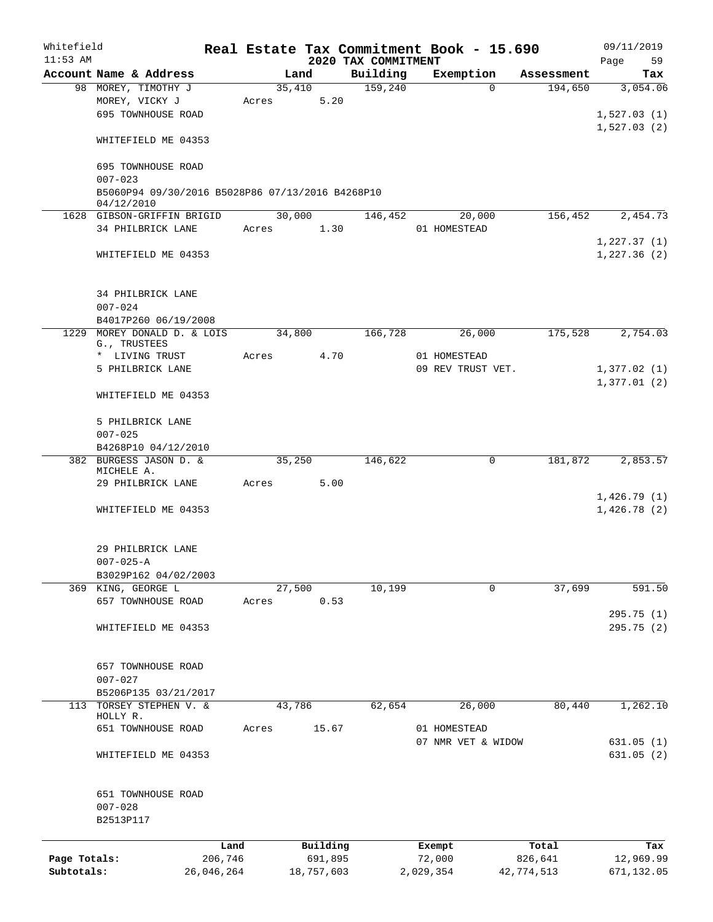| Whitefield<br>$11:53$ AM |                                                  |            |       |            | 2020 TAX COMMITMENT |           | Real Estate Tax Commitment Book - 15.690 |            | 09/11/2019        |
|--------------------------|--------------------------------------------------|------------|-------|------------|---------------------|-----------|------------------------------------------|------------|-------------------|
|                          | Account Name & Address                           |            |       | Land       | Building            |           | Exemption                                | Assessment | 59<br>Page<br>Tax |
|                          | 98 MOREY, TIMOTHY J                              |            |       | 35,410     | 159,240             |           | $\Omega$                                 | 194,650    | 3,054.06          |
|                          | MOREY, VICKY J                                   |            | Acres | 5.20       |                     |           |                                          |            |                   |
|                          | 695 TOWNHOUSE ROAD                               |            |       |            |                     |           |                                          |            | 1,527.03(1)       |
|                          |                                                  |            |       |            |                     |           |                                          |            | 1,527.03(2)       |
|                          | WHITEFIELD ME 04353                              |            |       |            |                     |           |                                          |            |                   |
|                          | 695 TOWNHOUSE ROAD                               |            |       |            |                     |           |                                          |            |                   |
|                          | $007 - 023$                                      |            |       |            |                     |           |                                          |            |                   |
|                          | B5060P94 09/30/2016 B5028P86 07/13/2016 B4268P10 |            |       |            |                     |           |                                          |            |                   |
|                          | 04/12/2010<br>1628 GIBSON-GRIFFIN BRIGID         |            |       | 30,000     | 146,452             |           | 20,000                                   | 156,452    | 2,454.73          |
|                          | 34 PHILBRICK LANE                                |            | Acres | 1.30       |                     |           | 01 HOMESTEAD                             |            |                   |
|                          |                                                  |            |       |            |                     |           |                                          |            | 1,227.37(1)       |
|                          | WHITEFIELD ME 04353                              |            |       |            |                     |           |                                          |            | 1,227.36(2)       |
|                          |                                                  |            |       |            |                     |           |                                          |            |                   |
|                          | 34 PHILBRICK LANE<br>$007 - 024$                 |            |       |            |                     |           |                                          |            |                   |
|                          | B4017P260 06/19/2008                             |            |       |            |                     |           |                                          |            |                   |
|                          | 1229 MOREY DONALD D. & LOIS                      |            |       | 34,800     | 166,728             |           | 26,000                                   | 175,528    | 2,754.03          |
|                          | G., TRUSTEES                                     |            |       |            |                     |           |                                          |            |                   |
|                          | * LIVING TRUST                                   |            | Acres | 4.70       |                     |           | 01 HOMESTEAD                             |            |                   |
|                          | 5 PHILBRICK LANE                                 |            |       |            |                     |           | 09 REV TRUST VET.                        |            | 1,377.02(1)       |
|                          |                                                  |            |       |            |                     |           |                                          |            | 1,377.01(2)       |
|                          | WHITEFIELD ME 04353                              |            |       |            |                     |           |                                          |            |                   |
|                          | 5 PHILBRICK LANE                                 |            |       |            |                     |           |                                          |            |                   |
|                          | $007 - 025$                                      |            |       |            |                     |           |                                          |            |                   |
|                          | B4268P10 04/12/2010                              |            |       |            |                     |           |                                          |            |                   |
|                          | 382 BURGESS JASON D. &<br>MICHELE A.             |            |       | 35,250     | 146,622             |           | 0                                        | 181,872    | 2,853.57          |
|                          | 29 PHILBRICK LANE                                |            | Acres | 5.00       |                     |           |                                          |            |                   |
|                          |                                                  |            |       |            |                     |           |                                          |            | 1,426.79(1)       |
|                          | WHITEFIELD ME 04353                              |            |       |            |                     |           |                                          |            | 1,426.78(2)       |
|                          | 29 PHILBRICK LANE                                |            |       |            |                     |           |                                          |            |                   |
|                          |                                                  |            |       |            |                     |           |                                          |            |                   |
|                          | $007 - 025 - A$<br>B3029P162 04/02/2003          |            |       |            |                     |           |                                          |            |                   |
|                          | 369 KING, GEORGE L                               |            |       | 27,500     | 10,199              |           | 0                                        | 37,699     | 591.50            |
|                          | 657 TOWNHOUSE ROAD                               |            | Acres | 0.53       |                     |           |                                          |            |                   |
|                          |                                                  |            |       |            |                     |           |                                          |            | 295.75(1)         |
|                          | WHITEFIELD ME 04353                              |            |       |            |                     |           |                                          |            | 295.75 (2)        |
|                          |                                                  |            |       |            |                     |           |                                          |            |                   |
|                          | 657 TOWNHOUSE ROAD                               |            |       |            |                     |           |                                          |            |                   |
|                          | $007 - 027$                                      |            |       |            |                     |           |                                          |            |                   |
|                          | B5206P135 03/21/2017                             |            |       |            |                     |           |                                          |            |                   |
| 113                      | TORSEY STEPHEN V. &<br>HOLLY R.                  |            |       | 43,786     | 62,654              |           | 26,000                                   | 80,440     | 1,262.10          |
|                          | 651 TOWNHOUSE ROAD                               |            | Acres | 15.67      |                     |           | 01 HOMESTEAD                             |            |                   |
|                          |                                                  |            |       |            |                     |           | 07 NMR VET & WIDOW                       |            | 631.05 (1)        |
|                          | WHITEFIELD ME 04353                              |            |       |            |                     |           |                                          |            | 631.05(2)         |
|                          |                                                  |            |       |            |                     |           |                                          |            |                   |
|                          | 651 TOWNHOUSE ROAD                               |            |       |            |                     |           |                                          |            |                   |
|                          | $007 - 028$<br>B2513P117                         |            |       |            |                     |           |                                          |            |                   |
|                          |                                                  |            |       |            |                     |           |                                          |            |                   |
|                          |                                                  | Land       |       | Building   |                     |           | Exempt                                   | Total      | Tax               |
| Page Totals:             |                                                  | 206,746    |       | 691,895    |                     |           | 72,000                                   | 826,641    | 12,969.99         |
| Subtotals:               |                                                  | 26,046,264 |       | 18,757,603 |                     | 2,029,354 |                                          | 42,774,513 | 671,132.05        |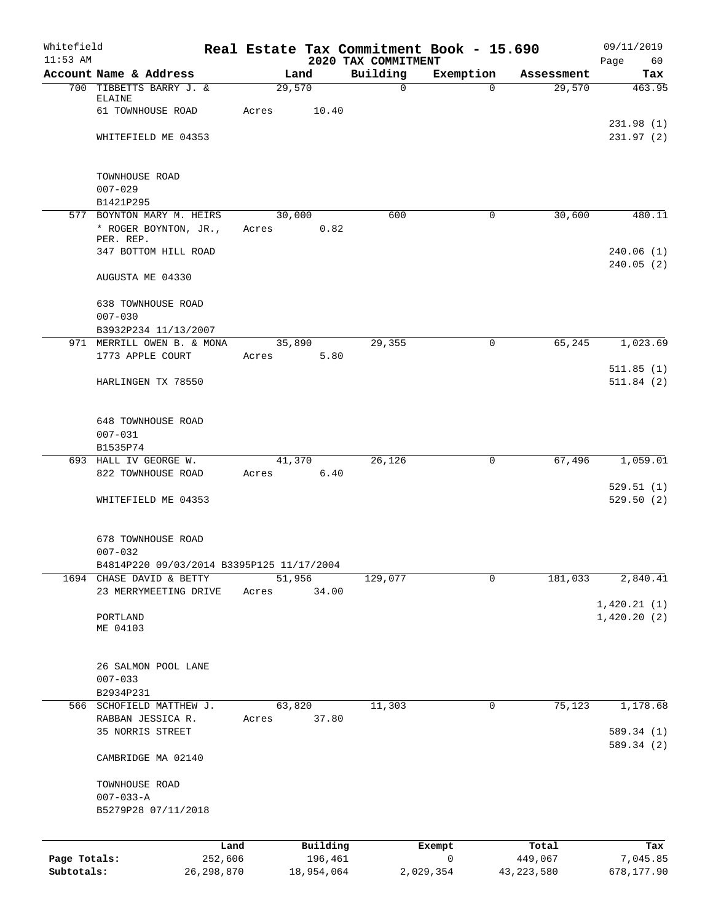| Whitefield<br>$11:53$ AM |                                           |         |        |            | 2020 TAX COMMITMENT | Real Estate Tax Commitment Book - 15.690 |              | 09/11/2019<br>Page<br>60 |
|--------------------------|-------------------------------------------|---------|--------|------------|---------------------|------------------------------------------|--------------|--------------------------|
|                          | Account Name & Address                    |         | Land   |            | Building            | Exemption                                | Assessment   | Tax                      |
|                          | 700 TIBBETTS BARRY J. &                   |         | 29,570 |            | $\mathsf{O}$        | $\Omega$                                 | 29,570       | 463.95                   |
|                          | <b>ELAINE</b>                             |         |        |            |                     |                                          |              |                          |
|                          | 61 TOWNHOUSE ROAD                         |         | Acres  | 10.40      |                     |                                          |              |                          |
|                          |                                           |         |        |            |                     |                                          |              | 231.98(1)                |
|                          | WHITEFIELD ME 04353                       |         |        |            |                     |                                          |              | 231.97(2)                |
|                          |                                           |         |        |            |                     |                                          |              |                          |
|                          | TOWNHOUSE ROAD<br>$007 - 029$             |         |        |            |                     |                                          |              |                          |
|                          | B1421P295                                 |         |        |            |                     |                                          |              |                          |
|                          | 577 BOYNTON MARY M. HEIRS                 |         | 30,000 |            | 600                 | 0                                        | 30,600       | 480.11                   |
|                          | * ROGER BOYNTON, JR.,                     |         | Acres  | 0.82       |                     |                                          |              |                          |
|                          | PER. REP.                                 |         |        |            |                     |                                          |              |                          |
|                          | 347 BOTTOM HILL ROAD                      |         |        |            |                     |                                          |              | 240.06(1)                |
|                          | AUGUSTA ME 04330                          |         |        |            |                     |                                          |              | 240.05(2)                |
|                          |                                           |         |        |            |                     |                                          |              |                          |
|                          | 638 TOWNHOUSE ROAD                        |         |        |            |                     |                                          |              |                          |
|                          | $007 - 030$                               |         |        |            |                     |                                          |              |                          |
|                          | B3932P234 11/13/2007                      |         |        |            |                     |                                          |              |                          |
|                          | 971 MERRILL OWEN B. & MONA                |         | 35,890 |            | 29,355              | $\mathbf 0$                              | 65,245       | 1,023.69                 |
|                          | 1773 APPLE COURT                          |         | Acres  | 5.80       |                     |                                          |              | 511.85(1)                |
|                          | HARLINGEN TX 78550                        |         |        |            |                     |                                          |              | 511.84(2)                |
|                          |                                           |         |        |            |                     |                                          |              |                          |
|                          |                                           |         |        |            |                     |                                          |              |                          |
|                          | <b>648 TOWNHOUSE ROAD</b>                 |         |        |            |                     |                                          |              |                          |
|                          | $007 - 031$<br>B1535P74                   |         |        |            |                     |                                          |              |                          |
|                          | 693 HALL IV GEORGE W.                     |         | 41,370 |            | 26,126              | 0                                        | 67,496       | 1,059.01                 |
|                          | 822 TOWNHOUSE ROAD                        |         | Acres  | 6.40       |                     |                                          |              |                          |
|                          |                                           |         |        |            |                     |                                          |              | 529.51(1)                |
|                          | WHITEFIELD ME 04353                       |         |        |            |                     |                                          |              | 529.50(2)                |
|                          |                                           |         |        |            |                     |                                          |              |                          |
|                          | 678 TOWNHOUSE ROAD                        |         |        |            |                     |                                          |              |                          |
|                          | $007 - 032$                               |         |        |            |                     |                                          |              |                          |
|                          | B4814P220 09/03/2014 B3395P125 11/17/2004 |         |        |            |                     |                                          |              |                          |
|                          | 1694 CHASE DAVID & BETTY                  |         | 51,956 |            | 129,077             | 0                                        | 181,033      | 2,840.41                 |
|                          | 23 MERRYMEETING DRIVE                     |         | Acres  | 34.00      |                     |                                          |              |                          |
|                          |                                           |         |        |            |                     |                                          |              | 1,420.21(1)              |
|                          | PORTLAND                                  |         |        |            |                     |                                          |              | 1,420.20(2)              |
|                          | ME 04103                                  |         |        |            |                     |                                          |              |                          |
|                          |                                           |         |        |            |                     |                                          |              |                          |
|                          | 26 SALMON POOL LANE                       |         |        |            |                     |                                          |              |                          |
|                          | $007 - 033$                               |         |        |            |                     |                                          |              |                          |
|                          | B2934P231                                 |         |        |            |                     |                                          |              |                          |
|                          | 566 SCHOFIELD MATTHEW J.                  |         | 63,820 |            | 11,303              | 0                                        | 75,123       | 1,178.68                 |
|                          | RABBAN JESSICA R.                         |         | Acres  | 37.80      |                     |                                          |              |                          |
|                          | 35 NORRIS STREET                          |         |        |            |                     |                                          |              | 589.34 (1)               |
|                          | CAMBRIDGE MA 02140                        |         |        |            |                     |                                          |              | 589.34 (2)               |
|                          |                                           |         |        |            |                     |                                          |              |                          |
|                          | TOWNHOUSE ROAD                            |         |        |            |                     |                                          |              |                          |
|                          | $007 - 033 - A$                           |         |        |            |                     |                                          |              |                          |
|                          | B5279P28 07/11/2018                       |         |        |            |                     |                                          |              |                          |
|                          |                                           |         |        |            |                     |                                          |              |                          |
|                          |                                           | Land    |        | Building   |                     | Exempt                                   | Total        | Tax                      |
| Page Totals:             |                                           | 252,606 |        | 196,461    |                     | $\mathsf{O}$                             | 449,067      | 7,045.85                 |
| Subtotals:               | 26, 298, 870                              |         |        | 18,954,064 |                     | 2,029,354                                | 43, 223, 580 | 678,177.90               |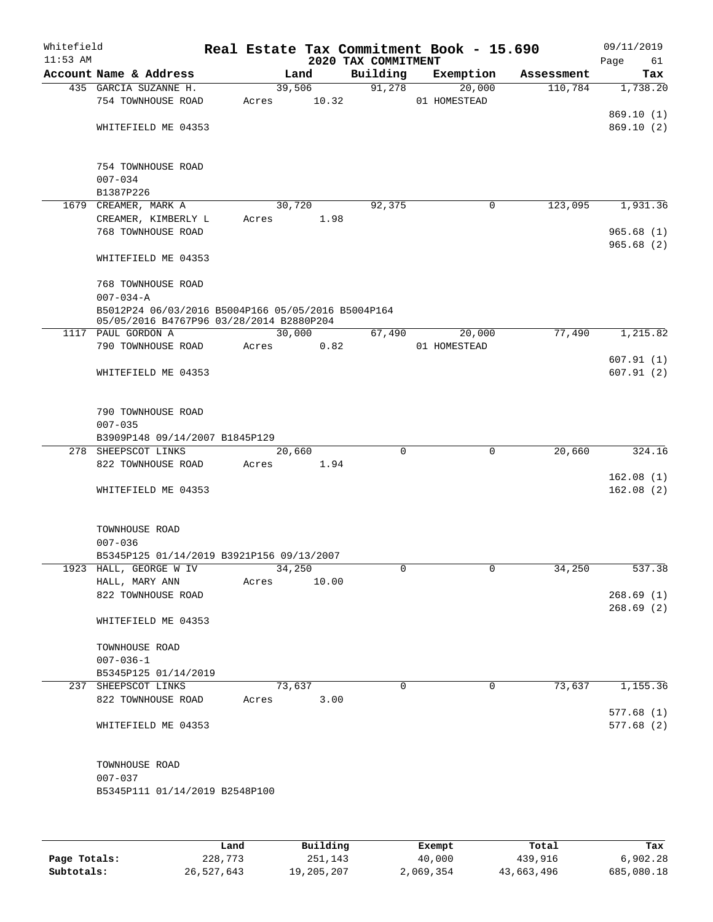| Whitefield<br>$11:53$ AM |                                                    |       |        | 2020 TAX COMMITMENT | Real Estate Tax Commitment Book - 15.690 |            | 09/11/2019        |
|--------------------------|----------------------------------------------------|-------|--------|---------------------|------------------------------------------|------------|-------------------|
|                          | Account Name & Address                             |       | Land   | Building            | Exemption                                | Assessment | Page<br>61<br>Tax |
|                          | 435 GARCIA SUZANNE H.                              |       | 39,506 | 91,278              | 20,000                                   | 110,784    | 1,738.20          |
|                          | 754 TOWNHOUSE ROAD                                 | Acres | 10.32  |                     | 01 HOMESTEAD                             |            |                   |
|                          |                                                    |       |        |                     |                                          |            | 869.10(1)         |
|                          | WHITEFIELD ME 04353                                |       |        |                     |                                          |            | 869.10(2)         |
|                          |                                                    |       |        |                     |                                          |            |                   |
|                          | 754 TOWNHOUSE ROAD                                 |       |        |                     |                                          |            |                   |
|                          | $007 - 034$                                        |       |        |                     |                                          |            |                   |
|                          | B1387P226                                          |       |        |                     |                                          |            |                   |
|                          | 1679 CREAMER, MARK A                               |       | 30,720 | 92,375              | 0                                        | 123,095    | 1,931.36          |
|                          | CREAMER, KIMBERLY L                                | Acres | 1.98   |                     |                                          |            |                   |
|                          | 768 TOWNHOUSE ROAD                                 |       |        |                     |                                          |            | 965.68(1)         |
|                          |                                                    |       |        |                     |                                          |            | 965.68(2)         |
|                          | WHITEFIELD ME 04353                                |       |        |                     |                                          |            |                   |
|                          | 768 TOWNHOUSE ROAD                                 |       |        |                     |                                          |            |                   |
|                          | $007 - 034 - A$                                    |       |        |                     |                                          |            |                   |
|                          | B5012P24 06/03/2016 B5004P166 05/05/2016 B5004P164 |       |        |                     |                                          |            |                   |
|                          | 05/05/2016 B4767P96 03/28/2014 B2880P204           |       |        |                     |                                          |            |                   |
|                          | 1117 PAUL GORDON A                                 |       | 30,000 | 67,490              | 20,000                                   | 77,490     | 1,215.82          |
|                          | 790 TOWNHOUSE ROAD                                 | Acres | 0.82   |                     | 01 HOMESTEAD                             |            |                   |
|                          |                                                    |       |        |                     |                                          |            | 607.91(1)         |
|                          | WHITEFIELD ME 04353                                |       |        |                     |                                          |            | 607.91(2)         |
|                          |                                                    |       |        |                     |                                          |            |                   |
|                          | 790 TOWNHOUSE ROAD                                 |       |        |                     |                                          |            |                   |
|                          | $007 - 035$                                        |       |        |                     |                                          |            |                   |
|                          | B3909P148 09/14/2007 B1845P129                     |       |        |                     |                                          |            |                   |
|                          | 278 SHEEPSCOT LINKS                                |       | 20,660 | $\mathbf 0$         | $\mathbf 0$                              | 20,660     | 324.16            |
|                          | 822 TOWNHOUSE ROAD                                 | Acres | 1.94   |                     |                                          |            |                   |
|                          |                                                    |       |        |                     |                                          |            | 162.08(1)         |
|                          | WHITEFIELD ME 04353                                |       |        |                     |                                          |            | 162.08(2)         |
|                          |                                                    |       |        |                     |                                          |            |                   |
|                          | TOWNHOUSE ROAD                                     |       |        |                     |                                          |            |                   |
|                          | $007 - 036$                                        |       |        |                     |                                          |            |                   |
|                          | B5345P125 01/14/2019 B3921P156 09/13/2007          |       |        |                     |                                          |            |                   |
|                          | 1923 HALL, GEORGE W IV                             |       | 34,250 | 0                   | 0                                        | 34,250     | 537.38            |
|                          | HALL, MARY ANN<br>822 TOWNHOUSE ROAD               | Acres | 10.00  |                     |                                          |            | 268.69(1)         |
|                          |                                                    |       |        |                     |                                          |            | 268.69(2)         |
|                          | WHITEFIELD ME 04353                                |       |        |                     |                                          |            |                   |
|                          | TOWNHOUSE ROAD                                     |       |        |                     |                                          |            |                   |
|                          | $007 - 036 - 1$                                    |       |        |                     |                                          |            |                   |
|                          | B5345P125 01/14/2019                               |       |        |                     |                                          |            |                   |
|                          | 237 SHEEPSCOT LINKS                                |       | 73,637 | 0                   | 0                                        | 73,637     | 1,155.36          |
|                          | 822 TOWNHOUSE ROAD                                 | Acres | 3.00   |                     |                                          |            |                   |
|                          |                                                    |       |        |                     |                                          |            | 577.68(1)         |
|                          | WHITEFIELD ME 04353                                |       |        |                     |                                          |            | 577.68(2)         |
|                          |                                                    |       |        |                     |                                          |            |                   |
|                          | TOWNHOUSE ROAD                                     |       |        |                     |                                          |            |                   |
|                          | $007 - 037$                                        |       |        |                     |                                          |            |                   |
|                          | B5345P111 01/14/2019 B2548P100                     |       |        |                     |                                          |            |                   |
|                          |                                                    |       |        |                     |                                          |            |                   |
|                          |                                                    |       |        |                     |                                          |            |                   |
|                          |                                                    |       |        |                     |                                          |            |                   |

|              | Land       | Building   | Exempt    | Total      | Tax        |
|--------------|------------|------------|-----------|------------|------------|
| Page Totals: | 228,773    | 251,143    | 40,000    | 439,916    | 6.902.28   |
| Subtotals:   | 26,527,643 | 19,205,207 | 2,069,354 | 43,663,496 | 685,080.18 |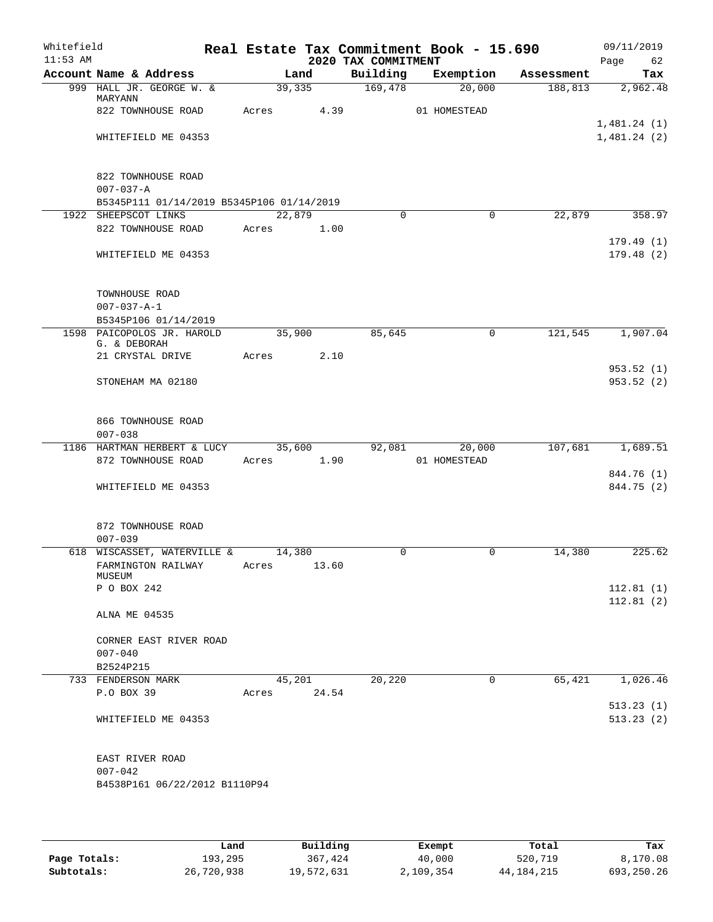| Whitefield<br>$11:53$ AM |                                                               |       |                         | 2020 TAX COMMITMENT | Real Estate Tax Commitment Book - 15.690 |            | 09/11/2019<br>Page<br>62 |
|--------------------------|---------------------------------------------------------------|-------|-------------------------|---------------------|------------------------------------------|------------|--------------------------|
|                          | Account Name & Address                                        |       | Land                    | Building            | Exemption                                | Assessment | Tax                      |
|                          | 999 HALL JR. GEORGE W. &<br>MARYANN                           |       | 39,335                  | 169,478             | 20,000                                   | 188,813    | 2,962.48                 |
|                          | 822 TOWNHOUSE ROAD                                            | Acres | 4.39                    |                     | 01 HOMESTEAD                             |            | 1,481.24(1)              |
|                          | WHITEFIELD ME 04353                                           |       |                         |                     |                                          |            | 1,481.24(2)              |
|                          | 822 TOWNHOUSE ROAD<br>$007 - 037 - A$                         |       |                         |                     |                                          |            |                          |
|                          | B5345P111 01/14/2019 B5345P106 01/14/2019                     |       |                         |                     |                                          |            |                          |
|                          | 1922 SHEEPSCOT LINKS<br>822 TOWNHOUSE ROAD                    |       | 22,879<br>Acres<br>1.00 | $\Omega$            | $\Omega$                                 | 22,879     | 358.97                   |
|                          | WHITEFIELD ME 04353                                           |       |                         |                     |                                          |            | 179.49(1)<br>179.48(2)   |
|                          | TOWNHOUSE ROAD<br>$007 - 037 - A - 1$<br>B5345P106 01/14/2019 |       |                         |                     |                                          |            |                          |
|                          | 1598 PAICOPOLOS JR. HAROLD<br>G. & DEBORAH                    |       | 35,900                  | 85,645              | 0                                        | 121,545    | 1,907.04                 |
|                          | 21 CRYSTAL DRIVE                                              | Acres | 2.10                    |                     |                                          |            |                          |
|                          | STONEHAM MA 02180                                             |       |                         |                     |                                          |            | 953.52(1)<br>953.52(2)   |
|                          |                                                               |       |                         |                     |                                          |            |                          |
|                          | 866 TOWNHOUSE ROAD<br>$007 - 038$                             |       |                         |                     |                                          |            |                          |
|                          | 1186 HARTMAN HERBERT & LUCY                                   |       | 35,600                  | 92,081              | 20,000                                   | 107,681    | 1,689.51                 |
|                          | 872 TOWNHOUSE ROAD                                            | Acres | 1.90                    |                     | 01 HOMESTEAD                             |            |                          |
|                          | WHITEFIELD ME 04353                                           |       |                         |                     |                                          |            | 844.76 (1)<br>844.75 (2) |
|                          | 872 TOWNHOUSE ROAD<br>$007 - 039$                             |       |                         |                     |                                          |            |                          |
|                          | 618 WISCASSET, WATERVILLE &                                   |       | 14,380                  | 0                   | 0                                        | 14,380     | 225.62                   |
|                          | FARMINGTON RAILWAY<br>MUSEUM                                  | Acres | 13.60                   |                     |                                          |            |                          |
|                          | P O BOX 242                                                   |       |                         |                     |                                          |            | 112.81(1)<br>112.81(2)   |
|                          | ALNA ME 04535                                                 |       |                         |                     |                                          |            |                          |
|                          | CORNER EAST RIVER ROAD<br>$007 - 040$                         |       |                         |                     |                                          |            |                          |
|                          | B2524P215                                                     |       |                         |                     |                                          |            |                          |
|                          | 733 FENDERSON MARK                                            |       | 45,201                  | 20,220              | 0                                        | 65,421     | 1,026.46                 |
|                          | P.O BOX 39                                                    | Acres | 24.54                   |                     |                                          |            |                          |
|                          | WHITEFIELD ME 04353                                           |       |                         |                     |                                          |            | 513.23(1)<br>513.23(2)   |
|                          | EAST RIVER ROAD                                               |       |                         |                     |                                          |            |                          |
|                          | $007 - 042$                                                   |       |                         |                     |                                          |            |                          |
|                          | B4538P161 06/22/2012 B1110P94                                 |       |                         |                     |                                          |            |                          |
|                          |                                                               |       |                         |                     |                                          |            |                          |

|              | Land       | Building   | Exempt    | Total        | Tax        |
|--------------|------------|------------|-----------|--------------|------------|
| Page Totals: | 193,295    | 367,424    | 40,000    | 520,719      | 8,170.08   |
| Subtotals:   | 26,720,938 | 19,572,631 | 2,109,354 | 44, 184, 215 | 693,250.26 |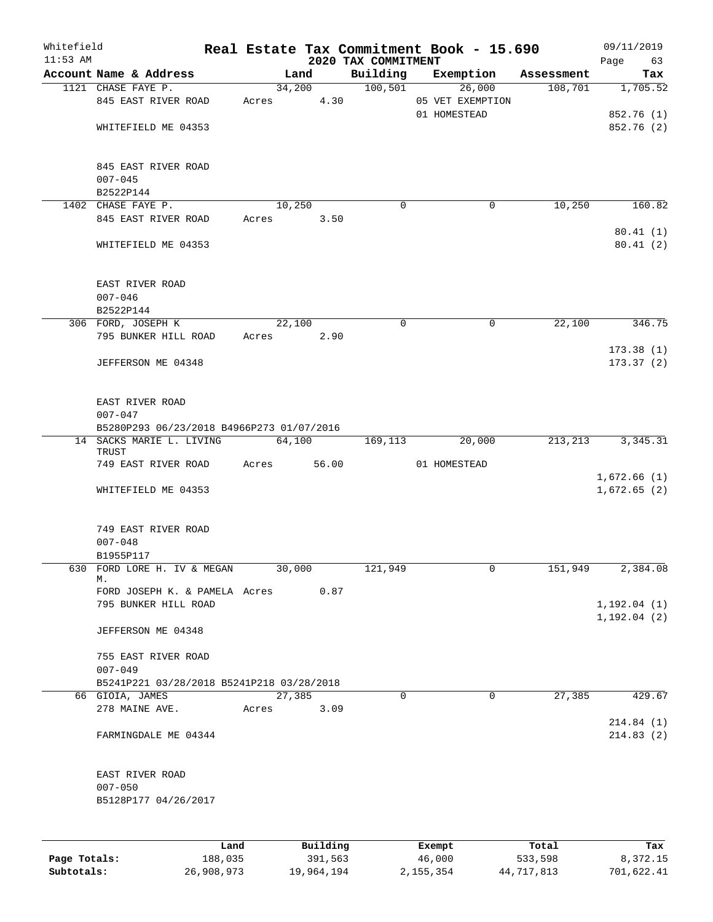| Whitefield<br>$11:53$ AM |                                           |       |        |          | 2020 TAX COMMITMENT | Real Estate Tax Commitment Book - 15.690 |            | 09/11/2019<br>Page<br>63 |
|--------------------------|-------------------------------------------|-------|--------|----------|---------------------|------------------------------------------|------------|--------------------------|
|                          | Account Name & Address                    |       | Land   |          | Building            | Exemption                                | Assessment | Tax                      |
|                          | 1121 CHASE FAYE P.                        |       |        | 34,200   | 100,501             | 26,000                                   | 108,701    | 1,705.52                 |
|                          | 845 EAST RIVER ROAD                       | Acres |        | 4.30     |                     | 05 VET EXEMPTION                         |            |                          |
|                          |                                           |       |        |          |                     | 01 HOMESTEAD                             |            | 852.76 (1)               |
|                          | WHITEFIELD ME 04353                       |       |        |          |                     |                                          |            | 852.76 (2)               |
|                          |                                           |       |        |          |                     |                                          |            |                          |
|                          | 845 EAST RIVER ROAD                       |       |        |          |                     |                                          |            |                          |
|                          | $007 - 045$                               |       |        |          |                     |                                          |            |                          |
|                          | B2522P144                                 |       |        |          |                     |                                          |            |                          |
|                          | 1402 CHASE FAYE P.                        |       | 10,250 |          | $\Omega$            | 0                                        | 10,250     | 160.82                   |
|                          | 845 EAST RIVER ROAD                       | Acres |        | 3.50     |                     |                                          |            |                          |
|                          |                                           |       |        |          |                     |                                          |            | 80.41(1)                 |
|                          | WHITEFIELD ME 04353                       |       |        |          |                     |                                          |            | 80.41(2)                 |
|                          | EAST RIVER ROAD                           |       |        |          |                     |                                          |            |                          |
|                          | $007 - 046$                               |       |        |          |                     |                                          |            |                          |
|                          | B2522P144                                 |       |        |          |                     |                                          |            |                          |
|                          | 306 FORD, JOSEPH K                        |       | 22,100 |          | 0                   | 0                                        | 22,100     | 346.75                   |
|                          | 795 BUNKER HILL ROAD                      |       |        |          |                     |                                          |            |                          |
|                          |                                           | Acres |        | 2.90     |                     |                                          |            |                          |
|                          |                                           |       |        |          |                     |                                          |            | 173.38(1)                |
|                          | JEFFERSON ME 04348                        |       |        |          |                     |                                          |            | 173.37(2)                |
|                          | EAST RIVER ROAD                           |       |        |          |                     |                                          |            |                          |
|                          | $007 - 047$                               |       |        |          |                     |                                          |            |                          |
|                          | B5280P293 06/23/2018 B4966P273 01/07/2016 |       |        |          |                     |                                          |            |                          |
|                          | 14 SACKS MARIE L. LIVING                  |       | 64,100 |          | 169,113             | 20,000                                   | 213, 213   | 3, 345. 31               |
|                          | TRUST                                     |       |        |          |                     |                                          |            |                          |
|                          | 749 EAST RIVER ROAD                       | Acres |        | 56.00    |                     | 01 HOMESTEAD                             |            | 1,672.66(1)              |
|                          | WHITEFIELD ME 04353                       |       |        |          |                     |                                          |            | 1,672.65(2)              |
|                          | 749 EAST RIVER ROAD                       |       |        |          |                     |                                          |            |                          |
|                          | $007 - 048$                               |       |        |          |                     |                                          |            |                          |
|                          | B1955P117                                 |       |        |          |                     |                                          |            |                          |
|                          | 630 FORD LORE H. IV & MEGAN               |       | 30,000 |          | 121,949             | 0                                        | 151,949    | 2,384.08                 |
|                          | М.                                        |       |        |          |                     |                                          |            |                          |
|                          | FORD JOSEPH K. & PAMELA Acres             |       |        | 0.87     |                     |                                          |            |                          |
|                          | 795 BUNKER HILL ROAD                      |       |        |          |                     |                                          |            | 1, 192.04(1)             |
|                          |                                           |       |        |          |                     |                                          |            | 1, 192.04(2)             |
|                          | JEFFERSON ME 04348                        |       |        |          |                     |                                          |            |                          |
|                          | 755 EAST RIVER ROAD                       |       |        |          |                     |                                          |            |                          |
|                          | $007 - 049$                               |       |        |          |                     |                                          |            |                          |
|                          | B5241P221 03/28/2018 B5241P218 03/28/2018 |       |        |          |                     |                                          |            |                          |
|                          | 66 GIOIA, JAMES                           |       | 27,385 |          | 0                   | 0                                        | 27,385     | 429.67                   |
|                          | 278 MAINE AVE.                            |       | Acres  | 3.09     |                     |                                          |            |                          |
|                          |                                           |       |        |          |                     |                                          |            | 214.84(1)                |
|                          | FARMINGDALE ME 04344                      |       |        |          |                     |                                          |            | 214.83(2)                |
|                          | EAST RIVER ROAD                           |       |        |          |                     |                                          |            |                          |
|                          | $007 - 050$                               |       |        |          |                     |                                          |            |                          |
|                          | B5128P177 04/26/2017                      |       |        |          |                     |                                          |            |                          |
|                          |                                           |       |        |          |                     |                                          |            |                          |
|                          | Land                                      |       |        | Building |                     | Exempt                                   | Total      | Tax                      |

|              | nana       | <b>DULLULLY</b> | LACIUPL   | TOLAT      | 1 d.X      |
|--------------|------------|-----------------|-----------|------------|------------|
| Page Totals: | 188,035    | 391,563         | 46,000    | 533,598    | 8,372.15   |
| Subtotals:   | 26,908,973 | 19,964,194      | 2,155,354 | 44,717,813 | 701,622.41 |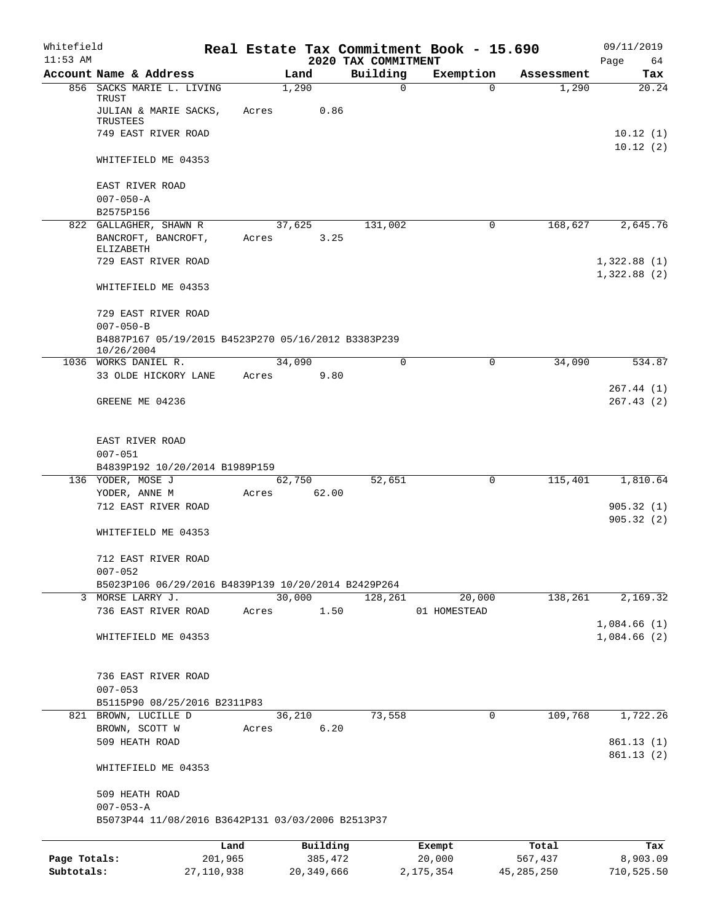| Whitefield<br>$11:53$ AM |                                                                        |            |       |              |                                 | Real Estate Tax Commitment Book - 15.690 |              | 09/11/2019                 |
|--------------------------|------------------------------------------------------------------------|------------|-------|--------------|---------------------------------|------------------------------------------|--------------|----------------------------|
|                          | Account Name & Address                                                 |            |       | Land         | 2020 TAX COMMITMENT<br>Building | Exemption                                | Assessment   | Page<br>64<br>Tax          |
|                          | 856 SACKS MARIE L. LIVING                                              |            |       | 1,290        |                                 | $\mathbf 0$<br>$\Omega$                  | 1,290        | 20.24                      |
|                          | TRUST<br>JULIAN & MARIE SACKS,<br>TRUSTEES                             |            | Acres | 0.86         |                                 |                                          |              |                            |
|                          | 749 EAST RIVER ROAD                                                    |            |       |              |                                 |                                          |              | 10.12(1)                   |
|                          | WHITEFIELD ME 04353                                                    |            |       |              |                                 |                                          |              | 10.12(2)                   |
|                          | EAST RIVER ROAD                                                        |            |       |              |                                 |                                          |              |                            |
|                          | $007 - 050 - A$                                                        |            |       |              |                                 |                                          |              |                            |
|                          | B2575P156                                                              |            |       |              |                                 |                                          |              |                            |
|                          | 822 GALLAGHER, SHAWN R                                                 |            |       | 37,625       | 131,002                         | 0                                        | 168,627      | 2,645.76                   |
|                          | BANCROFT, BANCROFT,<br>ELIZABETH                                       |            | Acres | 3.25         |                                 |                                          |              |                            |
|                          | 729 EAST RIVER ROAD                                                    |            |       |              |                                 |                                          |              | 1,322.88(1)<br>1,322.88(2) |
|                          | WHITEFIELD ME 04353                                                    |            |       |              |                                 |                                          |              |                            |
|                          | 729 EAST RIVER ROAD                                                    |            |       |              |                                 |                                          |              |                            |
|                          | $007 - 050 - B$<br>B4887P167 05/19/2015 B4523P270 05/16/2012 B3383P239 |            |       |              |                                 |                                          |              |                            |
|                          | 10/26/2004                                                             |            |       |              |                                 |                                          |              |                            |
|                          | 1036 WORKS DANIEL R.                                                   |            |       | 34,090       | 0                               | 0                                        | 34,090       | 534.87                     |
|                          | 33 OLDE HICKORY LANE                                                   |            | Acres | 9.80         |                                 |                                          |              | 267.44 (1)                 |
|                          | GREENE ME 04236                                                        |            |       |              |                                 |                                          |              | 267.43(2)                  |
|                          |                                                                        |            |       |              |                                 |                                          |              |                            |
|                          | EAST RIVER ROAD                                                        |            |       |              |                                 |                                          |              |                            |
|                          | $007 - 051$                                                            |            |       |              |                                 |                                          |              |                            |
|                          | B4839P192 10/20/2014 B1989P159                                         |            |       |              |                                 |                                          |              |                            |
|                          | 136 YODER, MOSE J                                                      |            |       | 62,750       | 52,651                          | 0                                        | 115,401      | 1,810.64                   |
|                          | YODER, ANNE M<br>712 EAST RIVER ROAD                                   |            | Acres | 62.00        |                                 |                                          |              | 905.32(1)                  |
|                          |                                                                        |            |       |              |                                 |                                          |              | 905.32(2)                  |
|                          | WHITEFIELD ME 04353                                                    |            |       |              |                                 |                                          |              |                            |
|                          | 712 EAST RIVER ROAD<br>$007 - 052$                                     |            |       |              |                                 |                                          |              |                            |
|                          | B5023P106 06/29/2016 B4839P139 10/20/2014 B2429P264                    |            |       |              |                                 |                                          |              |                            |
|                          | 3 MORSE LARRY J.                                                       |            |       | 30,000       | 128,261                         | 20,000                                   | 138,261      | 2,169.32                   |
|                          | 736 EAST RIVER ROAD                                                    |            | Acres | 1.50         |                                 | 01 HOMESTEAD                             |              |                            |
|                          |                                                                        |            |       |              |                                 |                                          |              | 1,084.66(1)                |
|                          | WHITEFIELD ME 04353                                                    |            |       |              |                                 |                                          |              | 1,084.66(2)                |
|                          | 736 EAST RIVER ROAD                                                    |            |       |              |                                 |                                          |              |                            |
|                          | $007 - 053$                                                            |            |       |              |                                 |                                          |              |                            |
|                          | B5115P90 08/25/2016 B2311P83                                           |            |       |              |                                 |                                          |              |                            |
|                          | 821 BROWN, LUCILLE D                                                   |            |       | 36,210       | 73,558                          | 0                                        | 109,768      | 1,722.26                   |
|                          | BROWN, SCOTT W                                                         |            | Acres | 6.20         |                                 |                                          |              |                            |
|                          | 509 HEATH ROAD                                                         |            |       |              |                                 |                                          |              | 861.13 (1)                 |
|                          | WHITEFIELD ME 04353                                                    |            |       |              |                                 |                                          |              | 861.13(2)                  |
|                          | 509 HEATH ROAD                                                         |            |       |              |                                 |                                          |              |                            |
|                          | $007 - 053 - A$<br>B5073P44 11/08/2016 B3642P131 03/03/2006 B2513P37   |            |       |              |                                 |                                          |              |                            |
|                          |                                                                        | Land       |       | Building     |                                 | Exempt                                   | Total        | Tax                        |
| Page Totals:             |                                                                        | 201,965    |       | 385,472      |                                 | 20,000                                   | 567,437      | 8,903.09                   |
| Subtotals:               |                                                                        | 27,110,938 |       | 20, 349, 666 |                                 | 2, 175, 354                              | 45, 285, 250 | 710,525.50                 |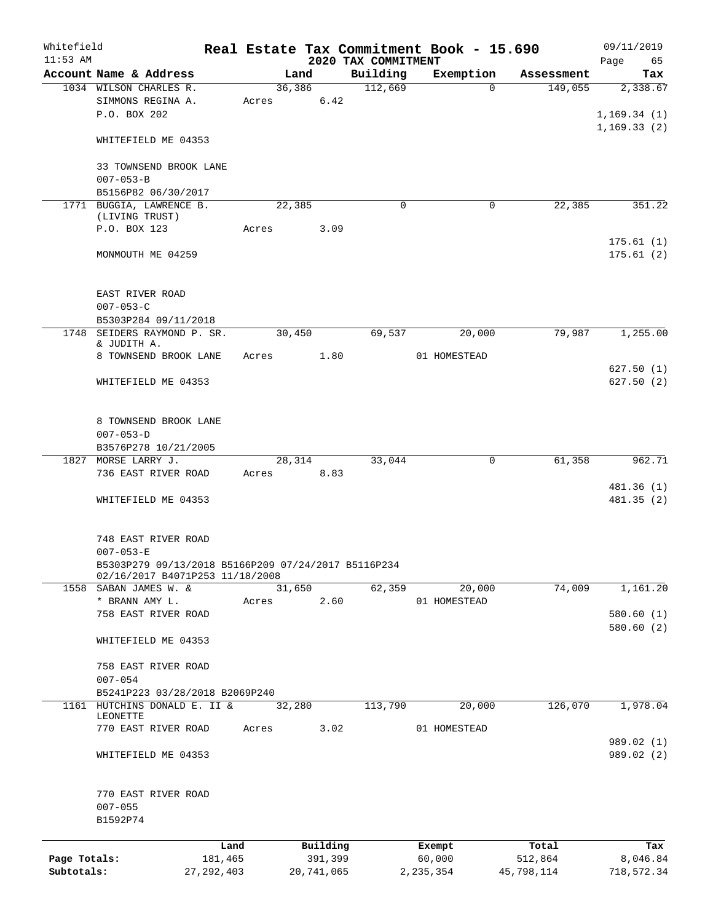| Whitefield<br>$11:53$ AM   |                                                                            |         |        |                       | 2020 TAX COMMITMENT  | Real Estate Tax Commitment Book - 15.690 |                       | 09/11/2019<br>65             |
|----------------------------|----------------------------------------------------------------------------|---------|--------|-----------------------|----------------------|------------------------------------------|-----------------------|------------------------------|
|                            | Account Name & Address                                                     |         | Land   |                       | Building             | Exemption                                | Assessment            | Page<br>Tax                  |
|                            | 1034 WILSON CHARLES R.                                                     |         | 36,386 |                       | 112,669              | $\Omega$                                 | 149,055               | 2,338.67                     |
|                            | SIMMONS REGINA A.<br>P.O. BOX 202                                          |         |        | Acres 6.42            |                      |                                          |                       | 1, 169.34(1)<br>1, 169.33(2) |
|                            | WHITEFIELD ME 04353                                                        |         |        |                       |                      |                                          |                       |                              |
|                            | 33 TOWNSEND BROOK LANE<br>$007 - 053 - B$                                  |         |        |                       |                      |                                          |                       |                              |
|                            | B5156P82 06/30/2017                                                        |         |        |                       |                      |                                          |                       |                              |
|                            | 1771 BUGGIA, LAWRENCE B.<br>(LIVING TRUST)                                 |         | 22,385 |                       | $\Omega$             | $\mathbf 0$                              | 22,385                | 351.22                       |
|                            | P.O. BOX 123                                                               |         | Acres  | 3.09                  |                      |                                          |                       |                              |
|                            |                                                                            |         |        |                       |                      |                                          |                       | 175.61(1)                    |
|                            | MONMOUTH ME 04259                                                          |         |        |                       |                      |                                          |                       | 175.61(2)                    |
|                            | EAST RIVER ROAD<br>$007 - 053 - C$                                         |         |        |                       |                      |                                          |                       |                              |
|                            | B5303P284 09/11/2018                                                       |         |        |                       |                      |                                          |                       |                              |
|                            | 1748 SEIDERS RAYMOND P. SR.                                                |         | 30,450 |                       | 69,537               | 20,000                                   | 79,987                | 1,255.00                     |
|                            | & JUDITH A.                                                                |         |        |                       |                      |                                          |                       |                              |
|                            | 8 TOWNSEND BROOK LANE                                                      |         |        | Acres 1.80            |                      | 01 HOMESTEAD                             |                       |                              |
|                            | WHITEFIELD ME 04353                                                        |         |        |                       |                      |                                          |                       | 627.50(1)<br>627.50(2)       |
|                            | 8 TOWNSEND BROOK LANE<br>$007 - 053 - D$                                   |         |        |                       |                      |                                          |                       |                              |
|                            | B3576P278 10/21/2005                                                       |         |        |                       |                      |                                          |                       |                              |
|                            | 1827 MORSE LARRY J.                                                        |         |        | 28,314                | 33,044               | 0                                        | 61,358                | 962.71                       |
|                            | 736 EAST RIVER ROAD                                                        |         |        | Acres 8.83            |                      |                                          |                       |                              |
|                            | WHITEFIELD ME 04353                                                        |         |        |                       |                      |                                          |                       | 481.36 (1)<br>481.35(2)      |
|                            | 748 EAST RIVER ROAD                                                        |         |        |                       |                      |                                          |                       |                              |
|                            | $007 - 053 - E$                                                            |         |        |                       |                      |                                          |                       |                              |
|                            | B5303P279 09/13/2018 B5166P209 07/24/2017 B5116P234                        |         |        |                       |                      |                                          |                       |                              |
| 1558                       | 02/16/2017 B4071P253 11/18/2008<br>SABAN JAMES W. &                        |         | 31,650 |                       | 62,359               | 20,000                                   | 74,009                | 1,161.20                     |
|                            | * BRANN AMY L.                                                             | Acres   |        | 2.60                  |                      | 01 HOMESTEAD                             |                       |                              |
|                            | 758 EAST RIVER ROAD                                                        |         |        |                       |                      |                                          |                       | 580.60(1)                    |
|                            | WHITEFIELD ME 04353                                                        |         |        |                       |                      |                                          |                       | 580.60(2)                    |
|                            | 758 EAST RIVER ROAD                                                        |         |        |                       |                      |                                          |                       |                              |
|                            | $007 - 054$                                                                |         |        |                       |                      |                                          |                       |                              |
|                            | B5241P223 03/28/2018 B2069P240<br>1161 HUTCHINS DONALD E. II &<br>LEONETTE |         | 32,280 |                       | $1\overline{13,790}$ | 20,000                                   | 126,070               | 1,978.04                     |
|                            | 770 EAST RIVER ROAD                                                        | Acres   |        | 3.02                  |                      | 01 HOMESTEAD                             |                       |                              |
|                            | WHITEFIELD ME 04353                                                        |         |        |                       |                      |                                          |                       | 989.02 (1)<br>989.02 (2)     |
|                            | 770 EAST RIVER ROAD                                                        |         |        |                       |                      |                                          |                       |                              |
|                            | $007 - 055$<br>B1592P74                                                    |         |        |                       |                      |                                          |                       |                              |
|                            |                                                                            |         |        |                       |                      |                                          |                       |                              |
|                            |                                                                            | Land    |        | Building              |                      | Exempt                                   | Total                 | Tax                          |
| Page Totals:<br>Subtotals: | 27, 292, 403                                                               | 181,465 |        | 391,399<br>20,741,065 |                      | 60,000<br>2, 235, 354                    | 512,864<br>45,798,114 | 8,046.84<br>718,572.34       |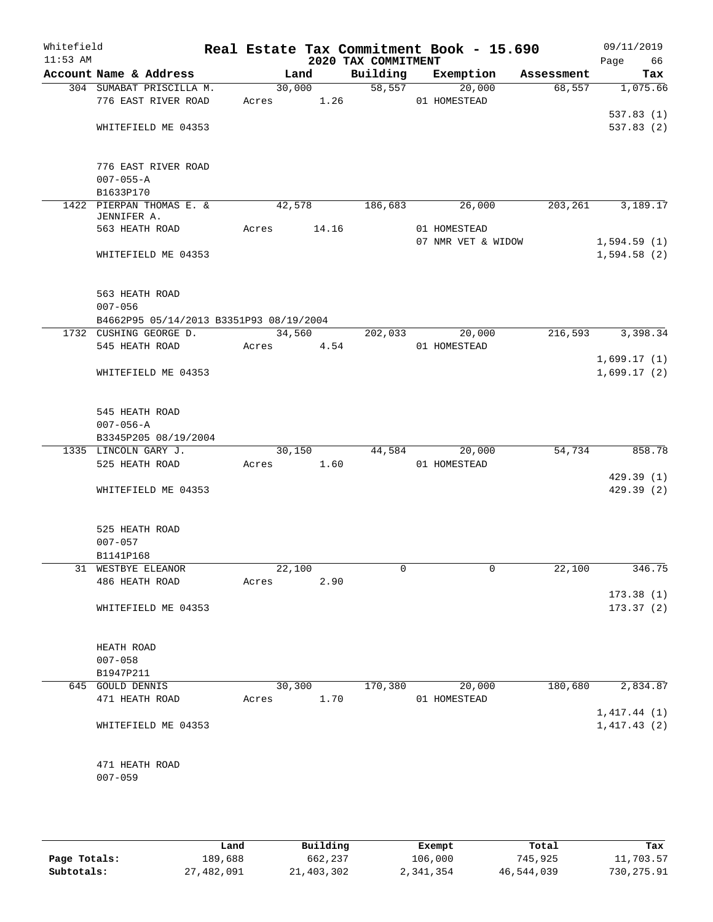| Whitefield<br>$11:53$ AM |                                         |        |        | 2020 TAX COMMITMENT | Real Estate Tax Commitment Book - 15.690 |            | 09/11/2019<br>Page<br>66   |
|--------------------------|-----------------------------------------|--------|--------|---------------------|------------------------------------------|------------|----------------------------|
|                          | Account Name & Address                  |        | Land   | Building            | Exemption                                | Assessment | Tax                        |
|                          | 304 SUMABAT PRISCILLA M.                |        | 30,000 | 58, 557             | 20,000                                   | 68,557     | 1,075.66                   |
|                          | 776 EAST RIVER ROAD                     | Acres  | 1.26   |                     | 01 HOMESTEAD                             |            |                            |
|                          |                                         |        |        |                     |                                          |            | 537.83(1)                  |
|                          | WHITEFIELD ME 04353                     |        |        |                     |                                          |            | 537.83 (2)                 |
|                          | 776 EAST RIVER ROAD                     |        |        |                     |                                          |            |                            |
|                          | $007 - 055 - A$                         |        |        |                     |                                          |            |                            |
|                          | B1633P170                               |        |        |                     |                                          |            |                            |
|                          | 1422 PIERPAN THOMAS E. &<br>JENNIFER A. |        | 42,578 | 186,683             | 26,000                                   | 203,261    | 3,189.17                   |
|                          | 563 HEATH ROAD                          | Acres  | 14.16  |                     | 01 HOMESTEAD                             |            |                            |
|                          |                                         |        |        |                     | 07 NMR VET & WIDOW                       |            | 1,594.59(1)                |
|                          | WHITEFIELD ME 04353                     |        |        |                     |                                          |            | 1,594.58(2)                |
|                          | 563 HEATH ROAD                          |        |        |                     |                                          |            |                            |
|                          | $007 - 056$                             |        |        |                     |                                          |            |                            |
|                          | B4662P95 05/14/2013 B3351P93 08/19/2004 |        |        |                     |                                          |            |                            |
|                          | 1732 CUSHING GEORGE D.                  |        | 34,560 | 202,033             | 20,000                                   | 216,593    | 3,398.34                   |
|                          | 545 HEATH ROAD                          | Acres  | 4.54   |                     | 01 HOMESTEAD                             |            |                            |
|                          |                                         |        |        |                     |                                          |            | 1,699.17(1)                |
|                          | WHITEFIELD ME 04353                     |        |        |                     |                                          |            | 1,699.17(2)                |
|                          | 545 HEATH ROAD                          |        |        |                     |                                          |            |                            |
|                          | $007 - 056 - A$                         |        |        |                     |                                          |            |                            |
|                          | B3345P205 08/19/2004                    |        |        |                     |                                          |            |                            |
|                          | 1335 LINCOLN GARY J.                    |        | 30,150 | 44,584              | 20,000                                   | 54,734     | 858.78                     |
|                          | 525 HEATH ROAD                          | Acres  | 1.60   |                     | 01 HOMESTEAD                             |            |                            |
|                          |                                         |        |        |                     |                                          |            | 429.39(1)                  |
|                          | WHITEFIELD ME 04353                     |        |        |                     |                                          |            | 429.39 (2)                 |
|                          | 525 HEATH ROAD                          |        |        |                     |                                          |            |                            |
|                          | $007 - 057$                             |        |        |                     |                                          |            |                            |
|                          | B1141P168                               |        |        |                     |                                          |            |                            |
|                          | 31 WESTBYE ELEANOR                      | 22,100 |        | 0                   | 0                                        | 22,100     | 346.75                     |
|                          | 486 HEATH ROAD                          | Acres  | 2.90   |                     |                                          |            |                            |
|                          |                                         |        |        |                     |                                          |            | 173.38(1)                  |
|                          | WHITEFIELD ME 04353                     |        |        |                     |                                          |            | 173.37(2)                  |
|                          | HEATH ROAD                              |        |        |                     |                                          |            |                            |
|                          | $007 - 058$                             |        |        |                     |                                          |            |                            |
|                          | B1947P211                               |        |        |                     |                                          |            |                            |
|                          | 645 GOULD DENNIS                        |        | 30,300 | 170,380             | 20,000                                   | 180,680    | 2,834.87                   |
|                          | 471 HEATH ROAD                          | Acres  | 1.70   |                     | 01 HOMESTEAD                             |            |                            |
|                          | WHITEFIELD ME 04353                     |        |        |                     |                                          |            | 1,417.44(1)<br>1,417.43(2) |
|                          |                                         |        |        |                     |                                          |            |                            |
|                          | 471 HEATH ROAD                          |        |        |                     |                                          |            |                            |
|                          | $007 - 059$                             |        |        |                     |                                          |            |                            |
|                          |                                         |        |        |                     |                                          |            |                            |

|              | Land       | Building   | Exempt    | Total      | Tax        |
|--------------|------------|------------|-----------|------------|------------|
| Page Totals: | 189,688    | 662,237    | 106,000   | 745,925    | 11,703.57  |
| Subtotals:   | 27,482,091 | 21,403,302 | 2,341,354 | 46,544,039 | 730,275.91 |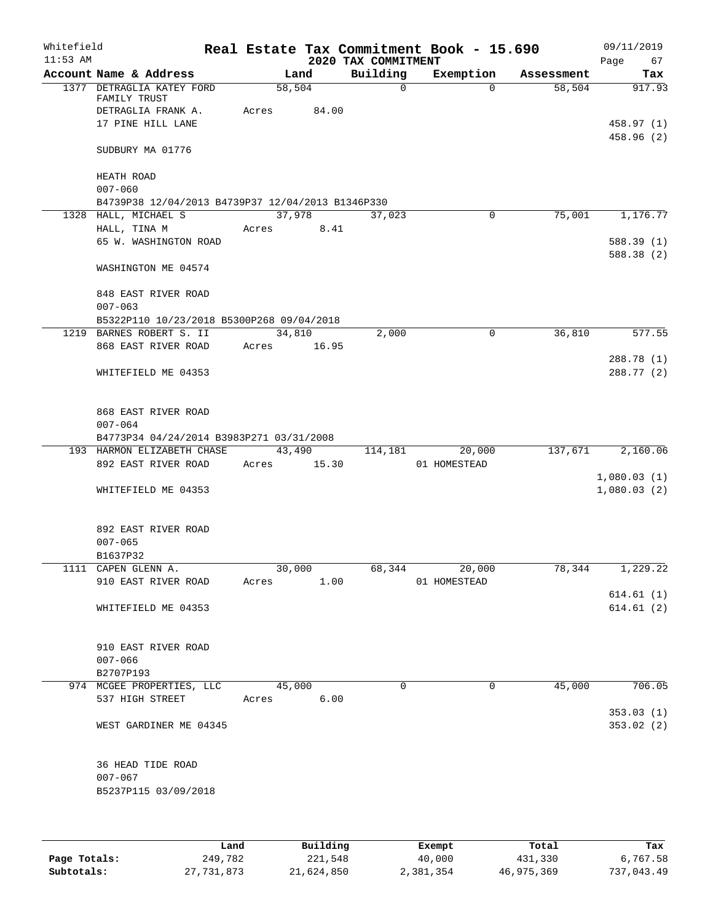| Whitefield<br>$11:53$ AM |                                                   |       |        |             | 2020 TAX COMMITMENT | Real Estate Tax Commitment Book - 15.690 |            | 09/11/2019<br>Page<br>67 |
|--------------------------|---------------------------------------------------|-------|--------|-------------|---------------------|------------------------------------------|------------|--------------------------|
|                          | Account Name & Address                            |       |        | Land        | Building            | Exemption                                | Assessment | Tax                      |
|                          | 1377 DETRAGLIA KATEY FORD<br>FAMILY TRUST         |       | 58,504 |             | $\mathbf 0$         | $\Omega$                                 | 58,504     | 917.93                   |
|                          | DETRAGLIA FRANK A.                                | Acres |        | 84.00       |                     |                                          |            |                          |
|                          | 17 PINE HILL LANE                                 |       |        |             |                     |                                          |            | 458.97 (1)               |
|                          |                                                   |       |        |             |                     |                                          |            | 458.96 (2)               |
|                          | SUDBURY MA 01776                                  |       |        |             |                     |                                          |            |                          |
|                          | HEATH ROAD<br>$007 - 060$                         |       |        |             |                     |                                          |            |                          |
|                          | B4739P38 12/04/2013 B4739P37 12/04/2013 B1346P330 |       |        |             |                     |                                          |            |                          |
|                          | 1328 HALL, MICHAEL S                              |       | 37,978 |             | 37,023              | $\Omega$                                 | 75,001     | 1,176.77                 |
|                          | HALL, TINA M                                      | Acres |        | 8.41        |                     |                                          |            |                          |
|                          | 65 W. WASHINGTON ROAD                             |       |        |             |                     |                                          |            | 588.39(1)                |
|                          |                                                   |       |        |             |                     |                                          |            | 588.38 (2)               |
|                          | WASHINGTON ME 04574                               |       |        |             |                     |                                          |            |                          |
|                          | 848 EAST RIVER ROAD                               |       |        |             |                     |                                          |            |                          |
|                          |                                                   |       |        |             |                     |                                          |            |                          |
|                          | $007 - 063$                                       |       |        |             |                     |                                          |            |                          |
|                          | B5322P110 10/23/2018 B5300P268 09/04/2018         |       |        |             |                     |                                          |            |                          |
|                          | 1219 BARNES ROBERT S. II                          |       |        | 34,810      | 2,000               | 0                                        | 36,810     | 577.55                   |
|                          | 868 EAST RIVER ROAD                               |       |        | Acres 16.95 |                     |                                          |            |                          |
|                          |                                                   |       |        |             |                     |                                          |            | 288.78 (1)               |
|                          | WHITEFIELD ME 04353                               |       |        |             |                     |                                          |            | 288.77 (2)               |
|                          | 868 EAST RIVER ROAD                               |       |        |             |                     |                                          |            |                          |
|                          | $007 - 064$                                       |       |        |             |                     |                                          |            |                          |
|                          | B4773P34 04/24/2014 B3983P271 03/31/2008          |       |        |             |                     |                                          |            |                          |
|                          | 193 HARMON ELIZABETH CHASE                        |       | 43,490 |             | 114,181             | 20,000                                   | 137,671    | 2,160.06                 |
|                          | 892 EAST RIVER ROAD                               | Acres |        | 15.30       |                     | 01 HOMESTEAD                             |            |                          |
|                          |                                                   |       |        |             |                     |                                          |            | 1,080.03(1)              |
|                          | WHITEFIELD ME 04353                               |       |        |             |                     |                                          |            | 1,080.03(2)              |
|                          |                                                   |       |        |             |                     |                                          |            |                          |
|                          | 892 EAST RIVER ROAD                               |       |        |             |                     |                                          |            |                          |
|                          | $007 - 065$                                       |       |        |             |                     |                                          |            |                          |
|                          | B1637P32                                          |       |        |             |                     |                                          |            |                          |
|                          | 1111 CAPEN GLENN A.                               |       | 30,000 |             | 68,344              | 20,000                                   | 78,344     | 1,229.22                 |
|                          | 910 EAST RIVER ROAD                               |       | Acres  | 1.00        |                     | 01 HOMESTEAD                             |            |                          |
|                          |                                                   |       |        |             |                     |                                          |            | 614.61(1)                |
|                          | WHITEFIELD ME 04353                               |       |        |             |                     |                                          |            | 614.61(2)                |
|                          | 910 EAST RIVER ROAD                               |       |        |             |                     |                                          |            |                          |
|                          | $007 - 066$                                       |       |        |             |                     |                                          |            |                          |
|                          | B2707P193                                         |       |        |             |                     |                                          |            |                          |
|                          | 974 MCGEE PROPERTIES, LLC                         |       | 45,000 |             | $\Omega$            | $\Omega$                                 | 45,000     | 706.05                   |
|                          | 537 HIGH STREET                                   | Acres |        | 6.00        |                     |                                          |            |                          |
|                          |                                                   |       |        |             |                     |                                          |            | 353.03(1)                |
|                          | WEST GARDINER ME 04345                            |       |        |             |                     |                                          |            | 353.02(2)                |
|                          |                                                   |       |        |             |                     |                                          |            |                          |
|                          | 36 HEAD TIDE ROAD                                 |       |        |             |                     |                                          |            |                          |
|                          | $007 - 067$                                       |       |        |             |                     |                                          |            |                          |
|                          | B5237P115 03/09/2018                              |       |        |             |                     |                                          |            |                          |
|                          |                                                   |       |        |             |                     |                                          |            |                          |
|                          |                                                   |       |        |             |                     |                                          |            |                          |
|                          |                                                   |       |        |             |                     |                                          |            |                          |

|              | Land       | Building   | Exempt    | Total      | Tax        |
|--------------|------------|------------|-----------|------------|------------|
| Page Totals: | 249,782    | 221,548    | 40,000    | 431,330    | 6,767.58   |
| Subtotals:   | 27,731,873 | 21,624,850 | 2,381,354 | 46,975,369 | 737,043.49 |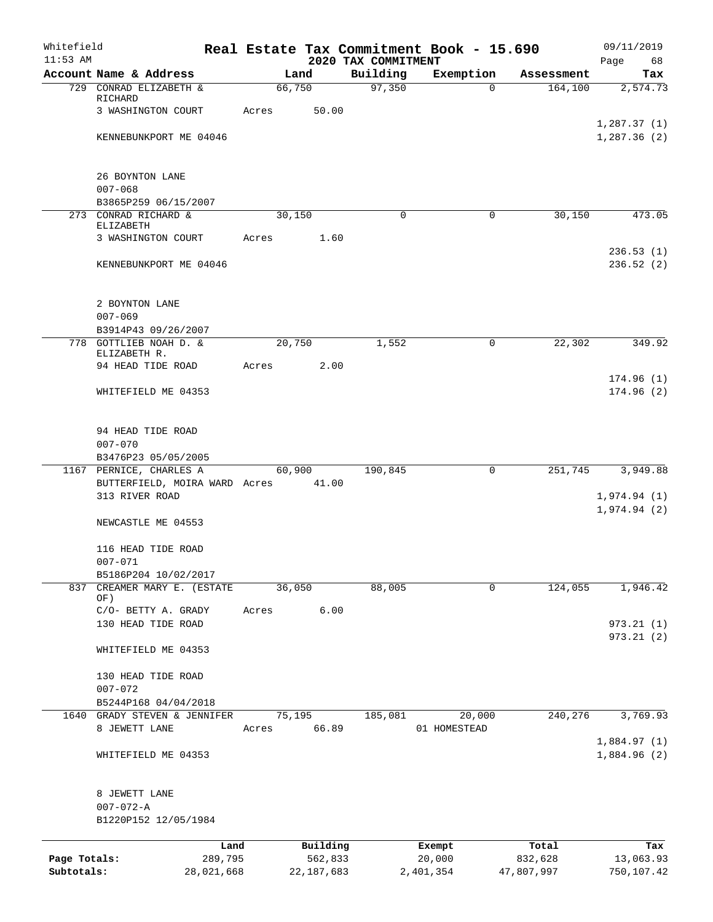| Whitefield   |                                     |            |       |              |      |                                 | Real Estate Tax Commitment Book - 15.690 |            | 09/11/2019                 |
|--------------|-------------------------------------|------------|-------|--------------|------|---------------------------------|------------------------------------------|------------|----------------------------|
| $11:53$ AM   | Account Name & Address              |            |       | Land         |      | 2020 TAX COMMITMENT<br>Building | Exemption                                | Assessment | Page<br>68<br>Tax          |
|              | 729 CONRAD ELIZABETH &              |            |       | 66,750       |      | 97,350                          | $\Omega$                                 | 164, 100   | 2,574.73                   |
|              | RICHARD                             |            |       |              |      |                                 |                                          |            |                            |
|              | 3 WASHINGTON COURT                  |            | Acres | 50.00        |      |                                 |                                          |            |                            |
|              | KENNEBUNKPORT ME 04046              |            |       |              |      |                                 |                                          |            | 1,287.37(1)<br>1,287.36(2) |
|              |                                     |            |       |              |      |                                 |                                          |            |                            |
|              |                                     |            |       |              |      |                                 |                                          |            |                            |
|              | 26 BOYNTON LANE<br>$007 - 068$      |            |       |              |      |                                 |                                          |            |                            |
|              | B3865P259 06/15/2007                |            |       |              |      |                                 |                                          |            |                            |
|              | 273 CONRAD RICHARD &                |            |       | 30,150       |      | 0                               | $\mathbf 0$                              | 30,150     | 473.05                     |
|              | ELIZABETH                           |            |       |              |      |                                 |                                          |            |                            |
|              | 3 WASHINGTON COURT                  |            | Acres |              | 1.60 |                                 |                                          |            | 236.53(1)                  |
|              | KENNEBUNKPORT ME 04046              |            |       |              |      |                                 |                                          |            | 236.52(2)                  |
|              |                                     |            |       |              |      |                                 |                                          |            |                            |
|              |                                     |            |       |              |      |                                 |                                          |            |                            |
|              | 2 BOYNTON LANE<br>$007 - 069$       |            |       |              |      |                                 |                                          |            |                            |
|              | B3914P43 09/26/2007                 |            |       |              |      |                                 |                                          |            |                            |
|              | 778 GOTTLIEB NOAH D. &              |            |       | 20,750       |      | 1,552                           | 0                                        | 22,302     | 349.92                     |
|              | ELIZABETH R.<br>94 HEAD TIDE ROAD   |            |       |              |      |                                 |                                          |            |                            |
|              |                                     |            | Acres |              | 2.00 |                                 |                                          |            | 174.96(1)                  |
|              | WHITEFIELD ME 04353                 |            |       |              |      |                                 |                                          |            | 174.96(2)                  |
|              |                                     |            |       |              |      |                                 |                                          |            |                            |
|              |                                     |            |       |              |      |                                 |                                          |            |                            |
|              | 94 HEAD TIDE ROAD<br>$007 - 070$    |            |       |              |      |                                 |                                          |            |                            |
|              | B3476P23 05/05/2005                 |            |       |              |      |                                 |                                          |            |                            |
|              | 1167 PERNICE, CHARLES A             |            |       | 60,900       |      | 190,845                         | $\mathbf 0$                              | 251,745    | 3,949.88                   |
|              | BUTTERFIELD, MOIRA WARD Acres       |            |       | 41.00        |      |                                 |                                          |            |                            |
|              | 313 RIVER ROAD                      |            |       |              |      |                                 |                                          |            | 1,974.94(1)<br>1,974.94(2) |
|              | NEWCASTLE ME 04553                  |            |       |              |      |                                 |                                          |            |                            |
|              |                                     |            |       |              |      |                                 |                                          |            |                            |
|              | 116 HEAD TIDE ROAD                  |            |       |              |      |                                 |                                          |            |                            |
|              | $007 - 071$<br>B5186P204 10/02/2017 |            |       |              |      |                                 |                                          |            |                            |
| 837          | CREAMER MARY E. (ESTATE             |            |       | 36,050       |      | 88,005                          | 0                                        | 124,055    | 1,946.42                   |
|              | OF)                                 |            |       |              |      |                                 |                                          |            |                            |
|              | C/O- BETTY A. GRADY                 |            | Acres |              | 6.00 |                                 |                                          |            |                            |
|              | 130 HEAD TIDE ROAD                  |            |       |              |      |                                 |                                          |            | 973.21(1)<br>973.21(2)     |
|              | WHITEFIELD ME 04353                 |            |       |              |      |                                 |                                          |            |                            |
|              |                                     |            |       |              |      |                                 |                                          |            |                            |
|              | 130 HEAD TIDE ROAD                  |            |       |              |      |                                 |                                          |            |                            |
|              | $007 - 072$<br>B5244P168 04/04/2018 |            |       |              |      |                                 |                                          |            |                            |
|              | 1640 GRADY STEVEN & JENNIFER        |            |       | 75,195       |      | 185,081                         | 20,000                                   | 240,276    | 3,769.93                   |
|              | 8 JEWETT LANE                       |            | Acres | 66.89        |      |                                 | 01 HOMESTEAD                             |            |                            |
|              |                                     |            |       |              |      |                                 |                                          |            | 1,884.97(1)                |
|              | WHITEFIELD ME 04353                 |            |       |              |      |                                 |                                          |            | 1,884.96 (2)               |
|              |                                     |            |       |              |      |                                 |                                          |            |                            |
|              | 8 JEWETT LANE                       |            |       |              |      |                                 |                                          |            |                            |
|              | $007 - 072 - A$                     |            |       |              |      |                                 |                                          |            |                            |
|              | B1220P152 12/05/1984                |            |       |              |      |                                 |                                          |            |                            |
|              |                                     | Land       |       | Building     |      |                                 | Exempt                                   | Total      | Tax                        |
| Page Totals: |                                     | 289,795    |       | 562,833      |      |                                 | 20,000                                   | 832,628    | 13,063.93                  |
| Subtotals:   |                                     | 28,021,668 |       | 22, 187, 683 |      |                                 | 2,401,354                                | 47,807,997 | 750,107.42                 |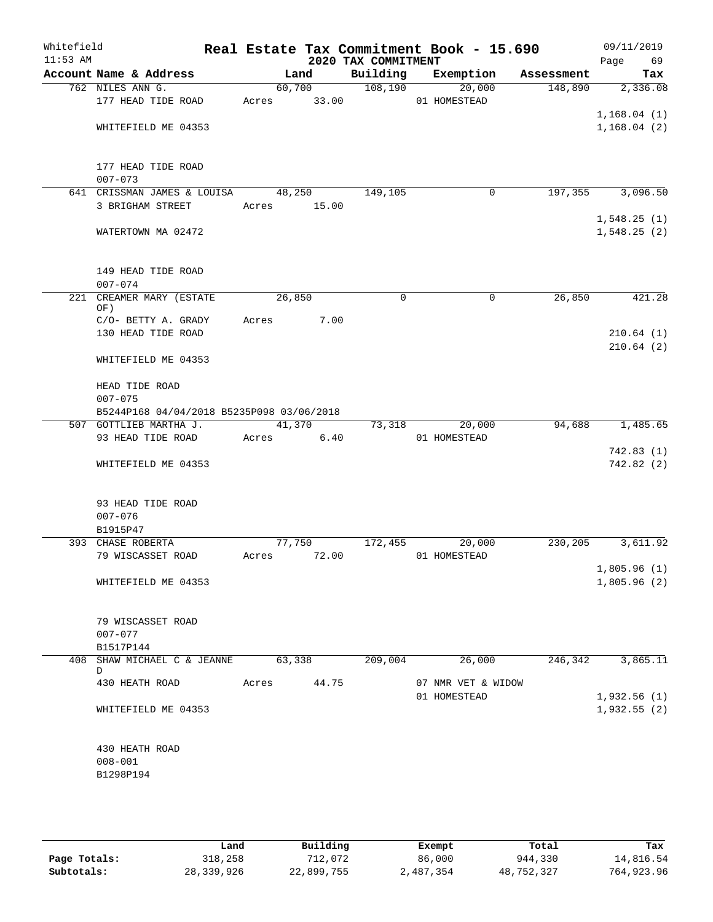| Whitefield<br>$11:53$ AM |                                           |       |             | 2020 TAX COMMITMENT | Real Estate Tax Commitment Book - 15.690 |            | 09/11/2019<br>Page<br>69 |
|--------------------------|-------------------------------------------|-------|-------------|---------------------|------------------------------------------|------------|--------------------------|
|                          | Account Name & Address                    |       | Land        | Building            | Exemption                                | Assessment | Tax                      |
|                          | 762 NILES ANN G.                          |       | 60,700      | 108,190             | 20,000                                   | 148,890    | 2,336.08                 |
|                          | 177 HEAD TIDE ROAD                        | Acres | 33.00       |                     | 01 HOMESTEAD                             |            |                          |
|                          |                                           |       |             |                     |                                          |            | 1,168.04(1)              |
|                          | WHITEFIELD ME 04353                       |       |             |                     |                                          |            | 1,168.04(2)              |
|                          |                                           |       |             |                     |                                          |            |                          |
|                          |                                           |       |             |                     |                                          |            |                          |
|                          | 177 HEAD TIDE ROAD                        |       |             |                     |                                          |            |                          |
|                          | $007 - 073$                               |       |             |                     |                                          |            |                          |
|                          | 641 CRISSMAN JAMES & LOUISA               |       | 48,250      | 149,105             | 0                                        | 197,355    | 3,096.50                 |
|                          | 3 BRIGHAM STREET                          | Acres | 15.00       |                     |                                          |            |                          |
|                          |                                           |       |             |                     |                                          |            | 1,548.25(1)              |
|                          | WATERTOWN MA 02472                        |       |             |                     |                                          |            | 1,548.25(2)              |
|                          |                                           |       |             |                     |                                          |            |                          |
|                          |                                           |       |             |                     |                                          |            |                          |
|                          | 149 HEAD TIDE ROAD                        |       |             |                     |                                          |            |                          |
|                          | $007 - 074$                               |       |             |                     |                                          |            |                          |
| 221                      | CREAMER MARY (ESTATE                      |       | 26,850      | $\mathbf 0$         | 0                                        | 26,850     | 421.28                   |
|                          | OF)                                       |       |             |                     |                                          |            |                          |
|                          | C/O- BETTY A. GRADY                       | Acres | 7.00        |                     |                                          |            |                          |
|                          | 130 HEAD TIDE ROAD                        |       |             |                     |                                          |            | 210.64(1)                |
|                          |                                           |       |             |                     |                                          |            | 210.64(2)                |
|                          | WHITEFIELD ME 04353                       |       |             |                     |                                          |            |                          |
|                          |                                           |       |             |                     |                                          |            |                          |
|                          | HEAD TIDE ROAD                            |       |             |                     |                                          |            |                          |
|                          | $007 - 075$                               |       |             |                     |                                          |            |                          |
|                          | B5244P168 04/04/2018 B5235P098 03/06/2018 |       |             |                     |                                          |            |                          |
|                          | 507 GOTTLIEB MARTHA J.                    |       | 41,370      | 73,318              | 20,000                                   | 94,688     | 1,485.65                 |
|                          | 93 HEAD TIDE ROAD                         | Acres | 6.40        |                     | 01 HOMESTEAD                             |            |                          |
|                          |                                           |       |             |                     |                                          |            | 742.83(1)                |
|                          | WHITEFIELD ME 04353                       |       |             |                     |                                          |            | 742.82(2)                |
|                          |                                           |       |             |                     |                                          |            |                          |
|                          |                                           |       |             |                     |                                          |            |                          |
|                          | 93 HEAD TIDE ROAD                         |       |             |                     |                                          |            |                          |
|                          | $007 - 076$                               |       |             |                     |                                          |            |                          |
|                          | B1915P47                                  |       |             |                     |                                          |            |                          |
|                          | 393 CHASE ROBERTA                         |       | 77,750      | 172,455             | 20,000                                   | 230,205    | 3,611.92                 |
|                          | 79 WISCASSET ROAD                         |       | Acres 72.00 |                     | 01 HOMESTEAD                             |            |                          |
|                          |                                           |       |             |                     |                                          |            | 1,805.96(1)              |
|                          | WHITEFIELD ME 04353                       |       |             |                     |                                          |            | 1,805.96(2)              |
|                          |                                           |       |             |                     |                                          |            |                          |
|                          |                                           |       |             |                     |                                          |            |                          |
|                          | 79 WISCASSET ROAD                         |       |             |                     |                                          |            |                          |
|                          | $007 - 077$                               |       |             |                     |                                          |            |                          |
|                          | B1517P144                                 |       |             |                     |                                          |            |                          |
|                          | 408 SHAW MICHAEL C & JEANNE               |       | 63,338      | 209,004             | 26,000                                   | 246,342    | 3,865.11                 |
|                          | D                                         |       |             |                     |                                          |            |                          |
|                          | 430 HEATH ROAD                            | Acres | 44.75       |                     | 07 NMR VET & WIDOW                       |            |                          |
|                          |                                           |       |             |                     | 01 HOMESTEAD                             |            | 1,932.56(1)              |
|                          | WHITEFIELD ME 04353                       |       |             |                     |                                          |            | 1,932.55(2)              |
|                          |                                           |       |             |                     |                                          |            |                          |
|                          |                                           |       |             |                     |                                          |            |                          |
|                          | 430 HEATH ROAD                            |       |             |                     |                                          |            |                          |
|                          | $008 - 001$                               |       |             |                     |                                          |            |                          |
|                          | B1298P194                                 |       |             |                     |                                          |            |                          |
|                          |                                           |       |             |                     |                                          |            |                          |
|                          |                                           |       |             |                     |                                          |            |                          |
|                          |                                           |       |             |                     |                                          |            |                          |

|              | Land       | Building   | Exempt    | Total      | Tax        |
|--------------|------------|------------|-----------|------------|------------|
| Page Totals: | 318,258    | 712,072    | 86,000    | 944,330    | 14,816.54  |
| Subtotals:   | 28,339,926 | 22,899,755 | 2,487,354 | 48,752,327 | 764,923.96 |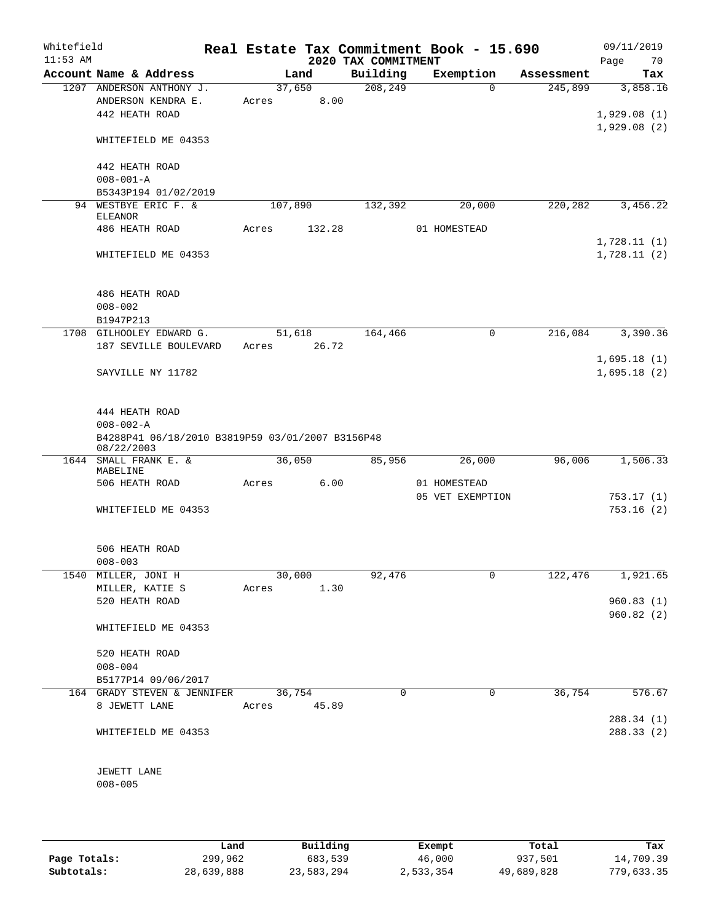| Whitefield<br>$11:53$ AM |                                                                |                 |        | 2020 TAX COMMITMENT | Real Estate Tax Commitment Book - 15.690 |            | 09/11/2019<br>70<br>Page   |
|--------------------------|----------------------------------------------------------------|-----------------|--------|---------------------|------------------------------------------|------------|----------------------------|
|                          | Account Name & Address                                         |                 | Land   | Building            | Exemption                                | Assessment | Tax                        |
|                          | 1207 ANDERSON ANTHONY J.                                       | 37,650          |        | 208, 249            | $\Omega$                                 | 245,899    | 3,858.16                   |
|                          | ANDERSON KENDRA E.                                             | Acres           | 8.00   |                     |                                          |            |                            |
|                          | 442 HEATH ROAD                                                 |                 |        |                     |                                          |            | 1,929.08(1)<br>1,929.08(2) |
|                          | WHITEFIELD ME 04353                                            |                 |        |                     |                                          |            |                            |
|                          | 442 HEATH ROAD                                                 |                 |        |                     |                                          |            |                            |
|                          | $008 - 001 - A$<br>B5343P194 01/02/2019                        |                 |        |                     |                                          |            |                            |
|                          | 94 WESTBYE ERIC F. &                                           | 107,890         |        | 132,392             | 20,000                                   | 220,282    | 3,456.22                   |
|                          | <b>ELEANOR</b>                                                 |                 |        |                     |                                          |            |                            |
|                          | 486 HEATH ROAD                                                 | Acres           | 132.28 |                     | 01 HOMESTEAD                             |            |                            |
|                          |                                                                |                 |        |                     |                                          |            | 1,728.11(1)                |
|                          | WHITEFIELD ME 04353                                            |                 |        |                     |                                          |            | 1,728.11(2)                |
|                          | 486 HEATH ROAD                                                 |                 |        |                     |                                          |            |                            |
|                          | $008 - 002$                                                    |                 |        |                     |                                          |            |                            |
|                          | B1947P213                                                      |                 |        |                     |                                          |            |                            |
|                          | 1708 GILHOOLEY EDWARD G.<br>187 SEVILLE BOULEVARD              | 51,618<br>Acres | 26.72  | 164,466             | 0                                        | 216,084    | 3,390.36                   |
|                          |                                                                |                 |        |                     |                                          |            | 1,695.18(1)                |
|                          | SAYVILLE NY 11782                                              |                 |        |                     |                                          |            | 1,695.18(2)                |
|                          | 444 HEATH ROAD                                                 |                 |        |                     |                                          |            |                            |
|                          | $008 - 002 - A$                                                |                 |        |                     |                                          |            |                            |
|                          | B4288P41 06/18/2010 B3819P59 03/01/2007 B3156P48<br>08/22/2003 |                 |        |                     |                                          |            |                            |
|                          | 1644 SMALL FRANK E. &                                          | 36,050          |        | 85,956              | 26,000                                   | 96,006     | 1,506.33                   |
|                          | MABELINE<br>506 HEATH ROAD                                     | Acres           | 6.00   |                     | 01 HOMESTEAD                             |            |                            |
|                          |                                                                |                 |        |                     | 05 VET EXEMPTION                         |            | 753.17(1)                  |
|                          | WHITEFIELD ME 04353                                            |                 |        |                     |                                          |            | 753.16(2)                  |
|                          |                                                                |                 |        |                     |                                          |            |                            |
|                          | 506 HEATH ROAD                                                 |                 |        |                     |                                          |            |                            |
|                          | $008 - 003$<br>1540 MILLER, JONI H                             |                 | 30,000 | 92,476              | 0                                        | 122,476    | 1,921.65                   |
|                          | MILLER, KATIE S                                                | Acres 1.30      |        |                     |                                          |            |                            |
|                          | 520 HEATH ROAD                                                 |                 |        |                     |                                          |            | 960.83(1)                  |
|                          |                                                                |                 |        |                     |                                          |            | 960.82(2)                  |
|                          | WHITEFIELD ME 04353                                            |                 |        |                     |                                          |            |                            |
|                          | 520 HEATH ROAD                                                 |                 |        |                     |                                          |            |                            |
|                          | $008 - 004$                                                    |                 |        |                     |                                          |            |                            |
|                          | B5177P14 09/06/2017                                            |                 |        |                     |                                          |            |                            |
|                          | 164 GRADY STEVEN & JENNIFER 36,754                             |                 |        | 0                   | 0                                        | 36,754     | 576.67                     |
|                          | 8 JEWETT LANE                                                  | Acres 45.89     |        |                     |                                          |            |                            |
|                          | WHITEFIELD ME 04353                                            |                 |        |                     |                                          |            | 288.34 (1)<br>288.33(2)    |
|                          |                                                                |                 |        |                     |                                          |            |                            |
|                          | JEWETT LANE<br>$008 - 005$                                     |                 |        |                     |                                          |            |                            |
|                          |                                                                |                 |        |                     |                                          |            |                            |
|                          |                                                                |                 |        |                     |                                          |            |                            |

|              | Land       | Building   | Exempt    | Total      | Tax        |
|--------------|------------|------------|-----------|------------|------------|
|              |            |            |           |            |            |
| Page Totals: | 299,962    | 683,539    | 46,000    | 937,501    | 14,709.39  |
| Subtotals:   | 28,639,888 | 23,583,294 | 2,533,354 | 49,689,828 | 779,633.35 |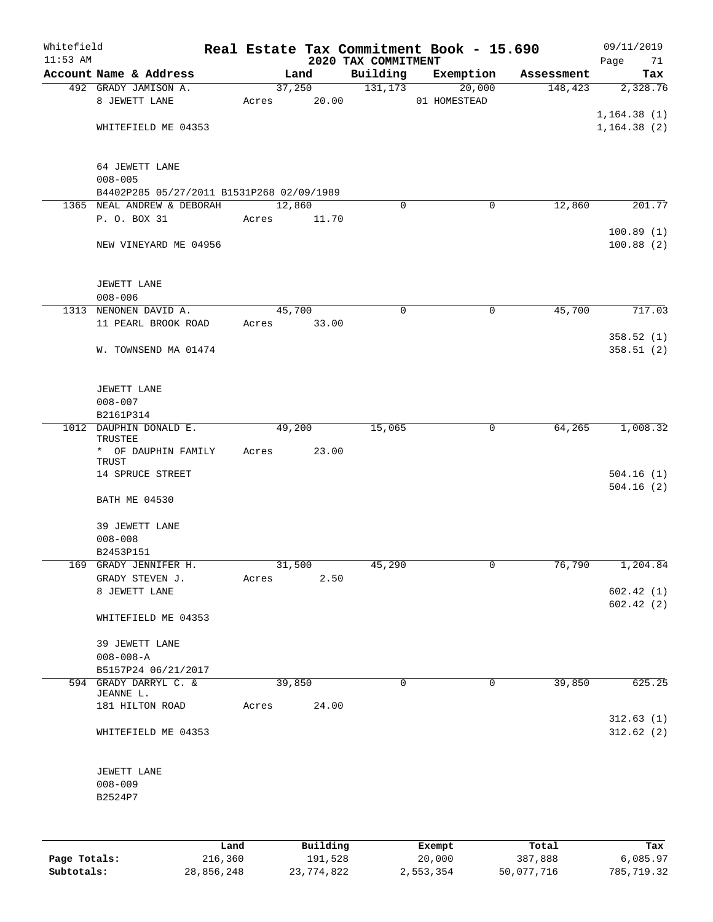| Whitefield<br>$11:53$ AM |                                           |      |        |             | 2020 TAX COMMITMENT | Real Estate Tax Commitment Book - 15.690 |            | 09/11/2019<br>Page<br>71 |
|--------------------------|-------------------------------------------|------|--------|-------------|---------------------|------------------------------------------|------------|--------------------------|
|                          | Account Name & Address                    |      |        | Land        | Building            | Exemption                                | Assessment | Tax                      |
|                          | 492 GRADY JAMISON A.                      |      |        | 37,250      | 131,173             | 20,000                                   | 148,423    | 2,328.76                 |
|                          | 8 JEWETT LANE                             |      |        | Acres 20.00 |                     | 01 HOMESTEAD                             |            |                          |
|                          |                                           |      |        |             |                     |                                          |            | 1, 164.38(1)             |
|                          | WHITEFIELD ME 04353                       |      |        |             |                     |                                          |            | 1, 164.38(2)             |
|                          | 64 JEWETT LANE<br>$008 - 005$             |      |        |             |                     |                                          |            |                          |
|                          | B4402P285 05/27/2011 B1531P268 02/09/1989 |      |        |             |                     |                                          |            |                          |
|                          | 1365 NEAL ANDREW & DEBORAH                |      | 12,860 |             | $\Omega$            | 0                                        | 12,860     | 201.77                   |
|                          | P. O. BOX 31                              |      | Acres  | 11.70       |                     |                                          |            |                          |
|                          | NEW VINEYARD ME 04956                     |      |        |             |                     |                                          |            | 100.89(1)<br>100.88(2)   |
|                          | JEWETT LANE                               |      |        |             |                     |                                          |            |                          |
|                          | $008 - 006$                               |      |        |             |                     |                                          |            |                          |
|                          | 1313 NENONEN DAVID A.                     |      | 45,700 |             | 0                   | 0                                        | 45,700     | 717.03                   |
|                          | 11 PEARL BROOK ROAD                       |      | Acres  | 33.00       |                     |                                          |            |                          |
|                          | W. TOWNSEND MA 01474                      |      |        |             |                     |                                          |            | 358.52(1)<br>358.51 (2)  |
|                          | JEWETT LANE                               |      |        |             |                     |                                          |            |                          |
|                          | $008 - 007$                               |      |        |             |                     |                                          |            |                          |
|                          | B2161P314<br>1012 DAUPHIN DONALD E.       |      | 49,200 |             | 15,065              | 0                                        | 64,265     | 1,008.32                 |
|                          | TRUSTEE<br>* OF DAUPHIN FAMILY            |      | Acres  | 23.00       |                     |                                          |            |                          |
|                          | TRUST                                     |      |        |             |                     |                                          |            |                          |
|                          | 14 SPRUCE STREET                          |      |        |             |                     |                                          |            | 504.16(1)<br>504.16(2)   |
|                          | <b>BATH ME 04530</b>                      |      |        |             |                     |                                          |            |                          |
|                          | 39 JEWETT LANE<br>$008 - 008$             |      |        |             |                     |                                          |            |                          |
|                          | B2453P151                                 |      |        |             |                     |                                          |            |                          |
|                          | 169 GRADY JENNIFER H.                     |      | 31,500 |             | 45,290              | 0                                        | 76,790     | 1,204.84                 |
|                          | GRADY STEVEN J.                           |      | Acres  | 2.50        |                     |                                          |            |                          |
|                          | 8 JEWETT LANE                             |      |        |             |                     |                                          |            | 602.42(1)<br>602.42(2)   |
|                          | WHITEFIELD ME 04353                       |      |        |             |                     |                                          |            |                          |
|                          | 39 JEWETT LANE<br>$008 - 008 - A$         |      |        |             |                     |                                          |            |                          |
|                          | B5157P24 06/21/2017                       |      |        |             |                     |                                          |            |                          |
|                          | 594 GRADY DARRYL C. &<br>JEANNE L.        |      | 39,850 |             | $\mathbf 0$         | $\overline{0}$                           | 39,850     | 625.25                   |
|                          | 181 HILTON ROAD                           |      | Acres  | 24.00       |                     |                                          |            |                          |
|                          | WHITEFIELD ME 04353                       |      |        |             |                     |                                          |            | 312.63(1)<br>312.62(2)   |
|                          | JEWETT LANE<br>$008 - 009$                |      |        |             |                     |                                          |            |                          |
|                          | B2524P7                                   |      |        |             |                     |                                          |            |                          |
|                          |                                           |      |        |             |                     |                                          |            |                          |
|                          |                                           | Land |        | Building    |                     | Exempt                                   | Total      | Tax                      |

|              | ⊥and       | Building   | Exempt    | Total      | тах        |
|--------------|------------|------------|-----------|------------|------------|
| Page Totals: | 216,360    | 191,528    | 20,000    | 387,888    | 6,085.97   |
| Subtotals:   | 28,856,248 | 23,774,822 | 2,553,354 | 50,077,716 | 785,719.32 |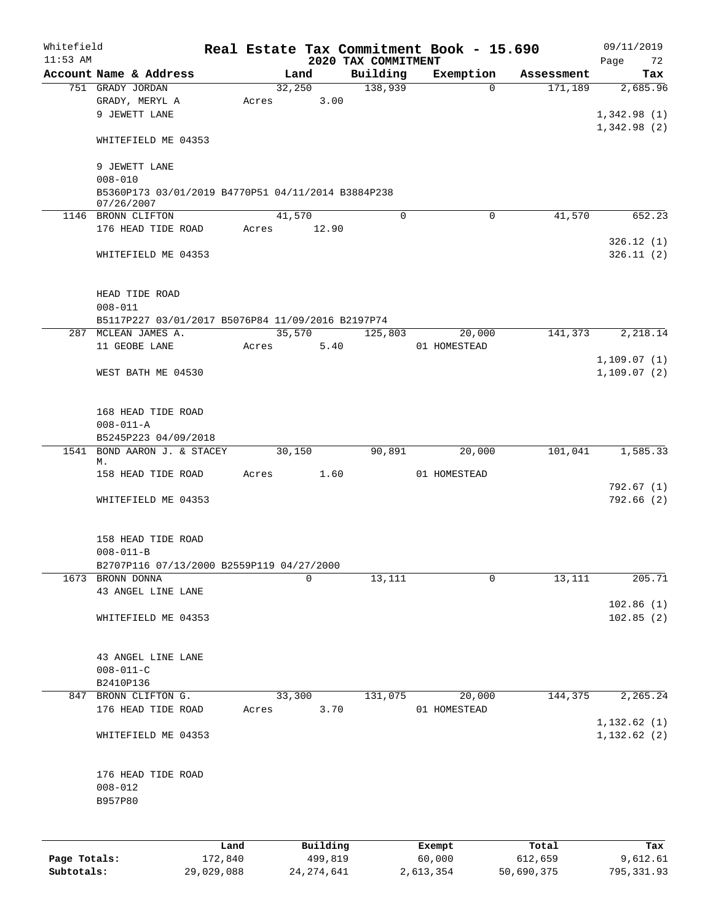| Whitefield<br>$11:53$ AM |                                                    |         |       |          | Real Estate Tax Commitment Book - 15.690<br>2020 TAX COMMITMENT |        |              |            | 09/11/2019<br>Page<br>72 |
|--------------------------|----------------------------------------------------|---------|-------|----------|-----------------------------------------------------------------|--------|--------------|------------|--------------------------|
|                          | Account Name & Address                             |         |       | Land     | Building                                                        |        | Exemption    | Assessment | Tax                      |
|                          | 751 GRADY JORDAN                                   |         |       | 32,250   | 138,939                                                         |        | $\Omega$     | 171,189    | 2,685.96                 |
|                          | GRADY, MERYL A                                     |         | Acres | 3.00     |                                                                 |        |              |            |                          |
|                          | 9 JEWETT LANE                                      |         |       |          |                                                                 |        |              |            | 1,342.98(1)              |
|                          |                                                    |         |       |          |                                                                 |        |              |            | 1,342.98(2)              |
|                          | WHITEFIELD ME 04353                                |         |       |          |                                                                 |        |              |            |                          |
|                          |                                                    |         |       |          |                                                                 |        |              |            |                          |
|                          | 9 JEWETT LANE                                      |         |       |          |                                                                 |        |              |            |                          |
|                          | $008 - 010$                                        |         |       |          |                                                                 |        |              |            |                          |
|                          | B5360P173 03/01/2019 B4770P51 04/11/2014 B3884P238 |         |       |          |                                                                 |        |              |            |                          |
|                          | 07/26/2007<br>1146 BRONN CLIFTON                   |         |       | 41,570   | $\Omega$                                                        |        | $\mathbf 0$  | 41,570     | 652.23                   |
|                          | 176 HEAD TIDE ROAD                                 |         | Acres | 12.90    |                                                                 |        |              |            |                          |
|                          |                                                    |         |       |          |                                                                 |        |              |            | 326.12(1)                |
|                          | WHITEFIELD ME 04353                                |         |       |          |                                                                 |        |              |            | 326.11(2)                |
|                          |                                                    |         |       |          |                                                                 |        |              |            |                          |
|                          |                                                    |         |       |          |                                                                 |        |              |            |                          |
|                          | HEAD TIDE ROAD                                     |         |       |          |                                                                 |        |              |            |                          |
|                          | $008 - 011$                                        |         |       |          |                                                                 |        |              |            |                          |
|                          | B5117P227 03/01/2017 B5076P84 11/09/2016 B2197P74  |         |       |          |                                                                 |        |              |            |                          |
| 287                      | MCLEAN JAMES A.                                    |         |       | 35,570   | 125,803                                                         |        | 20,000       | 141,373    | 2,218.14                 |
|                          | 11 GEOBE LANE                                      |         | Acres | 5.40     |                                                                 |        | 01 HOMESTEAD |            |                          |
|                          |                                                    |         |       |          |                                                                 |        |              |            | 1, 109.07(1)             |
|                          | WEST BATH ME 04530                                 |         |       |          |                                                                 |        |              |            | 1,109.07(2)              |
|                          |                                                    |         |       |          |                                                                 |        |              |            |                          |
|                          |                                                    |         |       |          |                                                                 |        |              |            |                          |
|                          | 168 HEAD TIDE ROAD                                 |         |       |          |                                                                 |        |              |            |                          |
|                          | $008 - 011 - A$                                    |         |       |          |                                                                 |        |              |            |                          |
|                          | B5245P223 04/09/2018                               |         |       |          |                                                                 |        |              |            |                          |
| 1541                     | BOND AARON J. & STACEY                             |         |       | 30,150   | 90,891                                                          |        | 20,000       | 101,041    | 1,585.33                 |
|                          | М.                                                 |         |       |          |                                                                 |        |              |            |                          |
|                          | 158 HEAD TIDE ROAD                                 |         | Acres | 1.60     |                                                                 |        | 01 HOMESTEAD |            |                          |
|                          |                                                    |         |       |          |                                                                 |        |              |            | 792.67(1)                |
|                          | WHITEFIELD ME 04353                                |         |       |          |                                                                 |        |              |            | 792.66(2)                |
|                          |                                                    |         |       |          |                                                                 |        |              |            |                          |
|                          |                                                    |         |       |          |                                                                 |        |              |            |                          |
|                          | 158 HEAD TIDE ROAD                                 |         |       |          |                                                                 |        |              |            |                          |
|                          | $008 - 011 - B$                                    |         |       |          |                                                                 |        |              |            |                          |
|                          | B2707P116 07/13/2000 B2559P119 04/27/2000          |         |       |          |                                                                 |        |              |            |                          |
| 1673                     | BRONN DONNA                                        |         |       | $\Omega$ | 13,111                                                          |        | $\mathbf 0$  | 13,111     | 205.71                   |
|                          | 43 ANGEL LINE LANE                                 |         |       |          |                                                                 |        |              |            |                          |
|                          |                                                    |         |       |          |                                                                 |        |              |            | 102.86(1)                |
|                          | WHITEFIELD ME 04353                                |         |       |          |                                                                 |        |              |            | 102.85(2)                |
|                          |                                                    |         |       |          |                                                                 |        |              |            |                          |
|                          | 43 ANGEL LINE LANE                                 |         |       |          |                                                                 |        |              |            |                          |
|                          | $008 - 011 - C$                                    |         |       |          |                                                                 |        |              |            |                          |
|                          | B2410P136                                          |         |       |          |                                                                 |        |              |            |                          |
| 847                      | BRONN CLIFTON G.                                   |         |       | 33,300   | 131,075                                                         |        | 20,000       | 144,375    | 2,265.24                 |
|                          | 176 HEAD TIDE ROAD                                 |         | Acres | 3.70     |                                                                 |        | 01 HOMESTEAD |            |                          |
|                          |                                                    |         |       |          |                                                                 |        |              |            | 1,132.62(1)              |
|                          | WHITEFIELD ME 04353                                |         |       |          |                                                                 |        |              |            | 1, 132.62(2)             |
|                          |                                                    |         |       |          |                                                                 |        |              |            |                          |
|                          |                                                    |         |       |          |                                                                 |        |              |            |                          |
|                          | 176 HEAD TIDE ROAD                                 |         |       |          |                                                                 |        |              |            |                          |
|                          | $008 - 012$                                        |         |       |          |                                                                 |        |              |            |                          |
|                          | B957P80                                            |         |       |          |                                                                 |        |              |            |                          |
|                          |                                                    |         |       |          |                                                                 |        |              |            |                          |
|                          |                                                    |         |       |          |                                                                 |        |              |            |                          |
|                          |                                                    | Land    |       | Building |                                                                 | Exempt |              | Total      | Tax                      |
| Page Totals:             |                                                    | 172,840 |       | 499,819  |                                                                 | 60,000 |              | 612,659    | 9,612.61                 |

**Subtotals:** 29,029,088 24,274,641 2,613,354 50,690,375 795,331.93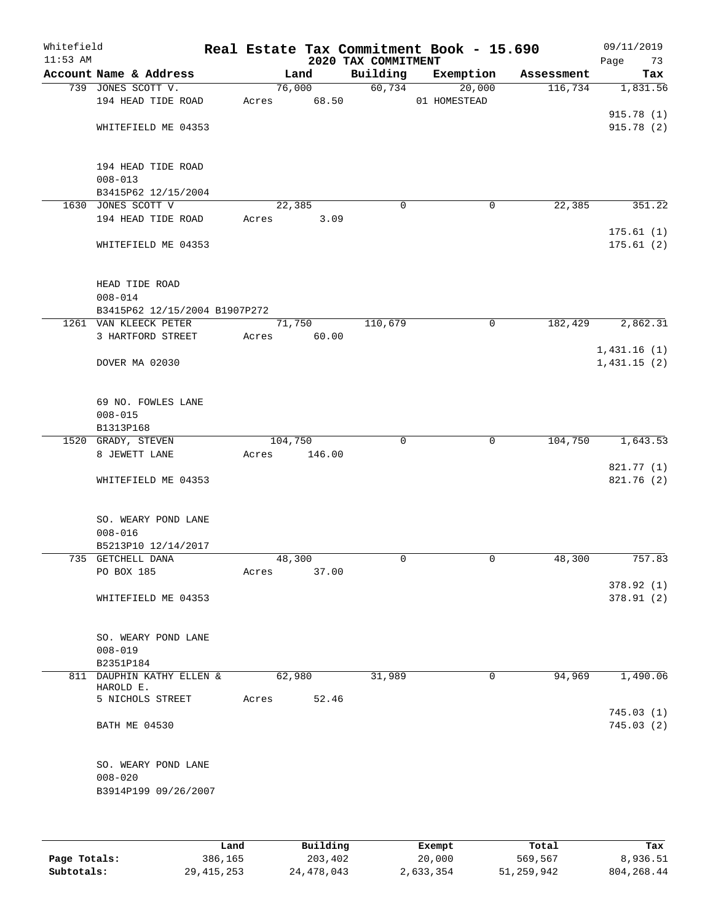| Whitefield<br>$11:53$ AM |                               |         |        | 2020 TAX COMMITMENT | Real Estate Tax Commitment Book - 15.690 |            | 09/11/2019<br>Page<br>73   |
|--------------------------|-------------------------------|---------|--------|---------------------|------------------------------------------|------------|----------------------------|
|                          | Account Name & Address        |         | Land   | Building            | Exemption                                | Assessment | Tax                        |
|                          | 739 JONES SCOTT V.            |         | 76,000 | 60,734              | 20,000                                   | 116,734    | 1,831.56                   |
|                          | 194 HEAD TIDE ROAD            | Acres   | 68.50  |                     | 01 HOMESTEAD                             |            |                            |
|                          |                               |         |        |                     |                                          |            | 915.78(1)                  |
|                          | WHITEFIELD ME 04353           |         |        |                     |                                          |            | 915.78(2)                  |
|                          |                               |         |        |                     |                                          |            |                            |
|                          |                               |         |        |                     |                                          |            |                            |
|                          | 194 HEAD TIDE ROAD            |         |        |                     |                                          |            |                            |
|                          | $008 - 013$                   |         |        |                     |                                          |            |                            |
|                          | B3415P62 12/15/2004           |         |        |                     |                                          |            |                            |
|                          | 1630 JONES SCOTT V            | 22,385  |        | $\mathbf 0$         | 0                                        | 22,385     | 351.22                     |
|                          | 194 HEAD TIDE ROAD            | Acres   | 3.09   |                     |                                          |            |                            |
|                          |                               |         |        |                     |                                          |            | 175.61(1)                  |
|                          | WHITEFIELD ME 04353           |         |        |                     |                                          |            | 175.61(2)                  |
|                          |                               |         |        |                     |                                          |            |                            |
|                          |                               |         |        |                     |                                          |            |                            |
|                          | HEAD TIDE ROAD                |         |        |                     |                                          |            |                            |
|                          | $008 - 014$                   |         |        |                     |                                          |            |                            |
|                          | B3415P62 12/15/2004 B1907P272 |         |        | 110,679             | 0                                        | 182,429    | 2,862.31                   |
|                          | 1261 VAN KLEECK PETER         | 71,750  |        |                     |                                          |            |                            |
|                          | 3 HARTFORD STREET             | Acres   | 60.00  |                     |                                          |            |                            |
|                          | DOVER MA 02030                |         |        |                     |                                          |            | 1,431.16(1)<br>1,431.15(2) |
|                          |                               |         |        |                     |                                          |            |                            |
|                          |                               |         |        |                     |                                          |            |                            |
|                          | 69 NO. FOWLES LANE            |         |        |                     |                                          |            |                            |
|                          | $008 - 015$                   |         |        |                     |                                          |            |                            |
|                          | B1313P168                     |         |        |                     |                                          |            |                            |
|                          | 1520 GRADY, STEVEN            | 104,750 |        | $\Omega$            | $\mathbf 0$                              | 104,750    | 1,643.53                   |
|                          | 8 JEWETT LANE                 | Acres   | 146.00 |                     |                                          |            |                            |
|                          |                               |         |        |                     |                                          |            | 821.77 (1)                 |
|                          | WHITEFIELD ME 04353           |         |        |                     |                                          |            | 821.76 (2)                 |
|                          |                               |         |        |                     |                                          |            |                            |
|                          |                               |         |        |                     |                                          |            |                            |
|                          | SO. WEARY POND LANE           |         |        |                     |                                          |            |                            |
|                          | $008 - 016$                   |         |        |                     |                                          |            |                            |
|                          | B5213P10 12/14/2017           |         |        |                     |                                          |            |                            |
|                          | 735 GETCHELL DANA             | 48,300  |        | $\mathbf 0$         | 0                                        | 48,300     | 757.83                     |
|                          | PO BOX 185                    | Acres   | 37.00  |                     |                                          |            |                            |
|                          |                               |         |        |                     |                                          |            | 378.92(1)                  |
|                          | WHITEFIELD ME 04353           |         |        |                     |                                          |            | 378.91(2)                  |
|                          |                               |         |        |                     |                                          |            |                            |
|                          |                               |         |        |                     |                                          |            |                            |
|                          | SO. WEARY POND LANE           |         |        |                     |                                          |            |                            |
|                          | $008 - 019$                   |         |        |                     |                                          |            |                            |
|                          | B2351P184                     |         |        |                     |                                          |            |                            |
|                          | 811 DAUPHIN KATHY ELLEN &     | 62,980  |        | 31,989              | 0                                        | 94,969     | 1,490.06                   |
|                          | HAROLD E.<br>5 NICHOLS STREET | Acres   | 52.46  |                     |                                          |            |                            |
|                          |                               |         |        |                     |                                          |            | 745.03(1)                  |
|                          | <b>BATH ME 04530</b>          |         |        |                     |                                          |            | 745.03(2)                  |
|                          |                               |         |        |                     |                                          |            |                            |
|                          |                               |         |        |                     |                                          |            |                            |
|                          | SO. WEARY POND LANE           |         |        |                     |                                          |            |                            |
|                          | $008 - 020$                   |         |        |                     |                                          |            |                            |
|                          | B3914P199 09/26/2007          |         |        |                     |                                          |            |                            |
|                          |                               |         |        |                     |                                          |            |                            |
|                          |                               |         |        |                     |                                          |            |                            |
|                          |                               |         |        |                     |                                          |            |                            |
|                          |                               |         |        |                     |                                          |            |                            |

|              | Land         | Building   | Exempt    | Total      | Tax          |
|--------------|--------------|------------|-----------|------------|--------------|
| Page Totals: | 386,165      | 203,402    | 20,000    | 569,567    | 8,936.51     |
| Subtotals:   | 29, 415, 253 | 24,478,043 | 2,633,354 | 51,259,942 | 804, 268, 44 |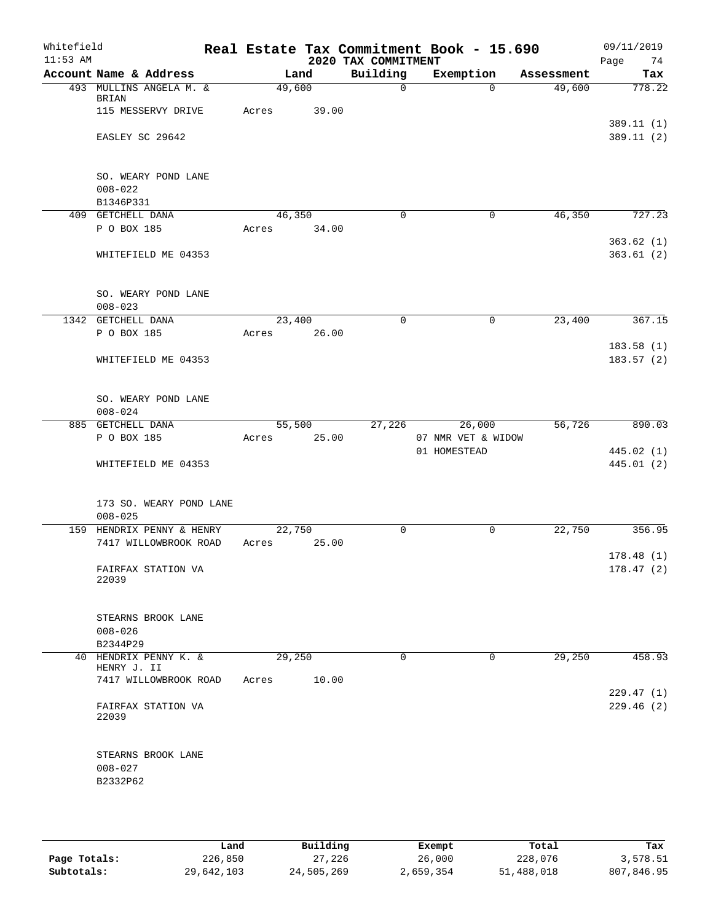| Whitefield<br>$11:53$ AM |                                                 |        |       | 2020 TAX COMMITMENT | Real Estate Tax Commitment Book - 15.690 |            | 09/11/2019<br>Page<br>74 |
|--------------------------|-------------------------------------------------|--------|-------|---------------------|------------------------------------------|------------|--------------------------|
|                          | Account Name & Address                          |        | Land  | Building            | Exemption                                | Assessment | Tax                      |
|                          | 493 MULLINS ANGELA M. &<br><b>BRIAN</b>         | 49,600 |       | $\mathbf 0$         | $\Omega$                                 | 49,600     | 778.22                   |
|                          | 115 MESSERVY DRIVE<br>EASLEY SC 29642           | Acres  | 39.00 |                     |                                          |            | 389.11 (1)<br>389.11(2)  |
|                          |                                                 |        |       |                     |                                          |            |                          |
|                          | SO. WEARY POND LANE<br>$008 - 022$<br>B1346P331 |        |       |                     |                                          |            |                          |
|                          | 409 GETCHELL DANA                               | 46,350 |       | $\Omega$            | 0                                        | 46,350     | 727.23                   |
|                          | P O BOX 185                                     | Acres  | 34.00 |                     |                                          |            |                          |
|                          | WHITEFIELD ME 04353                             |        |       |                     |                                          |            | 363.62(1)<br>363.61(2)   |
|                          | SO. WEARY POND LANE<br>$008 - 023$              |        |       |                     |                                          |            |                          |
|                          | 1342 GETCHELL DANA                              | 23,400 |       | $\mathbf 0$         | 0                                        | 23,400     | 367.15                   |
|                          | P O BOX 185                                     | Acres  | 26.00 |                     |                                          |            |                          |
|                          | WHITEFIELD ME 04353                             |        |       |                     |                                          |            | 183.58(1)<br>183.57(2)   |
|                          | SO. WEARY POND LANE<br>$008 - 024$              |        |       |                     |                                          |            |                          |
|                          | 885 GETCHELL DANA                               | 55,500 |       | 27,226              | 26,000                                   | 56,726     | 890.03                   |
|                          | P O BOX 185                                     | Acres  | 25.00 |                     | 07 NMR VET & WIDOW                       |            |                          |
|                          | WHITEFIELD ME 04353                             |        |       |                     | 01 HOMESTEAD                             |            | 445.02 (1)<br>445.01(2)  |
|                          | 173 SO. WEARY POND LANE<br>$008 - 025$          |        |       |                     |                                          |            |                          |
|                          | 159 HENDRIX PENNY & HENRY                       | 22,750 |       | 0                   | 0                                        | 22,750     | 356.95                   |
|                          | 7417 WILLOWBROOK ROAD                           | Acres  | 25.00 |                     |                                          |            | 178.48(1)                |
|                          | FAIRFAX STATION VA<br>22039                     |        |       |                     |                                          |            | 178.47(2)                |
|                          | STEARNS BROOK LANE<br>$008 - 026$               |        |       |                     |                                          |            |                          |
|                          | B2344P29                                        |        |       |                     |                                          |            |                          |
|                          | 40 HENDRIX PENNY K. &<br>HENRY J. II            | 29,250 |       | $\Omega$            | $\Omega$                                 | 29,250     | 458.93                   |
|                          | 7417 WILLOWBROOK ROAD                           | Acres  | 10.00 |                     |                                          |            | 229.47(1)                |
|                          | FAIRFAX STATION VA<br>22039                     |        |       |                     |                                          |            | 229.46(2)                |
|                          | STEARNS BROOK LANE<br>$008 - 027$               |        |       |                     |                                          |            |                          |
|                          | B2332P62                                        |        |       |                     |                                          |            |                          |

|              | Land       | Building   | Exempt    | Total      | Tax        |
|--------------|------------|------------|-----------|------------|------------|
| Page Totals: | 226,850    | 27,226     | 26,000    | 228,076    | 3,578.51   |
| Subtotals:   | 29,642,103 | 24,505,269 | 2,659,354 | 51,488,018 | 807,846.95 |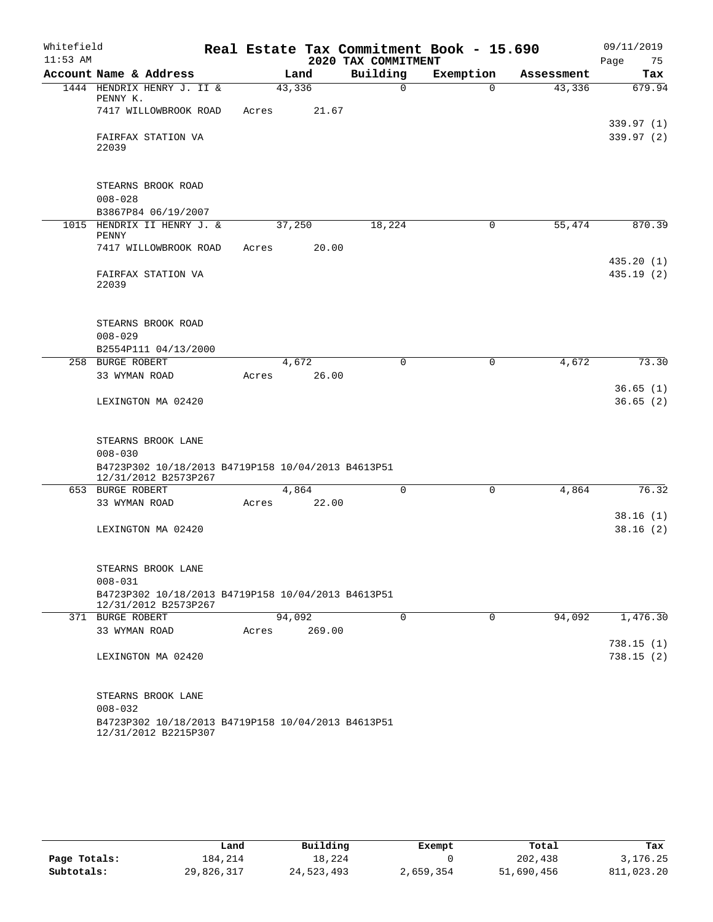| Whitefield |                                   |                                                                            |       |        |                     | Real Estate Tax Commitment Book - 15.690 |            |      | 09/11/2019             |
|------------|-----------------------------------|----------------------------------------------------------------------------|-------|--------|---------------------|------------------------------------------|------------|------|------------------------|
| $11:53$ AM |                                   |                                                                            |       |        | 2020 TAX COMMITMENT |                                          |            | Page | 75                     |
|            | Account Name & Address            |                                                                            |       | Land   | Building            | Exemption                                | Assessment |      | Tax                    |
|            | PENNY K.                          | 1444 HENDRIX HENRY J. II &                                                 |       | 43,336 | $\Omega$            | $\Omega$                                 | 43,336     |      | 679.94                 |
|            |                                   | 7417 WILLOWBROOK ROAD                                                      | Acres | 21.67  |                     |                                          |            |      |                        |
|            |                                   |                                                                            |       |        |                     |                                          |            |      | 339.97 (1)             |
|            | FAIRFAX STATION VA                |                                                                            |       |        |                     |                                          |            |      | 339.97(2)              |
|            | 22039                             |                                                                            |       |        |                     |                                          |            |      |                        |
|            |                                   |                                                                            |       |        |                     |                                          |            |      |                        |
|            | STEARNS BROOK ROAD                |                                                                            |       |        |                     |                                          |            |      |                        |
|            | $008 - 028$                       |                                                                            |       |        |                     |                                          |            |      |                        |
|            | B3867P84 06/19/2007               |                                                                            |       |        |                     |                                          |            |      |                        |
| 1015       |                                   | HENDRIX II HENRY J. &                                                      |       | 37,250 | 18,224              | 0                                        | 55,474     |      | 870.39                 |
|            | PENNY                             |                                                                            |       |        |                     |                                          |            |      |                        |
|            |                                   | 7417 WILLOWBROOK ROAD                                                      | Acres | 20.00  |                     |                                          |            |      |                        |
|            | FAIRFAX STATION VA                |                                                                            |       |        |                     |                                          |            |      | 435.20(1)<br>435.19(2) |
|            | 22039                             |                                                                            |       |        |                     |                                          |            |      |                        |
|            |                                   |                                                                            |       |        |                     |                                          |            |      |                        |
|            |                                   |                                                                            |       |        |                     |                                          |            |      |                        |
|            | STEARNS BROOK ROAD                |                                                                            |       |        |                     |                                          |            |      |                        |
|            | $008 - 029$                       | B2554P111 04/13/2000                                                       |       |        |                     |                                          |            |      |                        |
|            | 258 BURGE ROBERT                  |                                                                            |       | 4,672  | 0                   | 0                                        | 4,672      |      | 73.30                  |
|            | 33 WYMAN ROAD                     |                                                                            | Acres | 26.00  |                     |                                          |            |      |                        |
|            |                                   |                                                                            |       |        |                     |                                          |            |      | 36.65(1)               |
|            | LEXINGTON MA 02420                |                                                                            |       |        |                     |                                          |            |      | 36.65(2)               |
|            |                                   |                                                                            |       |        |                     |                                          |            |      |                        |
|            |                                   |                                                                            |       |        |                     |                                          |            |      |                        |
|            | STEARNS BROOK LANE<br>$008 - 030$ |                                                                            |       |        |                     |                                          |            |      |                        |
|            |                                   | B4723P302 10/18/2013 B4719P158 10/04/2013 B4613P51                         |       |        |                     |                                          |            |      |                        |
|            |                                   | 12/31/2012 B2573P267                                                       |       |        |                     |                                          |            |      |                        |
|            | 653 BURGE ROBERT                  |                                                                            |       | 4,864  | 0                   | 0                                        | 4,864      |      | 76.32                  |
|            | 33 WYMAN ROAD                     |                                                                            | Acres | 22.00  |                     |                                          |            |      |                        |
|            |                                   |                                                                            |       |        |                     |                                          |            |      | 38.16(1)               |
|            | LEXINGTON MA 02420                |                                                                            |       |        |                     |                                          |            |      | 38.16(2)               |
|            |                                   |                                                                            |       |        |                     |                                          |            |      |                        |
|            | STEARNS BROOK LANE                |                                                                            |       |        |                     |                                          |            |      |                        |
|            | $008 - 031$                       |                                                                            |       |        |                     |                                          |            |      |                        |
|            |                                   | B4723P302 10/18/2013 B4719P158 10/04/2013 B4613P51                         |       |        |                     |                                          |            |      |                        |
|            | 371 BURGE ROBERT                  | 12/31/2012 B2573P267                                                       |       | 94,092 | $\mathbf 0$         | 0                                        | 94,092     |      | 1,476.30               |
|            | 33 WYMAN ROAD                     |                                                                            | Acres | 269.00 |                     |                                          |            |      |                        |
|            |                                   |                                                                            |       |        |                     |                                          |            |      | 738.15(1)              |
|            | LEXINGTON MA 02420                |                                                                            |       |        |                     |                                          |            |      | 738.15(2)              |
|            |                                   |                                                                            |       |        |                     |                                          |            |      |                        |
|            |                                   |                                                                            |       |        |                     |                                          |            |      |                        |
|            | STEARNS BROOK LANE                |                                                                            |       |        |                     |                                          |            |      |                        |
|            | $008 - 032$                       |                                                                            |       |        |                     |                                          |            |      |                        |
|            |                                   | B4723P302 10/18/2013 B4719P158 10/04/2013 B4613P51<br>12/31/2012 B2215P307 |       |        |                     |                                          |            |      |                        |

|              | Land       | Building   | Exempt    | Total      | Tax        |
|--------------|------------|------------|-----------|------------|------------|
| Page Totals: | 184.214    | 18,224     |           | 202,438    | 3,176.25   |
| Subtotals:   | 29,826,317 | 24,523,493 | 2,659,354 | 51,690,456 | 811,023.20 |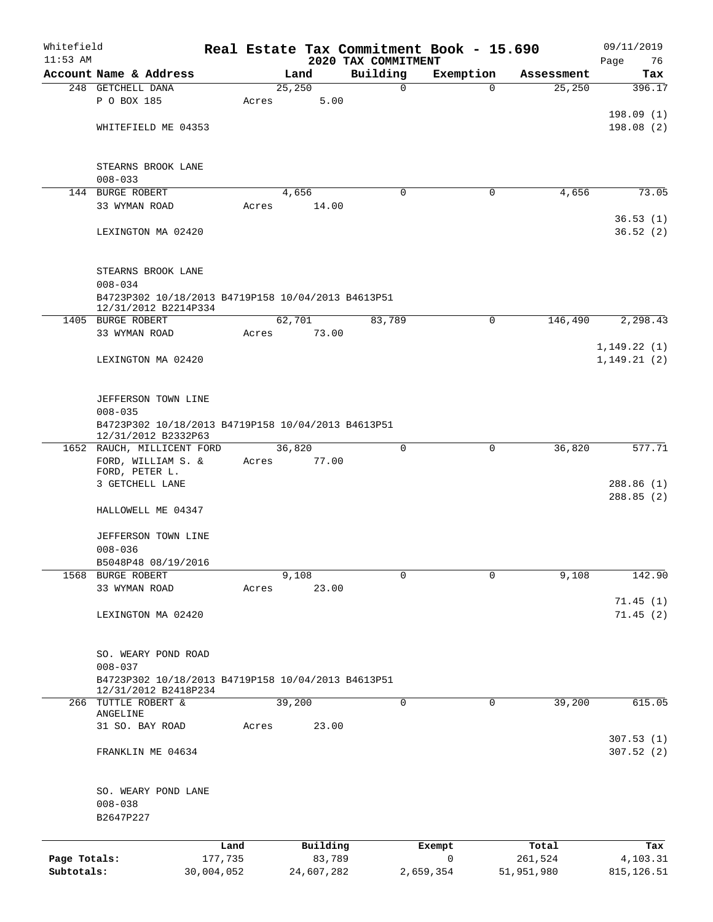| Whitefield<br>$11:53$ AM |                                                                            |            |       |                |                                 | Real Estate Tax Commitment Book - 15.690 |            | 09/11/2019             |
|--------------------------|----------------------------------------------------------------------------|------------|-------|----------------|---------------------------------|------------------------------------------|------------|------------------------|
|                          | Account Name & Address                                                     |            |       | Land           | 2020 TAX COMMITMENT<br>Building | Exemption                                | Assessment | Page<br>76<br>Tax      |
|                          | 248 GETCHELL DANA                                                          |            |       | 25,250         | $\mathbf 0$                     | $\Omega$                                 | 25,250     | 396.17                 |
|                          | P O BOX 185                                                                |            | Acres | 5.00           |                                 |                                          |            |                        |
|                          |                                                                            |            |       |                |                                 |                                          |            | 198.09(1)              |
|                          | WHITEFIELD ME 04353                                                        |            |       |                |                                 |                                          |            | 198.08(2)              |
|                          | STEARNS BROOK LANE                                                         |            |       |                |                                 |                                          |            |                        |
|                          | $008 - 033$                                                                |            |       |                |                                 |                                          |            |                        |
|                          | 144 BURGE ROBERT<br>33 WYMAN ROAD                                          |            | Acres | 4,656<br>14.00 | $\mathbf 0$                     | 0                                        | 4,656      | 73.05                  |
|                          |                                                                            |            |       |                |                                 |                                          |            | 36.53(1)               |
|                          | LEXINGTON MA 02420                                                         |            |       |                |                                 |                                          |            | 36.52(2)               |
|                          | STEARNS BROOK LANE<br>$008 - 034$                                          |            |       |                |                                 |                                          |            |                        |
|                          | B4723P302 10/18/2013 B4719P158 10/04/2013 B4613P51<br>12/31/2012 B2214P334 |            |       |                |                                 |                                          |            |                        |
|                          | 1405 BURGE ROBERT                                                          |            |       | 62,701         | 83,789                          | 0                                        | 146,490    | 2,298.43               |
|                          | 33 WYMAN ROAD                                                              |            | Acres | 73.00          |                                 |                                          |            |                        |
|                          |                                                                            |            |       |                |                                 |                                          |            | 1,149.22(1)            |
|                          | LEXINGTON MA 02420                                                         |            |       |                |                                 |                                          |            | 1, 149.21(2)           |
|                          | JEFFERSON TOWN LINE                                                        |            |       |                |                                 |                                          |            |                        |
|                          | $008 - 035$                                                                |            |       |                |                                 |                                          |            |                        |
|                          | B4723P302 10/18/2013 B4719P158 10/04/2013 B4613P51<br>12/31/2012 B2332P63  |            |       |                |                                 |                                          |            |                        |
|                          | 1652 RAUCH, MILLICENT FORD                                                 |            |       | 36,820         | 0                               | 0                                        | 36,820     | 577.71                 |
|                          | FORD, WILLIAM S. &<br>FORD, PETER L.                                       |            | Acres | 77.00          |                                 |                                          |            |                        |
|                          | 3 GETCHELL LANE                                                            |            |       |                |                                 |                                          |            | 288.86 (1)             |
|                          |                                                                            |            |       |                |                                 |                                          |            | 288.85 (2)             |
|                          | HALLOWELL ME 04347                                                         |            |       |                |                                 |                                          |            |                        |
|                          | JEFFERSON TOWN LINE                                                        |            |       |                |                                 |                                          |            |                        |
|                          | $008 - 036$                                                                |            |       |                |                                 |                                          |            |                        |
|                          | B5048P48 08/19/2016                                                        |            |       |                |                                 |                                          |            |                        |
|                          | 1568 BURGE ROBERT                                                          |            |       | 9,108          | $\mathbf 0$                     | 0                                        | 9,108      | 142.90                 |
|                          | 33 WYMAN ROAD                                                              |            | Acres | 23.00          |                                 |                                          |            | 71.45(1)               |
|                          | LEXINGTON MA 02420                                                         |            |       |                |                                 |                                          |            | 71.45(2)               |
|                          |                                                                            |            |       |                |                                 |                                          |            |                        |
|                          |                                                                            |            |       |                |                                 |                                          |            |                        |
|                          | SO. WEARY POND ROAD<br>$008 - 037$                                         |            |       |                |                                 |                                          |            |                        |
|                          | B4723P302 10/18/2013 B4719P158 10/04/2013 B4613P51                         |            |       |                |                                 |                                          |            |                        |
|                          | 12/31/2012 B2418P234                                                       |            |       |                |                                 |                                          |            |                        |
|                          | 266 TUTTLE ROBERT &<br>ANGELINE                                            |            |       | 39,200         | $\mathbf 0$                     | 0                                        | 39,200     | 615.05                 |
|                          | 31 SO. BAY ROAD                                                            |            | Acres | 23.00          |                                 |                                          |            |                        |
|                          | FRANKLIN ME 04634                                                          |            |       |                |                                 |                                          |            | 307.53(1)<br>307.52(2) |
|                          |                                                                            |            |       |                |                                 |                                          |            |                        |
|                          | SO. WEARY POND LANE                                                        |            |       |                |                                 |                                          |            |                        |
|                          | $008 - 038$                                                                |            |       |                |                                 |                                          |            |                        |
|                          | B2647P227                                                                  |            |       |                |                                 |                                          |            |                        |
|                          |                                                                            | Land       |       | Building       |                                 | Exempt                                   | Total      | Tax                    |
| Page Totals:             |                                                                            | 177,735    |       | 83,789         |                                 | 0                                        | 261,524    | 4,103.31               |
| Subtotals:               |                                                                            | 30,004,052 |       | 24,607,282     |                                 | 2,659,354                                | 51,951,980 | 815, 126.51            |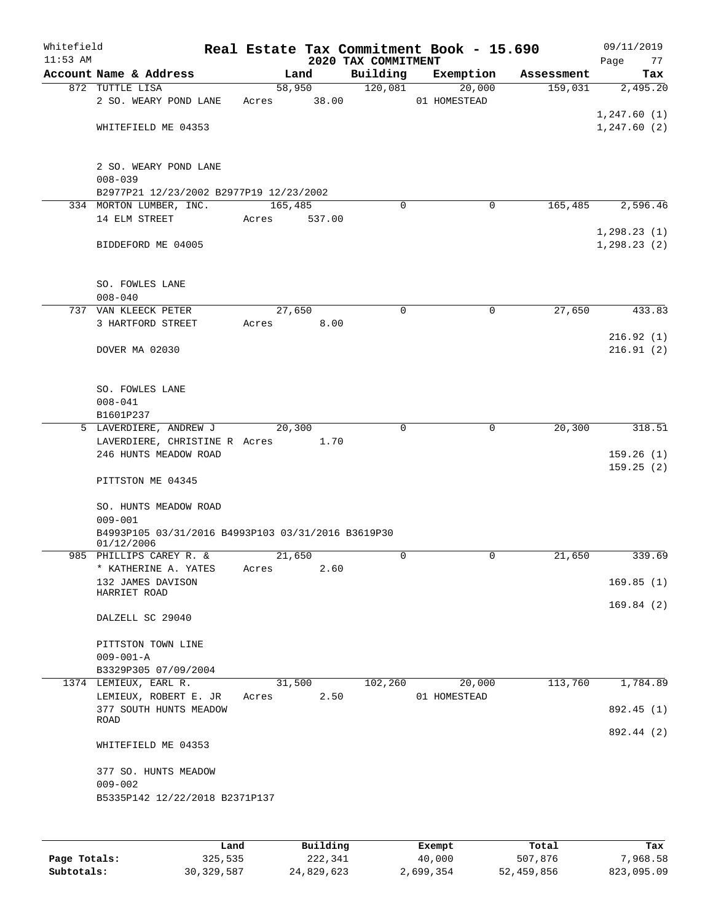| Account Name & Address<br>872 TUTTLE LISA<br>2 SO. WEARY POND LANE<br>WHITEFIELD ME 04353<br>2 SO. WEARY POND LANE<br>$008 - 039$<br>B2977P21 12/23/2002 B2977P19 12/23/2002<br>334 MORTON LUMBER, INC.<br>14 ELM STREET | Acres                                                                                            | Land<br>58,950<br>38.00                                                  |                                               | 2020 TAX COMMITMENT<br>Building<br>120,081 | Exemption<br>20,000<br>01 HOMESTEAD                     | Assessment<br>159,031 | Page<br>Tax<br>2,495.20<br>1,247.60(1)<br>1,247.60(2) |
|--------------------------------------------------------------------------------------------------------------------------------------------------------------------------------------------------------------------------|--------------------------------------------------------------------------------------------------|--------------------------------------------------------------------------|-----------------------------------------------|--------------------------------------------|---------------------------------------------------------|-----------------------|-------------------------------------------------------|
|                                                                                                                                                                                                                          |                                                                                                  |                                                                          |                                               |                                            |                                                         |                       |                                                       |
|                                                                                                                                                                                                                          |                                                                                                  |                                                                          |                                               |                                            |                                                         |                       |                                                       |
|                                                                                                                                                                                                                          |                                                                                                  |                                                                          |                                               |                                            |                                                         |                       |                                                       |
|                                                                                                                                                                                                                          |                                                                                                  |                                                                          |                                               |                                            |                                                         |                       |                                                       |
|                                                                                                                                                                                                                          |                                                                                                  |                                                                          |                                               |                                            |                                                         |                       |                                                       |
|                                                                                                                                                                                                                          |                                                                                                  |                                                                          |                                               |                                            |                                                         |                       |                                                       |
|                                                                                                                                                                                                                          |                                                                                                  |                                                                          |                                               |                                            |                                                         |                       |                                                       |
|                                                                                                                                                                                                                          |                                                                                                  | 165,485                                                                  |                                               | $\Omega$                                   | 0                                                       | 165,485               | 2,596.46                                              |
|                                                                                                                                                                                                                          | Acres                                                                                            | 537.00                                                                   |                                               |                                            |                                                         |                       |                                                       |
| BIDDEFORD ME 04005                                                                                                                                                                                                       |                                                                                                  |                                                                          |                                               |                                            |                                                         |                       | 1, 298.23(1)<br>1, 298.23(2)                          |
| SO. FOWLES LANE<br>$008 - 040$                                                                                                                                                                                           |                                                                                                  |                                                                          |                                               |                                            |                                                         |                       |                                                       |
| 737 VAN KLEECK PETER                                                                                                                                                                                                     |                                                                                                  |                                                                          |                                               | 0                                          | 0                                                       |                       | 433.83                                                |
| 3 HARTFORD STREET                                                                                                                                                                                                        | Acres                                                                                            |                                                                          |                                               |                                            |                                                         |                       |                                                       |
| DOVER MA 02030                                                                                                                                                                                                           |                                                                                                  |                                                                          |                                               |                                            |                                                         |                       | 216.92(1)<br>216.91(2)                                |
| SO. FOWLES LANE                                                                                                                                                                                                          |                                                                                                  |                                                                          |                                               |                                            |                                                         |                       |                                                       |
|                                                                                                                                                                                                                          |                                                                                                  |                                                                          |                                               |                                            |                                                         |                       |                                                       |
| 5 LAVERDIERE, ANDREW J                                                                                                                                                                                                   |                                                                                                  |                                                                          |                                               | $\Omega$                                   | $\mathbf 0$                                             | 20,300                | 318.51                                                |
|                                                                                                                                                                                                                          |                                                                                                  |                                                                          |                                               |                                            |                                                         |                       |                                                       |
| 246 HUNTS MEADOW ROAD                                                                                                                                                                                                    |                                                                                                  |                                                                          |                                               |                                            |                                                         |                       | 159.26(1)<br>159.25(2)                                |
| PITTSTON ME 04345                                                                                                                                                                                                        |                                                                                                  |                                                                          |                                               |                                            |                                                         |                       |                                                       |
| SO. HUNTS MEADOW ROAD<br>$009 - 001$                                                                                                                                                                                     |                                                                                                  |                                                                          |                                               |                                            |                                                         |                       |                                                       |
| 01/12/2006                                                                                                                                                                                                               |                                                                                                  |                                                                          |                                               |                                            |                                                         |                       |                                                       |
|                                                                                                                                                                                                                          |                                                                                                  |                                                                          |                                               |                                            |                                                         |                       | 339.69                                                |
|                                                                                                                                                                                                                          |                                                                                                  |                                                                          |                                               |                                            |                                                         |                       | 169.85(1)                                             |
| HARRIET ROAD                                                                                                                                                                                                             |                                                                                                  |                                                                          |                                               |                                            |                                                         |                       | 169.84(2)                                             |
| DALZELL SC 29040                                                                                                                                                                                                         |                                                                                                  |                                                                          |                                               |                                            |                                                         |                       |                                                       |
| PITTSTON TOWN LINE<br>$009 - 001 - A$                                                                                                                                                                                    |                                                                                                  |                                                                          |                                               |                                            |                                                         |                       |                                                       |
| B3329P305 07/09/2004                                                                                                                                                                                                     |                                                                                                  |                                                                          |                                               |                                            |                                                         |                       |                                                       |
| 1374 LEMIEUX, EARL R.                                                                                                                                                                                                    |                                                                                                  |                                                                          |                                               | 102,260                                    | 20,000                                                  |                       | 1,784.89                                              |
| LEMIEUX, ROBERT E. JR<br>377 SOUTH HUNTS MEADOW                                                                                                                                                                          |                                                                                                  |                                                                          |                                               |                                            |                                                         |                       | 892.45 (1)                                            |
| ROAD                                                                                                                                                                                                                     |                                                                                                  |                                                                          |                                               |                                            |                                                         |                       | 892.44 (2)                                            |
| WHITEFIELD ME 04353                                                                                                                                                                                                      |                                                                                                  |                                                                          |                                               |                                            |                                                         |                       |                                                       |
| 377 SO. HUNTS MEADOW<br>$009 - 002$                                                                                                                                                                                      |                                                                                                  |                                                                          |                                               |                                            |                                                         |                       |                                                       |
|                                                                                                                                                                                                                          | $008 - 041$<br>B1601P237<br>985 PHILLIPS CAREY R. &<br>* KATHERINE A. YATES<br>132 JAMES DAVISON | LAVERDIERE, CHRISTINE R Acres<br>Acres<br>B5335P142 12/22/2018 B2371P137 | 27,650<br>20,300<br>21,650<br>31,500<br>Acres | 8.00<br>1.70<br>2.60<br>2.50               | B4993P105 03/31/2016 B4993P103 03/31/2016 B3619P30<br>0 | 0<br>01 HOMESTEAD     | 27,650<br>21,650<br>113,760                           |

|              | Land         | Building   | Exempt    | Total      | Tax        |
|--------------|--------------|------------|-----------|------------|------------|
| Page Totals: | 325,535      | 222,341    | 40,000    | 507,876    | 7,968.58   |
| Subtotals:   | 30, 329, 587 | 24,829,623 | 2,699,354 | 52,459,856 | 823,095.09 |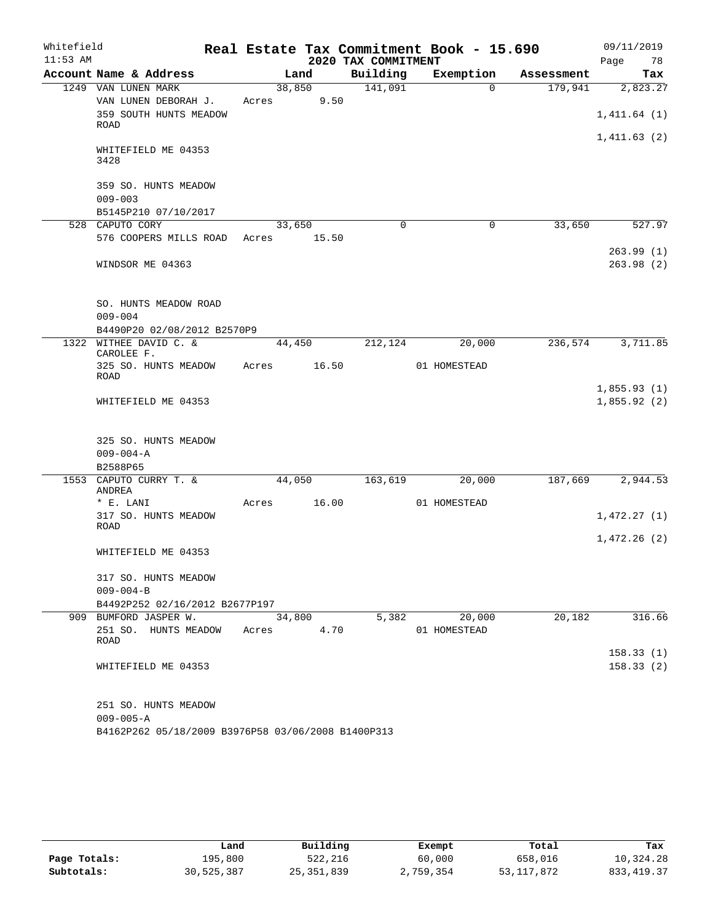| Whitefield |                                       |       |        |                     | Real Estate Tax Commitment Book - 15.690 |            | 09/11/2019  |
|------------|---------------------------------------|-------|--------|---------------------|------------------------------------------|------------|-------------|
| $11:53$ AM |                                       |       |        | 2020 TAX COMMITMENT |                                          |            | Page<br>78  |
|            | Account Name & Address                |       | Land   | Building            | Exemption                                | Assessment | Tax         |
|            | 1249 VAN LUNEN MARK                   |       | 38,850 | 141,091             | $\Omega$                                 | 179,941    | 2,823.27    |
|            | VAN LUNEN DEBORAH J.                  | Acres | 9.50   |                     |                                          |            |             |
|            | 359 SOUTH HUNTS MEADOW<br><b>ROAD</b> |       |        |                     |                                          |            | 1,411.64(1) |
|            |                                       |       |        |                     |                                          |            | 1,411.63(2) |
|            | WHITEFIELD ME 04353<br>3428           |       |        |                     |                                          |            |             |
|            | 359 SO. HUNTS MEADOW                  |       |        |                     |                                          |            |             |
|            | $009 - 003$                           |       |        |                     |                                          |            |             |
|            | B5145P210 07/10/2017                  |       |        |                     |                                          |            |             |
|            | 528 CAPUTO CORY                       |       | 33,650 | $\mathbf 0$         | $\mathbf 0$                              | 33,650     | 527.97      |
|            | 576 COOPERS MILLS ROAD                | Acres | 15.50  |                     |                                          |            |             |
|            |                                       |       |        |                     |                                          |            | 263.99(1)   |
|            | WINDSOR ME 04363                      |       |        |                     |                                          |            | 263.98(2)   |
|            | SO. HUNTS MEADOW ROAD                 |       |        |                     |                                          |            |             |
|            | $009 - 004$                           |       |        |                     |                                          |            |             |
|            | B4490P20 02/08/2012 B2570P9           |       |        |                     |                                          |            |             |
|            | 1322 WITHEE DAVID C. &<br>CAROLEE F.  |       | 44,450 | 212,124             | 20,000                                   | 236,574    | 3,711.85    |
|            | 325 SO. HUNTS MEADOW                  | Acres | 16.50  |                     | 01 HOMESTEAD                             |            |             |
|            | ROAD                                  |       |        |                     |                                          |            |             |
|            |                                       |       |        |                     |                                          |            | 1,855.93(1) |
|            | WHITEFIELD ME 04353                   |       |        |                     |                                          |            | 1,855.92(2) |
|            | 325 SO. HUNTS MEADOW                  |       |        |                     |                                          |            |             |
|            | $009 - 004 - A$                       |       |        |                     |                                          |            |             |
|            | B2588P65                              |       |        |                     |                                          |            |             |
|            | 1553 CAPUTO CURRY T. &<br>ANDREA      |       | 44,050 | 163,619             | 20,000                                   | 187,669    | 2,944.53    |
|            | * E. LANI                             | Acres | 16.00  |                     | 01 HOMESTEAD                             |            |             |
|            | 317 SO. HUNTS MEADOW<br><b>ROAD</b>   |       |        |                     |                                          |            | 1,472.27(1) |
|            |                                       |       |        |                     |                                          |            | 1,472.26(2) |
|            | WHITEFIELD ME 04353                   |       |        |                     |                                          |            |             |
|            | 317 SO. HUNTS MEADOW                  |       |        |                     |                                          |            |             |
|            | $009 - 004 - B$                       |       |        |                     |                                          |            |             |
|            | B4492P252 02/16/2012 B2677P197        |       |        |                     |                                          |            |             |
|            | 909 BUMFORD JASPER W.                 |       | 34,800 | 5,382               | 20,000                                   | 20,182     | 316.66      |
|            | 251 SO. HUNTS MEADOW<br>ROAD          | Acres | 4.70   |                     | 01 HOMESTEAD                             |            |             |
|            |                                       |       |        |                     |                                          |            | 158.33(1)   |
|            | WHITEFIELD ME 04353                   |       |        |                     |                                          |            | 158.33(2)   |
|            | 251 SO. HUNTS MEADOW                  |       |        |                     |                                          |            |             |
|            | $009 - 005 - A$                       |       |        |                     |                                          |            |             |

B4162P262 05/18/2009 B3976P58 03/06/2008 B1400P313

|              | Land       | Building   | Exempt    | Total      | Tax        |
|--------------|------------|------------|-----------|------------|------------|
| Page Totals: | 195,800    | 522,216    | 60,000    | 658,016    | 10,324.28  |
| Subtotals:   | 30,525,387 | 25,351,839 | 2,759,354 | 53,117,872 | 833,419.37 |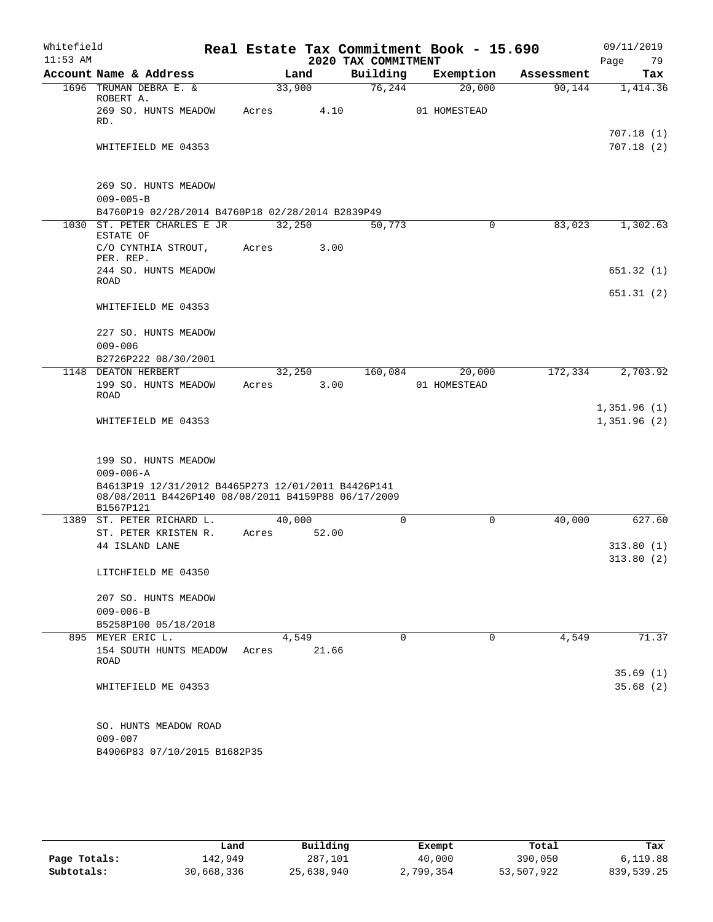| Whitefield<br>$11:53$ AM |                                                                                                                        |       |        | 2020 TAX COMMITMENT | Real Estate Tax Commitment Book - 15.690 |            | 09/11/2019<br>Page<br>79   |
|--------------------------|------------------------------------------------------------------------------------------------------------------------|-------|--------|---------------------|------------------------------------------|------------|----------------------------|
|                          | Account Name & Address                                                                                                 |       | Land   | Building            | Exemption                                | Assessment | Tax                        |
|                          | 1696 TRUMAN DEBRA E. &<br>ROBERT A.                                                                                    |       | 33,900 | 76,244              | 20,000                                   | 90,144     | 1,414.36                   |
|                          | 269 SO. HUNTS MEADOW<br>RD.                                                                                            | Acres | 4.10   |                     | 01 HOMESTEAD                             |            | 707.18(1)                  |
|                          | WHITEFIELD ME 04353                                                                                                    |       |        |                     |                                          |            | 707.18(2)                  |
|                          | 269 SO. HUNTS MEADOW<br>$009 - 005 - B$                                                                                |       |        |                     |                                          |            |                            |
|                          | B4760P19 02/28/2014 B4760P18 02/28/2014 B2839P49                                                                       |       |        |                     |                                          |            |                            |
|                          | 1030 ST. PETER CHARLES E JR<br>ESTATE OF                                                                               |       | 32,250 | 50,773              | $\mathbf 0$                              | 83,023     | 1,302.63                   |
|                          | C/O CYNTHIA STROUT,<br>PER. REP.                                                                                       | Acres | 3.00   |                     |                                          |            |                            |
|                          | 244 SO. HUNTS MEADOW<br><b>ROAD</b>                                                                                    |       |        |                     |                                          |            | 651.32(1)                  |
|                          | WHITEFIELD ME 04353                                                                                                    |       |        |                     |                                          |            | 651.31(2)                  |
|                          | 227 SO. HUNTS MEADOW<br>$009 - 006$                                                                                    |       |        |                     |                                          |            |                            |
|                          | B2726P222 08/30/2001                                                                                                   |       |        |                     |                                          |            |                            |
|                          | 1148 DEATON HERBERT                                                                                                    |       | 32,250 | 160,084             | 20,000                                   | 172,334    | 2,703.92                   |
|                          | 199 SO. HUNTS MEADOW<br><b>ROAD</b>                                                                                    | Acres | 3.00   |                     | 01 HOMESTEAD                             |            |                            |
|                          | WHITEFIELD ME 04353                                                                                                    |       |        |                     |                                          |            | 1,351.96(1)<br>1,351.96(2) |
|                          | 199 SO. HUNTS MEADOW                                                                                                   |       |        |                     |                                          |            |                            |
|                          | $009 - 006 - A$                                                                                                        |       |        |                     |                                          |            |                            |
|                          | B4613P19 12/31/2012 B4465P273 12/01/2011 B4426P141<br>08/08/2011 B4426P140 08/08/2011 B4159P88 06/17/2009<br>B1567P121 |       |        |                     |                                          |            |                            |
| 1389                     | ST. PETER RICHARD L.                                                                                                   |       | 40,000 | $\mathbf 0$         | $\mathbf 0$                              | 40,000     | 627.60                     |
|                          | ST. PETER KRISTEN R.                                                                                                   | Acres | 52.00  |                     |                                          |            |                            |
|                          | 44 ISLAND LANE                                                                                                         |       |        |                     |                                          |            | 313.80(1)                  |
|                          | LITCHFIELD ME 04350                                                                                                    |       |        |                     |                                          |            | 313.80(2)                  |
|                          | 207 SO. HUNTS MEADOW                                                                                                   |       |        |                     |                                          |            |                            |
|                          | $009 - 006 - B$<br>B5258P100 05/18/2018                                                                                |       |        |                     |                                          |            |                            |
|                          | 895 MEYER ERIC L.                                                                                                      |       | 4,549  | $\mathbf 0$         | 0                                        | 4,549      | 71.37                      |
|                          | 154 SOUTH HUNTS MEADOW<br>ROAD                                                                                         | Acres | 21.66  |                     |                                          |            |                            |
|                          |                                                                                                                        |       |        |                     |                                          |            | 35.69(1)                   |
|                          | WHITEFIELD ME 04353                                                                                                    |       |        |                     |                                          |            | 35.68(2)                   |
|                          | SO. HUNTS MEADOW ROAD                                                                                                  |       |        |                     |                                          |            |                            |
|                          | $009 - 007$                                                                                                            |       |        |                     |                                          |            |                            |
|                          | B4906P83 07/10/2015 B1682P35                                                                                           |       |        |                     |                                          |            |                            |

|              | Land       | Building   | Exempt    | Total      | Tax        |
|--------------|------------|------------|-----------|------------|------------|
| Page Totals: | 142,949    | 287,101    | 40,000    | 390,050    | 6,119.88   |
| Subtotals:   | 30,668,336 | 25,638,940 | 2,799,354 | 53,507,922 | 839,539.25 |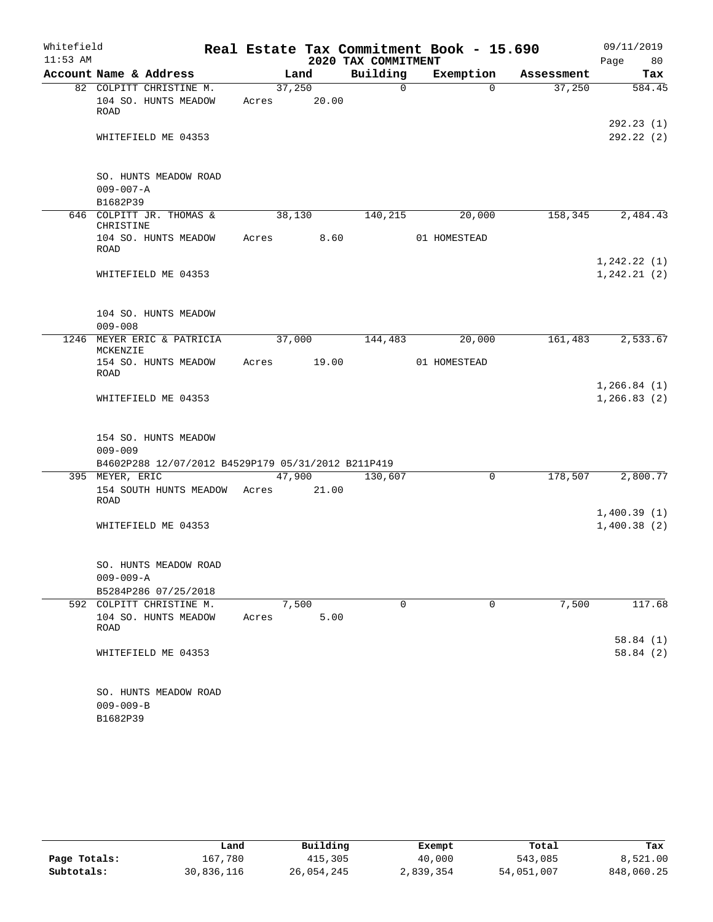| Whitefield |                                                                                           |       |                |                      | Real Estate Tax Commitment Book - 15.690 |            | 09/11/2019                   |
|------------|-------------------------------------------------------------------------------------------|-------|----------------|----------------------|------------------------------------------|------------|------------------------------|
| $11:53$ AM |                                                                                           |       |                | 2020 TAX COMMITMENT  |                                          |            | Page 80                      |
|            | Account Name & Address                                                                    |       | Land<br>37,250 | Building<br>$\Omega$ | Exemption<br>$\Omega$                    | Assessment | Tax<br>584.45                |
|            | 82 COLPITT CHRISTINE M.<br>104 SO. HUNTS MEADOW<br>ROAD                                   |       | Acres 20.00    |                      |                                          | 37,250     |                              |
|            | WHITEFIELD ME 04353                                                                       |       |                |                      |                                          |            | 292.23(1)<br>292.22(2)       |
|            | SO. HUNTS MEADOW ROAD<br>$009 - 007 - A$<br>B1682P39                                      |       |                |                      |                                          |            |                              |
|            | 646 COLPITT JR. THOMAS &<br>CHRISTINE                                                     |       | 38,130         | 140,215              | 20,000                                   | 158,345    | 2,484.43                     |
|            | 104 SO. HUNTS MEADOW<br>ROAD                                                              |       | Acres 8.60     |                      | 01 HOMESTEAD                             |            |                              |
|            | WHITEFIELD ME 04353                                                                       |       |                |                      |                                          |            | 1, 242.22(1)<br>1, 242.21(2) |
|            | 104 SO. HUNTS MEADOW<br>$009 - 008$                                                       |       |                |                      |                                          |            |                              |
|            | 1246 MEYER ERIC & PATRICIA<br>MCKENZIE                                                    |       | 37,000         | 144,483              | 20,000                                   | 161,483    | 2,533.67                     |
|            | 154 SO. HUNTS MEADOW<br>ROAD                                                              |       | Acres 19.00    |                      | 01 HOMESTEAD                             |            |                              |
|            | WHITEFIELD ME 04353                                                                       |       |                |                      |                                          |            | 1, 266.84(1)<br>1, 266.83(2) |
|            | 154 SO. HUNTS MEADOW<br>$009 - 009$<br>B4602P288 12/07/2012 B4529P179 05/31/2012 B211P419 |       |                |                      |                                          |            |                              |
|            | 395 MEYER, ERIC                                                                           |       | 47,900         | 130,607              | 0                                        | 178,507    | 2,800.77                     |
|            | 154 SOUTH HUNTS MEADOW Acres 21.00<br>ROAD                                                |       |                |                      |                                          |            |                              |
|            | WHITEFIELD ME 04353                                                                       |       |                |                      |                                          |            | 1,400.39(1)<br>1,400.38(2)   |
|            | SO. HUNTS MEADOW ROAD<br>$009 - 009 - A$                                                  |       |                |                      |                                          |            |                              |
| 592        | B5284P286 07/25/2018<br>COLPITT CHRISTINE M.                                              |       | 7,500          | 0                    | 0                                        | 7,500      | 117.68                       |
|            | 104 SO. HUNTS MEADOW<br>ROAD                                                              | Acres | 5.00           |                      |                                          |            |                              |
|            | WHITEFIELD ME 04353                                                                       |       |                |                      |                                          |            | 58.84(1)<br>58.84(2)         |
|            | SO. HUNTS MEADOW ROAD<br>$009 - 009 - B$<br>B1682P39                                      |       |                |                      |                                          |            |                              |

|              | Land       | Building   | Exempt    | Total      | Tax        |
|--------------|------------|------------|-----------|------------|------------|
| Page Totals: | 167,780    | 415,305    | 40,000    | 543,085    | 8,521.00   |
| Subtotals:   | 30,836,116 | 26,054,245 | 2,839,354 | 54,051,007 | 848,060.25 |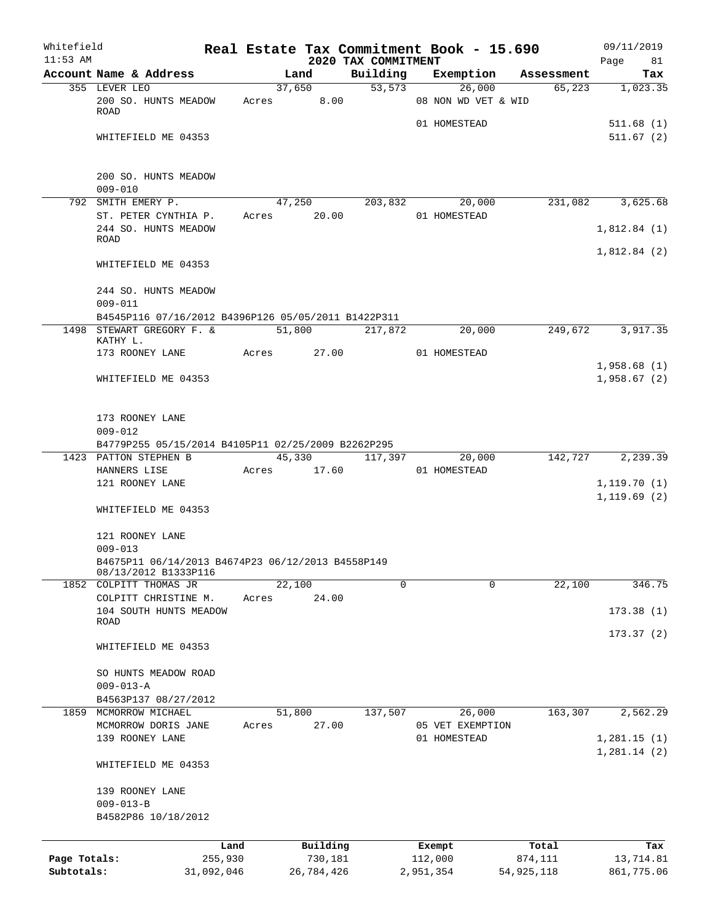| Whitefield<br>$11:53$ AM   |                                                                           |         |                       |                                 |                                  | Real Estate Tax Commitment Book - 15.690 |            | 09/11/2019              |
|----------------------------|---------------------------------------------------------------------------|---------|-----------------------|---------------------------------|----------------------------------|------------------------------------------|------------|-------------------------|
|                            | Account Name & Address                                                    |         | Land                  | 2020 TAX COMMITMENT<br>Building |                                  | Exemption                                | Assessment | Page<br>81<br>Tax       |
|                            | 355 LEVER LEO                                                             |         | 37,650                |                                 | 53, 573                          | 26,000                                   | 65,223     | 1,023.35                |
|                            | 200 SO. HUNTS MEADOW<br><b>ROAD</b>                                       |         | Acres 8.00            |                                 |                                  | 08 NON WD VET & WID                      |            |                         |
|                            | WHITEFIELD ME 04353                                                       |         |                       |                                 | 01 HOMESTEAD                     |                                          |            | 511.68(1)<br>511.67(2)  |
|                            |                                                                           |         |                       |                                 |                                  |                                          |            |                         |
|                            | 200 SO. HUNTS MEADOW<br>$009 - 010$                                       |         |                       |                                 |                                  |                                          |            |                         |
|                            | 792 SMITH EMERY P.<br>ST. PETER CYNTHIA P.                                |         | Acres 20.00           | 47,250 203,832 20,000           | 01 HOMESTEAD                     |                                          |            | 231,082 3,625.68        |
|                            | 244 SO. HUNTS MEADOW<br>ROAD                                              |         |                       |                                 |                                  |                                          |            | 1,812.84(1)             |
|                            | WHITEFIELD ME 04353                                                       |         |                       |                                 |                                  |                                          |            | 1,812.84(2)             |
|                            | 244 SO. HUNTS MEADOW                                                      |         |                       |                                 |                                  |                                          |            |                         |
|                            | $009 - 011$<br>B4545P116 07/16/2012 B4396P126 05/05/2011 B1422P311        |         |                       |                                 |                                  |                                          |            |                         |
|                            | 1498 STEWART GREGORY F. &                                                 |         | 51,800                | 217,872                         |                                  | 20,000                                   | 249,672    | 3,917.35                |
|                            | KATHY L.<br>173 ROONEY LANE                                               |         | Acres 27.00           |                                 | 01 HOMESTEAD                     |                                          |            |                         |
|                            |                                                                           |         |                       |                                 |                                  |                                          |            | 1,958.68(1)             |
|                            | WHITEFIELD ME 04353                                                       |         |                       |                                 |                                  |                                          |            | 1,958.67(2)             |
|                            | 173 ROONEY LANE<br>$009 - 012$                                            |         |                       |                                 |                                  |                                          |            |                         |
|                            | B4779P255 05/15/2014 B4105P11 02/25/2009 B2262P295                        |         |                       |                                 |                                  |                                          |            |                         |
|                            | 1423 PATTON STEPHEN B                                                     |         |                       | 45,330 117,397                  |                                  | 20,000                                   | 142,727    | 2, 239.39               |
|                            | HANNERS LISE<br>121 ROONEY LANE                                           |         | Acres 17.60           |                                 | 01 HOMESTEAD                     |                                          |            | 1, 119.70(1)            |
|                            | WHITEFIELD ME 04353                                                       |         |                       |                                 |                                  |                                          |            | 1, 119.69(2)            |
|                            | 121 ROONEY LANE                                                           |         |                       |                                 |                                  |                                          |            |                         |
|                            | $009 - 013$                                                               |         |                       |                                 |                                  |                                          |            |                         |
|                            | B4675P11 06/14/2013 B4674P23 06/12/2013 B4558P149<br>08/13/2012 B1333P116 |         |                       |                                 |                                  |                                          |            |                         |
|                            | 1852 COLPITT THOMAS JR                                                    |         | 22,100                |                                 | $\mathbf 0$                      | $\Omega$                                 | 22,100     | 346.75                  |
|                            | COLPITT CHRISTINE M.<br>104 SOUTH HUNTS MEADOW                            | Acres   | 24.00                 |                                 |                                  |                                          |            | 173.38(1)               |
|                            | ROAD<br>WHITEFIELD ME 04353                                               |         |                       |                                 |                                  |                                          |            | 173.37(2)               |
|                            | SO HUNTS MEADOW ROAD                                                      |         |                       |                                 |                                  |                                          |            |                         |
|                            | $009 - 013 - A$                                                           |         |                       |                                 |                                  |                                          |            |                         |
|                            | B4563P137 08/27/2012                                                      |         |                       |                                 |                                  |                                          |            |                         |
|                            | 1859 MCMORROW MICHAEL                                                     |         | 51,800                | 137,507                         |                                  | 26,000                                   | 163,307    | 2,562.29                |
|                            | MCMORROW DORIS JANE<br>139 ROONEY LANE                                    | Acres   | 27.00                 |                                 | 05 VET EXEMPTION<br>01 HOMESTEAD |                                          |            | 1,281.15(1)             |
|                            | WHITEFIELD ME 04353                                                       |         |                       |                                 |                                  |                                          |            | 1,281.14(2)             |
|                            | 139 ROONEY LANE                                                           |         |                       |                                 |                                  |                                          |            |                         |
|                            | $009 - 013 - B$<br>B4582P86 10/18/2012                                    |         |                       |                                 |                                  |                                          |            |                         |
|                            |                                                                           | Land    | Building              |                                 | Exempt                           | Total                                    |            | Tax                     |
| Page Totals:<br>Subtotals: | 31,092,046                                                                | 255,930 | 730,181<br>26,784,426 |                                 | 112,000<br>2,951,354             | 874,111<br>54, 925, 118                  |            | 13,714.81<br>861,775.06 |
|                            |                                                                           |         |                       |                                 |                                  |                                          |            |                         |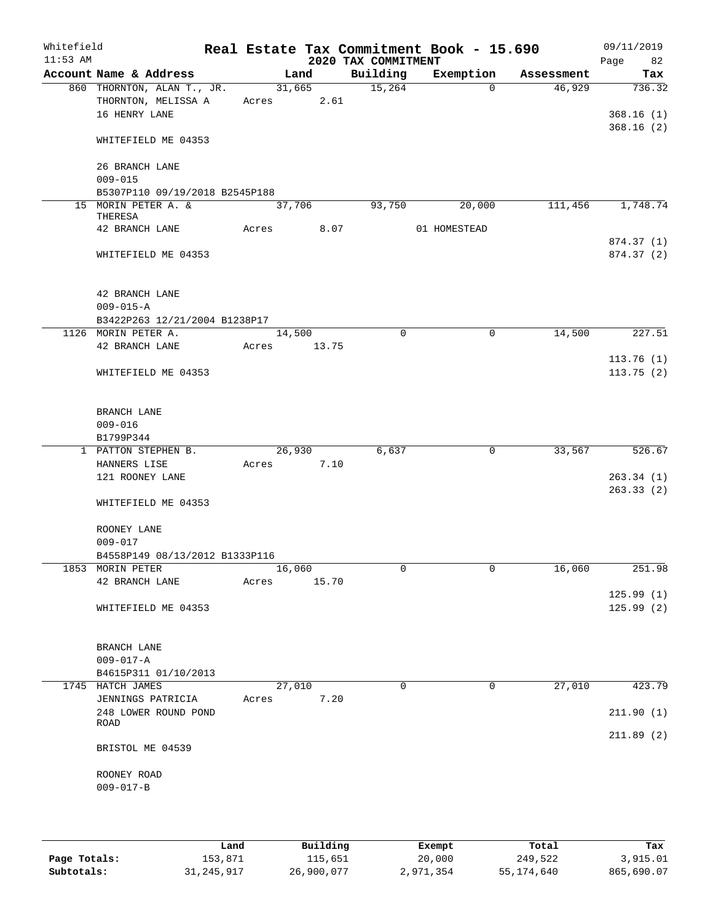| Whitefield<br>$11:53$ AM |                                                       |            |        |       | 2020 TAX COMMITMENT | Real Estate Tax Commitment Book - 15.690 |            | 09/11/2019<br>Page<br>82 |
|--------------------------|-------------------------------------------------------|------------|--------|-------|---------------------|------------------------------------------|------------|--------------------------|
|                          | Account Name & Address                                |            | Land   |       | Building            | Exemption                                | Assessment | Tax                      |
|                          | 860 THORNTON, ALAN T., JR.                            |            | 31,665 |       | 15,264              | $\Omega$                                 | 46,929     | 736.32                   |
|                          | THORNTON, MELISSA A                                   | Acres 2.61 |        |       |                     |                                          |            |                          |
|                          | 16 HENRY LANE                                         |            |        |       |                     |                                          |            | 368.16(1)                |
|                          | WHITEFIELD ME 04353                                   |            |        |       |                     |                                          |            | 368.16(2)                |
|                          | 26 BRANCH LANE                                        |            |        |       |                     |                                          |            |                          |
|                          | $009 - 015$                                           |            |        |       |                     |                                          |            |                          |
|                          | B5307P110 09/19/2018 B2545P188<br>15 MORIN PETER A. & |            | 37,706 |       | 93,750              | 20,000                                   | 111,456    | 1,748.74                 |
|                          | THERESA                                               |            |        |       |                     |                                          |            |                          |
|                          | 42 BRANCH LANE                                        | Acres      |        | 8.07  |                     | 01 HOMESTEAD                             |            |                          |
|                          |                                                       |            |        |       |                     |                                          |            | 874.37 (1)               |
|                          | WHITEFIELD ME 04353                                   |            |        |       |                     |                                          |            | 874.37(2)                |
|                          | 42 BRANCH LANE                                        |            |        |       |                     |                                          |            |                          |
|                          | $009 - 015 - A$                                       |            |        |       |                     |                                          |            |                          |
|                          | B3422P263 12/21/2004 B1238P17                         |            |        |       |                     |                                          |            |                          |
|                          | 1126 MORIN PETER A.<br>42 BRANCH LANE                 | Acres      | 14,500 | 13.75 | $\mathbf 0$         | $\mathbf 0$                              | 14,500     | 227.51                   |
|                          |                                                       |            |        |       |                     |                                          |            | 113.76(1)                |
|                          | WHITEFIELD ME 04353                                   |            |        |       |                     |                                          |            | 113.75(2)                |
|                          |                                                       |            |        |       |                     |                                          |            |                          |
|                          | BRANCH LANE                                           |            |        |       |                     |                                          |            |                          |
|                          | $009 - 016$                                           |            |        |       |                     |                                          |            |                          |
|                          | B1799P344                                             |            |        |       |                     |                                          |            |                          |
|                          | 1 PATTON STEPHEN B.                                   |            | 26,930 | 7.10  | 6,637               | 0                                        | 33,567     | 526.67                   |
|                          | HANNERS LISE<br>121 ROONEY LANE                       | Acres      |        |       |                     |                                          |            | 263.34(1)                |
|                          |                                                       |            |        |       |                     |                                          |            | 263.33(2)                |
|                          | WHITEFIELD ME 04353                                   |            |        |       |                     |                                          |            |                          |
|                          | ROONEY LANE                                           |            |        |       |                     |                                          |            |                          |
|                          | $009 - 017$                                           |            |        |       |                     |                                          |            |                          |
|                          | B4558P149 08/13/2012 B1333P116                        |            |        |       |                     |                                          |            |                          |
|                          | 1853 MORIN PETER                                      |            | 16,060 |       | 0                   | 0                                        | 16,060     | 251.98                   |
|                          | 42 BRANCH LANE                                        | Acres      |        | 15.70 |                     |                                          |            |                          |
|                          | WHITEFIELD ME 04353                                   |            |        |       |                     |                                          |            | 125.99(1)<br>125.99(2)   |
|                          |                                                       |            |        |       |                     |                                          |            |                          |
|                          | BRANCH LANE                                           |            |        |       |                     |                                          |            |                          |
|                          | $009 - 017 - A$                                       |            |        |       |                     |                                          |            |                          |
|                          | B4615P311 01/10/2013                                  |            |        |       |                     |                                          |            |                          |
|                          | 1745 HATCH JAMES                                      |            | 27,010 |       | $\Omega$            | 0                                        | 27,010     | 423.79                   |
|                          | JENNINGS PATRICIA                                     | Acres      |        | 7.20  |                     |                                          |            |                          |
|                          | 248 LOWER ROUND POND<br><b>ROAD</b>                   |            |        |       |                     |                                          |            | 211.90(1)                |
|                          |                                                       |            |        |       |                     |                                          |            | 211.89(2)                |
|                          | BRISTOL ME 04539                                      |            |        |       |                     |                                          |            |                          |
|                          | ROONEY ROAD                                           |            |        |       |                     |                                          |            |                          |
|                          | $009 - 017 - B$                                       |            |        |       |                     |                                          |            |                          |
|                          |                                                       |            |        |       |                     |                                          |            |                          |
|                          |                                                       |            |        |       |                     |                                          |            |                          |
|                          |                                                       |            |        |       |                     |                                          |            |                          |

|              | Land         | Building   | Exempt    | Total      | Tax        |
|--------------|--------------|------------|-----------|------------|------------|
| Page Totals: | 153,871      | 115,651    | 20,000    | 249,522    | 3,915.01   |
| Subtotals:   | 31, 245, 917 | 26,900,077 | 2,971,354 | 55,174,640 | 865,690.07 |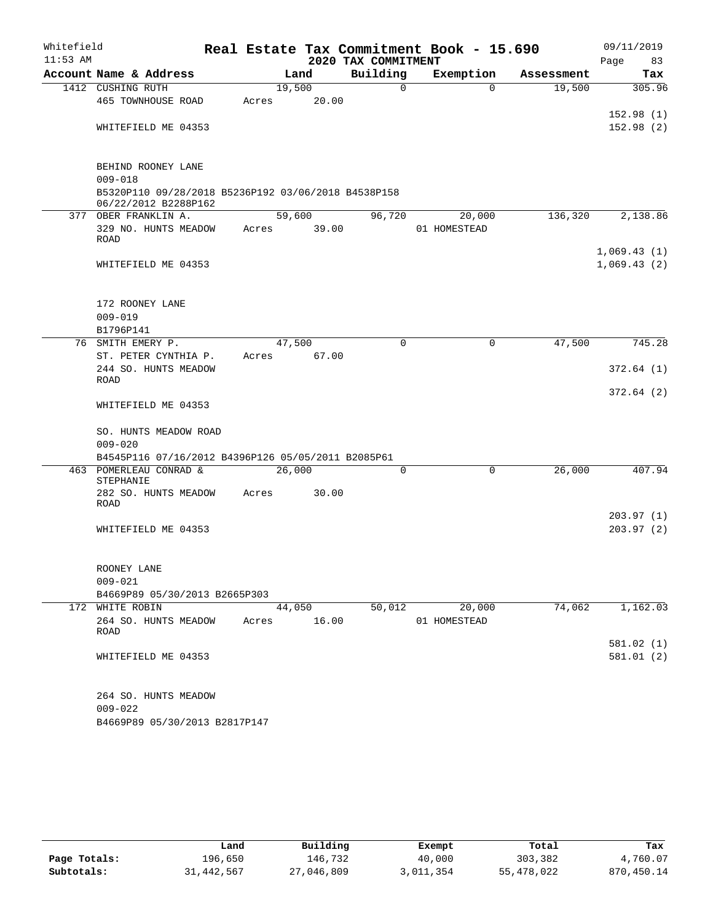| Whitefield<br>$11:53$ AM |                                                                             |       |        | 2020 TAX COMMITMENT | Real Estate Tax Commitment Book - 15.690 |            | 09/11/2019<br>83<br>Page   |
|--------------------------|-----------------------------------------------------------------------------|-------|--------|---------------------|------------------------------------------|------------|----------------------------|
|                          | Account Name & Address                                                      |       | Land   | Building            | Exemption                                | Assessment | Tax                        |
|                          | 1412 CUSHING RUTH                                                           |       | 19,500 | 0                   | $\Omega$                                 | 19,500     | 305.96                     |
|                          | 465 TOWNHOUSE ROAD                                                          | Acres | 20.00  |                     |                                          |            |                            |
|                          |                                                                             |       |        |                     |                                          |            | 152.98(1)                  |
|                          | WHITEFIELD ME 04353                                                         |       |        |                     |                                          |            | 152.98(2)                  |
|                          | BEHIND ROONEY LANE                                                          |       |        |                     |                                          |            |                            |
|                          | $009 - 018$                                                                 |       |        |                     |                                          |            |                            |
|                          | B5320P110 09/28/2018 B5236P192 03/06/2018 B4538P158<br>06/22/2012 B2288P162 |       |        |                     |                                          |            |                            |
|                          | 377 OBER FRANKLIN A.                                                        |       | 59,600 | 96,720              | 20,000                                   | 136,320    | 2,138.86                   |
|                          | 329 NO. HUNTS MEADOW<br><b>ROAD</b>                                         | Acres | 39.00  |                     | 01 HOMESTEAD                             |            |                            |
|                          | WHITEFIELD ME 04353                                                         |       |        |                     |                                          |            | 1,069.43(1)<br>1,069.43(2) |
|                          | 172 ROONEY LANE                                                             |       |        |                     |                                          |            |                            |
|                          | $009 - 019$                                                                 |       |        |                     |                                          |            |                            |
|                          | B1796P141                                                                   |       |        |                     |                                          |            |                            |
|                          | 76 SMITH EMERY P.                                                           |       | 47,500 | $\Omega$            | $\mathbf 0$                              | 47,500     | 745.28                     |
|                          | ST. PETER CYNTHIA P.                                                        | Acres | 67.00  |                     |                                          |            |                            |
|                          | 244 SO. HUNTS MEADOW<br><b>ROAD</b>                                         |       |        |                     |                                          |            | 372.64(1)                  |
|                          | WHITEFIELD ME 04353                                                         |       |        |                     |                                          |            | 372.64(2)                  |
|                          | SO. HUNTS MEADOW ROAD<br>$009 - 020$                                        |       |        |                     |                                          |            |                            |
|                          | B4545P116 07/16/2012 B4396P126 05/05/2011 B2085P61                          |       |        |                     |                                          |            |                            |
|                          | 463 POMERLEAU CONRAD &<br>STEPHANIE                                         |       | 26,000 | $\Omega$            | $\mathbf 0$                              | 26,000     | 407.94                     |
|                          | 282 SO. HUNTS MEADOW<br><b>ROAD</b>                                         | Acres | 30.00  |                     |                                          |            |                            |
|                          |                                                                             |       |        |                     |                                          |            | 203.97(1)                  |
|                          | WHITEFIELD ME 04353                                                         |       |        |                     |                                          |            | 203.97(2)                  |
|                          | ROONEY LANE                                                                 |       |        |                     |                                          |            |                            |
|                          | $009 - 021$                                                                 |       |        |                     |                                          |            |                            |
|                          | B4669P89 05/30/2013 B2665P303                                               |       |        |                     |                                          |            |                            |
|                          | 172 WHITE ROBIN                                                             |       | 44,050 | 50,012              | 20,000                                   | 74,062     | 1,162.03                   |
|                          | 264 SO. HUNTS MEADOW<br><b>ROAD</b>                                         | Acres | 16.00  |                     | 01 HOMESTEAD                             |            | 581.02 (1)                 |
|                          | WHITEFIELD ME 04353                                                         |       |        |                     |                                          |            | 581.01 (2)                 |
|                          | 264 SO. HUNTS MEADOW                                                        |       |        |                     |                                          |            |                            |
|                          | $009 - 022$                                                                 |       |        |                     |                                          |            |                            |
|                          | B4669P89 05/30/2013 B2817P147                                               |       |        |                     |                                          |            |                            |

|              | Land       | Building   | Exempt    | Total      | Tax        |
|--------------|------------|------------|-----------|------------|------------|
| Page Totals: | 196,650    | 146,732    | 40,000    | 303,382    | 4,760.07   |
| Subtotals:   | 31,442,567 | 27,046,809 | 3,011,354 | 55,478,022 | 870,450.14 |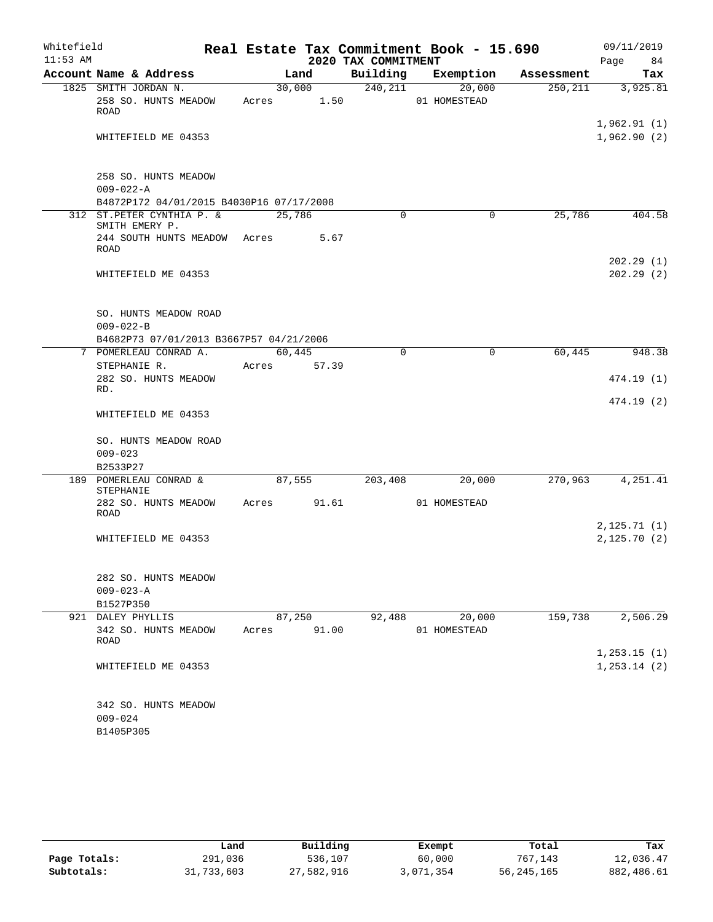| Whitefield<br>$11:53$ AM |                                                                                     |        |                 | 2020 TAX COMMITMENT | Real Estate Tax Commitment Book - 15.690 |            | 09/11/2019<br>Page<br>84      |
|--------------------------|-------------------------------------------------------------------------------------|--------|-----------------|---------------------|------------------------------------------|------------|-------------------------------|
|                          | Account Name & Address                                                              |        | Land            | Building            | Exemption                                | Assessment | Tax                           |
|                          | 1825 SMITH JORDAN N.<br>258 SO. HUNTS MEADOW<br><b>ROAD</b>                         | Acres  | 30,000<br>1.50  | 240, 211            | 20,000<br>01 HOMESTEAD                   | 250, 211   | 3,925.81                      |
|                          | WHITEFIELD ME 04353                                                                 |        |                 |                     |                                          |            | 1,962.91(1)<br>1,962.90(2)    |
|                          | 258 SO. HUNTS MEADOW<br>$009 - 022 - A$<br>B4872P172 04/01/2015 B4030P16 07/17/2008 |        |                 |                     |                                          |            |                               |
|                          | 312 ST.PETER CYNTHIA P. &                                                           | 25,786 |                 | 0                   | 0                                        | 25,786     | 404.58                        |
|                          | SMITH EMERY P.<br>244 SOUTH HUNTS MEADOW Acres                                      |        | 5.67            |                     |                                          |            |                               |
|                          | ROAD                                                                                |        |                 |                     |                                          |            |                               |
|                          | WHITEFIELD ME 04353                                                                 |        |                 |                     |                                          |            | 202.29(1)<br>202.29(2)        |
|                          | SO. HUNTS MEADOW ROAD<br>$009 - 022 - B$                                            |        |                 |                     |                                          |            |                               |
|                          | B4682P73 07/01/2013 B3667P57 04/21/2006<br>7 POMERLEAU CONRAD A.                    | 60,445 |                 | 0                   | 0                                        | 60,445     | 948.38                        |
|                          | STEPHANIE R.<br>282 SO. HUNTS MEADOW                                                | Acres  | 57.39           |                     |                                          |            | 474.19 (1)                    |
|                          | RD.                                                                                 |        |                 |                     |                                          |            | 474.19 (2)                    |
|                          | WHITEFIELD ME 04353                                                                 |        |                 |                     |                                          |            |                               |
|                          | SO. HUNTS MEADOW ROAD<br>$009 - 023$                                                |        |                 |                     |                                          |            |                               |
|                          | B2533P27                                                                            |        |                 |                     |                                          |            |                               |
|                          | 189 POMERLEAU CONRAD &<br>STEPHANIE                                                 | 87,555 |                 | 203,408             | 20,000                                   | 270,963    | 4,251.41                      |
|                          | 282 SO. HUNTS MEADOW<br>ROAD                                                        | Acres  | 91.61           |                     | 01 HOMESTEAD                             |            |                               |
|                          | WHITEFIELD ME 04353                                                                 |        |                 |                     |                                          |            | 2, 125.71(1)<br>2,125.70(2)   |
|                          | 282 SO. HUNTS MEADOW                                                                |        |                 |                     |                                          |            |                               |
|                          | $009 - 023 - A$                                                                     |        |                 |                     |                                          |            |                               |
|                          | B1527P350                                                                           |        |                 |                     |                                          |            |                               |
|                          | 921 DALEY PHYLLIS<br>342 SO. HUNTS MEADOW<br>ROAD                                   | Acres  | 87,250<br>91.00 | 92,488              | 20,000<br>01 HOMESTEAD                   | 159,738    | 2,506.29                      |
|                          | WHITEFIELD ME 04353                                                                 |        |                 |                     |                                          |            | 1, 253.15(1)<br>1, 253.14 (2) |
|                          | 342 SO. HUNTS MEADOW<br>$009 - 024$<br>B1405P305                                    |        |                 |                     |                                          |            |                               |

|              | Land       | Building   | Exempt    | Total      | Tax        |
|--------------|------------|------------|-----------|------------|------------|
| Page Totals: | 291,036    | 536,107    | 60,000    | 767,143    | 12,036.47  |
| Subtotals:   | 31,733,603 | 27,582,916 | 3,071,354 | 56,245,165 | 882,486.61 |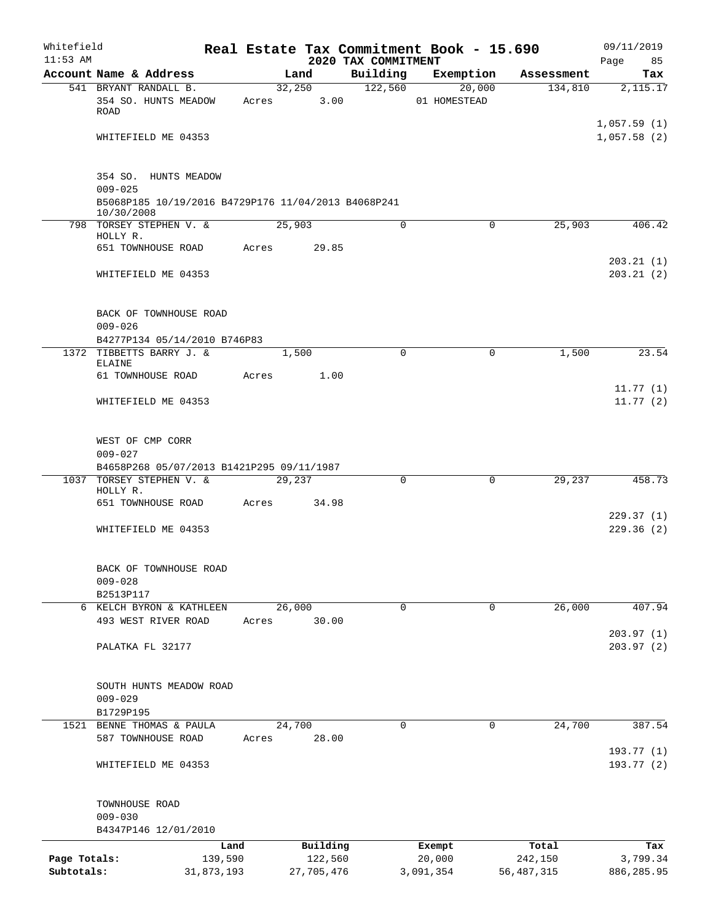| Whitefield                 |                                                                   |                       |                       |                                 | Real Estate Tax Commitment Book - 15.690 |                         | 09/11/2019                 |
|----------------------------|-------------------------------------------------------------------|-----------------------|-----------------------|---------------------------------|------------------------------------------|-------------------------|----------------------------|
| $11:53$ AM                 | Account Name & Address                                            |                       | Land                  | 2020 TAX COMMITMENT<br>Building | Exemption                                | Assessment              | Page<br>85<br>Tax          |
|                            | 541 BRYANT RANDALL B.                                             |                       | 32,250                | 122,560                         | 20,000                                   | 134,810                 | 2,115.17                   |
|                            | 354 SO. HUNTS MEADOW<br>ROAD                                      | Acres                 | 3.00                  |                                 | 01 HOMESTEAD                             |                         |                            |
|                            | WHITEFIELD ME 04353                                               |                       |                       |                                 |                                          |                         | 1,057.59(1)<br>1,057.58(2) |
|                            | 354 SO. HUNTS MEADOW<br>$009 - 025$                               |                       |                       |                                 |                                          |                         |                            |
|                            | B5068P185 10/19/2016 B4729P176 11/04/2013 B4068P241<br>10/30/2008 |                       |                       |                                 |                                          |                         |                            |
|                            | 798 TORSEY STEPHEN V. &<br>HOLLY R.                               |                       | 25,903                | $\mathbf 0$                     | $\mathbf 0$                              | 25,903                  | 406.42                     |
|                            | 651 TOWNHOUSE ROAD                                                | Acres                 | 29.85                 |                                 |                                          |                         | 203.21(1)                  |
|                            | WHITEFIELD ME 04353                                               |                       |                       |                                 |                                          |                         | 203.21(2)                  |
|                            | BACK OF TOWNHOUSE ROAD<br>$009 - 026$                             |                       |                       |                                 |                                          |                         |                            |
|                            | B4277P134 05/14/2010 B746P83                                      |                       |                       |                                 |                                          |                         |                            |
|                            | 1372 TIBBETTS BARRY J. &<br>ELAINE                                |                       | 1,500                 | $\Omega$                        | $\mathbf 0$                              | 1,500                   | 23.54                      |
|                            | 61 TOWNHOUSE ROAD                                                 | Acres                 | 1.00                  |                                 |                                          |                         | 11.77(1)                   |
|                            | WHITEFIELD ME 04353                                               |                       |                       |                                 |                                          |                         | 11.77(2)                   |
|                            | WEST OF CMP CORR<br>$009 - 027$                                   |                       |                       |                                 |                                          |                         |                            |
|                            | B4658P268 05/07/2013 B1421P295 09/11/1987                         |                       |                       |                                 |                                          |                         |                            |
| 1037                       | TORSEY STEPHEN V. &<br>HOLLY R.                                   |                       | 29,237                | $\mathbf 0$                     | $\Omega$                                 | 29,237                  | 458.73                     |
|                            | 651 TOWNHOUSE ROAD                                                | Acres                 | 34.98                 |                                 |                                          |                         | 229.37(1)                  |
|                            | WHITEFIELD ME 04353                                               |                       |                       |                                 |                                          |                         | 229.36(2)                  |
|                            | BACK OF TOWNHOUSE ROAD<br>$009 - 028$                             |                       |                       |                                 |                                          |                         |                            |
|                            | B2513P117                                                         |                       |                       |                                 |                                          |                         |                            |
|                            | 6 KELCH BYRON & KATHLEEN                                          |                       | 26,000                | $\mathbf 0$                     | 0                                        | 26,000                  | 407.94                     |
|                            | 493 WEST RIVER ROAD                                               | Acres                 | 30.00                 |                                 |                                          |                         | 203.97(1)                  |
|                            | PALATKA FL 32177                                                  |                       |                       |                                 |                                          |                         | 203.97(2)                  |
|                            | SOUTH HUNTS MEADOW ROAD<br>$009 - 029$                            |                       |                       |                                 |                                          |                         |                            |
|                            | B1729P195                                                         |                       |                       |                                 |                                          |                         |                            |
|                            | 1521 BENNE THOMAS & PAULA<br>587 TOWNHOUSE ROAD                   | Acres                 | 24,700<br>28.00       | $\mathbf 0$                     | 0                                        | 24,700                  | 387.54                     |
|                            | WHITEFIELD ME 04353                                               |                       |                       |                                 |                                          |                         | 193.77 (1)<br>193.77(2)    |
|                            | TOWNHOUSE ROAD<br>$009 - 030$                                     |                       |                       |                                 |                                          |                         |                            |
|                            | B4347P146 12/01/2010                                              |                       |                       |                                 |                                          |                         |                            |
|                            |                                                                   | Land                  | Building              |                                 | Exempt                                   | Total                   | Tax                        |
| Page Totals:<br>Subtotals: |                                                                   | 139,590<br>31,873,193 | 122,560<br>27,705,476 |                                 | 20,000<br>3,091,354                      | 242,150<br>56, 487, 315 | 3,799.34<br>886,285.95     |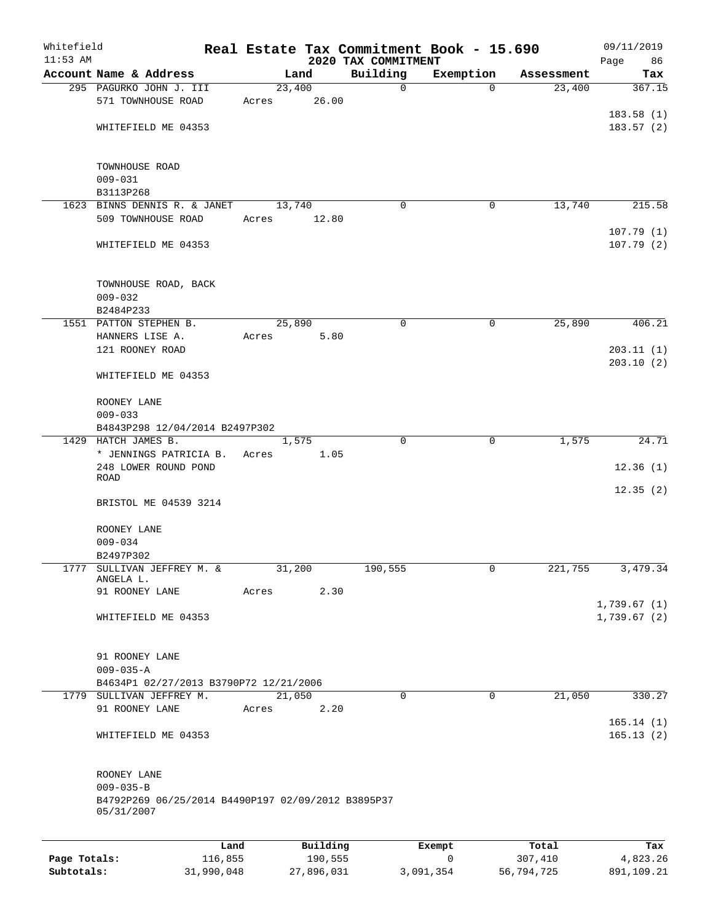| Whitefield<br>$11:53$ AM |                                                                  |       |          |                                 | Real Estate Tax Commitment Book - 15.690 |            | 09/11/2019             |
|--------------------------|------------------------------------------------------------------|-------|----------|---------------------------------|------------------------------------------|------------|------------------------|
|                          | Account Name & Address                                           |       | Land     | 2020 TAX COMMITMENT<br>Building | Exemption                                | Assessment | 86<br>Page<br>Tax      |
|                          | 295 PAGURKO JOHN J. III                                          |       | 23,400   | 0                               | $\mathbf 0$                              | 23,400     | 367.15                 |
|                          | 571 TOWNHOUSE ROAD                                               | Acres | 26.00    |                                 |                                          |            |                        |
|                          |                                                                  |       |          |                                 |                                          |            | 183.58(1)              |
|                          | WHITEFIELD ME 04353                                              |       |          |                                 |                                          |            | 183.57(2)              |
|                          |                                                                  |       |          |                                 |                                          |            |                        |
|                          | TOWNHOUSE ROAD                                                   |       |          |                                 |                                          |            |                        |
|                          | $009 - 031$<br>B3113P268                                         |       |          |                                 |                                          |            |                        |
|                          | 1623 BINNS DENNIS R. & JANET                                     |       | 13,740   | $\Omega$                        | 0                                        | 13,740     | 215.58                 |
|                          | 509 TOWNHOUSE ROAD                                               | Acres | 12.80    |                                 |                                          |            |                        |
|                          | WHITEFIELD ME 04353                                              |       |          |                                 |                                          |            | 107.79(1)<br>107.79(2) |
|                          |                                                                  |       |          |                                 |                                          |            |                        |
|                          | TOWNHOUSE ROAD, BACK<br>$009 - 032$                              |       |          |                                 |                                          |            |                        |
|                          | B2484P233                                                        |       |          |                                 |                                          |            |                        |
|                          | 1551 PATTON STEPHEN B.                                           |       | 25,890   | 0                               | 0                                        | 25,890     | 406.21                 |
|                          | HANNERS LISE A.                                                  | Acres | 5.80     |                                 |                                          |            |                        |
|                          | 121 ROONEY ROAD                                                  |       |          |                                 |                                          |            | 203.11(1)              |
|                          | WHITEFIELD ME 04353                                              |       |          |                                 |                                          |            | 203.10(2)              |
|                          | ROONEY LANE                                                      |       |          |                                 |                                          |            |                        |
|                          | $009 - 033$<br>B4843P298 12/04/2014 B2497P302                    |       |          |                                 |                                          |            |                        |
|                          | 1429 HATCH JAMES B.                                              |       | 1,575    | $\Omega$                        | $\mathbf 0$                              | 1,575      | 24.71                  |
|                          | * JENNINGS PATRICIA B.                                           | Acres | 1.05     |                                 |                                          |            |                        |
|                          | 248 LOWER ROUND POND<br>ROAD                                     |       |          |                                 |                                          |            | 12.36(1)               |
|                          | BRISTOL ME 04539 3214                                            |       |          |                                 |                                          |            | 12.35(2)               |
|                          | ROONEY LANE                                                      |       |          |                                 |                                          |            |                        |
|                          | $009 - 034$                                                      |       |          |                                 |                                          |            |                        |
| 1777                     | B2497P302                                                        |       |          |                                 | $\mathbf{0}$                             |            |                        |
|                          | SULLIVAN JEFFREY M. &<br>ANGELA L.                               |       | 31,200   | 190,555                         |                                          | 221,755    | 3,479.34               |
|                          | 91 ROONEY LANE                                                   | Acres | 2.30     |                                 |                                          |            | 1,739.67(1)            |
|                          | WHITEFIELD ME 04353                                              |       |          |                                 |                                          |            | 1,739.67(2)            |
|                          | 91 ROONEY LANE                                                   |       |          |                                 |                                          |            |                        |
|                          | $009 - 035 - A$                                                  |       |          |                                 |                                          |            |                        |
|                          | B4634P1 02/27/2013 B3790P72 12/21/2006                           |       |          |                                 |                                          |            |                        |
|                          | 1779 SULLIVAN JEFFREY M.                                         |       | 21,050   | $\mathbf 0$                     | $\mathbf 0$                              | 21,050     | 330.27                 |
|                          | 91 ROONEY LANE                                                   | Acres | 2.20     |                                 |                                          |            | 165.14(1)              |
|                          | WHITEFIELD ME 04353                                              |       |          |                                 |                                          |            | 165.13(2)              |
|                          | ROONEY LANE                                                      |       |          |                                 |                                          |            |                        |
|                          | $009 - 035 - B$                                                  |       |          |                                 |                                          |            |                        |
|                          | B4792P269 06/25/2014 B4490P197 02/09/2012 B3895P37<br>05/31/2007 |       |          |                                 |                                          |            |                        |
|                          |                                                                  |       |          |                                 |                                          |            |                        |
|                          | Land                                                             |       | Building |                                 | Exempt                                   | Total      | Tax                    |
| Page Totals:             | 116,855                                                          |       | 190,555  |                                 | 0                                        | 307,410    | 4,823.26               |

**Subtotals:** 31,990,048 27,896,031 3,091,354 56,794,725 891,109.21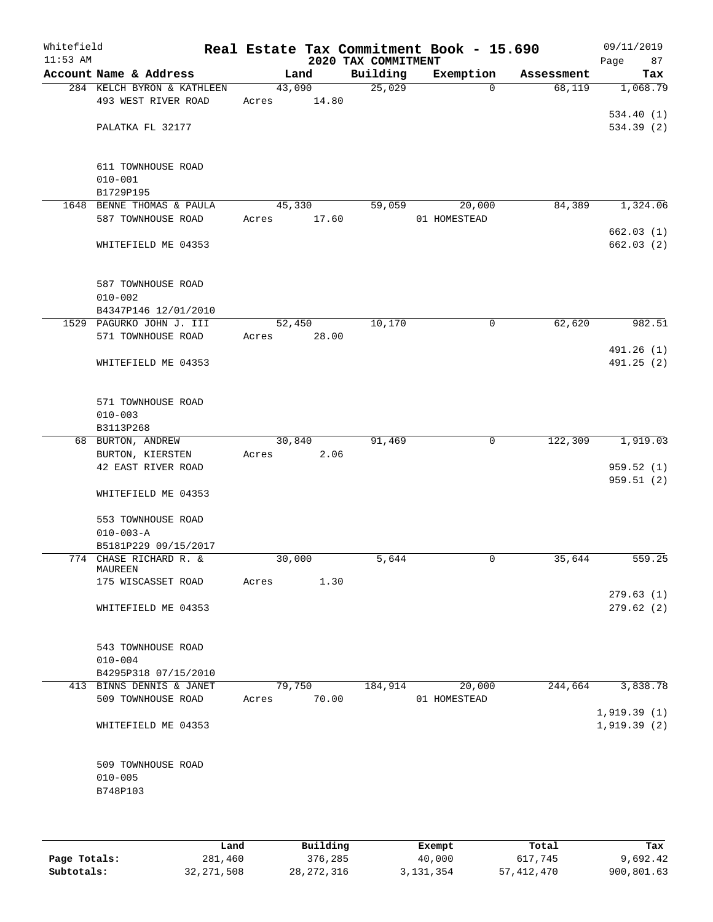| Whitefield<br>$11:53$ AM |                                                  |        |        | 2020 TAX COMMITMENT | Real Estate Tax Commitment Book - 15.690 |            | 09/11/2019<br>Page<br>87 |
|--------------------------|--------------------------------------------------|--------|--------|---------------------|------------------------------------------|------------|--------------------------|
|                          | Account Name & Address                           |        | Land   | Building            | Exemption                                | Assessment | Tax                      |
|                          | 284 KELCH BYRON & KATHLEEN                       | 43,090 |        | 25,029              | $\Omega$                                 | 68,119     | 1,068.79                 |
|                          | 493 WEST RIVER ROAD                              | Acres  | 14.80  |                     |                                          |            |                          |
|                          |                                                  |        |        |                     |                                          |            | 534.40(1)                |
|                          | PALATKA FL 32177                                 |        |        |                     |                                          |            | 534.39(2)                |
|                          |                                                  |        |        |                     |                                          |            |                          |
|                          |                                                  |        |        |                     |                                          |            |                          |
|                          | 611 TOWNHOUSE ROAD<br>$010 - 001$                |        |        |                     |                                          |            |                          |
|                          | B1729P195                                        |        |        |                     |                                          |            |                          |
|                          | 1648 BENNE THOMAS & PAULA                        | 45,330 |        | 59,059              | 20,000                                   | 84,389     | 1,324.06                 |
|                          | 587 TOWNHOUSE ROAD                               | Acres  | 17.60  |                     | 01 HOMESTEAD                             |            |                          |
|                          |                                                  |        |        |                     |                                          |            | 662.03(1)                |
|                          | WHITEFIELD ME 04353                              |        |        |                     |                                          |            | 662.03(2)                |
|                          |                                                  |        |        |                     |                                          |            |                          |
|                          |                                                  |        |        |                     |                                          |            |                          |
|                          | 587 TOWNHOUSE ROAD                               |        |        |                     |                                          |            |                          |
|                          | $010 - 002$                                      |        |        |                     |                                          |            |                          |
|                          | B4347P146 12/01/2010<br>1529 PAGURKO JOHN J. III |        | 52,450 | 10,170              | 0                                        | 62,620     | 982.51                   |
|                          | 571 TOWNHOUSE ROAD                               | Acres  | 28.00  |                     |                                          |            |                          |
|                          |                                                  |        |        |                     |                                          |            | 491.26 (1)               |
|                          | WHITEFIELD ME 04353                              |        |        |                     |                                          |            | 491.25(2)                |
|                          |                                                  |        |        |                     |                                          |            |                          |
|                          |                                                  |        |        |                     |                                          |            |                          |
|                          | 571 TOWNHOUSE ROAD                               |        |        |                     |                                          |            |                          |
|                          | $010 - 003$                                      |        |        |                     |                                          |            |                          |
|                          | B3113P268                                        |        |        |                     |                                          |            |                          |
|                          | 68 BURTON, ANDREW                                | 30,840 |        | 91,469              | 0                                        | 122,309    | 1,919.03                 |
|                          | BURTON, KIERSTEN                                 | Acres  | 2.06   |                     |                                          |            |                          |
|                          | 42 EAST RIVER ROAD                               |        |        |                     |                                          |            | 959.52(1)                |
|                          | WHITEFIELD ME 04353                              |        |        |                     |                                          |            | 959.51 (2)               |
|                          |                                                  |        |        |                     |                                          |            |                          |
|                          | 553 TOWNHOUSE ROAD                               |        |        |                     |                                          |            |                          |
|                          | $010 - 003 - A$                                  |        |        |                     |                                          |            |                          |
|                          | B5181P229 09/15/2017                             |        |        |                     |                                          |            |                          |
|                          | 774 CHASE RICHARD R. &                           | 30,000 |        | 5,644               | 0                                        | 35,644     | 559.25                   |
|                          | MAUREEN                                          |        |        |                     |                                          |            |                          |
|                          | 175 WISCASSET ROAD                               | Acres  | 1.30   |                     |                                          |            |                          |
|                          | WHITEFIELD ME 04353                              |        |        |                     |                                          |            | 279.63(1)<br>279.62(2)   |
|                          |                                                  |        |        |                     |                                          |            |                          |
|                          |                                                  |        |        |                     |                                          |            |                          |
|                          | 543 TOWNHOUSE ROAD                               |        |        |                     |                                          |            |                          |
|                          | $010 - 004$                                      |        |        |                     |                                          |            |                          |
|                          | B4295P318 07/15/2010                             |        |        |                     |                                          |            |                          |
|                          | 413 BINNS DENNIS & JANET                         | 79,750 |        | 184,914             | 20,000                                   | 244,664    | 3,838.78                 |
|                          | 509 TOWNHOUSE ROAD                               | Acres  | 70.00  |                     | 01 HOMESTEAD                             |            |                          |
|                          |                                                  |        |        |                     |                                          |            | 1,919.39(1)              |
|                          | WHITEFIELD ME 04353                              |        |        |                     |                                          |            | 1,919.39(2)              |
|                          |                                                  |        |        |                     |                                          |            |                          |
|                          |                                                  |        |        |                     |                                          |            |                          |
|                          | 509 TOWNHOUSE ROAD                               |        |        |                     |                                          |            |                          |
|                          | $010 - 005$                                      |        |        |                     |                                          |            |                          |
|                          | B748P103                                         |        |        |                     |                                          |            |                          |
|                          |                                                  |        |        |                     |                                          |            |                          |
|                          |                                                  |        |        |                     |                                          |            |                          |

|              | Land         | Building   | Exempt    | Total      | Tax        |
|--------------|--------------|------------|-----------|------------|------------|
| Page Totals: | 281,460      | 376,285    | 40,000    | 617,745    | 9,692.42   |
| Subtotals:   | 32, 271, 508 | 28,272,316 | 3,131,354 | 57,412,470 | 900,801.63 |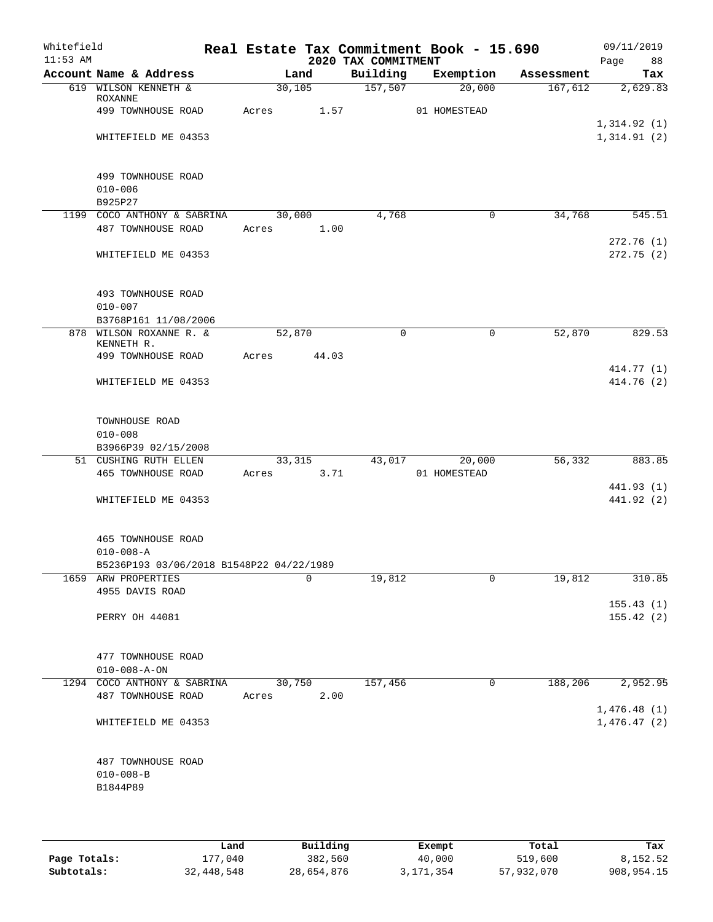| Account Name & Address<br>619 WILSON KENNETH &    |                                                                                                                                                                                                                | Land    | 2020 TAX COMMITMENT                                                                                      | Building Exemption Assessment                                           |                                                        | Page 88                               |
|---------------------------------------------------|----------------------------------------------------------------------------------------------------------------------------------------------------------------------------------------------------------------|---------|----------------------------------------------------------------------------------------------------------|-------------------------------------------------------------------------|--------------------------------------------------------|---------------------------------------|
|                                                   |                                                                                                                                                                                                                |         |                                                                                                          |                                                                         |                                                        | Tax                                   |
|                                                   |                                                                                                                                                                                                                | 30, 105 | $\overline{157,507}$                                                                                     | 20,000                                                                  | 167,612                                                | 2,629.83                              |
| ROXANNE<br>499 TOWNHOUSE ROAD                     |                                                                                                                                                                                                                |         |                                                                                                          | 01 HOMESTEAD                                                            |                                                        |                                       |
| WHITEFIELD ME 04353                               |                                                                                                                                                                                                                |         |                                                                                                          |                                                                         |                                                        | 1,314.92(1)<br>1,314.91(2)            |
| 499 TOWNHOUSE ROAD<br>$010 - 006$<br>B925P27      |                                                                                                                                                                                                                |         |                                                                                                          |                                                                         |                                                        |                                       |
| 1199 COCO ANTHONY & SABRINA                       |                                                                                                                                                                                                                |         | 4,768                                                                                                    | $\overline{0}$                                                          | 34,768                                                 | 545.51                                |
| 487 TOWNHOUSE ROAD                                |                                                                                                                                                                                                                |         |                                                                                                          |                                                                         |                                                        |                                       |
| WHITEFIELD ME 04353                               |                                                                                                                                                                                                                |         |                                                                                                          |                                                                         |                                                        | 272.76(1)<br>272.75(2)                |
| 493 TOWNHOUSE ROAD<br>$010 - 007$                 |                                                                                                                                                                                                                |         |                                                                                                          |                                                                         |                                                        |                                       |
|                                                   |                                                                                                                                                                                                                |         |                                                                                                          |                                                                         |                                                        |                                       |
|                                                   |                                                                                                                                                                                                                |         |                                                                                                          |                                                                         |                                                        | 829.53                                |
| 499 TOWNHOUSE ROAD                                |                                                                                                                                                                                                                |         |                                                                                                          |                                                                         |                                                        |                                       |
|                                                   |                                                                                                                                                                                                                |         |                                                                                                          |                                                                         |                                                        | 414.77 (1)                            |
| WHITEFIELD ME 04353                               |                                                                                                                                                                                                                |         |                                                                                                          |                                                                         |                                                        | 414.76 (2)                            |
| TOWNHOUSE ROAD<br>$010 - 008$                     |                                                                                                                                                                                                                |         |                                                                                                          |                                                                         |                                                        |                                       |
|                                                   |                                                                                                                                                                                                                |         |                                                                                                          |                                                                         |                                                        | 883.85                                |
| 465 TOWNHOUSE ROAD                                |                                                                                                                                                                                                                |         |                                                                                                          |                                                                         |                                                        | 441.93 (1)                            |
| WHITEFIELD ME 04353                               |                                                                                                                                                                                                                |         |                                                                                                          |                                                                         |                                                        | 441.92 (2)                            |
| 465 TOWNHOUSE ROAD<br>$010 - 008 - A$             |                                                                                                                                                                                                                |         |                                                                                                          |                                                                         |                                                        |                                       |
|                                                   |                                                                                                                                                                                                                |         |                                                                                                          |                                                                         |                                                        | 310.85                                |
|                                                   |                                                                                                                                                                                                                |         |                                                                                                          |                                                                         |                                                        |                                       |
| PERRY OH 44081                                    |                                                                                                                                                                                                                |         |                                                                                                          |                                                                         |                                                        | 155.43(1)<br>155.42(2)                |
| 477 TOWNHOUSE ROAD                                |                                                                                                                                                                                                                |         |                                                                                                          |                                                                         |                                                        |                                       |
|                                                   |                                                                                                                                                                                                                |         |                                                                                                          |                                                                         |                                                        |                                       |
| 487 TOWNHOUSE ROAD                                | Acres                                                                                                                                                                                                          | 2.00    |                                                                                                          |                                                                         |                                                        | 2,952.95                              |
| WHITEFIELD ME 04353                               |                                                                                                                                                                                                                |         |                                                                                                          |                                                                         |                                                        | 1,476.48(1)<br>1,476.47(2)            |
| 487 TOWNHOUSE ROAD<br>$010 - 008 - B$<br>B1844P89 |                                                                                                                                                                                                                |         |                                                                                                          |                                                                         |                                                        |                                       |
|                                                   | B3768P161 11/08/2006<br>878 WILSON ROXANNE R. &<br>KENNETH R.<br>B3966P39 02/15/2008<br>51 CUSHING RUTH ELLEN<br>1659 ARW PROPERTIES<br>4955 DAVIS ROAD<br>$010 - 008 - A - ON$<br>1294 COCO ANTHONY & SABRINA |         | 30,000<br>Acres 1.00<br>52,870<br>Acres 44.03<br>B5236P193 03/06/2018 B1548P22 04/22/1989<br>0<br>30,750 | Acres 1.57<br>$\mathbf 0$<br>33, 315<br>Acres 3.71<br>19,812<br>157,456 | $\mathbf 0$<br>43,017 20,000<br>01 HOMESTEAD<br>0<br>0 | 52,870<br>56,332<br>19,812<br>188,206 |

|              | Land       | Building   | Exempt    | Total      | Tax        |
|--------------|------------|------------|-----------|------------|------------|
| Page Totals: | 177,040    | 382,560    | 40,000    | 519,600    | 8,152.52   |
| Subtotals:   | 32,448,548 | 28,654,876 | 3,171,354 | 57,932,070 | 908,954.15 |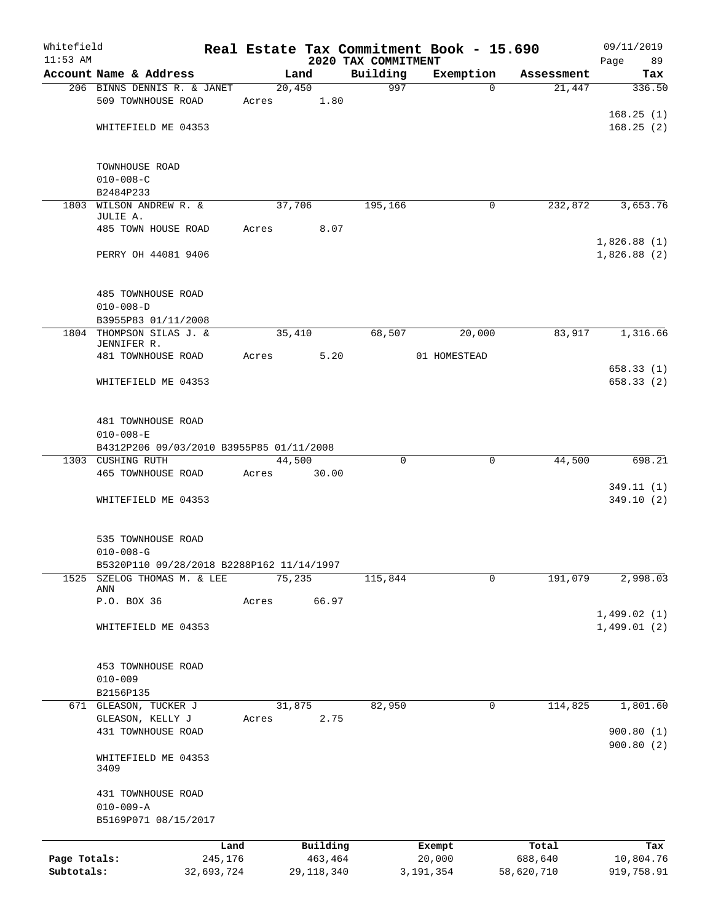| Whitefield<br>$11:53$ AM |                                                               |            |       |        |              |                                 | Real Estate Tax Commitment Book - 15.690 |            | 09/11/2019                 |
|--------------------------|---------------------------------------------------------------|------------|-------|--------|--------------|---------------------------------|------------------------------------------|------------|----------------------------|
|                          | Account Name & Address                                        |            |       | Land   |              | 2020 TAX COMMITMENT<br>Building | Exemption                                | Assessment | Page<br>89<br>Tax          |
|                          | 206 BINNS DENNIS R. & JANET                                   |            |       | 20,450 |              | 997                             | $\Omega$                                 | 21,447     | 336.50                     |
|                          | 509 TOWNHOUSE ROAD                                            |            | Acres |        | 1.80         |                                 |                                          |            |                            |
|                          |                                                               |            |       |        |              |                                 |                                          |            | 168.25(1)                  |
|                          | WHITEFIELD ME 04353                                           |            |       |        |              |                                 |                                          |            | 168.25(2)                  |
|                          |                                                               |            |       |        |              |                                 |                                          |            |                            |
|                          |                                                               |            |       |        |              |                                 |                                          |            |                            |
|                          | TOWNHOUSE ROAD<br>$010 - 008 - C$                             |            |       |        |              |                                 |                                          |            |                            |
|                          | B2484P233                                                     |            |       |        |              |                                 |                                          |            |                            |
| 1803                     | WILSON ANDREW R. &                                            |            |       | 37,706 |              | 195,166                         | 0                                        | 232,872    | 3,653.76                   |
|                          | JULIE A.                                                      |            |       |        |              |                                 |                                          |            |                            |
|                          | 485 TOWN HOUSE ROAD                                           |            | Acres |        | 8.07         |                                 |                                          |            |                            |
|                          | PERRY OH 44081 9406                                           |            |       |        |              |                                 |                                          |            | 1,826.88(1)<br>1,826.88(2) |
|                          |                                                               |            |       |        |              |                                 |                                          |            |                            |
|                          |                                                               |            |       |        |              |                                 |                                          |            |                            |
|                          | 485 TOWNHOUSE ROAD                                            |            |       |        |              |                                 |                                          |            |                            |
|                          | $010 - 008 - D$                                               |            |       |        |              |                                 |                                          |            |                            |
|                          | B3955P83 01/11/2008                                           |            |       |        |              |                                 |                                          |            |                            |
|                          | 1804 THOMPSON SILAS J. &                                      |            |       | 35,410 |              | 68,507                          | 20,000                                   | 83,917     | 1,316.66                   |
|                          | JENNIFER R.<br>481 TOWNHOUSE ROAD                             |            | Acres |        | 5.20         |                                 | 01 HOMESTEAD                             |            |                            |
|                          |                                                               |            |       |        |              |                                 |                                          |            | 658.33(1)                  |
|                          | WHITEFIELD ME 04353                                           |            |       |        |              |                                 |                                          |            | 658.33(2)                  |
|                          |                                                               |            |       |        |              |                                 |                                          |            |                            |
|                          |                                                               |            |       |        |              |                                 |                                          |            |                            |
|                          | 481 TOWNHOUSE ROAD                                            |            |       |        |              |                                 |                                          |            |                            |
|                          | $010 - 008 - E$                                               |            |       |        |              |                                 |                                          |            |                            |
|                          | B4312P206 09/03/2010 B3955P85 01/11/2008<br>1303 CUSHING RUTH |            |       | 44,500 |              | $\Omega$                        | 0                                        | 44,500     | 698.21                     |
|                          | 465 TOWNHOUSE ROAD                                            |            | Acres |        | 30.00        |                                 |                                          |            |                            |
|                          |                                                               |            |       |        |              |                                 |                                          |            | 349.11(1)                  |
|                          | WHITEFIELD ME 04353                                           |            |       |        |              |                                 |                                          |            | 349.10(2)                  |
|                          |                                                               |            |       |        |              |                                 |                                          |            |                            |
|                          |                                                               |            |       |        |              |                                 |                                          |            |                            |
|                          | 535 TOWNHOUSE ROAD                                            |            |       |        |              |                                 |                                          |            |                            |
|                          | $010 - 008 - G$<br>B5320P110 09/28/2018 B2288P162 11/14/1997  |            |       |        |              |                                 |                                          |            |                            |
| 1525                     | SZELOG THOMAS M. & LEE                                        |            |       | 75,235 |              | 115,844                         | 0                                        | 191,079    | 2,998.03                   |
|                          | ANN                                                           |            |       |        |              |                                 |                                          |            |                            |
|                          | P.O. BOX 36                                                   |            | Acres |        | 66.97        |                                 |                                          |            |                            |
|                          | WHITEFIELD ME 04353                                           |            |       |        |              |                                 |                                          |            | 1,499.02(1)<br>1,499.01(2) |
|                          |                                                               |            |       |        |              |                                 |                                          |            |                            |
|                          |                                                               |            |       |        |              |                                 |                                          |            |                            |
|                          | 453 TOWNHOUSE ROAD                                            |            |       |        |              |                                 |                                          |            |                            |
|                          | $010 - 009$                                                   |            |       |        |              |                                 |                                          |            |                            |
|                          | B2156P135                                                     |            |       |        |              |                                 |                                          |            |                            |
|                          | 671 GLEASON, TUCKER J                                         |            |       | 31,875 |              | 82,950                          | 0                                        | 114,825    | 1,801.60                   |
|                          | GLEASON, KELLY J                                              |            | Acres |        | 2.75         |                                 |                                          |            |                            |
|                          | 431 TOWNHOUSE ROAD                                            |            |       |        |              |                                 |                                          |            | 900.80(1)<br>900.80(2)     |
|                          | WHITEFIELD ME 04353                                           |            |       |        |              |                                 |                                          |            |                            |
|                          | 3409                                                          |            |       |        |              |                                 |                                          |            |                            |
|                          |                                                               |            |       |        |              |                                 |                                          |            |                            |
|                          | 431 TOWNHOUSE ROAD                                            |            |       |        |              |                                 |                                          |            |                            |
|                          | $010 - 009 - A$<br>B5169P071 08/15/2017                       |            |       |        |              |                                 |                                          |            |                            |
|                          |                                                               |            |       |        |              |                                 |                                          |            |                            |
|                          |                                                               | Land       |       |        | Building     |                                 | Exempt                                   | Total      | Tax                        |
| Page Totals:             |                                                               | 245,176    |       |        | 463,464      |                                 | 20,000                                   | 688,640    | 10,804.76                  |
| Subtotals:               |                                                               | 32,693,724 |       |        | 29, 118, 340 |                                 | 3, 191, 354                              | 58,620,710 | 919,758.91                 |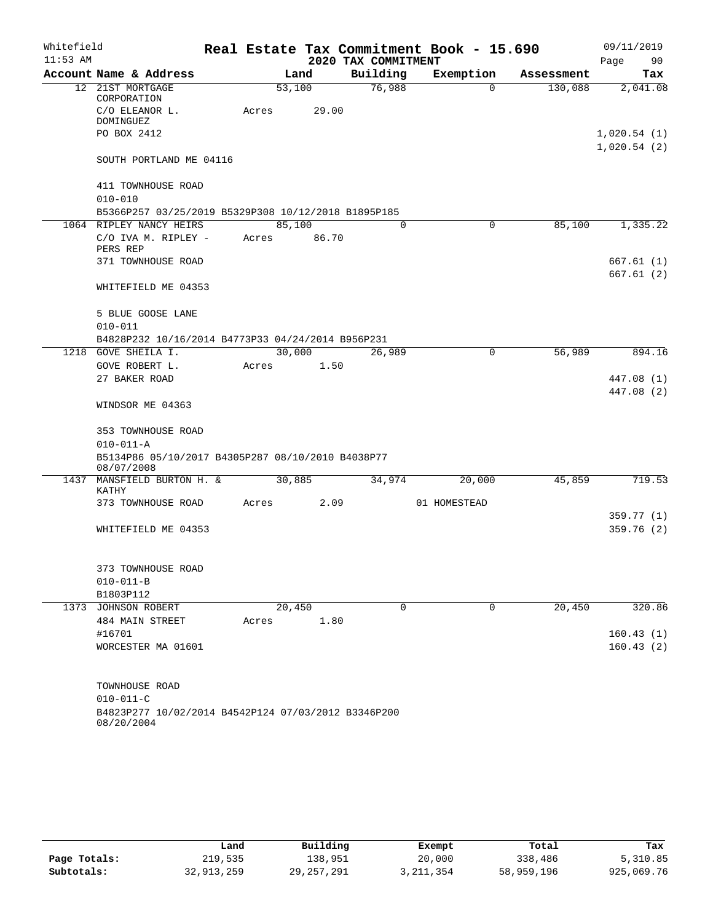| Whitefield |                                                                   |  |       |                 |                     | Real Estate Tax Commitment Book - 15.690 |            | 09/11/2019             |  |
|------------|-------------------------------------------------------------------|--|-------|-----------------|---------------------|------------------------------------------|------------|------------------------|--|
| $11:53$ AM |                                                                   |  |       |                 | 2020 TAX COMMITMENT |                                          |            | 90<br>Page             |  |
|            | Account Name & Address                                            |  |       | Land            | Building            | Exemption                                | Assessment | Tax                    |  |
|            | 12 21ST MORTGAGE<br>CORPORATION<br>C/O ELEANOR L.                 |  | Acres | 53,100<br>29.00 | 76,988              | $\Omega$                                 | 130,088    | 2,041.08               |  |
|            | <b>DOMINGUEZ</b>                                                  |  |       |                 |                     |                                          |            |                        |  |
|            | PO BOX 2412                                                       |  |       |                 |                     |                                          |            | 1,020.54(1)            |  |
|            | SOUTH PORTLAND ME 04116                                           |  |       |                 |                     |                                          |            | 1,020.54(2)            |  |
|            | 411 TOWNHOUSE ROAD<br>$010 - 010$                                 |  |       |                 |                     |                                          |            |                        |  |
|            | B5366P257 03/25/2019 B5329P308 10/12/2018 B1895P185               |  |       |                 |                     |                                          |            |                        |  |
|            | 1064 RIPLEY NANCY HEIRS                                           |  |       | 85,100          | 0                   | 0                                        | 85,100     | 1,335.22               |  |
|            | C/O IVA M. RIPLEY -<br>PERS REP                                   |  | Acres | 86.70           |                     |                                          |            |                        |  |
|            | 371 TOWNHOUSE ROAD                                                |  |       |                 |                     |                                          |            | 667.61 (1)             |  |
|            |                                                                   |  |       |                 |                     |                                          |            | 667.61(2)              |  |
|            | WHITEFIELD ME 04353                                               |  |       |                 |                     |                                          |            |                        |  |
|            | 5 BLUE GOOSE LANE                                                 |  |       |                 |                     |                                          |            |                        |  |
|            | $010 - 011$                                                       |  |       |                 |                     |                                          |            |                        |  |
|            | B4828P232 10/16/2014 B4773P33 04/24/2014 B956P231                 |  |       |                 |                     |                                          |            |                        |  |
|            | 1218 GOVE SHEILA I.<br>GOVE ROBERT L.                             |  | Acres | 30,000<br>1.50  | 26,989              | 0                                        | 56,989     | 894.16                 |  |
|            | 27 BAKER ROAD                                                     |  |       |                 |                     |                                          |            | 447.08 (1)             |  |
|            |                                                                   |  |       |                 |                     |                                          |            | 447.08 (2)             |  |
|            | WINDSOR ME 04363                                                  |  |       |                 |                     |                                          |            |                        |  |
|            | 353 TOWNHOUSE ROAD                                                |  |       |                 |                     |                                          |            |                        |  |
|            | $010 - 011 - A$                                                   |  |       |                 |                     |                                          |            |                        |  |
|            | B5134P86 05/10/2017 B4305P287 08/10/2010 B4038P77<br>08/07/2008   |  |       |                 |                     |                                          |            |                        |  |
|            | 1437 MANSFIELD BURTON H. &<br>KATHY                               |  |       | 30,885          | 34,974              | 20,000                                   | 45,859     | 719.53                 |  |
|            | 373 TOWNHOUSE ROAD                                                |  | Acres | 2.09            |                     | 01 HOMESTEAD                             |            | 359.77 (1)             |  |
|            | WHITEFIELD ME 04353                                               |  |       |                 |                     |                                          |            | 359.76 (2)             |  |
|            |                                                                   |  |       |                 |                     |                                          |            |                        |  |
|            | 373 TOWNHOUSE ROAD                                                |  |       |                 |                     |                                          |            |                        |  |
|            | $010 - 011 - B$                                                   |  |       |                 |                     |                                          |            |                        |  |
|            | B1803P112                                                         |  |       |                 |                     |                                          |            |                        |  |
|            | 1373 JOHNSON ROBERT                                               |  |       | 20,450          | 0                   | 0                                        | 20,450     | 320.86                 |  |
|            | 484 MAIN STREET                                                   |  | Acres | 1.80            |                     |                                          |            |                        |  |
|            | #16701<br>WORCESTER MA 01601                                      |  |       |                 |                     |                                          |            | 160.43(1)<br>160.43(2) |  |
|            |                                                                   |  |       |                 |                     |                                          |            |                        |  |
|            | TOWNHOUSE ROAD                                                    |  |       |                 |                     |                                          |            |                        |  |
|            | $010 - 011 - C$                                                   |  |       |                 |                     |                                          |            |                        |  |
|            | B4823P277 10/02/2014 B4542P124 07/03/2012 B3346P200<br>08/20/2004 |  |       |                 |                     |                                          |            |                        |  |

|              | Land       | Building     | Exempt    | Total      | Tax        |
|--------------|------------|--------------|-----------|------------|------------|
| Page Totals: | 219,535    | 138.951      | 20,000    | 338,486    | 5,310.85   |
| Subtotals:   | 32,913,259 | 29, 257, 291 | 3,211,354 | 58,959,196 | 925,069.76 |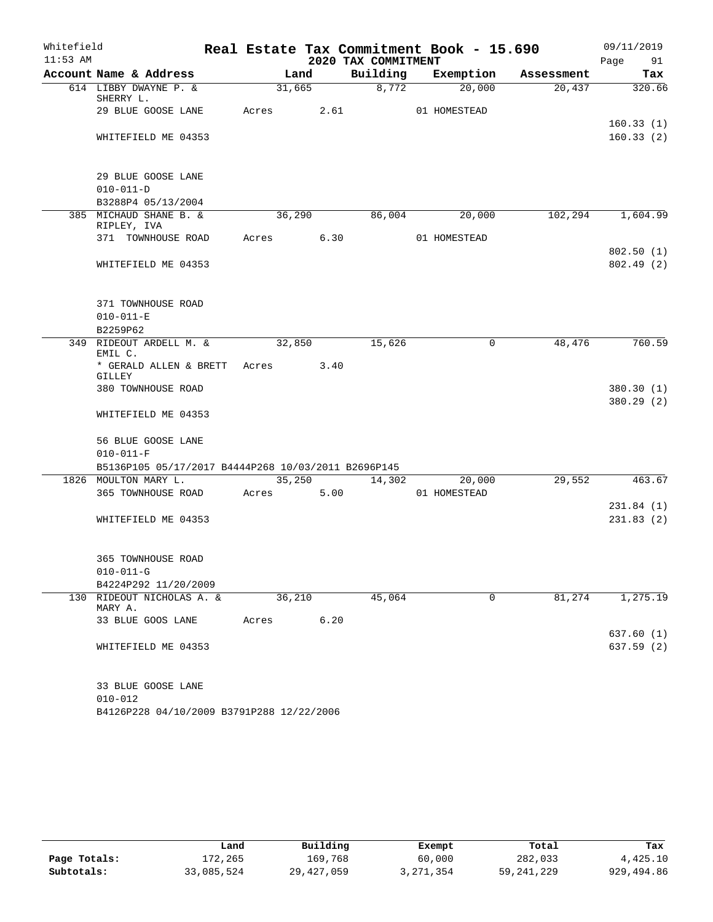| Whitefield |                                                                             |            |        |                     | Real Estate Tax Commitment Book - 15.690 |            | 09/11/2019               |
|------------|-----------------------------------------------------------------------------|------------|--------|---------------------|------------------------------------------|------------|--------------------------|
| $11:53$ AM |                                                                             |            |        | 2020 TAX COMMITMENT |                                          |            | Page 91                  |
|            | Account Name & Address                                                      |            | Land   |                     | Building Exemption                       | Assessment | Tax                      |
|            | 614 LIBBY DWAYNE P. &<br>SHERRY L.                                          |            | 31,665 | 8,772               | 20,000                                   | 20,437     | 320.66                   |
|            | 29 BLUE GOOSE LANE                                                          | Acres      | 2.61   |                     | 01 HOMESTEAD                             |            | 160.33(1)                |
|            | WHITEFIELD ME 04353                                                         |            |        |                     |                                          |            | 160.33(2)                |
|            | 29 BLUE GOOSE LANE                                                          |            |        |                     |                                          |            |                          |
|            | $010 - 011 - D$                                                             |            |        |                     |                                          |            |                          |
|            | B3288P4 05/13/2004                                                          |            |        |                     |                                          |            |                          |
|            | 385 MICHAUD SHANE B. &<br>RIPLEY, IVA                                       |            | 36,290 | 86,004              | 20,000                                   | 102,294    | 1,604.99                 |
|            | 371 TOWNHOUSE ROAD                                                          | Acres 6.30 |        |                     | 01 HOMESTEAD                             |            |                          |
|            | WHITEFIELD ME 04353                                                         |            |        |                     |                                          |            | 802.50(1)<br>802.49 (2)  |
|            | 371 TOWNHOUSE ROAD                                                          |            |        |                     |                                          |            |                          |
|            | $010 - 011 - E$<br>B2259P62                                                 |            |        |                     |                                          |            |                          |
|            | 349 RIDEOUT ARDELL M. &                                                     | 32,850     |        | 15,626              | $\mathbf 0$                              | 48,476     | 760.59                   |
|            | EMIL C.<br>* GERALD ALLEN & BRETT                                           | Acres      | 3.40   |                     |                                          |            |                          |
|            | GILLEY                                                                      |            |        |                     |                                          |            |                          |
|            | 380 TOWNHOUSE ROAD                                                          |            |        |                     |                                          |            | 380.30 (1)<br>380.29 (2) |
|            | WHITEFIELD ME 04353                                                         |            |        |                     |                                          |            |                          |
|            | 56 BLUE GOOSE LANE                                                          |            |        |                     |                                          |            |                          |
|            | $010 - 011 - F$                                                             |            |        |                     |                                          |            |                          |
|            | B5136P105 05/17/2017 B4444P268 10/03/2011 B2696P145<br>1826 MOULTON MARY L. |            | 35,250 | 14,302              | 20,000                                   | 29,552     | 463.67                   |
|            | 365 TOWNHOUSE ROAD                                                          | Acres      | 5.00   |                     | 01 HOMESTEAD                             |            |                          |
|            |                                                                             |            |        |                     |                                          |            | 231.84(1)                |
|            | WHITEFIELD ME 04353                                                         |            |        |                     |                                          |            | 231.83(2)                |
|            |                                                                             |            |        |                     |                                          |            |                          |
|            | 365 TOWNHOUSE ROAD                                                          |            |        |                     |                                          |            |                          |
|            | $010 - 011 - G$                                                             |            |        |                     |                                          |            |                          |
|            | B4224P292 11/20/2009                                                        |            |        | 45,064              |                                          |            |                          |
| 130        | RIDEOUT NICHOLAS A. &<br>MARY A.                                            | 36,210     |        |                     | $\mathbf 0$                              | 81,274     | 1,275.19                 |
|            | 33 BLUE GOOS LANE                                                           | Acres      | 6.20   |                     |                                          |            |                          |
|            | WHITEFIELD ME 04353                                                         |            |        |                     |                                          |            | 637.60 (1)<br>637.59(2)  |
|            | 33 BLUE GOOSE LANE                                                          |            |        |                     |                                          |            |                          |
|            | $010 - 012$                                                                 |            |        |                     |                                          |            |                          |

|              | Land       | Building     | Exempt      | Total        | Tax        |
|--------------|------------|--------------|-------------|--------------|------------|
| Page Totals: | 172,265    | 169.768      | 60,000      | 282,033      | 4,425.10   |
| Subtotals:   | 33,085,524 | 29, 427, 059 | 3, 271, 354 | 59, 241, 229 | 929,494.86 |

B4126P228 04/10/2009 B3791P288 12/22/2006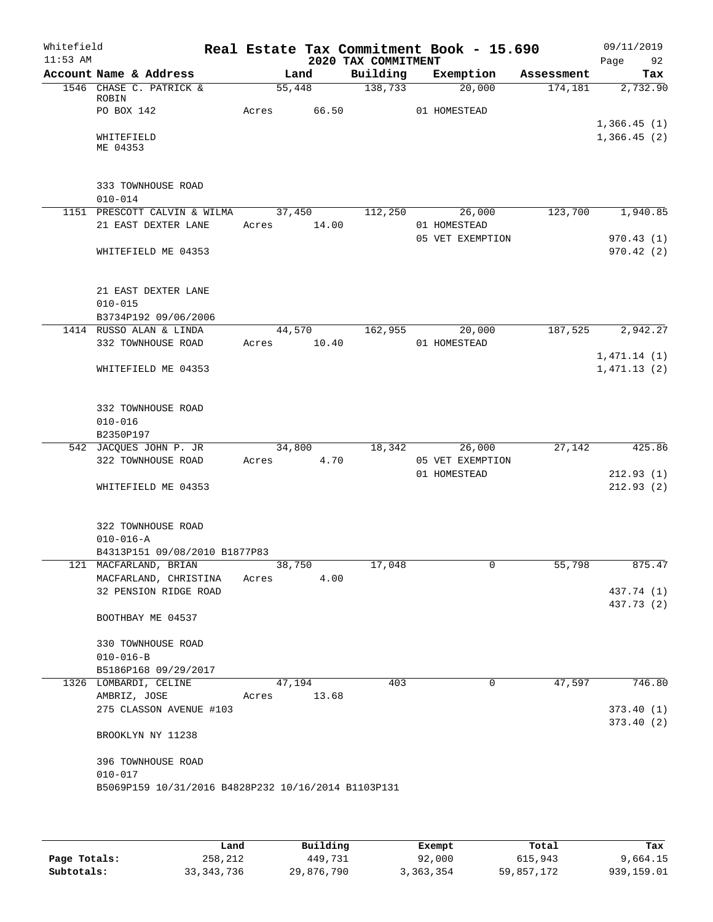| Whitefield<br>$11:53$ AM |                                                     |       |                | 2020 TAX COMMITMENT | Real Estate Tax Commitment Book - 15.690 |            | 09/11/2019<br>Page<br>92 |
|--------------------------|-----------------------------------------------------|-------|----------------|---------------------|------------------------------------------|------------|--------------------------|
|                          | Account Name & Address                              |       | Land           | Building            | Exemption                                | Assessment | Tax                      |
|                          | 1546 CHASE C. PATRICK &                             |       | 55,448         | 138,733             | 20,000                                   | 174, 181   | 2,732.90                 |
|                          | ROBIN<br>PO BOX 142                                 | Acres | 66.50          |                     | 01 HOMESTEAD                             |            |                          |
|                          |                                                     |       |                |                     |                                          |            | 1,366.45(1)              |
|                          | WHITEFIELD                                          |       |                |                     |                                          |            | 1,366.45(2)              |
|                          | ME 04353                                            |       |                |                     |                                          |            |                          |
|                          |                                                     |       |                |                     |                                          |            |                          |
|                          | 333 TOWNHOUSE ROAD                                  |       |                |                     |                                          |            |                          |
|                          | $010 - 014$                                         |       |                |                     |                                          |            |                          |
|                          | 1151 PRESCOTT CALVIN & WILMA                        |       | 37,450         | 112,250             | 26,000                                   | 123,700    | 1,940.85                 |
|                          | 21 EAST DEXTER LANE                                 | Acres | 14.00          |                     | 01 HOMESTEAD                             |            |                          |
|                          |                                                     |       |                |                     | 05 VET EXEMPTION                         |            | 970.43(1)                |
|                          | WHITEFIELD ME 04353                                 |       |                |                     |                                          |            | 970.42(2)                |
|                          |                                                     |       |                |                     |                                          |            |                          |
|                          |                                                     |       |                |                     |                                          |            |                          |
|                          | 21 EAST DEXTER LANE                                 |       |                |                     |                                          |            |                          |
|                          | $010 - 015$                                         |       |                |                     |                                          |            |                          |
|                          | B3734P192 09/06/2006                                |       |                |                     |                                          | 187,525    | 2,942.27                 |
|                          | 1414 RUSSO ALAN & LINDA                             |       | 44,570         | 162,955             | 20,000                                   |            |                          |
|                          | 332 TOWNHOUSE ROAD                                  | Acres | 10.40          |                     | 01 HOMESTEAD                             |            |                          |
|                          |                                                     |       |                |                     |                                          |            | 1,471.14(1)              |
|                          | WHITEFIELD ME 04353                                 |       |                |                     |                                          |            | 1,471.13(2)              |
|                          |                                                     |       |                |                     |                                          |            |                          |
|                          | 332 TOWNHOUSE ROAD                                  |       |                |                     |                                          |            |                          |
|                          | $010 - 016$                                         |       |                |                     |                                          |            |                          |
|                          | B2350P197                                           |       |                |                     |                                          |            |                          |
|                          | 542 JACQUES JOHN P. JR                              |       | 34,800         | 18,342              | 26,000                                   | 27,142     | 425.86                   |
|                          | 322 TOWNHOUSE ROAD                                  | Acres | 4.70           |                     | 05 VET EXEMPTION                         |            |                          |
|                          |                                                     |       |                |                     | 01 HOMESTEAD                             |            | 212.93(1)                |
|                          | WHITEFIELD ME 04353                                 |       |                |                     |                                          |            | 212.93(2)                |
|                          |                                                     |       |                |                     |                                          |            |                          |
|                          | 322 TOWNHOUSE ROAD                                  |       |                |                     |                                          |            |                          |
|                          | $010 - 016 - A$                                     |       |                |                     |                                          |            |                          |
|                          | B4313P151 09/08/2010 B1877P83                       |       |                |                     |                                          |            |                          |
|                          | 121 MACFARLAND, BRIAN                               |       | 38,750         | 17,048              | 0                                        | 55,798     | 875.47                   |
|                          | MACFARLAND, CHRISTINA                               | Acres | 4.00           |                     |                                          |            |                          |
|                          | 32 PENSION RIDGE ROAD                               |       |                |                     |                                          |            | 437.74 (1)               |
|                          |                                                     |       |                |                     |                                          |            | 437.73 (2)               |
|                          | BOOTHBAY ME 04537                                   |       |                |                     |                                          |            |                          |
|                          | 330 TOWNHOUSE ROAD                                  |       |                |                     |                                          |            |                          |
|                          | $010 - 016 - B$                                     |       |                |                     |                                          |            |                          |
|                          | B5186P168 09/29/2017                                |       |                |                     |                                          |            |                          |
|                          | 1326 LOMBARDI, CELINE                               |       | 47,194         | 403                 | 0                                        | 47,597     | 746.80                   |
|                          |                                                     |       |                |                     |                                          |            |                          |
|                          | AMBRIZ, JOSE                                        |       | 13.68<br>Acres |                     |                                          |            |                          |
|                          | 275 CLASSON AVENUE #103                             |       |                |                     |                                          |            | 373.40(1)                |
|                          | BROOKLYN NY 11238                                   |       |                |                     |                                          |            | 373.40(2)                |
|                          |                                                     |       |                |                     |                                          |            |                          |
|                          | 396 TOWNHOUSE ROAD                                  |       |                |                     |                                          |            |                          |
|                          | $010 - 017$                                         |       |                |                     |                                          |            |                          |
|                          | B5069P159 10/31/2016 B4828P232 10/16/2014 B1103P131 |       |                |                     |                                          |            |                          |
|                          |                                                     |       |                |                     |                                          |            |                          |
|                          |                                                     |       |                |                     |                                          |            |                          |

|              | Land         | Building   | Exempt    | Total      | Tax        |
|--------------|--------------|------------|-----------|------------|------------|
| Page Totals: | 258,212      | 449,731    | 92,000    | 615,943    | 9,664.15   |
| Subtotals:   | 33, 343, 736 | 29,876,790 | 3,363,354 | 59,857,172 | 939,159.01 |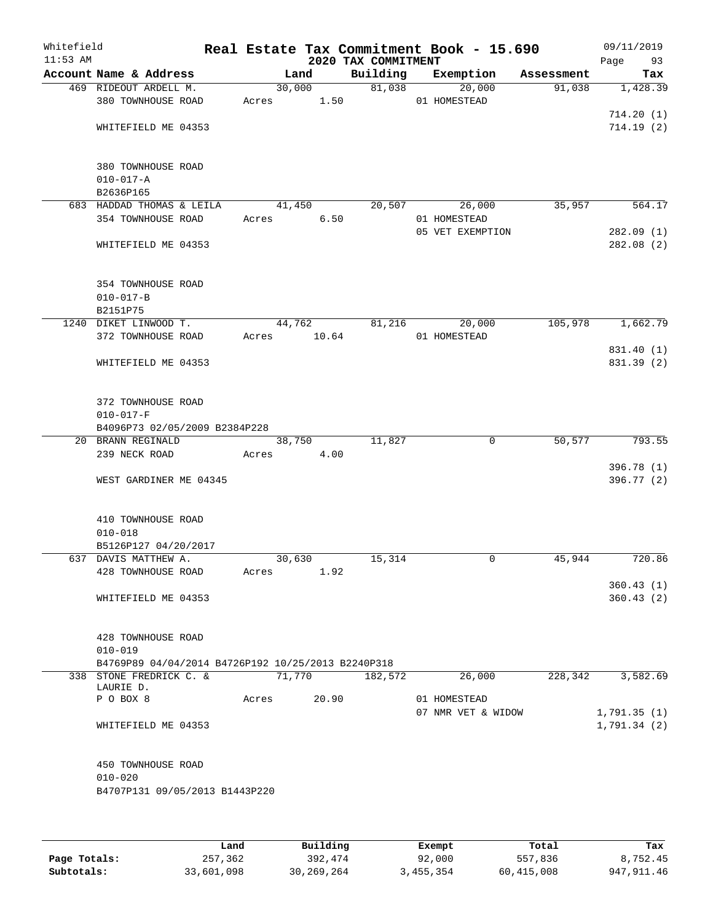| Whitefield<br>$11:53$ AM |                                                    |       |        | 2020 TAX COMMITMENT | Real Estate Tax Commitment Book - 15.690 |            | 09/11/2019<br>Page<br>93 |
|--------------------------|----------------------------------------------------|-------|--------|---------------------|------------------------------------------|------------|--------------------------|
|                          | Account Name & Address                             |       | Land   | Building            | Exemption                                | Assessment | Tax                      |
|                          | 469 RIDEOUT ARDELL M.                              |       | 30,000 | 81,038              | 20,000                                   | 91,038     | 1,428.39                 |
|                          | 380 TOWNHOUSE ROAD                                 | Acres | 1.50   |                     | 01 HOMESTEAD                             |            |                          |
|                          |                                                    |       |        |                     |                                          |            | 714.20(1)                |
|                          | WHITEFIELD ME 04353                                |       |        |                     |                                          |            | 714.19(2)                |
|                          | 380 TOWNHOUSE ROAD                                 |       |        |                     |                                          |            |                          |
|                          | $010 - 017 - A$                                    |       |        |                     |                                          |            |                          |
|                          | B2636P165                                          |       |        |                     |                                          |            |                          |
|                          | 683 HADDAD THOMAS & LEILA                          |       | 41,450 | 20,507              | 26,000                                   | 35,957     | 564.17                   |
|                          | 354 TOWNHOUSE ROAD                                 | Acres | 6.50   |                     | 01 HOMESTEAD                             |            |                          |
|                          |                                                    |       |        |                     | 05 VET EXEMPTION                         |            | 282.09(1)                |
|                          | WHITEFIELD ME 04353                                |       |        |                     |                                          |            | 282.08(2)                |
|                          | 354 TOWNHOUSE ROAD                                 |       |        |                     |                                          |            |                          |
|                          | $010 - 017 - B$                                    |       |        |                     |                                          |            |                          |
|                          | B2151P75                                           |       |        |                     |                                          |            |                          |
|                          | 1240 DIKET LINWOOD T.                              |       | 44,762 | 81,216              | 20,000                                   | 105,978    | 1,662.79                 |
|                          | 372 TOWNHOUSE ROAD                                 | Acres | 10.64  |                     | 01 HOMESTEAD                             |            |                          |
|                          |                                                    |       |        |                     |                                          |            | 831.40 (1)               |
|                          | WHITEFIELD ME 04353                                |       |        |                     |                                          |            | 831.39 (2)               |
|                          | 372 TOWNHOUSE ROAD                                 |       |        |                     |                                          |            |                          |
|                          | $010 - 017 - F$                                    |       |        |                     |                                          |            |                          |
|                          | B4096P73 02/05/2009 B2384P228                      |       |        |                     |                                          |            |                          |
|                          | 20 BRANN REGINALD                                  |       | 38,750 | 11,827              | 0                                        | 50, 577    | 793.55                   |
|                          | 239 NECK ROAD                                      | Acres | 4.00   |                     |                                          |            |                          |
|                          | WEST GARDINER ME 04345                             |       |        |                     |                                          |            | 396.78 (1)<br>396.77 (2) |
|                          |                                                    |       |        |                     |                                          |            |                          |
|                          | 410 TOWNHOUSE ROAD                                 |       |        |                     |                                          |            |                          |
|                          | $010 - 018$                                        |       |        |                     |                                          |            |                          |
|                          | B5126P127 04/20/2017<br>637 DAVIS MATTHEW A.       |       | 30,630 | 15,314              | 0                                        | 45,944     | 720.86                   |
|                          | 428 TOWNHOUSE ROAD                                 | Acres | 1.92   |                     |                                          |            |                          |
|                          |                                                    |       |        |                     |                                          |            | 360.43(1)                |
|                          | WHITEFIELD ME 04353                                |       |        |                     |                                          |            | 360.43(2)                |
|                          |                                                    |       |        |                     |                                          |            |                          |
|                          | 428 TOWNHOUSE ROAD<br>$010 - 019$                  |       |        |                     |                                          |            |                          |
|                          | B4769P89 04/04/2014 B4726P192 10/25/2013 B2240P318 |       |        |                     |                                          |            |                          |
|                          | 338 STONE FREDRICK C. &                            |       | 71,770 | 182,572             | 26,000                                   | 228, 342   | 3,582.69                 |
|                          | LAURIE D.                                          |       |        |                     |                                          |            |                          |
|                          | P O BOX 8                                          | Acres | 20.90  |                     | 01 HOMESTEAD                             |            |                          |
|                          |                                                    |       |        |                     | 07 NMR VET & WIDOW                       |            | 1,791.35(1)              |
|                          | WHITEFIELD ME 04353                                |       |        |                     |                                          |            | 1,791.34(2)              |
|                          | 450 TOWNHOUSE ROAD                                 |       |        |                     |                                          |            |                          |
|                          | $010 - 020$                                        |       |        |                     |                                          |            |                          |
|                          | B4707P131 09/05/2013 B1443P220                     |       |        |                     |                                          |            |                          |
|                          |                                                    |       |        |                     |                                          |            |                          |
|                          |                                                    |       |        |                     |                                          |            |                          |
|                          |                                                    |       |        |                     |                                          |            |                          |

|              | Land       | Building     | Exempt    | Total      | Tax          |
|--------------|------------|--------------|-----------|------------|--------------|
| Page Totals: | 257,362    | 392,474      | 92,000    | 557,836    | 8,752.45     |
| Subtotals:   | 33,601,098 | 30, 269, 264 | 3,455,354 | 60,415,008 | 947, 911, 46 |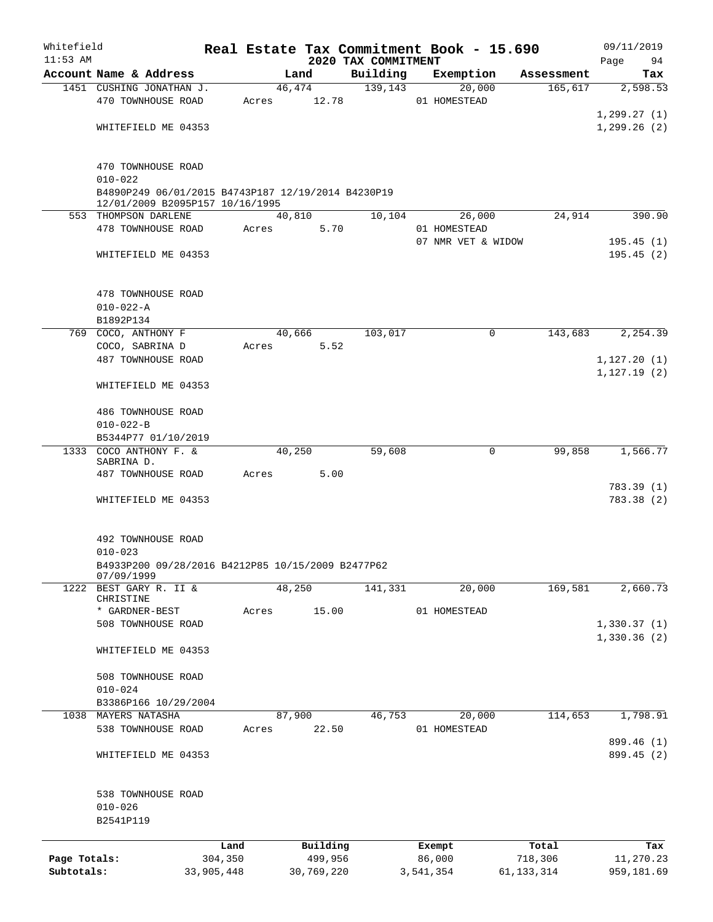| Whitefield   |                                                                                       |            |       |             |                                 | Real Estate Tax Commitment Book - 15.690 |              | 09/11/2019      |
|--------------|---------------------------------------------------------------------------------------|------------|-------|-------------|---------------------------------|------------------------------------------|--------------|-----------------|
| $11:53$ AM   | Account Name & Address                                                                |            |       | Land        | 2020 TAX COMMITMENT<br>Building | Exemption                                | Assessment   | Page<br>94      |
|              | 1451 CUSHING JONATHAN J.                                                              |            |       | 46,474      | 139, 143                        | 20,000                                   | 165,617      | Tax<br>2,598.53 |
|              | 470 TOWNHOUSE ROAD                                                                    |            |       | Acres 12.78 |                                 | 01 HOMESTEAD                             |              |                 |
|              |                                                                                       |            |       |             |                                 |                                          |              | 1, 299.27(1)    |
|              | WHITEFIELD ME 04353                                                                   |            |       |             |                                 |                                          |              | 1, 299.26(2)    |
|              |                                                                                       |            |       |             |                                 |                                          |              |                 |
|              | 470 TOWNHOUSE ROAD                                                                    |            |       |             |                                 |                                          |              |                 |
|              | $010 - 022$                                                                           |            |       |             |                                 |                                          |              |                 |
|              | B4890P249 06/01/2015 B4743P187 12/19/2014 B4230P19<br>12/01/2009 B2095P157 10/16/1995 |            |       |             |                                 |                                          |              |                 |
|              | 553 THOMPSON DARLENE                                                                  |            |       | 40,810      | 10,104                          | 26,000                                   | 24,914       | 390.90          |
|              | 478 TOWNHOUSE ROAD                                                                    |            | Acres | 5.70        |                                 | 01 HOMESTEAD                             |              |                 |
|              |                                                                                       |            |       |             |                                 | 07 NMR VET & WIDOW                       |              | 195.45(1)       |
|              | WHITEFIELD ME 04353                                                                   |            |       |             |                                 |                                          |              | 195.45(2)       |
|              | 478 TOWNHOUSE ROAD                                                                    |            |       |             |                                 |                                          |              |                 |
|              | $010 - 022 - A$                                                                       |            |       |             |                                 |                                          |              |                 |
|              | B1892P134                                                                             |            |       |             |                                 |                                          |              |                 |
|              | 769 COCO, ANTHONY F                                                                   |            |       | 40,666      | 103,017                         | 0                                        | 143,683      | 2, 254.39       |
|              | COCO, SABRINA D                                                                       |            | Acres | 5.52        |                                 |                                          |              |                 |
|              | 487 TOWNHOUSE ROAD                                                                    |            |       |             |                                 |                                          |              | 1, 127.20(1)    |
|              |                                                                                       |            |       |             |                                 |                                          |              | 1, 127.19(2)    |
|              | WHITEFIELD ME 04353                                                                   |            |       |             |                                 |                                          |              |                 |
|              |                                                                                       |            |       |             |                                 |                                          |              |                 |
|              | 486 TOWNHOUSE ROAD                                                                    |            |       |             |                                 |                                          |              |                 |
|              | $010 - 022 - B$                                                                       |            |       |             |                                 |                                          |              |                 |
|              | B5344P77 01/10/2019                                                                   |            |       |             |                                 |                                          |              |                 |
|              | 1333 COCO ANTHONY F. &<br>SABRINA D.                                                  |            |       | 40,250      | 59,608                          | 0                                        | 99,858       | 1,566.77        |
|              | 487 TOWNHOUSE ROAD                                                                    |            | Acres | 5.00        |                                 |                                          |              |                 |
|              |                                                                                       |            |       |             |                                 |                                          |              | 783.39(1)       |
|              | WHITEFIELD ME 04353                                                                   |            |       |             |                                 |                                          |              | 783.38 (2)      |
|              |                                                                                       |            |       |             |                                 |                                          |              |                 |
|              | 492 TOWNHOUSE ROAD                                                                    |            |       |             |                                 |                                          |              |                 |
|              | $010 - 023$                                                                           |            |       |             |                                 |                                          |              |                 |
|              | B4933P200 09/28/2016 B4212P85 10/15/2009 B2477P62<br>07/09/1999                       |            |       |             |                                 |                                          |              |                 |
|              | 1222 BEST GARY R. II &                                                                |            |       | 48,250      | 141,331                         | 20,000                                   | 169,581      | 2,660.73        |
|              | CHRISTINE                                                                             |            |       |             |                                 |                                          |              |                 |
|              | * GARDNER-BEST                                                                        |            | Acres | 15.00       |                                 | 01 HOMESTEAD                             |              |                 |
|              | 508 TOWNHOUSE ROAD                                                                    |            |       |             |                                 |                                          |              | 1,330.37(1)     |
|              | WHITEFIELD ME 04353                                                                   |            |       |             |                                 |                                          |              | 1,330.36(2)     |
|              |                                                                                       |            |       |             |                                 |                                          |              |                 |
|              | 508 TOWNHOUSE ROAD                                                                    |            |       |             |                                 |                                          |              |                 |
|              | $010 - 024$                                                                           |            |       |             |                                 |                                          |              |                 |
|              | B3386P166 10/29/2004                                                                  |            |       |             |                                 |                                          |              |                 |
| 1038         | MAYERS NATASHA                                                                        |            |       | 87,900      | 46,753                          | 20,000                                   | 114,653      | 1,798.91        |
|              | 538 TOWNHOUSE ROAD                                                                    |            | Acres | 22.50       |                                 | 01 HOMESTEAD                             |              |                 |
|              |                                                                                       |            |       |             |                                 |                                          |              | 899.46 (1)      |
|              | WHITEFIELD ME 04353                                                                   |            |       |             |                                 |                                          |              | 899.45 (2)      |
|              | 538 TOWNHOUSE ROAD                                                                    |            |       |             |                                 |                                          |              |                 |
|              | $010 - 026$                                                                           |            |       |             |                                 |                                          |              |                 |
|              | B2541P119                                                                             |            |       |             |                                 |                                          |              |                 |
|              |                                                                                       | Land       |       | Building    |                                 | Exempt                                   | Total        | Tax             |
| Page Totals: |                                                                                       | 304,350    |       | 499,956     |                                 | 86,000                                   | 718,306      | 11,270.23       |
| Subtotals:   |                                                                                       | 33,905,448 |       | 30,769,220  |                                 | 3,541,354                                | 61, 133, 314 | 959,181.69      |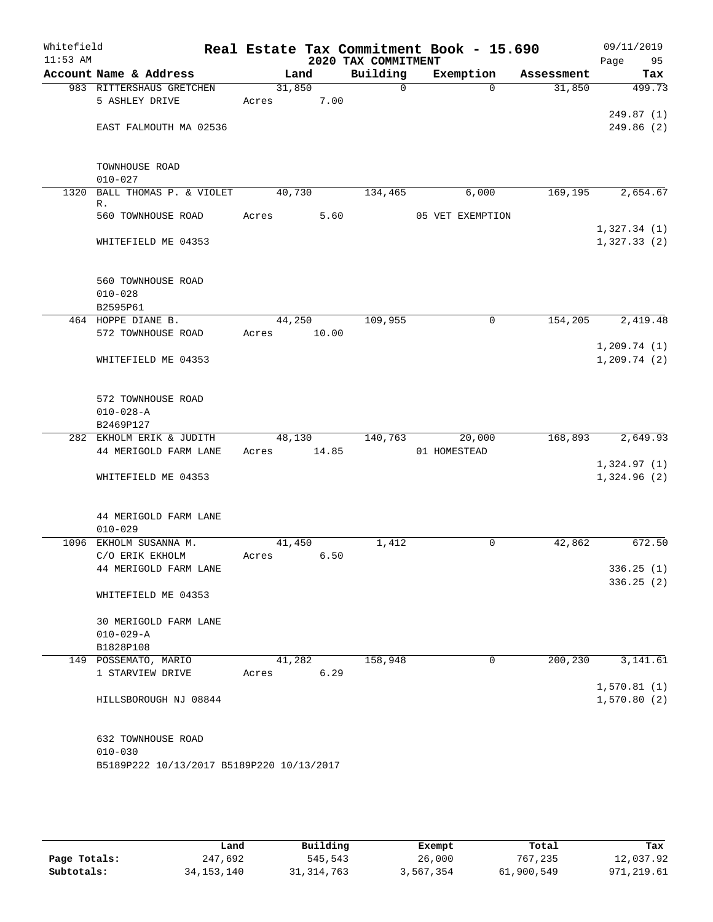| Whitefield<br>$11:53$ AM |                                                                                |        |       | 2020 TAX COMMITMENT | Real Estate Tax Commitment Book - 15.690 |            | 09/11/2019<br>Page<br>95    |
|--------------------------|--------------------------------------------------------------------------------|--------|-------|---------------------|------------------------------------------|------------|-----------------------------|
|                          | Account Name & Address                                                         |        | Land  | Building            | Exemption                                | Assessment | Tax                         |
|                          | 983 RITTERSHAUS GRETCHEN                                                       | 31,850 |       | $\mathbf 0$         | $\Omega$                                 | 31,850     | 499.73                      |
|                          | 5 ASHLEY DRIVE                                                                 | Acres  | 7.00  |                     |                                          |            |                             |
|                          |                                                                                |        |       |                     |                                          |            | 249.87(1)                   |
|                          | EAST FALMOUTH MA 02536                                                         |        |       |                     |                                          |            | 249.86 (2)                  |
|                          | TOWNHOUSE ROAD                                                                 |        |       |                     |                                          |            |                             |
|                          | $010 - 027$                                                                    |        |       |                     |                                          |            |                             |
| 1320                     | BALL THOMAS P. & VIOLET<br>R.                                                  | 40,730 |       | 134,465             | 6,000                                    | 169, 195   | 2,654.67                    |
|                          | 560 TOWNHOUSE ROAD                                                             | Acres  | 5.60  |                     | 05 VET EXEMPTION                         |            |                             |
|                          |                                                                                |        |       |                     |                                          |            | 1,327.34(1)                 |
|                          | WHITEFIELD ME 04353                                                            |        |       |                     |                                          |            | 1,327.33(2)                 |
|                          | 560 TOWNHOUSE ROAD                                                             |        |       |                     |                                          |            |                             |
|                          | $010 - 028$                                                                    |        |       |                     |                                          |            |                             |
|                          | B2595P61                                                                       |        |       |                     |                                          |            |                             |
|                          | 464 HOPPE DIANE B.                                                             | 44,250 |       | 109,955             | 0                                        | 154,205    | 2,419.48                    |
|                          | 572 TOWNHOUSE ROAD                                                             | Acres  | 10.00 |                     |                                          |            |                             |
|                          |                                                                                |        |       |                     |                                          |            | 1, 209.74(1)                |
|                          | WHITEFIELD ME 04353                                                            |        |       |                     |                                          |            | 1, 209.74(2)                |
|                          | 572 TOWNHOUSE ROAD<br>$010 - 028 - A$                                          |        |       |                     |                                          |            |                             |
|                          | B2469P127                                                                      |        |       |                     |                                          |            |                             |
|                          | 282 EKHOLM ERIK & JUDITH                                                       | 48,130 |       | 140,763             | 20,000                                   | 168,893    | 2,649.93                    |
|                          | 44 MERIGOLD FARM LANE                                                          | Acres  | 14.85 |                     | 01 HOMESTEAD                             |            |                             |
|                          | WHITEFIELD ME 04353                                                            |        |       |                     |                                          |            | 1,324.97(1)<br>1,324.96 (2) |
|                          | 44 MERIGOLD FARM LANE<br>$010 - 029$                                           |        |       |                     |                                          |            |                             |
|                          | 1096 EKHOLM SUSANNA M.                                                         | 41,450 |       | 1,412               | 0                                        | 42,862     | 672.50                      |
|                          | C/O ERIK EKHOLM                                                                | Acres  | 6.50  |                     |                                          |            |                             |
|                          | 44 MERIGOLD FARM LANE                                                          |        |       |                     |                                          |            | 336.25(1)                   |
|                          | WHITEFIELD ME 04353                                                            |        |       |                     |                                          |            | 336.25(2)                   |
|                          | 30 MERIGOLD FARM LANE                                                          |        |       |                     |                                          |            |                             |
|                          | $010 - 029 - A$                                                                |        |       |                     |                                          |            |                             |
|                          | B1828P108                                                                      |        |       |                     |                                          |            |                             |
|                          | 149 POSSEMATO, MARIO                                                           | 41,282 |       | 158,948             | 0                                        | 200, 230   | 3,141.61                    |
|                          | 1 STARVIEW DRIVE                                                               | Acres  | 6.29  |                     |                                          |            |                             |
|                          | HILLSBOROUGH NJ 08844                                                          |        |       |                     |                                          |            | 1,570.81(1)<br>1,570.80(2)  |
|                          | 632 TOWNHOUSE ROAD<br>$010 - 030$<br>B5189P222 10/13/2017 B5189P220 10/13/2017 |        |       |                     |                                          |            |                             |

|              | Land         | Building     | Exempt    | Total      | Tax         |
|--------------|--------------|--------------|-----------|------------|-------------|
| Page Totals: | 247,692      | 545,543      | 26,000    | 767,235    | 12,037.92   |
| Subtotals:   | 34, 153, 140 | 31, 314, 763 | 3,567,354 | 61,900,549 | 971, 219.61 |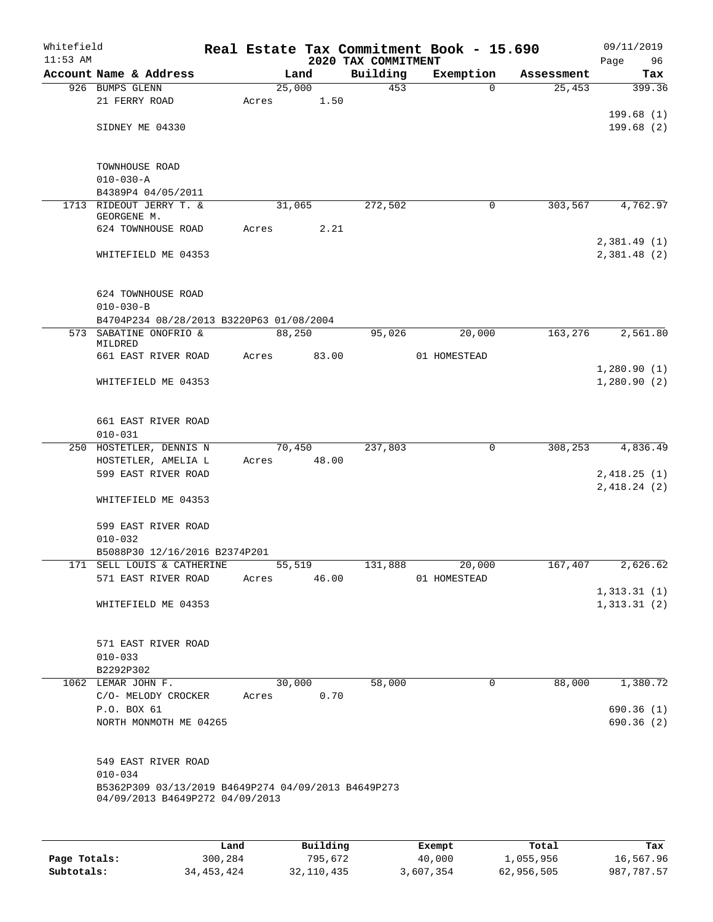| Whitefield<br>$11:53$ AM |                                                     |       |        |      | 2020 TAX COMMITMENT | Real Estate Tax Commitment Book - 15.690 |            | 09/11/2019<br>Page<br>96   |
|--------------------------|-----------------------------------------------------|-------|--------|------|---------------------|------------------------------------------|------------|----------------------------|
|                          | Account Name & Address                              |       | Land   |      | Building            | Exemption                                | Assessment | Tax                        |
|                          | 926 BUMPS GLENN                                     |       | 25,000 |      | 453                 | $\Omega$                                 | 25,453     | 399.36                     |
|                          | 21 FERRY ROAD                                       | Acres |        | 1.50 |                     |                                          |            |                            |
|                          |                                                     |       |        |      |                     |                                          |            | 199.68(1)                  |
|                          | SIDNEY ME 04330                                     |       |        |      |                     |                                          |            | 199.68(2)                  |
|                          |                                                     |       |        |      |                     |                                          |            |                            |
|                          |                                                     |       |        |      |                     |                                          |            |                            |
|                          | TOWNHOUSE ROAD<br>$010 - 030 - A$                   |       |        |      |                     |                                          |            |                            |
|                          | B4389P4 04/05/2011                                  |       |        |      |                     |                                          |            |                            |
|                          | 1713 RIDEOUT JERRY T. &                             |       | 31,065 |      | 272,502             | $\mathbf 0$                              | 303,567    | 4,762.97                   |
|                          | GEORGENE M.                                         |       |        |      |                     |                                          |            |                            |
|                          | 624 TOWNHOUSE ROAD                                  | Acres |        | 2.21 |                     |                                          |            |                            |
|                          |                                                     |       |        |      |                     |                                          |            | 2,381.49(1)                |
|                          | WHITEFIELD ME 04353                                 |       |        |      |                     |                                          |            | 2,381.48 (2)               |
|                          |                                                     |       |        |      |                     |                                          |            |                            |
|                          | 624 TOWNHOUSE ROAD                                  |       |        |      |                     |                                          |            |                            |
|                          | $010 - 030 - B$                                     |       |        |      |                     |                                          |            |                            |
|                          | B4704P234 08/28/2013 B3220P63 01/08/2004            |       |        |      |                     |                                          |            |                            |
|                          | 573 SABATINE ONOFRIO &                              |       | 88,250 |      | 95,026              | 20,000                                   | 163,276    | 2,561.80                   |
|                          | MILDRED                                             |       |        |      |                     |                                          |            |                            |
|                          | 661 EAST RIVER ROAD                                 | Acres | 83.00  |      |                     | 01 HOMESTEAD                             |            |                            |
|                          |                                                     |       |        |      |                     |                                          |            | 1,280.90(1)                |
|                          | WHITEFIELD ME 04353                                 |       |        |      |                     |                                          |            | 1,280.90(2)                |
|                          |                                                     |       |        |      |                     |                                          |            |                            |
|                          | 661 EAST RIVER ROAD                                 |       |        |      |                     |                                          |            |                            |
|                          | $010 - 031$                                         |       |        |      |                     |                                          |            |                            |
|                          | 250 HOSTETLER, DENNIS N                             |       | 70,450 |      | 237,803             | $\mathbf 0$                              | 308,253    | 4,836.49                   |
|                          | HOSTETLER, AMELIA L                                 | Acres | 48.00  |      |                     |                                          |            |                            |
|                          | 599 EAST RIVER ROAD                                 |       |        |      |                     |                                          |            | 2,418.25(1)                |
|                          |                                                     |       |        |      |                     |                                          |            | 2,418.24(2)                |
|                          | WHITEFIELD ME 04353                                 |       |        |      |                     |                                          |            |                            |
|                          |                                                     |       |        |      |                     |                                          |            |                            |
|                          | 599 EAST RIVER ROAD                                 |       |        |      |                     |                                          |            |                            |
|                          | $010 - 032$                                         |       |        |      |                     |                                          |            |                            |
|                          | B5088P30 12/16/2016 B2374P201                       |       |        |      |                     |                                          |            |                            |
|                          | 171 SELL LOUIS & CATHERINE                          |       | 55,519 |      | 131,888             | 20,000                                   | 167,407    | 2,626.62                   |
|                          | 571 EAST RIVER ROAD                                 | Acres | 46.00  |      |                     | 01 HOMESTEAD                             |            |                            |
|                          | WHITEFIELD ME 04353                                 |       |        |      |                     |                                          |            | 1,313.31(1)<br>1,313.31(2) |
|                          |                                                     |       |        |      |                     |                                          |            |                            |
|                          |                                                     |       |        |      |                     |                                          |            |                            |
|                          | 571 EAST RIVER ROAD                                 |       |        |      |                     |                                          |            |                            |
|                          | $010 - 033$                                         |       |        |      |                     |                                          |            |                            |
|                          | B2292P302                                           |       |        |      |                     |                                          |            |                            |
|                          | 1062 LEMAR JOHN F.                                  |       | 30,000 |      | 58,000              | $\mathbf 0$                              | 88,000     | 1,380.72                   |
|                          | C/O- MELODY CROCKER                                 | Acres |        | 0.70 |                     |                                          |            |                            |
|                          | P.O. BOX 61                                         |       |        |      |                     |                                          |            | 690.36(1)                  |
|                          | NORTH MONMOTH ME 04265                              |       |        |      |                     |                                          |            | 690.36(2)                  |
|                          |                                                     |       |        |      |                     |                                          |            |                            |
|                          |                                                     |       |        |      |                     |                                          |            |                            |
|                          | 549 EAST RIVER ROAD<br>$010 - 034$                  |       |        |      |                     |                                          |            |                            |
|                          | B5362P309 03/13/2019 B4649P274 04/09/2013 B4649P273 |       |        |      |                     |                                          |            |                            |
|                          | 04/09/2013 B4649P272 04/09/2013                     |       |        |      |                     |                                          |            |                            |
|                          |                                                     |       |        |      |                     |                                          |            |                            |
|                          |                                                     |       |        |      |                     |                                          |            |                            |
|                          |                                                     |       |        |      |                     |                                          |            |                            |

|              | Land       | Building   | Exempt    | Total      | Tax        |
|--------------|------------|------------|-----------|------------|------------|
| Page Totals: | 300,284    | 795,672    | 40,000    | 1,055,956  | 16,567.96  |
| Subtotals:   | 34,453,424 | 32,110,435 | 3,607,354 | 62,956,505 | 987,787.57 |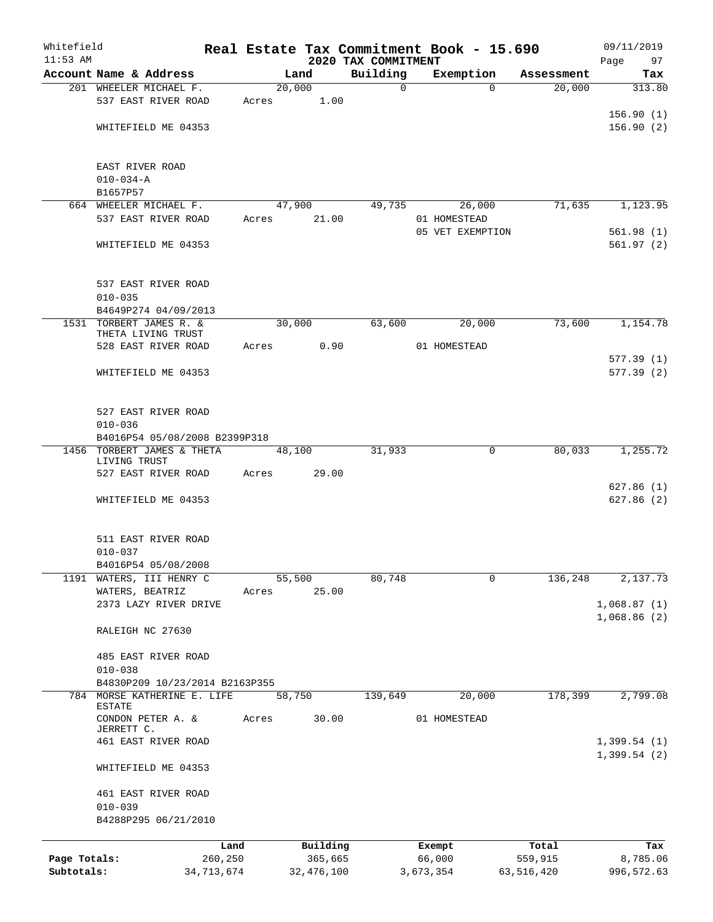| Whitefield<br>$11:53$ AM |                                          |            |            |                                 | Real Estate Tax Commitment Book - 15.690 |            | 09/11/2019        |
|--------------------------|------------------------------------------|------------|------------|---------------------------------|------------------------------------------|------------|-------------------|
|                          | Account Name & Address                   |            | Land       | 2020 TAX COMMITMENT<br>Building | Exemption                                | Assessment | Page<br>97<br>Tax |
|                          | 201 WHEELER MICHAEL F.                   |            | 20,000     | $\mathbf 0$                     | $\Omega$                                 | 20,000     | 313.80            |
|                          | 537 EAST RIVER ROAD                      | Acres      | 1.00       |                                 |                                          |            |                   |
|                          |                                          |            |            |                                 |                                          |            | 156.90(1)         |
|                          | WHITEFIELD ME 04353                      |            |            |                                 |                                          |            | 156.90(2)         |
|                          |                                          |            |            |                                 |                                          |            |                   |
|                          | EAST RIVER ROAD                          |            |            |                                 |                                          |            |                   |
|                          | $010 - 034 - A$                          |            |            |                                 |                                          |            |                   |
|                          | B1657P57                                 |            |            |                                 |                                          |            |                   |
|                          | 664 WHEELER MICHAEL F.                   |            | 47,900     | 49,735                          | 26,000                                   | 71,635     | 1,123.95          |
|                          | 537 EAST RIVER ROAD                      | Acres      | 21.00      |                                 | 01 HOMESTEAD                             |            |                   |
|                          |                                          |            |            |                                 | 05 VET EXEMPTION                         |            | 561.98(1)         |
|                          | WHITEFIELD ME 04353                      |            |            |                                 |                                          |            | 561.97(2)         |
|                          | 537 EAST RIVER ROAD                      |            |            |                                 |                                          |            |                   |
|                          | $010 - 035$                              |            |            |                                 |                                          |            |                   |
|                          | B4649P274 04/09/2013                     |            |            |                                 |                                          |            |                   |
| 1531                     | TORBERT JAMES R. &<br>THETA LIVING TRUST |            | 30,000     | 63,600                          | 20,000                                   | 73,600     | 1,154.78          |
|                          | 528 EAST RIVER ROAD                      | Acres      | 0.90       |                                 | 01 HOMESTEAD                             |            |                   |
|                          |                                          |            |            |                                 |                                          |            | 577.39(1)         |
|                          | WHITEFIELD ME 04353                      |            |            |                                 |                                          |            | 577.39(2)         |
|                          |                                          |            |            |                                 |                                          |            |                   |
|                          | 527 EAST RIVER ROAD                      |            |            |                                 |                                          |            |                   |
|                          | $010 - 036$                              |            |            |                                 |                                          |            |                   |
|                          | B4016P54 05/08/2008 B2399P318            |            |            |                                 |                                          |            |                   |
| 1456                     | TORBERT JAMES & THETA                    |            | 48,100     | 31,933                          | $\mathbf 0$                              | 80,033     | 1,255.72          |
|                          | LIVING TRUST<br>527 EAST RIVER ROAD      | Acres      | 29.00      |                                 |                                          |            |                   |
|                          |                                          |            |            |                                 |                                          |            | 627.86(1)         |
|                          | WHITEFIELD ME 04353                      |            |            |                                 |                                          |            | 627.86(2)         |
|                          |                                          |            |            |                                 |                                          |            |                   |
|                          | 511 EAST RIVER ROAD                      |            |            |                                 |                                          |            |                   |
|                          | $010 - 037$                              |            |            |                                 |                                          |            |                   |
|                          | B4016P54 05/08/2008                      |            |            |                                 |                                          |            |                   |
|                          | 1191 WATERS, III HENRY C                 |            | 55,500     | 80,748                          | $\mathbf 0$                              | 136,248    | 2,137.73          |
|                          | WATERS, BEATRIZ                          | Acres      | 25.00      |                                 |                                          |            |                   |
|                          | 2373 LAZY RIVER DRIVE                    |            |            |                                 |                                          |            | 1,068.87(1)       |
|                          | RALEIGH NC 27630                         |            |            |                                 |                                          |            | 1,068.86(2)       |
|                          |                                          |            |            |                                 |                                          |            |                   |
|                          | 485 EAST RIVER ROAD<br>$010 - 038$       |            |            |                                 |                                          |            |                   |
|                          | B4830P209 10/23/2014 B2163P355           |            |            |                                 |                                          |            |                   |
| 784                      | MORSE KATHERINE E. LIFE                  |            | 58,750     | 139,649                         | 20,000                                   | 178,399    | 2,799.08          |
|                          | <b>ESTATE</b>                            |            |            |                                 |                                          |            |                   |
|                          | CONDON PETER A. &<br>JERRETT C.          | Acres      | 30.00      |                                 | 01 HOMESTEAD                             |            |                   |
|                          | 461 EAST RIVER ROAD                      |            |            |                                 |                                          |            | 1,399.54(1)       |
|                          | WHITEFIELD ME 04353                      |            |            |                                 |                                          |            | 1,399.54(2)       |
|                          | 461 EAST RIVER ROAD                      |            |            |                                 |                                          |            |                   |
|                          | $010 - 039$<br>B4288P295 06/21/2010      |            |            |                                 |                                          |            |                   |
|                          |                                          | Land       | Building   |                                 | Exempt                                   | Total      | Tax               |
| Page Totals:             |                                          | 260,250    | 365,665    |                                 | 66,000                                   | 559,915    | 8,785.06          |
| Subtotals:               |                                          | 34,713,674 | 32,476,100 |                                 | 3,673,354                                | 63,516,420 | 996,572.63        |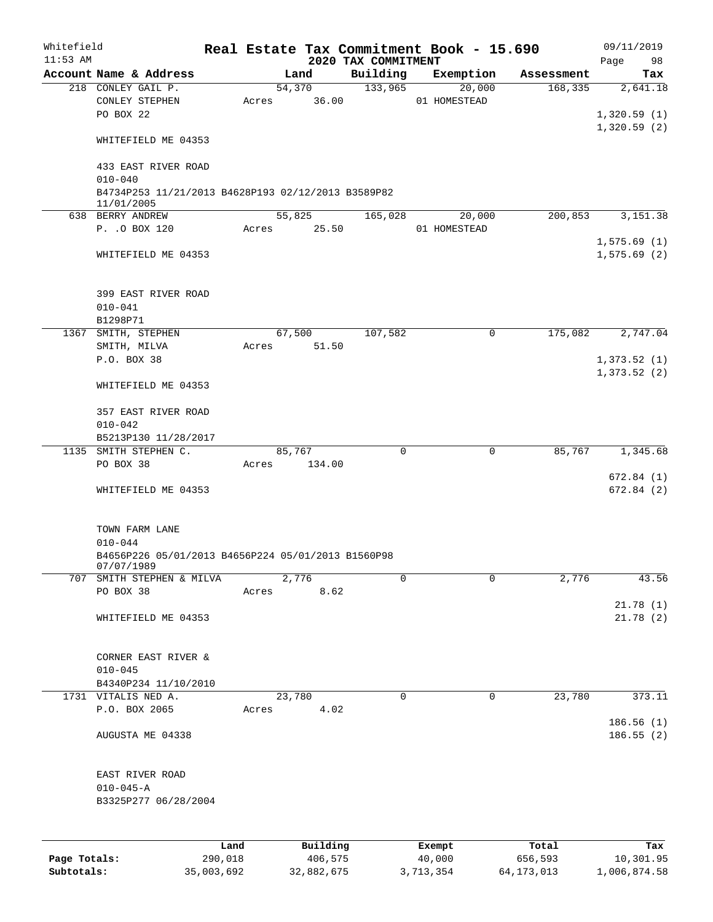| Whitefield<br>$11:53$ AM |                                                                  |       |                 | 2020 TAX COMMITMENT | Real Estate Tax Commitment Book - 15.690 |            | 09/11/2019<br>Page<br>98 |
|--------------------------|------------------------------------------------------------------|-------|-----------------|---------------------|------------------------------------------|------------|--------------------------|
|                          | Account Name & Address                                           |       | Land            | Building            | Exemption                                | Assessment | Tax                      |
|                          | 218 CONLEY GAIL P.<br>CONLEY STEPHEN<br>PO BOX 22                | Acres | 54,370<br>36.00 | 133,965             | 20,000<br>01 HOMESTEAD                   | 168, 335   | 2,641.18<br>1,320.59(1)  |
|                          | WHITEFIELD ME 04353                                              |       |                 |                     |                                          |            | 1,320.59(2)              |
|                          | 433 EAST RIVER ROAD<br>$010 - 040$                               |       |                 |                     |                                          |            |                          |
|                          | B4734P253 11/21/2013 B4628P193 02/12/2013 B3589P82<br>11/01/2005 |       |                 |                     |                                          |            |                          |
|                          | 638 BERRY ANDREW                                                 |       | 55,825          | 165,028             | 20,000                                   | 200,853    | 3,151.38                 |
|                          | P. . O BOX 120                                                   | Acres | 25.50           |                     | 01 HOMESTEAD                             |            | 1,575.69(1)              |
|                          | WHITEFIELD ME 04353                                              |       |                 |                     |                                          |            | 1,575.69(2)              |
|                          | 399 EAST RIVER ROAD<br>$010 - 041$                               |       |                 |                     |                                          |            |                          |
|                          | B1298P71                                                         |       |                 |                     |                                          |            |                          |
|                          | 1367 SMITH, STEPHEN                                              |       | 67,500          | 107,582             | 0                                        | 175,082    | 2,747.04                 |
|                          | SMITH, MILVA<br>P.O. BOX 38                                      | Acres | 51.50           |                     |                                          |            | 1,373.52(1)              |
|                          | WHITEFIELD ME 04353                                              |       |                 |                     |                                          |            | 1,373.52(2)              |
|                          | 357 EAST RIVER ROAD                                              |       |                 |                     |                                          |            |                          |
|                          | $010 - 042$                                                      |       |                 |                     |                                          |            |                          |
|                          | B5213P130 11/28/2017<br>1135 SMITH STEPHEN C.                    |       | 85,767          | $\mathbf 0$         | $\mathbf 0$                              | 85,767     | 1,345.68                 |
|                          | PO BOX 38                                                        | Acres | 134.00          |                     |                                          |            |                          |
|                          | WHITEFIELD ME 04353                                              |       |                 |                     |                                          |            | 672.84(1)<br>672.84 (2)  |
|                          | TOWN FARM LANE<br>$010 - 044$                                    |       |                 |                     |                                          |            |                          |
|                          | B4656P226 05/01/2013 B4656P224 05/01/2013 B1560P98<br>07/07/1989 |       |                 |                     |                                          |            |                          |
| 707                      | SMITH STEPHEN & MILVA                                            |       | 2,776           | 0                   | 0                                        | 2,776      | 43.56                    |
|                          | PO BOX 38                                                        | Acres | 8.62            |                     |                                          |            | 21.78(1)                 |
|                          | WHITEFIELD ME 04353                                              |       |                 |                     |                                          |            | 21.78(2)                 |
|                          | CORNER EAST RIVER &                                              |       |                 |                     |                                          |            |                          |
|                          | $010 - 045$                                                      |       |                 |                     |                                          |            |                          |
|                          | B4340P234 11/10/2010<br>1731 VITALIS NED A.                      |       | 23,780          | 0                   | $\mathbf 0$                              | 23,780     | 373.11                   |
|                          | P.O. BOX 2065                                                    | Acres | 4.02            |                     |                                          |            | 186.56 (1)               |
|                          | AUGUSTA ME 04338                                                 |       |                 |                     |                                          |            | 186.55(2)                |
|                          | EAST RIVER ROAD<br>$010 - 045 - A$<br>B3325P277 06/28/2004       |       |                 |                     |                                          |            |                          |
|                          |                                                                  |       |                 |                     |                                          |            |                          |
|                          |                                                                  | Land  | Building        |                     | Exempt                                   | Total      | Tax                      |
| Page Totals:             | 290,018                                                          |       | 406,575         |                     | 40,000                                   | 656,593    | 10,301.95                |

**Subtotals:** 35,003,692 32,882,675 3,713,354 64,173,013 1,006,874.58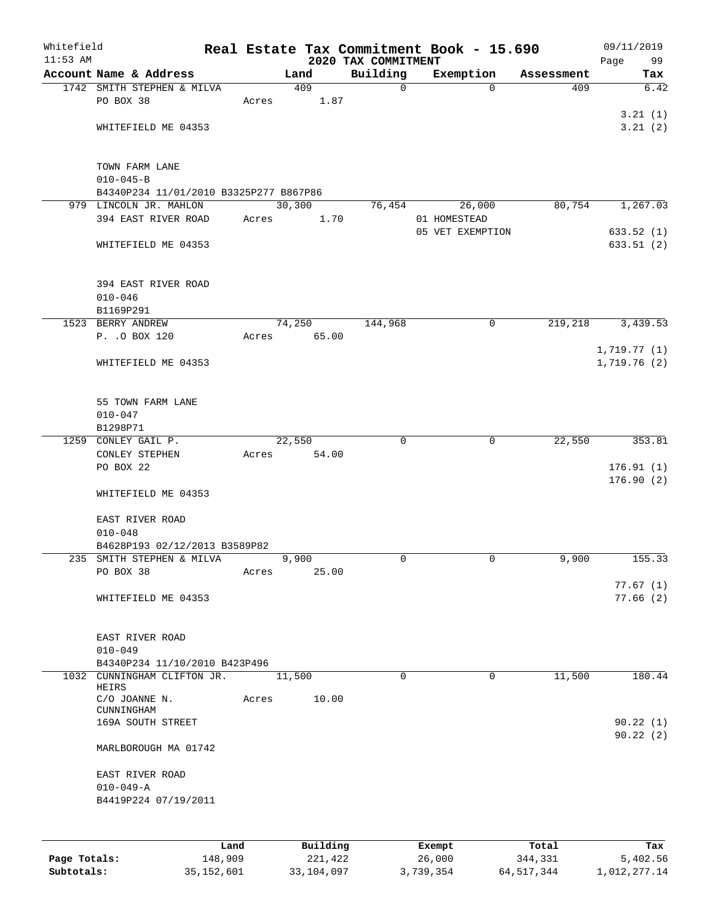| Whitefield |                                        |      |       |         |          | Real Estate Tax Commitment Book - 15.690 |              |                       |                   | 09/11/2019             |
|------------|----------------------------------------|------|-------|---------|----------|------------------------------------------|--------------|-----------------------|-------------------|------------------------|
| $11:53$ AM | Account Name & Address                 |      |       |         |          | 2020 TAX COMMITMENT<br>Building          |              |                       |                   | Page<br>99             |
|            | 1742 SMITH STEPHEN & MILVA             |      |       | Land    | 409      | $\mathbf 0$                              |              | Exemption<br>$\Omega$ | Assessment<br>409 | Tax<br>6.42            |
|            | PO BOX 38                              |      | Acres |         | 1.87     |                                          |              |                       |                   |                        |
|            |                                        |      |       |         |          |                                          |              |                       |                   | 3.21(1)                |
|            | WHITEFIELD ME 04353                    |      |       |         |          |                                          |              |                       |                   | 3.21(2)                |
|            |                                        |      |       |         |          |                                          |              |                       |                   |                        |
|            | TOWN FARM LANE                         |      |       |         |          |                                          |              |                       |                   |                        |
|            | $010 - 045 - B$                        |      |       |         |          |                                          |              |                       |                   |                        |
|            | B4340P234 11/01/2010 B3325P277 B867P86 |      |       |         |          |                                          |              |                       |                   |                        |
|            | 979 LINCOLN JR. MAHLON                 |      |       | 30, 300 |          | 76,454                                   |              | 26,000                | 80,754            | 1,267.03               |
|            | 394 EAST RIVER ROAD                    |      | Acres |         | 1.70     |                                          | 01 HOMESTEAD |                       |                   |                        |
|            | WHITEFIELD ME 04353                    |      |       |         |          |                                          |              | 05 VET EXEMPTION      |                   | 633.52(1)<br>633.51(2) |
|            |                                        |      |       |         |          |                                          |              |                       |                   |                        |
|            | 394 EAST RIVER ROAD                    |      |       |         |          |                                          |              |                       |                   |                        |
|            | $010 - 046$                            |      |       |         |          |                                          |              |                       |                   |                        |
|            | B1169P291                              |      |       |         |          |                                          |              |                       |                   |                        |
|            | 1523 BERRY ANDREW                      |      |       | 74,250  |          | 144,968                                  |              | 0                     | 219,218           | 3,439.53               |
|            | P. . O BOX 120                         |      | Acres |         | 65.00    |                                          |              |                       |                   |                        |
|            |                                        |      |       |         |          |                                          |              |                       |                   | 1,719.77(1)            |
|            | WHITEFIELD ME 04353                    |      |       |         |          |                                          |              |                       |                   | 1,719.76(2)            |
|            | 55 TOWN FARM LANE                      |      |       |         |          |                                          |              |                       |                   |                        |
|            | $010 - 047$                            |      |       |         |          |                                          |              |                       |                   |                        |
|            | B1298P71                               |      |       |         |          |                                          |              |                       |                   |                        |
|            | 1259 CONLEY GAIL P.                    |      |       | 22,550  |          | 0                                        |              | 0                     | 22,550            | 353.81                 |
|            | CONLEY STEPHEN                         |      | Acres |         | 54.00    |                                          |              |                       |                   |                        |
|            | PO BOX 22                              |      |       |         |          |                                          |              |                       |                   | 176.91(1)              |
|            |                                        |      |       |         |          |                                          |              |                       |                   | 176.90(2)              |
|            | WHITEFIELD ME 04353                    |      |       |         |          |                                          |              |                       |                   |                        |
|            | EAST RIVER ROAD                        |      |       |         |          |                                          |              |                       |                   |                        |
|            | $010 - 048$                            |      |       |         |          |                                          |              |                       |                   |                        |
|            | B4628P193 02/12/2013 B3589P82          |      |       |         |          |                                          |              |                       |                   |                        |
|            | 235 SMITH STEPHEN & MILVA              |      |       | 9,900   |          | 0                                        |              | 0                     | 9,900             | 155.33                 |
|            | PO BOX 38                              |      | Acres |         | 25.00    |                                          |              |                       |                   |                        |
|            |                                        |      |       |         |          |                                          |              |                       |                   | 77.67(1)<br>77.66(2)   |
|            | WHITEFIELD ME 04353                    |      |       |         |          |                                          |              |                       |                   |                        |
|            | EAST RIVER ROAD                        |      |       |         |          |                                          |              |                       |                   |                        |
|            | $010 - 049$                            |      |       |         |          |                                          |              |                       |                   |                        |
|            | B4340P234 11/10/2010 B423P496          |      |       |         |          |                                          |              |                       |                   |                        |
|            | 1032 CUNNINGHAM CLIFTON JR.            |      |       | 11,500  |          | $\Omega$                                 |              | $\Omega$              | 11,500            | 180.44                 |
|            | HEIRS                                  |      |       |         |          |                                          |              |                       |                   |                        |
|            | C/O JOANNE N.<br>CUNNINGHAM            |      | Acres |         | 10.00    |                                          |              |                       |                   |                        |
|            | 169A SOUTH STREET                      |      |       |         |          |                                          |              |                       |                   | 90.22(1)               |
|            | MARLBOROUGH MA 01742                   |      |       |         |          |                                          |              |                       |                   | 90.22(2)               |
|            | EAST RIVER ROAD                        |      |       |         |          |                                          |              |                       |                   |                        |
|            | $010 - 049 - A$                        |      |       |         |          |                                          |              |                       |                   |                        |
|            | B4419P224 07/19/2011                   |      |       |         |          |                                          |              |                       |                   |                        |
|            |                                        |      |       |         |          |                                          |              |                       |                   |                        |
|            |                                        | Land |       |         | Building |                                          | Exempt       |                       | Total             | Tax                    |

**Page Totals:** 148,909 221,422 26,000 344,331 5,402.56 **Subtotals:** 35,152,601 33,104,097 3,739,354 64,517,344 1,012,277.14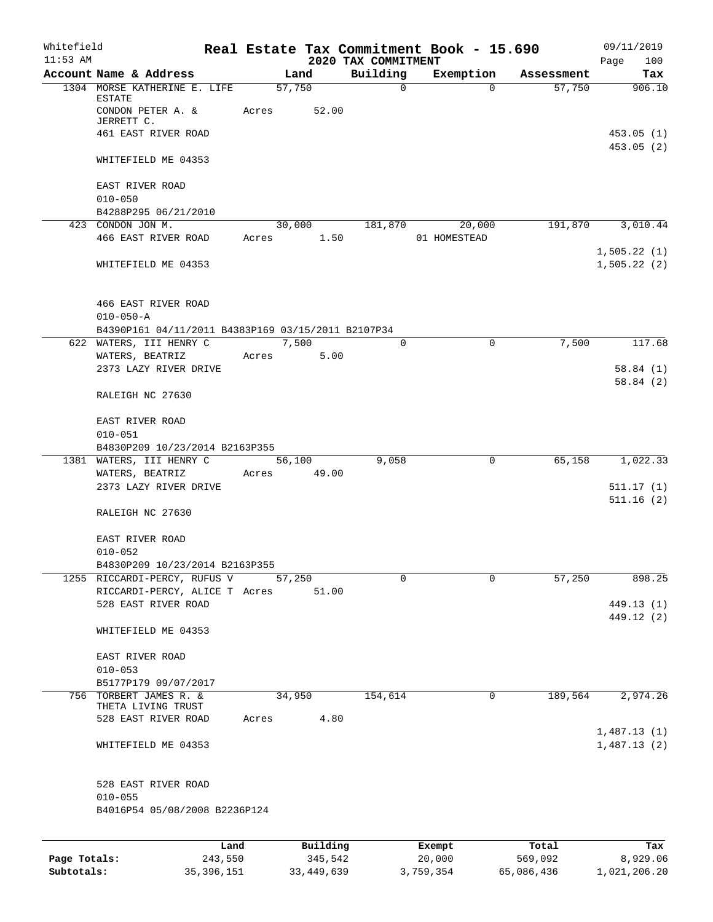| Whitefield<br>$11:53$ AM |                                                                                              |       |                 | 2020 TAX COMMITMENT | Real Estate Tax Commitment Book - 15.690 |            | 09/11/2019<br>100<br>Page  |
|--------------------------|----------------------------------------------------------------------------------------------|-------|-----------------|---------------------|------------------------------------------|------------|----------------------------|
|                          | Account Name & Address                                                                       |       | Land            | Building            | Exemption                                | Assessment | Tax                        |
|                          | 1304 MORSE KATHERINE E. LIFE<br>ESTATE<br>CONDON PETER A. &<br>JERRETT C.                    | Acres | 57,750<br>52.00 | $\mathbf 0$         | $\Omega$                                 | 57,750     | 906.10                     |
|                          | 461 EAST RIVER ROAD                                                                          |       |                 |                     |                                          |            | 453.05(1)<br>453.05(2)     |
|                          | WHITEFIELD ME 04353                                                                          |       |                 |                     |                                          |            |                            |
|                          | EAST RIVER ROAD<br>$010 - 050$                                                               |       |                 |                     |                                          |            |                            |
|                          | B4288P295 06/21/2010                                                                         |       |                 |                     |                                          |            |                            |
|                          | 423 CONDON JON M.                                                                            |       | 30,000 181,870  |                     | 20,000                                   | 191,870    | 3,010.44                   |
|                          | 466 EAST RIVER ROAD                                                                          | Acres | 1.50            |                     | 01 HOMESTEAD                             |            |                            |
|                          | WHITEFIELD ME 04353                                                                          |       |                 |                     |                                          |            | 1,505.22(1)<br>1,505.22(2) |
|                          | 466 EAST RIVER ROAD<br>$010 - 050 - A$<br>B4390P161 04/11/2011 B4383P169 03/15/2011 B2107P34 |       |                 |                     |                                          |            |                            |
|                          | 622 WATERS, III HENRY C                                                                      |       | 7,500           | $\Omega$            | $\Omega$                                 | 7,500      | 117.68                     |
|                          | WATERS, BEATRIZ                                                                              | Acres | 5.00            |                     |                                          |            |                            |
|                          | 2373 LAZY RIVER DRIVE                                                                        |       |                 |                     |                                          |            | 58.84(1)<br>58.84(2)       |
|                          | RALEIGH NC 27630                                                                             |       |                 |                     |                                          |            |                            |
|                          | EAST RIVER ROAD<br>$010 - 051$                                                               |       |                 |                     |                                          |            |                            |
|                          | B4830P209 10/23/2014 B2163P355                                                               |       |                 |                     |                                          |            |                            |
|                          | 1381 WATERS, III HENRY C                                                                     |       | 56,100          | 9,058               | 0                                        | 65,158     | 1,022.33                   |
|                          | WATERS, BEATRIZ<br>2373 LAZY RIVER DRIVE                                                     |       | Acres 49.00     |                     |                                          |            | 511.17(1)                  |
|                          | RALEIGH NC 27630                                                                             |       |                 |                     |                                          |            | 511.16(2)                  |
|                          | EAST RIVER ROAD<br>$010 - 052$                                                               |       |                 |                     |                                          |            |                            |
|                          | B4830P209 10/23/2014 B2163P355                                                               |       |                 |                     |                                          |            |                            |
|                          | 1255 RICCARDI-PERCY, RUFUS V                                                                 |       | 57,250          | $\Omega$            | $\Omega$                                 | 57,250     | 898.25                     |
|                          | RICCARDI-PERCY, ALICE T Acres<br>528 EAST RIVER ROAD                                         |       | 51.00           |                     |                                          |            | 449.13 (1)                 |
|                          | WHITEFIELD ME 04353                                                                          |       |                 |                     |                                          |            | 449.12 (2)                 |
|                          | EAST RIVER ROAD                                                                              |       |                 |                     |                                          |            |                            |
|                          | $010 - 053$                                                                                  |       |                 |                     |                                          |            |                            |
|                          | B5177P179 09/07/2017                                                                         |       |                 |                     |                                          |            |                            |
| 756                      | TORBERT JAMES R. &<br>THETA LIVING TRUST                                                     |       | 34,950          | 154,614             | $\mathbf 0$                              | 189,564    | 2,974.26                   |
|                          | 528 EAST RIVER ROAD                                                                          | Acres | 4.80            |                     |                                          |            | 1,487.13(1)                |
|                          | WHITEFIELD ME 04353                                                                          |       |                 |                     |                                          |            | 1,487.13(2)                |
|                          | 528 EAST RIVER ROAD<br>$010 - 055$                                                           |       |                 |                     |                                          |            |                            |
|                          | B4016P54 05/08/2008 B2236P124                                                                |       |                 |                     |                                          |            |                            |
|                          | Land                                                                                         |       | Building        |                     | Exempt                                   | Total      | Tax                        |
| Page Totals:             | 243,550                                                                                      |       | 345,542         |                     | 20,000                                   | 569,092    | 8,929.06                   |

**Subtotals:** 35,396,151 33,449,639 3,759,354 65,086,436 1,021,206.20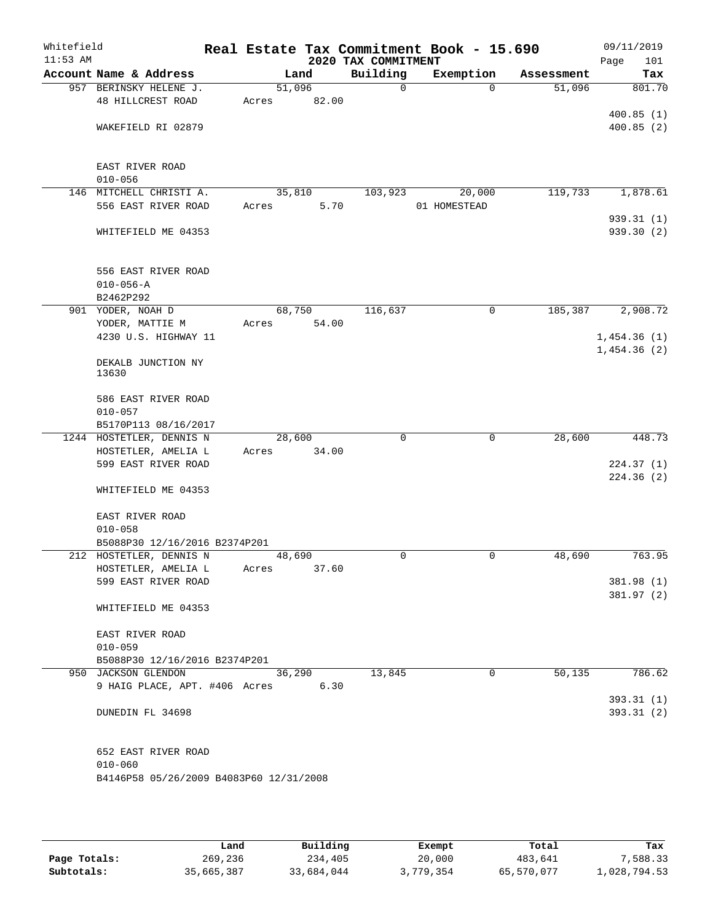| Whitefield<br>$11:53$ AM |                                         |       |        |             | 2020 TAX COMMITMENT | Real Estate Tax Commitment Book - 15.690 |            | 09/11/2019<br>101<br>Page |
|--------------------------|-----------------------------------------|-------|--------|-------------|---------------------|------------------------------------------|------------|---------------------------|
|                          | Account Name & Address                  |       | Land   |             | Building            | Exemption                                | Assessment | Tax                       |
|                          | 957 BERINSKY HELENE J.                  |       | 51,096 |             | $\Omega$            | $\Omega$                                 | 51,096     | 801.70                    |
|                          | 48 HILLCREST ROAD                       |       |        | Acres 82.00 |                     |                                          |            |                           |
|                          |                                         |       |        |             |                     |                                          |            | 400.85(1)                 |
|                          | WAKEFIELD RI 02879                      |       |        |             |                     |                                          |            | 400.85(2)                 |
|                          |                                         |       |        |             |                     |                                          |            |                           |
|                          |                                         |       |        |             |                     |                                          |            |                           |
|                          | EAST RIVER ROAD                         |       |        |             |                     |                                          |            |                           |
|                          | $010 - 056$                             |       |        |             |                     |                                          |            |                           |
|                          | 146 MITCHELL CHRISTI A.                 |       | 35,810 |             | 103,923             | 20,000                                   | 119,733    | 1,878.61                  |
|                          | 556 EAST RIVER ROAD                     | Acres |        | 5.70        |                     | 01 HOMESTEAD                             |            |                           |
|                          |                                         |       |        |             |                     |                                          |            | 939.31(1)<br>939.30(2)    |
|                          | WHITEFIELD ME 04353                     |       |        |             |                     |                                          |            |                           |
|                          |                                         |       |        |             |                     |                                          |            |                           |
|                          | 556 EAST RIVER ROAD                     |       |        |             |                     |                                          |            |                           |
|                          | $010 - 056 - A$                         |       |        |             |                     |                                          |            |                           |
|                          | B2462P292                               |       |        |             |                     |                                          |            |                           |
|                          | 901 YODER, NOAH D                       |       | 68,750 |             | 116,637             | $\mathbf 0$                              | 185,387    | 2,908.72                  |
|                          | YODER, MATTIE M                         | Acres |        | 54.00       |                     |                                          |            |                           |
|                          | 4230 U.S. HIGHWAY 11                    |       |        |             |                     |                                          |            | 1,454.36(1)               |
|                          |                                         |       |        |             |                     |                                          |            | 1,454.36(2)               |
|                          | DEKALB JUNCTION NY                      |       |        |             |                     |                                          |            |                           |
|                          | 13630                                   |       |        |             |                     |                                          |            |                           |
|                          |                                         |       |        |             |                     |                                          |            |                           |
|                          | 586 EAST RIVER ROAD                     |       |        |             |                     |                                          |            |                           |
|                          | $010 - 057$<br>B5170P113 08/16/2017     |       |        |             |                     |                                          |            |                           |
|                          | 1244 HOSTETLER, DENNIS N                |       | 28,600 |             | $\Omega$            | $\mathbf 0$                              | 28,600     | 448.73                    |
|                          | HOSTETLER, AMELIA L                     | Acres |        | 34.00       |                     |                                          |            |                           |
|                          | 599 EAST RIVER ROAD                     |       |        |             |                     |                                          |            | 224.37(1)                 |
|                          |                                         |       |        |             |                     |                                          |            | 224.36(2)                 |
|                          | WHITEFIELD ME 04353                     |       |        |             |                     |                                          |            |                           |
|                          |                                         |       |        |             |                     |                                          |            |                           |
|                          | EAST RIVER ROAD                         |       |        |             |                     |                                          |            |                           |
|                          | $010 - 058$                             |       |        |             |                     |                                          |            |                           |
|                          | B5088P30 12/16/2016 B2374P201           |       |        |             |                     |                                          |            |                           |
|                          | 212 HOSTETLER, DENNIS N                 |       | 48,690 |             | $\mathbf 0$         | 0                                        | 48,690     | 763.95                    |
|                          | HOSTETLER, AMELIA L                     | Acres |        | 37.60       |                     |                                          |            |                           |
|                          | 599 EAST RIVER ROAD                     |       |        |             |                     |                                          |            | 381.98 (1)                |
|                          |                                         |       |        |             |                     |                                          |            | 381.97 (2)                |
|                          | WHITEFIELD ME 04353                     |       |        |             |                     |                                          |            |                           |
|                          | EAST RIVER ROAD                         |       |        |             |                     |                                          |            |                           |
|                          | $010 - 059$                             |       |        |             |                     |                                          |            |                           |
|                          | B5088P30 12/16/2016 B2374P201           |       |        |             |                     |                                          |            |                           |
|                          | 950 JACKSON GLENDON                     |       | 36,290 |             | 13,845              | 0                                        | 50,135     | 786.62                    |
|                          | 9 HAIG PLACE, APT. #406 Acres           |       |        | 6.30        |                     |                                          |            |                           |
|                          |                                         |       |        |             |                     |                                          |            | 393.31 (1)                |
|                          | DUNEDIN FL 34698                        |       |        |             |                     |                                          |            | 393.31(2)                 |
|                          |                                         |       |        |             |                     |                                          |            |                           |
|                          |                                         |       |        |             |                     |                                          |            |                           |
|                          | 652 EAST RIVER ROAD                     |       |        |             |                     |                                          |            |                           |
|                          | $010 - 060$                             |       |        |             |                     |                                          |            |                           |
|                          | B4146P58 05/26/2009 B4083P60 12/31/2008 |       |        |             |                     |                                          |            |                           |
|                          |                                         |       |        |             |                     |                                          |            |                           |

|              | Land       | Building   | Exempt    | Total      | Tax          |
|--------------|------------|------------|-----------|------------|--------------|
| Page Totals: | 269,236    | 234,405    | 20,000    | 483,641    | 7,588.33     |
| Subtotals:   | 35,665,387 | 33,684,044 | 3,779,354 | 65,570,077 | 1,028,794.53 |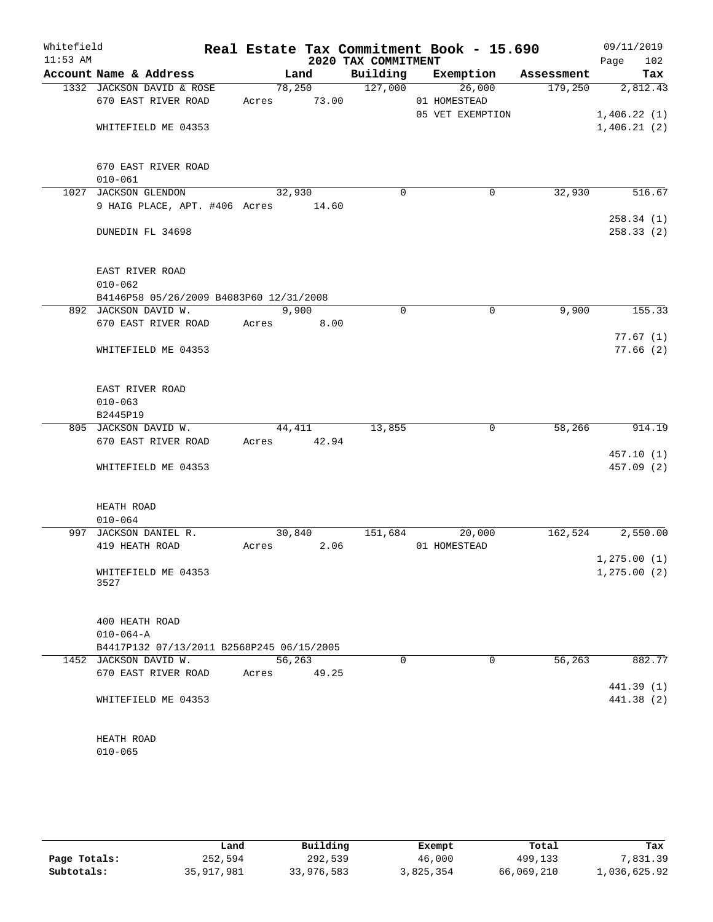| Whitefield<br>$11:53$ AM |                                           |                 |        | 2020 TAX COMMITMENT | Real Estate Tax Commitment Book - 15.690 |            | 09/11/2019<br>102<br>Page |
|--------------------------|-------------------------------------------|-----------------|--------|---------------------|------------------------------------------|------------|---------------------------|
|                          | Account Name & Address                    |                 | Land   | Building            | Exemption                                | Assessment | Tax                       |
|                          | 1332 JACKSON DAVID & ROSE                 |                 | 78,250 | 127,000             | 26,000                                   | 179,250    | 2,812.43                  |
|                          | 670 EAST RIVER ROAD                       | Acres           | 73.00  |                     | 01 HOMESTEAD                             |            |                           |
|                          |                                           |                 |        |                     | 05 VET EXEMPTION                         |            | 1,406.22(1)               |
|                          | WHITEFIELD ME 04353                       |                 |        |                     |                                          |            | 1,406.21(2)               |
|                          |                                           |                 |        |                     |                                          |            |                           |
|                          |                                           |                 |        |                     |                                          |            |                           |
|                          | 670 EAST RIVER ROAD                       |                 |        |                     |                                          |            |                           |
|                          | $010 - 061$                               |                 |        |                     |                                          |            |                           |
|                          | 1027 JACKSON GLENDON                      | 32,930          |        | $\mathbf 0$         | $\mathbf 0$                              | 32,930     | 516.67                    |
|                          | 9 HAIG PLACE, APT. #406 Acres 14.60       |                 |        |                     |                                          |            |                           |
|                          |                                           |                 |        |                     |                                          |            | 258.34(1)                 |
|                          | DUNEDIN FL 34698                          |                 |        |                     |                                          |            | 258.33(2)                 |
|                          |                                           |                 |        |                     |                                          |            |                           |
|                          |                                           |                 |        |                     |                                          |            |                           |
|                          | EAST RIVER ROAD                           |                 |        |                     |                                          |            |                           |
|                          | $010 - 062$                               |                 |        |                     |                                          |            |                           |
|                          | B4146P58 05/26/2009 B4083P60 12/31/2008   |                 |        |                     |                                          |            |                           |
|                          | 892 JACKSON DAVID W.                      |                 | 9,900  | $\mathbf 0$         | $\mathbf 0$                              | 9,900      | 155.33                    |
|                          | 670 EAST RIVER ROAD                       | Acres           | 8.00   |                     |                                          |            |                           |
|                          |                                           |                 |        |                     |                                          |            | 77.67(1)                  |
|                          | WHITEFIELD ME 04353                       |                 |        |                     |                                          |            | 77.66(2)                  |
|                          |                                           |                 |        |                     |                                          |            |                           |
|                          |                                           |                 |        |                     |                                          |            |                           |
|                          | EAST RIVER ROAD                           |                 |        |                     |                                          |            |                           |
|                          | $010 - 063$                               |                 |        |                     |                                          |            |                           |
|                          | B2445P19                                  |                 |        |                     |                                          |            |                           |
|                          | 805 JACKSON DAVID W.                      | 44,411          |        | 13,855              | 0                                        | 58,266     | 914.19                    |
|                          | 670 EAST RIVER ROAD                       | Acres 42.94     |        |                     |                                          |            |                           |
|                          |                                           |                 |        |                     |                                          |            | 457.10(1)                 |
|                          | WHITEFIELD ME 04353                       |                 |        |                     |                                          |            | 457.09 (2)                |
|                          |                                           |                 |        |                     |                                          |            |                           |
|                          | HEATH ROAD                                |                 |        |                     |                                          |            |                           |
|                          |                                           |                 |        |                     |                                          |            |                           |
|                          | $010 - 064$<br>997 JACKSON DANIEL R.      |                 |        | 151,684             | 20,000                                   | 162,524    | 2,550.00                  |
|                          | 419 HEATH ROAD                            | 30,840<br>Acres | 2.06   |                     | 01 HOMESTEAD                             |            |                           |
|                          |                                           |                 |        |                     |                                          |            | 1, 275.00(1)              |
|                          | WHITEFIELD ME 04353                       |                 |        |                     |                                          |            | 1, 275.00(2)              |
|                          | 3527                                      |                 |        |                     |                                          |            |                           |
|                          |                                           |                 |        |                     |                                          |            |                           |
|                          |                                           |                 |        |                     |                                          |            |                           |
|                          | 400 HEATH ROAD                            |                 |        |                     |                                          |            |                           |
|                          | $010 - 064 - A$                           |                 |        |                     |                                          |            |                           |
|                          | B4417P132 07/13/2011 B2568P245 06/15/2005 |                 |        |                     |                                          |            |                           |
|                          | 1452 JACKSON DAVID W.                     | 56,263          |        | 0                   | 0                                        | 56, 263    | 882.77                    |
|                          | 670 EAST RIVER ROAD                       | Acres           | 49.25  |                     |                                          |            |                           |
|                          |                                           |                 |        |                     |                                          |            | 441.39(1)                 |
|                          | WHITEFIELD ME 04353                       |                 |        |                     |                                          |            | 441.38 (2)                |
|                          |                                           |                 |        |                     |                                          |            |                           |
|                          |                                           |                 |        |                     |                                          |            |                           |
|                          | HEATH ROAD                                |                 |        |                     |                                          |            |                           |
|                          | $010 - 065$                               |                 |        |                     |                                          |            |                           |
|                          |                                           |                 |        |                     |                                          |            |                           |

|              | Land         | Building   | Exempt    | Total      | Tax          |
|--------------|--------------|------------|-----------|------------|--------------|
| Page Totals: | 252,594      | 292,539    | 46,000    | 499,133    | .831.39      |
| Subtotals:   | 35, 917, 981 | 33,976,583 | 3,825,354 | 66,069,210 | 1,036,625.92 |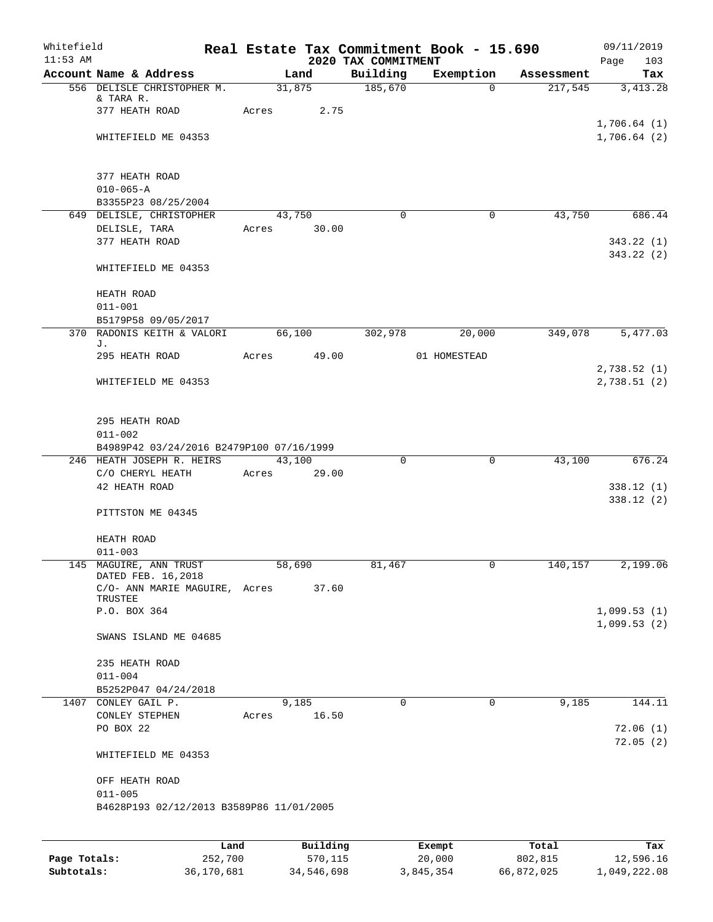| Whitefield<br>$11:53$ AM |                                                         |       |               | 2020 TAX COMMITMENT | Real Estate Tax Commitment Book - 15.690 |            | 09/11/2019<br>Page<br>103  |
|--------------------------|---------------------------------------------------------|-------|---------------|---------------------|------------------------------------------|------------|----------------------------|
|                          | Account Name & Address                                  |       | Land          | Building            | Exemption                                | Assessment | Tax                        |
|                          | 556 DELISLE CHRISTOPHER M.                              |       | 31,875        | 185,670             | $\Omega$                                 | 217,545    | 3,413.28                   |
|                          | & TARA R.                                               |       |               |                     |                                          |            |                            |
|                          | 377 HEATH ROAD                                          |       | 2.75<br>Acres |                     |                                          |            | 1,706.64(1)                |
|                          | WHITEFIELD ME 04353                                     |       |               |                     |                                          |            | 1,706.64(2)                |
|                          |                                                         |       |               |                     |                                          |            |                            |
|                          |                                                         |       |               |                     |                                          |            |                            |
|                          | 377 HEATH ROAD                                          |       |               |                     |                                          |            |                            |
|                          | $010 - 065 - A$                                         |       |               |                     |                                          |            |                            |
|                          | B3355P23 08/25/2004                                     |       |               |                     |                                          |            |                            |
|                          | 649 DELISLE, CHRISTOPHER                                |       | 43,750        | $\Omega$            | 0                                        | 43,750     | 686.44                     |
|                          | DELISLE, TARA<br>377 HEATH ROAD                         |       | Acres 30.00   |                     |                                          |            | 343.22(1)                  |
|                          |                                                         |       |               |                     |                                          |            | 343.22(2)                  |
|                          | WHITEFIELD ME 04353                                     |       |               |                     |                                          |            |                            |
|                          |                                                         |       |               |                     |                                          |            |                            |
|                          | HEATH ROAD                                              |       |               |                     |                                          |            |                            |
|                          | $011 - 001$                                             |       |               |                     |                                          |            |                            |
|                          | B5179P58 09/05/2017                                     |       |               |                     |                                          |            |                            |
|                          | 370 RADONIS KEITH & VALORI<br>J.                        |       | 66,100        | 302,978             | 20,000                                   | 349,078    | 5,477.03                   |
|                          | 295 HEATH ROAD                                          |       | Acres 49.00   |                     | 01 HOMESTEAD                             |            |                            |
|                          |                                                         |       |               |                     |                                          |            | 2,738.52(1)                |
|                          | WHITEFIELD ME 04353                                     |       |               |                     |                                          |            | 2,738.51(2)                |
|                          |                                                         |       |               |                     |                                          |            |                            |
|                          |                                                         |       |               |                     |                                          |            |                            |
|                          | 295 HEATH ROAD                                          |       |               |                     |                                          |            |                            |
|                          | $011 - 002$<br>B4989P42 03/24/2016 B2479P100 07/16/1999 |       |               |                     |                                          |            |                            |
|                          | 246 HEATH JOSEPH R. HEIRS                               |       | 43,100        | $\mathbf 0$         | $\overline{0}$                           | 43,100     | 676.24                     |
|                          | C/O CHERYL HEATH                                        |       | Acres 29.00   |                     |                                          |            |                            |
|                          | 42 HEATH ROAD                                           |       |               |                     |                                          |            | 338.12(1)                  |
|                          |                                                         |       |               |                     |                                          |            | 338.12(2)                  |
|                          | PITTSTON ME 04345                                       |       |               |                     |                                          |            |                            |
|                          |                                                         |       |               |                     |                                          |            |                            |
|                          | HEATH ROAD                                              |       |               |                     |                                          |            |                            |
|                          | $011 - 003$<br>145 MAGUIRE, ANN TRUST                   |       | 58,690        | 81,467              |                                          | 140, 157   | 2,199.06                   |
|                          | DATED FEB. 16,2018                                      |       |               |                     |                                          |            |                            |
|                          | C/O- ANN MARIE MAGUIRE, Acres 37.60                     |       |               |                     |                                          |            |                            |
|                          | TRUSTEE                                                 |       |               |                     |                                          |            |                            |
|                          | P.O. BOX 364                                            |       |               |                     |                                          |            | 1,099.53(1)<br>1,099.53(2) |
|                          | SWANS ISLAND ME 04685                                   |       |               |                     |                                          |            |                            |
|                          |                                                         |       |               |                     |                                          |            |                            |
|                          | 235 HEATH ROAD                                          |       |               |                     |                                          |            |                            |
|                          | $011 - 004$                                             |       |               |                     |                                          |            |                            |
|                          | B5252P047 04/24/2018                                    |       |               |                     |                                          |            |                            |
|                          | 1407 CONLEY GAIL P.                                     |       | 9,185         | $\Omega$            | $\mathbf 0$                              | 9,185      | 144.11                     |
|                          | CONLEY STEPHEN                                          | Acres | 16.50         |                     |                                          |            |                            |
|                          | PO BOX 22                                               |       |               |                     |                                          |            | 72.06(1)                   |
|                          | WHITEFIELD ME 04353                                     |       |               |                     |                                          |            | 72.05(2)                   |
|                          |                                                         |       |               |                     |                                          |            |                            |
|                          | OFF HEATH ROAD                                          |       |               |                     |                                          |            |                            |
|                          | $011 - 005$                                             |       |               |                     |                                          |            |                            |
|                          | B4628P193 02/12/2013 B3589P86 11/01/2005                |       |               |                     |                                          |            |                            |
|                          |                                                         |       |               |                     |                                          |            |                            |
|                          |                                                         | Land  | Building      |                     | Exempt                                   | Total      | Tax                        |
|                          |                                                         |       |               |                     |                                          |            |                            |

**Page Totals:** 252,700 570,115 20,000 802,815 12,596.16 **Subtotals:** 36,170,681 34,546,698 3,845,354 66,872,025 1,049,222.08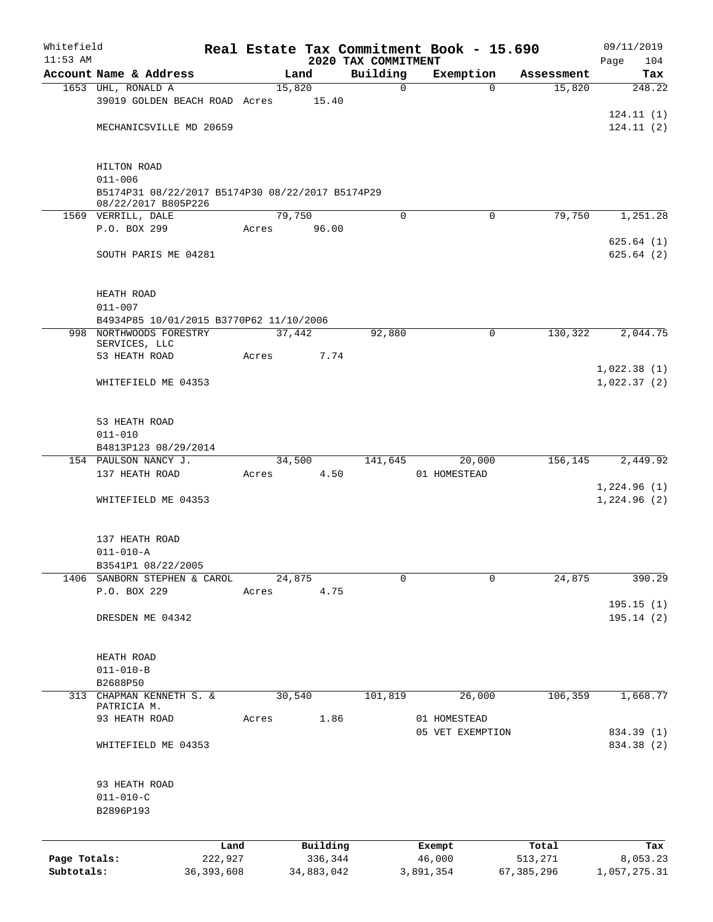| Whitefield   |                                                                    |      |       |                     |                                 | Real Estate Tax Commitment Book - 15.690 |                  | 09/11/2019               |  |  |
|--------------|--------------------------------------------------------------------|------|-------|---------------------|---------------------------------|------------------------------------------|------------------|--------------------------|--|--|
| $11:53$ AM   | Account Name & Address                                             |      |       | Land                | 2020 TAX COMMITMENT<br>Building | Exemption                                | Assessment       | Page<br>104<br>Tax       |  |  |
|              | 1653 UHL, RONALD A                                                 |      |       | 15,820              | $\mathbf 0$                     | $\Omega$                                 | 15,820           | 248.22                   |  |  |
|              | 39019 GOLDEN BEACH ROAD Acres                                      |      |       | 15.40               |                                 |                                          |                  |                          |  |  |
|              |                                                                    |      |       |                     |                                 |                                          |                  | 124.11(1)                |  |  |
|              | MECHANICSVILLE MD 20659                                            |      |       |                     |                                 |                                          |                  | 124.11(2)                |  |  |
|              |                                                                    |      |       |                     |                                 |                                          |                  |                          |  |  |
|              |                                                                    |      |       |                     |                                 |                                          |                  |                          |  |  |
|              | HILTON ROAD<br>$011 - 006$                                         |      |       |                     |                                 |                                          |                  |                          |  |  |
|              | B5174P31 08/22/2017 B5174P30 08/22/2017 B5174P29                   |      |       |                     |                                 |                                          |                  |                          |  |  |
|              | 08/22/2017 B805P226                                                |      |       |                     |                                 |                                          |                  |                          |  |  |
|              | 1569 VERRILL, DALE                                                 |      |       | 79,750              | $\Omega$                        | $\Omega$                                 | 79,750           | 1,251.28                 |  |  |
|              | P.O. BOX 299                                                       |      | Acres | 96.00               |                                 |                                          |                  | 625.64(1)                |  |  |
|              | SOUTH PARIS ME 04281                                               |      |       |                     |                                 |                                          |                  | 625.64(2)                |  |  |
|              |                                                                    |      |       |                     |                                 |                                          |                  |                          |  |  |
|              |                                                                    |      |       |                     |                                 |                                          |                  |                          |  |  |
|              | HEATH ROAD                                                         |      |       |                     |                                 |                                          |                  |                          |  |  |
|              | $011 - 007$                                                        |      |       |                     |                                 |                                          |                  |                          |  |  |
|              | B4934P85 10/01/2015 B3770P62 11/10/2006<br>998 NORTHWOODS FORESTRY |      |       | 37,442              | 92,880                          | 0                                        | 130,322          | 2,044.75                 |  |  |
|              | SERVICES, LLC                                                      |      |       |                     |                                 |                                          |                  |                          |  |  |
|              | 53 HEATH ROAD                                                      |      | Acres | 7.74                |                                 |                                          |                  |                          |  |  |
|              |                                                                    |      |       |                     |                                 |                                          |                  | 1,022.38(1)              |  |  |
|              | WHITEFIELD ME 04353                                                |      |       |                     |                                 |                                          |                  | 1,022.37(2)              |  |  |
|              |                                                                    |      |       |                     |                                 |                                          |                  |                          |  |  |
|              | 53 HEATH ROAD                                                      |      |       |                     |                                 |                                          |                  |                          |  |  |
|              | $011 - 010$                                                        |      |       |                     |                                 |                                          |                  |                          |  |  |
|              | B4813P123 08/29/2014                                               |      |       |                     |                                 |                                          |                  |                          |  |  |
|              | 154 PAULSON NANCY J.                                               |      |       | 34,500              | 141,645                         | 20,000                                   | 156,145          | 2,449.92                 |  |  |
|              | 137 HEATH ROAD                                                     |      | Acres | 4.50                |                                 | 01 HOMESTEAD                             |                  | 1,224.96(1)              |  |  |
|              | WHITEFIELD ME 04353                                                |      |       |                     |                                 |                                          |                  | 1,224.96(2)              |  |  |
|              |                                                                    |      |       |                     |                                 |                                          |                  |                          |  |  |
|              |                                                                    |      |       |                     |                                 |                                          |                  |                          |  |  |
|              | 137 HEATH ROAD                                                     |      |       |                     |                                 |                                          |                  |                          |  |  |
|              | $011 - 010 - A$                                                    |      |       |                     |                                 |                                          |                  |                          |  |  |
|              | B3541P1 08/22/2005<br>1406 SANBORN STEPHEN & CAROL                 |      |       | 24,875              | 0                               | $\mathbf 0$                              | 24,875           | 390.29                   |  |  |
|              | P.O. BOX 229                                                       |      | Acres | 4.75                |                                 |                                          |                  |                          |  |  |
|              |                                                                    |      |       |                     |                                 |                                          |                  | 195.15 (1)               |  |  |
|              | DRESDEN ME 04342                                                   |      |       |                     |                                 |                                          |                  | 195.14 (2)               |  |  |
|              |                                                                    |      |       |                     |                                 |                                          |                  |                          |  |  |
|              | HEATH ROAD                                                         |      |       |                     |                                 |                                          |                  |                          |  |  |
|              | $011 - 010 - B$                                                    |      |       |                     |                                 |                                          |                  |                          |  |  |
|              | B2688P50                                                           |      |       |                     |                                 |                                          |                  |                          |  |  |
| 313          | CHAPMAN KENNETH S. &                                               |      |       | 30,540              | 101,819                         | 26,000                                   | 106,359          | 1,668.77                 |  |  |
|              | PATRICIA M.<br>93 HEATH ROAD                                       |      | Acres | 1.86                |                                 | 01 HOMESTEAD                             |                  |                          |  |  |
|              |                                                                    |      |       |                     |                                 | 05 VET EXEMPTION                         |                  | 834.39 (1)               |  |  |
|              | WHITEFIELD ME 04353                                                |      |       |                     |                                 |                                          |                  | 834.38 (2)               |  |  |
|              |                                                                    |      |       |                     |                                 |                                          |                  |                          |  |  |
|              |                                                                    |      |       |                     |                                 |                                          |                  |                          |  |  |
|              | 93 HEATH ROAD                                                      |      |       |                     |                                 |                                          |                  |                          |  |  |
|              | $011 - 010 - C$<br>B2896P193                                       |      |       |                     |                                 |                                          |                  |                          |  |  |
|              |                                                                    |      |       |                     |                                 |                                          |                  |                          |  |  |
|              |                                                                    |      |       |                     |                                 |                                          |                  |                          |  |  |
| Page Totals: | 222,927                                                            | Land |       | Building<br>336,344 |                                 | Exempt<br>46,000                         | Total<br>513,271 | Tax                      |  |  |
| Subtotals:   | 36, 393, 608                                                       |      |       | 34,883,042          |                                 | 3,891,354                                | 67, 385, 296     | 8,053.23<br>1,057,275.31 |  |  |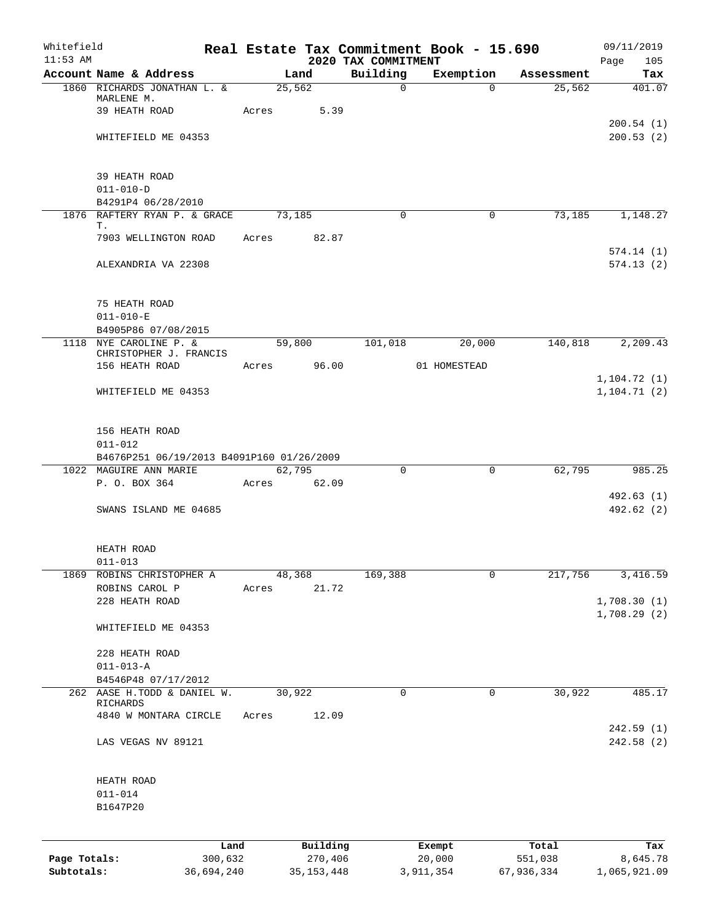| Whitefield<br>$11:53$ AM |                                                    |       |          | 2020 TAX COMMITMENT | Real Estate Tax Commitment Book - 15.690 |            | 09/11/2019<br>Page<br>105 |
|--------------------------|----------------------------------------------------|-------|----------|---------------------|------------------------------------------|------------|---------------------------|
|                          | Account Name & Address                             |       | Land     | Building            | Exemption                                | Assessment | Tax                       |
|                          | 1860 RICHARDS JONATHAN L. &                        |       | 25,562   | $\mathbf 0$         | $\Omega$                                 | 25,562     | 401.07                    |
|                          | MARLENE M.                                         |       |          |                     |                                          |            |                           |
|                          | 39 HEATH ROAD                                      | Acres | 5.39     |                     |                                          |            | 200.54(1)                 |
|                          | WHITEFIELD ME 04353                                |       |          |                     |                                          |            | 200.53(2)                 |
|                          |                                                    |       |          |                     |                                          |            |                           |
|                          |                                                    |       |          |                     |                                          |            |                           |
|                          | 39 HEATH ROAD                                      |       |          |                     |                                          |            |                           |
|                          | $011 - 010 - D$                                    |       |          |                     |                                          |            |                           |
|                          | B4291P4 06/28/2010<br>1876 RAFTERY RYAN P. & GRACE |       | 73,185   | $\Omega$            | 0                                        | 73,185     | 1,148.27                  |
|                          | Т.                                                 |       |          |                     |                                          |            |                           |
|                          | 7903 WELLINGTON ROAD                               | Acres | 82.87    |                     |                                          |            |                           |
|                          |                                                    |       |          |                     |                                          |            | 574.14(1)                 |
|                          | ALEXANDRIA VA 22308                                |       |          |                     |                                          |            | 574.13(2)                 |
|                          | 75 HEATH ROAD                                      |       |          |                     |                                          |            |                           |
|                          | $011 - 010 - E$                                    |       |          |                     |                                          |            |                           |
|                          | B4905P86 07/08/2015                                |       |          |                     |                                          |            |                           |
|                          | 1118 NYE CAROLINE P. &                             |       | 59,800   | 101,018             | 20,000                                   | 140,818    | 2,209.43                  |
|                          | CHRISTOPHER J. FRANCIS<br>156 HEATH ROAD           |       | 96.00    |                     | 01 HOMESTEAD                             |            |                           |
|                          |                                                    | Acres |          |                     |                                          |            | 1,104.72(1)               |
|                          | WHITEFIELD ME 04353                                |       |          |                     |                                          |            | 1, 104.71(2)              |
|                          |                                                    |       |          |                     |                                          |            |                           |
|                          | 156 HEATH ROAD<br>$011 - 012$                      |       |          |                     |                                          |            |                           |
|                          | B4676P251 06/19/2013 B4091P160 01/26/2009          |       |          |                     |                                          |            |                           |
|                          | 1022 MAGUIRE ANN MARIE                             |       | 62,795   | $\Omega$            | 0                                        | 62,795     | 985.25                    |
|                          | P. O. BOX 364                                      | Acres | 62.09    |                     |                                          |            |                           |
|                          |                                                    |       |          |                     |                                          |            | 492.63 (1)                |
|                          | SWANS ISLAND ME 04685                              |       |          |                     |                                          |            | 492.62 (2)                |
|                          | HEATH ROAD                                         |       |          |                     |                                          |            |                           |
|                          | $011 - 013$                                        |       |          |                     |                                          |            |                           |
| 1869                     | ROBINS CHRISTOPHER A                               |       | 48,368   | 169,388             | 0                                        | 217,756    | 3,416.59                  |
|                          | ROBINS CAROL P                                     | Acres | 21.72    |                     |                                          |            |                           |
|                          | 228 HEATH ROAD                                     |       |          |                     |                                          |            | 1,708.30(1)               |
|                          | WHITEFIELD ME 04353                                |       |          |                     |                                          |            | 1,708.29(2)               |
|                          | 228 HEATH ROAD                                     |       |          |                     |                                          |            |                           |
|                          | $011 - 013 - A$                                    |       |          |                     |                                          |            |                           |
|                          | B4546P48 07/17/2012                                |       |          |                     |                                          |            |                           |
|                          | 262 AASE H.TODD & DANIEL W.<br>RICHARDS            |       | 30,922   | 0                   | 0                                        | 30,922     | 485.17                    |
|                          | 4840 W MONTARA CIRCLE                              | Acres | 12.09    |                     |                                          |            | 242.59(1)                 |
|                          | LAS VEGAS NV 89121                                 |       |          |                     |                                          |            | 242.58 (2)                |
|                          | HEATH ROAD                                         |       |          |                     |                                          |            |                           |
|                          | $011 - 014$                                        |       |          |                     |                                          |            |                           |
|                          | B1647P20                                           |       |          |                     |                                          |            |                           |
|                          | Land                                               |       | Building |                     | Exempt                                   | Total      | Tax                       |
| Page Totals:             | 300,632                                            |       | 270,406  |                     | 20,000                                   | 551,038    | 8,645.78                  |

**Subtotals:** 36,694,240 35,153,448 3,911,354 67,936,334 1,065,921.09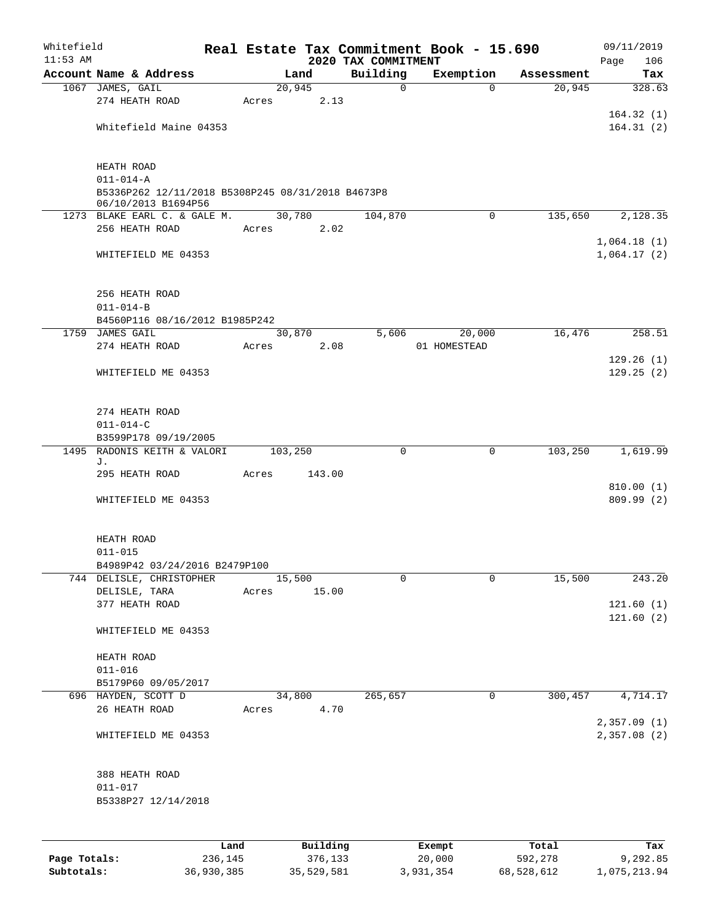| Whitefield   |                                                                      |         |       |         |          |                     |             | Real Estate Tax Commitment Book - 15.690 |             |            | 09/11/2019             |
|--------------|----------------------------------------------------------------------|---------|-------|---------|----------|---------------------|-------------|------------------------------------------|-------------|------------|------------------------|
| $11:53$ AM   | Account Name & Address                                               |         |       | Land    |          | 2020 TAX COMMITMENT | Building    | Exemption                                |             | Assessment | Page<br>106<br>Tax     |
|              | 1067 JAMES, GAIL                                                     |         |       | 20,945  |          |                     | $\mathbf 0$ |                                          | $\Omega$    | 20,945     | 328.63                 |
|              | 274 HEATH ROAD                                                       |         | Acres |         | 2.13     |                     |             |                                          |             |            |                        |
|              |                                                                      |         |       |         |          |                     |             |                                          |             |            | 164.32(1)              |
|              | Whitefield Maine 04353                                               |         |       |         |          |                     |             |                                          |             |            | 164.31(2)              |
|              |                                                                      |         |       |         |          |                     |             |                                          |             |            |                        |
|              |                                                                      |         |       |         |          |                     |             |                                          |             |            |                        |
|              | HEATH ROAD                                                           |         |       |         |          |                     |             |                                          |             |            |                        |
|              | $011 - 014 - A$<br>B5336P262 12/11/2018 B5308P245 08/31/2018 B4673P8 |         |       |         |          |                     |             |                                          |             |            |                        |
|              | 06/10/2013 B1694P56                                                  |         |       |         |          |                     |             |                                          |             |            |                        |
|              | 1273 BLAKE EARL C. & GALE M.                                         |         |       | 30,780  |          |                     | 104,870     |                                          | $\mathbf 0$ | 135,650    | 2,128.35               |
|              | 256 HEATH ROAD                                                       |         | Acres |         | 2.02     |                     |             |                                          |             |            |                        |
|              |                                                                      |         |       |         |          |                     |             |                                          |             |            | 1,064.18(1)            |
|              | WHITEFIELD ME 04353                                                  |         |       |         |          |                     |             |                                          |             |            | 1,064.17(2)            |
|              |                                                                      |         |       |         |          |                     |             |                                          |             |            |                        |
|              | 256 HEATH ROAD                                                       |         |       |         |          |                     |             |                                          |             |            |                        |
|              | $011 - 014 - B$                                                      |         |       |         |          |                     |             |                                          |             |            |                        |
|              | B4560P116 08/16/2012 B1985P242                                       |         |       |         |          |                     |             |                                          |             |            |                        |
|              | 1759 JAMES GAIL                                                      |         |       | 30,870  |          |                     | 5,606       | 20,000                                   |             | 16,476     | 258.51                 |
|              | 274 HEATH ROAD                                                       |         | Acres |         | 2.08     |                     |             | 01 HOMESTEAD                             |             |            |                        |
|              |                                                                      |         |       |         |          |                     |             |                                          |             |            | 129.26(1)<br>129.25(2) |
|              | WHITEFIELD ME 04353                                                  |         |       |         |          |                     |             |                                          |             |            |                        |
|              |                                                                      |         |       |         |          |                     |             |                                          |             |            |                        |
|              | 274 HEATH ROAD                                                       |         |       |         |          |                     |             |                                          |             |            |                        |
|              | $011 - 014 - C$                                                      |         |       |         |          |                     |             |                                          |             |            |                        |
|              | B3599P178 09/19/2005                                                 |         |       |         |          |                     |             |                                          |             |            |                        |
| 1495         | RADONIS KEITH & VALORI<br>J.                                         |         |       | 103,250 |          |                     | $\mathbf 0$ |                                          | $\mathbf 0$ | 103,250    | 1,619.99               |
|              | 295 HEATH ROAD                                                       |         | Acres |         | 143.00   |                     |             |                                          |             |            |                        |
|              |                                                                      |         |       |         |          |                     |             |                                          |             |            | 810.00(1)              |
|              | WHITEFIELD ME 04353                                                  |         |       |         |          |                     |             |                                          |             |            | 809.99 (2)             |
|              |                                                                      |         |       |         |          |                     |             |                                          |             |            |                        |
|              |                                                                      |         |       |         |          |                     |             |                                          |             |            |                        |
|              | HEATH ROAD<br>$011 - 015$                                            |         |       |         |          |                     |             |                                          |             |            |                        |
|              | B4989P42 03/24/2016 B2479P100                                        |         |       |         |          |                     |             |                                          |             |            |                        |
|              | 744 DELISLE, CHRISTOPHER                                             |         |       | 15,500  |          |                     | 0           |                                          | $\mathbf 0$ | 15,500     | 243.20                 |
|              | DELISLE, TARA                                                        |         | Acres |         | 15.00    |                     |             |                                          |             |            |                        |
|              | 377 HEATH ROAD                                                       |         |       |         |          |                     |             |                                          |             |            | 121.60(1)              |
|              |                                                                      |         |       |         |          |                     |             |                                          |             |            | 121.60(2)              |
|              | WHITEFIELD ME 04353                                                  |         |       |         |          |                     |             |                                          |             |            |                        |
|              | HEATH ROAD                                                           |         |       |         |          |                     |             |                                          |             |            |                        |
|              | $011 - 016$                                                          |         |       |         |          |                     |             |                                          |             |            |                        |
|              | B5179P60 09/05/2017                                                  |         |       |         |          |                     |             |                                          |             |            |                        |
|              | 696 HAYDEN, SCOTT D                                                  |         |       | 34,800  |          |                     | 265,657     |                                          | 0           | 300,457    | 4,714.17               |
|              | 26 HEATH ROAD                                                        |         | Acres |         | 4.70     |                     |             |                                          |             |            |                        |
|              |                                                                      |         |       |         |          |                     |             |                                          |             |            | 2,357.09(1)            |
|              | WHITEFIELD ME 04353                                                  |         |       |         |          |                     |             |                                          |             |            | 2,357.08(2)            |
|              |                                                                      |         |       |         |          |                     |             |                                          |             |            |                        |
|              | 388 HEATH ROAD                                                       |         |       |         |          |                     |             |                                          |             |            |                        |
|              | $011 - 017$                                                          |         |       |         |          |                     |             |                                          |             |            |                        |
|              | B5338P27 12/14/2018                                                  |         |       |         |          |                     |             |                                          |             |            |                        |
|              |                                                                      |         |       |         |          |                     |             |                                          |             |            |                        |
|              |                                                                      |         |       |         |          |                     |             |                                          |             |            |                        |
|              |                                                                      | Land    |       |         | Building |                     |             | Exempt                                   |             | Total      | Tax                    |
| Page Totals: |                                                                      | 236,145 |       |         | 376,133  |                     |             | 20,000                                   |             | 592,278    | 9,292.85               |

**Subtotals:** 36,930,385 35,529,581 3,931,354 68,528,612 1,075,213.94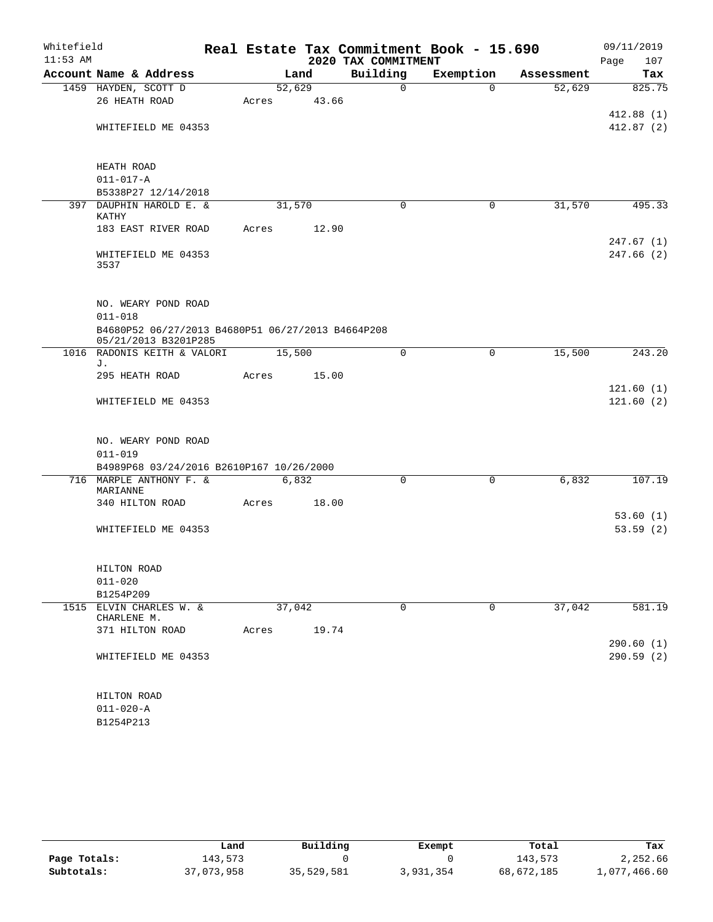| Whitefield<br>$11:53$ AM |                                                                           |        |        | 2020 TAX COMMITMENT | Real Estate Tax Commitment Book - 15.690 |            | 09/11/2019<br>Page<br>107 |
|--------------------------|---------------------------------------------------------------------------|--------|--------|---------------------|------------------------------------------|------------|---------------------------|
|                          | Account Name & Address                                                    |        | Land   | Building            | Exemption                                | Assessment | Tax                       |
|                          | 1459 HAYDEN, SCOTT D                                                      |        | 52,629 | $\mathsf{O}$        | $\Omega$                                 | 52,629     | 825.75                    |
|                          | 26 HEATH ROAD                                                             | Acres  | 43.66  |                     |                                          |            |                           |
|                          |                                                                           |        |        |                     |                                          |            | 412.88(1)                 |
|                          | WHITEFIELD ME 04353                                                       |        |        |                     |                                          |            | 412.87(2)                 |
|                          |                                                                           |        |        |                     |                                          |            |                           |
|                          | HEATH ROAD                                                                |        |        |                     |                                          |            |                           |
|                          | $011 - 017 - A$                                                           |        |        |                     |                                          |            |                           |
|                          | B5338P27 12/14/2018                                                       |        |        |                     |                                          |            |                           |
|                          | 397 DAUPHIN HAROLD E. &<br><b>KATHY</b>                                   |        | 31,570 | $\mathbf 0$         | 0                                        | 31,570     | 495.33                    |
|                          | 183 EAST RIVER ROAD                                                       | Acres  | 12.90  |                     |                                          |            |                           |
|                          |                                                                           |        |        |                     |                                          |            | 247.67(1)                 |
|                          | WHITEFIELD ME 04353<br>3537                                               |        |        |                     |                                          |            | 247.66(2)                 |
|                          |                                                                           |        |        |                     |                                          |            |                           |
|                          | NO. WEARY POND ROAD<br>$011 - 018$                                        |        |        |                     |                                          |            |                           |
|                          | B4680P52 06/27/2013 B4680P51 06/27/2013 B4664P208<br>05/21/2013 B3201P285 |        |        |                     |                                          |            |                           |
|                          | 1016 RADONIS KEITH & VALORI                                               | 15,500 |        | $\mathbf 0$         | $\mathbf 0$                              | 15,500     | 243.20                    |
|                          | J.                                                                        |        |        |                     |                                          |            |                           |
|                          | 295 HEATH ROAD                                                            | Acres  | 15.00  |                     |                                          |            |                           |
|                          |                                                                           |        |        |                     |                                          |            | 121.60(1)                 |
|                          | WHITEFIELD ME 04353                                                       |        |        |                     |                                          |            | 121.60(2)                 |
|                          | NO. WEARY POND ROAD                                                       |        |        |                     |                                          |            |                           |
|                          | $011 - 019$                                                               |        |        |                     |                                          |            |                           |
|                          | B4989P68 03/24/2016 B2610P167 10/26/2000                                  |        |        |                     |                                          |            |                           |
| 716                      | MARPLE ANTHONY F. &<br>MARIANNE                                           |        | 6,832  | 0                   | 0                                        | 6,832      | 107.19                    |
|                          | 340 HILTON ROAD                                                           | Acres  | 18.00  |                     |                                          |            |                           |
|                          |                                                                           |        |        |                     |                                          |            | 53.60(1)                  |
|                          | WHITEFIELD ME 04353                                                       |        |        |                     |                                          |            | 53.59(2)                  |
|                          |                                                                           |        |        |                     |                                          |            |                           |
|                          | HILTON ROAD                                                               |        |        |                     |                                          |            |                           |
|                          | $011 - 020$                                                               |        |        |                     |                                          |            |                           |
|                          | B1254P209                                                                 |        |        |                     |                                          |            |                           |
|                          | 1515 ELVIN CHARLES W. &<br>CHARLENE M.                                    |        | 37,042 | 0                   | 0                                        | 37,042     | 581.19                    |
|                          | 371 HILTON ROAD                                                           | Acres  | 19.74  |                     |                                          |            |                           |
|                          |                                                                           |        |        |                     |                                          |            | 290.60(1)                 |
|                          | WHITEFIELD ME 04353                                                       |        |        |                     |                                          |            | 290.59(2)                 |
|                          | HILTON ROAD                                                               |        |        |                     |                                          |            |                           |
|                          | $011 - 020 - A$                                                           |        |        |                     |                                          |            |                           |
|                          | B1254P213                                                                 |        |        |                     |                                          |            |                           |
|                          |                                                                           |        |        |                     |                                          |            |                           |

|              | Land       | Building   | Exempt    | Total      | Tax          |
|--------------|------------|------------|-----------|------------|--------------|
| Page Totals: | 143,573    |            |           | 143,573    | 2,252.66     |
| Subtotals:   | 37,073,958 | 35,529,581 | 3,931,354 | 68,672,185 | 1,077,466.60 |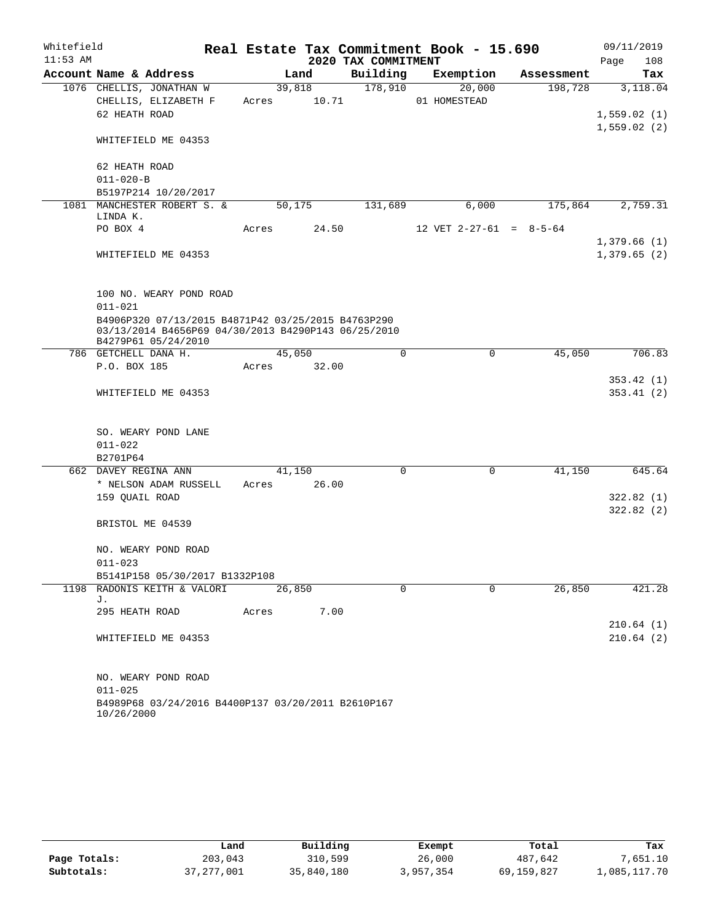| $11:53$ AM | Whitefield                                                                                                                       |             |        | Real Estate Tax Commitment Book - 15.690 |              |          |                           | 09/11/2019             |
|------------|----------------------------------------------------------------------------------------------------------------------------------|-------------|--------|------------------------------------------|--------------|----------|---------------------------|------------------------|
|            |                                                                                                                                  |             |        | 2020 TAX COMMITMENT                      |              |          |                           | Page<br>108            |
|            | Account Name & Address                                                                                                           |             | Land   | Building                                 | Exemption    |          | Assessment                | Tax                    |
|            | 1076 CHELLIS, JONATHAN W                                                                                                         |             | 39,818 | 178,910                                  |              | 20,000   | 198,728                   | 3,118.04               |
|            | CHELLIS, ELIZABETH F                                                                                                             | Acres 10.71 |        |                                          | 01 HOMESTEAD |          |                           |                        |
|            | 62 HEATH ROAD                                                                                                                    |             |        |                                          |              |          |                           | 1,559.02(1)            |
|            | WHITEFIELD ME 04353                                                                                                              |             |        |                                          |              |          |                           | 1,559.02(2)            |
|            | 62 HEATH ROAD                                                                                                                    |             |        |                                          |              |          |                           |                        |
|            | $011 - 020 - B$                                                                                                                  |             |        |                                          |              |          |                           |                        |
|            | B5197P214 10/20/2017                                                                                                             |             |        |                                          |              |          |                           |                        |
|            | 1081 MANCHESTER ROBERT S. &<br>LINDA K.                                                                                          |             | 50,175 | 131,689                                  |              | 6,000    | 175,864                   | 2,759.31               |
|            | PO BOX 4                                                                                                                         | Acres       | 24.50  |                                          |              |          | 12 VET $2-27-61 = 8-5-64$ |                        |
|            |                                                                                                                                  |             |        |                                          |              |          |                           | 1,379.66(1)            |
|            | WHITEFIELD ME 04353                                                                                                              |             |        |                                          |              |          |                           | 1,379.65(2)            |
|            | 100 NO. WEARY POND ROAD<br>$011 - 021$                                                                                           |             |        |                                          |              |          |                           |                        |
|            | B4906P320 07/13/2015 B4871P42 03/25/2015 B4763P290<br>03/13/2014 B4656P69 04/30/2013 B4290P143 06/25/2010<br>B4279P61 05/24/2010 |             |        |                                          |              |          |                           |                        |
|            | 786 GETCHELL DANA H.                                                                                                             |             | 45,050 | $\Omega$                                 |              | $\Omega$ | 45,050                    | 706.83                 |
|            | P.O. BOX 185                                                                                                                     | Acres       | 32.00  |                                          |              |          |                           |                        |
|            |                                                                                                                                  |             |        |                                          |              |          |                           | 353.42(1)              |
|            | WHITEFIELD ME 04353                                                                                                              |             |        |                                          |              |          |                           | 353.41(2)              |
|            | SO. WEARY POND LANE<br>$011 - 022$<br>B2701P64                                                                                   |             |        |                                          |              |          |                           |                        |
|            | 662 DAVEY REGINA ANN                                                                                                             |             | 41,150 | 0                                        |              | 0        | 41,150                    | 645.64                 |
|            | * NELSON ADAM RUSSELL                                                                                                            | Acres       | 26.00  |                                          |              |          |                           |                        |
|            | 159 QUAIL ROAD                                                                                                                   |             |        |                                          |              |          |                           | 322.82(1)<br>322.82(2) |
|            | BRISTOL ME 04539                                                                                                                 |             |        |                                          |              |          |                           |                        |
|            | NO. WEARY POND ROAD                                                                                                              |             |        |                                          |              |          |                           |                        |
|            | $011 - 023$                                                                                                                      |             |        |                                          |              |          |                           |                        |
|            | B5141P158 05/30/2017 B1332P108                                                                                                   |             |        | $\Omega$                                 |              |          |                           |                        |
|            | 1198 RADONIS KEITH & VALORI<br>J.                                                                                                |             | 26,850 |                                          |              | $\Omega$ | 26,850                    | 421.28                 |
|            | 295 HEATH ROAD                                                                                                                   | Acres       | 7.00   |                                          |              |          |                           |                        |
|            | WHITEFIELD ME 04353                                                                                                              |             |        |                                          |              |          |                           | 210.64(1)<br>210.64(2) |
|            | NO. WEARY POND ROAD<br>$011 - 025$<br>B4989P68 03/24/2016 B4400P137 03/20/2011 B2610P167                                         |             |        |                                          |              |          |                           |                        |

10/26/2000

|              | Land       | Building   | Exempt    | Total      | Tax          |
|--------------|------------|------------|-----------|------------|--------------|
| Page Totals: | 203,043    | 310,599    | 26,000    | 487,642    | 7,651.10     |
| Subtotals:   | 37,277,001 | 35,840,180 | 3,957,354 | 69,159,827 | 1,085,117.70 |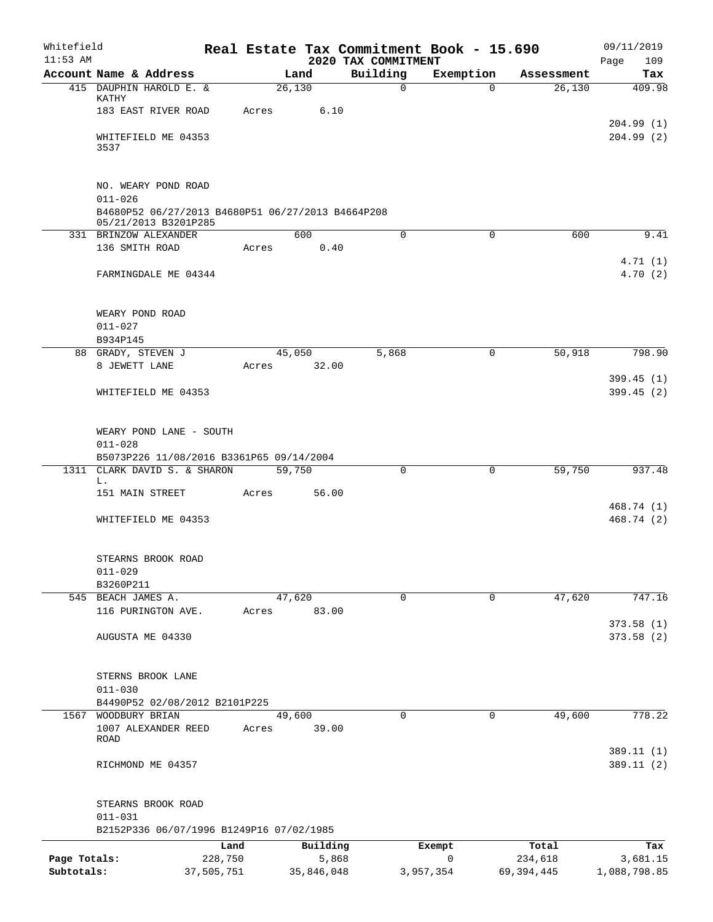| Whitefield<br>$11:53$ AM |                                                                           |         |                 | 2020 TAX COMMITMENT | Real Estate Tax Commitment Book - 15.690 |            | 09/11/2019<br>109<br>Page |
|--------------------------|---------------------------------------------------------------------------|---------|-----------------|---------------------|------------------------------------------|------------|---------------------------|
|                          | Account Name & Address                                                    |         | Land            | Building            | Exemption                                | Assessment | Tax                       |
|                          | 415 DAUPHIN HAROLD E. &<br>KATHY                                          |         | 26,130          | $\mathsf{O}$        | $\Omega$                                 | 26,130     | 409.98                    |
|                          | 183 EAST RIVER ROAD                                                       | Acres   | 6.10            |                     |                                          |            |                           |
|                          | WHITEFIELD ME 04353<br>3537                                               |         |                 |                     |                                          |            | 204.99(1)<br>204.99(2)    |
|                          |                                                                           |         |                 |                     |                                          |            |                           |
|                          | NO. WEARY POND ROAD<br>$011 - 026$                                        |         |                 |                     |                                          |            |                           |
|                          | B4680P52 06/27/2013 B4680P51 06/27/2013 B4664P208<br>05/21/2013 B3201P285 |         |                 |                     |                                          |            |                           |
|                          | 331 BRINZOW ALEXANDER<br>136 SMITH ROAD                                   | Acres   | 600<br>0.40     | $\mathbf 0$         | $\mathbf 0$                              | 600        | 9.41                      |
|                          |                                                                           |         |                 |                     |                                          |            | 4.71(1)                   |
|                          | FARMINGDALE ME 04344                                                      |         |                 |                     |                                          |            | 4.70(2)                   |
|                          | WEARY POND ROAD                                                           |         |                 |                     |                                          |            |                           |
|                          | $011 - 027$<br>B934P145                                                   |         |                 |                     |                                          |            |                           |
|                          | 88 GRADY, STEVEN J                                                        |         | 45,050          | 5,868               | 0                                        | 50,918     | 798.90                    |
|                          | 8 JEWETT LANE                                                             | Acres   | 32.00           |                     |                                          |            |                           |
|                          | WHITEFIELD ME 04353                                                       |         |                 |                     |                                          |            | 399.45(1)<br>399.45(2)    |
|                          |                                                                           |         |                 |                     |                                          |            |                           |
|                          | WEARY POND LANE - SOUTH<br>$011 - 028$                                    |         |                 |                     |                                          |            |                           |
|                          | B5073P226 11/08/2016 B3361P65 09/14/2004                                  |         |                 |                     |                                          |            |                           |
| 1311                     | CLARK DAVID S. & SHARON<br>L.                                             |         | 59,750          | 0                   | 0                                        | 59,750     | 937.48                    |
|                          | 151 MAIN STREET                                                           | Acres   | 56.00           |                     |                                          |            |                           |
|                          | WHITEFIELD ME 04353                                                       |         |                 |                     |                                          |            | 468.74 (1)<br>468.74 (2)  |
|                          | STEARNS BROOK ROAD                                                        |         |                 |                     |                                          |            |                           |
|                          | $011 - 029$                                                               |         |                 |                     |                                          |            |                           |
|                          | B3260P211                                                                 |         |                 |                     |                                          |            |                           |
|                          | 545 BEACH JAMES A.<br>116 PURINGTON AVE.                                  | Acres   | 47,620<br>83.00 | $\mathbf 0$         | 0                                        | 47,620     | 747.16                    |
|                          |                                                                           |         |                 |                     |                                          |            | 373.58(1)                 |
|                          | AUGUSTA ME 04330                                                          |         |                 |                     |                                          |            | 373.58 (2)                |
|                          | STERNS BROOK LANE<br>$011 - 030$                                          |         |                 |                     |                                          |            |                           |
|                          | B4490P52 02/08/2012 B2101P225                                             |         |                 |                     |                                          |            |                           |
| 1567                     | WOODBURY BRIAN                                                            |         | 49,600          | $\Omega$            | 0                                        | 49,600     | 778.22                    |
|                          | 1007 ALEXANDER REED<br><b>ROAD</b>                                        | Acres   | 39.00           |                     |                                          |            | 389.11 (1)                |
|                          | RICHMOND ME 04357                                                         |         |                 |                     |                                          |            | 389.11(2)                 |
|                          | STEARNS BROOK ROAD                                                        |         |                 |                     |                                          |            |                           |
|                          | $011 - 031$                                                               |         |                 |                     |                                          |            |                           |
|                          | B2152P336 06/07/1996 B1249P16 07/02/1985                                  | Land    | Building        |                     | Exempt                                   | Total      | Tax                       |
| Page Totals:             |                                                                           | 228,750 | 5,868           |                     | 0                                        | 234,618    | 3,681.15                  |
| Subtotals:               | 37,505,751                                                                |         | 35,846,048      |                     | 3,957,354                                | 69,394,445 | 1,088,798.85              |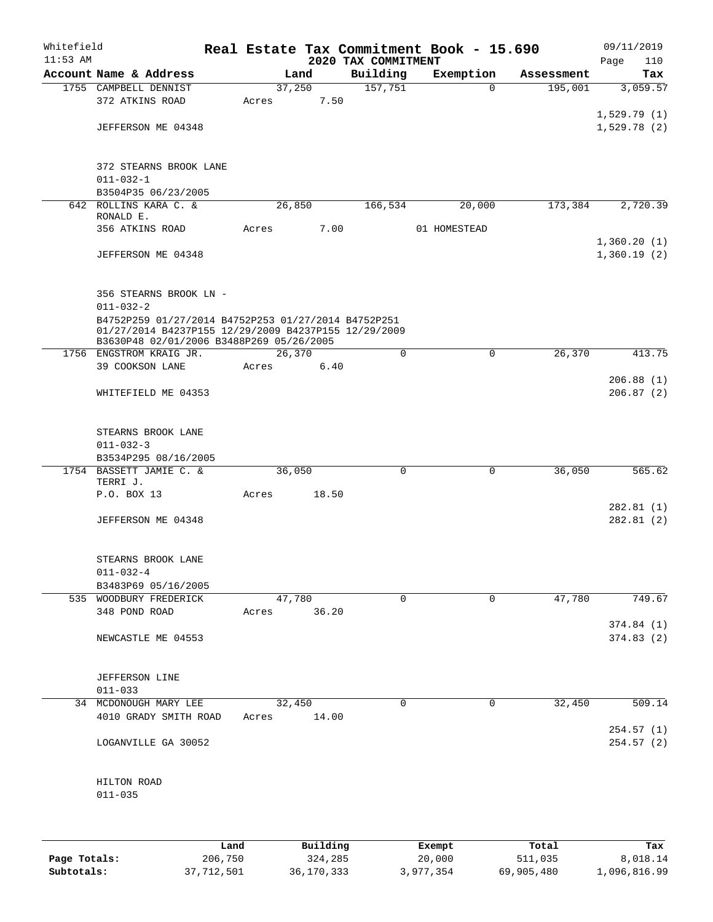| Whitefield<br>$11:53$ AM |                                                                                                             |       |        |       | 2020 TAX COMMITMENT | Real Estate Tax Commitment Book - 15.690 |            | 09/11/2019<br>Page<br>110 |
|--------------------------|-------------------------------------------------------------------------------------------------------------|-------|--------|-------|---------------------|------------------------------------------|------------|---------------------------|
|                          | Account Name & Address                                                                                      |       | Land   |       | Building            | Exemption                                | Assessment | Tax                       |
|                          | 1755 CAMPBELL DENNIST                                                                                       |       | 37,250 |       | 157,751             | $\mathbf 0$                              | 195,001    | 3,059.57                  |
|                          | 372 ATKINS ROAD                                                                                             | Acres |        | 7.50  |                     |                                          |            |                           |
|                          |                                                                                                             |       |        |       |                     |                                          |            | 1,529.79(1)               |
|                          | JEFFERSON ME 04348                                                                                          |       |        |       |                     |                                          |            | 1,529.78(2)               |
|                          |                                                                                                             |       |        |       |                     |                                          |            |                           |
|                          |                                                                                                             |       |        |       |                     |                                          |            |                           |
|                          | 372 STEARNS BROOK LANE                                                                                      |       |        |       |                     |                                          |            |                           |
|                          | $011 - 032 - 1$                                                                                             |       |        |       |                     |                                          |            |                           |
|                          | B3504P35 06/23/2005<br>642 ROLLINS KARA C. &                                                                |       | 26,850 |       | 166,534             | 20,000                                   | 173,384    | 2,720.39                  |
|                          | RONALD E.                                                                                                   |       |        |       |                     |                                          |            |                           |
|                          | 356 ATKINS ROAD                                                                                             | Acres |        | 7.00  |                     | 01 HOMESTEAD                             |            |                           |
|                          |                                                                                                             |       |        |       |                     |                                          |            | 1,360.20(1)               |
|                          | JEFFERSON ME 04348                                                                                          |       |        |       |                     |                                          |            | 1,360.19(2)               |
|                          |                                                                                                             |       |        |       |                     |                                          |            |                           |
|                          |                                                                                                             |       |        |       |                     |                                          |            |                           |
|                          | 356 STEARNS BROOK LN -                                                                                      |       |        |       |                     |                                          |            |                           |
|                          | $011 - 032 - 2$                                                                                             |       |        |       |                     |                                          |            |                           |
|                          | B4752P259 01/27/2014 B4752P253 01/27/2014 B4752P251<br>01/27/2014 B4237P155 12/29/2009 B4237P155 12/29/2009 |       |        |       |                     |                                          |            |                           |
|                          | B3630P48 02/01/2006 B3488P269 05/26/2005                                                                    |       |        |       |                     |                                          |            |                           |
|                          | 1756 ENGSTROM KRAIG JR.                                                                                     |       | 26,370 |       | 0                   | $\mathbf 0$                              | 26,370     | 413.75                    |
|                          | 39 COOKSON LANE                                                                                             | Acres |        | 6.40  |                     |                                          |            |                           |
|                          | WHITEFIELD ME 04353                                                                                         |       |        |       |                     |                                          |            | 206.88(1)<br>206.87(2)    |
|                          |                                                                                                             |       |        |       |                     |                                          |            |                           |
|                          |                                                                                                             |       |        |       |                     |                                          |            |                           |
|                          | STEARNS BROOK LANE                                                                                          |       |        |       |                     |                                          |            |                           |
|                          | $011 - 032 - 3$                                                                                             |       |        |       |                     |                                          |            |                           |
|                          | B3534P295 08/16/2005                                                                                        |       |        |       |                     |                                          |            |                           |
|                          | 1754 BASSETT JAMIE C. &                                                                                     |       | 36,050 |       | 0                   | 0                                        | 36,050     | 565.62                    |
|                          | TERRI J.<br>P.O. BOX 13                                                                                     |       |        | 18.50 |                     |                                          |            |                           |
|                          |                                                                                                             | Acres |        |       |                     |                                          |            | 282.81(1)                 |
|                          | JEFFERSON ME 04348                                                                                          |       |        |       |                     |                                          |            | 282.81(2)                 |
|                          |                                                                                                             |       |        |       |                     |                                          |            |                           |
|                          |                                                                                                             |       |        |       |                     |                                          |            |                           |
|                          | STEARNS BROOK LANE                                                                                          |       |        |       |                     |                                          |            |                           |
|                          | $011 - 032 - 4$                                                                                             |       |        |       |                     |                                          |            |                           |
|                          | B3483P69 05/16/2005                                                                                         |       |        |       |                     |                                          |            |                           |
|                          | 535 WOODBURY FREDERICK                                                                                      |       | 47,780 |       | 0                   | $\mathbf 0$                              | 47,780     | 749.67                    |
|                          | 348 POND ROAD                                                                                               | Acres |        | 36.20 |                     |                                          |            | 374.84(1)                 |
|                          | NEWCASTLE ME 04553                                                                                          |       |        |       |                     |                                          |            | 374.83(2)                 |
|                          |                                                                                                             |       |        |       |                     |                                          |            |                           |
|                          |                                                                                                             |       |        |       |                     |                                          |            |                           |
|                          | JEFFERSON LINE                                                                                              |       |        |       |                     |                                          |            |                           |
|                          | $011 - 033$                                                                                                 |       |        |       |                     |                                          |            |                           |
|                          | 34 MCDONOUGH MARY LEE                                                                                       |       | 32,450 |       | 0                   | 0                                        | 32,450     | 509.14                    |
|                          | 4010 GRADY SMITH ROAD                                                                                       | Acres |        | 14.00 |                     |                                          |            |                           |
|                          | LOGANVILLE GA 30052                                                                                         |       |        |       |                     |                                          |            | 254.57(1)<br>254.57(2)    |
|                          |                                                                                                             |       |        |       |                     |                                          |            |                           |
|                          |                                                                                                             |       |        |       |                     |                                          |            |                           |
|                          | HILTON ROAD                                                                                                 |       |        |       |                     |                                          |            |                           |
|                          | $011 - 035$                                                                                                 |       |        |       |                     |                                          |            |                           |
|                          |                                                                                                             |       |        |       |                     |                                          |            |                           |
|                          |                                                                                                             |       |        |       |                     |                                          |            |                           |
|                          |                                                                                                             |       |        |       |                     |                                          |            |                           |

|              | Land       | Building   | Exempt    | Total      | Tax          |
|--------------|------------|------------|-----------|------------|--------------|
| Page Totals: | 206,750    | 324,285    | 20,000    | 511,035    | 8,018.14     |
| Subtotals:   | 37,712,501 | 36,170,333 | 3,977,354 | 69,905,480 | 1,096,816.99 |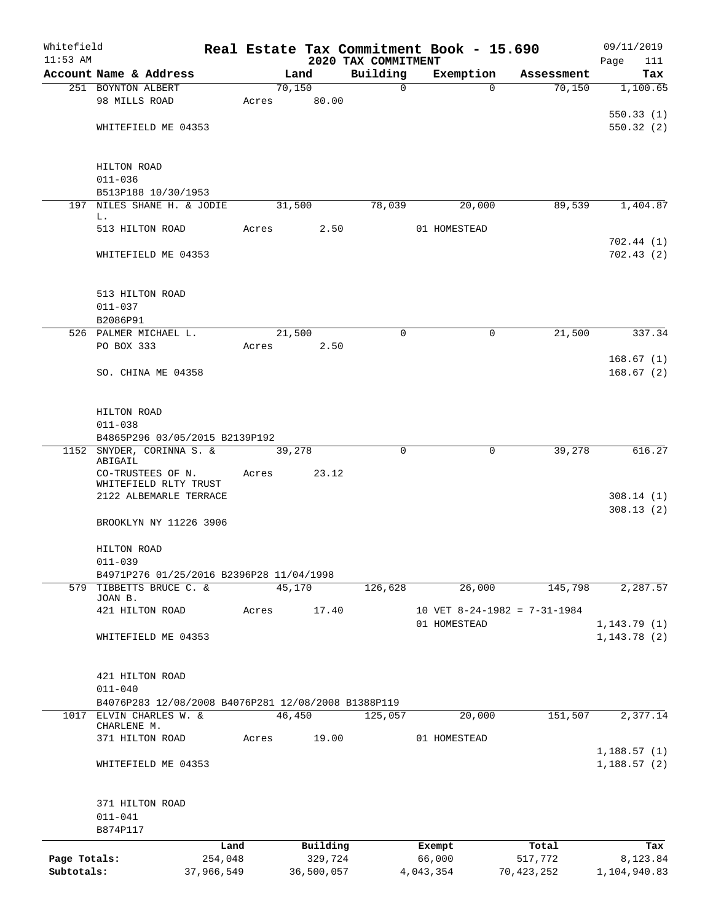| Whitefield   |                                                                     |                 |       |                     |                                 | Real Estate Tax Commitment Book - 15.690 |                              | 09/11/2019                 |
|--------------|---------------------------------------------------------------------|-----------------|-------|---------------------|---------------------------------|------------------------------------------|------------------------------|----------------------------|
| $11:53$ AM   | Account Name & Address                                              |                 |       | Land                | 2020 TAX COMMITMENT<br>Building | Exemption                                | Assessment                   | Page<br>111<br>Tax         |
|              | 251 BOYNTON ALBERT                                                  |                 |       | 70,150              | 0                               | $\Omega$                                 | 70,150                       | 1,100.65                   |
|              | 98 MILLS ROAD                                                       |                 | Acres | 80.00               |                                 |                                          |                              |                            |
|              |                                                                     |                 |       |                     |                                 |                                          |                              | 550.33(1)                  |
|              | WHITEFIELD ME 04353                                                 |                 |       |                     |                                 |                                          |                              | 550.32(2)                  |
|              | HILTON ROAD                                                         |                 |       |                     |                                 |                                          |                              |                            |
|              | $011 - 036$                                                         |                 |       |                     |                                 |                                          |                              |                            |
|              | B513P188 10/30/1953                                                 |                 |       |                     |                                 |                                          |                              |                            |
|              | 197 NILES SHANE H. & JODIE<br>L.                                    |                 |       | 31,500              | 78,039                          | 20,000                                   | 89,539                       | 1,404.87                   |
|              | 513 HILTON ROAD                                                     |                 | Acres | 2.50                |                                 | 01 HOMESTEAD                             |                              |                            |
|              | WHITEFIELD ME 04353                                                 |                 |       |                     |                                 |                                          |                              | 702.44(1)<br>702.43(2)     |
|              | 513 HILTON ROAD                                                     |                 |       |                     |                                 |                                          |                              |                            |
|              | $011 - 037$                                                         |                 |       |                     |                                 |                                          |                              |                            |
|              | B2086P91                                                            |                 |       |                     |                                 |                                          |                              |                            |
|              | 526 PALMER MICHAEL L.                                               |                 |       | 21,500              | 0                               | 0                                        | 21,500                       | 337.34                     |
|              | PO BOX 333                                                          |                 | Acres | 2.50                |                                 |                                          |                              |                            |
|              |                                                                     |                 |       |                     |                                 |                                          |                              | 168.67(1)                  |
|              | SO. CHINA ME 04358                                                  |                 |       |                     |                                 |                                          |                              | 168.67(2)                  |
|              | HILTON ROAD                                                         |                 |       |                     |                                 |                                          |                              |                            |
| 1152         | $011 - 038$                                                         |                 |       |                     |                                 |                                          |                              |                            |
|              | B4865P296 03/05/2015 B2139P192<br>SNYDER, CORINNA S. &              |                 |       | 39,278              | 0                               | 0                                        | 39,278                       | 616.27                     |
|              | ABIGAIL                                                             |                 |       |                     |                                 |                                          |                              |                            |
|              | CO-TRUSTEES OF N.                                                   |                 | Acres | 23.12               |                                 |                                          |                              |                            |
|              | WHITEFIELD RLTY TRUST<br>2122 ALBEMARLE TERRACE                     |                 |       |                     |                                 |                                          |                              | 308.14(1)                  |
|              |                                                                     |                 |       |                     |                                 |                                          |                              | 308.13(2)                  |
|              | BROOKLYN NY 11226 3906                                              |                 |       |                     |                                 |                                          |                              |                            |
|              | HILTON ROAD                                                         |                 |       |                     |                                 |                                          |                              |                            |
|              | $011 - 039$                                                         |                 |       |                     |                                 |                                          |                              |                            |
|              | B4971P276 01/25/2016 B2396P28 11/04/1998<br>579 TIBBETTS BRUCE C. & |                 |       | 45,170              | 126,628                         | 26,000                                   | 145,798                      | 2,287.57                   |
|              | JOAN B.                                                             |                 |       |                     |                                 |                                          |                              |                            |
|              | 421 HILTON ROAD                                                     |                 | Acres | 17.40               |                                 |                                          | 10 VET 8-24-1982 = 7-31-1984 |                            |
|              |                                                                     |                 |       |                     |                                 | 01 HOMESTEAD                             |                              | 1, 143.79(1)               |
|              | WHITEFIELD ME 04353                                                 |                 |       |                     |                                 |                                          |                              | 1, 143.78(2)               |
|              | 421 HILTON ROAD                                                     |                 |       |                     |                                 |                                          |                              |                            |
|              | $011 - 040$                                                         |                 |       |                     |                                 |                                          |                              |                            |
|              | B4076P283 12/08/2008 B4076P281 12/08/2008 B1388P119                 |                 |       |                     |                                 |                                          |                              |                            |
|              | 1017 ELVIN CHARLES W. &<br>CHARLENE M.                              |                 |       | 46,450              | 125,057                         | 20,000                                   | 151,507                      | 2,377.14                   |
|              | 371 HILTON ROAD                                                     |                 | Acres | 19.00               |                                 | 01 HOMESTEAD                             |                              |                            |
|              | WHITEFIELD ME 04353                                                 |                 |       |                     |                                 |                                          |                              | 1,188.57(1)<br>1,188.57(2) |
|              |                                                                     |                 |       |                     |                                 |                                          |                              |                            |
|              | 371 HILTON ROAD                                                     |                 |       |                     |                                 |                                          |                              |                            |
|              | $011 - 041$                                                         |                 |       |                     |                                 |                                          |                              |                            |
|              | B874P117                                                            |                 |       |                     |                                 |                                          |                              |                            |
| Page Totals: |                                                                     | Land<br>254,048 |       | Building<br>329,724 |                                 | Exempt<br>66,000                         | Total<br>517,772             | Tax<br>8,123.84            |
| Subtotals:   |                                                                     | 37,966,549      |       | 36,500,057          |                                 | 4,043,354                                | 70,423,252                   | 1,104,940.83               |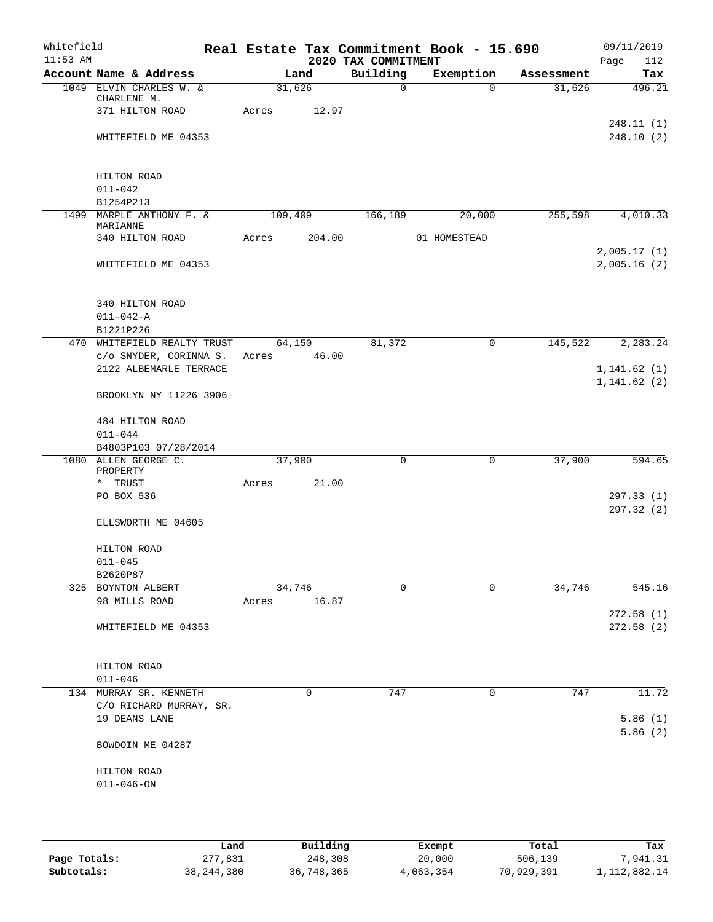| Whitefield<br>$11:53$ AM |                                                   |                 |        | 2020 TAX COMMITMENT | Real Estate Tax Commitment Book - 15.690 |            | 09/11/2019<br>Page<br>112    |
|--------------------------|---------------------------------------------------|-----------------|--------|---------------------|------------------------------------------|------------|------------------------------|
|                          | Account Name & Address                            |                 | Land   | Building            | Exemption                                | Assessment | Tax                          |
|                          | 1049 ELVIN CHARLES W. &                           | 31,626          |        | $\mathsf{O}$        | $\Omega$                                 | 31,626     | 496.21                       |
|                          | CHARLENE M.                                       |                 |        |                     |                                          |            |                              |
|                          | 371 HILTON ROAD                                   | Acres           | 12.97  |                     |                                          |            | 248.11(1)                    |
|                          | WHITEFIELD ME 04353                               |                 |        |                     |                                          |            | 248.10(2)                    |
|                          |                                                   |                 |        |                     |                                          |            |                              |
|                          |                                                   |                 |        |                     |                                          |            |                              |
|                          | HILTON ROAD<br>$011 - 042$                        |                 |        |                     |                                          |            |                              |
|                          | B1254P213                                         |                 |        |                     |                                          |            |                              |
|                          | 1499 MARPLE ANTHONY F. &                          | 109,409         |        | 166,189             | 20,000                                   | 255,598    | 4,010.33                     |
|                          | MARIANNE                                          |                 |        |                     |                                          |            |                              |
|                          | 340 HILTON ROAD                                   | Acres           | 204.00 |                     | 01 HOMESTEAD                             |            |                              |
|                          | WHITEFIELD ME 04353                               |                 |        |                     |                                          |            | 2,005.17(1)<br>2,005.16(2)   |
|                          |                                                   |                 |        |                     |                                          |            |                              |
|                          |                                                   |                 |        |                     |                                          |            |                              |
|                          | 340 HILTON ROAD                                   |                 |        |                     |                                          |            |                              |
|                          | $011 - 042 - A$                                   |                 |        |                     |                                          |            |                              |
|                          | B1221P226                                         |                 |        |                     |                                          |            |                              |
|                          | 470 WHITEFIELD REALTY TRUST                       | 64,150          |        | 81,372              | $\mathbf 0$                              | 145,522    | 2,283.24                     |
|                          | c/o SNYDER, CORINNA S.                            | Acres           | 46.00  |                     |                                          |            |                              |
|                          | 2122 ALBEMARLE TERRACE                            |                 |        |                     |                                          |            | 1, 141.62(1)<br>1, 141.62(2) |
|                          | BROOKLYN NY 11226 3906                            |                 |        |                     |                                          |            |                              |
|                          |                                                   |                 |        |                     |                                          |            |                              |
|                          | 484 HILTON ROAD                                   |                 |        |                     |                                          |            |                              |
|                          | $011 - 044$                                       |                 |        |                     |                                          |            |                              |
|                          | B4803P103 07/28/2014                              |                 |        |                     |                                          |            |                              |
|                          | 1080 ALLEN GEORGE C.<br>PROPERTY                  | 37,900          |        | 0                   | 0                                        | 37,900     | 594.65                       |
|                          | * TRUST                                           | Acres           | 21.00  |                     |                                          |            |                              |
|                          | PO BOX 536                                        |                 |        |                     |                                          |            | 297.33(1)                    |
|                          |                                                   |                 |        |                     |                                          |            | 297.32 (2)                   |
|                          | ELLSWORTH ME 04605                                |                 |        |                     |                                          |            |                              |
|                          |                                                   |                 |        |                     |                                          |            |                              |
|                          | HILTON ROAD                                       |                 |        |                     |                                          |            |                              |
|                          | $011 - 045$                                       |                 |        |                     |                                          |            |                              |
|                          | B2620P87                                          |                 |        |                     |                                          |            |                              |
|                          | 325 BOYNTON ALBERT<br>98 MILLS ROAD               | 34,746<br>Acres | 16.87  | 0                   | $\Omega$                                 | 34,746     | 545.16                       |
|                          |                                                   |                 |        |                     |                                          |            | 272.58 (1)                   |
|                          | WHITEFIELD ME 04353                               |                 |        |                     |                                          |            | 272.58(2)                    |
|                          |                                                   |                 |        |                     |                                          |            |                              |
|                          |                                                   |                 |        |                     |                                          |            |                              |
|                          | HILTON ROAD                                       |                 |        |                     |                                          |            |                              |
|                          | $011 - 046$                                       |                 |        |                     |                                          |            |                              |
|                          | 134 MURRAY SR. KENNETH<br>C/O RICHARD MURRAY, SR. |                 | 0      | 747                 | 0                                        | 747        | 11.72                        |
|                          | 19 DEANS LANE                                     |                 |        |                     |                                          |            | 5.86(1)                      |
|                          |                                                   |                 |        |                     |                                          |            | 5.86(2)                      |
|                          | BOWDOIN ME 04287                                  |                 |        |                     |                                          |            |                              |
|                          |                                                   |                 |        |                     |                                          |            |                              |
|                          | HILTON ROAD                                       |                 |        |                     |                                          |            |                              |
|                          | $011 - 046 - ON$                                  |                 |        |                     |                                          |            |                              |
|                          |                                                   |                 |        |                     |                                          |            |                              |
|                          |                                                   |                 |        |                     |                                          |            |                              |

|              | Land         | Building   | Exempt    | Total      | Tax             |
|--------------|--------------|------------|-----------|------------|-----------------|
| Page Totals: | 277,831      | 248,308    | 20,000    | 506,139    | 7,941.31        |
| Subtotals:   | 38, 244, 380 | 36,748,365 | 4,063,354 | 70,929,391 | 1, 112, 882. 14 |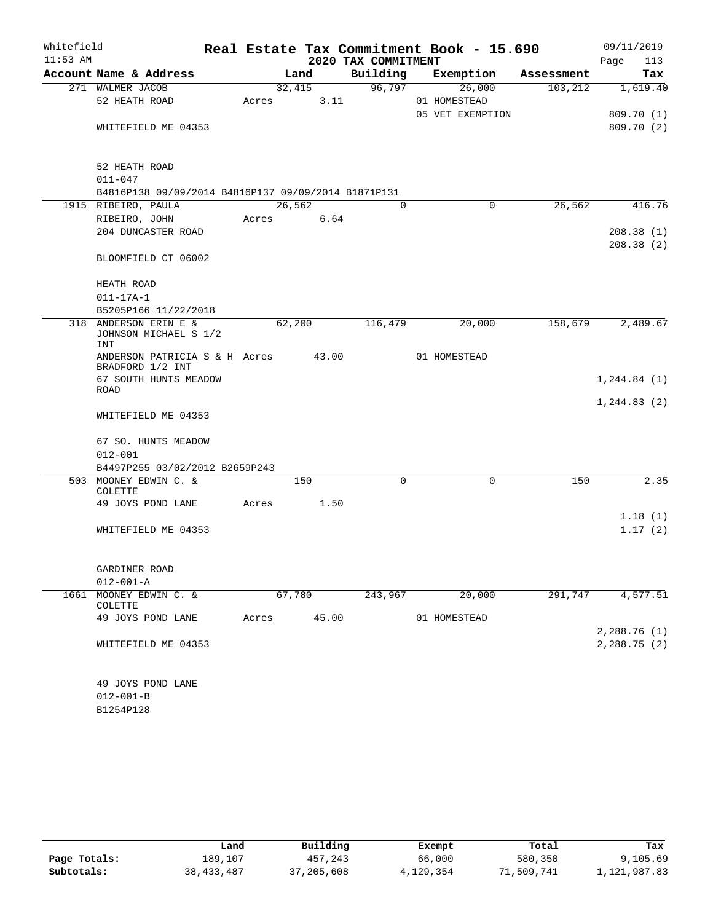| Whitefield |                                                                            |       |                             |       |          |  | Real Estate Tax Commitment Book - 15.690 |            | 09/11/2019   |  |
|------------|----------------------------------------------------------------------------|-------|-----------------------------|-------|----------|--|------------------------------------------|------------|--------------|--|
| $11:53$ AM |                                                                            |       | 2020 TAX COMMITMENT<br>Page |       |          |  |                                          |            |              |  |
|            | Account Name & Address                                                     |       | Land                        |       | Building |  | Exemption                                | Assessment | Tax          |  |
|            | 271 WALMER JACOB                                                           |       | 32,415                      |       | 96,797   |  | 26,000                                   | 103, 212   | 1,619.40     |  |
|            | 52 HEATH ROAD                                                              | Acres |                             | 3.11  |          |  | 01 HOMESTEAD                             |            |              |  |
|            |                                                                            |       |                             |       |          |  | 05 VET EXEMPTION                         |            | 809.70 (1)   |  |
|            | WHITEFIELD ME 04353                                                        |       |                             |       |          |  |                                          |            | 809.70(2)    |  |
|            |                                                                            |       |                             |       |          |  |                                          |            |              |  |
|            | 52 HEATH ROAD                                                              |       |                             |       |          |  |                                          |            |              |  |
|            | $011 - 047$                                                                |       |                             |       |          |  |                                          |            |              |  |
|            | B4816P138 09/09/2014 B4816P137 09/09/2014 B1871P131<br>1915 RIBEIRO, PAULA |       | 26,562                      |       | $\Omega$ |  | 0                                        | 26,562     | 416.76       |  |
|            | RIBEIRO, JOHN                                                              | Acres |                             | 6.64  |          |  |                                          |            |              |  |
|            | 204 DUNCASTER ROAD                                                         |       |                             |       |          |  |                                          |            | 208.38(1)    |  |
|            |                                                                            |       |                             |       |          |  |                                          |            | 208.38(2)    |  |
|            | BLOOMFIELD CT 06002                                                        |       |                             |       |          |  |                                          |            |              |  |
|            | HEATH ROAD                                                                 |       |                             |       |          |  |                                          |            |              |  |
|            | $011 - 17A - 1$                                                            |       |                             |       |          |  |                                          |            |              |  |
|            | B5205P166 11/22/2018                                                       |       |                             |       |          |  |                                          |            |              |  |
|            | 318 ANDERSON ERIN E &                                                      |       | 62,200                      |       | 116,479  |  | 20,000                                   | 158,679    | 2,489.67     |  |
|            | JOHNSON MICHAEL S 1/2                                                      |       |                             |       |          |  |                                          |            |              |  |
|            | <b>INT</b>                                                                 |       |                             |       |          |  |                                          |            |              |  |
|            | ANDERSON PATRICIA S & H Acres<br>BRADFORD 1/2 INT                          |       |                             | 43.00 |          |  | 01 HOMESTEAD                             |            |              |  |
|            | 67 SOUTH HUNTS MEADOW                                                      |       |                             |       |          |  |                                          |            | 1, 244.84(1) |  |
|            | ROAD                                                                       |       |                             |       |          |  |                                          |            | 1, 244.83(2) |  |
|            | WHITEFIELD ME 04353                                                        |       |                             |       |          |  |                                          |            |              |  |
|            | 67 SO. HUNTS MEADOW                                                        |       |                             |       |          |  |                                          |            |              |  |
|            | $012 - 001$                                                                |       |                             |       |          |  |                                          |            |              |  |
|            | B4497P255 03/02/2012 B2659P243                                             |       |                             |       |          |  |                                          |            |              |  |
|            | 503 MOONEY EDWIN C. &                                                      |       | 150                         |       | $\Omega$ |  | $\Omega$                                 | 150        | 2.35         |  |
|            | COLETTE                                                                    |       |                             |       |          |  |                                          |            |              |  |
|            | 49 JOYS POND LANE                                                          | Acres |                             | 1.50  |          |  |                                          |            |              |  |
|            |                                                                            |       |                             |       |          |  |                                          |            | 1.18(1)      |  |
|            | WHITEFIELD ME 04353                                                        |       |                             |       |          |  |                                          |            | 1.17(2)      |  |
|            |                                                                            |       |                             |       |          |  |                                          |            |              |  |
|            | GARDINER ROAD<br>$012 - 001 - A$                                           |       |                             |       |          |  |                                          |            |              |  |
| 1661       | MOONEY EDWIN C. &                                                          |       | 67,780                      |       | 243,967  |  | 20,000                                   | 291,747    | 4,577.51     |  |
|            | <b>COLETTE</b>                                                             |       |                             |       |          |  |                                          |            |              |  |
|            | 49 JOYS POND LANE                                                          | Acres |                             | 45.00 |          |  | 01 HOMESTEAD                             |            |              |  |
|            |                                                                            |       |                             |       |          |  |                                          |            | 2,288.76 (1) |  |
|            | WHITEFIELD ME 04353                                                        |       |                             |       |          |  |                                          |            | 2,288.75(2)  |  |
|            |                                                                            |       |                             |       |          |  |                                          |            |              |  |
|            | 49 JOYS POND LANE                                                          |       |                             |       |          |  |                                          |            |              |  |
|            | $012 - 001 - B$                                                            |       |                             |       |          |  |                                          |            |              |  |
|            | B1254P128                                                                  |       |                             |       |          |  |                                          |            |              |  |

|              | Land         | Building   | Exempt    | Total      | Tax          |
|--------------|--------------|------------|-----------|------------|--------------|
| Page Totals: | 189,107      | 457,243    | 66,000    | 580,350    | 9,105.69     |
| Subtotals:   | 38, 433, 487 | 37,205,608 | 4,129,354 | 71,509,741 | 1,121,987.83 |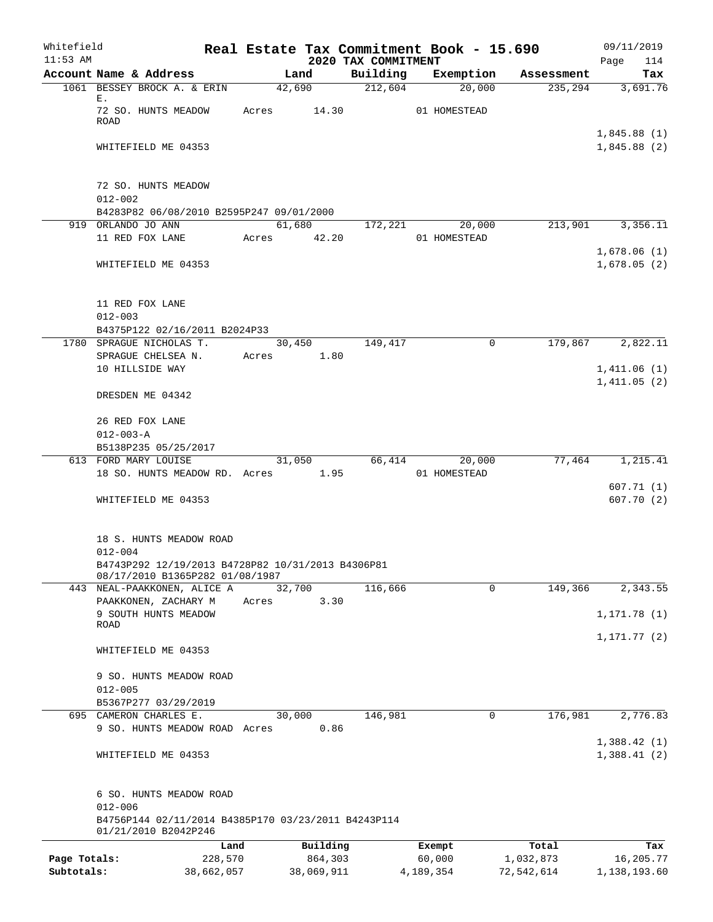| Whitefield   |                                                                                      |            |       |                |                                 | Real Estate Tax Commitment Book - 15.690 |            | 09/11/2019                 |
|--------------|--------------------------------------------------------------------------------------|------------|-------|----------------|---------------------------------|------------------------------------------|------------|----------------------------|
| $11:53$ AM   | Account Name & Address                                                               |            |       | Land           | 2020 TAX COMMITMENT<br>Building | Exemption                                | Assessment | 114<br>Page<br>Tax         |
|              | 1061 BESSEY BROCK A. & ERIN                                                          |            |       | 42,690         | 212,604                         | 20,000                                   | 235,294    | 3,691.76                   |
|              | Ε.<br>72 SO. HUNTS MEADOW                                                            |            |       | Acres 14.30    |                                 | 01 HOMESTEAD                             |            |                            |
|              | <b>ROAD</b>                                                                          |            |       |                |                                 |                                          |            | 1,845.88(1)                |
|              | WHITEFIELD ME 04353                                                                  |            |       |                |                                 |                                          |            | 1,845.88(2)                |
|              | 72 SO. HUNTS MEADOW                                                                  |            |       |                |                                 |                                          |            |                            |
|              | $012 - 002$                                                                          |            |       |                |                                 |                                          |            |                            |
|              | B4283P82 06/08/2010 B2595P247 09/01/2000                                             |            |       |                |                                 |                                          |            |                            |
|              | 919 ORLANDO JO ANN                                                                   |            |       |                |                                 | 61,680 172,221 20,000                    | 213,901    | 3,356.11                   |
|              | 11 RED FOX LANE                                                                      |            | Acres | 42.20          |                                 | 01 HOMESTEAD                             |            | 1,678.06(1)                |
|              | WHITEFIELD ME 04353                                                                  |            |       |                |                                 |                                          |            | 1,678.05(2)                |
|              | 11 RED FOX LANE                                                                      |            |       |                |                                 |                                          |            |                            |
|              | $012 - 003$                                                                          |            |       |                |                                 |                                          |            |                            |
|              | B4375P122 02/16/2011 B2024P33                                                        |            |       |                |                                 |                                          |            |                            |
|              | 1780 SPRAGUE NICHOLAS T.<br>SPRAGUE CHELSEA N.                                       |            | Acres | 30,450<br>1.80 | 149,417                         | $\Omega$                                 | 179,867    | 2,822.11                   |
|              | 10 HILLSIDE WAY                                                                      |            |       |                |                                 |                                          |            | 1,411.06(1)                |
|              | DRESDEN ME 04342                                                                     |            |       |                |                                 |                                          |            | 1,411.05(2)                |
|              | 26 RED FOX LANE                                                                      |            |       |                |                                 |                                          |            |                            |
|              | $012 - 003 - A$                                                                      |            |       |                |                                 |                                          |            |                            |
|              | B5138P235 05/25/2017                                                                 |            |       |                |                                 |                                          |            |                            |
|              | 613 FORD MARY LOUISE                                                                 |            |       | 31,050         |                                 | 66,414<br>20,000                         | 77,464     | 1,215.41                   |
|              | 18 SO. HUNTS MEADOW RD. Acres 1.95                                                   |            |       |                |                                 | 01 HOMESTEAD                             |            | 607.71(1)                  |
|              | WHITEFIELD ME 04353                                                                  |            |       |                |                                 |                                          |            | 607.70(2)                  |
|              | 18 S. HUNTS MEADOW ROAD                                                              |            |       |                |                                 |                                          |            |                            |
|              | $012 - 004$                                                                          |            |       |                |                                 |                                          |            |                            |
|              | B4743P292 12/19/2013 B4728P82 10/31/2013 B4306P81<br>08/17/2010 B1365P282 01/08/1987 |            |       |                |                                 |                                          |            |                            |
|              | 443 NEAL-PAAKKONEN, ALICE A                                                          |            |       | 32,700         | 116,666                         | 0                                        | 149,366    | 2,343.55                   |
|              | PAAKKONEN, ZACHARY M                                                                 |            | Acres | 3.30           |                                 |                                          |            |                            |
|              | 9 SOUTH HUNTS MEADOW<br>ROAD                                                         |            |       |                |                                 |                                          |            | 1, 171.78(1)               |
|              | WHITEFIELD ME 04353                                                                  |            |       |                |                                 |                                          |            | 1, 171. 77 (2)             |
|              |                                                                                      |            |       |                |                                 |                                          |            |                            |
|              | 9 SO. HUNTS MEADOW ROAD                                                              |            |       |                |                                 |                                          |            |                            |
|              | $012 - 005$<br>B5367P277 03/29/2019                                                  |            |       |                |                                 |                                          |            |                            |
|              | 695 CAMERON CHARLES E.                                                               |            |       | 30,000         | 146,981                         | 0                                        | 176,981    | 2,776.83                   |
|              | 9 SO. HUNTS MEADOW ROAD Acres                                                        |            |       | 0.86           |                                 |                                          |            |                            |
|              | WHITEFIELD ME 04353                                                                  |            |       |                |                                 |                                          |            | 1,388.42(1)<br>1,388.41(2) |
|              | 6 SO. HUNTS MEADOW ROAD<br>$012 - 006$                                               |            |       |                |                                 |                                          |            |                            |
|              | B4756P144 02/11/2014 B4385P170 03/23/2011 B4243P114<br>01/21/2010 B2042P246          |            |       |                |                                 |                                          |            |                            |
|              |                                                                                      | Land       |       | Building       |                                 | Exempt                                   | Total      | Tax                        |
| Page Totals: |                                                                                      | 228,570    |       | 864,303        |                                 | 60,000                                   | 1,032,873  | 16,205.77                  |
| Subtotals:   |                                                                                      | 38,662,057 |       | 38,069,911     |                                 | 4,189,354                                | 72,542,614 | 1,138,193.60               |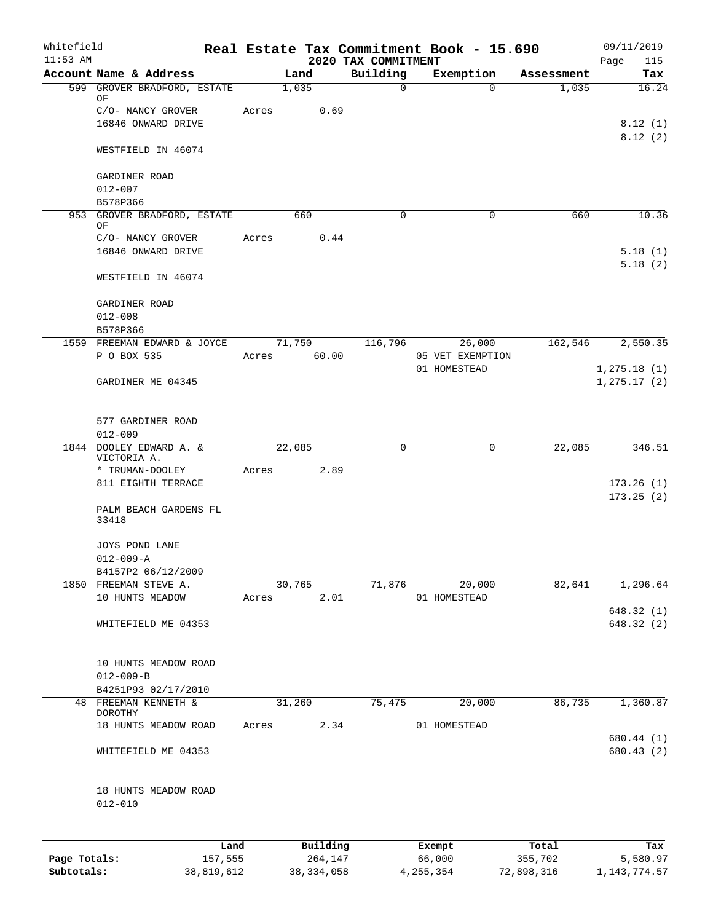| Whitefield<br>$11:53$ AM |                                          |       |                | Real Estate Tax Commitment Book - 15.690 |             |                                  |            | 09/11/2019               |
|--------------------------|------------------------------------------|-------|----------------|------------------------------------------|-------------|----------------------------------|------------|--------------------------|
|                          | Account Name & Address                   |       | Land           | 2020 TAX COMMITMENT<br>Building          |             | Exemption                        | Assessment | Page<br>115<br>Tax       |
|                          | 599 GROVER BRADFORD, ESTATE              |       | 1,035          | $\mathsf{O}$                             |             | $\Omega$                         | 1,035      | 16.24                    |
|                          | ΟF                                       |       |                |                                          |             |                                  |            |                          |
|                          | C/O- NANCY GROVER<br>16846 ONWARD DRIVE  | Acres | 0.69           |                                          |             |                                  |            | 8.12(1)                  |
|                          |                                          |       |                |                                          |             |                                  |            | 8.12(2)                  |
|                          | WESTFIELD IN 46074                       |       |                |                                          |             |                                  |            |                          |
|                          | GARDINER ROAD                            |       |                |                                          |             |                                  |            |                          |
|                          | $012 - 007$                              |       |                |                                          |             |                                  |            |                          |
|                          | B578P366<br>953 GROVER BRADFORD, ESTATE  |       | 660            | $\Omega$                                 |             | 0                                | 660        | 10.36                    |
|                          | ΟF                                       |       |                |                                          |             |                                  |            |                          |
|                          | C/O- NANCY GROVER                        | Acres | 0.44           |                                          |             |                                  |            |                          |
|                          | 16846 ONWARD DRIVE                       |       |                |                                          |             |                                  |            | 5.18(1)                  |
|                          | WESTFIELD IN 46074                       |       |                |                                          |             |                                  |            | 5.18(2)                  |
|                          | GARDINER ROAD                            |       |                |                                          |             |                                  |            |                          |
|                          | $012 - 008$                              |       |                |                                          |             |                                  |            |                          |
|                          | B578P366                                 |       |                |                                          |             |                                  |            |                          |
|                          | 1559 FREEMAN EDWARD & JOYCE              |       | 71,750         | 116,796                                  |             | 26,000                           | 162,546    | 2,550.35                 |
|                          | P O BOX 535                              | Acres | 60.00          |                                          |             | 05 VET EXEMPTION<br>01 HOMESTEAD |            | 1, 275.18(1)             |
|                          | GARDINER ME 04345                        |       |                |                                          |             |                                  |            | 1, 275.17 (2)            |
|                          | 577 GARDINER ROAD                        |       |                |                                          |             |                                  |            |                          |
|                          | $012 - 009$                              |       |                |                                          |             |                                  |            |                          |
|                          | 1844 DOOLEY EDWARD A. &                  |       | 22,085         | 0                                        |             | 0                                | 22,085     | 346.51                   |
|                          | VICTORIA A.                              |       |                |                                          |             |                                  |            |                          |
|                          | * TRUMAN-DOOLEY<br>811 EIGHTH TERRACE    | Acres | 2.89           |                                          |             |                                  |            | 173.26(1)                |
|                          |                                          |       |                |                                          |             |                                  |            | 173.25(2)                |
|                          | PALM BEACH GARDENS FL<br>33418           |       |                |                                          |             |                                  |            |                          |
|                          | JOYS POND LANE                           |       |                |                                          |             |                                  |            |                          |
|                          | $012 - 009 - A$                          |       |                |                                          |             |                                  |            |                          |
|                          | B4157P2 06/12/2009                       |       |                |                                          |             |                                  |            |                          |
|                          | 1850 FREEMAN STEVE A.<br>10 HUNTS MEADOW | Acres | 30,765<br>2.01 | 71,876                                   |             | 20,000<br>01 HOMESTEAD           | 82,641     | 1,296.64                 |
|                          |                                          |       |                |                                          |             |                                  |            | 648.32(1)                |
|                          | WHITEFIELD ME 04353                      |       |                |                                          |             |                                  |            | 648.32(2)                |
|                          | 10 HUNTS MEADOW ROAD                     |       |                |                                          |             |                                  |            |                          |
|                          | $012 - 009 - B$                          |       |                |                                          |             |                                  |            |                          |
|                          | B4251P93 02/17/2010                      |       |                |                                          |             |                                  |            |                          |
|                          | 48 FREEMAN KENNETH &<br>DOROTHY          |       | 31,260         | 75,475                                   |             | 20,000                           | 86,735     | 1,360.87                 |
|                          | 18 HUNTS MEADOW ROAD                     | Acres | 2.34           |                                          |             | 01 HOMESTEAD                     |            |                          |
|                          | WHITEFIELD ME 04353                      |       |                |                                          |             |                                  |            | 680.44 (1)<br>680.43 (2) |
|                          |                                          |       |                |                                          |             |                                  |            |                          |
|                          | 18 HUNTS MEADOW ROAD<br>$012 - 010$      |       |                |                                          |             |                                  |            |                          |
|                          | Land                                     |       | Building       |                                          | Exempt      |                                  | Total      | Tax                      |
| Page Totals:             | 157,555                                  |       | 264,147        |                                          | 66,000      |                                  | 355,702    | 5,580.97                 |
| Subtotals:               | 38,819,612                               |       | 38, 334, 058   |                                          | 4, 255, 354 |                                  | 72,898,316 | 1, 143, 774.57           |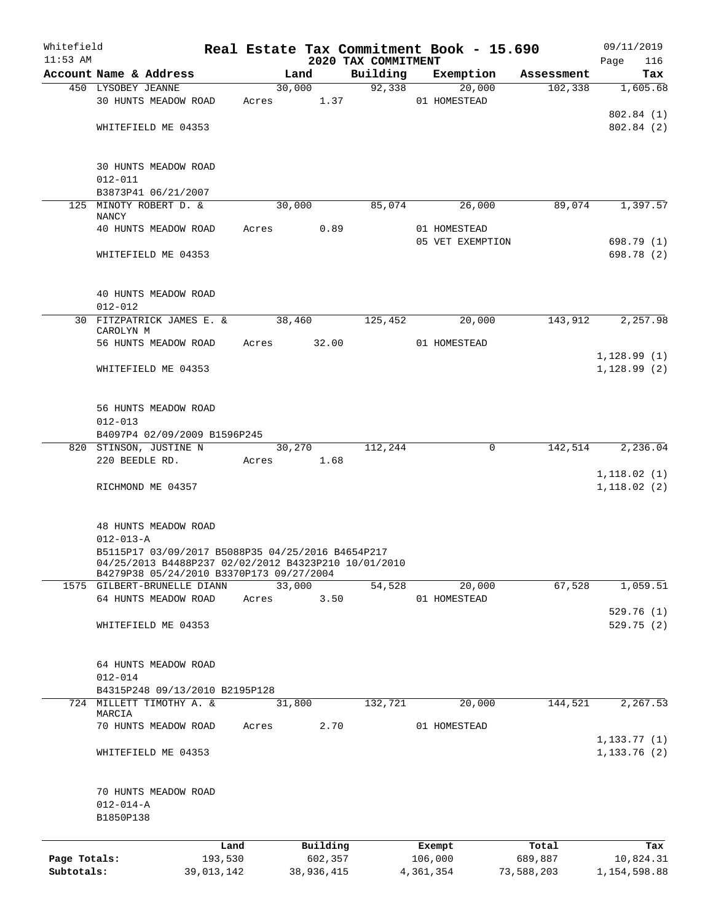| Whitefield   |                                                                                                  |            |             |        |            |                                 | Real Estate Tax Commitment Book - 15.690 |            | 09/11/2019                    |
|--------------|--------------------------------------------------------------------------------------------------|------------|-------------|--------|------------|---------------------------------|------------------------------------------|------------|-------------------------------|
| $11:53$ AM   | Account Name & Address                                                                           |            |             | Land   |            | 2020 TAX COMMITMENT<br>Building | Exemption                                | Assessment | 116<br>Page<br>Tax            |
|              | 450 LYSOBEY JEANNE                                                                               |            |             | 30,000 |            |                                 | 92,338<br>20,000                         | 102,338    | 1,605.68                      |
|              | 30 HUNTS MEADOW ROAD                                                                             |            | Acres 1.37  |        |            |                                 | 01 HOMESTEAD                             |            |                               |
|              |                                                                                                  |            |             |        |            |                                 |                                          |            | 802.84 (1)                    |
|              | WHITEFIELD ME 04353                                                                              |            |             |        |            |                                 |                                          |            | 802.84(2)                     |
|              |                                                                                                  |            |             |        |            |                                 |                                          |            |                               |
|              | <b>30 HUNTS MEADOW ROAD</b>                                                                      |            |             |        |            |                                 |                                          |            |                               |
|              | $012 - 011$                                                                                      |            |             |        |            |                                 |                                          |            |                               |
|              | B3873P41 06/21/2007                                                                              |            |             |        |            |                                 |                                          |            |                               |
|              | 125 MINOTY ROBERT D. &                                                                           |            |             | 30,000 |            | 85,074                          | 26,000                                   | 89,074     | 1,397.57                      |
|              | <b>NANCY</b>                                                                                     |            |             |        |            |                                 |                                          |            |                               |
|              | 40 HUNTS MEADOW ROAD                                                                             |            | Acres       |        | 0.89       |                                 | 01 HOMESTEAD<br>05 VET EXEMPTION         |            | 698.79 (1)                    |
|              | WHITEFIELD ME 04353                                                                              |            |             |        |            |                                 |                                          |            | 698.78 (2)                    |
|              |                                                                                                  |            |             |        |            |                                 |                                          |            |                               |
|              | 40 HUNTS MEADOW ROAD                                                                             |            |             |        |            |                                 |                                          |            |                               |
|              | $012 - 012$                                                                                      |            |             |        |            |                                 |                                          |            |                               |
|              | 30 FITZPATRICK JAMES E. &                                                                        |            |             | 38,460 |            | 125,452                         | 20,000                                   | 143,912    | 2,257.98                      |
|              | CAROLYN M                                                                                        |            |             |        |            |                                 |                                          |            |                               |
|              | 56 HUNTS MEADOW ROAD                                                                             |            | Acres 32.00 |        |            |                                 | 01 HOMESTEAD                             |            |                               |
|              |                                                                                                  |            |             |        |            |                                 |                                          |            | 1,128.99(1)                   |
|              | WHITEFIELD ME 04353                                                                              |            |             |        |            |                                 |                                          |            | 1, 128.99(2)                  |
|              | 56 HUNTS MEADOW ROAD                                                                             |            |             |        |            |                                 |                                          |            |                               |
|              | $012 - 013$                                                                                      |            |             |        |            |                                 |                                          |            |                               |
|              | B4097P4 02/09/2009 B1596P245                                                                     |            |             |        |            |                                 |                                          |            |                               |
|              | 820 STINSON, JUSTINE N                                                                           |            |             | 30,270 |            | 112,244                         | 0                                        | 142,514    | 2,236.04                      |
|              | 220 BEEDLE RD.                                                                                   |            | Acres       | 1.68   |            |                                 |                                          |            |                               |
|              |                                                                                                  |            |             |        |            |                                 |                                          |            | 1,118.02(1)                   |
|              | RICHMOND ME 04357                                                                                |            |             |        |            |                                 |                                          |            | 1, 118.02(2)                  |
|              |                                                                                                  |            |             |        |            |                                 |                                          |            |                               |
|              | 48 HUNTS MEADOW ROAD<br>$012 - 013 - A$                                                          |            |             |        |            |                                 |                                          |            |                               |
|              | B5115P17 03/09/2017 B5088P35 04/25/2016 B4654P217                                                |            |             |        |            |                                 |                                          |            |                               |
|              | 04/25/2013 B4488P237 02/02/2012 B4323P210 10/01/2010<br>B4279P38 05/24/2010 B3370P173 09/27/2004 |            |             |        |            |                                 |                                          |            |                               |
|              | 1575 GILBERT-BRUNELLE DIANN                                                                      |            |             | 33,000 |            | 54,528                          | 20,000                                   | 67,528     | 1,059.51                      |
|              | 64 HUNTS MEADOW ROAD                                                                             |            | Acres       |        | 3.50       |                                 | 01 HOMESTEAD                             |            |                               |
|              |                                                                                                  |            |             |        |            |                                 |                                          |            | 529.76(1)                     |
|              | WHITEFIELD ME 04353                                                                              |            |             |        |            |                                 |                                          |            | 529.75(2)                     |
|              |                                                                                                  |            |             |        |            |                                 |                                          |            |                               |
|              | 64 HUNTS MEADOW ROAD                                                                             |            |             |        |            |                                 |                                          |            |                               |
|              | $012 - 014$                                                                                      |            |             |        |            |                                 |                                          |            |                               |
|              | B4315P248 09/13/2010 B2195P128<br>724 MILLETT TIMOTHY A. &                                       |            |             | 31,800 |            | 132,721                         | 20,000                                   | 144,521    | 2,267.53                      |
|              | MARCIA                                                                                           |            |             |        |            |                                 |                                          |            |                               |
|              | 70 HUNTS MEADOW ROAD                                                                             |            | Acres       |        | 2.70       |                                 | 01 HOMESTEAD                             |            |                               |
|              | WHITEFIELD ME 04353                                                                              |            |             |        |            |                                 |                                          |            | 1, 133.77(1)<br>1, 133.76 (2) |
|              |                                                                                                  |            |             |        |            |                                 |                                          |            |                               |
|              | 70 HUNTS MEADOW ROAD                                                                             |            |             |        |            |                                 |                                          |            |                               |
|              | $012 - 014 - A$                                                                                  |            |             |        |            |                                 |                                          |            |                               |
|              | B1850P138                                                                                        |            |             |        |            |                                 |                                          |            |                               |
|              |                                                                                                  | Land       |             |        | Building   |                                 | Exempt                                   | Total      | Tax                           |
| Page Totals: |                                                                                                  | 193,530    |             |        | 602,357    |                                 | 106,000                                  | 689,887    | 10,824.31                     |
| Subtotals:   |                                                                                                  | 39,013,142 |             |        | 38,936,415 |                                 | 4,361,354                                | 73,588,203 | 1,154,598.88                  |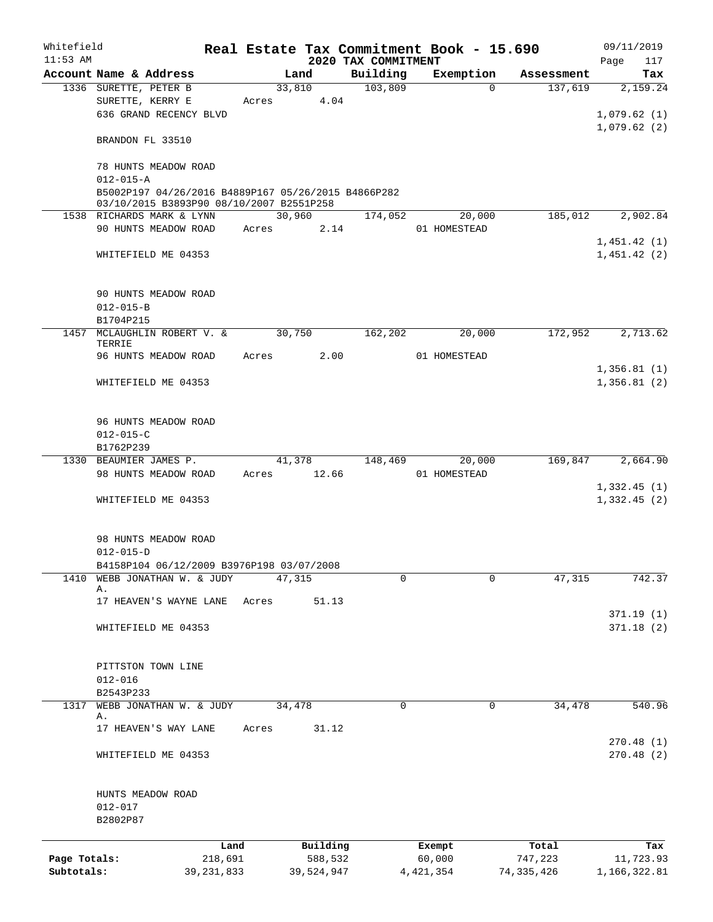| Whitefield<br>$11:53$ AM |                                                     |              |             |        |            | Real Estate Tax Commitment Book - 15.690<br>2020 TAX COMMITMENT |              |            | 09/11/2019<br>117<br>Page |
|--------------------------|-----------------------------------------------------|--------------|-------------|--------|------------|-----------------------------------------------------------------|--------------|------------|---------------------------|
|                          | Account Name & Address                              |              |             | Land   |            | Building                                                        | Exemption    | Assessment | Tax                       |
|                          | 1336 SURETTE, PETER B                               |              |             | 33,810 |            | 103,809                                                         | $\Omega$     | 137,619    | 2,159.24                  |
|                          | SURETTE, KERRY E                                    |              | Acres 4.04  |        |            |                                                                 |              |            |                           |
|                          | 636 GRAND RECENCY BLVD                              |              |             |        |            |                                                                 |              |            | 1,079.62(1)               |
|                          |                                                     |              |             |        |            |                                                                 |              |            | 1,079.62(2)               |
|                          | BRANDON FL 33510                                    |              |             |        |            |                                                                 |              |            |                           |
|                          |                                                     |              |             |        |            |                                                                 |              |            |                           |
|                          | 78 HUNTS MEADOW ROAD<br>$012 - 015 - A$             |              |             |        |            |                                                                 |              |            |                           |
|                          | B5002P197 04/26/2016 B4889P167 05/26/2015 B4866P282 |              |             |        |            |                                                                 |              |            |                           |
|                          | 03/10/2015 B3893P90 08/10/2007 B2551P258            |              |             |        |            |                                                                 |              |            |                           |
|                          | 1538 RICHARDS MARK & LYNN                           |              |             | 30,960 |            | 174,052                                                         | 20,000       |            | 185,012 2,902.84          |
|                          | 90 HUNTS MEADOW ROAD Acres                          |              |             |        | 2.14       |                                                                 | 01 HOMESTEAD |            |                           |
|                          |                                                     |              |             |        |            |                                                                 |              |            | 1,451.42(1)               |
|                          | WHITEFIELD ME 04353                                 |              |             |        |            |                                                                 |              |            | 1,451.42(2)               |
|                          |                                                     |              |             |        |            |                                                                 |              |            |                           |
|                          |                                                     |              |             |        |            |                                                                 |              |            |                           |
|                          | 90 HUNTS MEADOW ROAD                                |              |             |        |            |                                                                 |              |            |                           |
|                          | $012 - 015 - B$                                     |              |             |        |            |                                                                 |              |            |                           |
|                          | B1704P215<br>1457 MCLAUGHLIN ROBERT V. &            |              |             | 30,750 |            | 162,202                                                         | 20,000       | 172,952    | 2,713.62                  |
|                          | TERRIE                                              |              |             |        |            |                                                                 |              |            |                           |
|                          | 96 HUNTS MEADOW ROAD                                |              | Acres 2.00  |        |            |                                                                 | 01 HOMESTEAD |            |                           |
|                          |                                                     |              |             |        |            |                                                                 |              |            | 1,356.81(1)               |
|                          | WHITEFIELD ME 04353                                 |              |             |        |            |                                                                 |              |            | 1,356.81(2)               |
|                          |                                                     |              |             |        |            |                                                                 |              |            |                           |
|                          |                                                     |              |             |        |            |                                                                 |              |            |                           |
|                          | 96 HUNTS MEADOW ROAD                                |              |             |        |            |                                                                 |              |            |                           |
|                          | $012 - 015 - C$<br>B1762P239                        |              |             |        |            |                                                                 |              |            |                           |
|                          | 1330 BEAUMIER JAMES P.                              |              |             | 41,378 |            | 148,469                                                         | 20,000       | 169,847    | 2,664.90                  |
|                          | 98 HUNTS MEADOW ROAD                                |              | Acres 12.66 |        |            |                                                                 | 01 HOMESTEAD |            |                           |
|                          |                                                     |              |             |        |            |                                                                 |              |            | 1,332.45(1)               |
|                          | WHITEFIELD ME 04353                                 |              |             |        |            |                                                                 |              |            | 1,332.45(2)               |
|                          |                                                     |              |             |        |            |                                                                 |              |            |                           |
|                          |                                                     |              |             |        |            |                                                                 |              |            |                           |
|                          | 98 HUNTS MEADOW ROAD                                |              |             |        |            |                                                                 |              |            |                           |
|                          | $012 - 015 - D$                                     |              |             |        |            |                                                                 |              |            |                           |
|                          | B4158P104 06/12/2009 B3976P198 03/07/2008           |              |             |        |            |                                                                 |              |            |                           |
| 1410                     | WEBB JONATHAN W. & JUDY<br>Α.                       |              |             | 47,315 |            | $\mathbf 0$                                                     | 0            | 47,315     | 742.37                    |
|                          | 17 HEAVEN'S WAYNE LANE                              |              | Acres       |        | 51.13      |                                                                 |              |            |                           |
|                          |                                                     |              |             |        |            |                                                                 |              |            | 371.19(1)                 |
|                          | WHITEFIELD ME 04353                                 |              |             |        |            |                                                                 |              |            | 371.18(2)                 |
|                          |                                                     |              |             |        |            |                                                                 |              |            |                           |
|                          |                                                     |              |             |        |            |                                                                 |              |            |                           |
|                          | PITTSTON TOWN LINE                                  |              |             |        |            |                                                                 |              |            |                           |
|                          | $012 - 016$                                         |              |             |        |            |                                                                 |              |            |                           |
|                          | B2543P233                                           |              |             |        |            |                                                                 |              |            |                           |
| 1317                     | WEBB JONATHAN W. & JUDY<br>Α.                       |              |             | 34,478 |            | 0                                                               | 0            | 34,478     | 540.96                    |
|                          | 17 HEAVEN'S WAY LANE                                |              | Acres       |        | 31.12      |                                                                 |              |            |                           |
|                          |                                                     |              |             |        |            |                                                                 |              |            | 270.48(1)                 |
|                          | WHITEFIELD ME 04353                                 |              |             |        |            |                                                                 |              |            | 270.48(2)                 |
|                          |                                                     |              |             |        |            |                                                                 |              |            |                           |
|                          | HUNTS MEADOW ROAD                                   |              |             |        |            |                                                                 |              |            |                           |
|                          | $012 - 017$                                         |              |             |        |            |                                                                 |              |            |                           |
|                          | B2802P87                                            |              |             |        |            |                                                                 |              |            |                           |
|                          |                                                     | Land         |             |        | Building   |                                                                 | Exempt       | Total      | Tax                       |
| Page Totals:             |                                                     | 218,691      |             |        | 588,532    |                                                                 | 60,000       | 747,223    | 11,723.93                 |
| Subtotals:               |                                                     | 39, 231, 833 |             |        | 39,524,947 |                                                                 | 4, 421, 354  | 74,335,426 | 1,166,322.81              |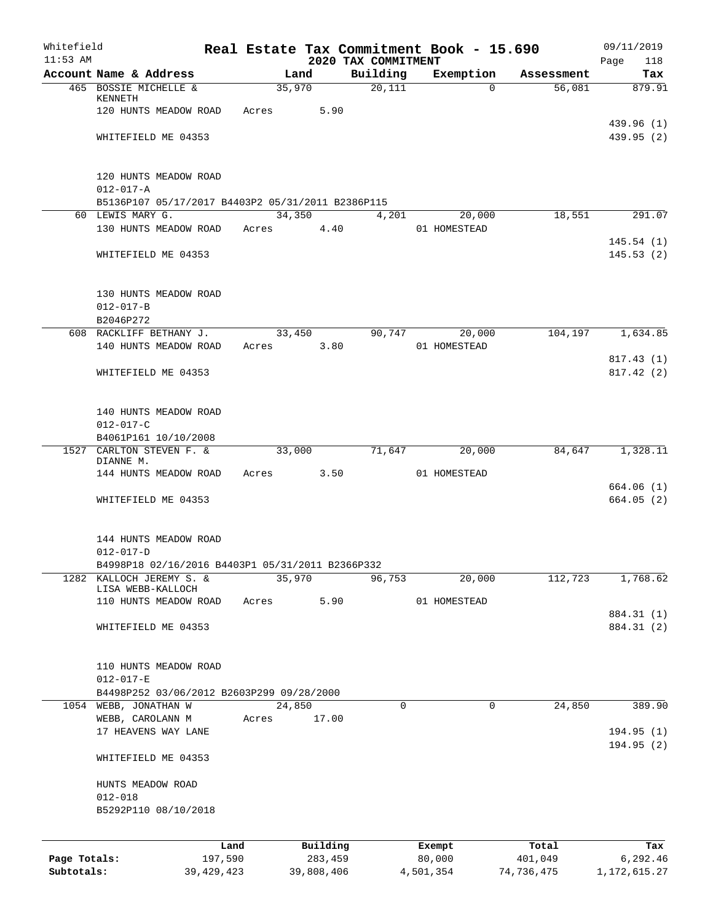| Whitefield   |                                                   |              |       |            |                                 | Real Estate Tax Commitment Book - 15.690 |            | 09/11/2019             |
|--------------|---------------------------------------------------|--------------|-------|------------|---------------------------------|------------------------------------------|------------|------------------------|
| $11:53$ AM   | Account Name & Address                            |              |       | Land       | 2020 TAX COMMITMENT<br>Building | Exemption                                | Assessment | Page<br>118<br>Tax     |
|              | 465 BOSSIE MICHELLE &                             |              |       | 35,970     | 20,111                          | $\Omega$                                 | 56,081     | 879.91                 |
|              | KENNETH                                           |              |       |            |                                 |                                          |            |                        |
|              | 120 HUNTS MEADOW ROAD                             |              | Acres | 5.90       |                                 |                                          |            |                        |
|              |                                                   |              |       |            |                                 |                                          |            | 439.96 (1)             |
|              | WHITEFIELD ME 04353                               |              |       |            |                                 |                                          |            | 439.95 (2)             |
|              | 120 HUNTS MEADOW ROAD                             |              |       |            |                                 |                                          |            |                        |
|              | $012 - 017 - A$                                   |              |       |            |                                 |                                          |            |                        |
|              | B5136P107 05/17/2017 B4403P2 05/31/2011 B2386P115 |              |       |            |                                 |                                          |            |                        |
|              | 60 LEWIS MARY G.                                  |              |       | 34,350     | 4,201                           | 20,000                                   | 18,551     | 291.07                 |
|              | 130 HUNTS MEADOW ROAD                             |              | Acres | 4.40       |                                 | 01 HOMESTEAD                             |            |                        |
|              |                                                   |              |       |            |                                 |                                          |            | 145.54(1)              |
|              | WHITEFIELD ME 04353                               |              |       |            |                                 |                                          |            | 145.53(2)              |
|              | 130 HUNTS MEADOW ROAD                             |              |       |            |                                 |                                          |            |                        |
|              | $012 - 017 - B$                                   |              |       |            |                                 |                                          |            |                        |
|              | B2046P272                                         |              |       |            |                                 |                                          |            |                        |
|              | 608 RACKLIFF BETHANY J.                           |              |       | 33,450     | 90,747                          | 20,000                                   | 104,197    | 1,634.85               |
|              | 140 HUNTS MEADOW ROAD                             |              | Acres | 3.80       |                                 | 01 HOMESTEAD                             |            |                        |
|              |                                                   |              |       |            |                                 |                                          |            | 817.43(1)<br>817.42(2) |
|              | WHITEFIELD ME 04353                               |              |       |            |                                 |                                          |            |                        |
|              | 140 HUNTS MEADOW ROAD                             |              |       |            |                                 |                                          |            |                        |
|              | $012 - 017 - C$                                   |              |       |            |                                 |                                          |            |                        |
|              | B4061P161 10/10/2008                              |              |       |            |                                 |                                          |            |                        |
| 1527         | CARLTON STEVEN F. &                               |              |       | 33,000     | 71,647                          | 20,000                                   | 84,647     | 1,328.11               |
|              | DIANNE M.<br>144 HUNTS MEADOW ROAD                |              | Acres | 3.50       |                                 | 01 HOMESTEAD                             |            |                        |
|              |                                                   |              |       |            |                                 |                                          |            | 664.06 (1)             |
|              | WHITEFIELD ME 04353                               |              |       |            |                                 |                                          |            | 664.05(2)              |
|              | 144 HUNTS MEADOW ROAD                             |              |       |            |                                 |                                          |            |                        |
|              | $012 - 017 - D$                                   |              |       |            |                                 |                                          |            |                        |
|              | B4998P18 02/16/2016 B4403P1 05/31/2011 B2366P332  |              |       |            |                                 |                                          |            |                        |
| 1282         | KALLOCH JEREMY S. &                               |              |       | 35,970     | 96,753                          | 20,000                                   | 112,723    | 1,768.62               |
|              | LISA WEBB-KALLOCH<br>110 HUNTS MEADOW ROAD        |              | Acres | 5.90       |                                 | 01 HOMESTEAD                             |            |                        |
|              |                                                   |              |       |            |                                 |                                          |            | 884.31 (1)             |
|              | WHITEFIELD ME 04353                               |              |       |            |                                 |                                          |            | 884.31 (2)             |
|              |                                                   |              |       |            |                                 |                                          |            |                        |
|              | 110 HUNTS MEADOW ROAD<br>$012 - 017 - E$          |              |       |            |                                 |                                          |            |                        |
|              | B4498P252 03/06/2012 B2603P299 09/28/2000         |              |       |            |                                 |                                          |            |                        |
|              | 1054 WEBB, JONATHAN W                             |              |       | 24,850     | 0                               | 0                                        | 24,850     | 389.90                 |
|              | WEBB, CAROLANN M                                  |              | Acres | 17.00      |                                 |                                          |            |                        |
|              | 17 HEAVENS WAY LANE                               |              |       |            |                                 |                                          |            | 194.95(1)              |
|              |                                                   |              |       |            |                                 |                                          |            | 194.95 (2)             |
|              | WHITEFIELD ME 04353                               |              |       |            |                                 |                                          |            |                        |
|              | HUNTS MEADOW ROAD                                 |              |       |            |                                 |                                          |            |                        |
|              | $012 - 018$                                       |              |       |            |                                 |                                          |            |                        |
|              | B5292P110 08/10/2018                              |              |       |            |                                 |                                          |            |                        |
|              |                                                   | Land         |       | Building   |                                 | Exempt                                   | Total      | Tax                    |
| Page Totals: |                                                   | 197,590      |       | 283,459    |                                 | 80,000                                   | 401,049    | 6,292.46               |
| Subtotals:   |                                                   | 39, 429, 423 |       | 39,808,406 |                                 | 4,501,354                                | 74,736,475 | 1, 172, 615.27         |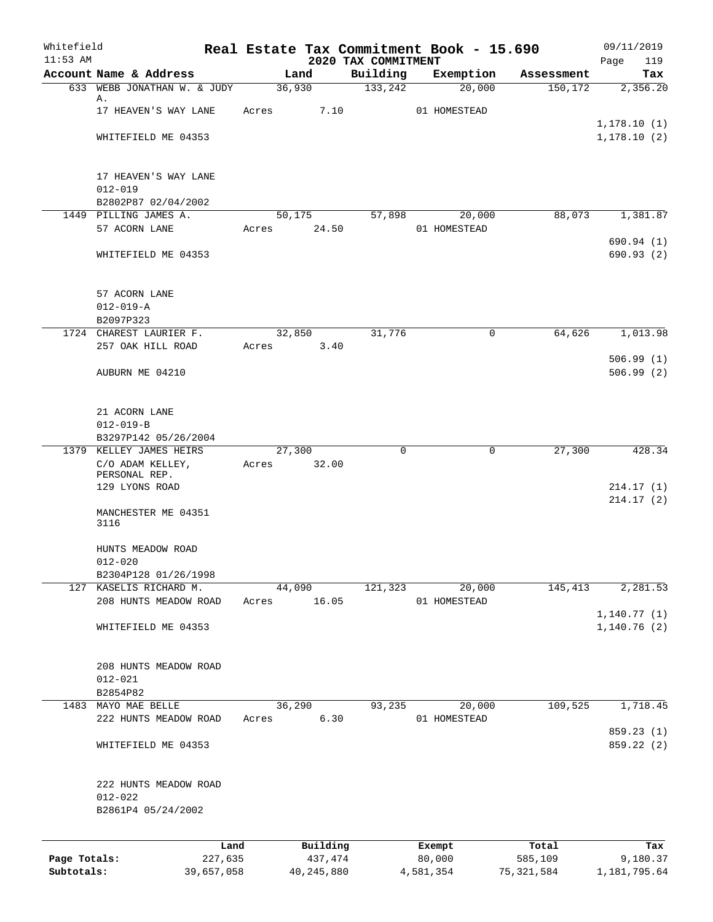| Whitefield<br>$11:53$ AM |                                  |              | 2020 TAX COMMITMENT | Real Estate Tax Commitment Book - 15.690 |                        | 09/11/2019<br>119        |
|--------------------------|----------------------------------|--------------|---------------------|------------------------------------------|------------------------|--------------------------|
|                          | Account Name & Address           | Land         | Building            | Exemption                                | Assessment             | Page<br>Tax              |
|                          | 633 WEBB JONATHAN W. & JUDY      | 36,930       | 133,242             | 20,000                                   | 150,172                | 2,356.20                 |
|                          | Α.                               |              |                     |                                          |                        |                          |
|                          | 17 HEAVEN'S WAY LANE             | Acres        | 7.10                | 01 HOMESTEAD                             |                        |                          |
|                          |                                  |              |                     |                                          |                        | 1, 178.10(1)             |
|                          | WHITEFIELD ME 04353              |              |                     |                                          |                        | 1, 178.10(2)             |
|                          | 17 HEAVEN'S WAY LANE             |              |                     |                                          |                        |                          |
|                          | $012 - 019$                      |              |                     |                                          |                        |                          |
|                          | B2802P87 02/04/2002              |              |                     |                                          |                        |                          |
|                          | 1449 PILLING JAMES A.            | 50,175       | 57,898              | 20,000                                   | 88,073                 | 1,381.87                 |
|                          | 57 ACORN LANE                    | Acres        | 24.50               | 01 HOMESTEAD                             |                        |                          |
|                          | WHITEFIELD ME 04353              |              |                     |                                          |                        | 690.94 (1)<br>690.93 (2) |
|                          |                                  |              |                     |                                          |                        |                          |
|                          | 57 ACORN LANE                    |              |                     |                                          |                        |                          |
|                          | $012 - 019 - A$<br>B2097P323     |              |                     |                                          |                        |                          |
|                          | 1724 CHAREST LAURIER F.          | 32,850       | 31,776              |                                          | $\mathsf{O}$<br>64,626 | 1,013.98                 |
|                          | 257 OAK HILL ROAD                | Acres        | 3.40                |                                          |                        |                          |
|                          |                                  |              |                     |                                          |                        | 506.99(1)                |
|                          | AUBURN ME 04210                  |              |                     |                                          |                        | 506.99(2)                |
|                          |                                  |              |                     |                                          |                        |                          |
|                          | 21 ACORN LANE                    |              |                     |                                          |                        |                          |
|                          | $012 - 019 - B$                  |              |                     |                                          |                        |                          |
|                          | B3297P142 05/26/2004             |              |                     |                                          |                        |                          |
|                          | 1379 KELLEY JAMES HEIRS          | 27,300       |                     | 0                                        | $\mathbf 0$<br>27,300  | 428.34                   |
|                          | C/O ADAM KELLEY,                 | Acres        | 32.00               |                                          |                        |                          |
|                          | PERSONAL REP.                    |              |                     |                                          |                        |                          |
|                          | 129 LYONS ROAD                   |              |                     |                                          |                        | 214.17(1)                |
|                          | MANCHESTER ME 04351<br>3116      |              |                     |                                          |                        | 214.17(2)                |
|                          | HUNTS MEADOW ROAD<br>$012 - 020$ |              |                     |                                          |                        |                          |
|                          | B2304P128 01/26/1998             |              |                     |                                          |                        |                          |
|                          | 127 KASELIS RICHARD M.           | 44,090       | 121,323             | 20,000                                   | 145,413                | 2,281.53                 |
|                          | 208 HUNTS MEADOW ROAD            | Acres        | 16.05               | 01 HOMESTEAD                             |                        |                          |
|                          |                                  |              |                     |                                          |                        | 1, 140.77(1)             |
|                          | WHITEFIELD ME 04353              |              |                     |                                          |                        | 1,140.76(2)              |
|                          | 208 HUNTS MEADOW ROAD            |              |                     |                                          |                        |                          |
|                          | $012 - 021$                      |              |                     |                                          |                        |                          |
|                          | B2854P82                         |              |                     |                                          |                        |                          |
|                          | 1483 MAYO MAE BELLE              | 36,290       | 93,235              | 20,000                                   | 109,525                | 1,718.45                 |
|                          | 222 HUNTS MEADOW ROAD            | Acres        | 6.30                | 01 HOMESTEAD                             |                        |                          |
|                          | WHITEFIELD ME 04353              |              |                     |                                          |                        | 859.23 (1)<br>859.22 (2) |
|                          |                                  |              |                     |                                          |                        |                          |
|                          | 222 HUNTS MEADOW ROAD            |              |                     |                                          |                        |                          |
|                          | $012 - 022$                      |              |                     |                                          |                        |                          |
|                          | B2861P4 05/24/2002               |              |                     |                                          |                        |                          |
|                          | Land                             |              | Building            | Exempt                                   | Total                  | Tax                      |
| Page Totals:             | 227,635                          |              | 437,474             | 80,000                                   | 585,109                | 9,180.37                 |
| Subtotals:               | 39,657,058                       | 40, 245, 880 |                     | 4,581,354                                | 75,321,584             | 1, 181, 795.64           |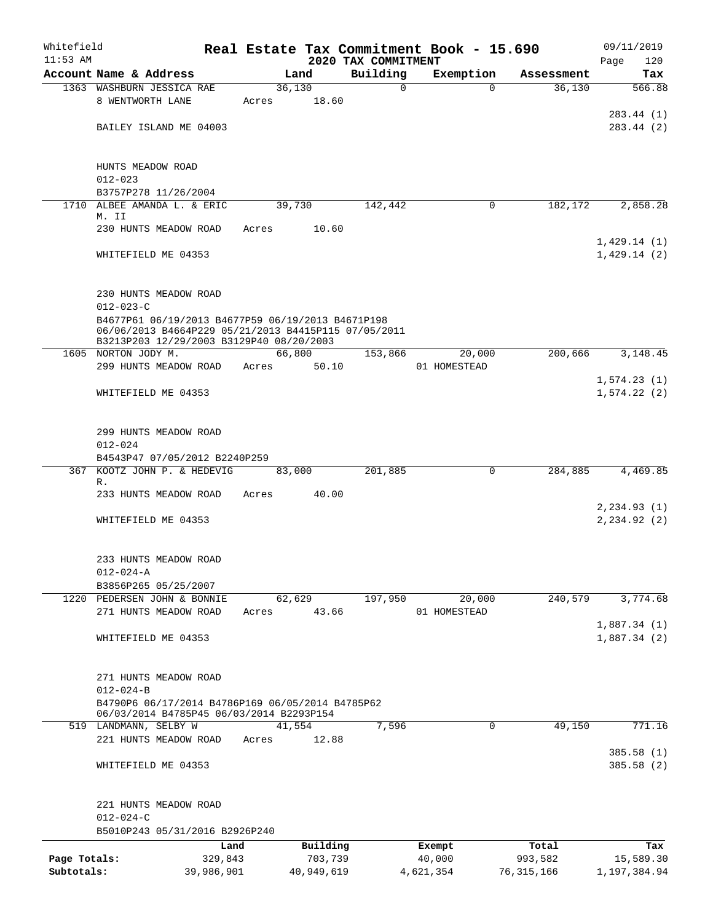| Whitefield                 |                                                                                                  |                       |       |                       |                         | Real Estate Tax Commitment Book - 15.690 |                         | 09/11/2019                 |
|----------------------------|--------------------------------------------------------------------------------------------------|-----------------------|-------|-----------------------|-------------------------|------------------------------------------|-------------------------|----------------------------|
| $11:53$ AM                 |                                                                                                  |                       |       |                       | 2020 TAX COMMITMENT     |                                          |                         | 120<br>Page                |
|                            | Account Name & Address<br>1363 WASHBURN JESSICA RAE                                              |                       |       | Land<br>36,130        | Building<br>$\mathbf 0$ | Exemption<br>$\Omega$                    | Assessment<br>36,130    | Tax<br>566.88              |
|                            | 8 WENTWORTH LANE                                                                                 |                       | Acres | 18.60                 |                         |                                          |                         |                            |
|                            |                                                                                                  |                       |       |                       |                         |                                          |                         | 283.44 (1)                 |
|                            | BAILEY ISLAND ME 04003                                                                           |                       |       |                       |                         |                                          |                         | 283.44 (2)                 |
|                            |                                                                                                  |                       |       |                       |                         |                                          |                         |                            |
|                            |                                                                                                  |                       |       |                       |                         |                                          |                         |                            |
|                            | HUNTS MEADOW ROAD                                                                                |                       |       |                       |                         |                                          |                         |                            |
|                            | $012 - 023$<br>B3757P278 11/26/2004                                                              |                       |       |                       |                         |                                          |                         |                            |
|                            | 1710 ALBEE AMANDA L. & ERIC                                                                      |                       |       | 39,730                | 142,442                 | 0                                        | 182,172                 | 2,858.28                   |
|                            | M. II                                                                                            |                       |       |                       |                         |                                          |                         |                            |
|                            | 230 HUNTS MEADOW ROAD                                                                            |                       | Acres | 10.60                 |                         |                                          |                         |                            |
|                            | WHITEFIELD ME 04353                                                                              |                       |       |                       |                         |                                          |                         | 1,429.14(1)<br>1,429.14(2) |
|                            |                                                                                                  |                       |       |                       |                         |                                          |                         |                            |
|                            |                                                                                                  |                       |       |                       |                         |                                          |                         |                            |
|                            | 230 HUNTS MEADOW ROAD                                                                            |                       |       |                       |                         |                                          |                         |                            |
|                            | $012 - 023 - C$                                                                                  |                       |       |                       |                         |                                          |                         |                            |
|                            | B4677P61 06/19/2013 B4677P59 06/19/2013 B4671P198                                                |                       |       |                       |                         |                                          |                         |                            |
|                            | 06/06/2013 B4664P229 05/21/2013 B4415P115 07/05/2011<br>B3213P203 12/29/2003 B3129P40 08/20/2003 |                       |       |                       |                         |                                          |                         |                            |
|                            | 1605 NORTON JODY M.                                                                              |                       |       | 66,800                | 153,866                 | 20,000                                   | 200,666                 | 3,148.45                   |
|                            | 299 HUNTS MEADOW ROAD                                                                            |                       | Acres | 50.10                 |                         | 01 HOMESTEAD                             |                         |                            |
|                            |                                                                                                  |                       |       |                       |                         |                                          |                         | 1,574.23(1)                |
|                            | WHITEFIELD ME 04353                                                                              |                       |       |                       |                         |                                          |                         | 1,574.22(2)                |
|                            |                                                                                                  |                       |       |                       |                         |                                          |                         |                            |
|                            | 299 HUNTS MEADOW ROAD                                                                            |                       |       |                       |                         |                                          |                         |                            |
|                            | $012 - 024$                                                                                      |                       |       |                       |                         |                                          |                         |                            |
|                            | B4543P47 07/05/2012 B2240P259                                                                    |                       |       |                       |                         |                                          |                         |                            |
| 367                        | KOOTZ JOHN P. & HEDEVIG                                                                          |                       |       | 83,000                | 201,885                 | $\mathbf 0$                              | 284,885                 | 4,469.85                   |
|                            | R.<br>233 HUNTS MEADOW ROAD                                                                      |                       | Acres | 40.00                 |                         |                                          |                         |                            |
|                            |                                                                                                  |                       |       |                       |                         |                                          |                         | 2, 234.93(1)               |
|                            | WHITEFIELD ME 04353                                                                              |                       |       |                       |                         |                                          |                         | 2, 234.92(2)               |
|                            |                                                                                                  |                       |       |                       |                         |                                          |                         |                            |
|                            |                                                                                                  |                       |       |                       |                         |                                          |                         |                            |
|                            | 233 HUNTS MEADOW ROAD                                                                            |                       |       |                       |                         |                                          |                         |                            |
|                            | $012 - 024 - A$<br>B3856P265 05/25/2007                                                          |                       |       |                       |                         |                                          |                         |                            |
|                            | 1220 PEDERSEN JOHN & BONNIE                                                                      |                       |       | 62,629                | 197,950                 | 20,000                                   | 240,579                 | 3,774.68                   |
|                            | 271 HUNTS MEADOW ROAD                                                                            |                       | Acres | 43.66                 |                         | 01 HOMESTEAD                             |                         |                            |
|                            |                                                                                                  |                       |       |                       |                         |                                          |                         | 1,887.34(1)                |
|                            | WHITEFIELD ME 04353                                                                              |                       |       |                       |                         |                                          |                         | 1,887.34(2)                |
|                            |                                                                                                  |                       |       |                       |                         |                                          |                         |                            |
|                            |                                                                                                  |                       |       |                       |                         |                                          |                         |                            |
|                            | 271 HUNTS MEADOW ROAD<br>$012 - 024 - B$                                                         |                       |       |                       |                         |                                          |                         |                            |
|                            | B4790P6 06/17/2014 B4786P169 06/05/2014 B4785P62                                                 |                       |       |                       |                         |                                          |                         |                            |
|                            | 06/03/2014 B4785P45 06/03/2014 B2293P154                                                         |                       |       |                       |                         |                                          |                         |                            |
|                            | 519 LANDMANN, SELBY W                                                                            |                       |       | 41,554                | 7,596                   | 0                                        | 49,150                  | 771.16                     |
|                            | 221 HUNTS MEADOW ROAD                                                                            |                       | Acres | 12.88                 |                         |                                          |                         |                            |
|                            | WHITEFIELD ME 04353                                                                              |                       |       |                       |                         |                                          |                         | 385.58(1)<br>385.58(2)     |
|                            |                                                                                                  |                       |       |                       |                         |                                          |                         |                            |
|                            |                                                                                                  |                       |       |                       |                         |                                          |                         |                            |
|                            | 221 HUNTS MEADOW ROAD                                                                            |                       |       |                       |                         |                                          |                         |                            |
|                            | $012 - 024 - C$                                                                                  |                       |       |                       |                         |                                          |                         |                            |
|                            | B5010P243 05/31/2016 B2926P240                                                                   |                       |       |                       |                         |                                          |                         |                            |
|                            |                                                                                                  | Land                  |       | Building              |                         | Exempt                                   | Total                   | Tax                        |
| Page Totals:<br>Subtotals: |                                                                                                  | 329,843<br>39,986,901 |       | 703,739<br>40,949,619 |                         | 40,000<br>4,621,354                      | 993,582<br>76, 315, 166 | 15,589.30<br>1,197,384.94  |
|                            |                                                                                                  |                       |       |                       |                         |                                          |                         |                            |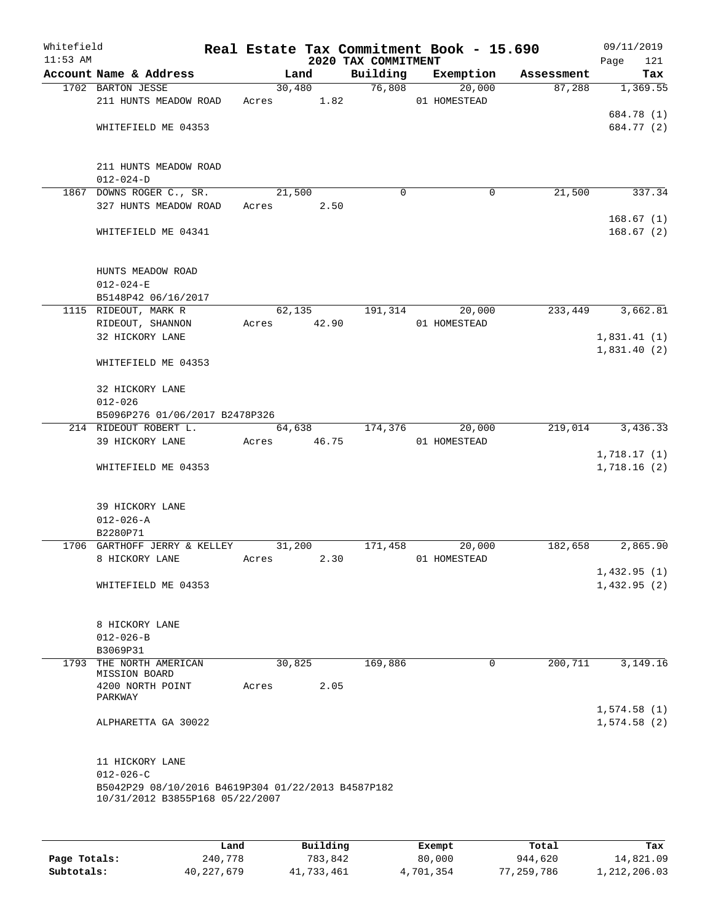| Whitefield<br>$11:53$ AM |                                                                       |       |        |       | 2020 TAX COMMITMENT | Real Estate Tax Commitment Book - 15.690 |            | 09/11/2019<br>Page<br>121 |
|--------------------------|-----------------------------------------------------------------------|-------|--------|-------|---------------------|------------------------------------------|------------|---------------------------|
|                          | Account Name & Address                                                |       | Land   |       | Building            | Exemption                                | Assessment | Tax                       |
|                          | 1702 BARTON JESSE<br>211 HUNTS MEADOW ROAD                            | Acres | 30,480 | 1.82  | 76,808              | 20,000<br>01 HOMESTEAD                   | 87,288     | 1,369.55                  |
|                          | WHITEFIELD ME 04353                                                   |       |        |       |                     |                                          |            | 684.78 (1)<br>684.77 (2)  |
|                          | 211 HUNTS MEADOW ROAD<br>$012 - 024 - D$                              |       |        |       |                     |                                          |            |                           |
|                          | 1867 DOWNS ROGER C., SR.                                              |       | 21,500 |       | $\mathbf 0$         | 0                                        | 21,500     | 337.34                    |
|                          | 327 HUNTS MEADOW ROAD                                                 | Acres |        | 2.50  |                     |                                          |            | 168.67(1)                 |
|                          | WHITEFIELD ME 04341                                                   |       |        |       |                     |                                          |            | 168.67(2)                 |
|                          | HUNTS MEADOW ROAD<br>$012 - 024 - E$                                  |       |        |       |                     |                                          |            |                           |
|                          | B5148P42 06/16/2017                                                   |       |        |       |                     |                                          |            |                           |
|                          | 1115 RIDEOUT, MARK R                                                  |       | 62,135 |       | 191,314             | 20,000                                   | 233,449    | 3,662.81                  |
|                          | RIDEOUT, SHANNON<br>32 HICKORY LANE                                   | Acres |        | 42.90 |                     | 01 HOMESTEAD                             |            | 1,831.41(1)               |
|                          |                                                                       |       |        |       |                     |                                          |            | 1,831.40(2)               |
|                          | WHITEFIELD ME 04353                                                   |       |        |       |                     |                                          |            |                           |
|                          | 32 HICKORY LANE                                                       |       |        |       |                     |                                          |            |                           |
|                          | $012 - 026$                                                           |       |        |       |                     |                                          |            |                           |
|                          | B5096P276 01/06/2017 B2478P326<br>214 RIDEOUT ROBERT L.               |       | 64,638 |       | 174,376             | 20,000                                   | 219,014    | 3,436.33                  |
|                          | 39 HICKORY LANE                                                       | Acres |        | 46.75 |                     | 01 HOMESTEAD                             |            |                           |
|                          |                                                                       |       |        |       |                     |                                          |            | 1,718.17(1)               |
|                          | WHITEFIELD ME 04353                                                   |       |        |       |                     |                                          |            | 1,718.16(2)               |
|                          | 39 HICKORY LANE<br>$012 - 026 - A$                                    |       |        |       |                     |                                          |            |                           |
|                          | B2280P71                                                              |       |        |       |                     |                                          |            |                           |
|                          | 1706 GARTHOFF JERRY & KELLEY                                          |       | 31,200 |       | 171,458             | 20,000                                   | 182,658    | 2,865.90                  |
|                          | 8 HICKORY LANE                                                        | Acres |        | 2.30  |                     | 01 HOMESTEAD                             |            |                           |
|                          |                                                                       |       |        |       |                     |                                          |            | 1,432.95(1)               |
|                          | WHITEFIELD ME 04353                                                   |       |        |       |                     |                                          |            | 1,432.95(2)               |
|                          | 8 HICKORY LANE<br>$012 - 026 - B$                                     |       |        |       |                     |                                          |            |                           |
|                          | B3069P31                                                              |       |        |       |                     |                                          |            |                           |
|                          | 1793 THE NORTH AMERICAN                                               |       | 30,825 |       | 169,886             | 0                                        | 200,711    | 3,149.16                  |
|                          | MISSION BOARD                                                         |       |        |       |                     |                                          |            |                           |
|                          | 4200 NORTH POINT<br>PARKWAY                                           | Acres |        | 2.05  |                     |                                          |            | 1,574.58(1)               |
|                          | ALPHARETTA GA 30022                                                   |       |        |       |                     |                                          |            | 1,574.58(2)               |
|                          | 11 HICKORY LANE                                                       |       |        |       |                     |                                          |            |                           |
|                          | $012 - 026 - C$<br>B5042P29 08/10/2016 B4619P304 01/22/2013 B4587P182 |       |        |       |                     |                                          |            |                           |
|                          | 10/31/2012 B3855P168 05/22/2007                                       |       |        |       |                     |                                          |            |                           |

|              | Land         | Building   | Exempt    | Total      | Tax          |
|--------------|--------------|------------|-----------|------------|--------------|
| Page Totals: | 240,778      | 783,842    | 80,000    | 944,620    | 14,821.09    |
| Subtotals:   | 40, 227, 679 | 41,733,461 | 4,701,354 | 77,259,786 | 1,212,206.03 |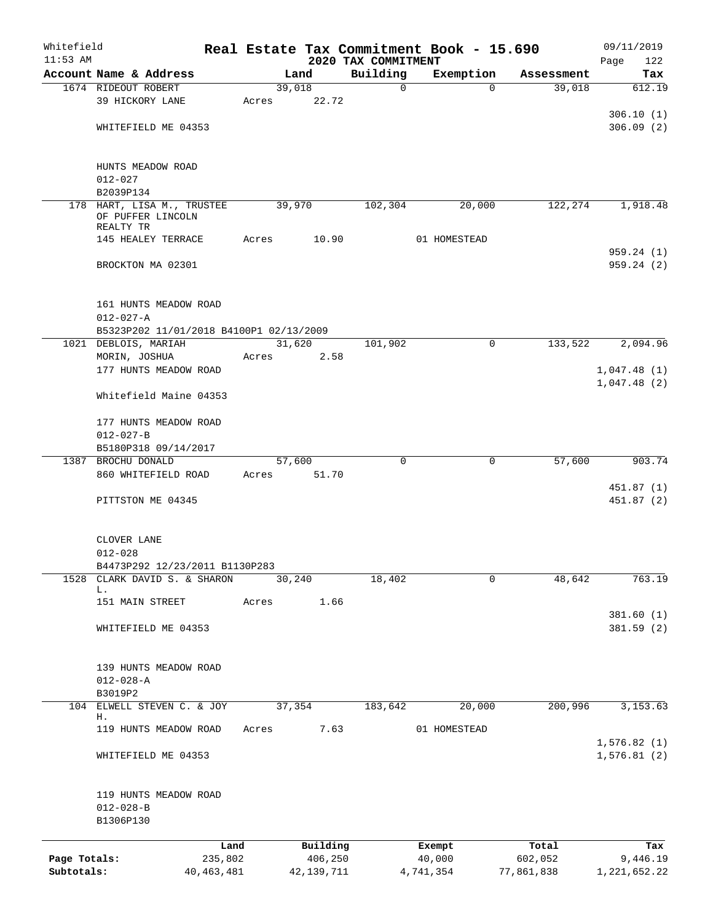| Whitefield<br>$11:53$ AM |                                         |              |       |              |                                 | Real Estate Tax Commitment Book - 15.690 |            | 09/11/2019              |
|--------------------------|-----------------------------------------|--------------|-------|--------------|---------------------------------|------------------------------------------|------------|-------------------------|
|                          | Account Name & Address                  |              |       | Land         | 2020 TAX COMMITMENT<br>Building | Exemption                                | Assessment | Page<br>122<br>Tax      |
|                          | 1674 RIDEOUT ROBERT                     |              |       | 39,018       | $\mathbf 0$                     | $\Omega$                                 | 39,018     | 612.19                  |
|                          | 39 HICKORY LANE                         |              | Acres | 22.72        |                                 |                                          |            |                         |
|                          |                                         |              |       |              |                                 |                                          |            | 306.10(1)               |
|                          | WHITEFIELD ME 04353                     |              |       |              |                                 |                                          |            | 306.09(2)               |
|                          |                                         |              |       |              |                                 |                                          |            |                         |
|                          |                                         |              |       |              |                                 |                                          |            |                         |
|                          | HUNTS MEADOW ROAD                       |              |       |              |                                 |                                          |            |                         |
|                          | $012 - 027$                             |              |       |              |                                 |                                          |            |                         |
|                          | B2039P134<br>178 HART, LISA M., TRUSTEE |              |       | 39,970       | 102,304                         | 20,000                                   | 122,274    | 1,918.48                |
|                          | OF PUFFER LINCOLN<br>REALTY TR          |              |       |              |                                 |                                          |            |                         |
|                          | 145 HEALEY TERRACE                      |              | Acres | 10.90        |                                 | 01 HOMESTEAD                             |            |                         |
|                          |                                         |              |       |              |                                 |                                          |            | 959.24(1)               |
|                          | BROCKTON MA 02301                       |              |       |              |                                 |                                          |            | 959.24(2)               |
|                          | 161 HUNTS MEADOW ROAD                   |              |       |              |                                 |                                          |            |                         |
|                          | $012 - 027 - A$                         |              |       |              |                                 |                                          |            |                         |
|                          | B5323P202 11/01/2018 B4100P1 02/13/2009 |              |       |              |                                 |                                          |            |                         |
|                          | 1021 DEBLOIS, MARIAH                    |              |       | 31,620       | 101,902                         | $\mathbf 0$                              | 133,522    | 2,094.96                |
|                          | MORIN, JOSHUA                           |              | Acres | 2.58         |                                 |                                          |            |                         |
|                          | 177 HUNTS MEADOW ROAD                   |              |       |              |                                 |                                          |            | 1,047.48(1)             |
|                          |                                         |              |       |              |                                 |                                          |            | 1,047.48(2)             |
|                          | Whitefield Maine 04353                  |              |       |              |                                 |                                          |            |                         |
|                          | 177 HUNTS MEADOW ROAD                   |              |       |              |                                 |                                          |            |                         |
|                          | $012 - 027 - B$                         |              |       |              |                                 |                                          |            |                         |
|                          | B5180P318 09/14/2017                    |              |       |              |                                 |                                          |            |                         |
|                          | 1387 BROCHU DONALD                      |              |       | 57,600       | 0                               | $\mathbf 0$                              | 57,600     | 903.74                  |
|                          | 860 WHITEFIELD ROAD                     |              | Acres | 51.70        |                                 |                                          |            |                         |
|                          | PITTSTON ME 04345                       |              |       |              |                                 |                                          |            | 451.87 (1)<br>451.87(2) |
|                          |                                         |              |       |              |                                 |                                          |            |                         |
|                          | CLOVER LANE                             |              |       |              |                                 |                                          |            |                         |
|                          | $012 - 028$                             |              |       |              |                                 |                                          |            |                         |
|                          | B4473P292 12/23/2011 B1130P283          |              |       |              |                                 |                                          |            |                         |
| 1528                     | CLARK DAVID S. & SHARON                 |              |       | 30,240       | 18,402                          | 0                                        | 48,642     | 763.19                  |
|                          | L.<br>151 MAIN STREET                   |              | Acres | 1.66         |                                 |                                          |            |                         |
|                          |                                         |              |       |              |                                 |                                          |            | 381.60 (1)              |
|                          | WHITEFIELD ME 04353                     |              |       |              |                                 |                                          |            | 381.59(2)               |
|                          |                                         |              |       |              |                                 |                                          |            |                         |
|                          |                                         |              |       |              |                                 |                                          |            |                         |
|                          | 139 HUNTS MEADOW ROAD                   |              |       |              |                                 |                                          |            |                         |
|                          | $012 - 028 - A$                         |              |       |              |                                 |                                          |            |                         |
| 104                      | B3019P2<br>ELWELL STEVEN C. & JOY       |              |       | 37,354       | 183,642                         | 20,000                                   | 200,996    | 3, 153.63               |
|                          | Н.                                      |              |       |              |                                 |                                          |            |                         |
|                          | 119 HUNTS MEADOW ROAD                   |              | Acres | 7.63         |                                 | 01 HOMESTEAD                             |            |                         |
|                          |                                         |              |       |              |                                 |                                          |            | 1,576.82(1)             |
|                          | WHITEFIELD ME 04353                     |              |       |              |                                 |                                          |            | 1,576.81(2)             |
|                          | 119 HUNTS MEADOW ROAD                   |              |       |              |                                 |                                          |            |                         |
|                          | $012 - 028 - B$                         |              |       |              |                                 |                                          |            |                         |
|                          | B1306P130                               |              |       |              |                                 |                                          |            |                         |
|                          |                                         | Land         |       | Building     |                                 | Exempt                                   | Total      | Tax                     |
| Page Totals:             |                                         | 235,802      |       | 406,250      |                                 | 40,000                                   | 602,052    | 9,446.19                |
| Subtotals:               |                                         | 40, 463, 481 |       | 42, 139, 711 |                                 | 4,741,354                                | 77,861,838 | 1, 221, 652.22          |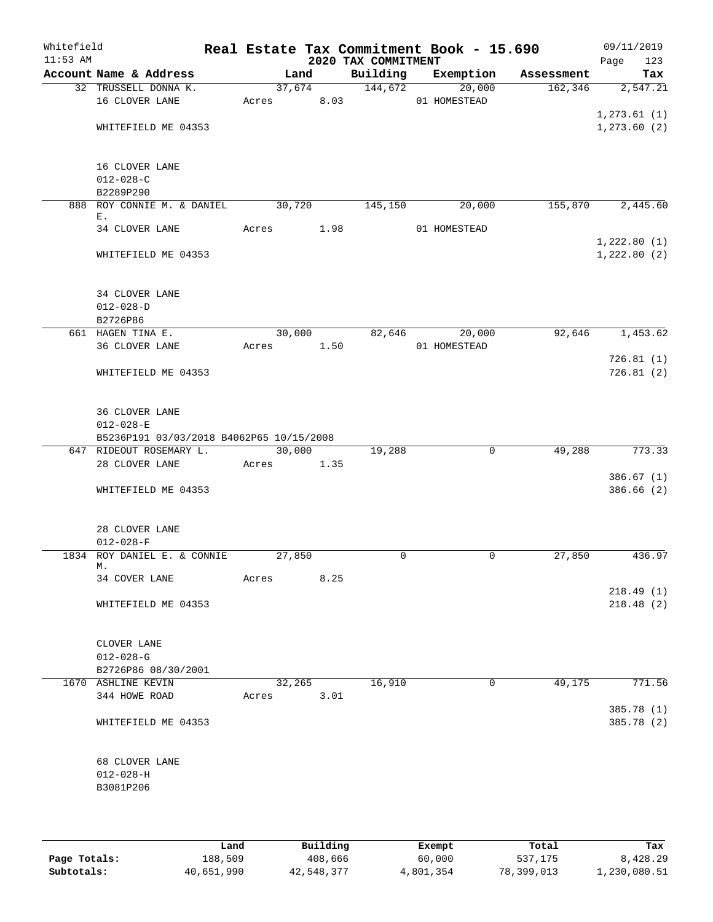| Whitefield<br>$11:53$ AM |                                                                               |       |                      |      | 2020 TAX COMMITMENT | Real Estate Tax Commitment Book - 15.690 |                       | 09/11/2019<br>Page<br>123    |
|--------------------------|-------------------------------------------------------------------------------|-------|----------------------|------|---------------------|------------------------------------------|-----------------------|------------------------------|
|                          | Account Name & Address                                                        |       | Land                 |      | Building            | Exemption                                | Assessment            | Tax                          |
|                          | 32 TRUSSELL DONNA K.<br>16 CLOVER LANE                                        |       | 37,674<br>Acres 8.03 |      | 144,672             | 20,000<br>01 HOMESTEAD                   | 162, 346              | 2,547.21                     |
|                          | WHITEFIELD ME 04353                                                           |       |                      |      |                     |                                          |                       | 1, 273.61(1)<br>1, 273.60(2) |
|                          | 16 CLOVER LANE<br>$012 - 028 - C$<br>B2289P290                                |       |                      |      |                     |                                          |                       |                              |
|                          | 888 ROY CONNIE M. & DANIEL                                                    |       | 30,720               |      | 145,150             | 20,000                                   | 155,870               | 2,445.60                     |
|                          | Ε.<br>34 CLOVER LANE                                                          |       | Acres 1.98           |      |                     | 01 HOMESTEAD                             |                       |                              |
|                          | WHITEFIELD ME 04353                                                           |       |                      |      |                     |                                          |                       | 1,222.80(1)<br>1,222.80(2)   |
|                          | 34 CLOVER LANE<br>$012 - 028 - D$<br>B2726P86                                 |       |                      |      |                     |                                          |                       |                              |
|                          | 661 HAGEN TINA E.                                                             |       | 30,000               |      |                     | 82,646<br>20,000                         | 92,646                | 1,453.62                     |
|                          | 36 CLOVER LANE                                                                |       | Acres 1.50           |      |                     | 01 HOMESTEAD                             |                       |                              |
|                          | WHITEFIELD ME 04353                                                           |       |                      |      |                     |                                          |                       | 726.81(1)<br>726.81(2)       |
|                          | 36 CLOVER LANE<br>$012 - 028 - E$<br>B5236P191 03/03/2018 B4062P65 10/15/2008 |       |                      |      |                     |                                          |                       |                              |
|                          | 647 RIDEOUT ROSEMARY L.                                                       |       | 30,000               |      | 19,288              |                                          | 49,288<br>$\mathbf 0$ | 773.33                       |
|                          | 28 CLOVER LANE                                                                |       | Acres                | 1.35 |                     |                                          |                       |                              |
|                          | WHITEFIELD ME 04353                                                           |       |                      |      |                     |                                          |                       | 386.67(1)<br>386.66(2)       |
|                          | 28 CLOVER LANE<br>$012 - 028 - F$                                             |       |                      |      |                     |                                          |                       |                              |
|                          | 1834 ROY DANIEL E. & CONNIE<br>М.                                             |       | 27,850               |      | $\mathbf 0$         |                                          | 27,850<br>0           | 436.97                       |
|                          | 34 COVER LANE                                                                 | Acres |                      | 8.25 |                     |                                          |                       |                              |
|                          | WHITEFIELD ME 04353                                                           |       |                      |      |                     |                                          |                       | 218.49(1)<br>218.48(2)       |
|                          | CLOVER LANE<br>$012 - 028 - G$                                                |       |                      |      |                     |                                          |                       |                              |
|                          | B2726P86 08/30/2001                                                           |       |                      |      |                     |                                          |                       |                              |
|                          | 1670 ASHLINE KEVIN<br>344 HOWE ROAD                                           |       | 32,265               | 3.01 | 16,910              |                                          | 49,175<br>0           | 771.56                       |
|                          |                                                                               |       | Acres                |      |                     |                                          |                       | 385.78 (1)                   |
|                          | WHITEFIELD ME 04353                                                           |       |                      |      |                     |                                          |                       | 385.78 (2)                   |
|                          | 68 CLOVER LANE                                                                |       |                      |      |                     |                                          |                       |                              |
|                          | $012 - 028 - H$                                                               |       |                      |      |                     |                                          |                       |                              |
|                          | B3081P206                                                                     |       |                      |      |                     |                                          |                       |                              |
|                          |                                                                               |       |                      |      |                     |                                          |                       |                              |
|                          |                                                                               |       |                      |      |                     |                                          |                       |                              |

|              | Land       | Building   | Exempt    | Total      | Tax          |
|--------------|------------|------------|-----------|------------|--------------|
| Page Totals: | 188,509    | 408,666    | 60,000    | 537,175    | 8,428.29     |
| Subtotals:   | 40,651,990 | 42,548,377 | 4,801,354 | 78,399,013 | 1,230,080.51 |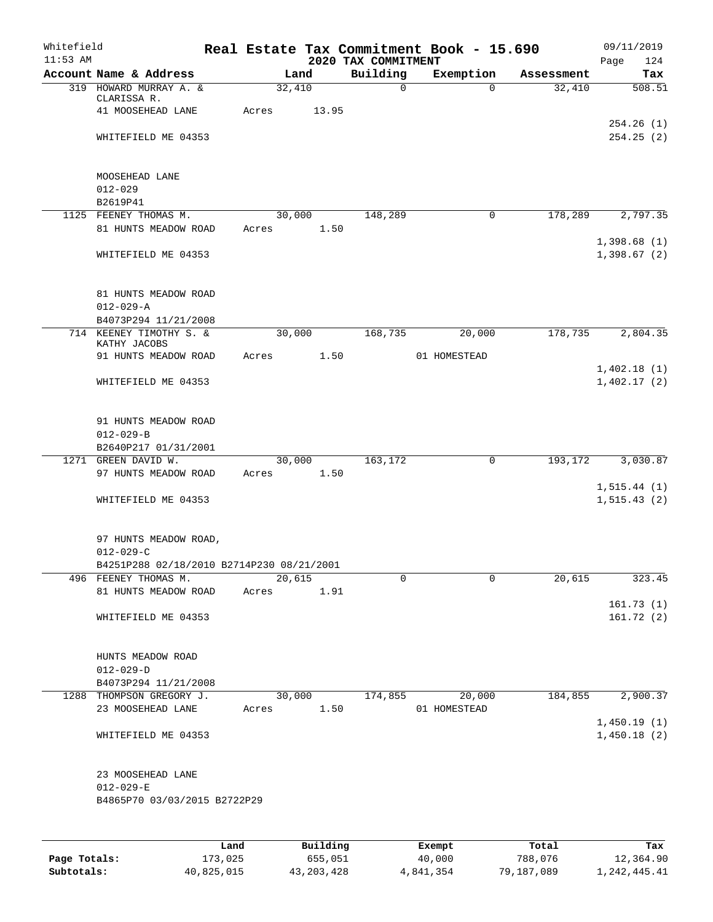| Whitefield |                                                  |       |                |          |                          | Real Estate Tax Commitment Book - 15.690 |                      | 09/11/2019    |
|------------|--------------------------------------------------|-------|----------------|----------|--------------------------|------------------------------------------|----------------------|---------------|
| $11:53$ AM |                                                  |       |                |          | 2020 TAX COMMITMENT      |                                          |                      | Page<br>124   |
|            | Account Name & Address<br>319 HOWARD MURRAY A. & |       | Land<br>32,410 |          | Building<br>$\mathsf{O}$ | Exemption<br>$\Omega$                    | Assessment<br>32,410 | Tax<br>508.51 |
|            | CLARISSA R.                                      |       |                |          |                          |                                          |                      |               |
|            | 41 MOOSEHEAD LANE                                | Acres |                | 13.95    |                          |                                          |                      |               |
|            |                                                  |       |                |          |                          |                                          |                      | 254.26(1)     |
|            | WHITEFIELD ME 04353                              |       |                |          |                          |                                          |                      | 254.25(2)     |
|            |                                                  |       |                |          |                          |                                          |                      |               |
|            | MOOSEHEAD LANE                                   |       |                |          |                          |                                          |                      |               |
|            | $012 - 029$                                      |       |                |          |                          |                                          |                      |               |
|            | B2619P41                                         |       |                |          |                          |                                          |                      |               |
|            | 1125 FEENEY THOMAS M.                            |       | 30,000         |          | 148,289                  | 0                                        | 178,289              | 2,797.35      |
|            | 81 HUNTS MEADOW ROAD                             | Acres |                | 1.50     |                          |                                          |                      |               |
|            |                                                  |       |                |          |                          |                                          |                      | 1,398.68(1)   |
|            | WHITEFIELD ME 04353                              |       |                |          |                          |                                          |                      | 1,398.67(2)   |
|            |                                                  |       |                |          |                          |                                          |                      |               |
|            | 81 HUNTS MEADOW ROAD                             |       |                |          |                          |                                          |                      |               |
|            | $012 - 029 - A$                                  |       |                |          |                          |                                          |                      |               |
|            | B4073P294 11/21/2008                             |       |                |          |                          |                                          |                      |               |
|            | 714 KEENEY TIMOTHY S. &                          |       | 30,000         |          | 168,735                  | 20,000                                   | 178,735              | 2,804.35      |
|            | KATHY JACOBS                                     |       |                |          |                          |                                          |                      |               |
|            | 91 HUNTS MEADOW ROAD                             | Acres |                | 1.50     |                          | 01 HOMESTEAD                             |                      |               |
|            |                                                  |       |                |          |                          |                                          |                      | 1,402.18(1)   |
|            | WHITEFIELD ME 04353                              |       |                |          |                          |                                          |                      | 1,402.17(2)   |
|            |                                                  |       |                |          |                          |                                          |                      |               |
|            | 91 HUNTS MEADOW ROAD                             |       |                |          |                          |                                          |                      |               |
|            | $012 - 029 - B$                                  |       |                |          |                          |                                          |                      |               |
|            | B2640P217 01/31/2001                             |       |                |          |                          |                                          |                      |               |
|            | 1271 GREEN DAVID W.                              |       |                | 30,000   | 163,172                  | $\mathbf 0$                              | 193,172              | 3,030.87      |
|            | 97 HUNTS MEADOW ROAD                             | Acres |                | 1.50     |                          |                                          |                      |               |
|            |                                                  |       |                |          |                          |                                          |                      | 1, 515.44(1)  |
|            | WHITEFIELD ME 04353                              |       |                |          |                          |                                          |                      | 1, 515.43(2)  |
|            |                                                  |       |                |          |                          |                                          |                      |               |
|            | 97 HUNTS MEADOW ROAD,                            |       |                |          |                          |                                          |                      |               |
|            | $012 - 029 - C$                                  |       |                |          |                          |                                          |                      |               |
|            | B4251P288 02/18/2010 B2714P230 08/21/2001        |       |                |          |                          |                                          |                      |               |
|            | 496 FEENEY THOMAS M.                             |       | 20,615         |          | 0                        | $\Omega$                                 | 20,615               | 323.45        |
|            | 81 HUNTS MEADOW ROAD                             | Acres |                | 1.91     |                          |                                          |                      |               |
|            |                                                  |       |                |          |                          |                                          |                      | 161.73(1)     |
|            | WHITEFIELD ME 04353                              |       |                |          |                          |                                          |                      | 161.72(2)     |
|            |                                                  |       |                |          |                          |                                          |                      |               |
|            |                                                  |       |                |          |                          |                                          |                      |               |
|            | HUNTS MEADOW ROAD                                |       |                |          |                          |                                          |                      |               |
|            | $012 - 029 - D$                                  |       |                |          |                          |                                          |                      |               |
|            | B4073P294 11/21/2008                             |       |                |          |                          |                                          |                      |               |
|            | 1288 THOMPSON GREGORY J.<br>23 MOOSEHEAD LANE    | Acres | 30,000         | 1.50     | 174,855                  | 20,000<br>01 HOMESTEAD                   | 184,855              | 2,900.37      |
|            |                                                  |       |                |          |                          |                                          |                      | 1,450.19(1)   |
|            | WHITEFIELD ME 04353                              |       |                |          |                          |                                          |                      | 1,450.18(2)   |
|            |                                                  |       |                |          |                          |                                          |                      |               |
|            |                                                  |       |                |          |                          |                                          |                      |               |
|            | 23 MOOSEHEAD LANE                                |       |                |          |                          |                                          |                      |               |
|            | $012 - 029 - E$                                  |       |                |          |                          |                                          |                      |               |
|            | B4865P70 03/03/2015 B2722P29                     |       |                |          |                          |                                          |                      |               |
|            |                                                  |       |                |          |                          |                                          |                      |               |
|            |                                                  |       |                |          |                          |                                          |                      |               |
|            |                                                  | Land  |                | Building |                          | Exempt                                   | Total                | Tax           |

|              | Land       | Building     | Exempt    | Total      | тах          |
|--------------|------------|--------------|-----------|------------|--------------|
| Page Totals: | 173,025    | 655,051      | 40,000    | 788,076    | 12,364.90    |
| Subtotals:   | 40,825,015 | 43, 203, 428 | 4,841,354 | 79,187,089 | 1,242,445.41 |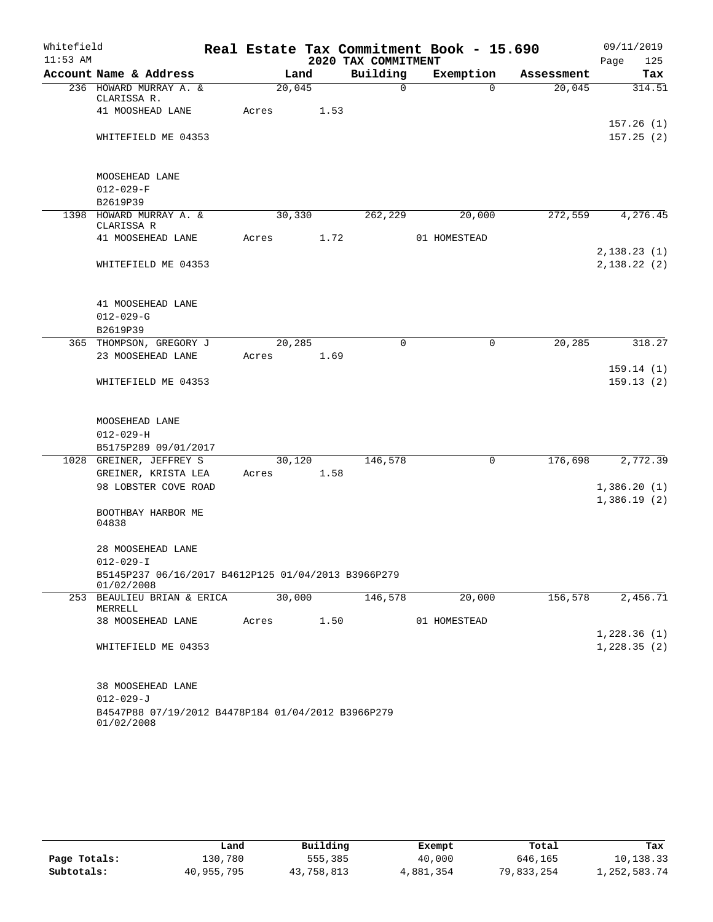| Whitefield |                                                                   |        |        |                     | Real Estate Tax Commitment Book - 15.690 |            | 09/11/2019                 |
|------------|-------------------------------------------------------------------|--------|--------|---------------------|------------------------------------------|------------|----------------------------|
| $11:53$ AM |                                                                   |        |        | 2020 TAX COMMITMENT |                                          |            | Page<br>125                |
|            | Account Name & Address                                            |        | Land   | Building            | Exemption                                | Assessment | Tax                        |
|            | 236 HOWARD MURRAY A. &<br>CLARISSA R.                             | 20,045 |        | $\mathbf 0$         | $\Omega$                                 | 20,045     | 314.51                     |
|            | 41 MOOSHEAD LANE                                                  | Acres  | 1.53   |                     |                                          |            |                            |
|            |                                                                   |        |        |                     |                                          |            | 157.26(1)                  |
|            | WHITEFIELD ME 04353                                               |        |        |                     |                                          |            | 157.25(2)                  |
|            |                                                                   |        |        |                     |                                          |            |                            |
|            | MOOSEHEAD LANE                                                    |        |        |                     |                                          |            |                            |
|            | $012 - 029 - F$                                                   |        |        |                     |                                          |            |                            |
|            | B2619P39                                                          |        |        |                     |                                          |            |                            |
|            | 1398 HOWARD MURRAY A. &<br>CLARISSA R                             | 30,330 |        | 262,229             | 20,000                                   | 272,559    | 4,276.45                   |
|            | 41 MOOSEHEAD LANE                                                 | Acres  | 1.72   |                     | 01 HOMESTEAD                             |            |                            |
|            |                                                                   |        |        |                     |                                          |            | 2,138.23(1)                |
|            | WHITEFIELD ME 04353                                               |        |        |                     |                                          |            | 2,138.22(2)                |
|            |                                                                   |        |        |                     |                                          |            |                            |
|            |                                                                   |        |        |                     |                                          |            |                            |
|            | 41 MOOSEHEAD LANE                                                 |        |        |                     |                                          |            |                            |
|            | $012 - 029 - G$<br>B2619P39                                       |        |        |                     |                                          |            |                            |
|            | 365 THOMPSON, GREGORY J                                           | 20,285 |        | $\Omega$            | 0                                        | 20,285     | 318.27                     |
|            | 23 MOOSEHEAD LANE                                                 | Acres  | 1.69   |                     |                                          |            |                            |
|            |                                                                   |        |        |                     |                                          |            | 159.14(1)                  |
|            | WHITEFIELD ME 04353                                               |        |        |                     |                                          |            | 159.13(2)                  |
|            |                                                                   |        |        |                     |                                          |            |                            |
|            |                                                                   |        |        |                     |                                          |            |                            |
|            | MOOSEHEAD LANE                                                    |        |        |                     |                                          |            |                            |
|            | $012 - 029 - H$                                                   |        |        |                     |                                          |            |                            |
|            | B5175P289 09/01/2017                                              |        |        |                     |                                          |            |                            |
|            | 1028 GREINER, JEFFREY S                                           |        | 30,120 | 146,578             | $\mathsf{O}$                             | 176,698    | 2,772.39                   |
|            | GREINER, KRISTA LEA                                               | Acres  | 1.58   |                     |                                          |            |                            |
|            | 98 LOBSTER COVE ROAD                                              |        |        |                     |                                          |            | 1,386.20(1)<br>1,386.19(2) |
|            | BOOTHBAY HARBOR ME                                                |        |        |                     |                                          |            |                            |
|            | 04838                                                             |        |        |                     |                                          |            |                            |
|            |                                                                   |        |        |                     |                                          |            |                            |
|            | 28 MOOSEHEAD LANE                                                 |        |        |                     |                                          |            |                            |
|            | $012 - 029 - I$                                                   |        |        |                     |                                          |            |                            |
|            | B5145P237 06/16/2017 B4612P125 01/04/2013 B3966P279<br>01/02/2008 |        |        |                     |                                          |            |                            |
|            | 253 BEAULIEU BRIAN & ERICA                                        | 30,000 |        | 146,578             | 20,000                                   | 156,578    | 2,456.71                   |
|            | MERRELL<br>38 MOOSEHEAD LANE                                      | Acres  | 1.50   |                     | 01 HOMESTEAD                             |            |                            |
|            |                                                                   |        |        |                     |                                          |            | 1,228.36(1)                |
|            | WHITEFIELD ME 04353                                               |        |        |                     |                                          |            | 1,228.35(2)                |
|            |                                                                   |        |        |                     |                                          |            |                            |
|            | 38 MOOSEHEAD LANE                                                 |        |        |                     |                                          |            |                            |
|            | $012 - 029 - J$                                                   |        |        |                     |                                          |            |                            |
|            | B4547P88 07/19/2012 B4478P184 01/04/2012 B3966P279                |        |        |                     |                                          |            |                            |
|            | 01/02/2008                                                        |        |        |                     |                                          |            |                            |

|              | Land       | Building   | Exempt    | Total      | Tax          |
|--------------|------------|------------|-----------|------------|--------------|
| Page Totals: | 130.780    | 555,385    | 40,000    | 646,165    | 10,138.33    |
| Subtotals:   | 40,955,795 | 43,758,813 | 4,881,354 | 79,833,254 | 1,252,583.74 |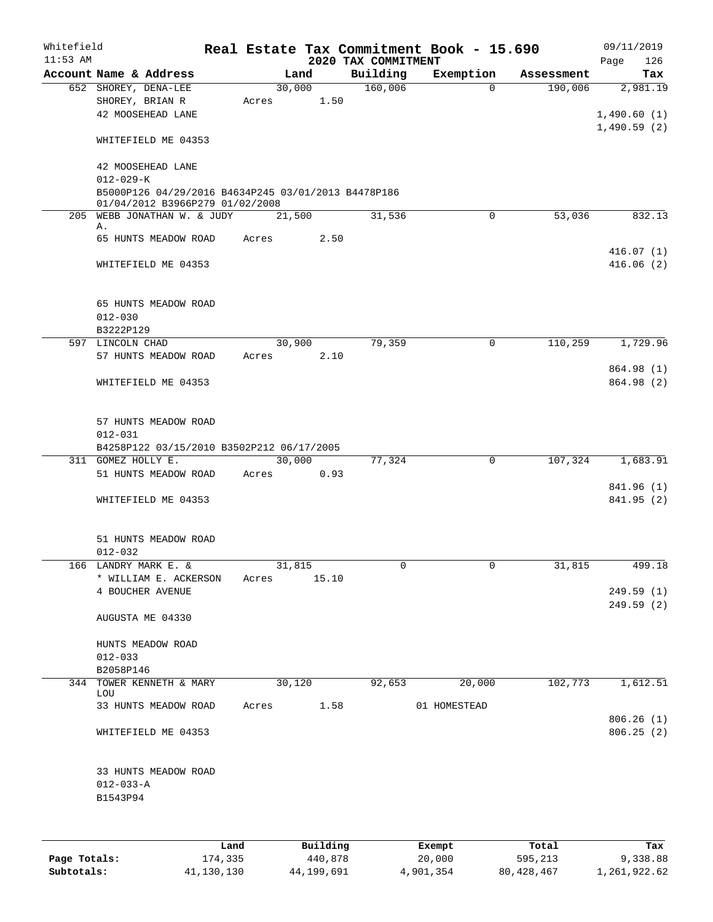| $11:53$ AM | Whitefield                                                                             |      |       |                | 2020 TAX COMMITMENT | Real Estate Tax Commitment Book - 15.690 |            | 09/11/2019<br>126<br>Page |
|------------|----------------------------------------------------------------------------------------|------|-------|----------------|---------------------|------------------------------------------|------------|---------------------------|
|            | Account Name & Address                                                                 |      |       | Land           | Building            | Exemption                                | Assessment | Tax                       |
|            | 652 SHOREY, DENA-LEE<br>SHOREY, BRIAN R<br>42 MOOSEHEAD LANE                           |      | Acres | 30,000<br>1.50 | 160,006             | $\Omega$                                 | 190,006    | 2,981.19<br>1,490.60(1)   |
|            | WHITEFIELD ME 04353                                                                    |      |       |                |                     |                                          |            | 1,490.59(2)               |
|            | 42 MOOSEHEAD LANE<br>$012 - 029 - K$                                                   |      |       |                |                     |                                          |            |                           |
|            | B5000P126 04/29/2016 B4634P245 03/01/2013 B4478P186<br>01/04/2012 B3966P279 01/02/2008 |      |       |                |                     |                                          |            |                           |
|            | 205 WEBB JONATHAN W. & JUDY<br>Α.                                                      |      |       | 21,500         | 31,536              | 0                                        | 53,036     | 832.13                    |
|            | 65 HUNTS MEADOW ROAD                                                                   |      | Acres | 2.50           |                     |                                          |            | 416.07(1)                 |
|            | WHITEFIELD ME 04353                                                                    |      |       |                |                     |                                          |            | 416.06(2)                 |
|            | 65 HUNTS MEADOW ROAD<br>$012 - 030$                                                    |      |       |                |                     |                                          |            |                           |
|            | B3222P129                                                                              |      |       |                |                     |                                          |            |                           |
|            | 597 LINCOLN CHAD<br>57 HUNTS MEADOW ROAD                                               |      | Acres | 30,900<br>2.10 | 79,359              | $\mathbf 0$                              | 110,259    | 1,729.96                  |
|            | WHITEFIELD ME 04353                                                                    |      |       |                |                     |                                          |            | 864.98 (1)<br>864.98 (2)  |
|            | 57 HUNTS MEADOW ROAD<br>$012 - 031$<br>B4258P122 03/15/2010 B3502P212 06/17/2005       |      |       |                |                     |                                          |            |                           |
|            | 311 GOMEZ HOLLY E.                                                                     |      |       | 30,000         | 77,324              | $\mathbf 0$                              | 107,324    | 1,683.91                  |
|            | 51 HUNTS MEADOW ROAD                                                                   |      | Acres | 0.93           |                     |                                          |            |                           |
|            | WHITEFIELD ME 04353                                                                    |      |       |                |                     |                                          |            | 841.96 (1)<br>841.95 (2)  |
|            | 51 HUNTS MEADOW ROAD<br>$012 - 032$                                                    |      |       |                |                     |                                          |            |                           |
|            | 166 LANDRY MARK E. &                                                                   |      |       | 31,815         |                     |                                          | 31,815     | 499.18                    |
|            | * WILLIAM E. ACKERSON<br>4 BOUCHER AVENUE                                              |      | Acres | 15.10          |                     |                                          |            | 249.59(1)<br>249.59(2)    |
|            | AUGUSTA ME 04330                                                                       |      |       |                |                     |                                          |            |                           |
|            | HUNTS MEADOW ROAD<br>$012 - 033$<br>B2058P146                                          |      |       |                |                     |                                          |            |                           |
|            | 344 TOWER KENNETH & MARY                                                               |      |       | 30,120         | 92,653              | 20,000                                   | 102,773    | 1,612.51                  |
|            | LOU<br>33 HUNTS MEADOW ROAD                                                            |      | Acres | 1.58           |                     | 01 HOMESTEAD                             |            |                           |
|            | WHITEFIELD ME 04353                                                                    |      |       |                |                     |                                          |            | 806.26(1)<br>806.25(2)    |
|            | 33 HUNTS MEADOW ROAD<br>$012 - 033 - A$<br>B1543P94                                    |      |       |                |                     |                                          |            |                           |
|            |                                                                                        | Land |       | Building       |                     | Exempt                                   | Total      | Tax                       |

|              | Land       | Building   | Exempt    | Total      | Tax          |
|--------------|------------|------------|-----------|------------|--------------|
| Page Totals: | 174,335    | 440,878    | 20,000    | 595,213    | 9,338.88     |
| Subtotals:   | 41,130,130 | 44,199,691 | 4,901,354 | 80,428,467 | 1,261,922.62 |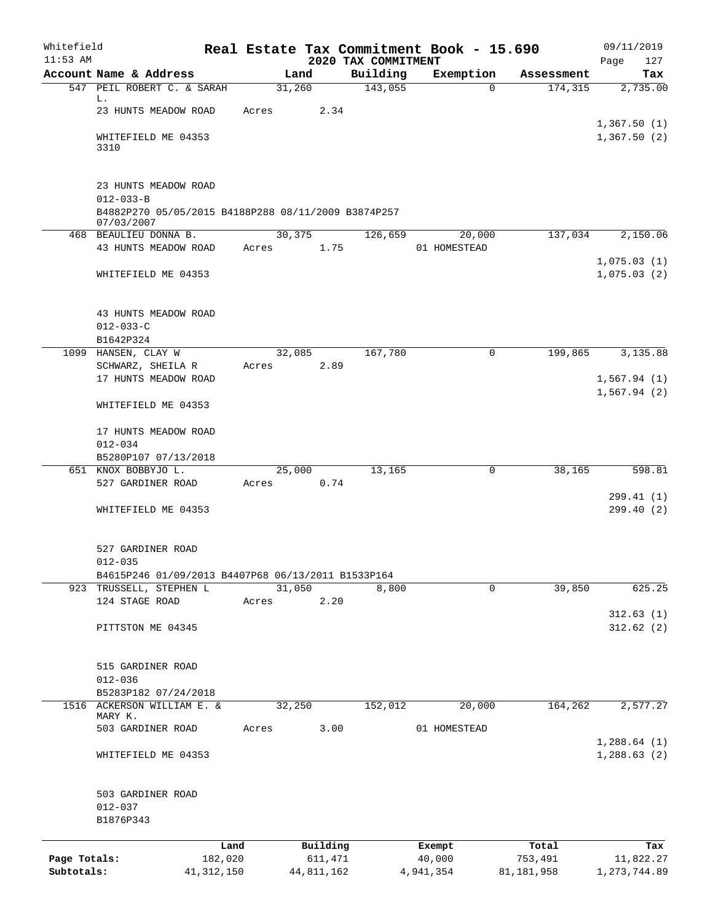| Whitefield<br>$11:53$ AM   |                                                                   |       |                       |                                 | Real Estate Tax Commitment Book - 15.690 |                       | 09/11/2019                  |
|----------------------------|-------------------------------------------------------------------|-------|-----------------------|---------------------------------|------------------------------------------|-----------------------|-----------------------------|
|                            | Account Name & Address                                            |       | Land                  | 2020 TAX COMMITMENT<br>Building | Exemption                                | Assessment            | Page<br>127<br>Tax          |
|                            | 547 PEIL ROBERT C. & SARAH                                        |       | 31,260                | 143,055                         | $\Omega$                                 | 174,315               | 2,735.00                    |
|                            | L.                                                                |       |                       |                                 |                                          |                       |                             |
|                            | 23 HUNTS MEADOW ROAD                                              | Acres | 2.34                  |                                 |                                          |                       | 1,367.50(1)                 |
|                            | WHITEFIELD ME 04353<br>3310                                       |       |                       |                                 |                                          |                       | 1,367.50(2)                 |
|                            |                                                                   |       |                       |                                 |                                          |                       |                             |
|                            | 23 HUNTS MEADOW ROAD<br>$012 - 033 - B$                           |       |                       |                                 |                                          |                       |                             |
|                            | B4882P270 05/05/2015 B4188P288 08/11/2009 B3874P257<br>07/03/2007 |       |                       |                                 |                                          |                       |                             |
|                            | 468 BEAULIEU DONNA B.                                             |       | 30,375                | 126,659                         | 20,000                                   | 137,034               | 2,150.06                    |
|                            | 43 HUNTS MEADOW ROAD                                              | Acres | 1.75                  |                                 | 01 HOMESTEAD                             |                       |                             |
|                            | WHITEFIELD ME 04353                                               |       |                       |                                 |                                          |                       | 1,075.03(1)<br>1,075.03(2)  |
|                            | 43 HUNTS MEADOW ROAD                                              |       |                       |                                 |                                          |                       |                             |
|                            | $012 - 033 - C$                                                   |       |                       |                                 |                                          |                       |                             |
|                            | B1642P324                                                         |       |                       |                                 |                                          |                       |                             |
|                            | 1099 HANSEN, CLAY W                                               |       | 32,085                | 167,780                         | 0                                        | 199,865               | 3,135.88                    |
|                            | SCHWARZ, SHEILA R<br>17 HUNTS MEADOW ROAD                         | Acres | 2.89                  |                                 |                                          |                       | 1,567.94(1)                 |
|                            |                                                                   |       |                       |                                 |                                          |                       | 1,567.94(2)                 |
|                            | WHITEFIELD ME 04353                                               |       |                       |                                 |                                          |                       |                             |
|                            | 17 HUNTS MEADOW ROAD                                              |       |                       |                                 |                                          |                       |                             |
|                            | $012 - 034$                                                       |       |                       |                                 |                                          |                       |                             |
|                            | B5280P107 07/13/2018                                              |       |                       |                                 |                                          |                       |                             |
|                            | 651 KNOX BOBBYJO L.                                               |       | 25,000                | 13,165                          | 0                                        | 38,165                | 598.81                      |
|                            | 527 GARDINER ROAD                                                 | Acres | 0.74                  |                                 |                                          |                       |                             |
|                            | WHITEFIELD ME 04353                                               |       |                       |                                 |                                          |                       | 299.41 (1)<br>299.40(2)     |
|                            | 527 GARDINER ROAD                                                 |       |                       |                                 |                                          |                       |                             |
|                            | $012 - 035$                                                       |       |                       |                                 |                                          |                       |                             |
|                            | B4615P246 01/09/2013 B4407P68 06/13/2011 B1533P164                |       |                       |                                 |                                          |                       |                             |
|                            | 923 TRUSSELL, STEPHEN L                                           |       | 31,050                | 8,800                           | 0                                        | 39,850                | 625.25                      |
|                            | 124 STAGE ROAD                                                    | Acres | 2.20                  |                                 |                                          |                       | 312.63(1)                   |
|                            | PITTSTON ME 04345                                                 |       |                       |                                 |                                          |                       | 312.62(2)                   |
|                            | 515 GARDINER ROAD                                                 |       |                       |                                 |                                          |                       |                             |
|                            | $012 - 036$                                                       |       |                       |                                 |                                          |                       |                             |
|                            | B5283P182 07/24/2018                                              |       |                       |                                 |                                          |                       |                             |
|                            | 1516 ACKERSON WILLIAM E. &<br>MARY K.                             |       | 32,250                | 152,012                         | 20,000                                   | 164,262               | 2,577.27                    |
|                            | 503 GARDINER ROAD                                                 | Acres | 3.00                  |                                 | 01 HOMESTEAD                             |                       |                             |
|                            | WHITEFIELD ME 04353                                               |       |                       |                                 |                                          |                       | 1,288.64(1)<br>1,288.63(2)  |
|                            | 503 GARDINER ROAD                                                 |       |                       |                                 |                                          |                       |                             |
|                            | $012 - 037$                                                       |       |                       |                                 |                                          |                       |                             |
|                            | B1876P343                                                         |       |                       |                                 |                                          |                       |                             |
|                            | Land                                                              |       | Building              |                                 | Exempt                                   | Total                 | Tax                         |
| Page Totals:<br>Subtotals: | 182,020<br>41, 312, 150                                           |       | 611,471<br>44,811,162 |                                 | 40,000<br>4,941,354                      | 753,491<br>81,181,958 | 11,822.27<br>1, 273, 744.89 |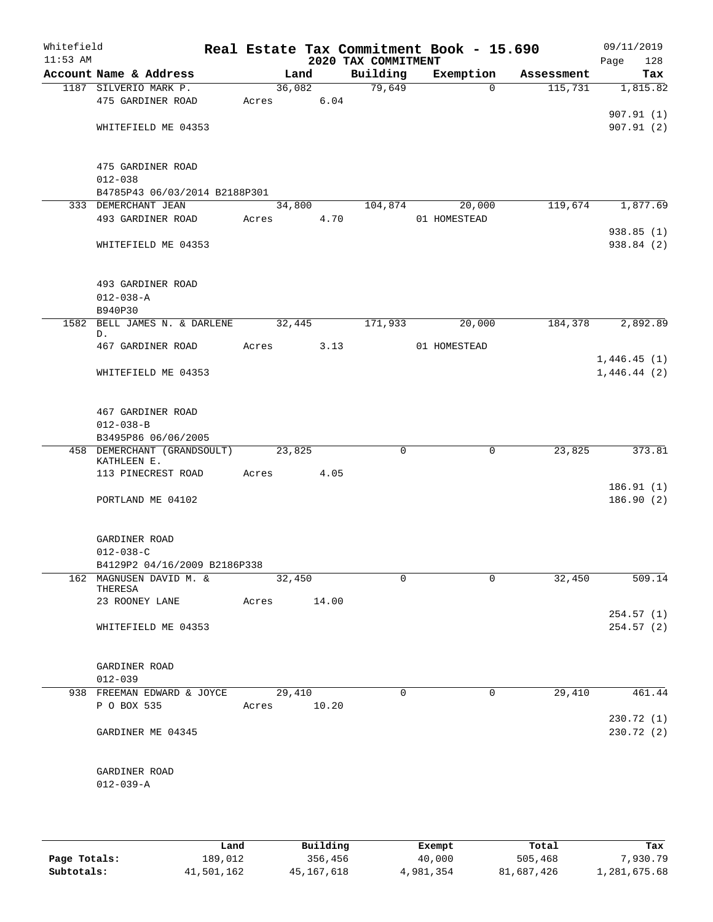| Whitefield<br>$11:53$ AM |                                                    |       |             | 2020 TAX COMMITMENT | Real Estate Tax Commitment Book - 15.690 |            | 09/11/2019<br>Page<br>128 |
|--------------------------|----------------------------------------------------|-------|-------------|---------------------|------------------------------------------|------------|---------------------------|
|                          | Account Name & Address                             |       | Land        | Building            | Exemption                                | Assessment | Tax                       |
|                          | 1187 SILVERIO MARK P.                              |       | 36,082      | 79,649              | $\mathbf 0$                              | 115,731    | 1,815.82                  |
|                          | 475 GARDINER ROAD                                  | Acres | 6.04        |                     |                                          |            |                           |
|                          |                                                    |       |             |                     |                                          |            | 907.91(1)                 |
|                          | WHITEFIELD ME 04353                                |       |             |                     |                                          |            | 907.91 (2)                |
|                          |                                                    |       |             |                     |                                          |            |                           |
|                          |                                                    |       |             |                     |                                          |            |                           |
|                          | 475 GARDINER ROAD<br>$012 - 038$                   |       |             |                     |                                          |            |                           |
|                          | B4785P43 06/03/2014 B2188P301                      |       |             |                     |                                          |            |                           |
|                          | 333 DEMERCHANT JEAN                                |       | 34,800      | 104,874             | 20,000                                   | 119,674    | 1,877.69                  |
|                          | 493 GARDINER ROAD                                  | Acres | 4.70        |                     | 01 HOMESTEAD                             |            |                           |
|                          |                                                    |       |             |                     |                                          |            | 938.85 (1)                |
|                          | WHITEFIELD ME 04353                                |       |             |                     |                                          |            | 938.84 (2)                |
|                          |                                                    |       |             |                     |                                          |            |                           |
|                          |                                                    |       |             |                     |                                          |            |                           |
|                          | 493 GARDINER ROAD                                  |       |             |                     |                                          |            |                           |
|                          | $012 - 038 - A$                                    |       |             |                     |                                          |            |                           |
|                          | B940P30                                            |       |             |                     |                                          |            |                           |
| 1582                     | BELL JAMES N. & DARLENE<br>D.                      |       | 32,445      | 171,933             | 20,000                                   | 184,378    | 2,892.89                  |
|                          | 467 GARDINER ROAD                                  | Acres | 3.13        |                     | 01 HOMESTEAD                             |            |                           |
|                          |                                                    |       |             |                     |                                          |            | 1,446.45(1)               |
|                          | WHITEFIELD ME 04353                                |       |             |                     |                                          |            | 1,446.44(2)               |
|                          |                                                    |       |             |                     |                                          |            |                           |
|                          |                                                    |       |             |                     |                                          |            |                           |
|                          | 467 GARDINER ROAD                                  |       |             |                     |                                          |            |                           |
|                          | $012 - 038 - B$                                    |       |             |                     |                                          |            |                           |
|                          | B3495P86 06/06/2005<br>458 DEMERCHANT (GRANDSOULT) |       | 23,825      | 0                   | 0                                        | 23,825     | 373.81                    |
|                          | KATHLEEN E.                                        |       |             |                     |                                          |            |                           |
|                          | 113 PINECREST ROAD                                 | Acres | 4.05        |                     |                                          |            |                           |
|                          |                                                    |       |             |                     |                                          |            | 186.91(1)                 |
|                          | PORTLAND ME 04102                                  |       |             |                     |                                          |            | 186.90(2)                 |
|                          |                                                    |       |             |                     |                                          |            |                           |
|                          |                                                    |       |             |                     |                                          |            |                           |
|                          | GARDINER ROAD<br>$012 - 038 - C$                   |       |             |                     |                                          |            |                           |
|                          | B4129P2 04/16/2009 B2186P338                       |       |             |                     |                                          |            |                           |
|                          | 162 MAGNUSEN DAVID M. &                            |       | 32,450      | 0                   | 0                                        | 32,450     | 509.14                    |
|                          | THERESA                                            |       |             |                     |                                          |            |                           |
|                          | 23 ROONEY LANE                                     |       | Acres 14.00 |                     |                                          |            |                           |
|                          |                                                    |       |             |                     |                                          |            | 254.57(1)                 |
|                          | WHITEFIELD ME 04353                                |       |             |                     |                                          |            | 254.57(2)                 |
|                          |                                                    |       |             |                     |                                          |            |                           |
|                          | GARDINER ROAD                                      |       |             |                     |                                          |            |                           |
|                          | $012 - 039$                                        |       |             |                     |                                          |            |                           |
|                          | 938 FREEMAN EDWARD & JOYCE                         |       | 29,410      | 0                   | 0                                        | 29,410     | 461.44                    |
|                          | P O BOX 535                                        | Acres | 10.20       |                     |                                          |            |                           |
|                          |                                                    |       |             |                     |                                          |            | 230.72 (1)                |
|                          | GARDINER ME 04345                                  |       |             |                     |                                          |            | 230.72 (2)                |
|                          |                                                    |       |             |                     |                                          |            |                           |
|                          |                                                    |       |             |                     |                                          |            |                           |
|                          | GARDINER ROAD                                      |       |             |                     |                                          |            |                           |
|                          | $012 - 039 - A$                                    |       |             |                     |                                          |            |                           |
|                          |                                                    |       |             |                     |                                          |            |                           |
|                          |                                                    |       |             |                     |                                          |            |                           |
|                          |                                                    |       |             |                     |                                          |            |                           |

|              | Land       | Building   | Exempt    | Total      | Tax          |
|--------------|------------|------------|-----------|------------|--------------|
| Page Totals: | 189,012    | 356,456    | 40,000    | 505,468    | 7,930.79     |
| Subtotals:   | 41,501,162 | 45,167,618 | 4,981,354 | 81,687,426 | 1,281,675.68 |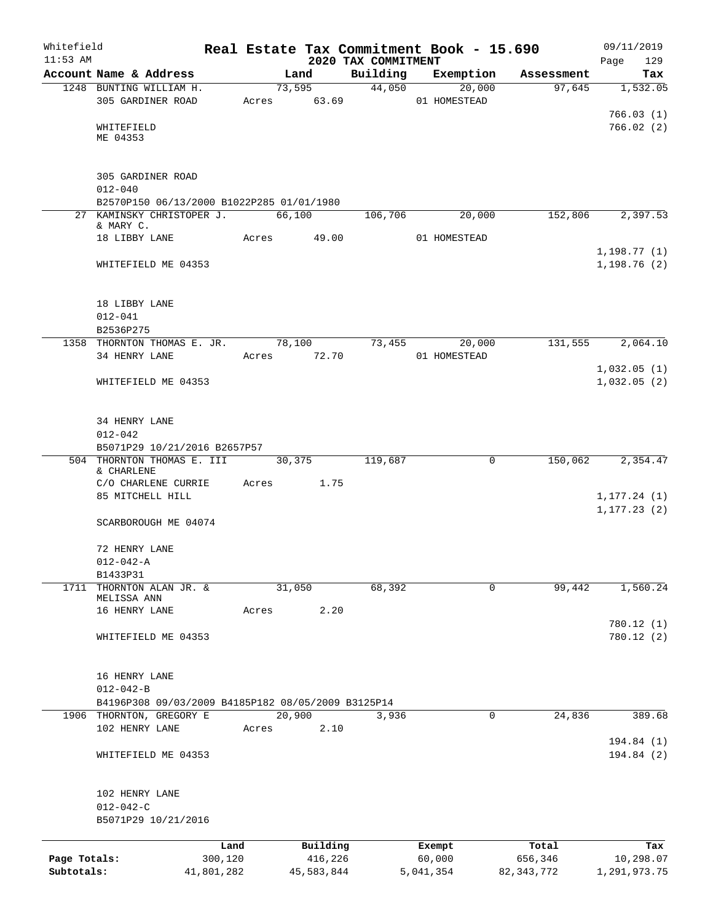| Whitefield<br>$11:53$ AM |                                                                       |            |        |             | 2020 TAX COMMITMENT | Real Estate Tax Commitment Book - 15.690 |              | 09/11/2019                   |
|--------------------------|-----------------------------------------------------------------------|------------|--------|-------------|---------------------|------------------------------------------|--------------|------------------------------|
|                          | Account Name & Address                                                |            | Land   |             | Building            | Exemption                                | Assessment   | Page<br>129<br>Tax           |
|                          | 1248 BUNTING WILLIAM H.                                               |            |        | 73,595      | 44,050              | 20,000                                   | 97,645       | 1,532.05                     |
|                          | 305 GARDINER ROAD                                                     |            |        | Acres 63.69 |                     | 01 HOMESTEAD                             |              |                              |
|                          |                                                                       |            |        |             |                     |                                          |              | 766.03(1)                    |
|                          | WHITEFIELD                                                            |            |        |             |                     |                                          |              | 766.02(2)                    |
|                          | ME 04353                                                              |            |        |             |                     |                                          |              |                              |
|                          |                                                                       |            |        |             |                     |                                          |              |                              |
|                          | 305 GARDINER ROAD                                                     |            |        |             |                     |                                          |              |                              |
|                          | $012 - 040$<br>B2570P150 06/13/2000 B1022P285 01/01/1980              |            |        |             |                     |                                          |              |                              |
|                          | 27 KAMINSKY CHRISTOPER J.                                             |            | 66,100 |             | 106,706             | 20,000                                   | 152,806      | 2,397.53                     |
|                          | & MARY C.                                                             |            |        |             |                     |                                          |              |                              |
|                          | 18 LIBBY LANE                                                         |            | Acres  | 49.00       |                     | 01 HOMESTEAD                             |              |                              |
|                          |                                                                       |            |        |             |                     |                                          |              | 1, 198.77(1)                 |
|                          | WHITEFIELD ME 04353                                                   |            |        |             |                     |                                          |              | 1,198.76(2)                  |
|                          |                                                                       |            |        |             |                     |                                          |              |                              |
|                          | 18 LIBBY LANE<br>$012 - 041$                                          |            |        |             |                     |                                          |              |                              |
|                          | B2536P275                                                             |            |        |             |                     |                                          |              |                              |
|                          | 1358 THORNTON THOMAS E. JR.                                           |            |        | 78,100      | 73,455              | 20,000                                   | 131,555      | 2,064.10                     |
|                          | 34 HENRY LANE                                                         |            |        | Acres 72.70 |                     | 01 HOMESTEAD                             |              |                              |
|                          |                                                                       |            |        |             |                     |                                          |              | 1,032.05(1)                  |
|                          | WHITEFIELD ME 04353                                                   |            |        |             |                     |                                          |              | 1,032.05(2)                  |
|                          |                                                                       |            |        |             |                     |                                          |              |                              |
|                          | 34 HENRY LANE<br>$012 - 042$                                          |            |        |             |                     |                                          |              |                              |
|                          | B5071P29 10/21/2016 B2657P57                                          |            |        |             |                     |                                          |              |                              |
|                          | 504 THORNTON THOMAS E. III                                            |            |        | 30,375      | 119,687             | 0                                        | 150,062      | 2,354.47                     |
|                          | & CHARLENE                                                            |            |        |             |                     |                                          |              |                              |
|                          | C/O CHARLENE CURRIE                                                   | Acres      |        | 1.75        |                     |                                          |              |                              |
|                          | 85 MITCHELL HILL                                                      |            |        |             |                     |                                          |              | 1, 177.24(1)<br>1, 177.23(2) |
|                          | SCARBOROUGH ME 04074                                                  |            |        |             |                     |                                          |              |                              |
|                          | 72 HENRY LANE                                                         |            |        |             |                     |                                          |              |                              |
|                          | $012 - 042 - A$                                                       |            |        |             |                     |                                          |              |                              |
|                          | B1433P31                                                              |            |        |             |                     |                                          |              |                              |
| 1711                     | THORNTON ALAN JR. &                                                   |            | 31,050 |             | 68,392              | 0                                        | 99,442       | 1,560.24                     |
|                          | MELISSA ANN<br>16 HENRY LANE                                          | Acres      |        | 2.20        |                     |                                          |              |                              |
|                          |                                                                       |            |        |             |                     |                                          |              | 780.12(1)                    |
|                          | WHITEFIELD ME 04353                                                   |            |        |             |                     |                                          |              | 780.12(2)                    |
|                          |                                                                       |            |        |             |                     |                                          |              |                              |
|                          | 16 HENRY LANE                                                         |            |        |             |                     |                                          |              |                              |
|                          | $012 - 042 - B$<br>B4196P308 09/03/2009 B4185P182 08/05/2009 B3125P14 |            |        |             |                     |                                          |              |                              |
|                          | 1906 THORNTON, GREGORY E                                              |            | 20,900 |             | 3,936               | 0                                        | 24,836       | 389.68                       |
|                          | 102 HENRY LANE                                                        | Acres      |        | 2.10        |                     |                                          |              |                              |
|                          |                                                                       |            |        |             |                     |                                          |              | 194.84 (1)                   |
|                          | WHITEFIELD ME 04353                                                   |            |        |             |                     |                                          |              | 194.84 (2)                   |
|                          |                                                                       |            |        |             |                     |                                          |              |                              |
|                          | 102 HENRY LANE<br>$012 - 042 - C$                                     |            |        |             |                     |                                          |              |                              |
|                          | B5071P29 10/21/2016                                                   |            |        |             |                     |                                          |              |                              |
|                          |                                                                       | Land       |        | Building    |                     | Exempt                                   | Total        | Tax                          |
| Page Totals:             |                                                                       | 300,120    |        | 416,226     |                     | 60,000                                   | 656,346      | 10,298.07                    |
| Subtotals:               |                                                                       | 41,801,282 |        | 45,583,844  |                     | 5,041,354                                | 82, 343, 772 | 1,291,973.75                 |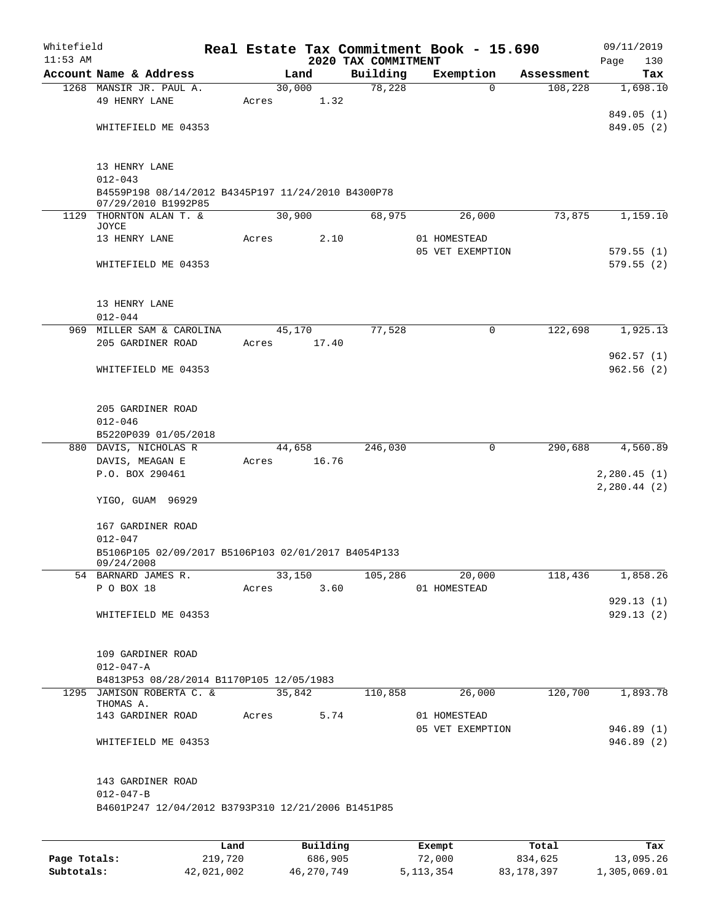| Whitefield<br>$11:53$ AM |                                                             |                     |        |        | 2020 TAX COMMITMENT     | Real Estate Tax Commitment Book - 15.690 |            | 09/11/2019<br>130<br>Page |
|--------------------------|-------------------------------------------------------------|---------------------|--------|--------|-------------------------|------------------------------------------|------------|---------------------------|
|                          | Account Name & Address                                      |                     | Land   |        | Building                | Exemption                                | Assessment | Tax                       |
|                          | 1268 MANSIR JR. PAUL A.                                     |                     | 30,000 |        | 78,228                  | $\Omega$                                 | 108,228    | 1,698.10                  |
|                          | 49 HENRY LANE                                               | Acres               |        | 1.32   |                         |                                          |            |                           |
|                          |                                                             |                     |        |        |                         |                                          |            | 849.05 (1)                |
|                          | WHITEFIELD ME 04353                                         |                     |        |        |                         |                                          |            | 849.05 (2)                |
|                          |                                                             |                     |        |        |                         |                                          |            |                           |
|                          | 13 HENRY LANE                                               |                     |        |        |                         |                                          |            |                           |
|                          | $012 - 043$                                                 |                     |        |        |                         |                                          |            |                           |
|                          | B4559P198 08/14/2012 B4345P197 11/24/2010 B4300P78          |                     |        |        |                         |                                          |            |                           |
|                          | 07/29/2010 B1992P85                                         |                     |        |        |                         |                                          |            |                           |
|                          | 1129 THORNTON ALAN T. &<br>JOYCE                            |                     | 30,900 |        | 68,975                  | 26,000                                   | 73,875     | 1,159.10                  |
|                          | 13 HENRY LANE                                               | Acres               |        | 2.10   |                         | 01 HOMESTEAD                             |            |                           |
|                          |                                                             |                     |        |        |                         | 05 VET EXEMPTION                         |            | 579.55(1)                 |
|                          | WHITEFIELD ME 04353                                         |                     |        |        |                         |                                          |            | 579.55(2)                 |
|                          |                                                             |                     |        |        |                         |                                          |            |                           |
|                          | 13 HENRY LANE                                               |                     |        |        |                         |                                          |            |                           |
|                          | $012 - 044$                                                 |                     |        |        |                         |                                          |            |                           |
|                          | 969 MILLER SAM & CAROLINA                                   |                     | 45,170 |        | 77,528                  | 0                                        | 122,698    | 1,925.13                  |
|                          | 205 GARDINER ROAD                                           | Acres               |        | 17.40  |                         |                                          |            |                           |
|                          |                                                             |                     |        |        |                         |                                          |            | 962.57 (1)                |
|                          | WHITEFIELD ME 04353                                         |                     |        |        |                         |                                          |            | 962.56(2)                 |
|                          |                                                             |                     |        |        |                         |                                          |            |                           |
|                          | 205 GARDINER ROAD                                           |                     |        |        |                         |                                          |            |                           |
|                          | $012 - 046$                                                 |                     |        |        |                         |                                          |            |                           |
|                          | B5220P039 01/05/2018                                        |                     |        |        |                         |                                          |            |                           |
|                          | 880 DAVIS, NICHOLAS R                                       |                     | 44,658 |        | 246,030                 | 0                                        | 290,688    | 4,560.89                  |
|                          | DAVIS, MEAGAN E                                             | Acres               |        | 16.76  |                         |                                          |            |                           |
|                          | P.O. BOX 290461                                             |                     |        |        |                         |                                          |            | 2,280.45(1)               |
|                          |                                                             |                     |        |        |                         |                                          |            | 2,280.44(2)               |
|                          | YIGO, GUAM 96929                                            |                     |        |        |                         |                                          |            |                           |
|                          | 167 GARDINER ROAD                                           |                     |        |        |                         |                                          |            |                           |
|                          | $012 - 047$                                                 |                     |        |        |                         |                                          |            |                           |
|                          | B5106P105 02/09/2017 B5106P103 02/01/2017 B4054P133         |                     |        |        |                         |                                          |            |                           |
|                          | 09/24/2008                                                  | $\overline{33,150}$ |        |        | 105,286                 | 20,000                                   |            |                           |
|                          | 54 BARNARD JAMES R.<br>P O BOX 18                           |                     |        |        | Acres 3.60 01 HOMESTEAD |                                          | 118,436    | 1,858.26                  |
|                          |                                                             |                     |        |        |                         |                                          |            | 929.13(1)                 |
|                          | WHITEFIELD ME 04353                                         |                     |        |        |                         |                                          |            | 929.13(2)                 |
|                          |                                                             |                     |        |        |                         |                                          |            |                           |
|                          |                                                             |                     |        |        |                         |                                          |            |                           |
|                          | 109 GARDINER ROAD                                           |                     |        |        |                         |                                          |            |                           |
|                          | $012 - 047 - A$<br>B4813P53 08/28/2014 B1170P105 12/05/1983 |                     |        |        |                         |                                          |            |                           |
|                          | 1295 JAMISON ROBERTA C. &                                   |                     |        | 35,842 | 110,858                 | 26,000                                   |            | $120,700$ 1,893.78        |
|                          | THOMAS A.                                                   |                     |        |        |                         |                                          |            |                           |
|                          | 143 GARDINER ROAD Acres 5.74                                |                     |        |        |                         | 01 HOMESTEAD                             |            |                           |
|                          |                                                             |                     |        |        |                         | 05 VET EXEMPTION                         |            | 946.89(1)                 |
|                          | WHITEFIELD ME 04353                                         |                     |        |        |                         |                                          |            | 946.89 (2)                |
|                          |                                                             |                     |        |        |                         |                                          |            |                           |
|                          | 143 GARDINER ROAD                                           |                     |        |        |                         |                                          |            |                           |
|                          | $012 - 047 - B$                                             |                     |        |        |                         |                                          |            |                           |
|                          | B4601P247 12/04/2012 B3793P310 12/21/2006 B1451P85          |                     |        |        |                         |                                          |            |                           |
|                          |                                                             |                     |        |        |                         |                                          |            |                           |

|              | Land       | Building   | Exempt    | Total      | Tax          |
|--------------|------------|------------|-----------|------------|--------------|
| Page Totals: | 219,720    | 686,905    | 72,000    | 834,625    | 13,095.26    |
| Subtotals:   | 42,021,002 | 46,270,749 | 5,113,354 | 83,178,397 | 1,305,069.01 |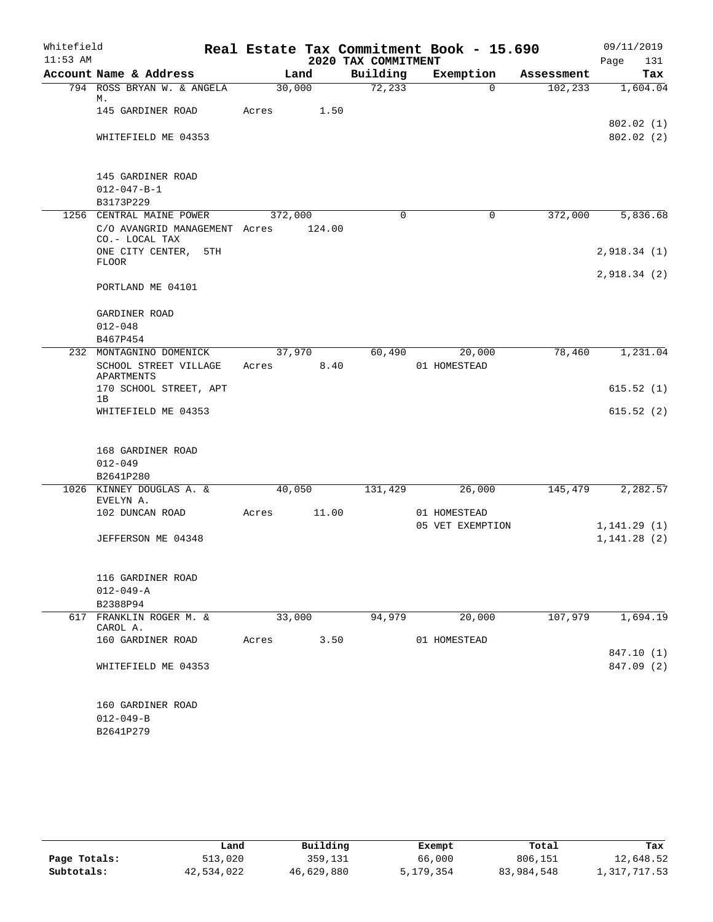| Whitefield<br>$11:53$ AM |                                                       |         |        | 2020 TAX COMMITMENT | Real Estate Tax Commitment Book - 15.690 |            | 09/11/2019<br>131<br>Page |
|--------------------------|-------------------------------------------------------|---------|--------|---------------------|------------------------------------------|------------|---------------------------|
|                          | Account Name & Address                                | Land    |        | Building            | Exemption                                | Assessment | Tax                       |
|                          | 794 ROSS BRYAN W. & ANGELA<br>М.                      | 30,000  |        | 72,233              | $\Omega$                                 | 102,233    | 1,604.04                  |
|                          | 145 GARDINER ROAD                                     | Acres   | 1.50   |                     |                                          |            |                           |
|                          | WHITEFIELD ME 04353                                   |         |        |                     |                                          |            | 802.02(1)<br>802.02(2)    |
|                          | 145 GARDINER ROAD<br>$012 - 047 - B - 1$<br>B3173P229 |         |        |                     |                                          |            |                           |
|                          | 1256 CENTRAL MAINE POWER                              | 372,000 |        | $\Omega$            | 0                                        | 372,000    | 5,836.68                  |
|                          | C/O AVANGRID MANAGEMENT Acres<br>CO.- LOCAL TAX       |         | 124.00 |                     |                                          |            |                           |
|                          | ONE CITY CENTER, 5TH<br><b>FLOOR</b>                  |         |        |                     |                                          |            | 2,918.34(1)               |
|                          | PORTLAND ME 04101                                     |         |        |                     |                                          |            | 2,918.34(2)               |
|                          |                                                       |         |        |                     |                                          |            |                           |
|                          | GARDINER ROAD                                         |         |        |                     |                                          |            |                           |
|                          | $012 - 048$<br>B467P454                               |         |        |                     |                                          |            |                           |
| 232                      | MONTAGNINO DOMENICK                                   | 37,970  |        | 60,490              | 20,000                                   | 78,460     | 1,231.04                  |
|                          | SCHOOL STREET VILLAGE<br>APARTMENTS                   | Acres   | 8.40   |                     | 01 HOMESTEAD                             |            |                           |
|                          | 170 SCHOOL STREET, APT<br>1B                          |         |        |                     |                                          |            | 615.52(1)                 |
|                          | WHITEFIELD ME 04353                                   |         |        |                     |                                          |            | 615.52(2)                 |
|                          | 168 GARDINER ROAD<br>$012 - 049$<br>B2641P280         |         |        |                     |                                          |            |                           |
|                          | 1026 KINNEY DOUGLAS A. &                              | 40,050  |        | 131,429             | 26,000                                   | 145,479    | 2,282.57                  |
|                          | EVELYN A.<br>102 DUNCAN ROAD                          | Acres   | 11.00  |                     | 01 HOMESTEAD                             |            |                           |
|                          |                                                       |         |        |                     | 05 VET EXEMPTION                         |            | 1, 141.29(1)              |
|                          | JEFFERSON ME 04348                                    |         |        |                     |                                          |            | 1, 141.28(2)              |
|                          | 116 GARDINER ROAD                                     |         |        |                     |                                          |            |                           |
|                          | $012 - 049 - A$                                       |         |        |                     |                                          |            |                           |
|                          | B2388P94                                              |         |        |                     |                                          |            |                           |
|                          | 617 FRANKLIN ROGER M. &<br>CAROL A.                   | 33,000  |        | 94,979              | 20,000                                   | 107,979    | 1,694.19                  |
|                          | 160 GARDINER ROAD                                     | Acres   | 3.50   |                     | 01 HOMESTEAD                             |            |                           |
|                          | WHITEFIELD ME 04353                                   |         |        |                     |                                          |            | 847.10 (1)<br>847.09 (2)  |
|                          | 160 GARDINER ROAD<br>$012 - 049 - B$<br>B2641P279     |         |        |                     |                                          |            |                           |

|              | Land       | Building   | Exempt    | Total      | Tax          |
|--------------|------------|------------|-----------|------------|--------------|
| Page Totals: | 513,020    | 359,131    | 66,000    | 806,151    | 12,648.52    |
| Subtotals:   | 42,534,022 | 46,629,880 | 5,179,354 | 83,984,548 | 1,317,717.53 |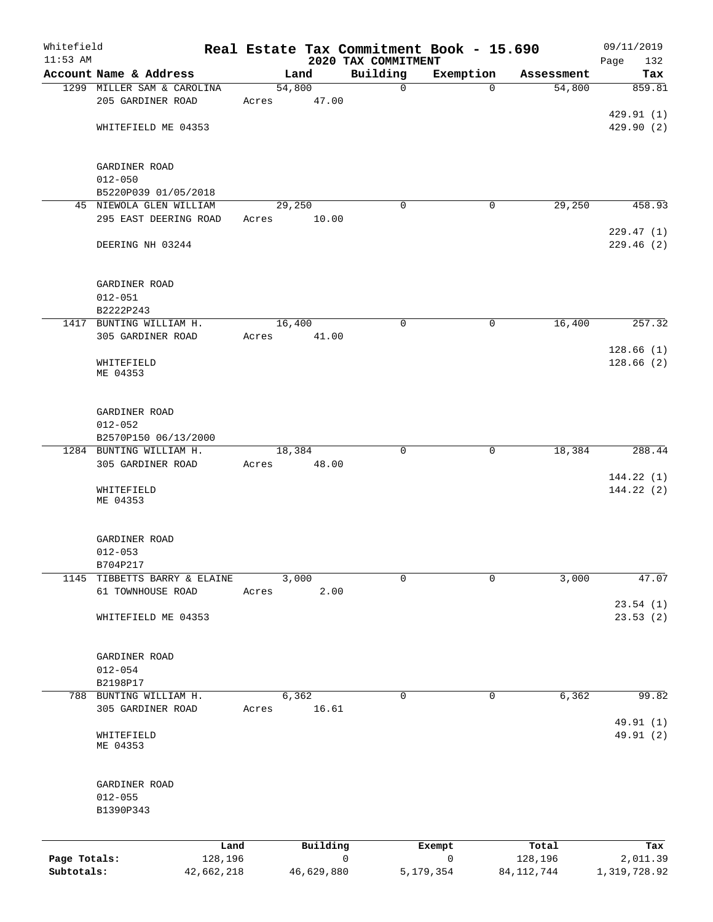| Whitefield   |                                              |        |               | Real Estate Tax Commitment Book - 15.690 |                        |                  | 09/11/2019               |
|--------------|----------------------------------------------|--------|---------------|------------------------------------------|------------------------|------------------|--------------------------|
| $11:53$ AM   | Account Name & Address                       |        | Land          | 2020 TAX COMMITMENT<br>Building          | Exemption              | Assessment       | Page<br>132              |
|              | 1299 MILLER SAM & CAROLINA                   | 54,800 |               | $\mathbf 0$                              | $\Omega$               | 54,800           | Tax<br>859.81            |
|              | 205 GARDINER ROAD                            | Acres  | 47.00         |                                          |                        |                  |                          |
|              |                                              |        |               |                                          |                        |                  | 429.91 (1)               |
|              | WHITEFIELD ME 04353                          |        |               |                                          |                        |                  | 429.90(2)                |
|              | GARDINER ROAD                                |        |               |                                          |                        |                  |                          |
|              | $012 - 050$                                  |        |               |                                          |                        |                  |                          |
|              | B5220P039 01/05/2018                         |        |               |                                          |                        |                  |                          |
|              | 45 NIEWOLA GLEN WILLIAM                      | 29,250 |               | 0                                        | 0                      | 29,250           | 458.93                   |
|              | 295 EAST DEERING ROAD                        | Acres  | 10.00         |                                          |                        |                  | 229.47(1)                |
|              | DEERING NH 03244                             |        |               |                                          |                        |                  | 229.46 (2)               |
|              | GARDINER ROAD                                |        |               |                                          |                        |                  |                          |
|              | $012 - 051$                                  |        |               |                                          |                        |                  |                          |
|              | B2222P243                                    |        |               |                                          |                        |                  |                          |
|              | 1417 BUNTING WILLIAM H.<br>305 GARDINER ROAD | 16,400 |               | $\mathbf 0$                              | $\mathbf 0$            | 16,400           | 257.32                   |
|              |                                              | Acres  | 41.00         |                                          |                        |                  | 128.66(1)                |
|              | WHITEFIELD<br>ME 04353                       |        |               |                                          |                        |                  | 128.66(2)                |
|              | GARDINER ROAD                                |        |               |                                          |                        |                  |                          |
|              | $012 - 052$                                  |        |               |                                          |                        |                  |                          |
|              | B2570P150 06/13/2000                         |        |               |                                          |                        |                  |                          |
|              | 1284 BUNTING WILLIAM H.                      | 18,384 |               | $\mathbf 0$                              | $\mathbf 0$            | 18,384           | 288.44                   |
|              | 305 GARDINER ROAD                            | Acres  | 48.00         |                                          |                        |                  |                          |
|              | WHITEFIELD<br>ME 04353                       |        |               |                                          |                        |                  | 144.22(1)<br>144.22(2)   |
|              | GARDINER ROAD                                |        |               |                                          |                        |                  |                          |
|              | $012 - 053$                                  |        |               |                                          |                        |                  |                          |
|              | B704P217                                     |        |               |                                          |                        |                  |                          |
| 1145         | TIBBETTS BARRY & ELAINE<br>61 TOWNHOUSE ROAD | Acres  | 3,000<br>2.00 | 0                                        | 0                      | 3,000            | 47.07                    |
|              |                                              |        |               |                                          |                        |                  | 23.54(1)                 |
|              | WHITEFIELD ME 04353                          |        |               |                                          |                        |                  | 23.53(2)                 |
|              | GARDINER ROAD                                |        |               |                                          |                        |                  |                          |
|              | $012 - 054$<br>B2198P17                      |        |               |                                          |                        |                  |                          |
|              | 788 BUNTING WILLIAM H.                       |        | 6,362         | 0                                        | $\mathbf 0$            | 6,362            | 99.82                    |
|              | 305 GARDINER ROAD                            | Acres  | 16.61         |                                          |                        |                  | 49.91 (1)                |
|              | WHITEFIELD<br>ME 04353                       |        |               |                                          |                        |                  | 49.91 (2)                |
|              | GARDINER ROAD                                |        |               |                                          |                        |                  |                          |
|              | $012 - 055$                                  |        |               |                                          |                        |                  |                          |
|              | B1390P343                                    |        |               |                                          |                        |                  |                          |
| Page Totals: | Land<br>128,196                              |        | Building      | 0                                        | Exempt<br>$\mathsf{O}$ | Total<br>128,196 | Tax                      |
| Subtotals:   | 42,662,218                                   |        | 46,629,880    |                                          | 5, 179, 354            | 84, 112, 744     | 2,011.39<br>1,319,728.92 |
|              |                                              |        |               |                                          |                        |                  |                          |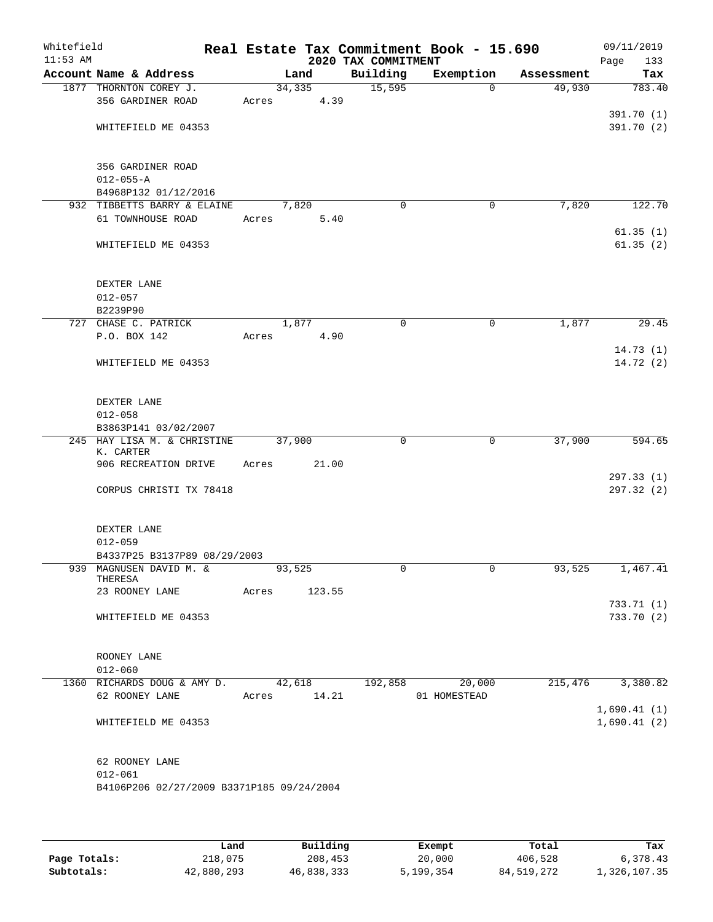| Whitefield<br>$11:53$ AM |                                                          | Real Estate Tax Commitment Book - 15.690 | 2020 TAX COMMITMENT |              |            | 09/11/2019<br>Page<br>133 |
|--------------------------|----------------------------------------------------------|------------------------------------------|---------------------|--------------|------------|---------------------------|
|                          | Account Name & Address                                   | Land                                     | Building            | Exemption    | Assessment | Tax                       |
|                          | 1877 THORNTON COREY J.<br>356 GARDINER ROAD              | 34,335<br>4.39<br>Acres                  | 15,595              | $\Omega$     | 49,930     | 783.40                    |
|                          | WHITEFIELD ME 04353                                      |                                          |                     |              |            | 391.70 (1)<br>391.70 (2)  |
|                          | 356 GARDINER ROAD                                        |                                          |                     |              |            |                           |
|                          | $012 - 055 - A$<br>B4968P132 01/12/2016                  |                                          |                     |              |            |                           |
|                          | 932 TIBBETTS BARRY & ELAINE                              | 7,820                                    | $\mathbf 0$         | $\mathbf 0$  | 7,820      | 122.70                    |
|                          | 61 TOWNHOUSE ROAD                                        | Acres<br>5.40                            |                     |              |            | 61.35(1)                  |
|                          | WHITEFIELD ME 04353                                      |                                          |                     |              |            | 61.35(2)                  |
|                          | DEXTER LANE                                              |                                          |                     |              |            |                           |
|                          | $012 - 057$                                              |                                          |                     |              |            |                           |
|                          | B2239P90                                                 |                                          |                     |              |            |                           |
|                          | 727 CHASE C. PATRICK<br>P.O. BOX 142                     | 1,877                                    | 0                   | 0            | 1,877      | 29.45                     |
|                          | WHITEFIELD ME 04353                                      | 4.90<br>Acres                            |                     |              |            | 14.73(1)<br>14.72(2)      |
|                          |                                                          |                                          |                     |              |            |                           |
|                          | DEXTER LANE                                              |                                          |                     |              |            |                           |
|                          | $012 - 058$<br>B3863P141 03/02/2007                      |                                          |                     |              |            |                           |
|                          | 245 HAY LISA M. & CHRISTINE<br>K. CARTER                 | 37,900                                   | 0                   | $\mathbf 0$  | 37,900     | 594.65                    |
|                          | 906 RECREATION DRIVE                                     | 21.00<br>Acres                           |                     |              |            |                           |
|                          | CORPUS CHRISTI TX 78418                                  |                                          |                     |              |            | 297.33(1)<br>297.32(2)    |
|                          |                                                          |                                          |                     |              |            |                           |
|                          | DEXTER LANE<br>$012 - 059$                               |                                          |                     |              |            |                           |
|                          | B4337P25 B3137P89 08/29/2003                             |                                          |                     |              |            |                           |
|                          | 939 MAGNUSEN DAVID M. &<br>THERESA                       | 93,525                                   | 0                   | $\mathsf{O}$ | 93,525     | 1,467.41                  |
|                          | 23 ROONEY LANE                                           | 123.55<br>Acres                          |                     |              |            |                           |
|                          |                                                          |                                          |                     |              |            | 733.71(1)                 |
|                          | WHITEFIELD ME 04353                                      |                                          |                     |              |            | 733.70(2)                 |
|                          | ROONEY LANE                                              |                                          |                     |              |            |                           |
|                          | $012 - 060$                                              |                                          |                     |              |            |                           |
|                          | 1360 RICHARDS DOUG & AMY D.                              | 42,618                                   | 192,858             | 20,000       | 215,476    | 3,380.82                  |
|                          | 62 ROONEY LANE                                           | Acres 14.21                              |                     | 01 HOMESTEAD |            | 1,690.41(1)               |
|                          | WHITEFIELD ME 04353                                      |                                          |                     |              |            | 1,690.41(2)               |
|                          | 62 ROONEY LANE                                           |                                          |                     |              |            |                           |
|                          | $012 - 061$<br>B4106P206 02/27/2009 B3371P185 09/24/2004 |                                          |                     |              |            |                           |
|                          |                                                          |                                          |                     |              |            |                           |
|                          |                                                          |                                          |                     |              |            |                           |

|              | Land       | Building   | Exempt    | Total      | Tax          |
|--------------|------------|------------|-----------|------------|--------------|
| Page Totals: | 218,075    | 208,453    | 20,000    | 406,528    | 6,378.43     |
| Subtotals:   | 42,880,293 | 46,838,333 | 5,199,354 | 84,519,272 | 1,326,107.35 |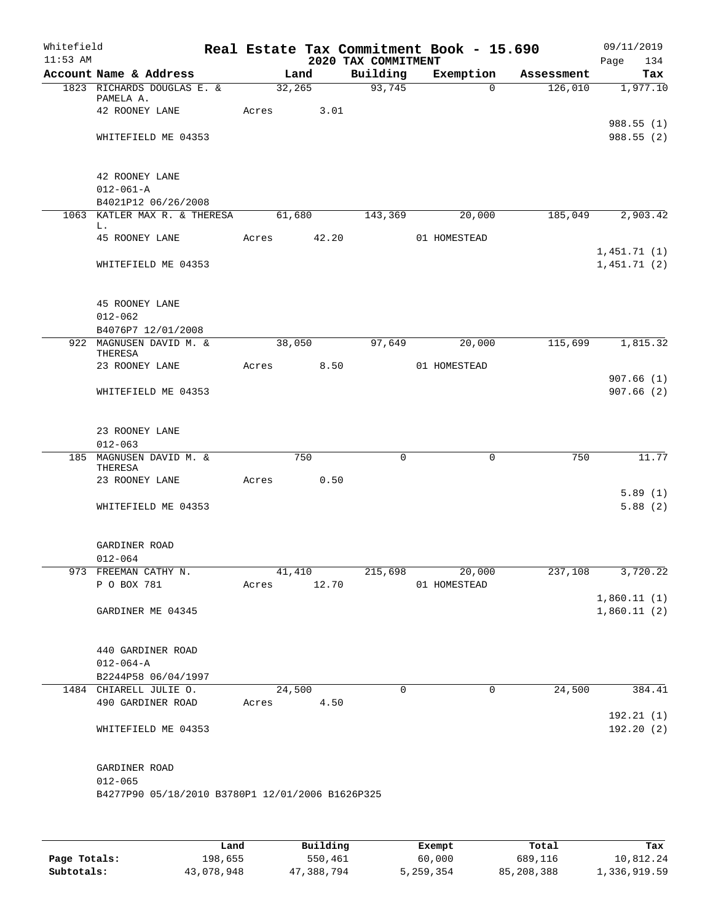| Whitefield<br>$11:53$ AM |                                                  |       |                       | 2020 TAX COMMITMENT |              | Real Estate Tax Commitment Book - 15.690 |            | 09/11/2019<br>Page<br>134  |
|--------------------------|--------------------------------------------------|-------|-----------------------|---------------------|--------------|------------------------------------------|------------|----------------------------|
|                          | Account Name & Address                           |       | Land                  |                     | Building     | Exemption                                | Assessment | Tax                        |
|                          | 1823 RICHARDS DOUGLAS E. &<br>PAMELA A.          |       | 32, 265               |                     | 93,745       | $\Omega$                                 | 126,010    | 1,977.10                   |
|                          | 42 ROONEY LANE                                   |       | Acres                 | 3.01                |              |                                          |            |                            |
|                          | WHITEFIELD ME 04353                              |       |                       |                     |              |                                          |            | 988.55 (1)<br>988.55 (2)   |
|                          |                                                  |       |                       |                     |              |                                          |            |                            |
|                          | 42 ROONEY LANE<br>$012 - 061 - A$                |       |                       |                     |              |                                          |            |                            |
|                          | B4021P12 06/26/2008                              |       |                       |                     |              |                                          |            |                            |
|                          | 1063 KATLER MAX R. & THERESA<br>L.               |       | 61,680                |                     | 143,369      | 20,000                                   | 185,049    | 2,903.42                   |
|                          | 45 ROONEY LANE                                   | Acres |                       | 42.20               |              | 01 HOMESTEAD                             |            |                            |
|                          | WHITEFIELD ME 04353                              |       |                       |                     |              |                                          |            | 1,451.71(1)<br>1,451.71(2) |
|                          |                                                  |       |                       |                     |              |                                          |            |                            |
|                          | 45 ROONEY LANE<br>$012 - 062$                    |       |                       |                     |              |                                          |            |                            |
|                          | B4076P7 12/01/2008                               |       |                       |                     |              |                                          |            |                            |
|                          | 922 MAGNUSEN DAVID M. &                          |       | 38,050                |                     | 97,649       | 20,000                                   | 115,699    | 1,815.32                   |
|                          | THERESA<br>23 ROONEY LANE                        |       | Acres                 | 8.50                |              | 01 HOMESTEAD                             |            |                            |
|                          |                                                  |       |                       |                     |              |                                          |            | 907.66(1)                  |
|                          | WHITEFIELD ME 04353                              |       |                       |                     |              |                                          |            | 907.66(2)                  |
|                          | 23 ROONEY LANE                                   |       |                       |                     |              |                                          |            |                            |
|                          | $012 - 063$                                      |       |                       |                     |              |                                          |            |                            |
|                          | 185 MAGNUSEN DAVID M. &<br>THERESA               |       | 750                   |                     | $\mathsf{O}$ | $\mathbf 0$                              | 750        | 11.77                      |
|                          | 23 ROONEY LANE                                   |       | Acres                 | 0.50                |              |                                          |            |                            |
|                          | WHITEFIELD ME 04353                              |       |                       |                     |              |                                          |            | 5.89(1)<br>5.88(2)         |
|                          |                                                  |       |                       |                     |              |                                          |            |                            |
|                          | GARDINER ROAD                                    |       |                       |                     |              |                                          |            |                            |
|                          | $012 - 064$                                      |       |                       |                     |              |                                          |            |                            |
|                          | 973 FREEMAN CATHY N.<br>P O BOX 781              |       | 41,410<br>Acres 12.70 |                     |              | 215,698<br>20,000<br>01 HOMESTEAD        |            | 237,108 3,720.22           |
|                          |                                                  |       |                       |                     |              |                                          |            | 1,860.11(1)                |
|                          | GARDINER ME 04345                                |       |                       |                     |              |                                          |            | 1,860.11(2)                |
|                          |                                                  |       |                       |                     |              |                                          |            |                            |
|                          | 440 GARDINER ROAD<br>$012 - 064 - A$             |       |                       |                     |              |                                          |            |                            |
|                          | B2244P58 06/04/1997                              |       |                       |                     |              |                                          |            |                            |
|                          | 1484 CHIARELL JULIE O.                           |       | 24,500                |                     | $\Omega$     | 0                                        | 24,500     | 384.41                     |
|                          | 490 GARDINER ROAD                                |       | Acres 4.50            |                     |              |                                          |            |                            |
|                          | WHITEFIELD ME 04353                              |       |                       |                     |              |                                          |            | 192.21 (1)<br>192.20 (2)   |
|                          |                                                  |       |                       |                     |              |                                          |            |                            |
|                          | GARDINER ROAD                                    |       |                       |                     |              |                                          |            |                            |
|                          | $012 - 065$                                      |       |                       |                     |              |                                          |            |                            |
|                          | B4277P90 05/18/2010 B3780P1 12/01/2006 B1626P325 |       |                       |                     |              |                                          |            |                            |
|                          |                                                  |       |                       |                     |              |                                          |            |                            |
|                          |                                                  |       |                       |                     |              |                                          |            |                            |

|              | Land       | Building   | Exempt    | Total      | Tax          |
|--------------|------------|------------|-----------|------------|--------------|
| Page Totals: | 198.655    | 550,461    | 60,000    | 689,116    | 10,812.24    |
| Subtotals:   | 43,078,948 | 47,388,794 | 5,259,354 | 85,208,388 | 1,336,919.59 |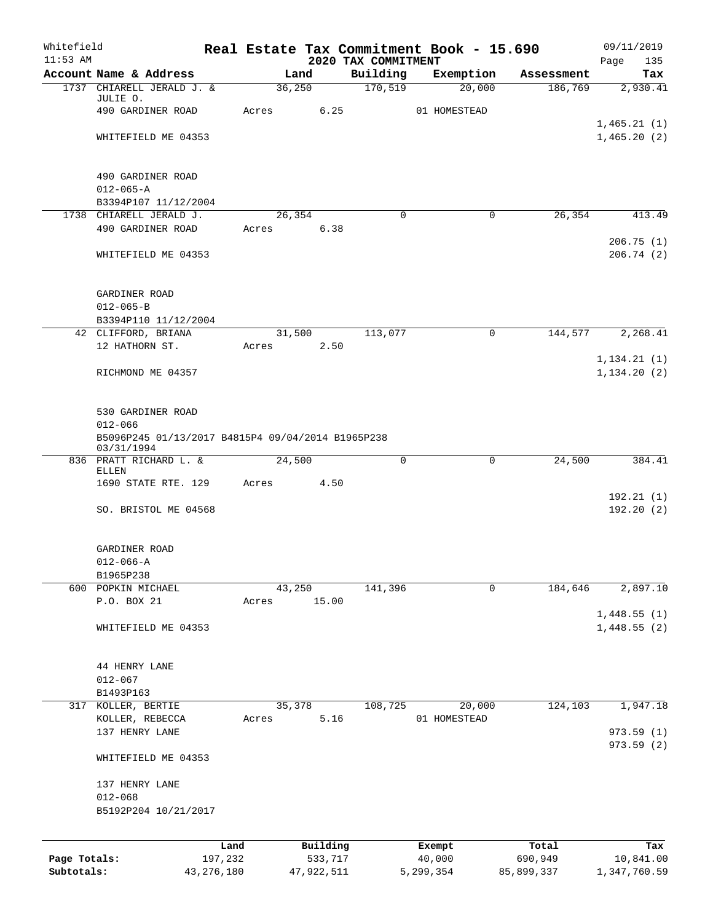| Whitefield   |                                                                 |              |        |            |                                 | Real Estate Tax Commitment Book - 15.690 |              | 09/11/2019                 |
|--------------|-----------------------------------------------------------------|--------------|--------|------------|---------------------------------|------------------------------------------|--------------|----------------------------|
| $11:53$ AM   | Account Name & Address                                          |              | Land   |            | 2020 TAX COMMITMENT<br>Building | Exemption                                | Assessment   | 135<br>Page<br>Tax         |
|              | 1737 CHIARELL JERALD J. &                                       |              | 36,250 |            | 170, 519                        | 20,000                                   | 186,769      | 2,930.41                   |
|              | JULIE O.                                                        |              |        |            |                                 |                                          |              |                            |
|              | 490 GARDINER ROAD                                               |              | Acres  | 6.25       |                                 | 01 HOMESTEAD                             |              |                            |
|              | WHITEFIELD ME 04353                                             |              |        |            |                                 |                                          |              | 1,465.21(1)<br>1,465.20(2) |
|              |                                                                 |              |        |            |                                 |                                          |              |                            |
|              |                                                                 |              |        |            |                                 |                                          |              |                            |
|              | 490 GARDINER ROAD<br>$012 - 065 - A$                            |              |        |            |                                 |                                          |              |                            |
|              | B3394P107 11/12/2004                                            |              |        |            |                                 |                                          |              |                            |
|              | 1738 CHIARELL JERALD J.                                         |              | 26,354 |            | $\Omega$                        |                                          | 26,354<br>0  | 413.49                     |
|              | 490 GARDINER ROAD                                               |              | Acres  | 6.38       |                                 |                                          |              |                            |
|              |                                                                 |              |        |            |                                 |                                          |              | 206.75(1)                  |
|              | WHITEFIELD ME 04353                                             |              |        |            |                                 |                                          |              | 206.74(2)                  |
|              | GARDINER ROAD                                                   |              |        |            |                                 |                                          |              |                            |
|              | $012 - 065 - B$                                                 |              |        |            |                                 |                                          |              |                            |
|              | B3394P110 11/12/2004                                            |              |        |            |                                 |                                          |              |                            |
|              | 42 CLIFFORD, BRIANA                                             |              | 31,500 |            | 113,077                         |                                          | 0<br>144,577 | 2, 268.41                  |
|              | 12 HATHORN ST.                                                  |              | Acres  | 2.50       |                                 |                                          |              |                            |
|              |                                                                 |              |        |            |                                 |                                          |              | 1, 134.21(1)               |
|              | RICHMOND ME 04357                                               |              |        |            |                                 |                                          |              | 1, 134.20(2)               |
|              | 530 GARDINER ROAD                                               |              |        |            |                                 |                                          |              |                            |
|              | $012 - 066$                                                     |              |        |            |                                 |                                          |              |                            |
|              | B5096P245 01/13/2017 B4815P4 09/04/2014 B1965P238<br>03/31/1994 |              |        |            |                                 |                                          |              |                            |
|              | 836 PRATT RICHARD L. &                                          |              | 24,500 |            | 0                               |                                          | 0<br>24,500  | 384.41                     |
|              | ELLEN<br>1690 STATE RTE. 129                                    |              | Acres  | 4.50       |                                 |                                          |              |                            |
|              |                                                                 |              |        |            |                                 |                                          |              | 192.21(1)                  |
|              | SO. BRISTOL ME 04568                                            |              |        |            |                                 |                                          |              | 192.20 (2)                 |
|              | GARDINER ROAD                                                   |              |        |            |                                 |                                          |              |                            |
|              | $012 - 066 - A$                                                 |              |        |            |                                 |                                          |              |                            |
|              | B1965P238                                                       |              |        |            |                                 |                                          |              |                            |
|              | 600 POPKIN MICHAEL                                              |              | 43,250 |            | 141,396                         |                                          | 184,646<br>0 | 2,897.10                   |
|              | P.O. BOX 21                                                     |              | Acres  | 15.00      |                                 |                                          |              |                            |
|              | WHITEFIELD ME 04353                                             |              |        |            |                                 |                                          |              | 1,448.55(1)<br>1,448.55(2) |
|              |                                                                 |              |        |            |                                 |                                          |              |                            |
|              | 44 HENRY LANE                                                   |              |        |            |                                 |                                          |              |                            |
|              | $012 - 067$<br>B1493P163                                        |              |        |            |                                 |                                          |              |                            |
|              | 317 KOLLER, BERTIE                                              |              | 35,378 |            | 108,725                         | 20,000                                   | 124,103      | 1,947.18                   |
|              | KOLLER, REBECCA                                                 |              | Acres  | 5.16       |                                 | 01 HOMESTEAD                             |              |                            |
|              | 137 HENRY LANE                                                  |              |        |            |                                 |                                          |              | 973.59(1)                  |
|              | WHITEFIELD ME 04353                                             |              |        |            |                                 |                                          |              | 973.59 (2)                 |
|              |                                                                 |              |        |            |                                 |                                          |              |                            |
|              | 137 HENRY LANE                                                  |              |        |            |                                 |                                          |              |                            |
|              | $012 - 068$<br>B5192P204 10/21/2017                             |              |        |            |                                 |                                          |              |                            |
|              |                                                                 |              |        |            |                                 |                                          |              |                            |
|              |                                                                 | Land         |        | Building   |                                 | Exempt                                   | Total        | Tax                        |
| Page Totals: |                                                                 | 197,232      |        | 533,717    |                                 | 40,000                                   | 690,949      | 10,841.00                  |
| Subtotals:   |                                                                 | 43, 276, 180 |        | 47,922,511 |                                 | 5,299,354                                | 85,899,337   | 1,347,760.59               |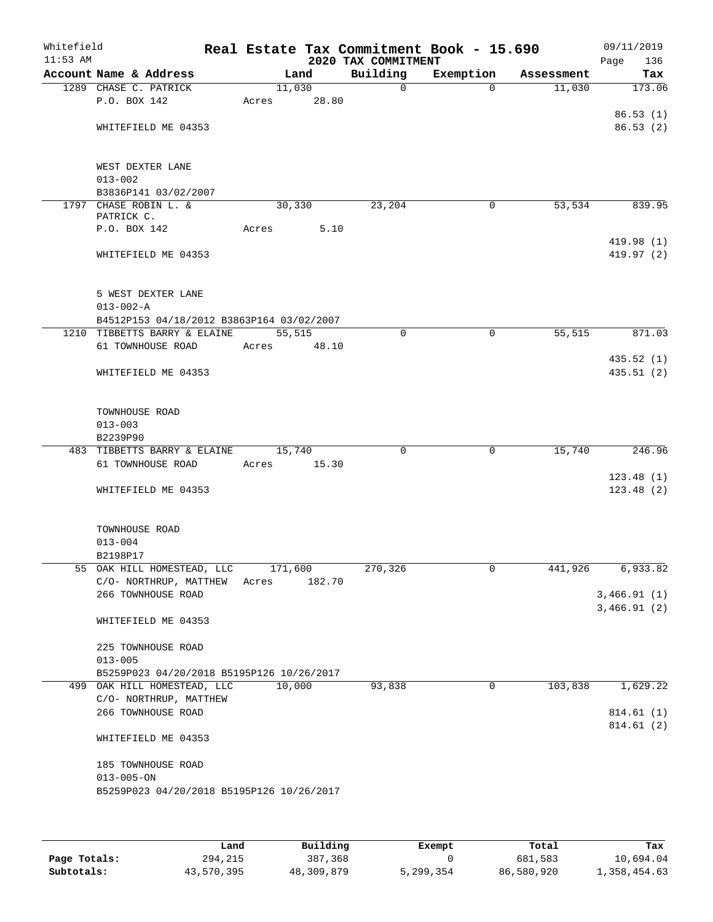| Whitefield<br>$11:53$ AM |                                     |                                           |                 |        | 2020 TAX COMMITMENT | Real Estate Tax Commitment Book - 15.690 |            | 09/11/2019<br>Page<br>136 |
|--------------------------|-------------------------------------|-------------------------------------------|-----------------|--------|---------------------|------------------------------------------|------------|---------------------------|
|                          | Account Name & Address              |                                           |                 | Land   | Building            | Exemption                                | Assessment | Tax                       |
|                          | 1289 CHASE C. PATRICK               |                                           | 11,030          |        | $\mathbf 0$         | $\Omega$                                 | 11,030     | 173.06                    |
|                          | P.O. BOX 142                        |                                           | Acres           | 28.80  |                     |                                          |            |                           |
|                          | WHITEFIELD ME 04353                 |                                           |                 |        |                     |                                          |            | 86.53(1)<br>86.53(2)      |
|                          |                                     |                                           |                 |        |                     |                                          |            |                           |
|                          | WEST DEXTER LANE                    |                                           |                 |        |                     |                                          |            |                           |
|                          | $013 - 002$                         |                                           |                 |        |                     |                                          |            |                           |
|                          |                                     | B3836P141 03/02/2007                      |                 |        |                     |                                          |            |                           |
|                          | 1797 CHASE ROBIN L. &<br>PATRICK C. |                                           | 30,330          |        | 23,204              | 0                                        | 53,534     | 839.95                    |
|                          | P.O. BOX 142                        |                                           | Acres           | 5.10   |                     |                                          |            |                           |
|                          |                                     |                                           |                 |        |                     |                                          |            | 419.98(1)                 |
|                          | WHITEFIELD ME 04353                 |                                           |                 |        |                     |                                          |            | 419.97(2)                 |
|                          | 5 WEST DEXTER LANE                  |                                           |                 |        |                     |                                          |            |                           |
|                          | $013 - 002 - A$                     |                                           |                 |        |                     |                                          |            |                           |
|                          |                                     | B4512P153 04/18/2012 B3863P164 03/02/2007 |                 |        |                     |                                          |            |                           |
|                          |                                     | 1210 TIBBETTS BARRY & ELAINE              | 55,515          |        | $\mathbf 0$         | $\mathbf 0$                              | 55,515     | 871.03                    |
|                          | 61 TOWNHOUSE ROAD                   |                                           | Acres           | 48.10  |                     |                                          |            | 435.52(1)                 |
|                          | WHITEFIELD ME 04353                 |                                           |                 |        |                     |                                          |            | 435.51(2)                 |
|                          |                                     |                                           |                 |        |                     |                                          |            |                           |
|                          | TOWNHOUSE ROAD                      |                                           |                 |        |                     |                                          |            |                           |
|                          | $013 - 003$                         |                                           |                 |        |                     |                                          |            |                           |
|                          | B2239P90                            |                                           |                 |        |                     |                                          |            |                           |
|                          | 61 TOWNHOUSE ROAD                   | 483 TIBBETTS BARRY & ELAINE               | 15,740<br>Acres | 15.30  | $\mathbf 0$         | $\mathbf 0$                              | 15,740     | 246.96                    |
|                          |                                     |                                           |                 |        |                     |                                          |            | 123.48(1)                 |
|                          | WHITEFIELD ME 04353                 |                                           |                 |        |                     |                                          |            | 123.48(2)                 |
|                          |                                     |                                           |                 |        |                     |                                          |            |                           |
|                          | TOWNHOUSE ROAD                      |                                           |                 |        |                     |                                          |            |                           |
|                          | $013 - 004$                         |                                           |                 |        |                     |                                          |            |                           |
|                          | B2198P17                            | 55 OAK HILL HOMESTEAD, LLC                | 171,600         |        | 270,326             | 0                                        |            |                           |
|                          |                                     | C/O- NORTHRUP, MATTHEW                    | Acres           | 182.70 |                     |                                          | 441,926    | $6,933.\overline{82}$     |
|                          | 266 TOWNHOUSE ROAD                  |                                           |                 |        |                     |                                          |            | 3,466.91(1)               |
|                          |                                     |                                           |                 |        |                     |                                          |            | 3,466.91(2)               |
|                          | WHITEFIELD ME 04353                 |                                           |                 |        |                     |                                          |            |                           |
|                          | 225 TOWNHOUSE ROAD                  |                                           |                 |        |                     |                                          |            |                           |
|                          | $013 - 005$                         |                                           |                 |        |                     |                                          |            |                           |
|                          |                                     | B5259P023 04/20/2018 B5195P126 10/26/2017 |                 |        |                     |                                          |            |                           |
|                          |                                     | 499 OAK HILL HOMESTEAD, LLC               | 10,000          |        | 93,838              | 0                                        | 103,838    | 1,629.22                  |
|                          |                                     | C/O- NORTHRUP, MATTHEW                    |                 |        |                     |                                          |            |                           |
|                          | 266 TOWNHOUSE ROAD                  |                                           |                 |        |                     |                                          |            | 814.61 (1)<br>814.61 (2)  |
|                          | WHITEFIELD ME 04353                 |                                           |                 |        |                     |                                          |            |                           |
|                          | 185 TOWNHOUSE ROAD                  |                                           |                 |        |                     |                                          |            |                           |
|                          | $013 - 005 - ON$                    |                                           |                 |        |                     |                                          |            |                           |
|                          |                                     | B5259P023 04/20/2018 B5195P126 10/26/2017 |                 |        |                     |                                          |            |                           |
|                          |                                     |                                           |                 |        |                     |                                          |            |                           |
|                          |                                     |                                           |                 |        |                     |                                          |            |                           |

|              | Land       | Building   | Exempt    | Total      | Tax          |
|--------------|------------|------------|-----------|------------|--------------|
| Page Totals: | 294,215    | 387,368    |           | 681,583    | 10,694.04    |
| Subtotals:   | 43,570,395 | 48,309,879 | 5,299,354 | 86,580,920 | 1,358,454.63 |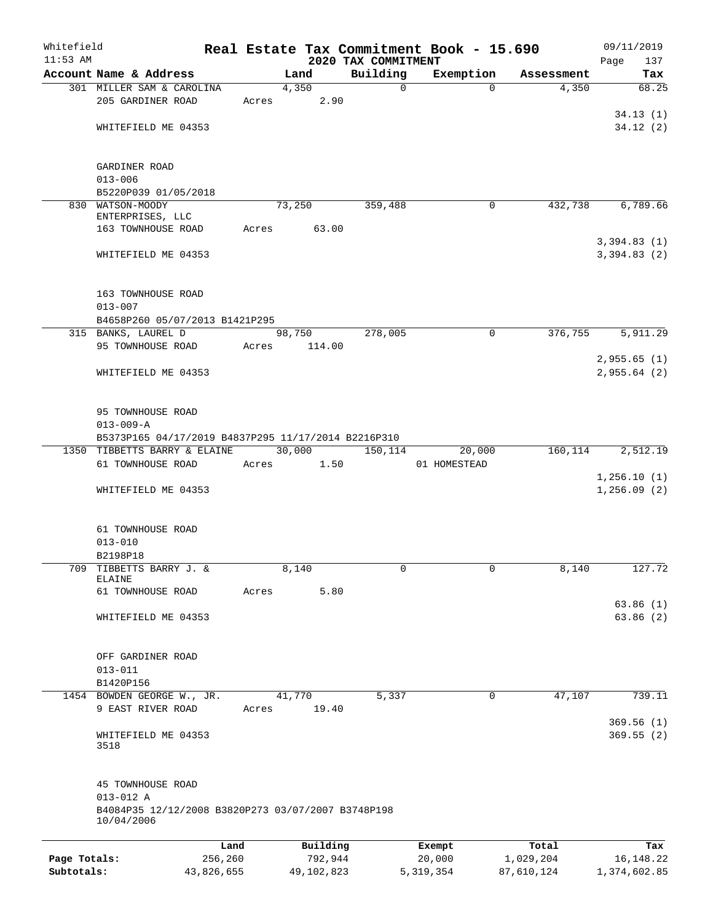| Whitefield   |                                                                  |       |            |                                 | Real Estate Tax Commitment Book - 15.690 |            | 09/11/2019                 |
|--------------|------------------------------------------------------------------|-------|------------|---------------------------------|------------------------------------------|------------|----------------------------|
| $11:53$ AM   | Account Name & Address                                           |       | Land       | 2020 TAX COMMITMENT<br>Building | Exemption                                | Assessment | Page<br>137<br>Tax         |
|              | 301 MILLER SAM & CAROLINA                                        |       | 4,350      | 0                               | $\Omega$                                 | 4,350      | 68.25                      |
|              | 205 GARDINER ROAD                                                | Acres | 2.90       |                                 |                                          |            |                            |
|              |                                                                  |       |            |                                 |                                          |            | 34.13(1)                   |
|              | WHITEFIELD ME 04353                                              |       |            |                                 |                                          |            | 34.12(2)                   |
|              |                                                                  |       |            |                                 |                                          |            |                            |
|              | GARDINER ROAD                                                    |       |            |                                 |                                          |            |                            |
|              | $013 - 006$                                                      |       |            |                                 |                                          |            |                            |
|              | B5220P039 01/05/2018                                             |       |            |                                 |                                          |            |                            |
|              | 830 WATSON-MOODY<br>ENTERPRISES, LLC                             |       | 73,250     | 359,488                         | 0                                        | 432,738    | 6,789.66                   |
|              | 163 TOWNHOUSE ROAD                                               | Acres | 63.00      |                                 |                                          |            |                            |
|              |                                                                  |       |            |                                 |                                          |            | 3,394.83(1)                |
|              | WHITEFIELD ME 04353                                              |       |            |                                 |                                          |            | 3,394.83(2)                |
|              | 163 TOWNHOUSE ROAD                                               |       |            |                                 |                                          |            |                            |
|              | $013 - 007$                                                      |       |            |                                 |                                          |            |                            |
|              | B4658P260 05/07/2013 B1421P295                                   |       |            |                                 |                                          |            |                            |
|              | 315 BANKS, LAUREL D                                              |       | 98,750     | 278,005                         | $\mathbf 0$                              | 376,755    | 5,911.29                   |
|              | 95 TOWNHOUSE ROAD                                                | Acres | 114.00     |                                 |                                          |            |                            |
|              |                                                                  |       |            |                                 |                                          |            | 2,955.65(1)                |
|              | WHITEFIELD ME 04353                                              |       |            |                                 |                                          |            | 2,955.64(2)                |
|              |                                                                  |       |            |                                 |                                          |            |                            |
|              | 95 TOWNHOUSE ROAD                                                |       |            |                                 |                                          |            |                            |
|              | $013 - 009 - A$                                                  |       |            |                                 |                                          |            |                            |
|              | B5373P165 04/17/2019 B4837P295 11/17/2014 B2216P310              |       |            |                                 |                                          |            |                            |
|              | 1350 TIBBETTS BARRY & ELAINE                                     |       | 30,000     | 150,114                         | 20,000                                   | 160,114    | 2,512.19                   |
|              | 61 TOWNHOUSE ROAD                                                | Acres | 1.50       |                                 | 01 HOMESTEAD                             |            |                            |
|              | WHITEFIELD ME 04353                                              |       |            |                                 |                                          |            | 1,256.10(1)<br>1,256.09(2) |
|              | 61 TOWNHOUSE ROAD                                                |       |            |                                 |                                          |            |                            |
|              | $013 - 010$                                                      |       |            |                                 |                                          |            |                            |
|              | B2198P18                                                         |       |            |                                 |                                          |            |                            |
| 709          | TIBBETTS BARRY J. &                                              |       | 8,140      | 0                               | 0                                        | 8,140      | 127.72                     |
|              | ELAINE                                                           |       |            |                                 |                                          |            |                            |
|              | 61 TOWNHOUSE ROAD                                                | Acres | 5.80       |                                 |                                          |            |                            |
|              |                                                                  |       |            |                                 |                                          |            | 63.86(1)                   |
|              | WHITEFIELD ME 04353                                              |       |            |                                 |                                          |            | 63.86(2)                   |
|              | OFF GARDINER ROAD                                                |       |            |                                 |                                          |            |                            |
|              | $013 - 011$                                                      |       |            |                                 |                                          |            |                            |
|              | B1420P156                                                        |       |            |                                 |                                          |            |                            |
|              | 1454 BOWDEN GEORGE W., JR.                                       |       | 41,770     | 5,337                           | 0                                        | 47,107     | 739.11                     |
|              | 9 EAST RIVER ROAD                                                | Acres | 19.40      |                                 |                                          |            |                            |
|              |                                                                  |       |            |                                 |                                          |            | 369.56(1)                  |
|              | WHITEFIELD ME 04353<br>3518                                      |       |            |                                 |                                          |            | 369.55(2)                  |
|              |                                                                  |       |            |                                 |                                          |            |                            |
|              | 45 TOWNHOUSE ROAD                                                |       |            |                                 |                                          |            |                            |
|              | $013 - 012$ A                                                    |       |            |                                 |                                          |            |                            |
|              | B4084P35 12/12/2008 B3820P273 03/07/2007 B3748P198<br>10/04/2006 |       |            |                                 |                                          |            |                            |
|              |                                                                  | Land  | Building   |                                 | Exempt                                   | Total      | Tax                        |
| Page Totals: | 256,260                                                          |       | 792,944    |                                 | 20,000                                   | 1,029,204  | 16, 148. 22                |
| Subtotals:   | 43,826,655                                                       |       | 49,102,823 |                                 | 5, 319, 354                              | 87,610,124 | 1,374,602.85               |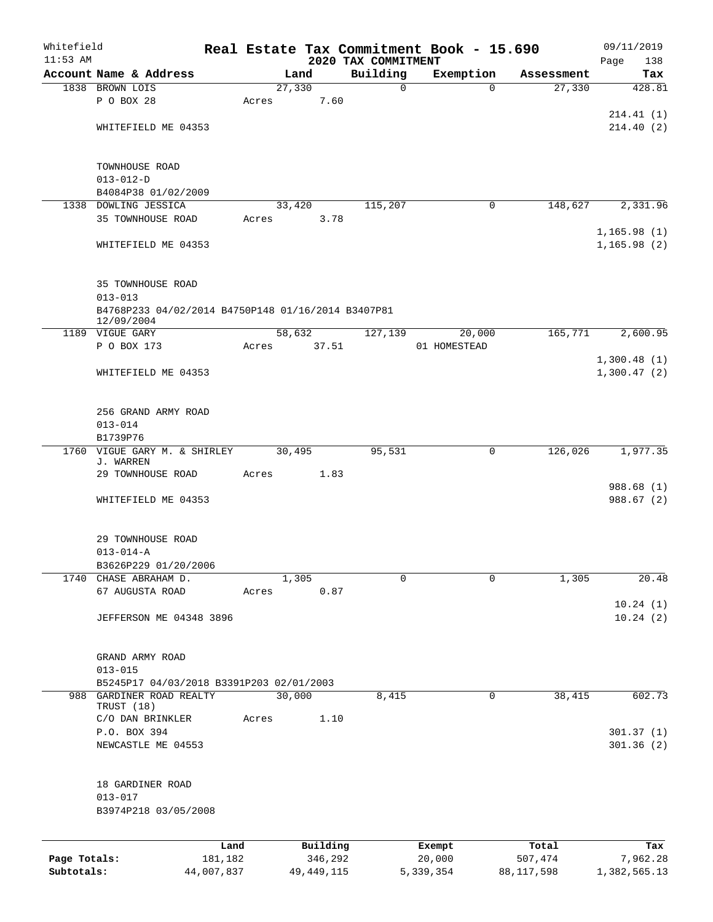| Whitefield   |                                                    |                 |                     |                                 | Real Estate Tax Commitment Book - 15.690 |                  | 09/11/2019         |
|--------------|----------------------------------------------------|-----------------|---------------------|---------------------------------|------------------------------------------|------------------|--------------------|
| $11:53$ AM   | Account Name & Address                             |                 |                     | 2020 TAX COMMITMENT<br>Building | Exemption                                | Assessment       | Page<br>138<br>Tax |
|              | 1838 BROWN LOIS                                    |                 | Land<br>27,330      | $\mathbf 0$                     | $\Omega$                                 | 27,330           | 428.81             |
|              | P O BOX 28                                         | Acres           | 7.60                |                                 |                                          |                  |                    |
|              |                                                    |                 |                     |                                 |                                          |                  | 214.41(1)          |
|              | WHITEFIELD ME 04353                                |                 |                     |                                 |                                          |                  | 214.40(2)          |
|              |                                                    |                 |                     |                                 |                                          |                  |                    |
|              | TOWNHOUSE ROAD                                     |                 |                     |                                 |                                          |                  |                    |
|              | $013 - 012 - D$                                    |                 |                     |                                 |                                          |                  |                    |
|              | B4084P38 01/02/2009                                |                 |                     |                                 |                                          |                  |                    |
|              | 1338 DOWLING JESSICA                               |                 | 33,420              | 115,207                         | $\mathbf 0$                              | 148,627          | 2,331.96           |
|              | 35 TOWNHOUSE ROAD                                  | Acres           | 3.78                |                                 |                                          |                  |                    |
|              |                                                    |                 |                     |                                 |                                          |                  | 1,165.98(1)        |
|              | WHITEFIELD ME 04353                                |                 |                     |                                 |                                          |                  | 1, 165.98(2)       |
|              | 35 TOWNHOUSE ROAD                                  |                 |                     |                                 |                                          |                  |                    |
|              | $013 - 013$                                        |                 |                     |                                 |                                          |                  |                    |
|              | B4768P233 04/02/2014 B4750P148 01/16/2014 B3407P81 |                 |                     |                                 |                                          |                  |                    |
|              | 12/09/2004<br>1189 VIGUE GARY                      |                 | 58,632              | 127,139                         | 20,000                                   | 165,771          | 2,600.95           |
|              | P O BOX 173                                        | Acres           | 37.51               |                                 | 01 HOMESTEAD                             |                  |                    |
|              |                                                    |                 |                     |                                 |                                          |                  | 1,300.48(1)        |
|              | WHITEFIELD ME 04353                                |                 |                     |                                 |                                          |                  | 1,300.47(2)        |
|              |                                                    |                 |                     |                                 |                                          |                  |                    |
|              | 256 GRAND ARMY ROAD                                |                 |                     |                                 |                                          |                  |                    |
|              | $013 - 014$                                        |                 |                     |                                 |                                          |                  |                    |
|              | B1739P76                                           |                 |                     |                                 |                                          |                  |                    |
| 1760         | VIGUE GARY M. & SHIRLEY                            |                 | 30,495              | 95,531                          | $\mathbf 0$                              | 126,026          | 1,977.35           |
|              | J. WARREN                                          |                 |                     |                                 |                                          |                  |                    |
|              | 29 TOWNHOUSE ROAD                                  | Acres           | 1.83                |                                 |                                          |                  |                    |
|              |                                                    |                 |                     |                                 |                                          |                  | 988.68 (1)         |
|              | WHITEFIELD ME 04353                                |                 |                     |                                 |                                          |                  | 988.67 (2)         |
|              |                                                    |                 |                     |                                 |                                          |                  |                    |
|              | 29 TOWNHOUSE ROAD                                  |                 |                     |                                 |                                          |                  |                    |
|              | $013 - 014 - A$                                    |                 |                     |                                 |                                          |                  |                    |
|              | B3626P229 01/20/2006                               |                 |                     |                                 |                                          |                  |                    |
|              | 1740 CHASE ABRAHAM D.                              |                 | 1,305               | 0                               | 0                                        | 1,305            | 20.48              |
|              | 67 AUGUSTA ROAD                                    | Acres           | 0.87                |                                 |                                          |                  |                    |
|              |                                                    |                 |                     |                                 |                                          |                  | 10.24(1)           |
|              | <b>JEFFERSON ME 04348 3896</b>                     |                 |                     |                                 |                                          |                  | 10.24(2)           |
|              |                                                    |                 |                     |                                 |                                          |                  |                    |
|              | GRAND ARMY ROAD                                    |                 |                     |                                 |                                          |                  |                    |
|              | $013 - 015$                                        |                 |                     |                                 |                                          |                  |                    |
|              | B5245P17 04/03/2018 B3391P203 02/01/2003           |                 |                     |                                 |                                          |                  |                    |
| 988          | GARDINER ROAD REALTY<br>TRUST (18)                 |                 | 30,000              | 8,415                           | $\mathbf 0$                              | 38,415           | 602.73             |
|              | C/O DAN BRINKLER                                   | Acres           | 1.10                |                                 |                                          |                  |                    |
|              | P.O. BOX 394                                       |                 |                     |                                 |                                          |                  | 301.37(1)          |
|              | NEWCASTLE ME 04553                                 |                 |                     |                                 |                                          |                  | 301.36(2)          |
|              |                                                    |                 |                     |                                 |                                          |                  |                    |
|              | 18 GARDINER ROAD                                   |                 |                     |                                 |                                          |                  |                    |
|              | $013 - 017$                                        |                 |                     |                                 |                                          |                  |                    |
|              | B3974P218 03/05/2008                               |                 |                     |                                 |                                          |                  |                    |
|              |                                                    |                 |                     |                                 |                                          |                  |                    |
| Page Totals: |                                                    | Land<br>181,182 | Building<br>346,292 |                                 | Exempt<br>20,000                         | Total<br>507,474 | Tax<br>7,962.28    |
| Subtotals:   |                                                    | 44,007,837      | 49, 449, 115        |                                 | 5, 339, 354                              | 88,117,598       | 1,382,565.13       |
|              |                                                    |                 |                     |                                 |                                          |                  |                    |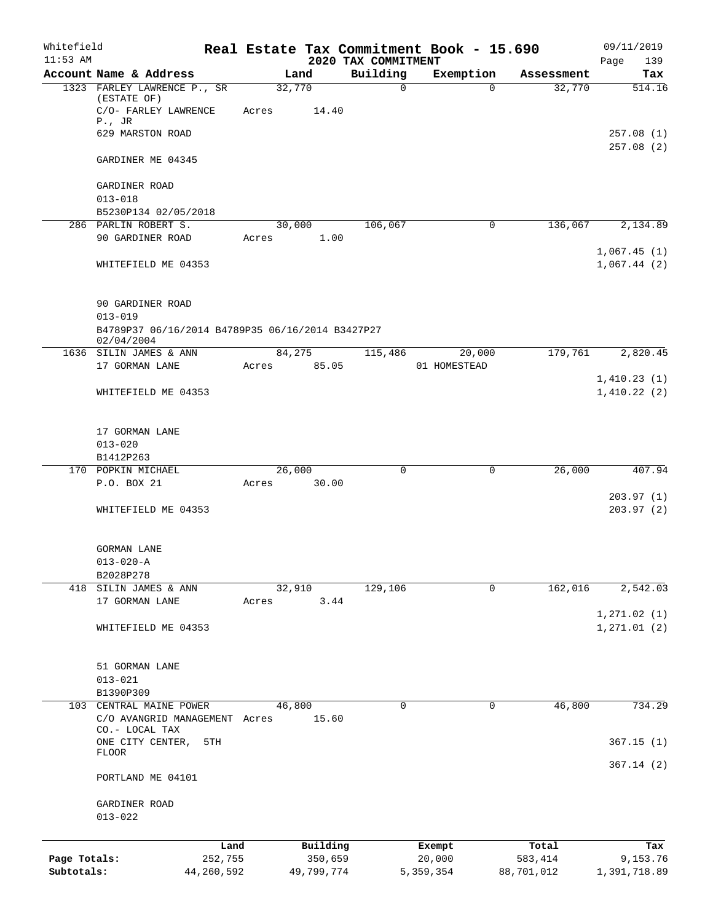| Whitefield   |                                                                |         |                |                                 | Real Estate Tax Commitment Book - 15.690 |            | 09/11/2019                 |
|--------------|----------------------------------------------------------------|---------|----------------|---------------------------------|------------------------------------------|------------|----------------------------|
| $11:53$ AM   | Account Name & Address                                         |         | Land           | 2020 TAX COMMITMENT<br>Building | Exemption                                | Assessment | Page<br>139<br>Tax         |
|              | 1323 FARLEY LAWRENCE P., SR                                    | 32,770  |                | $\mathbf 0$                     | $\Omega$                                 | 32,770     | 514.16                     |
|              | (ESTATE OF)<br>C/O- FARLEY LAWRENCE<br>$P.$ , JR               | Acres   | 14.40          |                                 |                                          |            |                            |
|              | 629 MARSTON ROAD                                               |         |                |                                 |                                          |            | 257.08(1)                  |
|              | GARDINER ME 04345                                              |         |                |                                 |                                          |            | 257.08(2)                  |
|              | GARDINER ROAD                                                  |         |                |                                 |                                          |            |                            |
|              | $013 - 018$                                                    |         |                |                                 |                                          |            |                            |
|              | B5230P134 02/05/2018                                           |         |                |                                 |                                          |            |                            |
|              | 286 PARLIN ROBERT S.                                           |         | 30,000         | 106,067                         | $\mathbf 0$                              | 136,067    | 2,134.89                   |
|              | 90 GARDINER ROAD                                               | Acres   | 1.00           |                                 |                                          |            | 1,067.45(1)                |
|              | WHITEFIELD ME 04353                                            |         |                |                                 |                                          |            | 1,067.44(2)                |
|              | 90 GARDINER ROAD                                               |         |                |                                 |                                          |            |                            |
|              | $013 - 019$                                                    |         |                |                                 |                                          |            |                            |
|              | B4789P37 06/16/2014 B4789P35 06/16/2014 B3427P27<br>02/04/2004 |         |                |                                 |                                          |            |                            |
|              | 1636 SILIN JAMES & ANN                                         | 84,275  |                | 115,486                         | 20,000                                   | 179,761    | 2,820.45                   |
|              | 17 GORMAN LANE                                                 | Acres   | 85.05          |                                 | 01 HOMESTEAD                             |            |                            |
|              | WHITEFIELD ME 04353                                            |         |                |                                 |                                          |            | 1,410.23(1)<br>1,410.22(2) |
|              |                                                                |         |                |                                 |                                          |            |                            |
|              | 17 GORMAN LANE<br>$013 - 020$                                  |         |                |                                 |                                          |            |                            |
|              | B1412P263                                                      |         |                |                                 |                                          |            |                            |
|              | 170 POPKIN MICHAEL                                             | 26,000  |                | 0                               | 0                                        | 26,000     | 407.94                     |
|              | P.O. BOX 21                                                    | Acres   | 30.00          |                                 |                                          |            |                            |
|              | WHITEFIELD ME 04353                                            |         |                |                                 |                                          |            | 203.97(1)<br>203.97 (2)    |
|              |                                                                |         |                |                                 |                                          |            |                            |
|              | <b>GORMAN LANE</b>                                             |         |                |                                 |                                          |            |                            |
|              | $013 - 020 - A$                                                |         |                |                                 |                                          |            |                            |
|              | B2028P278                                                      |         |                |                                 |                                          |            |                            |
|              | 418 SILIN JAMES & ANN<br>17 GORMAN LANE                        | Acres   | 32,910<br>3.44 | 129,106                         | 0                                        | 162,016    | 2,542.03                   |
|              |                                                                |         |                |                                 |                                          |            | 1, 271.02(1)               |
|              | WHITEFIELD ME 04353                                            |         |                |                                 |                                          |            | 1, 271.01(2)               |
|              | 51 GORMAN LANE                                                 |         |                |                                 |                                          |            |                            |
|              | $013 - 021$                                                    |         |                |                                 |                                          |            |                            |
|              | B1390P309                                                      |         |                |                                 |                                          |            |                            |
|              | 103 CENTRAL MAINE POWER<br>C/O AVANGRID MANAGEMENT Acres       | 46,800  | 15.60          | 0                               | 0                                        | 46,800     | 734.29                     |
|              | CO.- LOCAL TAX                                                 |         |                |                                 |                                          |            |                            |
|              | ONE CITY CENTER,<br>5TH<br><b>FLOOR</b>                        |         |                |                                 |                                          |            | 367.15(1)                  |
|              | PORTLAND ME 04101                                              |         |                |                                 |                                          |            | 367.14(2)                  |
|              | GARDINER ROAD                                                  |         |                |                                 |                                          |            |                            |
|              | $013 - 022$                                                    |         |                |                                 |                                          |            |                            |
|              |                                                                | Land    | Building       |                                 | Exempt                                   | Total      | Tax                        |
| Page Totals: |                                                                | 252,755 | 350,659        |                                 | 20,000                                   | 583,414    | 9,153.76                   |
| Subtotals:   | 44,260,592                                                     |         | 49,799,774     |                                 | 5,359,354                                | 88,701,012 | 1,391,718.89               |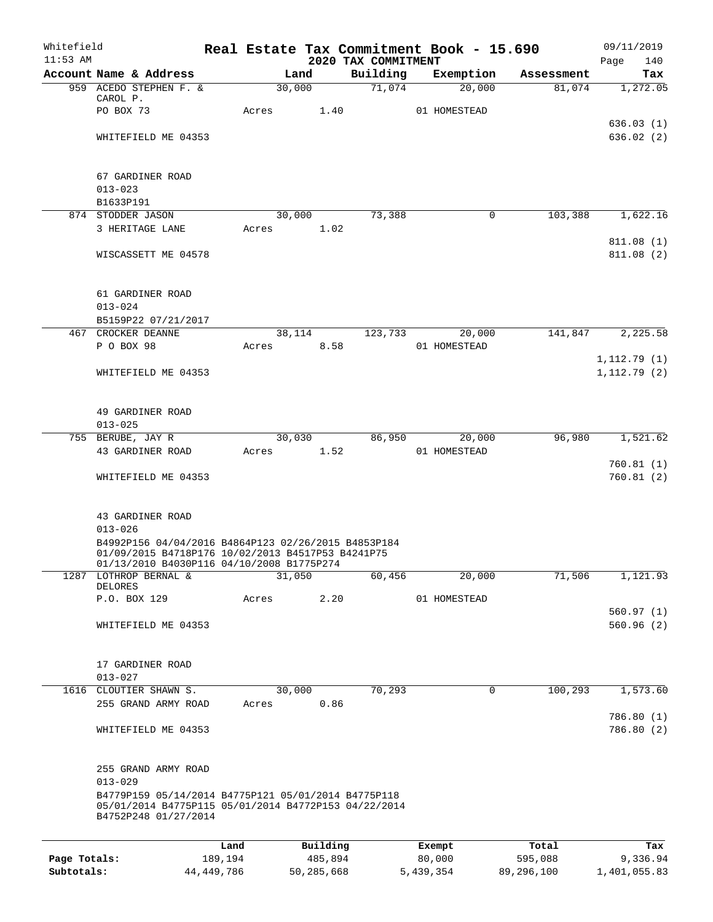| Whitefield<br>$11:53$ AM |                                                                                                                                                       | Real Estate Tax Commitment Book - 15.690 |                     | 2020 TAX COMMITMENT |                  |                        |                  | 09/11/2019<br>Page<br>140 |
|--------------------------|-------------------------------------------------------------------------------------------------------------------------------------------------------|------------------------------------------|---------------------|---------------------|------------------|------------------------|------------------|---------------------------|
|                          | Account Name & Address                                                                                                                                |                                          | Land                | Building            |                  | Exemption              | Assessment       | Tax                       |
|                          | 959 ACEDO STEPHEN F. &                                                                                                                                |                                          | 30,000              | 71,074              |                  | 20,000                 | 81,074           | 1,272.05                  |
|                          | CAROL P.<br>PO BOX 73                                                                                                                                 | Acres                                    | 1.40                |                     |                  | 01 HOMESTEAD           |                  |                           |
|                          |                                                                                                                                                       |                                          |                     |                     |                  |                        |                  | 636.03 (1)                |
|                          | WHITEFIELD ME 04353                                                                                                                                   |                                          |                     |                     |                  |                        |                  | 636.02(2)                 |
|                          |                                                                                                                                                       |                                          |                     |                     |                  |                        |                  |                           |
|                          | 67 GARDINER ROAD                                                                                                                                      |                                          |                     |                     |                  |                        |                  |                           |
|                          | $013 - 023$<br>B1633P191                                                                                                                              |                                          |                     |                     |                  |                        |                  |                           |
|                          | 874 STODDER JASON                                                                                                                                     |                                          | 30,000              | 73,388              |                  | 0                      | 103,388          | 1,622.16                  |
|                          | 3 HERITAGE LANE                                                                                                                                       | Acres                                    | 1.02                |                     |                  |                        |                  |                           |
|                          | WISCASSETT ME 04578                                                                                                                                   |                                          |                     |                     |                  |                        |                  | 811.08(1)<br>811.08(2)    |
|                          |                                                                                                                                                       |                                          |                     |                     |                  |                        |                  |                           |
|                          | 61 GARDINER ROAD                                                                                                                                      |                                          |                     |                     |                  |                        |                  |                           |
|                          | $013 - 024$                                                                                                                                           |                                          |                     |                     |                  |                        |                  |                           |
|                          | B5159P22 07/21/2017                                                                                                                                   |                                          |                     |                     |                  |                        |                  |                           |
|                          | 467 CROCKER DEANNE<br>P O BOX 98                                                                                                                      | Acres                                    | 38,114<br>8.58      | 123,733             |                  | 20,000<br>01 HOMESTEAD | 141,847          | 2,225.58                  |
|                          |                                                                                                                                                       |                                          |                     |                     |                  |                        |                  | 1, 112.79(1)              |
|                          | WHITEFIELD ME 04353                                                                                                                                   |                                          |                     |                     |                  |                        |                  | 1, 112.79(2)              |
|                          |                                                                                                                                                       |                                          |                     |                     |                  |                        |                  |                           |
|                          | 49 GARDINER ROAD<br>$013 - 025$                                                                                                                       |                                          |                     |                     |                  |                        |                  |                           |
|                          | 755 BERUBE, JAY R                                                                                                                                     |                                          | 30,030              | 86,950              |                  | 20,000                 | 96,980           | 1,521.62                  |
|                          | 43 GARDINER ROAD                                                                                                                                      | Acres                                    | 1.52                |                     |                  | 01 HOMESTEAD           |                  |                           |
|                          | WHITEFIELD ME 04353                                                                                                                                   |                                          |                     |                     |                  |                        |                  | 760.81(1)<br>760.81(2)    |
|                          |                                                                                                                                                       |                                          |                     |                     |                  |                        |                  |                           |
|                          | 43 GARDINER ROAD                                                                                                                                      |                                          |                     |                     |                  |                        |                  |                           |
|                          | $013 - 026$                                                                                                                                           |                                          |                     |                     |                  |                        |                  |                           |
|                          | B4992P156 04/04/2016 B4864P123 02/26/2015 B4853P184<br>01/09/2015 B4718P176 10/02/2013 B4517P53 B4241P75<br>01/13/2010 B4030P116 04/10/2008 B1775P274 |                                          |                     |                     |                  |                        |                  |                           |
| 1287                     | LOTHROP BERNAL &<br>DELORES                                                                                                                           |                                          | 31,050              | 60,456              |                  | 20,000                 | 71,506           | 1,121.93                  |
|                          | P.O. BOX 129                                                                                                                                          | Acres                                    | 2.20                |                     |                  | 01 HOMESTEAD           |                  |                           |
|                          |                                                                                                                                                       |                                          |                     |                     |                  |                        |                  | 560.97(1)                 |
|                          | WHITEFIELD ME 04353                                                                                                                                   |                                          |                     |                     |                  |                        |                  | 560.96(2)                 |
|                          | 17 GARDINER ROAD                                                                                                                                      |                                          |                     |                     |                  |                        |                  |                           |
|                          | $013 - 027$                                                                                                                                           |                                          |                     |                     |                  |                        |                  |                           |
|                          | 1616 CLOUTIER SHAWN S.                                                                                                                                |                                          | 30,000              | 70,293              |                  | 0                      | 100,293          | 1,573.60                  |
|                          | 255 GRAND ARMY ROAD                                                                                                                                   | Acres                                    | 0.86                |                     |                  |                        |                  | 786.80 (1)                |
|                          | WHITEFIELD ME 04353                                                                                                                                   |                                          |                     |                     |                  |                        |                  | 786.80 (2)                |
|                          |                                                                                                                                                       |                                          |                     |                     |                  |                        |                  |                           |
|                          | 255 GRAND ARMY ROAD<br>$013 - 029$                                                                                                                    |                                          |                     |                     |                  |                        |                  |                           |
|                          | B4779P159 05/14/2014 B4775P121 05/01/2014 B4775P118                                                                                                   |                                          |                     |                     |                  |                        |                  |                           |
|                          | 05/01/2014 B4775P115 05/01/2014 B4772P153 04/22/2014<br>B4752P248 01/27/2014                                                                          |                                          |                     |                     |                  |                        |                  |                           |
|                          |                                                                                                                                                       |                                          |                     |                     |                  |                        |                  |                           |
| Page Totals:             |                                                                                                                                                       | Land<br>189,194                          | Building<br>485,894 |                     | Exempt<br>80,000 |                        | Total<br>595,088 | Tax<br>9,336.94           |
|                          |                                                                                                                                                       |                                          |                     |                     |                  |                        |                  |                           |

**Subtotals:** 44,449,786 50,285,668 5,439,354 89,296,100 1,401,055.83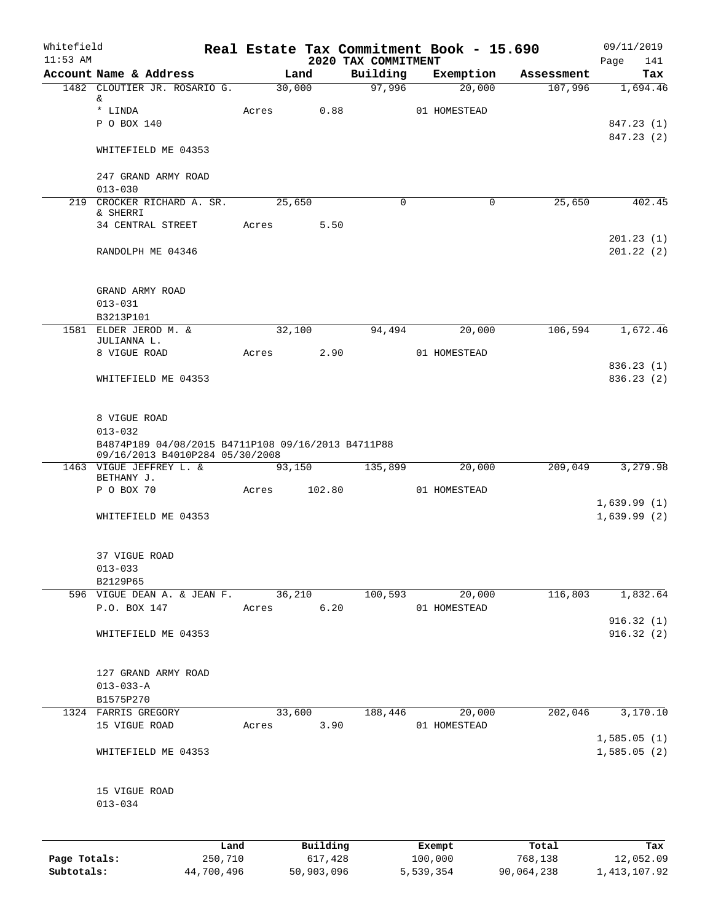| Whitefield<br>$11:53$ AM |                                                                                   |            |       |                     |         |                                 | Real Estate Tax Commitment Book - 15.690 |                    | 09/11/2019                 |
|--------------------------|-----------------------------------------------------------------------------------|------------|-------|---------------------|---------|---------------------------------|------------------------------------------|--------------------|----------------------------|
|                          | Account Name & Address                                                            |            |       | Land                |         | 2020 TAX COMMITMENT<br>Building | Exemption                                | Assessment         | 141<br>Page<br>Tax         |
|                          | 1482 CLOUTIER JR. ROSARIO G.                                                      |            |       | 30,000              |         | 97,996                          | 20,000                                   | 107,996            | 1,694.46                   |
|                          | &                                                                                 |            |       |                     |         |                                 |                                          |                    |                            |
|                          | * LINDA                                                                           |            | Acres |                     | 0.88    |                                 | 01 HOMESTEAD                             |                    |                            |
|                          | P O BOX 140                                                                       |            |       |                     |         |                                 |                                          |                    | 847.23 (1)<br>847.23 (2)   |
|                          | WHITEFIELD ME 04353                                                               |            |       |                     |         |                                 |                                          |                    |                            |
|                          | 247 GRAND ARMY ROAD<br>$013 - 030$                                                |            |       |                     |         |                                 |                                          |                    |                            |
|                          | 219 CROCKER RICHARD A. SR.<br>& SHERRI                                            |            |       | 25,650              |         | $\Omega$                        |                                          | 25,650<br>$\Omega$ | 402.45                     |
|                          | 34 CENTRAL STREET                                                                 |            | Acres |                     | 5.50    |                                 |                                          |                    |                            |
|                          | RANDOLPH ME 04346                                                                 |            |       |                     |         |                                 |                                          |                    | 201.23(1)<br>201.22(2)     |
|                          | GRAND ARMY ROAD                                                                   |            |       |                     |         |                                 |                                          |                    |                            |
|                          | $013 - 031$                                                                       |            |       |                     |         |                                 |                                          |                    |                            |
|                          | B3213P101<br>1581 ELDER JEROD M. &                                                |            |       | $3\overline{2,100}$ |         | 94,494                          | 20,000                                   | 106,594            | 1,672.46                   |
|                          | JULIANNA L.                                                                       |            |       |                     |         |                                 |                                          |                    |                            |
|                          | 8 VIGUE ROAD                                                                      |            | Acres |                     | 2.90    |                                 | 01 HOMESTEAD                             |                    |                            |
|                          | WHITEFIELD ME 04353                                                               |            |       |                     |         |                                 |                                          |                    | 836.23(1)<br>836.23(2)     |
|                          | 8 VIGUE ROAD<br>$013 - 032$<br>B4874P189 04/08/2015 B4711P108 09/16/2013 B4711P88 |            |       |                     |         |                                 |                                          |                    |                            |
|                          | 09/16/2013 B4010P284 05/30/2008<br>1463 VIGUE JEFFREY L. &                        |            |       | 93,150              |         | 135,899                         | 20,000                                   | 209,049            | 3,279.98                   |
|                          | BETHANY J.                                                                        |            |       |                     |         |                                 |                                          |                    |                            |
|                          | P O BOX 70                                                                        |            | Acres |                     | 102.80  |                                 | 01 HOMESTEAD                             |                    |                            |
|                          | WHITEFIELD ME 04353                                                               |            |       |                     |         |                                 |                                          |                    | 1,639.99(1)<br>1,639.99(2) |
|                          | 37 VIGUE ROAD                                                                     |            |       |                     |         |                                 |                                          |                    |                            |
|                          | $013 - 033$<br>B2129P65                                                           |            |       |                     |         |                                 |                                          |                    |                            |
|                          | 596 VIGUE DEAN A. & JEAN F.                                                       |            |       | 36,210              |         | 100,593                         | 20,000                                   | 116,803            | 1,832.64                   |
|                          | P.O. BOX 147                                                                      |            | Acres |                     | 6.20    |                                 | 01 HOMESTEAD                             |                    |                            |
|                          |                                                                                   |            |       |                     |         |                                 |                                          |                    | 916.32(1)                  |
|                          | WHITEFIELD ME 04353                                                               |            |       |                     |         |                                 |                                          |                    | 916.32(2)                  |
|                          | 127 GRAND ARMY ROAD<br>$013 - 033 - A$                                            |            |       |                     |         |                                 |                                          |                    |                            |
|                          | B1575P270<br>1324 FARRIS GREGORY                                                  |            |       | 33,600              |         | 188,446                         | 20,000                                   | 202,046            | 3,170.10                   |
|                          | 15 VIGUE ROAD                                                                     |            | Acres |                     | 3.90    |                                 | 01 HOMESTEAD                             |                    | 1,585.05(1)                |
|                          | WHITEFIELD ME 04353                                                               |            |       |                     |         |                                 |                                          |                    | 1,585.05(2)                |
|                          | 15 VIGUE ROAD<br>$013 - 034$                                                      |            |       |                     |         |                                 |                                          |                    |                            |
|                          |                                                                                   | Land       |       | Building            |         |                                 | Exempt                                   | Total              | Tax                        |
| Page Totals:             |                                                                                   | 250,710    |       |                     | 617,428 |                                 | 100,000                                  | 768,138            | 12,052.09                  |
| Subtotals:               |                                                                                   | 44,700,496 |       | 50,903,096          |         |                                 | 5,539,354                                | 90,064,238         | 1, 413, 107.92             |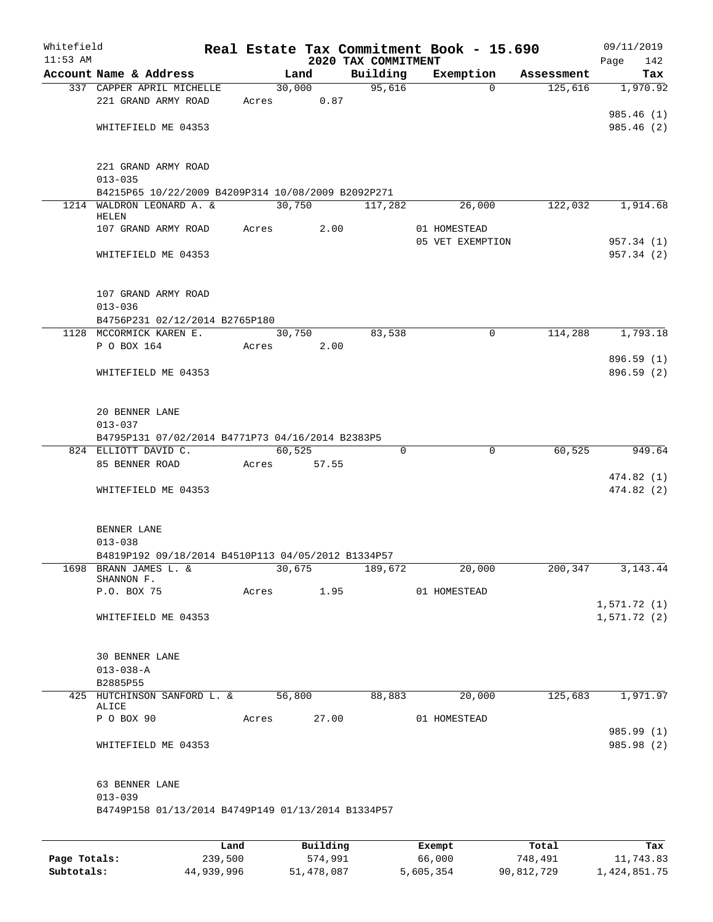| Whitefield<br>$11:53$ AM |                                                                                 |            |        |       | 2020 TAX COMMITMENT | Real Estate Tax Commitment Book - 15.690 |            | 09/11/2019<br>142<br>Page |
|--------------------------|---------------------------------------------------------------------------------|------------|--------|-------|---------------------|------------------------------------------|------------|---------------------------|
|                          | Account Name & Address                                                          |            | Land   |       | Building            | Exemption                                | Assessment | Tax                       |
|                          | 337 CAPPER APRIL MICHELLE                                                       |            | 30,000 |       | 95,616              | $\Omega$                                 | 125,616    | 1,970.92                  |
|                          | 221 GRAND ARMY ROAD                                                             |            | Acres  | 0.87  |                     |                                          |            |                           |
|                          |                                                                                 |            |        |       |                     |                                          |            | 985.46 (1)                |
|                          | WHITEFIELD ME 04353                                                             |            |        |       |                     |                                          |            | 985.46 (2)                |
|                          |                                                                                 |            |        |       |                     |                                          |            |                           |
|                          |                                                                                 |            |        |       |                     |                                          |            |                           |
|                          | 221 GRAND ARMY ROAD                                                             |            |        |       |                     |                                          |            |                           |
|                          | $013 - 035$                                                                     |            |        |       |                     |                                          |            |                           |
|                          | B4215P65 10/22/2009 B4209P314 10/08/2009 B2092P271<br>1214 WALDRON LEONARD A. & |            |        |       | 117,282             |                                          |            |                           |
|                          | HELEN                                                                           |            | 30,750 |       |                     | 26,000                                   | 122,032    | 1,914.68                  |
|                          | 107 GRAND ARMY ROAD                                                             | Acres      |        | 2.00  |                     | 01 HOMESTEAD                             |            |                           |
|                          |                                                                                 |            |        |       |                     | 05 VET EXEMPTION                         |            | 957.34 (1)                |
|                          | WHITEFIELD ME 04353                                                             |            |        |       |                     |                                          |            | 957.34 (2)                |
|                          |                                                                                 |            |        |       |                     |                                          |            |                           |
|                          |                                                                                 |            |        |       |                     |                                          |            |                           |
|                          | 107 GRAND ARMY ROAD                                                             |            |        |       |                     |                                          |            |                           |
|                          | $013 - 036$                                                                     |            |        |       |                     |                                          |            |                           |
|                          | B4756P231 02/12/2014 B2765P180                                                  |            |        |       |                     |                                          |            |                           |
|                          | 1128 MCCORMICK KAREN E.                                                         |            | 30,750 |       | 83,538              | $\mathbf 0$                              | 114,288    | 1,793.18                  |
|                          | P O BOX 164                                                                     | Acres      |        | 2.00  |                     |                                          |            |                           |
|                          |                                                                                 |            |        |       |                     |                                          |            | 896.59 (1)                |
|                          | WHITEFIELD ME 04353                                                             |            |        |       |                     |                                          |            | 896.59 (2)                |
|                          |                                                                                 |            |        |       |                     |                                          |            |                           |
|                          | 20 BENNER LANE                                                                  |            |        |       |                     |                                          |            |                           |
|                          | $013 - 037$                                                                     |            |        |       |                     |                                          |            |                           |
|                          | B4795P131 07/02/2014 B4771P73 04/16/2014 B2383P5                                |            |        |       |                     |                                          |            |                           |
|                          | 824 ELLIOTT DAVID C.                                                            |            | 60,525 |       | 0                   | 0                                        | 60,525     | 949.64                    |
|                          | 85 BENNER ROAD                                                                  | Acres      |        | 57.55 |                     |                                          |            |                           |
|                          |                                                                                 |            |        |       |                     |                                          |            | 474.82 (1)                |
|                          | WHITEFIELD ME 04353                                                             |            |        |       |                     |                                          |            | 474.82(2)                 |
|                          |                                                                                 |            |        |       |                     |                                          |            |                           |
|                          |                                                                                 |            |        |       |                     |                                          |            |                           |
|                          | BENNER LANE                                                                     |            |        |       |                     |                                          |            |                           |
|                          | $013 - 038$                                                                     |            |        |       |                     |                                          |            |                           |
|                          | B4819P192 09/18/2014 B4510P113 04/05/2012 B1334P57                              |            |        |       |                     |                                          |            |                           |
|                          | 1698 BRANN JAMES L. &                                                           |            | 30,675 |       | 189,672             | 20,000                                   | 200,347    | 3, 143. 44                |
|                          | SHANNON F.<br>P.O. BOX 75                                                       | Acres 1.95 |        |       |                     | 01 HOMESTEAD                             |            |                           |
|                          |                                                                                 |            |        |       |                     |                                          |            | 1,571.72(1)               |
|                          | WHITEFIELD ME 04353                                                             |            |        |       |                     |                                          |            | 1,571.72(2)               |
|                          |                                                                                 |            |        |       |                     |                                          |            |                           |
|                          |                                                                                 |            |        |       |                     |                                          |            |                           |
|                          | 30 BENNER LANE                                                                  |            |        |       |                     |                                          |            |                           |
|                          | $013 - 038 - A$                                                                 |            |        |       |                     |                                          |            |                           |
|                          | B2885P55                                                                        |            |        |       |                     |                                          |            |                           |
|                          | 425 HUTCHINSON SANFORD L. &                                                     |            | 56,800 |       | 88,883              | 20,000                                   | 125,683    | 1,971.97                  |
|                          | ALICE                                                                           |            |        |       |                     |                                          |            |                           |
|                          | P O BOX 90                                                                      |            | Acres  | 27.00 |                     | 01 HOMESTEAD                             |            |                           |
|                          |                                                                                 |            |        |       |                     |                                          |            | 985.99 (1)                |
|                          | WHITEFIELD ME 04353                                                             |            |        |       |                     |                                          |            | 985.98 (2)                |
|                          |                                                                                 |            |        |       |                     |                                          |            |                           |
|                          | 63 BENNER LANE                                                                  |            |        |       |                     |                                          |            |                           |
|                          | $013 - 039$                                                                     |            |        |       |                     |                                          |            |                           |
|                          | B4749P158 01/13/2014 B4749P149 01/13/2014 B1334P57                              |            |        |       |                     |                                          |            |                           |
|                          |                                                                                 |            |        |       |                     |                                          |            |                           |
|                          |                                                                                 |            |        |       |                     |                                          |            |                           |
|                          |                                                                                 |            |        |       |                     |                                          |            |                           |

|              | Land       | Building   | Exempt    | Total      | Tax          |
|--------------|------------|------------|-----------|------------|--------------|
| Page Totals: | 239,500    | 574,991    | 66,000    | 748,491    | 11,743.83    |
| Subtotals:   | 44,939,996 | 51,478,087 | 5,605,354 | 90,812,729 | 1,424,851.75 |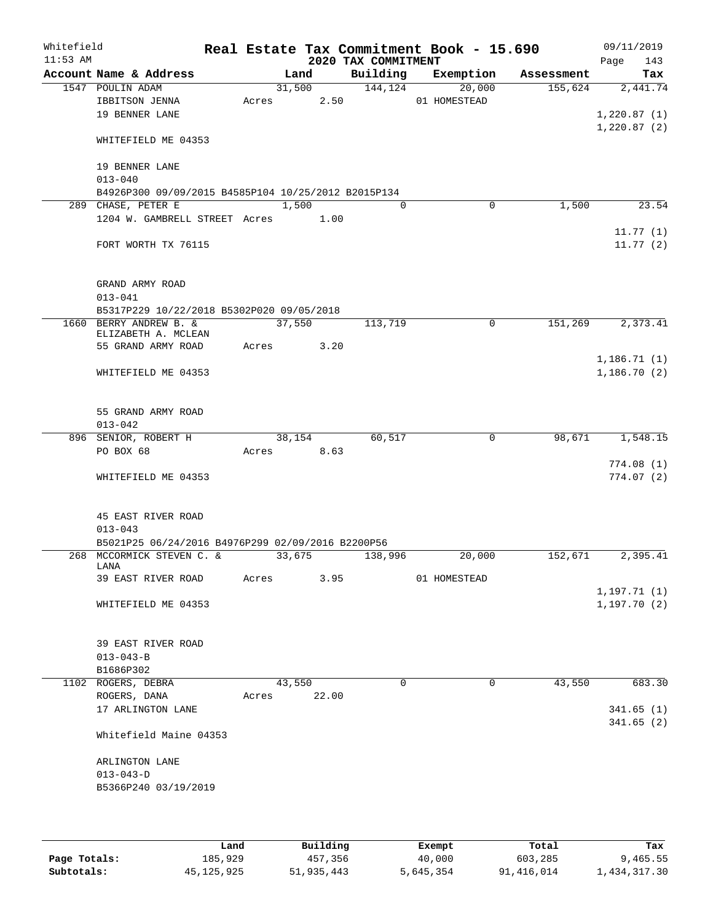| Whitefield<br>$11:53$ AM |                                                     |       |            |       | 2020 TAX COMMITMENT | Real Estate Tax Commitment Book - 15.690 |            | 09/11/2019<br>143<br>Page |
|--------------------------|-----------------------------------------------------|-------|------------|-------|---------------------|------------------------------------------|------------|---------------------------|
|                          | Account Name & Address                              |       | Land       |       | Building            | Exemption                                | Assessment | Tax                       |
|                          | 1547 POULIN ADAM                                    |       | 31,500     |       | 144, 124            | 20,000                                   | 155,624    | 2,441.74                  |
|                          | IBBITSON JENNA                                      |       | Acres 2.50 |       |                     | 01 HOMESTEAD                             |            |                           |
|                          | 19 BENNER LANE                                      |       |            |       |                     |                                          |            | 1,220.87(1)               |
|                          |                                                     |       |            |       |                     |                                          |            | 1,220.87(2)               |
|                          | WHITEFIELD ME 04353                                 |       |            |       |                     |                                          |            |                           |
|                          |                                                     |       |            |       |                     |                                          |            |                           |
|                          | 19 BENNER LANE                                      |       |            |       |                     |                                          |            |                           |
|                          | $013 - 040$                                         |       |            |       |                     |                                          |            |                           |
|                          | B4926P300 09/09/2015 B4585P104 10/25/2012 B2015P134 |       |            |       |                     |                                          |            |                           |
|                          | 289 CHASE, PETER E                                  |       | 1,500      |       | $\Omega$            | $\mathbf 0$                              | 1,500      | 23.54                     |
|                          | 1204 W. GAMBRELL STREET Acres 1.00                  |       |            |       |                     |                                          |            |                           |
|                          |                                                     |       |            |       |                     |                                          |            | 11.77(1)                  |
|                          | FORT WORTH TX 76115                                 |       |            |       |                     |                                          |            | 11.77(2)                  |
|                          |                                                     |       |            |       |                     |                                          |            |                           |
|                          |                                                     |       |            |       |                     |                                          |            |                           |
|                          | GRAND ARMY ROAD                                     |       |            |       |                     |                                          |            |                           |
|                          | $013 - 041$                                         |       |            |       |                     |                                          |            |                           |
|                          | B5317P229 10/22/2018 B5302P020 09/05/2018           |       |            |       |                     |                                          |            |                           |
|                          | 1660 BERRY ANDREW B. &                              |       | 37,550     |       | 113,719             | $\Omega$                                 | 151,269    | 2,373.41                  |
|                          | ELIZABETH A. MCLEAN                                 |       |            |       |                     |                                          |            |                           |
|                          | 55 GRAND ARMY ROAD                                  |       | Acres 3.20 |       |                     |                                          |            |                           |
|                          |                                                     |       |            |       |                     |                                          |            | 1,186.71(1)               |
|                          | WHITEFIELD ME 04353                                 |       |            |       |                     |                                          |            | 1,186.70(2)               |
|                          |                                                     |       |            |       |                     |                                          |            |                           |
|                          |                                                     |       |            |       |                     |                                          |            |                           |
|                          | 55 GRAND ARMY ROAD                                  |       |            |       |                     |                                          |            |                           |
|                          | $013 - 042$                                         |       |            |       |                     |                                          |            |                           |
|                          | 896 SENIOR, ROBERT H                                |       | 38,154     |       | 60,517              | 0                                        | 98,671     | 1,548.15                  |
|                          | PO BOX 68                                           |       | Acres 8.63 |       |                     |                                          |            |                           |
|                          |                                                     |       |            |       |                     |                                          |            | 774.08(1)                 |
|                          | WHITEFIELD ME 04353                                 |       |            |       |                     |                                          |            | 774.07(2)                 |
|                          |                                                     |       |            |       |                     |                                          |            |                           |
|                          |                                                     |       |            |       |                     |                                          |            |                           |
|                          | 45 EAST RIVER ROAD                                  |       |            |       |                     |                                          |            |                           |
|                          | $013 - 043$                                         |       |            |       |                     |                                          |            |                           |
|                          | B5021P25 06/24/2016 B4976P299 02/09/2016 B2200P56   |       |            |       |                     |                                          |            |                           |
|                          | 268 MCCORMICK STEVEN C. &<br>LANA                   |       | 33,675     |       | 138,996             | 20,000                                   | 152,671    | 2,395.41                  |
|                          | 39 EAST RIVER ROAD                                  | Acres |            | 3.95  |                     | 01 HOMESTEAD                             |            |                           |
|                          |                                                     |       |            |       |                     |                                          |            | 1,197.71 (1)              |
|                          | WHITEFIELD ME 04353                                 |       |            |       |                     |                                          |            | 1, 197.70(2)              |
|                          |                                                     |       |            |       |                     |                                          |            |                           |
|                          |                                                     |       |            |       |                     |                                          |            |                           |
|                          | 39 EAST RIVER ROAD                                  |       |            |       |                     |                                          |            |                           |
|                          | $013 - 043 - B$                                     |       |            |       |                     |                                          |            |                           |
|                          | B1686P302                                           |       |            |       |                     |                                          |            |                           |
|                          | 1102 ROGERS, DEBRA                                  |       | 43,550     |       | $\Omega$            | $\Omega$                                 | 43,550     | 683.30                    |
|                          | ROGERS, DANA                                        | Acres |            | 22.00 |                     |                                          |            |                           |
|                          | 17 ARLINGTON LANE                                   |       |            |       |                     |                                          |            | 341.65(1)                 |
|                          |                                                     |       |            |       |                     |                                          |            | 341.65(2)                 |
|                          | Whitefield Maine 04353                              |       |            |       |                     |                                          |            |                           |
|                          |                                                     |       |            |       |                     |                                          |            |                           |
|                          | ARLINGTON LANE                                      |       |            |       |                     |                                          |            |                           |
|                          | $013 - 043 - D$                                     |       |            |       |                     |                                          |            |                           |
|                          | B5366P240 03/19/2019                                |       |            |       |                     |                                          |            |                           |
|                          |                                                     |       |            |       |                     |                                          |            |                           |
|                          |                                                     |       |            |       |                     |                                          |            |                           |
|                          |                                                     |       |            |       |                     |                                          |            |                           |

|              | Land       | Building   | Exempt    | Total      | Tax          |
|--------------|------------|------------|-----------|------------|--------------|
| Page Totals: | 185,929    | 457,356    | 40,000    | 603,285    | 9,465.55     |
| Subtotals:   | 45,125,925 | 51,935,443 | 5,645,354 | 91,416,014 | 1,434,317.30 |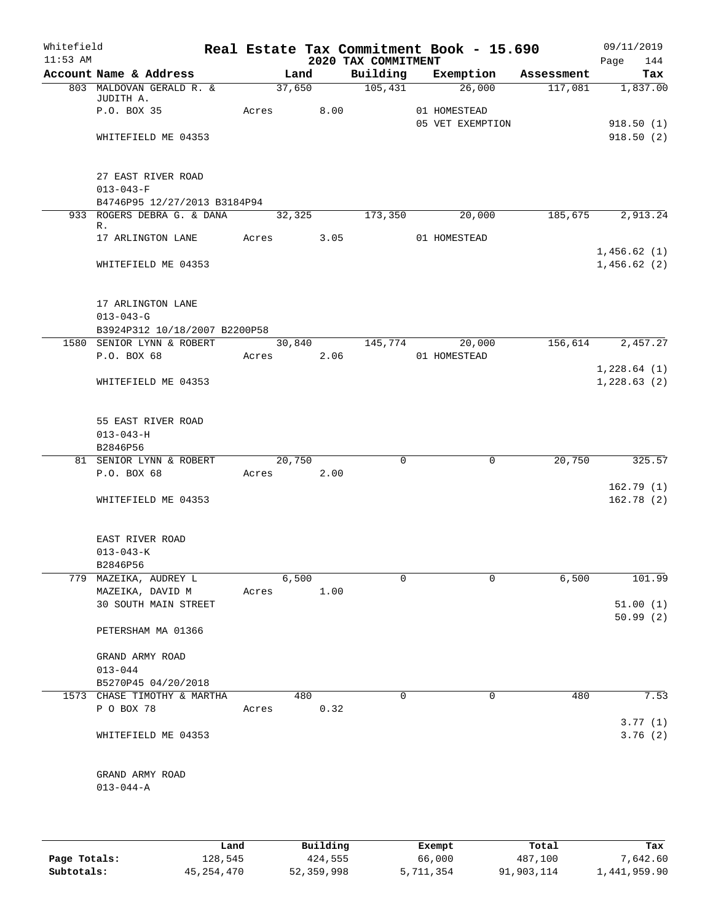| Whitefield<br>$11:53$ AM |                               |       |                    |      | 2020 TAX COMMITMENT  | Real Estate Tax Commitment Book - 15.690 |        | 09/11/2019<br>Page<br>144 |
|--------------------------|-------------------------------|-------|--------------------|------|----------------------|------------------------------------------|--------|---------------------------|
|                          | Account Name & Address        |       | Land               |      |                      | Building Exemption Assessment            |        | Tax                       |
|                          | 803 MALDOVAN GERALD R. &      |       | $\frac{37,650}{ }$ |      | $\overline{105,431}$ | 26,000                                   |        | 117,081 1,837.00          |
|                          | JUDITH A.                     |       |                    |      |                      |                                          |        |                           |
|                          | P.O. BOX 35                   |       | Acres 8.00         |      |                      | 01 HOMESTEAD<br>05 VET EXEMPTION         |        |                           |
|                          | WHITEFIELD ME 04353           |       |                    |      |                      |                                          |        | 918.50(1)<br>918.50(2)    |
|                          |                               |       |                    |      |                      |                                          |        |                           |
|                          | 27 EAST RIVER ROAD            |       |                    |      |                      |                                          |        |                           |
|                          | $013 - 043 - F$               |       |                    |      |                      |                                          |        |                           |
|                          | B4746P95 12/27/2013 B3184P94  |       |                    |      |                      |                                          |        |                           |
|                          | 933 ROGERS DEBRA G. & DANA    |       | 32,325             |      | 173,350              | 20,000                                   |        | 185,675 2,913.24          |
|                          | R.                            |       |                    |      |                      |                                          |        |                           |
|                          | 17 ARLINGTON LANE             |       | Acres 3.05         |      |                      | 01 HOMESTEAD                             |        |                           |
|                          |                               |       |                    |      |                      |                                          |        | 1,456.62(1)               |
|                          | WHITEFIELD ME 04353           |       |                    |      |                      |                                          |        | 1,456.62(2)               |
|                          | 17 ARLINGTON LANE             |       |                    |      |                      |                                          |        |                           |
|                          | $013 - 043 - G$               |       |                    |      |                      |                                          |        |                           |
|                          | B3924P312 10/18/2007 B2200P58 |       |                    |      |                      |                                          |        |                           |
|                          | 1580 SENIOR LYNN & ROBERT     |       |                    |      | 30,840 145,774       | 20,000                                   |        | 156,614 2,457.27          |
|                          | P.O. BOX 68                   |       | Acres 2.06         |      |                      | 01 HOMESTEAD                             |        |                           |
|                          |                               |       |                    |      |                      |                                          |        | 1,228.64(1)               |
|                          | WHITEFIELD ME 04353           |       |                    |      |                      |                                          |        | 1,228.63(2)               |
|                          |                               |       |                    |      |                      |                                          |        |                           |
|                          |                               |       |                    |      |                      |                                          |        |                           |
|                          | 55 EAST RIVER ROAD            |       |                    |      |                      |                                          |        |                           |
|                          | $013 - 043 - H$               |       |                    |      |                      |                                          |        |                           |
|                          | B2846P56                      |       |                    |      |                      |                                          |        |                           |
|                          | 81 SENIOR LYNN & ROBERT       |       | 20,750             |      | $\mathbf 0$          | $\mathbf 0$                              | 20,750 | 325.57                    |
|                          | P.O. BOX 68                   |       | Acres 2.00         |      |                      |                                          |        |                           |
|                          | WHITEFIELD ME 04353           |       |                    |      |                      |                                          |        | 162.79(1)<br>162.78(2)    |
|                          |                               |       |                    |      |                      |                                          |        |                           |
|                          | EAST RIVER ROAD               |       |                    |      |                      |                                          |        |                           |
|                          | $013 - 043 - K$               |       |                    |      |                      |                                          |        |                           |
|                          | B2846P56                      |       |                    |      |                      |                                          |        |                           |
|                          | 779 MAZEIKA, AUDREY L         |       | 6,500              |      | $\Omega$             | 0                                        | 6,500  | 101.99                    |
|                          | MAZEIKA, DAVID M              | Acres |                    | 1.00 |                      |                                          |        |                           |
|                          | 30 SOUTH MAIN STREET          |       |                    |      |                      |                                          |        | 51.00(1)                  |
|                          |                               |       |                    |      |                      |                                          |        | 50.99(2)                  |
|                          | PETERSHAM MA 01366            |       |                    |      |                      |                                          |        |                           |
|                          | GRAND ARMY ROAD               |       |                    |      |                      |                                          |        |                           |
|                          | $013 - 044$                   |       |                    |      |                      |                                          |        |                           |
|                          | B5270P45 04/20/2018           |       |                    |      |                      |                                          |        |                           |
|                          | 1573 CHASE TIMOTHY & MARTHA   |       | 480                |      | $\mathbf 0$          | 0                                        | 480    | 7.53                      |
|                          | P O BOX 78                    | Acres |                    | 0.32 |                      |                                          |        |                           |
|                          |                               |       |                    |      |                      |                                          |        | 3.77(1)                   |
|                          | WHITEFIELD ME 04353           |       |                    |      |                      |                                          |        | 3.76(2)                   |
|                          |                               |       |                    |      |                      |                                          |        |                           |
|                          | GRAND ARMY ROAD               |       |                    |      |                      |                                          |        |                           |
|                          | $013 - 044 - A$               |       |                    |      |                      |                                          |        |                           |
|                          |                               |       |                    |      |                      |                                          |        |                           |
|                          |                               |       |                    |      |                      |                                          |        |                           |
|                          |                               |       |                    |      |                      |                                          |        |                           |
|                          |                               |       |                    |      |                      |                                          |        |                           |

|              | Land         | Building   | Exempt    | Total      | Tax          |
|--------------|--------------|------------|-----------|------------|--------------|
| Page Totals: | 128,545      | 424,555    | 66,000    | 487,100    | 7,642.60     |
| Subtotals:   | 45, 254, 470 | 52,359,998 | 5,711,354 | 91,903,114 | 1,441,959.90 |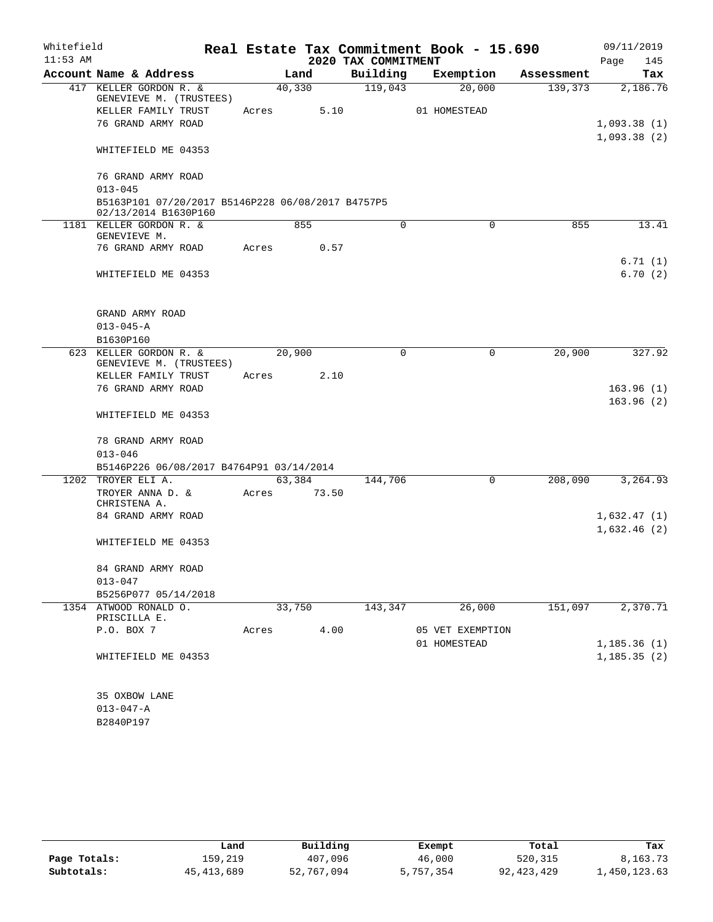| Whitefield |                                                                           |       |        |                     | Real Estate Tax Commitment Book - 15.690 |            | 09/11/2019   |
|------------|---------------------------------------------------------------------------|-------|--------|---------------------|------------------------------------------|------------|--------------|
| $11:53$ AM |                                                                           |       |        | 2020 TAX COMMITMENT |                                          |            | Page<br>145  |
|            | Account Name & Address                                                    |       | Land   | Building            | Exemption                                | Assessment | Tax          |
|            | 417 KELLER GORDON R. &                                                    |       | 40,330 | 119,043             | 20,000                                   | 139,373    | 2,186.76     |
|            | GENEVIEVE M. (TRUSTEES)<br>KELLER FAMILY TRUST                            | Acres | 5.10   |                     | 01 HOMESTEAD                             |            |              |
|            | 76 GRAND ARMY ROAD                                                        |       |        |                     |                                          |            | 1,093.38(1)  |
|            |                                                                           |       |        |                     |                                          |            | 1,093.38(2)  |
|            | WHITEFIELD ME 04353                                                       |       |        |                     |                                          |            |              |
|            | 76 GRAND ARMY ROAD                                                        |       |        |                     |                                          |            |              |
|            | $013 - 045$                                                               |       |        |                     |                                          |            |              |
|            | B5163P101 07/20/2017 B5146P228 06/08/2017 B4757P5<br>02/13/2014 B1630P160 |       |        |                     |                                          |            |              |
|            | 1181 KELLER GORDON R. &<br>GENEVIEVE M.                                   |       | 855    | 0                   | 0                                        | 855        | 13.41        |
|            | 76 GRAND ARMY ROAD                                                        | Acres | 0.57   |                     |                                          |            |              |
|            |                                                                           |       |        |                     |                                          |            | 6.71(1)      |
|            | WHITEFIELD ME 04353                                                       |       |        |                     |                                          |            | 6.70(2)      |
|            | GRAND ARMY ROAD                                                           |       |        |                     |                                          |            |              |
|            | $013 - 045 - A$                                                           |       |        |                     |                                          |            |              |
|            | B1630P160                                                                 |       |        |                     |                                          |            |              |
|            | 623 KELLER GORDON R. &                                                    |       | 20,900 | $\mathbf 0$         | 0                                        | 20,900     | 327.92       |
|            | GENEVIEVE M. (TRUSTEES)<br>KELLER FAMILY TRUST                            | Acres | 2.10   |                     |                                          |            |              |
|            | 76 GRAND ARMY ROAD                                                        |       |        |                     |                                          |            | 163.96(1)    |
|            |                                                                           |       |        |                     |                                          |            | 163.96(2)    |
|            | WHITEFIELD ME 04353                                                       |       |        |                     |                                          |            |              |
|            | 78 GRAND ARMY ROAD                                                        |       |        |                     |                                          |            |              |
|            | $013 - 046$                                                               |       |        |                     |                                          |            |              |
|            | B5146P226 06/08/2017 B4764P91 03/14/2014                                  |       |        |                     |                                          |            |              |
|            | 1202 TROYER ELI A.                                                        |       | 63,384 | 144,706             | 0                                        | 208,090    | 3,264.93     |
|            | TROYER ANNA D. &<br>CHRISTENA A.                                          | Acres | 73.50  |                     |                                          |            |              |
|            | 84 GRAND ARMY ROAD                                                        |       |        |                     |                                          |            | 1,632.47(1)  |
|            |                                                                           |       |        |                     |                                          |            | 1,632.46(2)  |
|            | WHITEFIELD ME 04353                                                       |       |        |                     |                                          |            |              |
|            | 84 GRAND ARMY ROAD                                                        |       |        |                     |                                          |            |              |
|            | $013 - 047$                                                               |       |        |                     |                                          |            |              |
|            | B5256P077 05/14/2018                                                      |       |        |                     |                                          |            |              |
|            | 1354 ATWOOD RONALD O.                                                     |       | 33,750 | 143,347             | 26,000                                   | 151,097    | 2,370.71     |
|            | PRISCILLA E.<br>P.O. BOX 7                                                | Acres | 4.00   |                     | 05 VET EXEMPTION                         |            |              |
|            |                                                                           |       |        |                     | 01 HOMESTEAD                             |            | 1,185.36(1)  |
|            | WHITEFIELD ME 04353                                                       |       |        |                     |                                          |            | 1, 185.35(2) |
|            |                                                                           |       |        |                     |                                          |            |              |
|            | 35 OXBOW LANE                                                             |       |        |                     |                                          |            |              |
|            | $013 - 047 - A$                                                           |       |        |                     |                                          |            |              |
|            | B2840P197                                                                 |       |        |                     |                                          |            |              |

|              | Land       | Building   | Exempt    | Total      | Tax          |
|--------------|------------|------------|-----------|------------|--------------|
| Page Totals: | 159.219    | 407,096    | 46,000    | 520,315    | 8,163.73     |
| Subtotals:   | 45,413,689 | 52,767,094 | 5,757,354 | 92,423,429 | 1,450,123.63 |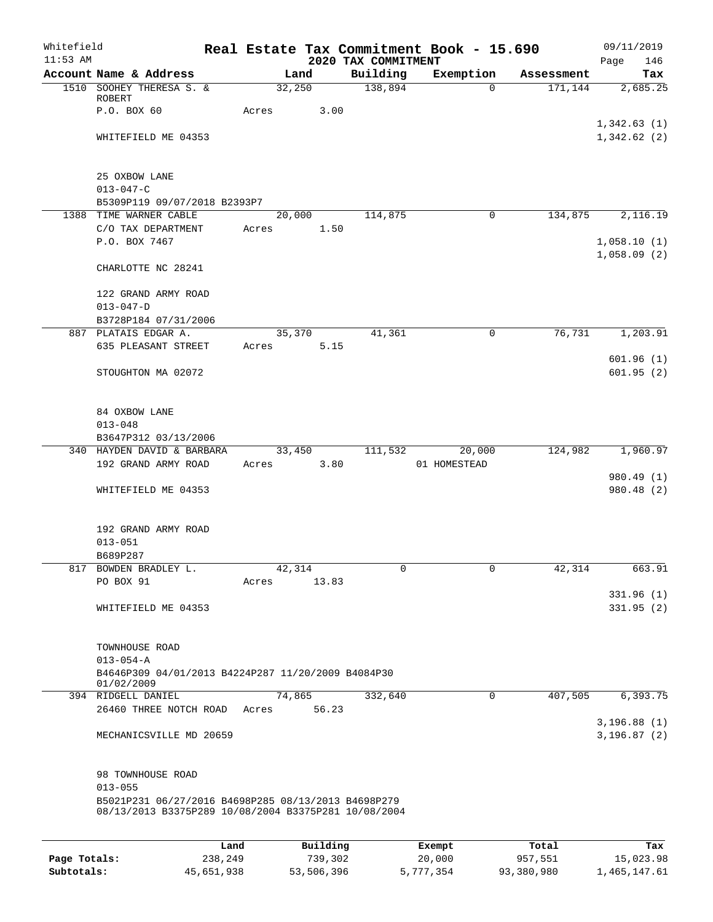| Whitefield<br>$11:53$ AM |                                                                                                             |                 |          |                                 | Real Estate Tax Commitment Book - 15.690 |            | 09/11/2019                 |
|--------------------------|-------------------------------------------------------------------------------------------------------------|-----------------|----------|---------------------------------|------------------------------------------|------------|----------------------------|
|                          | Account Name & Address                                                                                      | Land            |          | 2020 TAX COMMITMENT<br>Building | Exemption                                | Assessment | Page<br>146<br>Tax         |
|                          | 1510 SOOHEY THERESA S. &                                                                                    | 32,250          |          | 138,894                         | $\Omega$                                 | 171,144    | 2,685.25                   |
|                          | ROBERT<br>P.O. BOX 60                                                                                       | Acres           | 3.00     |                                 |                                          |            |                            |
|                          |                                                                                                             |                 |          |                                 |                                          |            | 1,342.63(1)                |
|                          | WHITEFIELD ME 04353                                                                                         |                 |          |                                 |                                          |            | 1,342.62(2)                |
|                          | 25 OXBOW LANE                                                                                               |                 |          |                                 |                                          |            |                            |
|                          | $013 - 047 - C$                                                                                             |                 |          |                                 |                                          |            |                            |
|                          | B5309P119 09/07/2018 B2393P7<br>1388 TIME WARNER CABLE                                                      | 20,000          |          | 114,875                         | 0                                        | 134,875    | 2,116.19                   |
|                          | C/O TAX DEPARTMENT                                                                                          | Acres           | 1.50     |                                 |                                          |            |                            |
|                          | P.O. BOX 7467                                                                                               |                 |          |                                 |                                          |            | 1,058.10(1)<br>1,058.09(2) |
|                          | CHARLOTTE NC 28241                                                                                          |                 |          |                                 |                                          |            |                            |
|                          | 122 GRAND ARMY ROAD<br>$013 - 047 - D$                                                                      |                 |          |                                 |                                          |            |                            |
|                          | B3728P184 07/31/2006                                                                                        |                 |          |                                 |                                          |            |                            |
|                          | 887 PLATAIS EDGAR A.                                                                                        | 35,370          |          | 41,361                          | $\mathbf 0$                              | 76,731     | 1, 203.91                  |
|                          | 635 PLEASANT STREET                                                                                         | Acres           | 5.15     |                                 |                                          |            | 601.96(1)                  |
|                          | STOUGHTON MA 02072                                                                                          |                 |          |                                 |                                          |            | 601.95(2)                  |
|                          | 84 OXBOW LANE                                                                                               |                 |          |                                 |                                          |            |                            |
|                          | $013 - 048$                                                                                                 |                 |          |                                 |                                          |            |                            |
|                          | B3647P312 03/13/2006<br>340 HAYDEN DAVID & BARBARA                                                          |                 |          |                                 |                                          | 124,982    | 1,960.97                   |
|                          | 192 GRAND ARMY ROAD                                                                                         | 33,450<br>Acres | 3.80     | 111,532                         | 20,000<br>01 HOMESTEAD                   |            |                            |
|                          |                                                                                                             |                 |          |                                 |                                          |            | 980.49 (1)                 |
|                          | WHITEFIELD ME 04353                                                                                         |                 |          |                                 |                                          |            | 980.48 (2)                 |
|                          | 192 GRAND ARMY ROAD                                                                                         |                 |          |                                 |                                          |            |                            |
|                          | $013 - 051$                                                                                                 |                 |          |                                 |                                          |            |                            |
|                          | B689P287<br>817 BOWDEN BRADLEY L.                                                                           | 42,314          |          | 0                               | 0                                        | 42,314     | 663.91                     |
|                          | PO BOX 91                                                                                                   | Acres           | 13.83    |                                 |                                          |            |                            |
|                          |                                                                                                             |                 |          |                                 |                                          |            | 331.96(1)                  |
|                          | WHITEFIELD ME 04353                                                                                         |                 |          |                                 |                                          |            | 331.95(2)                  |
|                          | TOWNHOUSE ROAD                                                                                              |                 |          |                                 |                                          |            |                            |
|                          | $013 - 054 - A$                                                                                             |                 |          |                                 |                                          |            |                            |
|                          | B4646P309 04/01/2013 B4224P287 11/20/2009 B4084P30<br>01/02/2009                                            |                 |          |                                 |                                          |            |                            |
|                          | 394 RIDGELL DANIEL                                                                                          | 74,865          |          | 332,640                         | $\mathbf 0$                              | 407,505    | 6,393.75                   |
|                          | 26460 THREE NOTCH ROAD                                                                                      | Acres           | 56.23    |                                 |                                          |            |                            |
|                          | MECHANICSVILLE MD 20659                                                                                     |                 |          |                                 |                                          |            | 3,196.88(1)<br>3,196.87(2) |
|                          | 98 TOWNHOUSE ROAD                                                                                           |                 |          |                                 |                                          |            |                            |
|                          | $013 - 055$                                                                                                 |                 |          |                                 |                                          |            |                            |
|                          | B5021P231 06/27/2016 B4698P285 08/13/2013 B4698P279<br>08/13/2013 B3375P289 10/08/2004 B3375P281 10/08/2004 |                 |          |                                 |                                          |            |                            |
|                          |                                                                                                             |                 |          |                                 |                                          |            |                            |
|                          |                                                                                                             | Land            | Building |                                 | Exempt                                   | Total      | Tax                        |
| Page Totals:             | 238,249                                                                                                     |                 | 739,302  |                                 | 20,000                                   | 957,551    | 15,023.98                  |

**Subtotals:** 45,651,938 53,506,396 5,777,354 93,380,980 1,465,147.61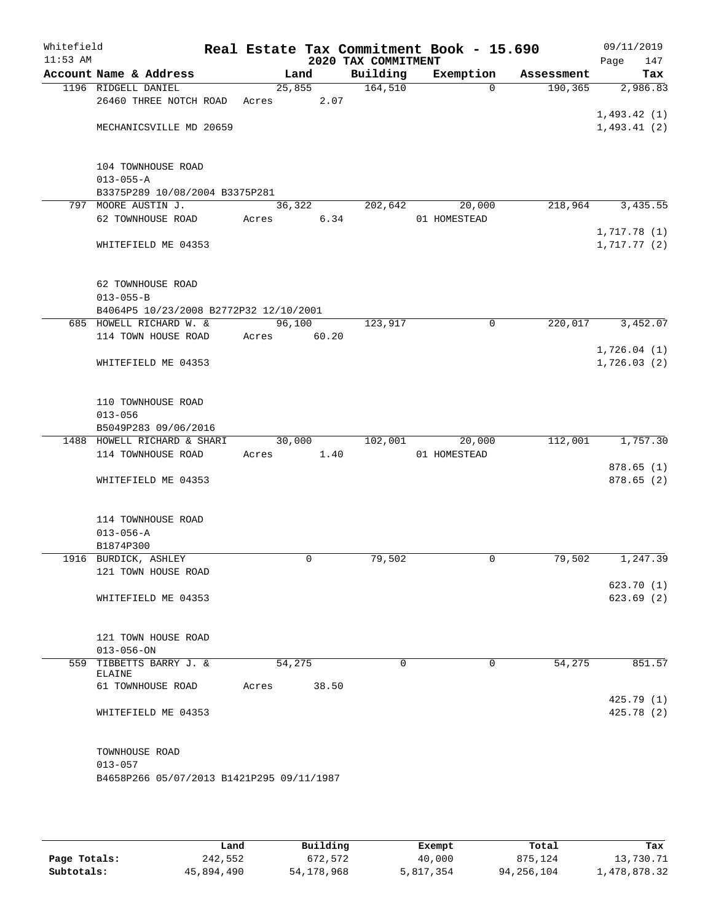| Whitefield<br>$11:53$ AM |                                           |        |       | 2020 TAX COMMITMENT | Real Estate Tax Commitment Book - 15.690 |            | 09/11/2019<br>Page<br>147 |
|--------------------------|-------------------------------------------|--------|-------|---------------------|------------------------------------------|------------|---------------------------|
|                          | Account Name & Address                    |        | Land  | Building            | Exemption                                | Assessment | Tax                       |
|                          | 1196 RIDGELL DANIEL                       | 25,855 |       | 164,510             | $\Omega$                                 | 190, 365   | 2,986.83                  |
|                          | 26460 THREE NOTCH ROAD                    | Acres  | 2.07  |                     |                                          |            |                           |
|                          |                                           |        |       |                     |                                          |            | 1,493.42(1)               |
|                          | MECHANICSVILLE MD 20659                   |        |       |                     |                                          |            | 1,493.41(2)               |
|                          |                                           |        |       |                     |                                          |            |                           |
|                          | 104 TOWNHOUSE ROAD                        |        |       |                     |                                          |            |                           |
|                          | $013 - 055 - A$                           |        |       |                     |                                          |            |                           |
|                          | B3375P289 10/08/2004 B3375P281            |        |       |                     |                                          |            |                           |
|                          | 797 MOORE AUSTIN J.                       | 36,322 |       | 202,642             | 20,000                                   | 218,964    | 3,435.55                  |
|                          | 62 TOWNHOUSE ROAD                         | Acres  | 6.34  |                     | 01 HOMESTEAD                             |            |                           |
|                          |                                           |        |       |                     |                                          |            | 1,717.78(1)               |
|                          | WHITEFIELD ME 04353                       |        |       |                     |                                          |            | 1,717.77(2)               |
|                          |                                           |        |       |                     |                                          |            |                           |
|                          |                                           |        |       |                     |                                          |            |                           |
|                          | 62 TOWNHOUSE ROAD<br>$013 - 055 - B$      |        |       |                     |                                          |            |                           |
|                          | B4064P5 10/23/2008 B2772P32 12/10/2001    |        |       |                     |                                          |            |                           |
|                          | 685 HOWELL RICHARD W. &                   | 96,100 |       | 123,917             | $\mathbf 0$                              | 220,017    | 3,452.07                  |
|                          | 114 TOWN HOUSE ROAD                       | Acres  | 60.20 |                     |                                          |            |                           |
|                          |                                           |        |       |                     |                                          |            | 1,726.04(1)               |
|                          | WHITEFIELD ME 04353                       |        |       |                     |                                          |            | 1,726.03(2)               |
|                          |                                           |        |       |                     |                                          |            |                           |
|                          |                                           |        |       |                     |                                          |            |                           |
|                          | 110 TOWNHOUSE ROAD                        |        |       |                     |                                          |            |                           |
|                          | $013 - 056$                               |        |       |                     |                                          |            |                           |
|                          | B5049P283 09/06/2016                      |        |       |                     |                                          |            |                           |
|                          | 1488 HOWELL RICHARD & SHARI               | 30,000 |       | 102,001             | 20,000                                   | 112,001    | 1,757.30                  |
|                          | 114 TOWNHOUSE ROAD                        | Acres  | 1.40  |                     | 01 HOMESTEAD                             |            |                           |
|                          |                                           |        |       |                     |                                          |            | 878.65(1)                 |
|                          | WHITEFIELD ME 04353                       |        |       |                     |                                          |            | 878.65(2)                 |
|                          |                                           |        |       |                     |                                          |            |                           |
|                          | 114 TOWNHOUSE ROAD                        |        |       |                     |                                          |            |                           |
|                          | $013 - 056 - A$<br>B1874P300              |        |       |                     |                                          |            |                           |
|                          |                                           |        | 0     | 79,502              | 0                                        |            | 1,247.39                  |
|                          | 1916 BURDICK, ASHLEY                      |        |       |                     |                                          | 79,502     |                           |
|                          | 121 TOWN HOUSE ROAD                       |        |       |                     |                                          |            |                           |
|                          | WHITEFIELD ME 04353                       |        |       |                     |                                          |            | 623.70 (1)<br>623.69(2)   |
|                          |                                           |        |       |                     |                                          |            |                           |
|                          |                                           |        |       |                     |                                          |            |                           |
|                          | 121 TOWN HOUSE ROAD                       |        |       |                     |                                          |            |                           |
|                          | $013 - 056 - ON$                          |        |       |                     |                                          |            |                           |
|                          | 559 TIBBETTS BARRY J. &<br>ELAINE         | 54,275 |       | 0                   | 0                                        | 54,275     | 851.57                    |
|                          | 61 TOWNHOUSE ROAD                         | Acres  | 38.50 |                     |                                          |            |                           |
|                          |                                           |        |       |                     |                                          |            | 425.79 (1)                |
|                          | WHITEFIELD ME 04353                       |        |       |                     |                                          |            | 425.78(2)                 |
|                          |                                           |        |       |                     |                                          |            |                           |
|                          |                                           |        |       |                     |                                          |            |                           |
|                          | TOWNHOUSE ROAD                            |        |       |                     |                                          |            |                           |
|                          | $013 - 057$                               |        |       |                     |                                          |            |                           |
|                          | B4658P266 05/07/2013 B1421P295 09/11/1987 |        |       |                     |                                          |            |                           |
|                          |                                           |        |       |                     |                                          |            |                           |
|                          |                                           |        |       |                     |                                          |            |                           |

|              | Land       | Building     | Exempt    | Total      | Tax          |
|--------------|------------|--------------|-----------|------------|--------------|
| Page Totals: | 242,552    | 672,572      | 40,000    | 875,124    | 13,730.71    |
| Subtotals:   | 45,894,490 | 54, 178, 968 | 5,817,354 | 94,256,104 | 1,478,878.32 |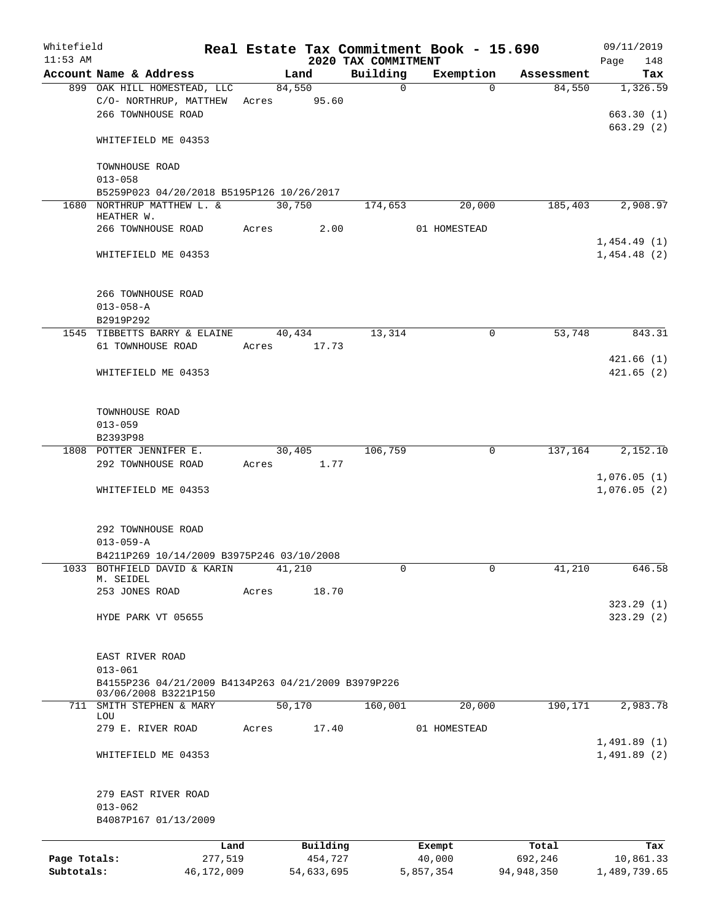| Whitefield<br>$11:53$ AM   |                                                          |       |                       | 2020 TAX COMMITMENT | Real Estate Tax Commitment Book - 15.690 |                       | 09/11/2019<br>148<br>Page  |
|----------------------------|----------------------------------------------------------|-------|-----------------------|---------------------|------------------------------------------|-----------------------|----------------------------|
|                            | Account Name & Address                                   |       | Land                  | Building            | Exemption                                | Assessment            | Tax                        |
|                            | 899 OAK HILL HOMESTEAD, LLC<br>C/O- NORTHRUP, MATTHEW    | Acres | 84,550<br>95.60       | $\mathbf 0$         | $\Omega$                                 | 84,550                | 1,326.59                   |
|                            | 266 TOWNHOUSE ROAD<br>WHITEFIELD ME 04353                |       |                       |                     |                                          |                       | 663.30(1)<br>663.29(2)     |
|                            | TOWNHOUSE ROAD                                           |       |                       |                     |                                          |                       |                            |
|                            | $013 - 058$<br>B5259P023 04/20/2018 B5195P126 10/26/2017 |       |                       |                     |                                          |                       |                            |
|                            | 1680 NORTHRUP MATTHEW L. &                               |       | 30,750                | 174,653             | 20,000                                   | 185,403               | 2,908.97                   |
|                            | HEATHER W.                                               |       |                       |                     |                                          |                       |                            |
|                            | 266 TOWNHOUSE ROAD                                       | Acres | 2.00                  |                     | 01 HOMESTEAD                             |                       | 1,454.49(1)                |
|                            | WHITEFIELD ME 04353                                      |       |                       |                     |                                          |                       | 1,454.48(2)                |
|                            | 266 TOWNHOUSE ROAD<br>$013 - 058 - A$                    |       |                       |                     |                                          |                       |                            |
|                            | B2919P292                                                |       |                       |                     |                                          |                       |                            |
|                            | 1545 TIBBETTS BARRY & ELAINE                             |       | 40,434                | 13,314              | 0                                        | 53,748                | 843.31                     |
|                            | 61 TOWNHOUSE ROAD                                        | Acres | 17.73                 |                     |                                          |                       |                            |
|                            |                                                          |       |                       |                     |                                          |                       | 421.66(1)                  |
|                            | WHITEFIELD ME 04353                                      |       |                       |                     |                                          |                       | 421.65(2)                  |
|                            | TOWNHOUSE ROAD                                           |       |                       |                     |                                          |                       |                            |
|                            | $013 - 059$                                              |       |                       |                     |                                          |                       |                            |
|                            | B2393P98                                                 |       |                       |                     |                                          |                       |                            |
|                            | 1808 POTTER JENNIFER E.<br>292 TOWNHOUSE ROAD            | Acres | 30,405<br>1.77        | 106,759             | 0                                        | 137,164               | 2,152.10<br>1,076.05(1)    |
|                            | WHITEFIELD ME 04353                                      |       |                       |                     |                                          |                       | 1,076.05(2)                |
|                            | 292 TOWNHOUSE ROAD<br>$013 - 059 - A$                    |       |                       |                     |                                          |                       |                            |
|                            | B4211P269 10/14/2009 B3975P246 03/10/2008                |       |                       |                     |                                          |                       |                            |
| 1033                       | BOTHFIELD DAVID & KARIN<br>M. SEIDEL                     |       | 41,210                | 0                   | 0                                        | 41,210                | 646.58                     |
|                            | 253 JONES ROAD                                           | Acres | 18.70                 |                     |                                          |                       |                            |
|                            | HYDE PARK VT 05655                                       |       |                       |                     |                                          |                       | 323.29(1)<br>323.29(2)     |
|                            | EAST RIVER ROAD                                          |       |                       |                     |                                          |                       |                            |
|                            | $013 - 061$                                              |       |                       |                     |                                          |                       |                            |
|                            | B4155P236 04/21/2009 B4134P263 04/21/2009 B3979P226      |       |                       |                     |                                          |                       |                            |
| 711                        | 03/06/2008 B3221P150<br>SMITH STEPHEN & MARY             |       | 50,170                | 160,001             | 20,000                                   | 190,171               | 2,983.78                   |
|                            | LOU<br>279 E. RIVER ROAD                                 | Acres | 17.40                 |                     | 01 HOMESTEAD                             |                       |                            |
|                            | WHITEFIELD ME 04353                                      |       |                       |                     |                                          |                       | 1,491.89(1)<br>1,491.89(2) |
|                            |                                                          |       |                       |                     |                                          |                       |                            |
|                            | 279 EAST RIVER ROAD<br>$013 - 062$                       |       |                       |                     |                                          |                       |                            |
|                            | B4087P167 01/13/2009                                     |       |                       |                     |                                          |                       |                            |
|                            | Land                                                     |       | Building              |                     | Exempt                                   | Total                 | Tax                        |
| Page Totals:<br>Subtotals: | 277,519<br>46,172,009                                    |       | 454,727<br>54,633,695 |                     | 40,000<br>5,857,354                      | 692,246<br>94,948,350 | 10,861.33<br>1,489,739.65  |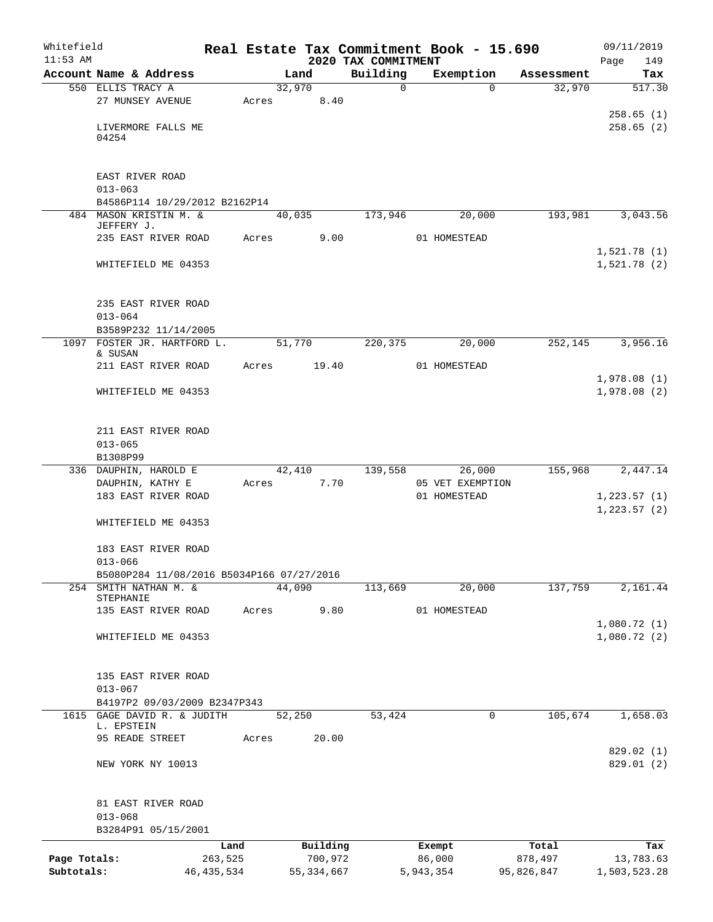| Whitefield<br>$11:53$ AM |                                                     |              |       |        |              |                                 | Real Estate Tax Commitment Book - 15.690 |            | 09/11/2019                 |
|--------------------------|-----------------------------------------------------|--------------|-------|--------|--------------|---------------------------------|------------------------------------------|------------|----------------------------|
|                          | Account Name & Address                              |              |       | Land   |              | 2020 TAX COMMITMENT<br>Building | Exemption                                | Assessment | Page<br>149<br>Tax         |
|                          | 550 ELLIS TRACY A                                   |              |       | 32,970 |              | 0                               | $\Omega$                                 | 32,970     | 517.30                     |
|                          | 27 MUNSEY AVENUE                                    |              | Acres |        | 8.40         |                                 |                                          |            |                            |
|                          | LIVERMORE FALLS ME<br>04254                         |              |       |        |              |                                 |                                          |            | 258.65(1)<br>258.65(2)     |
|                          | EAST RIVER ROAD                                     |              |       |        |              |                                 |                                          |            |                            |
|                          | $013 - 063$                                         |              |       |        |              |                                 |                                          |            |                            |
|                          | B4586P114 10/29/2012 B2162P14                       |              |       |        |              |                                 |                                          |            |                            |
|                          | 484 MASON KRISTIN M. &<br>JEFFERY J.                |              |       | 40,035 |              | 173,946                         | 20,000                                   | 193,981    | 3,043.56                   |
|                          | 235 EAST RIVER ROAD                                 |              | Acres |        | 9.00         |                                 | 01 HOMESTEAD                             |            | 1,521.78(1)                |
|                          | WHITEFIELD ME 04353                                 |              |       |        |              |                                 |                                          |            | 1,521.78(2)                |
|                          | 235 EAST RIVER ROAD                                 |              |       |        |              |                                 |                                          |            |                            |
|                          | $013 - 064$                                         |              |       |        |              |                                 |                                          |            |                            |
|                          | B3589P232 11/14/2005<br>1097 FOSTER JR. HARTFORD L. |              |       | 51,770 |              | 220,375                         | 20,000                                   | 252,145    | 3,956.16                   |
|                          | & SUSAN<br>211 EAST RIVER ROAD                      |              | Acres |        | 19.40        |                                 | 01 HOMESTEAD                             |            |                            |
|                          | WHITEFIELD ME 04353                                 |              |       |        |              |                                 |                                          |            | 1,978.08(1)<br>1,978.08(2) |
|                          | 211 EAST RIVER ROAD                                 |              |       |        |              |                                 |                                          |            |                            |
|                          | $013 - 065$<br>B1308P99                             |              |       |        |              |                                 |                                          |            |                            |
|                          | 336 DAUPHIN, HAROLD E                               |              |       | 42,410 |              | 139,558                         | 26,000                                   | 155,968    | 2,447.14                   |
|                          | DAUPHIN, KATHY E                                    |              | Acres |        | 7.70         |                                 | 05 VET EXEMPTION                         |            |                            |
|                          | 183 EAST RIVER ROAD                                 |              |       |        |              |                                 | 01 HOMESTEAD                             |            | 1,223.57(1)                |
|                          | WHITEFIELD ME 04353                                 |              |       |        |              |                                 |                                          |            | 1, 223.57(2)               |
|                          | 183 EAST RIVER ROAD<br>$013 - 066$                  |              |       |        |              |                                 |                                          |            |                            |
|                          | B5080P284 11/08/2016 B5034P166 07/27/2016           |              |       |        |              |                                 |                                          |            |                            |
|                          | 254 SMITH NATHAN M. &                               |              |       | 44,090 |              | 113,669                         | 20,000                                   | 137,759    | 2,161.44                   |
|                          | STEPHANIE<br>135 EAST RIVER ROAD                    |              | Acres |        | 9.80         |                                 | 01 HOMESTEAD                             |            |                            |
|                          |                                                     |              |       |        |              |                                 |                                          |            | 1,080.72(1)                |
|                          | WHITEFIELD ME 04353                                 |              |       |        |              |                                 |                                          |            | 1,080.72(2)                |
|                          | 135 EAST RIVER ROAD                                 |              |       |        |              |                                 |                                          |            |                            |
|                          | $013 - 067$<br>B4197P2 09/03/2009 B2347P343         |              |       |        |              |                                 |                                          |            |                            |
|                          | 1615 GAGE DAVID R. & JUDITH                         |              |       | 52,250 |              | 53,424                          | 0                                        | 105,674    | 1,658.03                   |
|                          | L. EPSTEIN<br>95 READE STREET                       |              | Acres |        | 20.00        |                                 |                                          |            |                            |
|                          |                                                     |              |       |        |              |                                 |                                          |            | 829.02 (1)                 |
|                          | NEW YORK NY 10013                                   |              |       |        |              |                                 |                                          |            | 829.01 (2)                 |
|                          | 81 EAST RIVER ROAD                                  |              |       |        |              |                                 |                                          |            |                            |
|                          | $013 - 068$<br>B3284P91 05/15/2001                  |              |       |        |              |                                 |                                          |            |                            |
|                          |                                                     | Land         |       |        | Building     |                                 | Exempt                                   | Total      | Tax                        |
| Page Totals:             |                                                     | 263,525      |       |        | 700,972      |                                 | 86,000                                   | 878,497    | 13,783.63                  |
| Subtotals:               |                                                     | 46, 435, 534 |       |        | 55, 334, 667 |                                 | 5,943,354                                | 95,826,847 | 1,503,523.28               |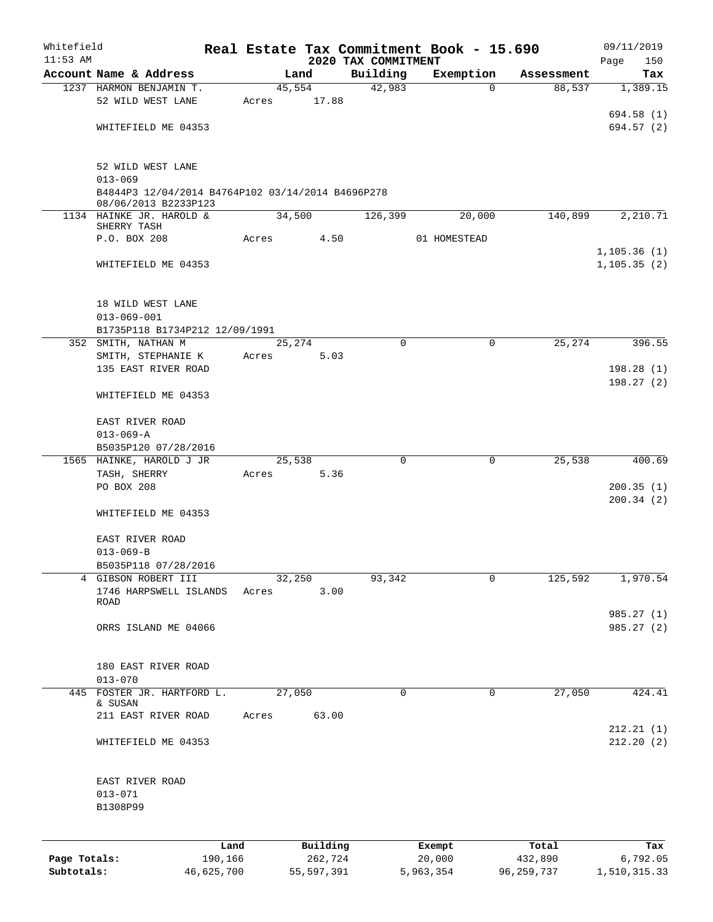| Whitefield   |                                                                           |            |        |              |                                 | Real Estate Tax Commitment Book - 15.690 |            | 09/11/2019         |
|--------------|---------------------------------------------------------------------------|------------|--------|--------------|---------------------------------|------------------------------------------|------------|--------------------|
| $11:53$ AM   | Account Name & Address                                                    |            |        | Land         | 2020 TAX COMMITMENT<br>Building | Exemption                                | Assessment | 150<br>Page<br>Tax |
|              | 1237 HARMON BENJAMIN T.                                                   |            |        | 45,554       | 42,983                          | $\Omega$                                 | 88,537     | 1,389.15           |
|              | 52 WILD WEST LANE                                                         |            | Acres  | 17.88        |                                 |                                          |            |                    |
|              |                                                                           |            |        |              |                                 |                                          |            | 694.58 (1)         |
|              | WHITEFIELD ME 04353                                                       |            |        |              |                                 |                                          |            | 694.57 (2)         |
|              |                                                                           |            |        |              |                                 |                                          |            |                    |
|              | 52 WILD WEST LANE                                                         |            |        |              |                                 |                                          |            |                    |
|              | $013 - 069$                                                               |            |        |              |                                 |                                          |            |                    |
|              | B4844P3 12/04/2014 B4764P102 03/14/2014 B4696P278<br>08/06/2013 B2233P123 |            |        |              |                                 |                                          |            |                    |
|              | 1134 HAINKE JR. HAROLD &                                                  |            |        | 34,500       | 126,399                         | 20,000                                   | 140,899    | 2,210.71           |
|              | SHERRY TASH                                                               |            |        |              |                                 |                                          |            |                    |
|              | P.O. BOX 208                                                              |            | Acres  | 4.50         |                                 | 01 HOMESTEAD                             |            | 1, 105.36(1)       |
|              | WHITEFIELD ME 04353                                                       |            |        |              |                                 |                                          |            | 1,105.35(2)        |
|              |                                                                           |            |        |              |                                 |                                          |            |                    |
|              |                                                                           |            |        |              |                                 |                                          |            |                    |
|              | 18 WILD WEST LANE<br>$013 - 069 - 001$                                    |            |        |              |                                 |                                          |            |                    |
|              | B1735P118 B1734P212 12/09/1991                                            |            |        |              |                                 |                                          |            |                    |
|              | 352 SMITH, NATHAN M                                                       |            |        | 25,274       | $\Omega$                        | 0                                        | 25,274     | 396.55             |
|              | SMITH, STEPHANIE K                                                        |            | Acres  | 5.03         |                                 |                                          |            |                    |
|              | 135 EAST RIVER ROAD                                                       |            |        |              |                                 |                                          |            | 198.28(1)          |
|              |                                                                           |            |        |              |                                 |                                          |            | 198.27(2)          |
|              | WHITEFIELD ME 04353                                                       |            |        |              |                                 |                                          |            |                    |
|              | EAST RIVER ROAD                                                           |            |        |              |                                 |                                          |            |                    |
|              | $013 - 069 - A$                                                           |            |        |              |                                 |                                          |            |                    |
|              | B5035P120 07/28/2016                                                      |            |        |              |                                 |                                          |            |                    |
|              | 1565 HAINKE, HAROLD J JR                                                  |            |        | 25,538       | 0                               | 0                                        | 25,538     | 400.69             |
|              | TASH, SHERRY                                                              |            | Acres  | 5.36         |                                 |                                          |            |                    |
|              | PO BOX 208                                                                |            |        |              |                                 |                                          |            | 200.35(1)          |
|              |                                                                           |            |        |              |                                 |                                          |            | 200.34(2)          |
|              | WHITEFIELD ME 04353                                                       |            |        |              |                                 |                                          |            |                    |
|              | EAST RIVER ROAD                                                           |            |        |              |                                 |                                          |            |                    |
|              | $013 - 069 - B$                                                           |            |        |              |                                 |                                          |            |                    |
|              | B5035P118 07/28/2016                                                      |            |        |              |                                 |                                          |            |                    |
|              | 4 GIBSON ROBERT III                                                       |            | 32,250 |              | 93,342                          | 0                                        | 125,592    | 1,970.54           |
|              | 1746 HARPSWELL ISLANDS                                                    |            | Acres  | 3.00         |                                 |                                          |            |                    |
|              | <b>ROAD</b>                                                               |            |        |              |                                 |                                          |            | 985.27 (1)         |
|              | ORRS ISLAND ME 04066                                                      |            |        |              |                                 |                                          |            | 985.27 (2)         |
|              |                                                                           |            |        |              |                                 |                                          |            |                    |
|              |                                                                           |            |        |              |                                 |                                          |            |                    |
|              | 180 EAST RIVER ROAD                                                       |            |        |              |                                 |                                          |            |                    |
|              | $013 - 070$                                                               |            |        |              |                                 |                                          |            |                    |
| 445          | FOSTER JR. HARTFORD L.<br>& SUSAN                                         |            | 27,050 |              | 0                               | 0                                        | 27,050     | 424.41             |
|              | 211 EAST RIVER ROAD                                                       |            | Acres  | 63.00        |                                 |                                          |            |                    |
|              |                                                                           |            |        |              |                                 |                                          |            | 212.21(1)          |
|              | WHITEFIELD ME 04353                                                       |            |        |              |                                 |                                          |            | 212.20(2)          |
|              |                                                                           |            |        |              |                                 |                                          |            |                    |
|              | EAST RIVER ROAD                                                           |            |        |              |                                 |                                          |            |                    |
|              | $013 - 071$                                                               |            |        |              |                                 |                                          |            |                    |
|              | B1308P99                                                                  |            |        |              |                                 |                                          |            |                    |
|              |                                                                           |            |        |              |                                 |                                          |            |                    |
|              |                                                                           | Land       |        | Building     |                                 | Exempt                                   | Total      | Tax                |
| Page Totals: |                                                                           | 190,166    |        | 262,724      |                                 | 20,000                                   | 432,890    | 6,792.05           |
| Subtotals:   |                                                                           | 46,625,700 |        | 55, 597, 391 |                                 | 5,963,354                                | 96,259,737 | 1,510,315.33       |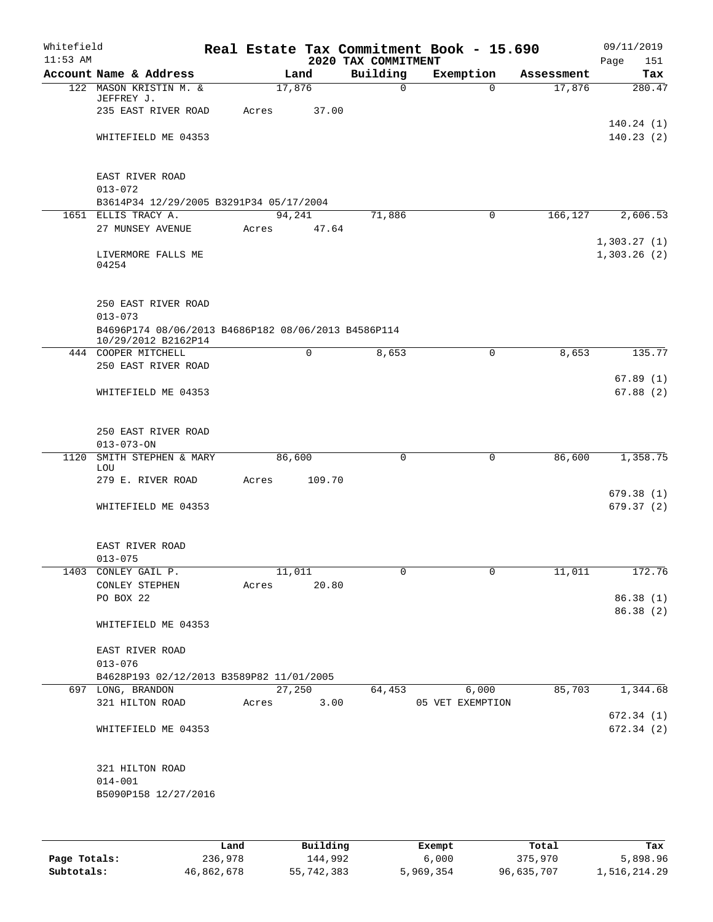| Whitefield<br>$11:53$ AM |                                                                            |       |        |             | 2020 TAX COMMITMENT | Real Estate Tax Commitment Book - 15.690 |            | Page                       | 09/11/2019<br>151      |
|--------------------------|----------------------------------------------------------------------------|-------|--------|-------------|---------------------|------------------------------------------|------------|----------------------------|------------------------|
|                          | Account Name & Address                                                     |       | Land   |             | Building            | Exemption                                | Assessment |                            | Tax                    |
|                          | 122 MASON KRISTIN M. &<br>JEFFREY J.                                       |       | 17,876 |             | $\mathbf 0$         | $\Omega$                                 | 17,876     |                            | 280.47                 |
|                          | 235 EAST RIVER ROAD                                                        | Acres |        | 37.00       |                     |                                          |            |                            |                        |
|                          | WHITEFIELD ME 04353                                                        |       |        |             |                     |                                          |            |                            | 140.24(1)<br>140.23(2) |
|                          | EAST RIVER ROAD<br>$013 - 072$                                             |       |        |             |                     |                                          |            |                            |                        |
|                          | B3614P34 12/29/2005 B3291P34 05/17/2004                                    |       |        |             |                     |                                          |            |                            |                        |
|                          | 1651 ELLIS TRACY A.                                                        |       | 94,241 |             | 71,886              | 0                                        | 166,127    |                            | 2,606.53               |
|                          | 27 MUNSEY AVENUE                                                           | Acres |        | 47.64       |                     |                                          |            |                            |                        |
|                          | LIVERMORE FALLS ME<br>04254                                                |       |        |             |                     |                                          |            | 1,303.27(1)<br>1,303.26(2) |                        |
|                          | 250 EAST RIVER ROAD<br>$013 - 073$                                         |       |        |             |                     |                                          |            |                            |                        |
|                          | B4696P174 08/06/2013 B4686P182 08/06/2013 B4586P114<br>10/29/2012 B2162P14 |       |        |             |                     |                                          |            |                            |                        |
|                          | 444 COOPER MITCHELL                                                        |       |        | $\mathbf 0$ | 8,653               | $\mathsf{O}$                             | 8,653      |                            | 135.77                 |
|                          | 250 EAST RIVER ROAD                                                        |       |        |             |                     |                                          |            |                            |                        |
|                          |                                                                            |       |        |             |                     |                                          |            |                            | 67.89(1)               |
|                          | WHITEFIELD ME 04353                                                        |       |        |             |                     |                                          |            |                            | 67.88(2)               |
|                          | 250 EAST RIVER ROAD                                                        |       |        |             |                     |                                          |            |                            |                        |
|                          | $013 - 073 - ON$                                                           |       |        |             |                     |                                          |            |                            |                        |
| 1120                     | SMITH STEPHEN & MARY<br>LOU                                                |       | 86,600 |             | $\mathbf 0$         | 0                                        | 86,600     |                            | 1,358.75               |
|                          | 279 E. RIVER ROAD                                                          | Acres |        | 109.70      |                     |                                          |            |                            |                        |
|                          | WHITEFIELD ME 04353                                                        |       |        |             |                     |                                          |            |                            | 679.38(1)<br>679.37(2) |
|                          | EAST RIVER ROAD                                                            |       |        |             |                     |                                          |            |                            |                        |
|                          | $013 - 075$                                                                |       |        |             |                     | $\mathbf 0$                              |            |                            |                        |
|                          | 1403 CONLEY GAIL P.<br>CONLEY STEPHEN                                      | Acres | 11,011 | 20.80       | 0                   |                                          | 11,011     |                            | 172.76                 |
|                          | PO BOX 22                                                                  |       |        |             |                     |                                          |            |                            | 86.38 (1)              |
|                          |                                                                            |       |        |             |                     |                                          |            |                            | 86.38 (2)              |
|                          | WHITEFIELD ME 04353                                                        |       |        |             |                     |                                          |            |                            |                        |
|                          | EAST RIVER ROAD                                                            |       |        |             |                     |                                          |            |                            |                        |
|                          | $013 - 076$                                                                |       |        |             |                     |                                          |            |                            |                        |
|                          | B4628P193 02/12/2013 B3589P82 11/01/2005                                   |       |        |             |                     |                                          |            |                            |                        |
|                          | 697 LONG, BRANDON                                                          |       | 27,250 |             | 64,453              | 6,000                                    | 85,703     |                            | 1,344.68               |
|                          | 321 HILTON ROAD                                                            | Acres |        | 3.00        |                     | 05 VET EXEMPTION                         |            |                            |                        |
|                          |                                                                            |       |        |             |                     |                                          |            |                            | 672.34(1)              |
|                          | WHITEFIELD ME 04353                                                        |       |        |             |                     |                                          |            |                            | 672.34(2)              |
|                          | 321 HILTON ROAD                                                            |       |        |             |                     |                                          |            |                            |                        |
|                          | $014 - 001$                                                                |       |        |             |                     |                                          |            |                            |                        |
|                          | B5090P158 12/27/2016                                                       |       |        |             |                     |                                          |            |                            |                        |
|                          |                                                                            |       |        |             |                     |                                          |            |                            |                        |
|                          |                                                                            |       |        |             |                     |                                          |            |                            |                        |

|              | Land       | Building   | Exempt    | Total      | Tax          |
|--------------|------------|------------|-----------|------------|--------------|
| Page Totals: | 236,978    | 144,992    | 6,000     | 375,970    | 5,898.96     |
| Subtotals:   | 46,862,678 | 55,742,383 | 5,969,354 | 96,635,707 | 1,516,214.29 |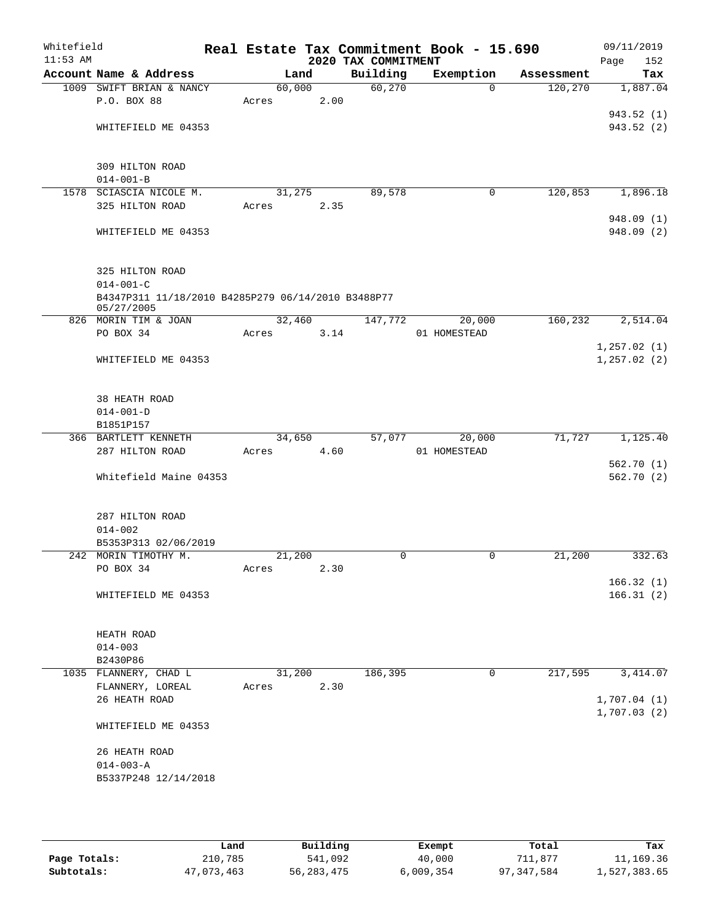| Whitefield<br>$11:53$ AM |                                                    |        |        | 2020 TAX COMMITMENT | Real Estate Tax Commitment Book - 15.690 |            | 09/11/2019<br>152<br>Page |
|--------------------------|----------------------------------------------------|--------|--------|---------------------|------------------------------------------|------------|---------------------------|
|                          | Account Name & Address                             |        | Land   | Building            | Exemption                                | Assessment | Tax                       |
|                          | 1009 SWIFT BRIAN & NANCY                           | 60,000 |        | 60,270              | $\Omega$                                 | 120,270    | 1,887.04                  |
|                          | P.O. BOX 88                                        | Acres  | 2.00   |                     |                                          |            |                           |
|                          |                                                    |        |        |                     |                                          |            | 943.52 (1)                |
|                          | WHITEFIELD ME 04353                                |        |        |                     |                                          |            | 943.52(2)                 |
|                          |                                                    |        |        |                     |                                          |            |                           |
|                          |                                                    |        |        |                     |                                          |            |                           |
|                          | 309 HILTON ROAD                                    |        |        |                     |                                          |            |                           |
|                          | $014 - 001 - B$                                    |        |        |                     |                                          |            |                           |
| 1578                     | SCIASCIA NICOLE M.                                 | 31,275 |        | 89,578              | $\mathbf 0$                              | 120,853    | 1,896.18                  |
|                          | 325 HILTON ROAD                                    | Acres  | 2.35   |                     |                                          |            |                           |
|                          |                                                    |        |        |                     |                                          |            | 948.09 (1)                |
|                          | WHITEFIELD ME 04353                                |        |        |                     |                                          |            | 948.09 (2)                |
|                          |                                                    |        |        |                     |                                          |            |                           |
|                          | 325 HILTON ROAD                                    |        |        |                     |                                          |            |                           |
|                          | $014 - 001 - C$                                    |        |        |                     |                                          |            |                           |
|                          | B4347P311 11/18/2010 B4285P279 06/14/2010 B3488P77 |        |        |                     |                                          |            |                           |
|                          | 05/27/2005                                         |        |        |                     |                                          |            |                           |
|                          | 826 MORIN TIM & JOAN                               |        | 32,460 | 147,772             | 20,000                                   | 160, 232   | 2,514.04                  |
|                          | PO BOX 34                                          | Acres  | 3.14   |                     | 01 HOMESTEAD                             |            |                           |
|                          |                                                    |        |        |                     |                                          |            | 1, 257.02(1)              |
|                          | WHITEFIELD ME 04353                                |        |        |                     |                                          |            | 1, 257.02(2)              |
|                          |                                                    |        |        |                     |                                          |            |                           |
|                          |                                                    |        |        |                     |                                          |            |                           |
|                          | 38 HEATH ROAD                                      |        |        |                     |                                          |            |                           |
|                          | $014 - 001 - D$                                    |        |        |                     |                                          |            |                           |
|                          | B1851P157                                          |        |        |                     |                                          |            |                           |
|                          | 366 BARTLETT KENNETH                               |        | 34,650 | 57,077              | 20,000                                   | 71,727     | 1,125.40                  |
|                          | 287 HILTON ROAD                                    | Acres  | 4.60   |                     | 01 HOMESTEAD                             |            |                           |
|                          | Whitefield Maine 04353                             |        |        |                     |                                          |            | 562.70(1)<br>562.70(2)    |
|                          |                                                    |        |        |                     |                                          |            |                           |
|                          |                                                    |        |        |                     |                                          |            |                           |
|                          | 287 HILTON ROAD                                    |        |        |                     |                                          |            |                           |
|                          | $014 - 002$                                        |        |        |                     |                                          |            |                           |
|                          | B5353P313 02/06/2019                               |        |        |                     |                                          |            |                           |
|                          | 242 MORIN TIMOTHY M.                               | 21,200 |        | $\mathbf 0$         | 0                                        | 21,200     | 332.63                    |
|                          | PO BOX 34                                          | Acres  | 2.30   |                     |                                          |            |                           |
|                          |                                                    |        |        |                     |                                          |            | 166.32(1)                 |
|                          | WHITEFIELD ME 04353                                |        |        |                     |                                          |            | 166.31(2)                 |
|                          |                                                    |        |        |                     |                                          |            |                           |
|                          |                                                    |        |        |                     |                                          |            |                           |
|                          | HEATH ROAD                                         |        |        |                     |                                          |            |                           |
|                          | $014 - 003$                                        |        |        |                     |                                          |            |                           |
|                          | B2430P86                                           |        |        |                     |                                          |            |                           |
|                          | 1035 FLANNERY, CHAD L                              |        | 31,200 | 186,395             | 0                                        | 217,595    | 3, 414.07                 |
|                          | FLANNERY, LOREAL<br>26 HEATH ROAD                  | Acres  | 2.30   |                     |                                          |            | 1,707.04(1)               |
|                          |                                                    |        |        |                     |                                          |            | 1,707.03(2)               |
|                          | WHITEFIELD ME 04353                                |        |        |                     |                                          |            |                           |
|                          |                                                    |        |        |                     |                                          |            |                           |
|                          | 26 HEATH ROAD                                      |        |        |                     |                                          |            |                           |
|                          | $014 - 003 - A$                                    |        |        |                     |                                          |            |                           |
|                          | B5337P248 12/14/2018                               |        |        |                     |                                          |            |                           |
|                          |                                                    |        |        |                     |                                          |            |                           |
|                          |                                                    |        |        |                     |                                          |            |                           |

|              | Land       | Building     | Exempt    | Total      | Tax          |
|--------------|------------|--------------|-----------|------------|--------------|
| Page Totals: | 210,785    | 541,092      | 40,000    | 711.877    | 11,169.36    |
| Subtotals:   | 47,073,463 | 56, 283, 475 | 6,009,354 | 97,347,584 | 1,527,383.65 |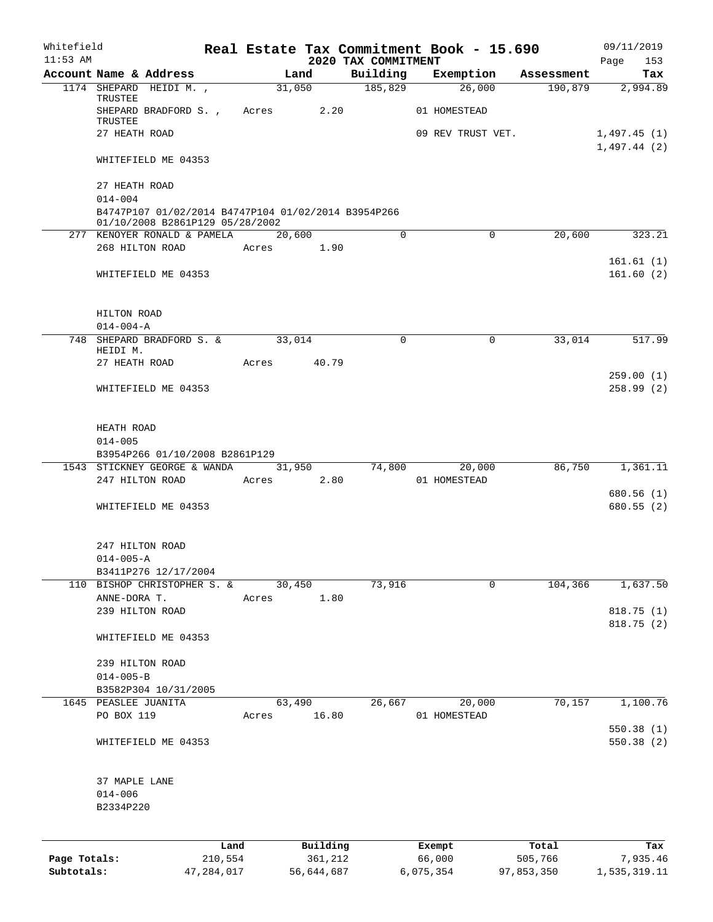| Whitefield<br>$11:53$ AM |                                                                                                       |            |             |            | 2020 TAX COMMITMENT | Real Estate Tax Commitment Book - 15.690 |                        | 09/11/2019<br>153<br>Page |
|--------------------------|-------------------------------------------------------------------------------------------------------|------------|-------------|------------|---------------------|------------------------------------------|------------------------|---------------------------|
|                          | Account Name & Address                                                                                |            | Land        |            | Building            | Exemption                                | Assessment             | Tax                       |
|                          | 1174 SHEPARD HEIDI M.,                                                                                |            | 31,050      |            | 185,829             | 26,000                                   | 190,879                | 2,994.89                  |
|                          | TRUSTEE<br>SHEPARD BRADFORD S., Acres                                                                 |            |             | 2.20       |                     | 01 HOMESTEAD                             |                        |                           |
|                          | TRUSTEE<br>27 HEATH ROAD                                                                              |            |             |            |                     | 09 REV TRUST VET.                        |                        | 1,497.45 (1)              |
|                          | WHITEFIELD ME 04353                                                                                   |            |             |            |                     |                                          |                        | 1,497.44(2)               |
|                          | 27 HEATH ROAD                                                                                         |            |             |            |                     |                                          |                        |                           |
|                          | $014 - 004$<br>B4747P107 01/02/2014 B4747P104 01/02/2014 B3954P266<br>01/10/2008 B2861P129 05/28/2002 |            |             |            |                     |                                          |                        |                           |
|                          | 277 KENOYER RONALD & PAMELA                                                                           |            | 20,600      |            | $\Omega$            |                                          | $\mathbf 0$<br>20,600  | 323.21                    |
|                          | 268 HILTON ROAD                                                                                       |            | Acres       | 1.90       |                     |                                          |                        |                           |
|                          | WHITEFIELD ME 04353                                                                                   |            |             |            |                     |                                          |                        | 161.61(1)<br>161.60(2)    |
|                          | HILTON ROAD<br>$014 - 004 - A$                                                                        |            |             |            |                     |                                          |                        |                           |
|                          | 748 SHEPARD BRADFORD S. &<br>HEIDI M.                                                                 |            | 33,014      |            | 0                   |                                          | 33,014<br>0            | 517.99                    |
|                          | 27 HEATH ROAD                                                                                         |            | Acres 40.79 |            |                     |                                          |                        |                           |
|                          | WHITEFIELD ME 04353                                                                                   |            |             |            |                     |                                          |                        | 259.00(1)<br>258.99(2)    |
|                          | HEATH ROAD<br>$014 - 005$                                                                             |            |             |            |                     |                                          |                        |                           |
|                          | B3954P266 01/10/2008 B2861P129                                                                        |            |             |            |                     |                                          |                        |                           |
|                          | 1543 STICKNEY GEORGE & WANDA                                                                          |            |             | 31,950     | 74,800              | 20,000                                   | 86,750                 | 1,361.11                  |
|                          | 247 HILTON ROAD                                                                                       |            | Acres       | 2.80       |                     | 01 HOMESTEAD                             |                        |                           |
|                          | WHITEFIELD ME 04353                                                                                   |            |             |            |                     |                                          |                        | 680.56 (1)<br>680.55(2)   |
|                          | 247 HILTON ROAD                                                                                       |            |             |            |                     |                                          |                        |                           |
|                          | $014 - 005 - A$                                                                                       |            |             |            |                     |                                          |                        |                           |
|                          | B3411P276 12/17/2004<br>110 BISHOP CHRISTOPHER S. &                                                   |            | 30,450      |            | 73,916              |                                          | $\mathbf 0$<br>104,366 | 1,637.50                  |
|                          | ANNE-DORA T.                                                                                          |            | Acres       | 1.80       |                     |                                          |                        |                           |
|                          | 239 HILTON ROAD                                                                                       |            |             |            |                     |                                          |                        | 818.75 (1)<br>818.75 (2)  |
|                          | WHITEFIELD ME 04353                                                                                   |            |             |            |                     |                                          |                        |                           |
|                          | 239 HILTON ROAD                                                                                       |            |             |            |                     |                                          |                        |                           |
|                          | $014 - 005 - B$<br>B3582P304 10/31/2005                                                               |            |             |            |                     |                                          |                        |                           |
|                          | 1645 PEASLEE JUANITA                                                                                  |            | 63,490      |            | 26,667              | 20,000                                   | 70,157                 | 1,100.76                  |
|                          | PO BOX 119                                                                                            |            | Acres       | 16.80      |                     | 01 HOMESTEAD                             |                        |                           |
|                          | WHITEFIELD ME 04353                                                                                   |            |             |            |                     |                                          |                        | 550.38(1)<br>550.38(2)    |
|                          | 37 MAPLE LANE                                                                                         |            |             |            |                     |                                          |                        |                           |
|                          | $014 - 006$                                                                                           |            |             |            |                     |                                          |                        |                           |
|                          | B2334P220                                                                                             |            |             |            |                     |                                          |                        |                           |
|                          |                                                                                                       | Land       |             | Building   |                     | Exempt                                   | Total                  | Tax                       |
| Page Totals:             |                                                                                                       | 210,554    |             | 361,212    |                     | 66,000                                   | 505,766                | 7,935.46                  |
| Subtotals:               |                                                                                                       | 47,284,017 |             | 56,644,687 |                     | 6,075,354                                | 97,853,350             | 1,535,319.11              |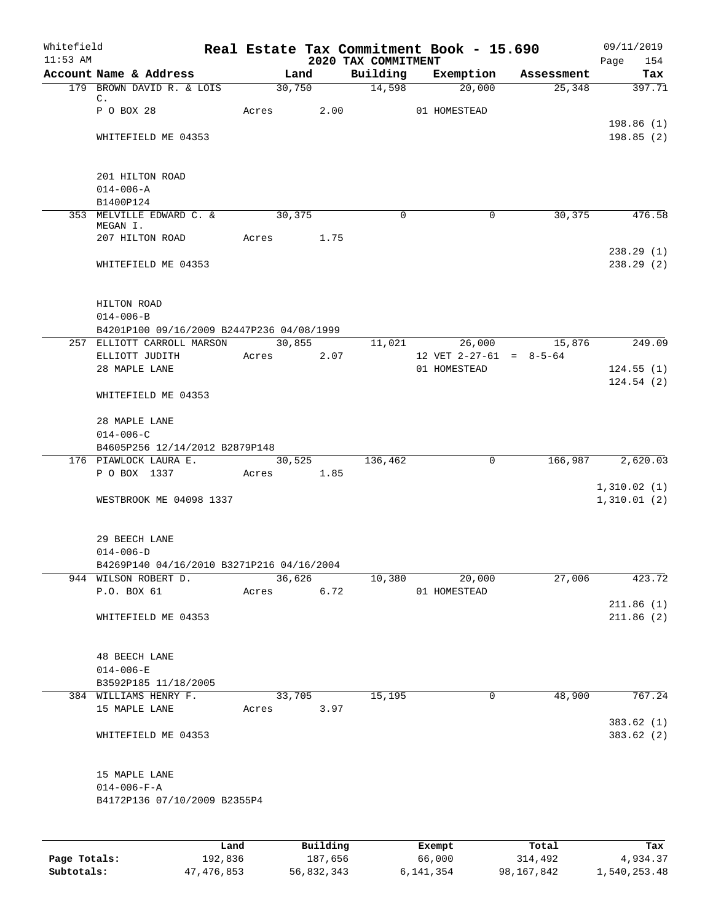| Whitefield<br>$11:53$ AM |                                                   |       |                      |                                 | Real Estate Tax Commitment Book - 15.690 |            | 09/11/2019         |
|--------------------------|---------------------------------------------------|-------|----------------------|---------------------------------|------------------------------------------|------------|--------------------|
|                          | Account Name & Address                            |       | Land                 | 2020 TAX COMMITMENT<br>Building | Exemption                                | Assessment | Page<br>154<br>Tax |
|                          | 179 BROWN DAVID R. & LOIS                         |       | 30,750               | 14,598                          | 20,000                                   | 25,348     | 397.71             |
|                          | $\mathbb{C}$ .                                    |       |                      |                                 |                                          |            |                    |
|                          | P O BOX 28                                        | Acres | 2.00                 |                                 | 01 HOMESTEAD                             |            |                    |
|                          |                                                   |       |                      |                                 |                                          |            | 198.86(1)          |
|                          | WHITEFIELD ME 04353                               |       |                      |                                 |                                          |            | 198.85(2)          |
|                          | 201 HILTON ROAD                                   |       |                      |                                 |                                          |            |                    |
|                          | $014 - 006 - A$                                   |       |                      |                                 |                                          |            |                    |
|                          | B1400P124                                         |       |                      |                                 |                                          |            |                    |
|                          | 353 MELVILLE EDWARD C. &                          |       | 30,375               | $\mathbf 0$                     | $\mathbf 0$                              | 30,375     | 476.58             |
|                          | MEGAN I.<br>207 HILTON ROAD                       | Acres | 1.75                 |                                 |                                          |            |                    |
|                          |                                                   |       |                      |                                 |                                          |            | 238.29(1)          |
|                          | WHITEFIELD ME 04353                               |       |                      |                                 |                                          |            | 238.29(2)          |
|                          | HILTON ROAD                                       |       |                      |                                 |                                          |            |                    |
|                          | $014 - 006 - B$                                   |       |                      |                                 |                                          |            |                    |
|                          | B4201P100 09/16/2009 B2447P236 04/08/1999         |       |                      |                                 |                                          |            |                    |
|                          | 257 ELLIOTT CARROLL MARSON                        |       | 30,855               | 11,021                          | 26,000                                   | 15,876     | 249.09             |
|                          | ELLIOTT JUDITH                                    | Acres | 2.07                 |                                 | 12 VET $2-27-61 = 8-5-64$                |            |                    |
|                          | 28 MAPLE LANE                                     |       |                      |                                 | 01 HOMESTEAD                             |            | 124.55(1)          |
|                          | WHITEFIELD ME 04353                               |       |                      |                                 |                                          |            | 124.54(2)          |
|                          | 28 MAPLE LANE                                     |       |                      |                                 |                                          |            |                    |
|                          | $014 - 006 - C$<br>B4605P256 12/14/2012 B2879P148 |       |                      |                                 |                                          |            |                    |
|                          | 176 PIAWLOCK LAURA E.                             |       | 30,525               | 136,462                         | 0                                        | 166,987    | 2,620.03           |
|                          | P O BOX 1337                                      |       | Acres 1.85           |                                 |                                          |            |                    |
|                          |                                                   |       |                      |                                 |                                          |            | 1,310.02(1)        |
|                          | WESTBROOK ME 04098 1337                           |       |                      |                                 |                                          |            | 1,310.01(2)        |
|                          | 29 BEECH LANE                                     |       |                      |                                 |                                          |            |                    |
|                          | $014 - 006 - D$                                   |       |                      |                                 |                                          |            |                    |
|                          | B4269P140 04/16/2010 B3271P216 04/16/2004         |       |                      |                                 |                                          |            |                    |
|                          | 944 WILSON ROBERT D.<br>P.O. BOX 61               |       | 36,626<br>Acres 6.72 | 10,380                          | 20,000<br>01 HOMESTEAD                   | 27,006     | 423.72             |
|                          |                                                   |       |                      |                                 |                                          |            | 211.86(1)          |
|                          | WHITEFIELD ME 04353                               |       |                      |                                 |                                          |            | 211.86(2)          |
|                          |                                                   |       |                      |                                 |                                          |            |                    |
|                          | <b>48 BEECH LANE</b>                              |       |                      |                                 |                                          |            |                    |
|                          | $014 - 006 - E$                                   |       |                      |                                 |                                          |            |                    |
|                          | B3592P185 11/18/2005                              |       |                      |                                 |                                          |            |                    |
|                          | 384 WILLIAMS HENRY F.                             |       | 33,705               | 15,195                          | 0                                        | 48,900     | 767.24             |
|                          | 15 MAPLE LANE                                     |       | Acres 3.97           |                                 |                                          |            |                    |
|                          |                                                   |       |                      |                                 |                                          |            | 383.62(1)          |
|                          | WHITEFIELD ME 04353                               |       |                      |                                 |                                          |            | 383.62(2)          |
|                          | 15 MAPLE LANE                                     |       |                      |                                 |                                          |            |                    |
|                          | $014 - 006 - F - A$                               |       |                      |                                 |                                          |            |                    |
|                          | B4172P136 07/10/2009 B2355P4                      |       |                      |                                 |                                          |            |                    |
|                          |                                                   | Land  | Building             |                                 | Exempt                                   | Total      | Tax                |
|                          |                                                   |       |                      |                                 |                                          |            |                    |

**Page Totals:** 192,836 187,656 66,000 314,492 4,934.37 **Subtotals:** 47,476,853 56,832,343 6,141,354 98,167,842 1,540,253.48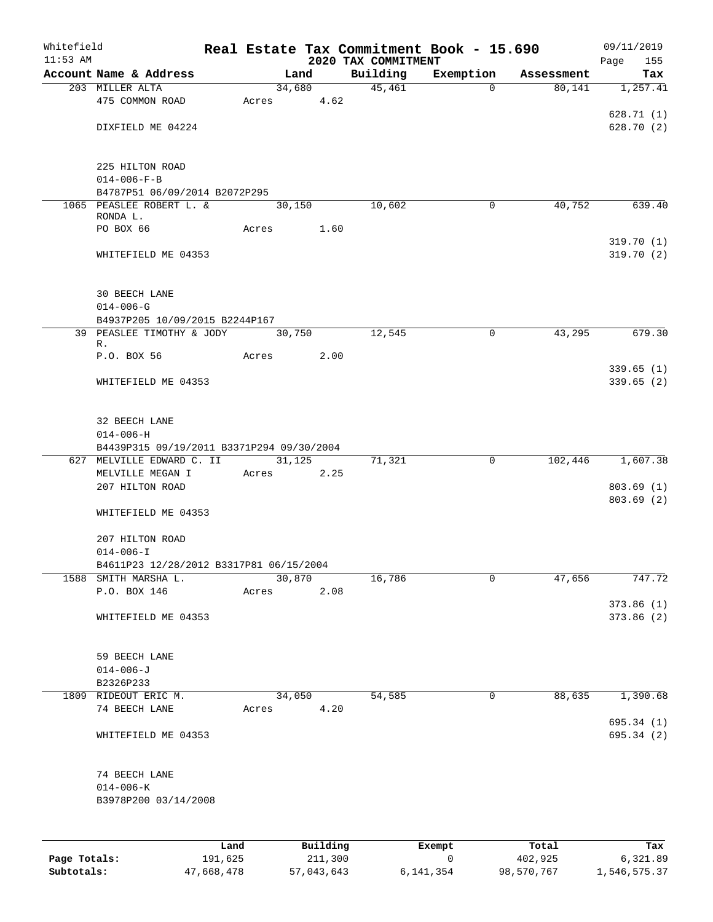| Whitefield<br>$11:53$ AM |                                           |       |        |            | 2020 TAX COMMITMENT | Real Estate Tax Commitment Book - 15.690 |            | 09/11/2019<br>Page<br>155 |
|--------------------------|-------------------------------------------|-------|--------|------------|---------------------|------------------------------------------|------------|---------------------------|
|                          | Account Name & Address                    |       |        | Land       | Building            | Exemption                                | Assessment | Tax                       |
|                          | 203 MILLER ALTA                           |       |        | 34,680     | 45,461              | $\Omega$                                 | 80,141     | 1,257.41                  |
|                          | 475 COMMON ROAD                           |       |        | Acres 4.62 |                     |                                          |            |                           |
|                          |                                           |       |        |            |                     |                                          |            | 628.71(1)                 |
|                          | DIXFIELD ME 04224                         |       |        |            |                     |                                          |            | 628.70 (2)                |
|                          |                                           |       |        |            |                     |                                          |            |                           |
|                          |                                           |       |        |            |                     |                                          |            |                           |
|                          | 225 HILTON ROAD                           |       |        |            |                     |                                          |            |                           |
|                          | $014 - 006 - F - B$                       |       |        |            |                     |                                          |            |                           |
|                          | B4787P51 06/09/2014 B2072P295             |       |        |            |                     |                                          |            |                           |
|                          | 1065 PEASLEE ROBERT L. &<br>RONDA L.      |       | 30,150 |            | 10,602              | $\mathbf 0$                              | 40,752     | 639.40                    |
|                          | PO BOX 66                                 | Acres |        | 1.60       |                     |                                          |            |                           |
|                          |                                           |       |        |            |                     |                                          |            | 319.70(1)                 |
|                          | WHITEFIELD ME 04353                       |       |        |            |                     |                                          |            | 319.70(2)                 |
|                          |                                           |       |        |            |                     |                                          |            |                           |
|                          | <b>30 BEECH LANE</b>                      |       |        |            |                     |                                          |            |                           |
|                          | $014 - 006 - G$                           |       |        |            |                     |                                          |            |                           |
|                          | B4937P205 10/09/2015 B2244P167            |       |        |            |                     |                                          |            |                           |
|                          | 39 PEASLEE TIMOTHY & JODY                 |       |        | 30,750     | 12,545              | $\mathbf 0$                              | 43,295     | 679.30                    |
|                          | R.                                        |       |        |            |                     |                                          |            |                           |
|                          | P.O. BOX 56                               | Acres |        | 2.00       |                     |                                          |            |                           |
|                          |                                           |       |        |            |                     |                                          |            | 339.65(1)                 |
|                          | WHITEFIELD ME 04353                       |       |        |            |                     |                                          |            | 339.65(2)                 |
|                          |                                           |       |        |            |                     |                                          |            |                           |
|                          | 32 BEECH LANE                             |       |        |            |                     |                                          |            |                           |
|                          | $014 - 006 - H$                           |       |        |            |                     |                                          |            |                           |
|                          | B4439P315 09/19/2011 B3371P294 09/30/2004 |       |        |            |                     |                                          |            |                           |
|                          | 627 MELVILLE EDWARD C. II                 |       |        | 31,125     | 71,321              | $\mathsf{O}$                             | 102,446    | 1,607.38                  |
|                          | MELVILLE MEGAN I                          |       |        | Acres 2.25 |                     |                                          |            |                           |
|                          | 207 HILTON ROAD                           |       |        |            |                     |                                          |            | 803.69(1)                 |
|                          |                                           |       |        |            |                     |                                          |            | 803.69(2)                 |
|                          | WHITEFIELD ME 04353                       |       |        |            |                     |                                          |            |                           |
|                          | 207 HILTON ROAD                           |       |        |            |                     |                                          |            |                           |
|                          | $014 - 006 - I$                           |       |        |            |                     |                                          |            |                           |
|                          | B4611P23 12/28/2012 B3317P81 06/15/2004   |       |        |            |                     |                                          |            |                           |
|                          | 1588 SMITH MARSHA L.                      |       | 30,870 |            | 16,786              | $\mathbf 0$                              | 47,656     | 747.72                    |
|                          | P.O. BOX 146                              | Acres |        | 2.08       |                     |                                          |            |                           |
|                          |                                           |       |        |            |                     |                                          |            | 373.86(1)                 |
|                          | WHITEFIELD ME 04353                       |       |        |            |                     |                                          |            | 373.86(2)                 |
|                          |                                           |       |        |            |                     |                                          |            |                           |
|                          |                                           |       |        |            |                     |                                          |            |                           |
|                          | 59 BEECH LANE                             |       |        |            |                     |                                          |            |                           |
|                          | $014 - 006 - J$                           |       |        |            |                     |                                          |            |                           |
|                          | B2326P233                                 |       |        |            |                     |                                          |            |                           |
|                          | 1809 RIDEOUT ERIC M.                      |       |        | 34,050     | 54,585              | 0                                        | 88,635     | 1,390.68                  |
|                          | 74 BEECH LANE                             |       |        | Acres 4.20 |                     |                                          |            |                           |
|                          |                                           |       |        |            |                     |                                          |            | 695.34 (1)                |
|                          | WHITEFIELD ME 04353                       |       |        |            |                     |                                          |            | 695.34 (2)                |
|                          |                                           |       |        |            |                     |                                          |            |                           |
|                          | 74 BEECH LANE                             |       |        |            |                     |                                          |            |                           |
|                          | $014 - 006 - K$                           |       |        |            |                     |                                          |            |                           |
|                          | B3978P200 03/14/2008                      |       |        |            |                     |                                          |            |                           |
|                          |                                           |       |        |            |                     |                                          |            |                           |
|                          |                                           | Land  |        | Building   |                     | Exempt                                   | Total      | Tax                       |

|              | .          | <u>DULLULUM</u> | <b>BY CITING</b> | ----       | $-0.0$       |
|--------------|------------|-----------------|------------------|------------|--------------|
| Page Totals: | 191,625    | 211,300         |                  | 402,925    | 6,321.89     |
| Subtotals:   | 47,668,478 | 57,043,643      | 6,141,354        | 98,570,767 | 1,546,575.37 |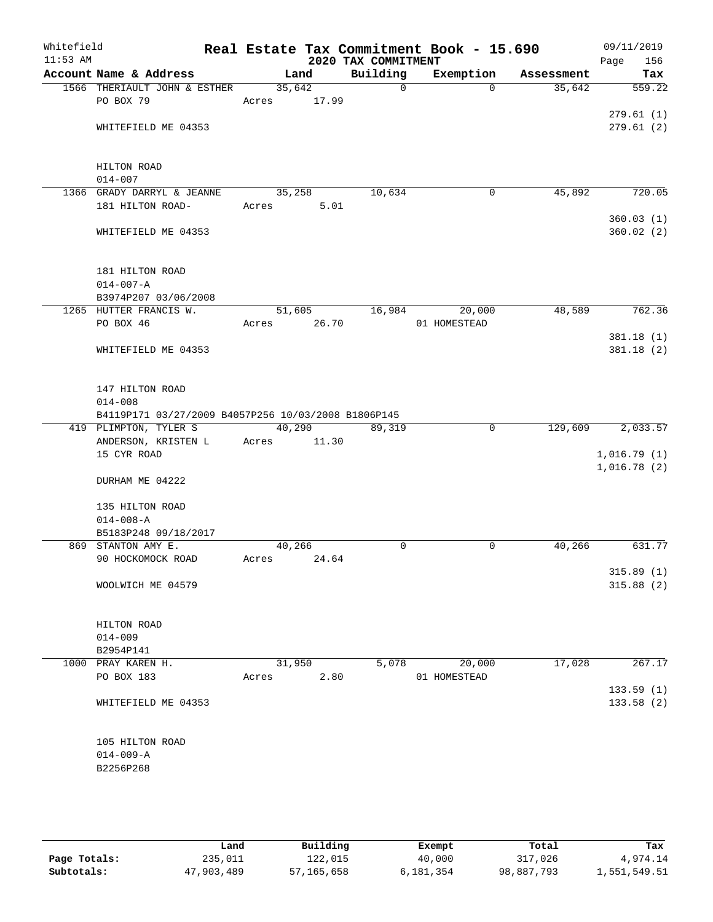| Whitefield |                                                                              |       |                |                                 | Real Estate Tax Commitment Book - 15.690 |                      | 09/11/2019             |
|------------|------------------------------------------------------------------------------|-------|----------------|---------------------------------|------------------------------------------|----------------------|------------------------|
| $11:53$ AM | Account Name & Address                                                       |       |                | 2020 TAX COMMITMENT<br>Building |                                          |                      | Page<br>156            |
|            | 1566 THERIAULT JOHN & ESTHER                                                 |       | Land<br>35,642 | $\mathbf 0$                     | Exemption<br>$\Omega$                    | Assessment<br>35,642 | Tax<br>559.22          |
|            | PO BOX 79                                                                    | Acres | 17.99          |                                 |                                          |                      |                        |
|            |                                                                              |       |                |                                 |                                          |                      | 279.61(1)              |
|            | WHITEFIELD ME 04353                                                          |       |                |                                 |                                          |                      | 279.61(2)              |
|            |                                                                              |       |                |                                 |                                          |                      |                        |
|            |                                                                              |       |                |                                 |                                          |                      |                        |
|            | HILTON ROAD                                                                  |       |                |                                 |                                          |                      |                        |
|            | $014 - 007$                                                                  |       |                |                                 |                                          |                      |                        |
|            | 1366 GRADY DARRYL & JEANNE                                                   |       | 35,258         | 10,634                          | 0                                        | 45,892               | 720.05                 |
|            | 181 HILTON ROAD-                                                             | Acres | 5.01           |                                 |                                          |                      |                        |
|            |                                                                              |       |                |                                 |                                          |                      | 360.03(1)              |
|            | WHITEFIELD ME 04353                                                          |       |                |                                 |                                          |                      | 360.02(2)              |
|            |                                                                              |       |                |                                 |                                          |                      |                        |
|            | 181 HILTON ROAD                                                              |       |                |                                 |                                          |                      |                        |
|            | $014 - 007 - A$                                                              |       |                |                                 |                                          |                      |                        |
|            | B3974P207 03/06/2008                                                         |       |                |                                 |                                          |                      |                        |
|            | 1265 HUTTER FRANCIS W.                                                       |       | 51,605         | 16,984                          | 20,000                                   | 48,589               | 762.36                 |
|            | PO BOX 46                                                                    | Acres | 26.70          |                                 | 01 HOMESTEAD                             |                      |                        |
|            |                                                                              |       |                |                                 |                                          |                      | 381.18(1)              |
|            | WHITEFIELD ME 04353                                                          |       |                |                                 |                                          |                      | 381.18(2)              |
|            |                                                                              |       |                |                                 |                                          |                      |                        |
|            |                                                                              |       |                |                                 |                                          |                      |                        |
|            | 147 HILTON ROAD                                                              |       |                |                                 |                                          |                      |                        |
|            | $014 - 008$                                                                  |       |                |                                 |                                          |                      |                        |
|            | B4119P171 03/27/2009 B4057P256 10/03/2008 B1806P145<br>419 PLIMPTON, TYLER S |       | 40,290         | 89,319                          | $\mathbf 0$                              | 129,609              | 2,033.57               |
|            | ANDERSON, KRISTEN LACres                                                     |       | 11.30          |                                 |                                          |                      |                        |
|            | 15 CYR ROAD                                                                  |       |                |                                 |                                          |                      | 1,016.79(1)            |
|            |                                                                              |       |                |                                 |                                          |                      | 1,016.78(2)            |
|            | DURHAM ME 04222                                                              |       |                |                                 |                                          |                      |                        |
|            |                                                                              |       |                |                                 |                                          |                      |                        |
|            | 135 HILTON ROAD                                                              |       |                |                                 |                                          |                      |                        |
|            | $014 - 008 - A$                                                              |       |                |                                 |                                          |                      |                        |
|            | B5183P248 09/18/2017                                                         |       |                |                                 |                                          |                      |                        |
|            | 869 STANTON AMY E.                                                           |       | 40,266         | $\mathbf 0$                     | 0                                        | 40,266               | 631.77                 |
|            | 90 HOCKOMOCK ROAD                                                            | Acres | 24.64          |                                 |                                          |                      |                        |
|            | WOOLWICH ME 04579                                                            |       |                |                                 |                                          |                      | 315.89(1)<br>315.88(2) |
|            |                                                                              |       |                |                                 |                                          |                      |                        |
|            |                                                                              |       |                |                                 |                                          |                      |                        |
|            | HILTON ROAD                                                                  |       |                |                                 |                                          |                      |                        |
|            | $014 - 009$                                                                  |       |                |                                 |                                          |                      |                        |
|            | B2954P141                                                                    |       |                |                                 |                                          |                      |                        |
|            | 1000 PRAY KAREN H.                                                           |       | 31,950         | 5,078                           | 20,000                                   | 17,028               | 267.17                 |
|            | PO BOX 183                                                                   | Acres | 2.80           |                                 | 01 HOMESTEAD                             |                      |                        |
|            |                                                                              |       |                |                                 |                                          |                      | 133.59(1)              |
|            | WHITEFIELD ME 04353                                                          |       |                |                                 |                                          |                      | 133.58 (2)             |
|            |                                                                              |       |                |                                 |                                          |                      |                        |
|            | 105 HILTON ROAD                                                              |       |                |                                 |                                          |                      |                        |
|            | $014 - 009 - A$                                                              |       |                |                                 |                                          |                      |                        |
|            | B2256P268                                                                    |       |                |                                 |                                          |                      |                        |
|            |                                                                              |       |                |                                 |                                          |                      |                        |
|            |                                                                              |       |                |                                 |                                          |                      |                        |
|            |                                                                              |       |                |                                 |                                          |                      |                        |

|              | Land       | Building     | Exempt    | Total      | Tax          |
|--------------|------------|--------------|-----------|------------|--------------|
| Page Totals: | 235,011    | 122,015      | 40,000    | 317,026    | 4,974.14     |
| Subtotals:   | 47,903,489 | 57, 165, 658 | 6,181,354 | 98,887,793 | 1,551,549.51 |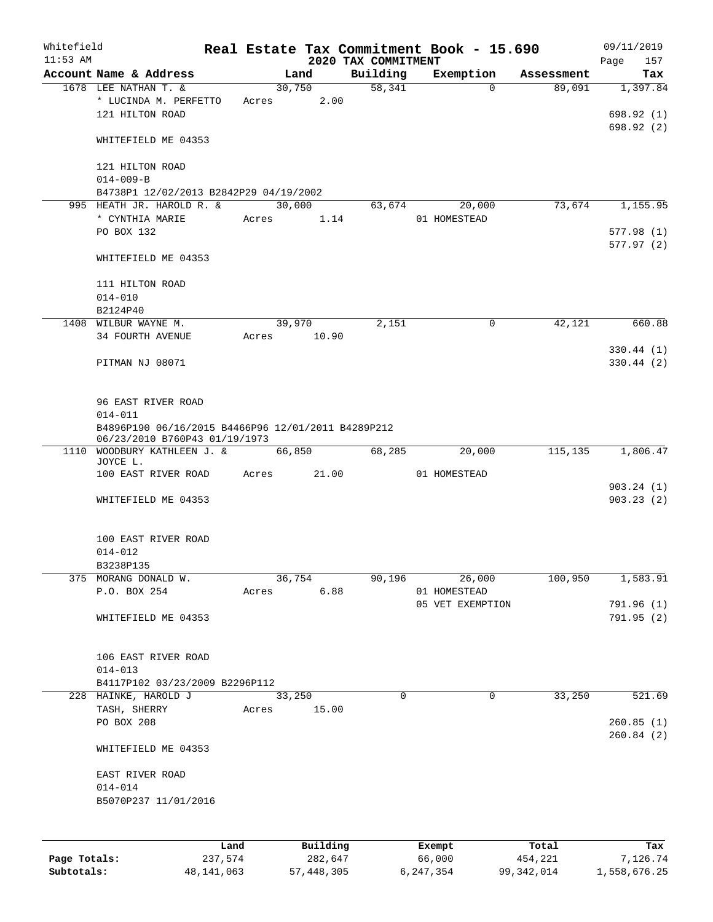| Whitefield   |                                                                                     |         |       |                |          |                     |          | Real Estate Tax Commitment Book - 15.690 |                      | 09/11/2019      |
|--------------|-------------------------------------------------------------------------------------|---------|-------|----------------|----------|---------------------|----------|------------------------------------------|----------------------|-----------------|
| $11:53$ AM   |                                                                                     |         |       |                |          | 2020 TAX COMMITMENT |          |                                          |                      | 157<br>Page     |
|              | Account Name & Address<br>1678 LEE NATHAN T. &                                      |         |       | Land<br>30,750 |          | Building<br>58,341  |          | Exemption<br>$\mathbf 0$                 | Assessment<br>89,091 | Tax<br>1,397.84 |
|              | * LUCINDA M. PERFETTO                                                               |         | Acres |                | 2.00     |                     |          |                                          |                      |                 |
|              | 121 HILTON ROAD                                                                     |         |       |                |          |                     |          |                                          |                      | 698.92 (1)      |
|              |                                                                                     |         |       |                |          |                     |          |                                          |                      |                 |
|              | WHITEFIELD ME 04353                                                                 |         |       |                |          |                     |          |                                          |                      | 698.92 (2)      |
|              |                                                                                     |         |       |                |          |                     |          |                                          |                      |                 |
|              | 121 HILTON ROAD                                                                     |         |       |                |          |                     |          |                                          |                      |                 |
|              | $014 - 009 - B$                                                                     |         |       |                |          |                     |          |                                          |                      |                 |
|              | B4738P1 12/02/2013 B2842P29 04/19/2002                                              |         |       |                |          |                     |          |                                          |                      |                 |
|              | 995 HEATH JR. HAROLD R. &                                                           |         |       | 30,000         |          | 63,674              |          | 20,000                                   | 73,674               | 1,155.95        |
|              | * CYNTHIA MARIE                                                                     |         | Acres |                | 1.14     |                     |          | 01 HOMESTEAD                             |                      |                 |
|              | PO BOX 132                                                                          |         |       |                |          |                     |          |                                          |                      | 577.98(1)       |
|              |                                                                                     |         |       |                |          |                     |          |                                          |                      | 577.97(2)       |
|              | WHITEFIELD ME 04353                                                                 |         |       |                |          |                     |          |                                          |                      |                 |
|              |                                                                                     |         |       |                |          |                     |          |                                          |                      |                 |
|              | 111 HILTON ROAD                                                                     |         |       |                |          |                     |          |                                          |                      |                 |
|              | $014 - 010$                                                                         |         |       |                |          |                     |          |                                          |                      |                 |
|              |                                                                                     |         |       |                |          |                     |          |                                          |                      |                 |
|              | B2124P40                                                                            |         |       | 39,970         |          | 2,151               |          | 0                                        | 42,121               | 660.88          |
|              | 1408 WILBUR WAYNE M.                                                                |         | Acres |                |          |                     |          |                                          |                      |                 |
|              | 34 FOURTH AVENUE                                                                    |         |       |                | 10.90    |                     |          |                                          |                      |                 |
|              |                                                                                     |         |       |                |          |                     |          |                                          |                      | 330.44(1)       |
|              | PITMAN NJ 08071                                                                     |         |       |                |          |                     |          |                                          |                      | 330.44(2)       |
|              |                                                                                     |         |       |                |          |                     |          |                                          |                      |                 |
|              | 96 EAST RIVER ROAD                                                                  |         |       |                |          |                     |          |                                          |                      |                 |
|              | $014 - 011$                                                                         |         |       |                |          |                     |          |                                          |                      |                 |
|              |                                                                                     |         |       |                |          |                     |          |                                          |                      |                 |
|              | B4896P190 06/16/2015 B4466P96 12/01/2011 B4289P212<br>06/23/2010 B760P43 01/19/1973 |         |       |                |          |                     |          |                                          |                      |                 |
| 1110         | WOODBURY KATHLEEN J. &                                                              |         |       | 66,850         |          | 68,285              |          | 20,000                                   | 115,135              | 1,806.47        |
|              | JOYCE L.                                                                            |         |       |                |          |                     |          |                                          |                      |                 |
|              | 100 EAST RIVER ROAD                                                                 |         | Acres |                | 21.00    |                     |          | 01 HOMESTEAD                             |                      |                 |
|              |                                                                                     |         |       |                |          |                     |          |                                          |                      | 903.24(1)       |
|              | WHITEFIELD ME 04353                                                                 |         |       |                |          |                     |          |                                          |                      | 903.23(2)       |
|              |                                                                                     |         |       |                |          |                     |          |                                          |                      |                 |
|              |                                                                                     |         |       |                |          |                     |          |                                          |                      |                 |
|              | 100 EAST RIVER ROAD                                                                 |         |       |                |          |                     |          |                                          |                      |                 |
|              | $014 - 012$                                                                         |         |       |                |          |                     |          |                                          |                      |                 |
|              | B3238P135                                                                           |         |       |                |          |                     |          |                                          |                      |                 |
|              | 375 MORANG DONALD W.                                                                |         |       | 36,754         |          | 90,196              |          | 26,000                                   | 100,950              | 1,583.91        |
|              | P.O. BOX 254                                                                        |         | Acres |                | 6.88     |                     |          | 01 HOMESTEAD                             |                      |                 |
|              |                                                                                     |         |       |                |          |                     |          | 05 VET EXEMPTION                         |                      | 791.96 (1)      |
|              | WHITEFIELD ME 04353                                                                 |         |       |                |          |                     |          |                                          |                      | 791.95 (2)      |
|              |                                                                                     |         |       |                |          |                     |          |                                          |                      |                 |
|              |                                                                                     |         |       |                |          |                     |          |                                          |                      |                 |
|              | 106 EAST RIVER ROAD                                                                 |         |       |                |          |                     |          |                                          |                      |                 |
|              | $014 - 013$                                                                         |         |       |                |          |                     |          |                                          |                      |                 |
|              | B4117P102 03/23/2009 B2296P112                                                      |         |       |                |          |                     |          |                                          |                      |                 |
|              | 228 HAINKE, HAROLD J                                                                |         |       | 33,250         |          |                     | $\Omega$ | $\mathbf 0$                              | 33,250               | 521.69          |
|              | TASH, SHERRY                                                                        |         | Acres |                | 15.00    |                     |          |                                          |                      |                 |
|              | PO BOX 208                                                                          |         |       |                |          |                     |          |                                          |                      | 260.85(1)       |
|              |                                                                                     |         |       |                |          |                     |          |                                          |                      | 260.84(2)       |
|              | WHITEFIELD ME 04353                                                                 |         |       |                |          |                     |          |                                          |                      |                 |
|              |                                                                                     |         |       |                |          |                     |          |                                          |                      |                 |
|              | EAST RIVER ROAD                                                                     |         |       |                |          |                     |          |                                          |                      |                 |
|              | $014 - 014$                                                                         |         |       |                |          |                     |          |                                          |                      |                 |
|              | B5070P237 11/01/2016                                                                |         |       |                |          |                     |          |                                          |                      |                 |
|              |                                                                                     |         |       |                |          |                     |          |                                          |                      |                 |
|              |                                                                                     |         |       |                |          |                     |          |                                          |                      |                 |
|              |                                                                                     |         |       |                |          |                     |          |                                          |                      |                 |
|              |                                                                                     | Land    |       |                | Building |                     |          | Exempt                                   | Total                | Tax             |
| Page Totals: |                                                                                     | 237,574 |       |                | 282,647  |                     |          | 66,000                                   | 454,221              | 7,126.74        |

**Subtotals:** 48,141,063 57,448,305 6,247,354 99,342,014 1,558,676.25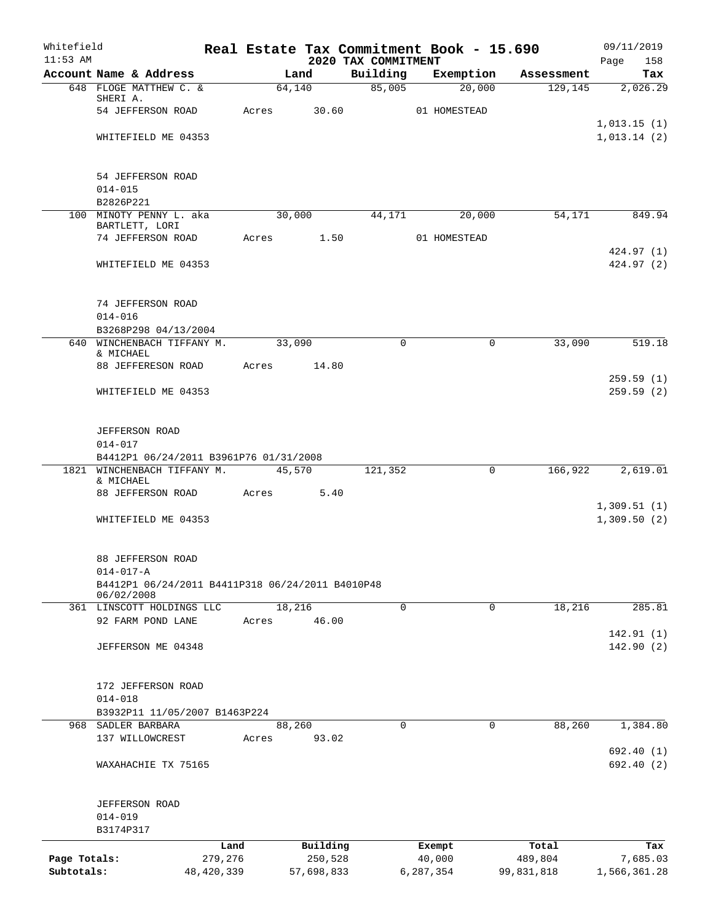| Whitefield<br>$11:53$ AM   |                                                                     |                         |       |                       | Real Estate Tax Commitment Book - 15.690 |                     |          |                       | 09/11/2019                 |
|----------------------------|---------------------------------------------------------------------|-------------------------|-------|-----------------------|------------------------------------------|---------------------|----------|-----------------------|----------------------------|
|                            | Account Name & Address                                              |                         |       | Land                  | 2020 TAX COMMITMENT<br>Building          | Exemption           |          | Assessment            | Page<br>158<br>Tax         |
|                            | 648 FLOGE MATTHEW C. &                                              |                         |       | 64,140                | 85,005                                   |                     | 20,000   | 129, 145              | 2,026.29                   |
|                            | SHERI A.                                                            |                         |       |                       |                                          |                     |          |                       |                            |
|                            | 54 JEFFERSON ROAD                                                   |                         | Acres | 30.60                 |                                          | 01 HOMESTEAD        |          |                       | 1,013.15(1)                |
|                            | WHITEFIELD ME 04353                                                 |                         |       |                       |                                          |                     |          |                       | 1,013.14(2)                |
|                            |                                                                     |                         |       |                       |                                          |                     |          |                       |                            |
|                            | 54 JEFFERSON ROAD<br>$014 - 015$                                    |                         |       |                       |                                          |                     |          |                       |                            |
|                            | B2826P221                                                           |                         |       |                       |                                          |                     |          |                       |                            |
|                            | 100 MINOTY PENNY L. aka                                             |                         |       | 30,000                | 44,171                                   |                     | 20,000   | 54,171                | 849.94                     |
|                            | BARTLETT, LORI<br>74 JEFFERSON ROAD                                 |                         |       | Acres 1.50            |                                          | 01 HOMESTEAD        |          |                       |                            |
|                            |                                                                     |                         |       |                       |                                          |                     |          |                       | 424.97 (1)                 |
|                            | WHITEFIELD ME 04353                                                 |                         |       |                       |                                          |                     |          |                       | 424.97 (2)                 |
|                            | 74 JEFFERSON ROAD                                                   |                         |       |                       |                                          |                     |          |                       |                            |
|                            | $014 - 016$                                                         |                         |       |                       |                                          |                     |          |                       |                            |
|                            | B3268P298 04/13/2004                                                |                         |       |                       |                                          |                     |          |                       |                            |
|                            | 640 WINCHENBACH TIFFANY M.<br>& MICHAEL                             |                         |       | 33,090                | $\Omega$                                 |                     | 0        | 33,090                | 519.18                     |
|                            | 88 JEFFERESON ROAD                                                  |                         | Acres | 14.80                 |                                          |                     |          |                       | 259.59(1)                  |
|                            | WHITEFIELD ME 04353                                                 |                         |       |                       |                                          |                     |          |                       | 259.59(2)                  |
|                            | <b>JEFFERSON ROAD</b>                                               |                         |       |                       |                                          |                     |          |                       |                            |
|                            | $014 - 017$                                                         |                         |       |                       |                                          |                     |          |                       |                            |
|                            | B4412P1 06/24/2011 B3961P76 01/31/2008                              |                         |       |                       |                                          |                     |          |                       |                            |
|                            | 1821 WINCHENBACH TIFFANY M.<br>& MICHAEL                            |                         |       | 45,570                | 121,352                                  |                     | 0        | 166,922               | 2,619.01                   |
|                            | 88 JEFFERSON ROAD                                                   |                         | Acres | 5.40                  |                                          |                     |          |                       |                            |
|                            | WHITEFIELD ME 04353                                                 |                         |       |                       |                                          |                     |          |                       | 1,309.51(1)<br>1,309.50(2) |
|                            | 88 JEFFERSON ROAD                                                   |                         |       |                       |                                          |                     |          |                       |                            |
|                            | $014 - 017 - A$<br>B4412P1 06/24/2011 B4411P318 06/24/2011 B4010P48 |                         |       |                       |                                          |                     |          |                       |                            |
|                            | 06/02/2008                                                          |                         |       |                       |                                          |                     |          |                       |                            |
|                            | 361 LINSCOTT HOLDINGS LLC                                           |                         |       | 18,216                | 0                                        |                     | 0        | 18,216                | 285.81                     |
|                            | 92 FARM POND LANE                                                   |                         | Acres | 46.00                 |                                          |                     |          |                       | 142.91(1)                  |
|                            | JEFFERSON ME 04348                                                  |                         |       |                       |                                          |                     |          |                       | 142.90(2)                  |
|                            | 172 JEFFERSON ROAD                                                  |                         |       |                       |                                          |                     |          |                       |                            |
|                            | $014 - 018$                                                         |                         |       |                       |                                          |                     |          |                       |                            |
|                            | B3932P11 11/05/2007 B1463P224                                       |                         |       |                       |                                          |                     |          |                       |                            |
|                            | 968 SADLER BARBARA                                                  |                         |       | 88,260                | $\Omega$                                 |                     | $\Omega$ | 88,260                | 1,384.80                   |
|                            | 137 WILLOWCREST                                                     |                         | Acres | 93.02                 |                                          |                     |          |                       | 692.40(1)                  |
|                            | WAXAHACHIE TX 75165                                                 |                         |       |                       |                                          |                     |          |                       | 692.40 (2)                 |
|                            | <b>JEFFERSON ROAD</b>                                               |                         |       |                       |                                          |                     |          |                       |                            |
|                            | $014 - 019$                                                         |                         |       |                       |                                          |                     |          |                       |                            |
|                            | B3174P317                                                           |                         |       |                       |                                          |                     |          |                       |                            |
|                            |                                                                     | Land                    |       | Building              |                                          | Exempt              |          | Total                 | Tax                        |
| Page Totals:<br>Subtotals: |                                                                     | 279,276<br>48, 420, 339 |       | 250,528<br>57,698,833 |                                          | 40,000<br>6,287,354 |          | 489,804<br>99,831,818 | 7,685.03<br>1,566,361.28   |
|                            |                                                                     |                         |       |                       |                                          |                     |          |                       |                            |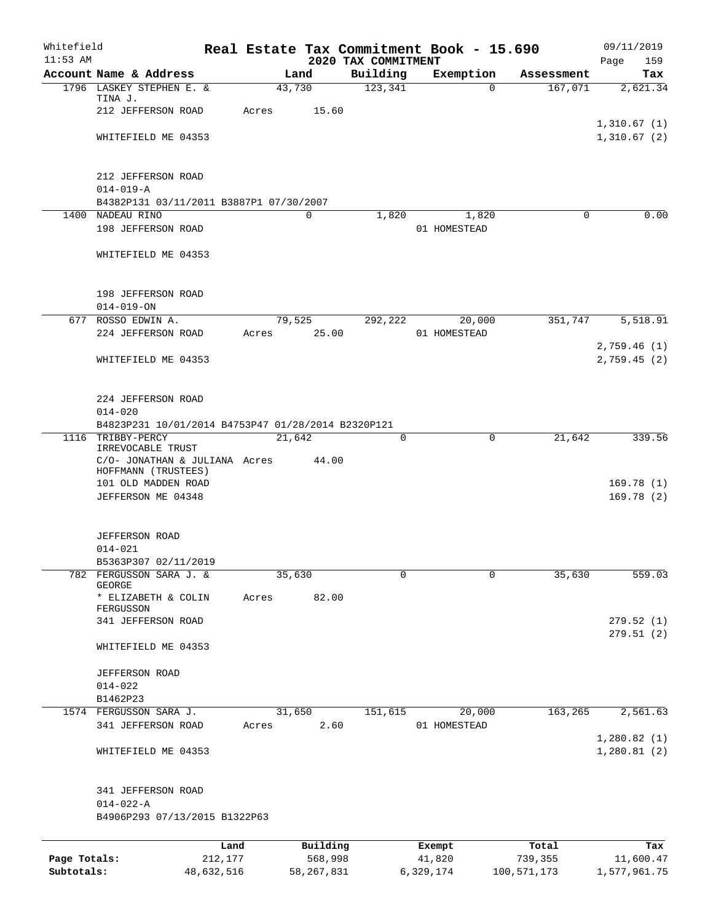| Whitefield<br>$11:53$ AM |                                                      |            |        |              | 2020 TAX COMMITMENT | Real Estate Tax Commitment Book - 15.690 |             |             | 09/11/2019<br>Page<br>159 |
|--------------------------|------------------------------------------------------|------------|--------|--------------|---------------------|------------------------------------------|-------------|-------------|---------------------------|
|                          | Account Name & Address                               |            |        | Land         | Building            | Exemption                                |             | Assessment  | Tax                       |
|                          | 1796 LASKEY STEPHEN E. &                             |            | 43,730 |              | 123,341             |                                          | 0           | 167,071     | 2,621.34                  |
|                          | TINA J.                                              |            |        |              |                     |                                          |             |             |                           |
|                          | 212 JEFFERSON ROAD                                   |            | Acres  | 15.60        |                     |                                          |             |             | 1,310.67(1)               |
|                          | WHITEFIELD ME 04353                                  |            |        |              |                     |                                          |             |             | 1,310.67(2)               |
|                          |                                                      |            |        |              |                     |                                          |             |             |                           |
|                          | 212 JEFFERSON ROAD                                   |            |        |              |                     |                                          |             |             |                           |
|                          | $014 - 019 - A$                                      |            |        |              |                     |                                          |             |             |                           |
|                          | B4382P131 03/11/2011 B3887P1 07/30/2007              |            |        |              |                     |                                          |             |             |                           |
|                          | 1400 NADEAU RINO                                     |            |        | $\mathbf 0$  | 1,820               |                                          | 1,820       | $\Omega$    | 0.00                      |
|                          | 198 JEFFERSON ROAD                                   |            |        |              |                     | 01 HOMESTEAD                             |             |             |                           |
|                          | WHITEFIELD ME 04353                                  |            |        |              |                     |                                          |             |             |                           |
|                          | 198 JEFFERSON ROAD                                   |            |        |              |                     |                                          |             |             |                           |
|                          | $014 - 019 - ON$                                     |            |        |              |                     |                                          |             |             |                           |
|                          | 677 ROSSO EDWIN A.                                   |            |        | 79,525       | 292,222             | 20,000                                   |             | 351,747     | 5,518.91                  |
|                          | 224 JEFFERSON ROAD                                   |            | Acres  | 25.00        |                     | 01 HOMESTEAD                             |             |             |                           |
|                          |                                                      |            |        |              |                     |                                          |             |             | 2,759.46(1)               |
|                          | WHITEFIELD ME 04353                                  |            |        |              |                     |                                          |             |             | 2,759.45(2)               |
|                          | 224 JEFFERSON ROAD                                   |            |        |              |                     |                                          |             |             |                           |
|                          | $014 - 020$                                          |            |        |              |                     |                                          |             |             |                           |
|                          | B4823P231 10/01/2014 B4753P47 01/28/2014 B2320P121   |            |        |              |                     |                                          |             |             |                           |
| 1116                     | TRIBBY-PERCY<br>IRREVOCABLE TRUST                    |            | 21,642 |              | 0                   |                                          | $\mathbf 0$ | 21,642      | 339.56                    |
|                          | C/O- JONATHAN & JULIANA Acres<br>HOFFMANN (TRUSTEES) |            |        | 44.00        |                     |                                          |             |             |                           |
|                          | 101 OLD MADDEN ROAD                                  |            |        |              |                     |                                          |             |             | 169.78(1)                 |
|                          | JEFFERSON ME 04348                                   |            |        |              |                     |                                          |             |             | 169.78(2)                 |
|                          |                                                      |            |        |              |                     |                                          |             |             |                           |
|                          | <b>JEFFERSON ROAD</b>                                |            |        |              |                     |                                          |             |             |                           |
|                          | $014 - 021$                                          |            |        |              |                     |                                          |             |             |                           |
|                          | B5363P307 02/11/2019<br>782 FERGUSSON SARA J. &      |            | 35,630 |              | 0                   |                                          | 0           | 35,630      | 559.03                    |
|                          | GEORGE                                               |            |        |              |                     |                                          |             |             |                           |
|                          | * ELIZABETH & COLIN                                  |            | Acres  | 82.00        |                     |                                          |             |             |                           |
|                          | FERGUSSON<br>341 JEFFERSON ROAD                      |            |        |              |                     |                                          |             |             | 279.52(1)                 |
|                          |                                                      |            |        |              |                     |                                          |             |             | 279.51 (2)                |
|                          | WHITEFIELD ME 04353                                  |            |        |              |                     |                                          |             |             |                           |
|                          | JEFFERSON ROAD                                       |            |        |              |                     |                                          |             |             |                           |
|                          | $014 - 022$                                          |            |        |              |                     |                                          |             |             |                           |
|                          | B1462P23                                             |            |        |              |                     |                                          |             |             |                           |
|                          | 1574 FERGUSSON SARA J.                               |            | 31,650 |              | 151,615             | 20,000                                   |             | 163,265     | 2,561.63                  |
|                          | 341 JEFFERSON ROAD                                   |            | Acres  | 2.60         |                     | 01 HOMESTEAD                             |             |             | 1,280.82(1)               |
|                          | WHITEFIELD ME 04353                                  |            |        |              |                     |                                          |             |             | 1,280.81(2)               |
|                          | 341 JEFFERSON ROAD                                   |            |        |              |                     |                                          |             |             |                           |
|                          | $014 - 022 - A$                                      |            |        |              |                     |                                          |             |             |                           |
|                          | B4906P293 07/13/2015 B1322P63                        |            |        |              |                     |                                          |             |             |                           |
|                          |                                                      | Land       |        | Building     |                     | Exempt                                   |             | Total       | Tax                       |
| Page Totals:             |                                                      | 212,177    |        | 568,998      |                     | 41,820                                   |             | 739,355     | 11,600.47                 |
| Subtotals:               |                                                      | 48,632,516 |        | 58, 267, 831 |                     | 6,329,174                                |             | 100,571,173 | 1,577,961.75              |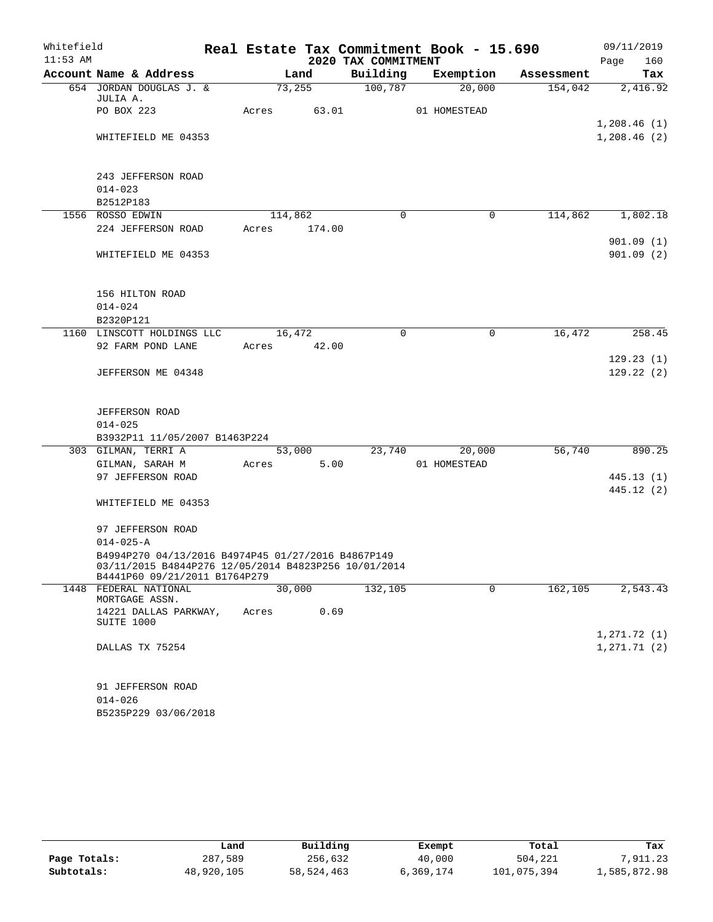| Whitefield |                                                                                                                                             |       |         |                     | Real Estate Tax Commitment Book - 15.690 |            | 09/11/2019                 |
|------------|---------------------------------------------------------------------------------------------------------------------------------------------|-------|---------|---------------------|------------------------------------------|------------|----------------------------|
| $11:53$ AM |                                                                                                                                             |       |         | 2020 TAX COMMITMENT |                                          |            | 160<br>Page                |
|            | Account Name & Address                                                                                                                      |       | Land    | Building            | Exemption                                | Assessment | Tax                        |
|            | 654 JORDAN DOUGLAS J. &                                                                                                                     |       | 73,255  | 100,787             | 20,000                                   | 154,042    | 2,416.92                   |
|            | JULIA A.                                                                                                                                    |       |         |                     |                                          |            |                            |
|            | PO BOX 223                                                                                                                                  | Acres | 63.01   |                     | 01 HOMESTEAD                             |            |                            |
|            | WHITEFIELD ME 04353                                                                                                                         |       |         |                     |                                          |            | 1,208.46(1)<br>1,208.46(2) |
|            |                                                                                                                                             |       |         |                     |                                          |            |                            |
|            | 243 JEFFERSON ROAD                                                                                                                          |       |         |                     |                                          |            |                            |
|            | $014 - 023$                                                                                                                                 |       |         |                     |                                          |            |                            |
|            | B2512P183                                                                                                                                   |       |         |                     |                                          |            |                            |
|            | 1556 ROSSO EDWIN                                                                                                                            |       | 114,862 | 0                   | $\Omega$                                 | 114,862    | 1,802.18                   |
|            | 224 JEFFERSON ROAD                                                                                                                          | Acres | 174.00  |                     |                                          |            |                            |
|            |                                                                                                                                             |       |         |                     |                                          |            | 901.09(1)                  |
|            | WHITEFIELD ME 04353                                                                                                                         |       |         |                     |                                          |            | 901.09(2)                  |
|            | 156 HILTON ROAD                                                                                                                             |       |         |                     |                                          |            |                            |
|            | $014 - 024$                                                                                                                                 |       |         |                     |                                          |            |                            |
|            | B2320P121                                                                                                                                   |       |         |                     |                                          |            |                            |
|            | 1160 LINSCOTT HOLDINGS LLC                                                                                                                  |       | 16,472  | 0                   | 0                                        | 16,472     | 258.45                     |
|            | 92 FARM POND LANE                                                                                                                           | Acres | 42.00   |                     |                                          |            |                            |
|            | JEFFERSON ME 04348                                                                                                                          |       |         |                     |                                          |            | 129.23(1)<br>129.22(2)     |
|            | <b>JEFFERSON ROAD</b>                                                                                                                       |       |         |                     |                                          |            |                            |
|            | $014 - 025$                                                                                                                                 |       |         |                     |                                          |            |                            |
|            | B3932P11 11/05/2007 B1463P224                                                                                                               |       |         |                     |                                          |            |                            |
|            | 303 GILMAN, TERRI A                                                                                                                         |       | 53,000  | 23,740              | 20,000                                   | 56,740     | 890.25                     |
|            | GILMAN, SARAH M                                                                                                                             | Acres | 5.00    |                     | 01 HOMESTEAD                             |            |                            |
|            | 97 JEFFERSON ROAD                                                                                                                           |       |         |                     |                                          |            | 445.13(1)                  |
|            | WHITEFIELD ME 04353                                                                                                                         |       |         |                     |                                          |            | 445.12 (2)                 |
|            | 97 JEFFERSON ROAD                                                                                                                           |       |         |                     |                                          |            |                            |
|            | $014 - 025 - A$                                                                                                                             |       |         |                     |                                          |            |                            |
|            | B4994P270 04/13/2016 B4974P45 01/27/2016 B4867P149<br>03/11/2015 B4844P276 12/05/2014 B4823P256 10/01/2014<br>B4441P60 09/21/2011 B1764P279 |       |         |                     |                                          |            |                            |
|            | 1448 FEDERAL NATIONAL<br>MORTGAGE ASSN.                                                                                                     |       | 30,000  | 132,105             | $\Omega$                                 | 162,105    | 2,543.43                   |
|            | 14221 DALLAS PARKWAY,<br>SUITE 1000                                                                                                         | Acres | 0.69    |                     |                                          |            |                            |
|            |                                                                                                                                             |       |         |                     |                                          |            | 1,271.72(1)                |
|            | DALLAS TX 75254                                                                                                                             |       |         |                     |                                          |            | 1, 271.71(2)               |
|            | 91 JEFFERSON ROAD                                                                                                                           |       |         |                     |                                          |            |                            |
|            | $014 - 026$                                                                                                                                 |       |         |                     |                                          |            |                            |

B5235P229 03/06/2018

|              | Land       | Building   | Exempt    | Total       | Tax          |
|--------------|------------|------------|-----------|-------------|--------------|
| Page Totals: | 287,589    | 256,632    | 40,000    | 504,221     | 7,911.23     |
| Subtotals:   | 48,920,105 | 58,524,463 | 6,369,174 | 101,075,394 | 1,585,872.98 |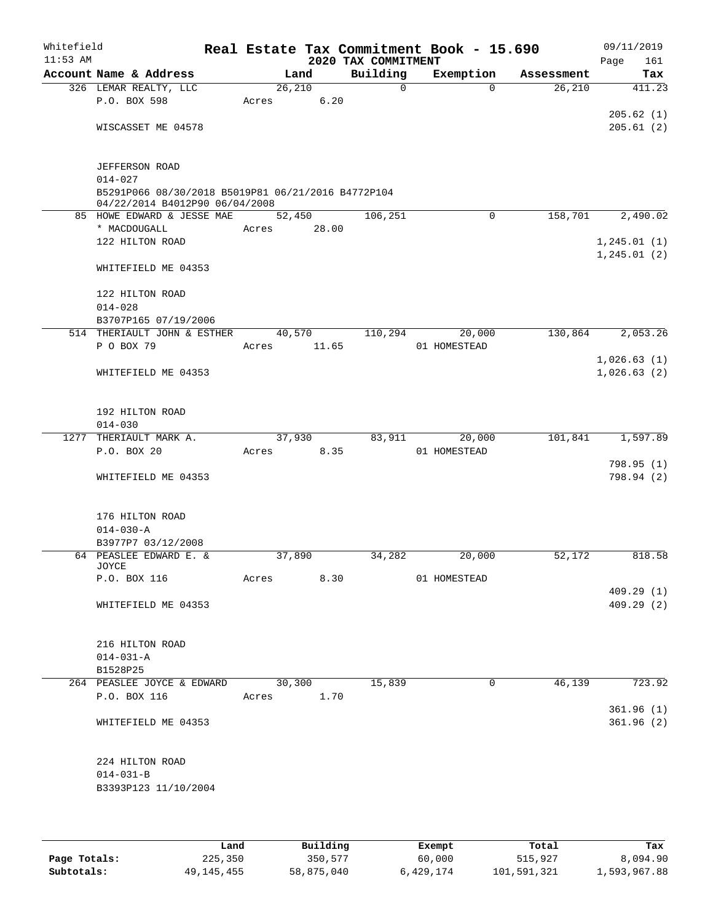| Whitefield<br>$11:53$ AM |                                                                                                     |       |        |       | 2020 TAX COMMITMENT |              | Real Estate Tax Commitment Book - 15.690 |            | 09/11/2019<br>Page<br>161 |
|--------------------------|-----------------------------------------------------------------------------------------------------|-------|--------|-------|---------------------|--------------|------------------------------------------|------------|---------------------------|
|                          | Account Name & Address                                                                              |       | Land   |       | Building            |              | Exemption                                | Assessment | Tax                       |
|                          | 326 LEMAR REALTY, LLC                                                                               |       | 26,210 |       |                     | $\mathsf{O}$ | $\Omega$                                 | 26,210     | 411.23                    |
|                          | P.O. BOX 598                                                                                        | Acres |        | 6.20  |                     |              |                                          |            |                           |
|                          |                                                                                                     |       |        |       |                     |              |                                          |            | 205.62(1)                 |
|                          | WISCASSET ME 04578                                                                                  |       |        |       |                     |              |                                          |            | 205.61(2)                 |
|                          | JEFFERSON ROAD                                                                                      |       |        |       |                     |              |                                          |            |                           |
|                          | $014 - 027$<br>B5291P066 08/30/2018 B5019P81 06/21/2016 B4772P104<br>04/22/2014 B4012P90 06/04/2008 |       |        |       |                     |              |                                          |            |                           |
|                          | 85 HOWE EDWARD & JESSE MAE                                                                          |       | 52,450 |       | 106,251             |              | 0                                        | 158,701    | 2,490.02                  |
|                          | * MACDOUGALL                                                                                        | Acres |        | 28.00 |                     |              |                                          |            |                           |
|                          | 122 HILTON ROAD                                                                                     |       |        |       |                     |              |                                          |            | 1, 245.01(1)              |
|                          |                                                                                                     |       |        |       |                     |              |                                          |            | 1, 245.01(2)              |
|                          | WHITEFIELD ME 04353                                                                                 |       |        |       |                     |              |                                          |            |                           |
|                          | 122 HILTON ROAD<br>$014 - 028$                                                                      |       |        |       |                     |              |                                          |            |                           |
|                          | B3707P165 07/19/2006                                                                                |       |        |       |                     |              |                                          |            |                           |
|                          | 514 THERIAULT JOHN & ESTHER                                                                         |       | 40,570 |       | 110,294             |              | 20,000                                   | 130,864    | 2,053.26                  |
|                          | P O BOX 79                                                                                          | Acres |        | 11.65 |                     |              | 01 HOMESTEAD                             |            |                           |
|                          |                                                                                                     |       |        |       |                     |              |                                          |            | 1,026.63(1)               |
|                          | WHITEFIELD ME 04353                                                                                 |       |        |       |                     |              |                                          |            | 1,026.63(2)               |
|                          |                                                                                                     |       |        |       |                     |              |                                          |            |                           |
|                          | 192 HILTON ROAD                                                                                     |       |        |       |                     |              |                                          |            |                           |
|                          | $014 - 030$                                                                                         |       |        |       |                     |              |                                          |            |                           |
| 1277                     | THERIAULT MARK A.                                                                                   |       | 37,930 |       | 83,911              |              | 20,000                                   | 101,841    | 1,597.89                  |
|                          | P.O. BOX 20                                                                                         | Acres |        | 8.35  |                     |              | 01 HOMESTEAD                             |            |                           |
|                          | WHITEFIELD ME 04353                                                                                 |       |        |       |                     |              |                                          |            | 798.95(1)<br>798.94 (2)   |
|                          |                                                                                                     |       |        |       |                     |              |                                          |            |                           |
|                          | 176 HILTON ROAD                                                                                     |       |        |       |                     |              |                                          |            |                           |
|                          | $014 - 030 - A$                                                                                     |       |        |       |                     |              |                                          |            |                           |
|                          | B3977P7 03/12/2008                                                                                  |       |        |       |                     |              |                                          |            |                           |
|                          | 64 PEASLEE EDWARD E. &<br>JOYCE                                                                     |       | 37,890 |       | 34,282              |              | 20,000                                   | 52,172     | 818.58                    |
|                          | P.O. BOX 116                                                                                        | Acres |        | 8.30  |                     |              | 01 HOMESTEAD                             |            |                           |
|                          | WHITEFIELD ME 04353                                                                                 |       |        |       |                     |              |                                          |            | 409.29(1)<br>409.29(2)    |
|                          |                                                                                                     |       |        |       |                     |              |                                          |            |                           |
|                          | 216 HILTON ROAD                                                                                     |       |        |       |                     |              |                                          |            |                           |
|                          | $014 - 031 - A$                                                                                     |       |        |       |                     |              |                                          |            |                           |
|                          | B1528P25                                                                                            |       |        |       |                     |              |                                          |            |                           |
|                          | 264 PEASLEE JOYCE & EDWARD                                                                          |       | 30,300 |       | 15,839              |              | $\mathbf 0$                              | 46,139     | 723.92                    |
|                          | P.O. BOX 116                                                                                        | Acres |        | 1.70  |                     |              |                                          |            |                           |
|                          |                                                                                                     |       |        |       |                     |              |                                          |            | 361.96(1)                 |
|                          | WHITEFIELD ME 04353                                                                                 |       |        |       |                     |              |                                          |            | 361.96(2)                 |
|                          |                                                                                                     |       |        |       |                     |              |                                          |            |                           |
|                          | 224 HILTON ROAD<br>$014 - 031 - B$                                                                  |       |        |       |                     |              |                                          |            |                           |
|                          | B3393P123 11/10/2004                                                                                |       |        |       |                     |              |                                          |            |                           |
|                          |                                                                                                     |       |        |       |                     |              |                                          |            |                           |
|                          |                                                                                                     |       |        |       |                     |              |                                          |            |                           |
|                          |                                                                                                     |       |        |       |                     |              |                                          |            |                           |

|              | Land       | Building   | Exempt    | Total       | Tax          |
|--------------|------------|------------|-----------|-------------|--------------|
| Page Totals: | 225,350    | 350,577    | 60,000    | 515,927     | 8,094.90     |
| Subtotals:   | 49,145,455 | 58,875,040 | 6,429,174 | 101,591,321 | 1,593,967.88 |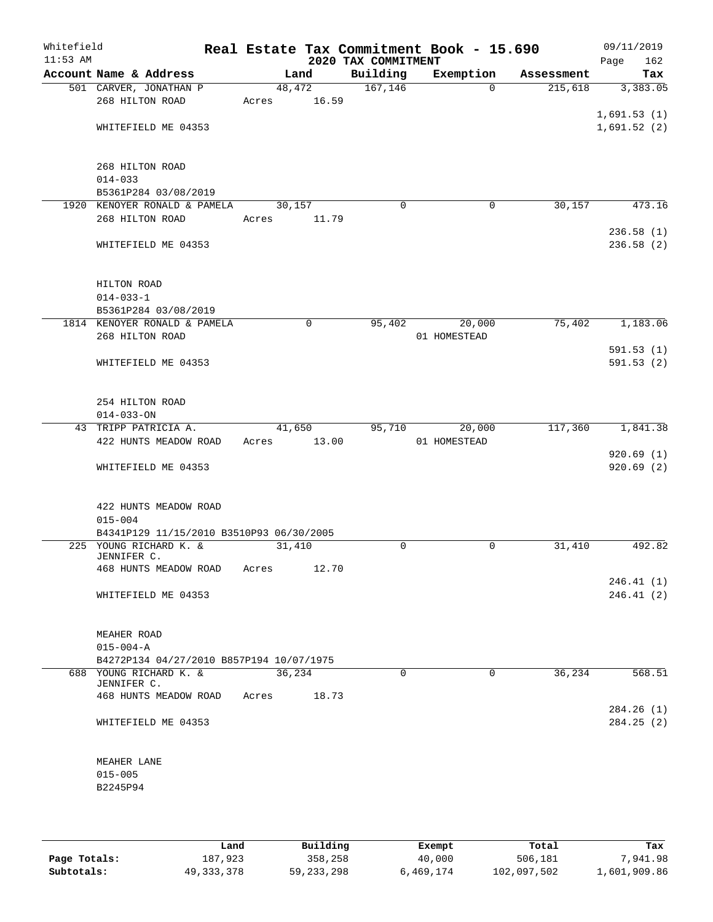| Whitefield<br>$11:53$ AM |                                                      |                 |       | 2020 TAX COMMITMENT | Real Estate Tax Commitment Book - 15.690 |            | 09/11/2019<br>Page<br>162 |
|--------------------------|------------------------------------------------------|-----------------|-------|---------------------|------------------------------------------|------------|---------------------------|
|                          | Account Name & Address                               |                 | Land  | Building            | Exemption                                | Assessment | Tax                       |
|                          | 501 CARVER, JONATHAN P                               | 48,472          |       | 167, 146            | $\Omega$                                 | 215,618    | 3,383.05                  |
|                          | 268 HILTON ROAD                                      | Acres           | 16.59 |                     |                                          |            |                           |
|                          |                                                      |                 |       |                     |                                          |            | 1,691.53(1)               |
|                          | WHITEFIELD ME 04353                                  |                 |       |                     |                                          |            | 1,691.52(2)               |
|                          |                                                      |                 |       |                     |                                          |            |                           |
|                          |                                                      |                 |       |                     |                                          |            |                           |
|                          | 268 HILTON ROAD                                      |                 |       |                     |                                          |            |                           |
|                          | $014 - 033$                                          |                 |       |                     |                                          |            |                           |
|                          | B5361P284 03/08/2019<br>1920 KENOYER RONALD & PAMELA |                 |       | $\mathbf 0$         | 0                                        | 30,157     | 473.16                    |
|                          | 268 HILTON ROAD                                      | 30,157<br>Acres | 11.79 |                     |                                          |            |                           |
|                          |                                                      |                 |       |                     |                                          |            | 236.58(1)                 |
|                          | WHITEFIELD ME 04353                                  |                 |       |                     |                                          |            | 236.58(2)                 |
|                          |                                                      |                 |       |                     |                                          |            |                           |
|                          |                                                      |                 |       |                     |                                          |            |                           |
|                          | HILTON ROAD                                          |                 |       |                     |                                          |            |                           |
|                          | $014 - 033 - 1$                                      |                 |       |                     |                                          |            |                           |
|                          | B5361P284 03/08/2019                                 |                 |       |                     |                                          |            |                           |
|                          | 1814 KENOYER RONALD & PAMELA                         |                 | 0     | 95,402              | 20,000                                   | 75,402     | 1,183.06                  |
|                          | 268 HILTON ROAD                                      |                 |       |                     | 01 HOMESTEAD                             |            |                           |
|                          |                                                      |                 |       |                     |                                          |            | 591.53(1)                 |
|                          | WHITEFIELD ME 04353                                  |                 |       |                     |                                          |            | 591.53(2)                 |
|                          |                                                      |                 |       |                     |                                          |            |                           |
|                          |                                                      |                 |       |                     |                                          |            |                           |
|                          | 254 HILTON ROAD                                      |                 |       |                     |                                          |            |                           |
|                          | $014 - 033 - ON$                                     |                 |       |                     |                                          |            |                           |
|                          | 43 TRIPP PATRICIA A.                                 | 41,650          |       | 95,710              | 20,000                                   | 117,360    | 1,841.38                  |
|                          | 422 HUNTS MEADOW ROAD                                | Acres           | 13.00 |                     | 01 HOMESTEAD                             |            |                           |
|                          |                                                      |                 |       |                     |                                          |            | 920.69(1)                 |
|                          | WHITEFIELD ME 04353                                  |                 |       |                     |                                          |            | 920.69(2)                 |
|                          |                                                      |                 |       |                     |                                          |            |                           |
|                          |                                                      |                 |       |                     |                                          |            |                           |
|                          | 422 HUNTS MEADOW ROAD                                |                 |       |                     |                                          |            |                           |
|                          | $015 - 004$                                          |                 |       |                     |                                          |            |                           |
|                          | B4341P129 11/15/2010 B3510P93 06/30/2005             |                 |       |                     |                                          |            |                           |
|                          | 225 YOUNG RICHARD K. &                               | 31,410          |       | $\mathbf 0$         | 0                                        | 31,410     | 492.82                    |
|                          | JENNIFER C.                                          |                 | 12.70 |                     |                                          |            |                           |
|                          | 468 HUNTS MEADOW ROAD                                | Acres           |       |                     |                                          |            | 246.41 (1)                |
|                          | WHITEFIELD ME 04353                                  |                 |       |                     |                                          |            | 246.41(2)                 |
|                          |                                                      |                 |       |                     |                                          |            |                           |
|                          |                                                      |                 |       |                     |                                          |            |                           |
|                          | MEAHER ROAD                                          |                 |       |                     |                                          |            |                           |
|                          | $015 - 004 - A$                                      |                 |       |                     |                                          |            |                           |
|                          | B4272P134 04/27/2010 B857P194 10/07/1975             |                 |       |                     |                                          |            |                           |
|                          | 688 YOUNG RICHARD K. &                               | 36,234          |       | $\Omega$            | $\Omega$                                 | 36,234     | 568.51                    |
|                          | JENNIFER C.                                          |                 |       |                     |                                          |            |                           |
|                          | 468 HUNTS MEADOW ROAD Acres                          |                 | 18.73 |                     |                                          |            |                           |
|                          |                                                      |                 |       |                     |                                          |            | 284.26(1)                 |
|                          | WHITEFIELD ME 04353                                  |                 |       |                     |                                          |            | 284.25(2)                 |
|                          |                                                      |                 |       |                     |                                          |            |                           |
|                          |                                                      |                 |       |                     |                                          |            |                           |
|                          | MEAHER LANE                                          |                 |       |                     |                                          |            |                           |
|                          | $015 - 005$                                          |                 |       |                     |                                          |            |                           |
|                          | B2245P94                                             |                 |       |                     |                                          |            |                           |
|                          |                                                      |                 |       |                     |                                          |            |                           |
|                          |                                                      |                 |       |                     |                                          |            |                           |

|              | Land         | Building     | Exempt    | Total       | Tax          |
|--------------|--------------|--------------|-----------|-------------|--------------|
| Page Totals: | 187,923      | 358,258      | 40,000    | 506,181     | 7,941.98     |
| Subtotals:   | 49, 333, 378 | 59, 233, 298 | 6,469,174 | 102,097,502 | 1,601,909.86 |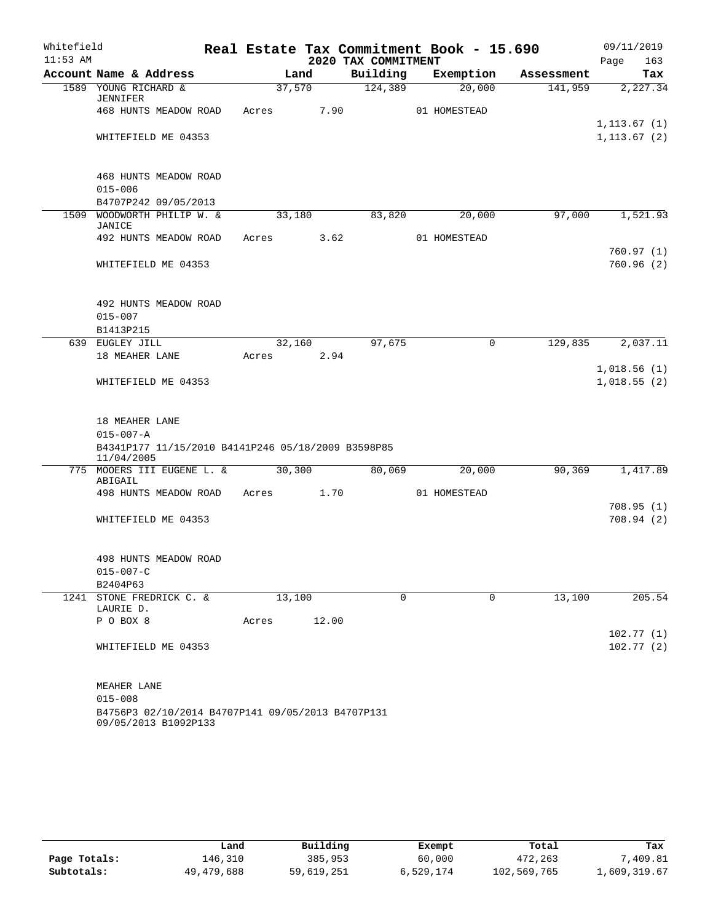| Whitefield |                                                    |        |        |                     | Real Estate Tax Commitment Book - 15.690 |            | 09/11/2019   |
|------------|----------------------------------------------------|--------|--------|---------------------|------------------------------------------|------------|--------------|
| $11:53$ AM |                                                    |        |        | 2020 TAX COMMITMENT |                                          |            | 163<br>Page  |
|            | Account Name & Address                             |        | Land   | Building            | Exemption                                | Assessment | Tax          |
|            | 1589 YOUNG RICHARD &<br><b>JENNIFER</b>            | 37,570 |        | 124,389             | 20,000                                   | 141,959    | 2,227.34     |
|            | 468 HUNTS MEADOW ROAD                              | Acres  | 7.90   |                     | 01 HOMESTEAD                             |            |              |
|            |                                                    |        |        |                     |                                          |            | 1, 113.67(1) |
|            | WHITEFIELD ME 04353                                |        |        |                     |                                          |            | 1, 113.67(2) |
|            |                                                    |        |        |                     |                                          |            |              |
|            |                                                    |        |        |                     |                                          |            |              |
|            | 468 HUNTS MEADOW ROAD                              |        |        |                     |                                          |            |              |
|            | $015 - 006$                                        |        |        |                     |                                          |            |              |
| 1509       | B4707P242 09/05/2013<br>WOODWORTH PHILIP W. &      | 33,180 |        | 83,820              | 20,000                                   | 97,000     | 1,521.93     |
|            | <b>JANICE</b>                                      |        |        |                     |                                          |            |              |
|            | 492 HUNTS MEADOW ROAD                              | Acres  | 3.62   |                     | 01 HOMESTEAD                             |            |              |
|            |                                                    |        |        |                     |                                          |            | 760.97(1)    |
|            | WHITEFIELD ME 04353                                |        |        |                     |                                          |            | 760.96(2)    |
|            |                                                    |        |        |                     |                                          |            |              |
|            |                                                    |        |        |                     |                                          |            |              |
|            | 492 HUNTS MEADOW ROAD<br>$015 - 007$               |        |        |                     |                                          |            |              |
|            | B1413P215                                          |        |        |                     |                                          |            |              |
|            | 639 EUGLEY JILL                                    |        | 32,160 | 97,675              | 0                                        | 129,835    | 2,037.11     |
|            | 18 MEAHER LANE                                     | Acres  | 2.94   |                     |                                          |            |              |
|            |                                                    |        |        |                     |                                          |            | 1,018.56(1)  |
|            | WHITEFIELD ME 04353                                |        |        |                     |                                          |            | 1,018.55(2)  |
|            |                                                    |        |        |                     |                                          |            |              |
|            |                                                    |        |        |                     |                                          |            |              |
|            | 18 MEAHER LANE<br>$015 - 007 - A$                  |        |        |                     |                                          |            |              |
|            | B4341P177 11/15/2010 B4141P246 05/18/2009 B3598P85 |        |        |                     |                                          |            |              |
|            | 11/04/2005                                         |        |        |                     |                                          |            |              |
|            | 775 MOOERS III EUGENE L. &                         | 30,300 |        | 80,069              | 20,000                                   | 90, 369    | 1,417.89     |
|            | ABIGAIL<br>498 HUNTS MEADOW ROAD                   | Acres  | 1.70   |                     | 01 HOMESTEAD                             |            |              |
|            |                                                    |        |        |                     |                                          |            | 708.95(1)    |
|            | WHITEFIELD ME 04353                                |        |        |                     |                                          |            | 708.94 (2)   |
|            |                                                    |        |        |                     |                                          |            |              |
|            |                                                    |        |        |                     |                                          |            |              |
|            | 498 HUNTS MEADOW ROAD                              |        |        |                     |                                          |            |              |
|            | $015 - 007 - C$                                    |        |        |                     |                                          |            |              |
|            | B2404P63<br>1241 STONE FREDRICK C. &               |        |        | $\mathbf 0$         |                                          |            |              |
|            | LAURIE D.                                          | 13,100 |        |                     | 0                                        | 13,100     | 205.54       |
|            | P O BOX 8                                          | Acres  | 12.00  |                     |                                          |            |              |
|            |                                                    |        |        |                     |                                          |            | 102.77(1)    |
|            | WHITEFIELD ME 04353                                |        |        |                     |                                          |            | 102.77(2)    |
|            |                                                    |        |        |                     |                                          |            |              |
|            |                                                    |        |        |                     |                                          |            |              |
|            | MEAHER LANE<br>$015 - 008$                         |        |        |                     |                                          |            |              |
|            | B4756P3 02/10/2014 B4707P141 09/05/2013 B4707P131  |        |        |                     |                                          |            |              |
|            | 09/05/2013 B1092P133                               |        |        |                     |                                          |            |              |

|              | Land       | Building   | Exempt    | Total       | Tax          |
|--------------|------------|------------|-----------|-------------|--------------|
| Page Totals: | 146,310    | 385,953    | 60,000    | 472,263     | 7,409.81     |
| Subtotals:   | 49,479,688 | 59,619,251 | 6,529,174 | 102,569,765 | 1,609,319.67 |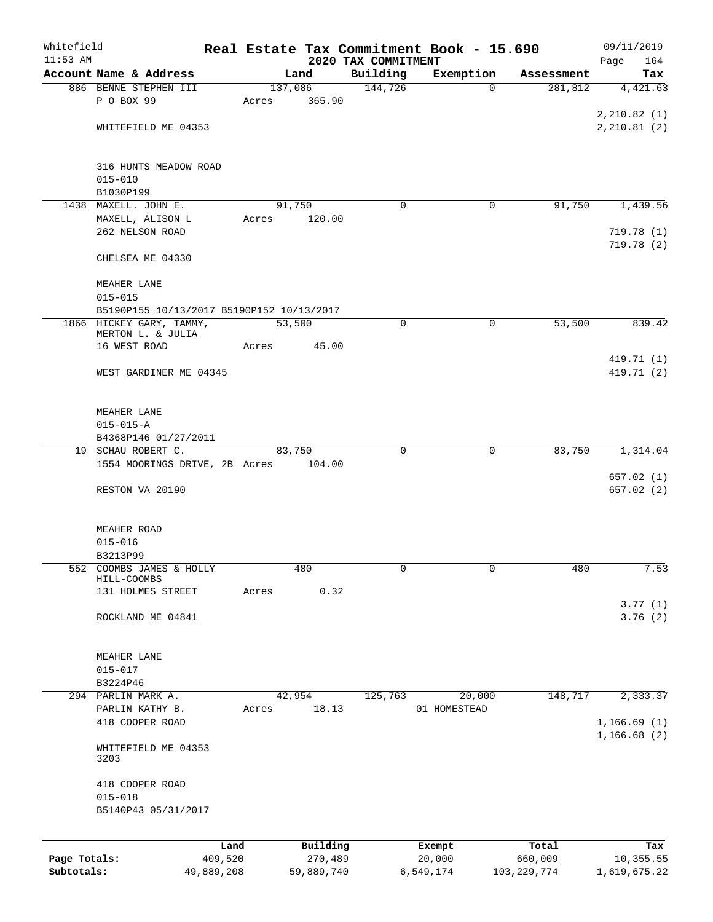| Whitefield   |                                               |                 |       |                     |                                 | Real Estate Tax Commitment Book - 15.690 |                  | 09/11/2019                 |
|--------------|-----------------------------------------------|-----------------|-------|---------------------|---------------------------------|------------------------------------------|------------------|----------------------------|
| $11:53$ AM   | Account Name & Address                        |                 |       | Land                | 2020 TAX COMMITMENT<br>Building | Exemption                                | Assessment       | 164<br>Page<br>Tax         |
|              | 886 BENNE STEPHEN III                         |                 |       | 137,086             | 144,726                         | 0                                        | 281,812          | 4,421.63                   |
|              | P O BOX 99                                    |                 | Acres | 365.90              |                                 |                                          |                  |                            |
|              |                                               |                 |       |                     |                                 |                                          |                  | 2, 210.82(1)               |
|              | WHITEFIELD ME 04353                           |                 |       |                     |                                 |                                          |                  | 2, 210.81(2)               |
|              | 316 HUNTS MEADOW ROAD                         |                 |       |                     |                                 |                                          |                  |                            |
|              | $015 - 010$                                   |                 |       |                     |                                 |                                          |                  |                            |
|              | B1030P199<br>1438 MAXELL. JOHN E.             |                 |       | 91,750              | 0                               | 0                                        | 91,750           | 1,439.56                   |
|              | MAXELL, ALISON L                              |                 | Acres | 120.00              |                                 |                                          |                  |                            |
|              | 262 NELSON ROAD                               |                 |       |                     |                                 |                                          |                  | 719.78(1)                  |
|              | CHELSEA ME 04330                              |                 |       |                     |                                 |                                          |                  | 719.78 (2)                 |
|              | MEAHER LANE                                   |                 |       |                     |                                 |                                          |                  |                            |
|              | $015 - 015$                                   |                 |       |                     |                                 |                                          |                  |                            |
|              | B5190P155 10/13/2017 B5190P152 10/13/2017     |                 |       |                     |                                 |                                          |                  |                            |
|              | 1866 HICKEY GARY, TAMMY,<br>MERTON L. & JULIA |                 |       | 53,500              | 0                               | $\mathbf 0$                              | 53,500           | 839.42                     |
|              | 16 WEST ROAD                                  |                 | Acres | 45.00               |                                 |                                          |                  |                            |
|              | WEST GARDINER ME 04345                        |                 |       |                     |                                 |                                          |                  | 419.71 (1)<br>419.71 (2)   |
|              |                                               |                 |       |                     |                                 |                                          |                  |                            |
|              | MEAHER LANE                                   |                 |       |                     |                                 |                                          |                  |                            |
|              | $015 - 015 - A$                               |                 |       |                     |                                 |                                          |                  |                            |
|              | B4368P146 01/27/2011                          |                 |       |                     |                                 |                                          |                  |                            |
|              | 19 SCHAU ROBERT C.                            |                 |       | 83,750              | 0                               | 0                                        | 83,750           | 1,314.04                   |
|              | 1554 MOORINGS DRIVE, 2B Acres                 |                 |       | 104.00              |                                 |                                          |                  | 657.02(1)                  |
|              | RESTON VA 20190                               |                 |       |                     |                                 |                                          |                  | 657.02(2)                  |
|              |                                               |                 |       |                     |                                 |                                          |                  |                            |
|              | MEAHER ROAD<br>$015 - 016$                    |                 |       |                     |                                 |                                          |                  |                            |
|              | B3213P99                                      |                 |       |                     |                                 |                                          |                  |                            |
|              | 552 COOMBS JAMES & HOLLY                      |                 |       | 480                 | 0                               | 0                                        | 480              | 7.53                       |
|              | HILL-COOMBS<br>131 HOLMES STREET              |                 | Acres | 0.32                |                                 |                                          |                  |                            |
|              |                                               |                 |       |                     |                                 |                                          |                  | 3.77(1)                    |
|              | ROCKLAND ME 04841                             |                 |       |                     |                                 |                                          |                  | 3.76(2)                    |
|              | MEAHER LANE                                   |                 |       |                     |                                 |                                          |                  |                            |
|              | $015 - 017$                                   |                 |       |                     |                                 |                                          |                  |                            |
|              | B3224P46                                      |                 |       |                     |                                 |                                          |                  |                            |
|              | 294 PARLIN MARK A.                            |                 |       | 42,954              | 125,763                         | 20,000                                   | 148,717          | 2,333.37                   |
|              | PARLIN KATHY B.                               |                 | Acres | 18.13               |                                 | 01 HOMESTEAD                             |                  |                            |
|              | 418 COOPER ROAD                               |                 |       |                     |                                 |                                          |                  | 1,166.69(1)<br>1,166.68(2) |
|              | WHITEFIELD ME 04353<br>3203                   |                 |       |                     |                                 |                                          |                  |                            |
|              | 418 COOPER ROAD                               |                 |       |                     |                                 |                                          |                  |                            |
|              | $015 - 018$                                   |                 |       |                     |                                 |                                          |                  |                            |
|              | B5140P43 05/31/2017                           |                 |       |                     |                                 |                                          |                  |                            |
|              |                                               |                 |       |                     |                                 |                                          |                  |                            |
| Page Totals: |                                               | Land<br>409,520 |       | Building<br>270,489 |                                 | Exempt<br>20,000                         | Total<br>660,009 | Tax<br>10,355.55           |
| Subtotals:   |                                               | 49,889,208      |       | 59,889,740          |                                 | 6,549,174                                | 103, 229, 774    | 1,619,675.22               |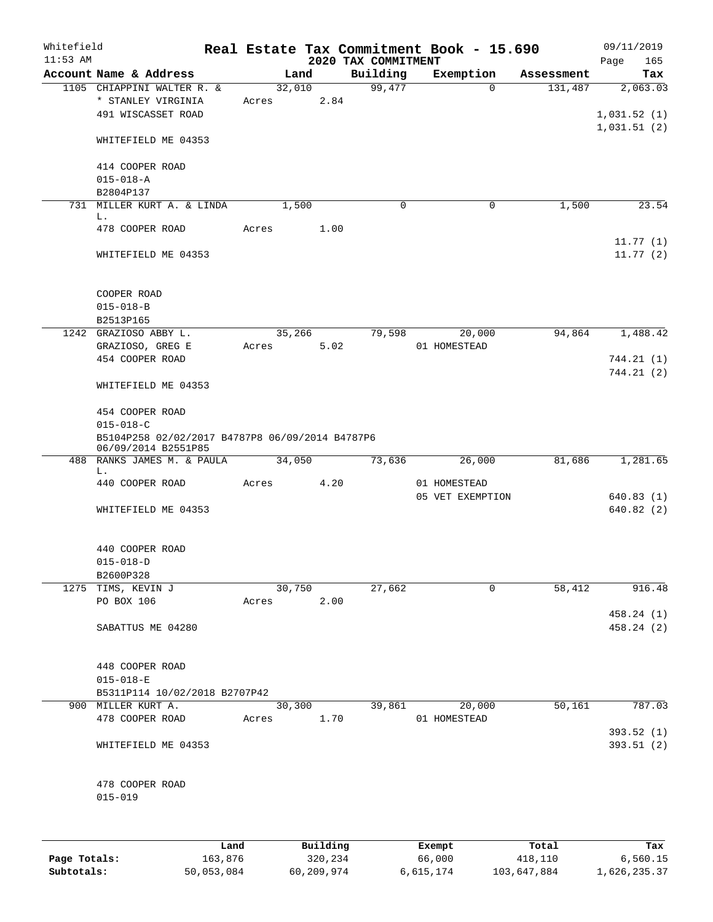| Whitefield<br>$11:53$ AM |                                                                                                              |       |                     | 2020 TAX COMMITMENT | Real Estate Tax Commitment Book - 15.690 |                  | 09/11/2019<br>Page<br>165 |
|--------------------------|--------------------------------------------------------------------------------------------------------------|-------|---------------------|---------------------|------------------------------------------|------------------|---------------------------|
|                          | Account Name & Address                                                                                       |       | Land                | Building            | Exemption                                | Assessment       | Tax                       |
|                          | 1105 CHIAPPINI WALTER R. &<br>* STANLEY VIRGINIA<br>491 WISCASSET ROAD                                       | Acres | 32,010<br>2.84      | 99,477              | $\Omega$                                 | 131,487          | 2,063.03<br>1,031.52(1)   |
|                          | WHITEFIELD ME 04353                                                                                          |       |                     |                     |                                          |                  | 1,031.51(2)               |
|                          | 414 COOPER ROAD<br>$015 - 018 - A$<br>B2804P137                                                              |       |                     |                     |                                          |                  |                           |
|                          | 731 MILLER KURT A. & LINDA<br>L.                                                                             |       | 1,500               | $\mathbf 0$         | $\mathbf 0$                              | 1,500            | 23.54                     |
|                          | 478 COOPER ROAD                                                                                              | Acres | 1.00                |                     |                                          |                  | 11.77(1)                  |
|                          | WHITEFIELD ME 04353                                                                                          |       |                     |                     |                                          |                  | 11.77(2)                  |
|                          | COOPER ROAD<br>$015 - 018 - B$<br>B2513P165                                                                  |       |                     |                     |                                          |                  |                           |
|                          | 1242 GRAZIOSO ABBY L.                                                                                        |       | 35,266              | 79,598              | 20,000                                   | 94,864           | 1,488.42                  |
|                          | GRAZIOSO, GREG E<br>454 COOPER ROAD                                                                          | Acres | 5.02                |                     | 01 HOMESTEAD                             |                  | 744.21 (1)                |
|                          | WHITEFIELD ME 04353                                                                                          |       |                     |                     |                                          |                  | 744.21 (2)                |
|                          | 454 COOPER ROAD<br>$015 - 018 - C$<br>B5104P258 02/02/2017 B4787P8 06/09/2014 B4787P6<br>06/09/2014 B2551P85 |       |                     |                     |                                          |                  |                           |
|                          | 488 RANKS JAMES M. & PAULA                                                                                   |       | 34,050              | 73,636              | 26,000                                   | 81,686           | 1,281.65                  |
|                          | L.<br>440 COOPER ROAD                                                                                        | Acres | 4.20                |                     | 01 HOMESTEAD<br>05 VET EXEMPTION         |                  | 640.83(1)                 |
|                          | WHITEFIELD ME 04353                                                                                          |       |                     |                     |                                          |                  | 640.82(2)                 |
|                          | 440 COOPER ROAD<br>$015 - 018 - D$<br>B2600P328                                                              |       |                     |                     |                                          |                  |                           |
|                          | 1275 TIMS, KEVIN J                                                                                           |       | 30,750              | 27,662              | $\Omega$                                 | 58,412           | 916.48                    |
|                          | PO BOX 106                                                                                                   | Acres | 2.00                |                     |                                          |                  | 458.24 (1)                |
|                          | SABATTUS ME 04280                                                                                            |       |                     |                     |                                          |                  | 458.24 (2)                |
|                          | 448 COOPER ROAD<br>$015 - 018 - E$<br>B5311P114 10/02/2018 B2707P42                                          |       |                     |                     |                                          |                  |                           |
|                          | 900 MILLER KURT A.                                                                                           |       | 30,300              | 39,861              | 20,000                                   | 50,161           | 787.03                    |
|                          | 478 COOPER ROAD                                                                                              | Acres | 1.70                |                     | 01 HOMESTEAD                             |                  | 393.52(1)                 |
|                          | WHITEFIELD ME 04353                                                                                          |       |                     |                     |                                          |                  | 393.51(2)                 |
|                          | 478 COOPER ROAD<br>$015 - 019$                                                                               |       |                     |                     |                                          |                  |                           |
|                          |                                                                                                              |       |                     |                     |                                          |                  |                           |
| Page Totals:             | 163,876                                                                                                      | Land  | Building<br>320,234 |                     | Exempt<br>66,000                         | Total<br>418,110 | Tax<br>6,560.15           |

**Subtotals:** 50,053,084 60,209,974 6,615,174 103,647,884 1,626,235.37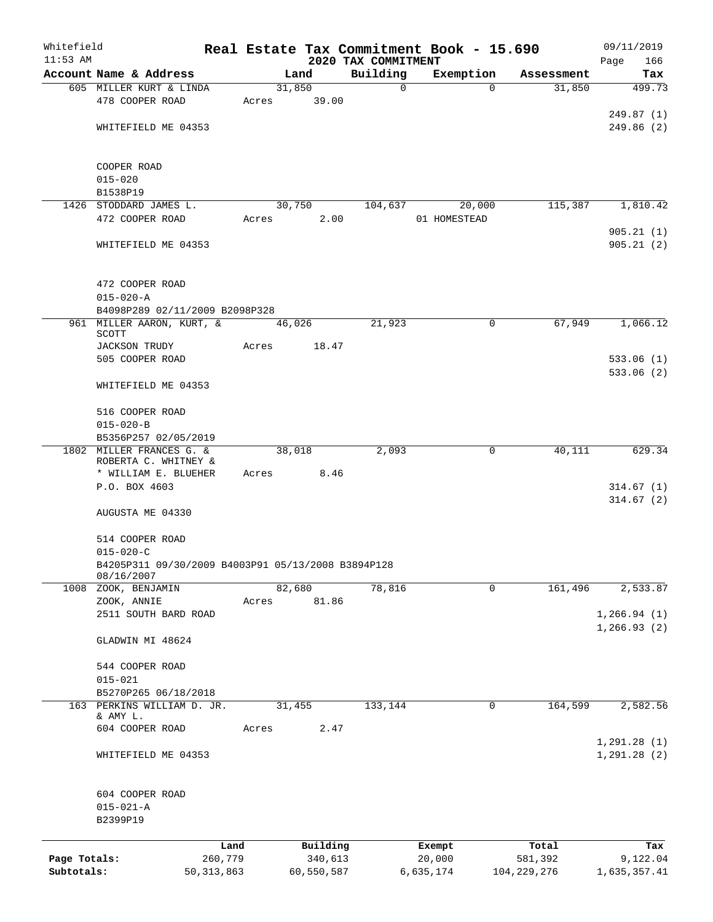| Whitefield   |                                                    |              |        |            |                         | Real Estate Tax Commitment Book - 15.690 |                                  | 09/11/2019    |
|--------------|----------------------------------------------------|--------------|--------|------------|-------------------------|------------------------------------------|----------------------------------|---------------|
| $11:53$ AM   |                                                    |              |        |            | 2020 TAX COMMITMENT     |                                          |                                  | 166<br>Page   |
|              | Account Name & Address<br>605 MILLER KURT & LINDA  |              | 31,850 | Land       | Building<br>$\mathbf 0$ | Exemption                                | Assessment<br>$\Omega$<br>31,850 | Tax<br>499.73 |
|              | 478 COOPER ROAD                                    | Acres        |        | 39.00      |                         |                                          |                                  |               |
|              |                                                    |              |        |            |                         |                                          |                                  | 249.87(1)     |
|              | WHITEFIELD ME 04353                                |              |        |            |                         |                                          |                                  | 249.86(2)     |
|              |                                                    |              |        |            |                         |                                          |                                  |               |
|              | COOPER ROAD                                        |              |        |            |                         |                                          |                                  |               |
|              | $015 - 020$                                        |              |        |            |                         |                                          |                                  |               |
|              | B1538P19                                           |              |        |            |                         |                                          |                                  |               |
|              | 1426 STODDARD JAMES L.                             |              | 30,750 |            | 104,637                 | 20,000                                   | 115,387                          | 1,810.42      |
|              | 472 COOPER ROAD                                    | Acres        |        | 2.00       |                         | 01 HOMESTEAD                             |                                  |               |
|              |                                                    |              |        |            |                         |                                          |                                  | 905.21(1)     |
|              | WHITEFIELD ME 04353                                |              |        |            |                         |                                          |                                  | 905.21(2)     |
|              | 472 COOPER ROAD                                    |              |        |            |                         |                                          |                                  |               |
|              | $015 - 020 - A$                                    |              |        |            |                         |                                          |                                  |               |
|              | B4098P289 02/11/2009 B2098P328                     |              |        |            |                         |                                          |                                  |               |
|              | 961 MILLER AARON, KURT, &<br>SCOTT                 |              | 46,026 |            | 21,923                  |                                          | 0<br>67,949                      | 1,066.12      |
|              | <b>JACKSON TRUDY</b>                               | Acres        |        | 18.47      |                         |                                          |                                  |               |
|              | 505 COOPER ROAD                                    |              |        |            |                         |                                          |                                  | 533.06(1)     |
|              | WHITEFIELD ME 04353                                |              |        |            |                         |                                          |                                  | 533.06(2)     |
|              | 516 COOPER ROAD                                    |              |        |            |                         |                                          |                                  |               |
|              | $015 - 020 - B$                                    |              |        |            |                         |                                          |                                  |               |
|              | B5356P257 02/05/2019                               |              |        |            |                         |                                          |                                  |               |
| 1802         | MILLER FRANCES G. &                                |              | 38,018 |            | 2,093                   | 0                                        | 40,111                           | 629.34        |
|              | ROBERTA C. WHITNEY &                               |              |        |            |                         |                                          |                                  |               |
|              | * WILLIAM E. BLUEHER                               | Acres        |        | 8.46       |                         |                                          |                                  |               |
|              | P.O. BOX 4603                                      |              |        |            |                         |                                          |                                  | 314.67(1)     |
|              |                                                    |              |        |            |                         |                                          |                                  | 314.67(2)     |
|              | AUGUSTA ME 04330                                   |              |        |            |                         |                                          |                                  |               |
|              | 514 COOPER ROAD                                    |              |        |            |                         |                                          |                                  |               |
|              | $015 - 020 - C$                                    |              |        |            |                         |                                          |                                  |               |
|              | B4205P311 09/30/2009 B4003P91 05/13/2008 B3894P128 |              |        |            |                         |                                          |                                  |               |
|              | 08/16/2007                                         |              |        |            |                         |                                          |                                  |               |
|              | 1008 ZOOK, BENJAMIN                                |              | 82,680 |            | 78,816                  |                                          | 161,496<br>0                     | 2,533.87      |
|              | ZOOK, ANNIE                                        | Acres        |        | 81.86      |                         |                                          |                                  |               |
|              | 2511 SOUTH BARD ROAD                               |              |        |            |                         |                                          |                                  | 1, 266.94(1)  |
|              | GLADWIN MI 48624                                   |              |        |            |                         |                                          |                                  | 1, 266.93(2)  |
|              |                                                    |              |        |            |                         |                                          |                                  |               |
|              | 544 COOPER ROAD                                    |              |        |            |                         |                                          |                                  |               |
|              | $015 - 021$                                        |              |        |            |                         |                                          |                                  |               |
|              | B5270P265 06/18/2018                               |              |        |            |                         |                                          |                                  |               |
|              | 163 PERKINS WILLIAM D. JR.<br>& AMY L.             |              | 31,455 |            | 133,144                 |                                          | 164,599<br>0                     | 2,582.56      |
|              | 604 COOPER ROAD                                    | Acres        |        | 2.47       |                         |                                          |                                  |               |
|              |                                                    |              |        |            |                         |                                          |                                  | 1, 291.28(1)  |
|              | WHITEFIELD ME 04353                                |              |        |            |                         |                                          |                                  | 1, 291.28(2)  |
|              | 604 COOPER ROAD                                    |              |        |            |                         |                                          |                                  |               |
|              | $015 - 021 - A$                                    |              |        |            |                         |                                          |                                  |               |
|              | B2399P19                                           |              |        |            |                         |                                          |                                  |               |
|              |                                                    | Land         |        | Building   |                         | Exempt                                   | Total                            | Tax           |
| Page Totals: |                                                    | 260,779      |        | 340,613    |                         | 20,000                                   | 581,392                          | 9,122.04      |
| Subtotals:   |                                                    | 50, 313, 863 |        | 60,550,587 |                         | 6,635,174                                | 104,229,276                      | 1,635,357.41  |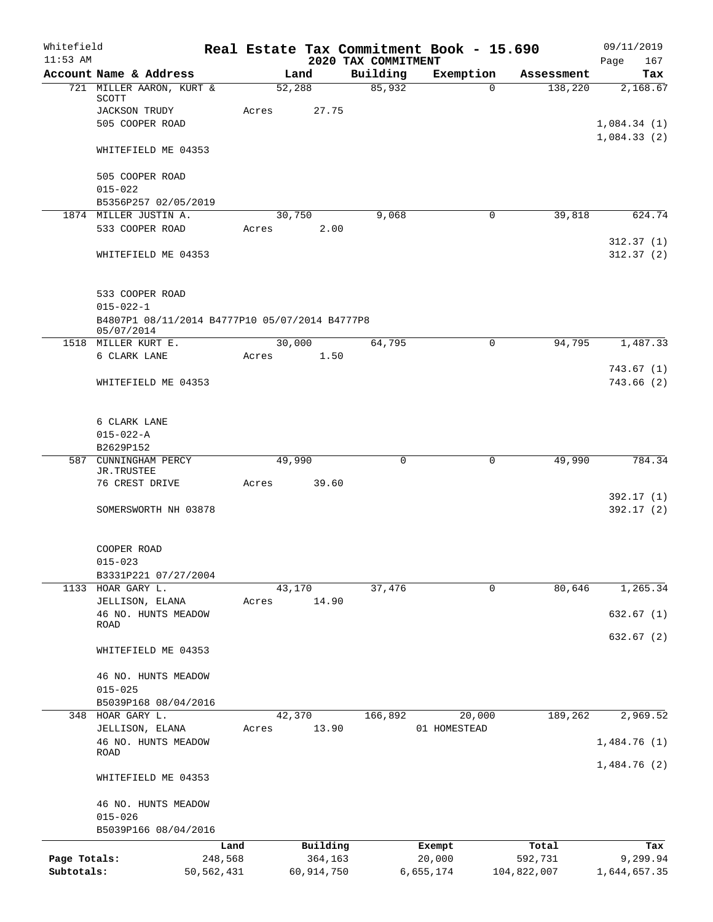| Whitefield<br>$11:53$ AM |                                                              |              |                 |                                 | Real Estate Tax Commitment Book - 15.690 |             | 09/11/2019             |
|--------------------------|--------------------------------------------------------------|--------------|-----------------|---------------------------------|------------------------------------------|-------------|------------------------|
|                          | Account Name & Address                                       |              | Land            | 2020 TAX COMMITMENT<br>Building | Exemption                                | Assessment  | 167<br>Page<br>Tax     |
|                          | 721 MILLER AARON, KURT &                                     |              | 52,288          | 85,932                          | $\Omega$                                 | 138,220     | 2,168.67               |
|                          | SCOTT                                                        |              |                 |                                 |                                          |             |                        |
|                          | <b>JACKSON TRUDY</b><br>505 COOPER ROAD                      | Acres        | 27.75           |                                 |                                          |             | 1,084.34(1)            |
|                          |                                                              |              |                 |                                 |                                          |             | 1,084.33(2)            |
|                          | WHITEFIELD ME 04353                                          |              |                 |                                 |                                          |             |                        |
|                          | 505 COOPER ROAD                                              |              |                 |                                 |                                          |             |                        |
|                          | $015 - 022$                                                  |              |                 |                                 |                                          |             |                        |
|                          | B5356P257 02/05/2019                                         |              |                 |                                 |                                          |             |                        |
|                          | 1874 MILLER JUSTIN A.<br>533 COOPER ROAD                     | Acres        | 30,750<br>2.00  | 9,068                           | 0                                        | 39,818      | 624.74                 |
|                          |                                                              |              |                 |                                 |                                          |             | 312.37(1)              |
|                          | WHITEFIELD ME 04353                                          |              |                 |                                 |                                          |             | 312.37(2)              |
|                          | 533 COOPER ROAD                                              |              |                 |                                 |                                          |             |                        |
|                          | $015 - 022 - 1$                                              |              |                 |                                 |                                          |             |                        |
|                          | B4807P1 08/11/2014 B4777P10 05/07/2014 B4777P8<br>05/07/2014 |              |                 |                                 |                                          |             |                        |
|                          | 1518 MILLER KURT E.                                          |              | 30,000          | 64,795                          | 0                                        | 94,795      | 1,487.33               |
|                          | 6 CLARK LANE                                                 | Acres        | 1.50            |                                 |                                          |             |                        |
|                          | WHITEFIELD ME 04353                                          |              |                 |                                 |                                          |             | 743.67(1)<br>743.66(2) |
|                          | 6 CLARK LANE                                                 |              |                 |                                 |                                          |             |                        |
|                          | $015 - 022 - A$                                              |              |                 |                                 |                                          |             |                        |
|                          | B2629P152                                                    |              |                 |                                 |                                          |             |                        |
|                          | 587 CUNNINGHAM PERCY                                         |              | 49,990          | 0                               | 0                                        | 49,990      | 784.34                 |
|                          | JR.TRUSTEE<br>76 CREST DRIVE                                 | Acres        | 39.60           |                                 |                                          |             |                        |
|                          |                                                              |              |                 |                                 |                                          |             | 392.17(1)              |
|                          | SOMERSWORTH NH 03878                                         |              |                 |                                 |                                          |             | 392.17(2)              |
|                          | COOPER ROAD                                                  |              |                 |                                 |                                          |             |                        |
|                          | $015 - 023$                                                  |              |                 |                                 |                                          |             |                        |
|                          | B3331P221 07/27/2004                                         |              |                 |                                 |                                          |             |                        |
|                          | 1133 HOAR GARY L.                                            |              | 43,170          | 37,476                          | 0                                        | 80,646      | 1,265.34               |
|                          | JELLISON, ELANA<br>46 NO. HUNTS MEADOW                       | Acres        | 14.90           |                                 |                                          |             | 632.67(1)              |
|                          | ROAD                                                         |              |                 |                                 |                                          |             | 632.67(2)              |
|                          | WHITEFIELD ME 04353                                          |              |                 |                                 |                                          |             |                        |
|                          | 46 NO. HUNTS MEADOW                                          |              |                 |                                 |                                          |             |                        |
|                          | $015 - 025$                                                  |              |                 |                                 |                                          |             |                        |
|                          | B5039P168 08/04/2016                                         |              |                 |                                 |                                          |             |                        |
| 348                      | HOAR GARY L.<br>JELLISON, ELANA                              | Acres        | 42,370<br>13.90 | 166,892                         | 20,000<br>01 HOMESTEAD                   | 189,262     | 2,969.52               |
|                          | 46 NO. HUNTS MEADOW                                          |              |                 |                                 |                                          |             | 1,484.76(1)            |
|                          | ROAD                                                         |              |                 |                                 |                                          |             | 1,484.76(2)            |
|                          | WHITEFIELD ME 04353                                          |              |                 |                                 |                                          |             |                        |
|                          | 46 NO. HUNTS MEADOW<br>$015 - 026$                           |              |                 |                                 |                                          |             |                        |
|                          | B5039P166 08/04/2016                                         |              |                 |                                 |                                          |             |                        |
|                          |                                                              | Land         | Building        |                                 | Exempt                                   | Total       | Tax                    |
| Page Totals:             |                                                              | 248,568      | 364,163         |                                 | 20,000                                   | 592,731     | 9,299.94               |
| Subtotals:               |                                                              | 50, 562, 431 | 60,914,750      |                                 | 6,655,174                                | 104,822,007 | 1,644,657.35           |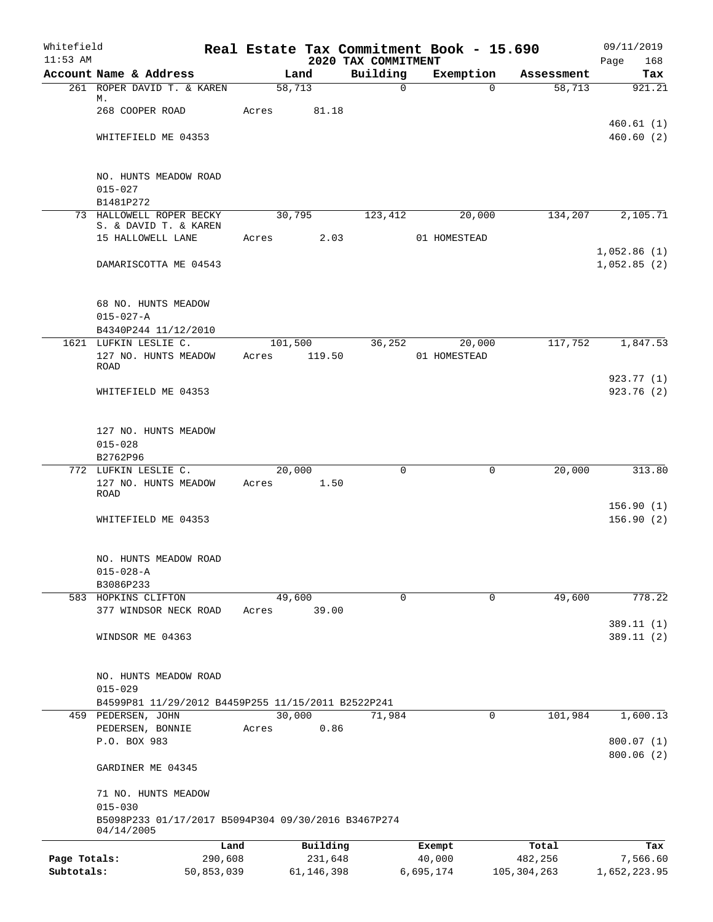| Whitefield   |                                                     |            |       |                 |                                 | Real Estate Tax Commitment Book - 15.690 |               | 09/11/2019         |
|--------------|-----------------------------------------------------|------------|-------|-----------------|---------------------------------|------------------------------------------|---------------|--------------------|
| $11:53$ AM   | Account Name & Address                              |            |       | Land            | 2020 TAX COMMITMENT<br>Building | Exemption                                | Assessment    | Page<br>168<br>Tax |
|              | 261 ROPER DAVID T. & KAREN                          |            |       | 58,713          | $\Omega$                        | $\Omega$                                 | 58,713        | 921.21             |
|              | М.                                                  |            |       |                 |                                 |                                          |               |                    |
|              | 268 COOPER ROAD                                     |            | Acres | 81.18           |                                 |                                          |               | 460.61(1)          |
|              | WHITEFIELD ME 04353                                 |            |       |                 |                                 |                                          |               | 460.60(2)          |
|              |                                                     |            |       |                 |                                 |                                          |               |                    |
|              |                                                     |            |       |                 |                                 |                                          |               |                    |
|              | NO. HUNTS MEADOW ROAD<br>$015 - 027$                |            |       |                 |                                 |                                          |               |                    |
|              | B1481P272                                           |            |       |                 |                                 |                                          |               |                    |
|              | 73 HALLOWELL ROPER BECKY                            |            |       | 30,795          | 123,412                         | 20,000                                   | 134,207       | 2,105.71           |
|              | S. & DAVID T. & KAREN<br>15 HALLOWELL LANE          |            | Acres | 2.03            |                                 | 01 HOMESTEAD                             |               |                    |
|              |                                                     |            |       |                 |                                 |                                          |               | 1,052.86(1)        |
|              | DAMARISCOTTA ME 04543                               |            |       |                 |                                 |                                          |               | 1,052.85(2)        |
|              |                                                     |            |       |                 |                                 |                                          |               |                    |
|              |                                                     |            |       |                 |                                 |                                          |               |                    |
|              | 68 NO. HUNTS MEADOW<br>$015 - 027 - A$              |            |       |                 |                                 |                                          |               |                    |
|              | B4340P244 11/12/2010                                |            |       |                 |                                 |                                          |               |                    |
|              | 1621 LUFKIN LESLIE C.                               |            |       | 101,500         | 36,252                          | 20,000                                   | 117,752       | 1,847.53           |
|              | 127 NO. HUNTS MEADOW                                |            | Acres | 119.50          |                                 | 01 HOMESTEAD                             |               |                    |
|              | <b>ROAD</b>                                         |            |       |                 |                                 |                                          |               | 923.77(1)          |
|              | WHITEFIELD ME 04353                                 |            |       |                 |                                 |                                          |               | 923.76(2)          |
|              |                                                     |            |       |                 |                                 |                                          |               |                    |
|              |                                                     |            |       |                 |                                 |                                          |               |                    |
|              | 127 NO. HUNTS MEADOW                                |            |       |                 |                                 |                                          |               |                    |
|              | $015 - 028$                                         |            |       |                 |                                 |                                          |               |                    |
|              | B2762P96<br>772 LUFKIN LESLIE C.                    |            |       | 20,000          | $\Omega$                        | $\mathbf 0$                              | 20,000        | 313.80             |
|              | 127 NO. HUNTS MEADOW                                |            | Acres | 1.50            |                                 |                                          |               |                    |
|              | <b>ROAD</b>                                         |            |       |                 |                                 |                                          |               |                    |
|              |                                                     |            |       |                 |                                 |                                          |               | 156.90(1)          |
|              | WHITEFIELD ME 04353                                 |            |       |                 |                                 |                                          |               | 156.90(2)          |
|              |                                                     |            |       |                 |                                 |                                          |               |                    |
|              | NO. HUNTS MEADOW ROAD                               |            |       |                 |                                 |                                          |               |                    |
|              | $015 - 028 - A$                                     |            |       |                 |                                 |                                          |               |                    |
|              | B3086P233                                           |            |       |                 |                                 |                                          |               |                    |
|              | 583 HOPKINS CLIFTON<br>377 WINDSOR NECK ROAD        |            | Acres | 49,600<br>39.00 | $\mathbf 0$                     | $\mathbf 0$                              | 49,600        | 778.22             |
|              |                                                     |            |       |                 |                                 |                                          |               | 389.11 (1)         |
|              | WINDSOR ME 04363                                    |            |       |                 |                                 |                                          |               | 389.11(2)          |
|              |                                                     |            |       |                 |                                 |                                          |               |                    |
|              |                                                     |            |       |                 |                                 |                                          |               |                    |
|              | NO. HUNTS MEADOW ROAD<br>$015 - 029$                |            |       |                 |                                 |                                          |               |                    |
|              | B4599P81 11/29/2012 B4459P255 11/15/2011 B2522P241  |            |       |                 |                                 |                                          |               |                    |
|              | 459 PEDERSEN, JOHN                                  |            |       | 30,000          | 71,984                          | 0                                        | 101,984       | 1,600.13           |
|              | PEDERSEN, BONNIE                                    |            | Acres | 0.86            |                                 |                                          |               |                    |
|              | P.O. BOX 983                                        |            |       |                 |                                 |                                          |               | 800.07(1)          |
|              |                                                     |            |       |                 |                                 |                                          |               | 800.06(2)          |
|              | GARDINER ME 04345                                   |            |       |                 |                                 |                                          |               |                    |
|              | 71 NO. HUNTS MEADOW                                 |            |       |                 |                                 |                                          |               |                    |
|              | $015 - 030$                                         |            |       |                 |                                 |                                          |               |                    |
|              | B5098P233 01/17/2017 B5094P304 09/30/2016 B3467P274 |            |       |                 |                                 |                                          |               |                    |
|              | 04/14/2005                                          | Land       |       | Building        |                                 | Exempt                                   | Total         | Tax                |
| Page Totals: |                                                     | 290,608    |       | 231,648         |                                 | 40,000                                   | 482,256       | 7,566.60           |
| Subtotals:   |                                                     | 50,853,039 |       | 61, 146, 398    |                                 | 6,695,174                                | 105, 304, 263 | 1,652,223.95       |
|              |                                                     |            |       |                 |                                 |                                          |               |                    |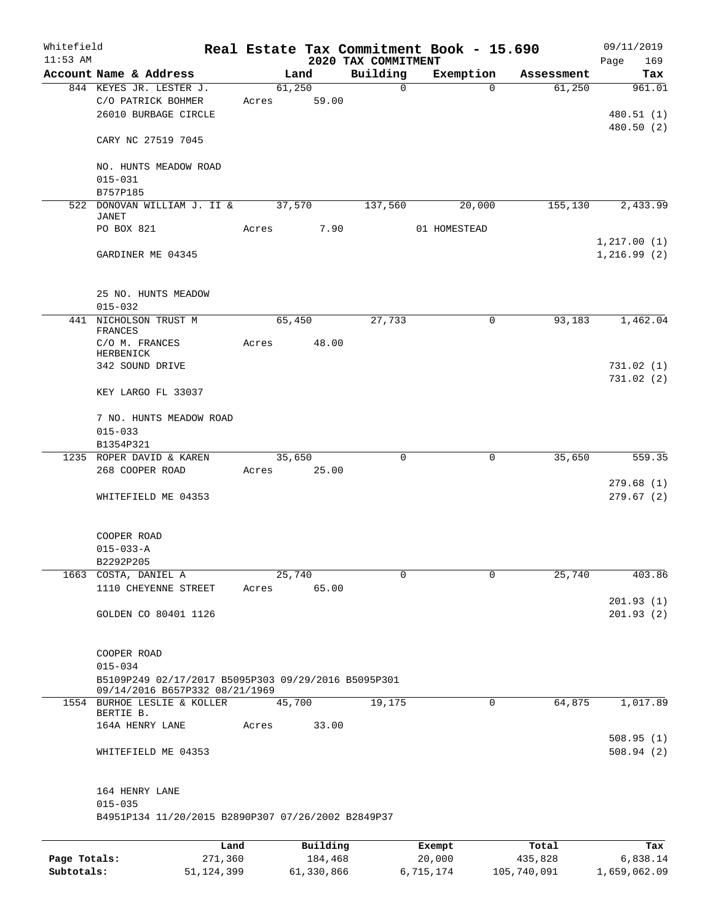| Whitefield<br>$11:53$ AM |                                                                    |              |       |            | 2020 TAX COMMITMENT | Real Estate Tax Commitment Book - 15.690 |             | 09/11/2019<br>Page<br>169 |
|--------------------------|--------------------------------------------------------------------|--------------|-------|------------|---------------------|------------------------------------------|-------------|---------------------------|
|                          | Account Name & Address                                             |              |       | Land       | Building            | Exemption                                | Assessment  | Tax                       |
|                          | 844 KEYES JR. LESTER J.                                            |              |       | 61,250     | $\mathbf 0$         | $\Omega$                                 | 61,250      | 961.01                    |
|                          | C/O PATRICK BOHMER                                                 |              | Acres | 59.00      |                     |                                          |             |                           |
|                          | 26010 BURBAGE CIRCLE                                               |              |       |            |                     |                                          |             | 480.51 (1)                |
|                          |                                                                    |              |       |            |                     |                                          |             | 480.50 (2)                |
|                          | CARY NC 27519 7045                                                 |              |       |            |                     |                                          |             |                           |
|                          |                                                                    |              |       |            |                     |                                          |             |                           |
|                          | NO. HUNTS MEADOW ROAD                                              |              |       |            |                     |                                          |             |                           |
|                          | $015 - 031$                                                        |              |       |            |                     |                                          |             |                           |
|                          | B757P185<br>522 DONOVAN WILLIAM J. II &                            |              |       | 37,570     | 137,560             | 20,000                                   | 155,130     | 2,433.99                  |
|                          | <b>JANET</b>                                                       |              |       |            |                     |                                          |             |                           |
|                          | PO BOX 821                                                         |              | Acres | 7.90       |                     | 01 HOMESTEAD                             |             |                           |
|                          |                                                                    |              |       |            |                     |                                          |             | 1, 217.00(1)              |
|                          | GARDINER ME 04345                                                  |              |       |            |                     |                                          |             | 1,216.99(2)               |
|                          |                                                                    |              |       |            |                     |                                          |             |                           |
|                          |                                                                    |              |       |            |                     |                                          |             |                           |
|                          | 25 NO. HUNTS MEADOW                                                |              |       |            |                     |                                          |             |                           |
|                          | $015 - 032$                                                        |              |       |            |                     |                                          |             |                           |
|                          | 441 NICHOLSON TRUST M<br><b>FRANCES</b>                            |              |       | 65,450     | 27,733              | 0                                        | 93,183      | 1,462.04                  |
|                          | C/O M. FRANCES                                                     |              | Acres | 48.00      |                     |                                          |             |                           |
|                          | HERBENICK                                                          |              |       |            |                     |                                          |             |                           |
|                          | 342 SOUND DRIVE                                                    |              |       |            |                     |                                          |             | 731.02(1)                 |
|                          |                                                                    |              |       |            |                     |                                          |             | 731.02(2)                 |
|                          | KEY LARGO FL 33037                                                 |              |       |            |                     |                                          |             |                           |
|                          | 7 NO. HUNTS MEADOW ROAD                                            |              |       |            |                     |                                          |             |                           |
|                          | $015 - 033$                                                        |              |       |            |                     |                                          |             |                           |
|                          | B1354P321                                                          |              |       |            |                     |                                          |             |                           |
|                          | 1235 ROPER DAVID & KAREN                                           |              |       | 35,650     | $\Omega$            | 0                                        | 35,650      | 559.35                    |
|                          | 268 COOPER ROAD                                                    |              | Acres | 25.00      |                     |                                          |             |                           |
|                          |                                                                    |              |       |            |                     |                                          |             | 279.68(1)                 |
|                          | WHITEFIELD ME 04353                                                |              |       |            |                     |                                          |             | 279.67(2)                 |
|                          |                                                                    |              |       |            |                     |                                          |             |                           |
|                          |                                                                    |              |       |            |                     |                                          |             |                           |
|                          | COOPER ROAD<br>$015 - 033 - A$                                     |              |       |            |                     |                                          |             |                           |
|                          | B2292P205                                                          |              |       |            |                     |                                          |             |                           |
| 1663                     | COSTA, DANIEL A                                                    |              |       | 25,740     | $\mathbf 0$         | 0                                        | 25,740      | 403.86                    |
|                          | 1110 CHEYENNE STREET                                               |              | Acres | 65.00      |                     |                                          |             |                           |
|                          |                                                                    |              |       |            |                     |                                          |             | 201.93(1)                 |
|                          | GOLDEN CO 80401 1126                                               |              |       |            |                     |                                          |             | 201.93(2)                 |
|                          |                                                                    |              |       |            |                     |                                          |             |                           |
|                          |                                                                    |              |       |            |                     |                                          |             |                           |
|                          | COOPER ROAD                                                        |              |       |            |                     |                                          |             |                           |
|                          | $015 - 034$<br>B5109P249 02/17/2017 B5095P303 09/29/2016 B5095P301 |              |       |            |                     |                                          |             |                           |
|                          | 09/14/2016 B657P332 08/21/1969                                     |              |       |            |                     |                                          |             |                           |
|                          | 1554 BURHOE LESLIE & KOLLER                                        |              |       | 45,700     | 19, 175             | 0                                        | 64,875      | 1,017.89                  |
|                          | BERTIE B.                                                          |              |       |            |                     |                                          |             |                           |
|                          | 164A HENRY LANE                                                    |              | Acres | 33.00      |                     |                                          |             |                           |
|                          | WHITEFIELD ME 04353                                                |              |       |            |                     |                                          |             | 508.95(1)<br>508.94(2)    |
|                          |                                                                    |              |       |            |                     |                                          |             |                           |
|                          |                                                                    |              |       |            |                     |                                          |             |                           |
|                          | 164 HENRY LANE                                                     |              |       |            |                     |                                          |             |                           |
|                          | $015 - 035$                                                        |              |       |            |                     |                                          |             |                           |
|                          | B4951P134 11/20/2015 B2890P307 07/26/2002 B2849P37                 |              |       |            |                     |                                          |             |                           |
|                          |                                                                    |              |       |            |                     |                                          |             |                           |
|                          |                                                                    | Land         |       | Building   |                     | Exempt                                   | Total       | Tax                       |
| Page Totals:             |                                                                    | 271,360      |       | 184,468    |                     | 20,000                                   | 435,828     | 6,838.14                  |
| Subtotals:               |                                                                    | 51, 124, 399 |       | 61,330,866 |                     | 6,715,174                                | 105,740,091 | 1,659,062.09              |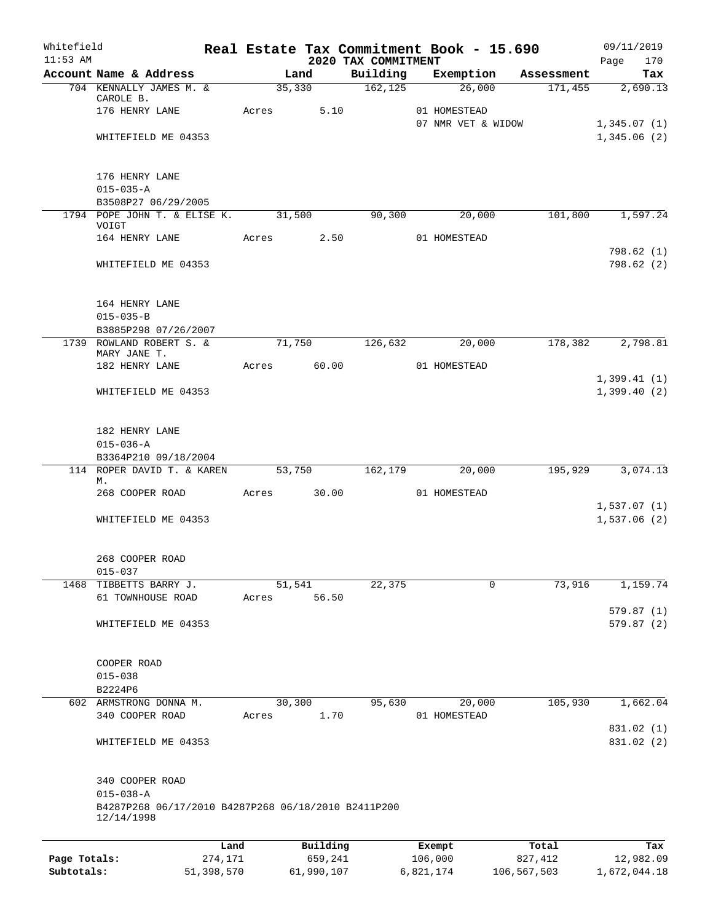| Whitefield<br>$11:53$ AM |                                                                   |                 |                     | 2020 TAX COMMITMENT | Real Estate Tax Commitment Book - 15.690 |                  | 09/11/2019         |
|--------------------------|-------------------------------------------------------------------|-----------------|---------------------|---------------------|------------------------------------------|------------------|--------------------|
|                          | Account Name & Address                                            |                 | Land                | Building            | Exemption                                | Assessment       | Page<br>170<br>Tax |
|                          | 704 KENNALLY JAMES M. &                                           |                 | 35,330              | 162, 125            | 26,000                                   | 171,455          | 2,690.13           |
|                          | CAROLE B.                                                         |                 |                     |                     |                                          |                  |                    |
|                          | 176 HENRY LANE                                                    |                 | 5.10<br>Acres       |                     | 01 HOMESTEAD<br>07 NMR VET & WIDOW       |                  | 1,345.07(1)        |
|                          | WHITEFIELD ME 04353                                               |                 |                     |                     |                                          |                  | 1,345.06(2)        |
|                          |                                                                   |                 |                     |                     |                                          |                  |                    |
|                          | 176 HENRY LANE                                                    |                 |                     |                     |                                          |                  |                    |
|                          | $015 - 035 - A$                                                   |                 |                     |                     |                                          |                  |                    |
|                          | B3508P27 06/29/2005                                               |                 |                     |                     |                                          |                  |                    |
|                          | 1794 POPE JOHN T. & ELISE K. 31,500<br>VOIGT                      |                 |                     | 90,300              | 20,000                                   | 101,800          | 1,597.24           |
|                          | 164 HENRY LANE                                                    |                 | Acres               | 2.50                | 01 HOMESTEAD                             |                  |                    |
|                          |                                                                   |                 |                     |                     |                                          |                  | 798.62(1)          |
|                          | WHITEFIELD ME 04353                                               |                 |                     |                     |                                          |                  | 798.62(2)          |
|                          | 164 HENRY LANE                                                    |                 |                     |                     |                                          |                  |                    |
|                          | $015 - 035 - B$                                                   |                 |                     |                     |                                          |                  |                    |
|                          | B3885P298 07/26/2007                                              |                 |                     |                     |                                          |                  |                    |
|                          | 1739 ROWLAND ROBERT S. &                                          |                 | 71,750              | 126,632             | 20,000                                   | 178,382          | 2,798.81           |
|                          | MARY JANE T.<br>182 HENRY LANE                                    |                 | Acres               | 60.00               | 01 HOMESTEAD                             |                  |                    |
|                          |                                                                   |                 |                     |                     |                                          |                  | 1,399.41(1)        |
|                          | WHITEFIELD ME 04353                                               |                 |                     |                     |                                          |                  | 1,399.40(2)        |
|                          | 182 HENRY LANE                                                    |                 |                     |                     |                                          |                  |                    |
|                          | $015 - 036 - A$                                                   |                 |                     |                     |                                          |                  |                    |
|                          | B3364P210 09/18/2004                                              |                 |                     |                     |                                          |                  |                    |
|                          | 114 ROPER DAVID T. & KAREN<br>М.                                  |                 | $\overline{53,750}$ | 162,179             | 20,000                                   |                  | 195,929 3,074.13   |
|                          | 268 COOPER ROAD                                                   |                 | Acres 30.00         |                     | 01 HOMESTEAD                             |                  |                    |
|                          |                                                                   |                 |                     |                     |                                          |                  | 1,537.07(1)        |
|                          | WHITEFIELD ME 04353                                               |                 |                     |                     |                                          |                  | 1,537.06(2)        |
|                          | 268 COOPER ROAD                                                   |                 |                     |                     |                                          |                  |                    |
|                          | $015 - 037$                                                       |                 |                     |                     |                                          |                  |                    |
| 1468                     | TIBBETTS BARRY J.                                                 |                 | 51,541              | 22,375              | 0                                        | 73,916           | 1,159.74           |
|                          | 61 TOWNHOUSE ROAD                                                 | Acres           | 56.50               |                     |                                          |                  |                    |
|                          |                                                                   |                 |                     |                     |                                          |                  | 579.87(1)          |
|                          | WHITEFIELD ME 04353                                               |                 |                     |                     |                                          |                  | 579.87 (2)         |
|                          | COOPER ROAD                                                       |                 |                     |                     |                                          |                  |                    |
|                          | $015 - 038$                                                       |                 |                     |                     |                                          |                  |                    |
|                          | B2224P6                                                           |                 |                     |                     |                                          |                  |                    |
|                          | 602 ARMSTRONG DONNA M.<br>340 COOPER ROAD                         |                 | 30,300<br>1.70      | 95,630              | 20,000                                   | 105,930          | 1,662.04           |
|                          |                                                                   | Acres           |                     |                     | 01 HOMESTEAD                             |                  | 831.02 (1)         |
|                          | WHITEFIELD ME 04353                                               |                 |                     |                     |                                          |                  | 831.02 (2)         |
|                          | 340 COOPER ROAD                                                   |                 |                     |                     |                                          |                  |                    |
|                          | $015 - 038 - A$                                                   |                 |                     |                     |                                          |                  |                    |
|                          | B4287P268 06/17/2010 B4287P268 06/18/2010 B2411P200<br>12/14/1998 |                 |                     |                     |                                          |                  |                    |
|                          |                                                                   |                 |                     |                     |                                          |                  |                    |
| Page Totals:             |                                                                   | Land<br>274,171 | Building<br>659,241 |                     | Exempt<br>106,000                        | Total<br>827,412 | Tax<br>12,982.09   |
|                          |                                                                   |                 |                     |                     |                                          |                  |                    |

**Subtotals:** 51,398,570 61,990,107 6,821,174 106,567,503 1,672,044.18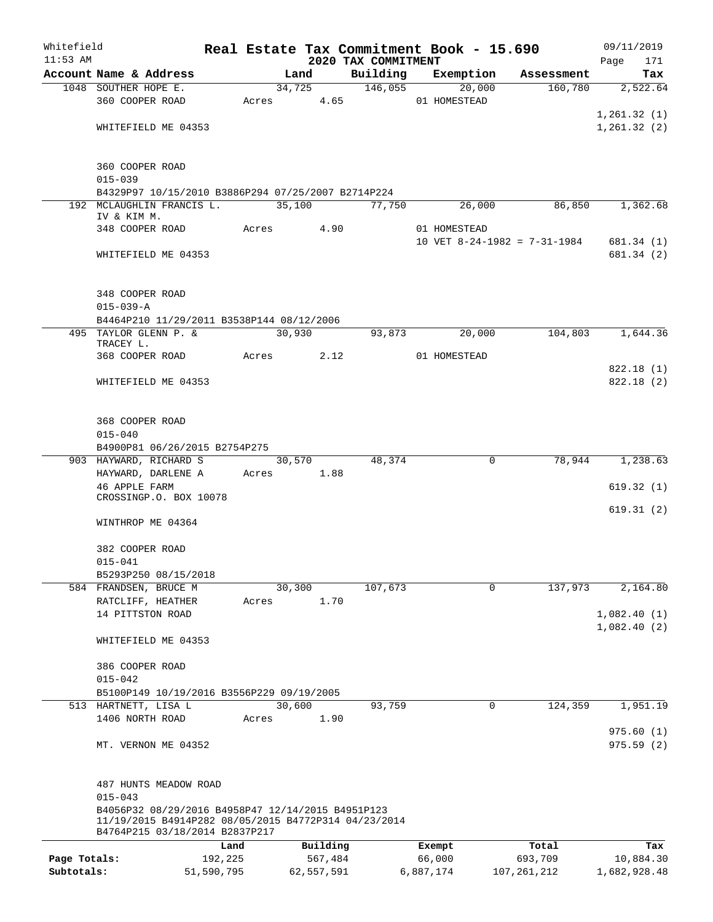| Whitefield   |                                                                                                           |            |       |                |                     |           | Real Estate Tax Commitment Book - 15.690 |                              | 09/11/2019      |
|--------------|-----------------------------------------------------------------------------------------------------------|------------|-------|----------------|---------------------|-----------|------------------------------------------|------------------------------|-----------------|
| $11:53$ AM   |                                                                                                           |            |       |                | 2020 TAX COMMITMENT |           |                                          |                              | 171<br>Page     |
|              | Account Name & Address<br>1048 SOUTHER HOPE E.                                                            |            |       | Land<br>34,725 | Building<br>146,055 |           | Exemption<br>20,000                      | Assessment<br>160,780        | Tax<br>2,522.64 |
|              | 360 COOPER ROAD                                                                                           |            |       | Acres 4.65     |                     |           | 01 HOMESTEAD                             |                              |                 |
|              |                                                                                                           |            |       |                |                     |           |                                          |                              | 1, 261.32(1)    |
|              | WHITEFIELD ME 04353                                                                                       |            |       |                |                     |           |                                          |                              | 1, 261.32(2)    |
|              |                                                                                                           |            |       |                |                     |           |                                          |                              |                 |
|              | 360 COOPER ROAD                                                                                           |            |       |                |                     |           |                                          |                              |                 |
|              | $015 - 039$                                                                                               |            |       |                |                     |           |                                          |                              |                 |
|              | B4329P97 10/15/2010 B3886P294 07/25/2007 B2714P224                                                        |            |       |                |                     |           |                                          |                              |                 |
|              | 192 MCLAUGHLIN FRANCIS L.                                                                                 |            |       | 35,100         | 77,750              |           | 26,000                                   | 86,850                       | 1,362.68        |
|              | IV & KIM M.                                                                                               |            |       |                |                     |           |                                          |                              |                 |
|              | 348 COOPER ROAD                                                                                           |            | Acres | 4.90           |                     |           | 01 HOMESTEAD                             | 10 VET 8-24-1982 = 7-31-1984 |                 |
|              |                                                                                                           |            |       |                |                     |           |                                          |                              | 681.34 (1)      |
|              | WHITEFIELD ME 04353                                                                                       |            |       |                |                     |           |                                          |                              | 681.34 (2)      |
|              | 348 COOPER ROAD                                                                                           |            |       |                |                     |           |                                          |                              |                 |
|              | $015 - 039 - A$                                                                                           |            |       |                |                     |           |                                          |                              |                 |
|              | B4464P210 11/29/2011 B3538P144 08/12/2006                                                                 |            |       |                |                     |           |                                          |                              |                 |
|              | 495 TAYLOR GLENN P. &                                                                                     |            |       | 30,930         | 93,873              |           | 20,000                                   | 104,803                      | 1,644.36        |
|              | TRACEY L.                                                                                                 |            |       |                |                     |           |                                          |                              |                 |
|              | 368 COOPER ROAD                                                                                           |            | Acres | 2.12           |                     |           | 01 HOMESTEAD                             |                              |                 |
|              |                                                                                                           |            |       |                |                     |           |                                          |                              | 822.18 (1)      |
|              | WHITEFIELD ME 04353                                                                                       |            |       |                |                     |           |                                          |                              | 822.18(2)       |
|              |                                                                                                           |            |       |                |                     |           |                                          |                              |                 |
|              | 368 COOPER ROAD<br>$015 - 040$                                                                            |            |       |                |                     |           |                                          |                              |                 |
|              | B4900P81 06/26/2015 B2754P275                                                                             |            |       |                |                     |           |                                          |                              |                 |
|              | 903 HAYWARD, RICHARD S                                                                                    |            |       | 30,570         | 48,374              |           | 0                                        | 78,944                       | 1,238.63        |
|              | HAYWARD, DARLENE A                                                                                        |            |       | Acres 1.88     |                     |           |                                          |                              |                 |
|              | <b>46 APPLE FARM</b>                                                                                      |            |       |                |                     |           |                                          |                              | 619.32(1)       |
|              | CROSSINGP.O. BOX 10078                                                                                    |            |       |                |                     |           |                                          |                              |                 |
|              |                                                                                                           |            |       |                |                     |           |                                          |                              | 619.31(2)       |
|              | WINTHROP ME 04364                                                                                         |            |       |                |                     |           |                                          |                              |                 |
|              | 382 COOPER ROAD                                                                                           |            |       |                |                     |           |                                          |                              |                 |
|              | $015 - 041$                                                                                               |            |       |                |                     |           |                                          |                              |                 |
|              | B5293P250 08/15/2018                                                                                      |            |       |                |                     |           |                                          |                              |                 |
|              | 584 FRANDSEN, BRUCE M                                                                                     |            |       | 30,300         | 107,673             |           | $\mathbf 0$                              | 137,973                      | 2,164.80        |
|              | RATCLIFF, HEATHER                                                                                         |            | Acres | 1.70           |                     |           |                                          |                              |                 |
|              | 14 PITTSTON ROAD                                                                                          |            |       |                |                     |           |                                          |                              | 1,082.40(1)     |
|              | WHITEFIELD ME 04353                                                                                       |            |       |                |                     |           |                                          |                              | 1,082.40(2)     |
|              | 386 COOPER ROAD                                                                                           |            |       |                |                     |           |                                          |                              |                 |
|              | $015 - 042$                                                                                               |            |       |                |                     |           |                                          |                              |                 |
|              | B5100P149 10/19/2016 B3556P229 09/19/2005                                                                 |            |       |                |                     |           |                                          |                              |                 |
|              | 513 HARTNETT, LISA L                                                                                      |            |       | 30,600         | 93,759              |           | 0                                        | 124,359                      | 1,951.19        |
|              | 1406 NORTH ROAD                                                                                           |            | Acres | 1.90           |                     |           |                                          |                              |                 |
|              |                                                                                                           |            |       |                |                     |           |                                          |                              | 975.60(1)       |
|              | MT. VERNON ME 04352                                                                                       |            |       |                |                     |           |                                          |                              | 975.59(2)       |
|              |                                                                                                           |            |       |                |                     |           |                                          |                              |                 |
|              | 487 HUNTS MEADOW ROAD                                                                                     |            |       |                |                     |           |                                          |                              |                 |
|              | $015 - 043$                                                                                               |            |       |                |                     |           |                                          |                              |                 |
|              | B4056P32 08/29/2016 B4958P47 12/14/2015 B4951P123<br>11/19/2015 B4914P282 08/05/2015 B4772P314 04/23/2014 |            |       |                |                     |           |                                          |                              |                 |
|              | B4764P215 03/18/2014 B2837P217                                                                            |            |       |                |                     |           |                                          |                              |                 |
|              |                                                                                                           | Land       |       | Building       |                     |           | Exempt                                   | Total                        | Tax             |
| Page Totals: |                                                                                                           | 192,225    |       | 567,484        |                     |           | 66,000                                   | 693,709                      | 10,884.30       |
| Subtotals:   |                                                                                                           | 51,590,795 |       | 62,557,591     |                     | 6,887,174 |                                          | 107, 261, 212                | 1,682,928.48    |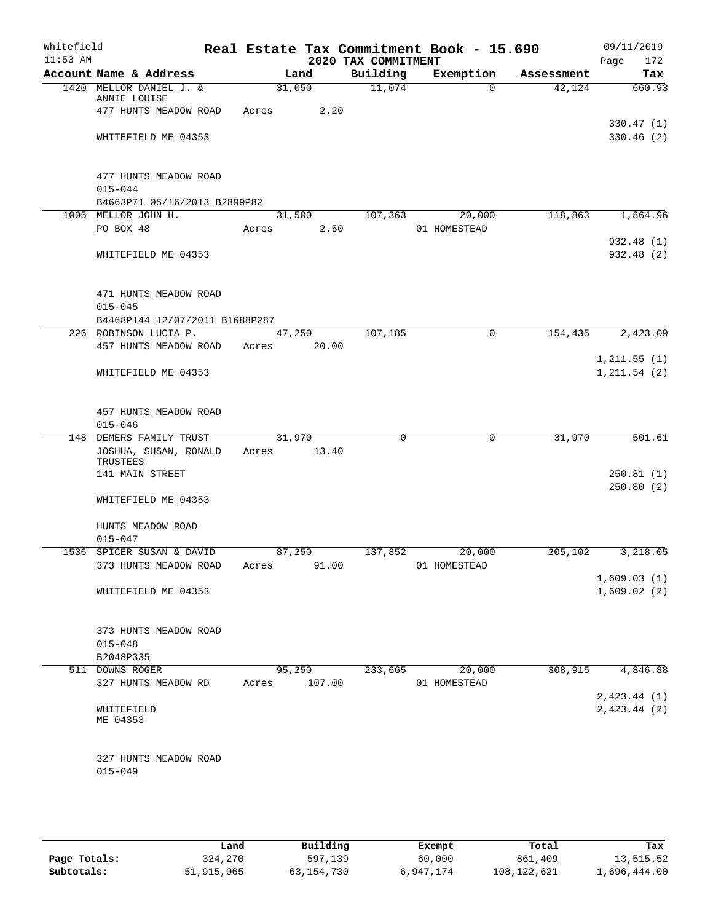| Whitefield<br>$11:53$ AM |                                         |       |        | 2020 TAX COMMITMENT | Real Estate Tax Commitment Book - 15.690 |            | 09/11/2019<br>Page<br>172 |
|--------------------------|-----------------------------------------|-------|--------|---------------------|------------------------------------------|------------|---------------------------|
|                          | Account Name & Address                  |       | Land   | Building            | Exemption                                | Assessment | Tax                       |
|                          | 1420 MELLOR DANIEL J. &<br>ANNIE LOUISE |       | 31,050 | 11,074              | $\Omega$                                 | 42,124     | 660.93                    |
|                          | 477 HUNTS MEADOW ROAD                   | Acres | 2.20   |                     |                                          |            |                           |
|                          |                                         |       |        |                     |                                          |            | 330.47(1)                 |
|                          | WHITEFIELD ME 04353                     |       |        |                     |                                          |            | 330.46(2)                 |
|                          | 477 HUNTS MEADOW ROAD                   |       |        |                     |                                          |            |                           |
|                          | $015 - 044$                             |       |        |                     |                                          |            |                           |
|                          | B4663P71 05/16/2013 B2899P82            |       |        |                     |                                          |            |                           |
|                          | 1005 MELLOR JOHN H.                     |       | 31,500 | 107,363             | 20,000                                   | 118,863    | 1,864.96                  |
|                          | PO BOX 48                               | Acres | 2.50   |                     | 01 HOMESTEAD                             |            |                           |
|                          | WHITEFIELD ME 04353                     |       |        |                     |                                          |            | 932.48 (1)<br>932.48 (2)  |
|                          |                                         |       |        |                     |                                          |            |                           |
|                          | 471 HUNTS MEADOW ROAD<br>$015 - 045$    |       |        |                     |                                          |            |                           |
|                          | B4468P144 12/07/2011 B1688P287          |       |        |                     |                                          |            |                           |
|                          | 226 ROBINSON LUCIA P.                   |       | 47,250 | 107,185             | $\mathbf 0$                              | 154,435    | 2,423.09                  |
|                          | 457 HUNTS MEADOW ROAD                   | Acres | 20.00  |                     |                                          |            |                           |
|                          |                                         |       |        |                     |                                          |            | 1, 211.55(1)              |
|                          | WHITEFIELD ME 04353                     |       |        |                     |                                          |            | 1, 211.54 (2)             |
|                          | 457 HUNTS MEADOW ROAD                   |       |        |                     |                                          |            |                           |
|                          | $015 - 046$                             |       |        |                     |                                          |            |                           |
|                          | 148 DEMERS FAMILY TRUST                 |       | 31,970 | $\Omega$            | $\mathbf 0$                              | 31,970     | 501.61                    |
|                          | JOSHUA, SUSAN, RONALD<br>TRUSTEES       | Acres | 13.40  |                     |                                          |            |                           |
|                          | 141 MAIN STREET                         |       |        |                     |                                          |            | 250.81(1)                 |
|                          |                                         |       |        |                     |                                          |            | 250.80(2)                 |
|                          | WHITEFIELD ME 04353                     |       |        |                     |                                          |            |                           |
|                          | HUNTS MEADOW ROAD                       |       |        |                     |                                          |            |                           |
|                          | $015 - 047$                             |       |        |                     |                                          |            |                           |
|                          | 1536 SPICER SUSAN & DAVID               |       | 87,250 | 137,852             | 20,000                                   | 205,102    | 3,218.05                  |
|                          | 373 HUNTS MEADOW ROAD                   | Acres | 91.00  |                     | 01 HOMESTEAD                             |            |                           |
|                          |                                         |       |        |                     |                                          |            | 1,609.03(1)               |
|                          | WHITEFIELD ME 04353                     |       |        |                     |                                          |            | 1,609.02(2)               |
|                          | 373 HUNTS MEADOW ROAD                   |       |        |                     |                                          |            |                           |
|                          | $015 - 048$                             |       |        |                     |                                          |            |                           |
|                          | B2048P335                               |       |        |                     |                                          |            |                           |
|                          | 511 DOWNS ROGER                         |       | 95,250 | 233,665             | 20,000                                   | 308,915    | 4,846.88                  |
|                          | 327 HUNTS MEADOW RD                     | Acres | 107.00 |                     | 01 HOMESTEAD                             |            |                           |
|                          |                                         |       |        |                     |                                          |            | 2,423.44(1)               |
|                          | WHITEFIELD<br>ME 04353                  |       |        |                     |                                          |            | 2,423.44(2)               |
|                          | 327 HUNTS MEADOW ROAD                   |       |        |                     |                                          |            |                           |
|                          | $015 - 049$                             |       |        |                     |                                          |            |                           |
|                          |                                         |       |        |                     |                                          |            |                           |

|              | Land       | Building   | Exempt    | Total       | Tax          |
|--------------|------------|------------|-----------|-------------|--------------|
| Page Totals: | 324,270    | 597,139    | 60,000    | 861,409     | 13,515.52    |
| Subtotals:   | 51,915,065 | 63,154,730 | 6,947,174 | 108,122,621 | l,696,444.00 |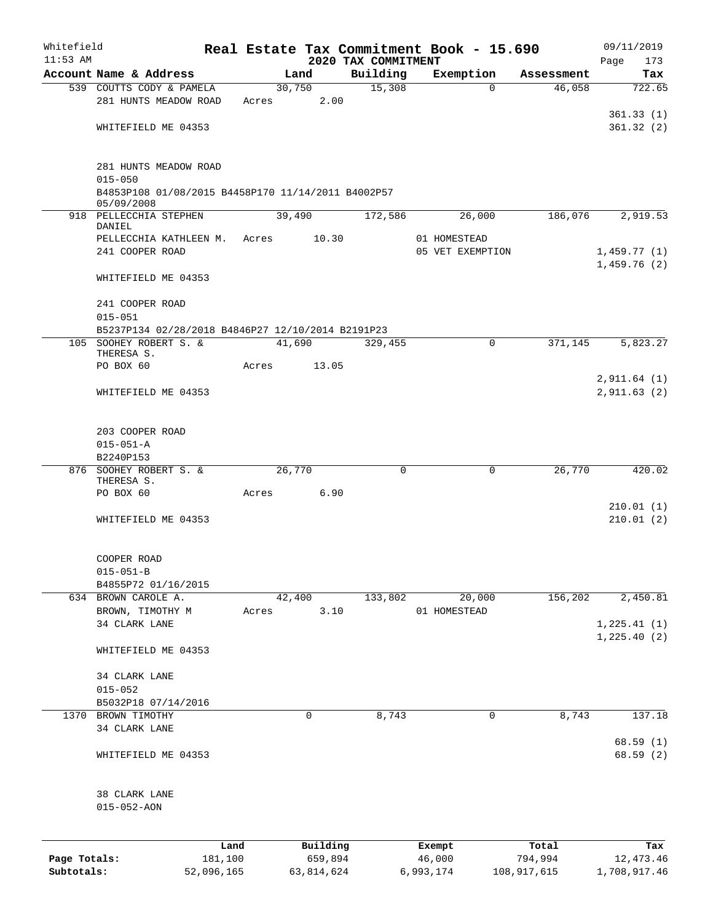| Whitefield   |                                                                  |            |       |        |            |                                 |          | Real Estate Tax Commitment Book - 15.690 |             | 09/11/2019                   |
|--------------|------------------------------------------------------------------|------------|-------|--------|------------|---------------------------------|----------|------------------------------------------|-------------|------------------------------|
| $11:53$ AM   | Account Name & Address                                           |            |       | Land   |            | 2020 TAX COMMITMENT<br>Building |          | Exemption                                | Assessment  | 173<br>Page<br>Tax           |
|              | 539 COUTTS CODY & PAMELA                                         |            |       | 30,750 |            | 15,308                          |          | $\Omega$                                 | 46,058      | 722.65                       |
|              | 281 HUNTS MEADOW ROAD                                            |            | Acres |        | 2.00       |                                 |          |                                          |             |                              |
|              | WHITEFIELD ME 04353                                              |            |       |        |            |                                 |          |                                          |             | 361.33(1)<br>361.32(2)       |
|              | 281 HUNTS MEADOW ROAD<br>$015 - 050$                             |            |       |        |            |                                 |          |                                          |             |                              |
|              | B4853P108 01/08/2015 B4458P170 11/14/2011 B4002P57<br>05/09/2008 |            |       |        |            |                                 |          |                                          |             |                              |
|              | 918 PELLECCHIA STEPHEN<br>DANIEL                                 |            |       | 39,490 |            | 172,586                         |          | 26,000                                   | 186,076     | 2,919.53                     |
|              | PELLECCHIA KATHLEEN M.<br>241 COOPER ROAD                        |            | Acres |        | 10.30      |                                 |          | 01 HOMESTEAD<br>05 VET EXEMPTION         |             | 1,459.77(1)<br>1,459.76(2)   |
|              | WHITEFIELD ME 04353                                              |            |       |        |            |                                 |          |                                          |             |                              |
|              | 241 COOPER ROAD<br>$015 - 051$                                   |            |       |        |            |                                 |          |                                          |             |                              |
|              | B5237P134 02/28/2018 B4846P27 12/10/2014 B2191P23                |            |       |        |            |                                 |          |                                          |             |                              |
|              | 105 SOOHEY ROBERT S. &<br>THERESA S.                             |            |       | 41,690 |            | 329,455                         |          | $\Omega$                                 | 371,145     | 5,823.27                     |
|              | PO BOX 60                                                        |            | Acres |        | 13.05      |                                 |          |                                          |             |                              |
|              | WHITEFIELD ME 04353                                              |            |       |        |            |                                 |          |                                          |             | 2,911.64(1)<br>2,911.63(2)   |
|              | 203 COOPER ROAD                                                  |            |       |        |            |                                 |          |                                          |             |                              |
|              | $015 - 051 - A$                                                  |            |       |        |            |                                 |          |                                          |             |                              |
|              | B2240P153                                                        |            |       |        |            |                                 |          |                                          |             |                              |
|              | 876 SOOHEY ROBERT S. &<br>THERESA S.                             |            |       | 26,770 |            |                                 | $\Omega$ | $\mathbf 0$                              | 26,770      | 420.02                       |
|              | PO BOX 60                                                        |            | Acres |        | 6.90       |                                 |          |                                          |             | 210.01(1)                    |
|              | WHITEFIELD ME 04353                                              |            |       |        |            |                                 |          |                                          |             | 210.01(2)                    |
|              | COOPER ROAD<br>$015 - 051 - B$                                   |            |       |        |            |                                 |          |                                          |             |                              |
|              | B4855P72 01/16/2015                                              |            |       |        |            |                                 |          |                                          |             |                              |
|              | 634 BROWN CAROLE A.                                              |            |       | 42,400 |            | 133,802                         |          | 20,000                                   | 156,202     | 2,450.81                     |
|              | BROWN, TIMOTHY M                                                 |            | Acres |        | 3.10       |                                 |          | 01 HOMESTEAD                             |             |                              |
|              | 34 CLARK LANE                                                    |            |       |        |            |                                 |          |                                          |             | 1, 225.41(1)<br>1, 225.40(2) |
|              | WHITEFIELD ME 04353                                              |            |       |        |            |                                 |          |                                          |             |                              |
|              | 34 CLARK LANE                                                    |            |       |        |            |                                 |          |                                          |             |                              |
|              | $015 - 052$                                                      |            |       |        |            |                                 |          |                                          |             |                              |
| 1370         | B5032P18 07/14/2016<br>BROWN TIMOTHY                             |            |       |        | 0          | 8,743                           |          | 0                                        | 8,743       | 137.18                       |
|              | 34 CLARK LANE                                                    |            |       |        |            |                                 |          |                                          |             |                              |
|              | WHITEFIELD ME 04353                                              |            |       |        |            |                                 |          |                                          |             | 68.59(1)<br>68.59 (2)        |
|              | 38 CLARK LANE<br>$015 - 052 - AON$                               |            |       |        |            |                                 |          |                                          |             |                              |
|              |                                                                  | Land       |       |        | Building   |                                 |          | Exempt                                   | Total       | Tax                          |
| Page Totals: |                                                                  | 181,100    |       |        | 659,894    |                                 |          | 46,000                                   | 794,994     | 12, 473.46                   |
| Subtotals:   |                                                                  | 52,096,165 |       |        | 63,814,624 |                                 |          | 6,993,174                                | 108,917,615 | 1,708,917.46                 |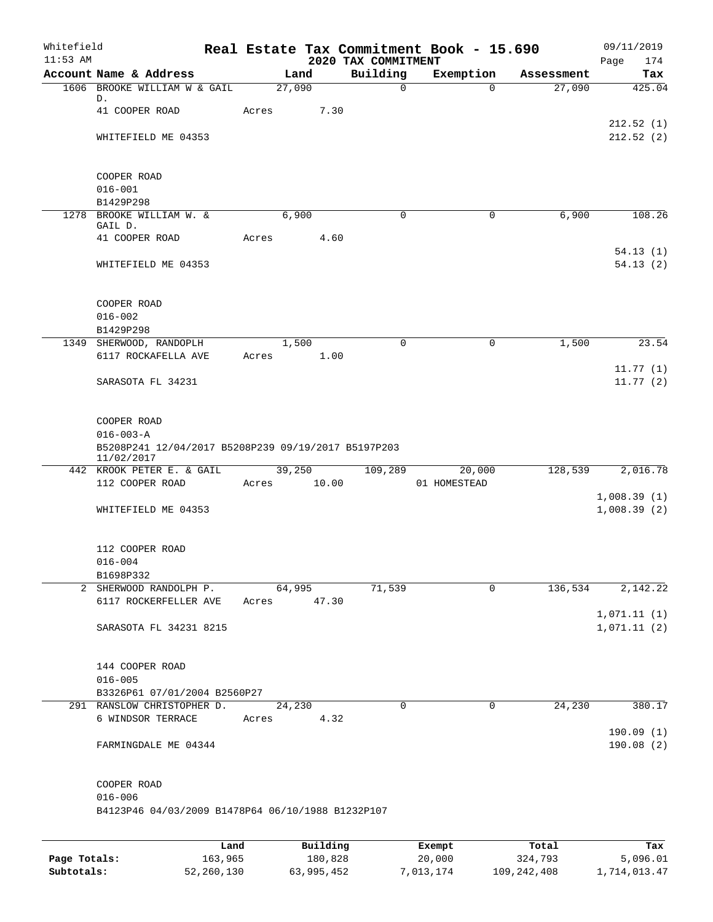| Whitefield<br>$11:53$ AM |                                                     |       |                 | 2020 TAX COMMITMENT | Real Estate Tax Commitment Book - 15.690 |            | 09/11/2019<br>Page<br>174 |
|--------------------------|-----------------------------------------------------|-------|-----------------|---------------------|------------------------------------------|------------|---------------------------|
|                          | Account Name & Address                              |       | Land            | Building            | Exemption                                | Assessment | Tax                       |
|                          | 1606 BROOKE WILLIAM W & GAIL                        |       | 27,090          |                     | $\mathbf 0$<br>$\Omega$                  | 27,090     | 425.04                    |
|                          | D.                                                  |       |                 |                     |                                          |            |                           |
|                          | 41 COOPER ROAD                                      | Acres | 7.30            |                     |                                          |            |                           |
|                          | WHITEFIELD ME 04353                                 |       |                 |                     |                                          |            | 212.52(1)<br>212.52(2)    |
|                          |                                                     |       |                 |                     |                                          |            |                           |
|                          |                                                     |       |                 |                     |                                          |            |                           |
|                          | COOPER ROAD                                         |       |                 |                     |                                          |            |                           |
|                          | $016 - 001$                                         |       |                 |                     |                                          |            |                           |
|                          | B1429P298                                           |       |                 |                     |                                          |            |                           |
|                          | 1278 BROOKE WILLIAM W. &<br>GAIL D.                 |       | 6,900           |                     | 0<br>0                                   | 6,900      | 108.26                    |
|                          | 41 COOPER ROAD                                      | Acres | 4.60            |                     |                                          |            |                           |
|                          |                                                     |       |                 |                     |                                          |            | 54.13(1)                  |
|                          | WHITEFIELD ME 04353                                 |       |                 |                     |                                          |            | 54.13(2)                  |
|                          |                                                     |       |                 |                     |                                          |            |                           |
|                          |                                                     |       |                 |                     |                                          |            |                           |
|                          | COOPER ROAD                                         |       |                 |                     |                                          |            |                           |
|                          | $016 - 002$                                         |       |                 |                     |                                          |            |                           |
|                          | B1429P298                                           |       |                 |                     |                                          |            |                           |
|                          | 1349 SHERWOOD, RANDOPLH<br>6117 ROCKAFELLA AVE      | Acres | 1,500<br>1.00   |                     | 0<br>0                                   | 1,500      | 23.54                     |
|                          |                                                     |       |                 |                     |                                          |            | 11.77(1)                  |
|                          | SARASOTA FL 34231                                   |       |                 |                     |                                          |            | 11.77(2)                  |
|                          |                                                     |       |                 |                     |                                          |            |                           |
|                          |                                                     |       |                 |                     |                                          |            |                           |
|                          | COOPER ROAD                                         |       |                 |                     |                                          |            |                           |
|                          | $016 - 003 - A$                                     |       |                 |                     |                                          |            |                           |
|                          | B5208P241 12/04/2017 B5208P239 09/19/2017 B5197P203 |       |                 |                     |                                          |            |                           |
|                          | 11/02/2017<br>442 KROOK PETER E. & GAIL             |       | 39,250          | 109,289             | 20,000                                   | 128,539    | 2,016.78                  |
|                          | 112 COOPER ROAD                                     | Acres | 10.00           |                     | 01 HOMESTEAD                             |            |                           |
|                          |                                                     |       |                 |                     |                                          |            | 1,008.39(1)               |
|                          | WHITEFIELD ME 04353                                 |       |                 |                     |                                          |            | 1,008.39(2)               |
|                          |                                                     |       |                 |                     |                                          |            |                           |
|                          |                                                     |       |                 |                     |                                          |            |                           |
|                          | 112 COOPER ROAD                                     |       |                 |                     |                                          |            |                           |
|                          | $016 - 004$                                         |       |                 |                     |                                          |            |                           |
|                          | B1698P332                                           |       |                 | 71,539              | 0                                        |            | 2,142.22                  |
|                          | 2 SHERWOOD RANDOLPH P.<br>6117 ROCKERFELLER AVE     | Acres | 64,995<br>47.30 |                     |                                          | 136,534    |                           |
|                          |                                                     |       |                 |                     |                                          |            | 1,071.11(1)               |
|                          | SARASOTA FL 34231 8215                              |       |                 |                     |                                          |            | 1,071.11(2)               |
|                          |                                                     |       |                 |                     |                                          |            |                           |
|                          |                                                     |       |                 |                     |                                          |            |                           |
|                          | 144 COOPER ROAD                                     |       |                 |                     |                                          |            |                           |
|                          | $016 - 005$                                         |       |                 |                     |                                          |            |                           |
|                          | B3326P61 07/01/2004 B2560P27                        |       |                 |                     |                                          |            |                           |
|                          | 291 RANSLOW CHRISTOPHER D.<br>6 WINDSOR TERRACE     |       | 24,230<br>4.32  |                     | 0<br>0                                   | 24,230     | 380.17                    |
|                          |                                                     | Acres |                 |                     |                                          |            | 190.09(1)                 |
|                          | FARMINGDALE ME 04344                                |       |                 |                     |                                          |            | 190.08(2)                 |
|                          |                                                     |       |                 |                     |                                          |            |                           |
|                          |                                                     |       |                 |                     |                                          |            |                           |
|                          | COOPER ROAD                                         |       |                 |                     |                                          |            |                           |
|                          | $016 - 006$                                         |       |                 |                     |                                          |            |                           |
|                          | B4123P46 04/03/2009 B1478P64 06/10/1988 B1232P107   |       |                 |                     |                                          |            |                           |
|                          |                                                     |       |                 |                     |                                          |            |                           |
|                          |                                                     | Land  | Building        |                     | Exempt                                   | Total      | Tax                       |

**Page Totals:** 163,965 180,828 20,000 324,793 5,096.01 **Subtotals:** 52,260,130 63,995,452 7,013,174 109,242,408 1,714,013.47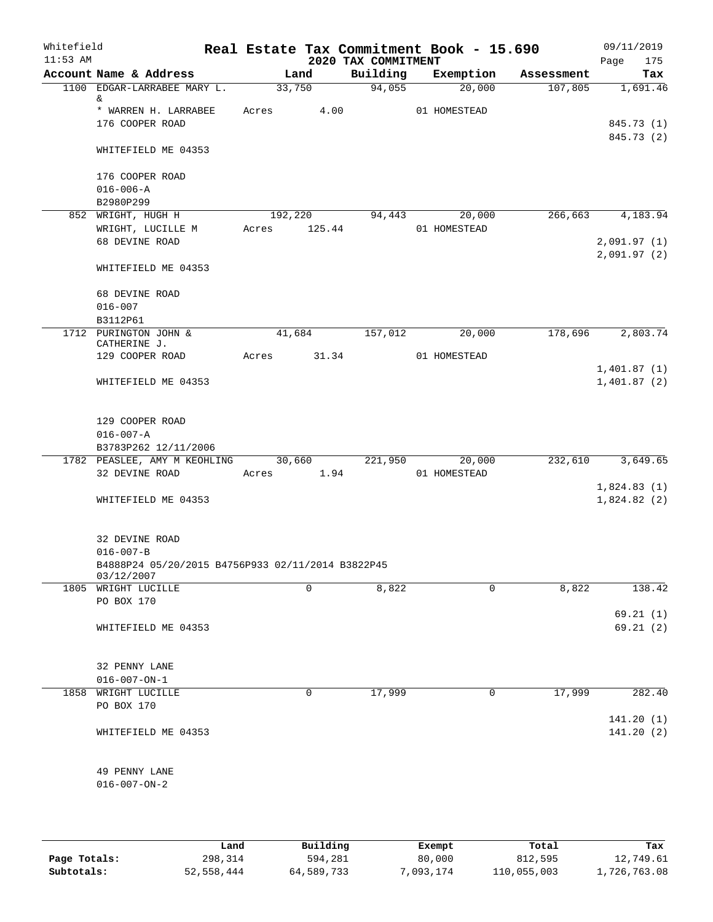| Whitefield<br>$11:53$ AM |                                                                 |            |                   | 2020 TAX COMMITMENT | Real Estate Tax Commitment Book - 15.690 |            | 09/11/2019<br>Page<br>175  |
|--------------------------|-----------------------------------------------------------------|------------|-------------------|---------------------|------------------------------------------|------------|----------------------------|
|                          | Account Name & Address                                          |            | Land              | Building            | Exemption                                | Assessment | Tax                        |
|                          | 1100 EDGAR-LARRABEE MARY L.<br>&                                | 33,750     |                   | 94,055              | 20,000                                   | 107,805    | 1,691.46                   |
|                          | * WARREN H. LARRABEE<br>176 COOPER ROAD                         | Acres      | 4.00              |                     | 01 HOMESTEAD                             |            | 845.73 (1)<br>845.73 (2)   |
|                          | WHITEFIELD ME 04353                                             |            |                   |                     |                                          |            |                            |
|                          | 176 COOPER ROAD<br>$016 - 006 - A$                              |            |                   |                     |                                          |            |                            |
|                          | B2980P299                                                       |            |                   |                     |                                          |            |                            |
|                          | 852 WRIGHT, HUGH H<br>WRIGHT, LUCILLE M<br>68 DEVINE ROAD       | Acres      | 192,220<br>125.44 | 94,443              | 20,000<br>01 HOMESTEAD                   | 266,663    | 4,183.94<br>2,091.97(1)    |
|                          | WHITEFIELD ME 04353                                             |            |                   |                     |                                          |            | 2,091.97(2)                |
|                          | 68 DEVINE ROAD                                                  |            |                   |                     |                                          |            |                            |
|                          | $016 - 007$<br>B3112P61                                         |            |                   |                     |                                          |            |                            |
|                          | 1712 PURINGTON JOHN &<br>CATHERINE J.                           | 41,684     |                   | 157,012             | 20,000                                   | 178,696    | 2,803.74                   |
|                          | 129 COOPER ROAD                                                 | Acres      | 31.34             |                     | 01 HOMESTEAD                             |            | 1,401.87(1)                |
|                          | WHITEFIELD ME 04353                                             |            |                   |                     |                                          |            | 1,401.87(2)                |
|                          | 129 COOPER ROAD<br>$016 - 007 - A$                              |            |                   |                     |                                          |            |                            |
|                          | B3783P262 12/11/2006                                            |            |                   |                     |                                          |            |                            |
|                          | 1782 PEASLEE, AMY M KEOHLING 30,660<br>32 DEVINE ROAD           | Acres 1.94 |                   | 221,950             | 20,000<br>01 HOMESTEAD                   | 232,610    | 3,649.65                   |
|                          | WHITEFIELD ME 04353                                             |            |                   |                     |                                          |            | 1,824.83(1)<br>1,824.82(2) |
|                          |                                                                 |            |                   |                     |                                          |            |                            |
|                          | 32 DEVINE ROAD<br>$016 - 007 - B$                               |            |                   |                     |                                          |            |                            |
|                          | B4888P24 05/20/2015 B4756P933 02/11/2014 B3822P45<br>03/12/2007 |            |                   |                     |                                          |            |                            |
|                          | 1805 WRIGHT LUCILLE                                             |            | $\Omega$          | 8,822               | 0                                        | 8,822      | 138.42                     |
|                          | PO BOX 170                                                      |            |                   |                     |                                          |            | 69.21(1)                   |
|                          | WHITEFIELD ME 04353                                             |            |                   |                     |                                          |            | 69.21(2)                   |
|                          | 32 PENNY LANE                                                   |            |                   |                     |                                          |            |                            |
|                          | $016 - 007 - ON - 1$                                            |            |                   |                     |                                          |            |                            |
|                          | 1858 WRIGHT LUCILLE<br>PO BOX 170                               |            | 0                 | 17,999              | 0                                        | 17,999     | 282.40                     |
|                          | WHITEFIELD ME 04353                                             |            |                   |                     |                                          |            | 141.20 (1)<br>141.20(2)    |
|                          | 49 PENNY LANE<br>$016 - 007 - ON - 2$                           |            |                   |                     |                                          |            |                            |
|                          |                                                                 |            |                   |                     |                                          |            |                            |

|              | Land       | Building   | Exempt    | Total       | Tax          |
|--------------|------------|------------|-----------|-------------|--------------|
| Page Totals: | 298,314    | 594,281    | 80,000    | 812,595     | 12,749.61    |
| Subtotals:   | 52,558,444 | 64,589,733 | 7,093,174 | 110,055,003 | 1,726,763.08 |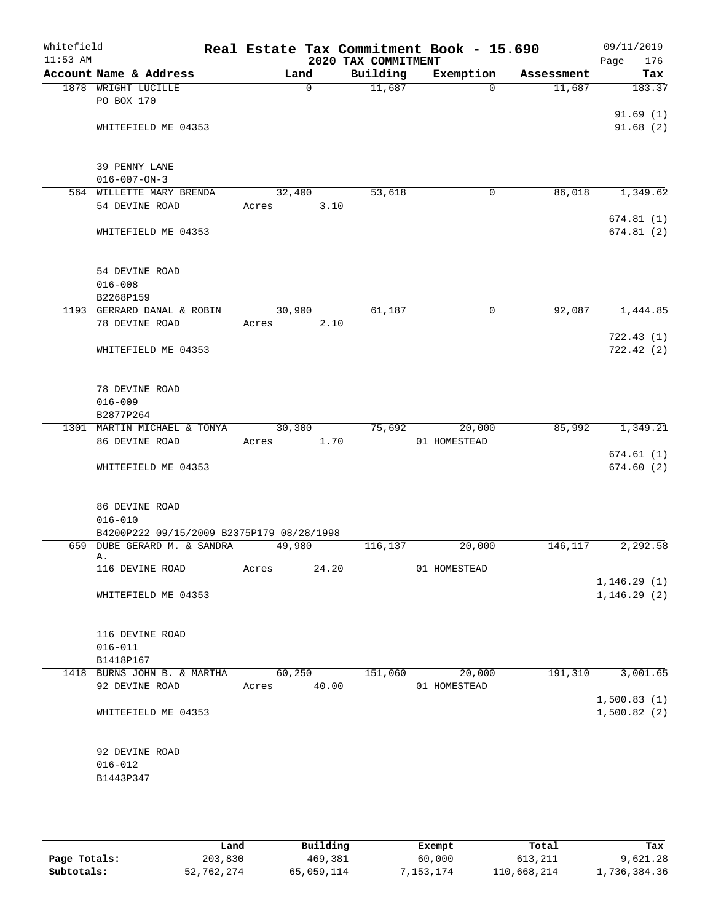| Whitefield<br>$11:53$ AM |                                                                          |       |             | 2020 TAX COMMITMENT | Real Estate Tax Commitment Book - 15.690 |            | 09/11/2019<br>176<br>Page |
|--------------------------|--------------------------------------------------------------------------|-------|-------------|---------------------|------------------------------------------|------------|---------------------------|
|                          | Account Name & Address                                                   |       | Land        | Building            | Exemption                                | Assessment | Tax                       |
|                          | 1878 WRIGHT LUCILLE                                                      |       | $\Omega$    | 11,687              | $\Omega$                                 | 11,687     | 183.37                    |
|                          | PO BOX 170                                                               |       |             |                     |                                          |            |                           |
|                          |                                                                          |       |             |                     |                                          |            | 91.69(1)                  |
|                          | WHITEFIELD ME 04353                                                      |       |             |                     |                                          |            | 91.68(2)                  |
|                          |                                                                          |       |             |                     |                                          |            |                           |
|                          |                                                                          |       |             |                     |                                          |            |                           |
|                          | 39 PENNY LANE                                                            |       |             |                     |                                          |            |                           |
|                          | $016 - 007 - ON - 3$<br>564 WILLETTE MARY BRENDA                         |       | 32,400      | 53,618              | 0                                        | 86,018     | 1,349.62                  |
|                          | 54 DEVINE ROAD                                                           | Acres | 3.10        |                     |                                          |            |                           |
|                          |                                                                          |       |             |                     |                                          |            | 674.81(1)                 |
|                          | WHITEFIELD ME 04353                                                      |       |             |                     |                                          |            | 674.81(2)                 |
|                          |                                                                          |       |             |                     |                                          |            |                           |
|                          |                                                                          |       |             |                     |                                          |            |                           |
|                          | 54 DEVINE ROAD                                                           |       |             |                     |                                          |            |                           |
|                          | $016 - 008$                                                              |       |             |                     |                                          |            |                           |
|                          | B2268P159                                                                |       |             |                     |                                          |            |                           |
|                          | 1193 GERRARD DANAL & ROBIN                                               |       | 30,900      | 61,187              | 0                                        | 92,087     | 1,444.85                  |
|                          | 78 DEVINE ROAD                                                           | Acres | 2.10        |                     |                                          |            |                           |
|                          |                                                                          |       |             |                     |                                          |            | 722.43(1)                 |
|                          | WHITEFIELD ME 04353                                                      |       |             |                     |                                          |            | 722.42(2)                 |
|                          |                                                                          |       |             |                     |                                          |            |                           |
|                          | 78 DEVINE ROAD                                                           |       |             |                     |                                          |            |                           |
|                          | $016 - 009$                                                              |       |             |                     |                                          |            |                           |
|                          | B2877P264                                                                |       |             |                     |                                          |            |                           |
|                          | 1301 MARTIN MICHAEL & TONYA                                              |       | 30,300      | 75,692              | 20,000                                   | 85,992     | 1,349.21                  |
|                          | 86 DEVINE ROAD                                                           | Acres | 1.70        |                     | 01 HOMESTEAD                             |            |                           |
|                          |                                                                          |       |             |                     |                                          |            | 674.61(1)                 |
|                          | WHITEFIELD ME 04353                                                      |       |             |                     |                                          |            | 674.60(2)                 |
|                          |                                                                          |       |             |                     |                                          |            |                           |
|                          |                                                                          |       |             |                     |                                          |            |                           |
|                          | 86 DEVINE ROAD                                                           |       |             |                     |                                          |            |                           |
|                          | $016 - 010$                                                              |       |             |                     |                                          |            |                           |
|                          | B4200P222 09/15/2009 B2375P179 08/28/1998<br>659 DUBE GERARD M. & SANDRA |       | 49,980      |                     |                                          | 146, 117   | 2,292.58                  |
|                          | Α.                                                                       |       |             | 116,137             | 20,000                                   |            |                           |
|                          | 116 DEVINE ROAD                                                          | Acres | 24.20       |                     | 01 HOMESTEAD                             |            |                           |
|                          |                                                                          |       |             |                     |                                          |            | 1, 146.29(1)              |
|                          | WHITEFIELD ME 04353                                                      |       |             |                     |                                          |            | 1, 146.29(2)              |
|                          |                                                                          |       |             |                     |                                          |            |                           |
|                          |                                                                          |       |             |                     |                                          |            |                           |
|                          | 116 DEVINE ROAD                                                          |       |             |                     |                                          |            |                           |
|                          | $016 - 011$                                                              |       |             |                     |                                          |            |                           |
|                          | B1418P167<br>1418 BURNS JOHN B. & MARTHA                                 |       | 60,250      | 151,060             | 20,000                                   | 191, 310   | 3,001.65                  |
|                          | 92 DEVINE ROAD                                                           |       | Acres 40.00 |                     | 01 HOMESTEAD                             |            |                           |
|                          |                                                                          |       |             |                     |                                          |            | 1,500.83(1)               |
|                          | WHITEFIELD ME 04353                                                      |       |             |                     |                                          |            | 1,500.82(2)               |
|                          |                                                                          |       |             |                     |                                          |            |                           |
|                          |                                                                          |       |             |                     |                                          |            |                           |
|                          | 92 DEVINE ROAD                                                           |       |             |                     |                                          |            |                           |
|                          | $016 - 012$                                                              |       |             |                     |                                          |            |                           |
|                          | B1443P347                                                                |       |             |                     |                                          |            |                           |
|                          |                                                                          |       |             |                     |                                          |            |                           |
|                          |                                                                          |       |             |                     |                                          |            |                           |

|              | Land       | Building   | Exempt    | Total       | Tax          |
|--------------|------------|------------|-----------|-------------|--------------|
| Page Totals: | 203,830    | 469,381    | 60,000    | 613,211     | 9,621.28     |
| Subtotals:   | 52,762,274 | 65,059,114 | 7,153,174 | 110,668,214 | 1,736,384.36 |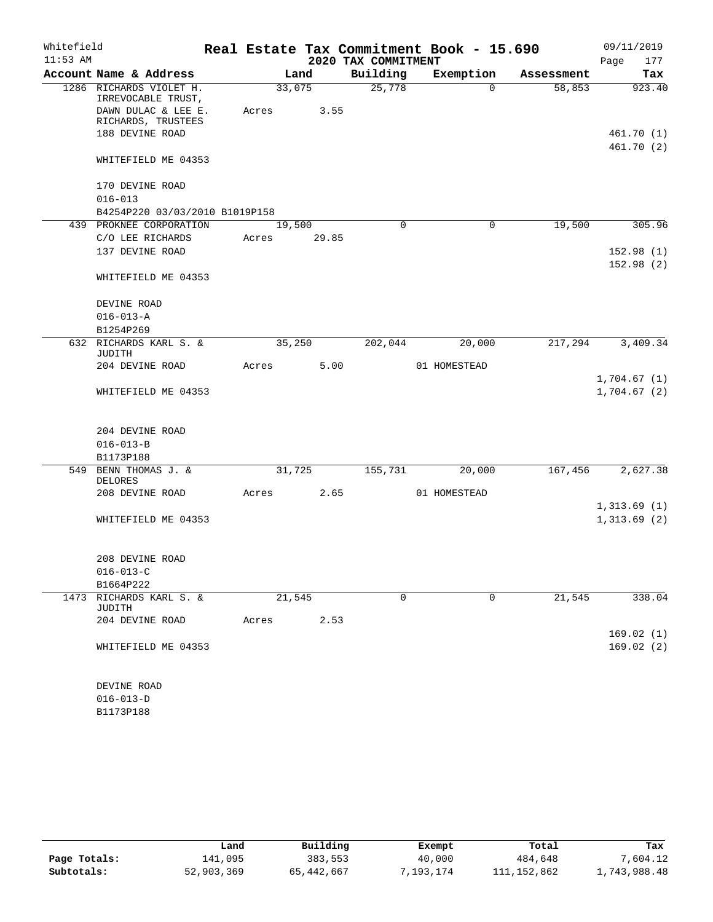| Whitefield |                                               |       |        |                     | Real Estate Tax Commitment Book - 15.690 |            | 09/11/2019                 |
|------------|-----------------------------------------------|-------|--------|---------------------|------------------------------------------|------------|----------------------------|
| $11:53$ AM |                                               |       |        | 2020 TAX COMMITMENT |                                          |            | Page<br>177                |
|            | Account Name & Address                        |       | Land   | Building            | Exemption                                | Assessment | Tax                        |
|            | 1286 RICHARDS VIOLET H.<br>IRREVOCABLE TRUST, |       | 33,075 | 25,778              | $\Omega$                                 | 58,853     | 923.40                     |
|            | DAWN DULAC & LEE E.<br>RICHARDS, TRUSTEES     | Acres | 3.55   |                     |                                          |            |                            |
|            | 188 DEVINE ROAD                               |       |        |                     |                                          |            | 461.70(1)                  |
|            |                                               |       |        |                     |                                          |            | 461.70 (2)                 |
|            | WHITEFIELD ME 04353                           |       |        |                     |                                          |            |                            |
|            | 170 DEVINE ROAD                               |       |        |                     |                                          |            |                            |
|            | $016 - 013$                                   |       |        |                     |                                          |            |                            |
|            | B4254P220 03/03/2010 B1019P158                |       |        |                     |                                          |            |                            |
|            | 439 PROKNEE CORPORATION                       |       | 19,500 | 0                   | 0                                        | 19,500     | 305.96                     |
|            | C/O LEE RICHARDS                              | Acres | 29.85  |                     |                                          |            |                            |
|            | 137 DEVINE ROAD                               |       |        |                     |                                          |            | 152.98(1)<br>152.98(2)     |
|            | WHITEFIELD ME 04353                           |       |        |                     |                                          |            |                            |
|            | DEVINE ROAD                                   |       |        |                     |                                          |            |                            |
|            | $016 - 013 - A$                               |       |        |                     |                                          |            |                            |
|            | B1254P269                                     |       |        |                     |                                          |            |                            |
|            | 632 RICHARDS KARL S. &<br>JUDITH              |       | 35,250 | 202,044             | 20,000                                   | 217,294    | 3,409.34                   |
|            | 204 DEVINE ROAD                               | Acres | 5.00   |                     | 01 HOMESTEAD                             |            |                            |
|            | WHITEFIELD ME 04353                           |       |        |                     |                                          |            | 1,704.67(1)<br>1,704.67(2) |
|            |                                               |       |        |                     |                                          |            |                            |
|            | 204 DEVINE ROAD<br>$016 - 013 - B$            |       |        |                     |                                          |            |                            |
|            | B1173P188                                     |       |        |                     |                                          |            |                            |
|            | 549 BENN THOMAS J. &                          |       | 31,725 | 155,731             | 20,000                                   | 167,456    | 2,627.38                   |
|            | <b>DELORES</b>                                |       |        |                     |                                          |            |                            |
|            | 208 DEVINE ROAD                               | Acres | 2.65   |                     | 01 HOMESTEAD                             |            |                            |
|            | WHITEFIELD ME 04353                           |       |        |                     |                                          |            | 1,313.69(1)<br>1,313.69(2) |
|            | 208 DEVINE ROAD                               |       |        |                     |                                          |            |                            |
|            | $016 - 013 - C$                               |       |        |                     |                                          |            |                            |
|            | B1664P222                                     |       |        |                     |                                          |            |                            |
| 1473       | RICHARDS KARL S. &<br><b>JUDITH</b>           |       | 21,545 | $\mathbf 0$         | $\mathbf 0$                              | 21,545     | 338.04                     |
|            | 204 DEVINE ROAD                               | Acres | 2.53   |                     |                                          |            |                            |
|            |                                               |       |        |                     |                                          |            | 169.02(1)                  |
|            | WHITEFIELD ME 04353                           |       |        |                     |                                          |            | 169.02(2)                  |
|            | DEVINE ROAD                                   |       |        |                     |                                          |            |                            |
|            | $016 - 013 - D$                               |       |        |                     |                                          |            |                            |
|            | B1173P188                                     |       |        |                     |                                          |            |                            |

|              | Land       | Building   | Exempt   | Total       | Tax          |
|--------------|------------|------------|----------|-------------|--------------|
| Page Totals: | 141,095    | 383,553    | 40,000   | 484,648     | 7,604.12     |
| Subtotals:   | 52,903,369 | 65,442,667 | .193.174 | 111,152,862 | .,743,988.48 |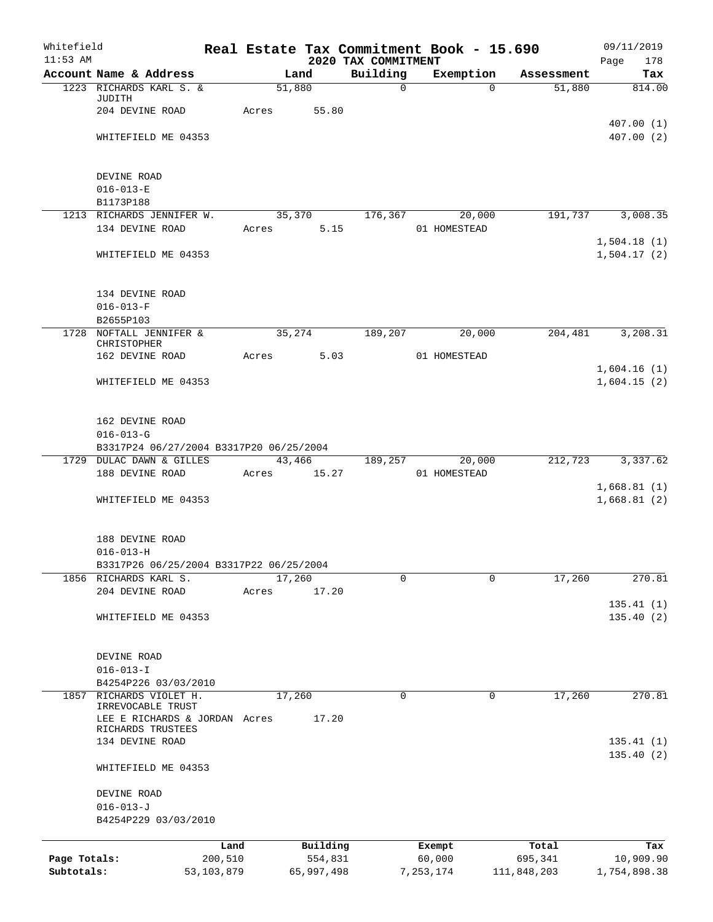| Whitefield<br>$11:53$ AM |                                            |         |             | 2020 TAX COMMITMENT | Real Estate Tax Commitment Book - 15.690 |             | 09/11/2019<br>Page<br>178  |
|--------------------------|--------------------------------------------|---------|-------------|---------------------|------------------------------------------|-------------|----------------------------|
|                          | Account Name & Address                     |         | Land        | Building            | Exemption                                | Assessment  | Tax                        |
|                          | 1223 RICHARDS KARL S. &                    |         | 51,880      | $\mathbf 0$         | $\Omega$                                 | 51,880      | 814.00                     |
|                          | JUDITH<br>204 DEVINE ROAD                  | Acres   | 55.80       |                     |                                          |             |                            |
|                          |                                            |         |             |                     |                                          |             | 407.00(1)                  |
|                          | WHITEFIELD ME 04353                        |         |             |                     |                                          |             | 407.00(2)                  |
|                          |                                            |         |             |                     |                                          |             |                            |
|                          |                                            |         |             |                     |                                          |             |                            |
|                          | DEVINE ROAD                                |         |             |                     |                                          |             |                            |
|                          | $016 - 013 - E$                            |         |             |                     |                                          |             |                            |
|                          | B1173P188<br>1213 RICHARDS JENNIFER W.     |         |             |                     | 35,370 176,367 20,000                    |             | 191,737 3,008.35           |
|                          | 134 DEVINE ROAD                            | Acres   | 5.15        |                     | 01 HOMESTEAD                             |             |                            |
|                          |                                            |         |             |                     |                                          |             | 1,504.18(1)                |
|                          | WHITEFIELD ME 04353                        |         |             |                     |                                          |             | 1,504.17(2)                |
|                          |                                            |         |             |                     |                                          |             |                            |
|                          |                                            |         |             |                     |                                          |             |                            |
|                          | 134 DEVINE ROAD                            |         |             |                     |                                          |             |                            |
|                          | $016 - 013 - F$<br>B2655P103               |         |             |                     |                                          |             |                            |
|                          | 1728 NOFTALL JENNIFER &                    | 35,274  |             | 189,207             | 20,000                                   | 204,481     | 3,208.31                   |
|                          | CHRISTOPHER                                |         |             |                     |                                          |             |                            |
|                          | 162 DEVINE ROAD                            |         | Acres 5.03  |                     | 01 HOMESTEAD                             |             |                            |
|                          |                                            |         |             |                     |                                          |             | 1,604.16(1)                |
|                          | WHITEFIELD ME 04353                        |         |             |                     |                                          |             | 1,604.15(2)                |
|                          |                                            |         |             |                     |                                          |             |                            |
|                          | 162 DEVINE ROAD                            |         |             |                     |                                          |             |                            |
|                          | $016 - 013 - G$                            |         |             |                     |                                          |             |                            |
|                          | B3317P24 06/27/2004 B3317P20 06/25/2004    |         |             |                     |                                          |             |                            |
|                          | 1729 DULAC DAWN & GILLES                   |         |             |                     | 43,466 189,257 20,000                    |             | 212,723 3,337.62           |
|                          | 188 DEVINE ROAD                            |         | Acres 15.27 |                     | 01 HOMESTEAD                             |             |                            |
|                          | WHITEFIELD ME 04353                        |         |             |                     |                                          |             | 1,668.81(1)<br>1,668.81(2) |
|                          |                                            |         |             |                     |                                          |             |                            |
|                          |                                            |         |             |                     |                                          |             |                            |
|                          | 188 DEVINE ROAD                            |         |             |                     |                                          |             |                            |
|                          | $016 - 013 - H$                            |         |             |                     |                                          |             |                            |
|                          | B3317P26 06/25/2004 B3317P22 06/25/2004    |         |             |                     |                                          |             |                            |
|                          | 1856 RICHARDS KARL S.<br>204 DEVINE ROAD   |         | 17,260      | 0                   | 0                                        | 17,260      | 270.81                     |
|                          |                                            | Acres   | 17.20       |                     |                                          |             | 135.41(1)                  |
|                          | WHITEFIELD ME 04353                        |         |             |                     |                                          |             | 135.40(2)                  |
|                          |                                            |         |             |                     |                                          |             |                            |
|                          |                                            |         |             |                     |                                          |             |                            |
|                          | DEVINE ROAD                                |         |             |                     |                                          |             |                            |
|                          | $016 - 013 - I$                            |         |             |                     |                                          |             |                            |
| 1857                     | B4254P226 03/03/2010<br>RICHARDS VIOLET H. |         | 17,260      | 0                   | $\mathbf 0$                              | 17,260      | 270.81                     |
|                          | IRREVOCABLE TRUST                          |         |             |                     |                                          |             |                            |
|                          | LEE E RICHARDS & JORDAN Acres              |         | 17.20       |                     |                                          |             |                            |
|                          | RICHARDS TRUSTEES<br>134 DEVINE ROAD       |         |             |                     |                                          |             | 135.41(1)                  |
|                          |                                            |         |             |                     |                                          |             | 135.40(2)                  |
|                          | WHITEFIELD ME 04353                        |         |             |                     |                                          |             |                            |
|                          |                                            |         |             |                     |                                          |             |                            |
|                          | DEVINE ROAD                                |         |             |                     |                                          |             |                            |
|                          | $016 - 013 - J$                            |         |             |                     |                                          |             |                            |
|                          | B4254P229 03/03/2010                       |         |             |                     |                                          |             |                            |
|                          |                                            | Land    | Building    |                     | Exempt                                   | Total       | Tax                        |
| Page Totals:             |                                            | 200,510 | 554,831     |                     | 60,000                                   | 695,341     | 10,909.90                  |
| Subtotals:               | 53, 103, 879                               |         | 65,997,498  |                     | 7,253,174                                | 111,848,203 | 1,754,898.38               |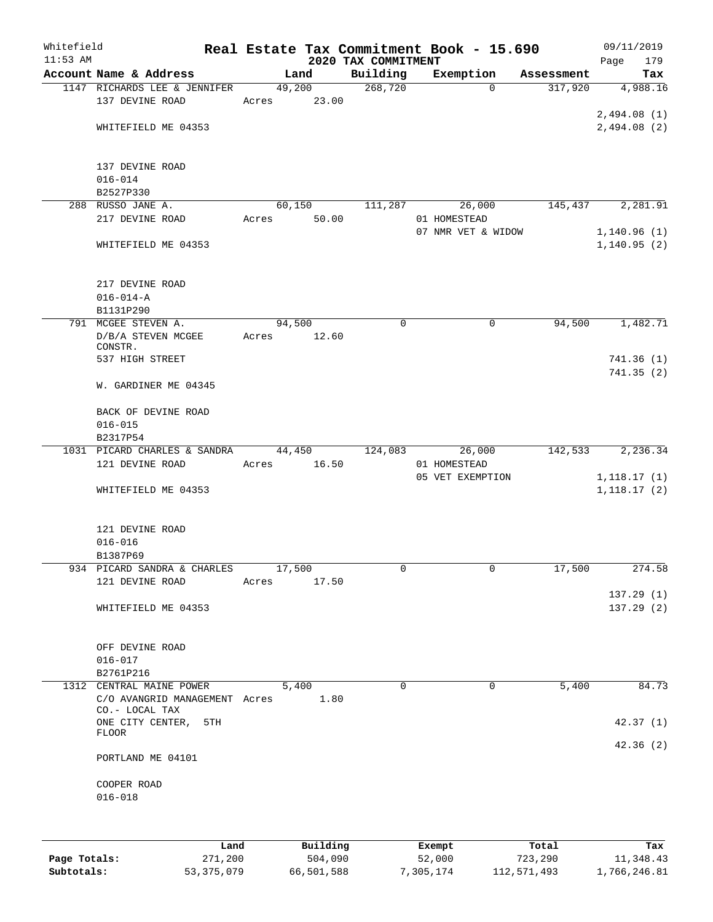| Whitefield |                                                                             |       |               |                                 | Real Estate Tax Commitment Book - 15.690 |            | 09/11/2019         |
|------------|-----------------------------------------------------------------------------|-------|---------------|---------------------------------|------------------------------------------|------------|--------------------|
| $11:53$ AM | Account Name & Address                                                      |       | Land          | 2020 TAX COMMITMENT<br>Building | Exemption                                | Assessment | 179<br>Page<br>Tax |
|            | 1147 RICHARDS LEE & JENNIFER                                                |       | 49,200        | 268,720                         | $\Omega$                                 | 317,920    | 4,988.16           |
|            | 137 DEVINE ROAD                                                             | Acres | 23.00         |                                 |                                          |            |                    |
|            |                                                                             |       |               |                                 |                                          |            | 2,494.08(1)        |
|            | WHITEFIELD ME 04353                                                         |       |               |                                 |                                          |            | 2,494.08(2)        |
|            | 137 DEVINE ROAD                                                             |       |               |                                 |                                          |            |                    |
|            | $016 - 014$                                                                 |       |               |                                 |                                          |            |                    |
|            | B2527P330                                                                   |       |               |                                 |                                          |            |                    |
|            | 288 RUSSO JANE A.                                                           |       | 60,150        | 111,287                         | 26,000                                   | 145,437    | 2,281.91           |
|            | 217 DEVINE ROAD                                                             | Acres | 50.00         |                                 | 01 HOMESTEAD                             |            |                    |
|            |                                                                             |       |               |                                 | 07 NMR VET & WIDOW                       |            | 1,140.96(1)        |
|            | WHITEFIELD ME 04353                                                         |       |               |                                 |                                          |            | 1, 140.95(2)       |
|            | 217 DEVINE ROAD                                                             |       |               |                                 |                                          |            |                    |
|            | $016 - 014 - A$                                                             |       |               |                                 |                                          |            |                    |
|            | B1131P290                                                                   |       |               |                                 |                                          |            |                    |
|            | 791 MCGEE STEVEN A.                                                         |       | 94,500        | 0                               | 0                                        | 94,500     | 1,482.71           |
|            | D/B/A STEVEN MCGEE<br>CONSTR.                                               |       | Acres 12.60   |                                 |                                          |            |                    |
|            | 537 HIGH STREET                                                             |       |               |                                 |                                          |            | 741.36(1)          |
|            |                                                                             |       |               |                                 |                                          |            | 741.35(2)          |
|            | W. GARDINER ME 04345                                                        |       |               |                                 |                                          |            |                    |
|            | BACK OF DEVINE ROAD                                                         |       |               |                                 |                                          |            |                    |
|            | $016 - 015$                                                                 |       |               |                                 |                                          |            |                    |
|            | B2317P54<br>1031 PICARD CHARLES & SANDRA                                    |       | 44,450        | 124,083                         | 26,000                                   | 142,533    | 2,236.34           |
|            | 121 DEVINE ROAD                                                             |       | Acres 16.50   |                                 | 01 HOMESTEAD                             |            |                    |
|            |                                                                             |       |               |                                 | 05 VET EXEMPTION                         |            | 1,118.17(1)        |
|            | WHITEFIELD ME 04353                                                         |       |               |                                 |                                          |            | 1,118.17(2)        |
|            | 121 DEVINE ROAD                                                             |       |               |                                 |                                          |            |                    |
|            | $016 - 016$                                                                 |       |               |                                 |                                          |            |                    |
|            | B1387P69                                                                    |       |               |                                 |                                          |            |                    |
|            | 934 PICARD SANDRA & CHARLES                                                 |       | 17,500        | 0                               | 0                                        | 17,500     | 274.58             |
|            | 121 DEVINE ROAD                                                             | Acres | 17.50         |                                 |                                          |            |                    |
|            |                                                                             |       |               |                                 |                                          |            | 137.29(1)          |
|            | WHITEFIELD ME 04353                                                         |       |               |                                 |                                          |            | 137.29(2)          |
|            | OFF DEVINE ROAD                                                             |       |               |                                 |                                          |            |                    |
|            | $016 - 017$                                                                 |       |               |                                 |                                          |            |                    |
|            | B2761P216                                                                   |       |               |                                 |                                          |            |                    |
|            | 1312 CENTRAL MAINE POWER<br>C/O AVANGRID MANAGEMENT Acres<br>CO.- LOCAL TAX |       | 5,400<br>1.80 | $\Omega$                        | $\Omega$                                 | 5,400      | 84.73              |
|            | ONE CITY CENTER, 5TH                                                        |       |               |                                 |                                          |            | 42.37(1)           |
|            | FLOOR                                                                       |       |               |                                 |                                          |            | 42.36(2)           |
|            | PORTLAND ME 04101                                                           |       |               |                                 |                                          |            |                    |
|            | COOPER ROAD<br>$016 - 018$                                                  |       |               |                                 |                                          |            |                    |
|            |                                                                             |       |               |                                 |                                          |            |                    |
|            |                                                                             |       | Land Building | <b>Exempt</b>                   |                                          | Total      | Tax                |

|              | Land         | Building   | Exempt    | Total       | Tax          |
|--------------|--------------|------------|-----------|-------------|--------------|
| Page Totals: | 271,200      | 504,090    | 52,000    | 723,290     | 11,348.43    |
| Subtotals:   | 53, 375, 079 | 66,501,588 | 7,305,174 | 112,571,493 | 1,766,246.81 |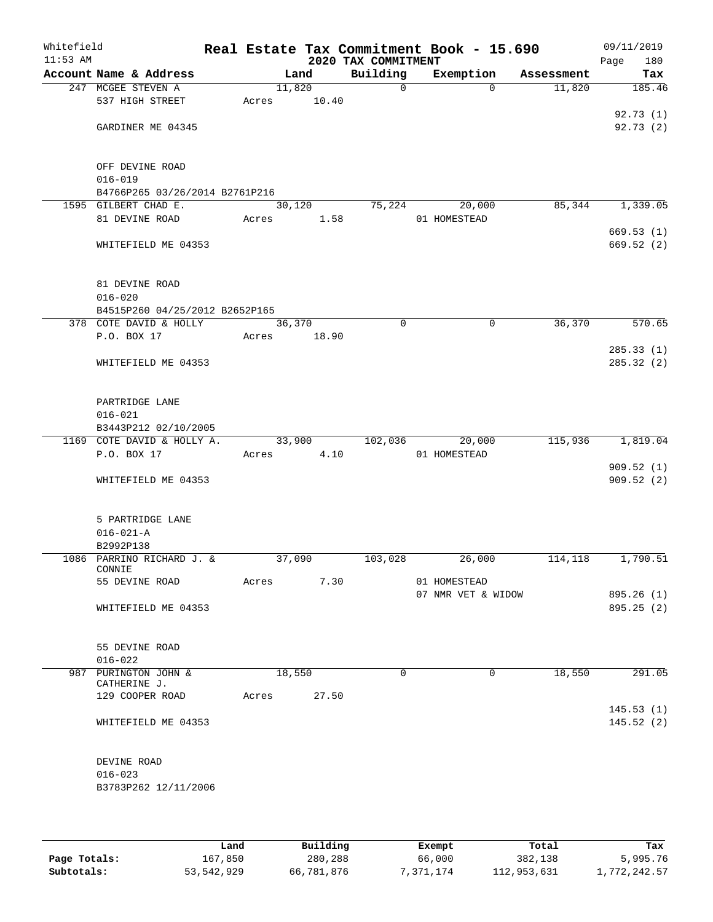| Whitefield<br>$11:53$ AM |                                |       |        | 2020 TAX COMMITMENT | Real Estate Tax Commitment Book - 15.690 |            | 09/11/2019<br>Page<br>180 |
|--------------------------|--------------------------------|-------|--------|---------------------|------------------------------------------|------------|---------------------------|
|                          | Account Name & Address         |       | Land   | Building            | Exemption                                | Assessment | Tax                       |
|                          | 247 MCGEE STEVEN A             |       | 11,820 | $\mathsf{O}$        | $\Omega$                                 | 11,820     | 185.46                    |
|                          | 537 HIGH STREET                | Acres | 10.40  |                     |                                          |            |                           |
|                          |                                |       |        |                     |                                          |            | 92.73(1)                  |
|                          | GARDINER ME 04345              |       |        |                     |                                          |            | 92.73(2)                  |
|                          |                                |       |        |                     |                                          |            |                           |
|                          |                                |       |        |                     |                                          |            |                           |
|                          | OFF DEVINE ROAD                |       |        |                     |                                          |            |                           |
|                          | $016 - 019$                    |       |        |                     |                                          |            |                           |
|                          | B4766P265 03/26/2014 B2761P216 |       |        |                     |                                          |            |                           |
|                          | 1595 GILBERT CHAD E.           |       | 30,120 | 75,224              | 20,000                                   | 85,344     | 1,339.05                  |
|                          | 81 DEVINE ROAD                 | Acres | 1.58   |                     | 01 HOMESTEAD                             |            |                           |
|                          |                                |       |        |                     |                                          |            | 669.53(1)                 |
|                          | WHITEFIELD ME 04353            |       |        |                     |                                          |            | 669.52 (2)                |
|                          |                                |       |        |                     |                                          |            |                           |
|                          |                                |       |        |                     |                                          |            |                           |
|                          | 81 DEVINE ROAD                 |       |        |                     |                                          |            |                           |
|                          | $016 - 020$                    |       |        |                     |                                          |            |                           |
|                          | B4515P260 04/25/2012 B2652P165 |       |        |                     |                                          |            |                           |
|                          | 378 COTE DAVID & HOLLY         |       | 36,370 | $\mathbf 0$         | 0                                        | 36,370     | 570.65                    |
|                          | P.O. BOX 17                    | Acres | 18.90  |                     |                                          |            |                           |
|                          |                                |       |        |                     |                                          |            | 285.33(1)                 |
|                          | WHITEFIELD ME 04353            |       |        |                     |                                          |            | 285.32 (2)                |
|                          |                                |       |        |                     |                                          |            |                           |
|                          |                                |       |        |                     |                                          |            |                           |
|                          | PARTRIDGE LANE                 |       |        |                     |                                          |            |                           |
|                          | $016 - 021$                    |       |        |                     |                                          |            |                           |
|                          | B3443P212 02/10/2005           |       |        |                     |                                          |            |                           |
|                          | 1169 COTE DAVID & HOLLY A.     |       | 33,900 | 102,036             | 20,000                                   | 115,936    | 1,819.04                  |
|                          | P.O. BOX 17                    | Acres | 4.10   |                     | 01 HOMESTEAD                             |            |                           |
|                          |                                |       |        |                     |                                          |            | 909.52(1)                 |
|                          | WHITEFIELD ME 04353            |       |        |                     |                                          |            | 909.52(2)                 |
|                          |                                |       |        |                     |                                          |            |                           |
|                          |                                |       |        |                     |                                          |            |                           |
|                          | 5 PARTRIDGE LANE               |       |        |                     |                                          |            |                           |
|                          | $016 - 021 - A$                |       |        |                     |                                          |            |                           |
|                          | B2992P138                      |       |        |                     |                                          |            |                           |
|                          | 1086 PARRINO RICHARD J. &      |       | 37,090 | 103,028             | 26,000                                   | 114,118    | 1,790.51                  |
|                          | CONNIE                         |       |        |                     |                                          |            |                           |
|                          | 55 DEVINE ROAD                 | Acres | 7.30   |                     | 01 HOMESTEAD                             |            |                           |
|                          |                                |       |        |                     | 07 NMR VET & WIDOW                       |            | 895.26(1)                 |
|                          | WHITEFIELD ME 04353            |       |        |                     |                                          |            | 895.25(2)                 |
|                          |                                |       |        |                     |                                          |            |                           |
|                          |                                |       |        |                     |                                          |            |                           |
|                          | 55 DEVINE ROAD                 |       |        |                     |                                          |            |                           |
|                          | $016 - 022$                    |       |        |                     |                                          |            |                           |
|                          | 987 PURINGTON JOHN &           |       | 18,550 | $\Omega$            | 0                                        | 18,550     | 291.05                    |
|                          | CATHERINE J.                   |       |        |                     |                                          |            |                           |
|                          | 129 COOPER ROAD                | Acres | 27.50  |                     |                                          |            |                           |
|                          |                                |       |        |                     |                                          |            | 145.53(1)                 |
|                          | WHITEFIELD ME 04353            |       |        |                     |                                          |            | 145.52(2)                 |
|                          |                                |       |        |                     |                                          |            |                           |
|                          |                                |       |        |                     |                                          |            |                           |
|                          | DEVINE ROAD                    |       |        |                     |                                          |            |                           |
|                          | $016 - 023$                    |       |        |                     |                                          |            |                           |
|                          | B3783P262 12/11/2006           |       |        |                     |                                          |            |                           |
|                          |                                |       |        |                     |                                          |            |                           |
|                          |                                |       |        |                     |                                          |            |                           |
|                          |                                |       |        |                     |                                          |            |                           |

|              | Land       | Building   | Exempt    | Total       | Tax          |
|--------------|------------|------------|-----------|-------------|--------------|
| Page Totals: | 167.850    | 280,288    | 66,000    | 382,138     | 5,995.76     |
| Subtotals:   | 53,542,929 | 66,781,876 | 7,371,174 | 112,953,631 | 1,772,242.57 |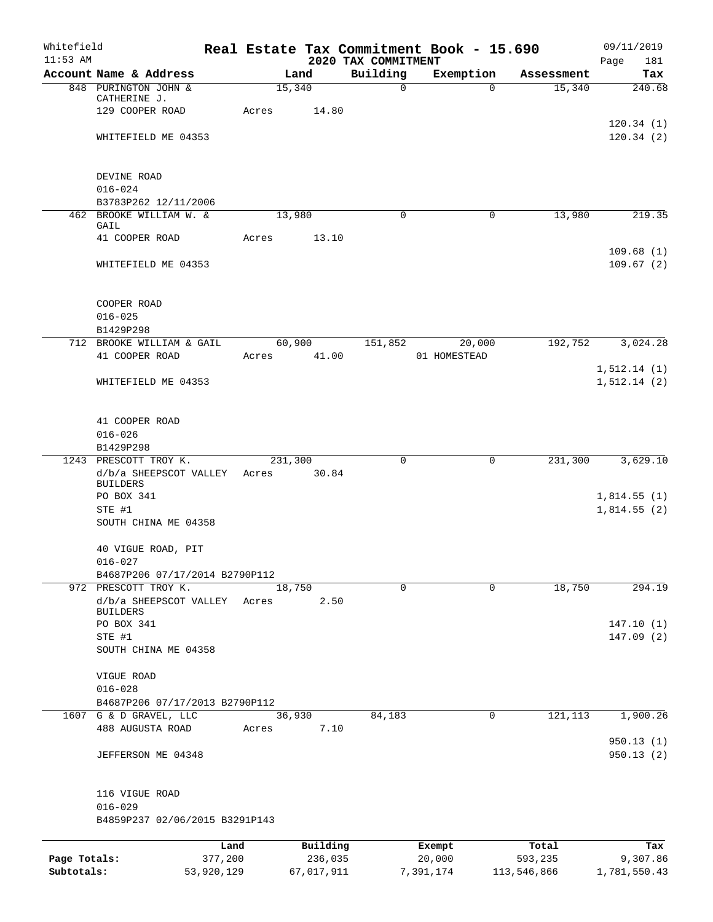| Whitefield<br>$11:53$ AM |                                               |             |            | 2020 TAX COMMITMENT | Real Estate Tax Commitment Book - 15.690 |             | 09/11/2019                    |
|--------------------------|-----------------------------------------------|-------------|------------|---------------------|------------------------------------------|-------------|-------------------------------|
|                          | Account Name & Address                        |             | Land       | Building            | Exemption                                | Assessment  | Page<br>181<br>Tax            |
|                          | 848 PURINGTON JOHN &                          | 15,340      |            | $\mathsf{O}$        | $\Omega$                                 | 15,340      | 240.68                        |
|                          | CATHERINE J.                                  |             |            |                     |                                          |             |                               |
|                          | 129 COOPER ROAD                               | Acres       | 14.80      |                     |                                          |             | 120.34(1)                     |
|                          | WHITEFIELD ME 04353                           |             |            |                     |                                          |             | 120.34(2)                     |
|                          |                                               |             |            |                     |                                          |             |                               |
|                          |                                               |             |            |                     |                                          |             |                               |
|                          | DEVINE ROAD<br>$016 - 024$                    |             |            |                     |                                          |             |                               |
|                          | B3783P262 12/11/2006                          |             |            |                     |                                          |             |                               |
|                          | 462 BROOKE WILLIAM W. &                       | 13,980      |            | 0                   | $\mathbf 0$                              | 13,980      | 219.35                        |
|                          | GAIL<br>41 COOPER ROAD                        | Acres       | 13.10      |                     |                                          |             |                               |
|                          |                                               |             |            |                     |                                          |             | 109.68(1)                     |
|                          | WHITEFIELD ME 04353                           |             |            |                     |                                          |             | 109.67(2)                     |
|                          |                                               |             |            |                     |                                          |             |                               |
|                          | COOPER ROAD                                   |             |            |                     |                                          |             |                               |
|                          | $016 - 025$                                   |             |            |                     |                                          |             |                               |
|                          | B1429P298                                     |             |            |                     |                                          |             |                               |
|                          | 712 BROOKE WILLIAM & GAIL                     |             | 60,900     | 151,852             | 20,000                                   | 192,752     | 3,024.28                      |
|                          | 41 COOPER ROAD                                | Acres 41.00 |            |                     | 01 HOMESTEAD                             |             |                               |
|                          | WHITEFIELD ME 04353                           |             |            |                     |                                          |             | 1, 512.14(1)<br>1, 512.14 (2) |
|                          |                                               |             |            |                     |                                          |             |                               |
|                          |                                               |             |            |                     |                                          |             |                               |
|                          | 41 COOPER ROAD                                |             |            |                     |                                          |             |                               |
|                          | $016 - 026$<br>B1429P298                      |             |            |                     |                                          |             |                               |
|                          | 1243 PRESCOTT TROY K.                         | 231,300     |            | 0                   | 0                                        | 231,300     | 3,629.10                      |
|                          | d/b/a SHEEPSCOT VALLEY                        | Acres       | 30.84      |                     |                                          |             |                               |
|                          | <b>BUILDERS</b>                               |             |            |                     |                                          |             |                               |
|                          | PO BOX 341<br>STE #1                          |             |            |                     |                                          |             | 1,814.55(1)<br>1,814.55(2)    |
|                          | SOUTH CHINA ME 04358                          |             |            |                     |                                          |             |                               |
|                          |                                               |             |            |                     |                                          |             |                               |
|                          | 40 VIGUE ROAD, PIT<br>$016 - 027$             |             |            |                     |                                          |             |                               |
|                          | B4687P206 07/17/2014 B2790P112                |             |            |                     |                                          |             |                               |
|                          | 972 PRESCOTT TROY K.                          | 18,750      |            | $\mathbf 0$         | $\mathbf 0$                              | 18,750      | 294.19                        |
|                          | d/b/a SHEEPSCOT VALLEY                        | Acres       | 2.50       |                     |                                          |             |                               |
|                          | <b>BUILDERS</b><br>PO BOX 341                 |             |            |                     |                                          |             | 147.10(1)                     |
|                          | STE #1                                        |             |            |                     |                                          |             | 147.09(2)                     |
|                          | SOUTH CHINA ME 04358                          |             |            |                     |                                          |             |                               |
|                          |                                               |             |            |                     |                                          |             |                               |
|                          | VIGUE ROAD<br>$016 - 028$                     |             |            |                     |                                          |             |                               |
|                          | B4687P206 07/17/2013 B2790P112                |             |            |                     |                                          |             |                               |
|                          | 1607 G & D GRAVEL, LLC                        | 36,930      |            | 84,183              | $\mathbf 0$                              | 121, 113    | 1,900.26                      |
|                          | 488 AUGUSTA ROAD                              | Acres       | 7.10       |                     |                                          |             |                               |
|                          | JEFFERSON ME 04348                            |             |            |                     |                                          |             | 950.13 (1)<br>950.13(2)       |
|                          |                                               |             |            |                     |                                          |             |                               |
|                          |                                               |             |            |                     |                                          |             |                               |
|                          | 116 VIGUE ROAD                                |             |            |                     |                                          |             |                               |
|                          | $016 - 029$<br>B4859P237 02/06/2015 B3291P143 |             |            |                     |                                          |             |                               |
|                          |                                               |             |            |                     |                                          |             |                               |
|                          |                                               | Land        | Building   |                     | Exempt                                   | Total       | Tax                           |
| Page Totals:             | 377,200                                       |             | 236,035    |                     | 20,000                                   | 593,235     | 9,307.86                      |
| Subtotals:               | 53,920,129                                    |             | 67,017,911 |                     | 7,391,174                                | 113,546,866 | 1,781,550.43                  |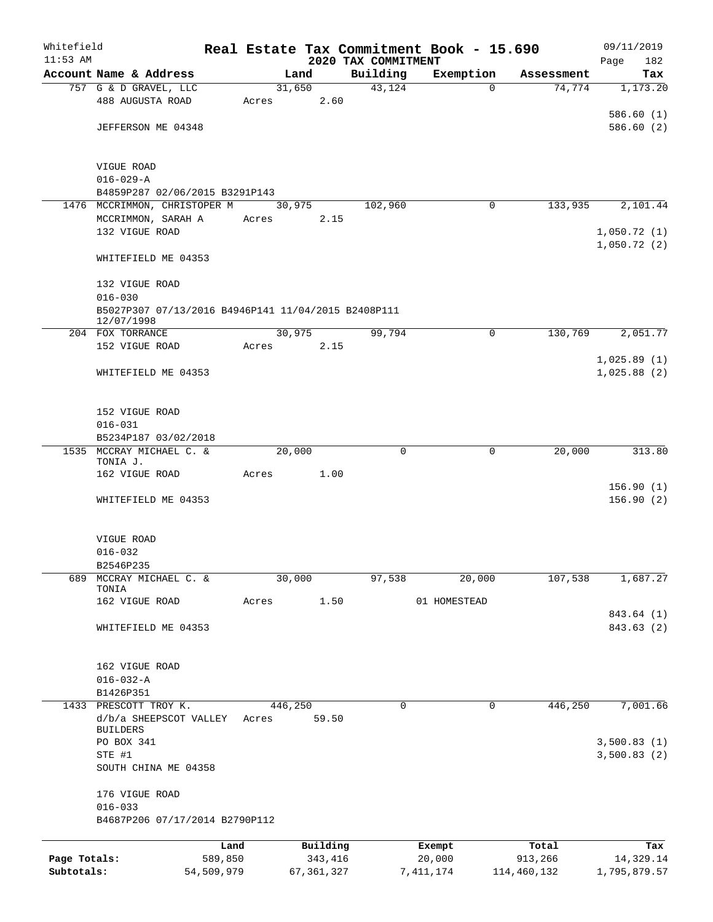| Whitefield                 |                                                                   |                       |       |         |                         |                                 | Real Estate Tax Commitment Book - 15.690 |                        | 09/11/2019                |
|----------------------------|-------------------------------------------------------------------|-----------------------|-------|---------|-------------------------|---------------------------------|------------------------------------------|------------------------|---------------------------|
| $11:53$ AM                 | Account Name & Address                                            |                       |       | Land    |                         | 2020 TAX COMMITMENT<br>Building | Exemption                                | Assessment             | 182<br>Page<br>Tax        |
|                            | 757 G & D GRAVEL, LLC                                             |                       |       | 31,650  |                         | 43,124                          | $\mathbf 0$                              | 74,774                 | 1,173.20                  |
|                            | 488 AUGUSTA ROAD                                                  |                       | Acres |         | 2.60                    |                                 |                                          |                        |                           |
|                            |                                                                   |                       |       |         |                         |                                 |                                          |                        | 586.60(1)                 |
|                            | JEFFERSON ME 04348                                                |                       |       |         |                         |                                 |                                          |                        | 586.60(2)                 |
|                            |                                                                   |                       |       |         |                         |                                 |                                          |                        |                           |
|                            | VIGUE ROAD<br>$016 - 029 - A$                                     |                       |       |         |                         |                                 |                                          |                        |                           |
|                            | B4859P287 02/06/2015 B3291P143                                    |                       |       |         |                         |                                 |                                          |                        |                           |
|                            | 1476 MCCRIMMON, CHRISTOPER M                                      |                       |       | 30,975  |                         | 102,960                         | 0                                        | 133,935                | 2,101.44                  |
|                            | MCCRIMMON, SARAH A                                                |                       | Acres |         | 2.15                    |                                 |                                          |                        |                           |
|                            | 132 VIGUE ROAD                                                    |                       |       |         |                         |                                 |                                          |                        | 1,050.72(1)               |
|                            | WHITEFIELD ME 04353                                               |                       |       |         |                         |                                 |                                          |                        | 1,050.72(2)               |
|                            | 132 VIGUE ROAD                                                    |                       |       |         |                         |                                 |                                          |                        |                           |
|                            | $016 - 030$                                                       |                       |       |         |                         |                                 |                                          |                        |                           |
|                            | B5027P307 07/13/2016 B4946P141 11/04/2015 B2408P111<br>12/07/1998 |                       |       |         |                         |                                 |                                          |                        |                           |
|                            | 204 FOX TORRANCE                                                  |                       |       | 30,975  |                         | 99,794                          | 0                                        | 130,769                | 2,051.77                  |
|                            | 152 VIGUE ROAD                                                    |                       | Acres |         | 2.15                    |                                 |                                          |                        |                           |
|                            |                                                                   |                       |       |         |                         |                                 |                                          |                        | 1,025.89(1)               |
|                            | WHITEFIELD ME 04353                                               |                       |       |         |                         |                                 |                                          |                        | 1,025.88(2)               |
|                            |                                                                   |                       |       |         |                         |                                 |                                          |                        |                           |
|                            | 152 VIGUE ROAD                                                    |                       |       |         |                         |                                 |                                          |                        |                           |
|                            | $016 - 031$                                                       |                       |       |         |                         |                                 |                                          |                        |                           |
|                            | B5234P187 03/02/2018                                              |                       |       |         |                         |                                 |                                          |                        |                           |
| 1535                       | MCCRAY MICHAEL C. &                                               |                       |       | 20,000  |                         | $\mathbf 0$                     | 0                                        | 20,000                 | 313.80                    |
|                            | TONIA J.<br>162 VIGUE ROAD                                        |                       | Acres |         | 1.00                    |                                 |                                          |                        |                           |
|                            |                                                                   |                       |       |         |                         |                                 |                                          |                        | 156.90(1)                 |
|                            | WHITEFIELD ME 04353                                               |                       |       |         |                         |                                 |                                          |                        | 156.90(2)                 |
|                            |                                                                   |                       |       |         |                         |                                 |                                          |                        |                           |
|                            | VIGUE ROAD<br>$016 - 032$                                         |                       |       |         |                         |                                 |                                          |                        |                           |
|                            | B2546P235                                                         |                       |       |         |                         |                                 |                                          |                        |                           |
| 689                        | MCCRAY MICHAEL C. &                                               |                       |       | 30,000  |                         | 97,538                          | 20,000                                   | 107,538                | 1,687.27                  |
|                            | TONIA<br>162 VIGUE ROAD                                           |                       | Acres |         | 1.50                    |                                 | 01 HOMESTEAD                             |                        |                           |
|                            |                                                                   |                       |       |         |                         |                                 |                                          |                        | 843.64 (1)                |
|                            | WHITEFIELD ME 04353                                               |                       |       |         |                         |                                 |                                          |                        | 843.63 (2)                |
|                            |                                                                   |                       |       |         |                         |                                 |                                          |                        |                           |
|                            | 162 VIGUE ROAD<br>$016 - 032 - A$                                 |                       |       |         |                         |                                 |                                          |                        |                           |
|                            | B1426P351                                                         |                       |       |         |                         |                                 |                                          |                        |                           |
|                            | 1433 PRESCOTT TROY K.                                             |                       |       | 446,250 |                         | 0                               | 0                                        | 446,250                | 7,001.66                  |
|                            | d/b/a SHEEPSCOT VALLEY<br><b>BUILDERS</b>                         |                       | Acres |         | 59.50                   |                                 |                                          |                        |                           |
|                            | PO BOX 341                                                        |                       |       |         |                         |                                 |                                          |                        | 3,500.83(1)               |
|                            | STE #1                                                            |                       |       |         |                         |                                 |                                          |                        | 3,500.83(2)               |
|                            | SOUTH CHINA ME 04358                                              |                       |       |         |                         |                                 |                                          |                        |                           |
|                            | 176 VIGUE ROAD                                                    |                       |       |         |                         |                                 |                                          |                        |                           |
|                            | $016 - 033$                                                       |                       |       |         |                         |                                 |                                          |                        |                           |
|                            | B4687P206 07/17/2014 B2790P112                                    |                       |       |         |                         |                                 |                                          |                        |                           |
|                            |                                                                   | Land                  |       |         | Building                |                                 | Exempt                                   | Total                  | Tax                       |
| Page Totals:<br>Subtotals: |                                                                   | 589,850<br>54,509,979 |       |         | 343,416<br>67, 361, 327 |                                 | 20,000<br>7, 411, 174                    | 913,266<br>114,460,132 | 14,329.14<br>1,795,879.57 |
|                            |                                                                   |                       |       |         |                         |                                 |                                          |                        |                           |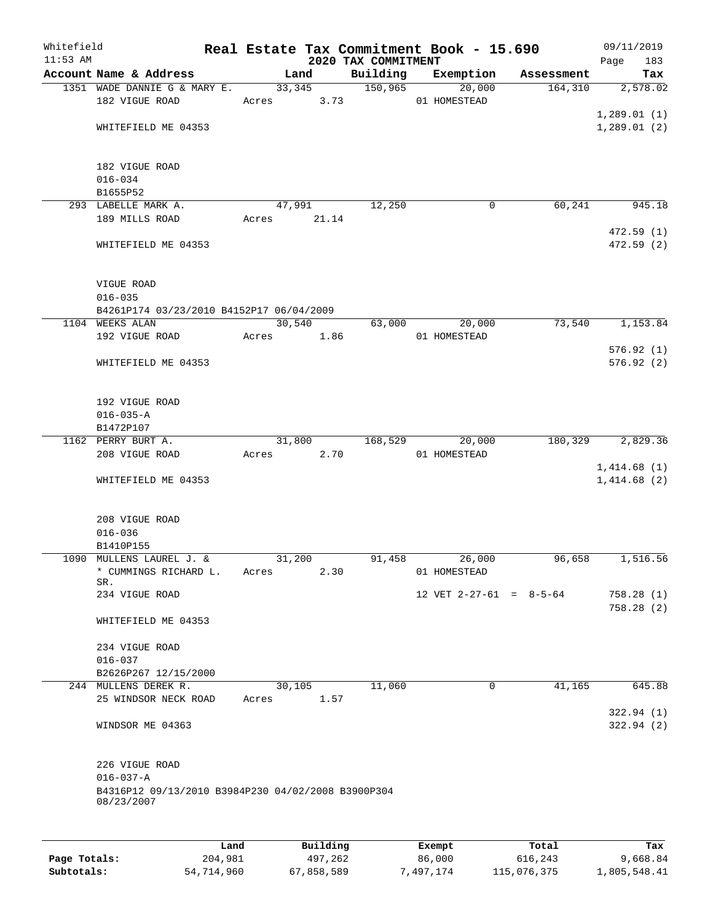| Whitefield |                                                                  |       |                |                                 | Real Estate Tax Commitment Book - 15.690 |            | 09/11/2019         |
|------------|------------------------------------------------------------------|-------|----------------|---------------------------------|------------------------------------------|------------|--------------------|
| $11:53$ AM | Account Name & Address                                           |       | Land           | 2020 TAX COMMITMENT<br>Building | Exemption                                | Assessment | Page<br>183<br>Tax |
|            | 1351 WADE DANNIE G & MARY E.                                     |       | 33, 345        | 150,965                         | 20,000                                   | 164,310    | 2,578.02           |
|            | 182 VIGUE ROAD                                                   | Acres | 3.73           |                                 | 01 HOMESTEAD                             |            |                    |
|            |                                                                  |       |                |                                 |                                          |            | 1,289.01(1)        |
|            | WHITEFIELD ME 04353                                              |       |                |                                 |                                          |            | 1,289.01(2)        |
|            |                                                                  |       |                |                                 |                                          |            |                    |
|            | 182 VIGUE ROAD                                                   |       |                |                                 |                                          |            |                    |
|            | $016 - 034$                                                      |       |                |                                 |                                          |            |                    |
|            | B1655P52                                                         |       |                |                                 |                                          |            |                    |
|            | 293 LABELLE MARK A.                                              |       | 47,991         | 12,250                          | 0                                        | 60,241     | 945.18             |
|            | 189 MILLS ROAD                                                   | Acres | 21.14          |                                 |                                          |            |                    |
|            |                                                                  |       |                |                                 |                                          |            | 472.59(1)          |
|            | WHITEFIELD ME 04353                                              |       |                |                                 |                                          |            | 472.59(2)          |
|            | VIGUE ROAD                                                       |       |                |                                 |                                          |            |                    |
|            | $016 - 035$                                                      |       |                |                                 |                                          |            |                    |
|            | B4261P174 03/23/2010 B4152P17 06/04/2009                         |       |                |                                 |                                          |            |                    |
|            | 1104 WEEKS ALAN                                                  |       | 30,540         | 63,000                          | 20,000                                   | 73,540     | 1,153.84           |
|            | 192 VIGUE ROAD                                                   | Acres | 1.86           |                                 | 01 HOMESTEAD                             |            |                    |
|            |                                                                  |       |                |                                 |                                          |            | 576.92(1)          |
|            | WHITEFIELD ME 04353                                              |       |                |                                 |                                          |            | 576.92(2)          |
|            |                                                                  |       |                |                                 |                                          |            |                    |
|            |                                                                  |       |                |                                 |                                          |            |                    |
|            | 192 VIGUE ROAD                                                   |       |                |                                 |                                          |            |                    |
|            | $016 - 035 - A$<br>B1472P107                                     |       |                |                                 |                                          |            |                    |
|            | 1162 PERRY BURT A.                                               |       | 31,800         | 168,529                         | 20,000                                   | 180,329    | 2,829.36           |
|            | 208 VIGUE ROAD                                                   | Acres | 2.70           |                                 | 01 HOMESTEAD                             |            |                    |
|            |                                                                  |       |                |                                 |                                          |            | 1,414.68(1)        |
|            | WHITEFIELD ME 04353                                              |       |                |                                 |                                          |            | 1,414.68(2)        |
|            |                                                                  |       |                |                                 |                                          |            |                    |
|            |                                                                  |       |                |                                 |                                          |            |                    |
|            | 208 VIGUE ROAD                                                   |       |                |                                 |                                          |            |                    |
|            | $016 - 036$                                                      |       |                |                                 |                                          |            |                    |
|            | B1410P155<br>1090 MULLENS LAUREL J. &                            |       | 31,200         | 91,458                          | 26,000                                   | 96,658     | 1,516.56           |
|            | * CUMMINGS RICHARD L.                                            | Acres | 2.30           |                                 | 01 HOMESTEAD                             |            |                    |
|            | SR.                                                              |       |                |                                 |                                          |            |                    |
|            | 234 VIGUE ROAD                                                   |       |                |                                 | 12 VET $2-27-61 = 8-5-64$                |            | 758.28(1)          |
|            | WHITEFIELD ME 04353                                              |       |                |                                 |                                          |            | 758.28(2)          |
|            |                                                                  |       |                |                                 |                                          |            |                    |
|            | 234 VIGUE ROAD                                                   |       |                |                                 |                                          |            |                    |
|            | $016 - 037$                                                      |       |                |                                 |                                          |            |                    |
|            | B2626P267 12/15/2000<br>244 MULLENS DEREK R.                     |       |                |                                 | $\Omega$                                 |            |                    |
|            | 25 WINDSOR NECK ROAD                                             | Acres | 30,105<br>1.57 | 11,060                          |                                          | 41,165     | 645.88             |
|            |                                                                  |       |                |                                 |                                          |            | 322.94(1)          |
|            | WINDSOR ME 04363                                                 |       |                |                                 |                                          |            | 322.94(2)          |
|            |                                                                  |       |                |                                 |                                          |            |                    |
|            | 226 VIGUE ROAD                                                   |       |                |                                 |                                          |            |                    |
|            | $016 - 037 - A$                                                  |       |                |                                 |                                          |            |                    |
|            | B4316P12 09/13/2010 B3984P230 04/02/2008 B3900P304<br>08/23/2007 |       |                |                                 |                                          |            |                    |
|            |                                                                  |       |                |                                 |                                          |            |                    |
|            | Land                                                             |       | Building       |                                 | Exempt                                   | Total      | Tax                |

**Page Totals:** 204,981 497,262 86,000 616,243 9,668.84 **Subtotals:** 54,714,960 67,858,589 7,497,174 115,076,375 1,805,548.41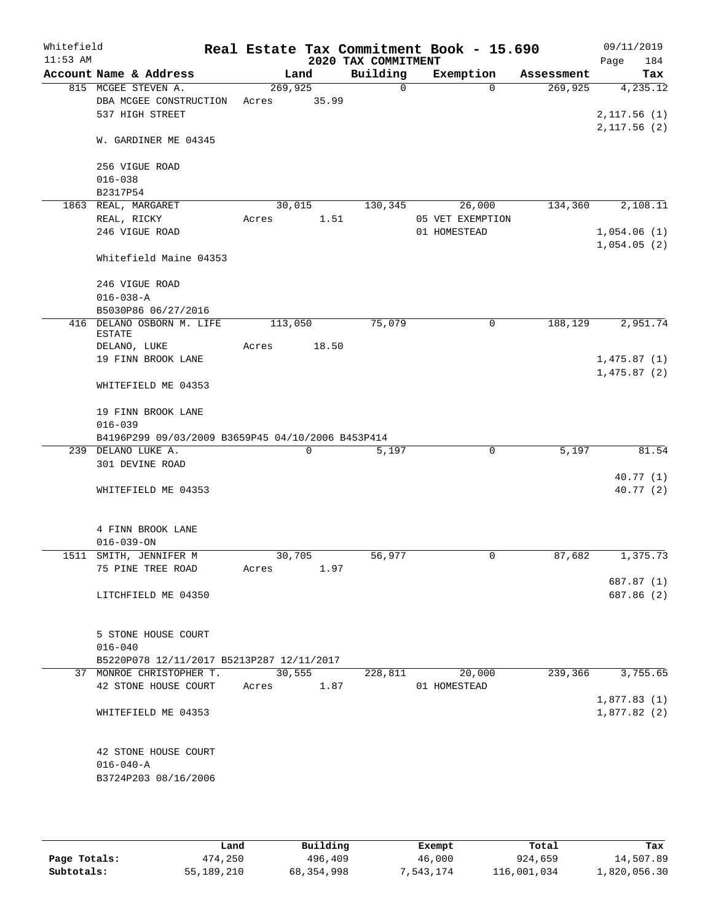| Whitefield |                                                   |         |                |                     | Real Estate Tax Commitment Book - 15.690 |            | 09/11/2019  |
|------------|---------------------------------------------------|---------|----------------|---------------------|------------------------------------------|------------|-------------|
| $11:53$ AM |                                                   |         |                | 2020 TAX COMMITMENT |                                          |            | 184<br>Page |
|            | Account Name & Address                            |         | Land           | Building            | Exemption                                | Assessment | Tax         |
|            | 815 MCGEE STEVEN A.                               | 269,925 |                | 0                   | $\Omega$                                 | 269,925    | 4,235.12    |
|            | DBA MCGEE CONSTRUCTION                            | Acres   | 35.99          |                     |                                          |            |             |
|            | 537 HIGH STREET                                   |         |                |                     |                                          |            | 2,117.56(1) |
|            | W. GARDINER ME 04345                              |         |                |                     |                                          |            | 2,117.56(2) |
|            | 256 VIGUE ROAD                                    |         |                |                     |                                          |            |             |
|            | $016 - 038$                                       |         |                |                     |                                          |            |             |
|            | B2317P54                                          |         |                |                     |                                          |            |             |
|            | 1863 REAL, MARGARET                               |         | 30,015         | 130,345             | 26,000                                   | 134,360    | 2,108.11    |
|            | REAL, RICKY                                       | Acres   | 1.51           |                     | 05 VET EXEMPTION                         |            |             |
|            | 246 VIGUE ROAD                                    |         |                |                     | 01 HOMESTEAD                             |            | 1,054.06(1) |
|            | Whitefield Maine 04353                            |         |                |                     |                                          |            | 1,054.05(2) |
|            | 246 VIGUE ROAD                                    |         |                |                     |                                          |            |             |
|            | $016 - 038 - A$                                   |         |                |                     |                                          |            |             |
|            | B5030P86 06/27/2016                               |         |                |                     |                                          |            |             |
| 416        | DELANO OSBORN M. LIFE<br><b>ESTATE</b>            | 113,050 |                | 75,079              | 0                                        | 188,129    | 2,951.74    |
|            | DELANO, LUKE                                      | Acres   | 18.50          |                     |                                          |            |             |
|            | 19 FINN BROOK LANE                                |         |                |                     |                                          |            | 1,475.87(1) |
|            |                                                   |         |                |                     |                                          |            | 1,475.87(2) |
|            | WHITEFIELD ME 04353                               |         |                |                     |                                          |            |             |
|            | 19 FINN BROOK LANE                                |         |                |                     |                                          |            |             |
|            | $016 - 039$                                       |         |                |                     |                                          |            |             |
|            | B4196P299 09/03/2009 B3659P45 04/10/2006 B453P414 |         |                |                     |                                          |            |             |
|            | 239 DELANO LUKE A.                                |         | 0              | 5,197               | 0                                        | 5,197      | 81.54       |
|            | 301 DEVINE ROAD                                   |         |                |                     |                                          |            |             |
|            |                                                   |         |                |                     |                                          |            | 40.77(1)    |
|            | WHITEFIELD ME 04353                               |         |                |                     |                                          |            | 40.77(2)    |
|            |                                                   |         |                |                     |                                          |            |             |
|            | 4 FINN BROOK LANE                                 |         |                |                     |                                          |            |             |
|            | $016 - 039 - ON$                                  |         |                |                     |                                          |            |             |
|            | 1511 SMITH, JENNIFER M                            | 30,705  |                | 56,977              | 0                                        | 87,682     | 1,375.73    |
|            | 75 PINE TREE ROAD                                 | Acres   | 1.97           |                     |                                          |            |             |
|            |                                                   |         |                |                     |                                          |            | 687.87 (1)  |
|            | LITCHFIELD ME 04350                               |         |                |                     |                                          |            | 687.86 (2)  |
|            |                                                   |         |                |                     |                                          |            |             |
|            |                                                   |         |                |                     |                                          |            |             |
|            | 5 STONE HOUSE COURT                               |         |                |                     |                                          |            |             |
|            | $016 - 040$                                       |         |                |                     |                                          |            |             |
|            | B5220P078 12/11/2017 B5213P287 12/11/2017         |         |                |                     |                                          | 239,366    | 3,755.65    |
|            | 37 MONROE CHRISTOPHER T.<br>42 STONE HOUSE COURT  | Acres   | 30,555<br>1.87 | 228,811             | 20,000<br>01 HOMESTEAD                   |            |             |
|            |                                                   |         |                |                     |                                          |            | 1,877.83(1) |
|            | WHITEFIELD ME 04353                               |         |                |                     |                                          |            | 1,877.82(2) |
|            |                                                   |         |                |                     |                                          |            |             |
|            | 42 STONE HOUSE COURT                              |         |                |                     |                                          |            |             |
|            | $016 - 040 - A$                                   |         |                |                     |                                          |            |             |
|            | B3724P203 08/16/2006                              |         |                |                     |                                          |            |             |
|            |                                                   |         |                |                     |                                          |            |             |
|            |                                                   |         |                |                     |                                          |            |             |

|              | Land       | Building   | Exempt    | Total       | Tax          |
|--------------|------------|------------|-----------|-------------|--------------|
| Page Totals: | 474,250    | 496,409    | 46,000    | 924,659     | 14,507.89    |
| Subtotals:   | 55,189,210 | 68,354,998 | 7,543,174 | 116,001,034 | 1,820,056.30 |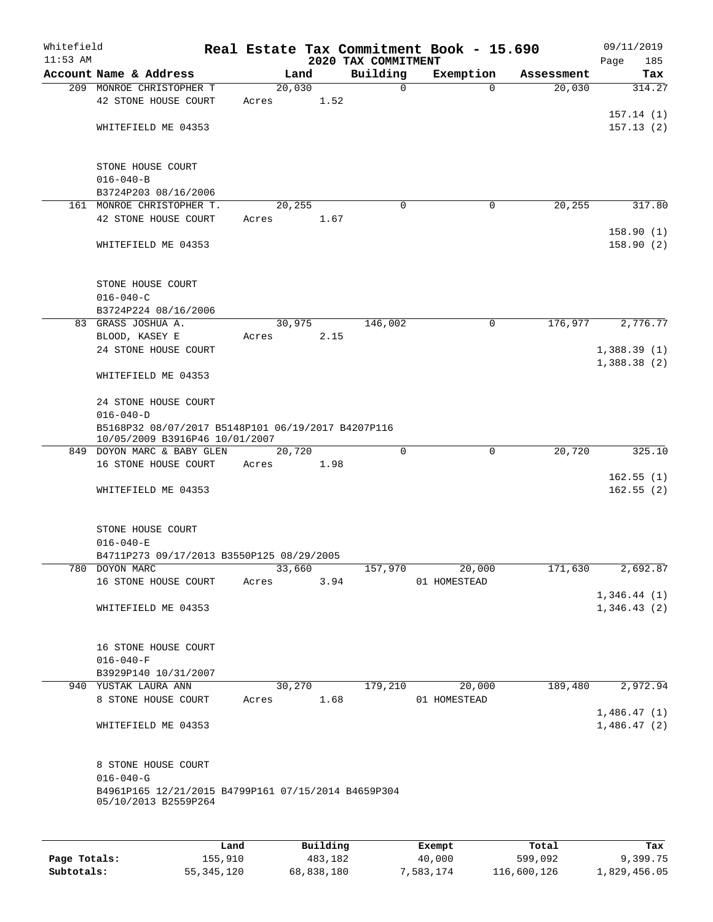| Whitefield<br>$11:53$ AM |                                                                                      |       |          | 2020 TAX COMMITMENT |             | Real Estate Tax Commitment Book - 15.690 |            | 09/11/2019<br>185<br>Page  |
|--------------------------|--------------------------------------------------------------------------------------|-------|----------|---------------------|-------------|------------------------------------------|------------|----------------------------|
|                          | Account Name & Address                                                               |       | Land     | Building            |             | Exemption                                | Assessment | Tax                        |
|                          | 209 MONROE CHRISTOPHER T                                                             |       | 20,030   |                     | $\mathbf 0$ | $\Omega$                                 | 20,030     | 314.27                     |
|                          | 42 STONE HOUSE COURT                                                                 | Acres |          | 1.52                |             |                                          |            |                            |
|                          |                                                                                      |       |          |                     |             |                                          |            | 157.14(1)                  |
|                          | WHITEFIELD ME 04353                                                                  |       |          |                     |             |                                          |            | 157.13(2)                  |
|                          |                                                                                      |       |          |                     |             |                                          |            |                            |
|                          | STONE HOUSE COURT                                                                    |       |          |                     |             |                                          |            |                            |
|                          | $016 - 040 - B$                                                                      |       |          |                     |             |                                          |            |                            |
|                          | B3724P203 08/16/2006                                                                 |       |          |                     |             |                                          |            |                            |
|                          | 161 MONROE CHRISTOPHER T.                                                            |       | 20,255   |                     | 0           | 0                                        | 20,255     | 317.80                     |
|                          | 42 STONE HOUSE COURT                                                                 | Acres |          | 1.67                |             |                                          |            |                            |
|                          |                                                                                      |       |          |                     |             |                                          |            | 158.90(1)                  |
|                          | WHITEFIELD ME 04353                                                                  |       |          |                     |             |                                          |            | 158.90(2)                  |
|                          | STONE HOUSE COURT                                                                    |       |          |                     |             |                                          |            |                            |
|                          | $016 - 040 - C$                                                                      |       |          |                     |             |                                          |            |                            |
|                          | B3724P224 08/16/2006                                                                 |       |          |                     |             |                                          |            |                            |
|                          | 83 GRASS JOSHUA A.                                                                   |       | 30,975   | 146,002             |             | $\mathsf{O}$                             | 176,977    | 2,776.77                   |
|                          |                                                                                      |       |          |                     |             |                                          |            |                            |
|                          | BLOOD, KASEY E                                                                       | Acres |          | 2.15                |             |                                          |            |                            |
|                          | 24 STONE HOUSE COURT                                                                 |       |          |                     |             |                                          |            | 1,388.39(1)                |
|                          | WHITEFIELD ME 04353                                                                  |       |          |                     |             |                                          |            | 1,388.38(2)                |
|                          | 24 STONE HOUSE COURT                                                                 |       |          |                     |             |                                          |            |                            |
|                          | $016 - 040 - D$                                                                      |       |          |                     |             |                                          |            |                            |
|                          | B5168P32 08/07/2017 B5148P101 06/19/2017 B4207P116<br>10/05/2009 B3916P46 10/01/2007 |       |          |                     |             |                                          |            |                            |
|                          | 849 DOYON MARC & BABY GLEN                                                           |       | 20,720   |                     | $\mathbf 0$ | 0                                        | 20,720     | 325.10                     |
|                          | 16 STONE HOUSE COURT                                                                 | Acres |          | 1.98                |             |                                          |            |                            |
|                          |                                                                                      |       |          |                     |             |                                          |            | 162.55(1)                  |
|                          | WHITEFIELD ME 04353                                                                  |       |          |                     |             |                                          |            | 162.55(2)                  |
|                          | STONE HOUSE COURT                                                                    |       |          |                     |             |                                          |            |                            |
|                          | $016 - 040 - E$                                                                      |       |          |                     |             |                                          |            |                            |
|                          |                                                                                      |       |          |                     |             |                                          |            |                            |
|                          | B4711P273 09/17/2013 B3550P125 08/29/2005                                            |       |          |                     |             |                                          |            |                            |
|                          | 780 DOYON MARC<br>16 STONE HOUSE COURT                                               |       | 33,660   | 157,970             |             | 20,000                                   | 171,630    | 2,692.87                   |
|                          |                                                                                      | Acres |          | 3.94                |             | 01 HOMESTEAD                             |            |                            |
|                          | WHITEFIELD ME 04353                                                                  |       |          |                     |             |                                          |            | 1,346.44(1)<br>1,346.43(2) |
|                          |                                                                                      |       |          |                     |             |                                          |            |                            |
|                          | 16 STONE HOUSE COURT                                                                 |       |          |                     |             |                                          |            |                            |
|                          | $016 - 040 - F$                                                                      |       |          |                     |             |                                          |            |                            |
|                          | B3929P140 10/31/2007                                                                 |       |          |                     |             |                                          |            |                            |
|                          | 940 YUSTAK LAURA ANN                                                                 |       | 30,270   | 179,210             |             | 20,000                                   | 189,480    | 2,972.94                   |
|                          | 8 STONE HOUSE COURT                                                                  | Acres |          | 1.68                |             | 01 HOMESTEAD                             |            | 1,486.47(1)                |
|                          | WHITEFIELD ME 04353                                                                  |       |          |                     |             |                                          |            | 1,486.47(2)                |
|                          |                                                                                      |       |          |                     |             |                                          |            |                            |
|                          | 8 STONE HOUSE COURT                                                                  |       |          |                     |             |                                          |            |                            |
|                          | $016 - 040 - G$                                                                      |       |          |                     |             |                                          |            |                            |
|                          | B4961P165 12/21/2015 B4799P161 07/15/2014 B4659P304<br>05/10/2013 B2559P264          |       |          |                     |             |                                          |            |                            |
|                          |                                                                                      |       |          |                     |             |                                          |            |                            |
|                          |                                                                                      | Land  | Building |                     |             | Exempt                                   | Total      | Tax                        |

|              | -----        | --------   | -------   | -----       | .            |
|--------------|--------------|------------|-----------|-------------|--------------|
| Page Totals: | 155,910      | 483,182    | 40,000    | 599,092     | 9,399.75     |
| Subtotals:   | 55, 345, 120 | 68,838,180 | 7,583,174 | 116,600,126 | 1,829,456.05 |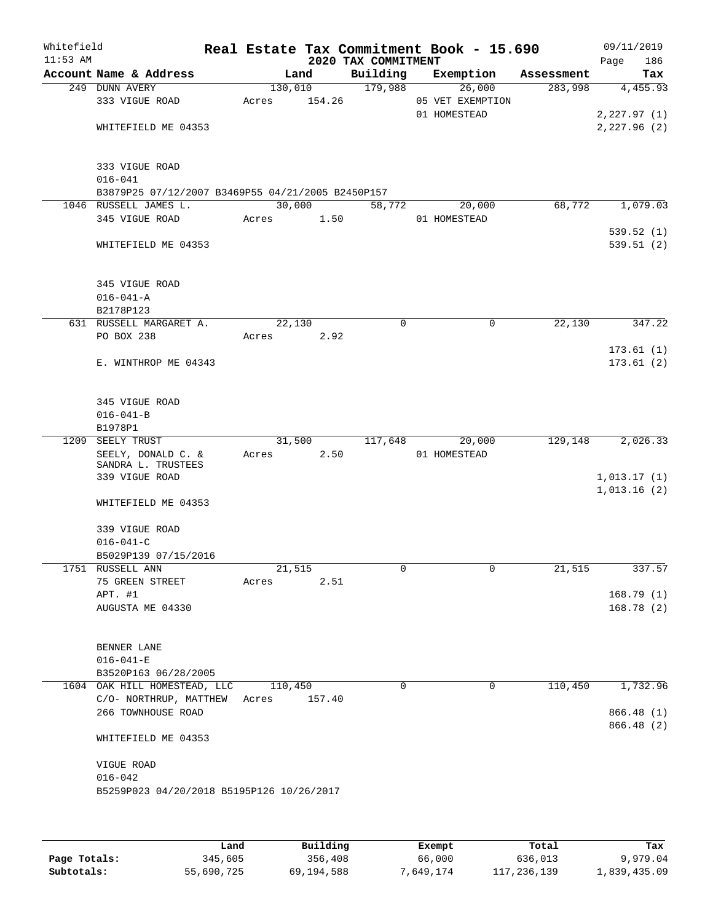| Whitefield<br>$11:53$ AM |                                                                                               |                  |        | 2020 TAX COMMITMENT | Real Estate Tax Commitment Book - 15.690   |            | 09/11/2019<br>186<br>Page              |
|--------------------------|-----------------------------------------------------------------------------------------------|------------------|--------|---------------------|--------------------------------------------|------------|----------------------------------------|
|                          | Account Name & Address                                                                        |                  | Land   | Building            | Exemption                                  | Assessment | Tax                                    |
|                          | 249 DUNN AVERY<br>333 VIGUE ROAD<br>WHITEFIELD ME 04353                                       | 130,010<br>Acres | 154.26 | 179,988             | 26,000<br>05 VET EXEMPTION<br>01 HOMESTEAD | 283,998    | 4,455.93<br>2,227.97(1)<br>2,227.96(2) |
|                          | 333 VIGUE ROAD<br>$016 - 041$<br>B3879P25 07/12/2007 B3469P55 04/21/2005 B2450P157            |                  |        |                     |                                            |            |                                        |
|                          | 1046 RUSSELL JAMES L.<br>345 VIGUE ROAD                                                       | 30,000<br>Acres  | 1.50   | 58,772              | 20,000<br>01 HOMESTEAD                     | 68,772     | 1,079.03                               |
|                          | WHITEFIELD ME 04353                                                                           |                  |        |                     |                                            |            | 539.52(1)<br>539.51 (2)                |
|                          | 345 VIGUE ROAD<br>$016 - 041 - A$<br>B2178P123                                                |                  |        |                     |                                            |            |                                        |
|                          | 631 RUSSELL MARGARET A.<br>PO BOX 238                                                         | 22,130           | 2.92   | 0                   | 0                                          | 22,130     | 347.22                                 |
|                          | E. WINTHROP ME 04343                                                                          | Acres            |        |                     |                                            |            | 173.61(1)<br>173.61(2)                 |
|                          | 345 VIGUE ROAD<br>$016 - 041 - B$<br>B1978P1                                                  |                  |        |                     |                                            |            |                                        |
|                          | 1209 SEELY TRUST<br>SEELY, DONALD C. &<br>SANDRA L. TRUSTEES<br>339 VIGUE ROAD                | 31,500<br>Acres  | 2.50   | 117,648             | 20,000<br>01 HOMESTEAD                     | 129,148    | 2,026.33<br>1,013.17(1)<br>1,013.16(2) |
|                          | WHITEFIELD ME 04353<br>339 VIGUE ROAD<br>$016 - 041 - C$<br>B5029P139 07/15/2016              |                  |        |                     |                                            |            |                                        |
|                          | 1751 RUSSELL ANN                                                                              | 21,515           |        | $\mathsf{O}$        | 0                                          | 21,515     | 337.57                                 |
|                          | 75 GREEN STREET<br>APT. #1<br>AUGUSTA ME 04330                                                | Acres            | 2.51   |                     |                                            |            | 168.79(1)<br>168.78(2)                 |
|                          | BENNER LANE<br>$016 - 041 - E$<br>B3520P163 06/28/2005                                        |                  |        |                     |                                            |            |                                        |
|                          | 1604 OAK HILL HOMESTEAD, LLC<br>C/O- NORTHRUP, MATTHEW<br>266 TOWNHOUSE ROAD                  | 110,450<br>Acres | 157.40 | $\Omega$            | $\Omega$                                   | 110,450    | 1,732.96<br>866.48 (1)<br>866.48 (2)   |
|                          | WHITEFIELD ME 04353<br>VIGUE ROAD<br>$016 - 042$<br>B5259P023 04/20/2018 B5195P126 10/26/2017 |                  |        |                     |                                            |            |                                        |

|              | Land       | Building   | Exempt    | Total       | Tax          |
|--------------|------------|------------|-----------|-------------|--------------|
| Page Totals: | 345,605    | 356,408    | 66,000    | 636,013     | 9,979.04     |
| Subtotals:   | 55,690,725 | 69,194,588 | 7,649,174 | 117,236,139 | 1,839,435.09 |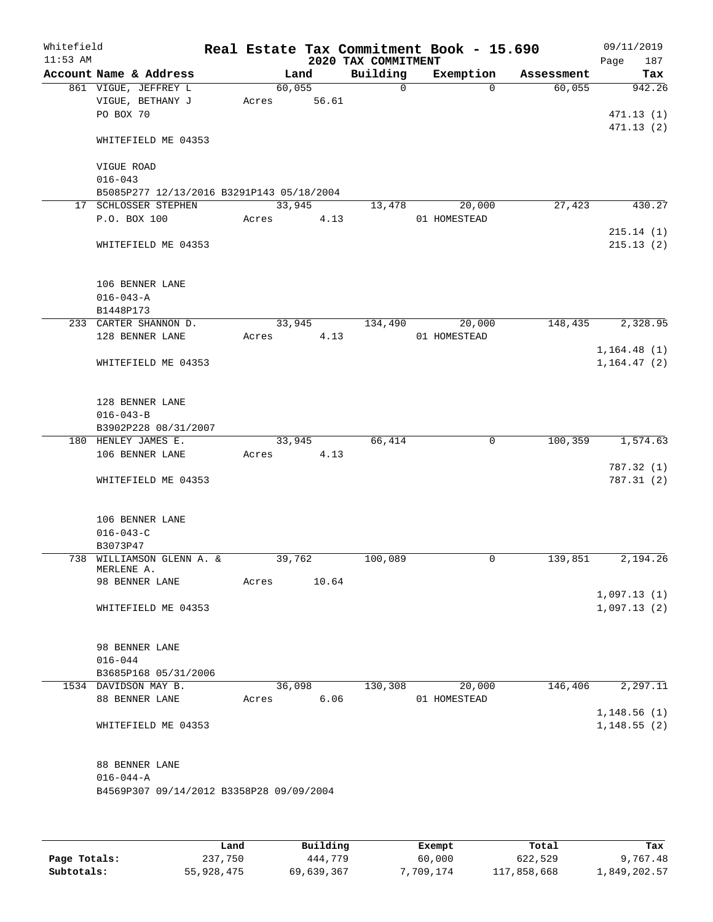| Whitefield<br>$11:53$ AM |                                                                   |        |        | 2020 TAX COMMITMENT | Real Estate Tax Commitment Book - 15.690 |            | 09/11/2019<br>Page<br>187 |
|--------------------------|-------------------------------------------------------------------|--------|--------|---------------------|------------------------------------------|------------|---------------------------|
|                          | Account Name & Address                                            |        | Land   | Building            | Exemption                                | Assessment | Tax                       |
|                          | 861 VIGUE, JEFFREY L                                              | 60,055 |        | $\Omega$            | $\Omega$                                 | 60,055     | 942.26                    |
|                          | VIGUE, BETHANY J                                                  | Acres  | 56.61  |                     |                                          |            |                           |
|                          | PO BOX 70                                                         |        |        |                     |                                          |            | 471.13(1)                 |
|                          |                                                                   |        |        |                     |                                          |            | 471.13(2)                 |
|                          | WHITEFIELD ME 04353                                               |        |        |                     |                                          |            |                           |
|                          |                                                                   |        |        |                     |                                          |            |                           |
|                          | VIGUE ROAD                                                        |        |        |                     |                                          |            |                           |
|                          | $016 - 043$                                                       |        |        |                     |                                          |            |                           |
|                          | B5085P277 12/13/2016 B3291P143 05/18/2004<br>17 SCHLOSSER STEPHEN | 33,945 |        | 13,478              | 20,000                                   | 27,423     | 430.27                    |
|                          | P.O. BOX 100                                                      | Acres  | 4.13   |                     | 01 HOMESTEAD                             |            |                           |
|                          |                                                                   |        |        |                     |                                          |            | 215.14(1)                 |
|                          | WHITEFIELD ME 04353                                               |        |        |                     |                                          |            | 215.13(2)                 |
|                          |                                                                   |        |        |                     |                                          |            |                           |
|                          |                                                                   |        |        |                     |                                          |            |                           |
|                          | 106 BENNER LANE                                                   |        |        |                     |                                          |            |                           |
|                          | $016 - 043 - A$                                                   |        |        |                     |                                          |            |                           |
|                          | B1448P173                                                         |        |        |                     |                                          |            |                           |
|                          | 233 CARTER SHANNON D.                                             |        | 33,945 | 134,490             | 20,000                                   | 148,435    | 2,328.95                  |
|                          | 128 BENNER LANE                                                   | Acres  | 4.13   |                     | 01 HOMESTEAD                             |            |                           |
|                          |                                                                   |        |        |                     |                                          |            | 1, 164.48(1)              |
|                          | WHITEFIELD ME 04353                                               |        |        |                     |                                          |            | 1, 164.47(2)              |
|                          |                                                                   |        |        |                     |                                          |            |                           |
|                          |                                                                   |        |        |                     |                                          |            |                           |
|                          | 128 BENNER LANE                                                   |        |        |                     |                                          |            |                           |
|                          | $016 - 043 - B$                                                   |        |        |                     |                                          |            |                           |
|                          | B3902P228 08/31/2007                                              |        |        |                     |                                          |            |                           |
|                          | 180 HENLEY JAMES E.                                               |        | 33,945 | 66,414              | 0                                        | 100, 359   | 1,574.63                  |
|                          | 106 BENNER LANE                                                   | Acres  | 4.13   |                     |                                          |            |                           |
|                          |                                                                   |        |        |                     |                                          |            | 787.32(1)                 |
|                          | WHITEFIELD ME 04353                                               |        |        |                     |                                          |            | 787.31(2)                 |
|                          |                                                                   |        |        |                     |                                          |            |                           |
|                          | 106 BENNER LANE                                                   |        |        |                     |                                          |            |                           |
|                          | $016 - 043 - C$                                                   |        |        |                     |                                          |            |                           |
|                          | B3073P47                                                          |        |        |                     |                                          |            |                           |
|                          | 738 WILLIAMSON GLENN A. &                                         | 39,762 |        | 100,089             | $\mathbf 0$                              | 139,851    | 2,194.26                  |
|                          | MERLENE A.                                                        |        |        |                     |                                          |            |                           |
|                          | 98 BENNER LANE                                                    | Acres  | 10.64  |                     |                                          |            |                           |
|                          |                                                                   |        |        |                     |                                          |            | 1,097.13(1)               |
|                          | WHITEFIELD ME 04353                                               |        |        |                     |                                          |            | 1,097.13(2)               |
|                          |                                                                   |        |        |                     |                                          |            |                           |
|                          |                                                                   |        |        |                     |                                          |            |                           |
|                          | 98 BENNER LANE                                                    |        |        |                     |                                          |            |                           |
|                          | $016 - 044$                                                       |        |        |                     |                                          |            |                           |
|                          | B3685P168 05/31/2006                                              |        |        |                     |                                          |            |                           |
|                          | 1534 DAVIDSON MAY B.                                              | 36,098 |        | 130,308             | 20,000                                   | 146,406    | 2,297.11                  |
|                          | 88 BENNER LANE                                                    | Acres  | 6.06   |                     | 01 HOMESTEAD                             |            |                           |
|                          |                                                                   |        |        |                     |                                          |            | 1,148.56(1)               |
|                          | WHITEFIELD ME 04353                                               |        |        |                     |                                          |            | 1,148.55(2)               |
|                          |                                                                   |        |        |                     |                                          |            |                           |
|                          | 88 BENNER LANE                                                    |        |        |                     |                                          |            |                           |
|                          | $016 - 044 - A$                                                   |        |        |                     |                                          |            |                           |
|                          | B4569P307 09/14/2012 B3358P28 09/09/2004                          |        |        |                     |                                          |            |                           |
|                          |                                                                   |        |        |                     |                                          |            |                           |
|                          |                                                                   |        |        |                     |                                          |            |                           |
|                          |                                                                   |        |        |                     |                                          |            |                           |

|              | Land       | Building   | Exempt    | Total       | Tax          |
|--------------|------------|------------|-----------|-------------|--------------|
| Page Totals: | 237,750    | 444,779    | 60,000    | 622,529     | 9,767.48     |
| Subtotals:   | 55,928,475 | 69,639,367 | 7,709,174 | 117,858,668 | 1,849,202.57 |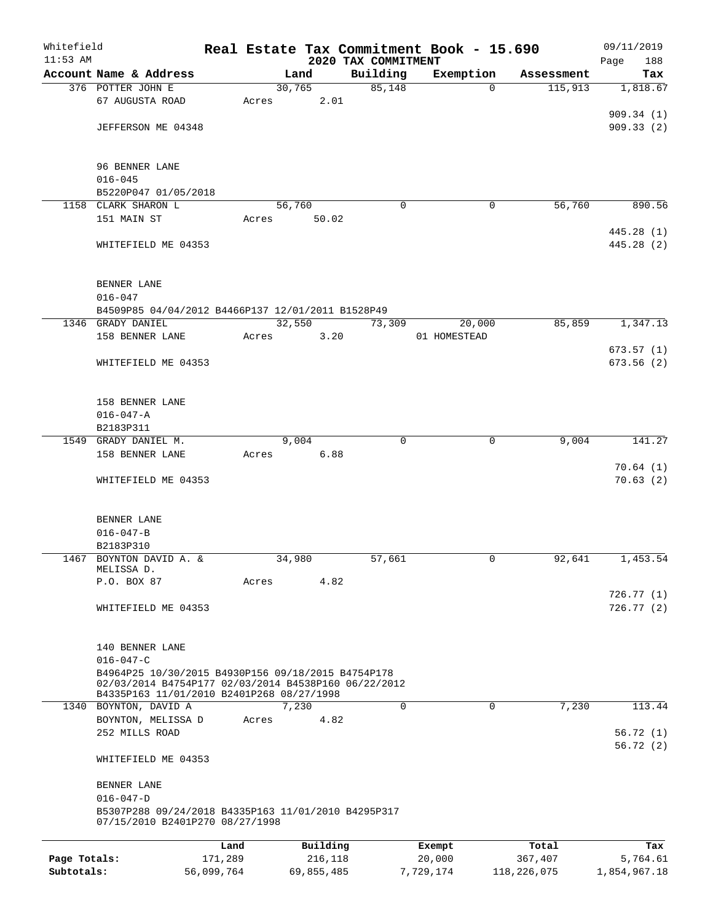| Whitefield   |                                                                                                            |            |       |            |          |                                 | Real Estate Tax Commitment Book - 15.690 |                       | 09/11/2019           |
|--------------|------------------------------------------------------------------------------------------------------------|------------|-------|------------|----------|---------------------------------|------------------------------------------|-----------------------|----------------------|
| $11:53$ AM   | Account Name & Address                                                                                     |            |       | Land       |          | 2020 TAX COMMITMENT<br>Building | Exemption                                |                       | 188<br>Page          |
|              | 376 POTTER JOHN E                                                                                          |            |       | 30,765     |          | 85,148                          | $\Omega$                                 | Assessment<br>115,913 | Tax<br>1,818.67      |
|              | 67 AUGUSTA ROAD                                                                                            |            | Acres |            | 2.01     |                                 |                                          |                       |                      |
|              |                                                                                                            |            |       |            |          |                                 |                                          |                       | 909.34(1)            |
|              | JEFFERSON ME 04348                                                                                         |            |       |            |          |                                 |                                          |                       | 909.33(2)            |
|              |                                                                                                            |            |       |            |          |                                 |                                          |                       |                      |
|              | 96 BENNER LANE                                                                                             |            |       |            |          |                                 |                                          |                       |                      |
|              | $016 - 045$                                                                                                |            |       |            |          |                                 |                                          |                       |                      |
|              | B5220P047 01/05/2018                                                                                       |            |       |            |          |                                 |                                          |                       |                      |
|              | 1158 CLARK SHARON L                                                                                        |            |       | 56,760     |          | $\Omega$                        | 0                                        | 56,760                | 890.56               |
|              | 151 MAIN ST                                                                                                |            | Acres |            | 50.02    |                                 |                                          |                       |                      |
|              |                                                                                                            |            |       |            |          |                                 |                                          |                       | 445.28 (1)           |
|              | WHITEFIELD ME 04353                                                                                        |            |       |            |          |                                 |                                          |                       | 445.28 (2)           |
|              |                                                                                                            |            |       |            |          |                                 |                                          |                       |                      |
|              | BENNER LANE                                                                                                |            |       |            |          |                                 |                                          |                       |                      |
|              | $016 - 047$                                                                                                |            |       |            |          |                                 |                                          |                       |                      |
|              | B4509P85 04/04/2012 B4466P137 12/01/2011 B1528P49                                                          |            |       |            |          |                                 |                                          |                       |                      |
|              | 1346 GRADY DANIEL<br>158 BENNER LANE                                                                       |            | Acres | 32,550     | 3.20     | 73,309                          | 20,000<br>01 HOMESTEAD                   | 85,859                | 1,347.13             |
|              |                                                                                                            |            |       |            |          |                                 |                                          |                       | 673.57(1)            |
|              | WHITEFIELD ME 04353                                                                                        |            |       |            |          |                                 |                                          |                       | 673.56(2)            |
|              |                                                                                                            |            |       |            |          |                                 |                                          |                       |                      |
|              |                                                                                                            |            |       |            |          |                                 |                                          |                       |                      |
|              | 158 BENNER LANE<br>$016 - 047 - A$                                                                         |            |       |            |          |                                 |                                          |                       |                      |
|              | B2183P311                                                                                                  |            |       |            |          |                                 |                                          |                       |                      |
|              | 1549 GRADY DANIEL M.                                                                                       |            |       | 9,004      |          | $\Omega$                        | $\mathbf 0$                              | 9,004                 | 141.27               |
|              | 158 BENNER LANE                                                                                            |            | Acres |            | 6.88     |                                 |                                          |                       |                      |
|              |                                                                                                            |            |       |            |          |                                 |                                          |                       | 70.64(1)             |
|              | WHITEFIELD ME 04353                                                                                        |            |       |            |          |                                 |                                          |                       | 70.63(2)             |
|              |                                                                                                            |            |       |            |          |                                 |                                          |                       |                      |
|              | BENNER LANE                                                                                                |            |       |            |          |                                 |                                          |                       |                      |
|              | $016 - 047 - B$                                                                                            |            |       |            |          |                                 |                                          |                       |                      |
|              | B2183P310<br>1467 BOYNTON DAVID A. &                                                                       |            |       | 34,980     |          | 57,661                          | 0                                        | 92,641                | 1,453.54             |
|              | MELISSA D.                                                                                                 |            |       |            |          |                                 |                                          |                       |                      |
|              | P.O. BOX 87                                                                                                |            | Acres |            | 4.82     |                                 |                                          |                       |                      |
|              |                                                                                                            |            |       |            |          |                                 |                                          |                       | 726.77 (1)           |
|              | WHITEFIELD ME 04353                                                                                        |            |       |            |          |                                 |                                          |                       | 726.77(2)            |
|              |                                                                                                            |            |       |            |          |                                 |                                          |                       |                      |
|              | 140 BENNER LANE                                                                                            |            |       |            |          |                                 |                                          |                       |                      |
|              | $016 - 047 - C$                                                                                            |            |       |            |          |                                 |                                          |                       |                      |
|              | B4964P25 10/30/2015 B4930P156 09/18/2015 B4754P178<br>02/03/2014 B4754P177 02/03/2014 B4538P160 06/22/2012 |            |       |            |          |                                 |                                          |                       |                      |
|              | B4335P163 11/01/2010 B2401P268 08/27/1998                                                                  |            |       |            |          |                                 |                                          |                       |                      |
|              | 1340 BOYNTON, DAVID A                                                                                      |            |       | 7,230      |          | 0                               | $\mathbf 0$                              | 7,230                 | 113.44               |
|              | BOYNTON, MELISSA D                                                                                         |            | Acres |            | 4.82     |                                 |                                          |                       |                      |
|              | 252 MILLS ROAD                                                                                             |            |       |            |          |                                 |                                          |                       | 56.72(1)<br>56.72(2) |
|              | WHITEFIELD ME 04353                                                                                        |            |       |            |          |                                 |                                          |                       |                      |
|              |                                                                                                            |            |       |            |          |                                 |                                          |                       |                      |
|              | BENNER LANE                                                                                                |            |       |            |          |                                 |                                          |                       |                      |
|              | $016 - 047 - D$<br>B5307P288 09/24/2018 B4335P163 11/01/2010 B4295P317                                     |            |       |            |          |                                 |                                          |                       |                      |
|              | 07/15/2010 B2401P270 08/27/1998                                                                            |            |       |            |          |                                 |                                          |                       |                      |
|              |                                                                                                            | Land       |       |            | Building |                                 |                                          | Total                 | Tax                  |
| Page Totals: |                                                                                                            | 171,289    |       |            | 216,118  |                                 | Exempt<br>20,000                         | 367,407               | 5,764.61             |
| Subtotals:   |                                                                                                            | 56,099,764 |       | 69,855,485 |          |                                 | 7,729,174                                | 118, 226, 075         | 1,854,967.18         |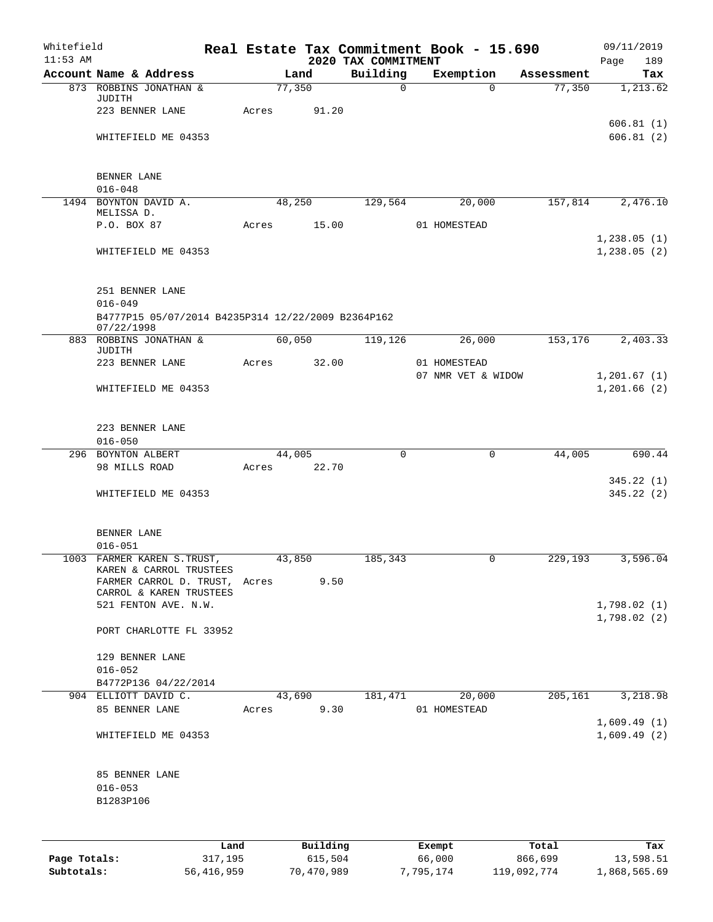| Whitefield<br>$11:53$ AM |                                                                                 |       |                     |          | 2020 TAX COMMITMENT | Real Estate Tax Commitment Book - 15.690 |            | 09/11/2019<br>Page<br>189  |
|--------------------------|---------------------------------------------------------------------------------|-------|---------------------|----------|---------------------|------------------------------------------|------------|----------------------------|
|                          | Account Name & Address                                                          |       | Land                |          | Building            | Exemption                                | Assessment | Tax                        |
|                          | 873 ROBBINS JONATHAN &<br>JUDITH                                                |       | 77,350              |          | $\mathbf 0$         | $\Omega$                                 | 77,350     | 1,213.62                   |
|                          | 223 BENNER LANE                                                                 | Acres |                     | 91.20    |                     |                                          |            | 606.81(1)                  |
|                          | WHITEFIELD ME 04353                                                             |       |                     |          |                     |                                          |            | 606.81(2)                  |
|                          | BENNER LANE                                                                     |       |                     |          |                     |                                          |            |                            |
|                          | $016 - 048$                                                                     |       |                     |          |                     |                                          |            |                            |
|                          | 1494 BOYNTON DAVID A.<br>MELISSA D.                                             |       | 48,250              |          | 129,564             | 20,000                                   | 157,814    | 2,476.10                   |
|                          | P.O. BOX 87                                                                     | Acres |                     | 15.00    |                     | 01 HOMESTEAD                             |            |                            |
|                          |                                                                                 |       |                     |          |                     |                                          |            | 1,238.05(1)                |
|                          | WHITEFIELD ME 04353                                                             |       |                     |          |                     |                                          |            | 1,238.05(2)                |
|                          | 251 BENNER LANE                                                                 |       |                     |          |                     |                                          |            |                            |
|                          | $016 - 049$<br>B4777P15 05/07/2014 B4235P314 12/22/2009 B2364P162<br>07/22/1998 |       |                     |          |                     |                                          |            |                            |
|                          | 883 ROBBINS JONATHAN &                                                          |       | 60,050              |          | 119, 126            | 26,000                                   | 153,176    | 2,403.33                   |
|                          | JUDITH<br>223 BENNER LANE                                                       | Acres |                     | 32.00    |                     | 01 HOMESTEAD                             |            |                            |
|                          | WHITEFIELD ME 04353                                                             |       |                     |          |                     | 07 NMR VET & WIDOW                       |            | 1,201.67(1)<br>1,201.66(2) |
|                          | 223 BENNER LANE                                                                 |       |                     |          |                     |                                          |            |                            |
|                          | $016 - 050$                                                                     |       |                     |          |                     |                                          |            |                            |
|                          | 296 BOYNTON ALBERT<br>98 MILLS ROAD                                             | Acres | $\overline{44,005}$ | 22.70    | $\mathbf 0$         | $\mathbf 0$                              | 44,005     | 690.44                     |
|                          |                                                                                 |       |                     |          |                     |                                          |            | 345.22(1)                  |
|                          | WHITEFIELD ME 04353                                                             |       |                     |          |                     |                                          |            | 345.22 (2)                 |
|                          | BENNER LANE                                                                     |       |                     |          |                     |                                          |            |                            |
|                          | $016 - 051$                                                                     |       |                     |          |                     |                                          |            |                            |
|                          | 1003 FARMER KAREN S.TRUST,                                                      |       | 43,850              |          | 185,343             | 0                                        | 229,193    | 3,596.04                   |
|                          | KAREN & CARROL TRUSTEES<br>FARMER CARROL D. TRUST,                              | Acres |                     | 9.50     |                     |                                          |            |                            |
|                          | CARROL & KAREN TRUSTEES<br>521 FENTON AVE. N.W.                                 |       |                     |          |                     |                                          |            | 1,798.02(1)                |
|                          |                                                                                 |       |                     |          |                     |                                          |            | 1,798.02(2)                |
|                          | PORT CHARLOTTE FL 33952                                                         |       |                     |          |                     |                                          |            |                            |
|                          | 129 BENNER LANE                                                                 |       |                     |          |                     |                                          |            |                            |
|                          | $016 - 052$                                                                     |       |                     |          |                     |                                          |            |                            |
|                          | B4772P136 04/22/2014                                                            |       |                     |          |                     |                                          |            |                            |
|                          | 904 ELLIOTT DAVID C.                                                            |       | 43,690              |          | 181,471             | 20,000                                   | 205,161    | 3,218.98                   |
|                          | 85 BENNER LANE                                                                  | Acres |                     | 9.30     |                     | 01 HOMESTEAD                             |            | 1,609.49(1)                |
|                          | WHITEFIELD ME 04353                                                             |       |                     |          |                     |                                          |            | 1,609.49(2)                |
|                          | 85 BENNER LANE                                                                  |       |                     |          |                     |                                          |            |                            |
|                          | $016 - 053$<br>B1283P106                                                        |       |                     |          |                     |                                          |            |                            |
|                          |                                                                                 |       |                     |          |                     |                                          |            |                            |
|                          | Land                                                                            |       |                     | Building |                     | Exempt                                   | Total      | Tax                        |

**Page Totals:** 317,195 615,504 66,000 866,699 13,598.51 **Subtotals:** 56,416,959 70,470,989 7,795,174 119,092,774 1,868,565.69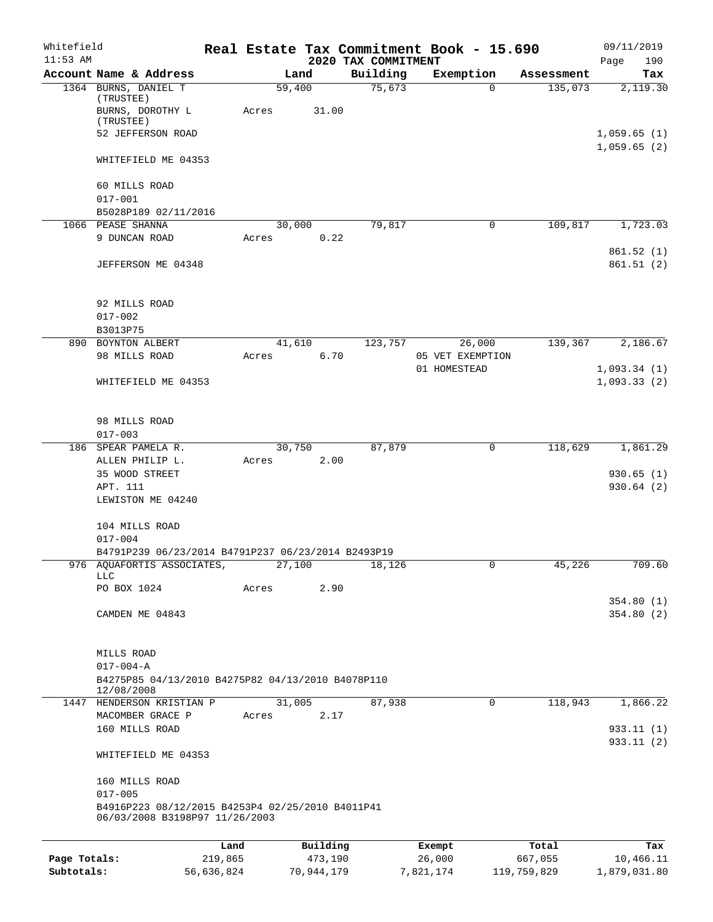| Whitefield   |                                                                 |         |        |          |                                 | Real Estate Tax Commitment Book - 15.690 |            | 09/11/2019             |
|--------------|-----------------------------------------------------------------|---------|--------|----------|---------------------------------|------------------------------------------|------------|------------------------|
| $11:53$ AM   | Account Name & Address                                          |         | Land   |          | 2020 TAX COMMITMENT<br>Building | Exemption                                | Assessment | Page<br>190<br>Tax     |
|              | 1364 BURNS, DANIEL T                                            |         | 59,400 |          | 75,673                          | $\Omega$                                 | 135,073    | 2,119.30               |
|              | (TRUSTEE)                                                       |         |        |          |                                 |                                          |            |                        |
|              | BURNS, DOROTHY L<br>$(\mbox{{\sc TRUSTEE}})$                    | Acres   |        | 31.00    |                                 |                                          |            |                        |
|              | 52 JEFFERSON ROAD                                               |         |        |          |                                 |                                          |            | 1,059.65(1)            |
|              |                                                                 |         |        |          |                                 |                                          |            | 1,059.65(2)            |
|              | WHITEFIELD ME 04353                                             |         |        |          |                                 |                                          |            |                        |
|              | 60 MILLS ROAD                                                   |         |        |          |                                 |                                          |            |                        |
|              | $017 - 001$                                                     |         |        |          |                                 |                                          |            |                        |
|              | B5028P189 02/11/2016                                            |         |        |          |                                 |                                          |            |                        |
|              | 1066 PEASE SHANNA                                               |         | 30,000 |          | 79,817                          | 0                                        | 109,817    | 1,723.03               |
|              | 9 DUNCAN ROAD                                                   | Acres   |        | 0.22     |                                 |                                          |            | 861.52(1)              |
|              | JEFFERSON ME 04348                                              |         |        |          |                                 |                                          |            | 861.51(2)              |
|              |                                                                 |         |        |          |                                 |                                          |            |                        |
|              | 92 MILLS ROAD                                                   |         |        |          |                                 |                                          |            |                        |
|              | $017 - 002$                                                     |         |        |          |                                 |                                          |            |                        |
|              | B3013P75                                                        |         |        |          |                                 |                                          |            |                        |
|              | 890 BOYNTON ALBERT                                              |         | 41,610 |          | 123,757                         | 26,000                                   | 139,367    | 2,186.67               |
|              | 98 MILLS ROAD                                                   | Acres   |        | 6.70     |                                 | 05 VET EXEMPTION                         |            |                        |
|              |                                                                 |         |        |          |                                 | 01 HOMESTEAD                             |            | 1,093.34(1)            |
|              | WHITEFIELD ME 04353                                             |         |        |          |                                 |                                          |            | 1,093.33(2)            |
|              | 98 MILLS ROAD                                                   |         |        |          |                                 |                                          |            |                        |
|              | $017 - 003$                                                     |         |        |          |                                 |                                          |            |                        |
|              | 186 SPEAR PAMELA R.                                             |         | 30,750 |          | 87,879                          | 0                                        | 118,629    | 1,861.29               |
|              | ALLEN PHILIP L.                                                 | Acres   |        | 2.00     |                                 |                                          |            |                        |
|              | 35 WOOD STREET                                                  |         |        |          |                                 |                                          |            | 930.65(1)              |
|              | APT. 111                                                        |         |        |          |                                 |                                          |            | 930.64(2)              |
|              | LEWISTON ME 04240                                               |         |        |          |                                 |                                          |            |                        |
|              | 104 MILLS ROAD                                                  |         |        |          |                                 |                                          |            |                        |
|              | $017 - 004$                                                     |         |        |          |                                 |                                          |            |                        |
|              | B4791P239 06/23/2014 B4791P237 06/23/2014 B2493P19              |         | 27,100 |          |                                 |                                          |            |                        |
|              | 976 AQUAFORTIS ASSOCIATES,<br>LLC                               |         |        |          | 18,126                          |                                          | 45,226     | 709.60                 |
|              | PO BOX 1024                                                     | Acres   |        | 2.90     |                                 |                                          |            |                        |
|              |                                                                 |         |        |          |                                 |                                          |            | 354.80(1)              |
|              | CAMDEN ME 04843                                                 |         |        |          |                                 |                                          |            | 354.80(2)              |
|              | MILLS ROAD                                                      |         |        |          |                                 |                                          |            |                        |
|              | $017 - 004 - A$                                                 |         |        |          |                                 |                                          |            |                        |
|              | B4275P85 04/13/2010 B4275P82 04/13/2010 B4078P110<br>12/08/2008 |         |        |          |                                 |                                          |            |                        |
|              | 1447 HENDERSON KRISTIAN P                                       |         | 31,005 |          | 87,938                          | 0                                        | 118,943    | 1,866.22               |
|              | MACOMBER GRACE P                                                | Acres   |        | 2.17     |                                 |                                          |            |                        |
|              | 160 MILLS ROAD                                                  |         |        |          |                                 |                                          |            | 933.11(1)<br>933.11(2) |
|              | WHITEFIELD ME 04353                                             |         |        |          |                                 |                                          |            |                        |
|              | 160 MILLS ROAD                                                  |         |        |          |                                 |                                          |            |                        |
|              | $017 - 005$<br>B4916P223 08/12/2015 B4253P4 02/25/2010 B4011P41 |         |        |          |                                 |                                          |            |                        |
|              | 06/03/2008 B3198P97 11/26/2003                                  |         |        |          |                                 |                                          |            |                        |
|              |                                                                 | Land    |        | Building |                                 | Exempt                                   | Total      | Tax                    |
| Page Totals: |                                                                 | 219,865 |        | 473,190  |                                 | 26,000                                   | 667,055    | 10,466.11              |

**Subtotals:** 56,636,824 70,944,179 7,821,174 119,759,829 1,879,031.80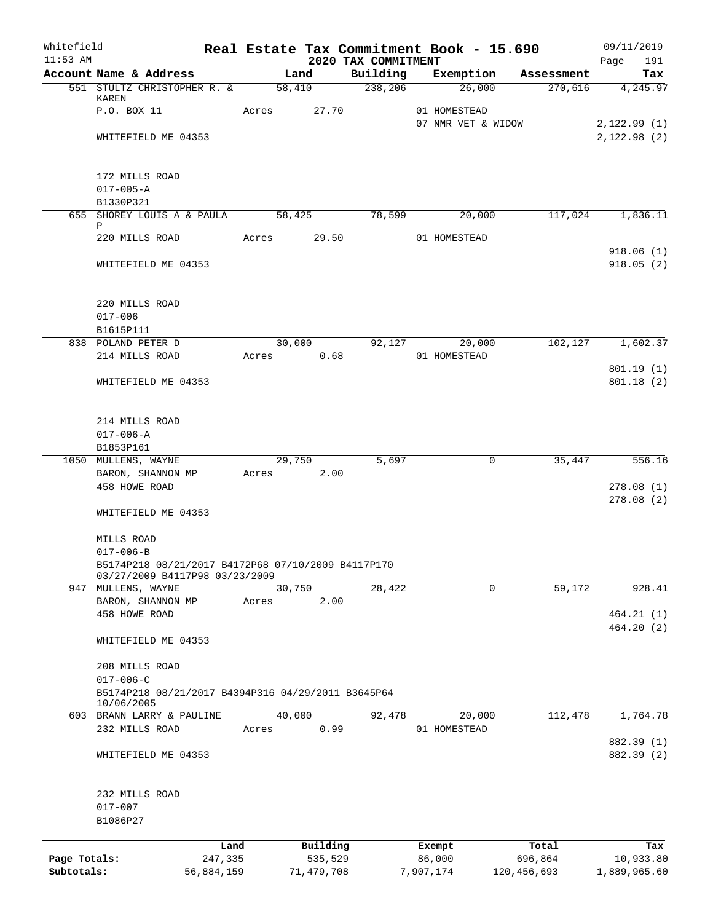| Whitefield<br>$11:53$ AM   |                                                                       |                       |       |        |                       | 2020 TAX COMMITMENT | Real Estate Tax Commitment Book - 15.690 |                        | 09/11/2019<br>191<br>Page |
|----------------------------|-----------------------------------------------------------------------|-----------------------|-------|--------|-----------------------|---------------------|------------------------------------------|------------------------|---------------------------|
|                            | Account Name & Address                                                |                       |       | Land   |                       | Building            | Exemption                                | Assessment             | Tax                       |
|                            | 551 STULTZ CHRISTOPHER R. &                                           |                       |       | 58,410 |                       | 238,206             | 26,000                                   | 270,616                | 4,245.97                  |
|                            | KAREN<br>P.O. BOX 11                                                  |                       | Acres |        | 27.70                 |                     | 01 HOMESTEAD                             |                        |                           |
|                            |                                                                       |                       |       |        |                       |                     | 07 NMR VET & WIDOW                       |                        | 2,122.99(1)               |
|                            | WHITEFIELD ME 04353                                                   |                       |       |        |                       |                     |                                          |                        | 2,122.98(2)               |
|                            | 172 MILLS ROAD                                                        |                       |       |        |                       |                     |                                          |                        |                           |
|                            | $017 - 005 - A$                                                       |                       |       |        |                       |                     |                                          |                        |                           |
|                            | B1330P321                                                             |                       |       |        |                       |                     |                                          |                        |                           |
|                            | 655 SHOREY LOUIS A & PAULA<br>Ρ                                       |                       |       | 58,425 |                       | 78,599              | 20,000                                   | 117,024                | 1,836.11                  |
|                            | 220 MILLS ROAD                                                        |                       | Acres |        | 29.50                 |                     | 01 HOMESTEAD                             |                        | 918.06(1)                 |
|                            | WHITEFIELD ME 04353                                                   |                       |       |        |                       |                     |                                          |                        | 918.05(2)                 |
|                            | 220 MILLS ROAD                                                        |                       |       |        |                       |                     |                                          |                        |                           |
|                            | $017 - 006$                                                           |                       |       |        |                       |                     |                                          |                        |                           |
|                            | B1615P111                                                             |                       |       |        |                       |                     |                                          |                        |                           |
|                            | 838 POLAND PETER D                                                    |                       |       | 30,000 |                       | 92,127              | 20,000                                   | 102,127                | 1,602.37                  |
|                            | 214 MILLS ROAD                                                        |                       | Acres |        | 0.68                  |                     | 01 HOMESTEAD                             |                        |                           |
|                            | WHITEFIELD ME 04353                                                   |                       |       |        |                       |                     |                                          |                        | 801.19(1)<br>801.18(2)    |
|                            | 214 MILLS ROAD                                                        |                       |       |        |                       |                     |                                          |                        |                           |
|                            | $017 - 006 - A$                                                       |                       |       |        |                       |                     |                                          |                        |                           |
|                            | B1853P161                                                             |                       |       |        |                       |                     |                                          |                        |                           |
|                            | 1050 MULLENS, WAYNE                                                   |                       |       | 29,750 |                       | 5,697               | 0                                        | 35,447                 | 556.16                    |
|                            | BARON, SHANNON MP<br>458 HOWE ROAD                                    |                       | Acres |        | 2.00                  |                     |                                          |                        | 278.08(1)                 |
|                            |                                                                       |                       |       |        |                       |                     |                                          |                        | 278.08(2)                 |
|                            | WHITEFIELD ME 04353                                                   |                       |       |        |                       |                     |                                          |                        |                           |
|                            | MILLS ROAD                                                            |                       |       |        |                       |                     |                                          |                        |                           |
|                            | $017 - 006 - B$                                                       |                       |       |        |                       |                     |                                          |                        |                           |
|                            | B5174P218 08/21/2017 B4172P68 07/10/2009 B4117P170                    |                       |       |        |                       |                     |                                          |                        |                           |
|                            | 03/27/2009 B4117P98 03/23/2009<br>947 MULLENS, WAYNE                  |                       |       | 30,750 |                       | 28,422              | 0                                        | 59,172                 | 928.41                    |
|                            | BARON, SHANNON MP                                                     |                       | Acres |        | 2.00                  |                     |                                          |                        |                           |
|                            | 458 HOWE ROAD                                                         |                       |       |        |                       |                     |                                          |                        | 464.21(1)                 |
|                            | WHITEFIELD ME 04353                                                   |                       |       |        |                       |                     |                                          |                        | 464.20(2)                 |
|                            | 208 MILLS ROAD                                                        |                       |       |        |                       |                     |                                          |                        |                           |
|                            | $017 - 006 - C$<br>B5174P218 08/21/2017 B4394P316 04/29/2011 B3645P64 |                       |       |        |                       |                     |                                          |                        |                           |
|                            | 10/06/2005                                                            |                       |       |        |                       |                     |                                          |                        |                           |
|                            | 603 BRANN LARRY & PAULINE<br>232 MILLS ROAD                           |                       | Acres | 40,000 | 0.99                  | 92,478              | 20,000<br>01 HOMESTEAD                   | 112,478                | 1,764.78                  |
|                            |                                                                       |                       |       |        |                       |                     |                                          |                        | 882.39 (1)                |
|                            | WHITEFIELD ME 04353                                                   |                       |       |        |                       |                     |                                          |                        | 882.39 (2)                |
|                            | 232 MILLS ROAD                                                        |                       |       |        |                       |                     |                                          |                        |                           |
|                            | $017 - 007$                                                           |                       |       |        |                       |                     |                                          |                        |                           |
|                            | B1086P27                                                              |                       |       |        |                       |                     |                                          |                        |                           |
|                            |                                                                       | Land                  |       |        | Building              |                     | Exempt                                   | Total                  | Tax                       |
| Page Totals:<br>Subtotals: |                                                                       | 247,335<br>56,884,159 |       |        | 535,529<br>71,479,708 |                     | 86,000<br>7,907,174                      | 696,864<br>120,456,693 | 10,933.80<br>1,889,965.60 |
|                            |                                                                       |                       |       |        |                       |                     |                                          |                        |                           |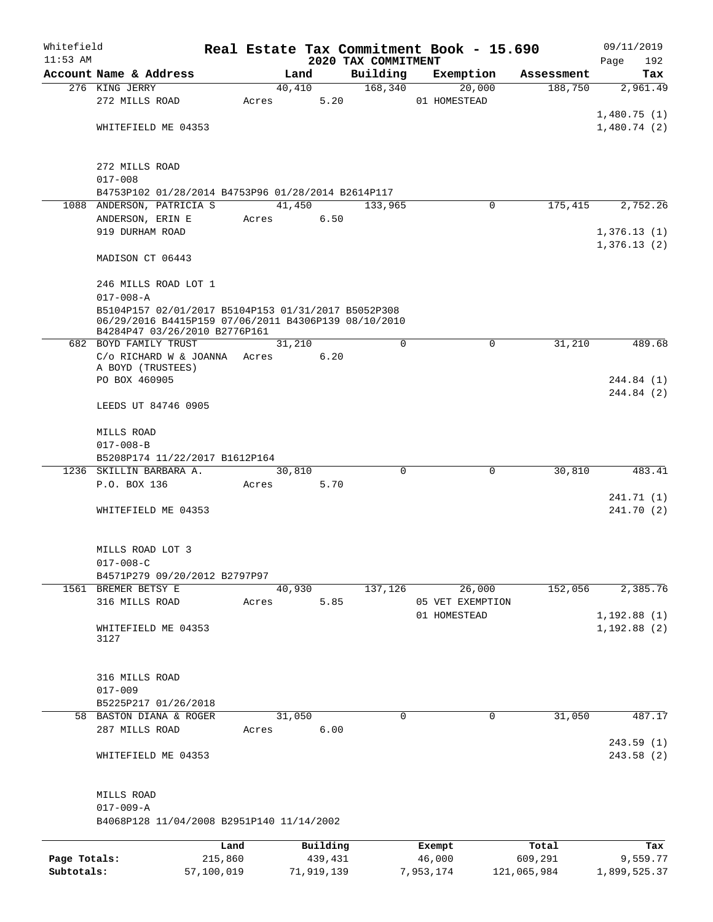| Whitefield<br>$11:53$ AM |                                                      |         |       |        |          | 2020 TAX COMMITMENT | Real Estate Tax Commitment Book - 15.690 |             |            | 09/11/2019<br>192<br>Page |
|--------------------------|------------------------------------------------------|---------|-------|--------|----------|---------------------|------------------------------------------|-------------|------------|---------------------------|
|                          | Account Name & Address                               |         |       | Land   |          | Building            | Exemption                                |             | Assessment | Tax                       |
|                          | 276 KING JERRY                                       |         |       | 40,410 |          | 168,340             |                                          | 20,000      | 188,750    | 2,961.49                  |
|                          | 272 MILLS ROAD                                       |         | Acres |        | 5.20     |                     | 01 HOMESTEAD                             |             |            |                           |
|                          |                                                      |         |       |        |          |                     |                                          |             |            | 1,480.75(1)               |
|                          | WHITEFIELD ME 04353                                  |         |       |        |          |                     |                                          |             |            | 1,480.74(2)               |
|                          |                                                      |         |       |        |          |                     |                                          |             |            |                           |
|                          |                                                      |         |       |        |          |                     |                                          |             |            |                           |
|                          | 272 MILLS ROAD                                       |         |       |        |          |                     |                                          |             |            |                           |
|                          | $017 - 008$                                          |         |       |        |          |                     |                                          |             |            |                           |
|                          | B4753P102 01/28/2014 B4753P96 01/28/2014 B2614P117   |         |       |        |          |                     |                                          |             |            |                           |
|                          | 1088 ANDERSON, PATRICIA S                            |         |       | 41,450 |          | 133,965             |                                          | 0           | 175,415    | 2,752.26                  |
|                          | ANDERSON, ERIN E                                     |         | Acres |        | 6.50     |                     |                                          |             |            |                           |
|                          | 919 DURHAM ROAD                                      |         |       |        |          |                     |                                          |             |            | 1,376.13(1)               |
|                          |                                                      |         |       |        |          |                     |                                          |             |            | 1,376.13(2)               |
|                          | MADISON CT 06443                                     |         |       |        |          |                     |                                          |             |            |                           |
|                          | 246 MILLS ROAD LOT 1                                 |         |       |        |          |                     |                                          |             |            |                           |
|                          | $017 - 008 - A$                                      |         |       |        |          |                     |                                          |             |            |                           |
|                          | B5104P157 02/01/2017 B5104P153 01/31/2017 B5052P308  |         |       |        |          |                     |                                          |             |            |                           |
|                          | 06/29/2016 B4415P159 07/06/2011 B4306P139 08/10/2010 |         |       |        |          |                     |                                          |             |            |                           |
|                          | B4284P47 03/26/2010 B2776P161                        |         |       |        |          |                     |                                          |             |            |                           |
|                          | 682 BOYD FAMILY TRUST                                |         |       | 31,210 |          | $\Omega$            |                                          | $\mathbf 0$ | 31,210     | 489.68                    |
|                          | C/o RICHARD W & JOANNA Acres                         |         |       |        | 6.20     |                     |                                          |             |            |                           |
|                          | A BOYD (TRUSTEES)<br>PO BOX 460905                   |         |       |        |          |                     |                                          |             |            | 244.84 (1)                |
|                          |                                                      |         |       |        |          |                     |                                          |             |            | 244.84 (2)                |
|                          | LEEDS UT 84746 0905                                  |         |       |        |          |                     |                                          |             |            |                           |
|                          |                                                      |         |       |        |          |                     |                                          |             |            |                           |
|                          | MILLS ROAD                                           |         |       |        |          |                     |                                          |             |            |                           |
|                          | $017 - 008 - B$                                      |         |       |        |          |                     |                                          |             |            |                           |
|                          | B5208P174 11/22/2017 B1612P164                       |         |       |        |          |                     |                                          |             |            |                           |
|                          | 1236 SKILLIN BARBARA A.                              |         |       | 30,810 |          | $\Omega$            |                                          | 0           | 30,810     | 483.41                    |
|                          | P.O. BOX 136                                         |         | Acres |        | 5.70     |                     |                                          |             |            |                           |
|                          |                                                      |         |       |        |          |                     |                                          |             |            | 241.71 (1)                |
|                          | WHITEFIELD ME 04353                                  |         |       |        |          |                     |                                          |             |            | 241.70 (2)                |
|                          |                                                      |         |       |        |          |                     |                                          |             |            |                           |
|                          |                                                      |         |       |        |          |                     |                                          |             |            |                           |
|                          | MILLS ROAD LOT 3                                     |         |       |        |          |                     |                                          |             |            |                           |
|                          | $017 - 008 - C$                                      |         |       |        |          |                     |                                          |             |            |                           |
|                          | B4571P279 09/20/2012 B2797P97                        |         |       |        |          |                     |                                          |             |            |                           |
|                          | 1561 BREMER BETSY E                                  |         |       | 40,930 |          | 137,126             |                                          | 26,000      | 152,056    | 2,385.76                  |
|                          | 316 MILLS ROAD                                       |         | Acres |        | 5.85     |                     | 05 VET EXEMPTION                         |             |            |                           |
|                          |                                                      |         |       |        |          |                     | 01 HOMESTEAD                             |             |            | 1,192.88(1)               |
|                          | WHITEFIELD ME 04353<br>3127                          |         |       |        |          |                     |                                          |             |            | 1, 192.88(2)              |
|                          |                                                      |         |       |        |          |                     |                                          |             |            |                           |
|                          |                                                      |         |       |        |          |                     |                                          |             |            |                           |
|                          | 316 MILLS ROAD                                       |         |       |        |          |                     |                                          |             |            |                           |
|                          | $017 - 009$                                          |         |       |        |          |                     |                                          |             |            |                           |
|                          | B5225P217 01/26/2018                                 |         |       |        |          |                     |                                          |             |            |                           |
|                          | 58 BASTON DIANA & ROGER                              |         |       | 31,050 |          | $\Omega$            |                                          | 0           | 31,050     | 487.17                    |
|                          | 287 MILLS ROAD                                       |         | Acres |        | 6.00     |                     |                                          |             |            |                           |
|                          |                                                      |         |       |        |          |                     |                                          |             |            | 243.59(1)                 |
|                          | WHITEFIELD ME 04353                                  |         |       |        |          |                     |                                          |             |            | 243.58(2)                 |
|                          |                                                      |         |       |        |          |                     |                                          |             |            |                           |
|                          |                                                      |         |       |        |          |                     |                                          |             |            |                           |
|                          | MILLS ROAD                                           |         |       |        |          |                     |                                          |             |            |                           |
|                          | $017 - 009 - A$                                      |         |       |        |          |                     |                                          |             |            |                           |
|                          | B4068P128 11/04/2008 B2951P140 11/14/2002            |         |       |        |          |                     |                                          |             |            |                           |
|                          |                                                      | Land    |       |        | Building |                     | Exempt                                   |             | Total      | Tax                       |
| Page Totals:             |                                                      | 215,860 |       |        | 439,431  |                     | 46,000                                   |             | 609,291    | 9,559.77                  |
|                          |                                                      |         |       |        |          |                     |                                          |             |            |                           |

**Subtotals:** 57,100,019 71,919,139 7,953,174 121,065,984 1,899,525.37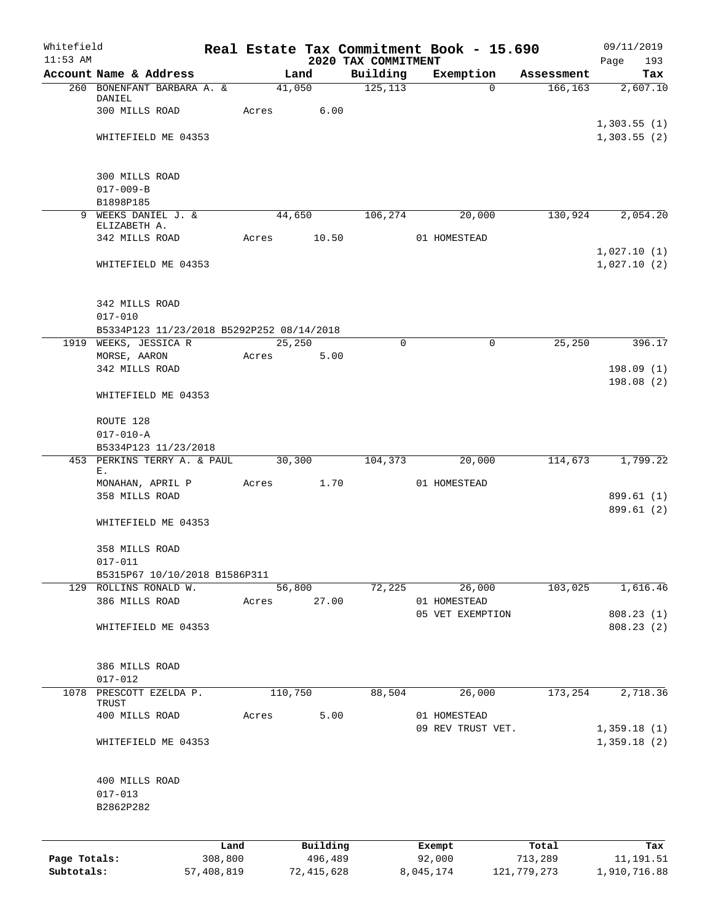| Whitefield<br>$11:53$ AM |                                           |            |       |                 | 2020 TAX COMMITMENT | Real Estate Tax Commitment Book - 15.690 |             | 09/11/2019<br>Page<br>193  |
|--------------------------|-------------------------------------------|------------|-------|-----------------|---------------------|------------------------------------------|-------------|----------------------------|
|                          | Account Name & Address                    |            |       | Land            | Building            | Exemption                                | Assessment  | Tax                        |
|                          | 260 BONENFANT BARBARA A. &                |            |       | 41,050          | 125, 113            | $\Omega$                                 | 166,163     | 2,607.10                   |
|                          | DANIEL<br>300 MILLS ROAD                  |            | Acres | 6.00            |                     |                                          |             |                            |
|                          |                                           |            |       |                 |                     |                                          |             | 1,303.55(1)                |
|                          | WHITEFIELD ME 04353                       |            |       |                 |                     |                                          |             | 1,303.55(2)                |
|                          | 300 MILLS ROAD                            |            |       |                 |                     |                                          |             |                            |
|                          | $017 - 009 - B$                           |            |       |                 |                     |                                          |             |                            |
|                          | B1898P185                                 |            |       |                 |                     |                                          |             |                            |
| 9                        | WEEKS DANIEL J. &<br>ELIZABETH A.         |            |       | 44,650          | 106,274             | 20,000                                   | 130,924     | 2,054.20                   |
|                          | 342 MILLS ROAD                            |            | Acres | 10.50           |                     | 01 HOMESTEAD                             |             |                            |
|                          | WHITEFIELD ME 04353                       |            |       |                 |                     |                                          |             | 1,027.10(1)<br>1,027.10(2) |
|                          | 342 MILLS ROAD                            |            |       |                 |                     |                                          |             |                            |
|                          | $017 - 010$                               |            |       |                 |                     |                                          |             |                            |
|                          | B5334P123 11/23/2018 B5292P252 08/14/2018 |            |       |                 |                     |                                          |             |                            |
|                          | 1919 WEEKS, JESSICA R                     |            |       | 25,250          | $\mathbf 0$         | 0                                        | 25,250      | 396.17                     |
|                          | MORSE, AARON<br>342 MILLS ROAD            |            | Acres | 5.00            |                     |                                          |             | 198.09(1)                  |
|                          | WHITEFIELD ME 04353                       |            |       |                 |                     |                                          |             | 198.08(2)                  |
|                          | ROUTE 128                                 |            |       |                 |                     |                                          |             |                            |
|                          | $017 - 010 - A$                           |            |       |                 |                     |                                          |             |                            |
|                          | B5334P123 11/23/2018                      |            |       |                 |                     |                                          |             |                            |
|                          | 453 PERKINS TERRY A. & PAUL               |            |       | 30,300          | 104,373             | 20,000                                   | 114,673     | 1,799.22                   |
|                          | Ε.<br>MONAHAN, APRIL P                    |            | Acres | 1.70            |                     | 01 HOMESTEAD                             |             |                            |
|                          | 358 MILLS ROAD                            |            |       |                 |                     |                                          |             | 899.61 (1)                 |
|                          | WHITEFIELD ME 04353                       |            |       |                 |                     |                                          |             | 899.61 (2)                 |
|                          | 358 MILLS ROAD                            |            |       |                 |                     |                                          |             |                            |
|                          | $017 - 011$                               |            |       |                 |                     |                                          |             |                            |
|                          | B5315P67 10/10/2018 B1586P311             |            |       |                 |                     |                                          |             |                            |
|                          | 129 ROLLINS RONALD W.<br>386 MILLS ROAD   |            | Acres | 56,800<br>27.00 | 72,225              | 26,000<br>01 HOMESTEAD                   | 103,025     | 1,616.46                   |
|                          |                                           |            |       |                 |                     | 05 VET EXEMPTION                         |             | 808.23 (1)                 |
|                          | WHITEFIELD ME 04353                       |            |       |                 |                     |                                          |             | 808.23 (2)                 |
|                          | 386 MILLS ROAD                            |            |       |                 |                     |                                          |             |                            |
|                          | $017 - 012$                               |            |       |                 |                     |                                          |             |                            |
| 1078                     | PRESCOTT EZELDA P.                        |            |       | 110,750         | 88,504              | 26,000                                   | 173,254     | 2,718.36                   |
|                          | TRUST<br>400 MILLS ROAD                   |            | Acres | 5.00            |                     | 01 HOMESTEAD                             |             |                            |
|                          |                                           |            |       |                 |                     | 09 REV TRUST VET.                        |             | 1,359.18(1)                |
|                          | WHITEFIELD ME 04353                       |            |       |                 |                     |                                          |             | 1,359.18(2)                |
|                          | 400 MILLS ROAD                            |            |       |                 |                     |                                          |             |                            |
|                          | $017 - 013$                               |            |       |                 |                     |                                          |             |                            |
|                          | B2862P282                                 |            |       |                 |                     |                                          |             |                            |
|                          |                                           | Land       |       | Building        |                     | Exempt                                   | Total       | Tax                        |
| Page Totals:             |                                           | 308,800    |       | 496,489         |                     | 92,000                                   | 713,289     | 11, 191.51                 |
| Subtotals:               |                                           | 57,408,819 |       | 72, 415, 628    |                     | 8,045,174                                | 121,779,273 | 1,910,716.88               |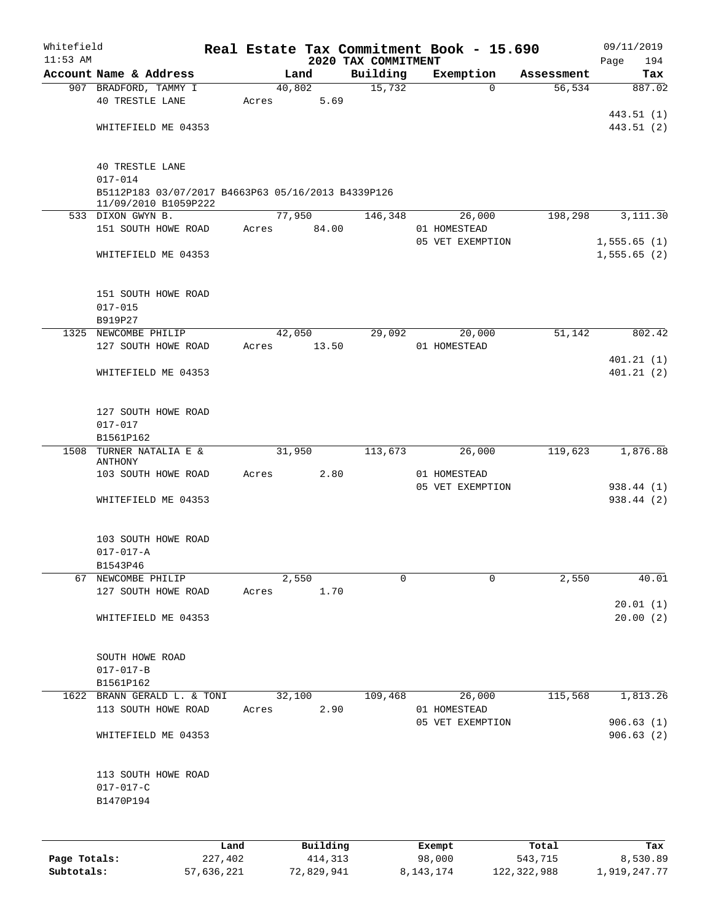| Whitefield   |                                                                            |       |          |                                 | Real Estate Tax Commitment Book - 15.690 |            | 09/11/2019         |
|--------------|----------------------------------------------------------------------------|-------|----------|---------------------------------|------------------------------------------|------------|--------------------|
| $11:53$ AM   | Account Name & Address                                                     |       | Land     | 2020 TAX COMMITMENT<br>Building | Exemption                                | Assessment | 194<br>Page<br>Tax |
|              | 907 BRADFORD, TAMMY I                                                      |       | 40,802   | 15,732                          | $\Omega$                                 | 56, 534    | 887.02             |
|              | <b>40 TRESTLE LANE</b>                                                     | Acres | 5.69     |                                 |                                          |            |                    |
|              |                                                                            |       |          |                                 |                                          |            | 443.51 (1)         |
|              | WHITEFIELD ME 04353                                                        |       |          |                                 |                                          |            | 443.51 (2)         |
|              |                                                                            |       |          |                                 |                                          |            |                    |
|              |                                                                            |       |          |                                 |                                          |            |                    |
|              | <b>40 TRESTLE LANE</b>                                                     |       |          |                                 |                                          |            |                    |
|              | $017 - 014$                                                                |       |          |                                 |                                          |            |                    |
|              | B5112P183 03/07/2017 B4663P63 05/16/2013 B4339P126<br>11/09/2010 B1059P222 |       |          |                                 |                                          |            |                    |
|              | 533 DIXON GWYN B.                                                          |       | 77,950   | 146,348                         | 26,000                                   | 198,298    | 3,111.30           |
|              | 151 SOUTH HOWE ROAD                                                        | Acres | 84.00    |                                 | 01 HOMESTEAD                             |            |                    |
|              |                                                                            |       |          |                                 | 05 VET EXEMPTION                         |            | 1,555.65(1)        |
|              | WHITEFIELD ME 04353                                                        |       |          |                                 |                                          |            | 1,555.65(2)        |
|              |                                                                            |       |          |                                 |                                          |            |                    |
|              |                                                                            |       |          |                                 |                                          |            |                    |
|              | 151 SOUTH HOWE ROAD                                                        |       |          |                                 |                                          |            |                    |
|              | $017 - 015$                                                                |       |          |                                 |                                          |            |                    |
|              | B919P27                                                                    |       |          |                                 |                                          |            |                    |
|              | 1325 NEWCOMBE PHILIP                                                       |       | 42,050   | 29,092                          | 20,000                                   | 51,142     | 802.42             |
|              | 127 SOUTH HOWE ROAD                                                        | Acres | 13.50    |                                 | 01 HOMESTEAD                             |            |                    |
|              |                                                                            |       |          |                                 |                                          |            | 401.21(1)          |
|              | WHITEFIELD ME 04353                                                        |       |          |                                 |                                          |            | 401.21(2)          |
|              |                                                                            |       |          |                                 |                                          |            |                    |
|              |                                                                            |       |          |                                 |                                          |            |                    |
|              | 127 SOUTH HOWE ROAD                                                        |       |          |                                 |                                          |            |                    |
|              | $017 - 017$<br>B1561P162                                                   |       |          |                                 |                                          |            |                    |
| 1508         | TURNER NATALIA E &                                                         |       | 31,950   | 113,673                         | 26,000                                   | 119,623    | 1,876.88           |
|              | ANTHONY                                                                    |       |          |                                 |                                          |            |                    |
|              | 103 SOUTH HOWE ROAD                                                        | Acres | 2.80     |                                 | 01 HOMESTEAD                             |            |                    |
|              |                                                                            |       |          |                                 | 05 VET EXEMPTION                         |            | 938.44 (1)         |
|              | WHITEFIELD ME 04353                                                        |       |          |                                 |                                          |            | 938.44 (2)         |
|              |                                                                            |       |          |                                 |                                          |            |                    |
|              |                                                                            |       |          |                                 |                                          |            |                    |
|              | 103 SOUTH HOWE ROAD                                                        |       |          |                                 |                                          |            |                    |
|              | $017 - 017 - A$<br>B1543P46                                                |       |          |                                 |                                          |            |                    |
| 67           | NEWCOMBE PHILIP                                                            |       | 2,550    | $\mathbf 0$                     | 0                                        | 2,550      | 40.01              |
|              | 127 SOUTH HOWE ROAD                                                        | Acres | 1.70     |                                 |                                          |            |                    |
|              |                                                                            |       |          |                                 |                                          |            | 20.01(1)           |
|              | WHITEFIELD ME 04353                                                        |       |          |                                 |                                          |            | 20.00(2)           |
|              |                                                                            |       |          |                                 |                                          |            |                    |
|              |                                                                            |       |          |                                 |                                          |            |                    |
|              | SOUTH HOWE ROAD                                                            |       |          |                                 |                                          |            |                    |
|              | $017 - 017 - B$                                                            |       |          |                                 |                                          |            |                    |
|              | B1561P162                                                                  |       |          |                                 |                                          |            |                    |
|              | 1622 BRANN GERALD L. & TONI                                                |       | 32,100   | 109,468                         | 26,000                                   | 115,568    | 1,813.26           |
|              | 113 SOUTH HOWE ROAD                                                        | Acres | 2.90     |                                 | 01 HOMESTEAD                             |            |                    |
|              |                                                                            |       |          |                                 | 05 VET EXEMPTION                         |            | 906.63(1)          |
|              | WHITEFIELD ME 04353                                                        |       |          |                                 |                                          |            | 906.63(2)          |
|              |                                                                            |       |          |                                 |                                          |            |                    |
|              | 113 SOUTH HOWE ROAD                                                        |       |          |                                 |                                          |            |                    |
|              | $017 - 017 - C$                                                            |       |          |                                 |                                          |            |                    |
|              | B1470P194                                                                  |       |          |                                 |                                          |            |                    |
|              |                                                                            |       |          |                                 |                                          |            |                    |
|              |                                                                            |       |          |                                 |                                          |            |                    |
|              |                                                                            |       |          |                                 |                                          |            |                    |
|              |                                                                            | Land  | Building |                                 | Exempt                                   | Total      | Tax                |
| Page Totals: | 227,402                                                                    |       | 414,313  |                                 | 98,000                                   | 543,715    | 8,530.89           |

**Subtotals:** 57,636,221 72,829,941 8,143,174 122,322,988 1,919,247.77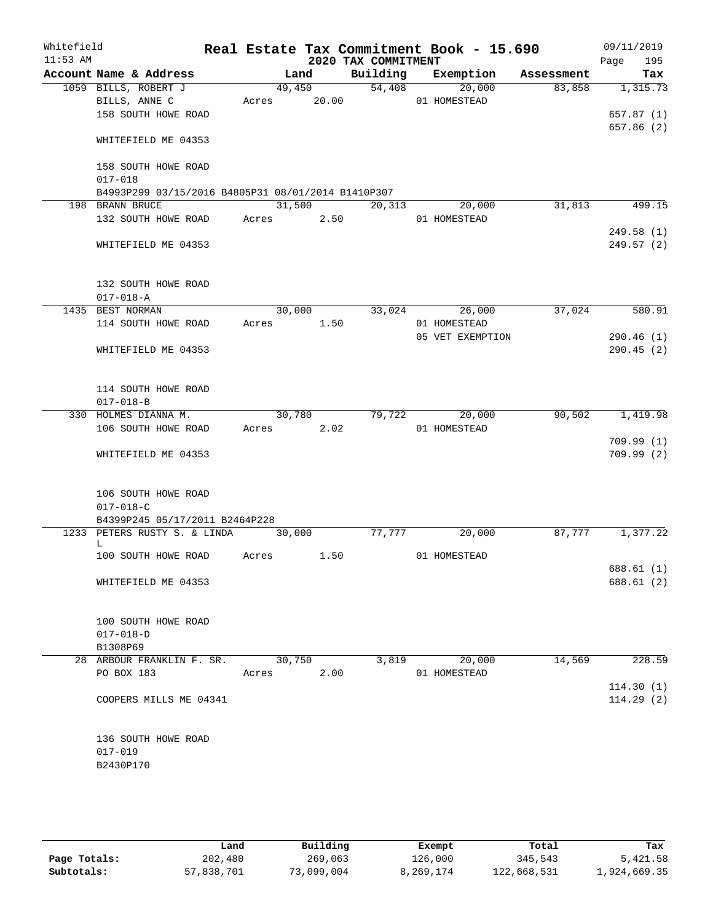| Whitefield<br>$11:53$ AM |                                                    |        |       | 2020 TAX COMMITMENT | Real Estate Tax Commitment Book - 15.690 |            | 09/11/2019<br>Page<br>195 |
|--------------------------|----------------------------------------------------|--------|-------|---------------------|------------------------------------------|------------|---------------------------|
|                          | Account Name & Address                             |        | Land  | Building            | Exemption                                | Assessment | Tax                       |
|                          | 1059 BILLS, ROBERT J                               | 49,450 |       | 54,408              | $\overline{20,000}$                      | 83,858     | 1,315.73                  |
|                          | BILLS, ANNE C                                      | Acres  | 20.00 |                     | 01 HOMESTEAD                             |            |                           |
|                          | 158 SOUTH HOWE ROAD                                |        |       |                     |                                          |            | 657.87 (1)                |
|                          | WHITEFIELD ME 04353                                |        |       |                     |                                          |            | 657.86 (2)                |
|                          | 158 SOUTH HOWE ROAD<br>$017 - 018$                 |        |       |                     |                                          |            |                           |
|                          | B4993P299 03/15/2016 B4805P31 08/01/2014 B1410P307 |        |       |                     |                                          |            |                           |
|                          | 198 BRANN BRUCE                                    | 31,500 |       | 20,313              | 20,000                                   | 31,813     | 499.15                    |
|                          | 132 SOUTH HOWE ROAD                                | Acres  | 2.50  |                     | 01 HOMESTEAD                             |            |                           |
|                          |                                                    |        |       |                     |                                          |            | 249.58 (1)                |
|                          | WHITEFIELD ME 04353                                |        |       |                     |                                          |            | 249.57(2)                 |
|                          | 132 SOUTH HOWE ROAD                                |        |       |                     |                                          |            |                           |
|                          | $017 - 018 - A$                                    |        |       |                     |                                          |            |                           |
|                          | 1435 BEST NORMAN                                   | 30,000 |       | 33,024              | 26,000                                   | 37,024     | 580.91                    |
|                          | 114 SOUTH HOWE ROAD                                | Acres  | 1.50  |                     | 01 HOMESTEAD                             |            |                           |
|                          |                                                    |        |       |                     | 05 VET EXEMPTION                         |            | 290.46(1)                 |
|                          | WHITEFIELD ME 04353                                |        |       |                     |                                          |            | 290.45(2)                 |
|                          | 114 SOUTH HOWE ROAD                                |        |       |                     |                                          |            |                           |
|                          | $017 - 018 - B$                                    |        |       |                     |                                          |            |                           |
|                          | 330 HOLMES DIANNA M.                               | 30,780 |       | 79,722              | 20,000                                   | 90, 502    | 1,419.98                  |
|                          | 106 SOUTH HOWE ROAD                                | Acres  | 2.02  |                     | 01 HOMESTEAD                             |            |                           |
|                          |                                                    |        |       |                     |                                          |            | 709.99 (1)                |
|                          | WHITEFIELD ME 04353                                |        |       |                     |                                          |            | 709.99 (2)                |
|                          | 106 SOUTH HOWE ROAD                                |        |       |                     |                                          |            |                           |
|                          | $017 - 018 - C$                                    |        |       |                     |                                          |            |                           |
|                          | B4399P245 05/17/2011 B2464P228                     |        |       |                     |                                          |            |                           |
|                          | 1233 PETERS RUSTY S. & LINDA<br>L                  | 30,000 |       | 77,777              | 20,000                                   | 87,777     | 1,377.22                  |
|                          | 100 SOUTH HOWE ROAD                                | Acres  | 1.50  |                     | 01 HOMESTEAD                             |            |                           |
|                          |                                                    |        |       |                     |                                          |            | 688.61 (1)                |
|                          | WHITEFIELD ME 04353                                |        |       |                     |                                          |            | 688.61 (2)                |
|                          | 100 SOUTH HOWE ROAD                                |        |       |                     |                                          |            |                           |
|                          | $017 - 018 - D$                                    |        |       |                     |                                          |            |                           |
|                          | B1308P69                                           |        |       |                     |                                          |            |                           |
|                          | 28 ARBOUR FRANKLIN F. SR.                          | 30,750 |       | 3,819               | 20,000                                   | 14,569     | 228.59                    |
|                          | PO BOX 183                                         | Acres  | 2.00  |                     | 01 HOMESTEAD                             |            |                           |
|                          |                                                    |        |       |                     |                                          |            | 114.30(1)                 |
|                          | COOPERS MILLS ME 04341                             |        |       |                     |                                          |            | 114.29(2)                 |
|                          | 136 SOUTH HOWE ROAD                                |        |       |                     |                                          |            |                           |
|                          | $017 - 019$                                        |        |       |                     |                                          |            |                           |
|                          | B2430P170                                          |        |       |                     |                                          |            |                           |
|                          |                                                    |        |       |                     |                                          |            |                           |
|                          |                                                    |        |       |                     |                                          |            |                           |

|              | Land       | Building   | Exempt    | Total       | Tax          |
|--------------|------------|------------|-----------|-------------|--------------|
| Page Totals: | 202,480    | 269,063    | 126,000   | 345,543     | 5,421.58     |
| Subtotals:   | 57,838,701 | 73,099,004 | 8,269,174 | 122,668,531 | l,924,669.35 |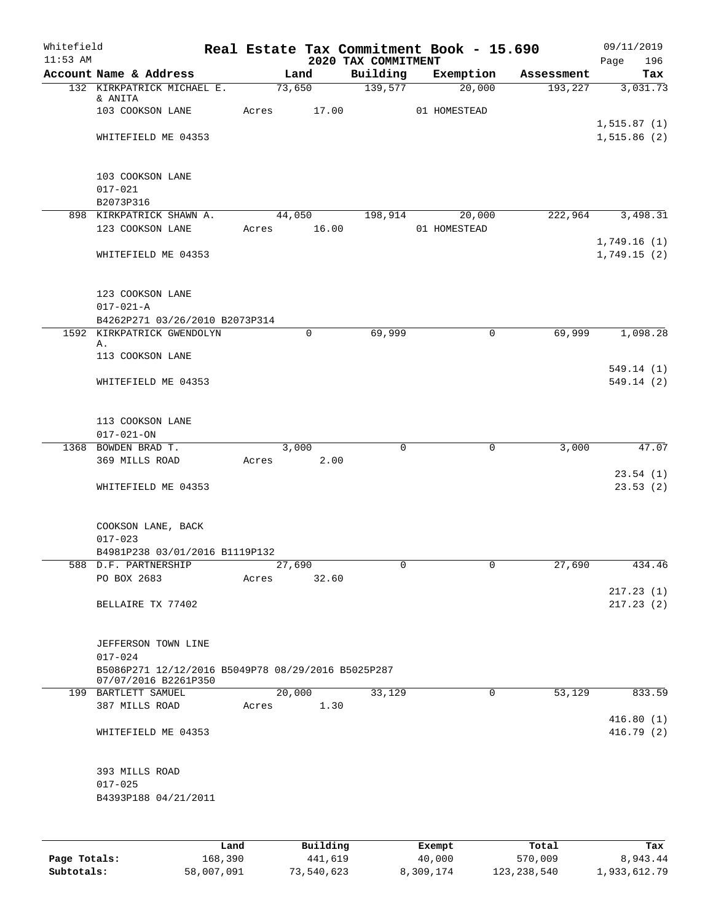| Building<br>Account Name & Address<br>Land<br>Exemption<br>Assessment<br>73,650<br>139,577<br>20,000<br>193,227<br>132 KIRKPATRICK MICHAEL E.<br>& ANITA<br>103 COOKSON LANE<br>17.00<br>Acres<br>01 HOMESTEAD<br>1, 515.87(1)<br>WHITEFIELD ME 04353<br>103 COOKSON LANE<br>$017 - 021$<br>B2073P316<br>898 KIRKPATRICK SHAWN A.<br>44,050<br>198,914<br>222,964<br>3,498.31<br>20,000<br>Acres 16.00<br>123 COOKSON LANE<br>01 HOMESTEAD<br>1,749.16(1)<br>WHITEFIELD ME 04353<br>123 COOKSON LANE<br>$017 - 021 - A$<br>B4262P271 03/26/2010 B2073P314<br>1592 KIRKPATRICK GWENDOLYN<br>0<br>69,999<br>$\mathsf{O}$<br>69,999<br>1,098.28<br>Α.<br>113 COOKSON LANE<br>549.14(1)<br>WHITEFIELD ME 04353<br>113 COOKSON LANE<br>$017 - 021 - ON$<br>1368 BOWDEN BRAD T.<br>3,000<br>$\mathbf 0$<br>0<br>3,000<br>369 MILLS ROAD<br>Acres<br>2.00<br>23.54(1)<br>WHITEFIELD ME 04353<br>COOKSON LANE, BACK<br>$017 - 023$<br>B4981P238 03/01/2016 B1119P132<br>588 D.F. PARTNERSHIP<br>27,690<br>$\overline{0}$<br>27,690<br>434.46<br>PO BOX 2683<br>32.60<br>Acres<br>BELLAIRE TX 77402<br>JEFFERSON TOWN LINE<br>$017 - 024$<br>B5086P271 12/12/2016 B5049P78 08/29/2016 B5025P287<br>07/07/2016 B2261P350<br>20,000<br>33,129<br>53,129<br>199 BARTLETT SAMUEL<br>0<br>833.59<br>387 MILLS ROAD<br>1.30<br>Acres<br>416.80(1)<br>WHITEFIELD ME 04353<br>393 MILLS ROAD<br>$017 - 025$<br>B4393P188 04/21/2011<br>$D_{11}$ in $A$ in $A$<br>$P$ <sub>i</sub> came <sup>t</sup><br>$T - + -1$ | Whitefield<br>$11:53$ AM |  | 2020 TAX COMMITMENT | Real Estate Tax Commitment Book - 15.690 | 09/11/2019<br>Page<br>196 |
|--------------------------------------------------------------------------------------------------------------------------------------------------------------------------------------------------------------------------------------------------------------------------------------------------------------------------------------------------------------------------------------------------------------------------------------------------------------------------------------------------------------------------------------------------------------------------------------------------------------------------------------------------------------------------------------------------------------------------------------------------------------------------------------------------------------------------------------------------------------------------------------------------------------------------------------------------------------------------------------------------------------------------------------------------------------------------------------------------------------------------------------------------------------------------------------------------------------------------------------------------------------------------------------------------------------------------------------------------------------------------------------------------------------------------------------------------------------------------------------------------|--------------------------|--|---------------------|------------------------------------------|---------------------------|
|                                                                                                                                                                                                                                                                                                                                                                                                                                                                                                                                                                                                                                                                                                                                                                                                                                                                                                                                                                                                                                                                                                                                                                                                                                                                                                                                                                                                                                                                                                  |                          |  |                     |                                          | Tax                       |
|                                                                                                                                                                                                                                                                                                                                                                                                                                                                                                                                                                                                                                                                                                                                                                                                                                                                                                                                                                                                                                                                                                                                                                                                                                                                                                                                                                                                                                                                                                  |                          |  |                     |                                          | 3,031.73                  |
|                                                                                                                                                                                                                                                                                                                                                                                                                                                                                                                                                                                                                                                                                                                                                                                                                                                                                                                                                                                                                                                                                                                                                                                                                                                                                                                                                                                                                                                                                                  |                          |  |                     |                                          |                           |
|                                                                                                                                                                                                                                                                                                                                                                                                                                                                                                                                                                                                                                                                                                                                                                                                                                                                                                                                                                                                                                                                                                                                                                                                                                                                                                                                                                                                                                                                                                  |                          |  |                     |                                          | 1,515.86(2)               |
|                                                                                                                                                                                                                                                                                                                                                                                                                                                                                                                                                                                                                                                                                                                                                                                                                                                                                                                                                                                                                                                                                                                                                                                                                                                                                                                                                                                                                                                                                                  |                          |  |                     |                                          |                           |
|                                                                                                                                                                                                                                                                                                                                                                                                                                                                                                                                                                                                                                                                                                                                                                                                                                                                                                                                                                                                                                                                                                                                                                                                                                                                                                                                                                                                                                                                                                  |                          |  |                     |                                          |                           |
|                                                                                                                                                                                                                                                                                                                                                                                                                                                                                                                                                                                                                                                                                                                                                                                                                                                                                                                                                                                                                                                                                                                                                                                                                                                                                                                                                                                                                                                                                                  |                          |  |                     |                                          |                           |
|                                                                                                                                                                                                                                                                                                                                                                                                                                                                                                                                                                                                                                                                                                                                                                                                                                                                                                                                                                                                                                                                                                                                                                                                                                                                                                                                                                                                                                                                                                  |                          |  |                     |                                          | 1,749.15(2)               |
|                                                                                                                                                                                                                                                                                                                                                                                                                                                                                                                                                                                                                                                                                                                                                                                                                                                                                                                                                                                                                                                                                                                                                                                                                                                                                                                                                                                                                                                                                                  |                          |  |                     |                                          |                           |
|                                                                                                                                                                                                                                                                                                                                                                                                                                                                                                                                                                                                                                                                                                                                                                                                                                                                                                                                                                                                                                                                                                                                                                                                                                                                                                                                                                                                                                                                                                  |                          |  |                     |                                          |                           |
|                                                                                                                                                                                                                                                                                                                                                                                                                                                                                                                                                                                                                                                                                                                                                                                                                                                                                                                                                                                                                                                                                                                                                                                                                                                                                                                                                                                                                                                                                                  |                          |  |                     |                                          |                           |
|                                                                                                                                                                                                                                                                                                                                                                                                                                                                                                                                                                                                                                                                                                                                                                                                                                                                                                                                                                                                                                                                                                                                                                                                                                                                                                                                                                                                                                                                                                  |                          |  |                     |                                          |                           |
|                                                                                                                                                                                                                                                                                                                                                                                                                                                                                                                                                                                                                                                                                                                                                                                                                                                                                                                                                                                                                                                                                                                                                                                                                                                                                                                                                                                                                                                                                                  |                          |  |                     |                                          | 549.14 (2)                |
|                                                                                                                                                                                                                                                                                                                                                                                                                                                                                                                                                                                                                                                                                                                                                                                                                                                                                                                                                                                                                                                                                                                                                                                                                                                                                                                                                                                                                                                                                                  |                          |  |                     |                                          |                           |
|                                                                                                                                                                                                                                                                                                                                                                                                                                                                                                                                                                                                                                                                                                                                                                                                                                                                                                                                                                                                                                                                                                                                                                                                                                                                                                                                                                                                                                                                                                  |                          |  |                     |                                          | 47.07                     |
|                                                                                                                                                                                                                                                                                                                                                                                                                                                                                                                                                                                                                                                                                                                                                                                                                                                                                                                                                                                                                                                                                                                                                                                                                                                                                                                                                                                                                                                                                                  |                          |  |                     |                                          |                           |
|                                                                                                                                                                                                                                                                                                                                                                                                                                                                                                                                                                                                                                                                                                                                                                                                                                                                                                                                                                                                                                                                                                                                                                                                                                                                                                                                                                                                                                                                                                  |                          |  |                     |                                          | 23.53(2)                  |
|                                                                                                                                                                                                                                                                                                                                                                                                                                                                                                                                                                                                                                                                                                                                                                                                                                                                                                                                                                                                                                                                                                                                                                                                                                                                                                                                                                                                                                                                                                  |                          |  |                     |                                          |                           |
|                                                                                                                                                                                                                                                                                                                                                                                                                                                                                                                                                                                                                                                                                                                                                                                                                                                                                                                                                                                                                                                                                                                                                                                                                                                                                                                                                                                                                                                                                                  |                          |  |                     |                                          |                           |
|                                                                                                                                                                                                                                                                                                                                                                                                                                                                                                                                                                                                                                                                                                                                                                                                                                                                                                                                                                                                                                                                                                                                                                                                                                                                                                                                                                                                                                                                                                  |                          |  |                     |                                          |                           |
|                                                                                                                                                                                                                                                                                                                                                                                                                                                                                                                                                                                                                                                                                                                                                                                                                                                                                                                                                                                                                                                                                                                                                                                                                                                                                                                                                                                                                                                                                                  |                          |  |                     |                                          | 217.23(1)<br>217.23(2)    |
|                                                                                                                                                                                                                                                                                                                                                                                                                                                                                                                                                                                                                                                                                                                                                                                                                                                                                                                                                                                                                                                                                                                                                                                                                                                                                                                                                                                                                                                                                                  |                          |  |                     |                                          |                           |
|                                                                                                                                                                                                                                                                                                                                                                                                                                                                                                                                                                                                                                                                                                                                                                                                                                                                                                                                                                                                                                                                                                                                                                                                                                                                                                                                                                                                                                                                                                  |                          |  |                     |                                          |                           |
|                                                                                                                                                                                                                                                                                                                                                                                                                                                                                                                                                                                                                                                                                                                                                                                                                                                                                                                                                                                                                                                                                                                                                                                                                                                                                                                                                                                                                                                                                                  |                          |  |                     |                                          |                           |
|                                                                                                                                                                                                                                                                                                                                                                                                                                                                                                                                                                                                                                                                                                                                                                                                                                                                                                                                                                                                                                                                                                                                                                                                                                                                                                                                                                                                                                                                                                  |                          |  |                     |                                          | 416.79(2)                 |
|                                                                                                                                                                                                                                                                                                                                                                                                                                                                                                                                                                                                                                                                                                                                                                                                                                                                                                                                                                                                                                                                                                                                                                                                                                                                                                                                                                                                                                                                                                  |                          |  |                     |                                          |                           |
|                                                                                                                                                                                                                                                                                                                                                                                                                                                                                                                                                                                                                                                                                                                                                                                                                                                                                                                                                                                                                                                                                                                                                                                                                                                                                                                                                                                                                                                                                                  |                          |  |                     |                                          |                           |

|              | Land       | Building   | Exempt    | Total         | Tax          |
|--------------|------------|------------|-----------|---------------|--------------|
| Page Totals: | 168,390    | 441,619    | 40,000    | 570,009       | 8,943.44     |
| Subtotals:   | 58,007,091 | 73,540,623 | 8,309,174 | 123, 238, 540 | 1,933,612.79 |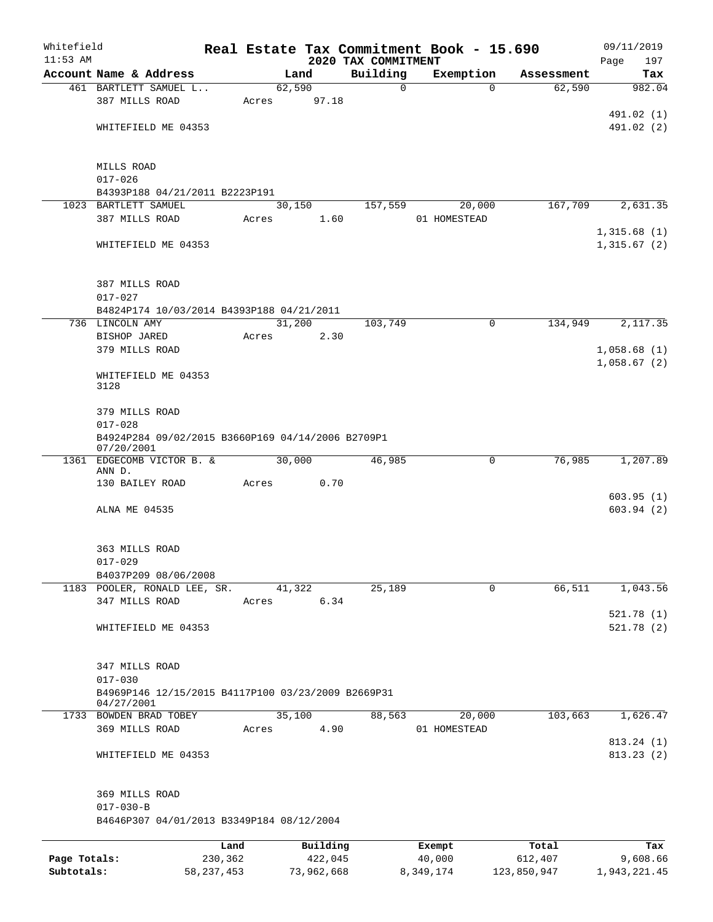| Whitefield   |                                                                   |         |                |                                 | Real Estate Tax Commitment Book - 15.690 |            | 09/11/2019         |
|--------------|-------------------------------------------------------------------|---------|----------------|---------------------------------|------------------------------------------|------------|--------------------|
| $11:53$ AM   | Account Name & Address                                            |         | Land           | 2020 TAX COMMITMENT<br>Building | Exemption                                | Assessment | 197<br>Page<br>Tax |
|              | 461 BARTLETT SAMUEL L                                             |         | 62,590         | $\mathbf 0$                     | $\Omega$                                 | 62,590     | 982.04             |
|              | 387 MILLS ROAD                                                    | Acres   | 97.18          |                                 |                                          |            |                    |
|              |                                                                   |         |                |                                 |                                          |            | 491.02 (1)         |
|              | WHITEFIELD ME 04353                                               |         |                |                                 |                                          |            | 491.02 (2)         |
|              | MILLS ROAD                                                        |         |                |                                 |                                          |            |                    |
|              | $017 - 026$                                                       |         |                |                                 |                                          |            |                    |
|              | B4393P188 04/21/2011 B2223P191                                    |         |                |                                 |                                          |            |                    |
|              | 1023 BARTLETT SAMUEL                                              |         | 30,150         | 157,559                         | 20,000                                   | 167,709    | 2,631.35           |
|              | 387 MILLS ROAD                                                    | Acres   | 1.60           |                                 | 01 HOMESTEAD                             |            | 1,315.68(1)        |
|              | WHITEFIELD ME 04353                                               |         |                |                                 |                                          |            | 1,315.67(2)        |
|              | 387 MILLS ROAD                                                    |         |                |                                 |                                          |            |                    |
|              | $017 - 027$                                                       |         |                |                                 |                                          |            |                    |
|              | B4824P174 10/03/2014 B4393P188 04/21/2011                         |         | 31,200         | 103,749                         | $\mathbf 0$                              | 134,949    | 2,117.35           |
|              | 736 LINCOLN AMY<br>BISHOP JARED                                   | Acres   | 2.30           |                                 |                                          |            |                    |
|              | 379 MILLS ROAD                                                    |         |                |                                 |                                          |            | 1,058.68(1)        |
|              |                                                                   |         |                |                                 |                                          |            | 1,058.67(2)        |
|              | WHITEFIELD ME 04353<br>3128                                       |         |                |                                 |                                          |            |                    |
|              | 379 MILLS ROAD<br>$017 - 028$                                     |         |                |                                 |                                          |            |                    |
|              | B4924P284 09/02/2015 B3660P169 04/14/2006 B2709P1<br>07/20/2001   |         |                |                                 |                                          |            |                    |
|              | 1361 EDGECOMB VICTOR B. &                                         |         | 30,000         | 46,985                          | 0                                        | 76,985     | 1,207.89           |
|              | ANN D.<br>130 BAILEY ROAD                                         | Acres   | 0.70           |                                 |                                          |            |                    |
|              |                                                                   |         |                |                                 |                                          |            | 603.95(1)          |
|              | ALNA ME 04535                                                     |         |                |                                 |                                          |            | 603.94(2)          |
|              | 363 MILLS ROAD                                                    |         |                |                                 |                                          |            |                    |
|              | $017 - 029$                                                       |         |                |                                 |                                          |            |                    |
|              | B4037P209 08/06/2008                                              |         |                |                                 |                                          |            |                    |
|              | 1183 POOLER, RONALD LEE, SR.<br>347 MILLS ROAD                    | Acres   | 41,322<br>6.34 | 25,189                          | 0                                        | 66,511     | 1,043.56           |
|              |                                                                   |         |                |                                 |                                          |            | 521.78(1)          |
|              | WHITEFIELD ME 04353                                               |         |                |                                 |                                          |            | 521.78(2)          |
|              | 347 MILLS ROAD                                                    |         |                |                                 |                                          |            |                    |
|              | $017 - 030$<br>B4969P146 12/15/2015 B4117P100 03/23/2009 B2669P31 |         |                |                                 |                                          |            |                    |
|              | 04/27/2001<br>1733 BOWDEN BRAD TOBEY                              |         | 35,100         | 88,563                          | 20,000                                   | 103,663    | 1,626.47           |
|              | 369 MILLS ROAD                                                    | Acres   | 4.90           |                                 | 01 HOMESTEAD                             |            |                    |
|              |                                                                   |         |                |                                 |                                          |            | 813.24 (1)         |
|              | WHITEFIELD ME 04353                                               |         |                |                                 |                                          |            | 813.23(2)          |
|              | 369 MILLS ROAD                                                    |         |                |                                 |                                          |            |                    |
|              | $017 - 030 - B$                                                   |         |                |                                 |                                          |            |                    |
|              | B4646P307 04/01/2013 B3349P184 08/12/2004                         |         |                |                                 |                                          |            |                    |
|              |                                                                   | Land    | Building       |                                 | Exempt                                   | Total      | Tax                |
| Page Totals: |                                                                   | 230,362 | 422,045        |                                 | 40,000                                   | 612,407    | 9,608.66           |

**Subtotals:** 58,237,453 73,962,668 8,349,174 123,850,947 1,943,221.45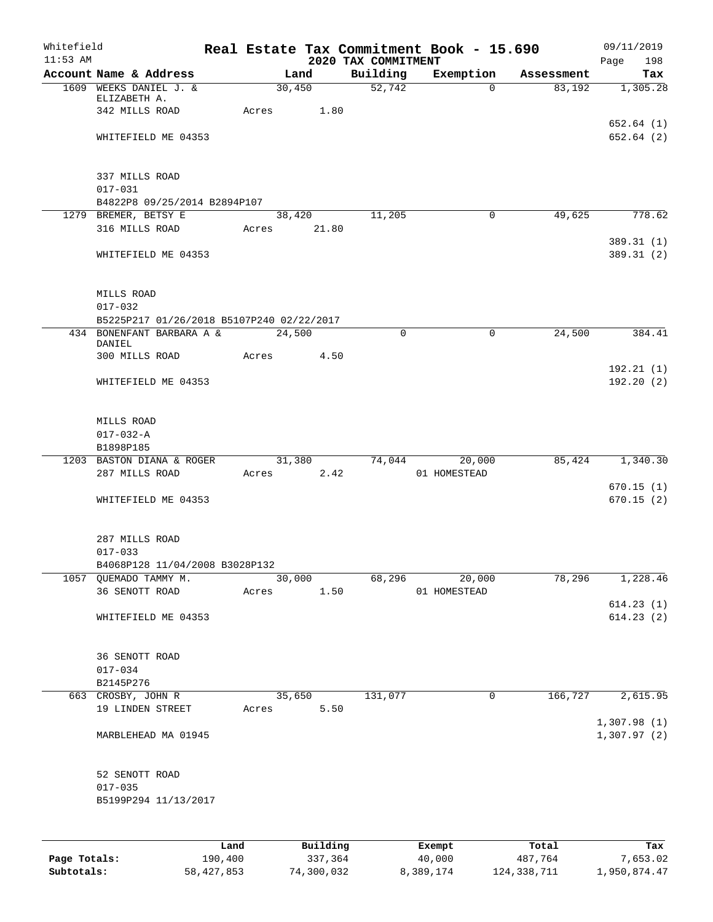| Whitefield<br>$11:53$ AM |                                           |         |       |                       | 2020 TAX COMMITMENT | Real Estate Tax Commitment Book - 15.690 |            | 09/11/2019<br>Page<br>198 |
|--------------------------|-------------------------------------------|---------|-------|-----------------------|---------------------|------------------------------------------|------------|---------------------------|
|                          | Account Name & Address                    |         |       | Land                  | Building            | Exemption                                | Assessment | Tax                       |
|                          | 1609 WEEKS DANIEL J. &                    |         |       | 30,450                | 52,742              | $\Omega$                                 | 83,192     | 1,305.28                  |
|                          | ELIZABETH A.                              |         |       |                       |                     |                                          |            |                           |
|                          | 342 MILLS ROAD                            |         | Acres | 1.80                  |                     |                                          |            | 652.64(1)                 |
|                          | WHITEFIELD ME 04353                       |         |       |                       |                     |                                          |            | 652.64 (2)                |
|                          |                                           |         |       |                       |                     |                                          |            |                           |
|                          |                                           |         |       |                       |                     |                                          |            |                           |
|                          | 337 MILLS ROAD                            |         |       |                       |                     |                                          |            |                           |
|                          | $017 - 031$                               |         |       |                       |                     |                                          |            |                           |
|                          | B4822P8 09/25/2014 B2894P107              |         |       |                       |                     |                                          |            |                           |
|                          | 1279 BREMER, BETSY E<br>316 MILLS ROAD    |         |       | 38,420<br>Acres 21.80 | 11,205              | 0                                        | 49,625     | 778.62                    |
|                          |                                           |         |       |                       |                     |                                          |            | 389.31 (1)                |
|                          | WHITEFIELD ME 04353                       |         |       |                       |                     |                                          |            | 389.31 (2)                |
|                          |                                           |         |       |                       |                     |                                          |            |                           |
|                          |                                           |         |       |                       |                     |                                          |            |                           |
|                          | MILLS ROAD                                |         |       |                       |                     |                                          |            |                           |
|                          | $017 - 032$                               |         |       |                       |                     |                                          |            |                           |
|                          | B5225P217 01/26/2018 B5107P240 02/22/2017 |         |       |                       |                     |                                          |            |                           |
|                          | 434 BONENFANT BARBARA A &<br>DANIEL       |         |       | 24,500                | $\Omega$            | $\mathbf 0$                              | 24,500     | 384.41                    |
|                          | 300 MILLS ROAD                            |         |       | Acres 4.50            |                     |                                          |            |                           |
|                          |                                           |         |       |                       |                     |                                          |            | 192.21(1)                 |
|                          | WHITEFIELD ME 04353                       |         |       |                       |                     |                                          |            | 192.20(2)                 |
|                          |                                           |         |       |                       |                     |                                          |            |                           |
|                          |                                           |         |       |                       |                     |                                          |            |                           |
|                          | MILLS ROAD                                |         |       |                       |                     |                                          |            |                           |
|                          | $017 - 032 - A$<br>B1898P185              |         |       |                       |                     |                                          |            |                           |
|                          | 1203 BASTON DIANA & ROGER                 |         |       |                       |                     | 31,380 74,044 20,000                     | 85,424     | 1,340.30                  |
|                          | 287 MILLS ROAD                            |         |       | Acres 2.42            |                     | 01 HOMESTEAD                             |            |                           |
|                          |                                           |         |       |                       |                     |                                          |            | 670.15(1)                 |
|                          | WHITEFIELD ME 04353                       |         |       |                       |                     |                                          |            | 670.15(2)                 |
|                          |                                           |         |       |                       |                     |                                          |            |                           |
|                          |                                           |         |       |                       |                     |                                          |            |                           |
|                          | 287 MILLS ROAD<br>$017 - 033$             |         |       |                       |                     |                                          |            |                           |
|                          | B4068P128 11/04/2008 B3028P132            |         |       |                       |                     |                                          |            |                           |
|                          | 1057 QUEMADO TAMMY M.                     |         |       | 30,000                | 68,296              | 20,000                                   | 78,296     | 1,228.46                  |
|                          | 36 SENOTT ROAD                            |         | Acres | 1.50                  |                     | 01 HOMESTEAD                             |            |                           |
|                          |                                           |         |       |                       |                     |                                          |            | 614.23(1)                 |
|                          | WHITEFIELD ME 04353                       |         |       |                       |                     |                                          |            | 614.23(2)                 |
|                          |                                           |         |       |                       |                     |                                          |            |                           |
|                          | 36 SENOTT ROAD                            |         |       |                       |                     |                                          |            |                           |
|                          | $017 - 034$                               |         |       |                       |                     |                                          |            |                           |
|                          | B2145P276                                 |         |       |                       |                     |                                          |            |                           |
|                          | 663 CROSBY, JOHN R                        |         |       | 35,650                | 131,077             | 0                                        | 166,727    | 2,615.95                  |
|                          | 19 LINDEN STREET                          |         | Acres | 5.50                  |                     |                                          |            |                           |
|                          |                                           |         |       |                       |                     |                                          |            | 1,307.98(1)               |
|                          | MARBLEHEAD MA 01945                       |         |       |                       |                     |                                          |            | 1,307.97(2)               |
|                          |                                           |         |       |                       |                     |                                          |            |                           |
|                          | 52 SENOTT ROAD                            |         |       |                       |                     |                                          |            |                           |
|                          | $017 - 035$                               |         |       |                       |                     |                                          |            |                           |
|                          | B5199P294 11/13/2017                      |         |       |                       |                     |                                          |            |                           |
|                          |                                           |         |       |                       |                     |                                          |            |                           |
|                          |                                           |         |       |                       |                     |                                          |            |                           |
|                          |                                           | Land    |       | Building              |                     | Exempt                                   | Total      | Tax                       |
| Page Totals:             |                                           | 190,400 |       | 337,364               |                     | 40,000                                   | 487,764    | 7,653.02                  |

**Subtotals:** 58,427,853 74,300,032 8,389,174 124,338,711 1,950,874.47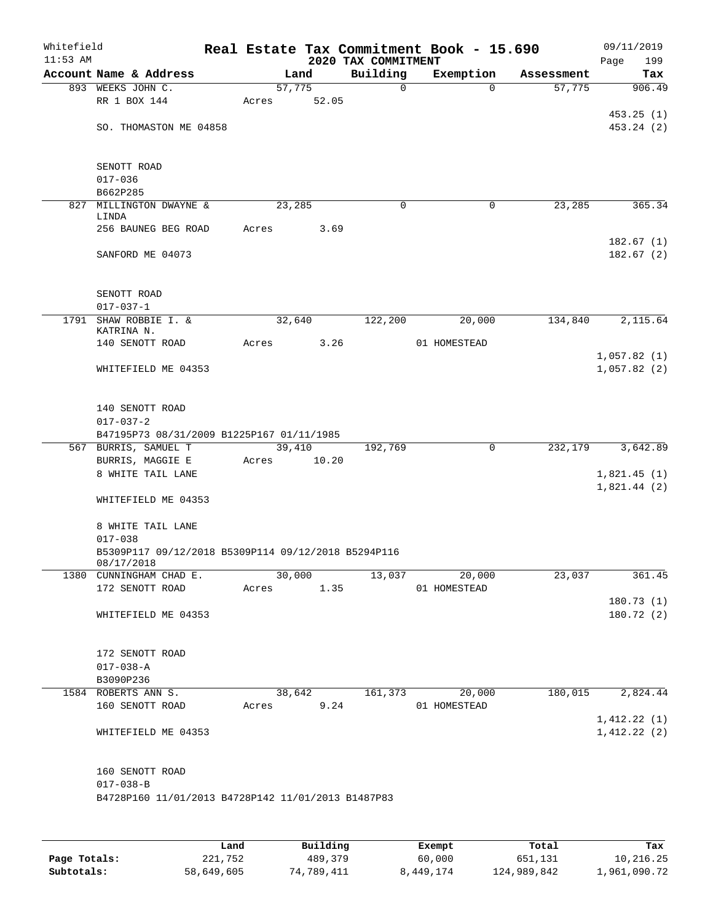| 09/11/2019<br>Page<br>199 |            | Real Estate Tax Commitment Book - 15.690 | 2020 TAX COMMITMENT |            |       |                                                                   | Whitefield<br>$11:53$ AM |
|---------------------------|------------|------------------------------------------|---------------------|------------|-------|-------------------------------------------------------------------|--------------------------|
| Tax                       | Assessment | Exemption                                | Building            | Land       |       | Account Name & Address                                            |                          |
| 906.49                    | 57,775     | $\Omega$                                 | $\mathsf{O}$        | 57,775     |       | 893 WEEKS JOHN C.                                                 |                          |
|                           |            |                                          |                     | 52.05      | Acres | RR 1 BOX 144                                                      |                          |
| 453.25(1)                 |            |                                          |                     |            |       |                                                                   |                          |
| 453.24 (2)                |            |                                          |                     |            |       | SO. THOMASTON ME 04858                                            |                          |
|                           |            |                                          |                     |            |       | SENOTT ROAD                                                       |                          |
|                           |            |                                          |                     |            |       | $017 - 036$                                                       |                          |
|                           |            |                                          |                     |            |       | B662P285                                                          |                          |
| 365.34                    | 23,285     | 0                                        | 0                   | 23,285     |       | 827 MILLINGTON DWAYNE &<br>LINDA                                  |                          |
|                           |            |                                          |                     | 3.69       | Acres | 256 BAUNEG BEG ROAD                                               |                          |
| 182.67(1)                 |            |                                          |                     |            |       |                                                                   |                          |
| 182.67(2)                 |            |                                          |                     |            |       | SANFORD ME 04073                                                  |                          |
|                           |            |                                          |                     |            |       | SENOTT ROAD                                                       |                          |
|                           |            |                                          |                     |            |       | $017 - 037 - 1$                                                   |                          |
| 2,115.64                  | 134,840    | 20,000                                   | 122,200             | 32,640     |       | 1791 SHAW ROBBIE I. &                                             |                          |
|                           |            | 01 HOMESTEAD                             |                     | 3.26       | Acres | KATRINA N.<br>140 SENOTT ROAD                                     |                          |
| 1,057.82(1)               |            |                                          |                     |            |       |                                                                   |                          |
| 1,057.82(2)               |            |                                          |                     |            |       | WHITEFIELD ME 04353                                               |                          |
|                           |            |                                          |                     |            |       | 140 SENOTT ROAD                                                   |                          |
|                           |            |                                          |                     |            |       | $017 - 037 - 2$                                                   |                          |
|                           |            |                                          |                     |            |       | B47195P73 08/31/2009 B1225P167 01/11/1985                         |                          |
| 3,642.89                  | 232,179    | 0                                        | 192,769             | 39,410     |       | 567 BURRIS, SAMUEL T                                              |                          |
|                           |            |                                          |                     | 10.20      | Acres | BURRIS, MAGGIE E                                                  |                          |
| 1,821.45(1)               |            |                                          |                     |            |       | 8 WHITE TAIL LANE                                                 |                          |
| 1,821.44(2)               |            |                                          |                     |            |       | WHITEFIELD ME 04353                                               |                          |
|                           |            |                                          |                     |            |       | 8 WHITE TAIL LANE                                                 |                          |
|                           |            |                                          |                     |            |       | $017 - 038$                                                       |                          |
|                           |            |                                          |                     |            |       | B5309P117 09/12/2018 B5309P114 09/12/2018 B5294P116<br>08/17/2018 |                          |
| 361.45                    | 23,037     | 20,000                                   | 13,037              | 30,000     |       | 1380 CUNNINGHAM CHAD E.                                           |                          |
|                           |            | Acres 1.35 01 HOMESTEAD                  |                     |            |       | 172 SENOTT ROAD                                                   |                          |
| 180.73(1)                 |            |                                          |                     |            |       |                                                                   |                          |
| 180.72 (2)                |            |                                          |                     |            |       | WHITEFIELD ME 04353                                               |                          |
|                           |            |                                          |                     |            |       | 172 SENOTT ROAD                                                   |                          |
|                           |            |                                          |                     |            |       | $017 - 038 - A$                                                   |                          |
|                           |            |                                          |                     |            |       | B3090P236                                                         |                          |
| 180,015 2,824.44          |            | 38,642 161,373 20,000                    |                     |            |       | 1584 ROBERTS ANN S.                                               |                          |
|                           |            | 01 HOMESTEAD                             |                     | Acres 9.24 |       | 160 SENOTT ROAD                                                   |                          |
| 1,412.22(1)               |            |                                          |                     |            |       |                                                                   |                          |
| 1,412.22(2)               |            |                                          |                     |            |       | WHITEFIELD ME 04353                                               |                          |
|                           |            |                                          |                     |            |       | 160 SENOTT ROAD                                                   |                          |
|                           |            |                                          |                     |            |       | $017 - 038 - B$                                                   |                          |
|                           |            |                                          |                     |            |       | B4728P160 11/01/2013 B4728P142 11/01/2013 B1487P83                |                          |
|                           |            |                                          |                     |            |       |                                                                   |                          |

|              | Land       | Building   | Exempt    | Total       | Tax          |
|--------------|------------|------------|-----------|-------------|--------------|
| Page Totals: | 221,752    | 489,379    | 60,000    | 651,131     | 10,216.25    |
| Subtotals:   | 58,649,605 | 74,789,411 | 8,449,174 | 124,989,842 | 1,961,090.72 |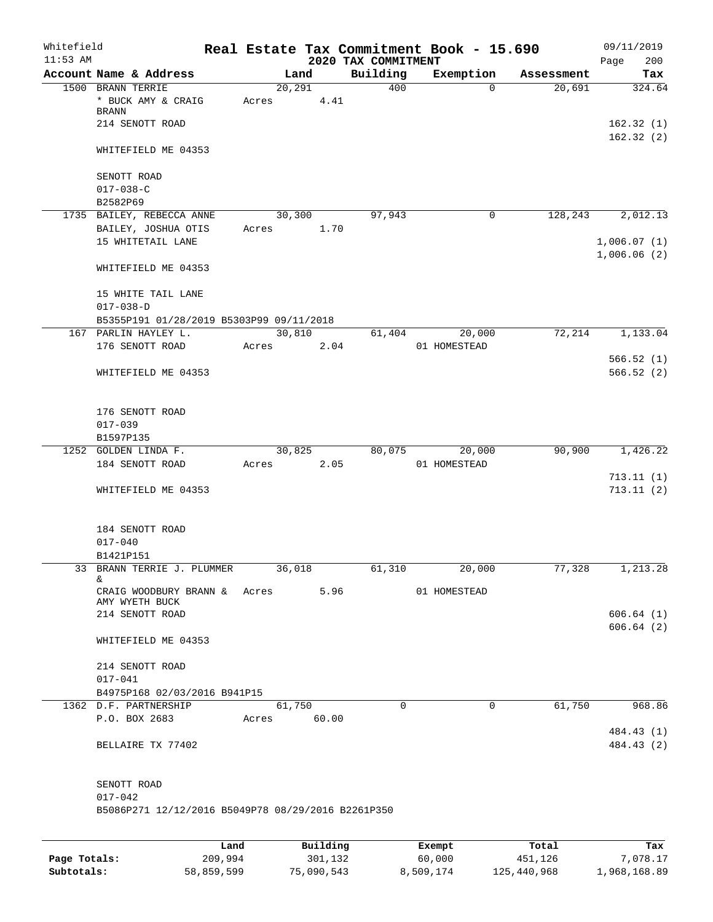| Whitefield<br>$11:53$ AM |                                                    |      |       |         |          | Real Estate Tax Commitment Book - 15.690<br>2020 TAX COMMITMENT |              |              |            | 09/11/2019<br>200<br>Page |
|--------------------------|----------------------------------------------------|------|-------|---------|----------|-----------------------------------------------------------------|--------------|--------------|------------|---------------------------|
|                          | Account Name & Address                             |      |       | Land    |          | Building                                                        | Exemption    |              | Assessment | Tax                       |
|                          | 1500 BRANN TERRIE                                  |      |       | 20, 291 |          | 400                                                             |              | $\Omega$     | 20,691     | 324.64                    |
|                          | * BUCK AMY & CRAIG<br>BRANN                        |      | Acres |         | 4.41     |                                                                 |              |              |            |                           |
|                          | 214 SENOTT ROAD                                    |      |       |         |          |                                                                 |              |              |            | 162.32(1)                 |
|                          |                                                    |      |       |         |          |                                                                 |              |              |            | 162.32(2)                 |
|                          | WHITEFIELD ME 04353                                |      |       |         |          |                                                                 |              |              |            |                           |
|                          | SENOTT ROAD                                        |      |       |         |          |                                                                 |              |              |            |                           |
|                          | $017 - 038 - C$                                    |      |       |         |          |                                                                 |              |              |            |                           |
|                          | B2582P69                                           |      |       |         |          |                                                                 |              |              |            |                           |
|                          | 1735 BAILEY, REBECCA ANNE                          |      |       | 30,300  |          | 97,943                                                          |              | 0            | 128,243    | 2,012.13                  |
|                          | BAILEY, JOSHUA OTIS                                |      | Acres |         | 1.70     |                                                                 |              |              |            |                           |
|                          | 15 WHITETAIL LANE                                  |      |       |         |          |                                                                 |              |              |            | 1,006.07(1)               |
|                          |                                                    |      |       |         |          |                                                                 |              |              |            | 1,006.06(2)               |
|                          | WHITEFIELD ME 04353                                |      |       |         |          |                                                                 |              |              |            |                           |
|                          | 15 WHITE TAIL LANE                                 |      |       |         |          |                                                                 |              |              |            |                           |
|                          | $017 - 038 - D$                                    |      |       |         |          |                                                                 |              |              |            |                           |
|                          | B5355P191 01/28/2019 B5303P99 09/11/2018           |      |       |         |          |                                                                 |              |              |            |                           |
|                          | 167 PARLIN HAYLEY L.                               |      |       | 30,810  |          | 61,404                                                          |              | 20,000       | 72,214     | 1,133.04                  |
|                          | 176 SENOTT ROAD                                    |      | Acres |         | 2.04     |                                                                 | 01 HOMESTEAD |              |            |                           |
|                          |                                                    |      |       |         |          |                                                                 |              |              |            | 566.52(1)                 |
|                          | WHITEFIELD ME 04353                                |      |       |         |          |                                                                 |              |              |            | 566.52(2)                 |
|                          | 176 SENOTT ROAD                                    |      |       |         |          |                                                                 |              |              |            |                           |
|                          | $017 - 039$                                        |      |       |         |          |                                                                 |              |              |            |                           |
|                          | B1597P135                                          |      |       |         |          |                                                                 |              |              |            |                           |
|                          | 1252 GOLDEN LINDA F.                               |      |       | 30,825  |          | 80,075                                                          |              | 20,000       | 90,900     | 1,426.22                  |
|                          | 184 SENOTT ROAD                                    |      | Acres |         | 2.05     |                                                                 | 01 HOMESTEAD |              |            |                           |
|                          |                                                    |      |       |         |          |                                                                 |              |              |            | 713.11(1)                 |
|                          | WHITEFIELD ME 04353                                |      |       |         |          |                                                                 |              |              |            | 713.11(2)                 |
|                          |                                                    |      |       |         |          |                                                                 |              |              |            |                           |
|                          | 184 SENOTT ROAD                                    |      |       |         |          |                                                                 |              |              |            |                           |
|                          | $017 - 040$                                        |      |       |         |          |                                                                 |              |              |            |                           |
|                          | B1421P151                                          |      |       |         |          |                                                                 |              |              |            |                           |
|                          | 33 BRANN TERRIE J. PLUMMER<br>&.                   |      |       | 36,018  |          | 61,310                                                          |              | 20,000       | 77,328     | 1,213.28                  |
|                          | CRAIG WOODBURY BRANN & Acres                       |      |       |         | 5.96     |                                                                 | 01 HOMESTEAD |              |            |                           |
|                          | AMY WYETH BUCK                                     |      |       |         |          |                                                                 |              |              |            |                           |
|                          | 214 SENOTT ROAD                                    |      |       |         |          |                                                                 |              |              |            | 606.64(1)                 |
|                          |                                                    |      |       |         |          |                                                                 |              |              |            | 606.64(2)                 |
|                          | WHITEFIELD ME 04353                                |      |       |         |          |                                                                 |              |              |            |                           |
|                          | 214 SENOTT ROAD                                    |      |       |         |          |                                                                 |              |              |            |                           |
|                          | $017 - 041$                                        |      |       |         |          |                                                                 |              |              |            |                           |
|                          | B4975P168 02/03/2016 B941P15                       |      |       |         |          |                                                                 |              |              |            |                           |
|                          | 1362 D.F. PARTNERSHIP                              |      |       | 61,750  |          | $\Omega$                                                        |              | $\mathbf{0}$ | 61,750     | 968.86                    |
|                          | P.O. BOX 2683                                      |      | Acres |         | 60.00    |                                                                 |              |              |            |                           |
|                          |                                                    |      |       |         |          |                                                                 |              |              |            | 484.43 (1)                |
|                          | BELLAIRE TX 77402                                  |      |       |         |          |                                                                 |              |              |            | 484.43 (2)                |
|                          |                                                    |      |       |         |          |                                                                 |              |              |            |                           |
|                          | SENOTT ROAD<br>$017 - 042$                         |      |       |         |          |                                                                 |              |              |            |                           |
|                          | B5086P271 12/12/2016 B5049P78 08/29/2016 B2261P350 |      |       |         |          |                                                                 |              |              |            |                           |
|                          |                                                    |      |       |         |          |                                                                 |              |              |            |                           |
|                          |                                                    | Land |       |         | Building |                                                                 | Exempt       |              | Total      | Tax                       |

|              | Land       | Building   | Exempt    | Total       | Tax          |
|--------------|------------|------------|-----------|-------------|--------------|
| Page Totals: | 209,994    | 301,132    | 60,000    | 451,126     | 7,078.17     |
| Subtotals:   | 58,859,599 | 75,090,543 | 8,509,174 | 125,440,968 | 1,968,168.89 |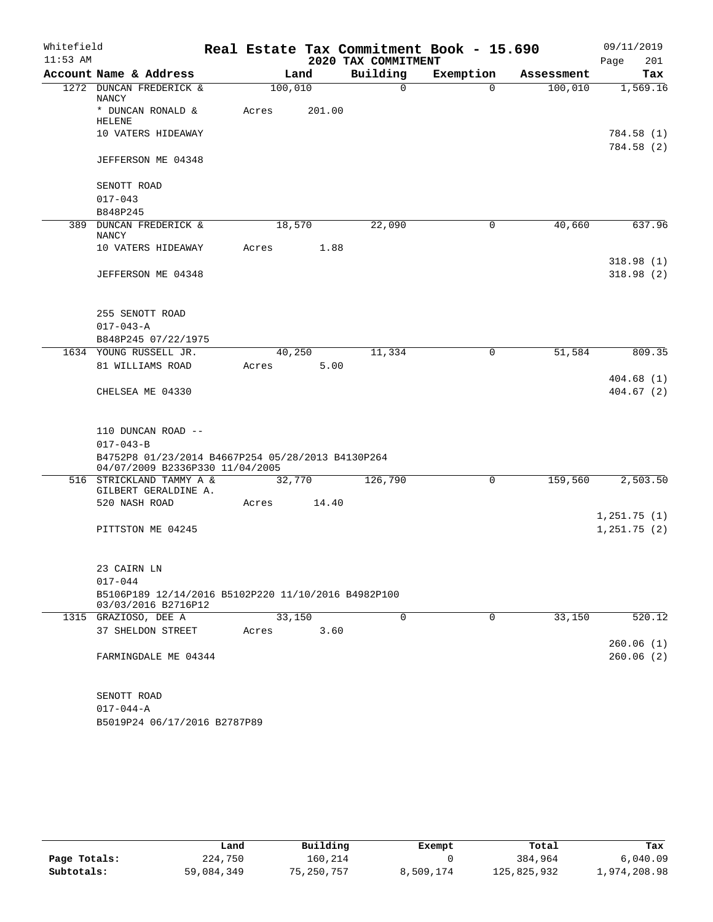| Whitefield |                                                                                      |         |        |                     | Real Estate Tax Commitment Book - 15.690 |            | 09/11/2019               |
|------------|--------------------------------------------------------------------------------------|---------|--------|---------------------|------------------------------------------|------------|--------------------------|
| $11:53$ AM |                                                                                      |         |        | 2020 TAX COMMITMENT |                                          |            | 201<br>Page              |
|            | Account Name & Address                                                               |         | Land   | Building            | Exemption                                | Assessment | Tax                      |
|            | 1272 DUNCAN FREDERICK &<br>NANCY                                                     | 100,010 |        | 0                   | $\Omega$                                 | 100,010    | 1,569.16                 |
|            | * DUNCAN RONALD &<br><b>HELENE</b>                                                   | Acres   | 201.00 |                     |                                          |            |                          |
|            | 10 VATERS HIDEAWAY                                                                   |         |        |                     |                                          |            | 784.58 (1)<br>784.58 (2) |
|            | JEFFERSON ME 04348                                                                   |         |        |                     |                                          |            |                          |
|            | SENOTT ROAD                                                                          |         |        |                     |                                          |            |                          |
|            | $017 - 043$                                                                          |         |        |                     |                                          |            |                          |
|            | B848P245                                                                             |         |        |                     |                                          |            |                          |
|            | 389 DUNCAN FREDERICK &<br>NANCY                                                      | 18,570  |        | 22,090              | 0                                        | 40,660     | 637.96                   |
|            | 10 VATERS HIDEAWAY                                                                   | Acres   | 1.88   |                     |                                          |            | 318.98 (1)               |
|            | JEFFERSON ME 04348                                                                   |         |        |                     |                                          |            | 318.98(2)                |
|            | 255 SENOTT ROAD                                                                      |         |        |                     |                                          |            |                          |
|            | $017 - 043 - A$                                                                      |         |        |                     |                                          |            |                          |
|            | B848P245 07/22/1975                                                                  |         |        |                     |                                          |            |                          |
|            | 1634 YOUNG RUSSELL JR.                                                               | 40,250  |        | 11,334              | 0                                        | 51,584     | 809.35                   |
|            | 81 WILLIAMS ROAD                                                                     | Acres   | 5.00   |                     |                                          |            |                          |
|            | CHELSEA ME 04330                                                                     |         |        |                     |                                          |            | 404.68(1)<br>404.67(2)   |
|            | 110 DUNCAN ROAD --                                                                   |         |        |                     |                                          |            |                          |
|            | $017 - 043 - B$                                                                      |         |        |                     |                                          |            |                          |
|            | B4752P8 01/23/2014 B4667P254 05/28/2013 B4130P264<br>04/07/2009 B2336P330 11/04/2005 |         |        |                     |                                          |            |                          |
|            | 516 STRICKLAND TAMMY A &<br>GILBERT GERALDINE A.                                     | 32,770  |        | 126,790             | 0                                        | 159,560    | 2,503.50                 |
|            | 520 NASH ROAD                                                                        | Acres   | 14.40  |                     |                                          |            |                          |
|            |                                                                                      |         |        |                     |                                          |            | 1,251.75(1)              |
|            | PITTSTON ME 04245                                                                    |         |        |                     |                                          |            | 1,251.75(2)              |
|            | 23 CAIRN LN                                                                          |         |        |                     |                                          |            |                          |
|            | $017 - 044$                                                                          |         |        |                     |                                          |            |                          |
|            | B5106P189 12/14/2016 B5102P220 11/10/2016 B4982P100<br>03/03/2016 B2716P12           |         |        |                     |                                          |            |                          |
|            | 1315 GRAZIOSO, DEE A                                                                 | 33,150  |        | $\Omega$            | 0                                        | 33,150     | 520.12                   |
|            | 37 SHELDON STREET                                                                    | Acres   | 3.60   |                     |                                          |            |                          |
|            | FARMINGDALE ME 04344                                                                 |         |        |                     |                                          |            | 260.06(1)<br>260.06(2)   |
|            |                                                                                      |         |        |                     |                                          |            |                          |
|            | SENOTT ROAD                                                                          |         |        |                     |                                          |            |                          |
|            | $017 - 044 - A$                                                                      |         |        |                     |                                          |            |                          |

B5019P24 06/17/2016 B2787P89

|              | Land       | Building   | Exempt    | Total       | Tax          |
|--------------|------------|------------|-----------|-------------|--------------|
| Page Totals: | 224,750    | 160,214    |           | 384,964     | 6.040.09     |
| Subtotals:   | 59,084,349 | 75,250,757 | 8,509,174 | 125,825,932 | 1,974,208.98 |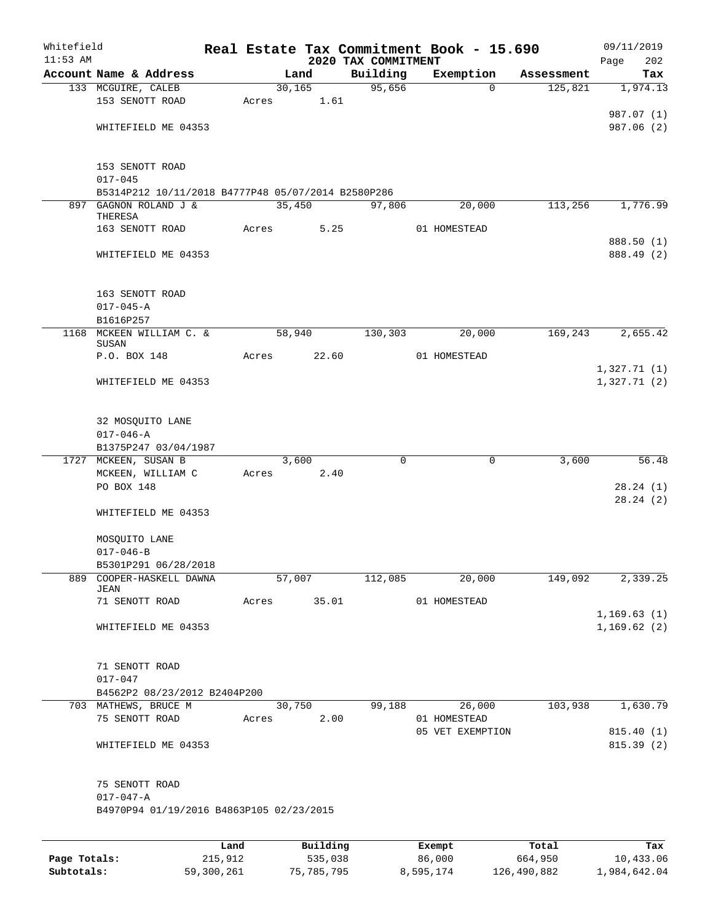| Whitefield<br>$11:53$ AM |                                                      |             |        |                                     | 2020 TAX COMMITMENT | Real Estate Tax Commitment Book - 15.690 |            | 09/11/2019           |
|--------------------------|------------------------------------------------------|-------------|--------|-------------------------------------|---------------------|------------------------------------------|------------|----------------------|
|                          | Account Name & Address                               |             | Land   |                                     | Building            | Exemption                                | Assessment | Page<br>202<br>Tax   |
|                          | 133 MCGUIRE, CALEB                                   |             |        | 30, 165                             | 95,656              | $\Omega$                                 | 125,821    | 1,974.13             |
|                          | 153 SENOTT ROAD                                      | Acres       |        | 1.61                                |                     |                                          |            |                      |
|                          |                                                      |             |        |                                     |                     |                                          |            | 987.07 (1)           |
|                          | WHITEFIELD ME 04353                                  |             |        |                                     |                     |                                          |            | 987.06 (2)           |
|                          |                                                      |             |        |                                     |                     |                                          |            |                      |
|                          | 153 SENOTT ROAD                                      |             |        |                                     |                     |                                          |            |                      |
|                          | $017 - 045$                                          |             |        |                                     |                     |                                          |            |                      |
|                          | B5314P212 10/11/2018 B4777P48 05/07/2014 B2580P286   |             |        |                                     |                     |                                          |            |                      |
|                          | 897 GAGNON ROLAND J &<br>THERESA                     |             | 35,450 |                                     | 97,806              | 20,000                                   | 113,256    | 1,776.99             |
|                          | 163 SENOTT ROAD                                      | Acres       |        | 5.25                                |                     | 01 HOMESTEAD                             |            |                      |
|                          |                                                      |             |        |                                     |                     |                                          |            | 888.50 (1)           |
|                          | WHITEFIELD ME 04353                                  |             |        |                                     |                     |                                          |            | 888.49 (2)           |
|                          |                                                      |             |        |                                     |                     |                                          |            |                      |
|                          | 163 SENOTT ROAD                                      |             |        |                                     |                     |                                          |            |                      |
|                          | $017 - 045 - A$                                      |             |        |                                     |                     |                                          |            |                      |
|                          | B1616P257                                            |             |        |                                     |                     |                                          |            |                      |
|                          | 1168 MCKEEN WILLIAM C. &                             |             | 58,940 |                                     | 130,303             | 20,000                                   | 169,243    | 2,655.42             |
|                          | SUSAN<br>P.O. BOX 148                                | Acres       |        | 22.60                               |                     | 01 HOMESTEAD                             |            |                      |
|                          |                                                      |             |        |                                     |                     |                                          |            | 1,327.71(1)          |
|                          | WHITEFIELD ME 04353                                  |             |        |                                     |                     |                                          |            | 1,327.71(2)          |
|                          |                                                      |             |        |                                     |                     |                                          |            |                      |
|                          | 32 MOSQUITO LANE                                     |             |        |                                     |                     |                                          |            |                      |
|                          | $017 - 046 - A$                                      |             |        |                                     |                     |                                          |            |                      |
|                          | B1375P247 03/04/1987                                 |             |        |                                     |                     |                                          |            |                      |
|                          | 1727 MCKEEN, SUSAN B                                 |             | 3,600  |                                     | 0                   | $\mathbf 0$                              | 3,600      | 56.48                |
|                          | MCKEEN, WILLIAM C                                    | Acres       |        | 2.40                                |                     |                                          |            |                      |
|                          | PO BOX 148                                           |             |        |                                     |                     |                                          |            | 28.24(1)<br>28.24(2) |
|                          | WHITEFIELD ME 04353                                  |             |        |                                     |                     |                                          |            |                      |
|                          |                                                      |             |        |                                     |                     |                                          |            |                      |
|                          | MOSQUITO LANE                                        |             |        |                                     |                     |                                          |            |                      |
|                          | $017 - 046 - B$                                      |             |        |                                     |                     |                                          |            |                      |
|                          | B5301P291 06/28/2018<br>889 COOPER-HASKELL DAWNA     |             | 57,007 |                                     | 112,085             | 20,000                                   | 149,092    | 2,339.25             |
|                          | JEAN                                                 |             |        |                                     |                     |                                          |            |                      |
|                          | 71 SENOTT ROAD                                       | Acres 35.01 |        |                                     |                     | 01 HOMESTEAD                             |            |                      |
|                          |                                                      |             |        |                                     |                     |                                          |            | 1, 169.63(1)         |
|                          | WHITEFIELD ME 04353                                  |             |        |                                     |                     |                                          |            | 1,169.62(2)          |
|                          |                                                      |             |        |                                     |                     |                                          |            |                      |
|                          | 71 SENOTT ROAD                                       |             |        |                                     |                     |                                          |            |                      |
|                          | $017 - 047$                                          |             |        |                                     |                     |                                          |            |                      |
|                          | B4562P2 08/23/2012 B2404P200<br>703 MATHEWS, BRUCE M |             |        | 30,750                              |                     | 99,188 26,000                            | 103,938    | 1,630.79             |
|                          | 75 SENOTT ROAD                                       |             |        | Acres 2.00                          |                     | 01 HOMESTEAD                             |            |                      |
|                          |                                                      |             |        |                                     |                     | 05 VET EXEMPTION                         |            | 815.40 (1)           |
|                          | WHITEFIELD ME 04353                                  |             |        |                                     |                     |                                          |            | 815.39 (2)           |
|                          |                                                      |             |        |                                     |                     |                                          |            |                      |
|                          | 75 SENOTT ROAD                                       |             |        |                                     |                     |                                          |            |                      |
|                          | $017 - 047 - A$                                      |             |        |                                     |                     |                                          |            |                      |
|                          | B4970P94 01/19/2016 B4863P105 02/23/2015             |             |        |                                     |                     |                                          |            |                      |
|                          |                                                      |             |        |                                     |                     |                                          |            |                      |
|                          |                                                      |             |        | $P_{\text{rel}}$ is a set of $\sim$ |                     |                                          |            |                      |

|              | Land       | Building   | Exempt    | Total       | Tax          |
|--------------|------------|------------|-----------|-------------|--------------|
| Page Totals: | 215,912    | 535,038    | 86,000    | 664,950     | 10,433.06    |
| Subtotals:   | 59,300,261 | 75,785,795 | 8,595,174 | 126,490,882 | 1,984,642.04 |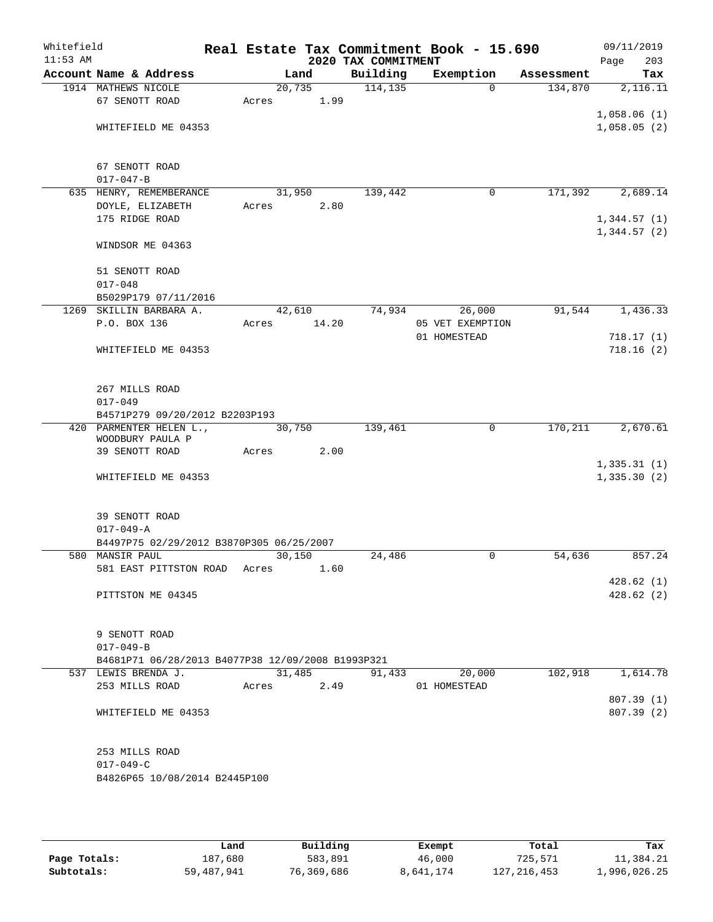| Whitefield |                                                   |        |       |                     | Real Estate Tax Commitment Book - 15.690 |            | 09/11/2019  |
|------------|---------------------------------------------------|--------|-------|---------------------|------------------------------------------|------------|-------------|
| $11:53$ AM |                                                   |        |       | 2020 TAX COMMITMENT |                                          |            | 203<br>Page |
|            | Account Name & Address                            |        | Land  | Building            | Exemption                                | Assessment | Tax         |
|            | 1914 MATHEWS NICOLE                               | 20,735 |       | 114, 135            | $\Omega$                                 | 134,870    | 2,116.11    |
|            | 67 SENOTT ROAD                                    | Acres  | 1.99  |                     |                                          |            |             |
|            |                                                   |        |       |                     |                                          |            | 1,058.06(1) |
|            | WHITEFIELD ME 04353                               |        |       |                     |                                          |            | 1,058.05(2) |
|            |                                                   |        |       |                     |                                          |            |             |
|            | 67 SENOTT ROAD                                    |        |       |                     |                                          |            |             |
|            | $017 - 047 - B$                                   |        |       |                     |                                          |            |             |
|            | 635 HENRY, REMEMBERANCE                           | 31,950 |       | 139,442             | 0                                        | 171,392    | 2,689.14    |
|            | DOYLE, ELIZABETH                                  | Acres  | 2.80  |                     |                                          |            |             |
|            | 175 RIDGE ROAD                                    |        |       |                     |                                          |            | 1,344.57(1) |
|            | WINDSOR ME 04363                                  |        |       |                     |                                          |            | 1,344.57(2) |
|            |                                                   |        |       |                     |                                          |            |             |
|            | 51 SENOTT ROAD                                    |        |       |                     |                                          |            |             |
|            | $017 - 048$                                       |        |       |                     |                                          |            |             |
|            | B5029P179 07/11/2016                              |        |       |                     |                                          |            |             |
|            | 1269 SKILLIN BARBARA A.                           | 42,610 |       | 74,934              | 26,000                                   | 91,544     | 1,436.33    |
|            | P.O. BOX 136                                      | Acres  | 14.20 |                     | 05 VET EXEMPTION                         |            |             |
|            |                                                   |        |       |                     | 01 HOMESTEAD                             |            | 718.17(1)   |
|            | WHITEFIELD ME 04353                               |        |       |                     |                                          |            | 718.16(2)   |
|            |                                                   |        |       |                     |                                          |            |             |
|            | 267 MILLS ROAD                                    |        |       |                     |                                          |            |             |
|            | $017 - 049$                                       |        |       |                     |                                          |            |             |
|            | B4571P279 09/20/2012 B2203P193                    |        |       |                     |                                          |            |             |
|            | 420 PARMENTER HELEN L.,                           | 30,750 |       | 139,461             | 0                                        | 170,211    | 2,670.61    |
|            | WOODBURY PAULA P                                  |        |       |                     |                                          |            |             |
|            | 39 SENOTT ROAD                                    | Acres  | 2.00  |                     |                                          |            |             |
|            |                                                   |        |       |                     |                                          |            | 1,335.31(1) |
|            | WHITEFIELD ME 04353                               |        |       |                     |                                          |            | 1,335.30(2) |
|            | 39 SENOTT ROAD                                    |        |       |                     |                                          |            |             |
|            | $017 - 049 - A$                                   |        |       |                     |                                          |            |             |
|            | B4497P75 02/29/2012 B3870P305 06/25/2007          |        |       |                     |                                          |            |             |
|            | 580 MANSIR PAUL                                   | 30,150 |       | 24,486              | 0                                        | 54,636     | 857.24      |
|            | 581 EAST PITTSTON ROAD                            | Acres  | 1.60  |                     |                                          |            |             |
|            |                                                   |        |       |                     |                                          |            | 428.62(1)   |
|            | PITTSTON ME 04345                                 |        |       |                     |                                          |            | 428.62(2)   |
|            |                                                   |        |       |                     |                                          |            |             |
|            | 9 SENOTT ROAD                                     |        |       |                     |                                          |            |             |
|            | $017 - 049 - B$                                   |        |       |                     |                                          |            |             |
|            | B4681P71 06/28/2013 B4077P38 12/09/2008 B1993P321 |        |       |                     |                                          |            |             |
|            | 537 LEWIS BRENDA J.                               | 31,485 |       | 91,433              | 20,000                                   | 102,918    | 1,614.78    |
|            | 253 MILLS ROAD                                    | Acres  | 2.49  |                     | 01 HOMESTEAD                             |            |             |
|            |                                                   |        |       |                     |                                          |            | 807.39 (1)  |
|            | WHITEFIELD ME 04353                               |        |       |                     |                                          |            | 807.39 (2)  |
|            |                                                   |        |       |                     |                                          |            |             |
|            | 253 MILLS ROAD                                    |        |       |                     |                                          |            |             |
|            | $017 - 049 - C$                                   |        |       |                     |                                          |            |             |
|            | B4826P65 10/08/2014 B2445P100                     |        |       |                     |                                          |            |             |
|            |                                                   |        |       |                     |                                          |            |             |
|            |                                                   |        |       |                     |                                          |            |             |

|              | Land       | Building   | Exempt    | Total         | Tax          |
|--------------|------------|------------|-----------|---------------|--------------|
| Page Totals: | 187,680    | 583,891    | 46,000    | 725,571       | 11,384.21    |
| Subtotals:   | 59,487,941 | 76,369,686 | 8,641,174 | 127, 216, 453 | 1,996,026.25 |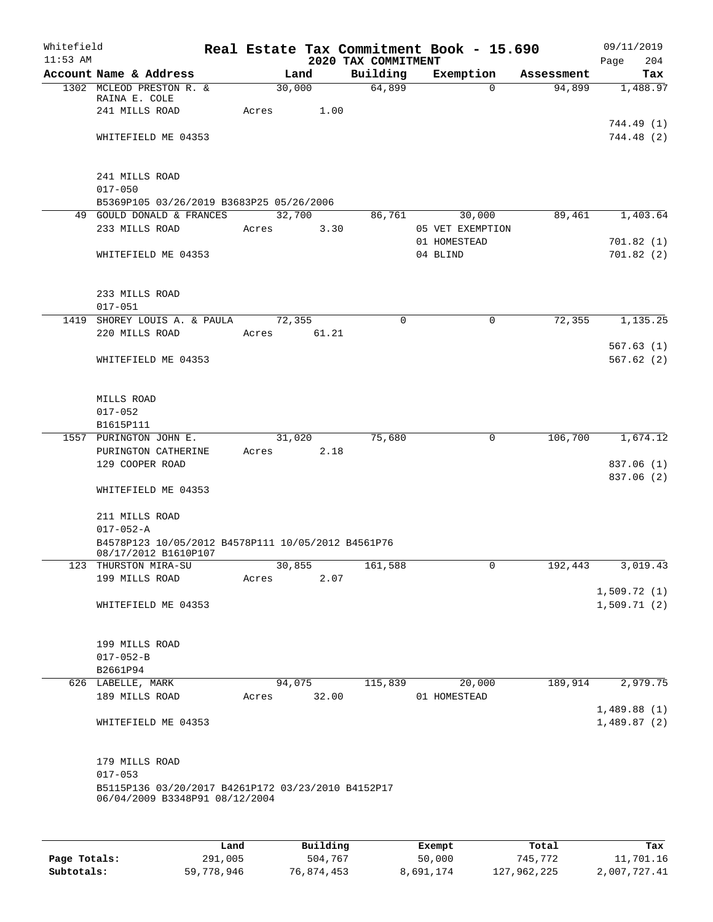| Whitefield<br>$11:53$ AM |                                                                                      |             |        |                | 2020 TAX COMMITMENT | Real Estate Tax Commitment Book - 15.690 |            | 09/11/2019<br>Page<br>204 |
|--------------------------|--------------------------------------------------------------------------------------|-------------|--------|----------------|---------------------|------------------------------------------|------------|---------------------------|
|                          | Account Name & Address                                                               |             | Land   |                | Building            | Exemption                                | Assessment | Tax                       |
|                          | 1302 MCLEOD PRESTON R. &                                                             |             | 30,000 |                | 64,899              | $\Omega$                                 | 94,899     | 1,488.97                  |
|                          | RAINA E. COLE                                                                        |             |        |                |                     |                                          |            |                           |
|                          | 241 MILLS ROAD                                                                       | Acres       |        | 1.00           |                     |                                          |            |                           |
|                          |                                                                                      |             |        |                |                     |                                          |            | 744.49 (1)<br>744.48 (2)  |
|                          | WHITEFIELD ME 04353                                                                  |             |        |                |                     |                                          |            |                           |
|                          |                                                                                      |             |        |                |                     |                                          |            |                           |
|                          | 241 MILLS ROAD                                                                       |             |        |                |                     |                                          |            |                           |
|                          | $017 - 050$                                                                          |             |        |                |                     |                                          |            |                           |
|                          | B5369P105 03/26/2019 B3683P25 05/26/2006                                             |             |        |                |                     |                                          |            |                           |
|                          | 49 GOULD DONALD & FRANCES<br>233 MILLS ROAD                                          |             |        | 32,700         | 86,761              | 30,000                                   | 89,461     | 1,403.64                  |
|                          |                                                                                      | Acres       |        | 3.30           |                     | 05 VET EXEMPTION<br>01 HOMESTEAD         |            | 701.82(1)                 |
|                          | WHITEFIELD ME 04353                                                                  |             |        |                |                     | 04 BLIND                                 |            | 701.82(2)                 |
|                          |                                                                                      |             |        |                |                     |                                          |            |                           |
|                          |                                                                                      |             |        |                |                     |                                          |            |                           |
|                          | 233 MILLS ROAD                                                                       |             |        |                |                     |                                          |            |                           |
|                          | $017 - 051$                                                                          |             |        |                | $\Omega$            | $\mathbf 0$                              |            | 1, 135.25                 |
|                          | 1419 SHOREY LOUIS A. & PAULA<br>220 MILLS ROAD                                       | Acres 61.21 | 72,355 |                |                     |                                          | 72,355     |                           |
|                          |                                                                                      |             |        |                |                     |                                          |            | 567.63(1)                 |
|                          | WHITEFIELD ME 04353                                                                  |             |        |                |                     |                                          |            | 567.62(2)                 |
|                          |                                                                                      |             |        |                |                     |                                          |            |                           |
|                          |                                                                                      |             |        |                |                     |                                          |            |                           |
|                          | MILLS ROAD                                                                           |             |        |                |                     |                                          |            |                           |
|                          | $017 - 052$                                                                          |             |        |                |                     |                                          |            |                           |
|                          | B1615P111                                                                            |             |        |                |                     |                                          |            |                           |
|                          | 1557 PURINGTON JOHN E.<br>PURINGTON CATHERINE                                        | Acres       |        | 31,020<br>2.18 | 75,680              | 0                                        | 106,700    | 1,674.12                  |
|                          | 129 COOPER ROAD                                                                      |             |        |                |                     |                                          |            | 837.06 (1)                |
|                          |                                                                                      |             |        |                |                     |                                          |            | 837.06 (2)                |
|                          | WHITEFIELD ME 04353                                                                  |             |        |                |                     |                                          |            |                           |
|                          |                                                                                      |             |        |                |                     |                                          |            |                           |
|                          | 211 MILLS ROAD                                                                       |             |        |                |                     |                                          |            |                           |
|                          | $017 - 052 - A$                                                                      |             |        |                |                     |                                          |            |                           |
|                          | B4578P123 10/05/2012 B4578P111 10/05/2012 B4561P76<br>08/17/2012 B1610P107           |             |        |                |                     |                                          |            |                           |
|                          | 123 THURSTON MIRA-SU                                                                 |             | 30,855 |                | 161,588             | 0                                        | 192,443    | 3,019.43                  |
|                          | 199 MILLS ROAD                                                                       | Acres       |        | 2.07           |                     |                                          |            |                           |
|                          |                                                                                      |             |        |                |                     |                                          |            | 1,509.72(1)               |
|                          | WHITEFIELD ME 04353                                                                  |             |        |                |                     |                                          |            | 1,509.71(2)               |
|                          |                                                                                      |             |        |                |                     |                                          |            |                           |
|                          |                                                                                      |             |        |                |                     |                                          |            |                           |
|                          | 199 MILLS ROAD                                                                       |             |        |                |                     |                                          |            |                           |
|                          | $017 - 052 - B$                                                                      |             |        |                |                     |                                          |            |                           |
|                          | B2661P94<br>626 LABELLE, MARK                                                        |             | 94,075 |                | 115,839             | 20,000                                   | 189,914    | 2,979.75                  |
|                          | 189 MILLS ROAD                                                                       |             |        | Acres 32.00    |                     | 01 HOMESTEAD                             |            |                           |
|                          |                                                                                      |             |        |                |                     |                                          |            | 1,489.88(1)               |
|                          | WHITEFIELD ME 04353                                                                  |             |        |                |                     |                                          |            | 1,489.87(2)               |
|                          |                                                                                      |             |        |                |                     |                                          |            |                           |
|                          |                                                                                      |             |        |                |                     |                                          |            |                           |
|                          | 179 MILLS ROAD                                                                       |             |        |                |                     |                                          |            |                           |
|                          | $017 - 053$                                                                          |             |        |                |                     |                                          |            |                           |
|                          | B5115P136 03/20/2017 B4261P172 03/23/2010 B4152P17<br>06/04/2009 B3348P91 08/12/2004 |             |        |                |                     |                                          |            |                           |
|                          |                                                                                      |             |        |                |                     |                                          |            |                           |
|                          |                                                                                      |             |        |                |                     |                                          |            |                           |
|                          |                                                                                      |             |        |                |                     |                                          |            |                           |

|              | Land       | Building   | Exempt    | Total       | Tax          |
|--------------|------------|------------|-----------|-------------|--------------|
| Page Totals: | 291,005    | 504,767    | 50,000    | 745.772     | 11,701.16    |
| Subtotals:   | 59,778,946 | 76,874,453 | 8,691,174 | 127,962,225 | 2,007,727.41 |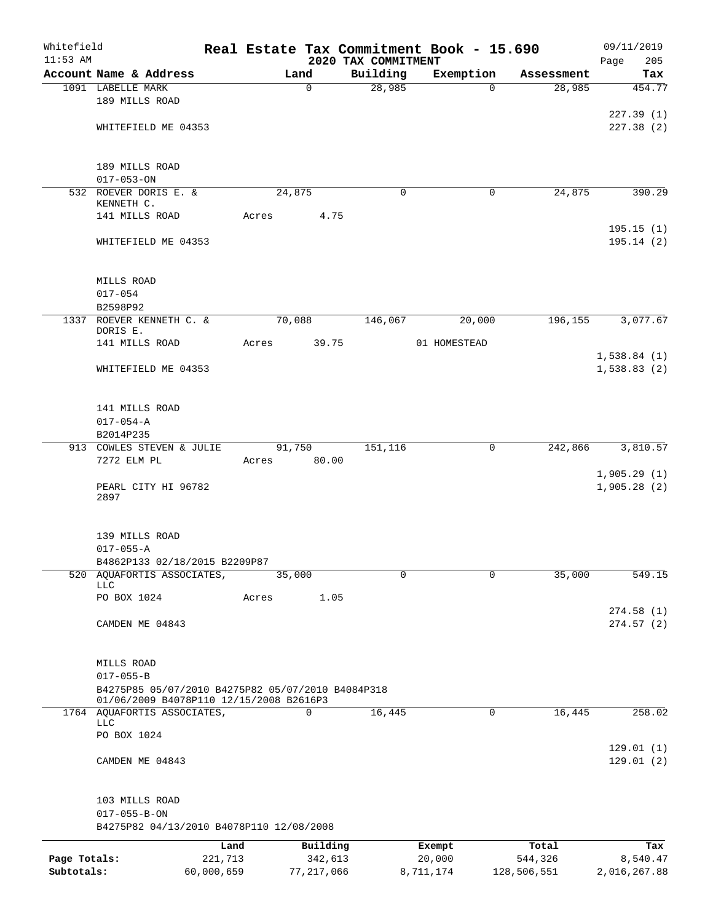| Whitefield   |                                                                                    |            |       |                 |                     | Real Estate Tax Commitment Book - 15.690 |             | 09/11/2019                 |
|--------------|------------------------------------------------------------------------------------|------------|-------|-----------------|---------------------|------------------------------------------|-------------|----------------------------|
| $11:53$ AM   |                                                                                    |            |       |                 | 2020 TAX COMMITMENT |                                          |             | Page<br>205                |
|              | Account Name & Address                                                             |            |       | Land            | Building            | Exemption                                | Assessment  | Tax                        |
|              | 1091 LABELLE MARK<br>189 MILLS ROAD                                                |            |       | $\mathbf 0$     | 28,985              | $\Omega$                                 | 28,985      | 454.77                     |
|              | WHITEFIELD ME 04353                                                                |            |       |                 |                     |                                          |             | 227.39(1)<br>227.38(2)     |
|              | 189 MILLS ROAD                                                                     |            |       |                 |                     |                                          |             |                            |
|              | $017 - 053 - ON$<br>532 ROEVER DORIS E. &                                          |            |       | 24,875          | $\mathbf 0$         | 0                                        | 24,875      | 390.29                     |
|              | KENNETH C.<br>141 MILLS ROAD                                                       |            | Acres | 4.75            |                     |                                          |             |                            |
|              | WHITEFIELD ME 04353                                                                |            |       |                 |                     |                                          |             | 195.15(1)<br>195.14(2)     |
|              | MILLS ROAD                                                                         |            |       |                 |                     |                                          |             |                            |
|              | $017 - 054$                                                                        |            |       |                 |                     |                                          |             |                            |
|              | B2598P92                                                                           |            |       |                 |                     |                                          |             |                            |
|              | 1337 ROEVER KENNETH C. &<br>DORIS E.<br>141 MILLS ROAD                             |            | Acres | 70,088<br>39.75 | 146,067             | 20,000<br>01 HOMESTEAD                   | 196, 155    | 3,077.67                   |
|              | WHITEFIELD ME 04353                                                                |            |       |                 |                     |                                          |             | 1,538.84(1)<br>1,538.83(2) |
|              |                                                                                    |            |       |                 |                     |                                          |             |                            |
|              | 141 MILLS ROAD                                                                     |            |       |                 |                     |                                          |             |                            |
|              | $017 - 054 - A$                                                                    |            |       |                 |                     |                                          |             |                            |
|              | B2014P235                                                                          |            |       |                 |                     |                                          |             |                            |
|              | 913 COWLES STEVEN & JULIE<br>7272 ELM PL                                           |            | Acres | 91,750<br>80.00 | 151,116             | 0                                        | 242,866     | 3,810.57                   |
|              | PEARL CITY HI 96782<br>2897                                                        |            |       |                 |                     |                                          |             | 1,905.29(1)<br>1,905.28(2) |
|              | 139 MILLS ROAD<br>$017 - 055 - A$<br>B4862P133 02/18/2015 B2209P87                 |            |       |                 |                     |                                          |             |                            |
|              | 520 AQUAFORTIS ASSOCIATES,                                                         |            |       | 35,000          | $\mathbf 0$         | $\mathbf 0$                              | 35,000      | 549.15                     |
|              | <b>LLC</b><br>PO BOX 1024                                                          |            | Acres | 1.05            |                     |                                          |             |                            |
|              | CAMDEN ME 04843                                                                    |            |       |                 |                     |                                          |             | 274.58(1)<br>274.57(2)     |
|              | MILLS ROAD<br>$017 - 055 - B$<br>B4275P85 05/07/2010 B4275P82 05/07/2010 B4084P318 |            |       |                 |                     |                                          |             |                            |
|              | 01/06/2009 B4078P110 12/15/2008 B2616P3                                            |            |       |                 |                     |                                          |             |                            |
|              | 1764 AQUAFORTIS ASSOCIATES,<br>LLC                                                 |            |       | 0               | 16,445              | 0                                        | 16,445      | 258.02                     |
|              | PO BOX 1024                                                                        |            |       |                 |                     |                                          |             |                            |
|              | CAMDEN ME 04843                                                                    |            |       |                 |                     |                                          |             | 129.01(1)<br>129.01(2)     |
|              | 103 MILLS ROAD<br>$017 - 055 - B - ON$                                             |            |       |                 |                     |                                          |             |                            |
|              | B4275P82 04/13/2010 B4078P110 12/08/2008                                           |            |       |                 |                     |                                          |             |                            |
|              |                                                                                    | Land       |       | Building        |                     | Exempt                                   | Total       | Tax                        |
| Page Totals: |                                                                                    | 221,713    |       | 342,613         |                     | 20,000                                   | 544,326     | 8,540.47                   |
| Subtotals:   |                                                                                    | 60,000,659 |       | 77, 217, 066    |                     | 8,711,174                                | 128,506,551 | 2,016,267.88               |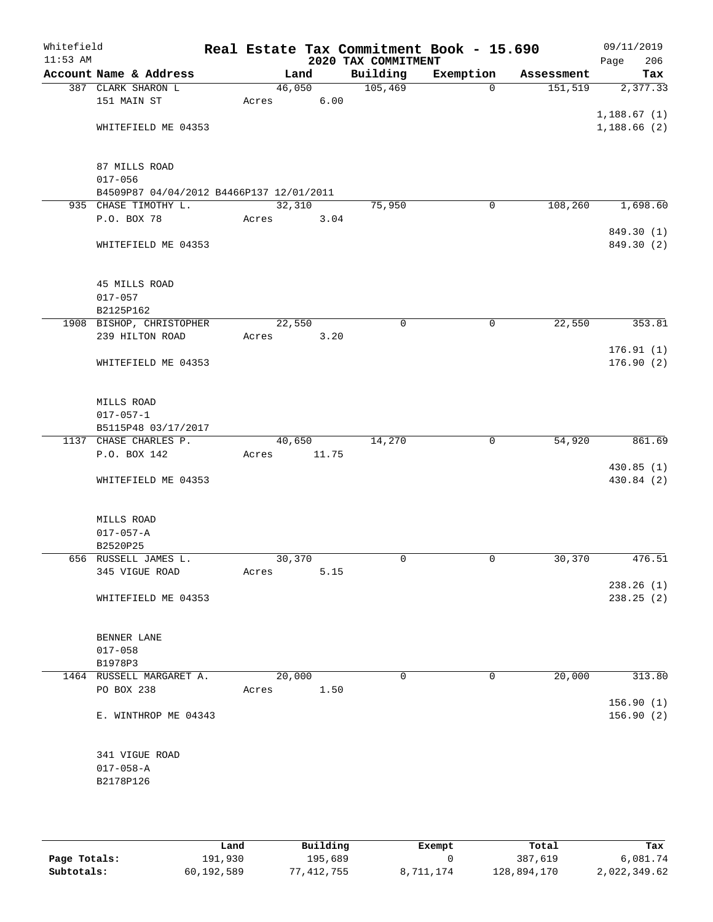| Whitefield<br>$11:53$ AM |                                                                  |        |       | 2020 TAX COMMITMENT | Real Estate Tax Commitment Book - 15.690 |            | 09/11/2019<br>206<br>Page |
|--------------------------|------------------------------------------------------------------|--------|-------|---------------------|------------------------------------------|------------|---------------------------|
|                          | Account Name & Address                                           |        | Land  | Building            | Exemption                                | Assessment | Tax                       |
|                          | 387 CLARK SHARON L                                               | 46,050 |       | 105,469             | $\Omega$                                 | 151, 519   | 2,377.33                  |
|                          | 151 MAIN ST                                                      | Acres  | 6.00  |                     |                                          |            |                           |
|                          |                                                                  |        |       |                     |                                          |            | 1,188.67(1)               |
|                          | WHITEFIELD ME 04353                                              |        |       |                     |                                          |            | 1,188.66(2)               |
|                          |                                                                  |        |       |                     |                                          |            |                           |
|                          |                                                                  |        |       |                     |                                          |            |                           |
|                          | 87 MILLS ROAD                                                    |        |       |                     |                                          |            |                           |
|                          | $017 - 056$                                                      |        |       |                     |                                          |            |                           |
|                          | B4509P87 04/04/2012 B4466P137 12/01/2011<br>935 CHASE TIMOTHY L. | 32,310 |       | 75,950              | 0                                        | 108,260    | 1,698.60                  |
|                          | P.O. BOX 78                                                      | Acres  | 3.04  |                     |                                          |            |                           |
|                          |                                                                  |        |       |                     |                                          |            | 849.30 (1)                |
|                          | WHITEFIELD ME 04353                                              |        |       |                     |                                          |            | 849.30 (2)                |
|                          |                                                                  |        |       |                     |                                          |            |                           |
|                          |                                                                  |        |       |                     |                                          |            |                           |
|                          | 45 MILLS ROAD                                                    |        |       |                     |                                          |            |                           |
|                          | $017 - 057$                                                      |        |       |                     |                                          |            |                           |
|                          | B2125P162                                                        |        |       |                     |                                          |            |                           |
|                          | 1908 BISHOP, CHRISTOPHER                                         | 22,550 |       | 0                   | 0                                        | 22,550     | 353.81                    |
|                          | 239 HILTON ROAD                                                  | Acres  | 3.20  |                     |                                          |            |                           |
|                          |                                                                  |        |       |                     |                                          |            | 176.91(1)                 |
|                          | WHITEFIELD ME 04353                                              |        |       |                     |                                          |            | 176.90(2)                 |
|                          |                                                                  |        |       |                     |                                          |            |                           |
|                          |                                                                  |        |       |                     |                                          |            |                           |
|                          | MILLS ROAD                                                       |        |       |                     |                                          |            |                           |
|                          | $017 - 057 - 1$                                                  |        |       |                     |                                          |            |                           |
|                          | B5115P48 03/17/2017<br>1137 CHASE CHARLES P.                     | 40,650 |       | 14,270              | 0                                        | 54,920     | 861.69                    |
|                          | P.O. BOX 142                                                     | Acres  | 11.75 |                     |                                          |            |                           |
|                          |                                                                  |        |       |                     |                                          |            | 430.85 (1)                |
|                          | WHITEFIELD ME 04353                                              |        |       |                     |                                          |            | 430.84 (2)                |
|                          |                                                                  |        |       |                     |                                          |            |                           |
|                          |                                                                  |        |       |                     |                                          |            |                           |
|                          | MILLS ROAD                                                       |        |       |                     |                                          |            |                           |
|                          | $017 - 057 - A$                                                  |        |       |                     |                                          |            |                           |
|                          | B2520P25                                                         |        |       |                     |                                          |            |                           |
|                          | 656 RUSSELL JAMES L.                                             | 30,370 |       | 0                   | 0                                        | 30,370     | 476.51                    |
|                          | 345 VIGUE ROAD                                                   | Acres  | 5.15  |                     |                                          |            |                           |
|                          |                                                                  |        |       |                     |                                          |            | 238.26(1)                 |
|                          | WHITEFIELD ME 04353                                              |        |       |                     |                                          |            | 238.25 (2)                |
|                          |                                                                  |        |       |                     |                                          |            |                           |
|                          | BENNER LANE                                                      |        |       |                     |                                          |            |                           |
|                          | $017 - 058$                                                      |        |       |                     |                                          |            |                           |
|                          | B1978P3                                                          |        |       |                     |                                          |            |                           |
|                          | 1464 RUSSELL MARGARET A.                                         | 20,000 |       | $\Omega$            | 0                                        | 20,000     | 313.80                    |
|                          | PO BOX 238                                                       | Acres  | 1.50  |                     |                                          |            |                           |
|                          |                                                                  |        |       |                     |                                          |            | 156.90(1)                 |
|                          | E. WINTHROP ME 04343                                             |        |       |                     |                                          |            | 156.90(2)                 |
|                          |                                                                  |        |       |                     |                                          |            |                           |
|                          |                                                                  |        |       |                     |                                          |            |                           |
|                          | 341 VIGUE ROAD                                                   |        |       |                     |                                          |            |                           |
|                          | $017 - 058 - A$                                                  |        |       |                     |                                          |            |                           |
|                          | B2178P126                                                        |        |       |                     |                                          |            |                           |
|                          |                                                                  |        |       |                     |                                          |            |                           |
|                          |                                                                  |        |       |                     |                                          |            |                           |

|              | Land       | Building   | Exempt    | Total       | Tax          |
|--------------|------------|------------|-----------|-------------|--------------|
| Page Totals: | 191,930    | 195,689    |           | 387,619     | 6,081.74     |
| Subtotals:   | 60,192,589 | 77,412,755 | 8,711,174 | 128,894,170 | 2,022,349.62 |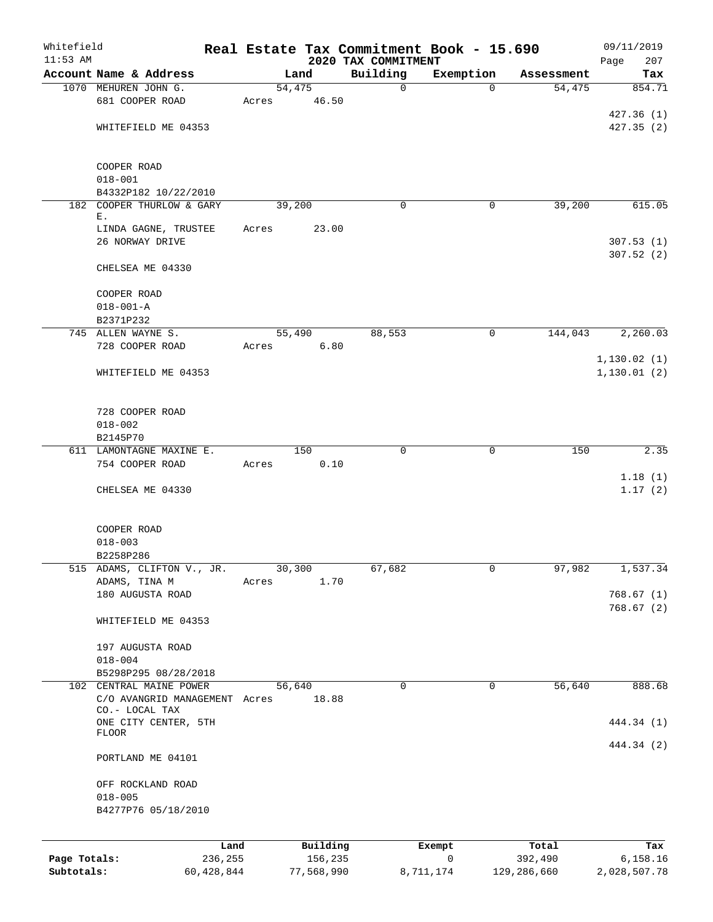| Whitefield<br>$11:53$ AM |                               |            |       |        |            | 2020 TAX COMMITMENT | Real Estate Tax Commitment Book - 15.690 |             |             | 09/11/2019         |
|--------------------------|-------------------------------|------------|-------|--------|------------|---------------------|------------------------------------------|-------------|-------------|--------------------|
|                          | Account Name & Address        |            |       | Land   |            | Building            | Exemption                                |             | Assessment  | Page<br>207<br>Tax |
|                          | 1070 MEHUREN JOHN G.          |            |       | 54,475 |            | $\mathbf 0$         |                                          | $\Omega$    | 54,475      | 854.71             |
|                          | 681 COOPER ROAD               |            | Acres |        | 46.50      |                     |                                          |             |             |                    |
|                          |                               |            |       |        |            |                     |                                          |             |             | 427.36(1)          |
|                          | WHITEFIELD ME 04353           |            |       |        |            |                     |                                          |             |             | 427.35(2)          |
|                          |                               |            |       |        |            |                     |                                          |             |             |                    |
|                          | COOPER ROAD                   |            |       |        |            |                     |                                          |             |             |                    |
|                          | $018 - 001$                   |            |       |        |            |                     |                                          |             |             |                    |
|                          | B4332P182 10/22/2010          |            |       |        |            |                     |                                          |             |             |                    |
|                          | 182 COOPER THURLOW & GARY     |            |       | 39,200 |            | 0                   |                                          | 0           | 39,200      | 615.05             |
|                          | Е.                            |            |       |        |            |                     |                                          |             |             |                    |
|                          | LINDA GAGNE, TRUSTEE          |            | Acres |        | 23.00      |                     |                                          |             |             |                    |
|                          | 26 NORWAY DRIVE               |            |       |        |            |                     |                                          |             |             | 307.53(1)          |
|                          |                               |            |       |        |            |                     |                                          |             |             | 307.52(2)          |
|                          | CHELSEA ME 04330              |            |       |        |            |                     |                                          |             |             |                    |
|                          | COOPER ROAD                   |            |       |        |            |                     |                                          |             |             |                    |
|                          | $018 - 001 - A$               |            |       |        |            |                     |                                          |             |             |                    |
|                          | B2371P232                     |            |       |        |            |                     |                                          |             |             |                    |
|                          | 745 ALLEN WAYNE S.            |            |       | 55,490 |            | 88,553              |                                          | 0           | 144,043     | 2,260.03           |
|                          | 728 COOPER ROAD               |            | Acres |        | 6.80       |                     |                                          |             |             |                    |
|                          |                               |            |       |        |            |                     |                                          |             |             | 1,130.02(1)        |
|                          | WHITEFIELD ME 04353           |            |       |        |            |                     |                                          |             |             | 1, 130.01(2)       |
|                          |                               |            |       |        |            |                     |                                          |             |             |                    |
|                          |                               |            |       |        |            |                     |                                          |             |             |                    |
|                          | 728 COOPER ROAD               |            |       |        |            |                     |                                          |             |             |                    |
|                          | $018 - 002$                   |            |       |        |            |                     |                                          |             |             |                    |
|                          | B2145P70                      |            |       |        |            |                     |                                          |             |             |                    |
|                          | 611 LAMONTAGNE MAXINE E.      |            |       | 150    |            | 0                   |                                          | $\mathbf 0$ | 150         | 2.35               |
|                          | 754 COOPER ROAD               |            | Acres |        | 0.10       |                     |                                          |             |             |                    |
|                          |                               |            |       |        |            |                     |                                          |             |             | 1.18(1)            |
|                          | CHELSEA ME 04330              |            |       |        |            |                     |                                          |             |             | 1.17(2)            |
|                          |                               |            |       |        |            |                     |                                          |             |             |                    |
|                          | COOPER ROAD                   |            |       |        |            |                     |                                          |             |             |                    |
|                          | $018 - 003$                   |            |       |        |            |                     |                                          |             |             |                    |
|                          | B2258P286                     |            |       |        |            |                     |                                          |             |             |                    |
|                          | 515 ADAMS, CLIFTON V., JR.    |            |       | 30,300 |            | 67,682              |                                          | 0           | 97,982      | 1,537.34           |
|                          | ADAMS, TINA M                 |            | Acres |        | 1.70       |                     |                                          |             |             |                    |
|                          | 180 AUGUSTA ROAD              |            |       |        |            |                     |                                          |             |             | 768.67 (1)         |
|                          |                               |            |       |        |            |                     |                                          |             |             | 768.67(2)          |
|                          | WHITEFIELD ME 04353           |            |       |        |            |                     |                                          |             |             |                    |
|                          | 197 AUGUSTA ROAD              |            |       |        |            |                     |                                          |             |             |                    |
|                          | $018 - 004$                   |            |       |        |            |                     |                                          |             |             |                    |
|                          | B5298P295 08/28/2018          |            |       |        |            |                     |                                          |             |             |                    |
|                          | 102 CENTRAL MAINE POWER       |            |       | 56,640 |            | $\Omega$            |                                          | $\mathbf 0$ | 56,640      | 888.68             |
|                          | C/O AVANGRID MANAGEMENT Acres |            |       |        | 18.88      |                     |                                          |             |             |                    |
|                          | CO.- LOCAL TAX                |            |       |        |            |                     |                                          |             |             |                    |
|                          | ONE CITY CENTER, 5TH          |            |       |        |            |                     |                                          |             |             | 444.34 (1)         |
|                          | FLOOR                         |            |       |        |            |                     |                                          |             |             |                    |
|                          |                               |            |       |        |            |                     |                                          |             |             | 444.34 (2)         |
|                          | PORTLAND ME 04101             |            |       |        |            |                     |                                          |             |             |                    |
|                          | OFF ROCKLAND ROAD             |            |       |        |            |                     |                                          |             |             |                    |
|                          | $018 - 005$                   |            |       |        |            |                     |                                          |             |             |                    |
|                          | B4277P76 05/18/2010           |            |       |        |            |                     |                                          |             |             |                    |
|                          |                               |            |       |        |            |                     |                                          |             |             |                    |
|                          |                               | Land       |       |        | Building   |                     | Exempt                                   |             | Total       | Tax                |
| Page Totals:             |                               | 236,255    |       |        | 156,235    |                     | $\mathsf{O}$                             |             | 392,490     | 6,158.16           |
| Subtotals:               |                               | 60,428,844 |       |        | 77,568,990 |                     | 8,711,174                                |             | 129,286,660 | 2,028,507.78       |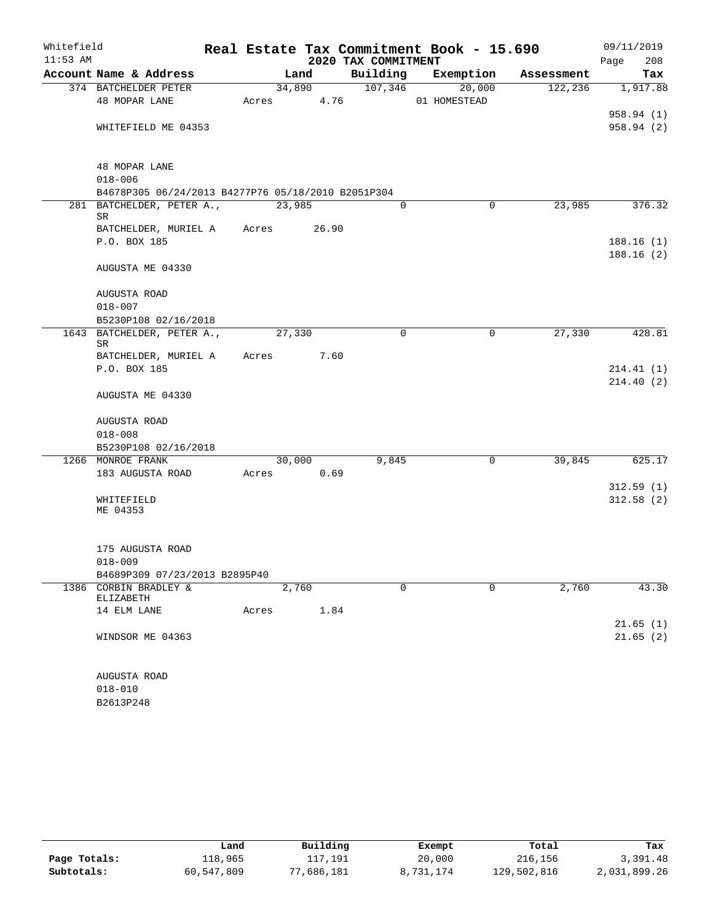| $11:53$ AM<br>2020 TAX COMMITMENT<br>208<br>Page<br>Building Exemption<br>Account Name & Address<br>Land<br>Assessment<br>Tax<br>107,346<br>374 BATCHELDER PETER<br>34,890<br>20,000<br>122,236<br>Acres 4.76<br>48 MOPAR LANE<br>01 HOMESTEAD<br>WHITEFIELD ME 04353<br>48 MOPAR LANE<br>$018 - 006$<br>B4678P305 06/24/2013 B4277P76 05/18/2010 B2051P304<br>23,985<br>$\Omega$<br>$\mathbf 0$<br>23,985<br>281 BATCHELDER, PETER A.,<br>SR<br>BATCHELDER, MURIEL A Acres 26.90<br>P.O. BOX 185<br>AUGUSTA ME 04330<br>AUGUSTA ROAD<br>$018 - 007$<br>B5230P108 02/16/2018<br>$\mathbf 0$<br>$\mathbf 0$<br>27,330<br>1643 BATCHELDER, PETER A.,<br>27,330<br>SR<br>BATCHELDER, MURIEL A<br>7.60<br>Acres<br>P.O. BOX 185<br>AUGUSTA ME 04330<br>AUGUSTA ROAD<br>$018 - 008$<br>B5230P108 02/16/2018<br>1266 MONROE FRANK<br>30,000<br>9,845<br>0<br>39,845<br>183 AUGUSTA ROAD<br>Acres 0.69<br>WHITEFIELD<br>ME 04353<br>175 AUGUSTA ROAD<br>$018 - 009$<br>B4689P309 07/23/2013 B2895P40<br>1386 CORBIN BRADLEY &<br>$\Omega$<br>2,760<br>$\Omega$<br>2,760<br>ELIZABETH<br>14 ELM LANE<br>Acres<br>1.84<br>WINDSOR ME 04363<br>AUGUSTA ROAD | Whitefield |             |  | Real Estate Tax Commitment Book - 15.690 | 09/11/2019 |
|---------------------------------------------------------------------------------------------------------------------------------------------------------------------------------------------------------------------------------------------------------------------------------------------------------------------------------------------------------------------------------------------------------------------------------------------------------------------------------------------------------------------------------------------------------------------------------------------------------------------------------------------------------------------------------------------------------------------------------------------------------------------------------------------------------------------------------------------------------------------------------------------------------------------------------------------------------------------------------------------------------------------------------------------------------------------------------------------------------------------------------------------------|------------|-------------|--|------------------------------------------|------------|
|                                                                                                                                                                                                                                                                                                                                                                                                                                                                                                                                                                                                                                                                                                                                                                                                                                                                                                                                                                                                                                                                                                                                                   |            |             |  |                                          |            |
| 1,917.88<br>958.94 (1)<br>958.94 (2)<br>376.32<br>188.16(1)<br>188.16(2)<br>428.81<br>214.41(1)<br>214.40(2)<br>625.17<br>312.59(1)<br>312.58(2)<br>43.30<br>21.65(1)<br>21.65(2)                                                                                                                                                                                                                                                                                                                                                                                                                                                                                                                                                                                                                                                                                                                                                                                                                                                                                                                                                                 |            |             |  |                                          |            |
|                                                                                                                                                                                                                                                                                                                                                                                                                                                                                                                                                                                                                                                                                                                                                                                                                                                                                                                                                                                                                                                                                                                                                   |            |             |  |                                          |            |
|                                                                                                                                                                                                                                                                                                                                                                                                                                                                                                                                                                                                                                                                                                                                                                                                                                                                                                                                                                                                                                                                                                                                                   |            |             |  |                                          |            |
|                                                                                                                                                                                                                                                                                                                                                                                                                                                                                                                                                                                                                                                                                                                                                                                                                                                                                                                                                                                                                                                                                                                                                   |            |             |  |                                          |            |
|                                                                                                                                                                                                                                                                                                                                                                                                                                                                                                                                                                                                                                                                                                                                                                                                                                                                                                                                                                                                                                                                                                                                                   |            |             |  |                                          |            |
|                                                                                                                                                                                                                                                                                                                                                                                                                                                                                                                                                                                                                                                                                                                                                                                                                                                                                                                                                                                                                                                                                                                                                   |            |             |  |                                          |            |
|                                                                                                                                                                                                                                                                                                                                                                                                                                                                                                                                                                                                                                                                                                                                                                                                                                                                                                                                                                                                                                                                                                                                                   |            |             |  |                                          |            |
|                                                                                                                                                                                                                                                                                                                                                                                                                                                                                                                                                                                                                                                                                                                                                                                                                                                                                                                                                                                                                                                                                                                                                   |            |             |  |                                          |            |
|                                                                                                                                                                                                                                                                                                                                                                                                                                                                                                                                                                                                                                                                                                                                                                                                                                                                                                                                                                                                                                                                                                                                                   |            |             |  |                                          |            |
|                                                                                                                                                                                                                                                                                                                                                                                                                                                                                                                                                                                                                                                                                                                                                                                                                                                                                                                                                                                                                                                                                                                                                   |            |             |  |                                          |            |
|                                                                                                                                                                                                                                                                                                                                                                                                                                                                                                                                                                                                                                                                                                                                                                                                                                                                                                                                                                                                                                                                                                                                                   |            |             |  |                                          |            |
|                                                                                                                                                                                                                                                                                                                                                                                                                                                                                                                                                                                                                                                                                                                                                                                                                                                                                                                                                                                                                                                                                                                                                   |            |             |  |                                          |            |
|                                                                                                                                                                                                                                                                                                                                                                                                                                                                                                                                                                                                                                                                                                                                                                                                                                                                                                                                                                                                                                                                                                                                                   |            |             |  |                                          |            |
|                                                                                                                                                                                                                                                                                                                                                                                                                                                                                                                                                                                                                                                                                                                                                                                                                                                                                                                                                                                                                                                                                                                                                   |            |             |  |                                          |            |
|                                                                                                                                                                                                                                                                                                                                                                                                                                                                                                                                                                                                                                                                                                                                                                                                                                                                                                                                                                                                                                                                                                                                                   |            |             |  |                                          |            |
|                                                                                                                                                                                                                                                                                                                                                                                                                                                                                                                                                                                                                                                                                                                                                                                                                                                                                                                                                                                                                                                                                                                                                   |            |             |  |                                          |            |
|                                                                                                                                                                                                                                                                                                                                                                                                                                                                                                                                                                                                                                                                                                                                                                                                                                                                                                                                                                                                                                                                                                                                                   |            |             |  |                                          |            |
|                                                                                                                                                                                                                                                                                                                                                                                                                                                                                                                                                                                                                                                                                                                                                                                                                                                                                                                                                                                                                                                                                                                                                   |            |             |  |                                          |            |
|                                                                                                                                                                                                                                                                                                                                                                                                                                                                                                                                                                                                                                                                                                                                                                                                                                                                                                                                                                                                                                                                                                                                                   |            |             |  |                                          |            |
|                                                                                                                                                                                                                                                                                                                                                                                                                                                                                                                                                                                                                                                                                                                                                                                                                                                                                                                                                                                                                                                                                                                                                   |            |             |  |                                          |            |
|                                                                                                                                                                                                                                                                                                                                                                                                                                                                                                                                                                                                                                                                                                                                                                                                                                                                                                                                                                                                                                                                                                                                                   |            |             |  |                                          |            |
|                                                                                                                                                                                                                                                                                                                                                                                                                                                                                                                                                                                                                                                                                                                                                                                                                                                                                                                                                                                                                                                                                                                                                   |            |             |  |                                          |            |
|                                                                                                                                                                                                                                                                                                                                                                                                                                                                                                                                                                                                                                                                                                                                                                                                                                                                                                                                                                                                                                                                                                                                                   |            |             |  |                                          |            |
|                                                                                                                                                                                                                                                                                                                                                                                                                                                                                                                                                                                                                                                                                                                                                                                                                                                                                                                                                                                                                                                                                                                                                   |            |             |  |                                          |            |
|                                                                                                                                                                                                                                                                                                                                                                                                                                                                                                                                                                                                                                                                                                                                                                                                                                                                                                                                                                                                                                                                                                                                                   |            |             |  |                                          |            |
|                                                                                                                                                                                                                                                                                                                                                                                                                                                                                                                                                                                                                                                                                                                                                                                                                                                                                                                                                                                                                                                                                                                                                   |            |             |  |                                          |            |
|                                                                                                                                                                                                                                                                                                                                                                                                                                                                                                                                                                                                                                                                                                                                                                                                                                                                                                                                                                                                                                                                                                                                                   |            |             |  |                                          |            |
|                                                                                                                                                                                                                                                                                                                                                                                                                                                                                                                                                                                                                                                                                                                                                                                                                                                                                                                                                                                                                                                                                                                                                   |            |             |  |                                          |            |
|                                                                                                                                                                                                                                                                                                                                                                                                                                                                                                                                                                                                                                                                                                                                                                                                                                                                                                                                                                                                                                                                                                                                                   |            |             |  |                                          |            |
|                                                                                                                                                                                                                                                                                                                                                                                                                                                                                                                                                                                                                                                                                                                                                                                                                                                                                                                                                                                                                                                                                                                                                   |            |             |  |                                          |            |
|                                                                                                                                                                                                                                                                                                                                                                                                                                                                                                                                                                                                                                                                                                                                                                                                                                                                                                                                                                                                                                                                                                                                                   |            |             |  |                                          |            |
|                                                                                                                                                                                                                                                                                                                                                                                                                                                                                                                                                                                                                                                                                                                                                                                                                                                                                                                                                                                                                                                                                                                                                   |            |             |  |                                          |            |
|                                                                                                                                                                                                                                                                                                                                                                                                                                                                                                                                                                                                                                                                                                                                                                                                                                                                                                                                                                                                                                                                                                                                                   |            |             |  |                                          |            |
|                                                                                                                                                                                                                                                                                                                                                                                                                                                                                                                                                                                                                                                                                                                                                                                                                                                                                                                                                                                                                                                                                                                                                   |            |             |  |                                          |            |
|                                                                                                                                                                                                                                                                                                                                                                                                                                                                                                                                                                                                                                                                                                                                                                                                                                                                                                                                                                                                                                                                                                                                                   |            |             |  |                                          |            |
|                                                                                                                                                                                                                                                                                                                                                                                                                                                                                                                                                                                                                                                                                                                                                                                                                                                                                                                                                                                                                                                                                                                                                   |            |             |  |                                          |            |
|                                                                                                                                                                                                                                                                                                                                                                                                                                                                                                                                                                                                                                                                                                                                                                                                                                                                                                                                                                                                                                                                                                                                                   |            |             |  |                                          |            |
|                                                                                                                                                                                                                                                                                                                                                                                                                                                                                                                                                                                                                                                                                                                                                                                                                                                                                                                                                                                                                                                                                                                                                   |            | $018 - 010$ |  |                                          |            |

B2613P248

|              | Land       | Building   | Exempt    | Total       | Tax          |
|--------------|------------|------------|-----------|-------------|--------------|
| Page Totals: | 118,965    | 117,191    | 20,000    | 216,156     | 3,391.48     |
| Subtotals:   | 60,547,809 | 77,686,181 | 8,731,174 | 129,502,816 | 2,031,899.26 |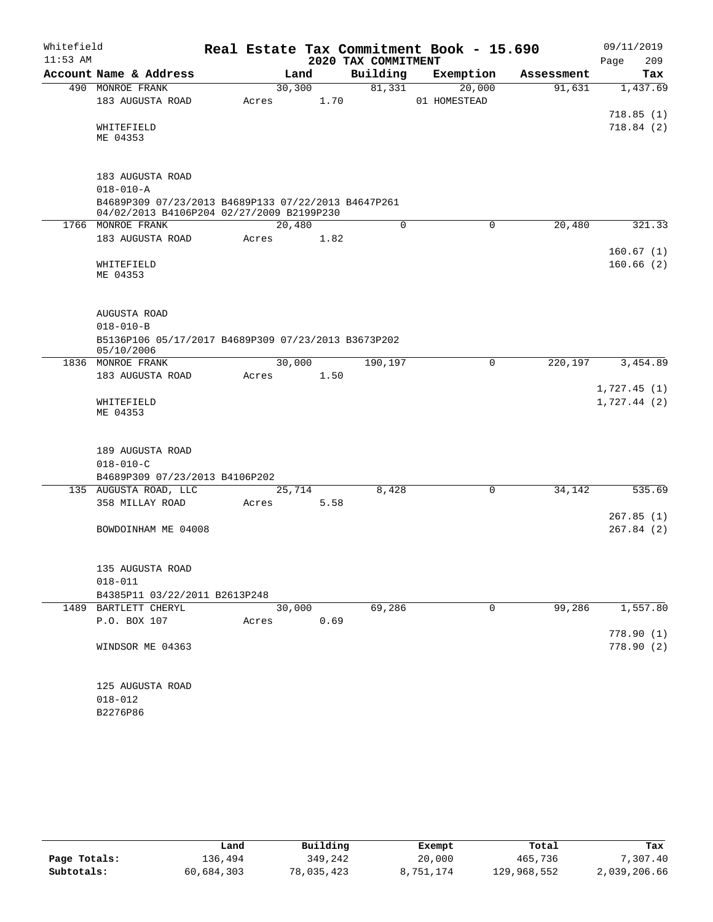| Whitefield |                                                                                                  |       |         |      |                     | Real Estate Tax Commitment Book - 15.690 |            | 09/11/2019             |
|------------|--------------------------------------------------------------------------------------------------|-------|---------|------|---------------------|------------------------------------------|------------|------------------------|
| $11:53$ AM |                                                                                                  |       |         |      | 2020 TAX COMMITMENT |                                          |            | 209<br>Page            |
|            | Account Name & Address                                                                           |       | Land    |      | Building            | Exemption                                | Assessment | Tax                    |
|            | 490 MONROE FRANK                                                                                 |       | 30, 300 |      | 81,331              | 20,000                                   | 91,631     | 1,437.69               |
|            | 183 AUGUSTA ROAD                                                                                 | Acres |         | 1.70 |                     | 01 HOMESTEAD                             |            |                        |
|            |                                                                                                  |       |         |      |                     |                                          |            | 718.85(1)              |
|            | WHITEFIELD<br>ME 04353                                                                           |       |         |      |                     |                                          |            | 718.84(2)              |
|            | 183 AUGUSTA ROAD                                                                                 |       |         |      |                     |                                          |            |                        |
|            | $018 - 010 - A$                                                                                  |       |         |      |                     |                                          |            |                        |
|            | B4689P309 07/23/2013 B4689P133 07/22/2013 B4647P261<br>04/02/2013 B4106P204 02/27/2009 B2199P230 |       |         |      |                     |                                          |            |                        |
|            | 1766 MONROE FRANK                                                                                |       | 20,480  |      | $\mathbf 0$         | $\mathbf 0$                              | 20,480     | 321.33                 |
|            | 183 AUGUSTA ROAD                                                                                 | Acres |         | 1.82 |                     |                                          |            |                        |
|            |                                                                                                  |       |         |      |                     |                                          |            | 160.67(1)              |
|            | WHITEFIELD<br>ME 04353                                                                           |       |         |      |                     |                                          |            | 160.66(2)              |
|            | AUGUSTA ROAD                                                                                     |       |         |      |                     |                                          |            |                        |
|            | $018 - 010 - B$                                                                                  |       |         |      |                     |                                          |            |                        |
|            | B5136P106 05/17/2017 B4689P309 07/23/2013 B3673P202<br>05/10/2006                                |       |         |      |                     |                                          |            |                        |
|            | 1836 MONROE FRANK                                                                                |       | 30,000  |      | 190,197             | 0                                        | 220,197    | 3,454.89               |
|            | 183 AUGUSTA ROAD                                                                                 | Acres |         | 1.50 |                     |                                          |            |                        |
|            |                                                                                                  |       |         |      |                     |                                          |            | 1,727.45(1)            |
|            | WHITEFIELD<br>ME 04353                                                                           |       |         |      |                     |                                          |            | 1,727.44(2)            |
|            | 189 AUGUSTA ROAD<br>$018 - 010 - C$                                                              |       |         |      |                     |                                          |            |                        |
|            | B4689P309 07/23/2013 B4106P202                                                                   |       |         |      |                     |                                          |            |                        |
|            | 135 AUGUSTA ROAD, LLC                                                                            |       | 25,714  |      | 8,428               | 0                                        | 34,142     | 535.69                 |
|            | 358 MILLAY ROAD                                                                                  | Acres |         | 5.58 |                     |                                          |            |                        |
|            |                                                                                                  |       |         |      |                     |                                          |            | 267.85(1)              |
|            | BOWDOINHAM ME 04008                                                                              |       |         |      |                     |                                          |            | 267.84(2)              |
|            | 135 AUGUSTA ROAD                                                                                 |       |         |      |                     |                                          |            |                        |
|            | $018 - 011$                                                                                      |       |         |      |                     |                                          |            |                        |
|            | B4385P11 03/22/2011 B2613P248                                                                    |       |         |      |                     |                                          |            |                        |
|            | 1489 BARTLETT CHERYL                                                                             |       | 30,000  |      | 69,286              | 0                                        | 99,286     | 1,557.80               |
|            | P.O. BOX 107                                                                                     | Acres |         | 0.69 |                     |                                          |            |                        |
|            | WINDSOR ME 04363                                                                                 |       |         |      |                     |                                          |            | 778.90(1)<br>778.90(2) |
|            | 125 AUGUSTA ROAD                                                                                 |       |         |      |                     |                                          |            |                        |
|            | $018 - 012$                                                                                      |       |         |      |                     |                                          |            |                        |

B2276P86

|              | Land       | Building   | Exempt    | Total       | Tax          |
|--------------|------------|------------|-----------|-------------|--------------|
| Page Totals: | 136,494    | 349,242    | 20,000    | 465,736     | 7,307.40     |
| Subtotals:   | 60,684,303 | 78,035,423 | 8,751,174 | 129,968,552 | 2,039,206.66 |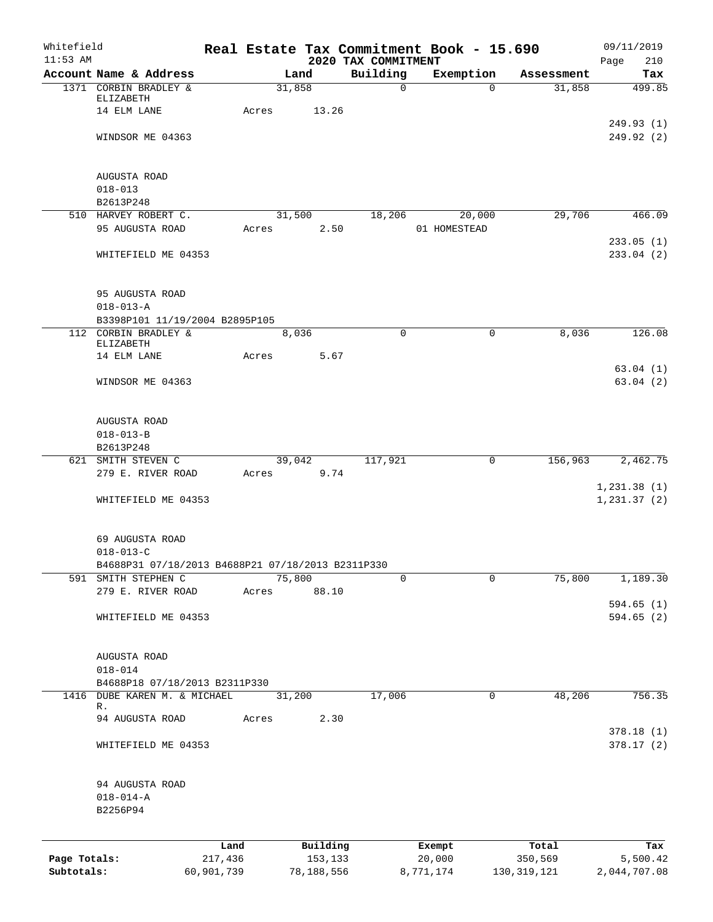| Whitefield<br>$11:53$ AM |                                                                      |            |       |            | 2020 TAX COMMITMENT | Real Estate Tax Commitment Book - 15.690 |                        | 09/11/2019<br>Page<br>210 |
|--------------------------|----------------------------------------------------------------------|------------|-------|------------|---------------------|------------------------------------------|------------------------|---------------------------|
|                          | Account Name & Address                                               |            |       | Land       | Building            | Exemption                                | Assessment             | Tax                       |
|                          | 1371 CORBIN BRADLEY &                                                |            |       | 31,858     | $\mathsf{O}$        |                                          | $\Omega$<br>31,858     | 499.85                    |
|                          | ELIZABETH                                                            |            |       |            |                     |                                          |                        |                           |
|                          | 14 ELM LANE                                                          |            | Acres | 13.26      |                     |                                          |                        |                           |
|                          |                                                                      |            |       |            |                     |                                          |                        | 249.93(1)                 |
|                          | WINDSOR ME 04363                                                     |            |       |            |                     |                                          |                        | 249.92 (2)                |
|                          |                                                                      |            |       |            |                     |                                          |                        |                           |
|                          | AUGUSTA ROAD                                                         |            |       |            |                     |                                          |                        |                           |
|                          | $018 - 013$                                                          |            |       |            |                     |                                          |                        |                           |
|                          | B2613P248                                                            |            |       |            |                     |                                          |                        |                           |
|                          | 510 HARVEY ROBERT C.                                                 |            |       | 31,500     | 18,206              | 20,000                                   | 29,706                 | 466.09                    |
|                          | 95 AUGUSTA ROAD                                                      |            | Acres | 2.50       |                     | 01 HOMESTEAD                             |                        |                           |
|                          |                                                                      |            |       |            |                     |                                          |                        | 233.05(1)                 |
|                          | WHITEFIELD ME 04353                                                  |            |       |            |                     |                                          |                        | 233.04(2)                 |
|                          |                                                                      |            |       |            |                     |                                          |                        |                           |
|                          | 95 AUGUSTA ROAD                                                      |            |       |            |                     |                                          |                        |                           |
|                          | $018 - 013 - A$                                                      |            |       |            |                     |                                          |                        |                           |
|                          | B3398P101 11/19/2004 B2895P105                                       |            |       |            |                     |                                          |                        |                           |
|                          | 112 CORBIN BRADLEY &                                                 |            |       | 8,036      | $\Omega$            |                                          | 8,036<br>$\mathbf 0$   | 126.08                    |
|                          | ELIZABETH                                                            |            |       |            |                     |                                          |                        |                           |
|                          | 14 ELM LANE                                                          |            | Acres | 5.67       |                     |                                          |                        |                           |
|                          |                                                                      |            |       |            |                     |                                          |                        | 63.04(1)                  |
|                          | WINDSOR ME 04363                                                     |            |       |            |                     |                                          |                        | 63.04(2)                  |
|                          |                                                                      |            |       |            |                     |                                          |                        |                           |
|                          | AUGUSTA ROAD                                                         |            |       |            |                     |                                          |                        |                           |
|                          | $018 - 013 - B$                                                      |            |       |            |                     |                                          |                        |                           |
|                          | B2613P248                                                            |            |       |            |                     |                                          |                        |                           |
|                          | 621 SMITH STEVEN C                                                   |            |       | 39,042     | 117,921             |                                          | $\mathbf 0$<br>156,963 | 2,462.75                  |
|                          | 279 E. RIVER ROAD                                                    |            | Acres | 9.74       |                     |                                          |                        |                           |
|                          |                                                                      |            |       |            |                     |                                          |                        | 1, 231.38(1)              |
|                          | WHITEFIELD ME 04353                                                  |            |       |            |                     |                                          |                        | 1, 231.37(2)              |
|                          |                                                                      |            |       |            |                     |                                          |                        |                           |
|                          |                                                                      |            |       |            |                     |                                          |                        |                           |
|                          | 69 AUGUSTA ROAD                                                      |            |       |            |                     |                                          |                        |                           |
|                          | $018 - 013 - C$<br>B4688P31 07/18/2013 B4688P21 07/18/2013 B2311P330 |            |       |            |                     |                                          |                        |                           |
|                          | 591 SMITH STEPHEN C                                                  |            |       | 75,800     | 0                   |                                          | 75,800<br>$\mathbf 0$  | 1,189.30                  |
|                          | 279 E. RIVER ROAD                                                    |            | Acres | 88.10      |                     |                                          |                        |                           |
|                          |                                                                      |            |       |            |                     |                                          |                        | 594.65 (1)                |
|                          | WHITEFIELD ME 04353                                                  |            |       |            |                     |                                          |                        | 594.65 (2)                |
|                          |                                                                      |            |       |            |                     |                                          |                        |                           |
|                          |                                                                      |            |       |            |                     |                                          |                        |                           |
|                          | AUGUSTA ROAD                                                         |            |       |            |                     |                                          |                        |                           |
|                          | $018 - 014$                                                          |            |       |            |                     |                                          |                        |                           |
|                          | B4688P18 07/18/2013 B2311P330                                        |            |       |            |                     |                                          |                        |                           |
| 1416                     | DUBE KAREN M. & MICHAEL<br>R.                                        |            |       | 31,200     | 17,006              |                                          | 48,206<br>$\mathsf{O}$ | 756.35                    |
|                          | 94 AUGUSTA ROAD                                                      |            | Acres | 2.30       |                     |                                          |                        |                           |
|                          |                                                                      |            |       |            |                     |                                          |                        | 378.18(1)                 |
|                          | WHITEFIELD ME 04353                                                  |            |       |            |                     |                                          |                        | 378.17(2)                 |
|                          |                                                                      |            |       |            |                     |                                          |                        |                           |
|                          |                                                                      |            |       |            |                     |                                          |                        |                           |
|                          | 94 AUGUSTA ROAD                                                      |            |       |            |                     |                                          |                        |                           |
|                          | $018 - 014 - A$                                                      |            |       |            |                     |                                          |                        |                           |
|                          | B2256P94                                                             |            |       |            |                     |                                          |                        |                           |
|                          |                                                                      |            |       |            |                     |                                          |                        |                           |
|                          |                                                                      | Land       |       | Building   |                     | Exempt                                   | Total                  | Tax                       |
| Page Totals:             |                                                                      | 217,436    |       | 153,133    |                     | 20,000                                   | 350,569                | 5,500.42                  |
| Subtotals:               |                                                                      | 60,901,739 |       | 78,188,556 |                     | 8,771,174                                | 130, 319, 121          | 2,044,707.08              |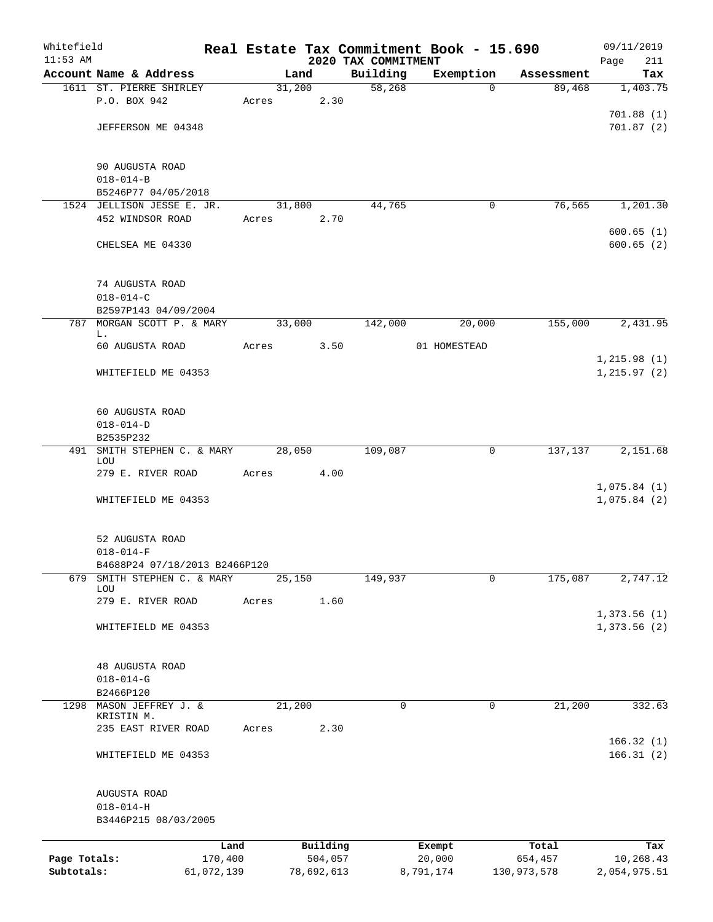| Whitefield   |                                         |                 |        |                     |                     | Real Estate Tax Commitment Book - 15.690 |                  | 09/11/2019       |
|--------------|-----------------------------------------|-----------------|--------|---------------------|---------------------|------------------------------------------|------------------|------------------|
| $11:53$ AM   |                                         |                 |        |                     | 2020 TAX COMMITMENT |                                          |                  | Page<br>211      |
|              | Account Name & Address                  |                 | Land   |                     | Building            | Exemption                                | Assessment       | Tax              |
|              | 1611 ST. PIERRE SHIRLEY<br>P.O. BOX 942 |                 | 31,200 | 2.30                | 58,268              | $\Omega$                                 | 89,468           | 1,403.75         |
|              |                                         | Acres           |        |                     |                     |                                          |                  | 701.88(1)        |
|              | JEFFERSON ME 04348                      |                 |        |                     |                     |                                          |                  | 701.87(2)        |
|              |                                         |                 |        |                     |                     |                                          |                  |                  |
|              | 90 AUGUSTA ROAD                         |                 |        |                     |                     |                                          |                  |                  |
|              | $018 - 014 - B$                         |                 |        |                     |                     |                                          |                  |                  |
|              | B5246P77 04/05/2018                     |                 |        |                     |                     |                                          |                  |                  |
|              | 1524 JELLISON JESSE E. JR.              |                 | 31,800 |                     | 44,765              | 0                                        | 76,565           | 1,201.30         |
|              | 452 WINDSOR ROAD                        | Acres           |        | 2.70                |                     |                                          |                  |                  |
|              |                                         |                 |        |                     |                     |                                          |                  | 600.65(1)        |
|              | CHELSEA ME 04330                        |                 |        |                     |                     |                                          |                  | 600.65(2)        |
|              | 74 AUGUSTA ROAD                         |                 |        |                     |                     |                                          |                  |                  |
|              | $018 - 014 - C$                         |                 |        |                     |                     |                                          |                  |                  |
|              | B2597P143 04/09/2004                    |                 |        |                     |                     |                                          |                  |                  |
|              | 787 MORGAN SCOTT P. & MARY              |                 | 33,000 |                     | 142,000             | 20,000                                   | 155,000          | 2,431.95         |
|              | L.<br>60 AUGUSTA ROAD                   | Acres           |        | 3.50                |                     | 01 HOMESTEAD                             |                  |                  |
|              |                                         |                 |        |                     |                     |                                          |                  | 1, 215.98(1)     |
|              | WHITEFIELD ME 04353                     |                 |        |                     |                     |                                          |                  | 1, 215.97(2)     |
|              |                                         |                 |        |                     |                     |                                          |                  |                  |
|              | 60 AUGUSTA ROAD                         |                 |        |                     |                     |                                          |                  |                  |
|              | $018 - 014 - D$                         |                 |        |                     |                     |                                          |                  |                  |
|              | B2535P232                               |                 |        |                     |                     |                                          |                  |                  |
| 491          | SMITH STEPHEN C. & MARY<br>LOU          |                 | 28,050 |                     | 109,087             | 0                                        | 137,137          | 2,151.68         |
|              | 279 E. RIVER ROAD                       | Acres           |        | 4.00                |                     |                                          |                  |                  |
|              |                                         |                 |        |                     |                     |                                          |                  | 1,075.84(1)      |
|              | WHITEFIELD ME 04353                     |                 |        |                     |                     |                                          |                  | 1,075.84(2)      |
|              |                                         |                 |        |                     |                     |                                          |                  |                  |
|              | 52 AUGUSTA ROAD                         |                 |        |                     |                     |                                          |                  |                  |
|              | $018 - 014 - F$                         |                 |        |                     |                     |                                          |                  |                  |
|              | B4688P24 07/18/2013 B2466P120           |                 |        |                     |                     |                                          |                  |                  |
| 679          | SMITH STEPHEN C. & MARY                 |                 | 25,150 |                     | 149,937             | 0                                        | 175,087          | 2,747.12         |
|              | LOU<br>279 E. RIVER ROAD                | Acres           |        | 1.60                |                     |                                          |                  |                  |
|              |                                         |                 |        |                     |                     |                                          |                  | 1,373.56(1)      |
|              | WHITEFIELD ME 04353                     |                 |        |                     |                     |                                          |                  | 1,373.56 (2)     |
|              |                                         |                 |        |                     |                     |                                          |                  |                  |
|              | 48 AUGUSTA ROAD                         |                 |        |                     |                     |                                          |                  |                  |
|              | $018 - 014 - G$                         |                 |        |                     |                     |                                          |                  |                  |
|              | B2466P120                               |                 |        |                     |                     |                                          |                  |                  |
| 1298         | MASON JEFFREY J. &                      |                 | 21,200 |                     | 0                   | 0                                        | 21,200           | 332.63           |
|              | KRISTIN M.<br>235 EAST RIVER ROAD       | Acres           |        | 2.30                |                     |                                          |                  |                  |
|              |                                         |                 |        |                     |                     |                                          |                  | 166.32(1)        |
|              | WHITEFIELD ME 04353                     |                 |        |                     |                     |                                          |                  | 166.31(2)        |
|              | AUGUSTA ROAD                            |                 |        |                     |                     |                                          |                  |                  |
|              | $018 - 014 - H$                         |                 |        |                     |                     |                                          |                  |                  |
|              | B3446P215 08/03/2005                    |                 |        |                     |                     |                                          |                  |                  |
|              |                                         |                 |        |                     |                     |                                          |                  |                  |
| Page Totals: |                                         | Land<br>170,400 |        | Building<br>504,057 |                     | Exempt<br>20,000                         | Total<br>654,457 | Tax<br>10,268.43 |
| Subtotals:   | 61,072,139                              |                 |        | 78,692,613          |                     | 8,791,174                                | 130,973,578      | 2,054,975.51     |
|              |                                         |                 |        |                     |                     |                                          |                  |                  |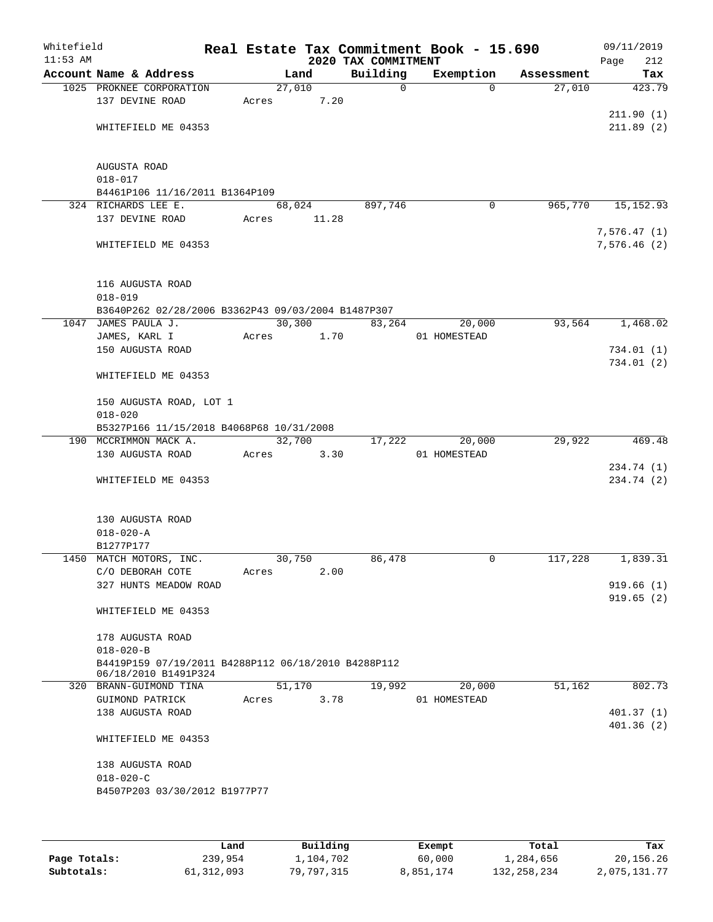| Whitefield<br>$11:53$ AM |                                                                             |       |                | 2020 TAX COMMITMENT | Real Estate Tax Commitment Book - 15.690 |            | 09/11/2019<br>212<br>Page |
|--------------------------|-----------------------------------------------------------------------------|-------|----------------|---------------------|------------------------------------------|------------|---------------------------|
|                          | Account Name & Address                                                      |       | Land           | Building            | Exemption                                | Assessment | Tax                       |
|                          | 1025 PROKNEE CORPORATION<br>137 DEVINE ROAD                                 | Acres | 27,010<br>7.20 | $\mathsf{O}$        | $\Omega$                                 | 27,010     | 423.79                    |
|                          | WHITEFIELD ME 04353                                                         |       |                |                     |                                          |            | 211.90(1)<br>211.89(2)    |
|                          | AUGUSTA ROAD<br>$018 - 017$                                                 |       |                |                     |                                          |            |                           |
|                          | B4461P106 11/16/2011 B1364P109                                              |       |                |                     |                                          |            |                           |
|                          | 324 RICHARDS LEE E.                                                         |       | 68,024         | 897,746             | 0                                        | 965,770    | 15, 152.93                |
|                          | 137 DEVINE ROAD                                                             | Acres | 11.28          |                     |                                          |            | 7,576.47(1)               |
|                          | WHITEFIELD ME 04353                                                         |       |                |                     |                                          |            | 7,576.46(2)               |
|                          | 116 AUGUSTA ROAD<br>$018 - 019$                                             |       |                |                     |                                          |            |                           |
|                          | B3640P262 02/28/2006 B3362P43 09/03/2004 B1487P307<br>1047 JAMES PAULA J.   |       | 30,300         | 83,264              | 20,000                                   | 93,564     | 1,468.02                  |
|                          | JAMES, KARL I                                                               | Acres | 1.70           |                     | 01 HOMESTEAD                             |            |                           |
|                          | 150 AUGUSTA ROAD                                                            |       |                |                     |                                          |            | 734.01(1)                 |
|                          |                                                                             |       |                |                     |                                          |            | 734.01(2)                 |
|                          | WHITEFIELD ME 04353                                                         |       |                |                     |                                          |            |                           |
|                          | 150 AUGUSTA ROAD, LOT 1                                                     |       |                |                     |                                          |            |                           |
|                          | $018 - 020$                                                                 |       |                |                     |                                          |            |                           |
|                          | B5327P166 11/15/2018 B4068P68 10/31/2008                                    |       |                |                     |                                          |            |                           |
|                          | 190 MCCRIMMON MACK A.<br>130 AUGUSTA ROAD                                   | Acres | 32,700<br>3.30 | 17,222              | 20,000<br>01 HOMESTEAD                   | 29,922     | 469.48                    |
|                          |                                                                             |       |                |                     |                                          |            | 234.74 (1)                |
|                          | WHITEFIELD ME 04353                                                         |       |                |                     |                                          |            | 234.74 (2)                |
|                          | 130 AUGUSTA ROAD                                                            |       |                |                     |                                          |            |                           |
|                          | $018 - 020 - A$                                                             |       |                |                     |                                          |            |                           |
|                          | B1277P177                                                                   |       |                |                     |                                          |            |                           |
|                          | 1450 MATCH MOTORS, INC.<br>C/O DEBORAH COTE                                 | Acres | 30,750<br>2.00 | 86,478              | 0                                        | 117,228    | 1,839.31                  |
|                          | 327 HUNTS MEADOW ROAD                                                       |       |                |                     |                                          |            | 919.66(1)                 |
|                          |                                                                             |       |                |                     |                                          |            | 919.65(2)                 |
|                          | WHITEFIELD ME 04353                                                         |       |                |                     |                                          |            |                           |
|                          | 178 AUGUSTA ROAD                                                            |       |                |                     |                                          |            |                           |
|                          | $018 - 020 - B$                                                             |       |                |                     |                                          |            |                           |
|                          | B4419P159 07/19/2011 B4288P112 06/18/2010 B4288P112<br>06/18/2010 B1491P324 |       |                |                     |                                          |            |                           |
|                          | 320 BRANN-GUIMOND TINA                                                      |       | 51,170         | 19,992              | 20,000                                   | 51,162     | 802.73                    |
|                          | GUIMOND PATRICK                                                             | Acres | 3.78           |                     | 01 HOMESTEAD                             |            |                           |
|                          | 138 AUGUSTA ROAD                                                            |       |                |                     |                                          |            | 401.37(1)                 |
|                          | WHITEFIELD ME 04353                                                         |       |                |                     |                                          |            | 401.36(2)                 |
|                          | 138 AUGUSTA ROAD                                                            |       |                |                     |                                          |            |                           |
|                          | $018 - 020 - C$                                                             |       |                |                     |                                          |            |                           |
|                          | B4507P203 03/30/2012 B1977P77                                               |       |                |                     |                                          |            |                           |
|                          |                                                                             |       |                |                     |                                          |            |                           |
|                          |                                                                             |       |                |                     |                                          |            |                           |

|              | Land       | Building   | Exempt    | Total       | Tax          |
|--------------|------------|------------|-----------|-------------|--------------|
| Page Totals: | 239,954    | 1,104,702  | 60,000    | 1,284,656   | 20,156.26    |
| Subtotals:   | 61,312,093 | 79,797,315 | 8,851,174 | 132,258,234 | 2,075,131.77 |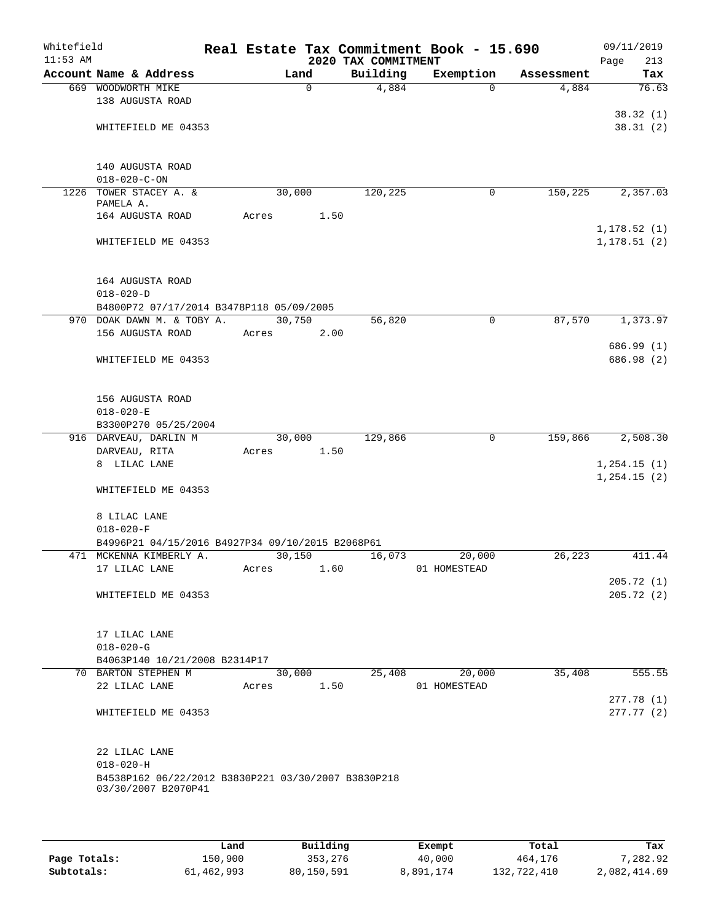| Whitefield<br>$11:53$ AM |                                                                             |  |       |             |      | 2020 TAX COMMITMENT | Real Estate Tax Commitment Book - 15.690 |            | 09/11/2019<br>Page<br>213 |  |
|--------------------------|-----------------------------------------------------------------------------|--|-------|-------------|------|---------------------|------------------------------------------|------------|---------------------------|--|
|                          | Account Name & Address                                                      |  |       | Land        |      | Building            | Exemption                                | Assessment | Tax                       |  |
|                          | 669 WOODWORTH MIKE                                                          |  |       | $\mathbf 0$ |      | 4,884               | $\Omega$                                 | 4,884      | 76.63                     |  |
|                          | 138 AUGUSTA ROAD                                                            |  |       |             |      |                     |                                          |            |                           |  |
|                          |                                                                             |  |       |             |      |                     |                                          |            | 38.32(1)                  |  |
|                          | WHITEFIELD ME 04353                                                         |  |       |             |      |                     |                                          |            | 38.31(2)                  |  |
|                          |                                                                             |  |       |             |      |                     |                                          |            |                           |  |
|                          |                                                                             |  |       |             |      |                     |                                          |            |                           |  |
|                          | 140 AUGUSTA ROAD                                                            |  |       |             |      |                     |                                          |            |                           |  |
|                          | $018 - 020 - C - ON$<br>1226 TOWER STACEY A. &                              |  |       | 30,000      |      | 120,225             | 0                                        | 150, 225   | 2,357.03                  |  |
|                          | PAMELA A.                                                                   |  |       |             |      |                     |                                          |            |                           |  |
|                          | 164 AUGUSTA ROAD                                                            |  | Acres |             | 1.50 |                     |                                          |            |                           |  |
|                          |                                                                             |  |       |             |      |                     |                                          |            | 1, 178.52(1)              |  |
|                          | WHITEFIELD ME 04353                                                         |  |       |             |      |                     |                                          |            | 1, 178.51(2)              |  |
|                          |                                                                             |  |       |             |      |                     |                                          |            |                           |  |
|                          |                                                                             |  |       |             |      |                     |                                          |            |                           |  |
|                          | 164 AUGUSTA ROAD                                                            |  |       |             |      |                     |                                          |            |                           |  |
|                          | $018 - 020 - D$<br>B4800P72 07/17/2014 B3478P118 05/09/2005                 |  |       |             |      |                     |                                          |            |                           |  |
|                          | 970 DOAK DAWN M. & TOBY A.                                                  |  |       | 30,750      |      | 56,820              | 0                                        | 87,570     | 1,373.97                  |  |
|                          | 156 AUGUSTA ROAD                                                            |  | Acres |             | 2.00 |                     |                                          |            |                           |  |
|                          |                                                                             |  |       |             |      |                     |                                          |            | 686.99 (1)                |  |
|                          | WHITEFIELD ME 04353                                                         |  |       |             |      |                     |                                          |            | 686.98 (2)                |  |
|                          |                                                                             |  |       |             |      |                     |                                          |            |                           |  |
|                          |                                                                             |  |       |             |      |                     |                                          |            |                           |  |
|                          | 156 AUGUSTA ROAD                                                            |  |       |             |      |                     |                                          |            |                           |  |
|                          | $018 - 020 - E$                                                             |  |       |             |      |                     |                                          |            |                           |  |
|                          | B3300P270 05/25/2004<br>916 DARVEAU, DARLIN M                               |  |       | 30,000      |      | 129,866             | 0                                        | 159,866    | 2,508.30                  |  |
|                          | DARVEAU, RITA                                                               |  | Acres |             | 1.50 |                     |                                          |            |                           |  |
|                          | 8 LILAC LANE                                                                |  |       |             |      |                     |                                          |            | 1, 254.15(1)              |  |
|                          |                                                                             |  |       |             |      |                     |                                          |            | 1, 254.15(2)              |  |
|                          | WHITEFIELD ME 04353                                                         |  |       |             |      |                     |                                          |            |                           |  |
|                          |                                                                             |  |       |             |      |                     |                                          |            |                           |  |
|                          | 8 LILAC LANE                                                                |  |       |             |      |                     |                                          |            |                           |  |
|                          | $018 - 020 - F$                                                             |  |       |             |      |                     |                                          |            |                           |  |
|                          | B4996P21 04/15/2016 B4927P34 09/10/2015 B2068P61<br>471 MCKENNA KIMBERLY A. |  |       |             |      |                     |                                          |            | 411.44                    |  |
|                          | 17 LILAC LANE                                                               |  |       | 30,150      | 1.60 | 16,073              | 20,000<br>01 HOMESTEAD                   | 26, 223    |                           |  |
|                          |                                                                             |  | Acres |             |      |                     |                                          |            | 205.72(1)                 |  |
|                          | WHITEFIELD ME 04353                                                         |  |       |             |      |                     |                                          |            | 205.72(2)                 |  |
|                          |                                                                             |  |       |             |      |                     |                                          |            |                           |  |
|                          |                                                                             |  |       |             |      |                     |                                          |            |                           |  |
|                          | 17 LILAC LANE                                                               |  |       |             |      |                     |                                          |            |                           |  |
|                          | $018 - 020 - G$                                                             |  |       |             |      |                     |                                          |            |                           |  |
|                          | B4063P140 10/21/2008 B2314P17                                               |  |       |             |      |                     |                                          |            |                           |  |
|                          | 70 BARTON STEPHEN M                                                         |  |       | 30,000      |      | 25,408              | 20,000                                   | 35,408     | 555.55                    |  |
|                          | 22 LILAC LANE                                                               |  | Acres |             | 1.50 |                     | 01 HOMESTEAD                             |            | 277.78(1)                 |  |
|                          | WHITEFIELD ME 04353                                                         |  |       |             |      |                     |                                          |            | 277.77(2)                 |  |
|                          |                                                                             |  |       |             |      |                     |                                          |            |                           |  |
|                          |                                                                             |  |       |             |      |                     |                                          |            |                           |  |
|                          | 22 LILAC LANE                                                               |  |       |             |      |                     |                                          |            |                           |  |
|                          | $018 - 020 - H$                                                             |  |       |             |      |                     |                                          |            |                           |  |
|                          | B4538P162 06/22/2012 B3830P221 03/30/2007 B3830P218                         |  |       |             |      |                     |                                          |            |                           |  |
|                          | 03/30/2007 B2070P41                                                         |  |       |             |      |                     |                                          |            |                           |  |
|                          |                                                                             |  |       |             |      |                     |                                          |            |                           |  |
|                          |                                                                             |  |       |             |      |                     |                                          |            |                           |  |

|              | Land       | Building   | Exempt    | Total       | Tax          |
|--------------|------------|------------|-----------|-------------|--------------|
| Page Totals: | 150,900    | 353,276    | 40,000    | 464,176     | 7,282.92     |
| Subtotals:   | 61,462,993 | 80,150,591 | 8,891,174 | 132,722,410 | 2,082,414.69 |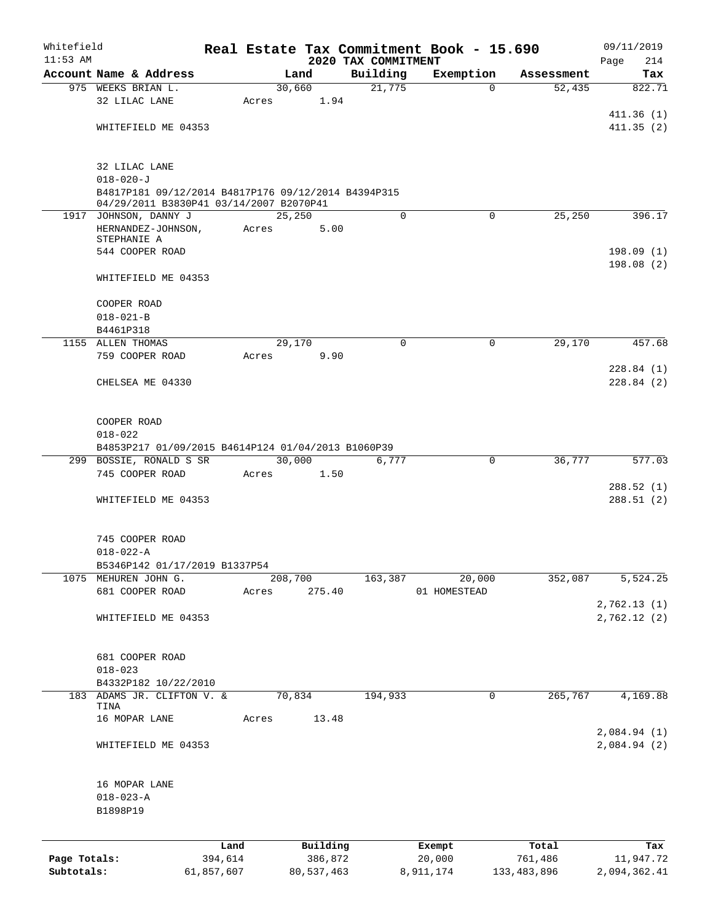| Whitefield   |                                                                  |                 |       |                     |                                 | Real Estate Tax Commitment Book - 15.690 |                  | 09/11/2019             |
|--------------|------------------------------------------------------------------|-----------------|-------|---------------------|---------------------------------|------------------------------------------|------------------|------------------------|
| $11:53$ AM   | Account Name & Address                                           |                 |       | Land                | 2020 TAX COMMITMENT<br>Building | Exemption                                | Assessment       | Page<br>214<br>Tax     |
|              | 975 WEEKS BRIAN L.                                               |                 |       | 30,660              | 21,775                          | $\Omega$                                 | 52,435           | 822.71                 |
|              | 32 LILAC LANE                                                    |                 | Acres | 1.94                |                                 |                                          |                  |                        |
|              |                                                                  |                 |       |                     |                                 |                                          |                  | 411.36(1)              |
|              | WHITEFIELD ME 04353                                              |                 |       |                     |                                 |                                          |                  | 411.35(2)              |
|              |                                                                  |                 |       |                     |                                 |                                          |                  |                        |
|              | 32 LILAC LANE                                                    |                 |       |                     |                                 |                                          |                  |                        |
|              | $018 - 020 - J$                                                  |                 |       |                     |                                 |                                          |                  |                        |
|              | B4817P181 09/12/2014 B4817P176 09/12/2014 B4394P315              |                 |       |                     |                                 |                                          |                  |                        |
|              | 04/29/2011 B3830P41 03/14/2007 B2070P41<br>1917 JOHNSON, DANNY J |                 |       | 25,250              | 0                               | $\Omega$                                 | 25,250           | 396.17                 |
|              | HERNANDEZ-JOHNSON,                                               |                 | Acres | 5.00                |                                 |                                          |                  |                        |
|              | STEPHANIE A                                                      |                 |       |                     |                                 |                                          |                  |                        |
|              | 544 COOPER ROAD                                                  |                 |       |                     |                                 |                                          |                  | 198.09(1)              |
|              | WHITEFIELD ME 04353                                              |                 |       |                     |                                 |                                          |                  | 198.08(2)              |
|              |                                                                  |                 |       |                     |                                 |                                          |                  |                        |
|              | COOPER ROAD                                                      |                 |       |                     |                                 |                                          |                  |                        |
|              | $018 - 021 - B$                                                  |                 |       |                     |                                 |                                          |                  |                        |
|              | B4461P318                                                        |                 |       |                     |                                 |                                          |                  |                        |
|              | 1155 ALLEN THOMAS                                                |                 |       | 29,170              | $\Omega$                        | $\Omega$                                 | 29,170           | 457.68                 |
|              | 759 COOPER ROAD                                                  |                 | Acres | 9.90                |                                 |                                          |                  |                        |
|              | CHELSEA ME 04330                                                 |                 |       |                     |                                 |                                          |                  | 228.84(1)<br>228.84(2) |
|              |                                                                  |                 |       |                     |                                 |                                          |                  |                        |
|              |                                                                  |                 |       |                     |                                 |                                          |                  |                        |
|              | COOPER ROAD                                                      |                 |       |                     |                                 |                                          |                  |                        |
|              | $018 - 022$                                                      |                 |       |                     |                                 |                                          |                  |                        |
|              | B4853P217 01/09/2015 B4614P124 01/04/2013 B1060P39               |                 |       |                     |                                 |                                          |                  |                        |
|              | 299 BOSSIE, RONALD S SR<br>745 COOPER ROAD                       |                 | Acres | 30,000<br>1.50      | 6,777                           | 0                                        | 36,777           | 577.03                 |
|              |                                                                  |                 |       |                     |                                 |                                          |                  | 288.52(1)              |
|              | WHITEFIELD ME 04353                                              |                 |       |                     |                                 |                                          |                  | 288.51(2)              |
|              |                                                                  |                 |       |                     |                                 |                                          |                  |                        |
|              |                                                                  |                 |       |                     |                                 |                                          |                  |                        |
|              | 745 COOPER ROAD<br>$018 - 022 - A$                               |                 |       |                     |                                 |                                          |                  |                        |
|              | B5346P142 01/17/2019 B1337P54                                    |                 |       |                     |                                 |                                          |                  |                        |
|              | 1075 MEHUREN JOHN G.                                             |                 |       | 208,700             | 163,387                         | 20,000                                   | 352,087          | 5,524.25               |
|              | 681 COOPER ROAD                                                  |                 | Acres | 275.40              |                                 | 01 HOMESTEAD                             |                  |                        |
|              |                                                                  |                 |       |                     |                                 |                                          |                  | 2,762.13 (1)           |
|              | WHITEFIELD ME 04353                                              |                 |       |                     |                                 |                                          |                  | 2,762.12(2)            |
|              |                                                                  |                 |       |                     |                                 |                                          |                  |                        |
|              | 681 COOPER ROAD                                                  |                 |       |                     |                                 |                                          |                  |                        |
|              | $018 - 023$                                                      |                 |       |                     |                                 |                                          |                  |                        |
|              | B4332P182 10/22/2010                                             |                 |       |                     |                                 |                                          |                  |                        |
| 183          | ADAMS JR. CLIFTON V. &                                           |                 |       | 70,834              | 194,933                         | 0                                        | 265,767          | 4,169.88               |
|              | TINA<br>16 MOPAR LANE                                            |                 | Acres | 13.48               |                                 |                                          |                  |                        |
|              |                                                                  |                 |       |                     |                                 |                                          |                  | 2,084.94 (1)           |
|              | WHITEFIELD ME 04353                                              |                 |       |                     |                                 |                                          |                  | 2,084.94 (2)           |
|              |                                                                  |                 |       |                     |                                 |                                          |                  |                        |
|              |                                                                  |                 |       |                     |                                 |                                          |                  |                        |
|              | 16 MOPAR LANE                                                    |                 |       |                     |                                 |                                          |                  |                        |
|              | $018 - 023 - A$<br>B1898P19                                      |                 |       |                     |                                 |                                          |                  |                        |
|              |                                                                  |                 |       |                     |                                 |                                          |                  |                        |
|              |                                                                  |                 |       |                     |                                 |                                          |                  |                        |
| Page Totals: |                                                                  | Land<br>394,614 |       | Building<br>386,872 |                                 | Exempt<br>20,000                         | Total<br>761,486 | Tax<br>11,947.72       |
| Subtotals:   |                                                                  | 61,857,607      |       | 80, 537, 463        |                                 | 8,911,174                                | 133,483,896      | 2,094,362.41           |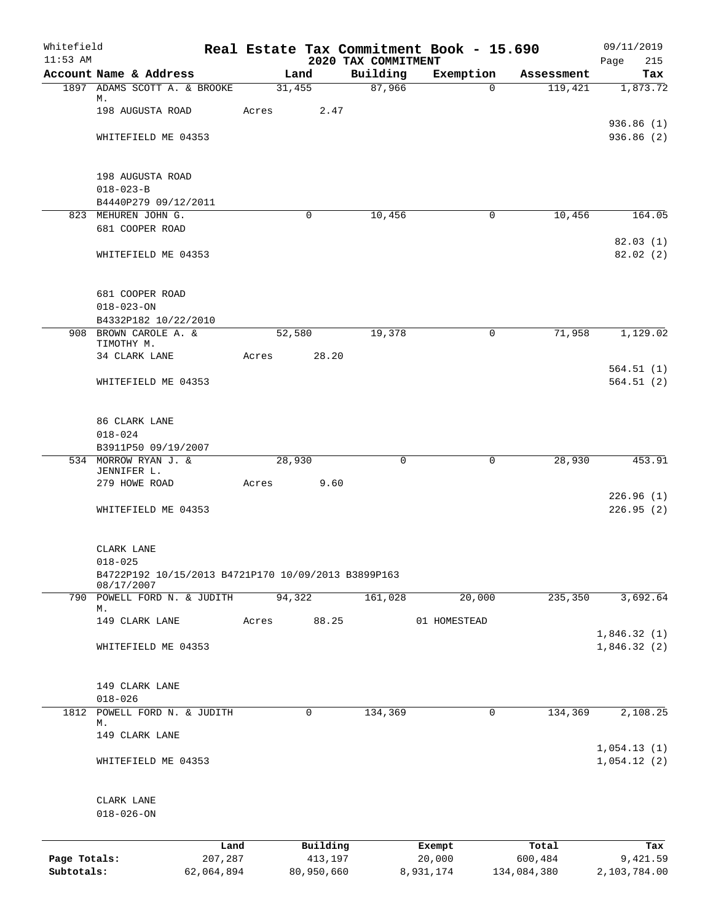| Whitefield<br>$11:53$ AM |                                                     |         |       |          |          | 2020 TAX COMMITMENT | Real Estate Tax Commitment Book - 15.690 |            | 09/11/2019<br>Page<br>215  |
|--------------------------|-----------------------------------------------------|---------|-------|----------|----------|---------------------|------------------------------------------|------------|----------------------------|
|                          | Account Name & Address                              |         |       | Land     |          | Building            | Exemption                                | Assessment | Tax                        |
|                          | 1897 ADAMS SCOTT A. & BROOKE                        |         |       | 31,455   |          | 87,966              | $\Omega$                                 | 119,421    | 1,873.72                   |
|                          | М.<br>198 AUGUSTA ROAD                              |         | Acres |          | 2.47     |                     |                                          |            |                            |
|                          |                                                     |         |       |          |          |                     |                                          |            | 936.86(1)                  |
|                          | WHITEFIELD ME 04353                                 |         |       |          |          |                     |                                          |            | 936.86 (2)                 |
|                          |                                                     |         |       |          |          |                     |                                          |            |                            |
|                          |                                                     |         |       |          |          |                     |                                          |            |                            |
|                          | 198 AUGUSTA ROAD                                    |         |       |          |          |                     |                                          |            |                            |
|                          | $018 - 023 - B$<br>B4440P279 09/12/2011             |         |       |          |          |                     |                                          |            |                            |
|                          | 823 MEHUREN JOHN G.                                 |         |       | $\Omega$ |          | 10,456              | $\mathbf 0$                              | 10,456     | 164.05                     |
|                          | 681 COOPER ROAD                                     |         |       |          |          |                     |                                          |            |                            |
|                          |                                                     |         |       |          |          |                     |                                          |            | 82.03(1)                   |
|                          | WHITEFIELD ME 04353                                 |         |       |          |          |                     |                                          |            | 82.02(2)                   |
|                          |                                                     |         |       |          |          |                     |                                          |            |                            |
|                          |                                                     |         |       |          |          |                     |                                          |            |                            |
|                          | 681 COOPER ROAD<br>$018 - 023 - ON$                 |         |       |          |          |                     |                                          |            |                            |
|                          | B4332P182 10/22/2010                                |         |       |          |          |                     |                                          |            |                            |
|                          | 908 BROWN CAROLE A. &                               |         |       | 52,580   |          | 19,378              | 0                                        | 71,958     | 1,129.02                   |
|                          | TIMOTHY M.                                          |         |       |          |          |                     |                                          |            |                            |
|                          | 34 CLARK LANE                                       |         | Acres |          | 28.20    |                     |                                          |            |                            |
|                          | WHITEFIELD ME 04353                                 |         |       |          |          |                     |                                          |            | 564.51(1)<br>564.51(2)     |
|                          |                                                     |         |       |          |          |                     |                                          |            |                            |
|                          |                                                     |         |       |          |          |                     |                                          |            |                            |
|                          | 86 CLARK LANE                                       |         |       |          |          |                     |                                          |            |                            |
|                          | $018 - 024$                                         |         |       |          |          |                     |                                          |            |                            |
|                          | B3911P50 09/19/2007                                 |         |       |          |          |                     |                                          |            |                            |
|                          | 534 MORROW RYAN J. &<br>JENNIFER L.                 |         |       | 28,930   |          | 0                   | 0                                        | 28,930     | 453.91                     |
|                          | 279 HOWE ROAD                                       |         | Acres |          | 9.60     |                     |                                          |            |                            |
|                          |                                                     |         |       |          |          |                     |                                          |            | 226.96(1)                  |
|                          | WHITEFIELD ME 04353                                 |         |       |          |          |                     |                                          |            | 226.95(2)                  |
|                          |                                                     |         |       |          |          |                     |                                          |            |                            |
|                          | CLARK LANE                                          |         |       |          |          |                     |                                          |            |                            |
|                          | $018 - 025$                                         |         |       |          |          |                     |                                          |            |                            |
|                          | B4722P192 10/15/2013 B4721P170 10/09/2013 B3899P163 |         |       |          |          |                     |                                          |            |                            |
|                          | 08/17/2007                                          |         |       |          |          |                     |                                          |            |                            |
|                          | 790 POWELL FORD N. & JUDITH<br>М.                   |         |       | 94,322   |          | 161,028             | 20,000                                   | 235, 350   | 3,692.64                   |
|                          | 149 CLARK LANE                                      |         | Acres |          | 88.25    |                     | 01 HOMESTEAD                             |            |                            |
|                          |                                                     |         |       |          |          |                     |                                          |            | 1,846.32(1)                |
|                          | WHITEFIELD ME 04353                                 |         |       |          |          |                     |                                          |            | 1,846.32(2)                |
|                          |                                                     |         |       |          |          |                     |                                          |            |                            |
|                          | 149 CLARK LANE                                      |         |       |          |          |                     |                                          |            |                            |
|                          | $018 - 026$                                         |         |       |          |          |                     |                                          |            |                            |
|                          | 1812 POWELL FORD N. & JUDITH                        |         |       | 0        |          | 134,369             | 0                                        | 134,369    | 2,108.25                   |
|                          | М.                                                  |         |       |          |          |                     |                                          |            |                            |
|                          | 149 CLARK LANE                                      |         |       |          |          |                     |                                          |            |                            |
|                          | WHITEFIELD ME 04353                                 |         |       |          |          |                     |                                          |            | 1,054.13(1)<br>1,054.12(2) |
|                          |                                                     |         |       |          |          |                     |                                          |            |                            |
|                          |                                                     |         |       |          |          |                     |                                          |            |                            |
|                          | CLARK LANE                                          |         |       |          |          |                     |                                          |            |                            |
|                          | $018 - 026 - ON$                                    |         |       |          |          |                     |                                          |            |                            |
|                          |                                                     |         |       |          |          |                     |                                          |            |                            |
|                          |                                                     | Land    |       |          | Building |                     | Exempt                                   | Total      | Tax                        |
| Page Totals:             |                                                     | 207,287 |       |          | 413,197  |                     | 20,000                                   | 600,484    | 9,421.59                   |

**Subtotals:** 62,064,894 80,950,660 8,931,174 134,084,380 2,103,784.00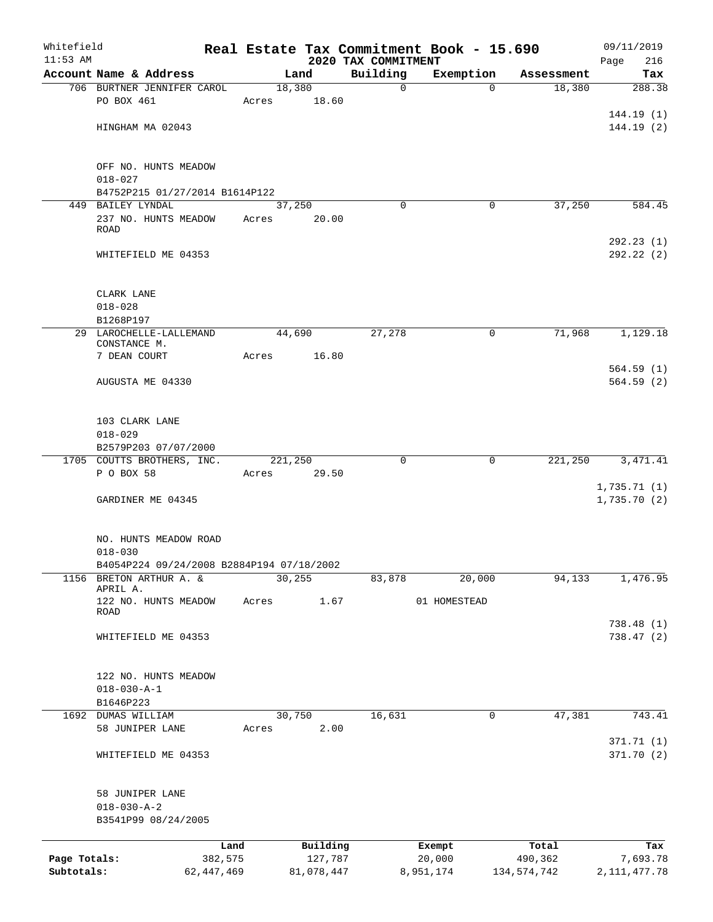| Whitefield<br>$11:53$ AM |                                                     |              |         |            | 2020 TAX COMMITMENT | Real Estate Tax Commitment Book - 15.690 |             | 09/11/2019<br>Page<br>216 |
|--------------------------|-----------------------------------------------------|--------------|---------|------------|---------------------|------------------------------------------|-------------|---------------------------|
|                          | Account Name & Address                              |              |         | Land       | Building            | Exemption                                | Assessment  | Tax                       |
|                          | 706 BURTNER JENNIFER CAROL                          |              | 18,380  |            | $\mathbf 0$         | $\Omega$                                 | 18,380      | 288.38                    |
|                          | PO BOX 461                                          |              | Acres   | 18.60      |                     |                                          |             |                           |
|                          |                                                     |              |         |            |                     |                                          |             | 144.19(1)                 |
|                          | HINGHAM MA 02043                                    |              |         |            |                     |                                          |             | 144.19(2)                 |
|                          |                                                     |              |         |            |                     |                                          |             |                           |
|                          |                                                     |              |         |            |                     |                                          |             |                           |
|                          | OFF NO. HUNTS MEADOW                                |              |         |            |                     |                                          |             |                           |
|                          | $018 - 027$                                         |              |         |            |                     |                                          |             |                           |
|                          | B4752P215 01/27/2014 B1614P122<br>449 BAILEY LYNDAL |              |         | 37,250     | $\Omega$            | 0                                        | 37,250      | 584.45                    |
|                          | 237 NO. HUNTS MEADOW                                |              | Acres   | 20.00      |                     |                                          |             |                           |
|                          | ROAD                                                |              |         |            |                     |                                          |             |                           |
|                          |                                                     |              |         |            |                     |                                          |             | 292.23(1)                 |
|                          | WHITEFIELD ME 04353                                 |              |         |            |                     |                                          |             | 292.22(2)                 |
|                          |                                                     |              |         |            |                     |                                          |             |                           |
|                          | CLARK LANE                                          |              |         |            |                     |                                          |             |                           |
|                          | $018 - 028$                                         |              |         |            |                     |                                          |             |                           |
|                          | B1268P197                                           |              |         |            |                     |                                          |             |                           |
|                          | 29 LAROCHELLE-LALLEMAND                             |              |         | 44,690     | 27,278              | $\mathbf 0$                              | 71,968      | 1,129.18                  |
|                          | CONSTANCE M.                                        |              |         |            |                     |                                          |             |                           |
|                          | 7 DEAN COURT                                        |              | Acres   | 16.80      |                     |                                          |             |                           |
|                          |                                                     |              |         |            |                     |                                          |             | 564.59(1)                 |
|                          | AUGUSTA ME 04330                                    |              |         |            |                     |                                          |             | 564.59(2)                 |
|                          |                                                     |              |         |            |                     |                                          |             |                           |
|                          | 103 CLARK LANE                                      |              |         |            |                     |                                          |             |                           |
|                          | $018 - 029$                                         |              |         |            |                     |                                          |             |                           |
|                          | B2579P203 07/07/2000                                |              |         |            |                     |                                          |             |                           |
|                          | 1705 COUTTS BROTHERS, INC.                          |              | 221,250 |            | 0                   | 0                                        | 221,250     | 3, 471.41                 |
|                          | P O BOX 58                                          |              | Acres   | 29.50      |                     |                                          |             |                           |
|                          |                                                     |              |         |            |                     |                                          |             | 1,735.71(1)               |
|                          | GARDINER ME 04345                                   |              |         |            |                     |                                          |             | 1,735.70(2)               |
|                          |                                                     |              |         |            |                     |                                          |             |                           |
|                          | NO. HUNTS MEADOW ROAD                               |              |         |            |                     |                                          |             |                           |
|                          | $018 - 030$                                         |              |         |            |                     |                                          |             |                           |
|                          | B4054P224 09/24/2008 B2884P194 07/18/2002           |              |         |            |                     |                                          |             |                           |
| 1156                     | BRETON ARTHUR A. &                                  |              |         | 30, 255    | 83,878              | 20,000                                   | 94,133      | 1,476.95                  |
|                          | APRIL A.<br>122 NO. HUNTS MEADOW                    |              | Acres   | 1.67       |                     | 01 HOMESTEAD                             |             |                           |
|                          | ROAD                                                |              |         |            |                     |                                          |             |                           |
|                          |                                                     |              |         |            |                     |                                          |             | 738.48(1)                 |
|                          | WHITEFIELD ME 04353                                 |              |         |            |                     |                                          |             | 738.47 (2)                |
|                          |                                                     |              |         |            |                     |                                          |             |                           |
|                          |                                                     |              |         |            |                     |                                          |             |                           |
|                          | 122 NO. HUNTS MEADOW                                |              |         |            |                     |                                          |             |                           |
|                          | $018 - 030 - A - 1$                                 |              |         |            |                     |                                          |             |                           |
| 1692                     | B1646P223<br>DUMAS WILLIAM                          |              |         | 30,750     | 16,631              | 0                                        | 47,381      | 743.41                    |
|                          | 58 JUNIPER LANE                                     |              | Acres   | 2.00       |                     |                                          |             |                           |
|                          |                                                     |              |         |            |                     |                                          |             | 371.71 (1)                |
|                          | WHITEFIELD ME 04353                                 |              |         |            |                     |                                          |             | 371.70(2)                 |
|                          |                                                     |              |         |            |                     |                                          |             |                           |
|                          |                                                     |              |         |            |                     |                                          |             |                           |
|                          | 58 JUNIPER LANE                                     |              |         |            |                     |                                          |             |                           |
|                          | $018 - 030 - A - 2$<br>B3541P99 08/24/2005          |              |         |            |                     |                                          |             |                           |
|                          |                                                     |              |         |            |                     |                                          |             |                           |
|                          |                                                     | Land         |         | Building   |                     | Exempt                                   | Total       | Tax                       |
| Page Totals:             |                                                     | 382,575      |         | 127,787    |                     | 20,000                                   | 490,362     | 7,693.78                  |
| Subtotals:               |                                                     | 62, 447, 469 |         | 81,078,447 |                     | 8,951,174                                | 134,574,742 | 2, 111, 477.78            |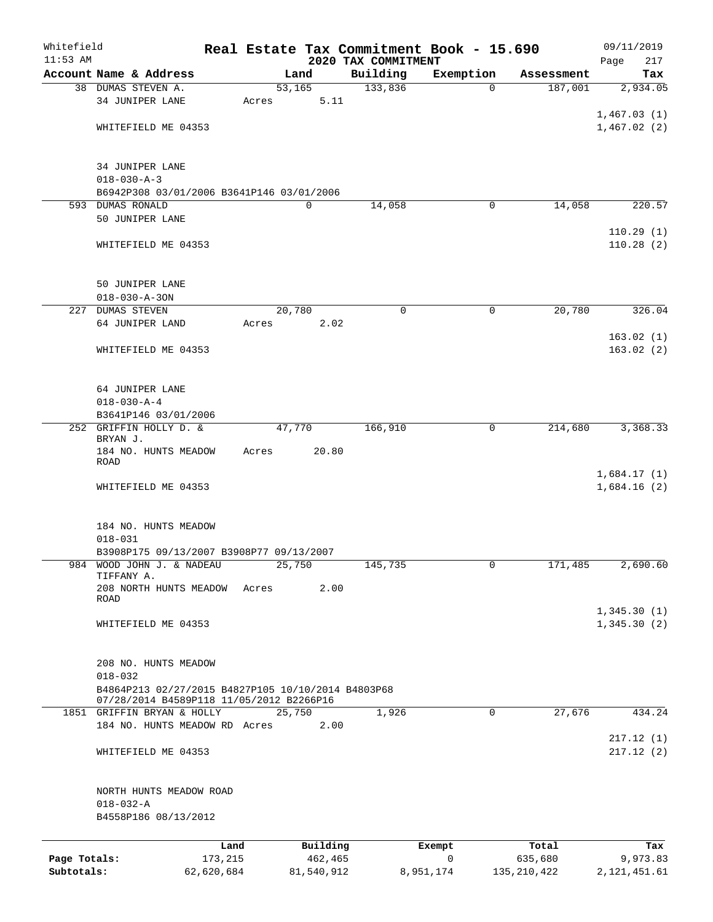| Whitefield   |                                                                                                |            |                     |             |                                 | Real Estate Tax Commitment Book - 15.690 |               | 09/11/2019                 |
|--------------|------------------------------------------------------------------------------------------------|------------|---------------------|-------------|---------------------------------|------------------------------------------|---------------|----------------------------|
| $11:53$ AM   | Account Name & Address                                                                         |            |                     | Land        | 2020 TAX COMMITMENT<br>Building | Exemption                                | Assessment    | Page<br>217<br>Tax         |
|              | 38 DUMAS STEVEN A.                                                                             |            | $\overline{53,165}$ |             | 133,836                         | $\mathbf 0$                              | 187,001       | 2,934.05                   |
|              | 34 JUNIPER LANE                                                                                |            | Acres               | 5.11        |                                 |                                          |               |                            |
|              |                                                                                                |            |                     |             |                                 |                                          |               | 1,467.03(1)                |
|              | WHITEFIELD ME 04353                                                                            |            |                     |             |                                 |                                          |               | 1,467.02(2)                |
|              |                                                                                                |            |                     |             |                                 |                                          |               |                            |
|              | 34 JUNIPER LANE<br>$018 - 030 - A - 3$                                                         |            |                     |             |                                 |                                          |               |                            |
|              | B6942P308 03/01/2006 B3641P146 03/01/2006                                                      |            |                     |             |                                 |                                          |               |                            |
|              | 593 DUMAS RONALD                                                                               |            |                     | $\mathbf 0$ | 14,058                          | 0                                        | 14,058        | 220.57                     |
|              | 50 JUNIPER LANE                                                                                |            |                     |             |                                 |                                          |               |                            |
|              | WHITEFIELD ME 04353                                                                            |            |                     |             |                                 |                                          |               | 110.29(1)<br>110.28(2)     |
|              | 50 JUNIPER LANE                                                                                |            |                     |             |                                 |                                          |               |                            |
|              | $018 - 030 - A - 30N$                                                                          |            |                     |             |                                 |                                          |               |                            |
|              | 227 DUMAS STEVEN                                                                               |            | 20,780              |             | 0                               | 0                                        | 20,780        | 326.04                     |
|              | 64 JUNIPER LAND                                                                                |            | Acres               | 2.02        |                                 |                                          |               |                            |
|              | WHITEFIELD ME 04353                                                                            |            |                     |             |                                 |                                          |               | 163.02(1)<br>163.02(2)     |
|              | 64 JUNIPER LANE                                                                                |            |                     |             |                                 |                                          |               |                            |
|              | $018 - 030 - A - 4$                                                                            |            |                     |             |                                 |                                          |               |                            |
|              | B3641P146 03/01/2006<br>252 GRIFFIN HOLLY D. &                                                 |            | 47,770              |             | 166,910                         | 0                                        | 214,680       | 3,368.33                   |
|              | BRYAN J.                                                                                       |            |                     | 20.80       |                                 |                                          |               |                            |
|              | 184 NO. HUNTS MEADOW<br>ROAD                                                                   |            | Acres               |             |                                 |                                          |               |                            |
|              | WHITEFIELD ME 04353                                                                            |            |                     |             |                                 |                                          |               | 1,684.17(1)<br>1,684.16(2) |
|              | 184 NO. HUNTS MEADOW                                                                           |            |                     |             |                                 |                                          |               |                            |
|              | $018 - 031$                                                                                    |            |                     |             |                                 |                                          |               |                            |
|              | B3908P175 09/13/2007 B3908P77 09/13/2007                                                       |            |                     |             |                                 |                                          |               |                            |
|              | 984 WOOD JOHN J. & NADEAU                                                                      |            | 25,750              |             | 145,735                         | 0                                        | 171,485       | 2,690.60                   |
|              | TIFFANY A.<br>208 NORTH HUNTS MEADOW                                                           |            | Acres               | 2.00        |                                 |                                          |               |                            |
|              | ROAD                                                                                           |            |                     |             |                                 |                                          |               |                            |
|              | WHITEFIELD ME 04353                                                                            |            |                     |             |                                 |                                          |               | 1,345.30(1)<br>1,345.30(2) |
|              |                                                                                                |            |                     |             |                                 |                                          |               |                            |
|              | 208 NO. HUNTS MEADOW<br>$018 - 032$                                                            |            |                     |             |                                 |                                          |               |                            |
|              | B4864P213 02/27/2015 B4827P105 10/10/2014 B4803P68<br>07/28/2014 B4589P118 11/05/2012 B2266P16 |            |                     |             |                                 |                                          |               |                            |
|              | 1851 GRIFFIN BRYAN & HOLLY                                                                     |            | 25,750              |             | 1,926                           | $\Omega$                                 | 27,676        | 434.24                     |
|              | 184 NO. HUNTS MEADOW RD Acres                                                                  |            |                     | 2.00        |                                 |                                          |               | 217.12(1)                  |
|              | WHITEFIELD ME 04353                                                                            |            |                     |             |                                 |                                          |               | 217.12(2)                  |
|              | NORTH HUNTS MEADOW ROAD                                                                        |            |                     |             |                                 |                                          |               |                            |
|              | $018 - 032 - A$                                                                                |            |                     |             |                                 |                                          |               |                            |
|              | B4558P186 08/13/2012                                                                           |            |                     |             |                                 |                                          |               |                            |
|              |                                                                                                | Land       |                     | Building    |                                 | Exempt                                   | Total         | Tax                        |
| Page Totals: |                                                                                                | 173,215    |                     | 462,465     |                                 | $\mathbf 0$                              | 635,680       | 9,973.83                   |
| Subtotals:   |                                                                                                | 62,620,684 |                     | 81,540,912  |                                 | 8,951,174                                | 135, 210, 422 | 2, 121, 451.61             |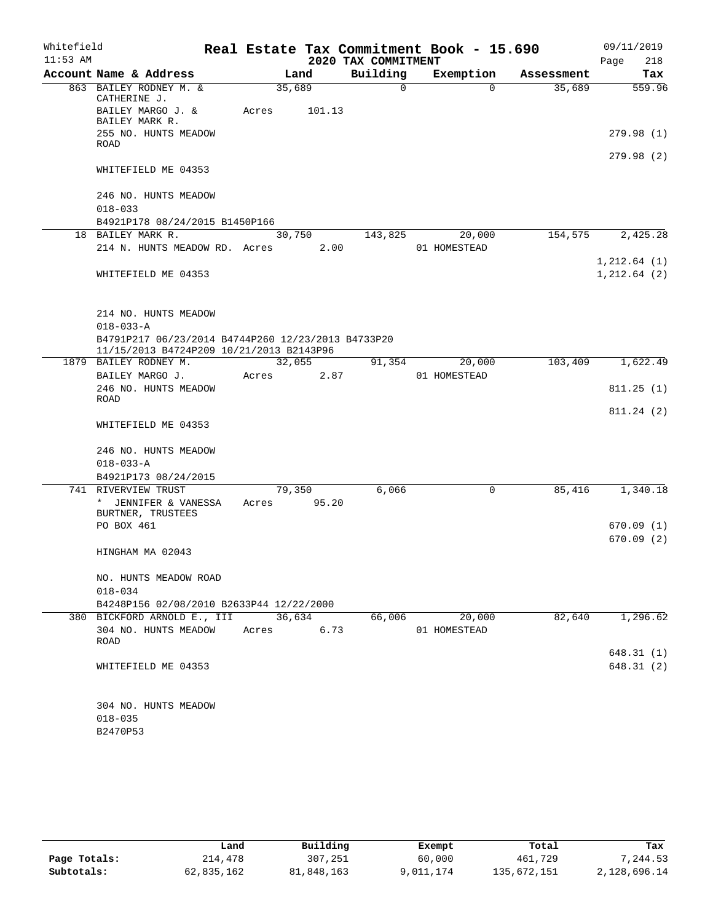| Whitefield |                                                    |       |                 |                     | Real Estate Tax Commitment Book - 15.690 |            | 09/11/2019    |          |
|------------|----------------------------------------------------|-------|-----------------|---------------------|------------------------------------------|------------|---------------|----------|
| $11:53$ AM |                                                    |       |                 | 2020 TAX COMMITMENT |                                          |            | Page          | 218      |
|            | Account Name & Address                             |       | Land            | Building            | Exemption                                | Assessment |               | Tax      |
|            | 863 BAILEY RODNEY M. &<br>CATHERINE J.             |       | 35,689          | 0                   | $\Omega$                                 | 35,689     |               | 559.96   |
|            | BAILEY MARGO J. &<br>BAILEY MARK R.                | Acres | 101.13          |                     |                                          |            |               |          |
|            | 255 NO. HUNTS MEADOW<br><b>ROAD</b>                |       |                 |                     |                                          |            | 279.98 (1)    |          |
|            | WHITEFIELD ME 04353                                |       |                 |                     |                                          |            | 279.98 (2)    |          |
|            |                                                    |       |                 |                     |                                          |            |               |          |
|            | 246 NO. HUNTS MEADOW<br>$018 - 033$                |       |                 |                     |                                          |            |               |          |
|            | B4921P178 08/24/2015 B1450P166                     |       |                 |                     |                                          |            |               |          |
|            | 18 BAILEY MARK R.                                  |       | 30,750          | 143,825             | 20,000                                   | 154,575    |               | 2,425.28 |
|            | 214 N. HUNTS MEADOW RD. Acres                      |       | 2.00            |                     | 01 HOMESTEAD                             |            |               |          |
|            |                                                    |       |                 |                     |                                          |            | 1, 212.64(1)  |          |
|            | WHITEFIELD ME 04353                                |       |                 |                     |                                          |            | 1, 212.64 (2) |          |
|            | 214 NO. HUNTS MEADOW                               |       |                 |                     |                                          |            |               |          |
|            | $018 - 033 - A$                                    |       |                 |                     |                                          |            |               |          |
|            | B4791P217 06/23/2014 B4744P260 12/23/2013 B4733P20 |       |                 |                     |                                          |            |               |          |
|            | 11/15/2013 B4724P209 10/21/2013 B2143P96           |       |                 |                     |                                          |            |               |          |
|            | 1879 BAILEY RODNEY M.<br>BAILEY MARGO J.           | Acres | 32,055<br>2.87  | 91,354              | 20,000<br>01 HOMESTEAD                   | 103,409    |               | 1,622.49 |
|            | 246 NO. HUNTS MEADOW<br>ROAD                       |       |                 |                     |                                          |            | 811.25(1)     |          |
|            |                                                    |       |                 |                     |                                          |            | 811.24(2)     |          |
|            | WHITEFIELD ME 04353                                |       |                 |                     |                                          |            |               |          |
|            | 246 NO. HUNTS MEADOW                               |       |                 |                     |                                          |            |               |          |
|            | $018 - 033 - A$                                    |       |                 |                     |                                          |            |               |          |
|            | B4921P173 08/24/2015                               |       |                 |                     |                                          |            |               |          |
|            | 741 RIVERVIEW TRUST<br>* JENNIFER & VANESSA        | Acres | 79,350<br>95.20 | 6,066               | 0                                        | 85,416     | 1,340.18      |          |
|            | BURTNER, TRUSTEES                                  |       |                 |                     |                                          |            |               |          |
|            | PO BOX 461                                         |       |                 |                     |                                          |            | 670.09 (1)    |          |
|            |                                                    |       |                 |                     |                                          |            | 670.09(2)     |          |
|            | HINGHAM MA 02043                                   |       |                 |                     |                                          |            |               |          |
|            | NO. HUNTS MEADOW ROAD                              |       |                 |                     |                                          |            |               |          |
|            | $018 - 034$                                        |       |                 |                     |                                          |            |               |          |
|            | B4248P156 02/08/2010 B2633P44 12/22/2000           |       |                 |                     |                                          |            |               |          |
|            | 380 BICKFORD ARNOLD E., III                        |       | 36,634          | 66,006              | 20,000                                   | 82,640     |               | 1,296.62 |
|            | 304 NO. HUNTS MEADOW<br>ROAD                       | Acres | 6.73            |                     | 01 HOMESTEAD                             |            |               |          |
|            |                                                    |       |                 |                     |                                          |            | 648.31 (1)    |          |
|            | WHITEFIELD ME 04353                                |       |                 |                     |                                          |            | 648.31 (2)    |          |
|            | 304 NO. HUNTS MEADOW                               |       |                 |                     |                                          |            |               |          |
|            | $018 - 035$                                        |       |                 |                     |                                          |            |               |          |
|            | B2470P53                                           |       |                 |                     |                                          |            |               |          |

|              | Land       | Building   | Exempt    | Total       | Tax          |
|--------------|------------|------------|-----------|-------------|--------------|
| Page Totals: | 214,478    | 307,251    | 60,000    | 461,729     | 7,244.53     |
| Subtotals:   | 62,835,162 | 81,848,163 | 9,011,174 | 135,672,151 | 2,128,696.14 |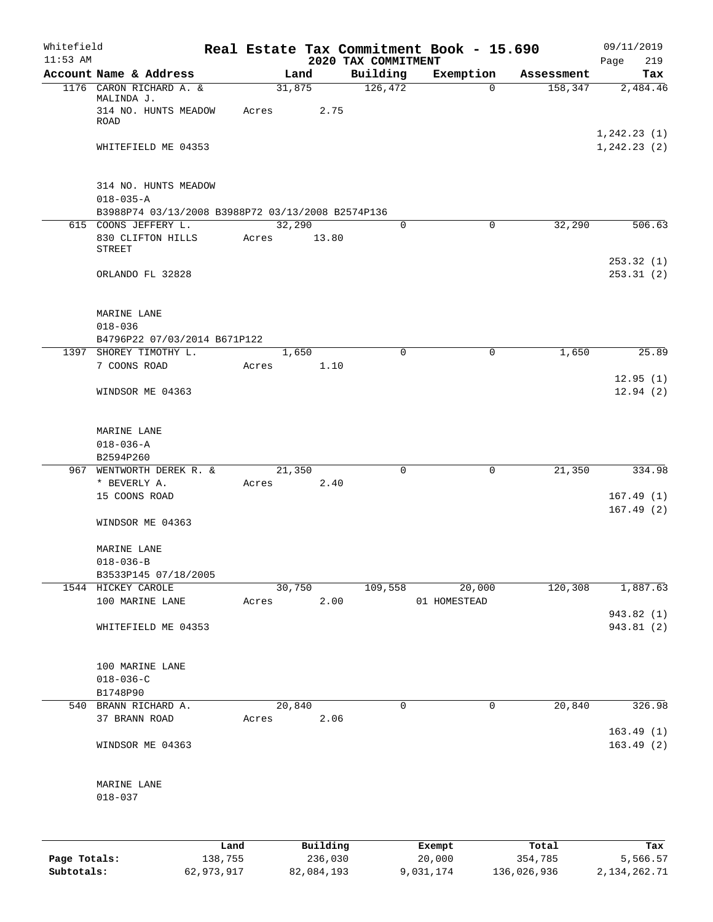| Whitefield<br>$11:53$ AM |                                                                       |                 |                     |                                 | Real Estate Tax Commitment Book - 15.690 |                  | 09/11/2019                  |
|--------------------------|-----------------------------------------------------------------------|-----------------|---------------------|---------------------------------|------------------------------------------|------------------|-----------------------------|
|                          | Account Name & Address                                                |                 | Land                | 2020 TAX COMMITMENT<br>Building | Exemption                                | Assessment       | 219<br>Page<br>Tax          |
|                          | 1176 CARON RICHARD A. &<br>MALINDA J.<br>314 NO. HUNTS MEADOW<br>ROAD | 31,875<br>Acres | 2.75                | 126,472                         | $\mathbf 0$                              | 158,347          | 2,484.46                    |
|                          | WHITEFIELD ME 04353                                                   |                 |                     |                                 |                                          |                  | 1,242.23(1)<br>1, 242.23(2) |
|                          | 314 NO. HUNTS MEADOW<br>$018 - 035 - A$                               |                 |                     |                                 |                                          |                  |                             |
|                          | B3988P74 03/13/2008 B3988P72 03/13/2008 B2574P136                     |                 |                     |                                 |                                          |                  |                             |
|                          | 615 COONS JEFFERY L.<br>830 CLIFTON HILLS<br><b>STREET</b>            | 32,290<br>Acres | 13.80               | 0                               | 0                                        | 32,290           | 506.63                      |
|                          | ORLANDO FL 32828                                                      |                 |                     |                                 |                                          |                  | 253.32(1)<br>253.31(2)      |
|                          | MARINE LANE<br>$018 - 036$                                            |                 |                     |                                 |                                          |                  |                             |
|                          | B4796P22 07/03/2014 B671P122                                          |                 |                     |                                 |                                          |                  |                             |
|                          | 1397 SHOREY TIMOTHY L.<br>7 COONS ROAD                                | Acres           | 1,650<br>1.10       | 0                               | 0                                        | 1,650            | 25.89<br>12.95(1)           |
|                          | WINDSOR ME 04363                                                      |                 |                     |                                 |                                          |                  | 12.94(2)                    |
|                          | MARINE LANE<br>$018 - 036 - A$<br>B2594P260                           |                 |                     |                                 |                                          |                  |                             |
|                          | 967 WENTWORTH DEREK R. &                                              | 21,350          |                     | $\mathbf 0$                     | $\mathbf 0$                              | 21,350           | 334.98                      |
|                          | * BEVERLY A.                                                          | Acres           | 2.40                |                                 |                                          |                  |                             |
|                          | 15 COONS ROAD                                                         |                 |                     |                                 |                                          |                  | 167.49(1)                   |
|                          | WINDSOR ME 04363                                                      |                 |                     |                                 |                                          |                  | 167.49(2)                   |
|                          | MARINE LANE                                                           |                 |                     |                                 |                                          |                  |                             |
|                          | $018 - 036 - B$                                                       |                 |                     |                                 |                                          |                  |                             |
|                          | B3533P145 07/18/2005<br>1544 HICKEY CAROLE                            |                 | 30,750              | 109,558                         | 20,000                                   | 120,308          | 1,887.63                    |
|                          | 100 MARINE LANE                                                       | Acres           | 2.00                |                                 | 01 HOMESTEAD                             |                  |                             |
|                          | WHITEFIELD ME 04353                                                   |                 |                     |                                 |                                          |                  | 943.82 (1)<br>943.81 (2)    |
|                          | 100 MARINE LANE<br>$018 - 036 - C$                                    |                 |                     |                                 |                                          |                  |                             |
|                          | B1748P90                                                              |                 |                     |                                 |                                          |                  |                             |
|                          | 540 BRANN RICHARD A.<br>37 BRANN ROAD                                 | 20,840<br>Acres | 2.06                | 0                               | 0                                        | 20,840           | 326.98<br>163.49(1)         |
|                          | WINDSOR ME 04363                                                      |                 |                     |                                 |                                          |                  | 163.49(2)                   |
|                          | MARINE LANE<br>$018 - 037$                                            |                 |                     |                                 |                                          |                  |                             |
|                          |                                                                       |                 |                     |                                 |                                          |                  |                             |
| Page Totals:             | 138,755                                                               | Land            | Building<br>236,030 |                                 | Exempt<br>20,000                         | Total<br>354,785 | Tax<br>5,566.57             |

**Subtotals:** 62,973,917 82,084,193 9,031,174 136,026,936 2,134,262.71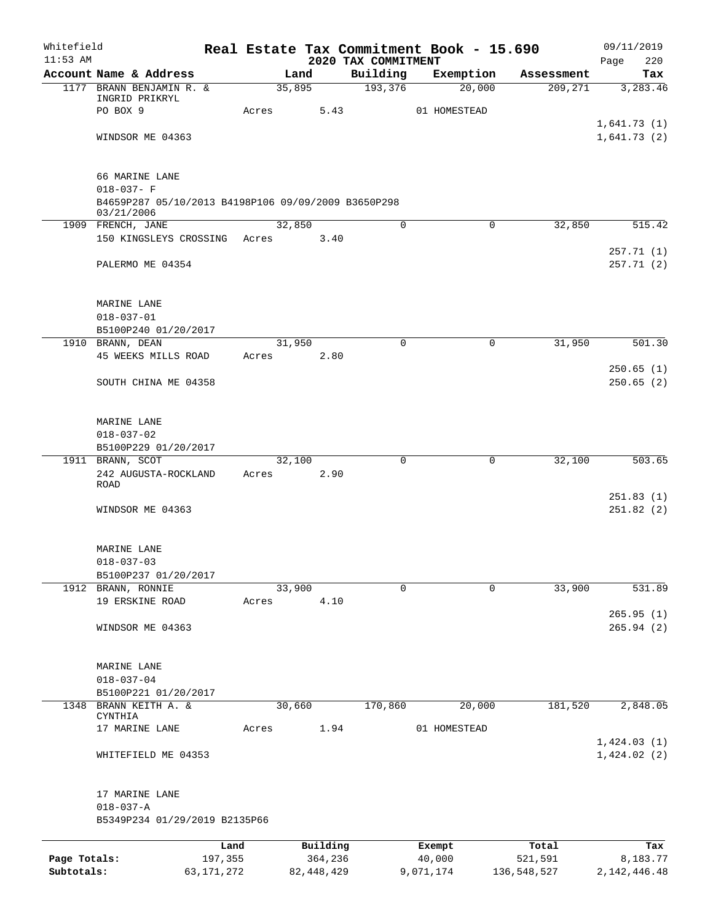| Whitefield   |                                                                   |       |        |                     | Real Estate Tax Commitment Book - 15.690 |                  |        |                  | 09/11/2019                 |
|--------------|-------------------------------------------------------------------|-------|--------|---------------------|------------------------------------------|------------------|--------|------------------|----------------------------|
| $11:53$ AM   | Account Name & Address                                            |       | Land   |                     | 2020 TAX COMMITMENT<br>Building          | Exemption        |        | Assessment       | 220<br>Page<br>Tax         |
|              | 1177 BRANN BENJAMIN R. &                                          |       | 35,895 |                     | 193,376                                  |                  | 20,000 | 209,271          | 3,283.46                   |
|              | INGRID PRIKRYL                                                    |       |        |                     |                                          |                  |        |                  |                            |
|              | PO BOX 9                                                          | Acres |        | 5.43                |                                          | 01 HOMESTEAD     |        |                  |                            |
|              | WINDSOR ME 04363                                                  |       |        |                     |                                          |                  |        |                  | 1,641.73(1)<br>1,641.73(2) |
|              |                                                                   |       |        |                     |                                          |                  |        |                  |                            |
|              | 66 MARINE LANE                                                    |       |        |                     |                                          |                  |        |                  |                            |
|              | $018 - 037 - F$                                                   |       |        |                     |                                          |                  |        |                  |                            |
|              | B4659P287 05/10/2013 B4198P106 09/09/2009 B3650P298<br>03/21/2006 |       |        |                     |                                          |                  |        |                  |                            |
|              | 1909 FRENCH, JANE                                                 |       | 32,850 |                     | 0                                        |                  | 0      | 32,850           | 515.42                     |
|              | 150 KINGSLEYS CROSSING                                            | Acres |        | 3.40                |                                          |                  |        |                  | 257.71(1)                  |
|              | PALERMO ME 04354                                                  |       |        |                     |                                          |                  |        |                  | 257.71 (2)                 |
|              | MARINE LANE                                                       |       |        |                     |                                          |                  |        |                  |                            |
|              | $018 - 037 - 01$                                                  |       |        |                     |                                          |                  |        |                  |                            |
|              | B5100P240 01/20/2017                                              |       |        |                     |                                          |                  |        |                  |                            |
|              | 1910 BRANN, DEAN                                                  |       | 31,950 |                     | 0                                        |                  | 0      | 31,950           | 501.30                     |
|              | 45 WEEKS MILLS ROAD                                               | Acres |        | 2.80                |                                          |                  |        |                  |                            |
|              | SOUTH CHINA ME 04358                                              |       |        |                     |                                          |                  |        |                  | 250.65(1)<br>250.65(2)     |
|              | MARINE LANE                                                       |       |        |                     |                                          |                  |        |                  |                            |
|              | $018 - 037 - 02$                                                  |       |        |                     |                                          |                  |        |                  |                            |
|              | B5100P229 01/20/2017                                              |       |        |                     |                                          |                  |        |                  |                            |
|              | 1911 BRANN, SCOT                                                  |       | 32,100 |                     | $\mathbf 0$                              |                  | 0      | 32,100           | 503.65                     |
|              | 242 AUGUSTA-ROCKLAND<br><b>ROAD</b>                               | Acres |        | 2.90                |                                          |                  |        |                  |                            |
|              |                                                                   |       |        |                     |                                          |                  |        |                  | 251.83(1)                  |
|              | WINDSOR ME 04363                                                  |       |        |                     |                                          |                  |        |                  | 251.82 (2)                 |
|              | MARINE LANE                                                       |       |        |                     |                                          |                  |        |                  |                            |
|              | $018 - 037 - 03$                                                  |       |        |                     |                                          |                  |        |                  |                            |
|              | B5100P237 01/20/2017                                              |       |        |                     |                                          |                  |        |                  |                            |
|              | 1912 BRANN, RONNIE<br>19 ERSKINE ROAD                             | Acres | 33,900 | 4.10                | $\Omega$                                 |                  | 0      | 33,900           | 531.89                     |
|              |                                                                   |       |        |                     |                                          |                  |        |                  | 265.95(1)                  |
|              | WINDSOR ME 04363                                                  |       |        |                     |                                          |                  |        |                  | 265.94(2)                  |
|              | MARINE LANE                                                       |       |        |                     |                                          |                  |        |                  |                            |
|              | $018 - 037 - 04$                                                  |       |        |                     |                                          |                  |        |                  |                            |
|              | B5100P221 01/20/2017                                              |       |        |                     |                                          |                  |        |                  |                            |
|              | 1348 BRANN KEITH A. &<br>CYNTHIA                                  |       | 30,660 |                     | 170,860                                  |                  | 20,000 | 181,520          | 2,848.05                   |
|              | 17 MARINE LANE                                                    | Acres |        | 1.94                |                                          | 01 HOMESTEAD     |        |                  |                            |
|              |                                                                   |       |        |                     |                                          |                  |        |                  | 1,424.03(1)                |
|              | WHITEFIELD ME 04353                                               |       |        |                     |                                          |                  |        |                  | 1,424.02(2)                |
|              | 17 MARINE LANE                                                    |       |        |                     |                                          |                  |        |                  |                            |
|              | $018 - 037 - A$<br>B5349P234 01/29/2019 B2135P66                  |       |        |                     |                                          |                  |        |                  |                            |
|              |                                                                   |       |        |                     |                                          |                  |        |                  |                            |
| Page Totals: | 197,355                                                           | Land  |        | Building<br>364,236 |                                          | Exempt<br>40,000 |        | Total<br>521,591 | Tax<br>8,183.77            |
| Subtotals:   | 63, 171, 272                                                      |       |        | 82, 448, 429        |                                          | 9,071,174        |        | 136,548,527      | 2, 142, 446.48             |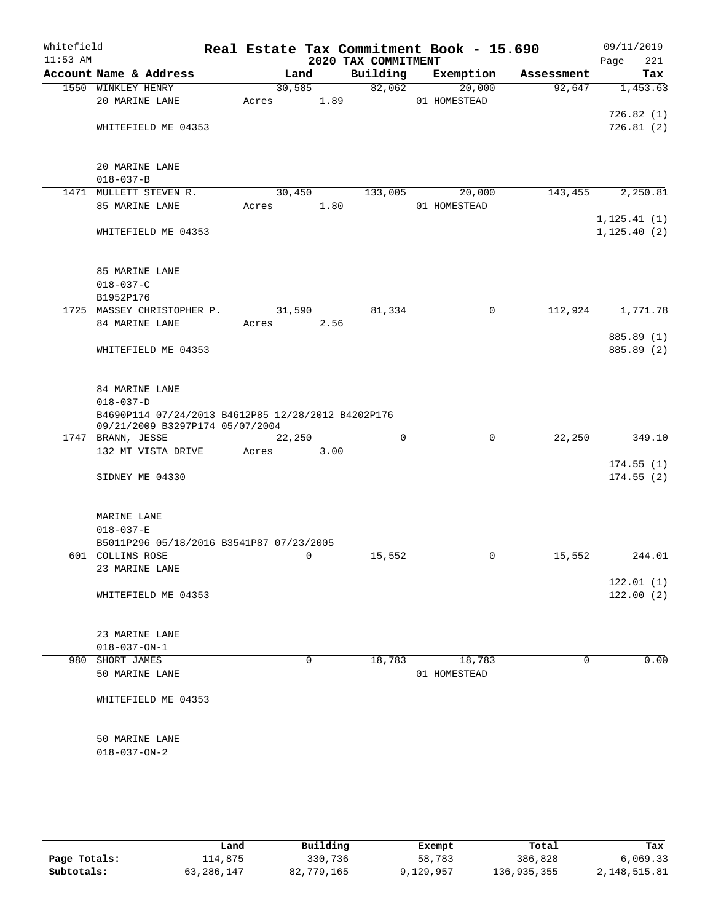| Whitefield<br>$11:53$ AM |                                                                                       |        |             | 2020 TAX COMMITMENT | Real Estate Tax Commitment Book - 15.690 |            | 09/11/2019<br>221<br>Page |
|--------------------------|---------------------------------------------------------------------------------------|--------|-------------|---------------------|------------------------------------------|------------|---------------------------|
|                          | Account Name & Address                                                                |        | Land        | Building            | Exemption                                | Assessment | Tax                       |
|                          | 1550 WINKLEY HENRY                                                                    | 30,585 |             | 82,062              | 20,000                                   | 92,647     | 1,453.63                  |
|                          | 20 MARINE LANE                                                                        | Acres  | 1.89        |                     | 01 HOMESTEAD                             |            |                           |
|                          |                                                                                       |        |             |                     |                                          |            | 726.82(1)                 |
|                          | WHITEFIELD ME 04353                                                                   |        |             |                     |                                          |            | 726.81(2)                 |
|                          |                                                                                       |        |             |                     |                                          |            |                           |
|                          | 20 MARINE LANE                                                                        |        |             |                     |                                          |            |                           |
|                          | $018 - 037 - B$                                                                       |        |             |                     |                                          |            |                           |
|                          | 1471 MULLETT STEVEN R.                                                                | 30,450 |             | 133,005             | 20,000                                   | 143,455    | 2,250.81                  |
|                          | 85 MARINE LANE                                                                        | Acres  | 1.80        |                     | 01 HOMESTEAD                             |            |                           |
|                          |                                                                                       |        |             |                     |                                          |            | 1, 125.41(1)              |
|                          | WHITEFIELD ME 04353                                                                   |        |             |                     |                                          |            | 1, 125.40(2)              |
|                          | 85 MARINE LANE                                                                        |        |             |                     |                                          |            |                           |
|                          | $018 - 037 - C$                                                                       |        |             |                     |                                          |            |                           |
|                          | B1952P176                                                                             |        |             |                     |                                          |            |                           |
|                          | 1725 MASSEY CHRISTOPHER P.                                                            | 31,590 |             | 81,334              | $\mathbf 0$                              | 112,924    | 1,771.78                  |
|                          | 84 MARINE LANE                                                                        | Acres  | 2.56        |                     |                                          |            |                           |
|                          |                                                                                       |        |             |                     |                                          |            | 885.89 (1)                |
|                          | WHITEFIELD ME 04353                                                                   |        |             |                     |                                          |            | 885.89 (2)                |
|                          | 84 MARINE LANE                                                                        |        |             |                     |                                          |            |                           |
|                          | $018 - 037 - D$                                                                       |        |             |                     |                                          |            |                           |
|                          | B4690P114 07/24/2013 B4612P85 12/28/2012 B4202P176<br>09/21/2009 B3297P174 05/07/2004 |        |             |                     |                                          |            |                           |
|                          | 1747 BRANN, JESSE                                                                     | 22,250 |             | $\Omega$            | $\mathbf 0$                              | 22,250     | 349.10                    |
|                          | 132 MT VISTA DRIVE                                                                    | Acres  | 3.00        |                     |                                          |            |                           |
|                          |                                                                                       |        |             |                     |                                          |            | 174.55(1)                 |
|                          | SIDNEY ME 04330                                                                       |        |             |                     |                                          |            | 174.55(2)                 |
|                          | MARINE LANE                                                                           |        |             |                     |                                          |            |                           |
|                          | $018 - 037 - E$                                                                       |        |             |                     |                                          |            |                           |
|                          | B5011P296 05/18/2016 B3541P87 07/23/2005                                              |        |             |                     |                                          |            |                           |
|                          | 601 COLLINS ROSE                                                                      |        | $\mathbf 0$ | 15,552              | $\mathbf 0$                              | 15,552     | 244.01                    |
|                          | 23 MARINE LANE                                                                        |        |             |                     |                                          |            |                           |
|                          |                                                                                       |        |             |                     |                                          |            | 122.01(1)                 |
|                          | WHITEFIELD ME 04353                                                                   |        |             |                     |                                          |            | 122.00(2)                 |
|                          | 23 MARINE LANE                                                                        |        |             |                     |                                          |            |                           |
|                          | $018 - 037 - ON - 1$                                                                  |        |             |                     |                                          |            |                           |
|                          | 980 SHORT JAMES                                                                       |        | $\mathbf 0$ | 18,783              | 18,783                                   | 0          | 0.00                      |
|                          | 50 MARINE LANE                                                                        |        |             |                     | 01 HOMESTEAD                             |            |                           |
|                          | WHITEFIELD ME 04353                                                                   |        |             |                     |                                          |            |                           |
|                          | 50 MARINE LANE                                                                        |        |             |                     |                                          |            |                           |
|                          | $018 - 037 - ON - 2$                                                                  |        |             |                     |                                          |            |                           |
|                          |                                                                                       |        |             |                     |                                          |            |                           |
|                          |                                                                                       |        |             |                     |                                          |            |                           |

|              | Land       | Building   | Exempt    | Total       | Tax          |
|--------------|------------|------------|-----------|-------------|--------------|
| Page Totals: | 114,875    | 330,736    | 58,783    | 386,828     | 6,069.33     |
| Subtotals:   | 63,286,147 | 82,779,165 | 9,129,957 | 136,935,355 | 2,148,515.81 |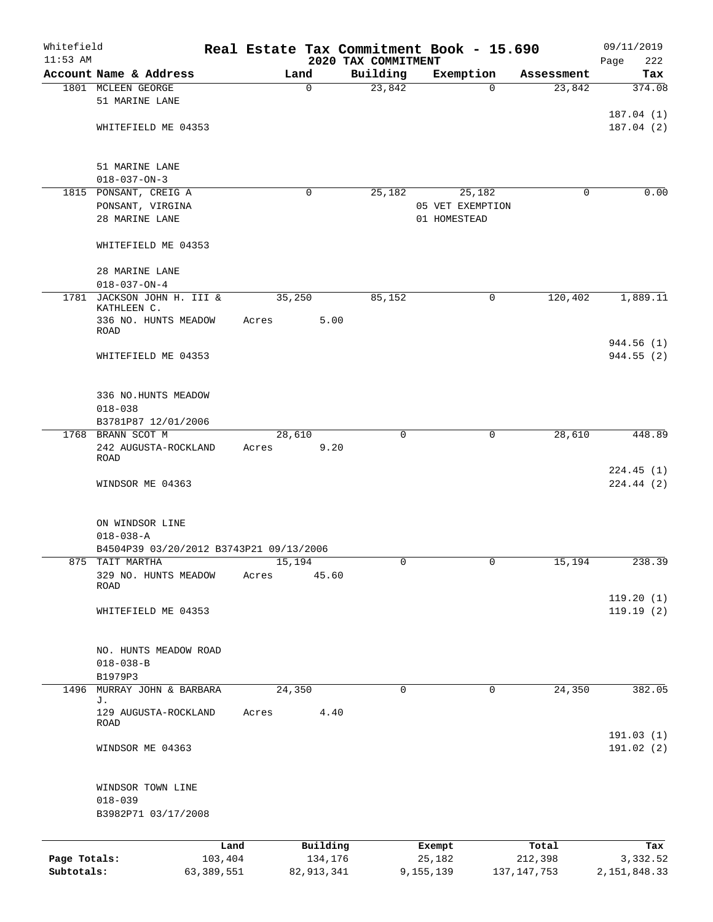| Whitefield<br>$11:53$ AM   |                                                         |                         |        |                         | 2020 TAX COMMITMENT | Real Estate Tax Commitment Book - 15.690 |                          | 09/11/2019<br>Page<br>222  |
|----------------------------|---------------------------------------------------------|-------------------------|--------|-------------------------|---------------------|------------------------------------------|--------------------------|----------------------------|
|                            | Account Name & Address                                  |                         | Land   |                         | Building            | Exemption                                | Assessment               | Tax                        |
|                            | 1801 MCLEEN GEORGE                                      |                         |        | 0                       | 23,842              | $\Omega$                                 | 23,842                   | 374.08                     |
|                            | 51 MARINE LANE                                          |                         |        |                         |                     |                                          |                          |                            |
|                            | WHITEFIELD ME 04353                                     |                         |        |                         |                     |                                          |                          | 187.04(1)<br>187.04(2)     |
|                            | 51 MARINE LANE                                          |                         |        |                         |                     |                                          |                          |                            |
|                            | $018 - 037 - ON - 3$                                    |                         |        |                         |                     |                                          |                          |                            |
|                            | 1815 PONSANT, CREIG A                                   |                         |        | 0                       | 25,182              | 25,182                                   | 0                        | 0.00                       |
|                            | PONSANT, VIRGINA                                        |                         |        |                         |                     | 05 VET EXEMPTION                         |                          |                            |
|                            | 28 MARINE LANE                                          |                         |        |                         |                     | 01 HOMESTEAD                             |                          |                            |
|                            | WHITEFIELD ME 04353                                     |                         |        |                         |                     |                                          |                          |                            |
|                            | 28 MARINE LANE                                          |                         |        |                         |                     |                                          |                          |                            |
|                            | $018 - 037 - ON - 4$                                    |                         |        |                         |                     |                                          |                          |                            |
| 1781                       | JACKSON JOHN H. III &<br>KATHLEEN C.                    |                         | 35,250 |                         | 85,152              | 0                                        | 120,402                  | 1,889.11                   |
|                            | 336 NO. HUNTS MEADOW<br>ROAD                            |                         | Acres  | 5.00                    |                     |                                          |                          |                            |
|                            |                                                         |                         |        |                         |                     |                                          |                          | 944.56 (1)                 |
|                            | WHITEFIELD ME 04353                                     |                         |        |                         |                     |                                          |                          | 944.55(2)                  |
|                            | 336 NO.HUNTS MEADOW                                     |                         |        |                         |                     |                                          |                          |                            |
|                            | $018 - 038$                                             |                         |        |                         |                     |                                          |                          |                            |
|                            | B3781P87 12/01/2006                                     |                         |        |                         |                     |                                          |                          |                            |
|                            | 1768 BRANN SCOT M                                       |                         | 28,610 |                         | $\mathbf 0$         | $\mathbf 0$                              | 28,610                   | 448.89                     |
|                            | 242 AUGUSTA-ROCKLAND<br>ROAD                            |                         | Acres  | 9.20                    |                     |                                          |                          |                            |
|                            |                                                         |                         |        |                         |                     |                                          |                          | 224.45(1)                  |
|                            | WINDSOR ME 04363                                        |                         |        |                         |                     |                                          |                          | 224.44 (2)                 |
|                            | ON WINDSOR LINE                                         |                         |        |                         |                     |                                          |                          |                            |
|                            | $018 - 038 - A$                                         |                         |        |                         |                     |                                          |                          |                            |
|                            | B4504P39 03/20/2012 B3743P21 09/13/2006                 |                         |        |                         |                     |                                          |                          |                            |
| 875                        | TAIT MARTHA                                             |                         | 15,194 |                         | 0                   | 0                                        | 15,194                   | 238.39                     |
|                            | 329 NO. HUNTS MEADOW<br>ROAD                            |                         | Acres  | 45.60                   |                     |                                          |                          |                            |
|                            |                                                         |                         |        |                         |                     |                                          |                          | 119.20(1)                  |
|                            | WHITEFIELD ME 04353                                     |                         |        |                         |                     |                                          |                          | 119.19(2)                  |
|                            | NO. HUNTS MEADOW ROAD                                   |                         |        |                         |                     |                                          |                          |                            |
|                            | $018 - 038 - B$                                         |                         |        |                         |                     |                                          |                          |                            |
|                            | B1979P3                                                 |                         |        |                         |                     |                                          |                          |                            |
| 1496                       | MURRAY JOHN & BARBARA<br>J.                             |                         | 24,350 |                         | $\mathbf 0$         | 0                                        | 24,350                   | 382.05                     |
|                            | 129 AUGUSTA-ROCKLAND<br>ROAD                            |                         | Acres  | 4.40                    |                     |                                          |                          |                            |
|                            | WINDSOR ME 04363                                        |                         |        |                         |                     |                                          |                          | 191.03(1)<br>191.02 (2)    |
|                            | WINDSOR TOWN LINE<br>$018 - 039$<br>B3982P71 03/17/2008 |                         |        |                         |                     |                                          |                          |                            |
|                            |                                                         |                         |        |                         |                     |                                          |                          |                            |
|                            |                                                         | Land                    |        | Building                |                     | Exempt                                   | Total                    | Tax                        |
| Page Totals:<br>Subtotals: |                                                         | 103,404<br>63, 389, 551 |        | 134,176<br>82, 913, 341 |                     | 25,182<br>9,155,139                      | 212,398<br>137, 147, 753 | 3,332.52<br>2, 151, 848.33 |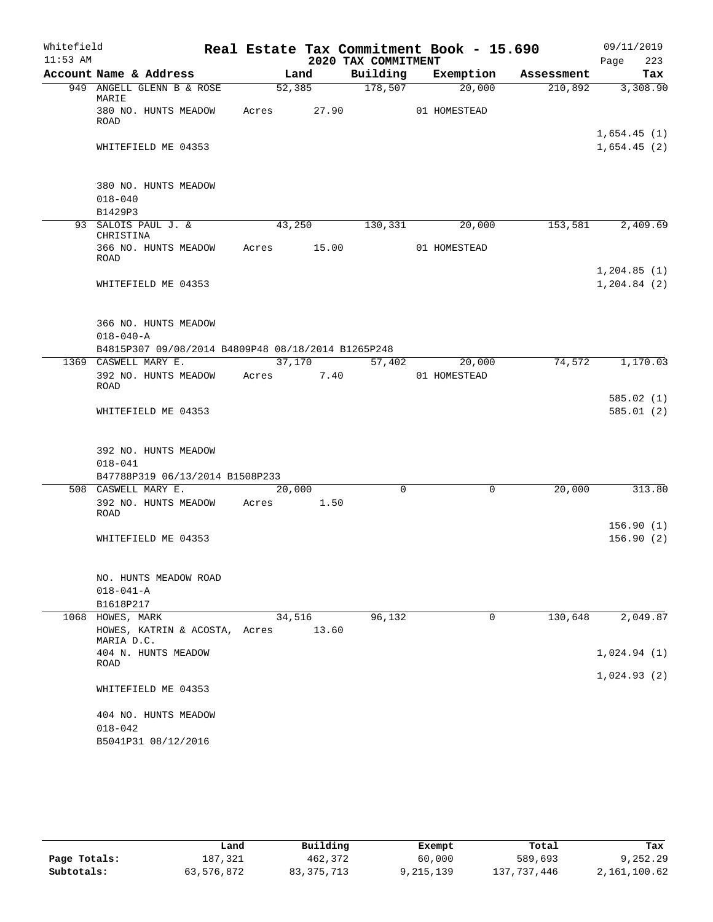| Whitefield |                                                    |             |        |                      | Real Estate Tax Commitment Book - 15.690 |            | 09/11/2019             |
|------------|----------------------------------------------------|-------------|--------|----------------------|------------------------------------------|------------|------------------------|
| $11:53$ AM |                                                    |             |        | 2020 TAX COMMITMENT  |                                          |            | 223<br>Page            |
|            | Account Name & Address                             |             | Land   | Building             | Exemption                                | Assessment | Tax                    |
|            | 949 ANGELL GLENN B & ROSE<br>MARIE                 |             | 52,385 | $\overline{178,507}$ | 20,000                                   | 210,892    | 3,308.90               |
|            | 380 NO. HUNTS MEADOW<br><b>ROAD</b>                | Acres       | 27.90  |                      | 01 HOMESTEAD                             |            |                        |
|            |                                                    |             |        |                      |                                          |            | 1,654.45(1)            |
|            | WHITEFIELD ME 04353                                |             |        |                      |                                          |            | 1,654.45(2)            |
|            | 380 NO. HUNTS MEADOW                               |             |        |                      |                                          |            |                        |
|            | $018 - 040$                                        |             |        |                      |                                          |            |                        |
|            | B1429P3                                            |             |        |                      |                                          |            |                        |
|            | 93 SALOIS PAUL J. &<br>CHRISTINA                   | 43,250      |        | 130,331              | 20,000                                   | 153,581    | 2,409.69               |
|            | 366 NO. HUNTS MEADOW<br>ROAD                       | Acres 15.00 |        |                      | 01 HOMESTEAD                             |            |                        |
|            |                                                    |             |        |                      |                                          |            | 1, 204.85(1)           |
|            | WHITEFIELD ME 04353                                |             |        |                      |                                          |            | 1, 204.84 (2)          |
|            | 366 NO. HUNTS MEADOW                               |             |        |                      |                                          |            |                        |
|            | $018 - 040 - A$                                    |             |        |                      |                                          |            |                        |
|            | B4815P307 09/08/2014 B4809P48 08/18/2014 B1265P248 |             |        |                      |                                          |            |                        |
|            | 1369 CASWELL MARY E.                               |             | 37,170 | 57,402               | 20,000                                   | 74,572     | 1,170.03               |
|            | 392 NO. HUNTS MEADOW<br><b>ROAD</b>                | Acres 7.40  |        |                      | 01 HOMESTEAD                             |            |                        |
|            | WHITEFIELD ME 04353                                |             |        |                      |                                          |            | 585.02(1)<br>585.01(2) |
|            |                                                    |             |        |                      |                                          |            |                        |
|            | 392 NO. HUNTS MEADOW                               |             |        |                      |                                          |            |                        |
|            | $018 - 041$                                        |             |        |                      |                                          |            |                        |
|            | B47788P319 06/13/2014 B1508P233                    |             |        |                      |                                          |            |                        |
|            | 508 CASWELL MARY E.                                | 20,000      |        | 0                    | 0                                        | 20,000     | 313.80                 |
|            | 392 NO. HUNTS MEADOW<br>ROAD                       | Acres       | 1.50   |                      |                                          |            |                        |
|            | WHITEFIELD ME 04353                                |             |        |                      |                                          |            | 156.90(1)<br>156.90(2) |
|            |                                                    |             |        |                      |                                          |            |                        |
|            | NO. HUNTS MEADOW ROAD                              |             |        |                      |                                          |            |                        |
|            | $018 - 041 - A$                                    |             |        |                      |                                          |            |                        |
|            | B1618P217                                          |             |        |                      |                                          |            |                        |
| 1068       | HOWES, MARK<br>HOWES, KATRIN & ACOSTA, Acres       | 34,516      | 13.60  | 96,132               | 0                                        | 130,648    | 2,049.87               |
|            | MARIA D.C.<br>404 N. HUNTS MEADOW                  |             |        |                      |                                          |            | 1,024.94(1)            |
|            | ROAD                                               |             |        |                      |                                          |            | 1,024.93(2)            |
|            | WHITEFIELD ME 04353                                |             |        |                      |                                          |            |                        |
|            | 404 NO. HUNTS MEADOW                               |             |        |                      |                                          |            |                        |
|            | $018 - 042$                                        |             |        |                      |                                          |            |                        |
|            | B5041P31 08/12/2016                                |             |        |                      |                                          |            |                        |

|              | Land       | Building     | Exempt    | Total       | Tax          |
|--------------|------------|--------------|-----------|-------------|--------------|
| Page Totals: | 187.321    | 462,372      | 60,000    | 589,693     | 9,252.29     |
| Subtotals:   | 63,576,872 | 83, 375, 713 | 9,215,139 | 137,737,446 | 2,161,100.62 |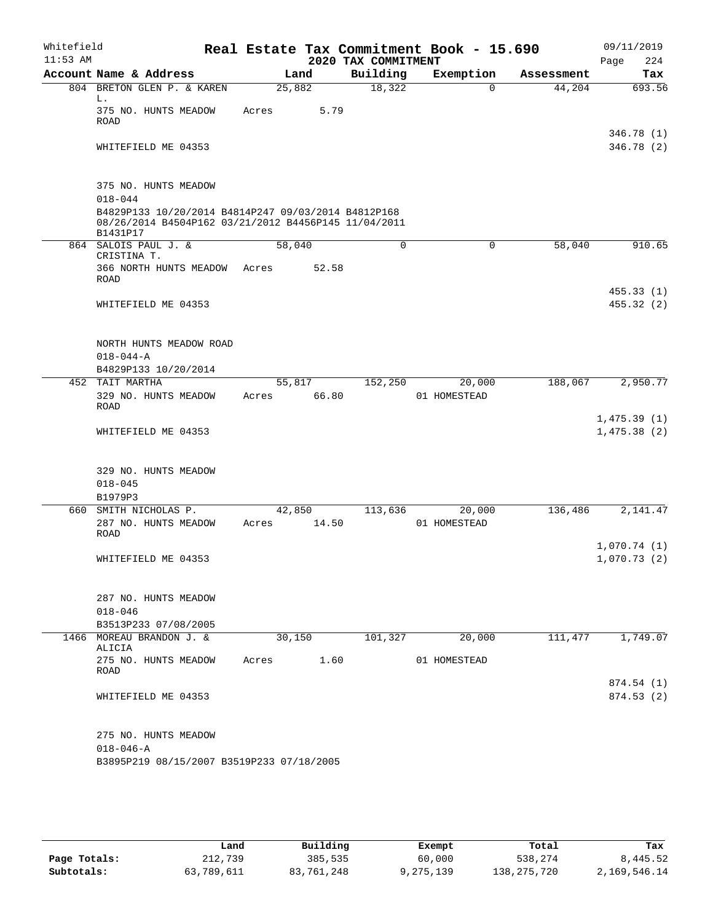| Whitefield<br>$11:53$ AM |                                                                                                                         |                 |       | 2020 TAX COMMITMENT | Real Estate Tax Commitment Book - 15.690 |            | 09/11/2019<br>224<br>Page  |
|--------------------------|-------------------------------------------------------------------------------------------------------------------------|-----------------|-------|---------------------|------------------------------------------|------------|----------------------------|
|                          | Account Name & Address                                                                                                  |                 | Land  | Building            | Exemption                                | Assessment | Tax                        |
|                          | 804 BRETON GLEN P. & KAREN                                                                                              | 25,882          |       | 18,322              | 0                                        | 44,204     | 693.56                     |
|                          | L.<br>375 NO. HUNTS MEADOW<br><b>ROAD</b>                                                                               | Acres           | 5.79  |                     |                                          |            |                            |
|                          | WHITEFIELD ME 04353                                                                                                     |                 |       |                     |                                          |            | 346.78 (1)<br>346.78(2)    |
|                          |                                                                                                                         |                 |       |                     |                                          |            |                            |
|                          | 375 NO. HUNTS MEADOW<br>$018 - 044$                                                                                     |                 |       |                     |                                          |            |                            |
|                          | B4829P133 10/20/2014 B4814P247 09/03/2014 B4812P168<br>08/26/2014 B4504P162 03/21/2012 B4456P145 11/04/2011<br>B1431P17 |                 |       |                     |                                          |            |                            |
|                          | 864 SALOIS PAUL J. &                                                                                                    | 58,040          |       | $\Omega$            | 0                                        | 58,040     | 910.65                     |
|                          | CRISTINA T.<br>366 NORTH HUNTS MEADOW<br>ROAD                                                                           | Acres           | 52.58 |                     |                                          |            |                            |
|                          | WHITEFIELD ME 04353                                                                                                     |                 |       |                     |                                          |            | 455.33(1)<br>455.32(2)     |
|                          | NORTH HUNTS MEADOW ROAD                                                                                                 |                 |       |                     |                                          |            |                            |
|                          | $018 - 044 - A$                                                                                                         |                 |       |                     |                                          |            |                            |
|                          | B4829P133 10/20/2014                                                                                                    |                 |       |                     |                                          |            |                            |
|                          | 452 TAIT MARTHA<br>329 NO. HUNTS MEADOW<br><b>ROAD</b>                                                                  | 55,817<br>Acres | 66.80 | 152,250             | 20,000<br>01 HOMESTEAD                   | 188,067    | 2,950.77                   |
|                          | WHITEFIELD ME 04353                                                                                                     |                 |       |                     |                                          |            | 1,475.39(1)<br>1,475.38(2) |
|                          | 329 NO. HUNTS MEADOW<br>$018 - 045$                                                                                     |                 |       |                     |                                          |            |                            |
|                          | B1979P3<br>660 SMITH NICHOLAS P.                                                                                        | 42,850          |       | 113,636             | 20,000                                   | 136,486    | 2,141.47                   |
|                          | 287 NO. HUNTS MEADOW<br><b>ROAD</b>                                                                                     | Acres           | 14.50 |                     | 01 HOMESTEAD                             |            |                            |
|                          | WHITEFIELD ME 04353                                                                                                     |                 |       |                     |                                          |            | 1,070.74(1)<br>1,070.73(2) |
|                          | 287 NO. HUNTS MEADOW                                                                                                    |                 |       |                     |                                          |            |                            |
|                          | $018 - 046$                                                                                                             |                 |       |                     |                                          |            |                            |
|                          | B3513P233 07/08/2005                                                                                                    |                 |       |                     |                                          |            |                            |
|                          | 1466 MOREAU BRANDON J. &<br>ALICIA                                                                                      | 30,150          |       | 101,327             | 20,000                                   | 111,477    | 1,749.07                   |
|                          | 275 NO. HUNTS MEADOW<br>ROAD                                                                                            | Acres           | 1.60  |                     | 01 HOMESTEAD                             |            |                            |
|                          | WHITEFIELD ME 04353                                                                                                     |                 |       |                     |                                          |            | 874.54(1)<br>874.53(2)     |
|                          | 275 NO. HUNTS MEADOW<br>$018 - 046 - A$<br>B3895P219 08/15/2007 B3519P233 07/18/2005                                    |                 |       |                     |                                          |            |                            |

|              | Land       | Building   | Exempt    | Total         | Tax          |
|--------------|------------|------------|-----------|---------------|--------------|
| Page Totals: | 212,739    | 385,535    | 60,000    | 538,274       | 8,445.52     |
| Subtotals:   | 63,789,611 | 83,761,248 | 9,275,139 | 138, 275, 720 | 2,169,546.14 |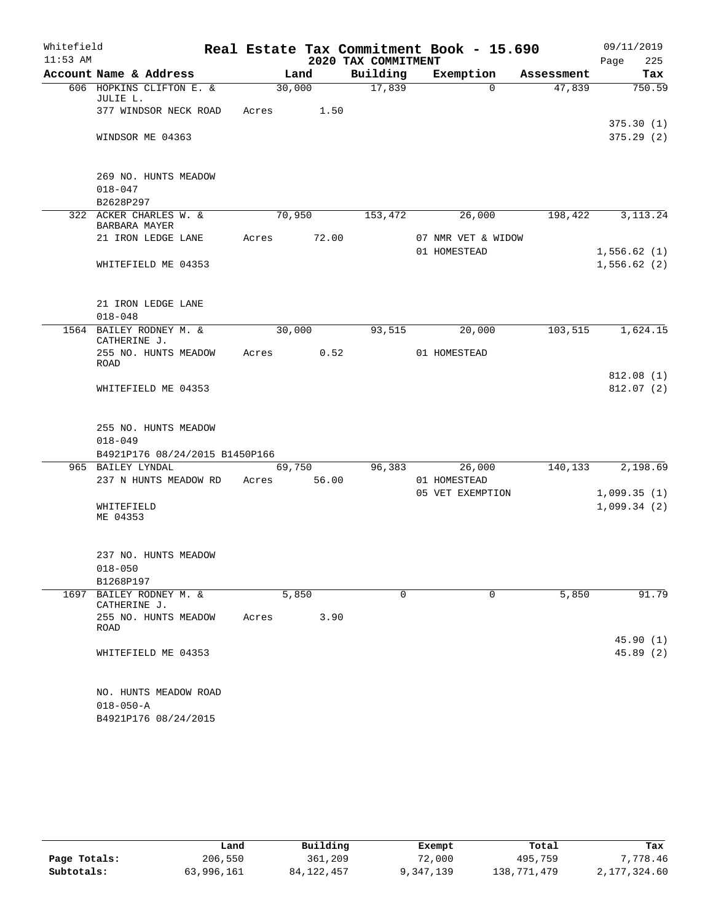| Whitefield |                        |                                               |       |                 |                     | Real Estate Tax Commitment Book - 15.690 |            | 09/11/2019             |
|------------|------------------------|-----------------------------------------------|-------|-----------------|---------------------|------------------------------------------|------------|------------------------|
| $11:53$ AM |                        |                                               |       |                 | 2020 TAX COMMITMENT |                                          |            | 225<br>Page            |
|            |                        | Account Name & Address                        |       | Land            | Building            | Exemption                                | Assessment | Tax                    |
|            | JULIE L.               | 606 HOPKINS CLIFTON E. &                      |       | 30,000          | 17,839              | $\Omega$                                 | 47,839     | 750.59                 |
|            |                        | 377 WINDSOR NECK ROAD                         | Acres | 1.50            |                     |                                          |            | 375.30(1)              |
|            |                        | WINDSOR ME 04363                              |       |                 |                     |                                          |            | 375.29(2)              |
|            |                        | 269 NO. HUNTS MEADOW                          |       |                 |                     |                                          |            |                        |
|            | $018 - 047$            |                                               |       |                 |                     |                                          |            |                        |
|            | B2628P297              |                                               |       |                 |                     |                                          |            |                        |
|            | BARBARA MAYER          | 322 ACKER CHARLES W. &                        |       | 70,950          | 153,472             | 26,000                                   | 198,422    | 3, 113. 24             |
|            |                        | 21 IRON LEDGE LANE                            | Acres | 72.00           |                     | 07 NMR VET & WIDOW<br>01 HOMESTEAD       |            | 1,556.62(1)            |
|            |                        | WHITEFIELD ME 04353                           |       |                 |                     |                                          |            | 1,556.62(2)            |
|            |                        | 21 IRON LEDGE LANE                            |       |                 |                     |                                          |            |                        |
|            | $018 - 048$            |                                               |       |                 |                     |                                          |            |                        |
|            | CATHERINE J.           | 1564 BAILEY RODNEY M. &                       |       | 30,000          | 93,515              | 20,000                                   | 103,515    | 1,624.15               |
|            | <b>ROAD</b>            | 255 NO. HUNTS MEADOW                          | Acres | 0.52            |                     | 01 HOMESTEAD                             |            |                        |
|            |                        | WHITEFIELD ME 04353                           |       |                 |                     |                                          |            | 812.08(1)<br>812.07(2) |
|            |                        | 255 NO. HUNTS MEADOW                          |       |                 |                     |                                          |            |                        |
|            | $018 - 049$            |                                               |       |                 |                     |                                          |            |                        |
|            |                        | B4921P176 08/24/2015 B1450P166                |       |                 |                     |                                          |            |                        |
|            | 965 BAILEY LYNDAL      | 237 N HUNTS MEADOW RD                         | Acres | 69,750<br>56.00 | 96,383              | 26,000<br>01 HOMESTEAD                   | 140,133    | 2,198.69               |
|            |                        |                                               |       |                 |                     | 05 VET EXEMPTION                         |            | 1,099.35(1)            |
|            | WHITEFIELD<br>ME 04353 |                                               |       |                 |                     |                                          |            | 1,099.34(2)            |
|            | $018 - 050$            | 237 NO. HUNTS MEADOW                          |       |                 |                     |                                          |            |                        |
|            | B1268P197              |                                               |       |                 |                     |                                          |            |                        |
| 1697       | CATHERINE J.           | BAILEY RODNEY M. &                            |       | 5,850           | 0                   | 0                                        | 5,850      | 91.79                  |
|            | ROAD                   | 255 NO. HUNTS MEADOW                          | Acres | 3.90            |                     |                                          |            |                        |
|            |                        | WHITEFIELD ME 04353                           |       |                 |                     |                                          |            | 45.90 (1)<br>45.89(2)  |
|            | $018 - 050 - A$        | NO. HUNTS MEADOW ROAD<br>B4921P176 08/24/2015 |       |                 |                     |                                          |            |                        |

|              | Land       | Building   | Exempt    | Total       | Tax          |
|--------------|------------|------------|-----------|-------------|--------------|
| Page Totals: | 206,550    | 361,209    | 72,000    | 495,759     | 7.778.46     |
| Subtotals:   | 63,996,161 | 84,122,457 | 9,347,139 | 138,771,479 | 2,177,324.60 |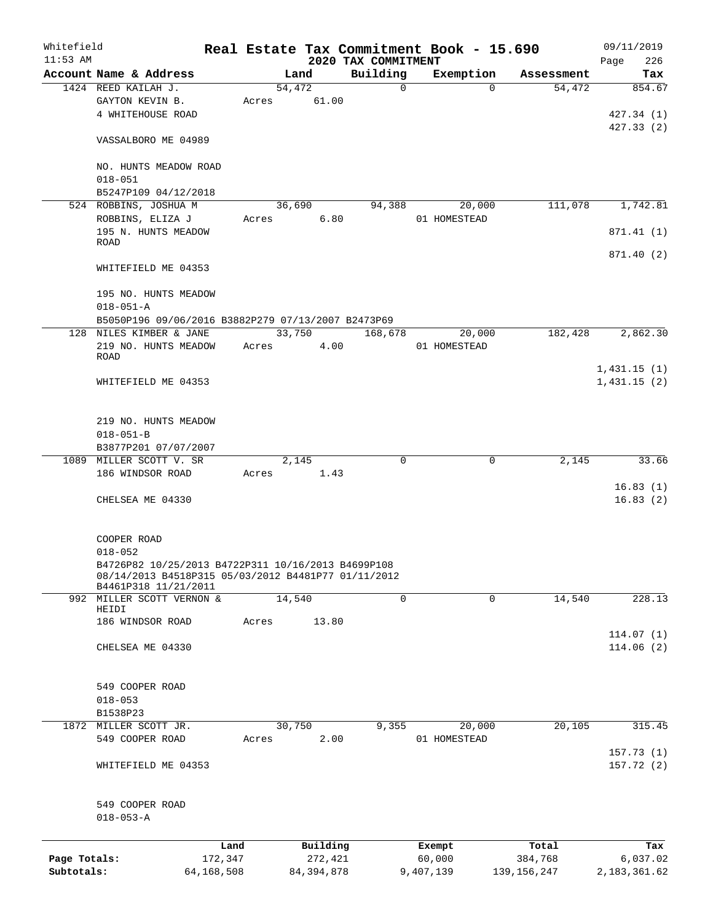| Whitefield<br>$11:53$ AM |                                                     |         |       |          | 2020 TAX COMMITMENT | Real Estate Tax Commitment Book - 15.690 |            | 09/11/2019<br>Page<br>226 |
|--------------------------|-----------------------------------------------------|---------|-------|----------|---------------------|------------------------------------------|------------|---------------------------|
|                          | Account Name & Address                              |         |       | Land     | Building            | Exemption                                | Assessment | Tax                       |
|                          | 1424 REED KAILAH J.                                 |         |       | 54, 472  | $\mathbf 0$         | $\Omega$                                 | 54,472     | 854.67                    |
|                          | GAYTON KEVIN B.                                     |         | Acres | 61.00    |                     |                                          |            |                           |
|                          | 4 WHITEHOUSE ROAD                                   |         |       |          |                     |                                          |            | 427.34 (1)                |
|                          |                                                     |         |       |          |                     |                                          |            | 427.33(2)                 |
|                          | VASSALBORO ME 04989                                 |         |       |          |                     |                                          |            |                           |
|                          |                                                     |         |       |          |                     |                                          |            |                           |
|                          | NO. HUNTS MEADOW ROAD                               |         |       |          |                     |                                          |            |                           |
|                          | $018 - 051$                                         |         |       |          |                     |                                          |            |                           |
|                          | B5247P109 04/12/2018                                |         |       |          |                     |                                          |            |                           |
|                          | 524 ROBBINS, JOSHUA M                               |         |       | 36,690   | 94,388              | 20,000                                   | 111,078    | 1,742.81                  |
|                          | ROBBINS, ELIZA J                                    |         | Acres | 6.80     |                     | 01 HOMESTEAD                             |            |                           |
|                          | 195 N. HUNTS MEADOW                                 |         |       |          |                     |                                          |            | 871.41 (1)                |
|                          | <b>ROAD</b>                                         |         |       |          |                     |                                          |            |                           |
|                          |                                                     |         |       |          |                     |                                          |            | 871.40 (2)                |
|                          | WHITEFIELD ME 04353                                 |         |       |          |                     |                                          |            |                           |
|                          |                                                     |         |       |          |                     |                                          |            |                           |
|                          | 195 NO. HUNTS MEADOW                                |         |       |          |                     |                                          |            |                           |
|                          | $018 - 051 - A$                                     |         |       |          |                     |                                          |            |                           |
|                          | B5050P196 09/06/2016 B3882P279 07/13/2007 B2473P69  |         |       |          |                     |                                          |            |                           |
| 128                      | NILES KIMBER & JANE                                 |         |       | 33,750   | 168,678             | 20,000                                   | 182,428    | 2,862.30                  |
|                          | 219 NO. HUNTS MEADOW                                |         | Acres | 4.00     |                     | 01 HOMESTEAD                             |            |                           |
|                          | <b>ROAD</b>                                         |         |       |          |                     |                                          |            |                           |
|                          |                                                     |         |       |          |                     |                                          |            | 1,431.15(1)               |
|                          | WHITEFIELD ME 04353                                 |         |       |          |                     |                                          |            | 1,431.15(2)               |
|                          |                                                     |         |       |          |                     |                                          |            |                           |
|                          |                                                     |         |       |          |                     |                                          |            |                           |
|                          | 219 NO. HUNTS MEADOW                                |         |       |          |                     |                                          |            |                           |
|                          | $018 - 051 - B$                                     |         |       |          |                     |                                          |            |                           |
|                          | B3877P201 07/07/2007                                |         |       |          |                     |                                          |            |                           |
|                          | 1089 MILLER SCOTT V. SR                             |         |       | 2,145    | 0                   | 0                                        | 2,145      | 33.66                     |
|                          | 186 WINDSOR ROAD                                    |         | Acres | 1.43     |                     |                                          |            |                           |
|                          |                                                     |         |       |          |                     |                                          |            | 16.83(1)                  |
|                          | CHELSEA ME 04330                                    |         |       |          |                     |                                          |            | 16.83(2)                  |
|                          |                                                     |         |       |          |                     |                                          |            |                           |
|                          |                                                     |         |       |          |                     |                                          |            |                           |
|                          | COOPER ROAD                                         |         |       |          |                     |                                          |            |                           |
|                          | $018 - 052$                                         |         |       |          |                     |                                          |            |                           |
|                          | B4726P82 10/25/2013 B4722P311 10/16/2013 B4699P108  |         |       |          |                     |                                          |            |                           |
|                          | 08/14/2013 B4518P315 05/03/2012 B4481P77 01/11/2012 |         |       |          |                     |                                          |            |                           |
|                          | B4461P318 11/21/2011<br>992 MILLER SCOTT VERNON &   |         |       | 14,540   | $\mathbf 0$         | $\mathbf 0$                              | 14,540     | 228.13                    |
|                          | HEIDI                                               |         |       |          |                     |                                          |            |                           |
|                          | 186 WINDSOR ROAD                                    |         | Acres | 13.80    |                     |                                          |            |                           |
|                          |                                                     |         |       |          |                     |                                          |            | 114.07(1)                 |
|                          | CHELSEA ME 04330                                    |         |       |          |                     |                                          |            | 114.06(2)                 |
|                          |                                                     |         |       |          |                     |                                          |            |                           |
|                          |                                                     |         |       |          |                     |                                          |            |                           |
|                          | 549 COOPER ROAD                                     |         |       |          |                     |                                          |            |                           |
|                          | $018 - 053$                                         |         |       |          |                     |                                          |            |                           |
|                          | B1538P23                                            |         |       |          |                     |                                          |            |                           |
|                          | 1872 MILLER SCOTT JR.                               |         |       | 30,750   | 9,355               | 20,000                                   | 20,105     | 315.45                    |
|                          | 549 COOPER ROAD                                     |         | Acres | 2.00     |                     | 01 HOMESTEAD                             |            |                           |
|                          |                                                     |         |       |          |                     |                                          |            | 157.73(1)                 |
|                          | WHITEFIELD ME 04353                                 |         |       |          |                     |                                          |            | 157.72(2)                 |
|                          |                                                     |         |       |          |                     |                                          |            |                           |
|                          |                                                     |         |       |          |                     |                                          |            |                           |
|                          | 549 COOPER ROAD                                     |         |       |          |                     |                                          |            |                           |
|                          | $018 - 053 - A$                                     |         |       |          |                     |                                          |            |                           |
|                          |                                                     |         |       |          |                     |                                          |            |                           |
|                          |                                                     | Land    |       | Building |                     | Exempt                                   | Total      | Tax                       |
| Page Totals:             |                                                     | 172,347 |       | 272,421  |                     | 60,000                                   | 384,768    | 6,037.02                  |
|                          |                                                     |         |       |          |                     |                                          |            |                           |

**Subtotals:** 64,168,508 84,394,878 9,407,139 139,156,247 2,183,361.62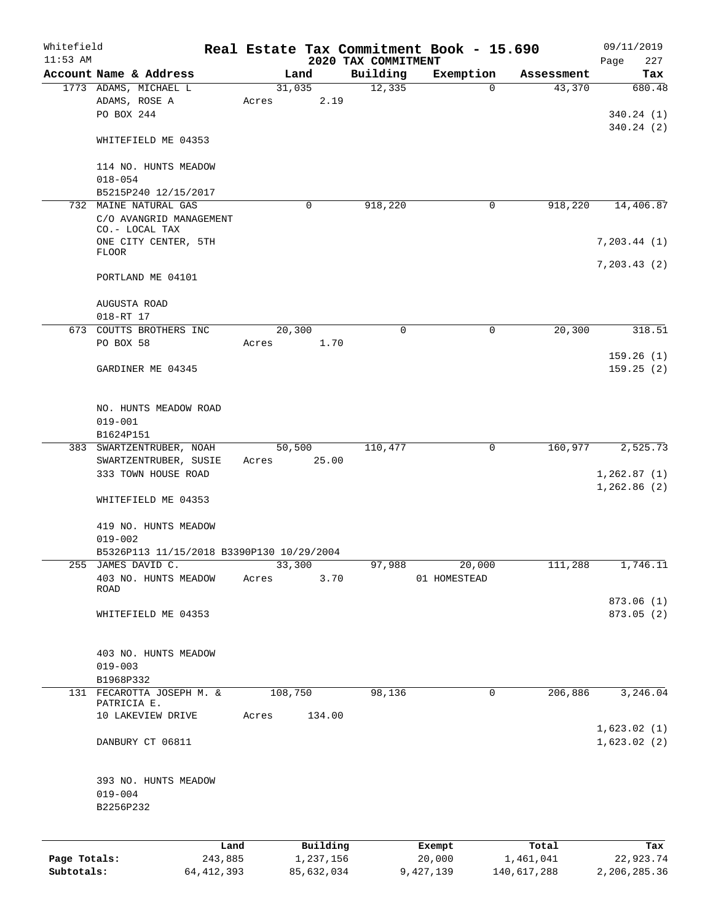| Whitefield   |                                               |              |             |            |      |                     | Real Estate Tax Commitment Book - 15.690 |             | 09/11/2019    |
|--------------|-----------------------------------------------|--------------|-------------|------------|------|---------------------|------------------------------------------|-------------|---------------|
| $11:53$ AM   | Account Name & Address                        |              |             |            |      | 2020 TAX COMMITMENT |                                          |             | 227<br>Page   |
|              | 1773 ADAMS, MICHAEL L                         |              |             | Land       |      | Building            | Exemption<br>$\Omega$                    | Assessment  | Tax<br>680.48 |
|              |                                               |              |             | 31,035     |      | 12,335              |                                          | 43,370      |               |
|              | ADAMS, ROSE A<br>PO BOX 244                   |              | Acres       |            | 2.19 |                     |                                          |             |               |
|              |                                               |              |             |            |      |                     |                                          |             | 340.24(1)     |
|              |                                               |              |             |            |      |                     |                                          |             | 340.24(2)     |
|              | WHITEFIELD ME 04353                           |              |             |            |      |                     |                                          |             |               |
|              |                                               |              |             |            |      |                     |                                          |             |               |
|              | 114 NO. HUNTS MEADOW                          |              |             |            |      |                     |                                          |             |               |
|              | $018 - 054$                                   |              |             |            |      |                     |                                          |             |               |
|              | B5215P240 12/15/2017<br>732 MAINE NATURAL GAS |              |             | 0          |      | 918,220             | $\mathbf 0$                              | 918,220     |               |
|              | C/O AVANGRID MANAGEMENT                       |              |             |            |      |                     |                                          |             | 14,406.87     |
|              | CO.- LOCAL TAX                                |              |             |            |      |                     |                                          |             |               |
|              | ONE CITY CENTER, 5TH                          |              |             |            |      |                     |                                          |             | 7, 203.44 (1) |
|              | <b>FLOOR</b>                                  |              |             |            |      |                     |                                          |             |               |
|              |                                               |              |             |            |      |                     |                                          |             | 7, 203.43(2)  |
|              | PORTLAND ME 04101                             |              |             |            |      |                     |                                          |             |               |
|              |                                               |              |             |            |      |                     |                                          |             |               |
|              | AUGUSTA ROAD                                  |              |             |            |      |                     |                                          |             |               |
|              | 018-RT 17                                     |              |             |            |      |                     |                                          |             |               |
|              | 673 COUTTS BROTHERS INC                       |              |             | 20,300     |      | $\Omega$            | $\mathbf 0$                              | 20, 300     | 318.51        |
|              | PO BOX 58                                     |              | Acres       |            | 1.70 |                     |                                          |             |               |
|              |                                               |              |             |            |      |                     |                                          |             | 159.26(1)     |
|              | GARDINER ME 04345                             |              |             |            |      |                     |                                          |             | 159.25(2)     |
|              |                                               |              |             |            |      |                     |                                          |             |               |
|              |                                               |              |             |            |      |                     |                                          |             |               |
|              | NO. HUNTS MEADOW ROAD                         |              |             |            |      |                     |                                          |             |               |
|              | $019 - 001$                                   |              |             |            |      |                     |                                          |             |               |
|              | B1624P151                                     |              |             |            |      |                     |                                          |             |               |
|              | 383 SWARTZENTRUBER, NOAH                      |              |             | 50,500     |      | 110,477             | 0                                        | 160,977     | 2,525.73      |
|              | SWARTZENTRUBER, SUSIE                         |              | Acres 25.00 |            |      |                     |                                          |             |               |
|              | 333 TOWN HOUSE ROAD                           |              |             |            |      |                     |                                          |             | 1, 262.87(1)  |
|              |                                               |              |             |            |      |                     |                                          |             | 1,262.86(2)   |
|              | WHITEFIELD ME 04353                           |              |             |            |      |                     |                                          |             |               |
|              |                                               |              |             |            |      |                     |                                          |             |               |
|              | 419 NO. HUNTS MEADOW                          |              |             |            |      |                     |                                          |             |               |
|              | $019 - 002$                                   |              |             |            |      |                     |                                          |             |               |
|              | B5326P113 11/15/2018 B3390P130 10/29/2004     |              |             |            |      |                     |                                          |             |               |
|              | 255 JAMES DAVID C.                            |              |             | 33,300     |      | 97,988              | 20,000                                   | 111,288     | 1,746.11      |
|              | 403 NO. HUNTS MEADOW                          |              | Acres       |            | 3.70 |                     | 01 HOMESTEAD                             |             |               |
|              | ROAD                                          |              |             |            |      |                     |                                          |             |               |
|              |                                               |              |             |            |      |                     |                                          |             | 873.06 (1)    |
|              | WHITEFIELD ME 04353                           |              |             |            |      |                     |                                          |             | 873.05 (2)    |
|              |                                               |              |             |            |      |                     |                                          |             |               |
|              |                                               |              |             |            |      |                     |                                          |             |               |
|              | 403 NO. HUNTS MEADOW                          |              |             |            |      |                     |                                          |             |               |
|              | $019 - 003$                                   |              |             |            |      |                     |                                          |             |               |
|              | B1968P332                                     |              |             |            |      |                     |                                          |             |               |
|              | 131 FECAROTTA JOSEPH M. &<br>PATRICIA E.      |              |             | 108,750    |      | 98,136              | 0                                        | 206,886     | 3,246.04      |
|              | 10 LAKEVIEW DRIVE                             |              | Acres       | 134.00     |      |                     |                                          |             |               |
|              |                                               |              |             |            |      |                     |                                          |             | 1,623.02(1)   |
|              | DANBURY CT 06811                              |              |             |            |      |                     |                                          |             | 1,623.02(2)   |
|              |                                               |              |             |            |      |                     |                                          |             |               |
|              |                                               |              |             |            |      |                     |                                          |             |               |
|              | 393 NO. HUNTS MEADOW                          |              |             |            |      |                     |                                          |             |               |
|              | $019 - 004$                                   |              |             |            |      |                     |                                          |             |               |
|              | B2256P232                                     |              |             |            |      |                     |                                          |             |               |
|              |                                               |              |             |            |      |                     |                                          |             |               |
|              |                                               |              |             |            |      |                     |                                          |             |               |
|              |                                               | Land         |             | Building   |      |                     | Exempt                                   | Total       | Tax           |
| Page Totals: |                                               | 243,885      |             | 1,237,156  |      |                     | 20,000                                   | 1,461,041   | 22,923.74     |
| Subtotals:   |                                               | 64, 412, 393 |             | 85,632,034 |      |                     | 9,427,139                                | 140,617,288 | 2,206,285.36  |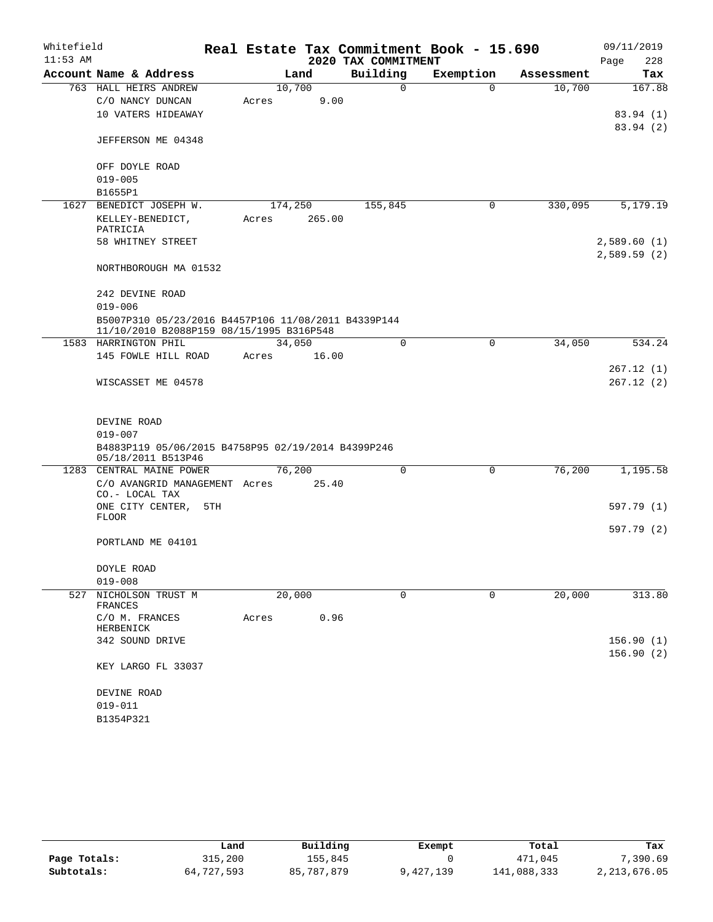| Whitefield<br>$11:53$ AM |                                                                                                 |         |        | 2020 TAX COMMITMENT | Real Estate Tax Commitment Book - 15.690 |            | 09/11/2019<br>228<br>Page |
|--------------------------|-------------------------------------------------------------------------------------------------|---------|--------|---------------------|------------------------------------------|------------|---------------------------|
|                          | Account Name & Address                                                                          |         | Land   | Building            | Exemption                                | Assessment | Tax                       |
|                          | 763 HALL HEIRS ANDREW                                                                           | 10,700  |        | $\Omega$            | $\Omega$                                 | 10,700     | 167.88                    |
|                          | C/O NANCY DUNCAN                                                                                | Acres   | 9.00   |                     |                                          |            |                           |
|                          | 10 VATERS HIDEAWAY                                                                              |         |        |                     |                                          |            | 83.94 (1)                 |
|                          |                                                                                                 |         |        |                     |                                          |            | 83.94 (2)                 |
|                          | JEFFERSON ME 04348                                                                              |         |        |                     |                                          |            |                           |
|                          | OFF DOYLE ROAD                                                                                  |         |        |                     |                                          |            |                           |
|                          | $019 - 005$                                                                                     |         |        |                     |                                          |            |                           |
|                          | B1655P1                                                                                         |         |        |                     |                                          |            |                           |
| 1627                     | BENEDICT JOSEPH W.                                                                              | 174,250 |        | 155,845             | $\mathbf 0$                              | 330,095    | 5,179.19                  |
|                          | KELLEY-BENEDICT,<br>PATRICIA                                                                    | Acres   | 265.00 |                     |                                          |            |                           |
|                          | 58 WHITNEY STREET                                                                               |         |        |                     |                                          |            | 2,589.60(1)               |
|                          |                                                                                                 |         |        |                     |                                          |            | 2,589.59(2)               |
|                          | NORTHBOROUGH MA 01532                                                                           |         |        |                     |                                          |            |                           |
|                          | 242 DEVINE ROAD                                                                                 |         |        |                     |                                          |            |                           |
|                          | $019 - 006$                                                                                     |         |        |                     |                                          |            |                           |
|                          | B5007P310 05/23/2016 B4457P106 11/08/2011 B4339P144<br>11/10/2010 B2088P159 08/15/1995 B316P548 |         |        |                     |                                          |            |                           |
|                          | 1583 HARRINGTON PHIL                                                                            | 34,050  |        | 0                   | 0                                        | 34,050     | 534.24                    |
|                          | 145 FOWLE HILL ROAD                                                                             | Acres   | 16.00  |                     |                                          |            |                           |
|                          |                                                                                                 |         |        |                     |                                          |            | 267.12(1)                 |
|                          | WISCASSET ME 04578                                                                              |         |        |                     |                                          |            | 267.12(2)                 |
|                          |                                                                                                 |         |        |                     |                                          |            |                           |
|                          | DEVINE ROAD                                                                                     |         |        |                     |                                          |            |                           |
|                          | $019 - 007$                                                                                     |         |        |                     |                                          |            |                           |
|                          | B4883P119 05/06/2015 B4758P95 02/19/2014 B4399P246                                              |         |        |                     |                                          |            |                           |
|                          | 05/18/2011 B513P46                                                                              |         |        |                     |                                          |            |                           |
|                          | 1283 CENTRAL MAINE POWER                                                                        | 76,200  |        | 0                   | $\mathsf{O}$                             | 76,200     | 1,195.58                  |
|                          | C/O AVANGRID MANAGEMENT Acres<br>CO.- LOCAL TAX                                                 |         | 25.40  |                     |                                          |            |                           |
|                          | ONE CITY CENTER,<br>5TH                                                                         |         |        |                     |                                          |            | 597.79 (1)                |
|                          | <b>FLOOR</b>                                                                                    |         |        |                     |                                          |            |                           |
|                          |                                                                                                 |         |        |                     |                                          |            | 597.79 (2)                |
|                          | PORTLAND ME 04101                                                                               |         |        |                     |                                          |            |                           |
|                          | DOYLE ROAD                                                                                      |         |        |                     |                                          |            |                           |
|                          | $019 - 008$                                                                                     |         |        |                     |                                          |            |                           |
| 527                      | NICHOLSON TRUST M                                                                               | 20,000  |        | 0                   | 0                                        | 20,000     | 313.80                    |
|                          | FRANCES                                                                                         |         |        |                     |                                          |            |                           |
|                          | C/O M. FRANCES<br>HERBENICK                                                                     | Acres   | 0.96   |                     |                                          |            |                           |
|                          | 342 SOUND DRIVE                                                                                 |         |        |                     |                                          |            | 156.90(1)                 |
|                          |                                                                                                 |         |        |                     |                                          |            | 156.90(2)                 |
|                          | KEY LARGO FL 33037                                                                              |         |        |                     |                                          |            |                           |
|                          | DEVINE ROAD                                                                                     |         |        |                     |                                          |            |                           |
|                          | $019 - 011$                                                                                     |         |        |                     |                                          |            |                           |
|                          | B1354P321                                                                                       |         |        |                     |                                          |            |                           |
|                          |                                                                                                 |         |        |                     |                                          |            |                           |

|              | Land       | Building   | Exempt    | Total       | Tax          |
|--------------|------------|------------|-----------|-------------|--------------|
| Page Totals: | 315,200    | 155.845    |           | 471,045     | ,390.69      |
| Subtotals:   | 64,727,593 | 85,787,879 | 9,427,139 | 141,088,333 | 2,213,676.05 |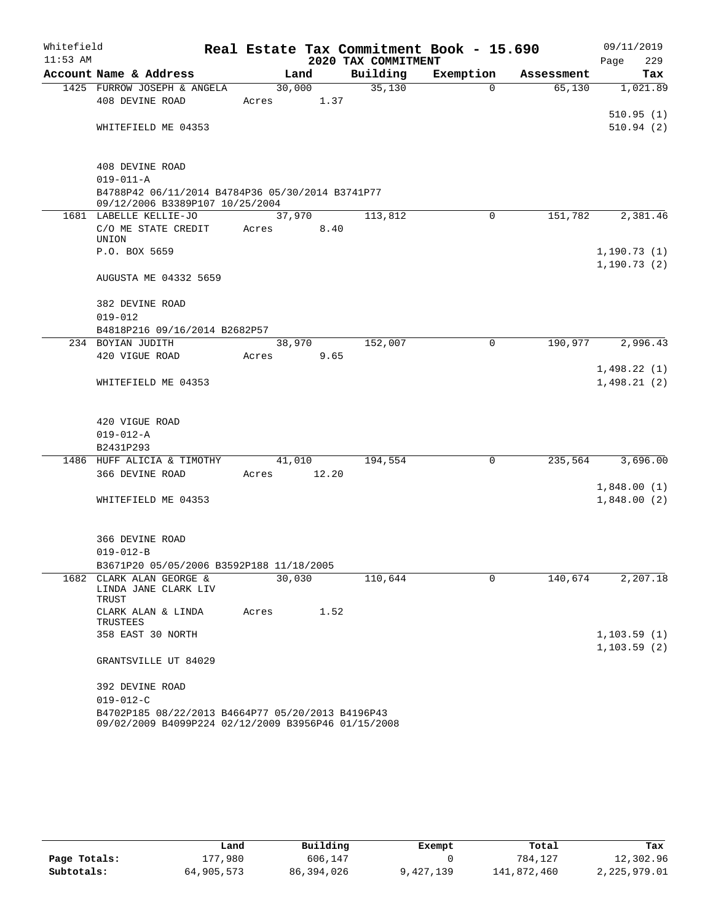| Whitefield<br>$11:53$ AM |                                                                     |             | Real Estate Tax Commitment Book - 15.690<br>2020 TAX COMMITMENT |             |            | 09/11/2019<br>229<br>Page |
|--------------------------|---------------------------------------------------------------------|-------------|-----------------------------------------------------------------|-------------|------------|---------------------------|
|                          | Account Name & Address                                              | Land        | Building                                                        | Exemption   | Assessment | Tax                       |
|                          | 1425 FURROW JOSEPH & ANGELA                                         | 30,000      | 35,130                                                          | $\Omega$    | 65,130     | 1,021.89                  |
|                          | 408 DEVINE ROAD                                                     | Acres       | 1.37                                                            |             |            |                           |
|                          |                                                                     |             |                                                                 |             |            | 510.95(1)                 |
|                          | WHITEFIELD ME 04353                                                 |             |                                                                 |             |            | 510.94(2)                 |
|                          |                                                                     |             |                                                                 |             |            |                           |
|                          | 408 DEVINE ROAD                                                     |             |                                                                 |             |            |                           |
|                          | $019 - 011 - A$<br>B4788P42 06/11/2014 B4784P36 05/30/2014 B3741P77 |             |                                                                 |             |            |                           |
|                          | 09/12/2006 B3389P107 10/25/2004                                     |             |                                                                 |             |            |                           |
|                          | 1681 LABELLE KELLIE-JO                                              | 37,970      | 113,812                                                         | 0           | 151,782    | 2,381.46                  |
|                          | C/O ME STATE CREDIT                                                 | Acres       | 8.40                                                            |             |            |                           |
|                          | UNION                                                               |             |                                                                 |             |            |                           |
|                          | P.O. BOX 5659                                                       |             |                                                                 |             |            | 1,190.73(1)               |
|                          | <b>AUGUSTA ME 04332 5659</b>                                        |             |                                                                 |             |            | 1, 190.73(2)              |
|                          |                                                                     |             |                                                                 |             |            |                           |
|                          | 382 DEVINE ROAD                                                     |             |                                                                 |             |            |                           |
|                          | $019 - 012$<br>B4818P216 09/16/2014 B2682P57                        |             |                                                                 |             |            |                           |
|                          | 234 BOYIAN JUDITH                                                   | 38,970      | 152,007                                                         | $\mathbf 0$ | 190,977    | $\overline{2,}$ 996.43    |
|                          | 420 VIGUE ROAD                                                      | Acres       | 9.65                                                            |             |            |                           |
|                          |                                                                     |             |                                                                 |             |            | 1,498.22(1)               |
|                          | WHITEFIELD ME 04353                                                 |             |                                                                 |             |            | 1,498.21(2)               |
|                          |                                                                     |             |                                                                 |             |            |                           |
|                          | 420 VIGUE ROAD                                                      |             |                                                                 |             |            |                           |
|                          | $019 - 012 - A$                                                     |             |                                                                 |             |            |                           |
|                          | B2431P293                                                           |             |                                                                 |             |            |                           |
|                          | 1486 HUFF ALICIA & TIMOTHY                                          | 41,010      | 194,554                                                         | $\mathbf 0$ | 235,564    | 3,696.00                  |
|                          | 366 DEVINE ROAD                                                     | Acres 12.20 |                                                                 |             |            |                           |
|                          |                                                                     |             |                                                                 |             |            | 1,848.00(1)               |
|                          | WHITEFIELD ME 04353                                                 |             |                                                                 |             |            | 1,848.00(2)               |
|                          |                                                                     |             |                                                                 |             |            |                           |
|                          |                                                                     |             |                                                                 |             |            |                           |
|                          | 366 DEVINE ROAD<br>$019 - 012 - B$                                  |             |                                                                 |             |            |                           |
|                          | B3671P20 05/05/2006 B3592P188 11/18/2005                            |             |                                                                 |             |            |                           |
|                          | 1682 CLARK ALAN GEORGE &                                            | 30,030      | 110,644                                                         | 0           | 140,674    | 2,207.18                  |
|                          | LINDA JANE CLARK LIV                                                |             |                                                                 |             |            |                           |
|                          | TRUST                                                               |             |                                                                 |             |            |                           |
|                          | CLARK ALAN & LINDA<br>TRUSTEES                                      | Acres       | 1.52                                                            |             |            |                           |
|                          | 358 EAST 30 NORTH                                                   |             |                                                                 |             |            | 1, 103.59(1)              |
|                          |                                                                     |             |                                                                 |             |            | 1, 103.59(2)              |
|                          | GRANTSVILLE UT 84029                                                |             |                                                                 |             |            |                           |
|                          | 392 DEVINE ROAD                                                     |             |                                                                 |             |            |                           |
|                          | $019 - 012 - C$                                                     |             |                                                                 |             |            |                           |
|                          | B4702P185 08/22/2013 B4664P77 05/20/2013 B4196P43                   |             |                                                                 |             |            |                           |
|                          | 09/02/2009 B4099P224 02/12/2009 B3956P46 01/15/2008                 |             |                                                                 |             |            |                           |

|              | Land       | Building     | Exempt    | Total       | Tax          |
|--------------|------------|--------------|-----------|-------------|--------------|
| Page Totals: | 177,980    | 606,147      |           | 784,127     | 12,302.96    |
| Subtotals:   | 64,905,573 | 86, 394, 026 | 9,427,139 | 141,872,460 | 2,225,979.01 |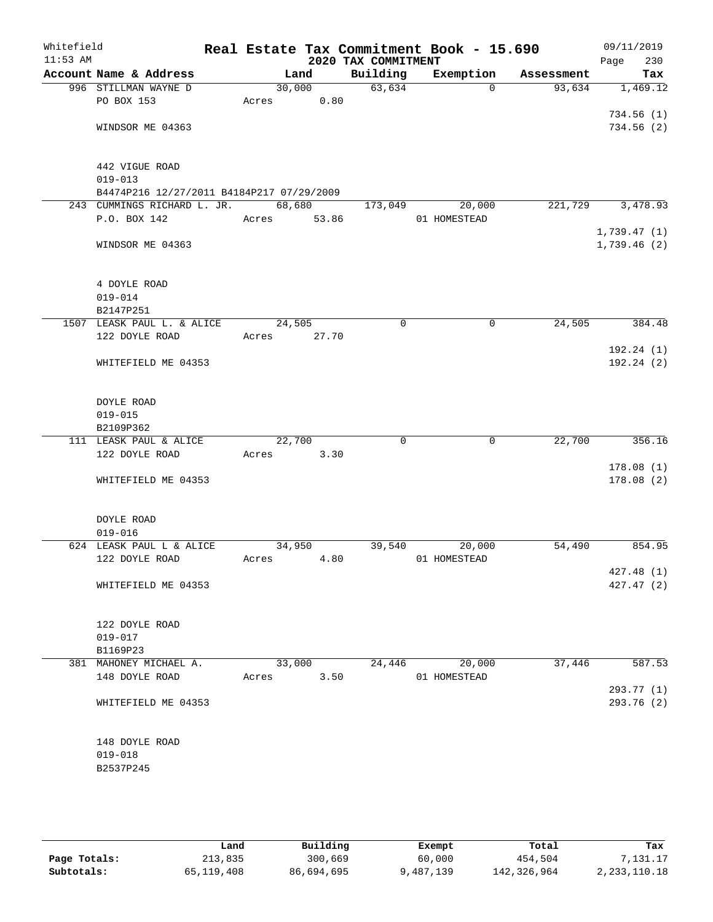| Whitefield<br>$11:53$ AM |                                              |             |        | 2020 TAX COMMITMENT | Real Estate Tax Commitment Book - 15.690 |            | 09/11/2019<br>230<br>Page |
|--------------------------|----------------------------------------------|-------------|--------|---------------------|------------------------------------------|------------|---------------------------|
|                          | Account Name & Address                       |             | Land   | Building            | Exemption                                | Assessment | Tax                       |
|                          | 996 STILLMAN WAYNE D                         | 30,000      |        | 63,634              | $\Omega$                                 | 93,634     | 1,469.12                  |
|                          | PO BOX 153                                   | Acres       | 0.80   |                     |                                          |            |                           |
|                          |                                              |             |        |                     |                                          |            | 734.56(1)                 |
|                          | WINDSOR ME 04363                             |             |        |                     |                                          |            | 734.56(2)                 |
|                          |                                              |             |        |                     |                                          |            |                           |
|                          | 442 VIGUE ROAD                               |             |        |                     |                                          |            |                           |
|                          | $019 - 013$                                  |             |        |                     |                                          |            |                           |
|                          | B4474P216 12/27/2011 B4184P217 07/29/2009    |             |        |                     |                                          |            |                           |
|                          | 243 CUMMINGS RICHARD L. JR.                  | 68,680      |        | 173,049             | 20,000                                   | 221,729    | 3,478.93                  |
|                          | P.O. BOX 142                                 | Acres 53.86 |        |                     | 01 HOMESTEAD                             |            |                           |
|                          |                                              |             |        |                     |                                          |            | 1,739.47(1)               |
|                          | WINDSOR ME 04363                             |             |        |                     |                                          |            | 1,739.46(2)               |
|                          |                                              |             |        |                     |                                          |            |                           |
|                          | 4 DOYLE ROAD                                 |             |        |                     |                                          |            |                           |
|                          | $019 - 014$                                  |             |        |                     |                                          |            |                           |
|                          | B2147P251                                    |             |        |                     |                                          |            |                           |
|                          | 1507 LEASK PAUL L. & ALICE<br>122 DOYLE ROAD | 24,505      |        | $\mathbf 0$         | $\mathbf 0$                              | 24,505     | 384.48                    |
|                          |                                              | Acres       | 27.70  |                     |                                          |            | 192.24 (1)                |
|                          | WHITEFIELD ME 04353                          |             |        |                     |                                          |            | 192.24(2)                 |
|                          |                                              |             |        |                     |                                          |            |                           |
|                          | DOYLE ROAD                                   |             |        |                     |                                          |            |                           |
|                          | $019 - 015$                                  |             |        |                     |                                          |            |                           |
|                          | B2109P362                                    |             |        |                     |                                          |            |                           |
|                          | 111 LEASK PAUL & ALICE                       | 22,700      |        | 0                   | 0                                        | 22,700     | 356.16                    |
|                          | 122 DOYLE ROAD                               | Acres       | 3.30   |                     |                                          |            |                           |
|                          |                                              |             |        |                     |                                          |            | 178.08(1)                 |
|                          | WHITEFIELD ME 04353                          |             |        |                     |                                          |            | 178.08(2)                 |
|                          | DOYLE ROAD                                   |             |        |                     |                                          |            |                           |
|                          | $019 - 016$                                  |             |        |                     |                                          |            |                           |
|                          | 624 LEASK PAUL L & ALICE                     | 34,950      |        | 39,540              | 20,000                                   | 54,490     | 854.95                    |
|                          | 122 DOYLE ROAD                               | Acres       | 4.80   |                     | 01 HOMESTEAD                             |            |                           |
|                          |                                              |             |        |                     |                                          |            | 427.48(1)                 |
|                          | WHITEFIELD ME 04353                          |             |        |                     |                                          |            | 427.47 (2)                |
|                          |                                              |             |        |                     |                                          |            |                           |
|                          | 122 DOYLE ROAD                               |             |        |                     |                                          |            |                           |
|                          | $019 - 017$                                  |             |        |                     |                                          |            |                           |
|                          | B1169P23                                     |             |        |                     |                                          |            |                           |
|                          | 381 MAHONEY MICHAEL A.                       |             | 33,000 | 24,446              | 20,000                                   | 37,446     | 587.53                    |
|                          | 148 DOYLE ROAD                               | Acres       | 3.50   |                     | 01 HOMESTEAD                             |            |                           |
|                          |                                              |             |        |                     |                                          |            | 293.77 (1)                |
|                          | WHITEFIELD ME 04353                          |             |        |                     |                                          |            | 293.76 (2)                |
|                          | 148 DOYLE ROAD                               |             |        |                     |                                          |            |                           |
|                          | $019 - 018$                                  |             |        |                     |                                          |            |                           |
|                          | B2537P245                                    |             |        |                     |                                          |            |                           |
|                          |                                              |             |        |                     |                                          |            |                           |
|                          |                                              |             |        |                     |                                          |            |                           |
|                          |                                              |             |        |                     |                                          |            |                           |

|              | Land       | Building   | Exempt    | Total       | Tax             |
|--------------|------------|------------|-----------|-------------|-----------------|
| Page Totals: | 213,835    | 300,669    | 60,000    | 454,504     | 7.131.17        |
| Subtotals:   | 65,119,408 | 86,694,695 | 9,487,139 | 142,326,964 | 2, 233, 110. 18 |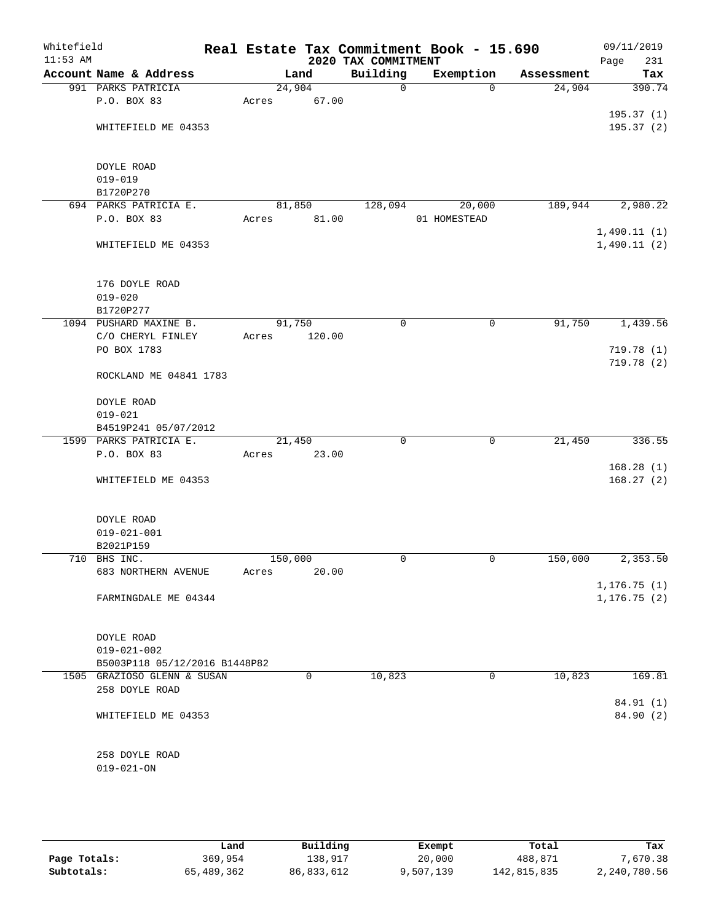| Whitefield<br>$11:53$ AM |                               |         |        | 2020 TAX COMMITMENT | Real Estate Tax Commitment Book - 15.690 |            | 09/11/2019<br>Page<br>231 |
|--------------------------|-------------------------------|---------|--------|---------------------|------------------------------------------|------------|---------------------------|
|                          | Account Name & Address        |         | Land   | Building            | Exemption                                | Assessment | Tax                       |
|                          | 991 PARKS PATRICIA            |         | 24,904 | $\mathsf{O}$        | $\Omega$                                 | 24,904     | 390.74                    |
|                          | P.O. BOX 83                   | Acres   | 67.00  |                     |                                          |            |                           |
|                          |                               |         |        |                     |                                          |            | 195.37(1)                 |
|                          | WHITEFIELD ME 04353           |         |        |                     |                                          |            | 195.37(2)                 |
|                          | DOYLE ROAD                    |         |        |                     |                                          |            |                           |
|                          | $019 - 019$                   |         |        |                     |                                          |            |                           |
|                          | B1720P270                     |         |        |                     |                                          |            |                           |
|                          | 694 PARKS PATRICIA E.         |         | 81,850 | 128,094             | 20,000                                   | 189,944    | 2,980.22                  |
|                          | P.O. BOX 83                   | Acres   | 81.00  |                     | 01 HOMESTEAD                             |            |                           |
|                          |                               |         |        |                     |                                          |            | 1,490.11(1)               |
|                          | WHITEFIELD ME 04353           |         |        |                     |                                          |            | 1,490.11(2)               |
|                          | 176 DOYLE ROAD                |         |        |                     |                                          |            |                           |
|                          | $019 - 020$                   |         |        |                     |                                          |            |                           |
|                          | B1720P277                     |         |        |                     |                                          |            |                           |
|                          | 1094 PUSHARD MAXINE B.        | 91,750  |        | 0                   | 0                                        | 91,750     | 1,439.56                  |
|                          | C/O CHERYL FINLEY             | Acres   | 120.00 |                     |                                          |            |                           |
|                          | PO BOX 1783                   |         |        |                     |                                          |            | 719.78(1)                 |
|                          |                               |         |        |                     |                                          |            | 719.78 (2)                |
|                          | ROCKLAND ME 04841 1783        |         |        |                     |                                          |            |                           |
|                          | DOYLE ROAD                    |         |        |                     |                                          |            |                           |
|                          | $019 - 021$                   |         |        |                     |                                          |            |                           |
|                          | B4519P241 05/07/2012          |         |        |                     |                                          |            |                           |
|                          | 1599 PARKS PATRICIA E.        |         | 21,450 | $\mathbf 0$         | $\mathbf 0$                              | 21,450     | 336.55                    |
|                          | P.O. BOX 83                   | Acres   | 23.00  |                     |                                          |            |                           |
|                          |                               |         |        |                     |                                          |            | 168.28(1)                 |
|                          | WHITEFIELD ME 04353           |         |        |                     |                                          |            | 168.27(2)                 |
|                          | DOYLE ROAD                    |         |        |                     |                                          |            |                           |
|                          | $019 - 021 - 001$             |         |        |                     |                                          |            |                           |
|                          | B2021P159                     |         |        |                     |                                          |            |                           |
|                          | 710 BHS INC.                  | 150,000 |        | 0                   | 0                                        | 150,000    | 2,353.50                  |
|                          | 683 NORTHERN AVENUE           | Acres   | 20.00  |                     |                                          |            |                           |
|                          |                               |         |        |                     |                                          |            | 1, 176.75(1)              |
|                          | FARMINGDALE ME 04344          |         |        |                     |                                          |            | 1, 176.75(2)              |
|                          | DOYLE ROAD                    |         |        |                     |                                          |            |                           |
|                          | $019 - 021 - 002$             |         |        |                     |                                          |            |                           |
|                          | B5003P118 05/12/2016 B1448P82 |         |        |                     |                                          |            |                           |
|                          | 1505 GRAZIOSO GLENN & SUSAN   |         | 0      | 10,823              | 0                                        | 10,823     | 169.81                    |
|                          | 258 DOYLE ROAD                |         |        |                     |                                          |            |                           |
|                          |                               |         |        |                     |                                          |            | 84.91 (1)                 |
|                          | WHITEFIELD ME 04353           |         |        |                     |                                          |            | 84.90 (2)                 |
|                          |                               |         |        |                     |                                          |            |                           |
|                          | 258 DOYLE ROAD                |         |        |                     |                                          |            |                           |
|                          | $019 - 021 - ON$              |         |        |                     |                                          |            |                           |

|              | Land       | Building   | Exempt    | Total       | Tax          |
|--------------|------------|------------|-----------|-------------|--------------|
| Page Totals: | 369,954    | 138,917    | 20,000    | 488,871     | 7,670.38     |
| Subtotals:   | 65,489,362 | 86,833,612 | 9,507,139 | 142,815,835 | 2,240,780.56 |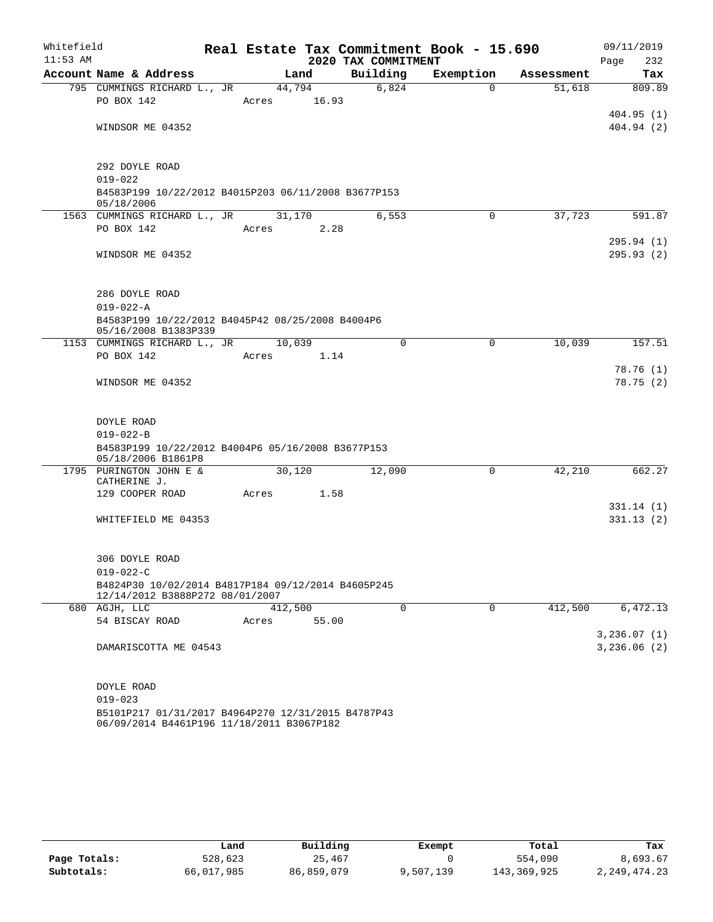| Whitefield<br>$11:53$ AM |                                                                                       |         |       | 2020 TAX COMMITMENT | Real Estate Tax Commitment Book - 15.690 |            | 09/11/2019<br>Page<br>232 |
|--------------------------|---------------------------------------------------------------------------------------|---------|-------|---------------------|------------------------------------------|------------|---------------------------|
|                          | Account Name & Address                                                                |         | Land  | Building            | Exemption                                | Assessment | Tax                       |
|                          | 795 CUMMINGS RICHARD L., JR                                                           | 44,794  |       | 6,824               | $\Omega$                                 | 51,618     | 809.89                    |
|                          | PO BOX 142                                                                            | Acres   | 16.93 |                     |                                          |            |                           |
|                          | WINDSOR ME 04352                                                                      |         |       |                     |                                          |            | 404.95(1)<br>404.94(2)    |
|                          |                                                                                       |         |       |                     |                                          |            |                           |
|                          |                                                                                       |         |       |                     |                                          |            |                           |
|                          | 292 DOYLE ROAD<br>$019 - 022$                                                         |         |       |                     |                                          |            |                           |
|                          | B4583P199 10/22/2012 B4015P203 06/11/2008 B3677P153                                   |         |       |                     |                                          |            |                           |
|                          | 05/18/2006                                                                            |         |       |                     |                                          |            |                           |
|                          | 1563 CUMMINGS RICHARD L., JR                                                          | 31,170  |       | 6,553               | 0                                        | 37,723     | 591.87                    |
|                          | PO BOX 142                                                                            | Acres   | 2.28  |                     |                                          |            |                           |
|                          | WINDSOR ME 04352                                                                      |         |       |                     |                                          |            | 295.94(1)<br>295.93 (2)   |
|                          |                                                                                       |         |       |                     |                                          |            |                           |
|                          |                                                                                       |         |       |                     |                                          |            |                           |
|                          | 286 DOYLE ROAD                                                                        |         |       |                     |                                          |            |                           |
|                          | $019 - 022 - A$                                                                       |         |       |                     |                                          |            |                           |
|                          | B4583P199 10/22/2012 B4045P42 08/25/2008 B4004P6<br>05/16/2008 B1383P339              |         |       |                     |                                          |            |                           |
|                          | 1153 CUMMINGS RICHARD L., JR                                                          | 10,039  |       | $\Omega$            | 0                                        | 10,039     | 157.51                    |
|                          | PO BOX 142                                                                            | Acres   | 1.14  |                     |                                          |            |                           |
|                          |                                                                                       |         |       |                     |                                          |            | 78.76 (1)                 |
|                          | WINDSOR ME 04352                                                                      |         |       |                     |                                          |            | 78.75(2)                  |
|                          |                                                                                       |         |       |                     |                                          |            |                           |
|                          | DOYLE ROAD                                                                            |         |       |                     |                                          |            |                           |
|                          | $019 - 022 - B$                                                                       |         |       |                     |                                          |            |                           |
|                          | B4583P199 10/22/2012 B4004P6 05/16/2008 B3677P153                                     |         |       |                     |                                          |            |                           |
|                          | 05/18/2006 B1861P8<br>1795 PURINGTON JOHN E &                                         | 30,120  |       | 12,090              | 0                                        | 42,210     | 662.27                    |
|                          | CATHERINE J.                                                                          |         |       |                     |                                          |            |                           |
|                          | 129 COOPER ROAD                                                                       | Acres   | 1.58  |                     |                                          |            |                           |
|                          |                                                                                       |         |       |                     |                                          |            | 331.14(1)                 |
|                          | WHITEFIELD ME 04353                                                                   |         |       |                     |                                          |            | 331.13(2)                 |
|                          |                                                                                       |         |       |                     |                                          |            |                           |
|                          | 306 DOYLE ROAD                                                                        |         |       |                     |                                          |            |                           |
|                          | $019 - 022 - C$                                                                       |         |       |                     |                                          |            |                           |
|                          | B4824P30 10/02/2014 B4817P184 09/12/2014 B4605P245<br>12/14/2012 B3888P272 08/01/2007 |         |       |                     |                                          |            |                           |
|                          | 680 AGJH, LLC                                                                         | 412,500 |       | $\Omega$            | $\mathbf 0$                              | 412,500    | 6,472.13                  |
|                          | 54 BISCAY ROAD                                                                        | Acres   | 55.00 |                     |                                          |            |                           |
|                          |                                                                                       |         |       |                     |                                          |            | 3,236.07(1)               |
|                          | DAMARISCOTTA ME 04543                                                                 |         |       |                     |                                          |            | 3,236.06(2)               |
|                          |                                                                                       |         |       |                     |                                          |            |                           |
|                          | DOYLE ROAD                                                                            |         |       |                     |                                          |            |                           |
|                          | $019 - 023$                                                                           |         |       |                     |                                          |            |                           |
|                          | B5101P217 01/31/2017 B4964P270 12/31/2015 B4787P43                                    |         |       |                     |                                          |            |                           |
|                          | 06/09/2014 B4461P196 11/18/2011 B3067P182                                             |         |       |                     |                                          |            |                           |

|              | úand       | Building   | Exempt    | Total       | Tax            |
|--------------|------------|------------|-----------|-------------|----------------|
| Page Totals: | 528,623    | 25,467     |           | 554,090     | 8,693.67       |
| Subtotals:   | 66,017,985 | 86,859,079 | 9,507,139 | 143,369,925 | 2, 249, 474.23 |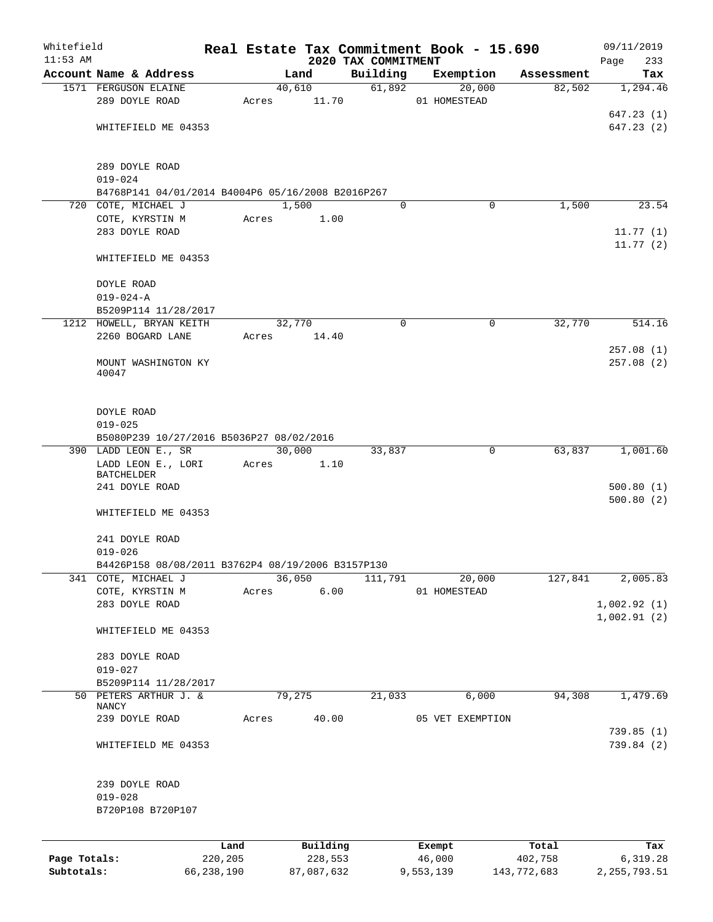| Whitefield   |                                                                 |            |       |                |                                 | Real Estate Tax Commitment Book - 15.690 |             | 09/11/2019             |
|--------------|-----------------------------------------------------------------|------------|-------|----------------|---------------------------------|------------------------------------------|-------------|------------------------|
| $11:53$ AM   | Account Name & Address                                          |            |       | Land           | 2020 TAX COMMITMENT<br>Building |                                          | Assessment  | Page<br>233<br>Tax     |
|              | 1571 FERGUSON ELAINE                                            |            |       | 40,610         | 61,892                          | Exemption<br>20,000                      | 82,502      | 1,294.46               |
|              | 289 DOYLE ROAD                                                  |            | Acres | 11.70          |                                 | 01 HOMESTEAD                             |             |                        |
|              |                                                                 |            |       |                |                                 |                                          |             | 647.23(1)              |
|              | WHITEFIELD ME 04353                                             |            |       |                |                                 |                                          |             | 647.23(2)              |
|              | 289 DOYLE ROAD                                                  |            |       |                |                                 |                                          |             |                        |
|              | $019 - 024$                                                     |            |       |                |                                 |                                          |             |                        |
|              | B4768P141 04/01/2014 B4004P6 05/16/2008 B2016P267               |            |       |                |                                 |                                          |             |                        |
|              | 720 COTE, MICHAEL J                                             |            |       | 1,500          | $\Omega$                        | $\mathbf 0$                              | 1,500       | 23.54                  |
|              | COTE, KYRSTIN M                                                 |            | Acres | 1.00           |                                 |                                          |             |                        |
|              | 283 DOYLE ROAD                                                  |            |       |                |                                 |                                          |             | 11.77(1)<br>11.77(2)   |
|              | WHITEFIELD ME 04353                                             |            |       |                |                                 |                                          |             |                        |
|              | DOYLE ROAD                                                      |            |       |                |                                 |                                          |             |                        |
|              | $019 - 024 - A$<br>B5209P114 11/28/2017                         |            |       |                |                                 |                                          |             |                        |
|              | 1212 HOWELL, BRYAN KEITH                                        |            |       | 32,770         | 0                               | 0                                        | 32,770      | 514.16                 |
|              | 2260 BOGARD LANE                                                |            | Acres | 14.40          |                                 |                                          |             |                        |
|              |                                                                 |            |       |                |                                 |                                          |             | 257.08(1)              |
|              | MOUNT WASHINGTON KY<br>40047                                    |            |       |                |                                 |                                          |             | 257.08(2)              |
|              |                                                                 |            |       |                |                                 |                                          |             |                        |
|              | DOYLE ROAD<br>$019 - 025$                                       |            |       |                |                                 |                                          |             |                        |
|              | B5080P239 10/27/2016 B5036P27 08/02/2016                        |            |       |                |                                 |                                          |             |                        |
|              | 390 LADD LEON E., SR<br>LADD LEON E., LORI<br><b>BATCHELDER</b> |            | Acres | 30,000<br>1.10 | 33,837                          | 0                                        | 63,837      | 1,001.60               |
|              | 241 DOYLE ROAD                                                  |            |       |                |                                 |                                          |             | 500.80(1)<br>500.80(2) |
|              | WHITEFIELD ME 04353                                             |            |       |                |                                 |                                          |             |                        |
|              | 241 DOYLE ROAD<br>$019 - 026$                                   |            |       |                |                                 |                                          |             |                        |
|              | B4426P158 08/08/2011 B3762P4 08/19/2006 B3157P130               |            |       |                |                                 |                                          |             |                        |
|              | 341 COTE, MICHAEL J                                             |            |       | 36,050         | 111,791                         | 20,000                                   | 127,841     | 2,005.83               |
|              | COTE, KYRSTIN M                                                 |            | Acres | 6.00           |                                 | 01 HOMESTEAD                             |             |                        |
|              | 283 DOYLE ROAD                                                  |            |       |                |                                 |                                          |             | 1,002.92(1)            |
|              | WHITEFIELD ME 04353                                             |            |       |                |                                 |                                          |             | 1,002.91(2)            |
|              |                                                                 |            |       |                |                                 |                                          |             |                        |
|              | 283 DOYLE ROAD<br>$019 - 027$                                   |            |       |                |                                 |                                          |             |                        |
|              | B5209P114 11/28/2017                                            |            |       |                |                                 |                                          |             |                        |
|              | 50 PETERS ARTHUR J. &                                           |            |       | 79,275         | 21,033                          | 6,000                                    | 94,308      | 1,479.69               |
|              | NANCY                                                           |            |       |                |                                 |                                          |             |                        |
|              | 239 DOYLE ROAD                                                  |            | Acres | 40.00          |                                 | 05 VET EXEMPTION                         |             | 739.85 (1)             |
|              | WHITEFIELD ME 04353                                             |            |       |                |                                 |                                          |             | 739.84 (2)             |
|              | 239 DOYLE ROAD                                                  |            |       |                |                                 |                                          |             |                        |
|              | $019 - 028$                                                     |            |       |                |                                 |                                          |             |                        |
|              | B720P108 B720P107                                               |            |       |                |                                 |                                          |             |                        |
|              |                                                                 | Land       |       | Building       |                                 | Exempt                                   | Total       | Tax                    |
| Page Totals: |                                                                 | 220,205    |       | 228,553        |                                 | 46,000                                   | 402,758     | 6,319.28               |
| Subtotals:   |                                                                 | 66,238,190 |       | 87,087,632     |                                 | 9,553,139                                | 143,772,683 | 2, 255, 793.51         |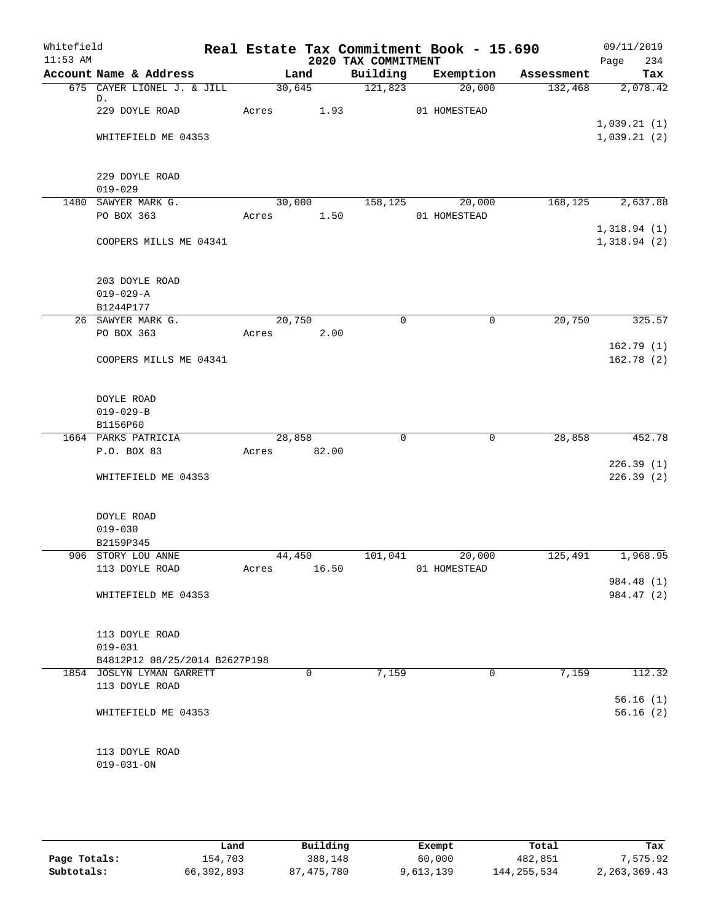| Whitefield<br>$11:53$ AM |                                    |       |                | 2020 TAX COMMITMENT | Real Estate Tax Commitment Book - 15.690 |            | 09/11/2019<br>234<br>Page  |
|--------------------------|------------------------------------|-------|----------------|---------------------|------------------------------------------|------------|----------------------------|
|                          | Account Name & Address             |       | Land           | Building            | Exemption                                | Assessment | Tax                        |
|                          | 675 CAYER LIONEL J. & JILL         |       | 30,645         | $\frac{121,823}{ }$ | 20,000                                   | 132,468    | 2,078.42                   |
|                          | D.                                 |       |                |                     |                                          |            |                            |
|                          | 229 DOYLE ROAD                     |       | Acres 1.93     |                     | 01 HOMESTEAD                             |            |                            |
|                          | WHITEFIELD ME 04353                |       |                |                     |                                          |            | 1,039.21(1)<br>1,039.21(2) |
|                          |                                    |       |                |                     |                                          |            |                            |
|                          |                                    |       |                |                     |                                          |            |                            |
|                          | 229 DOYLE ROAD                     |       |                |                     |                                          |            |                            |
|                          | $019 - 029$                        |       |                |                     |                                          |            |                            |
|                          | 1480 SAWYER MARK G.                |       | 30,000 158,125 |                     | 20,000                                   |            | 168, 125 2, 637.88         |
|                          | PO BOX 363                         | Acres | 1.50           |                     | 01 HOMESTEAD                             |            |                            |
|                          | COOPERS MILLS ME 04341             |       |                |                     |                                          |            | 1,318.94(1)<br>1,318.94(2) |
|                          |                                    |       |                |                     |                                          |            |                            |
|                          | 203 DOYLE ROAD                     |       |                |                     |                                          |            |                            |
|                          | $019 - 029 - A$                    |       |                |                     |                                          |            |                            |
|                          | B1244P177                          |       |                |                     |                                          |            |                            |
|                          | 26 SAWYER MARK G.                  |       | 20,750         | $\mathbf 0$         | 0                                        | 20,750     | 325.57                     |
|                          | PO BOX 363                         |       | Acres 2.00     |                     |                                          |            |                            |
|                          |                                    |       |                |                     |                                          |            | 162.79(1)                  |
|                          | COOPERS MILLS ME 04341             |       |                |                     |                                          |            | 162.78(2)                  |
|                          |                                    |       |                |                     |                                          |            |                            |
|                          | DOYLE ROAD                         |       |                |                     |                                          |            |                            |
|                          | $019 - 029 - B$<br>B1156P60        |       |                |                     |                                          |            |                            |
|                          | 1664 PARKS PATRICIA                |       | 28,858         | $\Omega$            | $\mathbf 0$                              | 28,858     | 452.78                     |
|                          | P.O. BOX 83                        |       | Acres 82.00    |                     |                                          |            |                            |
|                          |                                    |       |                |                     |                                          |            | 226.39(1)                  |
|                          | WHITEFIELD ME 04353                |       |                |                     |                                          |            | 226.39(2)                  |
|                          |                                    |       |                |                     |                                          |            |                            |
|                          | DOYLE ROAD                         |       |                |                     |                                          |            |                            |
|                          | $019 - 030$                        |       |                |                     |                                          |            |                            |
|                          | B2159P345                          |       |                |                     |                                          |            |                            |
|                          | 906 STORY LOU ANNE                 |       | 44,450         | 101,041             | 20,000                                   | 125,491    | 1,968.95                   |
|                          | 113 DOYLE ROAD                     | Acres | 16.50          |                     | 01 HOMESTEAD                             |            |                            |
|                          |                                    |       |                |                     |                                          |            | 984.48 (1)                 |
|                          | WHITEFIELD ME 04353                |       |                |                     |                                          |            | 984.47 (2)                 |
|                          |                                    |       |                |                     |                                          |            |                            |
|                          | 113 DOYLE ROAD<br>$019 - 031$      |       |                |                     |                                          |            |                            |
|                          | B4812P12 08/25/2014 B2627P198      |       |                |                     |                                          |            |                            |
|                          | 1854 JOSLYN LYMAN GARRETT          |       | 0              | 7,159               | 0                                        | 7,159      | 112.32                     |
|                          | 113 DOYLE ROAD                     |       |                |                     |                                          |            |                            |
|                          |                                    |       |                |                     |                                          |            | 56.16(1)                   |
|                          | WHITEFIELD ME 04353                |       |                |                     |                                          |            | 56.16(2)                   |
|                          |                                    |       |                |                     |                                          |            |                            |
|                          |                                    |       |                |                     |                                          |            |                            |
|                          | 113 DOYLE ROAD<br>$019 - 031 - ON$ |       |                |                     |                                          |            |                            |
|                          |                                    |       |                |                     |                                          |            |                            |

|              | Land       | Building   | Exempt    | Total         | Tax             |
|--------------|------------|------------|-----------|---------------|-----------------|
| Page Totals: | 154,703    | 388,148    | 60,000    | 482,851       | 7.575.92        |
| Subtotals:   | 66,392,893 | 87,475,780 | 9,613,139 | 144, 255, 534 | 2, 263, 369. 43 |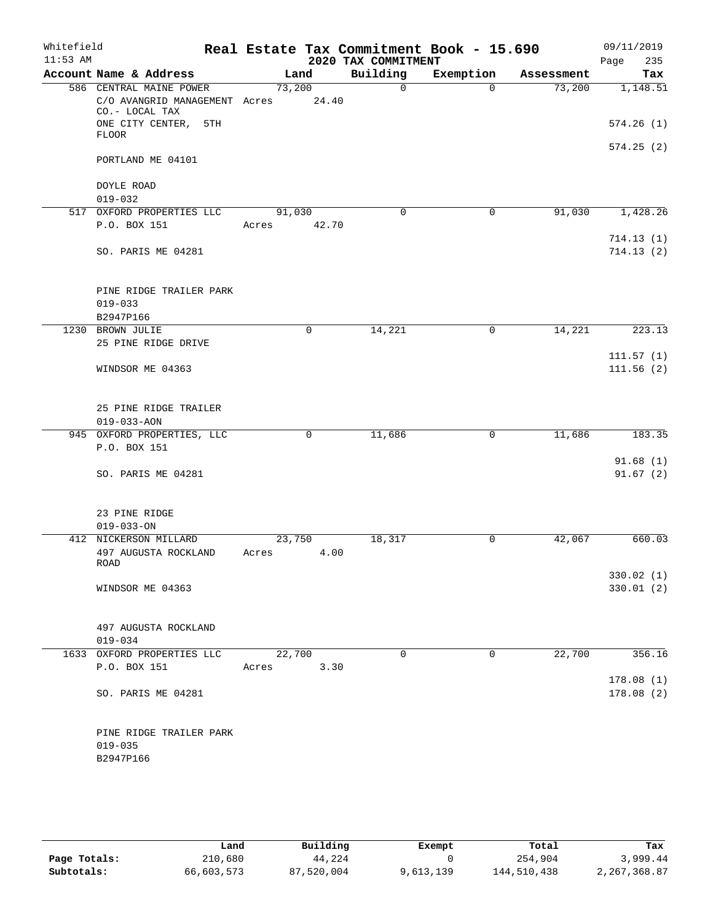| Whitefield<br>$11:53$ AM |                                                                                               |             |       | 2020 TAX COMMITMENT | Real Estate Tax Commitment Book - 15.690 |            | 09/11/2019             |
|--------------------------|-----------------------------------------------------------------------------------------------|-------------|-------|---------------------|------------------------------------------|------------|------------------------|
|                          | Account Name & Address                                                                        | Land        |       | Building            | Exemption                                | Assessment | 235<br>Page<br>Tax     |
|                          | 586 CENTRAL MAINE POWER                                                                       | 73,200      |       | $\Omega$            | $\Omega$                                 | 73,200     | 1,148.51               |
|                          | C/O AVANGRID MANAGEMENT Acres 24.40<br>CO.- LOCAL TAX<br>ONE CITY CENTER, 5TH<br><b>FLOOR</b> |             |       |                     |                                          |            | 574.26(1)              |
|                          | PORTLAND ME 04101                                                                             |             |       |                     |                                          |            | 574.25(2)              |
|                          | DOYLE ROAD<br>$019 - 032$                                                                     |             |       |                     |                                          |            |                        |
|                          | 517 OXFORD PROPERTIES LLC                                                                     | 91,030      |       | $\mathbf 0$         | $\mathbf 0$                              | 91,030     | 1,428.26               |
|                          | P.O. BOX 151                                                                                  | Acres       | 42.70 |                     |                                          |            | 714.13(1)              |
|                          | SO. PARIS ME 04281                                                                            |             |       |                     |                                          |            | 714.13(2)              |
|                          | PINE RIDGE TRAILER PARK<br>$019 - 033$<br>B2947P166                                           |             |       |                     |                                          |            |                        |
|                          | 1230 BROWN JULIE                                                                              | $\mathbf 0$ |       | 14,221              | 0                                        | 14,221     | 223.13                 |
|                          | 25 PINE RIDGE DRIVE                                                                           |             |       |                     |                                          |            |                        |
|                          | WINDSOR ME 04363                                                                              |             |       |                     |                                          |            | 111.57(1)<br>111.56(2) |
|                          | 25 PINE RIDGE TRAILER<br>$019 - 033 - AON$                                                    |             |       |                     |                                          |            |                        |
|                          | 945 OXFORD PROPERTIES, LLC                                                                    | 0           |       | 11,686              | 0                                        | 11,686     | 183.35                 |
|                          | P.O. BOX 151                                                                                  |             |       |                     |                                          |            |                        |
|                          | SO. PARIS ME 04281                                                                            |             |       |                     |                                          |            | 91.68(1)<br>91.67(2)   |
|                          | 23 PINE RIDGE<br>$019 - 033 - ON$                                                             |             |       |                     |                                          |            |                        |
|                          | 412 NICKERSON MILLARD                                                                         | 23,750      |       | 18,317              | 0                                        | 42,067     | 660.03                 |
|                          | 497 AUGUSTA ROCKLAND<br>ROAD                                                                  | Acres       | 4.00  |                     |                                          |            | 330.02 (1)             |
|                          | WINDSOR ME 04363                                                                              |             |       |                     |                                          |            | 330.01(2)              |
|                          | 497 AUGUSTA ROCKLAND<br>$019 - 034$                                                           |             |       |                     |                                          |            |                        |
|                          | 1633 OXFORD PROPERTIES LLC                                                                    | 22,700      |       | $\Omega$            | $\Omega$                                 | 22,700     | 356.16                 |
|                          | P.O. BOX 151                                                                                  | Acres 3.30  |       |                     |                                          |            | 178.08(1)              |
|                          | SO. PARIS ME 04281                                                                            |             |       |                     |                                          |            | 178.08(2)              |
|                          | PINE RIDGE TRAILER PARK<br>$019 - 035$<br>B2947P166                                           |             |       |                     |                                          |            |                        |
|                          |                                                                                               |             |       |                     |                                          |            |                        |

|              | Land       | Building   | Exempt    | Total       | Tax          |
|--------------|------------|------------|-----------|-------------|--------------|
| Page Totals: | 210,680    | 44,224     |           | 254,904     | 3,999.44     |
| Subtotals:   | 66,603,573 | 87,520,004 | 9,613,139 | 144,510,438 | 2,267,368.87 |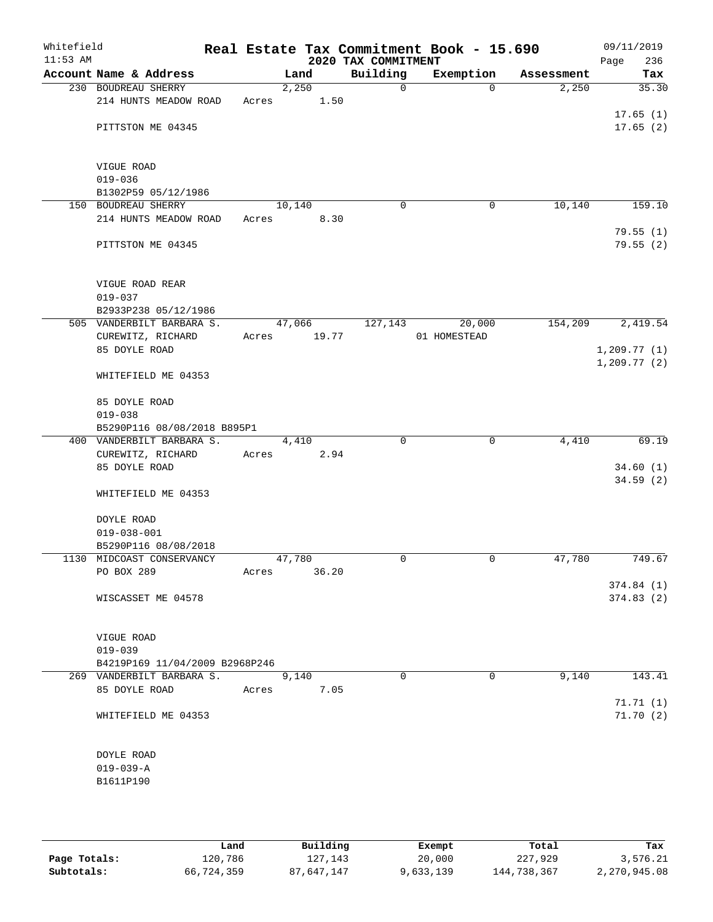| Whitefield<br>$11:53$ AM |                                         |       |        |       | 2020 TAX COMMITMENT | Real Estate Tax Commitment Book - 15.690 |            | 09/11/2019<br>236<br>Page |
|--------------------------|-----------------------------------------|-------|--------|-------|---------------------|------------------------------------------|------------|---------------------------|
|                          | Account Name & Address                  |       | Land   |       | Building            | Exemption                                | Assessment | Tax                       |
|                          | 230 BOUDREAU SHERRY                     |       | 2,250  |       | $\mathsf{O}$        | $\Omega$                                 | 2,250      | 35.30                     |
|                          | 214 HUNTS MEADOW ROAD                   | Acres |        | 1.50  |                     |                                          |            |                           |
|                          |                                         |       |        |       |                     |                                          |            | 17.65(1)                  |
|                          | PITTSTON ME 04345                       |       |        |       |                     |                                          |            | 17.65(2)                  |
|                          |                                         |       |        |       |                     |                                          |            |                           |
|                          |                                         |       |        |       |                     |                                          |            |                           |
|                          | VIGUE ROAD<br>$019 - 036$               |       |        |       |                     |                                          |            |                           |
|                          | B1302P59 05/12/1986                     |       |        |       |                     |                                          |            |                           |
|                          | 150 BOUDREAU SHERRY                     |       | 10,140 |       | $\mathbf 0$         | 0                                        | 10,140     | 159.10                    |
|                          | 214 HUNTS MEADOW ROAD                   | Acres |        | 8.30  |                     |                                          |            |                           |
|                          |                                         |       |        |       |                     |                                          |            | 79.55(1)                  |
|                          | PITTSTON ME 04345                       |       |        |       |                     |                                          |            | 79.55(2)                  |
|                          |                                         |       |        |       |                     |                                          |            |                           |
|                          |                                         |       |        |       |                     |                                          |            |                           |
|                          | VIGUE ROAD REAR                         |       |        |       |                     |                                          |            |                           |
|                          | $019 - 037$                             |       |        |       |                     |                                          |            |                           |
|                          | B2933P238 05/12/1986                    |       |        |       |                     |                                          |            |                           |
|                          | 505 VANDERBILT BARBARA S.               |       | 47,066 |       | 127,143             | 20,000                                   | 154,209    | 2,419.54                  |
|                          | CUREWITZ, RICHARD                       | Acres |        | 19.77 |                     | 01 HOMESTEAD                             |            |                           |
|                          | 85 DOYLE ROAD                           |       |        |       |                     |                                          |            | 1,209.77(1)               |
|                          |                                         |       |        |       |                     |                                          |            | 1, 209.77(2)              |
|                          | WHITEFIELD ME 04353                     |       |        |       |                     |                                          |            |                           |
|                          | 85 DOYLE ROAD                           |       |        |       |                     |                                          |            |                           |
|                          | $019 - 038$                             |       |        |       |                     |                                          |            |                           |
|                          | B5290P116 08/08/2018 B895P1             |       |        |       |                     |                                          |            |                           |
|                          | 400 VANDERBILT BARBARA S.               |       | 4,410  |       | $\mathbf 0$         | $\mathbf 0$                              | 4,410      | 69.19                     |
|                          | CUREWITZ, RICHARD                       | Acres |        | 2.94  |                     |                                          |            |                           |
|                          | 85 DOYLE ROAD                           |       |        |       |                     |                                          |            | 34.60(1)                  |
|                          |                                         |       |        |       |                     |                                          |            | 34.59(2)                  |
|                          | WHITEFIELD ME 04353                     |       |        |       |                     |                                          |            |                           |
|                          |                                         |       |        |       |                     |                                          |            |                           |
|                          | DOYLE ROAD                              |       |        |       |                     |                                          |            |                           |
|                          | $019 - 038 - 001$                       |       |        |       |                     |                                          |            |                           |
|                          | B5290P116 08/08/2018                    |       |        |       | 0                   | $\mathbf 0$                              | 47,780     |                           |
|                          | 1130 MIDCOAST CONSERVANCY<br>PO BOX 289 | Acres | 47,780 | 36.20 |                     |                                          |            | 749.67                    |
|                          |                                         |       |        |       |                     |                                          |            | 374.84(1)                 |
|                          | WISCASSET ME 04578                      |       |        |       |                     |                                          |            | 374.83(2)                 |
|                          |                                         |       |        |       |                     |                                          |            |                           |
|                          |                                         |       |        |       |                     |                                          |            |                           |
|                          | VIGUE ROAD                              |       |        |       |                     |                                          |            |                           |
|                          | $019 - 039$                             |       |        |       |                     |                                          |            |                           |
|                          | B4219P169 11/04/2009 B2968P246          |       |        |       |                     |                                          |            |                           |
|                          | 269 VANDERBILT BARBARA S.               |       | 9,140  |       | $\Omega$            | $\Omega$                                 | 9,140      | 143.41                    |
|                          | 85 DOYLE ROAD                           | Acres |        | 7.05  |                     |                                          |            |                           |
|                          |                                         |       |        |       |                     |                                          |            | 71.71(1)                  |
|                          | WHITEFIELD ME 04353                     |       |        |       |                     |                                          |            | 71.70(2)                  |
|                          |                                         |       |        |       |                     |                                          |            |                           |
|                          | DOYLE ROAD                              |       |        |       |                     |                                          |            |                           |
|                          | $019 - 039 - A$                         |       |        |       |                     |                                          |            |                           |
|                          | B1611P190                               |       |        |       |                     |                                          |            |                           |
|                          |                                         |       |        |       |                     |                                          |            |                           |
|                          |                                         |       |        |       |                     |                                          |            |                           |

|              | Land       | Building   | Exempt    | Total       | Tax          |
|--------------|------------|------------|-----------|-------------|--------------|
| Page Totals: | 120,786    | 127,143    | 20,000    | 227,929     | 3,576.21     |
| Subtotals:   | 66,724,359 | 87,647,147 | 9,633,139 | 144,738,367 | 2,270,945.08 |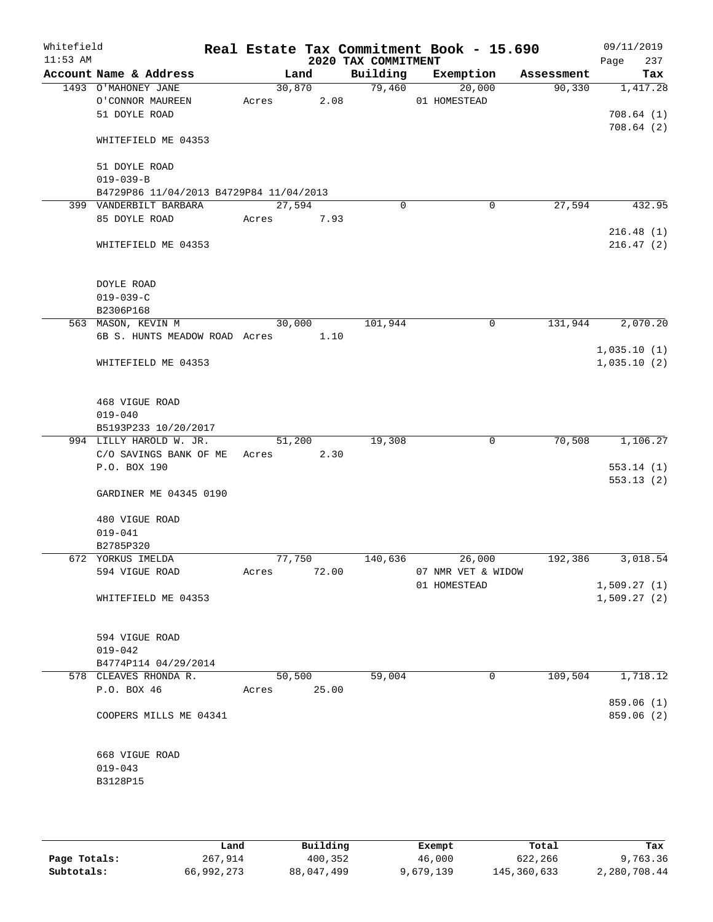| Whitefield<br>$11:53$ AM |                                         |        |        | 2020 TAX COMMITMENT | Real Estate Tax Commitment Book - 15.690 |            | 09/11/2019<br>Page<br>237  |
|--------------------------|-----------------------------------------|--------|--------|---------------------|------------------------------------------|------------|----------------------------|
|                          | Account Name & Address                  |        | Land   | Building            | Exemption                                | Assessment | Tax                        |
|                          | 1493 O'MAHONEY JANE                     |        | 30,870 | 79,460              | 20,000                                   | 90,330     | 1,417.28                   |
|                          | O'CONNOR MAUREEN                        | Acres  | 2.08   |                     | 01 HOMESTEAD                             |            |                            |
|                          | 51 DOYLE ROAD                           |        |        |                     |                                          |            | 708.64(1)                  |
|                          | WHITEFIELD ME 04353                     |        |        |                     |                                          |            | 708.64(2)                  |
|                          | 51 DOYLE ROAD                           |        |        |                     |                                          |            |                            |
|                          | $019 - 039 - B$                         |        |        |                     |                                          |            |                            |
|                          | B4729P86 11/04/2013 B4729P84 11/04/2013 |        |        |                     |                                          |            |                            |
|                          | 399 VANDERBILT BARBARA                  | 27,594 |        | $\Omega$            | 0                                        | 27,594     | 432.95                     |
|                          | 85 DOYLE ROAD                           | Acres  | 7.93   |                     |                                          |            |                            |
|                          |                                         |        |        |                     |                                          |            | 216.48(1)                  |
|                          | WHITEFIELD ME 04353                     |        |        |                     |                                          |            | 216.47(2)                  |
|                          | DOYLE ROAD                              |        |        |                     |                                          |            |                            |
|                          | $019 - 039 - C$                         |        |        |                     |                                          |            |                            |
|                          | B2306P168                               |        |        |                     |                                          |            |                            |
|                          | 563 MASON, KEVIN M                      | 30,000 |        | 101,944             | 0                                        | 131,944    | 2,070.20                   |
|                          | 6B S. HUNTS MEADOW ROAD Acres           |        | 1.10   |                     |                                          |            |                            |
|                          | WHITEFIELD ME 04353                     |        |        |                     |                                          |            | 1,035.10(1)<br>1,035.10(2) |
|                          | 468 VIGUE ROAD                          |        |        |                     |                                          |            |                            |
|                          | $019 - 040$                             |        |        |                     |                                          |            |                            |
|                          | B5193P233 10/20/2017                    |        |        |                     |                                          |            |                            |
|                          | 994 LILLY HAROLD W. JR.                 | 51,200 |        | 19,308              | 0                                        | 70,508     | 1,106.27                   |
|                          | C/O SAVINGS BANK OF ME                  | Acres  | 2.30   |                     |                                          |            |                            |
|                          | P.O. BOX 190                            |        |        |                     |                                          |            | 553.14(1)                  |
|                          | GARDINER ME 04345 0190                  |        |        |                     |                                          |            | 553.13(2)                  |
|                          | 480 VIGUE ROAD                          |        |        |                     |                                          |            |                            |
|                          | $019 - 041$                             |        |        |                     |                                          |            |                            |
|                          | B2785P320                               |        |        |                     |                                          |            |                            |
|                          | 672 YORKUS IMELDA                       | 77,750 |        | 140,636             | 26,000                                   | 192,386    | 3,018.54                   |
|                          | 594 VIGUE ROAD                          | Acres  | 72.00  |                     | 07 NMR VET & WIDOW                       |            |                            |
|                          |                                         |        |        |                     | 01 HOMESTEAD                             |            | 1,509.27(1)                |
|                          | WHITEFIELD ME 04353                     |        |        |                     |                                          |            | 1,509.27(2)                |
|                          | 594 VIGUE ROAD                          |        |        |                     |                                          |            |                            |
|                          | $019 - 042$                             |        |        |                     |                                          |            |                            |
|                          | B4774P114 04/29/2014                    |        |        |                     |                                          |            |                            |
|                          | 578 CLEAVES RHONDA R.                   | 50,500 |        | 59,004              | 0                                        | 109,504    | 1,718.12                   |
|                          | P.O. BOX 46                             | Acres  | 25.00  |                     |                                          |            |                            |
|                          | COOPERS MILLS ME 04341                  |        |        |                     |                                          |            | 859.06 (1)<br>859.06 (2)   |
|                          | 668 VIGUE ROAD                          |        |        |                     |                                          |            |                            |
|                          | $019 - 043$                             |        |        |                     |                                          |            |                            |
|                          | B3128P15                                |        |        |                     |                                          |            |                            |
|                          |                                         |        |        |                     |                                          |            |                            |
|                          |                                         |        |        |                     |                                          |            |                            |

|              | Land       | Building   | Exempt    | Total       | Tax          |
|--------------|------------|------------|-----------|-------------|--------------|
| Page Totals: | 267,914    | 400,352    | 46,000    | 622,266     | 9,763.36     |
| Subtotals:   | 66,992,273 | 88,047,499 | 9,679,139 | 145,360,633 | 2,280,708.44 |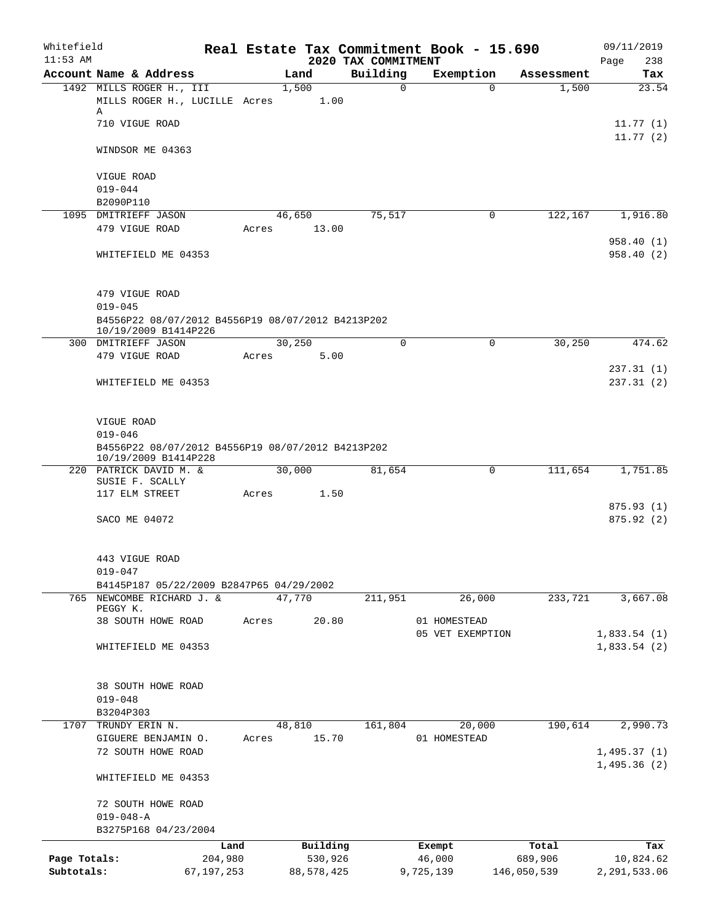| Whitefield<br>$11:53$ AM |                                                                                          |       |                | 2020 TAX COMMITMENT | Real Estate Tax Commitment Book - 15.690 |             | 09/11/2019<br>Page<br>238  |
|--------------------------|------------------------------------------------------------------------------------------|-------|----------------|---------------------|------------------------------------------|-------------|----------------------------|
|                          | Account Name & Address                                                                   |       | Land           | Building            | Exemption                                | Assessment  | Tax                        |
|                          | 1492 MILLS ROGER H., III<br>MILLS ROGER H., LUCILLE Acres                                |       | 1,500<br>1.00  | $\Omega$            | $\Omega$                                 | 1,500       | 23.54                      |
|                          | Α<br>710 VIGUE ROAD                                                                      |       |                |                     |                                          |             | 11.77(1)<br>11.77(2)       |
|                          | WINDSOR ME 04363                                                                         |       |                |                     |                                          |             |                            |
|                          | VIGUE ROAD<br>$019 - 044$                                                                |       |                |                     |                                          |             |                            |
|                          | B2090P110                                                                                |       |                |                     |                                          |             |                            |
|                          | 1095 DMITRIEFF JASON                                                                     |       | 46,650         | 75,517              | 0                                        | 122,167     | 1,916.80                   |
|                          | 479 VIGUE ROAD                                                                           | Acres | 13.00          |                     |                                          |             | 958.40 (1)                 |
|                          | WHITEFIELD ME 04353                                                                      |       |                |                     |                                          |             | 958.40(2)                  |
|                          | 479 VIGUE ROAD                                                                           |       |                |                     |                                          |             |                            |
|                          | $019 - 045$<br>B4556P22 08/07/2012 B4556P19 08/07/2012 B4213P202<br>10/19/2009 B1414P226 |       |                |                     |                                          |             |                            |
|                          | 300 DMITRIEFF JASON                                                                      |       | 30, 250        | $\Omega$            | 0                                        | 30,250      | 474.62                     |
|                          | 479 VIGUE ROAD                                                                           | Acres | 5.00           |                     |                                          |             | 237.31(1)                  |
|                          | WHITEFIELD ME 04353                                                                      |       |                |                     |                                          |             | 237.31(2)                  |
|                          | VIGUE ROAD                                                                               |       |                |                     |                                          |             |                            |
|                          | $019 - 046$<br>B4556P22 08/07/2012 B4556P19 08/07/2012 B4213P202                         |       |                |                     |                                          |             |                            |
|                          | 10/19/2009 B1414P228                                                                     |       |                |                     |                                          |             |                            |
|                          | 220 PATRICK DAVID M. &<br>SUSIE F. SCALLY<br>117 ELM STREET                              | Acres | 30,000<br>1.50 | 81,654              | 0                                        | 111,654     | 1,751.85                   |
|                          |                                                                                          |       |                |                     |                                          |             | 875.93(1)                  |
|                          | SACO ME 04072                                                                            |       |                |                     |                                          |             | 875.92 (2)                 |
|                          | 443 VIGUE ROAD<br>$019 - 047$                                                            |       |                |                     |                                          |             |                            |
|                          | B4145P187 05/22/2009 B2847P65 04/29/2002                                                 |       |                |                     |                                          |             |                            |
|                          | 765 NEWCOMBE RICHARD J. &                                                                |       | 47,770         | 211,951             | 26,000                                   | 233,721     | 3,667.08                   |
|                          | PEGGY K.<br>38 SOUTH HOWE ROAD                                                           | Acres | 20.80          |                     | 01 HOMESTEAD                             |             |                            |
|                          |                                                                                          |       |                |                     | 05 VET EXEMPTION                         |             | 1,833.54(1)                |
|                          | WHITEFIELD ME 04353                                                                      |       |                |                     |                                          |             | 1,833.54(2)                |
|                          | 38 SOUTH HOWE ROAD                                                                       |       |                |                     |                                          |             |                            |
|                          | $019 - 048$<br>B3204P303                                                                 |       |                |                     |                                          |             |                            |
| 1707                     | TRUNDY ERIN N.                                                                           |       | 48,810         | 161,804             | 20,000                                   | 190,614     | 2,990.73                   |
|                          | GIGUERE BENJAMIN O.                                                                      | Acres | 15.70          |                     | 01 HOMESTEAD                             |             |                            |
|                          | 72 SOUTH HOWE ROAD                                                                       |       |                |                     |                                          |             | 1,495.37(1)<br>1,495.36(2) |
|                          | WHITEFIELD ME 04353                                                                      |       |                |                     |                                          |             |                            |
|                          | 72 SOUTH HOWE ROAD                                                                       |       |                |                     |                                          |             |                            |
|                          | $019 - 048 - A$<br>B3275P168 04/23/2004                                                  |       |                |                     |                                          |             |                            |
|                          |                                                                                          | Land  | Building       |                     | Exempt                                   | Total       | Tax                        |
| Page Totals:             | 204,980                                                                                  |       | 530,926        |                     | 46,000                                   | 689,906     | 10,824.62                  |
| Subtotals:               | 67, 197, 253                                                                             |       | 88,578,425     |                     | 9,725,139                                | 146,050,539 | 2, 291, 533.06             |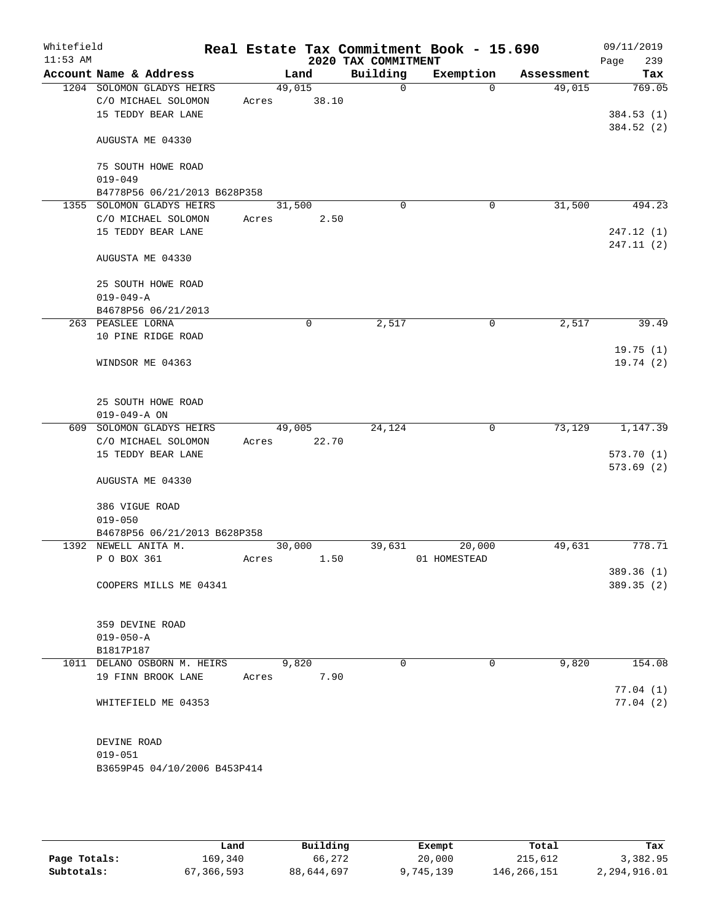| Whitefield<br>$11:53$ AM |                              |        |       | 2020 TAX COMMITMENT | Real Estate Tax Commitment Book - 15.690 |            | 09/11/2019<br>Page<br>239 |
|--------------------------|------------------------------|--------|-------|---------------------|------------------------------------------|------------|---------------------------|
|                          | Account Name & Address       |        | Land  | Building            | Exemption                                | Assessment | Tax                       |
|                          | 1204 SOLOMON GLADYS HEIRS    | 49,015 |       | $\mathbf 0$         | $\Omega$                                 | 49,015     | 769.05                    |
|                          | C/O MICHAEL SOLOMON          | Acres  | 38.10 |                     |                                          |            |                           |
|                          | 15 TEDDY BEAR LANE           |        |       |                     |                                          |            | 384.53(1)                 |
|                          | AUGUSTA ME 04330             |        |       |                     |                                          |            | 384.52 (2)                |
|                          | 75 SOUTH HOWE ROAD           |        |       |                     |                                          |            |                           |
|                          | $019 - 049$                  |        |       |                     |                                          |            |                           |
|                          | B4778P56 06/21/2013 B628P358 |        |       |                     |                                          |            |                           |
|                          | 1355 SOLOMON GLADYS HEIRS    | 31,500 |       | $\mathbf 0$         | 0                                        | 31,500     | 494.23                    |
|                          | C/O MICHAEL SOLOMON          | Acres  | 2.50  |                     |                                          |            |                           |
|                          | 15 TEDDY BEAR LANE           |        |       |                     |                                          |            | 247.12(1)                 |
|                          | AUGUSTA ME 04330             |        |       |                     |                                          |            | 247.11 (2)                |
|                          | 25 SOUTH HOWE ROAD           |        |       |                     |                                          |            |                           |
|                          | $019 - 049 - A$              |        |       |                     |                                          |            |                           |
|                          | B4678P56 06/21/2013          |        |       |                     |                                          |            |                           |
|                          | 263 PEASLEE LORNA            |        | 0     | 2,517               | 0                                        | 2,517      | 39.49                     |
|                          | 10 PINE RIDGE ROAD           |        |       |                     |                                          |            |                           |
|                          | WINDSOR ME 04363             |        |       |                     |                                          |            | 19.75(1)<br>19.74 (2)     |
|                          | 25 SOUTH HOWE ROAD           |        |       |                     |                                          |            |                           |
|                          | $019 - 049 - A ON$           |        |       |                     |                                          |            |                           |
| 609                      | SOLOMON GLADYS HEIRS         | 49,005 |       | 24,124              | 0                                        | 73,129     | 1,147.39                  |
|                          | C/O MICHAEL SOLOMON          | Acres  | 22.70 |                     |                                          |            |                           |
|                          | 15 TEDDY BEAR LANE           |        |       |                     |                                          |            | 573.70(1)                 |
|                          |                              |        |       |                     |                                          |            | 573.69(2)                 |
|                          | AUGUSTA ME 04330             |        |       |                     |                                          |            |                           |
|                          | 386 VIGUE ROAD               |        |       |                     |                                          |            |                           |
|                          | $019 - 050$                  |        |       |                     |                                          |            |                           |
|                          | B4678P56 06/21/2013 B628P358 |        |       |                     |                                          |            |                           |
|                          | 1392 NEWELL ANITA M.         | 30,000 |       | 39,631              | 20,000                                   | 49,631     | 778.71                    |
|                          | P O BOX 361                  | Acres  | 1.50  |                     | 01 HOMESTEAD                             |            |                           |
|                          |                              |        |       |                     |                                          |            | 389.36 (1)                |
|                          | COOPERS MILLS ME 04341       |        |       |                     |                                          |            | 389.35 (2)                |
|                          | 359 DEVINE ROAD              |        |       |                     |                                          |            |                           |
|                          | $019 - 050 - A$              |        |       |                     |                                          |            |                           |
|                          | B1817P187                    |        |       |                     |                                          |            |                           |
|                          | 1011 DELANO OSBORN M. HEIRS  |        | 9,820 | 0                   | 0                                        | 9,820      | 154.08                    |
|                          | 19 FINN BROOK LANE           | Acres  | 7.90  |                     |                                          |            |                           |
|                          |                              |        |       |                     |                                          |            | 77.04(1)                  |
|                          | WHITEFIELD ME 04353          |        |       |                     |                                          |            | 77.04(2)                  |
|                          | DEVINE ROAD                  |        |       |                     |                                          |            |                           |
|                          | $019 - 051$                  |        |       |                     |                                          |            |                           |
|                          | B3659P45 04/10/2006 B453P414 |        |       |                     |                                          |            |                           |
|                          |                              |        |       |                     |                                          |            |                           |
|                          |                              |        |       |                     |                                          |            |                           |

|              | Land       | Building   | Exempt    | Total       | Tax          |
|--------------|------------|------------|-----------|-------------|--------------|
| Page Totals: | 169,340    | 66,272     | 20,000    | 215,612     | 3,382.95     |
| Subtotals:   | 67,366,593 | 88,644,697 | 9,745,139 | 146,266,151 | 2,294,916.01 |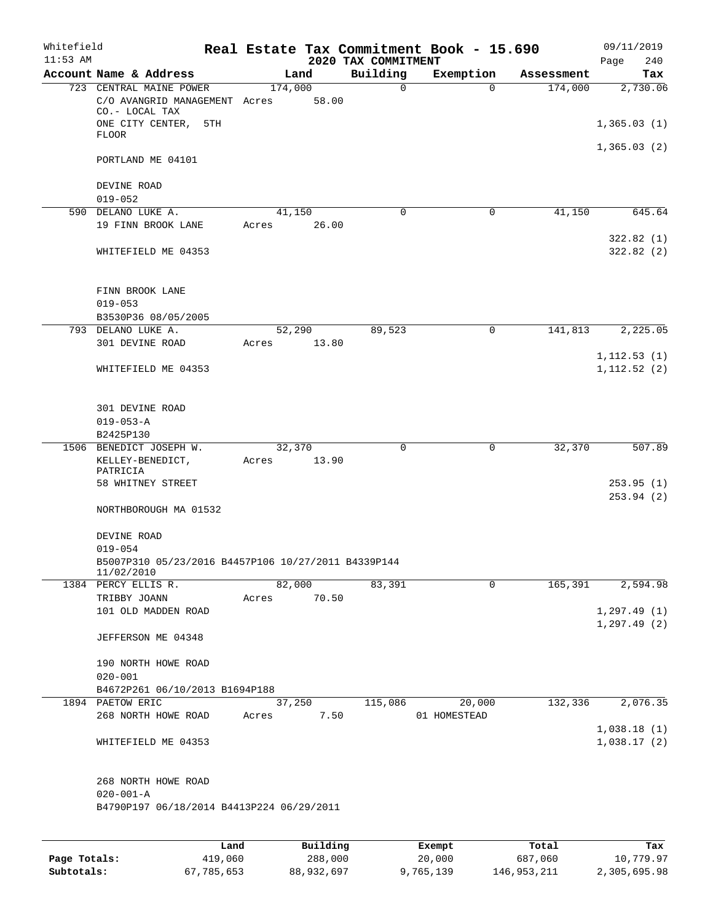| Whitefield<br>$11:53$ AM |                                                                                                                       |       |                  | 2020 TAX COMMITMENT | Real Estate Tax Commitment Book - 15.690 |            | 09/11/2019<br>240<br>Page        |
|--------------------------|-----------------------------------------------------------------------------------------------------------------------|-------|------------------|---------------------|------------------------------------------|------------|----------------------------------|
|                          | Account Name & Address                                                                                                |       | Land             | Building            | Exemption                                | Assessment | Tax                              |
|                          | 723 CENTRAL MAINE POWER<br>C/O AVANGRID MANAGEMENT Acres<br>CO.- LOCAL TAX<br>ONE CITY CENTER,<br>5TH<br><b>FLOOR</b> |       | 174,000<br>58.00 | $\mathbf 0$         | $\Omega$                                 | 174,000    | 2,730.06<br>1,365.03(1)          |
|                          | PORTLAND ME 04101<br>DEVINE ROAD                                                                                      |       |                  |                     |                                          |            | 1,365.03(2)                      |
|                          | $019 - 052$                                                                                                           |       |                  |                     |                                          |            |                                  |
|                          | 590 DELANO LUKE A.                                                                                                    |       | 41,150           | $\mathbf 0$         | $\mathbf 0$                              | 41,150     | 645.64                           |
|                          | 19 FINN BROOK LANE                                                                                                    | Acres | 26.00            |                     |                                          |            | 322.82(1)                        |
|                          | WHITEFIELD ME 04353                                                                                                   |       |                  |                     |                                          |            | 322.82(2)                        |
|                          | FINN BROOK LANE<br>$019 - 053$                                                                                        |       |                  |                     |                                          |            |                                  |
|                          | B3530P36 08/05/2005<br>793 DELANO LUKE A.                                                                             |       |                  | 89,523              | $\mathbf 0$                              | 141,813    | 2,225.05                         |
|                          | 301 DEVINE ROAD                                                                                                       | Acres | 52,290<br>13.80  |                     |                                          |            |                                  |
|                          | WHITEFIELD ME 04353                                                                                                   |       |                  |                     |                                          |            | 1, 112.53(1)<br>1, 112.52(2)     |
|                          | 301 DEVINE ROAD<br>$019 - 053 - A$<br>B2425P130                                                                       |       |                  |                     |                                          |            |                                  |
|                          | 1506 BENEDICT JOSEPH W.<br>KELLEY-BENEDICT,<br>PATRICIA<br>58 WHITNEY STREET<br>NORTHBOROUGH MA 01532                 | Acres | 32,370<br>13.90  | 0                   | $\mathbf 0$                              | 32,370     | 507.89<br>253.95(1)<br>253.94(2) |
|                          | DEVINE ROAD<br>$019 - 054$<br>B5007P310 05/23/2016 B4457P106 10/27/2011 B4339P144<br>11/02/2010                       |       |                  |                     |                                          |            |                                  |
|                          | 1384 PERCY ELLIS R.                                                                                                   |       | 82,000           | 83,391              | $\Omega$                                 | 165,391    | 2,594.98                         |
|                          | TRIBBY JOANN<br>101 OLD MADDEN ROAD                                                                                   | Acres | 70.50            |                     |                                          |            | 1, 297.49(1)<br>1, 297.49(2)     |
|                          | JEFFERSON ME 04348                                                                                                    |       |                  |                     |                                          |            |                                  |
|                          | 190 NORTH HOWE ROAD<br>$020 - 001$                                                                                    |       |                  |                     |                                          |            |                                  |
|                          | B4672P261 06/10/2013 B1694P188                                                                                        |       |                  |                     |                                          |            |                                  |
|                          | 1894 PAETOW ERIC<br>268 NORTH HOWE ROAD                                                                               | Acres | 37,250<br>7.50   | 115,086             | 20,000<br>01 HOMESTEAD                   | 132,336    | 2,076.35                         |
|                          | WHITEFIELD ME 04353                                                                                                   |       |                  |                     |                                          |            | 1,038.18(1)<br>1,038.17(2)       |
|                          | 268 NORTH HOWE ROAD<br>$020 - 001 - A$<br>B4790P197 06/18/2014 B4413P224 06/29/2011                                   |       |                  |                     |                                          |            |                                  |
|                          |                                                                                                                       | Land  | Building         |                     | Exempt.                                  | Total      | Tax                              |

|              | Land       | Building   | Exempt    | Total       | Tax          |
|--------------|------------|------------|-----------|-------------|--------------|
| Page Totals: | 419,060    | 288,000    | 20,000    | 687,060     | 10,779.97    |
| Subtotals:   | 67,785,653 | 88,932,697 | 9,765,139 | 146,953,211 | 2,305,695.98 |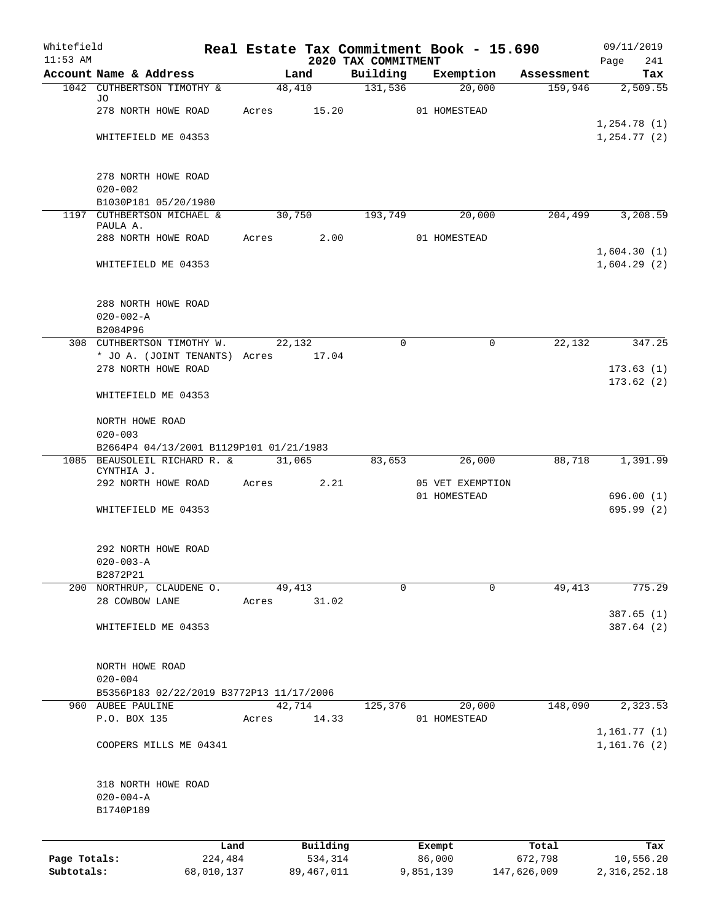| Whitefield<br>$11:53$ AM |                                                                         |        |              |                                 | Real Estate Tax Commitment Book - 15.690 |             | 09/11/2019             |
|--------------------------|-------------------------------------------------------------------------|--------|--------------|---------------------------------|------------------------------------------|-------------|------------------------|
|                          | Account Name & Address                                                  |        | Land         | 2020 TAX COMMITMENT<br>Building | Exemption                                | Assessment  | 241<br>Page<br>Tax     |
|                          | 1042 CUTHBERTSON TIMOTHY &                                              | 48,410 |              | 131,536                         | 20,000                                   | 159,946     | 2,509.55               |
|                          | JO                                                                      |        |              |                                 |                                          |             |                        |
|                          | 278 NORTH HOWE ROAD                                                     | Acres  | 15.20        |                                 | 01 HOMESTEAD                             |             | 1,254.78(1)            |
|                          | WHITEFIELD ME 04353                                                     |        |              |                                 |                                          |             | 1, 254.77(2)           |
|                          |                                                                         |        |              |                                 |                                          |             |                        |
|                          | 278 NORTH HOWE ROAD                                                     |        |              |                                 |                                          |             |                        |
|                          | $020 - 002$                                                             |        |              |                                 |                                          |             |                        |
|                          | B1030P181 05/20/1980                                                    |        |              |                                 |                                          |             |                        |
|                          | 1197 CUTHBERTSON MICHAEL &<br>PAULA A.                                  | 30,750 |              | 193,749                         | 20,000                                   | 204,499     | 3,208.59               |
|                          | 288 NORTH HOWE ROAD                                                     | Acres  | 2.00         |                                 | 01 HOMESTEAD                             |             |                        |
|                          |                                                                         |        |              |                                 |                                          |             | 1,604.30(1)            |
|                          | WHITEFIELD ME 04353                                                     |        |              |                                 |                                          |             | 1,604.29(2)            |
|                          | 288 NORTH HOWE ROAD                                                     |        |              |                                 |                                          |             |                        |
|                          | $020 - 002 - A$                                                         |        |              |                                 |                                          |             |                        |
|                          | B2084P96                                                                |        |              |                                 |                                          |             |                        |
|                          | 308 CUTHBERTSON TIMOTHY W.                                              | 22,132 |              | $\Omega$                        | $\Omega$                                 | 22,132      | 347.25                 |
|                          | * JO A. (JOINT TENANTS) Acres<br>278 NORTH HOWE ROAD                    |        | 17.04        |                                 |                                          |             | 173.63(1)              |
|                          |                                                                         |        |              |                                 |                                          |             | 173.62(2)              |
|                          | WHITEFIELD ME 04353                                                     |        |              |                                 |                                          |             |                        |
|                          | NORTH HOWE ROAD                                                         |        |              |                                 |                                          |             |                        |
|                          | $020 - 003$                                                             |        |              |                                 |                                          |             |                        |
|                          | B2664P4 04/13/2001 B1129P101 01/21/1983<br>1085 BEAUSOLEIL RICHARD R. & |        | 31,065       | 83,653                          | 26,000                                   | 88,718      | 1,391.99               |
|                          | CYNTHIA J.                                                              |        |              |                                 |                                          |             |                        |
|                          | 292 NORTH HOWE ROAD                                                     | Acres  | 2.21         |                                 | 05 VET EXEMPTION                         |             |                        |
|                          | WHITEFIELD ME 04353                                                     |        |              |                                 | 01 HOMESTEAD                             |             | 696.00(1)<br>695.99(2) |
|                          |                                                                         |        |              |                                 |                                          |             |                        |
|                          | 292 NORTH HOWE ROAD                                                     |        |              |                                 |                                          |             |                        |
|                          | $020 - 003 - A$                                                         |        |              |                                 |                                          |             |                        |
|                          | B2872P21<br>200 NORTHRUP, CLAUDENE O.                                   | 49,413 |              | 0                               | $\Omega$                                 | 49,413      | 775.29                 |
|                          | 28 COWBOW LANE                                                          | Acres  | 31.02        |                                 |                                          |             |                        |
|                          |                                                                         |        |              |                                 |                                          |             | 387.65(1)              |
|                          | WHITEFIELD ME 04353                                                     |        |              |                                 |                                          |             | 387.64 (2)             |
|                          | NORTH HOWE ROAD                                                         |        |              |                                 |                                          |             |                        |
|                          | $020 - 004$                                                             |        |              |                                 |                                          |             |                        |
|                          | B5356P183 02/22/2019 B3772P13 11/17/2006                                |        |              |                                 |                                          |             |                        |
|                          | 960 AUBEE PAULINE                                                       | 42,714 |              | 125,376                         | 20,000                                   | 148,090     | 2,323.53               |
|                          | P.O. BOX 135                                                            | Acres  | 14.33        |                                 | 01 HOMESTEAD                             |             | 1,161.77(1)            |
|                          | COOPERS MILLS ME 04341                                                  |        |              |                                 |                                          |             | 1,161.76(2)            |
|                          |                                                                         |        |              |                                 |                                          |             |                        |
|                          | 318 NORTH HOWE ROAD<br>$020 - 004 - A$                                  |        |              |                                 |                                          |             |                        |
|                          | B1740P189                                                               |        |              |                                 |                                          |             |                        |
|                          |                                                                         |        |              |                                 |                                          |             |                        |
|                          | Land                                                                    |        | Building     |                                 | Exempt                                   | Total       | Tax                    |
| Page Totals:             | 224,484                                                                 |        | 534,314      |                                 | 86,000                                   | 672,798     | 10,556.20              |
| Subtotals:               | 68,010,137                                                              |        | 89, 467, 011 |                                 | 9,851,139                                | 147,626,009 | 2, 316, 252.18         |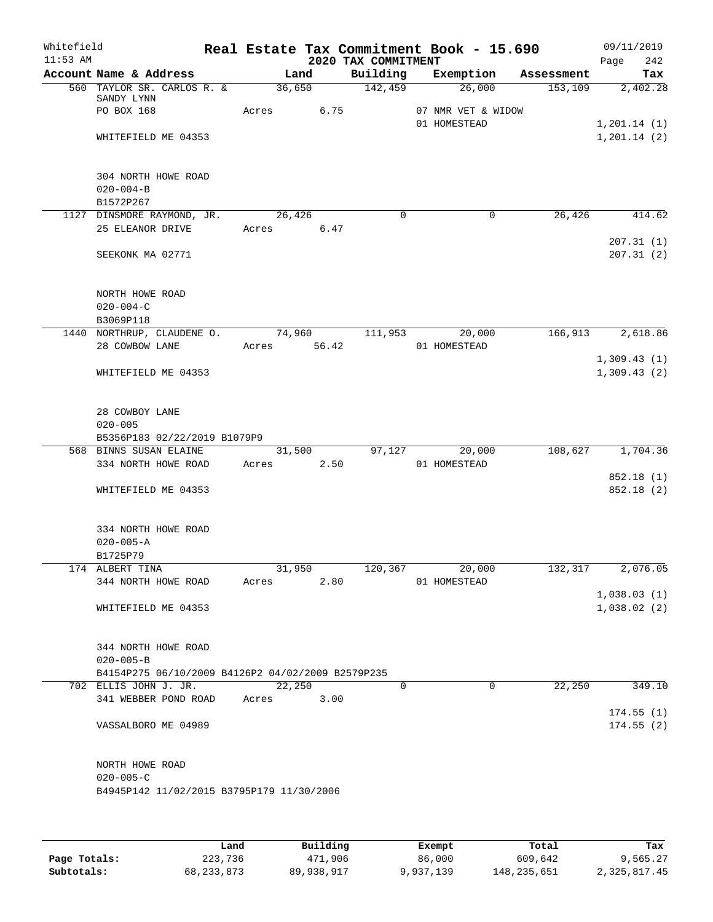| Whitefield<br>$11:53$ AM |                                                              |            |        |                       | 2020 TAX COMMITMENT | Real Estate Tax Commitment Book - 15.690 |            | 09/11/2019<br>242<br>Page  |
|--------------------------|--------------------------------------------------------------|------------|--------|-----------------------|---------------------|------------------------------------------|------------|----------------------------|
|                          | Account Name & Address                                       |            | Land   |                       | Building            | Exemption                                | Assessment | Tax                        |
|                          | 560 TAYLOR SR. CARLOS R. &<br>SANDY LYNN                     |            | 36,650 |                       | 142,459             | 26,000                                   | 153, 109   | 2,402.28                   |
|                          | PO BOX 168                                                   | Acres      |        | 6.75                  |                     | 07 NMR VET & WIDOW<br>01 HOMESTEAD       |            | 1, 201.14 (1)              |
|                          | WHITEFIELD ME 04353                                          |            |        |                       |                     |                                          |            | 1, 201.14 (2)              |
|                          | 304 NORTH HOWE ROAD<br>$020 - 004 - B$                       |            |        |                       |                     |                                          |            |                            |
|                          | B1572P267                                                    |            |        |                       |                     |                                          |            |                            |
|                          | 1127 DINSMORE RAYMOND, JR.                                   |            | 26,426 |                       | $\Omega$            | $\Omega$                                 | 26,426     | 414.62                     |
|                          | 25 ELEANOR DRIVE                                             | Acres 6.47 |        |                       |                     |                                          |            | 207.31(1)                  |
|                          | SEEKONK MA 02771                                             |            |        |                       |                     |                                          |            | 207.31(2)                  |
|                          | NORTH HOWE ROAD<br>$020 - 004 - C$                           |            |        |                       |                     |                                          |            |                            |
|                          | B3069P118                                                    |            |        |                       |                     |                                          |            |                            |
|                          | 1440 NORTHRUP, CLAUDENE O.<br>28 COWBOW LANE                 |            |        | 74,960<br>Acres 56.42 | 111,953             | 20,000<br>01 HOMESTEAD                   | 166,913    | 2,618.86                   |
|                          |                                                              |            |        |                       |                     |                                          |            | 1,309.43(1)                |
|                          | WHITEFIELD ME 04353                                          |            |        |                       |                     |                                          |            | 1,309.43(2)                |
|                          | 28 COWBOY LANE<br>$020 - 005$                                |            |        |                       |                     |                                          |            |                            |
|                          | B5356P183 02/22/2019 B1079P9                                 |            |        |                       |                     |                                          |            |                            |
|                          | 568 BINNS SUSAN ELAINE                                       |            | 31,500 |                       | 97,127              | 20,000                                   | 108,627    | 1,704.36                   |
|                          | 334 NORTH HOWE ROAD                                          | Acres      |        | 2.50                  |                     | 01 HOMESTEAD                             |            | 852.18 (1)                 |
|                          | WHITEFIELD ME 04353                                          |            |        |                       |                     |                                          |            | 852.18 (2)                 |
|                          | 334 NORTH HOWE ROAD<br>$020 - 005 - A$<br>B1725P79           |            |        |                       |                     |                                          |            |                            |
|                          | 174 ALBERT TINA                                              |            | 31,950 |                       | 120,367             | 20,000                                   | 132, 317   | 2,076.05                   |
|                          | 344 NORTH HOWE ROAD                                          | Acres      |        | 2.80                  |                     | 01 HOMESTEAD                             |            |                            |
|                          | WHITEFIELD ME 04353                                          |            |        |                       |                     |                                          |            | 1,038.03(1)<br>1,038.02(2) |
|                          | 344 NORTH HOWE ROAD<br>$020 - 005 - B$                       |            |        |                       |                     |                                          |            |                            |
|                          | B4154P275 06/10/2009 B4126P2 04/02/2009 B2579P235            |            |        |                       |                     |                                          |            |                            |
|                          | 702 ELLIS JOHN J. JR.                                        |            | 22,250 |                       | $\Omega$            | $\Omega$                                 | 22,250     | 349.10                     |
|                          | 341 WEBBER POND ROAD                                         | Acres      |        | 3.00                  |                     |                                          |            | 174.55(1)                  |
|                          | VASSALBORO ME 04989                                          |            |        |                       |                     |                                          |            | 174.55(2)                  |
|                          | NORTH HOWE ROAD                                              |            |        |                       |                     |                                          |            |                            |
|                          | $020 - 005 - C$<br>B4945P142 11/02/2015 B3795P179 11/30/2006 |            |        |                       |                     |                                          |            |                            |
|                          |                                                              |            |        |                       |                     |                                          |            |                            |
|                          |                                                              |            |        |                       |                     |                                          |            |                            |

|              | Land         | Building   | Exempt    | Total       | Tax          |
|--------------|--------------|------------|-----------|-------------|--------------|
| Page Totals: | 223,736      | 471,906    | 86,000    | 609,642     | 9,565.27     |
| Subtotals:   | 68, 233, 873 | 89,938,917 | 9,937,139 | 148,235,651 | 2,325,817.45 |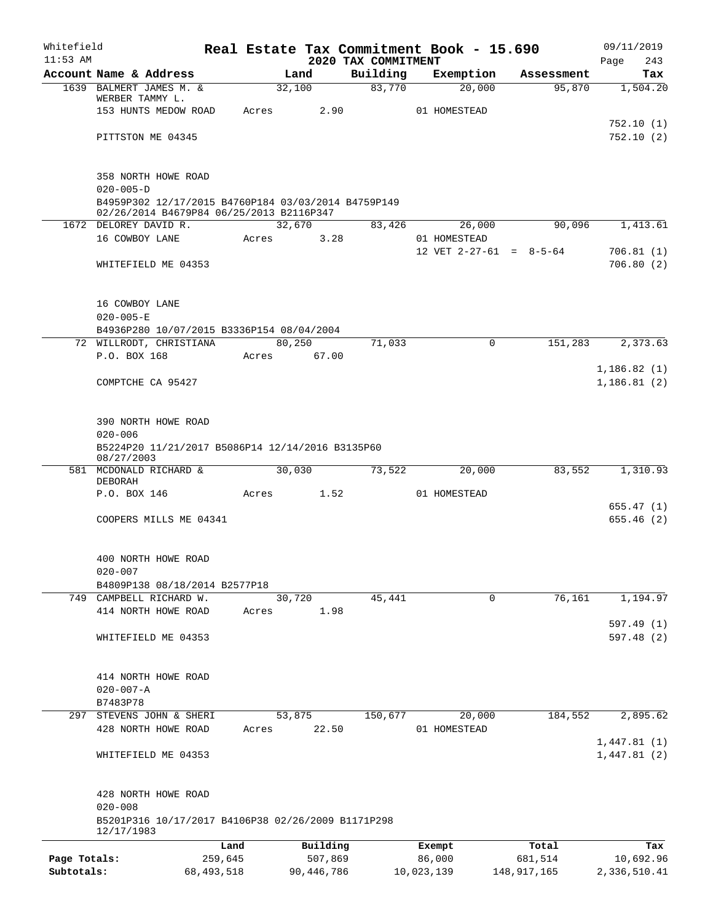| Whitefield   |                                                                   |                 |        |                     | Real Estate Tax Commitment Book - 15.690 |                  |                     |                           | 09/11/2019                 |
|--------------|-------------------------------------------------------------------|-----------------|--------|---------------------|------------------------------------------|------------------|---------------------|---------------------------|----------------------------|
| $11:53$ AM   | Account Name & Address                                            |                 |        |                     | 2020 TAX COMMITMENT<br>Building          |                  |                     |                           | 243<br>Page                |
|              | 1639 BALMERT JAMES M. &                                           |                 | 32,100 | Land                | 83,770                                   |                  | Exemption<br>20,000 | Assessment<br>95,870      | Tax<br>1,504.20            |
|              | WERBER TAMMY L.                                                   |                 |        |                     |                                          |                  |                     |                           |                            |
|              | 153 HUNTS MEDOW ROAD                                              |                 | Acres  | 2.90                |                                          | 01 HOMESTEAD     |                     |                           |                            |
|              |                                                                   |                 |        |                     |                                          |                  |                     |                           | 752.10(1)                  |
|              | PITTSTON ME 04345                                                 |                 |        |                     |                                          |                  |                     |                           | 752.10(2)                  |
|              | 358 NORTH HOWE ROAD                                               |                 |        |                     |                                          |                  |                     |                           |                            |
|              | $020 - 005 - D$                                                   |                 |        |                     |                                          |                  |                     |                           |                            |
|              | B4959P302 12/17/2015 B4760P184 03/03/2014 B4759P149               |                 |        |                     |                                          |                  |                     |                           |                            |
|              | 02/26/2014 B4679P84 06/25/2013 B2116P347<br>1672 DELOREY DAVID R. |                 | 32,670 |                     | 83,426                                   |                  | 26,000              | 90,096                    | 1,413.61                   |
|              | 16 COWBOY LANE                                                    |                 | Acres  | 3.28                |                                          | 01 HOMESTEAD     |                     |                           |                            |
|              |                                                                   |                 |        |                     |                                          |                  |                     | 12 VET $2-27-61 = 8-5-64$ | 706.81(1)                  |
|              | WHITEFIELD ME 04353                                               |                 |        |                     |                                          |                  |                     |                           | 706.80(2)                  |
|              | 16 COWBOY LANE                                                    |                 |        |                     |                                          |                  |                     |                           |                            |
|              | $020 - 005 - E$                                                   |                 |        |                     |                                          |                  |                     |                           |                            |
|              | B4936P280 10/07/2015 B3336P154 08/04/2004                         |                 |        |                     |                                          |                  |                     |                           |                            |
|              | 72 WILLRODT, CHRISTIANA                                           |                 | 80,250 |                     | 71,033                                   |                  | 0                   | 151,283                   | 2,373.63                   |
|              | P.O. BOX 168                                                      |                 | Acres  | 67.00               |                                          |                  |                     |                           |                            |
|              | COMPTCHE CA 95427                                                 |                 |        |                     |                                          |                  |                     |                           | 1,186.82(1)<br>1,186.81(2) |
|              | 390 NORTH HOWE ROAD                                               |                 |        |                     |                                          |                  |                     |                           |                            |
|              | $020 - 006$                                                       |                 |        |                     |                                          |                  |                     |                           |                            |
|              | B5224P20 11/21/2017 B5086P14 12/14/2016 B3135P60<br>08/27/2003    |                 |        |                     |                                          |                  |                     |                           |                            |
|              | 581 MCDONALD RICHARD &                                            |                 | 30,030 |                     | 73,522                                   |                  | 20,000              | 83,552                    | 1,310.93                   |
|              | DEBORAH<br>P.O. BOX 146                                           |                 | Acres  | 1.52                |                                          | 01 HOMESTEAD     |                     |                           |                            |
|              |                                                                   |                 |        |                     |                                          |                  |                     |                           | 655.47(1)                  |
|              | COOPERS MILLS ME 04341                                            |                 |        |                     |                                          |                  |                     |                           | 655.46(2)                  |
|              | 400 NORTH HOWE ROAD                                               |                 |        |                     |                                          |                  |                     |                           |                            |
|              | $020 - 007$                                                       |                 |        |                     |                                          |                  |                     |                           |                            |
|              | B4809P138 08/18/2014 B2577P18                                     |                 |        |                     |                                          |                  |                     |                           |                            |
|              | 749 CAMPBELL RICHARD W.<br>414 NORTH HOWE ROAD                    |                 | 30,720 | 1.98                | 45,441                                   |                  | $\mathbf 0$         | 76,161                    | 1,194.97                   |
|              |                                                                   |                 | Acres  |                     |                                          |                  |                     |                           | 597.49(1)                  |
|              | WHITEFIELD ME 04353                                               |                 |        |                     |                                          |                  |                     |                           | 597.48(2)                  |
|              | 414 NORTH HOWE ROAD                                               |                 |        |                     |                                          |                  |                     |                           |                            |
|              | $020 - 007 - A$                                                   |                 |        |                     |                                          |                  |                     |                           |                            |
|              | B7483P78                                                          |                 |        |                     |                                          |                  |                     |                           |                            |
| 297          | STEVENS JOHN & SHERI                                              |                 | 53,875 |                     | 150,677                                  |                  | 20,000              | 184,552                   | 2,895.62                   |
|              | 428 NORTH HOWE ROAD                                               |                 | Acres  | 22.50               |                                          | 01 HOMESTEAD     |                     |                           |                            |
|              | WHITEFIELD ME 04353                                               |                 |        |                     |                                          |                  |                     |                           | 1,447.81(1)<br>1,447.81(2) |
|              | 428 NORTH HOWE ROAD                                               |                 |        |                     |                                          |                  |                     |                           |                            |
|              | $020 - 008$<br>B5201P316 10/17/2017 B4106P38 02/26/2009 B1171P298 |                 |        |                     |                                          |                  |                     |                           |                            |
|              | 12/17/1983                                                        |                 |        |                     |                                          |                  |                     |                           |                            |
| Page Totals: |                                                                   | Land<br>259,645 |        | Building<br>507,869 |                                          | Exempt<br>86,000 |                     | Total<br>681,514          | Tax<br>10,692.96           |
| Subtotals:   |                                                                   | 68, 493, 518    |        | 90,446,786          |                                          | 10,023,139       |                     | 148,917,165               | 2,336,510.41               |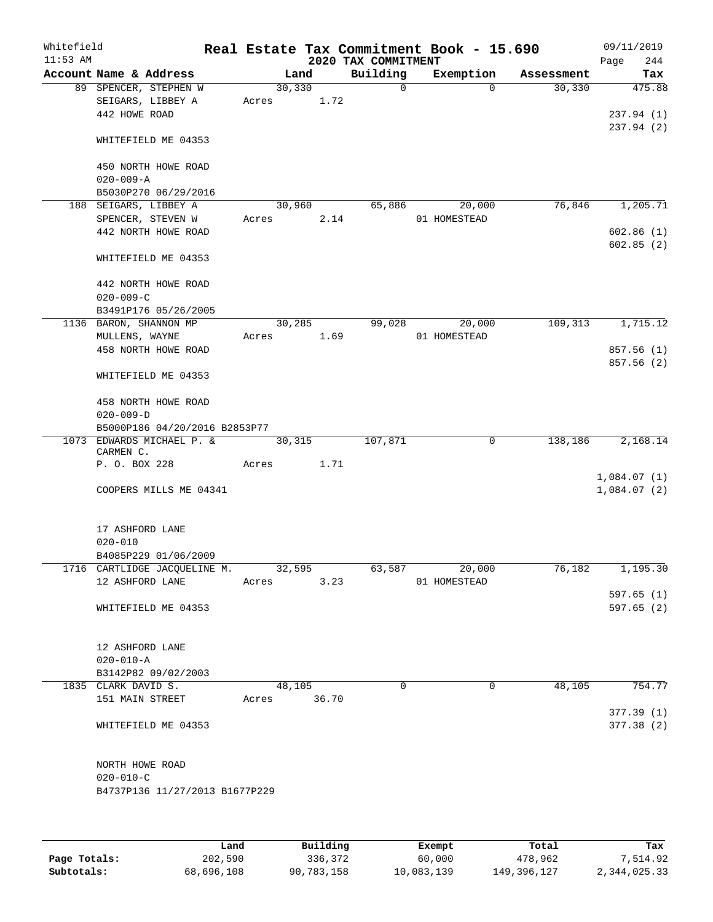| Whitefield<br>$11:53$ AM |                     |                                                 |       |             |      | 2020 TAX COMMITMENT | Real Estate Tax Commitment Book - 15.690 |                    | 09/11/2019<br>244<br>Page |
|--------------------------|---------------------|-------------------------------------------------|-------|-------------|------|---------------------|------------------------------------------|--------------------|---------------------------|
|                          |                     | Account Name & Address                          |       | Land        |      | Building            | Exemption                                | Assessment         | Tax                       |
|                          |                     | 89 SPENCER, STEPHEN W                           |       | 30,330      |      | $\Omega$            |                                          | $\Omega$<br>30,330 | 475.88                    |
|                          |                     | SEIGARS, LIBBEY A                               |       | Acres 1.72  |      |                     |                                          |                    |                           |
|                          | 442 HOWE ROAD       |                                                 |       |             |      |                     |                                          |                    | 237.94 (1)                |
|                          |                     |                                                 |       |             |      |                     |                                          |                    | 237.94 (2)                |
|                          |                     | WHITEFIELD ME 04353                             |       |             |      |                     |                                          |                    |                           |
|                          |                     | 450 NORTH HOWE ROAD                             |       |             |      |                     |                                          |                    |                           |
|                          | $020 - 009 - A$     |                                                 |       |             |      |                     |                                          |                    |                           |
|                          |                     | B5030P270 06/29/2016                            |       |             |      |                     |                                          |                    |                           |
|                          |                     | 188 SEIGARS, LIBBEY A                           |       | 30,960      |      | 65,886              | 20,000                                   | 76,846             | 1,205.71                  |
|                          |                     | SPENCER, STEVEN W                               |       | Acres       | 2.14 |                     | 01 HOMESTEAD                             |                    |                           |
|                          |                     | 442 NORTH HOWE ROAD                             |       |             |      |                     |                                          |                    | 602.86(1)                 |
|                          |                     |                                                 |       |             |      |                     |                                          |                    | 602.85(2)                 |
|                          |                     | WHITEFIELD ME 04353                             |       |             |      |                     |                                          |                    |                           |
|                          |                     | 442 NORTH HOWE ROAD                             |       |             |      |                     |                                          |                    |                           |
|                          | $020 - 009 - C$     |                                                 |       |             |      |                     |                                          |                    |                           |
|                          |                     | B3491P176 05/26/2005                            |       |             |      |                     |                                          |                    |                           |
|                          |                     | 1136 BARON, SHANNON MP                          |       | 30,285      |      | 99,028              | 20,000                                   | 109,313            | 1,715.12                  |
|                          | MULLENS, WAYNE      |                                                 |       | Acres 1.69  |      |                     | 01 HOMESTEAD                             |                    |                           |
|                          |                     | 458 NORTH HOWE ROAD                             |       |             |      |                     |                                          |                    | 857.56 (1)                |
|                          |                     |                                                 |       |             |      |                     |                                          |                    | 857.56(2)                 |
|                          |                     | WHITEFIELD ME 04353                             |       |             |      |                     |                                          |                    |                           |
|                          |                     | 458 NORTH HOWE ROAD                             |       |             |      |                     |                                          |                    |                           |
|                          | $020 - 009 - D$     |                                                 |       |             |      |                     |                                          |                    |                           |
|                          |                     | B5000P186 04/20/2016 B2853P77                   |       |             |      |                     |                                          |                    |                           |
|                          | CARMEN C.           | 1073 EDWARDS MICHAEL P. &                       |       | 30,315      |      | 107,871             |                                          | 0<br>138,186       | 2,168.14                  |
|                          | P. O. BOX 228       |                                                 | Acres |             | 1.71 |                     |                                          |                    |                           |
|                          |                     |                                                 |       |             |      |                     |                                          |                    | 1,084.07(1)               |
|                          |                     | COOPERS MILLS ME 04341                          |       |             |      |                     |                                          |                    | 1,084.07(2)               |
|                          |                     |                                                 |       |             |      |                     |                                          |                    |                           |
|                          | 17 ASHFORD LANE     |                                                 |       |             |      |                     |                                          |                    |                           |
|                          | $020 - 010$         |                                                 |       |             |      |                     |                                          |                    |                           |
|                          |                     | B4085P229 01/06/2009                            |       |             |      | 63,587              |                                          |                    |                           |
|                          |                     | 1716 CARTLIDGE JACQUELINE M.<br>12 ASHFORD LANE |       | 32,595      |      |                     | 20,000                                   | 76,182             | 1,195.30                  |
|                          |                     |                                                 |       | Acres       | 3.23 |                     | 01 HOMESTEAD                             |                    |                           |
|                          |                     |                                                 |       |             |      |                     |                                          |                    | 597.65(1)                 |
|                          |                     | WHITEFIELD ME 04353                             |       |             |      |                     |                                          |                    | 597.65(2)                 |
|                          | 12 ASHFORD LANE     |                                                 |       |             |      |                     |                                          |                    |                           |
|                          | $020 - 010 - A$     |                                                 |       |             |      |                     |                                          |                    |                           |
|                          |                     | B3142P82 09/02/2003                             |       |             |      |                     |                                          |                    |                           |
|                          | 1835 CLARK DAVID S. |                                                 |       | 48,105      |      | $\Omega$            |                                          | 48,105<br>$\Omega$ | 754.77                    |
|                          |                     | 151 MAIN STREET                                 |       | Acres 36.70 |      |                     |                                          |                    |                           |
|                          |                     |                                                 |       |             |      |                     |                                          |                    | 377.39(1)                 |
|                          |                     | WHITEFIELD ME 04353                             |       |             |      |                     |                                          |                    | 377.38(2)                 |
|                          |                     |                                                 |       |             |      |                     |                                          |                    |                           |
|                          | NORTH HOWE ROAD     |                                                 |       |             |      |                     |                                          |                    |                           |
|                          | $020 - 010 - C$     |                                                 |       |             |      |                     |                                          |                    |                           |
|                          |                     | B4737P136 11/27/2013 B1677P229                  |       |             |      |                     |                                          |                    |                           |
|                          |                     |                                                 |       |             |      |                     |                                          |                    |                           |
|                          |                     |                                                 |       |             |      |                     |                                          |                    |                           |
|                          |                     |                                                 |       |             |      |                     |                                          |                    |                           |

|              | Land       | Building   | Exempt     | Total       | Tax          |
|--------------|------------|------------|------------|-------------|--------------|
| Page Totals: | 202,590    | 336,372    | 60,000     | 478,962     | 7.514.92     |
| Subtotals:   | 68,696,108 | 90,783,158 | 10,083,139 | 149,396,127 | 2,344,025.33 |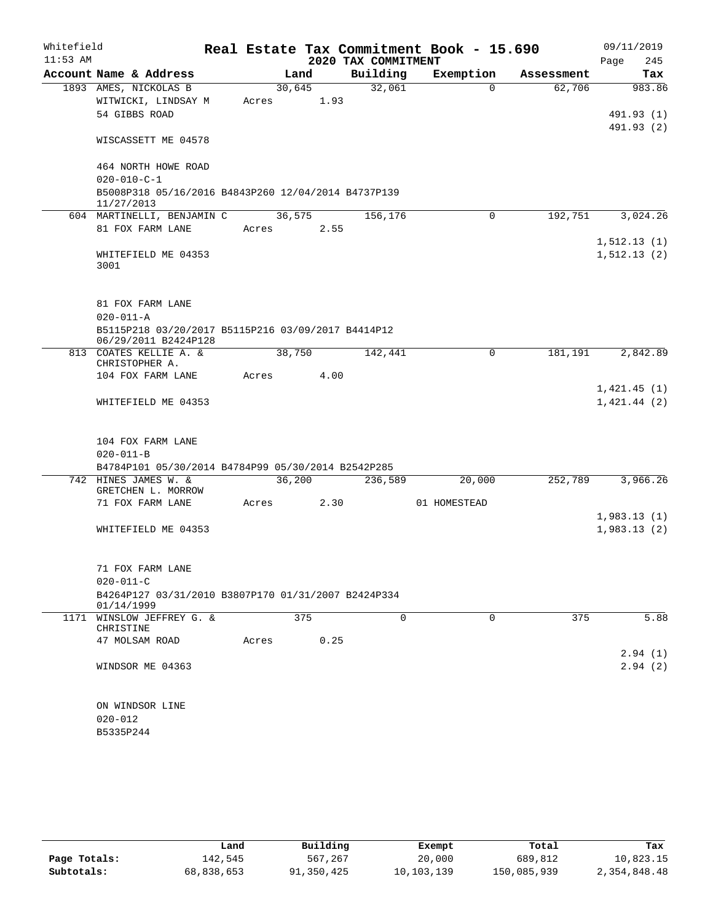| Whitefield<br>$11:53$ AM |                                                                            |       |        | 2020 TAX COMMITMENT | Real Estate Tax Commitment Book - 15.690 |            | 09/11/2019<br>245<br>Page |
|--------------------------|----------------------------------------------------------------------------|-------|--------|---------------------|------------------------------------------|------------|---------------------------|
|                          | Account Name & Address                                                     |       | Land   | Building            | Exemption                                | Assessment | Tax                       |
|                          | 1893 AMES, NICKOLAS B                                                      |       | 30,645 | 32,061              | $\Omega$                                 | 62,706     | 983.86                    |
|                          | WITWICKI, LINDSAY M                                                        | Acres | 1.93   |                     |                                          |            |                           |
|                          | 54 GIBBS ROAD                                                              |       |        |                     |                                          |            | 491.93 (1)                |
|                          |                                                                            |       |        |                     |                                          |            | 491.93 (2)                |
|                          | WISCASSETT ME 04578                                                        |       |        |                     |                                          |            |                           |
|                          | 464 NORTH HOWE ROAD<br>$020 - 010 - C - 1$                                 |       |        |                     |                                          |            |                           |
|                          | B5008P318 05/16/2016 B4843P260 12/04/2014 B4737P139                        |       |        |                     |                                          |            |                           |
|                          | 11/27/2013<br>604 MARTINELLI, BENJAMIN C                                   |       | 36,575 | 156,176             | $\Omega$                                 | 192,751    | 3,024.26                  |
|                          | 81 FOX FARM LANE                                                           | Acres | 2.55   |                     |                                          |            |                           |
|                          |                                                                            |       |        |                     |                                          |            | 1, 512.13(1)              |
|                          | WHITEFIELD ME 04353                                                        |       |        |                     |                                          |            | 1, 512.13(2)              |
|                          | 3001                                                                       |       |        |                     |                                          |            |                           |
|                          |                                                                            |       |        |                     |                                          |            |                           |
|                          | 81 FOX FARM LANE                                                           |       |        |                     |                                          |            |                           |
|                          | $020 - 011 - A$                                                            |       |        |                     |                                          |            |                           |
|                          | B5115P218 03/20/2017 B5115P216 03/09/2017 B4414P12<br>06/29/2011 B2424P128 |       |        |                     |                                          |            |                           |
|                          | 813 COATES KELLIE A. &                                                     |       | 38,750 | 142,441             | 0                                        | 181,191    | 2,842.89                  |
|                          | CHRISTOPHER A.<br>104 FOX FARM LANE                                        | Acres | 4.00   |                     |                                          |            |                           |
|                          |                                                                            |       |        |                     |                                          |            | 1,421.45(1)               |
|                          | WHITEFIELD ME 04353                                                        |       |        |                     |                                          |            | 1,421.44(2)               |
|                          |                                                                            |       |        |                     |                                          |            |                           |
|                          | 104 FOX FARM LANE                                                          |       |        |                     |                                          |            |                           |
|                          | $020 - 011 - B$                                                            |       |        |                     |                                          |            |                           |
|                          | B4784P101 05/30/2014 B4784P99 05/30/2014 B2542P285                         |       |        |                     |                                          |            |                           |
|                          | 742 HINES JAMES W. &<br>GRETCHEN L. MORROW                                 |       | 36,200 | 236,589             | 20,000                                   | 252,789    | 3,966.26                  |
|                          | 71 FOX FARM LANE                                                           | Acres | 2.30   |                     | 01 HOMESTEAD                             |            |                           |
|                          |                                                                            |       |        |                     |                                          |            | 1,983.13(1)               |
|                          | WHITEFIELD ME 04353                                                        |       |        |                     |                                          |            | 1,983.13(2)               |
|                          |                                                                            |       |        |                     |                                          |            |                           |
|                          | 71 FOX FARM LANE                                                           |       |        |                     |                                          |            |                           |
|                          | $020 - 011 - C$                                                            |       |        |                     |                                          |            |                           |
|                          | B4264P127 03/31/2010 B3807P170 01/31/2007 B2424P334                        |       |        |                     |                                          |            |                           |
|                          | 01/14/1999                                                                 |       |        |                     |                                          |            |                           |
|                          | 1171 WINSLOW JEFFREY G. &                                                  |       | 375    | $\Omega$            | $\Omega$                                 | 375        | 5.88                      |
|                          | CHRISTINE<br>47 MOLSAM ROAD                                                | Acres | 0.25   |                     |                                          |            |                           |
|                          |                                                                            |       |        |                     |                                          |            | 2.94(1)                   |
|                          | WINDSOR ME 04363                                                           |       |        |                     |                                          |            | 2.94(2)                   |
|                          |                                                                            |       |        |                     |                                          |            |                           |
|                          | ON WINDSOR LINE                                                            |       |        |                     |                                          |            |                           |
|                          | $020 - 012$                                                                |       |        |                     |                                          |            |                           |
|                          | B5335P244                                                                  |       |        |                     |                                          |            |                           |
|                          |                                                                            |       |        |                     |                                          |            |                           |

|              | Land       | Building   | Exempt     | Total       | Tax          |
|--------------|------------|------------|------------|-------------|--------------|
| Page Totals: | 142.545    | 567,267    | 20,000     | 689,812     | 10,823.15    |
| Subtotals:   | 68,838,653 | 91,350,425 | 10,103,139 | 150,085,939 | 2,354,848.48 |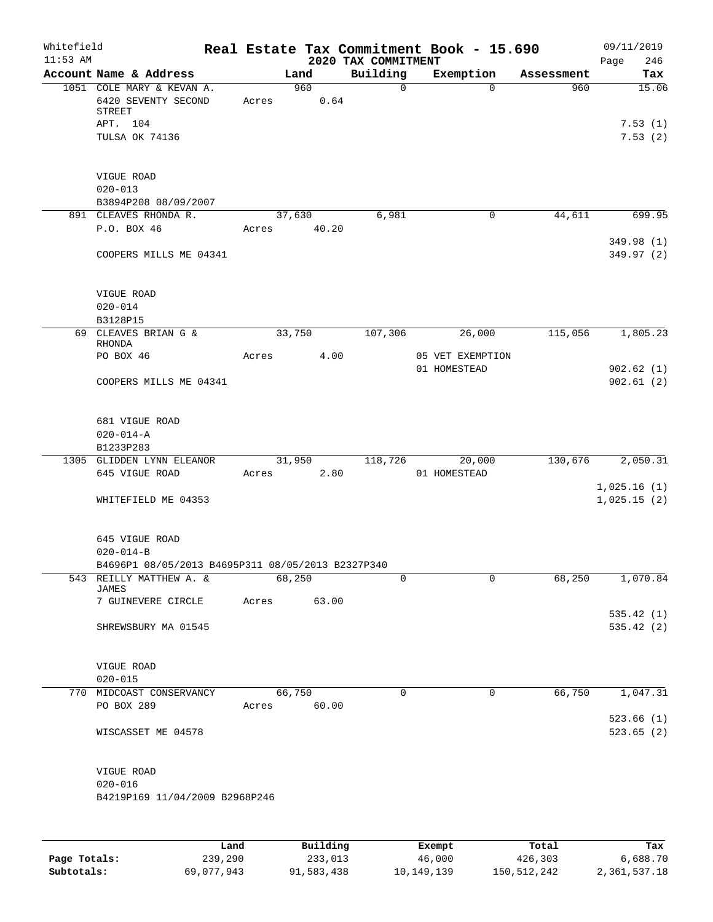| Whitefield<br>$11:53$ AM |                                                                                          |      |       |        |             | 2020 TAX COMMITMENT | Real Estate Tax Commitment Book - 15.690 |            | 09/11/2019<br>Page<br>246   |
|--------------------------|------------------------------------------------------------------------------------------|------|-------|--------|-------------|---------------------|------------------------------------------|------------|-----------------------------|
|                          | Account Name & Address                                                                   |      |       | Land   |             | Building            | Exemption                                | Assessment | Tax                         |
|                          | 1051 COLE MARY & KEVAN A.<br>6420 SEVENTY SECOND<br>STREET<br>APT. 104<br>TULSA OK 74136 |      | Acres | 960    | 0.64        | $\mathbf 0$         | $\mathbf 0$                              | 960        | 15.06<br>7.53(1)<br>7.53(2) |
|                          | VIGUE ROAD<br>$020 - 013$<br>B3894P208 08/09/2007                                        |      |       |        |             |                     |                                          |            |                             |
|                          | 891 CLEAVES RHONDA R.<br>P.O. BOX 46                                                     |      |       | 37,630 | Acres 40.20 | 6,981               | 0                                        | 44,611     | 699.95                      |
|                          | COOPERS MILLS ME 04341                                                                   |      |       |        |             |                     |                                          |            | 349.98 (1)<br>349.97 (2)    |
|                          | VIGUE ROAD<br>$020 - 014$<br>B3128P15                                                    |      |       |        |             |                     |                                          |            |                             |
|                          | 69 CLEAVES BRIAN G &                                                                     |      |       | 33,750 |             | 107,306             | 26,000                                   | 115,056    | 1,805.23                    |
|                          | RHONDA<br>PO BOX 46                                                                      |      | Acres |        | 4.00        |                     | 05 VET EXEMPTION<br>01 HOMESTEAD         |            | 902.62(1)                   |
|                          | COOPERS MILLS ME 04341                                                                   |      |       |        |             |                     |                                          |            | 902.61(2)                   |
|                          | 681 VIGUE ROAD<br>$020 - 014 - A$<br>B1233P283                                           |      |       |        |             |                     |                                          |            |                             |
|                          | 1305 GLIDDEN LYNN ELEANOR                                                                |      |       |        | 31,950      | 118,726             | 20,000                                   | 130,676    | 2,050.31                    |
|                          | 645 VIGUE ROAD                                                                           |      | Acres |        | 2.80        |                     | 01 HOMESTEAD                             |            | 1,025.16(1)                 |
|                          | WHITEFIELD ME 04353                                                                      |      |       |        |             |                     |                                          |            | 1,025.15(2)                 |
|                          | 645 VIGUE ROAD<br>$020 - 014 - B$                                                        |      |       |        |             |                     |                                          |            |                             |
|                          | B4696P1 08/05/2013 B4695P311 08/05/2013 B2327P340<br>543 REILLY MATTHEW A. &             |      |       | 68,250 |             | 0                   | 0                                        | 68,250     | 1,070.84                    |
|                          | JAMES<br>7 GUINEVERE CIRCLE                                                              |      | Acres |        | 63.00       |                     |                                          |            |                             |
|                          | SHREWSBURY MA 01545                                                                      |      |       |        |             |                     |                                          |            | 535.42(1)<br>535.42(2)      |
|                          | VIGUE ROAD<br>$020 - 015$                                                                |      |       |        |             |                     |                                          |            |                             |
|                          | 770 MIDCOAST CONSERVANCY<br>PO BOX 289                                                   |      | Acres | 66,750 | 60.00       | $\mathbf 0$         | $\mathbf 0$                              | 66,750     | 1,047.31                    |
|                          | WISCASSET ME 04578                                                                       |      |       |        |             |                     |                                          |            | 523.66(1)<br>523.65(2)      |
|                          | VIGUE ROAD<br>$020 - 016$<br>B4219P169 11/04/2009 B2968P246                              |      |       |        |             |                     |                                          |            |                             |
|                          |                                                                                          | Land |       |        | Building    |                     | Exempt                                   | Total      | Tax                         |

**Page Totals:** 239,290 233,013 46,000 426,303 6,688.70 **Subtotals:** 69,077,943 91,583,438 10,149,139 150,512,242 2,361,537.18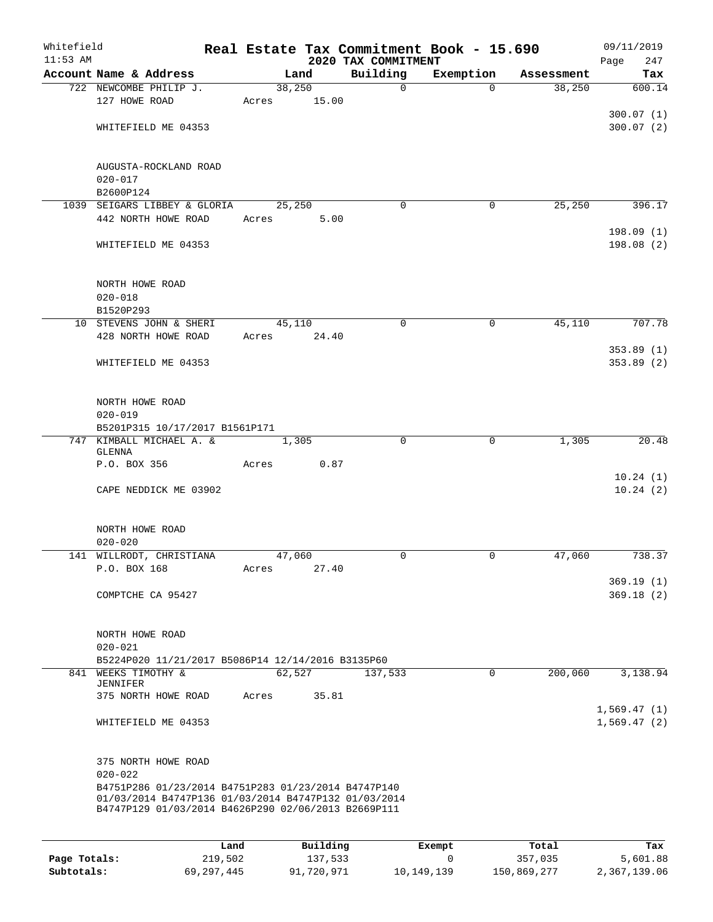| Whitefield   |                                                                                                             |         |                |          | Real Estate Tax Commitment Book - 15.690 |             |                       |                      | 09/11/2019                 |
|--------------|-------------------------------------------------------------------------------------------------------------|---------|----------------|----------|------------------------------------------|-------------|-----------------------|----------------------|----------------------------|
| $11:53$ AM   | Account Name & Address                                                                                      |         |                |          | 2020 TAX COMMITMENT<br>Building          |             |                       |                      | Page<br>247                |
|              | 722 NEWCOMBE PHILIP J.                                                                                      |         | Land<br>38,250 |          |                                          | $\mathbf 0$ | Exemption<br>$\Omega$ | Assessment<br>38,250 | Tax<br>600.14              |
|              | 127 HOWE ROAD                                                                                               | Acres   |                | 15.00    |                                          |             |                       |                      |                            |
|              |                                                                                                             |         |                |          |                                          |             |                       |                      | 300.07(1)                  |
|              | WHITEFIELD ME 04353                                                                                         |         |                |          |                                          |             |                       |                      | 300.07(2)                  |
|              |                                                                                                             |         |                |          |                                          |             |                       |                      |                            |
|              | AUGUSTA-ROCKLAND ROAD                                                                                       |         |                |          |                                          |             |                       |                      |                            |
|              | $020 - 017$                                                                                                 |         |                |          |                                          |             |                       |                      |                            |
|              | B2600P124                                                                                                   |         |                |          |                                          |             |                       |                      |                            |
|              | 1039 SEIGARS LIBBEY & GLORIA                                                                                |         | 25,250         |          |                                          | $\Omega$    | 0                     | 25,250               | 396.17                     |
|              | 442 NORTH HOWE ROAD                                                                                         | Acres   |                | 5.00     |                                          |             |                       |                      |                            |
|              |                                                                                                             |         |                |          |                                          |             |                       |                      | 198.09(1)                  |
|              | WHITEFIELD ME 04353                                                                                         |         |                |          |                                          |             |                       |                      | 198.08(2)                  |
|              |                                                                                                             |         |                |          |                                          |             |                       |                      |                            |
|              | NORTH HOWE ROAD                                                                                             |         |                |          |                                          |             |                       |                      |                            |
|              | $020 - 018$<br>B1520P293                                                                                    |         |                |          |                                          |             |                       |                      |                            |
|              | 10 STEVENS JOHN & SHERI                                                                                     |         | 45,110         |          |                                          | $\mathbf 0$ | 0                     | 45,110               | 707.78                     |
|              | 428 NORTH HOWE ROAD                                                                                         | Acres   |                | 24.40    |                                          |             |                       |                      |                            |
|              |                                                                                                             |         |                |          |                                          |             |                       |                      | 353.89(1)                  |
|              | WHITEFIELD ME 04353                                                                                         |         |                |          |                                          |             |                       |                      | 353.89(2)                  |
|              |                                                                                                             |         |                |          |                                          |             |                       |                      |                            |
|              | NORTH HOWE ROAD                                                                                             |         |                |          |                                          |             |                       |                      |                            |
|              | $020 - 019$                                                                                                 |         |                |          |                                          |             |                       |                      |                            |
|              | B5201P315 10/17/2017 B1561P171                                                                              |         |                |          |                                          |             |                       |                      |                            |
|              | 747 KIMBALL MICHAEL A. &<br>GLENNA                                                                          |         | 1,305          |          |                                          | $\Omega$    | $\mathbf 0$           | 1,305                | 20.48                      |
|              | P.O. BOX 356                                                                                                | Acres   |                | 0.87     |                                          |             |                       |                      |                            |
|              |                                                                                                             |         |                |          |                                          |             |                       |                      | 10.24(1)                   |
|              | CAPE NEDDICK ME 03902                                                                                       |         |                |          |                                          |             |                       |                      | 10.24(2)                   |
|              |                                                                                                             |         |                |          |                                          |             |                       |                      |                            |
|              | NORTH HOWE ROAD                                                                                             |         |                |          |                                          |             |                       |                      |                            |
|              | $020 - 020$                                                                                                 |         |                |          |                                          |             |                       |                      |                            |
|              | 141 WILLRODT, CHRISTIANA<br>P.O. BOX 168                                                                    | Acres   | 47,060         | 27.40    |                                          | 0           | 0                     | 47,060               | 738.37                     |
|              |                                                                                                             |         |                |          |                                          |             |                       |                      | 369.19(1)                  |
|              | COMPTCHE CA 95427                                                                                           |         |                |          |                                          |             |                       |                      | 369.18(2)                  |
|              |                                                                                                             |         |                |          |                                          |             |                       |                      |                            |
|              | NORTH HOWE ROAD                                                                                             |         |                |          |                                          |             |                       |                      |                            |
|              | $020 - 021$                                                                                                 |         |                |          |                                          |             |                       |                      |                            |
|              | B5224P020 11/21/2017 B5086P14 12/14/2016 B3135P60<br>841 WEEKS TIMOTHY &                                    |         | 62,527         |          | 137,533                                  |             | $\mathbf{0}$          | 200,060              | 3,138.94                   |
|              | JENNIFER                                                                                                    |         |                |          |                                          |             |                       |                      |                            |
|              | 375 NORTH HOWE ROAD                                                                                         |         | Acres          | 35.81    |                                          |             |                       |                      |                            |
|              | WHITEFIELD ME 04353                                                                                         |         |                |          |                                          |             |                       |                      | 1,569.47(1)<br>1,569.47(2) |
|              |                                                                                                             |         |                |          |                                          |             |                       |                      |                            |
|              | 375 NORTH HOWE ROAD                                                                                         |         |                |          |                                          |             |                       |                      |                            |
|              | $020 - 022$<br>B4751P286 01/23/2014 B4751P283 01/23/2014 B4747P140                                          |         |                |          |                                          |             |                       |                      |                            |
|              | 01/03/2014 B4747P136 01/03/2014 B4747P132 01/03/2014<br>B4747P129 01/03/2014 B4626P290 02/06/2013 B2669P111 |         |                |          |                                          |             |                       |                      |                            |
|              |                                                                                                             |         |                |          |                                          |             |                       |                      |                            |
|              |                                                                                                             | Land    |                | Building |                                          | Exempt      |                       | Total                | Tax                        |
| Page Totals: |                                                                                                             | 219,502 |                | 137,533  |                                          |             | 0                     | 357,035              | 5,601.88                   |

**Subtotals:** 69,297,445 91,720,971 10,149,139 150,869,277 2,367,139.06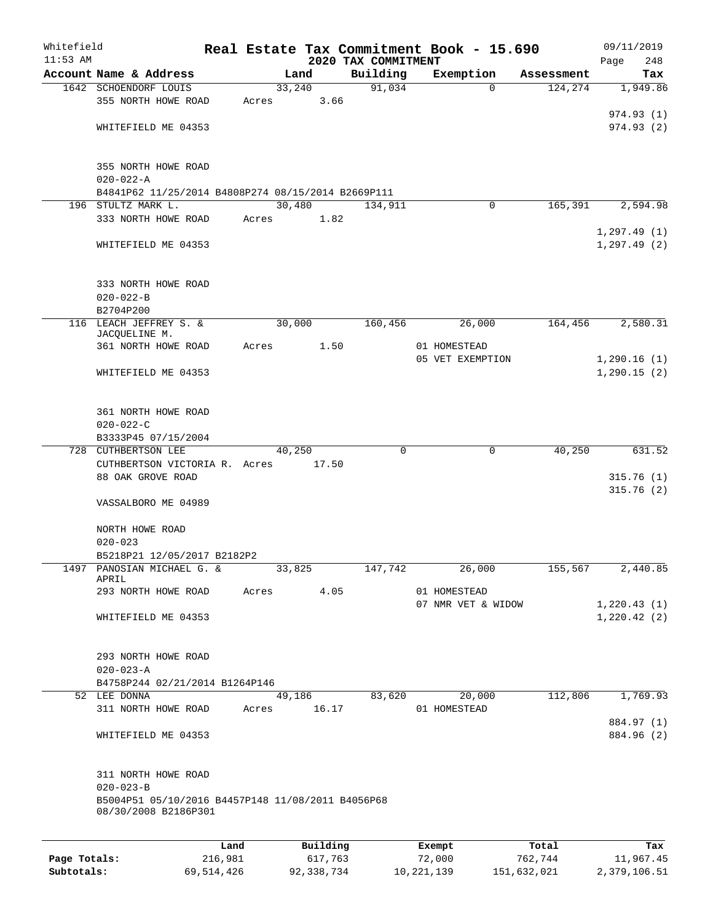| Whitefield<br>$11:53$ AM |                                                                          |       |                 | 2020 TAX COMMITMENT | Real Estate Tax Commitment Book - 15.690 |            | 09/11/2019<br>248 |
|--------------------------|--------------------------------------------------------------------------|-------|-----------------|---------------------|------------------------------------------|------------|-------------------|
|                          | Account Name & Address                                                   |       | Land            | Building            | Exemption                                | Assessment | Page<br>Tax       |
|                          | 1642 SCHOENDORF LOUIS                                                    |       | 33,240          | 91,034              | $\Omega$                                 | 124,274    | 1,949.86          |
|                          | 355 NORTH HOWE ROAD                                                      | Acres | 3.66            |                     |                                          |            |                   |
|                          |                                                                          |       |                 |                     |                                          |            | 974.93(1)         |
|                          | WHITEFIELD ME 04353                                                      |       |                 |                     |                                          |            | 974.93(2)         |
|                          |                                                                          |       |                 |                     |                                          |            |                   |
|                          |                                                                          |       |                 |                     |                                          |            |                   |
|                          | 355 NORTH HOWE ROAD                                                      |       |                 |                     |                                          |            |                   |
|                          | $020 - 022 - A$                                                          |       |                 |                     |                                          |            |                   |
|                          | B4841P62 11/25/2014 B4808P274 08/15/2014 B2669P111<br>196 STULTZ MARK L. |       | 30,480          | 134,911             | 0                                        | 165,391    | 2,594.98          |
|                          | 333 NORTH HOWE ROAD                                                      | Acres | 1.82            |                     |                                          |            |                   |
|                          |                                                                          |       |                 |                     |                                          |            | 1, 297.49(1)      |
|                          | WHITEFIELD ME 04353                                                      |       |                 |                     |                                          |            | 1, 297.49(2)      |
|                          |                                                                          |       |                 |                     |                                          |            |                   |
|                          |                                                                          |       |                 |                     |                                          |            |                   |
|                          | 333 NORTH HOWE ROAD                                                      |       |                 |                     |                                          |            |                   |
|                          | $020 - 022 - B$                                                          |       |                 |                     |                                          |            |                   |
|                          | B2704P200                                                                |       |                 |                     |                                          |            |                   |
|                          | 116 LEACH JEFFREY S. &<br>JACQUELINE M.                                  |       | 30,000          | 160,456             | 26,000                                   | 164,456    | 2,580.31          |
|                          | 361 NORTH HOWE ROAD                                                      | Acres | 1.50            |                     | 01 HOMESTEAD                             |            |                   |
|                          |                                                                          |       |                 |                     | 05 VET EXEMPTION                         |            | 1,290.16(1)       |
|                          | WHITEFIELD ME 04353                                                      |       |                 |                     |                                          |            | 1, 290.15(2)      |
|                          |                                                                          |       |                 |                     |                                          |            |                   |
|                          |                                                                          |       |                 |                     |                                          |            |                   |
|                          | 361 NORTH HOWE ROAD                                                      |       |                 |                     |                                          |            |                   |
|                          | $020 - 022 - C$                                                          |       |                 |                     |                                          |            |                   |
|                          | B3333P45 07/15/2004                                                      |       |                 |                     |                                          |            |                   |
| 728                      | <b>CUTHBERTSON LEE</b><br>CUTHBERTSON VICTORIA R. Acres                  |       | 40,250<br>17.50 | 0                   | 0                                        | 40,250     | 631.52            |
|                          | 88 OAK GROVE ROAD                                                        |       |                 |                     |                                          |            | 315.76(1)         |
|                          |                                                                          |       |                 |                     |                                          |            | 315.76(2)         |
|                          | VASSALBORO ME 04989                                                      |       |                 |                     |                                          |            |                   |
|                          |                                                                          |       |                 |                     |                                          |            |                   |
|                          | NORTH HOWE ROAD                                                          |       |                 |                     |                                          |            |                   |
|                          | $020 - 023$                                                              |       |                 |                     |                                          |            |                   |
|                          | B5218P21 12/05/2017 B2182P2                                              |       |                 |                     |                                          |            |                   |
|                          | 1497 PANOSIAN MICHAEL G. &<br>APRIL                                      |       | 33,825          | 147,742             | 26,000                                   | 155,567    | 2,440.85          |
|                          | 293 NORTH HOWE ROAD                                                      | Acres | 4.05            |                     | 01 HOMESTEAD                             |            |                   |
|                          |                                                                          |       |                 |                     | 07 NMR VET & WIDOW                       |            | 1,220.43(1)       |
|                          | WHITEFIELD ME 04353                                                      |       |                 |                     |                                          |            | 1,220.42(2)       |
|                          |                                                                          |       |                 |                     |                                          |            |                   |
|                          |                                                                          |       |                 |                     |                                          |            |                   |
|                          | 293 NORTH HOWE ROAD                                                      |       |                 |                     |                                          |            |                   |
|                          | $020 - 023 - A$                                                          |       |                 |                     |                                          |            |                   |
|                          | B4758P244 02/21/2014 B1264P146                                           |       |                 |                     |                                          |            |                   |
|                          | 52 LEE DONNA<br>311 NORTH HOWE ROAD                                      | Acres | 49,186<br>16.17 | 83,620              | 20,000<br>01 HOMESTEAD                   | 112,806    | 1,769.93          |
|                          |                                                                          |       |                 |                     |                                          |            | 884.97 (1)        |
|                          | WHITEFIELD ME 04353                                                      |       |                 |                     |                                          |            | 884.96 (2)        |
|                          |                                                                          |       |                 |                     |                                          |            |                   |
|                          |                                                                          |       |                 |                     |                                          |            |                   |
|                          | 311 NORTH HOWE ROAD                                                      |       |                 |                     |                                          |            |                   |
|                          | $020 - 023 - B$                                                          |       |                 |                     |                                          |            |                   |
|                          | B5004P51 05/10/2016 B4457P148 11/08/2011 B4056P68                        |       |                 |                     |                                          |            |                   |
|                          | 08/30/2008 B2186P301                                                     |       |                 |                     |                                          |            |                   |
|                          |                                                                          |       |                 |                     |                                          |            |                   |
|                          | Land                                                                     |       | Building        |                     | Exempt                                   | Total      | Tax               |
| Page Totals:             | 216,981                                                                  |       | 617,763         |                     | 72,000                                   | 762,744    | 11,967.45         |

**Subtotals:** 69,514,426 92,338,734 10,221,139 151,632,021 2,379,106.51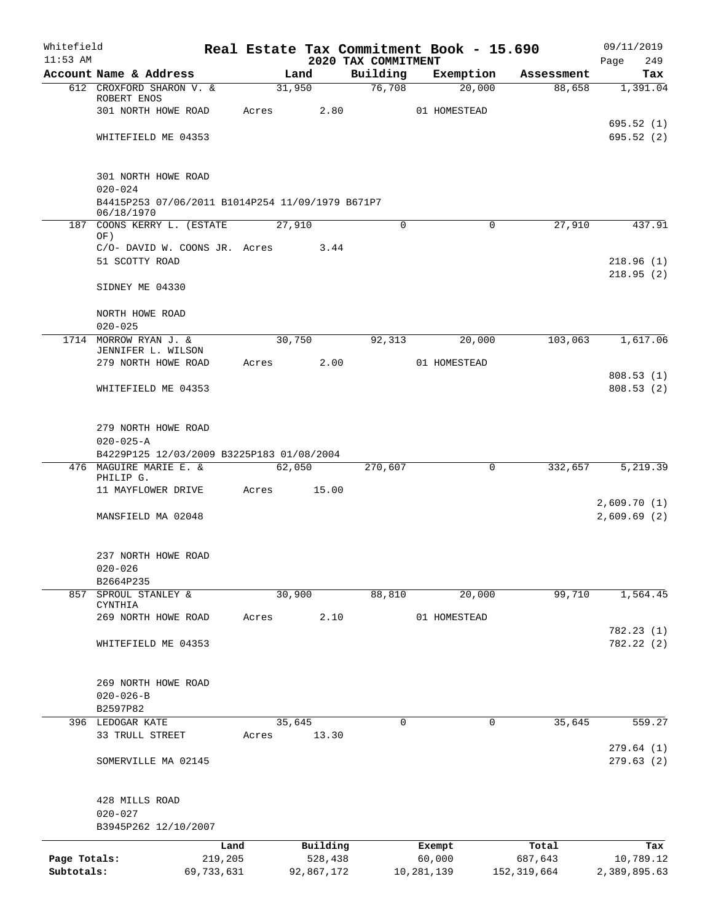| Whitefield   |                                                                 |       |        |            |                                 | Real Estate Tax Commitment Book - 15.690 |                       | 09/11/2019             |
|--------------|-----------------------------------------------------------------|-------|--------|------------|---------------------------------|------------------------------------------|-----------------------|------------------------|
| $11:53$ AM   | Account Name & Address                                          |       | Land   |            | 2020 TAX COMMITMENT<br>Building | Exemption                                | Assessment            | 249<br>Page<br>Tax     |
|              | 612 CROXFORD SHARON V. &                                        |       | 31,950 |            | 76,708                          | 20,000                                   | 88,658                | 1,391.04               |
|              | ROBERT ENOS                                                     |       |        |            |                                 |                                          |                       |                        |
|              | 301 NORTH HOWE ROAD                                             | Acres |        | 2.80       |                                 | 01 HOMESTEAD                             |                       |                        |
|              | WHITEFIELD ME 04353                                             |       |        |            |                                 |                                          |                       | 695.52(1)<br>695.52(2) |
|              |                                                                 |       |        |            |                                 |                                          |                       |                        |
|              | 301 NORTH HOWE ROAD                                             |       |        |            |                                 |                                          |                       |                        |
|              | $020 - 024$<br>B4415P253 07/06/2011 B1014P254 11/09/1979 B671P7 |       |        |            |                                 |                                          |                       |                        |
|              | 06/18/1970                                                      |       |        |            |                                 |                                          |                       |                        |
|              | 187 COONS KERRY L. (ESTATE<br>OF)                               |       | 27,910 |            | 0                               |                                          | $\mathbf 0$<br>27,910 | 437.91                 |
|              | C/O- DAVID W. COONS JR. Acres                                   |       |        | 3.44       |                                 |                                          |                       |                        |
|              | 51 SCOTTY ROAD                                                  |       |        |            |                                 |                                          |                       | 218.96(1)              |
|              |                                                                 |       |        |            |                                 |                                          |                       | 218.95(2)              |
|              | SIDNEY ME 04330                                                 |       |        |            |                                 |                                          |                       |                        |
|              | NORTH HOWE ROAD                                                 |       |        |            |                                 |                                          |                       |                        |
|              | $020 - 025$<br>1714 MORROW RYAN J. &                            |       |        |            |                                 |                                          |                       |                        |
|              | JENNIFER L. WILSON                                              |       | 30,750 |            | 92,313                          | 20,000                                   | 103,063               | 1,617.06               |
|              | 279 NORTH HOWE ROAD                                             | Acres |        | 2.00       |                                 | 01 HOMESTEAD                             |                       |                        |
|              |                                                                 |       |        |            |                                 |                                          |                       | 808.53(1)              |
|              | WHITEFIELD ME 04353                                             |       |        |            |                                 |                                          |                       | 808.53(2)              |
|              | 279 NORTH HOWE ROAD                                             |       |        |            |                                 |                                          |                       |                        |
|              | $020 - 025 - A$                                                 |       |        |            |                                 |                                          |                       |                        |
|              | B4229P125 12/03/2009 B3225P183 01/08/2004                       |       |        |            |                                 |                                          |                       |                        |
|              | 476 MAGUIRE MARIE E. &                                          |       | 62,050 |            | 270,607                         |                                          | 332,657<br>0          | 5,219.39               |
|              | PHILIP G.<br>11 MAYFLOWER DRIVE                                 | Acres |        | 15.00      |                                 |                                          |                       |                        |
|              |                                                                 |       |        |            |                                 |                                          |                       | 2,609.70(1)            |
|              | MANSFIELD MA 02048                                              |       |        |            |                                 |                                          |                       | 2,609.69(2)            |
|              | 237 NORTH HOWE ROAD                                             |       |        |            |                                 |                                          |                       |                        |
|              | $020 - 026$                                                     |       |        |            |                                 |                                          |                       |                        |
|              | B2664P235                                                       |       |        |            |                                 |                                          |                       |                        |
| 857          | SPROUL STANLEY &<br>CYNTHIA                                     |       | 30,900 |            | 88,810                          | 20,000                                   | 99,710                | 1,564.45               |
|              | 269 NORTH HOWE ROAD                                             | Acres |        | 2.10       |                                 | 01 HOMESTEAD                             |                       |                        |
|              |                                                                 |       |        |            |                                 |                                          |                       | 782.23(1)              |
|              | WHITEFIELD ME 04353                                             |       |        |            |                                 |                                          |                       | 782.22(2)              |
|              |                                                                 |       |        |            |                                 |                                          |                       |                        |
|              | 269 NORTH HOWE ROAD<br>$020 - 026 - B$                          |       |        |            |                                 |                                          |                       |                        |
|              | B2597P82                                                        |       |        |            |                                 |                                          |                       |                        |
|              | 396 LEDOGAR KATE                                                |       | 35,645 |            | 0                               |                                          | 35,645<br>0           | 559.27                 |
|              | 33 TRULL STREET                                                 | Acres |        | 13.30      |                                 |                                          |                       |                        |
|              |                                                                 |       |        |            |                                 |                                          |                       | 279.64(1)              |
|              | SOMERVILLE MA 02145                                             |       |        |            |                                 |                                          |                       | 279.63(2)              |
|              | 428 MILLS ROAD                                                  |       |        |            |                                 |                                          |                       |                        |
|              | $020 - 027$                                                     |       |        |            |                                 |                                          |                       |                        |
|              | B3945P262 12/10/2007                                            |       |        |            |                                 |                                          |                       |                        |
|              |                                                                 | Land  |        | Building   |                                 | Exempt                                   | Total                 | Tax                    |
| Page Totals: | 219,205                                                         |       |        | 528,438    |                                 | 60,000                                   | 687,643               | 10,789.12              |
| Subtotals:   | 69,733,631                                                      |       |        | 92,867,172 |                                 | 10,281,139                               | 152,319,664           | 2,389,895.63           |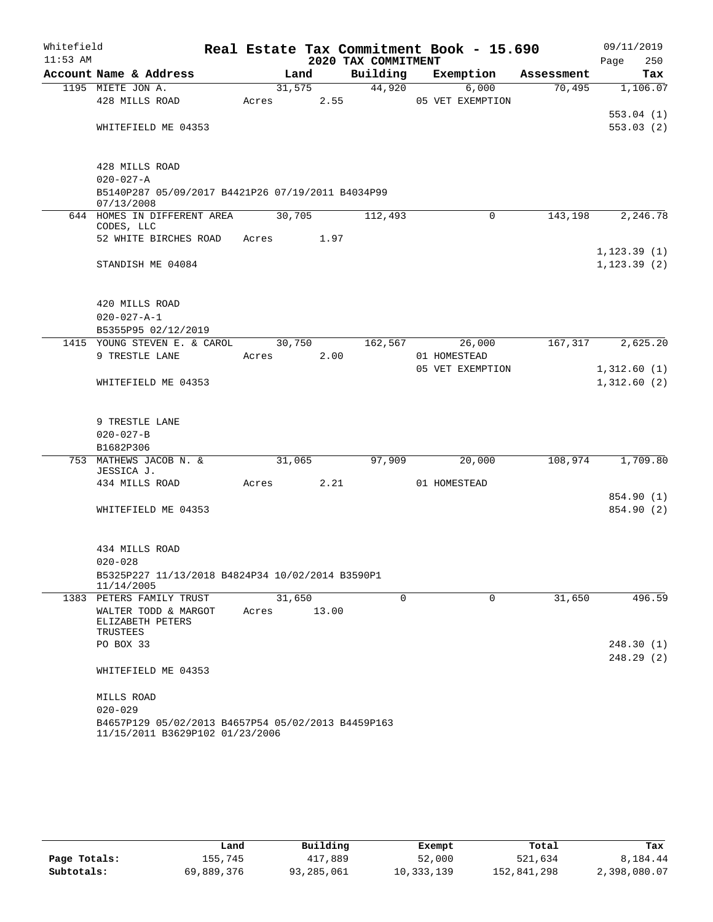| Whitefield |                                                                 |       |        |       |                     | Real Estate Tax Commitment Book - 15.690 |            | 09/11/2019   |            |
|------------|-----------------------------------------------------------------|-------|--------|-------|---------------------|------------------------------------------|------------|--------------|------------|
| $11:53$ AM |                                                                 |       |        |       | 2020 TAX COMMITMENT |                                          |            | Page         | 250        |
|            | Account Name & Address                                          |       | Land   |       | Building            | Exemption                                | Assessment |              | Tax        |
|            | 1195 MIETE JON A.                                               |       | 31,575 |       | 44,920              | 6,000                                    | 70,495     |              | 1,106.07   |
|            | 428 MILLS ROAD                                                  | Acres |        | 2.55  |                     | 05 VET EXEMPTION                         |            |              |            |
|            |                                                                 |       |        |       |                     |                                          |            |              | 553.04(1)  |
|            | WHITEFIELD ME 04353                                             |       |        |       |                     |                                          |            |              | 553.03(2)  |
|            |                                                                 |       |        |       |                     |                                          |            |              |            |
|            | 428 MILLS ROAD<br>$020 - 027 - A$                               |       |        |       |                     |                                          |            |              |            |
|            | B5140P287 05/09/2017 B4421P26 07/19/2011 B4034P99<br>07/13/2008 |       |        |       |                     |                                          |            |              |            |
|            | 644 HOMES IN DIFFERENT AREA                                     |       | 30,705 |       | 112,493             | $\Omega$                                 | 143,198    |              | 2,246.78   |
|            | CODES, LLC                                                      |       |        |       |                     |                                          |            |              |            |
|            | 52 WHITE BIRCHES ROAD                                           | Acres |        | 1.97  |                     |                                          |            |              |            |
|            |                                                                 |       |        |       |                     |                                          |            | 1, 123.39(1) |            |
|            | STANDISH ME 04084                                               |       |        |       |                     |                                          |            | 1, 123.39(2) |            |
|            |                                                                 |       |        |       |                     |                                          |            |              |            |
|            | 420 MILLS ROAD                                                  |       |        |       |                     |                                          |            |              |            |
|            | $020 - 027 - A - 1$                                             |       |        |       |                     |                                          |            |              |            |
|            | B5355P95 02/12/2019                                             |       |        |       |                     |                                          |            |              |            |
|            | 1415 YOUNG STEVEN E. & CAROL                                    |       | 30,750 |       | 162,567             | 26,000                                   | 167,317    |              | 2,625.20   |
|            | 9 TRESTLE LANE                                                  | Acres |        | 2.00  |                     | 01 HOMESTEAD                             |            |              |            |
|            |                                                                 |       |        |       |                     | 05 VET EXEMPTION                         |            | 1,312.60(1)  |            |
|            | WHITEFIELD ME 04353                                             |       |        |       |                     |                                          |            | 1,312.60(2)  |            |
|            |                                                                 |       |        |       |                     |                                          |            |              |            |
|            |                                                                 |       |        |       |                     |                                          |            |              |            |
|            | 9 TRESTLE LANE                                                  |       |        |       |                     |                                          |            |              |            |
|            | $020 - 027 - B$                                                 |       |        |       |                     |                                          |            |              |            |
|            | B1682P306                                                       |       |        |       |                     |                                          |            |              |            |
|            | 753 MATHEWS JACOB N. &                                          |       | 31,065 |       | 97,909              | 20,000                                   | 108,974    |              | 1,709.80   |
|            | JESSICA J.                                                      |       |        |       |                     |                                          |            |              |            |
|            | 434 MILLS ROAD                                                  | Acres |        | 2.21  |                     | 01 HOMESTEAD                             |            |              |            |
|            |                                                                 |       |        |       |                     |                                          |            |              | 854.90 (1) |
|            | WHITEFIELD ME 04353                                             |       |        |       |                     |                                          |            |              | 854.90 (2) |
|            |                                                                 |       |        |       |                     |                                          |            |              |            |
|            |                                                                 |       |        |       |                     |                                          |            |              |            |
|            | 434 MILLS ROAD                                                  |       |        |       |                     |                                          |            |              |            |
|            | $020 - 028$                                                     |       |        |       |                     |                                          |            |              |            |
|            | B5325P227 11/13/2018 B4824P34 10/02/2014 B3590P1                |       |        |       |                     |                                          |            |              |            |
|            | 11/14/2005<br>1383 PETERS FAMILY TRUST                          |       | 31,650 |       | $\mathbf 0$         | $\mathbf 0$                              | 31,650     |              | 496.59     |
|            | WALTER TODD & MARGOT                                            | Acres |        | 13.00 |                     |                                          |            |              |            |
|            | ELIZABETH PETERS                                                |       |        |       |                     |                                          |            |              |            |
|            | TRUSTEES                                                        |       |        |       |                     |                                          |            |              |            |
|            | PO BOX 33                                                       |       |        |       |                     |                                          |            |              | 248.30(1)  |
|            |                                                                 |       |        |       |                     |                                          |            |              | 248.29(2)  |
|            | WHITEFIELD ME 04353                                             |       |        |       |                     |                                          |            |              |            |
|            | MILLS ROAD                                                      |       |        |       |                     |                                          |            |              |            |
|            | $020 - 029$                                                     |       |        |       |                     |                                          |            |              |            |
|            | B4657P129 05/02/2013 B4657P54 05/02/2013 B4459P163              |       |        |       |                     |                                          |            |              |            |
|            | 11/15/2011 B3629P102 01/23/2006                                 |       |        |       |                     |                                          |            |              |            |
|            |                                                                 |       |        |       |                     |                                          |            |              |            |

|              | Land       | Building   | Exempt     | Total       | Tax          |
|--------------|------------|------------|------------|-------------|--------------|
| Page Totals: | 155,745    | 417,889    | 52,000     | 521,634     | 8,184.44     |
| Subtotals:   | 69,889,376 | 93,285,061 | 10,333,139 | 152,841,298 | 2,398,080.07 |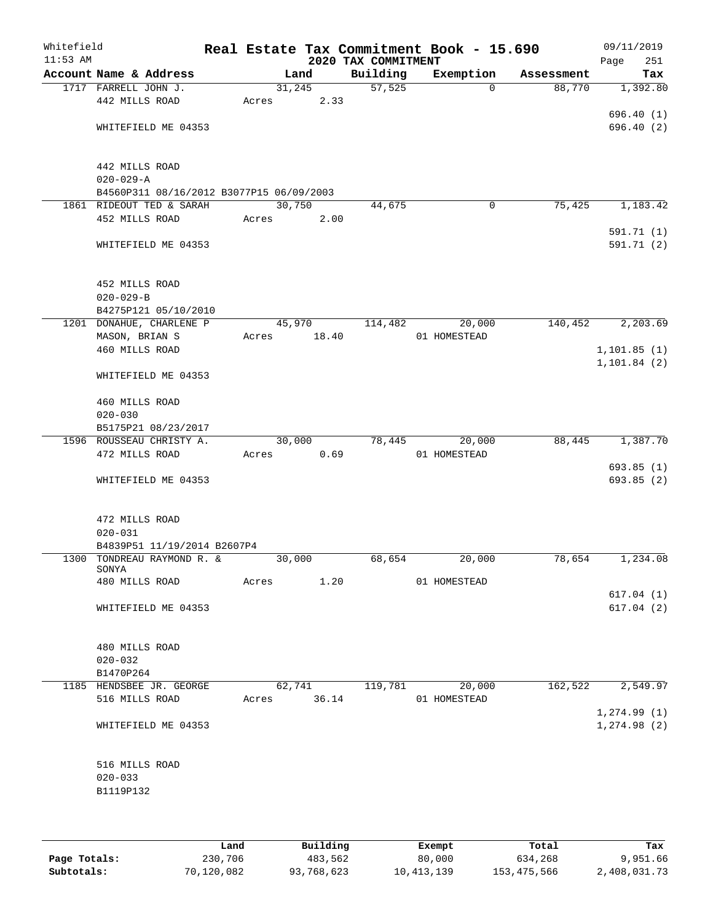| Whitefield<br>$11:53$ AM |                                          |       |        |       | 2020 TAX COMMITMENT | Real Estate Tax Commitment Book - 15.690 |            | Page | 09/11/2019<br>251 |
|--------------------------|------------------------------------------|-------|--------|-------|---------------------|------------------------------------------|------------|------|-------------------|
|                          | Account Name & Address                   |       | Land   |       | Building            | Exemption                                | Assessment |      | Tax               |
|                          | 1717 FARRELL JOHN J.                     |       | 31,245 |       | 57,525              | $\Omega$                                 | 88,770     |      | 1,392.80          |
|                          | 442 MILLS ROAD                           | Acres |        | 2.33  |                     |                                          |            |      |                   |
|                          |                                          |       |        |       |                     |                                          |            |      | 696.40 (1)        |
|                          | WHITEFIELD ME 04353                      |       |        |       |                     |                                          |            |      | 696.40(2)         |
|                          |                                          |       |        |       |                     |                                          |            |      |                   |
|                          | 442 MILLS ROAD                           |       |        |       |                     |                                          |            |      |                   |
|                          | $020 - 029 - A$                          |       |        |       |                     |                                          |            |      |                   |
|                          | B4560P311 08/16/2012 B3077P15 06/09/2003 |       |        |       |                     |                                          |            |      |                   |
|                          | 1861 RIDEOUT TED & SARAH                 |       | 30,750 |       | 44,675              | $\mathbf 0$                              | 75,425     |      | 1,183.42          |
|                          | 452 MILLS ROAD                           | Acres |        | 2.00  |                     |                                          |            |      |                   |
|                          |                                          |       |        |       |                     |                                          |            |      | 591.71 (1)        |
|                          | WHITEFIELD ME 04353                      |       |        |       |                     |                                          |            |      | 591.71 (2)        |
|                          |                                          |       |        |       |                     |                                          |            |      |                   |
|                          | 452 MILLS ROAD                           |       |        |       |                     |                                          |            |      |                   |
|                          | $020 - 029 - B$                          |       |        |       |                     |                                          |            |      |                   |
|                          | B4275P121 05/10/2010                     |       |        |       |                     |                                          |            |      |                   |
|                          | 1201 DONAHUE, CHARLENE P                 |       | 45,970 |       | 114,482             | 20,000                                   | 140,452    |      | 2, 203.69         |
|                          | MASON, BRIAN S                           | Acres |        | 18.40 |                     | 01 HOMESTEAD                             |            |      |                   |
|                          | 460 MILLS ROAD                           |       |        |       |                     |                                          |            |      | 1, 101.85(1)      |
|                          |                                          |       |        |       |                     |                                          |            |      | 1, 101.84(2)      |
|                          | WHITEFIELD ME 04353                      |       |        |       |                     |                                          |            |      |                   |
|                          | 460 MILLS ROAD                           |       |        |       |                     |                                          |            |      |                   |
|                          | $020 - 030$                              |       |        |       |                     |                                          |            |      |                   |
|                          | B5175P21 08/23/2017                      |       |        |       |                     |                                          |            |      |                   |
|                          | 1596 ROUSSEAU CHRISTY A.                 |       | 30,000 |       | 78,445              | 20,000                                   | 88,445     |      | 1,387.70          |
|                          | 472 MILLS ROAD                           | Acres |        | 0.69  |                     | 01 HOMESTEAD                             |            |      |                   |
|                          |                                          |       |        |       |                     |                                          |            |      | 693.85(1)         |
|                          | WHITEFIELD ME 04353                      |       |        |       |                     |                                          |            |      | 693.85 (2)        |
|                          |                                          |       |        |       |                     |                                          |            |      |                   |
|                          | 472 MILLS ROAD                           |       |        |       |                     |                                          |            |      |                   |
|                          | $020 - 031$                              |       |        |       |                     |                                          |            |      |                   |
|                          | B4839P51 11/19/2014 B2607P4              |       |        |       |                     |                                          |            |      |                   |
|                          | 1300 TONDREAU RAYMOND R. &<br>SONYA      |       | 30,000 |       | 68,654              | 20,000                                   | 78,654     |      | 1,234.08          |
|                          | 480 MILLS ROAD                           | Acres |        | 1.20  |                     | 01 HOMESTEAD                             |            |      |                   |
|                          |                                          |       |        |       |                     |                                          |            |      | 617.04(1)         |
|                          | WHITEFIELD ME 04353                      |       |        |       |                     |                                          |            |      | 617.04(2)         |
|                          |                                          |       |        |       |                     |                                          |            |      |                   |
|                          |                                          |       |        |       |                     |                                          |            |      |                   |
|                          | 480 MILLS ROAD<br>$020 - 032$            |       |        |       |                     |                                          |            |      |                   |
|                          | B1470P264                                |       |        |       |                     |                                          |            |      |                   |
|                          | 1185 HENDSBEE JR. GEORGE                 |       | 62,741 |       | 119,781             | 20,000                                   | 162,522    |      | 2,549.97          |
|                          | 516 MILLS ROAD                           | Acres |        | 36.14 |                     | 01 HOMESTEAD                             |            |      |                   |
|                          |                                          |       |        |       |                     |                                          |            |      | 1, 274.99(1)      |
|                          | WHITEFIELD ME 04353                      |       |        |       |                     |                                          |            |      | 1, 274.98(2)      |
|                          |                                          |       |        |       |                     |                                          |            |      |                   |
|                          | 516 MILLS ROAD                           |       |        |       |                     |                                          |            |      |                   |
|                          | $020 - 033$                              |       |        |       |                     |                                          |            |      |                   |
|                          | B1119P132                                |       |        |       |                     |                                          |            |      |                   |
|                          |                                          |       |        |       |                     |                                          |            |      |                   |
|                          |                                          |       |        |       |                     |                                          |            |      |                   |
|                          |                                          |       |        |       |                     |                                          |            |      |                   |

|              | Land       | Building   | Exempt     | Total       | Tax          |
|--------------|------------|------------|------------|-------------|--------------|
| Page Totals: | 230,706    | 483,562    | 80,000     | 634,268     | 9,951.66     |
| Subtotals:   | 70,120,082 | 93,768,623 | 10,413,139 | 153,475,566 | 2,408,031.73 |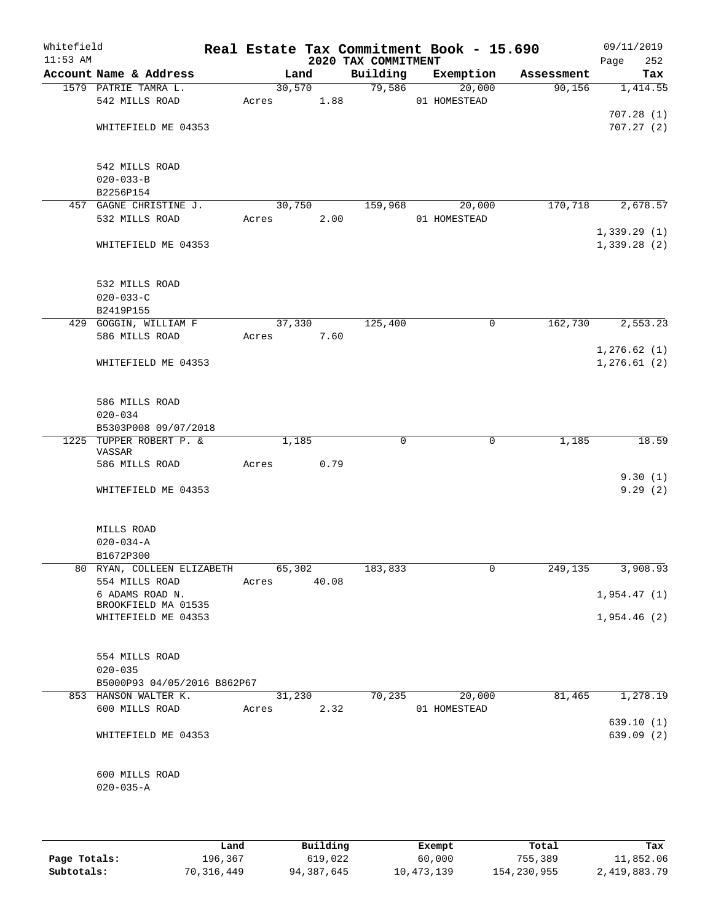| Whitefield<br>$11:53$ AM |                                   |       |        |       | 2020 TAX COMMITMENT | Real Estate Tax Commitment Book - 15.690 |            | 09/11/2019<br>Page<br>252 |
|--------------------------|-----------------------------------|-------|--------|-------|---------------------|------------------------------------------|------------|---------------------------|
|                          | Account Name & Address            |       | Land   |       | Building            | Exemption                                | Assessment | Tax                       |
|                          | 1579 PATRIE TAMRA L.              |       | 30,570 |       | 79,586              | 20,000                                   | 90, 156    | 1,414.55                  |
|                          | 542 MILLS ROAD                    | Acres |        | 1.88  |                     | 01 HOMESTEAD                             |            |                           |
|                          |                                   |       |        |       |                     |                                          |            | 707.28(1)                 |
|                          | WHITEFIELD ME 04353               |       |        |       |                     |                                          |            | 707.27(2)                 |
|                          |                                   |       |        |       |                     |                                          |            |                           |
|                          | 542 MILLS ROAD                    |       |        |       |                     |                                          |            |                           |
|                          | $020 - 033 - B$                   |       |        |       |                     |                                          |            |                           |
|                          | B2256P154                         |       |        |       |                     |                                          |            |                           |
|                          | 457 GAGNE CHRISTINE J.            |       | 30,750 |       | 159,968             | 20,000                                   | 170,718    | 2,678.57                  |
|                          | 532 MILLS ROAD                    | Acres |        | 2.00  |                     | 01 HOMESTEAD                             |            |                           |
|                          |                                   |       |        |       |                     |                                          |            | 1,339.29(1)               |
|                          | WHITEFIELD ME 04353               |       |        |       |                     |                                          |            | 1,339.28(2)               |
|                          |                                   |       |        |       |                     |                                          |            |                           |
|                          | 532 MILLS ROAD                    |       |        |       |                     |                                          |            |                           |
|                          | $020 - 033 - C$                   |       |        |       |                     |                                          |            |                           |
|                          | B2419P155                         |       |        |       |                     |                                          |            |                           |
|                          | 429 GOGGIN, WILLIAM F             |       | 37,330 |       | 125,400             | 0                                        | 162,730    | 2,553.23                  |
|                          | 586 MILLS ROAD                    | Acres |        | 7.60  |                     |                                          |            |                           |
|                          |                                   |       |        |       |                     |                                          |            | 1,276.62(1)               |
|                          | WHITEFIELD ME 04353               |       |        |       |                     |                                          |            | 1,276.61(2)               |
|                          |                                   |       |        |       |                     |                                          |            |                           |
|                          | 586 MILLS ROAD                    |       |        |       |                     |                                          |            |                           |
|                          | $020 - 034$                       |       |        |       |                     |                                          |            |                           |
|                          | B5303P008 09/07/2018              |       |        |       |                     |                                          |            |                           |
|                          | 1225 TUPPER ROBERT P. &           |       | 1,185  |       | 0                   | $\mathbf 0$                              | 1,185      | 18.59                     |
|                          | VASSAR                            |       |        |       |                     |                                          |            |                           |
|                          | 586 MILLS ROAD                    | Acres |        | 0.79  |                     |                                          |            | 9.30(1)                   |
|                          | WHITEFIELD ME 04353               |       |        |       |                     |                                          |            | 9.29(2)                   |
|                          |                                   |       |        |       |                     |                                          |            |                           |
|                          |                                   |       |        |       |                     |                                          |            |                           |
|                          | MILLS ROAD                        |       |        |       |                     |                                          |            |                           |
|                          | $020 - 034 - A$                   |       |        |       |                     |                                          |            |                           |
|                          | B1672P300                         |       |        |       |                     |                                          |            |                           |
|                          | 80 RYAN, COLLEEN ELIZABETH        |       | 65,302 |       | 183,833             | 0                                        | 249,135    | 3,908.93                  |
|                          | 554 MILLS ROAD<br>6 ADAMS ROAD N. | Acres |        | 40.08 |                     |                                          |            | 1,954.47(1)               |
|                          | BROOKFIELD MA 01535               |       |        |       |                     |                                          |            |                           |
|                          | WHITEFIELD ME 04353               |       |        |       |                     |                                          |            | 1,954.46(2)               |
|                          |                                   |       |        |       |                     |                                          |            |                           |
|                          |                                   |       |        |       |                     |                                          |            |                           |
|                          | 554 MILLS ROAD<br>$020 - 035$     |       |        |       |                     |                                          |            |                           |
|                          | B5000P93 04/05/2016 B862P67       |       |        |       |                     |                                          |            |                           |
|                          | 853 HANSON WALTER K.              |       | 31,230 |       | 70,235              | 20,000                                   | 81,465     | 1,278.19                  |
|                          | 600 MILLS ROAD                    | Acres |        | 2.32  |                     | 01 HOMESTEAD                             |            |                           |
|                          |                                   |       |        |       |                     |                                          |            | 639.10(1)                 |
|                          | WHITEFIELD ME 04353               |       |        |       |                     |                                          |            | 639.09(2)                 |
|                          |                                   |       |        |       |                     |                                          |            |                           |
|                          |                                   |       |        |       |                     |                                          |            |                           |
|                          | 600 MILLS ROAD                    |       |        |       |                     |                                          |            |                           |
|                          | $020 - 035 - A$                   |       |        |       |                     |                                          |            |                           |
|                          |                                   |       |        |       |                     |                                          |            |                           |
|                          |                                   |       |        |       |                     |                                          |            |                           |

|              | Land       | Building   | Exempt     | Total       | Tax          |
|--------------|------------|------------|------------|-------------|--------------|
| Page Totals: | 196,367    | 619,022    | 60,000     | 755,389     | 11,852.06    |
| Subtotals:   | 70,316,449 | 94,387,645 | 10,473,139 | 154,230,955 | 2,419,883.79 |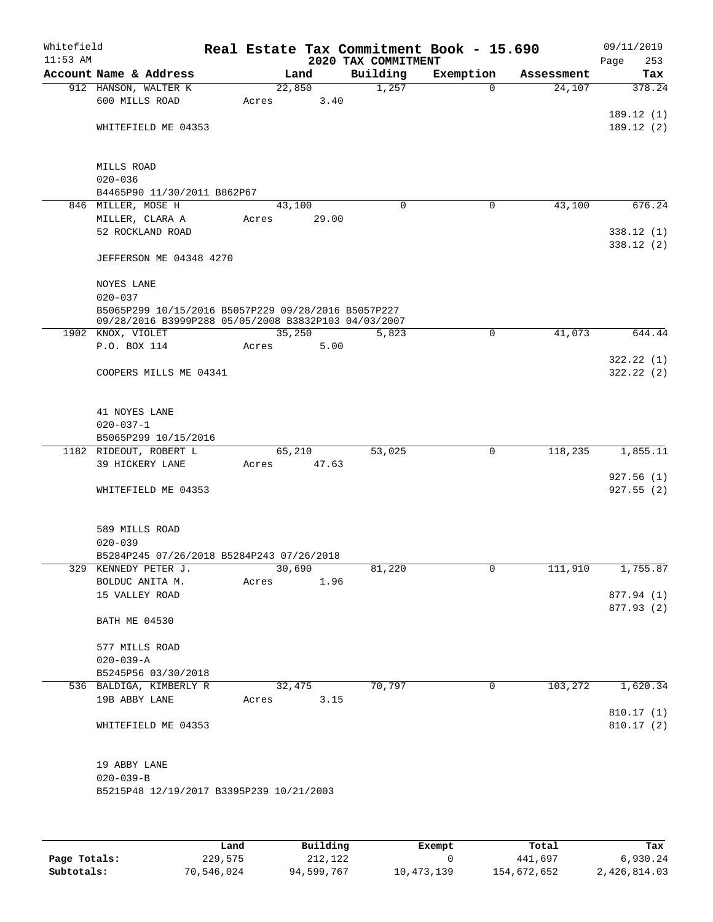| Whitefield<br>$11:53$ AM |                                                      |       |        |       | 2020 TAX COMMITMENT | Real Estate Tax Commitment Book - 15.690 |            | 09/11/2019<br>253<br>Page |
|--------------------------|------------------------------------------------------|-------|--------|-------|---------------------|------------------------------------------|------------|---------------------------|
|                          | Account Name & Address                               |       | Land   |       | Building            | Exemption                                | Assessment | Tax                       |
|                          | 912 HANSON, WALTER K                                 |       | 22,850 |       | 1,257               | $\mathbf 0$                              | 24,107     | 378.24                    |
|                          | 600 MILLS ROAD                                       | Acres |        | 3.40  |                     |                                          |            |                           |
|                          |                                                      |       |        |       |                     |                                          |            | 189.12(1)                 |
|                          | WHITEFIELD ME 04353                                  |       |        |       |                     |                                          |            | 189.12(2)                 |
|                          |                                                      |       |        |       |                     |                                          |            |                           |
|                          | MILLS ROAD                                           |       |        |       |                     |                                          |            |                           |
|                          | $020 - 036$                                          |       |        |       |                     |                                          |            |                           |
|                          | B4465P90 11/30/2011 B862P67                          |       |        |       |                     |                                          |            |                           |
|                          | 846 MILLER, MOSE H                                   |       | 43,100 |       | $\Omega$            | 0                                        | 43,100     | 676.24                    |
|                          | MILLER, CLARA A                                      | Acres |        | 29.00 |                     |                                          |            |                           |
|                          | 52 ROCKLAND ROAD                                     |       |        |       |                     |                                          |            | 338.12(1)                 |
|                          |                                                      |       |        |       |                     |                                          |            | 338.12(2)                 |
|                          | JEFFERSON ME 04348 4270                              |       |        |       |                     |                                          |            |                           |
|                          |                                                      |       |        |       |                     |                                          |            |                           |
|                          | <b>NOYES LANE</b><br>$020 - 037$                     |       |        |       |                     |                                          |            |                           |
|                          | B5065P299 10/15/2016 B5057P229 09/28/2016 B5057P227  |       |        |       |                     |                                          |            |                           |
|                          | 09/28/2016 B3999P288 05/05/2008 B3832P103 04/03/2007 |       |        |       |                     |                                          |            |                           |
|                          | 1902 KNOX, VIOLET                                    |       | 35,250 |       | 5,823               | $\mathsf{O}$                             | 41,073     | 644.44                    |
|                          | P.O. BOX 114                                         | Acres |        | 5.00  |                     |                                          |            |                           |
|                          |                                                      |       |        |       |                     |                                          |            | 322.22(1)                 |
|                          | COOPERS MILLS ME 04341                               |       |        |       |                     |                                          |            | 322.22(2)                 |
|                          |                                                      |       |        |       |                     |                                          |            |                           |
|                          | 41 NOYES LANE                                        |       |        |       |                     |                                          |            |                           |
|                          | $020 - 037 - 1$                                      |       |        |       |                     |                                          |            |                           |
|                          | B5065P299 10/15/2016                                 |       |        |       |                     |                                          |            |                           |
|                          | 1182 RIDEOUT, ROBERT L                               |       | 65,210 |       | 53,025              | $\mathsf{O}$                             | 118,235    | 1,855.11                  |
|                          | 39 HICKERY LANE                                      | Acres |        | 47.63 |                     |                                          |            |                           |
|                          |                                                      |       |        |       |                     |                                          |            | 927.56(1)                 |
|                          | WHITEFIELD ME 04353                                  |       |        |       |                     |                                          |            | 927.55(2)                 |
|                          |                                                      |       |        |       |                     |                                          |            |                           |
|                          |                                                      |       |        |       |                     |                                          |            |                           |
|                          | 589 MILLS ROAD<br>$020 - 039$                        |       |        |       |                     |                                          |            |                           |
|                          | B5284P245 07/26/2018 B5284P243 07/26/2018            |       |        |       |                     |                                          |            |                           |
|                          | 329 KENNEDY PETER J.                                 |       | 30,690 |       | 81,220              | 0                                        | 111,910    | 1,755.87                  |
|                          | BOLDUC ANITA M.                                      | Acres |        | 1.96  |                     |                                          |            |                           |
|                          | 15 VALLEY ROAD                                       |       |        |       |                     |                                          |            | 877.94 (1)                |
|                          |                                                      |       |        |       |                     |                                          |            | 877.93 (2)                |
|                          | <b>BATH ME 04530</b>                                 |       |        |       |                     |                                          |            |                           |
|                          |                                                      |       |        |       |                     |                                          |            |                           |
|                          | 577 MILLS ROAD                                       |       |        |       |                     |                                          |            |                           |
|                          | $020 - 039 - A$                                      |       |        |       |                     |                                          |            |                           |
|                          | B5245P56 03/30/2018<br>536 BALDIGA, KIMBERLY R       |       | 32,475 |       | 70,797              | 0                                        | 103,272    | 1,620.34                  |
|                          | 19B ABBY LANE                                        | Acres |        | 3.15  |                     |                                          |            |                           |
|                          |                                                      |       |        |       |                     |                                          |            | 810.17 (1)                |
|                          | WHITEFIELD ME 04353                                  |       |        |       |                     |                                          |            | 810.17(2)                 |
|                          |                                                      |       |        |       |                     |                                          |            |                           |
|                          |                                                      |       |        |       |                     |                                          |            |                           |
|                          | 19 ABBY LANE                                         |       |        |       |                     |                                          |            |                           |
|                          | $020 - 039 - B$                                      |       |        |       |                     |                                          |            |                           |
|                          | B5215P48 12/19/2017 B3395P239 10/21/2003             |       |        |       |                     |                                          |            |                           |
|                          |                                                      |       |        |       |                     |                                          |            |                           |
|                          |                                                      |       |        |       |                     |                                          |            |                           |
|                          |                                                      |       |        |       |                     |                                          |            |                           |

|              | Land       | Building   | Exempt     | Total       | Tax          |
|--------------|------------|------------|------------|-------------|--------------|
| Page Totals: | 229,575    | 212,122    |            | 441,697     | 6,930.24     |
| Subtotals:   | 70,546,024 | 94,599,767 | 10,473,139 | 154,672,652 | 2,426,814.03 |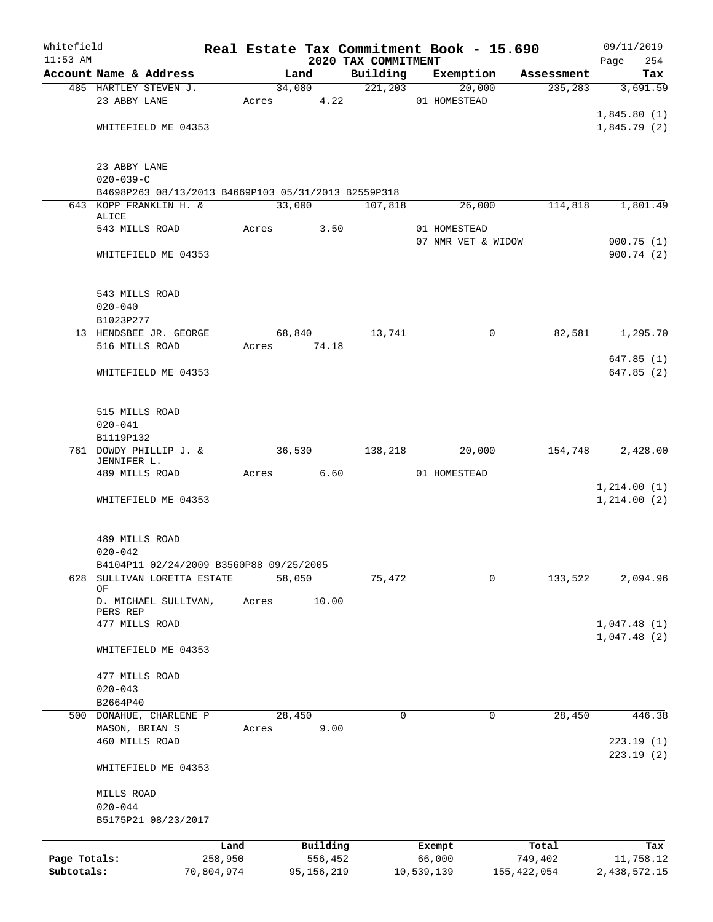| Whitefield   |                                                                    |            |       |        |              |                                 | Real Estate Tax Commitment Book - 15.690 |          |               | 09/11/2019         |
|--------------|--------------------------------------------------------------------|------------|-------|--------|--------------|---------------------------------|------------------------------------------|----------|---------------|--------------------|
| $11:53$ AM   | Account Name & Address                                             |            |       | Land   |              | 2020 TAX COMMITMENT<br>Building | Exemption                                |          | Assessment    | Page<br>254<br>Tax |
|              | 485 HARTLEY STEVEN J.                                              |            |       |        | 34,080       |                                 | 221, 203                                 | 20,000   | 235,283       | 3,691.59           |
|              | 23 ABBY LANE                                                       |            |       |        | Acres 4.22   |                                 | 01 HOMESTEAD                             |          |               |                    |
|              |                                                                    |            |       |        |              |                                 |                                          |          |               | 1,845.80(1)        |
|              | WHITEFIELD ME 04353                                                |            |       |        |              |                                 |                                          |          |               | 1,845.79(2)        |
|              |                                                                    |            |       |        |              |                                 |                                          |          |               |                    |
|              | 23 ABBY LANE                                                       |            |       |        |              |                                 |                                          |          |               |                    |
|              | $020 - 039 - C$                                                    |            |       |        |              |                                 |                                          |          |               |                    |
|              | B4698P263 08/13/2013 B4669P103 05/31/2013 B2559P318                |            |       |        |              |                                 |                                          |          |               |                    |
|              | 643 KOPP FRANKLIN H. &                                             |            |       | 33,000 |              | 107,818                         |                                          | 26,000   | 114,818       | 1,801.49           |
|              | ALICE                                                              |            |       |        |              |                                 |                                          |          |               |                    |
|              | 543 MILLS ROAD                                                     |            | Acres |        | 3.50         |                                 | 01 HOMESTEAD                             |          |               |                    |
|              |                                                                    |            |       |        |              |                                 | 07 NMR VET & WIDOW                       |          |               | 900.75(1)          |
|              | WHITEFIELD ME 04353                                                |            |       |        |              |                                 |                                          |          |               | 900.74(2)          |
|              | 543 MILLS ROAD                                                     |            |       |        |              |                                 |                                          |          |               |                    |
|              | $020 - 040$                                                        |            |       |        |              |                                 |                                          |          |               |                    |
|              | B1023P277                                                          |            |       |        |              |                                 |                                          |          |               |                    |
|              | 13 HENDSBEE JR. GEORGE                                             |            |       | 68,840 |              | 13,741                          |                                          | 0        | 82,581        | 1,295.70           |
|              | 516 MILLS ROAD                                                     |            |       |        | Acres 74.18  |                                 |                                          |          |               |                    |
|              |                                                                    |            |       |        |              |                                 |                                          |          |               | 647.85(1)          |
|              | WHITEFIELD ME 04353                                                |            |       |        |              |                                 |                                          |          |               | 647.85(2)          |
|              |                                                                    |            |       |        |              |                                 |                                          |          |               |                    |
|              | 515 MILLS ROAD                                                     |            |       |        |              |                                 |                                          |          |               |                    |
|              | $020 - 041$                                                        |            |       |        |              |                                 |                                          |          |               |                    |
|              | B1119P132                                                          |            |       |        |              |                                 |                                          |          |               |                    |
|              | 761 DOWDY PHILLIP J. &                                             |            |       | 36,530 |              | 138,218                         |                                          | 20,000   | 154,748       | 2,428.00           |
|              | JENNIFER L.                                                        |            |       |        |              |                                 |                                          |          |               |                    |
|              | 489 MILLS ROAD                                                     |            | Acres |        | 6.60         |                                 | 01 HOMESTEAD                             |          |               |                    |
|              |                                                                    |            |       |        |              |                                 |                                          |          |               | 1,214.00(1)        |
|              | WHITEFIELD ME 04353                                                |            |       |        |              |                                 |                                          |          |               | 1, 214.00(2)       |
|              |                                                                    |            |       |        |              |                                 |                                          |          |               |                    |
|              | 489 MILLS ROAD<br>$020 - 042$                                      |            |       |        |              |                                 |                                          |          |               |                    |
|              |                                                                    |            |       |        |              |                                 |                                          |          |               |                    |
| 628          | B4104P11 02/24/2009 B3560P88 09/25/2005<br>SULLIVAN LORETTA ESTATE |            |       | 58,050 |              | 75,472                          |                                          | 0        | 133,522       | 2,094.96           |
|              | OF                                                                 |            |       |        |              |                                 |                                          |          |               |                    |
|              | D. MICHAEL SULLIVAN,<br>PERS REP                                   |            | Acres |        | 10.00        |                                 |                                          |          |               |                    |
|              | 477 MILLS ROAD                                                     |            |       |        |              |                                 |                                          |          |               | 1,047.48(1)        |
|              |                                                                    |            |       |        |              |                                 |                                          |          |               | 1,047.48(2)        |
|              | WHITEFIELD ME 04353                                                |            |       |        |              |                                 |                                          |          |               |                    |
|              | 477 MILLS ROAD                                                     |            |       |        |              |                                 |                                          |          |               |                    |
|              | $020 - 043$                                                        |            |       |        |              |                                 |                                          |          |               |                    |
|              | B2664P40                                                           |            |       |        |              |                                 |                                          |          |               |                    |
|              | 500 DONAHUE, CHARLENE P                                            |            |       | 28,450 |              | $\Omega$                        |                                          | $\Omega$ | 28,450        | 446.38             |
|              | MASON, BRIAN S                                                     |            | Acres |        | 9.00         |                                 |                                          |          |               |                    |
|              | 460 MILLS ROAD                                                     |            |       |        |              |                                 |                                          |          |               | 223.19(1)          |
|              | WHITEFIELD ME 04353                                                |            |       |        |              |                                 |                                          |          |               | 223.19(2)          |
|              | MILLS ROAD                                                         |            |       |        |              |                                 |                                          |          |               |                    |
|              | $020 - 044$                                                        |            |       |        |              |                                 |                                          |          |               |                    |
|              | B5175P21 08/23/2017                                                |            |       |        |              |                                 |                                          |          |               |                    |
|              |                                                                    |            |       |        |              |                                 |                                          |          |               |                    |
|              |                                                                    | Land       |       |        | Building     |                                 | Exempt                                   |          | Total         | Tax                |
| Page Totals: |                                                                    | 258,950    |       |        | 556,452      |                                 | 66,000                                   |          | 749,402       | 11,758.12          |
| Subtotals:   |                                                                    | 70,804,974 |       |        | 95, 156, 219 |                                 | 10,539,139                               |          | 155, 422, 054 | 2,438,572.15       |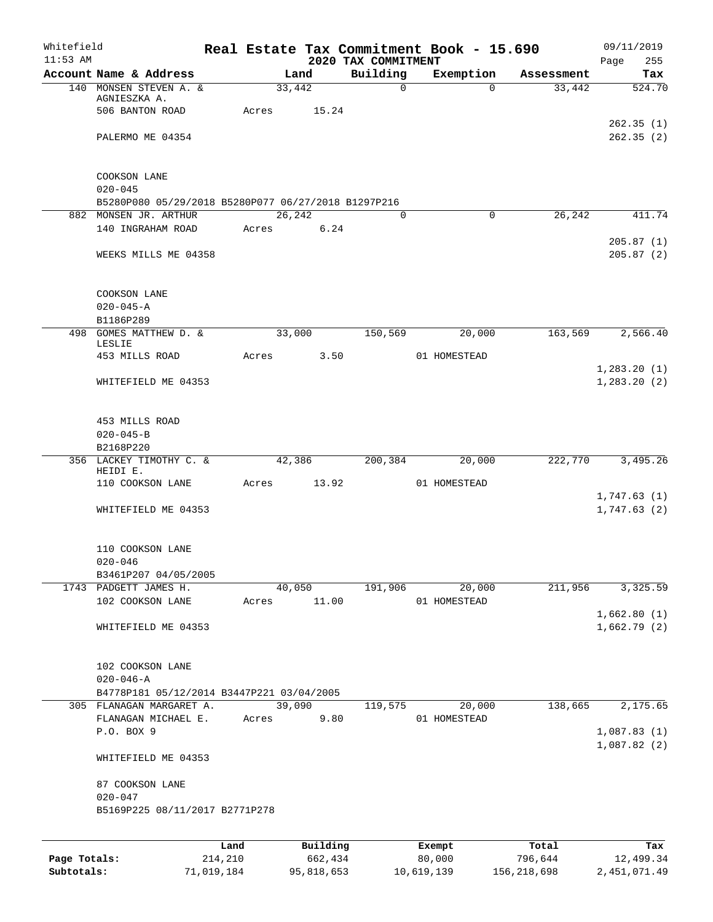| Whitefield<br>$11:53$ AM |                                                                              |         |        |          | 2020 TAX COMMITMENT | Real Estate Tax Commitment Book - 15.690 |            | 09/11/2019<br>Page<br>255    |
|--------------------------|------------------------------------------------------------------------------|---------|--------|----------|---------------------|------------------------------------------|------------|------------------------------|
|                          | Account Name & Address                                                       |         |        | Land     | Building            | Exemption                                | Assessment | Tax                          |
|                          | 140 MONSEN STEVEN A. &<br>AGNIESZKA A.<br>506 BANTON ROAD                    | Acres   | 33,442 | 15.24    | $\mathbf 0$         | $\Omega$                                 | 33,442     | 524.70                       |
|                          |                                                                              |         |        |          |                     |                                          |            | 262.35(1)<br>262.35(2)       |
|                          | PALERMO ME 04354                                                             |         |        |          |                     |                                          |            |                              |
|                          | COOKSON LANE                                                                 |         |        |          |                     |                                          |            |                              |
|                          | $020 - 045$                                                                  |         |        |          |                     |                                          |            |                              |
|                          | B5280P080 05/29/2018 B5280P077 06/27/2018 B1297P216<br>882 MONSEN JR. ARTHUR |         | 26,242 |          | $\Omega$            | $\Omega$                                 | 26,242     | 411.74                       |
|                          | 140 INGRAHAM ROAD                                                            |         | Acres  | 6.24     |                     |                                          |            | 205.87(1)                    |
|                          | WEEKS MILLS ME 04358                                                         |         |        |          |                     |                                          |            | 205.87(2)                    |
|                          | COOKSON LANE                                                                 |         |        |          |                     |                                          |            |                              |
|                          | $020 - 045 - A$<br>B1186P289                                                 |         |        |          |                     |                                          |            |                              |
|                          | 498 GOMES MATTHEW D. &<br>LESLIE                                             |         |        | 33,000   | 150,569             | 20,000                                   | 163,569    | 2,566.40                     |
|                          | 453 MILLS ROAD                                                               | Acres   |        | 3.50     |                     | 01 HOMESTEAD                             |            |                              |
|                          | WHITEFIELD ME 04353                                                          |         |        |          |                     |                                          |            | 1,283.20(1)<br>1, 283.20 (2) |
|                          | 453 MILLS ROAD<br>$020 - 045 - B$                                            |         |        |          |                     |                                          |            |                              |
|                          | B2168P220                                                                    |         |        |          |                     |                                          |            |                              |
|                          | 356 LACKEY TIMOTHY C. &                                                      |         |        | 42,386   | 200,384             | 20,000                                   | 222,770    | 3,495.26                     |
|                          | HEIDI E.<br>110 COOKSON LANE                                                 | Acres   |        | 13.92    |                     | 01 HOMESTEAD                             |            |                              |
|                          | WHITEFIELD ME 04353                                                          |         |        |          |                     |                                          |            | 1,747.63(1)<br>1,747.63(2)   |
|                          | 110 COOKSON LANE<br>$020 - 046$                                              |         |        |          |                     |                                          |            |                              |
|                          | B3461P207 04/05/2005                                                         |         |        |          |                     |                                          |            |                              |
|                          | 1743 PADGETT JAMES H.                                                        |         |        | 40,050   | 191,906             | 20,000                                   | 211,956    | 3,325.59                     |
|                          | 102 COOKSON LANE                                                             |         | Acres  | 11.00    |                     | 01 HOMESTEAD                             |            |                              |
|                          | WHITEFIELD ME 04353                                                          |         |        |          |                     |                                          |            | 1,662.80(1)<br>1,662.79(2)   |
|                          | 102 COOKSON LANE                                                             |         |        |          |                     |                                          |            |                              |
|                          | $020 - 046 - A$<br>B4778P181 05/12/2014 B3447P221 03/04/2005                 |         |        |          |                     |                                          |            |                              |
|                          | 305 FLANAGAN MARGARET A.                                                     |         |        | 39,090   | 119,575             | 20,000                                   | 138,665    | 2,175.65                     |
|                          | FLANAGAN MICHAEL E.                                                          | Acres   |        | 9.80     |                     | 01 HOMESTEAD                             |            |                              |
|                          | P.O. BOX 9                                                                   |         |        |          |                     |                                          |            | 1,087.83(1)<br>1,087.82(2)   |
|                          | WHITEFIELD ME 04353                                                          |         |        |          |                     |                                          |            |                              |
|                          | 87 COOKSON LANE<br>$020 - 047$                                               |         |        |          |                     |                                          |            |                              |
|                          | B5169P225 08/11/2017 B2771P278                                               |         |        |          |                     |                                          |            |                              |
|                          |                                                                              | Land    |        | Building |                     | Exempt                                   | Total      | Tax                          |
| Page Totals:             |                                                                              | 214,210 |        | 662,434  |                     | 80,000                                   | 796,644    | 12,499.34                    |

**Subtotals:** 71,019,184 95,818,653 10,619,139 156,218,698 2,451,071.49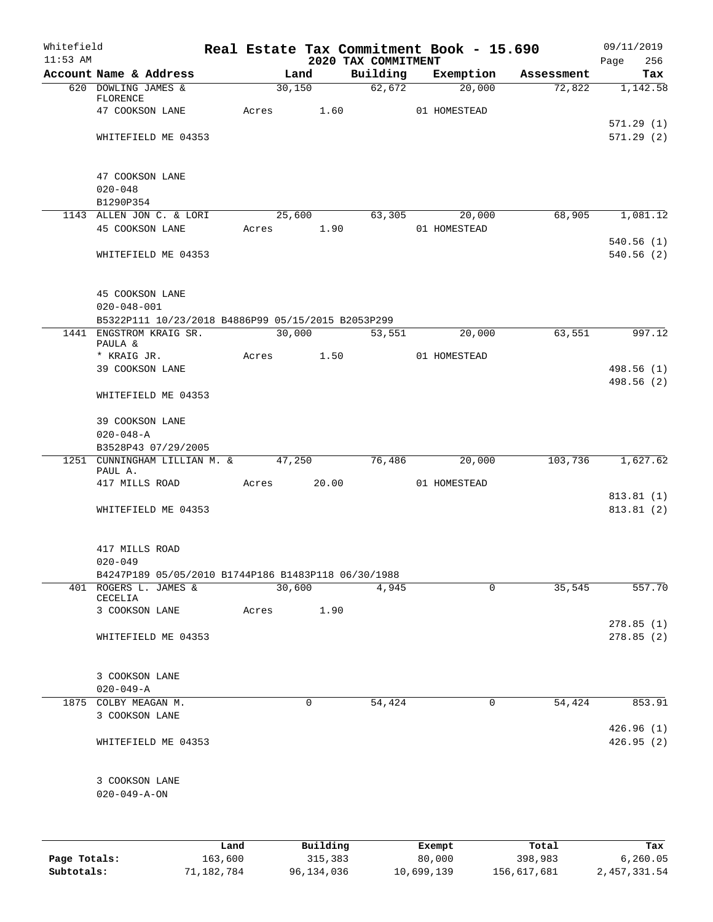| Whitefield<br>$11:53$ AM |                                                                               |             |        |                           | 2020 TAX COMMITMENT | Real Estate Tax Commitment Book - 15.690 |            | 09/11/2019<br>256<br>Page |
|--------------------------|-------------------------------------------------------------------------------|-------------|--------|---------------------------|---------------------|------------------------------------------|------------|---------------------------|
|                          | Account Name & Address                                                        |             | Land   |                           | Building            | Exemption                                | Assessment | Tax                       |
|                          | 620 DOWLING JAMES &                                                           |             | 30,150 |                           | 62,672              | 20,000                                   | 72,822     | 1,142.58                  |
|                          | FLORENCE                                                                      |             |        | 1.60                      |                     |                                          |            |                           |
|                          | 47 COOKSON LANE                                                               | Acres       |        |                           |                     | 01 HOMESTEAD                             |            | 571.29(1)                 |
|                          | WHITEFIELD ME 04353                                                           |             |        |                           |                     |                                          |            | 571.29(2)                 |
|                          |                                                                               |             |        |                           |                     |                                          |            |                           |
|                          |                                                                               |             |        |                           |                     |                                          |            |                           |
|                          | 47 COOKSON LANE                                                               |             |        |                           |                     |                                          |            |                           |
|                          | $020 - 048$                                                                   |             |        |                           |                     |                                          |            |                           |
|                          | B1290P354                                                                     |             |        |                           |                     |                                          |            |                           |
|                          | 1143 ALLEN JON C. & LORI                                                      |             |        | 25,600                    | 63,305              | 20,000                                   | 68,905     | 1,081.12                  |
|                          | 45 COOKSON LANE                                                               | Acres 1.90  |        |                           |                     | 01 HOMESTEAD                             |            |                           |
|                          |                                                                               |             |        |                           |                     |                                          |            | 540.56(1)                 |
|                          | WHITEFIELD ME 04353                                                           |             |        |                           |                     |                                          |            | 540.56(2)                 |
|                          |                                                                               |             |        |                           |                     |                                          |            |                           |
|                          | 45 COOKSON LANE                                                               |             |        |                           |                     |                                          |            |                           |
|                          | $020 - 048 - 001$                                                             |             |        |                           |                     |                                          |            |                           |
|                          | B5322P111 10/23/2018 B4886P99 05/15/2015 B2053P299<br>1441 ENGSTROM KRAIG SR. |             | 30,000 |                           | 53,551              | 20,000                                   | 63,551     | 997.12                    |
|                          | PAULA &                                                                       |             |        |                           |                     |                                          |            |                           |
|                          | * KRAIG JR.                                                                   |             |        | Acres 1.50                |                     | 01 HOMESTEAD                             |            |                           |
|                          | 39 COOKSON LANE                                                               |             |        |                           |                     |                                          |            | 498.56 (1)                |
|                          |                                                                               |             |        |                           |                     |                                          |            | 498.56 (2)                |
|                          | WHITEFIELD ME 04353                                                           |             |        |                           |                     |                                          |            |                           |
|                          | 39 COOKSON LANE                                                               |             |        |                           |                     |                                          |            |                           |
|                          | $020 - 048 - A$                                                               |             |        |                           |                     |                                          |            |                           |
|                          | B3528P43 07/29/2005                                                           |             |        |                           |                     |                                          |            |                           |
|                          | 1251 CUNNINGHAM LILLIAN M. & 47,250<br>PAUL A.                                |             |        |                           | 76,486              | 20,000                                   | 103,736    | 1,627.62                  |
|                          | 417 MILLS ROAD                                                                | Acres 20.00 |        |                           |                     | 01 HOMESTEAD                             |            |                           |
|                          |                                                                               |             |        |                           |                     |                                          |            | 813.81(1)                 |
|                          | WHITEFIELD ME 04353                                                           |             |        |                           |                     |                                          |            | 813.81 (2)                |
|                          |                                                                               |             |        |                           |                     |                                          |            |                           |
|                          | 417 MILLS ROAD                                                                |             |        |                           |                     |                                          |            |                           |
|                          | $020 - 049$                                                                   |             |        |                           |                     |                                          |            |                           |
|                          | B4247P189 05/05/2010 B1744P186 B1483P118 06/30/1988                           |             |        |                           |                     |                                          |            |                           |
|                          | 401 ROGERS L. JAMES &                                                         |             | 30,600 |                           | 4,945               | $\Omega$                                 | 35,545     | 557.70                    |
|                          | CECELIA                                                                       |             |        |                           |                     |                                          |            |                           |
|                          | 3 COOKSON LANE                                                                | Acres       |        | 1.90                      |                     |                                          |            | 278.85(1)                 |
|                          | WHITEFIELD ME 04353                                                           |             |        |                           |                     |                                          |            | 278.85(2)                 |
|                          |                                                                               |             |        |                           |                     |                                          |            |                           |
|                          |                                                                               |             |        |                           |                     |                                          |            |                           |
|                          | 3 COOKSON LANE<br>$020 - 049 - A$                                             |             |        |                           |                     |                                          |            |                           |
|                          | 1875 COLBY MEAGAN M.                                                          |             | 0      |                           | 54,424              | $\mathbf 0$                              | 54,424     | 853.91                    |
|                          | 3 COOKSON LANE                                                                |             |        |                           |                     |                                          |            |                           |
|                          |                                                                               |             |        |                           |                     |                                          |            | 426.96(1)                 |
|                          | WHITEFIELD ME 04353                                                           |             |        |                           |                     |                                          |            | 426.95(2)                 |
|                          |                                                                               |             |        |                           |                     |                                          |            |                           |
|                          | 3 COOKSON LANE                                                                |             |        |                           |                     |                                          |            |                           |
|                          | $020 - 049 - A - ON$                                                          |             |        |                           |                     |                                          |            |                           |
|                          |                                                                               |             |        |                           |                     |                                          |            |                           |
|                          |                                                                               |             |        |                           |                     |                                          |            |                           |
|                          |                                                                               |             |        | $D_{11}$ in $I$ in $\sim$ |                     | $P$ <sub>i</sub> $\sim$                  |            |                           |

|              | Land       | Building   | Exempt     | Total       | Tax          |
|--------------|------------|------------|------------|-------------|--------------|
| Page Totals: | 163,600    | 315,383    | 80,000     | 398,983     | 6.260.05     |
| Subtotals:   | 71,182,784 | 96,134,036 | 10,699,139 | 156,617,681 | 2,457,331.54 |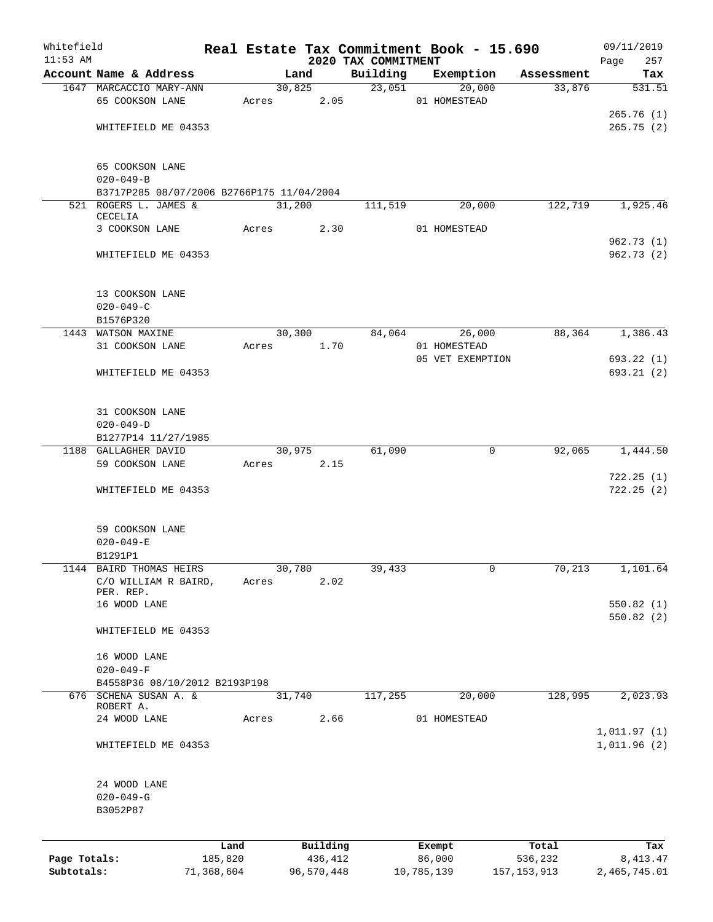| Whitefield   |                                                 |            |       |        |            |                     | Real Estate Tax Commitment Book - 15.690 |               | 09/11/2019                 |
|--------------|-------------------------------------------------|------------|-------|--------|------------|---------------------|------------------------------------------|---------------|----------------------------|
| $11:53$ AM   |                                                 |            |       |        |            | 2020 TAX COMMITMENT |                                          |               | Page<br>257                |
|              | Account Name & Address                          |            |       | Land   | 30,825     | Building<br>23,051  | Exemption                                | Assessment    | Tax                        |
|              | 1647 MARCACCIO MARY-ANN                         |            |       |        |            |                     | 20,000                                   | 33,876        | 531.51                     |
|              | 65 COOKSON LANE                                 |            | Acres |        | 2.05       |                     | 01 HOMESTEAD                             |               |                            |
|              |                                                 |            |       |        |            |                     |                                          |               | 265.76(1)                  |
|              | WHITEFIELD ME 04353                             |            |       |        |            |                     |                                          |               | 265.75(2)                  |
|              | 65 COOKSON LANE                                 |            |       |        |            |                     |                                          |               |                            |
|              | $020 - 049 - B$                                 |            |       |        |            |                     |                                          |               |                            |
|              | B3717P285 08/07/2006 B2766P175 11/04/2004       |            |       |        |            |                     |                                          |               |                            |
|              | 521 ROGERS L. JAMES &                           |            |       | 31,200 |            | 111,519             | 20,000                                   | 122,719       | 1,925.46                   |
|              | CECELIA                                         |            |       |        |            |                     |                                          |               |                            |
|              | 3 COOKSON LANE                                  |            | Acres |        | 2.30       |                     | 01 HOMESTEAD                             |               |                            |
|              |                                                 |            |       |        |            |                     |                                          |               | 962.73(1)                  |
|              | WHITEFIELD ME 04353                             |            |       |        |            |                     |                                          |               | 962.73(2)                  |
|              | 13 COOKSON LANE                                 |            |       |        |            |                     |                                          |               |                            |
|              | $020 - 049 - C$                                 |            |       |        |            |                     |                                          |               |                            |
|              | B1576P320                                       |            |       |        |            |                     |                                          |               |                            |
|              | 1443 WATSON MAXINE                              |            |       | 30,300 |            | 84,064              | 26,000                                   | 88,364        | 1,386.43                   |
|              | 31 COOKSON LANE                                 |            | Acres |        | 1.70       |                     | 01 HOMESTEAD                             |               |                            |
|              |                                                 |            |       |        |            |                     | 05 VET EXEMPTION                         |               | 693.22(1)                  |
|              | WHITEFIELD ME 04353                             |            |       |        |            |                     |                                          |               | 693.21(2)                  |
|              |                                                 |            |       |        |            |                     |                                          |               |                            |
|              | 31 COOKSON LANE                                 |            |       |        |            |                     |                                          |               |                            |
|              | $020 - 049 - D$                                 |            |       |        |            |                     |                                          |               |                            |
|              | B1277P14 11/27/1985                             |            |       |        |            |                     |                                          |               |                            |
|              | 1188 GALLAGHER DAVID                            |            |       | 30,975 |            | 61,090              | 0                                        | 92,065        | 1,444.50                   |
|              | 59 COOKSON LANE                                 |            | Acres |        | 2.15       |                     |                                          |               |                            |
|              |                                                 |            |       |        |            |                     |                                          |               | 722.25(1)                  |
|              | WHITEFIELD ME 04353                             |            |       |        |            |                     |                                          |               | 722.25(2)                  |
|              | 59 COOKSON LANE                                 |            |       |        |            |                     |                                          |               |                            |
|              |                                                 |            |       |        |            |                     |                                          |               |                            |
|              | $020 - 049 - E$<br>B1291P1                      |            |       |        |            |                     |                                          |               |                            |
|              |                                                 |            |       |        |            |                     |                                          |               |                            |
|              | 1144 BAIRD THOMAS HEIRS<br>C/O WILLIAM R BAIRD, |            |       | 30,780 | 2.02       | 39,433              | 0                                        | 70,213        | 1,101.64                   |
|              | PER. REP.                                       |            | Acres |        |            |                     |                                          |               |                            |
|              | 16 WOOD LANE                                    |            |       |        |            |                     |                                          |               | 550.82 (1)                 |
|              |                                                 |            |       |        |            |                     |                                          |               | 550.82(2)                  |
|              | WHITEFIELD ME 04353                             |            |       |        |            |                     |                                          |               |                            |
|              | 16 WOOD LANE                                    |            |       |        |            |                     |                                          |               |                            |
|              | $020 - 049 - F$                                 |            |       |        |            |                     |                                          |               |                            |
|              | B4558P36 08/10/2012 B2193P198                   |            |       |        |            |                     |                                          |               |                            |
|              | 676 SCHENA SUSAN A. &                           |            |       | 31,740 |            | 117,255             | 20,000                                   | 128,995       | 2,023.93                   |
|              | ROBERT A.                                       |            |       |        |            |                     |                                          |               |                            |
|              | 24 WOOD LANE                                    |            | Acres |        | 2.66       |                     | 01 HOMESTEAD                             |               |                            |
|              | WHITEFIELD ME 04353                             |            |       |        |            |                     |                                          |               | 1,011.97(1)<br>1,011.96(2) |
|              |                                                 |            |       |        |            |                     |                                          |               |                            |
|              | 24 WOOD LANE                                    |            |       |        |            |                     |                                          |               |                            |
|              | $020 - 049 - G$                                 |            |       |        |            |                     |                                          |               |                            |
|              | B3052P87                                        |            |       |        |            |                     |                                          |               |                            |
|              |                                                 |            |       |        |            |                     |                                          |               |                            |
|              |                                                 | Land       |       |        | Building   |                     | Exempt                                   | Total         | Tax                        |
| Page Totals: |                                                 | 185,820    |       |        | 436,412    |                     | 86,000                                   | 536,232       | 8, 413. 47                 |
| Subtotals:   |                                                 | 71,368,604 |       |        | 96,570,448 |                     | 10,785,139                               | 157, 153, 913 | 2,465,745.01               |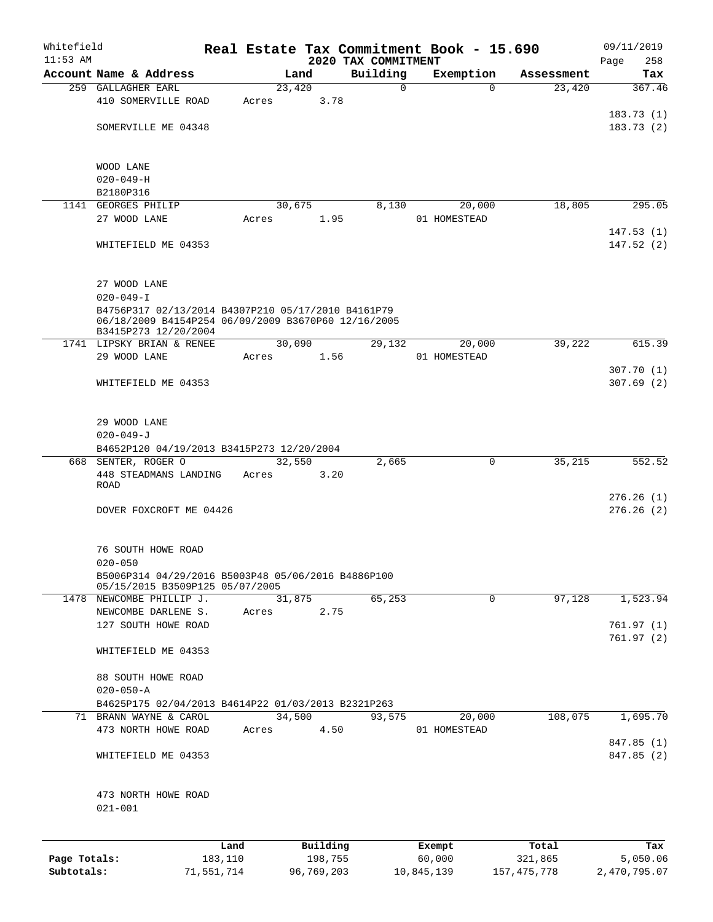| Whitefield<br>$11:53$ AM |                                                                             |         |          | 2020 TAX COMMITMENT | Real Estate Tax Commitment Book - 15.690 |            | 09/11/2019<br>258<br>Page |
|--------------------------|-----------------------------------------------------------------------------|---------|----------|---------------------|------------------------------------------|------------|---------------------------|
|                          | Account Name & Address                                                      |         | Land     | Building            | Exemption                                | Assessment | Tax                       |
|                          | 259 GALLAGHER EARL                                                          |         | 23,420   | $\mathbf 0$         | $\Omega$                                 | 23,420     | 367.46                    |
|                          | 410 SOMERVILLE ROAD                                                         | Acres   |          | 3.78                |                                          |            |                           |
|                          |                                                                             |         |          |                     |                                          |            | 183.73(1)                 |
|                          | SOMERVILLE ME 04348                                                         |         |          |                     |                                          |            | 183.73(2)                 |
|                          |                                                                             |         |          |                     |                                          |            |                           |
|                          |                                                                             |         |          |                     |                                          |            |                           |
|                          | WOOD LANE                                                                   |         |          |                     |                                          |            |                           |
|                          | $020 - 049 - H$                                                             |         |          |                     |                                          |            |                           |
|                          | B2180P316                                                                   |         |          |                     |                                          |            |                           |
|                          | 1141 GEORGES PHILIP                                                         |         | 30,675   | 8,130               | 20,000                                   | 18,805     | 295.05                    |
|                          | 27 WOOD LANE                                                                | Acres   |          | 1.95                | 01 HOMESTEAD                             |            | 147.53(1)                 |
|                          | WHITEFIELD ME 04353                                                         |         |          |                     |                                          |            | 147.52(2)                 |
|                          |                                                                             |         |          |                     |                                          |            |                           |
|                          |                                                                             |         |          |                     |                                          |            |                           |
|                          | 27 WOOD LANE                                                                |         |          |                     |                                          |            |                           |
|                          | $020 - 049 - I$                                                             |         |          |                     |                                          |            |                           |
|                          | B4756P317 02/13/2014 B4307P210 05/17/2010 B4161P79                          |         |          |                     |                                          |            |                           |
|                          | 06/18/2009 B4154P254 06/09/2009 B3670P60 12/16/2005<br>B3415P273 12/20/2004 |         |          |                     |                                          |            |                           |
|                          | 1741 LIPSKY BRIAN & RENEE                                                   |         | 30,090   | 29,132              | 20,000                                   | 39,222     | 615.39                    |
|                          | 29 WOOD LANE                                                                | Acres   |          | 1.56                | 01 HOMESTEAD                             |            |                           |
|                          |                                                                             |         |          |                     |                                          |            | 307.70(1)                 |
|                          | WHITEFIELD ME 04353                                                         |         |          |                     |                                          |            | 307.69(2)                 |
|                          |                                                                             |         |          |                     |                                          |            |                           |
|                          |                                                                             |         |          |                     |                                          |            |                           |
|                          | 29 WOOD LANE                                                                |         |          |                     |                                          |            |                           |
|                          | $020 - 049 - J$                                                             |         |          |                     |                                          |            |                           |
|                          | B4652P120 04/19/2013 B3415P273 12/20/2004                                   |         |          |                     |                                          |            |                           |
|                          | 668 SENTER, ROGER O                                                         |         | 32,550   | 2,665               | $\mathbf 0$                              | 35,215     | 552.52                    |
|                          | 448 STEADMANS LANDING<br>ROAD                                               | Acres   |          | 3.20                |                                          |            |                           |
|                          |                                                                             |         |          |                     |                                          |            | 276.26(1)                 |
|                          | DOVER FOXCROFT ME 04426                                                     |         |          |                     |                                          |            | 276.26(2)                 |
|                          |                                                                             |         |          |                     |                                          |            |                           |
|                          |                                                                             |         |          |                     |                                          |            |                           |
|                          | 76 SOUTH HOWE ROAD                                                          |         |          |                     |                                          |            |                           |
|                          | $020 - 050$                                                                 |         |          |                     |                                          |            |                           |
|                          | B5006P314 04/29/2016 B5003P48 05/06/2016 B4886P100                          |         |          |                     |                                          |            |                           |
|                          | 05/15/2015 B3509P125 05/07/2005<br>1478 NEWCOMBE PHILLIP J.                 |         | 31,875   | 65,253              | 0                                        | 97,128     | 1,523.94                  |
|                          | NEWCOMBE DARLENE S.                                                         | Acres   |          | 2.75                |                                          |            |                           |
|                          | 127 SOUTH HOWE ROAD                                                         |         |          |                     |                                          |            | 761.97(1)                 |
|                          |                                                                             |         |          |                     |                                          |            | 761.97(2)                 |
|                          | WHITEFIELD ME 04353                                                         |         |          |                     |                                          |            |                           |
|                          |                                                                             |         |          |                     |                                          |            |                           |
|                          | 88 SOUTH HOWE ROAD                                                          |         |          |                     |                                          |            |                           |
|                          | $020 - 050 - A$                                                             |         |          |                     |                                          |            |                           |
|                          | B4625P175 02/04/2013 B4614P22 01/03/2013 B2321P263                          |         |          |                     |                                          |            |                           |
|                          | 71 BRANN WAYNE & CAROL                                                      |         | 34,500   | 93,575              | 20,000                                   | 108,075    | 1,695.70                  |
|                          | 473 NORTH HOWE ROAD                                                         | Acres   |          | 4.50                | 01 HOMESTEAD                             |            |                           |
|                          |                                                                             |         |          |                     |                                          |            | 847.85 (1)                |
|                          | WHITEFIELD ME 04353                                                         |         |          |                     |                                          |            | 847.85 (2)                |
|                          |                                                                             |         |          |                     |                                          |            |                           |
|                          | 473 NORTH HOWE ROAD                                                         |         |          |                     |                                          |            |                           |
|                          | $021 - 001$                                                                 |         |          |                     |                                          |            |                           |
|                          |                                                                             |         |          |                     |                                          |            |                           |
|                          |                                                                             | Land    | Building |                     | Exempt                                   | Total      | Tax                       |
| Page Totals:             |                                                                             | 183,110 | 198,755  |                     | 60,000                                   | 321,865    | 5,050.06                  |

**Subtotals:** 71,551,714 96,769,203 10,845,139 157,475,778 2,470,795.07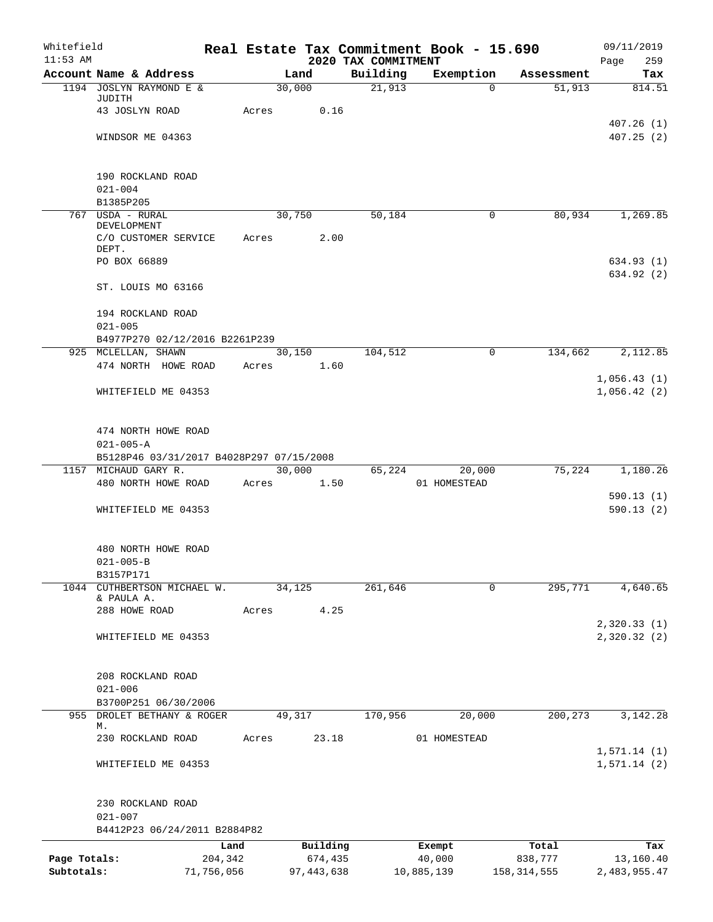| Whitefield   |                                            |       |                |                                 | Real Estate Tax Commitment Book - 15.690 |               | 09/11/2019             |
|--------------|--------------------------------------------|-------|----------------|---------------------------------|------------------------------------------|---------------|------------------------|
| $11:53$ AM   | Account Name & Address                     |       | Land           | 2020 TAX COMMITMENT<br>Building | Exemption                                | Assessment    | Page<br>259<br>Tax     |
|              | 1194 JOSLYN RAYMOND E &                    |       | 30,000         | $\overline{21,913}$             | $\Omega$                                 | 51,913        | 814.51                 |
|              | JUDITH                                     |       |                |                                 |                                          |               |                        |
|              | 43 JOSLYN ROAD                             | Acres | 0.16           |                                 |                                          |               | 407.26(1)              |
|              | WINDSOR ME 04363                           |       |                |                                 |                                          |               | 407.25(2)              |
|              |                                            |       |                |                                 |                                          |               |                        |
|              |                                            |       |                |                                 |                                          |               |                        |
|              | 190 ROCKLAND ROAD                          |       |                |                                 |                                          |               |                        |
|              | $021 - 004$<br>B1385P205                   |       |                |                                 |                                          |               |                        |
|              | 767 USDA - RURAL                           |       | 30,750         | 50,184                          | 0                                        | 80,934        | 1,269.85               |
|              | DEVELOPMENT                                |       |                |                                 |                                          |               |                        |
|              | C/O CUSTOMER SERVICE<br>DEPT.              | Acres | 2.00           |                                 |                                          |               |                        |
|              | PO BOX 66889                               |       |                |                                 |                                          |               | 634.93 (1)             |
|              |                                            |       |                |                                 |                                          |               | 634.92 (2)             |
|              | ST. LOUIS MO 63166                         |       |                |                                 |                                          |               |                        |
|              | 194 ROCKLAND ROAD                          |       |                |                                 |                                          |               |                        |
|              | $021 - 005$                                |       |                |                                 |                                          |               |                        |
|              | B4977P270 02/12/2016 B2261P239             |       |                |                                 |                                          |               |                        |
|              | 925 MCLELLAN, SHAWN<br>474 NORTH HOWE ROAD |       | 30,150<br>1.60 | 104,512                         | $\mathbf 0$                              | 134,662       | 2,112.85               |
|              |                                            | Acres |                |                                 |                                          |               | 1,056.43(1)            |
|              | WHITEFIELD ME 04353                        |       |                |                                 |                                          |               | 1,056.42(2)            |
|              |                                            |       |                |                                 |                                          |               |                        |
|              | 474 NORTH HOWE ROAD                        |       |                |                                 |                                          |               |                        |
|              | $021 - 005 - A$                            |       |                |                                 |                                          |               |                        |
|              | B5128P46 03/31/2017 B4028P297 07/15/2008   |       |                |                                 |                                          |               |                        |
|              | 1157 MICHAUD GARY R.                       |       | 30,000         | 65,224                          | 20,000                                   | 75,224        | 1,180.26               |
|              | 480 NORTH HOWE ROAD                        | Acres | 1.50           |                                 | 01 HOMESTEAD                             |               |                        |
|              | WHITEFIELD ME 04353                        |       |                |                                 |                                          |               | 590.13(1)<br>590.13(2) |
|              |                                            |       |                |                                 |                                          |               |                        |
|              |                                            |       |                |                                 |                                          |               |                        |
|              | 480 NORTH HOWE ROAD                        |       |                |                                 |                                          |               |                        |
|              | $021 - 005 - B$<br>B3157P171               |       |                |                                 |                                          |               |                        |
| 1044         | CUTHBERTSON MICHAEL W.                     |       | 34,125         | 261,646                         | 0                                        | 295,771       | 4,640.65               |
|              | & PAULA A.                                 |       |                |                                 |                                          |               |                        |
|              | 288 HOWE ROAD                              | Acres | 4.25           |                                 |                                          |               | 2,320.33 (1)           |
|              | WHITEFIELD ME 04353                        |       |                |                                 |                                          |               | 2,320.32(2)            |
|              |                                            |       |                |                                 |                                          |               |                        |
|              |                                            |       |                |                                 |                                          |               |                        |
|              | 208 ROCKLAND ROAD<br>$021 - 006$           |       |                |                                 |                                          |               |                        |
|              | B3700P251 06/30/2006                       |       |                |                                 |                                          |               |                        |
|              | 955 DROLET BETHANY & ROGER                 |       | 49,317         | 170,956                         | 20,000                                   | 200, 273      | 3,142.28               |
|              | М.<br>230 ROCKLAND ROAD                    | Acres | 23.18          |                                 | 01 HOMESTEAD                             |               |                        |
|              |                                            |       |                |                                 |                                          |               | 1,571.14(1)            |
|              | WHITEFIELD ME 04353                        |       |                |                                 |                                          |               | 1,571.14(2)            |
|              |                                            |       |                |                                 |                                          |               |                        |
|              | 230 ROCKLAND ROAD                          |       |                |                                 |                                          |               |                        |
|              | $021 - 007$                                |       |                |                                 |                                          |               |                        |
|              | B4412P23 06/24/2011 B2884P82               |       |                |                                 |                                          |               |                        |
|              | Land                                       |       | Building       |                                 | Exempt                                   | Total         | Tax                    |
| Page Totals: | 204,342                                    |       | 674,435        |                                 | 40,000                                   | 838,777       | 13,160.40              |
| Subtotals:   | 71,756,056                                 |       | 97, 443, 638   |                                 | 10,885,139                               | 158, 314, 555 | 2,483,955.47           |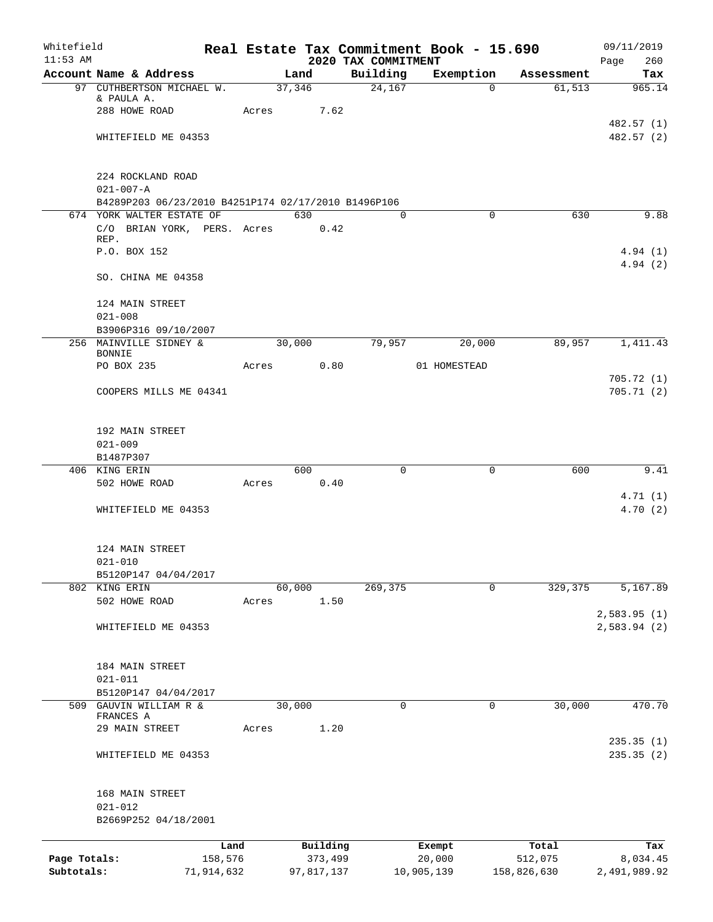| Whitefield   |                                                     |       |            |            |                                 | Real Estate Tax Commitment Book - 15.690 |             | 09/11/2019                 |
|--------------|-----------------------------------------------------|-------|------------|------------|---------------------------------|------------------------------------------|-------------|----------------------------|
| $11:53$ AM   | Account Name & Address                              |       | Land       |            | 2020 TAX COMMITMENT<br>Building | Exemption                                | Assessment  | 260<br>Page<br>Tax         |
|              | 97 CUTHBERTSON MICHAEL W.                           |       | 37,346     |            | 24,167                          | $\overline{0}$                           | 61, 513     | 965.14                     |
|              | & PAULA A.                                          |       |            |            |                                 |                                          |             |                            |
|              | 288 HOWE ROAD                                       |       | Acres 7.62 |            |                                 |                                          |             |                            |
|              |                                                     |       |            |            |                                 |                                          |             | 482.57 (1)                 |
|              | WHITEFIELD ME 04353                                 |       |            |            |                                 |                                          |             | 482.57(2)                  |
|              |                                                     |       |            |            |                                 |                                          |             |                            |
|              | 224 ROCKLAND ROAD                                   |       |            |            |                                 |                                          |             |                            |
|              | $021 - 007 - A$                                     |       |            |            |                                 |                                          |             |                            |
|              | B4289P203 06/23/2010 B4251P174 02/17/2010 B1496P106 |       |            |            |                                 |                                          |             |                            |
|              | 674 YORK WALTER ESTATE OF                           |       | 630        |            | $\Omega$                        | $\Omega$                                 | 630         | 9.88                       |
|              | C/O BRIAN YORK, PERS. Acres                         |       |            | 0.42       |                                 |                                          |             |                            |
|              | REP.                                                |       |            |            |                                 |                                          |             |                            |
|              | P.O. BOX 152                                        |       |            |            |                                 |                                          |             | 4.94(1)<br>4.94(2)         |
|              | SO. CHINA ME 04358                                  |       |            |            |                                 |                                          |             |                            |
|              | 124 MAIN STREET                                     |       |            |            |                                 |                                          |             |                            |
|              | $021 - 008$                                         |       |            |            |                                 |                                          |             |                            |
|              | B3906P316 09/10/2007                                |       |            |            |                                 |                                          |             |                            |
|              | 256 MAINVILLE SIDNEY &                              |       | 30,000     |            | 79,957                          | 20,000                                   | 89,957      | 1,411.43                   |
|              | <b>BONNIE</b>                                       |       |            |            |                                 |                                          |             |                            |
|              | PO BOX 235                                          |       | Acres      | 0.80       |                                 | 01 HOMESTEAD                             |             | 705.72(1)                  |
|              | COOPERS MILLS ME 04341                              |       |            |            |                                 |                                          |             | 705.71(2)                  |
|              |                                                     |       |            |            |                                 |                                          |             |                            |
|              | 192 MAIN STREET                                     |       |            |            |                                 |                                          |             |                            |
|              | $021 - 009$                                         |       |            |            |                                 |                                          |             |                            |
|              | B1487P307                                           |       |            |            |                                 |                                          |             |                            |
|              | 406 KING ERIN                                       |       | 600        |            | $\Omega$                        | 0                                        | 600         | 9.41                       |
|              | 502 HOWE ROAD                                       | Acres |            | 0.40       |                                 |                                          |             |                            |
|              |                                                     |       |            |            |                                 |                                          |             | 4.71(1)                    |
|              | WHITEFIELD ME 04353                                 |       |            |            |                                 |                                          |             | 4.70(2)                    |
|              | 124 MAIN STREET                                     |       |            |            |                                 |                                          |             |                            |
|              | $021 - 010$                                         |       |            |            |                                 |                                          |             |                            |
|              | B5120P147 04/04/2017                                |       |            |            |                                 |                                          |             |                            |
|              | 802 KING ERIN                                       |       | 60,000     |            | 269,375                         | 0                                        | 329,375     | 5,167.89                   |
|              | 502 HOWE ROAD                                       | Acres |            | 1.50       |                                 |                                          |             |                            |
|              | WHITEFIELD ME 04353                                 |       |            |            |                                 |                                          |             | 2,583.95(1)<br>2,583.94(2) |
|              |                                                     |       |            |            |                                 |                                          |             |                            |
|              | 184 MAIN STREET                                     |       |            |            |                                 |                                          |             |                            |
|              | $021 - 011$                                         |       |            |            |                                 |                                          |             |                            |
|              | B5120P147 04/04/2017                                |       |            |            |                                 |                                          |             |                            |
|              | 509 GAUVIN WILLIAM R &<br>FRANCES A                 |       | 30,000     |            | 0                               | 0                                        | 30,000      | 470.70                     |
|              | 29 MAIN STREET                                      | Acres |            | 1.20       |                                 |                                          |             |                            |
|              |                                                     |       |            |            |                                 |                                          |             | 235.35(1)                  |
|              | WHITEFIELD ME 04353                                 |       |            |            |                                 |                                          |             | 235.35(2)                  |
|              |                                                     |       |            |            |                                 |                                          |             |                            |
|              | 168 MAIN STREET<br>$021 - 012$                      |       |            |            |                                 |                                          |             |                            |
|              | B2669P252 04/18/2001                                |       |            |            |                                 |                                          |             |                            |
|              | Land                                                |       |            | Building   |                                 | Exempt                                   | Total       | Tax                        |
| Page Totals: | 158,576                                             |       |            | 373,499    |                                 | 20,000                                   | 512,075     | 8,034.45                   |
| Subtotals:   | 71,914,632                                          |       |            | 97,817,137 |                                 | 10,905,139                               | 158,826,630 | 2,491,989.92               |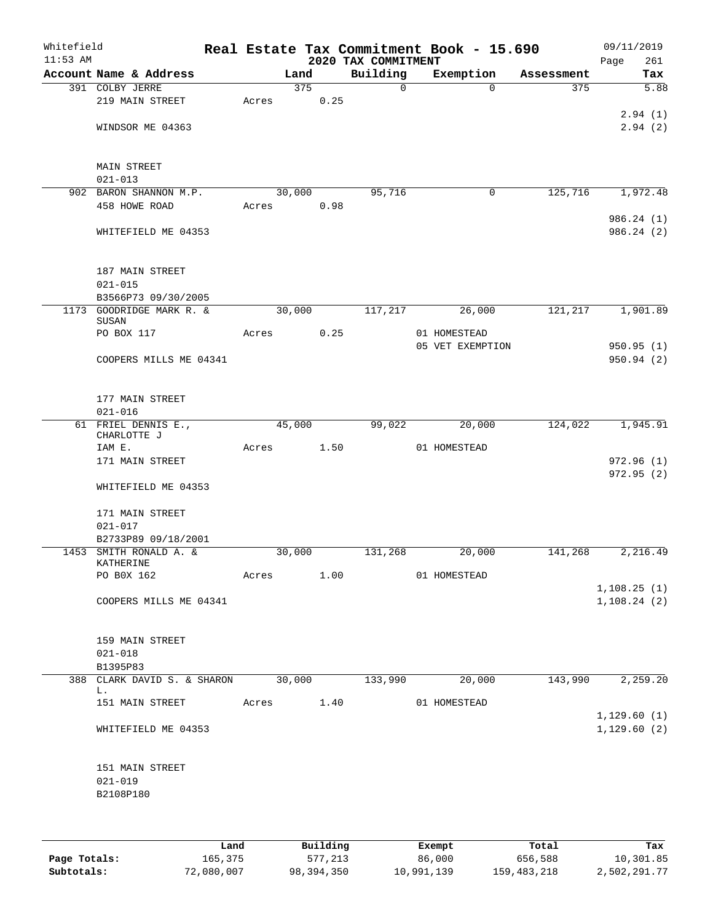| Whitefield<br>$11:53$ AM |                                     |       |        |      | 2020 TAX COMMITMENT |             | Real Estate Tax Commitment Book - 15.690 |            | 09/11/2019<br>Page<br>261 |
|--------------------------|-------------------------------------|-------|--------|------|---------------------|-------------|------------------------------------------|------------|---------------------------|
|                          | Account Name & Address              |       | Land   |      | Building            |             | Exemption                                | Assessment | Tax                       |
|                          | 391 COLBY JERRE                     |       | 375    |      |                     | $\mathbf 0$ | $\Omega$                                 | 375        | 5.88                      |
|                          | 219 MAIN STREET                     | Acres |        | 0.25 |                     |             |                                          |            |                           |
|                          | WINDSOR ME 04363                    |       |        |      |                     |             |                                          |            | 2.94(1)<br>2.94(2)        |
|                          |                                     |       |        |      |                     |             |                                          |            |                           |
|                          |                                     |       |        |      |                     |             |                                          |            |                           |
|                          | <b>MAIN STREET</b><br>$021 - 013$   |       |        |      |                     |             |                                          |            |                           |
|                          | 902 BARON SHANNON M.P.              |       | 30,000 |      | 95,716              |             | 0                                        | 125,716    | 1,972.48                  |
|                          | 458 HOWE ROAD                       | Acres |        | 0.98 |                     |             |                                          |            |                           |
|                          |                                     |       |        |      |                     |             |                                          |            | 986.24 (1)                |
|                          | WHITEFIELD ME 04353                 |       |        |      |                     |             |                                          |            | 986.24(2)                 |
|                          | 187 MAIN STREET                     |       |        |      |                     |             |                                          |            |                           |
|                          | $021 - 015$                         |       |        |      |                     |             |                                          |            |                           |
|                          | B3566P73 09/30/2005                 |       |        |      |                     |             |                                          |            |                           |
|                          | 1173 GOODRIDGE MARK R. &<br>SUSAN   |       | 30,000 |      | 117,217             |             | 26,000                                   | 121,217    | 1,901.89                  |
|                          | PO BOX 117                          | Acres |        | 0.25 |                     |             | 01 HOMESTEAD                             |            |                           |
|                          |                                     |       |        |      |                     |             | 05 VET EXEMPTION                         |            | 950.95(1)                 |
|                          | COOPERS MILLS ME 04341              |       |        |      |                     |             |                                          |            | 950.94(2)                 |
|                          | 177 MAIN STREET                     |       |        |      |                     |             |                                          |            |                           |
|                          | $021 - 016$                         |       |        |      |                     |             |                                          |            |                           |
|                          | 61 FRIEL DENNIS E.,                 |       | 45,000 |      | 99,022              |             | 20,000                                   | 124,022    | 1,945.91                  |
|                          | CHARLOTTE J                         |       |        |      |                     |             |                                          |            |                           |
|                          | IAM E.<br>171 MAIN STREET           | Acres |        | 1.50 |                     |             | 01 HOMESTEAD                             |            | 972.96(1)                 |
|                          |                                     |       |        |      |                     |             |                                          |            | 972.95 (2)                |
|                          | WHITEFIELD ME 04353                 |       |        |      |                     |             |                                          |            |                           |
|                          | 171 MAIN STREET                     |       |        |      |                     |             |                                          |            |                           |
|                          | $021 - 017$                         |       |        |      |                     |             |                                          |            |                           |
|                          | B2733P89 09/18/2001                 |       |        |      |                     |             |                                          |            |                           |
|                          | 1453 SMITH RONALD A. &<br>KATHERINE |       | 30,000 |      | 131,268             |             | 20,000                                   | 141,268    | 2,216.49                  |
|                          | PO BOX 162                          | Acres |        | 1.00 |                     |             | 01 HOMESTEAD                             |            |                           |
|                          |                                     |       |        |      |                     |             |                                          |            | 1,108.25(1)               |
|                          | COOPERS MILLS ME 04341              |       |        |      |                     |             |                                          |            | 1,108.24(2)               |
|                          |                                     |       |        |      |                     |             |                                          |            |                           |
|                          | 159 MAIN STREET<br>$021 - 018$      |       |        |      |                     |             |                                          |            |                           |
|                          | B1395P83                            |       |        |      |                     |             |                                          |            |                           |
|                          | 388 CLARK DAVID S. & SHARON         |       | 30,000 |      | 133,990             |             | 20,000                                   | 143,990    | 2,259.20                  |
|                          | L.<br>151 MAIN STREET               | Acres |        | 1.40 |                     |             | 01 HOMESTEAD                             |            |                           |
|                          |                                     |       |        |      |                     |             |                                          |            | 1,129.60(1)               |
|                          | WHITEFIELD ME 04353                 |       |        |      |                     |             |                                          |            | 1,129.60(2)               |
|                          |                                     |       |        |      |                     |             |                                          |            |                           |
|                          | 151 MAIN STREET<br>$021 - 019$      |       |        |      |                     |             |                                          |            |                           |
|                          | B2108P180                           |       |        |      |                     |             |                                          |            |                           |
|                          |                                     |       |        |      |                     |             |                                          |            |                           |
|                          |                                     |       |        |      |                     |             |                                          |            |                           |
|                          |                                     |       |        |      |                     |             |                                          |            |                           |

|              | Land       | Building   | Exempt     | Total         | Tax          |
|--------------|------------|------------|------------|---------------|--------------|
| Page Totals: | 165,375    | 577,213    | 86,000     | 656,588       | 10,301.85    |
| Subtotals:   | 72,080,007 | 98,394,350 | 10,991,139 | 159, 483, 218 | 2,502,291.77 |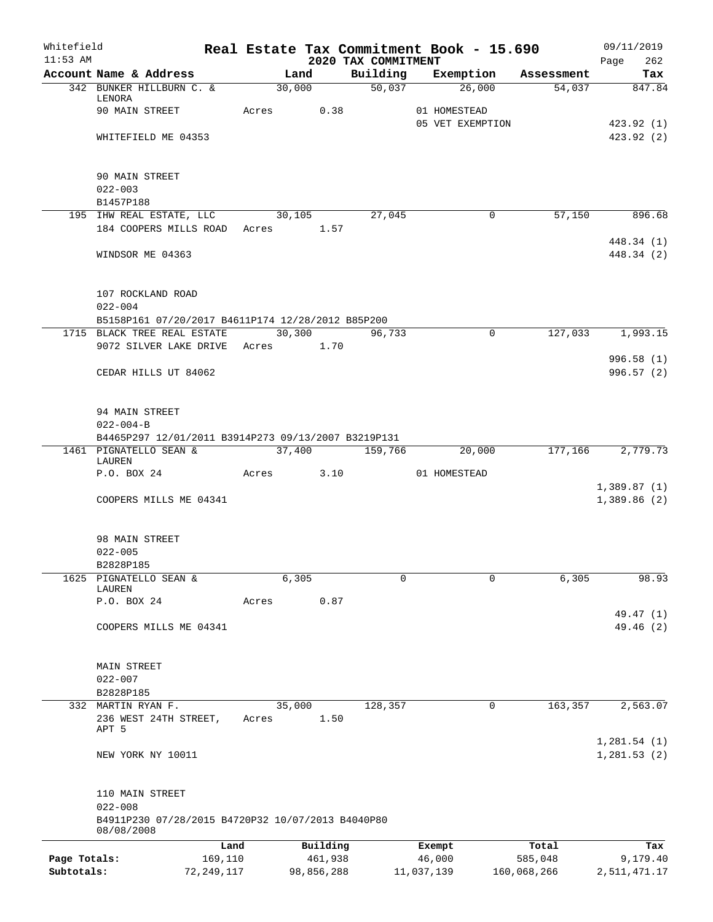| Whitefield<br>$11:53$ AM |                                                                 |       |         |            |                                 |            | Real Estate Tax Commitment Book - 15.690 |             | 09/11/2019                 |
|--------------------------|-----------------------------------------------------------------|-------|---------|------------|---------------------------------|------------|------------------------------------------|-------------|----------------------------|
|                          | Account Name & Address                                          |       | Land    |            | 2020 TAX COMMITMENT<br>Building |            | Exemption                                | Assessment  | Page<br>262<br>Tax         |
|                          | 342 BUNKER HILLBURN C. &                                        |       | 30,000  |            | 50,037                          |            | 26,000                                   | 54,037      | 847.84                     |
|                          | LENORA                                                          |       |         |            |                                 |            |                                          |             |                            |
|                          | 90 MAIN STREET                                                  | Acres |         | 0.38       |                                 |            | 01 HOMESTEAD<br>05 VET EXEMPTION         |             |                            |
|                          | WHITEFIELD ME 04353                                             |       |         |            |                                 |            |                                          |             | 423.92(1)<br>423.92 (2)    |
|                          |                                                                 |       |         |            |                                 |            |                                          |             |                            |
|                          | 90 MAIN STREET                                                  |       |         |            |                                 |            |                                          |             |                            |
|                          | $022 - 003$                                                     |       |         |            |                                 |            |                                          |             |                            |
|                          | B1457P188                                                       |       |         |            |                                 |            |                                          |             |                            |
|                          | 195 IHW REAL ESTATE, LLC                                        |       | 30,105  |            | 27,045                          |            | 0                                        | 57,150      | 896.68                     |
|                          | 184 COOPERS MILLS ROAD Acres 1.57                               |       |         |            |                                 |            |                                          |             |                            |
|                          |                                                                 |       |         |            |                                 |            |                                          |             | 448.34 (1)                 |
|                          | WINDSOR ME 04363                                                |       |         |            |                                 |            |                                          |             | 448.34 (2)                 |
|                          | 107 ROCKLAND ROAD                                               |       |         |            |                                 |            |                                          |             |                            |
|                          | $022 - 004$                                                     |       |         |            |                                 |            |                                          |             |                            |
|                          | B5158P161 07/20/2017 B4611P174 12/28/2012 B85P200               |       |         |            |                                 |            |                                          |             |                            |
|                          | 1715 BLACK TREE REAL ESTATE                                     |       | 30, 300 |            | 96,733                          |            | $\mathbf 0$                              | 127,033     | 1,993.15                   |
|                          | 9072 SILVER LAKE DRIVE Acres 1.70                               |       |         |            |                                 |            |                                          |             |                            |
|                          |                                                                 |       |         |            |                                 |            |                                          |             | 996.58 (1)                 |
|                          | CEDAR HILLS UT 84062                                            |       |         |            |                                 |            |                                          |             | 996.57(2)                  |
|                          | 94 MAIN STREET                                                  |       |         |            |                                 |            |                                          |             |                            |
|                          | $022 - 004 - B$                                                 |       |         |            |                                 |            |                                          |             |                            |
|                          | B4465P297 12/01/2011 B3914P273 09/13/2007 B3219P131             |       |         |            |                                 |            |                                          |             |                            |
|                          | 1461 PIGNATELLO SEAN &                                          |       | 37,400  |            | 159,766                         |            | 20,000                                   | 177,166     | 2,779.73                   |
|                          | LAUREN                                                          |       |         |            |                                 |            |                                          |             |                            |
|                          | P.O. BOX 24                                                     |       | Acres   | 3.10       |                                 |            | 01 HOMESTEAD                             |             |                            |
|                          | COOPERS MILLS ME 04341                                          |       |         |            |                                 |            |                                          |             | 1,389.87(1)<br>1,389.86(2) |
|                          |                                                                 |       |         |            |                                 |            |                                          |             |                            |
|                          | 98 MAIN STREET                                                  |       |         |            |                                 |            |                                          |             |                            |
|                          | $022 - 005$                                                     |       |         |            |                                 |            |                                          |             |                            |
|                          | B2828P185                                                       |       |         |            |                                 |            |                                          |             |                            |
| 1625                     | PIGNATELLO SEAN &                                               |       | 6,305   |            | 0                               |            | 0                                        | 6,305       | 98.93                      |
|                          | LAUREN<br>P.O. BOX 24                                           | Acres |         | 0.87       |                                 |            |                                          |             |                            |
|                          |                                                                 |       |         |            |                                 |            |                                          |             | 49.47 (1)                  |
|                          | COOPERS MILLS ME 04341                                          |       |         |            |                                 |            |                                          |             | 49.46 (2)                  |
|                          |                                                                 |       |         |            |                                 |            |                                          |             |                            |
|                          | MAIN STREET                                                     |       |         |            |                                 |            |                                          |             |                            |
|                          | $022 - 007$                                                     |       |         |            |                                 |            |                                          |             |                            |
|                          | B2828P185                                                       |       |         |            |                                 |            |                                          |             |                            |
|                          | 332 MARTIN RYAN F.<br>236 WEST 24TH STREET,                     | Acres | 35,000  | 1.50       | 128,357                         |            | 0                                        | 163,357     | 2,563.07                   |
|                          | APT 5                                                           |       |         |            |                                 |            |                                          |             |                            |
|                          |                                                                 |       |         |            |                                 |            |                                          |             | 1,281.54(1)                |
|                          | NEW YORK NY 10011                                               |       |         |            |                                 |            |                                          |             | 1,281.53(2)                |
|                          | 110 MAIN STREET                                                 |       |         |            |                                 |            |                                          |             |                            |
|                          | $022 - 008$                                                     |       |         |            |                                 |            |                                          |             |                            |
|                          | B4911P230 07/28/2015 B4720P32 10/07/2013 B4040P80<br>08/08/2008 |       |         |            |                                 |            |                                          |             |                            |
|                          |                                                                 | Land  |         | Building   |                                 |            | Exempt                                   | Total       | Tax                        |
| Page Totals:             | 169,110                                                         |       |         | 461,938    |                                 |            | 46,000                                   | 585,048     | 9,179.40                   |
| Subtotals:               | 72, 249, 117                                                    |       |         | 98,856,288 |                                 | 11,037,139 |                                          | 160,068,266 | 2,511,471.17               |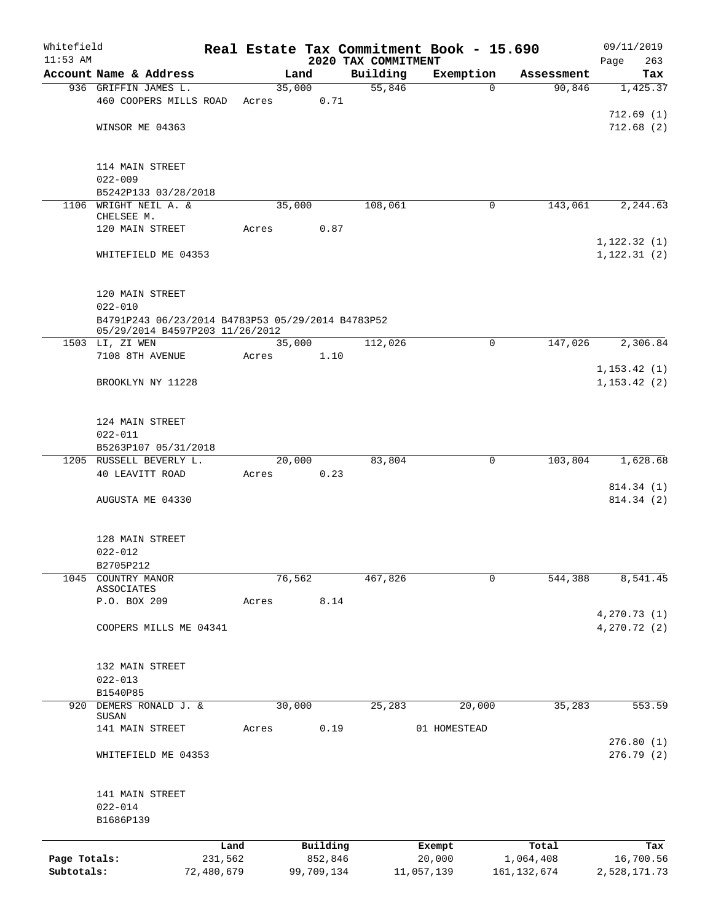| Whitefield<br>$11:53$ AM |                                                   |            |       |            | 2020 TAX COMMITMENT | Real Estate Tax Commitment Book - 15.690 |               | 09/11/2019<br>263<br>Page |
|--------------------------|---------------------------------------------------|------------|-------|------------|---------------------|------------------------------------------|---------------|---------------------------|
|                          | Account Name & Address                            |            |       | Land       | Building            | Exemption                                | Assessment    | Tax                       |
|                          | 936 GRIFFIN JAMES L.                              |            |       | 35,000     | 55,846              | $\Omega$                                 | 90,846        | 1,425.37                  |
|                          | 460 COOPERS MILLS ROAD                            |            | Acres | 0.71       |                     |                                          |               |                           |
|                          |                                                   |            |       |            |                     |                                          |               | 712.69(1)                 |
|                          | WINSOR ME 04363                                   |            |       |            |                     |                                          |               | 712.68(2)                 |
|                          |                                                   |            |       |            |                     |                                          |               |                           |
|                          |                                                   |            |       |            |                     |                                          |               |                           |
|                          | 114 MAIN STREET<br>$022 - 009$                    |            |       |            |                     |                                          |               |                           |
|                          | B5242P133 03/28/2018                              |            |       |            |                     |                                          |               |                           |
|                          | 1106 WRIGHT NEIL A. &                             |            |       | 35,000     | 108,061             | 0                                        | 143,061       | 2,244.63                  |
|                          | CHELSEE M.                                        |            |       |            |                     |                                          |               |                           |
|                          | 120 MAIN STREET                                   |            | Acres | 0.87       |                     |                                          |               |                           |
|                          |                                                   |            |       |            |                     |                                          |               | 1, 122.32(1)              |
|                          | WHITEFIELD ME 04353                               |            |       |            |                     |                                          |               | 1, 122.31(2)              |
|                          |                                                   |            |       |            |                     |                                          |               |                           |
|                          | 120 MAIN STREET                                   |            |       |            |                     |                                          |               |                           |
|                          | $022 - 010$                                       |            |       |            |                     |                                          |               |                           |
|                          | B4791P243 06/23/2014 B4783P53 05/29/2014 B4783P52 |            |       |            |                     |                                          |               |                           |
|                          | 05/29/2014 B4597P203 11/26/2012                   |            |       |            |                     |                                          |               |                           |
|                          | 1503 LI, ZI WEN                                   |            |       | 35,000     | 112,026             | 0                                        | 147,026       | 2,306.84                  |
|                          | 7108 8TH AVENUE                                   |            | Acres | 1.10       |                     |                                          |               |                           |
|                          |                                                   |            |       |            |                     |                                          |               | 1, 153.42(1)              |
|                          | BROOKLYN NY 11228                                 |            |       |            |                     |                                          |               | 1, 153.42(2)              |
|                          |                                                   |            |       |            |                     |                                          |               |                           |
|                          | 124 MAIN STREET                                   |            |       |            |                     |                                          |               |                           |
|                          | $022 - 011$                                       |            |       |            |                     |                                          |               |                           |
|                          | B5263P107 05/31/2018                              |            |       |            |                     |                                          |               |                           |
|                          | 1205 RUSSELL BEVERLY L.                           |            |       | 20,000     | 83,804              | 0                                        | 103,804       | 1,628.68                  |
|                          | 40 LEAVITT ROAD                                   |            | Acres | 0.23       |                     |                                          |               |                           |
|                          |                                                   |            |       |            |                     |                                          |               | 814.34 (1)                |
|                          | AUGUSTA ME 04330                                  |            |       |            |                     |                                          |               | 814.34 (2)                |
|                          |                                                   |            |       |            |                     |                                          |               |                           |
|                          |                                                   |            |       |            |                     |                                          |               |                           |
|                          | 128 MAIN STREET<br>$022 - 012$                    |            |       |            |                     |                                          |               |                           |
|                          | B2705P212                                         |            |       |            |                     |                                          |               |                           |
| 1045                     | COUNTRY MANOR                                     |            |       | 76,562     | 467,826             | 0                                        | 544,388       | 8,541.45                  |
|                          | ASSOCIATES                                        |            |       |            |                     |                                          |               |                           |
|                          | P.O. BOX 209                                      |            | Acres | 8.14       |                     |                                          |               |                           |
|                          |                                                   |            |       |            |                     |                                          |               | 4,270.73 (1)              |
|                          | COOPERS MILLS ME 04341                            |            |       |            |                     |                                          |               | 4, 270.72(2)              |
|                          |                                                   |            |       |            |                     |                                          |               |                           |
|                          | 132 MAIN STREET                                   |            |       |            |                     |                                          |               |                           |
|                          | $022 - 013$                                       |            |       |            |                     |                                          |               |                           |
|                          | B1540P85                                          |            |       |            |                     |                                          |               |                           |
| 920                      | DEMERS RONALD J. &                                |            |       | 30,000     | 25,283              | 20,000                                   | 35,283        | 553.59                    |
|                          | SUSAN                                             |            |       |            |                     |                                          |               |                           |
|                          | 141 MAIN STREET                                   |            | Acres | 0.19       |                     | 01 HOMESTEAD                             |               |                           |
|                          |                                                   |            |       |            |                     |                                          |               | 276.80(1)                 |
|                          | WHITEFIELD ME 04353                               |            |       |            |                     |                                          |               | 276.79 (2)                |
|                          |                                                   |            |       |            |                     |                                          |               |                           |
|                          | 141 MAIN STREET                                   |            |       |            |                     |                                          |               |                           |
|                          | $022 - 014$                                       |            |       |            |                     |                                          |               |                           |
|                          | B1686P139                                         |            |       |            |                     |                                          |               |                           |
|                          |                                                   |            |       |            |                     |                                          |               |                           |
|                          |                                                   | Land       |       | Building   |                     | Exempt                                   | Total         | Tax                       |
| Page Totals:             |                                                   | 231,562    |       | 852,846    |                     | 20,000                                   | 1,064,408     | 16,700.56                 |
| Subtotals:               |                                                   | 72,480,679 |       | 99,709,134 |                     | 11,057,139                               | 161, 132, 674 | 2,528,171.73              |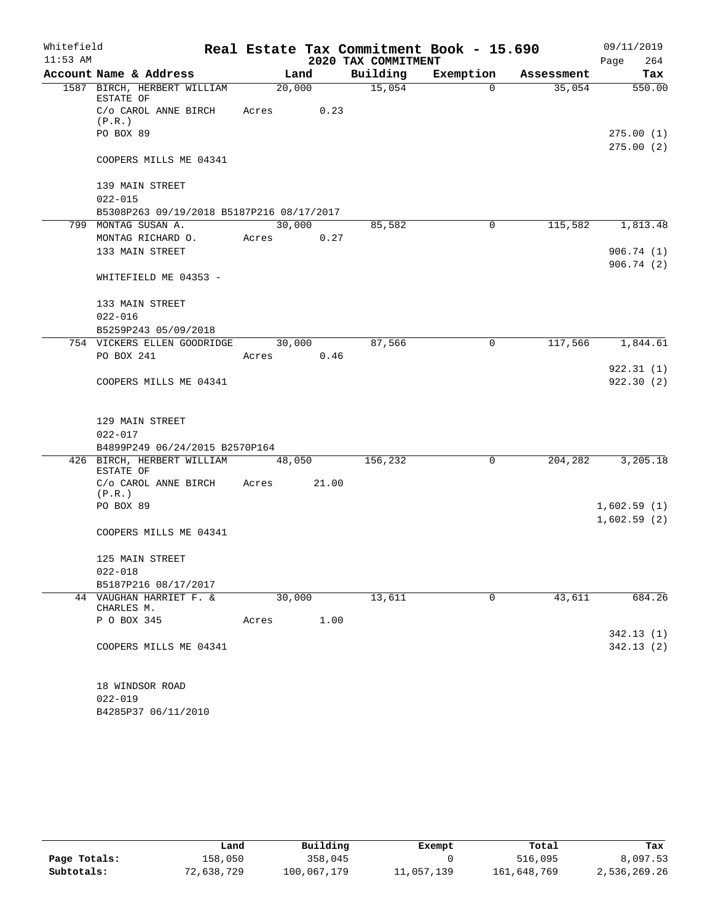| Whitefield |                                                | Real Estate Tax Commitment Book - 15.690 | 09/11/2019 |                     |             |            |                        |
|------------|------------------------------------------------|------------------------------------------|------------|---------------------|-------------|------------|------------------------|
| $11:53$ AM |                                                |                                          |            | 2020 TAX COMMITMENT |             |            | 264<br>Page            |
|            | Account Name & Address                         | Land                                     |            | Building            | Exemption   | Assessment | Tax                    |
|            | 1587 BIRCH, HERBERT WILLIAM<br>ESTATE OF       |                                          | 20,000     | 15,054              | $\Omega$    | 35,054     | 550.00                 |
|            | C/o CAROL ANNE BIRCH Acres<br>(P.R.)           |                                          | 0.23       |                     |             |            |                        |
|            | PO BOX 89                                      |                                          |            |                     |             |            | 275.00(1)<br>275.00(2) |
|            | COOPERS MILLS ME 04341                         |                                          |            |                     |             |            |                        |
|            | 139 MAIN STREET                                |                                          |            |                     |             |            |                        |
|            | $022 - 015$                                    |                                          |            |                     |             |            |                        |
|            | B5308P263 09/19/2018 B5187P216 08/17/2017      |                                          |            |                     |             |            |                        |
|            | 799 MONTAG SUSAN A.                            |                                          | 30,000     | 85,582              | 0           | 115,582    | 1,813.48               |
|            | MONTAG RICHARD O.                              | Acres                                    | 0.27       |                     |             |            |                        |
|            | 133 MAIN STREET                                |                                          |            |                     |             |            | 906.74(1)<br>906.74(2) |
|            | WHITEFIELD ME 04353 -                          |                                          |            |                     |             |            |                        |
|            | 133 MAIN STREET                                |                                          |            |                     |             |            |                        |
|            | $022 - 016$                                    |                                          |            |                     |             |            |                        |
|            | B5259P243 05/09/2018                           |                                          |            |                     |             |            |                        |
|            | 754 VICKERS ELLEN GOODRIDGE                    |                                          | 30,000     | 87,566              | $\mathbf 0$ | 117,566    | 1,844.61               |
|            | PO BOX 241                                     | Acres 0.46                               |            |                     |             |            | 922.31(1)              |
|            | COOPERS MILLS ME 04341                         |                                          |            |                     |             |            | 922.30(2)              |
|            | 129 MAIN STREET                                |                                          |            |                     |             |            |                        |
|            | $022 - 017$                                    |                                          |            |                     |             |            |                        |
|            | B4899P249 06/24/2015 B2570P164                 |                                          |            |                     |             |            |                        |
|            | 426 BIRCH, HERBERT WILLIAM 48,050<br>ESTATE OF |                                          |            | 156,232             | $\mathbf 0$ | 204,282    | 3,205.18               |
|            | C/o CAROL ANNE BIRCH Acres 21.00<br>(P,R.)     |                                          |            |                     |             |            |                        |
|            | PO BOX 89                                      |                                          |            |                     |             |            | 1,602.59(1)            |
|            |                                                |                                          |            |                     |             |            | 1,602.59(2)            |
|            | COOPERS MILLS ME 04341                         |                                          |            |                     |             |            |                        |
|            | 125 MAIN STREET                                |                                          |            |                     |             |            |                        |
|            | $022 - 018$                                    |                                          |            |                     |             |            |                        |
|            | B5187P216 08/17/2017                           |                                          |            |                     |             |            |                        |
|            | 44 VAUGHAN HARRIET F. &<br>CHARLES M.          | 30,000                                   |            | 13,611              | 0           | 43,611     | 684.26                 |
|            | P O BOX 345                                    | Acres                                    | 1.00       |                     |             |            |                        |
|            |                                                |                                          |            |                     |             |            | 342.13(1)              |
|            | COOPERS MILLS ME 04341                         |                                          |            |                     |             |            | 342.13(2)              |
|            |                                                |                                          |            |                     |             |            |                        |
|            | 18 WINDSOR ROAD<br>$022 - 019$                 |                                          |            |                     |             |            |                        |

B4285P37 06/11/2010

|              | Land       | Building    | Exempt    | Total       | Tax          |
|--------------|------------|-------------|-----------|-------------|--------------|
| Page Totals: | 158,050    | 358,045     |           | 516,095     | 8,097.53     |
| Subtotals:   | 72,638,729 | 100,067,179 | l,057,139 | 161,648,769 | 2,536,269.26 |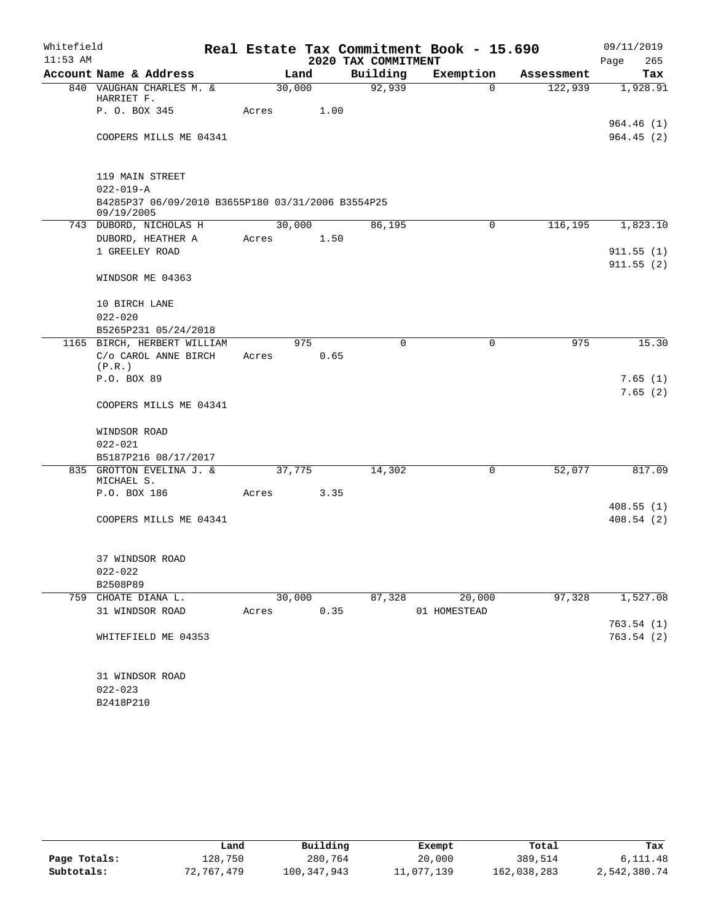| Whitefield |                                                                 |       |        |                     | Real Estate Tax Commitment Book - 15.690 |            | 09/11/2019             |
|------------|-----------------------------------------------------------------|-------|--------|---------------------|------------------------------------------|------------|------------------------|
| $11:53$ AM |                                                                 |       |        | 2020 TAX COMMITMENT |                                          |            | Page<br>265            |
|            | Account Name & Address                                          |       | Land   | Building            | Exemption                                | Assessment | Tax                    |
|            | 840 VAUGHAN CHARLES M. &<br>HARRIET F.                          |       | 30,000 | 92,939              | $\Omega$                                 | 122,939    | 1,928.91               |
|            | P. O. BOX 345                                                   | Acres |        | 1.00                |                                          |            |                        |
|            | COOPERS MILLS ME 04341                                          |       |        |                     |                                          |            | 964.46(1)<br>964.45(2) |
|            | 119 MAIN STREET                                                 |       |        |                     |                                          |            |                        |
|            | $022 - 019 - A$                                                 |       |        |                     |                                          |            |                        |
|            | B4285P37 06/09/2010 B3655P180 03/31/2006 B3554P25<br>09/19/2005 |       |        |                     |                                          |            |                        |
|            | 743 DUBORD, NICHOLAS H                                          |       | 30,000 | 86,195              | 0                                        | 116,195    | 1,823.10               |
|            | DUBORD, HEATHER A                                               | Acres |        | 1.50                |                                          |            |                        |
|            | 1 GREELEY ROAD                                                  |       |        |                     |                                          |            | 911.55(1)              |
|            | WINDSOR ME 04363                                                |       |        |                     |                                          |            | 911.55(2)              |
|            | 10 BIRCH LANE                                                   |       |        |                     |                                          |            |                        |
|            | $022 - 020$                                                     |       |        |                     |                                          |            |                        |
|            | B5265P231 05/24/2018                                            |       |        |                     |                                          |            |                        |
|            | 1165 BIRCH, HERBERT WILLIAM                                     |       | 975    |                     | $\Omega$<br>0                            | 975        | 15.30                  |
|            | C/o CAROL ANNE BIRCH<br>(P,R.)                                  | Acres |        | 0.65                |                                          |            |                        |
|            | P.O. BOX 89                                                     |       |        |                     |                                          |            | 7.65(1)                |
|            | COOPERS MILLS ME 04341                                          |       |        |                     |                                          |            | 7.65(2)                |
|            |                                                                 |       |        |                     |                                          |            |                        |
|            | WINDSOR ROAD<br>$022 - 021$                                     |       |        |                     |                                          |            |                        |
|            | B5187P216 08/17/2017                                            |       |        |                     |                                          |            |                        |
|            | 835 GROTTON EVELINA J. &<br>MICHAEL S.                          |       | 37,775 | 14,302              | 0                                        | 52,077     | 817.09                 |
|            | P.O. BOX 186                                                    | Acres |        | 3.35                |                                          |            |                        |
|            |                                                                 |       |        |                     |                                          |            | 408.55(1)              |
|            | COOPERS MILLS ME 04341                                          |       |        |                     |                                          |            | 408.54(2)              |
|            | 37 WINDSOR ROAD                                                 |       |        |                     |                                          |            |                        |
|            | $022 - 022$                                                     |       |        |                     |                                          |            |                        |
|            | B2508P89                                                        |       |        |                     |                                          |            |                        |
|            | 759 CHOATE DIANA L.                                             |       | 30,000 | 87,328              | 20,000                                   | 97,328     | 1,527.08               |
|            | 31 WINDSOR ROAD                                                 | Acres |        | 0.35                | 01 HOMESTEAD                             |            | 763.54(1)              |
|            | WHITEFIELD ME 04353                                             |       |        |                     |                                          |            | 763.54(2)              |
|            |                                                                 |       |        |                     |                                          |            |                        |
|            | 31 WINDSOR ROAD<br>$022 - 023$                                  |       |        |                     |                                          |            |                        |
|            | B2418P210                                                       |       |        |                     |                                          |            |                        |

|              | Land       | Building    | Exempt     | Total       | Tax          |
|--------------|------------|-------------|------------|-------------|--------------|
| Page Totals: | 128.750    | 280,764     | 20,000     | 389,514     | 6,111.48     |
| Subtotals:   | 72.767.479 | 100,347,943 | 11,077,139 | 162,038,283 | 2,542,380.74 |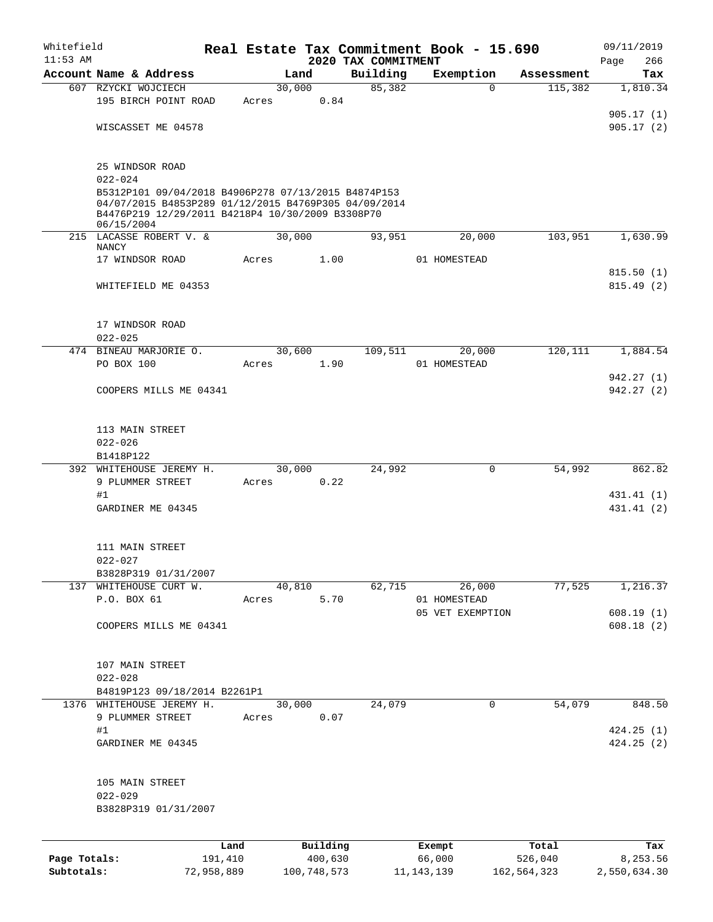| Whitefield   |                                                                                                                                                                               |            |       |             |          |                                 | Real Estate Tax Commitment Book - 15.690 |             | 09/11/2019               |
|--------------|-------------------------------------------------------------------------------------------------------------------------------------------------------------------------------|------------|-------|-------------|----------|---------------------------------|------------------------------------------|-------------|--------------------------|
| $11:53$ AM   | Account Name & Address                                                                                                                                                        |            |       | Land        |          | 2020 TAX COMMITMENT<br>Building | Exemption                                | Assessment  | 266<br>Page<br>Tax       |
|              | 607 RZYCKI WOJCIECH                                                                                                                                                           |            |       | 30,000      |          | 85,382                          | $\Omega$                                 | 115,382     | 1,810.34                 |
|              | 195 BIRCH POINT ROAD                                                                                                                                                          |            | Acres |             | 0.84     |                                 |                                          |             |                          |
|              |                                                                                                                                                                               |            |       |             |          |                                 |                                          |             | 905.17(1)                |
|              | WISCASSET ME 04578                                                                                                                                                            |            |       |             |          |                                 |                                          |             | 905.17(2)                |
|              | 25 WINDSOR ROAD<br>$022 - 024$                                                                                                                                                |            |       |             |          |                                 |                                          |             |                          |
|              | B5312P101 09/04/2018 B4906P278 07/13/2015 B4874P153<br>04/07/2015 B4853P289 01/12/2015 B4769P305 04/09/2014<br>B4476P219 12/29/2011 B4218P4 10/30/2009 B3308P70<br>06/15/2004 |            |       |             |          |                                 |                                          |             |                          |
|              | 215 LACASSE ROBERT V. &<br><b>NANCY</b>                                                                                                                                       |            |       | 30,000      |          | 93,951                          | 20,000                                   | 103,951     | 1,630.99                 |
|              | 17 WINDSOR ROAD                                                                                                                                                               |            | Acres |             | 1.00     |                                 | 01 HOMESTEAD                             |             |                          |
|              | WHITEFIELD ME 04353                                                                                                                                                           |            |       |             |          |                                 |                                          |             | 815.50(1)<br>815.49(2)   |
|              | 17 WINDSOR ROAD<br>$022 - 025$                                                                                                                                                |            |       |             |          |                                 |                                          |             |                          |
|              | 474 BINEAU MARJORIE O.                                                                                                                                                        |            |       | 30,600      |          | 109,511                         | 20,000                                   | 120,111     | 1,884.54                 |
|              | PO BOX 100                                                                                                                                                                    |            | Acres |             | 1.90     |                                 | 01 HOMESTEAD                             |             |                          |
|              | COOPERS MILLS ME 04341                                                                                                                                                        |            |       |             |          |                                 |                                          |             | 942.27 (1)<br>942.27(2)  |
|              | 113 MAIN STREET<br>$022 - 026$<br>B1418P122                                                                                                                                   |            |       |             |          |                                 |                                          |             |                          |
|              | 392 WHITEHOUSE JEREMY H.                                                                                                                                                      |            |       | 30,000      |          | 24,992                          | $\mathbf 0$                              | 54,992      | 862.82                   |
|              | 9 PLUMMER STREET                                                                                                                                                              |            | Acres |             | 0.22     |                                 |                                          |             |                          |
|              | #1<br>GARDINER ME 04345                                                                                                                                                       |            |       |             |          |                                 |                                          |             | 431.41 (1)<br>431.41 (2) |
|              | 111 MAIN STREET<br>$022 - 027$                                                                                                                                                |            |       |             |          |                                 |                                          |             |                          |
|              | B3828P319 01/31/2007<br>137 WHITEHOUSE CURT W.                                                                                                                                |            |       | 40,810      |          | 62,715                          | 26,000                                   | 77,525      | 1,216.37                 |
|              | P.O. BOX 61                                                                                                                                                                   |            | Acres |             | 5.70     |                                 | 01 HOMESTEAD<br>05 VET EXEMPTION         |             | 608.19(1)                |
|              | COOPERS MILLS ME 04341                                                                                                                                                        |            |       |             |          |                                 |                                          |             | 608.18(2)                |
|              | 107 MAIN STREET<br>$022 - 028$                                                                                                                                                |            |       |             |          |                                 |                                          |             |                          |
|              | B4819P123 09/18/2014 B2261P1<br>1376 WHITEHOUSE JEREMY H.                                                                                                                     |            |       | 30,000      |          | 24,079                          | $\mathbf 0$                              | 54,079      | 848.50                   |
|              | 9 PLUMMER STREET                                                                                                                                                              |            | Acres |             | 0.07     |                                 |                                          |             |                          |
|              | #1                                                                                                                                                                            |            |       |             |          |                                 |                                          |             | 424.25(1)                |
|              | GARDINER ME 04345                                                                                                                                                             |            |       |             |          |                                 |                                          |             | 424.25(2)                |
|              | 105 MAIN STREET<br>$022 - 029$<br>B3828P319 01/31/2007                                                                                                                        |            |       |             |          |                                 |                                          |             |                          |
|              |                                                                                                                                                                               | Land       |       |             | Building |                                 | Exempt                                   | Total       | Tax                      |
| Page Totals: |                                                                                                                                                                               | 191,410    |       |             | 400,630  |                                 | 66,000                                   | 526,040     | 8,253.56                 |
| Subtotals:   |                                                                                                                                                                               | 72,958,889 |       | 100,748,573 |          |                                 | 11, 143, 139                             | 162,564,323 | 2,550,634.30             |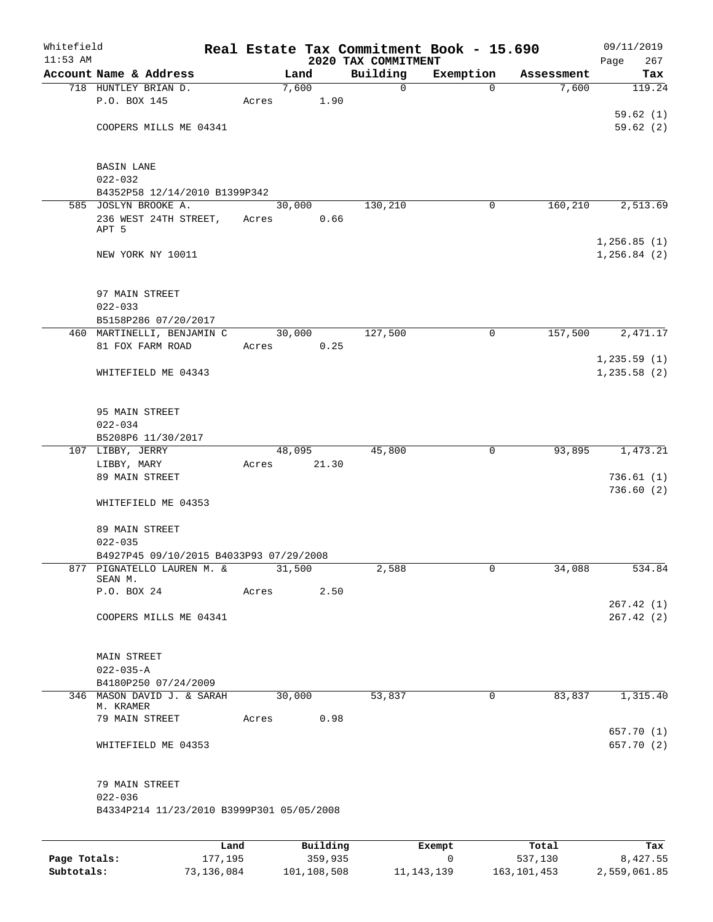| Whitefield<br>$11:53$ AM |                                                       |         |       |          |                                 | Real Estate Tax Commitment Book - 15.690 |            | 09/11/2019         |
|--------------------------|-------------------------------------------------------|---------|-------|----------|---------------------------------|------------------------------------------|------------|--------------------|
|                          | Account Name & Address                                |         |       | Land     | 2020 TAX COMMITMENT<br>Building | Exemption                                | Assessment | Page<br>267<br>Tax |
|                          | 718 HUNTLEY BRIAN D.                                  |         |       | 7,600    | 0                               | $\Omega$                                 | 7,600      | 119.24             |
|                          | P.O. BOX 145                                          |         | Acres | 1.90     |                                 |                                          |            |                    |
|                          |                                                       |         |       |          |                                 |                                          |            | 59.62(1)           |
|                          | COOPERS MILLS ME 04341                                |         |       |          |                                 |                                          |            | 59.62(2)           |
|                          |                                                       |         |       |          |                                 |                                          |            |                    |
|                          | <b>BASIN LANE</b>                                     |         |       |          |                                 |                                          |            |                    |
|                          | $022 - 032$                                           |         |       |          |                                 |                                          |            |                    |
|                          | B4352P58 12/14/2010 B1399P342<br>585 JOSLYN BROOKE A. |         |       | 30,000   | 130,210                         | 0                                        | 160,210    | 2,513.69           |
|                          | 236 WEST 24TH STREET,                                 |         | Acres | 0.66     |                                 |                                          |            |                    |
|                          | APT 5                                                 |         |       |          |                                 |                                          |            |                    |
|                          |                                                       |         |       |          |                                 |                                          |            | 1,256.85(1)        |
|                          | NEW YORK NY 10011                                     |         |       |          |                                 |                                          |            | 1, 256.84 (2)      |
|                          |                                                       |         |       |          |                                 |                                          |            |                    |
|                          | 97 MAIN STREET<br>$022 - 033$                         |         |       |          |                                 |                                          |            |                    |
|                          | B5158P286 07/20/2017                                  |         |       |          |                                 |                                          |            |                    |
|                          | 460 MARTINELLI, BENJAMIN C                            |         |       | 30,000   | 127,500                         | $\mathsf{O}$                             | 157,500    | 2,471.17           |
|                          | 81 FOX FARM ROAD                                      |         | Acres | 0.25     |                                 |                                          |            |                    |
|                          |                                                       |         |       |          |                                 |                                          |            | 1, 235.59(1)       |
|                          | WHITEFIELD ME 04343                                   |         |       |          |                                 |                                          |            | 1, 235.58(2)       |
|                          |                                                       |         |       |          |                                 |                                          |            |                    |
|                          |                                                       |         |       |          |                                 |                                          |            |                    |
|                          | 95 MAIN STREET                                        |         |       |          |                                 |                                          |            |                    |
|                          | $022 - 034$<br>B5208P6 11/30/2017                     |         |       |          |                                 |                                          |            |                    |
|                          | 107 LIBBY, JERRY                                      |         |       | 48,095   | 45,800                          | 0                                        | 93,895     | 1,473.21           |
|                          | LIBBY, MARY                                           |         | Acres | 21.30    |                                 |                                          |            |                    |
|                          | 89 MAIN STREET                                        |         |       |          |                                 |                                          |            | 736.61(1)          |
|                          |                                                       |         |       |          |                                 |                                          |            | 736.60(2)          |
|                          | WHITEFIELD ME 04353                                   |         |       |          |                                 |                                          |            |                    |
|                          | 89 MAIN STREET                                        |         |       |          |                                 |                                          |            |                    |
|                          | $022 - 035$                                           |         |       |          |                                 |                                          |            |                    |
|                          | B4927P45 09/10/2015 B4033P93 07/29/2008               |         |       |          |                                 |                                          |            |                    |
| 877                      | PIGNATELLO LAUREN M. &                                |         |       | 31,500   | 2,588                           | 0                                        | 34,088     | 534.84             |
|                          | SEAN M.<br>P.O. BOX 24                                |         | Acres | 2.50     |                                 |                                          |            |                    |
|                          |                                                       |         |       |          |                                 |                                          |            | 267.42(1)          |
|                          | COOPERS MILLS ME 04341                                |         |       |          |                                 |                                          |            | 267.42(2)          |
|                          |                                                       |         |       |          |                                 |                                          |            |                    |
|                          |                                                       |         |       |          |                                 |                                          |            |                    |
|                          | MAIN STREET                                           |         |       |          |                                 |                                          |            |                    |
|                          | $022 - 035 - A$                                       |         |       |          |                                 |                                          |            |                    |
|                          | B4180P250 07/24/2009                                  |         |       |          |                                 |                                          |            |                    |
|                          | 346 MASON DAVID J. & SARAH<br>M. KRAMER               |         |       | 30,000   | 53,837                          | 0                                        | 83,837     | 1,315.40           |
|                          | 79 MAIN STREET                                        |         | Acres | 0.98     |                                 |                                          |            |                    |
|                          |                                                       |         |       |          |                                 |                                          |            | 657.70 (1)         |
|                          | WHITEFIELD ME 04353                                   |         |       |          |                                 |                                          |            | 657.70 (2)         |
|                          | 79 MAIN STREET                                        |         |       |          |                                 |                                          |            |                    |
|                          | $022 - 036$                                           |         |       |          |                                 |                                          |            |                    |
|                          | B4334P214 11/23/2010 B3999P301 05/05/2008             |         |       |          |                                 |                                          |            |                    |
|                          |                                                       |         |       |          |                                 |                                          |            |                    |
|                          |                                                       | Land    |       | Building |                                 | Exempt                                   | Total      | Tax                |
| Page Totals:             |                                                       | 177,195 |       | 359,935  |                                 | 0                                        | 537,130    | 8,427.55           |

**Subtotals:** 73,136,084 101,108,508 11,143,139 163,101,453 2,559,061.85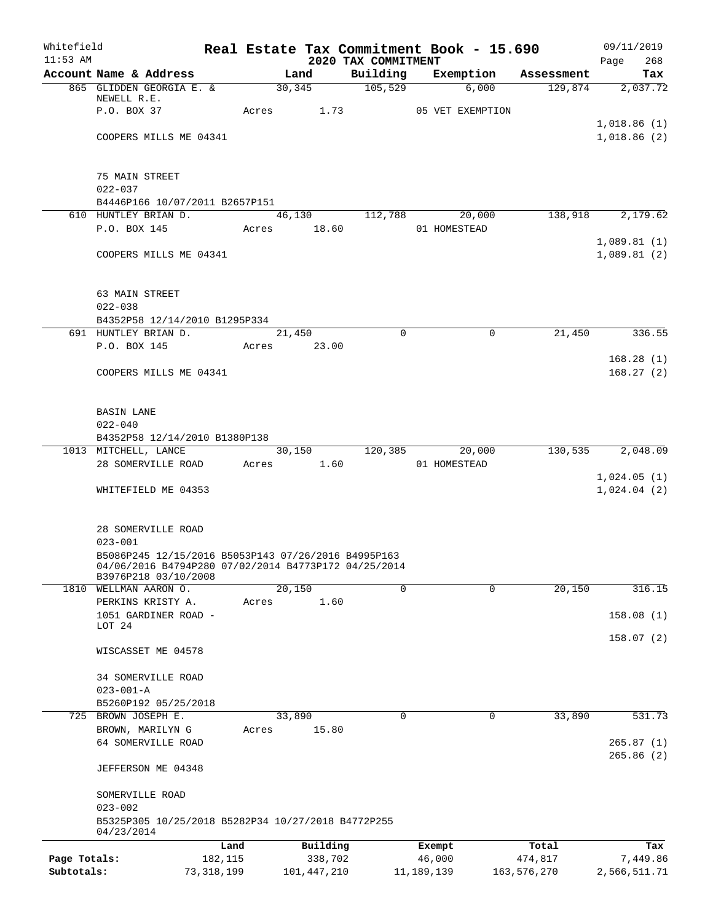| Whitefield<br>$11:53$ AM |                                                                    |              |               | Real Estate Tax Commitment Book - 15.690<br>2020 TAX COMMITMENT |              |                  |             | 09/11/2019<br>268<br>Page |
|--------------------------|--------------------------------------------------------------------|--------------|---------------|-----------------------------------------------------------------|--------------|------------------|-------------|---------------------------|
|                          | Account Name & Address                                             |              | Land          | Building                                                        |              | Exemption        | Assessment  | Tax                       |
|                          | 865 GLIDDEN GEORGIA E. &                                           |              | 30,345        | 105,529                                                         |              | 6,000            | 129,874     | 2,037.72                  |
|                          | NEWELL R.E.                                                        |              |               |                                                                 |              |                  |             |                           |
|                          | P.O. BOX 37                                                        |              | Acres 1.73    |                                                                 |              | 05 VET EXEMPTION |             | 1,018.86(1)               |
|                          | COOPERS MILLS ME 04341                                             |              |               |                                                                 |              |                  |             | 1,018.86(2)               |
|                          |                                                                    |              |               |                                                                 |              |                  |             |                           |
|                          |                                                                    |              |               |                                                                 |              |                  |             |                           |
|                          | 75 MAIN STREET                                                     |              |               |                                                                 |              |                  |             |                           |
|                          | $022 - 037$                                                        |              |               |                                                                 |              |                  |             |                           |
|                          | B4446P166 10/07/2011 B2657P151<br>610 HUNTLEY BRIAN D.             |              | 46,130        | 112,788                                                         |              | 20,000           | 138,918     | 2,179.62                  |
|                          | P.O. BOX 145                                                       |              | Acres 18.60   |                                                                 | 01 HOMESTEAD |                  |             |                           |
|                          |                                                                    |              |               |                                                                 |              |                  |             | 1,089.81(1)               |
|                          | COOPERS MILLS ME 04341                                             |              |               |                                                                 |              |                  |             | 1,089.81(2)               |
|                          |                                                                    |              |               |                                                                 |              |                  |             |                           |
|                          |                                                                    |              |               |                                                                 |              |                  |             |                           |
|                          | 63 MAIN STREET                                                     |              |               |                                                                 |              |                  |             |                           |
|                          | $022 - 038$<br>B4352P58 12/14/2010 B1295P334                       |              |               |                                                                 |              |                  |             |                           |
|                          | 691 HUNTLEY BRIAN D.                                               |              | 21,450        |                                                                 | $\Omega$     | $\mathbf 0$      | 21,450      | 336.55                    |
|                          | P.O. BOX 145                                                       |              | Acres 23.00   |                                                                 |              |                  |             |                           |
|                          |                                                                    |              |               |                                                                 |              |                  |             | 168.28(1)                 |
|                          | COOPERS MILLS ME 04341                                             |              |               |                                                                 |              |                  |             | 168.27(2)                 |
|                          |                                                                    |              |               |                                                                 |              |                  |             |                           |
|                          |                                                                    |              |               |                                                                 |              |                  |             |                           |
|                          | <b>BASIN LANE</b>                                                  |              |               |                                                                 |              |                  |             |                           |
|                          | $022 - 040$<br>B4352P58 12/14/2010 B1380P138                       |              |               |                                                                 |              |                  |             |                           |
|                          | 1013 MITCHELL, LANCE                                               |              | 30,150        | 120,385                                                         |              | 20,000           | 130,535     | 2,048.09                  |
|                          | 28 SOMERVILLE ROAD                                                 |              | Acres 1.60    |                                                                 | 01 HOMESTEAD |                  |             |                           |
|                          |                                                                    |              |               |                                                                 |              |                  |             | 1,024.05(1)               |
|                          | WHITEFIELD ME 04353                                                |              |               |                                                                 |              |                  |             | 1,024.04(2)               |
|                          |                                                                    |              |               |                                                                 |              |                  |             |                           |
|                          |                                                                    |              |               |                                                                 |              |                  |             |                           |
|                          | 28 SOMERVILLE ROAD                                                 |              |               |                                                                 |              |                  |             |                           |
|                          | $023 - 001$<br>B5086P245 12/15/2016 B5053P143 07/26/2016 B4995P163 |              |               |                                                                 |              |                  |             |                           |
|                          | 04/06/2016 B4794P280 07/02/2014 B4773P172 04/25/2014               |              |               |                                                                 |              |                  |             |                           |
|                          | B3976P218 03/10/2008                                               |              |               |                                                                 |              |                  |             |                           |
| 1810                     | WELLMAN AARON O.                                                   | Acres        | 20,150        |                                                                 | 0            | $\Omega$         | 20,150      | 316.15                    |
|                          | PERKINS KRISTY A.<br>1051 GARDINER ROAD -                          |              |               | 1.60                                                            |              |                  |             | 158.08(1)                 |
|                          | LOT 24                                                             |              |               |                                                                 |              |                  |             |                           |
|                          |                                                                    |              |               |                                                                 |              |                  |             | 158.07(2)                 |
|                          | WISCASSET ME 04578                                                 |              |               |                                                                 |              |                  |             |                           |
|                          |                                                                    |              |               |                                                                 |              |                  |             |                           |
|                          | 34 SOMERVILLE ROAD<br>$023 - 001 - A$                              |              |               |                                                                 |              |                  |             |                           |
|                          | B5260P192 05/25/2018                                               |              |               |                                                                 |              |                  |             |                           |
| 725                      | BROWN JOSEPH E.                                                    |              | 33,890        |                                                                 | 0            | 0                | 33,890      | 531.73                    |
|                          | BROWN, MARILYN G                                                   | Acres        |               | 15.80                                                           |              |                  |             |                           |
|                          | 64 SOMERVILLE ROAD                                                 |              |               |                                                                 |              |                  |             | 265.87(1)                 |
|                          |                                                                    |              |               |                                                                 |              |                  |             | 265.86(2)                 |
|                          | JEFFERSON ME 04348                                                 |              |               |                                                                 |              |                  |             |                           |
|                          |                                                                    |              |               |                                                                 |              |                  |             |                           |
|                          | SOMERVILLE ROAD<br>$023 - 002$                                     |              |               |                                                                 |              |                  |             |                           |
|                          | B5325P305 10/25/2018 B5282P34 10/27/2018 B4772P255                 |              |               |                                                                 |              |                  |             |                           |
|                          | 04/23/2014                                                         |              |               |                                                                 |              |                  |             |                           |
|                          |                                                                    | Land         | Building      |                                                                 | Exempt       |                  | Total       | Tax                       |
| Page Totals:             |                                                                    | 182,115      |               | 338,702                                                         | 46,000       |                  | 474,817     | 7,449.86                  |
| Subtotals:               |                                                                    | 73, 318, 199 | 101, 447, 210 |                                                                 | 11, 189, 139 |                  | 163,576,270 | 2,566,511.71              |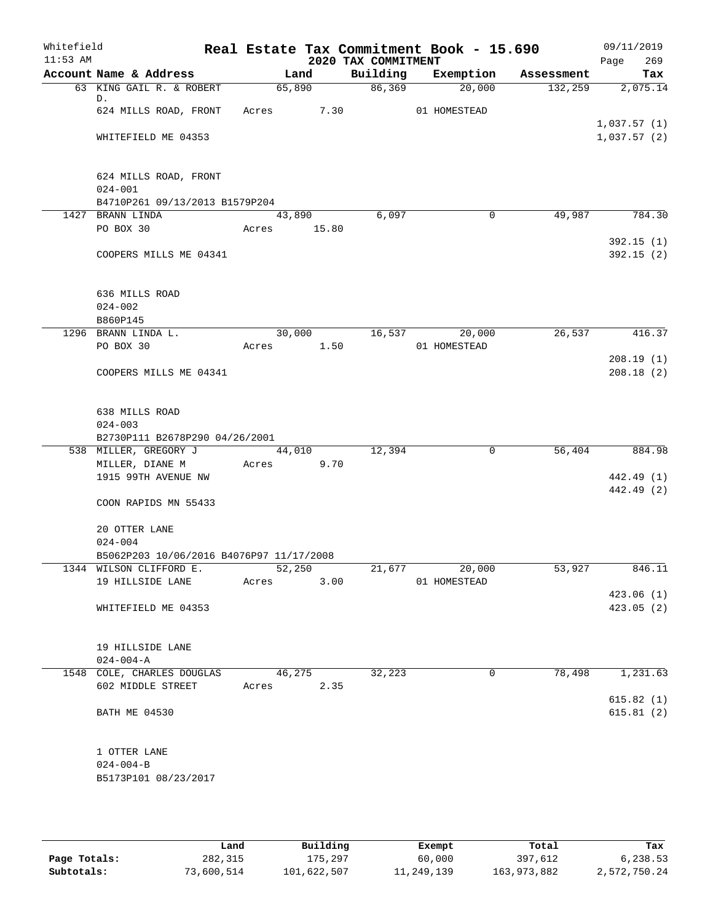| Whitefield |                                                    |             |        |                     | Real Estate Tax Commitment Book - 15.690 |            | 09/11/2019               |
|------------|----------------------------------------------------|-------------|--------|---------------------|------------------------------------------|------------|--------------------------|
| $11:53$ AM |                                                    |             |        | 2020 TAX COMMITMENT |                                          |            | 269<br>Page              |
|            | Account Name & Address                             |             | Land   | Building            | Exemption                                | Assessment | Tax                      |
|            | 63 KING GAIL R. & ROBERT<br>D.                     | 65,890      |        | 86,369              | 20,000                                   | 132,259    | 2,075.14                 |
|            | 624 MILLS ROAD, FRONT Acres 7.30                   |             |        |                     | 01 HOMESTEAD                             |            |                          |
|            |                                                    |             |        |                     |                                          |            | 1,037.57(1)              |
|            | WHITEFIELD ME 04353                                |             |        |                     |                                          |            | 1,037.57(2)              |
|            |                                                    |             |        |                     |                                          |            |                          |
|            |                                                    |             |        |                     |                                          |            |                          |
|            | 624 MILLS ROAD, FRONT                              |             |        |                     |                                          |            |                          |
|            | $024 - 001$                                        |             |        |                     |                                          |            |                          |
|            | B4710P261 09/13/2013 B1579P204<br>1427 BRANN LINDA |             | 43,890 | 6,097               | 0                                        | 49,987     | 784.30                   |
|            | PO BOX 30                                          | Acres 15.80 |        |                     |                                          |            |                          |
|            |                                                    |             |        |                     |                                          |            | 392.15(1)                |
|            | COOPERS MILLS ME 04341                             |             |        |                     |                                          |            | 392.15(2)                |
|            |                                                    |             |        |                     |                                          |            |                          |
|            |                                                    |             |        |                     |                                          |            |                          |
|            | 636 MILLS ROAD                                     |             |        |                     |                                          |            |                          |
|            | $024 - 002$                                        |             |        |                     |                                          |            |                          |
|            | B860P145                                           |             |        |                     |                                          |            |                          |
|            | 1296 BRANN LINDA L.                                |             | 30,000 |                     | 16,537<br>20,000                         | 26,537     | 416.37                   |
|            | PO BOX 30                                          | Acres 1.50  |        |                     | 01 HOMESTEAD                             |            | 208.19(1)                |
|            | COOPERS MILLS ME 04341                             |             |        |                     |                                          |            | 208.18(2)                |
|            |                                                    |             |        |                     |                                          |            |                          |
|            |                                                    |             |        |                     |                                          |            |                          |
|            | 638 MILLS ROAD                                     |             |        |                     |                                          |            |                          |
|            | $024 - 003$                                        |             |        |                     |                                          |            |                          |
|            | B2730P111 B2678P290 04/26/2001                     |             |        |                     |                                          |            |                          |
|            | 538 MILLER, GREGORY J                              |             | 44,010 | 12,394              | 0                                        | 56,404     | 884.98                   |
|            | MILLER, DIANE M                                    | Acres 9.70  |        |                     |                                          |            |                          |
|            | 1915 99TH AVENUE NW                                |             |        |                     |                                          |            | 442.49 (1)<br>442.49 (2) |
|            | COON RAPIDS MN 55433                               |             |        |                     |                                          |            |                          |
|            |                                                    |             |        |                     |                                          |            |                          |
|            | 20 OTTER LANE                                      |             |        |                     |                                          |            |                          |
|            | $024 - 004$                                        |             |        |                     |                                          |            |                          |
|            | B5062P203 10/06/2016 B4076P97 11/17/2008           |             |        |                     |                                          |            |                          |
|            | 1344 WILSON CLIFFORD E.                            |             | 52,250 | 21,677              | 20,000                                   | 53,927     | 846.11                   |
|            | 19 HILLSIDE LANE                                   | Acres       | 3.00   |                     | 01 HOMESTEAD                             |            |                          |
|            |                                                    |             |        |                     |                                          |            | 423.06 (1)               |
|            | WHITEFIELD ME 04353                                |             |        |                     |                                          |            | 423.05 (2)               |
|            |                                                    |             |        |                     |                                          |            |                          |
|            | 19 HILLSIDE LANE                                   |             |        |                     |                                          |            |                          |
|            | $024 - 004 - A$                                    |             |        |                     |                                          |            |                          |
|            | 1548 COLE, CHARLES DOUGLAS                         | 46,275      |        | 32,223              | 0                                        | 78,498     | 1,231.63                 |
|            | 602 MIDDLE STREET                                  | Acres       | 2.35   |                     |                                          |            |                          |
|            |                                                    |             |        |                     |                                          |            | 615.82(1)                |
|            | <b>BATH ME 04530</b>                               |             |        |                     |                                          |            | 615.81(2)                |
|            |                                                    |             |        |                     |                                          |            |                          |
|            | 1 OTTER LANE                                       |             |        |                     |                                          |            |                          |
|            | $024 - 004 - B$                                    |             |        |                     |                                          |            |                          |
|            | B5173P101 08/23/2017                               |             |        |                     |                                          |            |                          |
|            |                                                    |             |        |                     |                                          |            |                          |

|              | Land       | Building    | Exempt     | Total       | Tax          |
|--------------|------------|-------------|------------|-------------|--------------|
| Page Totals: | 282,315    | 175,297     | 60,000     | 397,612     | 6,238.53     |
| Subtotals:   | 73,600,514 | 101,622,507 | 11,249,139 | 163,973,882 | 2,572,750.24 |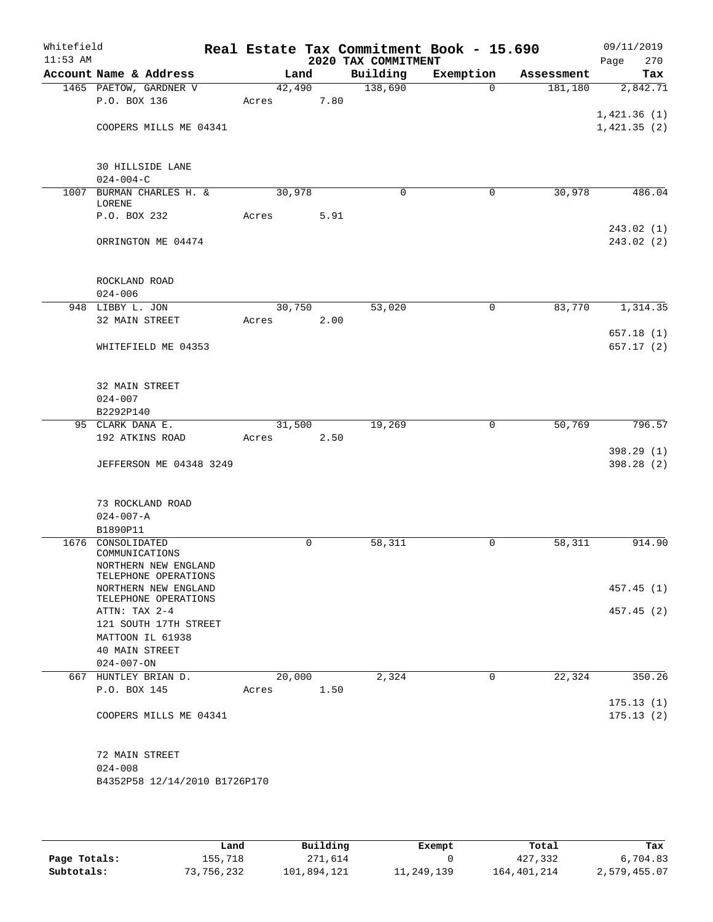| Whitefield<br>$11:53$ AM |                                              |        |      | 2020 TAX COMMITMENT | Real Estate Tax Commitment Book - 15.690 |            | 09/11/2019<br>Page<br>270 |
|--------------------------|----------------------------------------------|--------|------|---------------------|------------------------------------------|------------|---------------------------|
|                          | Account Name & Address                       | Land   |      | Building            | Exemption                                | Assessment | Tax                       |
|                          | 1465 PAETOW, GARDNER V                       | 42,490 |      | 138,690             | $\Omega$                                 | 181,180    | 2,842.71                  |
|                          | P.O. BOX 136                                 | Acres  | 7.80 |                     |                                          |            |                           |
|                          |                                              |        |      |                     |                                          |            | 1,421.36(1)               |
|                          | COOPERS MILLS ME 04341                       |        |      |                     |                                          |            | 1,421.35(2)               |
|                          |                                              |        |      |                     |                                          |            |                           |
|                          |                                              |        |      |                     |                                          |            |                           |
|                          | <b>30 HILLSIDE LANE</b>                      |        |      |                     |                                          |            |                           |
|                          | $024 - 004 - C$                              |        |      |                     |                                          |            |                           |
| 1007                     | BURMAN CHARLES H. &<br>LORENE                | 30,978 |      | 0                   | 0                                        | 30,978     | 486.04                    |
|                          | P.O. BOX 232                                 | Acres  | 5.91 |                     |                                          |            |                           |
|                          |                                              |        |      |                     |                                          |            | 243.02(1)                 |
|                          | ORRINGTON ME 04474                           |        |      |                     |                                          |            | 243.02(2)                 |
|                          |                                              |        |      |                     |                                          |            |                           |
|                          |                                              |        |      |                     |                                          |            |                           |
|                          | ROCKLAND ROAD                                |        |      |                     |                                          |            |                           |
|                          | $024 - 006$                                  |        |      |                     |                                          |            |                           |
|                          | 948 LIBBY L. JON                             | 30,750 |      | 53,020              | 0                                        | 83,770     | 1,314.35                  |
|                          | 32 MAIN STREET                               | Acres  | 2.00 |                     |                                          |            |                           |
|                          |                                              |        |      |                     |                                          |            | 657.18 (1)                |
|                          | WHITEFIELD ME 04353                          |        |      |                     |                                          |            | 657.17 (2)                |
|                          |                                              |        |      |                     |                                          |            |                           |
|                          |                                              |        |      |                     |                                          |            |                           |
|                          | 32 MAIN STREET                               |        |      |                     |                                          |            |                           |
|                          | $024 - 007$                                  |        |      |                     |                                          |            |                           |
|                          | B2292P140<br>95 CLARK DANA E.                | 31,500 |      | 19,269              | 0                                        | 50,769     | 796.57                    |
|                          | 192 ATKINS ROAD                              | Acres  | 2.50 |                     |                                          |            |                           |
|                          |                                              |        |      |                     |                                          |            | 398.29 (1)                |
|                          | <b>JEFFERSON ME 04348 3249</b>               |        |      |                     |                                          |            | 398.28(2)                 |
|                          |                                              |        |      |                     |                                          |            |                           |
|                          |                                              |        |      |                     |                                          |            |                           |
|                          | 73 ROCKLAND ROAD                             |        |      |                     |                                          |            |                           |
|                          | $024 - 007 - A$                              |        |      |                     |                                          |            |                           |
|                          | B1890P11                                     |        |      |                     |                                          |            |                           |
| 1676                     | CONSOLIDATED                                 |        | 0    | 58,311              | 0                                        | 58,311     | 914.90                    |
|                          | COMMUNICATIONS                               |        |      |                     |                                          |            |                           |
|                          | NORTHERN NEW ENGLAND<br>TELEPHONE OPERATIONS |        |      |                     |                                          |            |                           |
|                          | NORTHERN NEW ENGLAND                         |        |      |                     |                                          |            | 457.45(1)                 |
|                          | TELEPHONE OPERATIONS                         |        |      |                     |                                          |            |                           |
|                          | ATTN: TAX 2-4                                |        |      |                     |                                          |            | 457.45(2)                 |
|                          | 121 SOUTH 17TH STREET                        |        |      |                     |                                          |            |                           |
|                          | MATTOON IL 61938                             |        |      |                     |                                          |            |                           |
|                          | 40 MAIN STREET                               |        |      |                     |                                          |            |                           |
|                          | $024 - 007 - ON$                             |        |      |                     |                                          |            |                           |
|                          | 667 HUNTLEY BRIAN D.                         | 20,000 |      | 2,324               | $\Omega$                                 | 22, 324    | 350.26                    |
|                          | P.O. BOX 145                                 | Acres  | 1.50 |                     |                                          |            |                           |
|                          |                                              |        |      |                     |                                          |            | 175.13(1)                 |
|                          | COOPERS MILLS ME 04341                       |        |      |                     |                                          |            | 175.13(2)                 |
|                          |                                              |        |      |                     |                                          |            |                           |
|                          | 72 MAIN STREET                               |        |      |                     |                                          |            |                           |
|                          | $024 - 008$                                  |        |      |                     |                                          |            |                           |
|                          | B4352P58 12/14/2010 B1726P170                |        |      |                     |                                          |            |                           |
|                          |                                              |        |      |                     |                                          |            |                           |
|                          |                                              |        |      |                     |                                          |            |                           |

|              | Land       | Building    | Exempt     | Total       | Tax          |
|--------------|------------|-------------|------------|-------------|--------------|
| Page Totals: | 155,718    | 271,614     |            | 427,332     | 6,704.83     |
| Subtotals:   | 73,756,232 | 101,894,121 | 11,249,139 | 164,401,214 | 2,579,455.07 |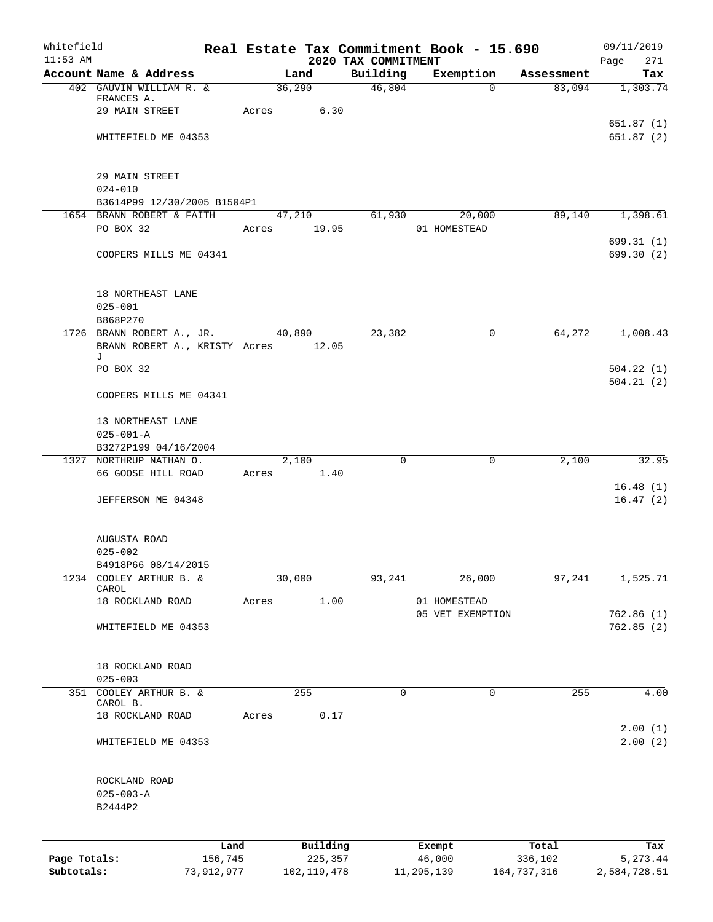| Whitefield   |                                          |       |               |                                 | Real Estate Tax Commitment Book - 15.690 |             | 09/11/2019         |
|--------------|------------------------------------------|-------|---------------|---------------------------------|------------------------------------------|-------------|--------------------|
| $11:53$ AM   | Account Name & Address                   |       | Land          | 2020 TAX COMMITMENT<br>Building | Exemption                                | Assessment  | 271<br>Page<br>Tax |
|              | 402 GAUVIN WILLIAM R. &                  |       | 36,290        | 46,804                          | $\mathbf 0$                              | 83,094      | 1,303.74           |
|              | FRANCES A.                               |       |               |                                 |                                          |             |                    |
|              | 29 MAIN STREET                           | Acres | 6.30          |                                 |                                          |             |                    |
|              |                                          |       |               |                                 |                                          |             | 651.87(1)          |
|              | WHITEFIELD ME 04353                      |       |               |                                 |                                          |             | 651.87(2)          |
|              |                                          |       |               |                                 |                                          |             |                    |
|              |                                          |       |               |                                 |                                          |             |                    |
|              | 29 MAIN STREET                           |       |               |                                 |                                          |             |                    |
|              | $024 - 010$                              |       |               |                                 |                                          |             |                    |
|              | B3614P99 12/30/2005 B1504P1              |       |               |                                 |                                          |             |                    |
|              | 1654 BRANN ROBERT & FAITH                |       | 47,210        | 61,930                          | 20,000                                   | 89,140      | 1,398.61           |
|              | PO BOX 32                                |       | Acres 19.95   |                                 | 01 HOMESTEAD                             |             |                    |
|              |                                          |       |               |                                 |                                          |             | 699.31(1)          |
|              | COOPERS MILLS ME 04341                   |       |               |                                 |                                          |             | 699.30 (2)         |
|              |                                          |       |               |                                 |                                          |             |                    |
|              |                                          |       |               |                                 |                                          |             |                    |
|              | 18 NORTHEAST LANE                        |       |               |                                 |                                          |             |                    |
|              | $025 - 001$                              |       |               |                                 |                                          |             |                    |
|              | B868P270                                 |       |               |                                 |                                          |             |                    |
|              | 1726 BRANN ROBERT A., JR.                |       | 40,890        | 23,382                          | 0                                        | 64,272      | 1,008.43           |
|              | BRANN ROBERT A., KRISTY Acres 12.05<br>J |       |               |                                 |                                          |             |                    |
|              | PO BOX 32                                |       |               |                                 |                                          |             | 504.22(1)          |
|              |                                          |       |               |                                 |                                          |             | 504.21(2)          |
|              | COOPERS MILLS ME 04341                   |       |               |                                 |                                          |             |                    |
|              |                                          |       |               |                                 |                                          |             |                    |
|              | 13 NORTHEAST LANE                        |       |               |                                 |                                          |             |                    |
|              | $025 - 001 - A$                          |       |               |                                 |                                          |             |                    |
|              | B3272P199 04/16/2004                     |       |               |                                 |                                          |             |                    |
|              | 1327 NORTHRUP NATHAN O.                  |       | 2,100         | $\mathbf 0$                     | $\mathbf 0$                              | 2,100       | 32.95              |
|              | 66 GOOSE HILL ROAD                       | Acres | 1.40          |                                 |                                          |             |                    |
|              |                                          |       |               |                                 |                                          |             | 16.48(1)           |
|              | JEFFERSON ME 04348                       |       |               |                                 |                                          |             | 16.47(2)           |
|              |                                          |       |               |                                 |                                          |             |                    |
|              |                                          |       |               |                                 |                                          |             |                    |
|              | AUGUSTA ROAD                             |       |               |                                 |                                          |             |                    |
|              | $025 - 002$                              |       |               |                                 |                                          |             |                    |
|              | B4918P66 08/14/2015                      |       |               |                                 |                                          |             |                    |
| 1234         | COOLEY ARTHUR B. &<br>CAROL              |       | 30,000        | 93,241                          | 26,000                                   | 97,241      | 1,525.71           |
|              | 18 ROCKLAND ROAD                         | Acres | 1.00          |                                 | 01 HOMESTEAD                             |             |                    |
|              |                                          |       |               |                                 | 05 VET EXEMPTION                         |             | 762.86(1)          |
|              | WHITEFIELD ME 04353                      |       |               |                                 |                                          |             | 762.85(2)          |
|              |                                          |       |               |                                 |                                          |             |                    |
|              |                                          |       |               |                                 |                                          |             |                    |
|              | 18 ROCKLAND ROAD                         |       |               |                                 |                                          |             |                    |
|              | $025 - 003$                              |       |               |                                 |                                          |             |                    |
|              | 351 COOLEY ARTHUR B. &                   |       | 255           | 0                               | 0                                        | 255         | 4.00               |
|              | CAROL B.                                 |       |               |                                 |                                          |             |                    |
|              | 18 ROCKLAND ROAD                         | Acres | 0.17          |                                 |                                          |             |                    |
|              |                                          |       |               |                                 |                                          |             | 2.00(1)            |
|              | WHITEFIELD ME 04353                      |       |               |                                 |                                          |             | 2.00(2)            |
|              |                                          |       |               |                                 |                                          |             |                    |
|              |                                          |       |               |                                 |                                          |             |                    |
|              | ROCKLAND ROAD                            |       |               |                                 |                                          |             |                    |
|              | $025 - 003 - A$                          |       |               |                                 |                                          |             |                    |
|              | B2444P2                                  |       |               |                                 |                                          |             |                    |
|              |                                          |       |               |                                 |                                          |             |                    |
|              |                                          | Land  | Building      |                                 | Exempt                                   | Total       | Tax                |
| Page Totals: | 156,745                                  |       | 225,357       |                                 | 46,000                                   | 336,102     | 5,273.44           |
| Subtotals:   | 73,912,977                               |       | 102, 119, 478 |                                 | 11,295,139                               | 164,737,316 | 2,584,728.51       |
|              |                                          |       |               |                                 |                                          |             |                    |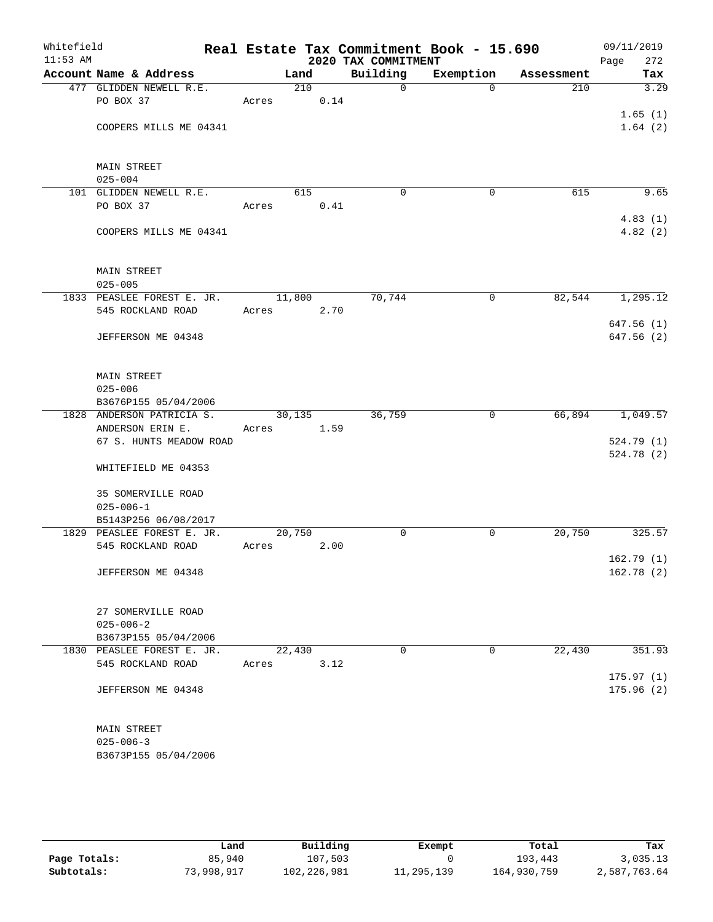| Whitefield<br>$11:53$ AM |                            |        |      | 2020 TAX COMMITMENT | Real Estate Tax Commitment Book - 15.690 |            | 09/11/2019<br>Page<br>272 |
|--------------------------|----------------------------|--------|------|---------------------|------------------------------------------|------------|---------------------------|
|                          | Account Name & Address     |        | Land | Building            | Exemption                                | Assessment | Tax                       |
|                          | 477 GLIDDEN NEWELL R.E.    |        | 210  | $\mathbf 0$         | $\Omega$                                 | 210        | 3.29                      |
|                          | PO BOX 37                  | Acres  | 0.14 |                     |                                          |            |                           |
|                          |                            |        |      |                     |                                          |            | 1.65(1)                   |
|                          | COOPERS MILLS ME 04341     |        |      |                     |                                          |            | 1.64(2)                   |
|                          |                            |        |      |                     |                                          |            |                           |
|                          |                            |        |      |                     |                                          |            |                           |
|                          | <b>MAIN STREET</b>         |        |      |                     |                                          |            |                           |
|                          | $025 - 004$                |        |      |                     |                                          |            |                           |
|                          | 101 GLIDDEN NEWELL R.E.    |        | 615  | $\Omega$            | $\mathbf 0$                              | 615        | 9.65                      |
|                          | PO BOX 37                  | Acres  | 0.41 |                     |                                          |            |                           |
|                          |                            |        |      |                     |                                          |            | 4.83(1)                   |
|                          | COOPERS MILLS ME 04341     |        |      |                     |                                          |            | 4.82(2)                   |
|                          |                            |        |      |                     |                                          |            |                           |
|                          |                            |        |      |                     |                                          |            |                           |
|                          | <b>MAIN STREET</b>         |        |      |                     |                                          |            |                           |
|                          | $025 - 005$                |        |      |                     |                                          |            |                           |
|                          | 1833 PEASLEE FOREST E. JR. | 11,800 |      | 70,744              | $\mathbf 0$                              | 82,544     | 1,295.12                  |
|                          | 545 ROCKLAND ROAD          | Acres  | 2.70 |                     |                                          |            |                           |
|                          |                            |        |      |                     |                                          |            | 647.56 (1)                |
|                          | JEFFERSON ME 04348         |        |      |                     |                                          |            | 647.56(2)                 |
|                          |                            |        |      |                     |                                          |            |                           |
|                          |                            |        |      |                     |                                          |            |                           |
|                          | <b>MAIN STREET</b>         |        |      |                     |                                          |            |                           |
|                          | $025 - 006$                |        |      |                     |                                          |            |                           |
|                          | B3676P155 05/04/2006       |        |      |                     |                                          |            |                           |
|                          | 1828 ANDERSON PATRICIA S.  | 30,135 |      | 36,759              | 0                                        | 66,894     | 1,049.57                  |
|                          | ANDERSON ERIN E.           | Acres  | 1.59 |                     |                                          |            |                           |
|                          | 67 S. HUNTS MEADOW ROAD    |        |      |                     |                                          |            | 524.79 (1)                |
|                          |                            |        |      |                     |                                          |            | 524.78 (2)                |
|                          | WHITEFIELD ME 04353        |        |      |                     |                                          |            |                           |
|                          |                            |        |      |                     |                                          |            |                           |
|                          | 35 SOMERVILLE ROAD         |        |      |                     |                                          |            |                           |
|                          | $025 - 006 - 1$            |        |      |                     |                                          |            |                           |
|                          | B5143P256 06/08/2017       |        |      |                     |                                          |            |                           |
|                          | 1829 PEASLEE FOREST E. JR. | 20,750 |      | 0                   | $\mathsf{O}$                             | 20,750     | 325.57                    |
|                          | 545 ROCKLAND ROAD          | Acres  | 2.00 |                     |                                          |            |                           |
|                          |                            |        |      |                     |                                          |            | 162.79(1)                 |
|                          | JEFFERSON ME 04348         |        |      |                     |                                          |            | 162.78(2)                 |
|                          |                            |        |      |                     |                                          |            |                           |
|                          |                            |        |      |                     |                                          |            |                           |
|                          | 27 SOMERVILLE ROAD         |        |      |                     |                                          |            |                           |
|                          | $025 - 006 - 2$            |        |      |                     |                                          |            |                           |
|                          | B3673P155 05/04/2006       |        |      |                     |                                          |            |                           |
|                          | 1830 PEASLEE FOREST E. JR. | 22,430 |      | 0                   | $\mathbf 0$                              | 22,430     | 351.93                    |
|                          | 545 ROCKLAND ROAD          | Acres  | 3.12 |                     |                                          |            |                           |
|                          |                            |        |      |                     |                                          |            | 175.97(1)                 |
|                          | JEFFERSON ME 04348         |        |      |                     |                                          |            | 175.96(2)                 |
|                          |                            |        |      |                     |                                          |            |                           |
|                          |                            |        |      |                     |                                          |            |                           |
|                          | MAIN STREET                |        |      |                     |                                          |            |                           |
|                          | $025 - 006 - 3$            |        |      |                     |                                          |            |                           |
|                          | B3673P155 05/04/2006       |        |      |                     |                                          |            |                           |
|                          |                            |        |      |                     |                                          |            |                           |

|              | Land       | Building    | Exempt     | Total       | Tax          |
|--------------|------------|-------------|------------|-------------|--------------|
| Page Totals: | 85,940     | 107,503     |            | 193,443     | 3,035.13     |
| Subtotals:   | 73,998,917 | 102,226,981 | 11,295,139 | 164,930,759 | 2,587,763.64 |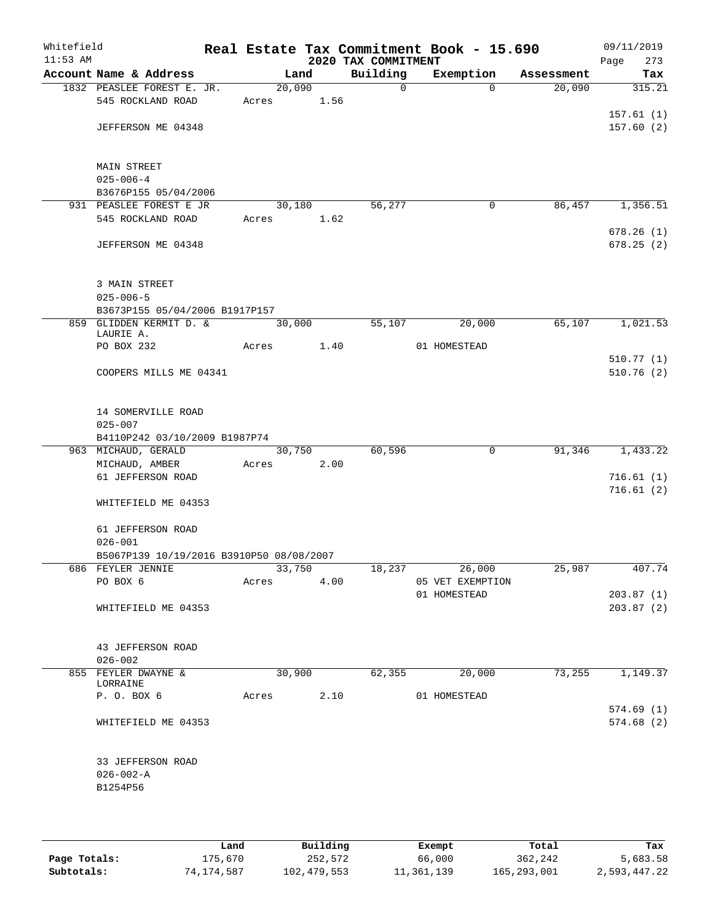| Whitefield<br>$11:53$ AM |                                                         |       |        | 2020 TAX COMMITMENT | Real Estate Tax Commitment Book - 15.690 |            | 09/11/2019<br>Page<br>273 |
|--------------------------|---------------------------------------------------------|-------|--------|---------------------|------------------------------------------|------------|---------------------------|
|                          | Account Name & Address                                  |       | Land   | Building            | Exemption                                | Assessment | Tax                       |
|                          | 1832 PEASLEE FOREST E. JR.                              |       | 20,090 | $\Omega$            | $\Omega$                                 | 20,090     | 315.21                    |
|                          | 545 ROCKLAND ROAD                                       | Acres | 1.56   |                     |                                          |            |                           |
|                          | JEFFERSON ME 04348                                      |       |        |                     |                                          |            | 157.61(1)<br>157.60(2)    |
|                          |                                                         |       |        |                     |                                          |            |                           |
|                          | MAIN STREET                                             |       |        |                     |                                          |            |                           |
|                          | $025 - 006 - 4$                                         |       |        |                     |                                          |            |                           |
|                          | B3676P155 05/04/2006                                    |       |        |                     |                                          |            |                           |
|                          | 931 PEASLEE FOREST E JR                                 |       | 30,180 | 56,277              | 0                                        | 86,457     | 1,356.51                  |
|                          | 545 ROCKLAND ROAD                                       | Acres | 1.62   |                     |                                          |            | 678.26(1)                 |
|                          | JEFFERSON ME 04348                                      |       |        |                     |                                          |            | 678.25(2)                 |
|                          | 3 MAIN STREET                                           |       |        |                     |                                          |            |                           |
|                          | $025 - 006 - 5$                                         |       |        |                     |                                          |            |                           |
|                          | B3673P155 05/04/2006 B1917P157                          |       |        |                     |                                          |            |                           |
|                          | 859 GLIDDEN KERMIT D. &                                 |       | 30,000 | 55,107              | 20,000                                   | 65,107     | 1,021.53                  |
|                          | LAURIE A.<br>PO BOX 232                                 | Acres | 1.40   |                     | 01 HOMESTEAD                             |            |                           |
|                          |                                                         |       |        |                     |                                          |            | 510.77(1)                 |
|                          | COOPERS MILLS ME 04341                                  |       |        |                     |                                          |            | 510.76(2)                 |
|                          | 14 SOMERVILLE ROAD                                      |       |        |                     |                                          |            |                           |
|                          | $025 - 007$                                             |       |        |                     |                                          |            |                           |
|                          | B4110P242 03/10/2009 B1987P74                           |       |        |                     |                                          |            |                           |
|                          | 963 MICHAUD, GERALD                                     |       | 30,750 | 60,596              | 0                                        | 91,346     | 1,433.22                  |
|                          | MICHAUD, AMBER                                          | Acres | 2.00   |                     |                                          |            |                           |
|                          | 61 JEFFERSON ROAD                                       |       |        |                     |                                          |            | 716.61(1)                 |
|                          | WHITEFIELD ME 04353                                     |       |        |                     |                                          |            | 716.61(2)                 |
|                          | 61 JEFFERSON ROAD                                       |       |        |                     |                                          |            |                           |
|                          | $026 - 001$<br>B5067P139 10/19/2016 B3910P50 08/08/2007 |       |        |                     |                                          |            |                           |
|                          | 686 FEYLER JENNIE                                       |       | 33,750 | 18,237              | 26,000                                   | 25,987     | 407.74                    |
|                          | PO BOX 6                                                | Acres | 4.00   |                     | 05 VET EXEMPTION                         |            |                           |
|                          |                                                         |       |        |                     | 01 HOMESTEAD                             |            | 203.87(1)                 |
|                          | WHITEFIELD ME 04353                                     |       |        |                     |                                          |            | 203.87(2)                 |
|                          | 43 JEFFERSON ROAD                                       |       |        |                     |                                          |            |                           |
|                          | $026 - 002$                                             |       |        |                     |                                          |            |                           |
|                          | 855 FEYLER DWAYNE &<br>LORRAINE                         |       | 30,900 | 62, 355             | 20,000                                   | 73,255     | 1,149.37                  |
|                          | P. O. BOX 6                                             | Acres | 2.10   |                     | 01 HOMESTEAD                             |            |                           |
|                          |                                                         |       |        |                     |                                          |            | 574.69(1)                 |
|                          | WHITEFIELD ME 04353                                     |       |        |                     |                                          |            | 574.68(2)                 |
|                          | 33 JEFFERSON ROAD                                       |       |        |                     |                                          |            |                           |
|                          | $026 - 002 - A$                                         |       |        |                     |                                          |            |                           |
|                          | B1254P56                                                |       |        |                     |                                          |            |                           |
|                          |                                                         |       |        |                     |                                          |            |                           |
|                          |                                                         |       |        |                     |                                          |            |                           |

|              | Land       | Building    | Exempt     | Total       | Tax          |
|--------------|------------|-------------|------------|-------------|--------------|
| Page Totals: | 175,670    | 252,572     | 66,000     | 362,242     | 5,683.58     |
| Subtotals:   | 74,174,587 | 102,479,553 | 11,361,139 | 165,293,001 | 2,593,447.22 |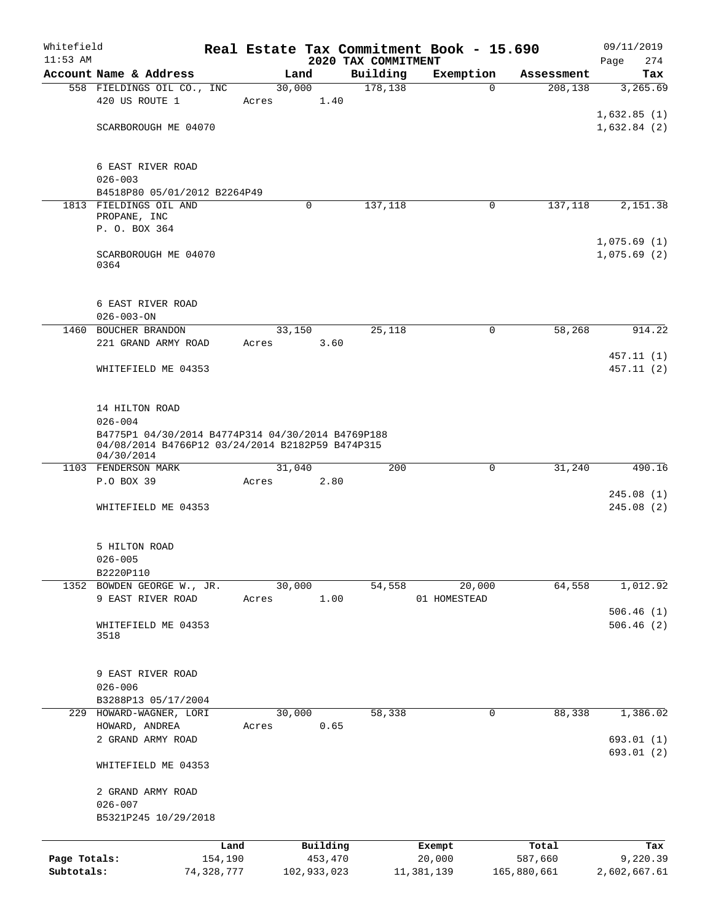| Whitefield<br>$11:53$ AM |                                                                  |       |             | 2020 TAX COMMITMENT | Real Estate Tax Commitment Book - 15.690 |             | 09/11/2019             |
|--------------------------|------------------------------------------------------------------|-------|-------------|---------------------|------------------------------------------|-------------|------------------------|
|                          | Account Name & Address                                           |       | Land        | Building            | Exemption                                | Assessment  | 274<br>Page<br>Tax     |
|                          | 558 FIELDINGS OIL CO., INC                                       |       | 30,000      | 178,138             | $\Omega$                                 | 208,138     | 3,265.69               |
|                          | 420 US ROUTE 1                                                   | Acres | 1.40        |                     |                                          |             |                        |
|                          |                                                                  |       |             |                     |                                          |             | 1,632.85(1)            |
|                          | SCARBOROUGH ME 04070                                             |       |             |                     |                                          |             | 1,632.84(2)            |
|                          |                                                                  |       |             |                     |                                          |             |                        |
|                          |                                                                  |       |             |                     |                                          |             |                        |
|                          | 6 EAST RIVER ROAD                                                |       |             |                     |                                          |             |                        |
|                          | $026 - 003$                                                      |       |             |                     |                                          |             |                        |
|                          | B4518P80 05/01/2012 B2264P49<br>1813 FIELDINGS OIL AND           |       | 0           | 137,118             | 0                                        | 137,118     | 2,151.38               |
|                          | PROPANE, INC                                                     |       |             |                     |                                          |             |                        |
|                          | P. O. BOX 364                                                    |       |             |                     |                                          |             |                        |
|                          |                                                                  |       |             |                     |                                          |             | 1,075.69(1)            |
|                          | SCARBOROUGH ME 04070                                             |       |             |                     |                                          |             | 1,075.69(2)            |
|                          | 0364                                                             |       |             |                     |                                          |             |                        |
|                          |                                                                  |       |             |                     |                                          |             |                        |
|                          | 6 EAST RIVER ROAD                                                |       |             |                     |                                          |             |                        |
|                          | $026 - 003 - ON$                                                 |       |             |                     |                                          |             |                        |
| 1460                     | BOUCHER BRANDON                                                  |       | 33,150      | 25,118              | 0                                        | 58,268      | 914.22                 |
|                          | 221 GRAND ARMY ROAD                                              | Acres | 3.60        |                     |                                          |             |                        |
|                          |                                                                  |       |             |                     |                                          |             | 457.11 (1)             |
|                          | WHITEFIELD ME 04353                                              |       |             |                     |                                          |             | 457.11 (2)             |
|                          |                                                                  |       |             |                     |                                          |             |                        |
|                          |                                                                  |       |             |                     |                                          |             |                        |
|                          | 14 HILTON ROAD                                                   |       |             |                     |                                          |             |                        |
|                          | $026 - 004$<br>B4775P1 04/30/2014 B4774P314 04/30/2014 B4769P188 |       |             |                     |                                          |             |                        |
|                          | 04/08/2014 B4766P12 03/24/2014 B2182P59 B474P315                 |       |             |                     |                                          |             |                        |
|                          | 04/30/2014                                                       |       |             |                     |                                          |             |                        |
|                          | 1103 FENDERSON MARK                                              |       | 31,040      | 200                 | 0                                        | 31,240      | 490.16                 |
|                          | P.O BOX 39                                                       | Acres | 2.80        |                     |                                          |             |                        |
|                          |                                                                  |       |             |                     |                                          |             | 245.08(1)<br>245.08(2) |
|                          | WHITEFIELD ME 04353                                              |       |             |                     |                                          |             |                        |
|                          |                                                                  |       |             |                     |                                          |             |                        |
|                          | 5 HILTON ROAD                                                    |       |             |                     |                                          |             |                        |
|                          | $026 - 005$                                                      |       |             |                     |                                          |             |                        |
|                          | B2220P110                                                        |       |             |                     |                                          |             |                        |
|                          | 1352 BOWDEN GEORGE W., JR.                                       |       | 30,000      | 54,558              | 20,000                                   | 64,558      | 1,012.92               |
|                          | 9 EAST RIVER ROAD                                                | Acres | 1.00        |                     | 01 HOMESTEAD                             |             |                        |
|                          |                                                                  |       |             |                     |                                          |             | 506.46(1)              |
|                          | WHITEFIELD ME 04353<br>3518                                      |       |             |                     |                                          |             | 506.46(2)              |
|                          |                                                                  |       |             |                     |                                          |             |                        |
|                          |                                                                  |       |             |                     |                                          |             |                        |
|                          | 9 EAST RIVER ROAD                                                |       |             |                     |                                          |             |                        |
|                          | $026 - 006$                                                      |       |             |                     |                                          |             |                        |
|                          | B3288P13 05/17/2004                                              |       |             |                     |                                          |             |                        |
|                          | 229 HOWARD-WAGNER, LORI                                          |       | 30,000      | 58,338              | 0                                        | 88,338      | 1,386.02               |
|                          | HOWARD, ANDREA                                                   | Acres | 0.65        |                     |                                          |             |                        |
|                          | 2 GRAND ARMY ROAD                                                |       |             |                     |                                          |             | 693.01(1)              |
|                          |                                                                  |       |             |                     |                                          |             | 693.01 (2)             |
|                          | WHITEFIELD ME 04353                                              |       |             |                     |                                          |             |                        |
|                          | 2 GRAND ARMY ROAD                                                |       |             |                     |                                          |             |                        |
|                          | $026 - 007$                                                      |       |             |                     |                                          |             |                        |
|                          | B5321P245 10/29/2018                                             |       |             |                     |                                          |             |                        |
|                          |                                                                  |       |             |                     |                                          |             |                        |
|                          |                                                                  | Land  | Building    |                     | Exempt                                   | Total       | Tax                    |
| Page Totals:             | 154,190                                                          |       | 453,470     |                     | 20,000                                   | 587,660     | 9,220.39               |
| Subtotals:               | 74,328,777                                                       |       | 102,933,023 |                     | 11,381,139                               | 165,880,661 | 2,602,667.61           |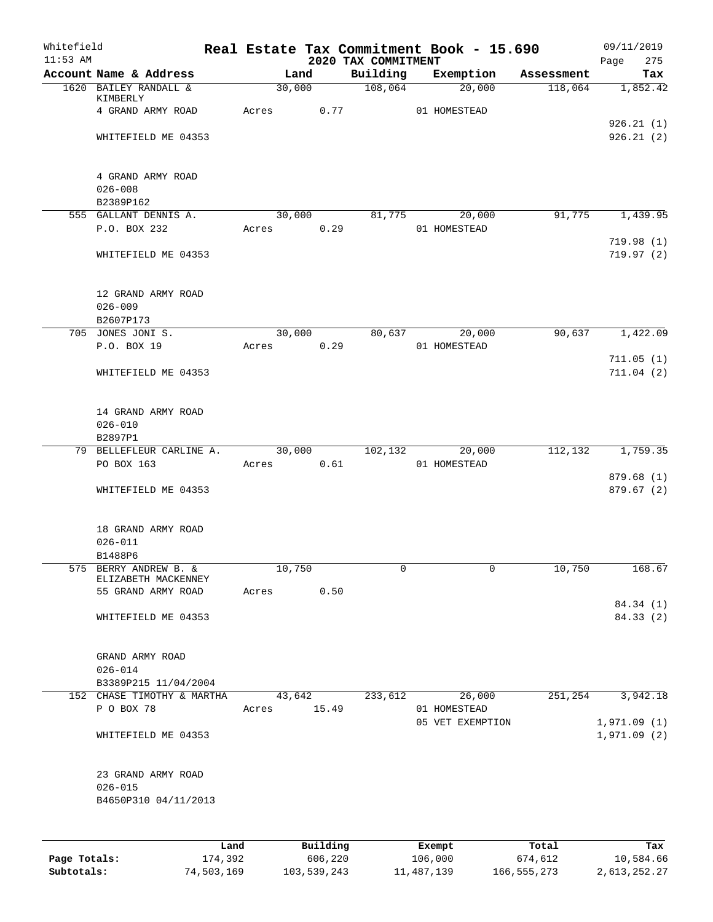| Whitefield<br>$11:53$ AM |                                          |       |        |          | 2020 TAX COMMITMENT | Real Estate Tax Commitment Book - 15.690 |            | 09/11/2019<br>Page<br>275 |
|--------------------------|------------------------------------------|-------|--------|----------|---------------------|------------------------------------------|------------|---------------------------|
|                          | Account Name & Address                   |       |        | Land     | Building            | Exemption                                | Assessment | Tax                       |
|                          | 1620 BAILEY RANDALL &                    |       | 30,000 |          | 108,064             | 20,000                                   | 118,064    | 1,852.42                  |
|                          | KIMBERLY<br>4 GRAND ARMY ROAD            | Acres |        | 0.77     |                     | 01 HOMESTEAD                             |            |                           |
|                          |                                          |       |        |          |                     |                                          |            | 926.21(1)                 |
|                          | WHITEFIELD ME 04353                      |       |        |          |                     |                                          |            | 926.21(2)                 |
|                          |                                          |       |        |          |                     |                                          |            |                           |
|                          |                                          |       |        |          |                     |                                          |            |                           |
|                          | 4 GRAND ARMY ROAD<br>$026 - 008$         |       |        |          |                     |                                          |            |                           |
|                          | B2389P162                                |       |        |          |                     |                                          |            |                           |
|                          | 555 GALLANT DENNIS A.                    |       |        | 30,000   | 81,775              | 20,000                                   | 91,775     | 1,439.95                  |
|                          | P.O. BOX 232                             | Acres |        | 0.29     |                     | 01 HOMESTEAD                             |            |                           |
|                          |                                          |       |        |          |                     |                                          |            | 719.98 (1)                |
|                          | WHITEFIELD ME 04353                      |       |        |          |                     |                                          |            | 719.97 (2)                |
|                          | 12 GRAND ARMY ROAD                       |       |        |          |                     |                                          |            |                           |
|                          | $026 - 009$                              |       |        |          |                     |                                          |            |                           |
|                          | B2607P173                                |       |        |          |                     |                                          |            |                           |
|                          | 705 JONES JONI S.                        |       | 30,000 |          | 80,637              | 20,000                                   | 90,637     | 1,422.09                  |
|                          | P.O. BOX 19                              | Acres |        | 0.29     |                     | 01 HOMESTEAD                             |            |                           |
|                          | WHITEFIELD ME 04353                      |       |        |          |                     |                                          |            | 711.05(1)<br>711.04(2)    |
|                          |                                          |       |        |          |                     |                                          |            |                           |
|                          | 14 GRAND ARMY ROAD<br>$026 - 010$        |       |        |          |                     |                                          |            |                           |
|                          | B2897P1                                  |       |        |          |                     |                                          |            |                           |
|                          | 79 BELLEFLEUR CARLINE A.                 |       |        | 30,000   | 102,132             | 20,000                                   | 112,132    | 1,759.35                  |
|                          | PO BOX 163                               | Acres |        | 0.61     |                     | 01 HOMESTEAD                             |            |                           |
|                          |                                          |       |        |          |                     |                                          |            | 879.68 (1)                |
|                          | WHITEFIELD ME 04353                      |       |        |          |                     |                                          |            | 879.67 (2)                |
|                          | 18 GRAND ARMY ROAD                       |       |        |          |                     |                                          |            |                           |
|                          | $026 - 011$                              |       |        |          |                     |                                          |            |                           |
|                          | B1488P6<br>575 BERRY ANDREW B. &         |       |        |          |                     | 0                                        |            | 168.67                    |
|                          | ELIZABETH MACKENNEY                      |       | 10,750 |          | 0                   |                                          | 10,750     |                           |
|                          | 55 GRAND ARMY ROAD                       | Acres |        | 0.50     |                     |                                          |            |                           |
|                          |                                          |       |        |          |                     |                                          |            | 84.34 (1)                 |
|                          | WHITEFIELD ME 04353                      |       |        |          |                     |                                          |            | 84.33 (2)                 |
|                          | GRAND ARMY ROAD                          |       |        |          |                     |                                          |            |                           |
|                          | $026 - 014$                              |       |        |          |                     |                                          |            |                           |
|                          | B3389P215 11/04/2004                     |       |        |          |                     |                                          |            |                           |
|                          | 152 CHASE TIMOTHY & MARTHA<br>P O BOX 78 |       |        | 43,642   | 233,612             | 26,000                                   | 251,254    | 3,942.18                  |
|                          |                                          | Acres |        | 15.49    |                     | 01 HOMESTEAD<br>05 VET EXEMPTION         |            | 1,971.09(1)               |
|                          | WHITEFIELD ME 04353                      |       |        |          |                     |                                          |            | 1,971.09(2)               |
|                          | 23 GRAND ARMY ROAD                       |       |        |          |                     |                                          |            |                           |
|                          | $026 - 015$                              |       |        |          |                     |                                          |            |                           |
|                          | B4650P310 04/11/2013                     |       |        |          |                     |                                          |            |                           |
|                          |                                          |       |        |          |                     |                                          |            |                           |
|                          |                                          | Land  |        | Building |                     | Exempt                                   | Total      | Tax                       |

|              | nand       | Building    | Exempt     | Total       | тах          |
|--------------|------------|-------------|------------|-------------|--------------|
| Page Totals: | 174,392    | 606,220     | 106,000    | 674,612     | 10,584.66    |
| Subtotals:   | 74,503,169 | 103,539,243 | 11,487,139 | 166,555,273 | 2,613,252.27 |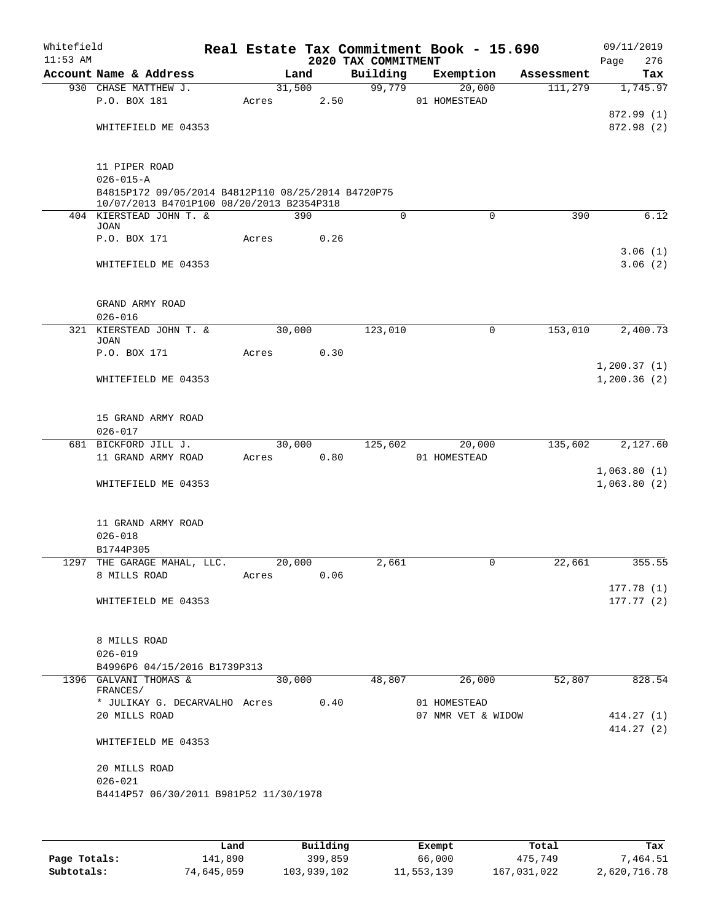| Whitefield<br>$11:53$ AM |                                                                                                                                     |       |        |      | 2020 TAX COMMITMENT | Real Estate Tax Commitment Book - 15.690 |            | 09/11/2019<br>Page<br>276            |
|--------------------------|-------------------------------------------------------------------------------------------------------------------------------------|-------|--------|------|---------------------|------------------------------------------|------------|--------------------------------------|
|                          | Account Name & Address                                                                                                              |       | Land   |      | Building            | Exemption                                | Assessment | Tax                                  |
|                          | 930 CHASE MATTHEW J.<br>P.O. BOX 181<br>WHITEFIELD ME 04353                                                                         | Acres | 31,500 | 2.50 | 99,779              | 20,000<br>01 HOMESTEAD                   | 111,279    | 1,745.97<br>872.99 (1)<br>872.98 (2) |
|                          | 11 PIPER ROAD<br>$026 - 015 - A$<br>B4815P172 09/05/2014 B4812P110 08/25/2014 B4720P75<br>10/07/2013 B4701P100 08/20/2013 B2354P318 |       |        |      |                     |                                          |            |                                      |
|                          | 404 KIERSTEAD JOHN T. &                                                                                                             |       | 390    |      | $\Omega$            | $\Omega$                                 | 390        | 6.12                                 |
|                          | <b>JOAN</b><br>P.O. BOX 171                                                                                                         | Acres |        | 0.26 |                     |                                          |            | 3.06(1)                              |
|                          | WHITEFIELD ME 04353                                                                                                                 |       |        |      |                     |                                          |            | 3.06(2)                              |
|                          | GRAND ARMY ROAD<br>$026 - 016$                                                                                                      |       |        |      |                     |                                          |            |                                      |
|                          | 321 KIERSTEAD JOHN T. &                                                                                                             |       | 30,000 |      | 123,010             | 0                                        | 153,010    | 2,400.73                             |
|                          | <b>JOAN</b>                                                                                                                         |       |        |      |                     |                                          |            |                                      |
|                          | P.O. BOX 171                                                                                                                        | Acres |        | 0.30 |                     |                                          |            |                                      |
|                          | WHITEFIELD ME 04353                                                                                                                 |       |        |      |                     |                                          |            | 1, 200.37(1)<br>1,200.36(2)          |
|                          | 15 GRAND ARMY ROAD<br>$026 - 017$                                                                                                   |       |        |      |                     |                                          |            |                                      |
|                          | 681 BICKFORD JILL J.                                                                                                                |       | 30,000 |      | 125,602             | 20,000                                   | 135,602    | 2,127.60                             |
|                          | 11 GRAND ARMY ROAD                                                                                                                  | Acres |        | 0.80 |                     | 01 HOMESTEAD                             |            |                                      |
|                          | WHITEFIELD ME 04353                                                                                                                 |       |        |      |                     |                                          |            | 1,063.80(1)<br>1,063.80(2)           |
|                          | 11 GRAND ARMY ROAD<br>$026 - 018$                                                                                                   |       |        |      |                     |                                          |            |                                      |
| 1297                     | B1744P305<br>THE GARAGE MAHAL, LLC.                                                                                                 |       | 20,000 |      | 2,661               | 0                                        | 22,661     | 355.55                               |
|                          | 8 MILLS ROAD                                                                                                                        | Acres |        | 0.06 |                     |                                          |            |                                      |
|                          |                                                                                                                                     |       |        |      |                     |                                          |            | 177.78(1)                            |
|                          | WHITEFIELD ME 04353                                                                                                                 |       |        |      |                     |                                          |            | 177.77(2)                            |
|                          | 8 MILLS ROAD<br>$026 - 019$<br>B4996P6 04/15/2016 B1739P313                                                                         |       |        |      |                     |                                          |            |                                      |
|                          | 1396 GALVANI THOMAS &                                                                                                               |       | 30,000 |      | 48,807              | 26,000                                   | 52,807     | 828.54                               |
|                          | FRANCES/                                                                                                                            |       |        |      |                     |                                          |            |                                      |
|                          | * JULIKAY G. DECARVALHO Acres 0.40<br>20 MILLS ROAD                                                                                 |       |        |      |                     | 01 HOMESTEAD<br>07 NMR VET & WIDOW       |            | 414.27(1)<br>414.27(2)               |
|                          | WHITEFIELD ME 04353                                                                                                                 |       |        |      |                     |                                          |            |                                      |
|                          | 20 MILLS ROAD<br>$026 - 021$                                                                                                        |       |        |      |                     |                                          |            |                                      |
|                          | B4414P57 06/30/2011 B981P52 11/30/1978                                                                                              |       |        |      |                     |                                          |            |                                      |
|                          |                                                                                                                                     |       |        |      |                     |                                          |            |                                      |

|              | Land       | Building    | Exempt     | Total       | Tax          |
|--------------|------------|-------------|------------|-------------|--------------|
| Page Totals: | 141,890    | 399,859     | 66,000     | 475,749     | 7,464.51     |
| Subtotals:   | 74,645,059 | 103,939,102 | 11,553,139 | 167,031,022 | 2,620,716.78 |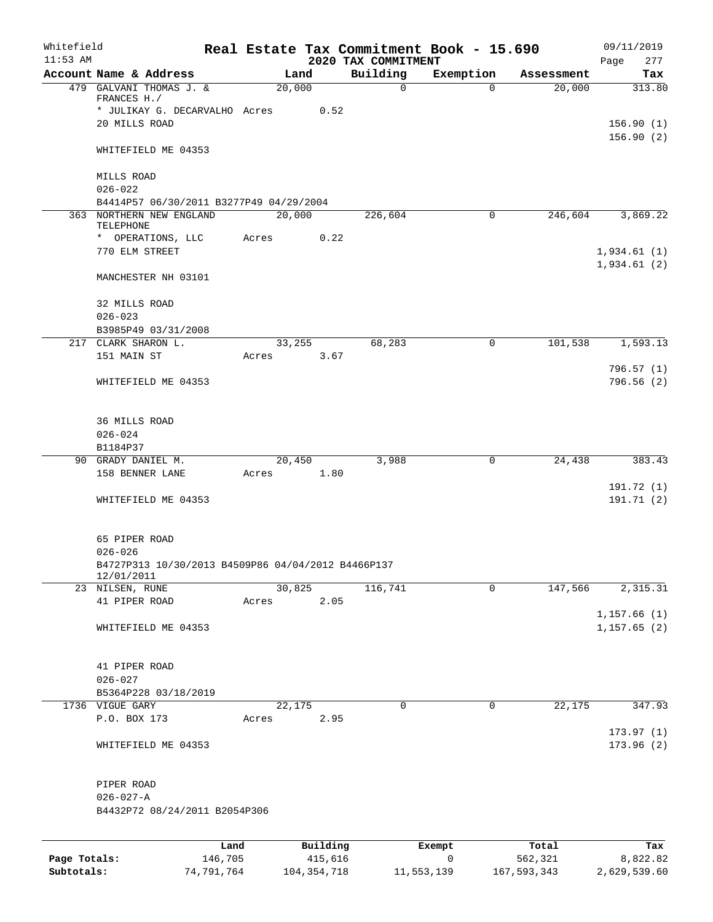| Whitefield<br>$11:53$ AM |                                                    |         |       |        |          |                                 | Real Estate Tax Commitment Book - 15.690 |            | 09/11/2019               |
|--------------------------|----------------------------------------------------|---------|-------|--------|----------|---------------------------------|------------------------------------------|------------|--------------------------|
|                          | Account Name & Address                             |         |       | Land   |          | 2020 TAX COMMITMENT<br>Building | Exemption                                | Assessment | Page<br>277<br>Tax       |
|                          | 479 GALVANI THOMAS J. &                            |         |       | 20,000 |          | $\mathbf 0$                     | $\Omega$                                 | 20,000     | 313.80                   |
|                          | FRANCES H./                                        |         |       |        |          |                                 |                                          |            |                          |
|                          | * JULIKAY G. DECARVALHO Acres                      |         |       |        | 0.52     |                                 |                                          |            |                          |
|                          | 20 MILLS ROAD                                      |         |       |        |          |                                 |                                          |            | 156.90(1)                |
|                          | WHITEFIELD ME 04353                                |         |       |        |          |                                 |                                          |            | 156.90(2)                |
|                          | MILLS ROAD                                         |         |       |        |          |                                 |                                          |            |                          |
|                          | $026 - 022$                                        |         |       |        |          |                                 |                                          |            |                          |
|                          | B4414P57 06/30/2011 B3277P49 04/29/2004            |         |       |        |          |                                 |                                          |            |                          |
|                          | 363 NORTHERN NEW ENGLAND                           |         |       | 20,000 |          | 226,604                         | $\mathbf 0$                              | 246,604    | 3,869.22                 |
|                          | TELEPHONE                                          |         |       |        |          |                                 |                                          |            |                          |
|                          | * OPERATIONS, LLC<br>770 ELM STREET                |         | Acres |        | 0.22     |                                 |                                          |            | 1,934.61(1)              |
|                          |                                                    |         |       |        |          |                                 |                                          |            | 1,934.61(2)              |
|                          | MANCHESTER NH 03101                                |         |       |        |          |                                 |                                          |            |                          |
|                          | 32 MILLS ROAD                                      |         |       |        |          |                                 |                                          |            |                          |
|                          | $026 - 023$                                        |         |       |        |          |                                 |                                          |            |                          |
|                          | B3985P49 03/31/2008                                |         |       |        |          |                                 |                                          |            |                          |
|                          | 217 CLARK SHARON L.                                |         |       | 33,255 |          | 68,283                          | 0                                        | 101,538    | 1,593.13                 |
|                          | 151 MAIN ST                                        |         | Acres |        | 3.67     |                                 |                                          |            |                          |
|                          |                                                    |         |       |        |          |                                 |                                          |            | 796.57(1)<br>796.56(2)   |
|                          | WHITEFIELD ME 04353                                |         |       |        |          |                                 |                                          |            |                          |
|                          | <b>36 MILLS ROAD</b>                               |         |       |        |          |                                 |                                          |            |                          |
|                          | $026 - 024$                                        |         |       |        |          |                                 |                                          |            |                          |
|                          | B1184P37                                           |         |       |        |          |                                 |                                          |            |                          |
|                          | 90 GRADY DANIEL M.                                 |         |       | 20,450 |          | 3,988                           | 0                                        | 24,438     | 383.43                   |
|                          | 158 BENNER LANE                                    |         | Acres |        | 1.80     |                                 |                                          |            |                          |
|                          | WHITEFIELD ME 04353                                |         |       |        |          |                                 |                                          |            | 191.72 (1)<br>191.71 (2) |
|                          |                                                    |         |       |        |          |                                 |                                          |            |                          |
|                          | 65 PIPER ROAD                                      |         |       |        |          |                                 |                                          |            |                          |
|                          | $026 - 026$                                        |         |       |        |          |                                 |                                          |            |                          |
|                          | B4727P313 10/30/2013 B4509P86 04/04/2012 B4466P137 |         |       |        |          |                                 |                                          |            |                          |
|                          | 12/01/2011<br>23 NILSEN, RUNE                      |         |       | 30,825 |          | 116,741                         | 0                                        | 147,566    | 2,315.31                 |
|                          | 41 PIPER ROAD                                      |         | Acres |        | 2.05     |                                 |                                          |            |                          |
|                          |                                                    |         |       |        |          |                                 |                                          |            | 1, 157.66(1)             |
|                          | WHITEFIELD ME 04353                                |         |       |        |          |                                 |                                          |            | 1, 157.65(2)             |
|                          |                                                    |         |       |        |          |                                 |                                          |            |                          |
|                          | 41 PIPER ROAD                                      |         |       |        |          |                                 |                                          |            |                          |
|                          | $026 - 027$                                        |         |       |        |          |                                 |                                          |            |                          |
|                          | B5364P228 03/18/2019                               |         |       |        |          |                                 |                                          |            |                          |
|                          | 1736 VIGUE GARY<br>P.O. BOX 173                    |         | Acres | 22,175 | 2.95     | 0                               | 0                                        | 22,175     | 347.93                   |
|                          |                                                    |         |       |        |          |                                 |                                          |            | 173.97(1)                |
|                          | WHITEFIELD ME 04353                                |         |       |        |          |                                 |                                          |            | 173.96(2)                |
|                          |                                                    |         |       |        |          |                                 |                                          |            |                          |
|                          | PIPER ROAD                                         |         |       |        |          |                                 |                                          |            |                          |
|                          | $026 - 027 - A$                                    |         |       |        |          |                                 |                                          |            |                          |
|                          | B4432P72 08/24/2011 B2054P306                      |         |       |        |          |                                 |                                          |            |                          |
|                          |                                                    | Land    |       |        | Building |                                 | Exempt                                   | Total      | Tax                      |
| Page Totals:             |                                                    | 146,705 |       |        | 415,616  |                                 | 0                                        | 562,321    | 8,822.82                 |

**Subtotals:** 74,791,764 104,354,718 11,553,139 167,593,343 2,629,539.60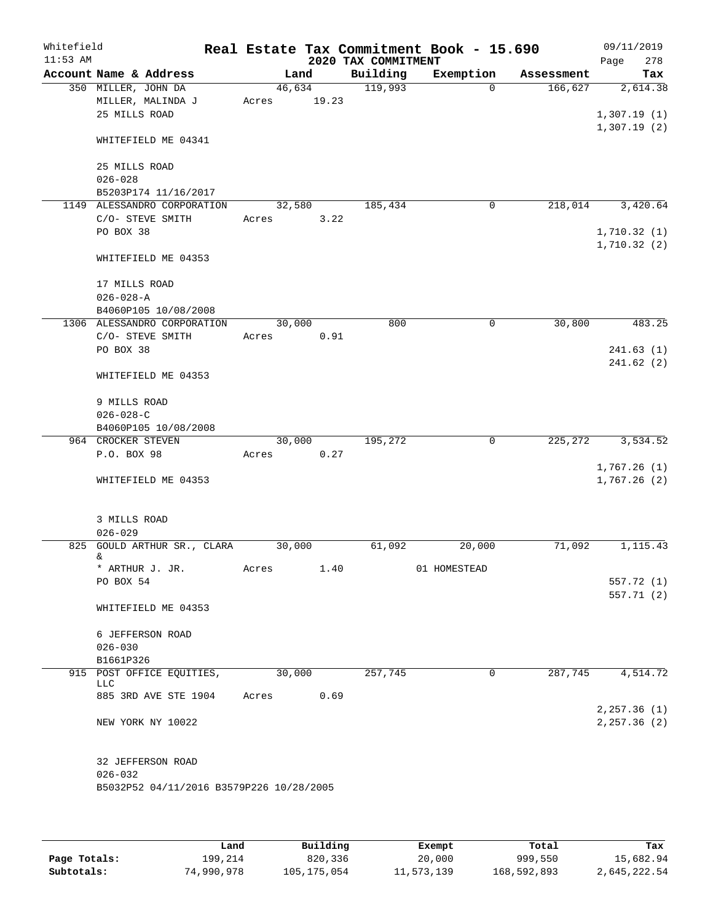| Whitefield<br>$11:53$ AM |                                                         |        |       | 2020 TAX COMMITMENT | Real Estate Tax Commitment Book - 15.690 |            | 09/11/2019<br>278<br>Page |
|--------------------------|---------------------------------------------------------|--------|-------|---------------------|------------------------------------------|------------|---------------------------|
|                          | Account Name & Address                                  |        | Land  | Building            | Exemption                                | Assessment | Tax                       |
|                          | 350 MILLER, JOHN DA                                     | 46,634 |       | 119,993             | $\Omega$                                 | 166,627    | 2,614.38                  |
|                          | MILLER, MALINDA J                                       | Acres  | 19.23 |                     |                                          |            |                           |
|                          | 25 MILLS ROAD                                           |        |       |                     |                                          |            | 1,307.19(1)               |
|                          | WHITEFIELD ME 04341                                     |        |       |                     |                                          |            | 1,307.19(2)               |
|                          | 25 MILLS ROAD                                           |        |       |                     |                                          |            |                           |
|                          | $026 - 028$                                             |        |       |                     |                                          |            |                           |
|                          | B5203P174 11/16/2017                                    |        |       |                     |                                          |            |                           |
|                          | 1149 ALESSANDRO CORPORATION                             | 32,580 |       | 185,434             | 0                                        | 218,014    | 3,420.64                  |
|                          | C/O- STEVE SMITH                                        | Acres  | 3.22  |                     |                                          |            |                           |
|                          | PO BOX 38                                               |        |       |                     |                                          |            | 1,710.32(1)               |
|                          | WHITEFIELD ME 04353                                     |        |       |                     |                                          |            | 1,710.32(2)               |
|                          | 17 MILLS ROAD                                           |        |       |                     |                                          |            |                           |
|                          | $026 - 028 - A$                                         |        |       |                     |                                          |            |                           |
|                          | B4060P105 10/08/2008                                    |        |       |                     |                                          |            |                           |
|                          | 1306 ALESSANDRO CORPORATION                             | 30,000 |       | 800                 | 0                                        | 30,800     | 483.25                    |
|                          | C/O- STEVE SMITH                                        | Acres  | 0.91  |                     |                                          |            |                           |
|                          | PO BOX 38                                               |        |       |                     |                                          |            | 241.63(1)                 |
|                          | WHITEFIELD ME 04353                                     |        |       |                     |                                          |            | 241.62(2)                 |
|                          |                                                         |        |       |                     |                                          |            |                           |
|                          | 9 MILLS ROAD                                            |        |       |                     |                                          |            |                           |
|                          | $026 - 028 - C$<br>B4060P105 10/08/2008                 |        |       |                     |                                          |            |                           |
|                          | 964 CROCKER STEVEN                                      | 30,000 |       | 195,272             | 0                                        | 225,272    | 3,534.52                  |
|                          | P.O. BOX 98                                             | Acres  | 0.27  |                     |                                          |            |                           |
|                          |                                                         |        |       |                     |                                          |            | 1,767.26(1)               |
|                          | WHITEFIELD ME 04353                                     |        |       |                     |                                          |            | 1,767.26(2)               |
|                          | 3 MILLS ROAD                                            |        |       |                     |                                          |            |                           |
|                          | $026 - 029$                                             |        |       |                     |                                          |            |                           |
|                          | 825 GOULD ARTHUR SR., CLARA                             | 30,000 |       | 61,092              | 20,000                                   | 71,092     | 1,115.43                  |
|                          | &.<br>* ARTHUR J. JR.                                   | Acres  | 1.40  |                     | 01 HOMESTEAD                             |            |                           |
|                          | PO BOX 54                                               |        |       |                     |                                          |            | 557.72 (1)                |
|                          |                                                         |        |       |                     |                                          |            | 557.71 (2)                |
|                          | WHITEFIELD ME 04353                                     |        |       |                     |                                          |            |                           |
|                          | 6 JEFFERSON ROAD                                        |        |       |                     |                                          |            |                           |
|                          | $026 - 030$                                             |        |       |                     |                                          |            |                           |
|                          | B1661P326                                               |        |       |                     |                                          |            |                           |
|                          | 915 POST OFFICE EQUITIES,                               | 30,000 |       | 257,745             | 0                                        | 287,745    | 4,514.72                  |
|                          | LLC                                                     |        | 0.69  |                     |                                          |            |                           |
|                          | 885 3RD AVE STE 1904                                    | Acres  |       |                     |                                          |            | 2, 257.36 (1)             |
|                          | NEW YORK NY 10022                                       |        |       |                     |                                          |            | 2, 257.36 (2)             |
|                          | 32 JEFFERSON ROAD                                       |        |       |                     |                                          |            |                           |
|                          | $026 - 032$<br>B5032P52 04/11/2016 B3579P226 10/28/2005 |        |       |                     |                                          |            |                           |
|                          |                                                         |        |       |                     |                                          |            |                           |

|              | Land       | Building    | Exempt     | Total       | Tax          |
|--------------|------------|-------------|------------|-------------|--------------|
| Page Totals: | 199,214    | 820,336     | 20,000     | 999,550     | 15,682.94    |
| Subtotals:   | 74,990,978 | 105,175,054 | 11,573,139 | 168,592,893 | 2,645,222.54 |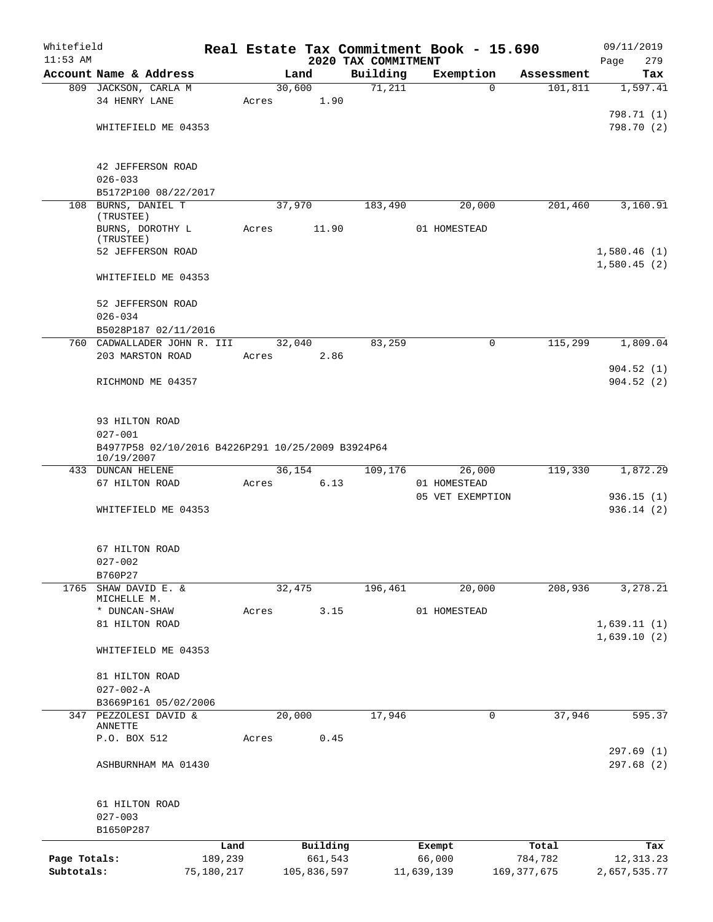| Whitefield   |                                                                 |         |             |                                 | Real Estate Tax Commitment Book - 15.690 |          |               | 09/11/2019             |
|--------------|-----------------------------------------------------------------|---------|-------------|---------------------------------|------------------------------------------|----------|---------------|------------------------|
| $11:53$ AM   | Account Name & Address                                          |         | Land        | 2020 TAX COMMITMENT<br>Building | Exemption                                |          | Assessment    | Page<br>279<br>Tax     |
|              | 809 JACKSON, CARLA M                                            |         | 30,600      | 71,211                          |                                          | $\Omega$ | 101, 811      | 1,597.41               |
|              | 34 HENRY LANE                                                   | Acres   |             | 1.90                            |                                          |          |               |                        |
|              |                                                                 |         |             |                                 |                                          |          |               | 798.71 (1)             |
|              | WHITEFIELD ME 04353                                             |         |             |                                 |                                          |          |               | 798.70 (2)             |
|              | 42 JEFFERSON ROAD                                               |         |             |                                 |                                          |          |               |                        |
|              | $026 - 033$                                                     |         |             |                                 |                                          |          |               |                        |
|              | B5172P100 08/22/2017                                            |         |             |                                 |                                          |          |               |                        |
|              | 108 BURNS, DANIEL T                                             |         | 37,970      | 183,490                         |                                          | 20,000   | 201,460       | 3,160.91               |
|              | (TRUSTEE)<br>BURNS, DOROTHY L                                   | Acres   | 11.90       |                                 | 01 HOMESTEAD                             |          |               |                        |
|              | (TRUSTEE)                                                       |         |             |                                 |                                          |          |               |                        |
|              | 52 JEFFERSON ROAD                                               |         |             |                                 |                                          |          |               | 1,580.46(1)            |
|              | WHITEFIELD ME 04353                                             |         |             |                                 |                                          |          |               | 1,580.45(2)            |
|              | 52 JEFFERSON ROAD                                               |         |             |                                 |                                          |          |               |                        |
|              | $026 - 034$                                                     |         |             |                                 |                                          |          |               |                        |
|              | B5028P187 02/11/2016                                            |         |             |                                 |                                          |          |               |                        |
|              | 760 CADWALLADER JOHN R. III                                     |         | 32,040      | 83,259                          |                                          | 0        | 115,299       | 1,809.04               |
|              | 203 MARSTON ROAD                                                | Acres   |             | 2.86                            |                                          |          |               |                        |
|              | RICHMOND ME 04357                                               |         |             |                                 |                                          |          |               | 904.52(1)<br>904.52(2) |
|              |                                                                 |         |             |                                 |                                          |          |               |                        |
|              | 93 HILTON ROAD                                                  |         |             |                                 |                                          |          |               |                        |
|              | $027 - 001$                                                     |         |             |                                 |                                          |          |               |                        |
|              | B4977P58 02/10/2016 B4226P291 10/25/2009 B3924P64<br>10/19/2007 |         |             |                                 |                                          |          |               |                        |
|              | 433 DUNCAN HELENE                                               |         | 36,154      | 109,176                         |                                          | 26,000   | 119,330       | 1,872.29               |
|              | 67 HILTON ROAD                                                  | Acres   |             | 6.13                            | 01 HOMESTEAD                             |          |               |                        |
|              |                                                                 |         |             |                                 | 05 VET EXEMPTION                         |          |               | 936.15(1)              |
|              | WHITEFIELD ME 04353                                             |         |             |                                 |                                          |          |               | 936.14 (2)             |
|              | 67 HILTON ROAD                                                  |         |             |                                 |                                          |          |               |                        |
|              | $027 - 002$                                                     |         |             |                                 |                                          |          |               |                        |
|              | B760P27                                                         |         |             |                                 |                                          |          |               |                        |
| 1765         | SHAW DAVID E. &                                                 |         | 32,475      | 196,461                         |                                          | 20,000   | 208,936       | 3,278.21               |
|              | MICHELLE M.<br>* DUNCAN-SHAW                                    | Acres   |             | 3.15                            | 01 HOMESTEAD                             |          |               |                        |
|              | 81 HILTON ROAD                                                  |         |             |                                 |                                          |          |               | 1,639.11(1)            |
|              |                                                                 |         |             |                                 |                                          |          |               | 1,639.10(2)            |
|              | WHITEFIELD ME 04353                                             |         |             |                                 |                                          |          |               |                        |
|              | 81 HILTON ROAD                                                  |         |             |                                 |                                          |          |               |                        |
|              | $027 - 002 - A$                                                 |         |             |                                 |                                          |          |               |                        |
|              | B3669P161 05/02/2006                                            |         |             |                                 |                                          |          |               |                        |
|              | 347 PEZZOLESI DAVID &                                           |         | 20,000      | 17,946                          |                                          | 0        | 37,946        | 595.37                 |
|              | ANNETTE                                                         |         |             |                                 |                                          |          |               |                        |
|              | P.O. BOX 512                                                    | Acres   |             | 0.45                            |                                          |          |               | 297.69(1)              |
|              | ASHBURNHAM MA 01430                                             |         |             |                                 |                                          |          |               | 297.68 (2)             |
|              |                                                                 |         |             |                                 |                                          |          |               |                        |
|              | 61 HILTON ROAD                                                  |         |             |                                 |                                          |          |               |                        |
|              | $027 - 003$<br>B1650P287                                        |         |             |                                 |                                          |          |               |                        |
|              |                                                                 | Land    | Building    |                                 | Exempt                                   |          | Total         | Tax                    |
| Page Totals: |                                                                 | 189,239 | 661,543     |                                 | 66,000                                   |          | 784,782       | 12,313.23              |
| Subtotals:   | 75,180,217                                                      |         | 105,836,597 |                                 | 11,639,139                               |          | 169, 377, 675 | 2,657,535.77           |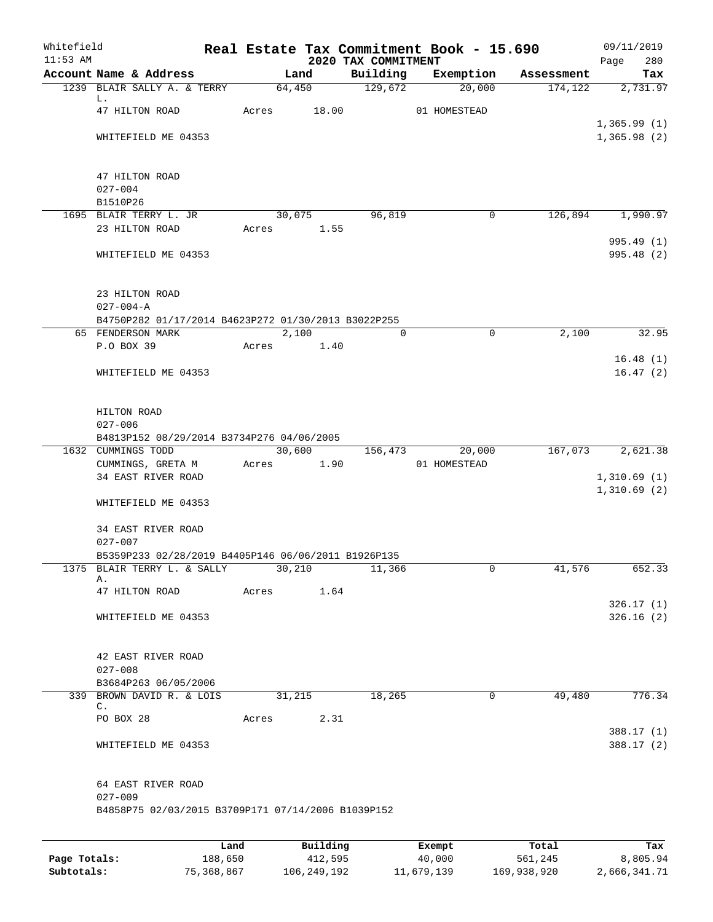| Whitefield<br>$11:53$ AM |                                                     |       |          | 2020 TAX COMMITMENT | Real Estate Tax Commitment Book - 15.690 |            | 09/11/2019<br>Page<br>280 |
|--------------------------|-----------------------------------------------------|-------|----------|---------------------|------------------------------------------|------------|---------------------------|
|                          | Account Name & Address                              |       | Land     | Building            | Exemption                                | Assessment | Tax                       |
|                          | 1239 BLAIR SALLY A. & TERRY                         |       | 64,450   | 129,672             | 20,000                                   | 174,122    | 2,731.97                  |
|                          | L.<br>47 HILTON ROAD                                | Acres | 18.00    |                     | 01 HOMESTEAD                             |            |                           |
|                          |                                                     |       |          |                     |                                          |            | 1,365.99(1)               |
|                          | WHITEFIELD ME 04353                                 |       |          |                     |                                          |            | 1,365.98(2)               |
|                          | 47 HILTON ROAD                                      |       |          |                     |                                          |            |                           |
|                          | $027 - 004$                                         |       |          |                     |                                          |            |                           |
|                          | B1510P26                                            |       |          |                     |                                          |            |                           |
|                          | 1695 BLAIR TERRY L. JR                              |       | 30,075   | 96,819              | 0                                        | 126,894    | 1,990.97                  |
|                          | 23 HILTON ROAD                                      | Acres | 1.55     |                     |                                          |            |                           |
|                          | WHITEFIELD ME 04353                                 |       |          |                     |                                          |            | 995.49 (1)<br>995.48 (2)  |
|                          | 23 HILTON ROAD                                      |       |          |                     |                                          |            |                           |
|                          | $027 - 004 - A$                                     |       |          |                     |                                          |            |                           |
|                          | B4750P282 01/17/2014 B4623P272 01/30/2013 B3022P255 |       |          |                     |                                          |            |                           |
|                          | 65 FENDERSON MARK                                   |       | 2,100    | 0                   | $\mathbf 0$                              | 2,100      | 32.95                     |
|                          | P.O BOX 39                                          | Acres | 1.40     |                     |                                          |            | 16.48(1)                  |
|                          | WHITEFIELD ME 04353                                 |       |          |                     |                                          |            | 16.47(2)                  |
|                          | HILTON ROAD                                         |       |          |                     |                                          |            |                           |
|                          | $027 - 006$                                         |       |          |                     |                                          |            |                           |
|                          | B4813P152 08/29/2014 B3734P276 04/06/2005           |       |          |                     |                                          |            |                           |
|                          | 1632 CUMMINGS TODD                                  |       | 30,600   | 156,473             | 20,000                                   | 167,073    | 2,621.38                  |
|                          | CUMMINGS, GRETA M<br>34 EAST RIVER ROAD             | Acres | 1.90     |                     | 01 HOMESTEAD                             |            | 1,310.69(1)               |
|                          | WHITEFIELD ME 04353                                 |       |          |                     |                                          |            | 1,310.69(2)               |
|                          | 34 EAST RIVER ROAD<br>$027 - 007$                   |       |          |                     |                                          |            |                           |
|                          | B5359P233 02/28/2019 B4405P146 06/06/2011 B1926P135 |       |          |                     |                                          |            |                           |
|                          | 1375 BLAIR TERRY L. & SALLY                         |       | 30,210   | 11,366              | 0                                        | 41,576     | 652.33                    |
|                          | Α.<br>47 HILTON ROAD                                | Acres | 1.64     |                     |                                          |            |                           |
|                          |                                                     |       |          |                     |                                          |            | 326.17(1)                 |
|                          | WHITEFIELD ME 04353                                 |       |          |                     |                                          |            | 326.16(2)                 |
|                          | 42 EAST RIVER ROAD                                  |       |          |                     |                                          |            |                           |
|                          | $027 - 008$                                         |       |          |                     |                                          |            |                           |
|                          | B3684P263 06/05/2006                                |       |          |                     |                                          |            |                           |
|                          | 339 BROWN DAVID R. & LOIS<br>$\mathsf{C}$ .         |       | 31,215   | 18,265              | $\mathbf 0$                              | 49,480     | 776.34                    |
|                          | PO BOX 28                                           | Acres | 2.31     |                     |                                          |            |                           |
|                          | WHITEFIELD ME 04353                                 |       |          |                     |                                          |            | 388.17(1)<br>388.17(2)    |
|                          |                                                     |       |          |                     |                                          |            |                           |
|                          | 64 EAST RIVER ROAD<br>$027 - 009$                   |       |          |                     |                                          |            |                           |
|                          | B4858P75 02/03/2015 B3709P171 07/14/2006 B1039P152  |       |          |                     |                                          |            |                           |
|                          |                                                     |       |          |                     |                                          |            |                           |
|                          |                                                     | Land  | Building |                     | Exempt                                   | Total      | Tax                       |

|              | --------   | ____________ | ______     | --------    | -------      |
|--------------|------------|--------------|------------|-------------|--------------|
| Page Totals: | 188,650    | 412,595      | 40,000     | 561,245     | 8,805.94     |
| Subtotals:   | 75,368,867 | 106,249,192  | 11,679,139 | 169,938,920 | 2,666,341.71 |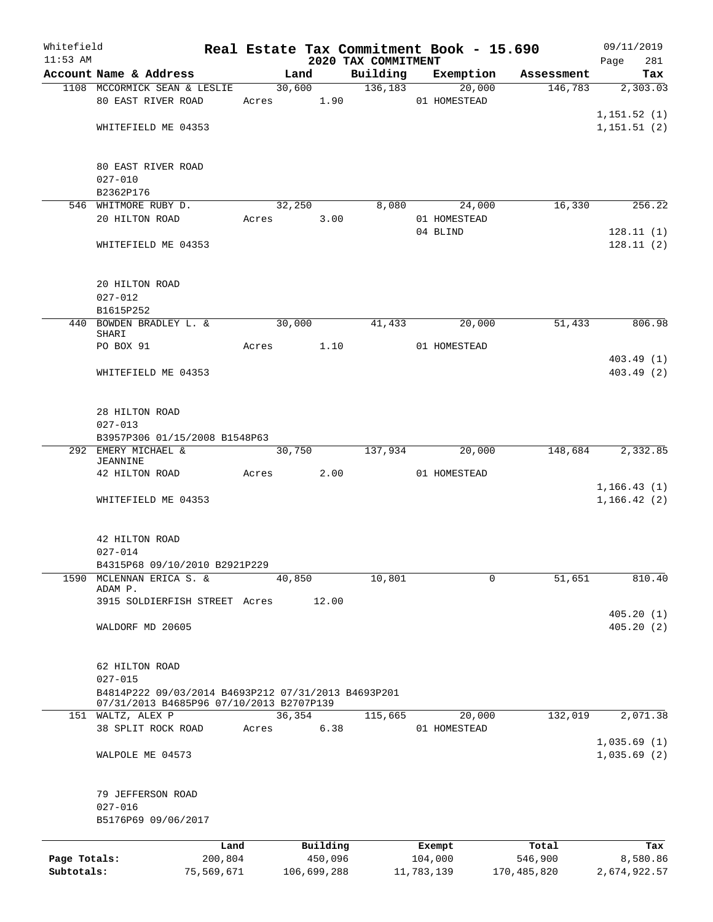| Whitefield<br>$11:53$ AM |                                                      |       |            |             |                                 |            |                     | Real Estate Tax Commitment Book - 15.690 | 09/11/2019         |
|--------------------------|------------------------------------------------------|-------|------------|-------------|---------------------------------|------------|---------------------|------------------------------------------|--------------------|
|                          | Account Name & Address                               |       | Land       |             | 2020 TAX COMMITMENT<br>Building |            | Exemption           | Assessment                               | Page<br>281<br>Tax |
|                          | 1108 MCCORMICK SEAN & LESLIE                         |       | 30,600     |             | 136,183                         |            | $\overline{20,000}$ | 146,783                                  | 2,303.03           |
|                          | 80 EAST RIVER ROAD                                   |       | Acres 1.90 |             |                                 |            | 01 HOMESTEAD        |                                          |                    |
|                          |                                                      |       |            |             |                                 |            |                     |                                          | 1, 151.52(1)       |
|                          | WHITEFIELD ME 04353                                  |       |            |             |                                 |            |                     |                                          | 1, 151.51(2)       |
|                          |                                                      |       |            |             |                                 |            |                     |                                          |                    |
|                          |                                                      |       |            |             |                                 |            |                     |                                          |                    |
|                          | 80 EAST RIVER ROAD                                   |       |            |             |                                 |            |                     |                                          |                    |
|                          | $027 - 010$                                          |       |            |             |                                 |            |                     |                                          |                    |
|                          | B2362P176<br>546 WHITMORE RUBY D.                    |       | 32,250     |             | 8,080                           |            | 24,000              | 16,330                                   | 256.22             |
|                          | 20 HILTON ROAD                                       |       | Acres      | 3.00        |                                 |            | 01 HOMESTEAD        |                                          |                    |
|                          |                                                      |       |            |             |                                 |            | 04 BLIND            |                                          | 128.11(1)          |
|                          | WHITEFIELD ME 04353                                  |       |            |             |                                 |            |                     |                                          | 128.11(2)          |
|                          |                                                      |       |            |             |                                 |            |                     |                                          |                    |
|                          |                                                      |       |            |             |                                 |            |                     |                                          |                    |
|                          | 20 HILTON ROAD                                       |       |            |             |                                 |            |                     |                                          |                    |
|                          | $027 - 012$                                          |       |            |             |                                 |            |                     |                                          |                    |
|                          | B1615P252                                            |       |            |             |                                 |            |                     |                                          |                    |
|                          | 440 BOWDEN BRADLEY L. &<br>SHARI                     |       | 30,000     |             | 41,433                          |            | 20,000              | 51,433                                   | 806.98             |
|                          | PO BOX 91                                            | Acres | 1.10       |             |                                 |            | 01 HOMESTEAD        |                                          |                    |
|                          |                                                      |       |            |             |                                 |            |                     |                                          | 403.49(1)          |
|                          | WHITEFIELD ME 04353                                  |       |            |             |                                 |            |                     |                                          | 403.49 (2)         |
|                          |                                                      |       |            |             |                                 |            |                     |                                          |                    |
|                          |                                                      |       |            |             |                                 |            |                     |                                          |                    |
|                          | 28 HILTON ROAD                                       |       |            |             |                                 |            |                     |                                          |                    |
|                          | $027 - 013$                                          |       |            |             |                                 |            |                     |                                          |                    |
|                          | B3957P306 01/15/2008 B1548P63                        |       |            |             |                                 |            |                     |                                          |                    |
|                          | 292 EMERY MICHAEL &<br>JEANNINE                      |       | 30,750     |             | 137,934                         |            | 20,000              | 148,684                                  | 2,332.85           |
|                          | 42 HILTON ROAD                                       |       | Acres      | 2.00        |                                 |            | 01 HOMESTEAD        |                                          |                    |
|                          |                                                      |       |            |             |                                 |            |                     |                                          | 1, 166.43(1)       |
|                          | WHITEFIELD ME 04353                                  |       |            |             |                                 |            |                     |                                          | 1, 166.42(2)       |
|                          |                                                      |       |            |             |                                 |            |                     |                                          |                    |
|                          |                                                      |       |            |             |                                 |            |                     |                                          |                    |
|                          | 42 HILTON ROAD                                       |       |            |             |                                 |            |                     |                                          |                    |
|                          | $027 - 014$                                          |       |            |             |                                 |            |                     |                                          |                    |
| 1590                     | B4315P68 09/10/2010 B2921P229<br>MCLENNAN ERICA S. & |       | 40,850     |             | 10,801                          |            | 0                   | 51,651                                   | 810.40             |
|                          | ADAM P.                                              |       |            |             |                                 |            |                     |                                          |                    |
|                          | 3915 SOLDIERFISH STREET Acres                        |       |            | 12.00       |                                 |            |                     |                                          |                    |
|                          |                                                      |       |            |             |                                 |            |                     |                                          | 405.20(1)          |
|                          | WALDORF MD 20605                                     |       |            |             |                                 |            |                     |                                          | 405.20(2)          |
|                          |                                                      |       |            |             |                                 |            |                     |                                          |                    |
|                          |                                                      |       |            |             |                                 |            |                     |                                          |                    |
|                          | 62 HILTON ROAD<br>$027 - 015$                        |       |            |             |                                 |            |                     |                                          |                    |
|                          | B4814P222 09/03/2014 B4693P212 07/31/2013 B4693P201  |       |            |             |                                 |            |                     |                                          |                    |
|                          | 07/31/2013 B4685P96 07/10/2013 B2707P139             |       |            |             |                                 |            |                     |                                          |                    |
| 151                      | WALTZ, ALEX P                                        |       | 36,354     |             | 115,665                         |            | 20,000              | 132,019                                  | 2,071.38           |
|                          | 38 SPLIT ROCK ROAD                                   | Acres |            | 6.38        |                                 |            | 01 HOMESTEAD        |                                          |                    |
|                          |                                                      |       |            |             |                                 |            |                     |                                          | 1,035.69(1)        |
|                          | WALPOLE ME 04573                                     |       |            |             |                                 |            |                     |                                          | 1,035.69(2)        |
|                          |                                                      |       |            |             |                                 |            |                     |                                          |                    |
|                          | 79 JEFFERSON ROAD                                    |       |            |             |                                 |            |                     |                                          |                    |
|                          | $027 - 016$                                          |       |            |             |                                 |            |                     |                                          |                    |
|                          | B5176P69 09/06/2017                                  |       |            |             |                                 |            |                     |                                          |                    |
|                          |                                                      |       |            |             |                                 |            |                     |                                          |                    |
|                          |                                                      | Land  |            | Building    |                                 | Exempt     |                     | Total                                    | Tax                |
| Page Totals:             | 200,804                                              |       |            | 450,096     |                                 | 104,000    |                     | 546,900                                  | 8,580.86           |
| Subtotals:               | 75,569,671                                           |       |            | 106,699,288 |                                 | 11,783,139 |                     | 170,485,820                              | 2,674,922.57       |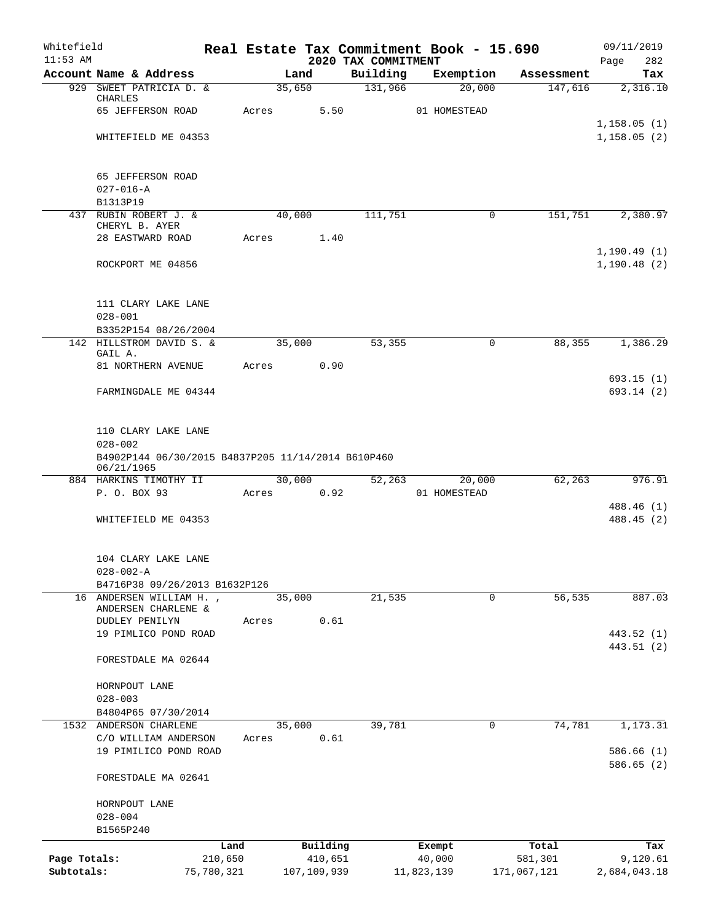| Whitefield<br>$11:53$ AM   |                                                                  |                       |       |        |                        | 2020 TAX COMMITMENT | Real Estate Tax Commitment Book - 15.690 |                        | 09/11/2019<br>282<br>Page |
|----------------------------|------------------------------------------------------------------|-----------------------|-------|--------|------------------------|---------------------|------------------------------------------|------------------------|---------------------------|
|                            | Account Name & Address                                           |                       |       | Land   |                        | Building            | Exemption                                | Assessment             | Tax                       |
|                            | 929 SWEET PATRICIA D. &                                          |                       |       | 35,650 |                        | 131,966             | 20,000                                   | 147,616                | 2,316.10                  |
|                            | CHARLES<br>65 JEFFERSON ROAD                                     |                       | Acres |        | 5.50                   |                     | 01 HOMESTEAD                             |                        |                           |
|                            |                                                                  |                       |       |        |                        |                     |                                          |                        | 1,158.05(1)               |
|                            | WHITEFIELD ME 04353                                              |                       |       |        |                        |                     |                                          |                        | 1,158.05(2)               |
|                            |                                                                  |                       |       |        |                        |                     |                                          |                        |                           |
|                            | 65 JEFFERSON ROAD<br>$027 - 016 - A$                             |                       |       |        |                        |                     |                                          |                        |                           |
|                            | B1313P19                                                         |                       |       |        |                        |                     |                                          |                        |                           |
|                            | 437 RUBIN ROBERT J. &                                            |                       |       | 40,000 |                        | 111,751             |                                          | 151,751<br>0           | 2,380.97                  |
|                            | CHERYL B. AYER                                                   |                       |       |        |                        |                     |                                          |                        |                           |
|                            | 28 EASTWARD ROAD                                                 |                       | Acres |        | 1.40                   |                     |                                          |                        | 1, 190.49(1)              |
|                            | ROCKPORT ME 04856                                                |                       |       |        |                        |                     |                                          |                        | 1,190.48(2)               |
|                            | 111 CLARY LAKE LANE                                              |                       |       |        |                        |                     |                                          |                        |                           |
|                            | $028 - 001$                                                      |                       |       |        |                        |                     |                                          |                        |                           |
|                            | B3352P154 08/26/2004                                             |                       |       |        |                        |                     |                                          |                        |                           |
|                            | 142 HILLSTROM DAVID S. &<br>GAIL A.                              |                       |       | 35,000 |                        | 53,355              |                                          | 88,355<br>$\mathbf 0$  | 1,386.29                  |
|                            | 81 NORTHERN AVENUE                                               |                       | Acres |        | 0.90                   |                     |                                          |                        |                           |
|                            |                                                                  |                       |       |        |                        |                     |                                          |                        | 693.15(1)                 |
|                            | FARMINGDALE ME 04344                                             |                       |       |        |                        |                     |                                          |                        | 693.14(2)                 |
|                            | 110 CLARY LAKE LANE<br>$028 - 002$                               |                       |       |        |                        |                     |                                          |                        |                           |
|                            | B4902P144 06/30/2015 B4837P205 11/14/2014 B610P460<br>06/21/1965 |                       |       |        |                        |                     |                                          |                        |                           |
|                            | 884 HARKINS TIMOTHY II                                           |                       |       | 30,000 |                        | 52,263              | 20,000                                   | 62,263                 | 976.91                    |
|                            | P. O. BOX 93                                                     |                       | Acres |        | 0.92                   |                     | 01 HOMESTEAD                             |                        |                           |
|                            | WHITEFIELD ME 04353                                              |                       |       |        |                        |                     |                                          |                        | 488.46 (1)<br>488.45 (2)  |
|                            | 104 CLARY LAKE LANE                                              |                       |       |        |                        |                     |                                          |                        |                           |
|                            | $028 - 002 - A$                                                  |                       |       |        |                        |                     |                                          |                        |                           |
|                            | B4716P38 09/26/2013 B1632P126                                    |                       |       |        |                        |                     |                                          |                        |                           |
| 16                         | ANDERSEN WILLIAM H.,<br>ANDERSEN CHARLENE &                      |                       |       | 35,000 |                        | 21,535              |                                          | $\mathbf 0$<br>56,535  | 887.03                    |
|                            | DUDLEY PENILYN                                                   |                       | Acres |        | 0.61                   |                     |                                          |                        |                           |
|                            | 19 PIMLICO POND ROAD                                             |                       |       |        |                        |                     |                                          |                        | 443.52 (1)                |
|                            | FORESTDALE MA 02644                                              |                       |       |        |                        |                     |                                          |                        | 443.51 (2)                |
|                            | HORNPOUT LANE                                                    |                       |       |        |                        |                     |                                          |                        |                           |
|                            | $028 - 003$                                                      |                       |       |        |                        |                     |                                          |                        |                           |
|                            | B4804P65 07/30/2014                                              |                       |       |        |                        |                     |                                          |                        |                           |
|                            | 1532 ANDERSON CHARLENE                                           |                       |       | 35,000 |                        | 39,781              |                                          | 74,781<br>0            | 1,173.31                  |
|                            | C/O WILLIAM ANDERSON                                             |                       | Acres |        | 0.61                   |                     |                                          |                        |                           |
|                            | 19 PIMILICO POND ROAD                                            |                       |       |        |                        |                     |                                          |                        | 586.66(1)<br>586.65(2)    |
|                            | FORESTDALE MA 02641                                              |                       |       |        |                        |                     |                                          |                        |                           |
|                            | HORNPOUT LANE                                                    |                       |       |        |                        |                     |                                          |                        |                           |
|                            | $028 - 004$                                                      |                       |       |        |                        |                     |                                          |                        |                           |
|                            | B1565P240                                                        |                       |       |        |                        |                     |                                          |                        |                           |
|                            |                                                                  | Land                  |       |        | Building               |                     | Exempt                                   | Total                  | Tax                       |
| Page Totals:<br>Subtotals: |                                                                  | 210,650<br>75,780,321 |       |        | 410,651<br>107,109,939 |                     | 40,000<br>11,823,139                     | 581,301<br>171,067,121 | 9,120.61<br>2,684,043.18  |
|                            |                                                                  |                       |       |        |                        |                     |                                          |                        |                           |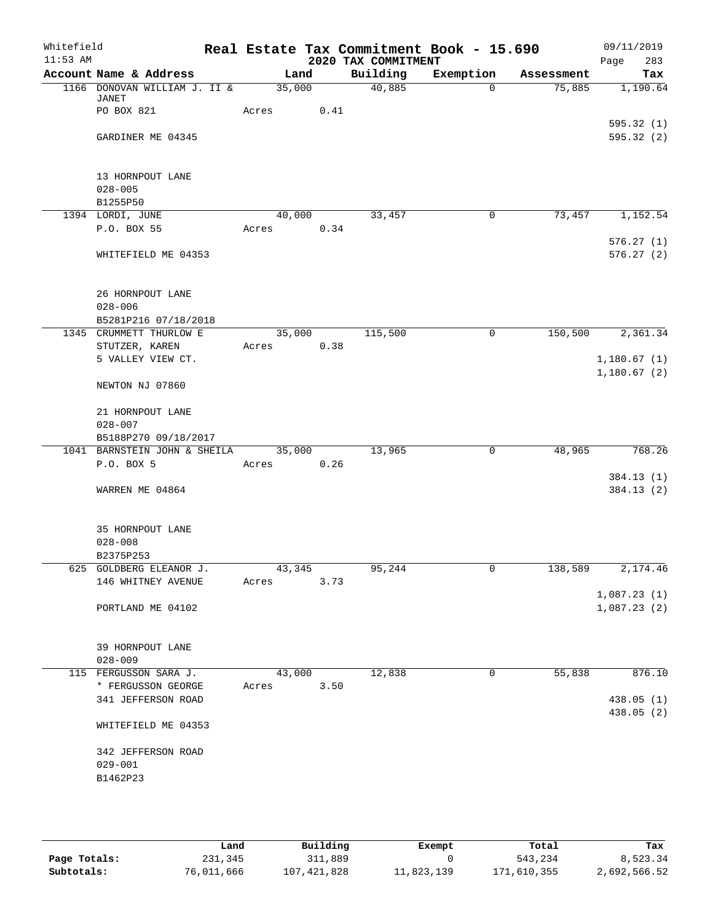| Whitefield |                                           |        |      |                     | Real Estate Tax Commitment Book - 15.690 |            | 09/11/2019             |
|------------|-------------------------------------------|--------|------|---------------------|------------------------------------------|------------|------------------------|
| $11:53$ AM |                                           |        |      | 2020 TAX COMMITMENT |                                          |            | 283<br>Page            |
|            | Account Name & Address                    | Land   |      | Building            | Exemption                                | Assessment | Tax                    |
|            | 1166 DONOVAN WILLIAM J. II &<br>JANET     | 35,000 |      | 40,885              | $\Omega$                                 | 75,885     | 1,190.64               |
|            | PO BOX 821                                | Acres  | 0.41 |                     |                                          |            |                        |
|            |                                           |        |      |                     |                                          |            | 595.32(1)              |
|            | GARDINER ME 04345                         |        |      |                     |                                          |            | 595.32(2)              |
|            |                                           |        |      |                     |                                          |            |                        |
|            |                                           |        |      |                     |                                          |            |                        |
|            | 13 HORNPOUT LANE                          |        |      |                     |                                          |            |                        |
|            | $028 - 005$<br>B1255P50                   |        |      |                     |                                          |            |                        |
|            | 1394 LORDI, JUNE                          | 40,000 |      | 33,457              | $\mathsf{O}$                             | 73,457     | 1,152.54               |
|            | P.O. BOX 55                               | Acres  | 0.34 |                     |                                          |            |                        |
|            |                                           |        |      |                     |                                          |            | 576.27(1)              |
|            | WHITEFIELD ME 04353                       |        |      |                     |                                          |            | 576.27(2)              |
|            |                                           |        |      |                     |                                          |            |                        |
|            |                                           |        |      |                     |                                          |            |                        |
|            | 26 HORNPOUT LANE                          |        |      |                     |                                          |            |                        |
|            | $028 - 006$                               |        |      |                     |                                          |            |                        |
|            | B5281P216 07/18/2018                      |        |      |                     |                                          |            |                        |
|            | 1345 CRUMMETT THURLOW E<br>STUTZER, KAREN | 35,000 |      | 115,500             | 0                                        | 150,500    | 2,361.34               |
|            | 5 VALLEY VIEW CT.                         | Acres  | 0.38 |                     |                                          |            | 1,180.67(1)            |
|            |                                           |        |      |                     |                                          |            | 1,180.67(2)            |
|            | NEWTON NJ 07860                           |        |      |                     |                                          |            |                        |
|            |                                           |        |      |                     |                                          |            |                        |
|            | 21 HORNPOUT LANE                          |        |      |                     |                                          |            |                        |
|            | $028 - 007$                               |        |      |                     |                                          |            |                        |
|            | B5188P270 09/18/2017                      |        |      |                     |                                          |            |                        |
|            | 1041 BARNSTEIN JOHN & SHEILA              | 35,000 |      | 13,965              | $\mathbf 0$                              | 48,965     | 768.26                 |
|            | P.O. BOX 5                                | Acres  | 0.26 |                     |                                          |            |                        |
|            | WARREN ME 04864                           |        |      |                     |                                          |            | 384.13(1)<br>384.13(2) |
|            |                                           |        |      |                     |                                          |            |                        |
|            |                                           |        |      |                     |                                          |            |                        |
|            | 35 HORNPOUT LANE                          |        |      |                     |                                          |            |                        |
|            | $028 - 008$                               |        |      |                     |                                          |            |                        |
|            | B2375P253                                 |        |      |                     |                                          |            |                        |
|            | 625 GOLDBERG ELEANOR J.                   | 43,345 |      | 95,244              | 0                                        | 138, 589   | 2,174.46               |
|            | 146 WHITNEY AVENUE                        | Acres  | 3.73 |                     |                                          |            |                        |
|            |                                           |        |      |                     |                                          |            | 1,087.23(1)            |
|            | PORTLAND ME 04102                         |        |      |                     |                                          |            | 1,087.23(2)            |
|            |                                           |        |      |                     |                                          |            |                        |
|            | 39 HORNPOUT LANE                          |        |      |                     |                                          |            |                        |
|            | $028 - 009$                               |        |      |                     |                                          |            |                        |
|            | 115 FERGUSSON SARA J.                     | 43,000 |      | 12,838              | 0                                        | 55,838     | 876.10                 |
|            | * FERGUSSON GEORGE                        | Acres  | 3.50 |                     |                                          |            |                        |
|            | 341 JEFFERSON ROAD                        |        |      |                     |                                          |            | 438.05 (1)             |
|            |                                           |        |      |                     |                                          |            | 438.05 (2)             |
|            | WHITEFIELD ME 04353                       |        |      |                     |                                          |            |                        |
|            |                                           |        |      |                     |                                          |            |                        |
|            | 342 JEFFERSON ROAD<br>$029 - 001$         |        |      |                     |                                          |            |                        |
|            | B1462P23                                  |        |      |                     |                                          |            |                        |
|            |                                           |        |      |                     |                                          |            |                        |
|            |                                           |        |      |                     |                                          |            |                        |

|              | Land       | Building    | Exempt     | Total       | Tax          |
|--------------|------------|-------------|------------|-------------|--------------|
| Page Totals: | 231,345    | 311,889     |            | 543,234     | 8,523.34     |
| Subtotals:   | 76,011,666 | 107,421,828 | 11,823,139 | 171,610,355 | 2,692,566.52 |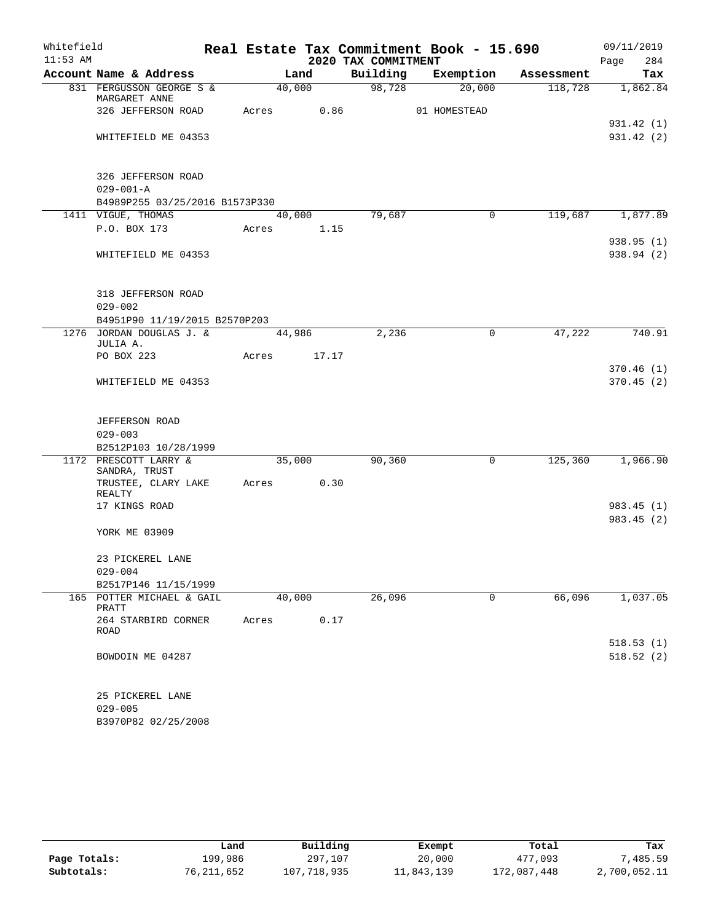| Whitefield |                                           |            |        |                     | Real Estate Tax Commitment Book - 15.690 |            | 09/11/2019  |
|------------|-------------------------------------------|------------|--------|---------------------|------------------------------------------|------------|-------------|
| $11:53$ AM |                                           |            |        | 2020 TAX COMMITMENT |                                          |            | 284<br>Page |
|            | Account Name & Address                    |            | Land   | Building            | Exemption                                | Assessment | Tax         |
|            | 831 FERGUSSON GEORGE S &<br>MARGARET ANNE |            | 40,000 | 98,728              | 20,000                                   | 118,728    | 1,862.84    |
|            | 326 JEFFERSON ROAD                        | Acres      | 0.86   |                     | 01 HOMESTEAD                             |            |             |
|            |                                           |            |        |                     |                                          |            | 931.42 (1)  |
|            | WHITEFIELD ME 04353                       |            |        |                     |                                          |            | 931.42 (2)  |
|            |                                           |            |        |                     |                                          |            |             |
|            | 326 JEFFERSON ROAD                        |            |        |                     |                                          |            |             |
|            | $029 - 001 - A$                           |            |        |                     |                                          |            |             |
|            | B4989P255 03/25/2016 B1573P330            |            |        |                     |                                          |            |             |
|            | 1411 VIGUE, THOMAS                        |            | 40,000 | 79,687              | $\mathbf 0$                              | 119,687    | 1,877.89    |
|            | P.O. BOX 173                              | Acres      | 1.15   |                     |                                          |            |             |
|            |                                           |            |        |                     |                                          |            | 938.95(1)   |
|            | WHITEFIELD ME 04353                       |            |        |                     |                                          |            | 938.94 (2)  |
|            |                                           |            |        |                     |                                          |            |             |
|            | 318 JEFFERSON ROAD                        |            |        |                     |                                          |            |             |
|            | $029 - 002$                               |            |        |                     |                                          |            |             |
|            | B4951P90 11/19/2015 B2570P203             |            |        |                     |                                          |            |             |
|            | 1276 JORDAN DOUGLAS J. &                  |            | 44,986 | 2,236               | 0                                        | 47,222     | 740.91      |
|            | JULIA A.                                  |            |        |                     |                                          |            |             |
|            | PO BOX 223                                | Acres      | 17.17  |                     |                                          |            |             |
|            |                                           |            |        |                     |                                          |            | 370.46(1)   |
|            | WHITEFIELD ME 04353                       |            |        |                     |                                          |            | 370.45(2)   |
|            |                                           |            |        |                     |                                          |            |             |
|            | <b>JEFFERSON ROAD</b>                     |            |        |                     |                                          |            |             |
|            | $029 - 003$                               |            |        |                     |                                          |            |             |
|            | B2512P103 10/28/1999                      |            |        |                     |                                          |            |             |
|            | 1172 PRESCOTT LARRY &                     |            | 35,000 | 90,360              | 0                                        | 125,360    | 1,966.90    |
|            | SANDRA, TRUST                             |            |        |                     |                                          |            |             |
|            | TRUSTEE, CLARY LAKE<br>REALTY             | Acres 0.30 |        |                     |                                          |            |             |
|            | 17 KINGS ROAD                             |            |        |                     |                                          |            | 983.45(1)   |
|            |                                           |            |        |                     |                                          |            | 983.45 (2)  |
|            | YORK ME 03909                             |            |        |                     |                                          |            |             |
|            |                                           |            |        |                     |                                          |            |             |
|            | 23 PICKEREL LANE                          |            |        |                     |                                          |            |             |
|            | $029 - 004$                               |            |        |                     |                                          |            |             |
|            | B2517P146 11/15/1999                      |            |        |                     |                                          |            |             |
|            | 165 POTTER MICHAEL & GAIL<br>PRATT        |            | 40,000 | 26,096              | $\mathbf 0$                              | 66,096     | 1,037.05    |
|            | 264 STARBIRD CORNER                       | Acres      | 0.17   |                     |                                          |            |             |
|            | ROAD                                      |            |        |                     |                                          |            |             |
|            |                                           |            |        |                     |                                          |            | 518.53(1)   |
|            | BOWDOIN ME 04287                          |            |        |                     |                                          |            | 518.52(2)   |
|            |                                           |            |        |                     |                                          |            |             |
|            | 25 PICKEREL LANE                          |            |        |                     |                                          |            |             |
|            | $029 - 005$                               |            |        |                     |                                          |            |             |
|            | B3970P82 02/25/2008                       |            |        |                     |                                          |            |             |

|              | Land       | Building    | Exempt     | Total       | Tax          |
|--------------|------------|-------------|------------|-------------|--------------|
| Page Totals: | 199.986    | 297,107     | 20,000     | 477,093     | 7,485.59     |
| Subtotals:   | 76,211,652 | 107,718,935 | 11,843,139 | 172,087,448 | 2,700,052.11 |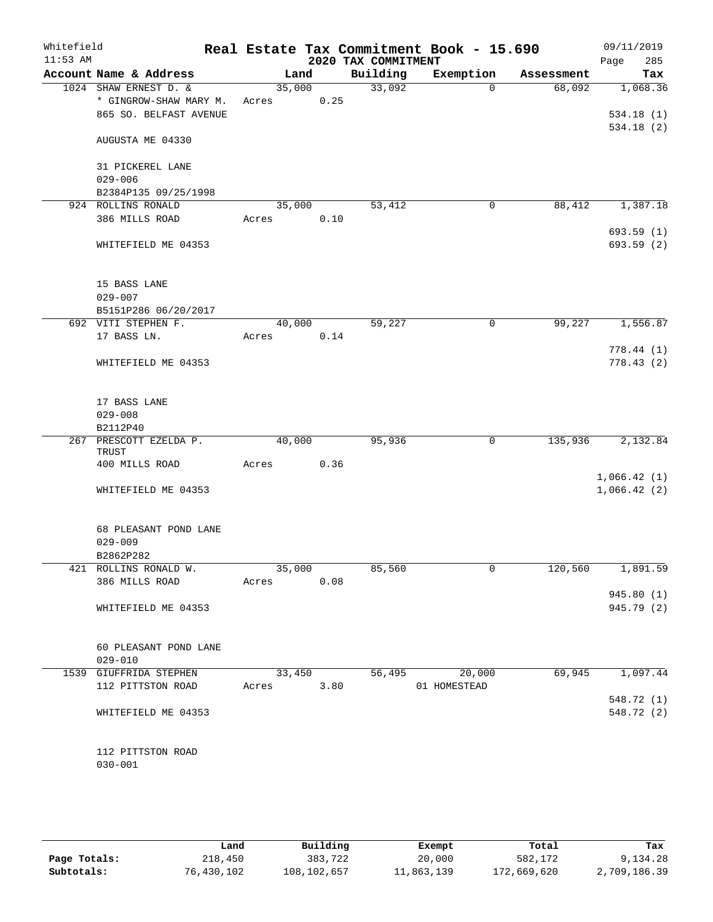| Whitefield<br>$11:53$ AM |                                                 |                 |        | 2020 TAX COMMITMENT | Real Estate Tax Commitment Book - 15.690 |            | 09/11/2019<br>Page<br>285 |
|--------------------------|-------------------------------------------------|-----------------|--------|---------------------|------------------------------------------|------------|---------------------------|
|                          | Account Name & Address                          | Land            |        | Building            | Exemption                                | Assessment | Tax                       |
|                          | 1024 SHAW ERNEST D. &<br>* GINGROW-SHAW MARY M. | 35,000<br>Acres | 0.25   | 33,092              | $\Omega$                                 | 68,092     | 1,068.36                  |
|                          | 865 SO. BELFAST AVENUE                          |                 |        |                     |                                          |            | 534.18(1)<br>534.18(2)    |
|                          | AUGUSTA ME 04330                                |                 |        |                     |                                          |            |                           |
|                          | 31 PICKEREL LANE<br>$029 - 006$                 |                 |        |                     |                                          |            |                           |
|                          | B2384P135 09/25/1998                            |                 |        |                     |                                          |            |                           |
|                          | 924 ROLLINS RONALD<br>386 MILLS ROAD            | 35,000<br>Acres | 0.10   | 53,412              | $\mathbf 0$                              | 88,412     | 1,387.18                  |
|                          | WHITEFIELD ME 04353                             |                 |        |                     |                                          |            | 693.59(1)<br>693.59 (2)   |
|                          | 15 BASS LANE                                    |                 |        |                     |                                          |            |                           |
|                          | $029 - 007$                                     |                 |        |                     |                                          |            |                           |
|                          | B5151P286 06/20/2017                            |                 |        |                     |                                          |            |                           |
|                          | 692 VITI STEPHEN F.<br>17 BASS LN.              | 40,000          | 0.14   | 59,227              | 0                                        | 99,227     | 1,556.87                  |
|                          |                                                 | Acres           |        |                     |                                          |            | 778.44(1)                 |
|                          | WHITEFIELD ME 04353                             |                 |        |                     |                                          |            | 778.43(2)                 |
|                          | 17 BASS LANE                                    |                 |        |                     |                                          |            |                           |
|                          | $029 - 008$                                     |                 |        |                     |                                          |            |                           |
|                          | B2112P40<br>267 PRESCOTT EZELDA P.<br>TRUST     | 40,000          |        | 95,936              | 0                                        | 135,936    | 2,132.84                  |
|                          | 400 MILLS ROAD                                  | Acres           | 0.36   |                     |                                          |            |                           |
|                          |                                                 |                 |        |                     |                                          |            | 1,066.42(1)               |
|                          | WHITEFIELD ME 04353                             |                 |        |                     |                                          |            | 1,066.42(2)               |
|                          | 68 PLEASANT POND LANE<br>$029 - 009$            |                 |        |                     |                                          |            |                           |
|                          | B2862P282                                       |                 |        |                     |                                          |            |                           |
|                          | 421 ROLLINS RONALD W.                           |                 | 35,000 | 85,560              | $\mathsf{O}$                             | 120,560    | 1,891.59                  |
|                          | 386 MILLS ROAD                                  | Acres           | 0.08   |                     |                                          |            |                           |
|                          | WHITEFIELD ME 04353                             |                 |        |                     |                                          |            | 945.80 (1)<br>945.79 (2)  |
|                          |                                                 |                 |        |                     |                                          |            |                           |
|                          | 60 PLEASANT POND LANE<br>$029 - 010$            |                 |        |                     |                                          |            |                           |
|                          | 1539 GIUFFRIDA STEPHEN                          |                 | 33,450 | 56,495              | 20,000                                   | 69,945     | 1,097.44                  |
|                          | 112 PITTSTON ROAD                               | Acres 3.80      |        |                     | 01 HOMESTEAD                             |            |                           |
|                          |                                                 |                 |        |                     |                                          |            | 548.72 (1)                |
|                          | WHITEFIELD ME 04353                             |                 |        |                     |                                          |            | 548.72 (2)                |
|                          | 112 PITTSTON ROAD<br>$030 - 001$                |                 |        |                     |                                          |            |                           |

|              | Land       | Building    | Exempt     | Total       | Tax          |
|--------------|------------|-------------|------------|-------------|--------------|
| Page Totals: | 218,450    | 383,722     | 20,000     | 582,172     | 9,134.28     |
| Subtotals:   | 76,430,102 | 108,102,657 | 11,863,139 | 172,669,620 | 2,709,186.39 |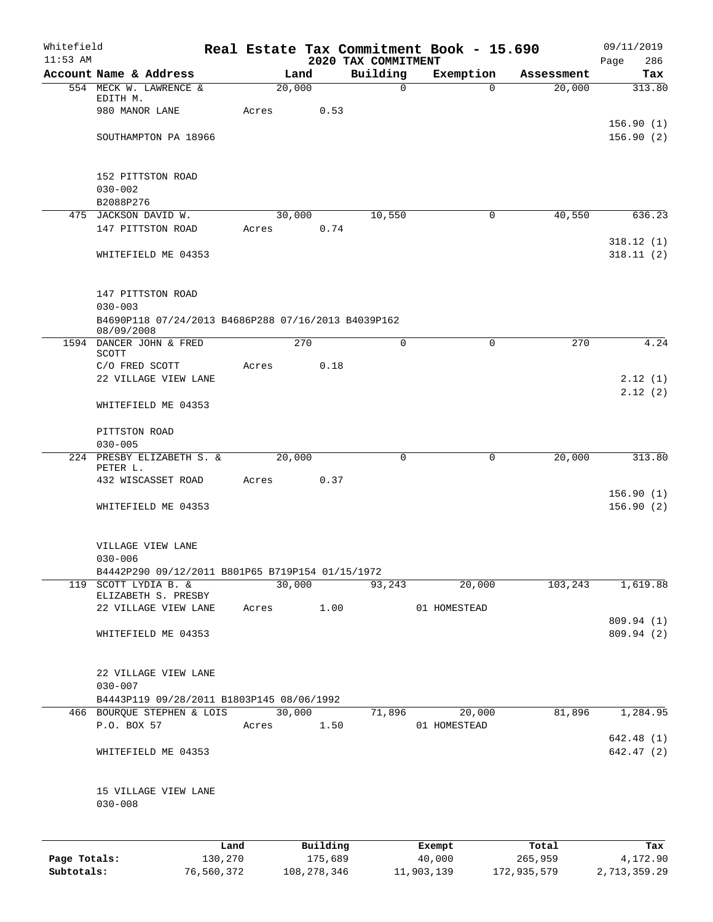| Whitefield<br>$11:53$ AM |                                                                   |            |               |          | 2020 TAX COMMITMENT | Real Estate Tax Commitment Book - 15.690 |             | 09/11/2019<br>286        |
|--------------------------|-------------------------------------------------------------------|------------|---------------|----------|---------------------|------------------------------------------|-------------|--------------------------|
|                          | Account Name & Address                                            |            | Land          |          | Building            | Exemption                                | Assessment  | Page<br>Tax              |
|                          | 554 MECK W. LAWRENCE &                                            |            | 20,000        |          | 0                   | $\Omega$                                 | 20,000      | 313.80                   |
|                          | EDITH M.                                                          |            |               |          |                     |                                          |             |                          |
|                          | 980 MANOR LANE                                                    | Acres      |               | 0.53     |                     |                                          |             |                          |
|                          |                                                                   |            |               |          |                     |                                          |             | 156.90(1)                |
|                          | SOUTHAMPTON PA 18966                                              |            |               |          |                     |                                          |             | 156.90(2)                |
|                          | 152 PITTSTON ROAD                                                 |            |               |          |                     |                                          |             |                          |
|                          | $030 - 002$                                                       |            |               |          |                     |                                          |             |                          |
|                          | B2088P276                                                         |            |               |          |                     |                                          |             |                          |
|                          | 475 JACKSON DAVID W.                                              |            | 30,000        |          | 10,550              | 0                                        | 40,550      | 636.23                   |
|                          | 147 PITTSTON ROAD                                                 | Acres      |               | 0.74     |                     |                                          |             |                          |
|                          |                                                                   |            |               |          |                     |                                          |             | 318.12(1)                |
|                          | WHITEFIELD ME 04353                                               |            |               |          |                     |                                          |             | 318.11(2)                |
|                          | 147 PITTSTON ROAD                                                 |            |               |          |                     |                                          |             |                          |
|                          | $030 - 003$                                                       |            |               |          |                     |                                          |             |                          |
|                          | B4690P118 07/24/2013 B4686P288 07/16/2013 B4039P162<br>08/09/2008 |            |               |          |                     |                                          |             |                          |
|                          | 1594 DANCER JOHN & FRED                                           |            | 270           |          | $\Omega$            | 0                                        | 270         | 4.24                     |
|                          | SCOTT                                                             |            |               |          |                     |                                          |             |                          |
|                          | C/O FRED SCOTT                                                    | Acres      |               | 0.18     |                     |                                          |             |                          |
|                          | 22 VILLAGE VIEW LANE                                              |            |               |          |                     |                                          |             | 2.12(1)                  |
|                          | WHITEFIELD ME 04353                                               |            |               |          |                     |                                          |             | 2.12(2)                  |
|                          |                                                                   |            |               |          |                     |                                          |             |                          |
|                          | PITTSTON ROAD                                                     |            |               |          |                     |                                          |             |                          |
|                          | $030 - 005$<br>224 PRESBY ELIZABETH S. &                          |            |               |          | 0                   |                                          |             |                          |
|                          | PETER L.                                                          |            | 20,000        |          |                     | 0                                        | 20,000      | 313.80                   |
|                          | 432 WISCASSET ROAD                                                | Acres      |               | 0.37     |                     |                                          |             |                          |
|                          |                                                                   |            |               |          |                     |                                          |             | 156.90(1)                |
|                          | WHITEFIELD ME 04353                                               |            |               |          |                     |                                          |             | 156.90(2)                |
|                          | VILLAGE VIEW LANE                                                 |            |               |          |                     |                                          |             |                          |
|                          | $030 - 006$                                                       |            |               |          |                     |                                          |             |                          |
|                          | B4442P290 09/12/2011 B801P65 B719P154 01/15/1972                  |            |               |          |                     |                                          |             |                          |
| 119                      | SCOTT LYDIA B. &                                                  |            | 30,000        |          | 93,243              | 20,000                                   | 103,243     | 1,619.88                 |
|                          | ELIZABETH S. PRESBY                                               |            |               |          |                     |                                          |             |                          |
|                          | 22 VILLAGE VIEW LANE                                              | Acres      |               | 1.00     |                     | 01 HOMESTEAD                             |             |                          |
|                          | WHITEFIELD ME 04353                                               |            |               |          |                     |                                          |             | 809.94 (1)<br>809.94 (2) |
|                          |                                                                   |            |               |          |                     |                                          |             |                          |
|                          | 22 VILLAGE VIEW LANE                                              |            |               |          |                     |                                          |             |                          |
|                          | $030 - 007$                                                       |            |               |          |                     |                                          |             |                          |
|                          | B4443P119 09/28/2011 B1803P145 08/06/1992                         |            |               |          |                     |                                          |             |                          |
|                          | 466 BOURQUE STEPHEN & LOIS                                        |            | 30,000        |          | 71,896              | 20,000                                   | 81,896      | 1,284.95                 |
|                          | P.O. BOX 57                                                       | Acres      |               | 1.50     |                     | 01 HOMESTEAD                             |             |                          |
|                          |                                                                   |            |               |          |                     |                                          |             | 642.48 (1)               |
|                          | WHITEFIELD ME 04353                                               |            |               |          |                     |                                          |             | 642.47(2)                |
|                          | 15 VILLAGE VIEW LANE                                              |            |               |          |                     |                                          |             |                          |
|                          | $030 - 008$                                                       |            |               |          |                     |                                          |             |                          |
|                          |                                                                   | Land       |               | Building |                     | Exempt                                   | Total       | Tax                      |
| Page Totals:             |                                                                   | 130,270    |               | 175,689  |                     | 40,000                                   | 265,959     | 4,172.90                 |
| Subtotals:               |                                                                   | 76,560,372 | 108, 278, 346 |          |                     | 11,903,139                               | 172,935,579 | 2,713,359.29             |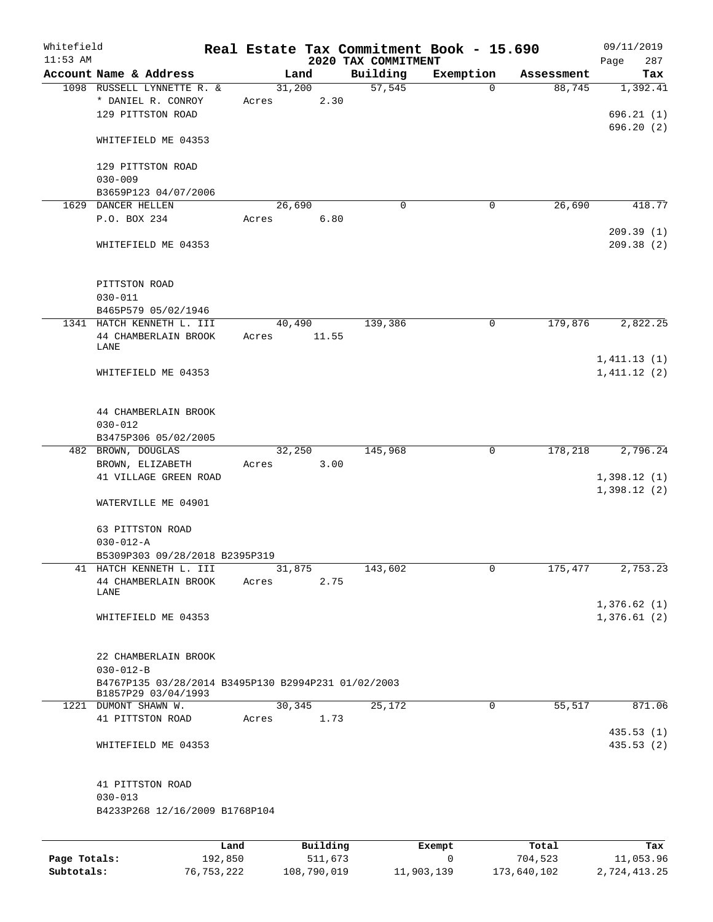| Whitefield<br>$11:53$ AM |                                                                            |       |                | 2020 TAX COMMITMENT | Real Estate Tax Commitment Book - 15.690 |            | 09/11/2019<br>287<br>Page  |
|--------------------------|----------------------------------------------------------------------------|-------|----------------|---------------------|------------------------------------------|------------|----------------------------|
|                          | Account Name & Address                                                     |       | Land           | Building            | Exemption                                | Assessment | Tax                        |
|                          | 1098 RUSSELL LYNNETTE R. &<br>* DANIEL R. CONROY<br>129 PITTSTON ROAD      | Acres | 31,200<br>2.30 | 57,545              | 0                                        | 88,745     | 1,392.41<br>696.21(1)      |
|                          | WHITEFIELD ME 04353                                                        |       |                |                     |                                          |            | 696.20(2)                  |
|                          | 129 PITTSTON ROAD<br>$030 - 009$                                           |       |                |                     |                                          |            |                            |
|                          | B3659P123 04/07/2006                                                       |       |                |                     |                                          |            |                            |
|                          | 1629 DANCER HELLEN                                                         |       | 26,690         | 0                   | 0                                        | 26,690     | 418.77                     |
|                          | P.O. BOX 234                                                               | Acres | 6.80           |                     |                                          |            |                            |
|                          | WHITEFIELD ME 04353                                                        |       |                |                     |                                          |            | 209.39(1)<br>209.38(2)     |
|                          | PITTSTON ROAD<br>$030 - 011$                                               |       |                |                     |                                          |            |                            |
|                          | B465P579 05/02/1946<br>1341 HATCH KENNETH L. III                           |       | 40,490         | 139,386             | 0                                        | 179,876    | 2,822.25                   |
|                          | 44 CHAMBERLAIN BROOK                                                       | Acres | 11.55          |                     |                                          |            |                            |
|                          | LANE                                                                       |       |                |                     |                                          |            |                            |
|                          | WHITEFIELD ME 04353                                                        |       |                |                     |                                          |            | 1,411.13(1)<br>1,411.12(2) |
|                          | 44 CHAMBERLAIN BROOK<br>$030 - 012$<br>B3475P306 05/02/2005                |       |                |                     |                                          |            |                            |
|                          | 482 BROWN, DOUGLAS                                                         |       | 32,250         | 145,968             | $\mathbf 0$                              | 178,218    | 2,796.24                   |
|                          | BROWN, ELIZABETH<br>41 VILLAGE GREEN ROAD                                  | Acres | 3.00           |                     |                                          |            | 1,398.12(1)                |
|                          | WATERVILLE ME 04901                                                        |       |                |                     |                                          |            | 1,398.12(2)                |
|                          | 63 PITTSTON ROAD                                                           |       |                |                     |                                          |            |                            |
|                          | $030 - 012 - A$                                                            |       |                |                     |                                          |            |                            |
|                          | B5309P303 09/28/2018 B2395P319<br>41 HATCH KENNETH L. III                  |       |                |                     | 0                                        |            |                            |
|                          | 44 CHAMBERLAIN BROOK                                                       | Acres | 31,875<br>2.75 | 143,602             |                                          | 175,477    | 2,753.23                   |
|                          | LANE                                                                       |       |                |                     |                                          |            |                            |
|                          | WHITEFIELD ME 04353                                                        |       |                |                     |                                          |            | 1,376.62(1)<br>1,376.61(2) |
|                          | 22 CHAMBERLAIN BROOK<br>$030 - 012 - B$                                    |       |                |                     |                                          |            |                            |
|                          | B4767P135 03/28/2014 B3495P130 B2994P231 01/02/2003<br>B1857P29 03/04/1993 |       |                |                     |                                          |            |                            |
|                          | 1221 DUMONT SHAWN W.                                                       |       | 30,345         | 25,172              | 0                                        | 55,517     | 871.06                     |
|                          | 41 PITTSTON ROAD                                                           | Acres | 1.73           |                     |                                          |            |                            |
|                          | WHITEFIELD ME 04353                                                        |       |                |                     |                                          |            | 435.53(1)<br>435.53(2)     |
|                          | 41 PITTSTON ROAD                                                           |       |                |                     |                                          |            |                            |
|                          | $030 - 013$<br>B4233P268 12/16/2009 B1768P104                              |       |                |                     |                                          |            |                            |
|                          |                                                                            |       |                |                     |                                          |            |                            |
|                          |                                                                            | Land  | Building       |                     | Exempt                                   | Total      | Tax                        |
|                          |                                                                            |       |                |                     |                                          |            |                            |

|              | -------    |             | -------    | ------      | ------       |
|--------------|------------|-------------|------------|-------------|--------------|
| Page Totals: | 192,850    | 511,673     |            | 704,523     | 11,053.96    |
| Subtotals:   | 76,753,222 | 108,790,019 | 11,903,139 | 173,640,102 | 2,724,413.25 |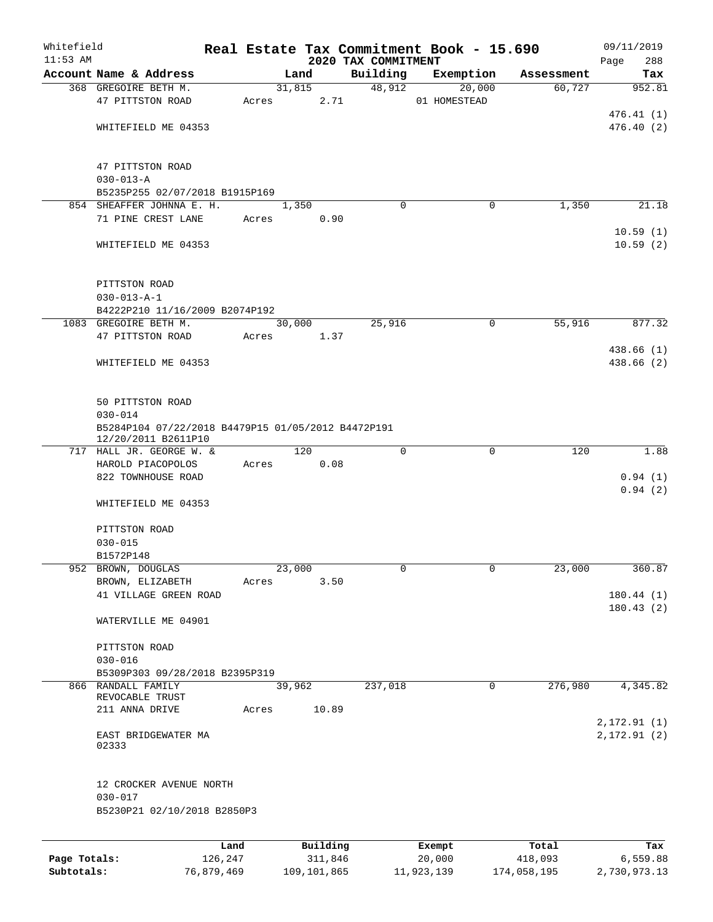| Whitefield   |                                                                           |         |        |          |                                 | Real Estate Tax Commitment Book - 15.690 |            | 09/11/2019         |
|--------------|---------------------------------------------------------------------------|---------|--------|----------|---------------------------------|------------------------------------------|------------|--------------------|
| $11:53$ AM   | Account Name & Address                                                    |         |        | Land     | 2020 TAX COMMITMENT<br>Building | Exemption                                | Assessment | 288<br>Page<br>Tax |
|              | 368 GREGOIRE BETH M.                                                      |         |        | 31,815   | 48,912                          | 20,000                                   | 60,727     | 952.81             |
|              | 47 PITTSTON ROAD                                                          | Acres   |        | 2.71     |                                 | 01 HOMESTEAD                             |            |                    |
|              |                                                                           |         |        |          |                                 |                                          |            | 476.41(1)          |
|              | WHITEFIELD ME 04353                                                       |         |        |          |                                 |                                          |            | 476.40(2)          |
|              |                                                                           |         |        |          |                                 |                                          |            |                    |
|              | 47 PITTSTON ROAD                                                          |         |        |          |                                 |                                          |            |                    |
|              | $030 - 013 - A$                                                           |         |        |          |                                 |                                          |            |                    |
|              | B5235P255 02/07/2018 B1915P169                                            |         |        |          |                                 |                                          |            |                    |
|              | 854 SHEAFFER JOHNNA E. H.                                                 |         |        | 1,350    | $\Omega$                        | 0                                        | 1,350      | 21.18              |
|              | 71 PINE CREST LANE                                                        | Acres   |        | 0.90     |                                 |                                          |            |                    |
|              |                                                                           |         |        |          |                                 |                                          |            | 10.59(1)           |
|              | WHITEFIELD ME 04353                                                       |         |        |          |                                 |                                          |            | 10.59(2)           |
|              | PITTSTON ROAD                                                             |         |        |          |                                 |                                          |            |                    |
|              | $030 - 013 - A - 1$                                                       |         |        |          |                                 |                                          |            |                    |
|              | B4222P210 11/16/2009 B2074P192                                            |         |        |          |                                 |                                          |            |                    |
|              | 1083 GREGOIRE BETH M.                                                     |         |        | 30,000   | 25,916                          | $\mathbf 0$                              | 55,916     | 877.32             |
|              | 47 PITTSTON ROAD                                                          | Acres   |        | 1.37     |                                 |                                          |            |                    |
|              |                                                                           |         |        |          |                                 |                                          |            | 438.66 (1)         |
|              | WHITEFIELD ME 04353                                                       |         |        |          |                                 |                                          |            | 438.66 (2)         |
|              | 50 PITTSTON ROAD                                                          |         |        |          |                                 |                                          |            |                    |
|              | $030 - 014$                                                               |         |        |          |                                 |                                          |            |                    |
|              | B5284P104 07/22/2018 B4479P15 01/05/2012 B4472P191<br>12/20/2011 B2611P10 |         |        |          |                                 |                                          |            |                    |
|              | 717 HALL JR. GEORGE W. &                                                  |         |        | 120      | $\Omega$                        | $\mathbf 0$                              | 120        | 1.88               |
|              | HAROLD PIACOPOLOS                                                         | Acres   |        | 0.08     |                                 |                                          |            |                    |
|              | 822 TOWNHOUSE ROAD                                                        |         |        |          |                                 |                                          |            | 0.94(1)<br>0.94(2) |
|              | WHITEFIELD ME 04353                                                       |         |        |          |                                 |                                          |            |                    |
|              | PITTSTON ROAD                                                             |         |        |          |                                 |                                          |            |                    |
|              | $030 - 015$                                                               |         |        |          |                                 |                                          |            |                    |
|              | B1572P148                                                                 |         |        |          |                                 |                                          |            |                    |
|              | 952 BROWN, DOUGLAS                                                        |         | 23,000 |          | 0                               | 0                                        | 23,000     | 360.87             |
|              | BROWN, ELIZABETH                                                          | Acres   |        | 3.50     |                                 |                                          |            |                    |
|              | 41 VILLAGE GREEN ROAD                                                     |         |        |          |                                 |                                          |            | 180.44(1)          |
|              |                                                                           |         |        |          |                                 |                                          |            | 180.43(2)          |
|              | WATERVILLE ME 04901                                                       |         |        |          |                                 |                                          |            |                    |
|              | PITTSTON ROAD                                                             |         |        |          |                                 |                                          |            |                    |
|              | $030 - 016$                                                               |         |        |          |                                 |                                          |            |                    |
|              | B5309P303 09/28/2018 B2395P319                                            |         |        |          |                                 |                                          |            |                    |
|              | 866 RANDALL FAMILY                                                        |         |        | 39,962   | 237,018                         | $\mathbf 0$                              | 276,980    | 4,345.82           |
|              | REVOCABLE TRUST                                                           |         |        |          |                                 |                                          |            |                    |
|              | 211 ANNA DRIVE                                                            | Acres   |        | 10.89    |                                 |                                          |            | 2, 172.91(1)       |
|              | EAST BRIDGEWATER MA<br>02333                                              |         |        |          |                                 |                                          |            | 2,172.91(2)        |
|              | 12 CROCKER AVENUE NORTH                                                   |         |        |          |                                 |                                          |            |                    |
|              | $030 - 017$<br>B5230P21 02/10/2018 B2850P3                                |         |        |          |                                 |                                          |            |                    |
|              |                                                                           |         |        |          |                                 |                                          |            |                    |
|              |                                                                           | Land    |        | Building |                                 | Exempt                                   | Total      | Tax                |
| Page Totals: |                                                                           | 126,247 |        | 311,846  |                                 | 20,000                                   | 418,093    | 6,559.88           |

**Subtotals:** 76,879,469 109,101,865 11,923,139 174,058,195 2,730,973.13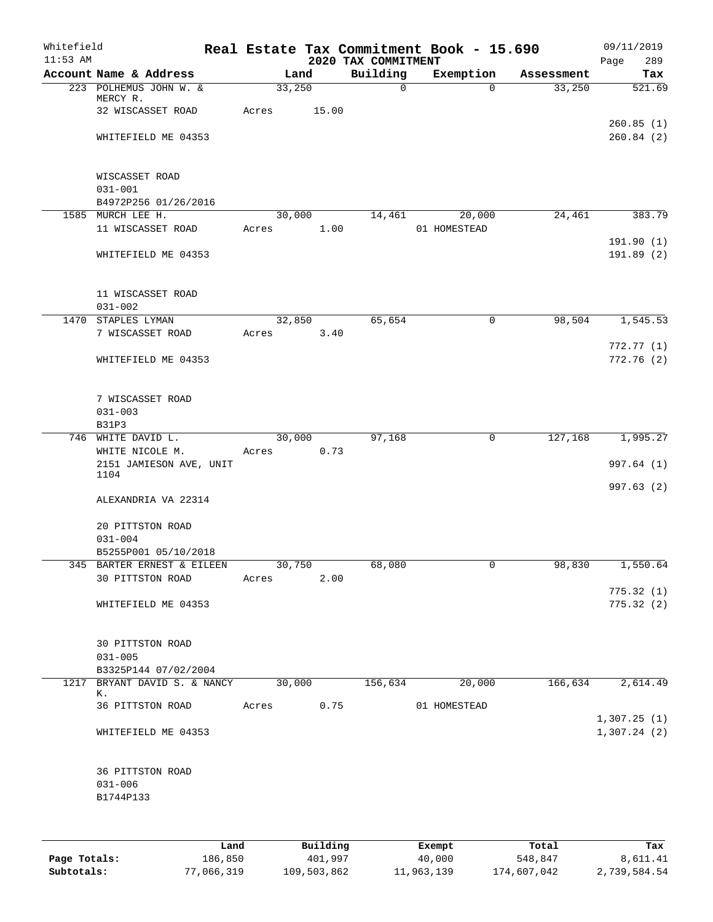| Whitefield<br>$11:53$ AM |                                                    |       |                | 2020 TAX COMMITMENT | Real Estate Tax Commitment Book - 15.690 |            | 09/11/2019<br>Page<br>289  |
|--------------------------|----------------------------------------------------|-------|----------------|---------------------|------------------------------------------|------------|----------------------------|
|                          | Account Name & Address                             |       | Land           | Building            | Exemption                                | Assessment | Tax                        |
|                          | 223 POLHEMUS JOHN W. &                             |       | 33,250         | $\mathbf 0$         | $\Omega$                                 | 33,250     | 521.69                     |
|                          | MERCY R.<br>32 WISCASSET ROAD                      | Acres | 15.00          |                     |                                          |            |                            |
|                          |                                                    |       |                |                     |                                          |            | 260.85(1)                  |
|                          | WHITEFIELD ME 04353                                |       |                |                     |                                          |            | 260.84(2)                  |
|                          |                                                    |       |                |                     |                                          |            |                            |
|                          |                                                    |       |                |                     |                                          |            |                            |
|                          | WISCASSET ROAD                                     |       |                |                     |                                          |            |                            |
|                          | $031 - 001$                                        |       |                |                     |                                          |            |                            |
|                          | B4972P256 01/26/2016<br>1585 MURCH LEE H.          |       | 30,000         | 14,461              | 20,000                                   | 24,461     | 383.79                     |
|                          | 11 WISCASSET ROAD                                  | Acres | 1.00           |                     | 01 HOMESTEAD                             |            |                            |
|                          |                                                    |       |                |                     |                                          |            | 191.90(1)                  |
|                          | WHITEFIELD ME 04353                                |       |                |                     |                                          |            | 191.89(2)                  |
|                          |                                                    |       |                |                     |                                          |            |                            |
|                          |                                                    |       |                |                     |                                          |            |                            |
|                          | 11 WISCASSET ROAD                                  |       |                |                     |                                          |            |                            |
|                          | $031 - 002$<br>1470 STAPLES LYMAN                  |       | 32,850         | 65,654              | 0                                        | 98,504     | 1, 545.53                  |
|                          | 7 WISCASSET ROAD                                   | Acres | 3.40           |                     |                                          |            |                            |
|                          |                                                    |       |                |                     |                                          |            | 772.77(1)                  |
|                          | WHITEFIELD ME 04353                                |       |                |                     |                                          |            | 772.76 (2)                 |
|                          |                                                    |       |                |                     |                                          |            |                            |
|                          |                                                    |       |                |                     |                                          |            |                            |
|                          | 7 WISCASSET ROAD                                   |       |                |                     |                                          |            |                            |
|                          | $031 - 003$                                        |       |                |                     |                                          |            |                            |
| 746                      | <b>B31P3</b>                                       |       |                |                     | $\mathbf 0$                              |            |                            |
|                          | WHITE DAVID L.<br>WHITE NICOLE M.                  | Acres | 30,000<br>0.73 | 97,168              |                                          | 127,168    | 1,995.27                   |
|                          | 2151 JAMIESON AVE, UNIT                            |       |                |                     |                                          |            | 997.64 (1)                 |
|                          | 1104                                               |       |                |                     |                                          |            |                            |
|                          |                                                    |       |                |                     |                                          |            | 997.63 (2)                 |
|                          | ALEXANDRIA VA 22314                                |       |                |                     |                                          |            |                            |
|                          | 20 PITTSTON ROAD                                   |       |                |                     |                                          |            |                            |
|                          | $031 - 004$                                        |       |                |                     |                                          |            |                            |
|                          | B5255P001 05/10/2018                               |       |                |                     |                                          |            |                            |
|                          | 345 BARTER ERNEST & EILEEN 30,750                  |       |                | 68,080              |                                          | 98,830     | 1,550.64                   |
|                          | 30 PITTSTON ROAD                                   | Acres | 2.00           |                     |                                          |            |                            |
|                          |                                                    |       |                |                     |                                          |            | 775.32(1)                  |
|                          | WHITEFIELD ME 04353                                |       |                |                     |                                          |            | 775.32(2)                  |
|                          |                                                    |       |                |                     |                                          |            |                            |
|                          | 30 PITTSTON ROAD                                   |       |                |                     |                                          |            |                            |
|                          | $031 - 005$                                        |       |                |                     |                                          |            |                            |
|                          | B3325P144 07/02/2004                               |       |                |                     |                                          |            |                            |
|                          | 1217 BRYANT DAVID S. & NANCY 30,000 156,634 20,000 |       |                |                     |                                          |            | $166,634$ 2,614.49         |
|                          | К.                                                 |       |                |                     |                                          |            |                            |
|                          | 36 PITTSTON ROAD Acres 0.75                        |       |                |                     | 01 HOMESTEAD                             |            |                            |
|                          | WHITEFIELD ME 04353                                |       |                |                     |                                          |            | 1,307.25(1)<br>1,307.24(2) |
|                          |                                                    |       |                |                     |                                          |            |                            |
|                          |                                                    |       |                |                     |                                          |            |                            |
|                          | 36 PITTSTON ROAD                                   |       |                |                     |                                          |            |                            |
|                          | $031 - 006$                                        |       |                |                     |                                          |            |                            |
|                          | B1744P133                                          |       |                |                     |                                          |            |                            |
|                          |                                                    |       |                |                     |                                          |            |                            |
|                          |                                                    |       |                |                     |                                          |            |                            |
|                          |                                                    |       |                |                     |                                          |            |                            |

|              | Land       | Building    | Exempt     | Total       | Tax          |
|--------------|------------|-------------|------------|-------------|--------------|
| Page Totals: | 186,850    | 401,997     | 40,000     | 548,847     | 8,611.41     |
| Subtotals:   | 77,066,319 | 109,503,862 | 11,963,139 | 174,607,042 | 2,739,584.54 |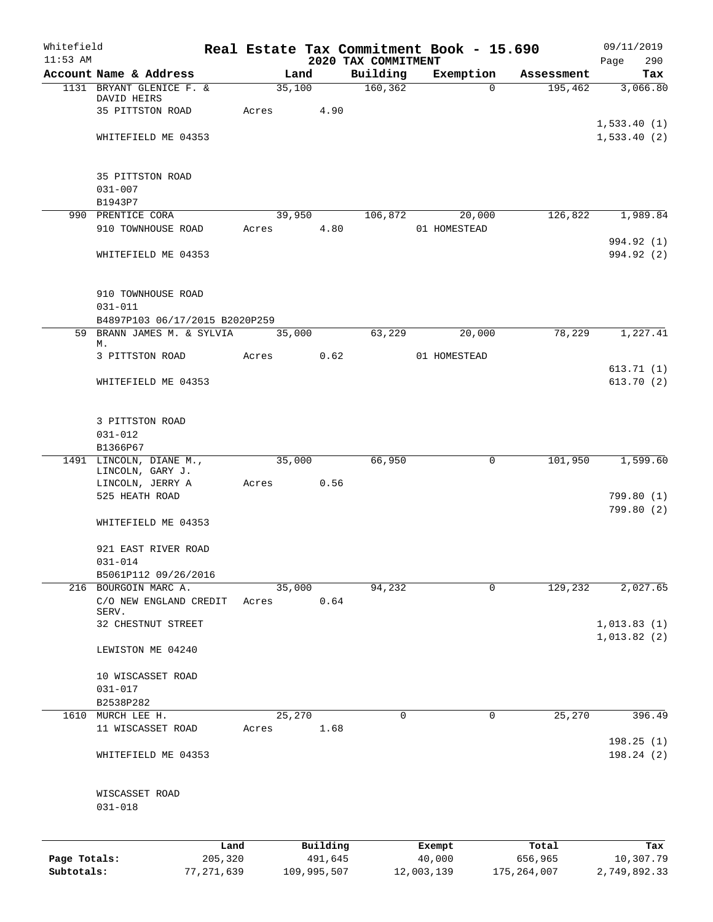| Whitefield   |                                              |              |                 |             |                                 | Real Estate Tax Commitment Book - 15.690 |                       | 09/11/2019      |
|--------------|----------------------------------------------|--------------|-----------------|-------------|---------------------------------|------------------------------------------|-----------------------|-----------------|
| $11:53$ AM   | Account Name & Address                       |              |                 |             | 2020 TAX COMMITMENT<br>Building |                                          |                       | Page<br>290     |
|              | 1131 BRYANT GLENICE F. &                     |              | Land<br>35,100  |             | 160, 362                        | Exemption<br>$\Omega$                    | Assessment<br>195,462 | Tax<br>3,066.80 |
|              | DAVID HEIRS                                  |              |                 |             |                                 |                                          |                       |                 |
|              | 35 PITTSTON ROAD                             |              | Acres           | 4.90        |                                 |                                          |                       |                 |
|              |                                              |              |                 |             |                                 |                                          |                       | 1,533.40(1)     |
|              | WHITEFIELD ME 04353                          |              |                 |             |                                 |                                          |                       | 1,533.40(2)     |
|              | 35 PITTSTON ROAD                             |              |                 |             |                                 |                                          |                       |                 |
|              | $031 - 007$                                  |              |                 |             |                                 |                                          |                       |                 |
|              | B1943P7                                      |              |                 |             |                                 |                                          |                       |                 |
|              | 990 PRENTICE CORA                            |              | 39,950          |             | 106,872                         | 20,000                                   | 126,822               | 1,989.84        |
|              | 910 TOWNHOUSE ROAD                           |              | Acres           | 4.80        |                                 | 01 HOMESTEAD                             |                       |                 |
|              |                                              |              |                 |             |                                 |                                          |                       | 994.92 (1)      |
|              | WHITEFIELD ME 04353                          |              |                 |             |                                 |                                          |                       | 994.92 (2)      |
|              | 910 TOWNHOUSE ROAD                           |              |                 |             |                                 |                                          |                       |                 |
|              | $031 - 011$                                  |              |                 |             |                                 |                                          |                       |                 |
|              | B4897P103 06/17/2015 B2020P259               |              |                 |             |                                 |                                          |                       |                 |
|              | 59 BRANN JAMES M. & SYLVIA                   |              | 35,000          |             | 63,229                          | 20,000                                   | 78,229                | 1,227.41        |
|              | М.<br>3 PITTSTON ROAD                        |              | Acres           | 0.62        |                                 | 01 HOMESTEAD                             |                       |                 |
|              |                                              |              |                 |             |                                 |                                          |                       | 613.71(1)       |
|              | WHITEFIELD ME 04353                          |              |                 |             |                                 |                                          |                       | 613.70(2)       |
|              | 3 PITTSTON ROAD                              |              |                 |             |                                 |                                          |                       |                 |
|              | $031 - 012$                                  |              |                 |             |                                 |                                          |                       |                 |
|              | B1366P67                                     |              |                 |             |                                 |                                          |                       |                 |
|              | 1491 LINCOLN, DIANE M.,                      |              | 35,000          |             | 66,950                          | $\mathbf 0$                              | 101,950               | 1,599.60        |
|              | LINCOLN, GARY J.                             |              |                 |             |                                 |                                          |                       |                 |
|              | LINCOLN, JERRY A<br>525 HEATH ROAD           |              | Acres           | 0.56        |                                 |                                          |                       | 799.80 (1)      |
|              |                                              |              |                 |             |                                 |                                          |                       | 799.80 (2)      |
|              | WHITEFIELD ME 04353                          |              |                 |             |                                 |                                          |                       |                 |
|              | 921 EAST RIVER ROAD                          |              |                 |             |                                 |                                          |                       |                 |
|              | $031 - 014$                                  |              |                 |             |                                 |                                          |                       |                 |
|              | B5061P112 09/26/2016<br>216 BOURGOIN MARC A. |              |                 |             | 94,232                          | 0                                        | 129,232               | 2,027.65        |
|              | C/O NEW ENGLAND CREDIT                       |              | 35,000<br>Acres | 0.64        |                                 |                                          |                       |                 |
|              | SERV.                                        |              |                 |             |                                 |                                          |                       |                 |
|              | 32 CHESTNUT STREET                           |              |                 |             |                                 |                                          |                       | 1,013.83(1)     |
|              | LEWISTON ME 04240                            |              |                 |             |                                 |                                          |                       | 1,013.82(2)     |
|              |                                              |              |                 |             |                                 |                                          |                       |                 |
|              | 10 WISCASSET ROAD                            |              |                 |             |                                 |                                          |                       |                 |
|              | $031 - 017$                                  |              |                 |             |                                 |                                          |                       |                 |
|              | B2538P282<br>MURCH LEE H.                    |              | 25,270          |             | 0                               | 0                                        | 25,270                | 396.49          |
| 1610         | 11 WISCASSET ROAD                            |              | Acres           | 1.68        |                                 |                                          |                       |                 |
|              |                                              |              |                 |             |                                 |                                          |                       | 198.25 (1)      |
|              | WHITEFIELD ME 04353                          |              |                 |             |                                 |                                          |                       | 198.24(2)       |
|              | WISCASSET ROAD<br>$031 - 018$                |              |                 |             |                                 |                                          |                       |                 |
|              |                                              |              |                 |             |                                 |                                          |                       |                 |
|              |                                              | Land         |                 | Building    |                                 | Exempt                                   | Total                 | Tax             |
| Page Totals: |                                              | 205,320      |                 | 491,645     |                                 | 40,000                                   | 656,965               | 10,307.79       |
| Subtotals:   |                                              | 77, 271, 639 |                 | 109,995,507 |                                 | 12,003,139                               | 175, 264, 007         | 2,749,892.33    |